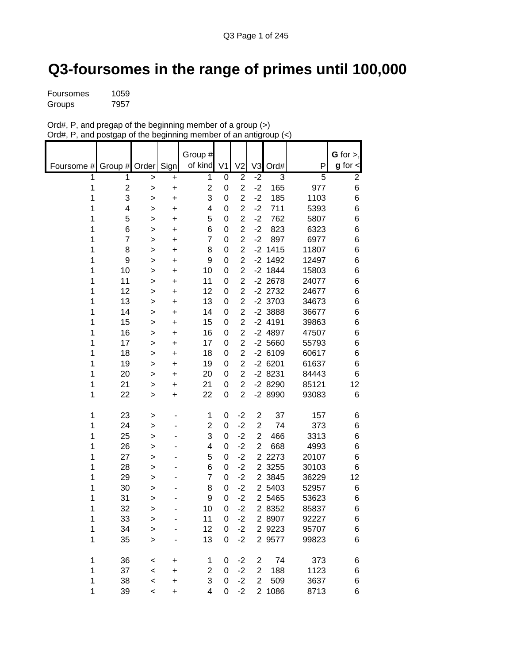## **Q3-foursomes in the range of primes until 100,000**

| Foursomes | 1059 |
|-----------|------|
| Groups    | 7957 |

| Ord#, P, and pregap of the beginning member of a group $(>)$     |  |
|------------------------------------------------------------------|--|
| Ord#, P, and postgap of the beginning member of an antigroup (<) |  |

|            |                       |                  |                        | Group #                                   |                             |                                  |                |                       |                       | $G$ for $>$ ,        |
|------------|-----------------------|------------------|------------------------|-------------------------------------------|-----------------------------|----------------------------------|----------------|-----------------------|-----------------------|----------------------|
| Foursome # | Group #               | Order Sign       |                        | of kind                                   | V <sub>1</sub>              | V <sub>2</sub>                   | V <sub>3</sub> | Ord#                  | P                     | $g$ for $\textsf{I}$ |
| 1<br>1     | 1<br>$\boldsymbol{2}$ | >                | $\ddot{}$              | $\overline{1}$<br>$\overline{\mathbf{c}}$ | $\overline{0}$<br>$\pmb{0}$ | $\overline{2}$<br>$\overline{2}$ | $-2$<br>$-2$   | $\overline{3}$<br>165 | $\overline{5}$<br>977 | $\overline{2}$<br>6  |
| 1          | 3                     | $\geq$<br>$\geq$ | $\ddot{}$<br>$\ddot{}$ | 3                                         | $\mathbf 0$                 | $\overline{2}$                   | $-2$           | 185                   | 1103                  | 6                    |
| 1          | 4                     | >                | +                      | 4                                         | 0                           | $\overline{2}$                   | $-2$           | 711                   | 5393                  | 6                    |
| 1          | 5                     | >                | $\ddot{}$              | 5                                         | $\mathbf 0$                 | $\overline{2}$                   | $-2$           | 762                   | 5807                  | 6                    |
| 1          | 6                     | >                | +                      | 6                                         | 0                           | $\overline{c}$                   | $-2$           | 823                   | 6323                  | 6                    |
| 1          | $\overline{7}$        | >                | +                      | $\overline{7}$                            | 0                           | $\overline{2}$                   | $-2$           | 897                   | 6977                  | 6                    |
| 1          | 8                     | >                | +                      | 8                                         | 0                           | $\overline{2}$                   | $-2$           | 1415                  | 11807                 | 6                    |
| 1          | 9                     | >                | +                      | 9                                         | $\mathbf 0$                 | $\overline{2}$                   |                | $-2$ 1492             | 12497                 | 6                    |
| 1          | 10                    | >                | +                      | 10                                        | $\mathbf 0$                 | $\overline{2}$                   |                | $-2$ 1844             | 15803                 | 6                    |
| 1          | 11                    | >                | +                      | 11                                        | 0                           | $\overline{2}$                   |                | $-2$ 2678             | 24077                 | 6                    |
| 1          | 12                    | >                | +                      | 12                                        | $\mathbf 0$                 | $\overline{2}$                   |                | $-2$ 2732             | 24677                 | 6                    |
| 1          | 13                    | >                | +                      | 13                                        | 0                           | $\overline{2}$                   |                | $-2$ 3703             | 34673                 | 6                    |
| 1          | 14                    | >                | +                      | 14                                        | 0                           | $\overline{c}$                   |                | $-2$ 3888             | 36677                 | 6                    |
| 1          | 15                    | >                | $\ddot{}$              | 15                                        | 0                           | $\overline{2}$                   |                | $-2$ 4191             | 39863                 | 6                    |
| 1          | 16                    | >                | +                      | 16                                        | 0                           | $\overline{2}$                   |                | $-2$ 4897             | 47507                 | 6                    |
| 1          | 17                    | >                | $\ddot{}$              | 17                                        | $\mathbf 0$                 | $\overline{2}$                   |                | $-2,5660$             | 55793                 | 6                    |
| 1          | 18                    | >                | +                      | 18                                        | 0                           | $\overline{2}$                   |                | $-26109$              | 60617                 | 6                    |
| 1          | 19                    | >                | $\ddot{}$              | 19                                        | $\mathbf 0$                 | $\overline{2}$                   |                | $-26201$              | 61637                 | 6                    |
| 1          | 20                    | >                | +                      | 20                                        | 0                           | $\overline{c}$                   |                | $-28231$              | 84443                 | 6                    |
| 1          | 21                    | >                | +                      | 21                                        | 0                           | $\overline{2}$                   |                | $-28290$              | 85121                 | 12                   |
| 1          | 22                    | >                | +                      | 22                                        | $\mathbf 0$                 | $\overline{2}$                   |                | -2 8990               | 93083                 | 6                    |
| 1          | 23                    | >                |                        | 1                                         | 0                           | $-2$                             | $\overline{c}$ | 37                    | 157                   | 6                    |
| 1          | 24                    | >                |                        | $\overline{\mathbf{c}}$                   | $\mathbf 0$                 | $-2$                             | 2              | 74                    | 373                   | 6                    |
| 1          | 25                    | >                |                        | 3                                         | 0                           | $-2$                             | $\overline{2}$ | 466                   | 3313                  | 6                    |
| 1          | 26                    | >                |                        | 4                                         | $\mathbf 0$                 | $-2$                             | $\overline{2}$ | 668                   | 4993                  | 6                    |
| 1          | 27                    | >                |                        | 5                                         | $\mathbf 0$                 | $-2$                             | $\overline{2}$ | 2273                  | 20107                 | 6                    |
| 1          | 28                    | >                |                        | 6                                         | 0                           | $-2$                             |                | 2 3255                | 30103                 | 6                    |
| 1          | 29                    | >                |                        | $\overline{7}$                            | 0                           | $-2$                             |                | 2 3845                | 36229                 | 12                   |
| 1          | 30                    | >                |                        | 8                                         | 0                           | $-2$                             |                | 2 5403                | 52957                 | 6                    |
| 1          | 31                    | >                |                        | 9                                         | 0                           | $-2$                             |                | 2 5465                | 53623                 | 6                    |
| 1          | 32                    | >                |                        | 10                                        | $\mathbf 0$                 | $-2$                             |                | 2 8352                | 85837                 | 6                    |
| 1          | 33                    | >                |                        | 11                                        | $\pmb{0}$                   | $-2$                             |                | 2 8907                | 92227                 | 6                    |
| 1<br>1     | 34<br>35              | $\geq$           |                        | 12<br>13                                  | 0<br>$\mathbf 0$            | $-2$<br>$-2$                     |                | 2 9223<br>2 9577      | 95707<br>99823        | 6<br>6               |
|            |                       | $\geq$           |                        |                                           |                             |                                  |                |                       |                       |                      |
| 1          | 36                    | $\,<$            | +                      | 1                                         | 0                           | $-2$                             | 2              | 74                    | 373                   | 6                    |
| 1          | 37                    | $\prec$          | +                      | 2                                         | 0                           | $-2$                             | $\overline{2}$ | 188                   | 1123                  | 6                    |
| 1          | 38                    | $\prec$          | $\ddot{}$              | 3                                         | 0                           | $-2$                             | $\overline{2}$ | 509                   | 3637                  | 6                    |
| 1          | 39                    | $\prec$          | $\ddot{}$              | 4                                         | $\mathbf 0$                 | $-2$                             |                | 2 1086                | 8713                  | 6                    |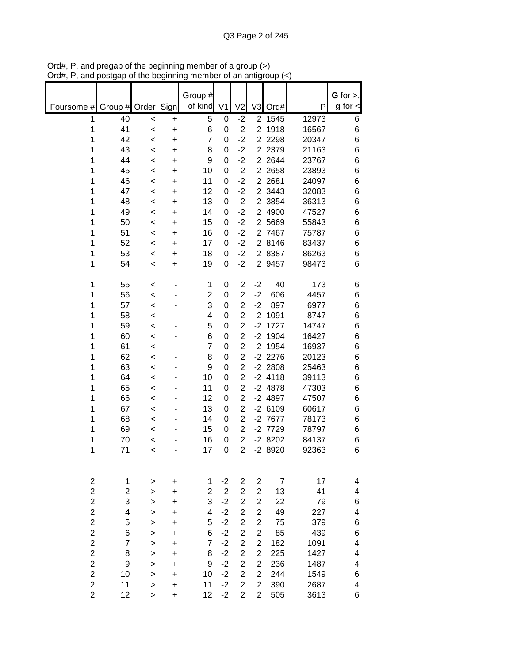|                                  |                         |                |        | Group #        |                |                                  |                                  |                     |                | $G$ for $>$ ,           |
|----------------------------------|-------------------------|----------------|--------|----------------|----------------|----------------------------------|----------------------------------|---------------------|----------------|-------------------------|
| Foursome #                       | Group # Order           |                | Sign   | of kind        | V <sub>1</sub> | V <sub>2</sub>                   | V <sub>3</sub>                   | Ord#                | P              | $g$ for $\lt$           |
| 1                                | 40                      | <              | +      | 5              | 0              | $-2$                             |                                  | 2 1545              | 12973          | 6                       |
| 1                                | 41                      | $\,<$          | +      | 6              | 0              | $-2$                             | $\overline{2}$                   | 1918                | 16567          | 6                       |
| 1                                | 42                      | $\,<$          | +      | 7              | 0              | $-2$                             | $\overline{2}$                   | 2298                | 20347          | 6                       |
| 1<br>1                           | 43<br>44                | $\,<$          | +      | 8<br>9         | 0<br>0         | $-2$<br>$-2$                     |                                  | 2 2379<br>2 2 644   | 21163<br>23767 | 6<br>6                  |
| 1                                | 45                      | $\,<$<br>$\,<$ | +<br>+ | 10             | 0              | $-2$                             |                                  | 2 2658              | 23893          | 6                       |
| 1                                | 46                      | $\,<$          | +      | 11             | 0              | $-2$                             |                                  | 2 2681              | 24097          | 6                       |
| 1                                | 47                      | $\,<$          | +      | 12             | 0              | $-2$                             |                                  | 2 3443              | 32083          | 6                       |
| 1                                | 48                      | $\,<$          | +      | 13             | 0              | $-2$                             | $\overline{2}$                   | 3854                | 36313          | 6                       |
| 1                                | 49                      | $\,<$          | +      | 14             | 0              | $-2$                             | $\overline{2}$                   | 4900                | 47527          | 6                       |
| 1                                | 50                      | <              | +      | 15             | 0              | $-2$                             | $\overline{2}$                   | 5669                | 55843          | 6                       |
| 1                                | 51                      | $\,<$          | +      | 16             | 0              | $-2$                             | 2                                | 7467                | 75787          | 6                       |
| 1                                | 52                      | <              | +      | 17             | 0              | $-2$                             | $\overline{2}$                   | 8146                | 83437          | 6                       |
| 1                                | 53                      | $\,<$          | +      | 18             | 0              | $-2$                             | $\overline{2}$                   | 8387                | 86263          | 6                       |
| 1                                | 54                      | $\,<$          | +      | 19             | 0              | $-2$                             |                                  | 2 9457              | 98473          | 6                       |
| 1                                | 55                      | <              |        | 1              | 0              | 2                                | $-2$                             | 40                  | 173            | 6                       |
| 1                                | 56                      | $\prec$        |        | $\overline{c}$ | 0              | $\overline{2}$                   | $-2$                             | 606                 | 4457           | 6                       |
| 1                                | 57                      | $\,<$          |        | 3              | 0              | $\overline{2}$                   | $-2$                             | 897                 | 6977           | 6                       |
| 1                                | 58                      | $\,<$          |        | 4              | 0              | $\overline{2}$                   | $-2$                             | 1091                | 8747           | 6                       |
| 1                                | 59                      | $\,<$          |        | 5              | 0              | $\overline{2}$                   |                                  | $-2$ 1727           | 14747          | 6                       |
| 1                                | 60                      | $\,<$          |        | 6              | 0              | $\overline{2}$                   |                                  | $-2$ 1904           | 16427          | 6                       |
| 1                                | 61                      | $\,<$          |        | 7              | 0              | $\overline{2}$                   |                                  | $-2$ 1954           | 16937          | 6                       |
| 1                                | 62                      | $\,<$          |        | 8              | 0              | $\overline{2}$                   |                                  | $-2$ 2276           | 20123          | 6                       |
| 1                                | 63                      | $\,<$          |        | 9              | 0              | $\overline{c}$                   |                                  | $-2$ 2808           | 25463          | 6                       |
| 1                                | 64                      | $\,<$          |        | 10             | 0              | $\overline{2}$                   |                                  | $-2$ 4118           | 39113          | 6                       |
| 1                                | 65                      | $\,<$          |        | 11             | 0              | $\overline{c}$                   |                                  | $-2$ 4878           | 47303          | 6                       |
| 1                                | 66                      | $\,<$          |        | 12             | 0              | $\overline{2}$                   |                                  | $-2$ 4897           | 47507          | 6                       |
| 1<br>1                           | 67<br>68                | <              |        | 13<br>14       | 0<br>0         | $\overline{2}$<br>$\overline{2}$ |                                  | $-26109$<br>-2 7677 | 60617<br>78173 | 6<br>6                  |
| 1                                | 69                      | <<br>$\,<$     |        | 15             | 0              | $\overline{2}$                   |                                  | -2 7729             | 78797          | 6                       |
| 1                                | 70                      | <              |        | 16             | 0              | $\overline{2}$                   |                                  | $-28202$            | 84137          | 6                       |
| 1                                | 71                      | $\,<$          |        | 17             | 0              | $\overline{2}$                   |                                  | -2 8920             | 92363          | 6                       |
|                                  |                         |                |        |                |                |                                  |                                  |                     |                |                         |
| $\overline{c}$                   | 1                       | >              | +      | 1              | $-2$           | 2                                | $\overline{c}$                   | $\overline{7}$      | 17             | 4                       |
| $\overline{c}$                   | $\overline{\mathbf{c}}$ | >              | +      | $\overline{c}$ | $-2$           | $\overline{2}$                   | $\overline{c}$                   | 13                  | 41             | 4                       |
| $\overline{c}$                   | 3                       | >              | +      | 3              | $-2$           | $\overline{2}$                   | $\overline{2}$                   | 22                  | 79             | 6                       |
| $\overline{c}$                   | $\overline{\mathbf{4}}$ | >              | +      | 4              | $-2$           | $\overline{2}$                   | $\overline{c}$                   | 49                  | 227            | $\overline{\mathbf{4}}$ |
| $\overline{2}$                   | 5                       | >              | +      | 5              | $-2$           | $\overline{2}$                   | $\overline{2}$                   | 75                  | 379            | 6                       |
| $\overline{c}$                   | 6                       | >              | +      | 6              | $-2$           | $\overline{c}$                   | $\overline{c}$                   | 85                  | 439            | 6                       |
| $\overline{c}$                   | $\overline{7}$          | $\geq$         | +      | $\overline{7}$ | $-2$           | $\overline{c}$                   | $\overline{c}$                   | 182                 | 1091           | $\overline{\mathbf{4}}$ |
| $\overline{c}$                   | 8                       | >              | +      | 8              | $-2$           | $\overline{c}$                   | $\overline{c}$                   | 225                 | 1427           | $\overline{\mathbf{4}}$ |
| $\overline{c}$<br>$\overline{c}$ | 9                       | >              | +      | 9              | $-2$           | $\overline{\mathbf{c}}$          | $\overline{c}$                   | 236                 | 1487           | 4                       |
| $\overline{c}$                   | 10<br>11                | >              | +      | 10<br>11       | $-2$<br>$-2$   | $\overline{c}$<br>$\overline{c}$ | $\overline{2}$<br>$\overline{2}$ | 244<br>390          | 1549<br>2687   | 6<br>4                  |
| $\overline{2}$                   | 12                      | ><br>>         | +<br>+ | 12             | $-2$           | $\overline{2}$                   | $\overline{2}$                   | 505                 | 3613           | 6                       |
|                                  |                         |                |        |                |                |                                  |                                  |                     |                |                         |

Ord#, P, and pregap of the beginning member of a group (>) Ord#, P, and postgap of the beginning member of an antigroup (<)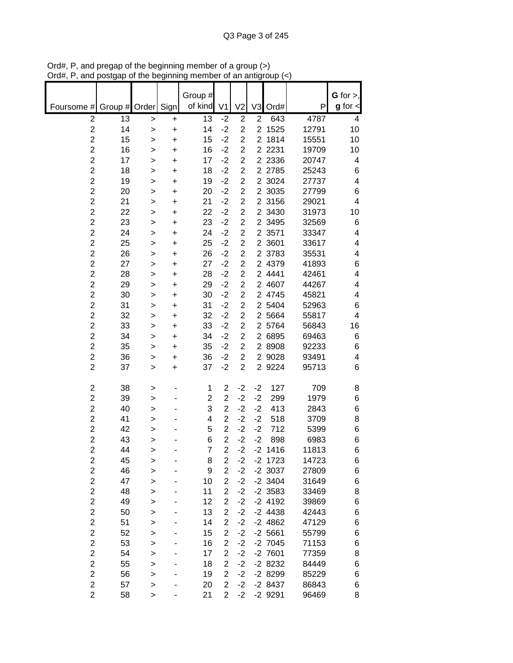|                                  |          |              |                | Group #        |                         |                                  |                |                   |                | $G$ for $>$ , |
|----------------------------------|----------|--------------|----------------|----------------|-------------------------|----------------------------------|----------------|-------------------|----------------|---------------|
| Foursome #                       | Group #  | Order        | Sign           | of kind        | V <sub>1</sub>          | V <sub>2</sub>                   | V <sub>3</sub> | Ord#              | P              | $g$ for $\lt$ |
| $\overline{c}$                   | 13       | $\, > \,$    | +              | 13             | $-2$                    | $\overline{2}$                   | $\overline{2}$ | 643               | 4787           | 4             |
| $\overline{\mathbf{c}}$          | 14       | $\geq$       | $\ddot{}$      | 14             | $-2$                    | $\overline{c}$                   | $\overline{2}$ | 1525              | 12791          | 10            |
| $\overline{c}$<br>$\overline{c}$ | 15       | $\geq$       | $\ddot{}$      | 15             | $-2$<br>$-2$            | $\overline{2}$<br>$\overline{2}$ | $\overline{2}$ | 1814<br>2 2 2 3 1 | 15551<br>19709 | 10            |
| $\overline{c}$                   | 16<br>17 | >            | $\ddot{}$      | 16<br>17       | $-2$                    | $\overline{2}$                   |                | 2 2 3 3 6         | 20747          | 10<br>4       |
| $\overline{c}$                   | 18       | >            | $\ddot{}$      | 18             | $-2$                    | $\overline{2}$                   |                | 2 2785            | 25243          | 6             |
| $\overline{c}$                   | 19       | >            | +<br>$\ddot{}$ | 19             | $-2$                    | $\overline{2}$                   |                | 2 3024            | 27737          | 4             |
| $\overline{c}$                   | 20       | >            | $\ddot{}$      | 20             | $-2$                    | $\overline{2}$                   |                | 2 3035            | 27799          | 6             |
| $\overline{c}$                   | 21       | ><br>$\geq$  | $\ddot{}$      | 21             | $-2$                    | $\overline{c}$                   |                | 2 3156            | 29021          | 4             |
| $\overline{\mathbf{c}}$          | 22       | >            | $\ddot{}$      | 22             | $-2$                    | $\overline{c}$                   | $\overline{2}$ | 3430              | 31973          | 10            |
| $\overline{2}$                   | 23       | >            | $\ddot{}$      | 23             | $-2$                    | $\overline{2}$                   | $\overline{2}$ | 3495              | 32569          | 6             |
| $\overline{c}$                   | 24       | >            | $\ddot{}$      | 24             | $-2$                    | $\overline{c}$                   | $\overline{2}$ | 3571              | 33347          | 4             |
| $\overline{2}$                   | 25       | >            | +              | 25             | $-2$                    | $\overline{2}$                   | 2 <sup>1</sup> | 3601              | 33617          | 4             |
| $\overline{\mathbf{c}}$          | 26       | >            | +              | 26             | $-2$                    | $\overline{c}$                   |                | 2 3783            | 35531          | 4             |
| $\overline{2}$                   | 27       | >            | $\ddot{}$      | 27             | $-2$                    | $\overline{2}$                   |                | 2 4379            | 41893          | 6             |
| $\overline{c}$                   | 28       | >            | $\ddot{}$      | 28             | $-2$                    | $\overline{c}$                   |                | 2 4441            | 42461          | 4             |
| $\overline{c}$                   | 29       | $\geq$       | $\ddot{}$      | 29             | $-2$                    | $\overline{c}$                   |                | 2 4607            | 44267          | 4             |
| $\overline{2}$                   | 30       | $\geq$       | +              | 30             | $-2$                    | $\overline{2}$                   |                | 2 4745            | 45821          | 4             |
| $\overline{\mathbf{c}}$          | 31       | >            | $\ddot{}$      | 31             | $-2$                    | $\overline{c}$                   |                | 2 5404            | 52963          | 6             |
| $\overline{c}$                   | 32       | $\geq$       | $\ddot{}$      | 32             | $-2$                    | $\overline{c}$                   |                | 2 5664            | 55817          | 4             |
| $\overline{c}$                   | 33       | >            | +              | 33             | $-2$                    | $\overline{2}$                   |                | 2 5764            | 56843          | 16            |
| $\overline{c}$                   | 34       | >            | +              | 34             | $-2$                    | $\overline{2}$                   |                | 2 6895            | 69463          | 6             |
| $\overline{c}$                   | 35       | >            | +              | 35             | $-2$                    | $\overline{2}$                   |                | 2 8908            | 92233          | 6             |
| $\overline{2}$                   | 36       | >            | $\ddot{}$      | 36             | $-2$                    | $\overline{2}$                   |                | 2 9028            | 93491          | 4             |
| $\overline{2}$                   | 37       | >            | $\ddot{}$      | 37             | $-2$                    | $\overline{2}$                   |                | 2 9224            | 95713          | 6             |
| $\overline{\mathbf{c}}$          | 38       |              |                | 1              | $\overline{\mathbf{c}}$ | $-2$                             | $-2$           | 127               | 709            | 8             |
| $\overline{c}$                   | 39       | >            |                | 2              | $\overline{2}$          | $-2$                             | $-2$           | 299               | 1979           | 6             |
| $\overline{c}$                   | 40       | ><br>>       |                | 3              | $\overline{c}$          | $-2$                             | $-2$           | 413               | 2843           | 6             |
| $\overline{2}$                   | 41       | >            |                | 4              | $\overline{2}$          | $-2$                             | $-2$           | 518               | 3709           | 8             |
| $\overline{c}$                   | 42       | >            |                | 5              | $\overline{2}$          | $-2$                             | $-2$           | 712               | 5399           | 6             |
| $\overline{c}$                   | 43       | >            |                | 6              | $\overline{2}$          | $-2$                             | $-2$           | 898               | 6983           | 6             |
| $\overline{2}$                   | 44       | >            |                | $\overline{7}$ | $\overline{2}$          | $-2$                             |                | $-2$ 1416         | 11813          | 6             |
| 2                                | 45       | >            |                | 8              | $\overline{2}$          | $-2$                             |                | $-2$ 1723         | 14723          | 6             |
| $\overline{\mathbf{c}}$          | 46       | $\mathbf{I}$ |                | 9              | $\overline{2}$          | $-2$                             |                | $-2$ 3037         | 27809          | 6             |
| $\overline{c}$                   | 47       | $\,$         |                | 10             | $\overline{2}$          | $-2$                             |                | $-2$ 3404         | 31649          | 6             |
| $\overline{c}$                   | 48       | >            |                | 11             | $\overline{c}$          | $-2$                             |                | $-2$ 3583         | 33469          | 8             |
| $\overline{2}$                   | 49       | $\,$         |                | 12             | $\overline{2}$          | $-2$                             |                | $-2$ 4192         | 39869          | 6             |
| $\overline{\mathbf{c}}$          | 50       | $\geq$       |                | 13             | $\overline{2}$          | $-2$                             |                | $-2$ 4438         | 42443          | 6             |
| $\overline{c}$                   | 51       | $\mathbf{I}$ |                | 14             | $\overline{2}$          | $-2$                             |                | $-2$ 4862         | 47129          | 6             |
| $\overline{\mathbf{c}}$          | 52       | $\mathbf{I}$ |                | 15             | $\overline{c}$          | $-2$                             |                | $-2,5661$         | 55799          | 6             |
| $\overline{\mathbf{c}}$          | 53       | $\mathbf{I}$ |                | 16             | $\overline{c}$          | $-2$                             |                | $-2$ 7045         | 71153          | 6             |
| $\overline{c}$                   | 54       | $\geq$       |                | 17             | $\overline{2}$          | $-2$                             |                | $-2$ 7601         | 77359          | 8             |
| $\overline{\mathbf{c}}$          | 55       | >            |                | 18             | $\overline{c}$          | $-2$                             |                | $-28232$          | 84449          | 6             |
| $\overline{c}$                   | 56       | >            |                | 19             | $\overline{2}$          | $-2$                             |                | -2 8299           | 85229          | 6             |
| $\overline{\mathbf{c}}$          | 57       | >            |                | 20             | $\overline{2}$          | $-2$                             |                | $-28437$          | 86843          | 6             |
| $\overline{2}$                   | 58       | $\, > \,$    |                | 21             | $\overline{2}$          | $-2$                             |                | $-2$ 9291         | 96469          | 8             |

Ord#, P, and pregap of the beginning member of a group (>) Ord#, P, and postgap of the beginning member of an antigroup (<)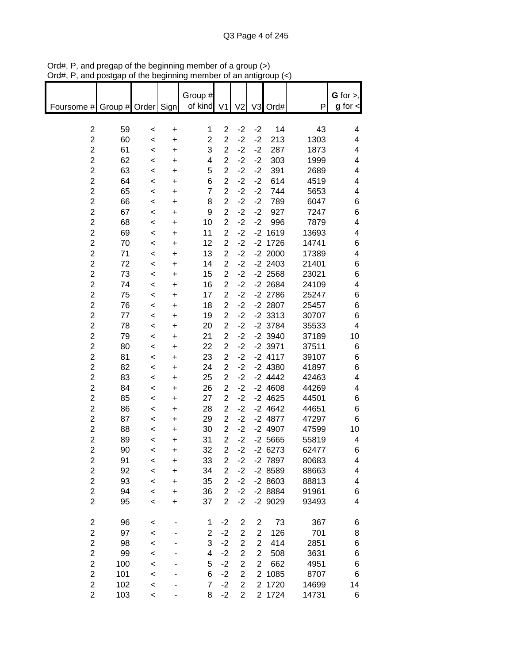|                                |         |           | Group #        |                         |                |                |           |       | $G$ for $>$ , |
|--------------------------------|---------|-----------|----------------|-------------------------|----------------|----------------|-----------|-------|---------------|
| Foursome #<br>Group # Order    |         | Sign      | of kind        | V <sub>1</sub>          | V <sub>2</sub> | V <sub>3</sub> | Ord#      | P     | $g$ for $\lt$ |
|                                |         |           |                |                         |                |                |           |       |               |
| $\boldsymbol{2}$<br>59         | $\,<$   | +         | 1              | $\overline{\mathbf{c}}$ | $-2$           | $-2$           | 14        | 43    | 4             |
| $\overline{c}$<br>60           | $\,<$   | +         | $\overline{c}$ | $\overline{c}$          | $-2$           | $-2$           | 213       | 1303  | 4             |
| $\overline{c}$<br>61           | $\,<$   | +         | 3              | $\overline{c}$          | $-2$           | $-2$           | 287       | 1873  | 4             |
| $\overline{c}$<br>62           | $\,<$   | +         | 4              | $\overline{c}$          | $-2$           | $-2$           | 303       | 1999  | 4             |
| $\overline{\mathbf{c}}$<br>63  | $\,<$   | +         | 5              | $\overline{\mathbf{c}}$ | $-2$           | $-2$           | 391       | 2689  | 4             |
| $\overline{c}$<br>64           | $\,<$   | +         | 6              | $\overline{c}$          | $-2$           | $-2$           | 614       | 4519  | 4             |
| $\overline{\mathbf{c}}$<br>65  | $\,<$   | +         | $\overline{7}$ | $\overline{c}$          | $-2$           | $-2$           | 744       | 5653  | 4             |
| $\overline{c}$<br>66           | $\,<$   | +         | 8              | $\overline{c}$          | $-2$           | $-2$           | 789       | 6047  | 6             |
| $\overline{\mathbf{c}}$<br>67  | $\prec$ | +         | 9              | $\overline{2}$          | $-2$           | $-2$           | 927       | 7247  | 6             |
| $\overline{c}$<br>68           | $\prec$ | +         | 10             | $\overline{2}$          | $-2$           | $-2$           | 996       | 7879  | 4             |
| $\overline{c}$<br>69           | $\prec$ | +         | 11             | $\overline{2}$          | $-2$           |                | $-2$ 1619 | 13693 | 4             |
| $\overline{c}$<br>70           | $\,<$   | +         | 12             | $\overline{2}$          | $-2$           |                | $-2$ 1726 | 14741 | 6             |
| $\overline{c}$<br>71           | $\,<$   | +         | 13             | $\overline{2}$          | $-2$           |                | $-2$ 2000 | 17389 | 4             |
| $\overline{c}$<br>72           | $\prec$ | $\ddot{}$ | 14             | $\overline{2}$          | $-2$           |                | $-2$ 2403 | 21401 | 6             |
| $\overline{c}$<br>73           | $\prec$ | +         | 15             | $\overline{2}$          | $-2$           |                | $-2$ 2568 | 23021 | 6             |
| $\overline{c}$<br>74           | $\,<$   | +         | 16             | $\overline{c}$          | $-2$           |                | $-2$ 2684 | 24109 | 4             |
| $\overline{c}$<br>75           | $\,<$   | +         | 17             | $\overline{c}$          | $-2$           |                | $-2$ 2786 | 25247 | 6             |
| $\overline{c}$<br>76           | $\,<$   | +         | 18             | $\overline{\mathbf{c}}$ | $-2$           |                | $-2$ 2807 | 25457 | 6             |
| $\overline{c}$<br>77           | $\,<$   | +         | 19             | $\overline{c}$          | $-2$           |                | $-2$ 3313 | 30707 | 6             |
| $\overline{c}$<br>78           | $\,<$   | +         | 20             | $\overline{c}$          | $-2$           |                | $-2$ 3784 | 35533 | 4             |
| $\overline{c}$<br>79           | $\,<$   | +         | 21             | $\overline{2}$          | $-2$           |                | $-2$ 3940 | 37189 | 10            |
| $\overline{\mathbf{c}}$<br>80  | $\,<\,$ | +         | 22             | $\overline{c}$          | $-2$           |                | $-2$ 3971 | 37511 | 6             |
| $\overline{c}$<br>81           | $\,<$   | +         | 23             | $\overline{2}$          | $-2$           |                | $-2$ 4117 | 39107 | 6             |
| $\overline{\mathbf{c}}$<br>82  | $\,<$   | +         | 24             | $\overline{c}$          | $-2$           |                | $-24380$  | 41897 | 6             |
| $\overline{c}$<br>83           | $\,<$   | +         | 25             | $\overline{c}$          | $-2$           |                | $-2$ 4442 | 42463 | 4             |
| $\overline{\mathbf{c}}$<br>84  | $\,<$   | +         | 26             | $\overline{\mathbf{c}}$ | $-2$           |                | $-24608$  | 44269 | 4             |
| $\overline{c}$<br>85           | $\prec$ | +         | 27             | $\overline{2}$          | $-2$           |                | $-2$ 4625 | 44501 | 6             |
| $\overline{c}$<br>86           | $\prec$ | +         | 28             | $\overline{c}$          | $-2$           |                | $-24642$  | 44651 | 6             |
| $\overline{c}$<br>87           | $\,<$   | +         | 29             | $\overline{c}$          | $-2$           |                | $-2$ 4877 | 47297 | 6             |
| $\overline{c}$<br>88           | $\,<$   | +         | 30             | $\overline{\mathbf{c}}$ | $-2$           |                | $-24907$  | 47599 | 10            |
| $\overline{c}$<br>89           | $\prec$ | $\ddot{}$ | 31             | $\overline{2}$          | $-2$           |                | $-2,5665$ | 55819 | 4             |
| $\overline{\mathbf{c}}$<br>90  | <       | +         | 32             | $\overline{2}$          | $-2$           |                | $-26273$  | 62477 | 6             |
| $\overline{\mathbf{c}}$<br>91  | <       | +         | 33             | 2                       | $-2$           |                | -2 7897   | 80683 | 4             |
| $\boldsymbol{2}$<br>92         | $\prec$ | +         | 34             | $\overline{c}$          | $-2$           |                | -2 8589   | 88663 | 4             |
| $\overline{\mathbf{c}}$<br>93  | $\prec$ | +         | 35             | $\overline{2}$          | $-2$           |                | $-28603$  | 88813 | 4             |
| $\overline{\mathbf{c}}$<br>94  | $\prec$ | +         | 36             | $\overline{2}$          | $-2$           |                | $-28884$  | 91961 | 6             |
| $\overline{2}$<br>95           | $\,<$   | +         | 37             | $\overline{2}$          | $-2$           |                | $-2$ 9029 | 93493 | 4             |
|                                |         |           |                |                         |                |                |           |       |               |
| $\overline{\mathbf{c}}$<br>96  | <       |           | 1              | $-2$                    | 2              | 2              | 73        | 367   | 6             |
| $\overline{\mathbf{c}}$<br>97  | $\prec$ |           | $\overline{c}$ | $-2$                    | $\overline{c}$ | $\overline{c}$ | 126       | 701   | 8             |
| $\overline{\mathbf{c}}$<br>98  | $\prec$ |           | 3              | $-2$                    | $\mathbf 2$    | $\overline{2}$ | 414       | 2851  | 6             |
| $\overline{\mathbf{c}}$<br>99  | $\prec$ |           | 4              | $-2$                    | $\mathbf 2$    | $\overline{2}$ | 508       | 3631  | 6             |
| $\mathbf 2$<br>100             | $\prec$ |           | 5              | $-2$                    | $\overline{c}$ | $\overline{c}$ | 662       | 4951  | 6             |
| $\overline{\mathbf{c}}$<br>101 | $\prec$ |           | 6              | $-2$                    | $\mathbf 2$    | $\overline{2}$ | 1085      | 8707  | 6             |
| $\overline{\mathbf{c}}$<br>102 | $\prec$ |           | $\overline{7}$ | $-2$                    | $\mathbf 2$    |                | 2 1720    | 14699 | 14            |
| $\overline{2}$<br>103          | $\prec$ |           | 8              | $-2$                    | $\overline{2}$ |                | 2 1724    | 14731 | 6             |

Ord#, P, and pregap of the beginning member of a group (>) Ord#, P, and postgap of the beginning member of an antigroup (<)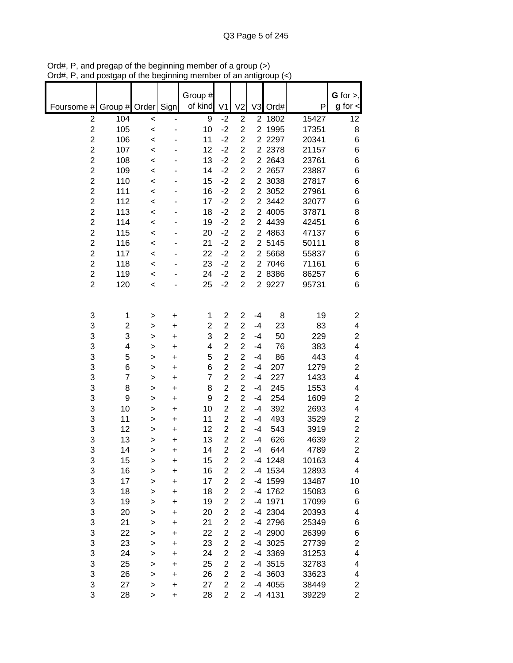|                                           |                |                |           | Group #        |                                  |                                  |                |                   |                | $G$ for $>$ ,           |
|-------------------------------------------|----------------|----------------|-----------|----------------|----------------------------------|----------------------------------|----------------|-------------------|----------------|-------------------------|
| Foursome #                                | Group # Order  |                | Sign      | of kind        | V <sub>1</sub>                   | V <sub>2</sub>                   | V <sub>3</sub> | Ord#              | P              | $g$ for $\lt$           |
| $\overline{2}$                            | 104            | $\,<$          | -         | 9              | $-2$                             | $\mathbf 2$                      | $\overline{2}$ | 1802              | 15427          | 12                      |
| $\overline{c}$                            | 105            | $\prec$        |           | 10             | $-2$                             | $\overline{2}$                   | $\overline{2}$ | 1995              | 17351          | 8                       |
| $\overline{2}$                            | 106            | $\,<$          |           | 11             | $-2$                             | $\overline{2}$                   |                | 2 2 2 9 7         | 20341          | 6                       |
| $\overline{2}$                            | 107            | $\,<$          |           | 12             | $-2$                             | $\overline{2}$                   |                | 2 2 3 7 8         | 21157          | 6                       |
| $\overline{\mathbf{c}}$<br>$\overline{c}$ | 108            | $\,<$          |           | 13             | $-2$<br>$-2$                     | $\overline{2}$<br>$\overline{2}$ |                | 2 2 6 4 3         | 23761          | 6                       |
| $\overline{c}$                            | 109<br>110     | $\,<$          |           | 14<br>15       | $-2$                             | 2                                |                | 2 2 657<br>2 3038 | 23887<br>27817 | 6<br>6                  |
| $\overline{c}$                            | 111            | $\,<$          |           | 16             | $-2$                             | $\overline{2}$                   |                | 2 3052            | 27961          | 6                       |
| $\overline{\mathbf{c}}$                   | 112            | $\,<$<br>$\,<$ |           | 17             | $-2$                             | $\overline{c}$                   | $\overline{2}$ | 3442              | 32077          | 6                       |
| $\overline{c}$                            | 113            | $\,<$          |           | 18             | $-2$                             | $\overline{2}$                   |                | 2 4005            | 37871          | 8                       |
| $\overline{c}$                            | 114            | $\prec$        |           | 19             | $-2$                             | 2                                |                | 2 4439            | 42451          | 6                       |
| $\overline{c}$                            | 115            | $\,<$          |           | 20             | $-2$                             | $\overline{2}$                   |                | 2 4863            | 47137          | 6                       |
| $\overline{\mathbf{c}}$                   | 116            | $\,<$          |           | 21             | $-2$                             | $\overline{2}$                   |                | 2 5145            | 50111          | 8                       |
| $\overline{2}$                            | 117            | $\,<$          |           | 22             | $-2$                             | $\overline{2}$                   |                | 2 5668            | 55837          | 6                       |
| $\overline{c}$                            | 118            | $\,<$          |           | 23             | $-2$                             | $\overline{c}$                   |                | 2 7046            | 71161          | 6                       |
| $\overline{c}$                            | 119            | $\,<$          |           | 24             | $-2$                             | $\overline{2}$                   |                | 2 8386            | 86257          | 6                       |
| $\overline{2}$                            | 120            | $\,<$          |           | 25             | $-2$                             | $\overline{2}$                   |                | 2 9227            | 95731          | 6                       |
|                                           |                |                |           |                |                                  |                                  |                |                   |                |                         |
| 3                                         | 1              | >              | +         | 1              | $\overline{c}$                   | 2                                | $-4$           | 8                 | 19             | 2                       |
| 3                                         | 2              | >              | +         | 2              | $\overline{2}$                   | $\overline{2}$                   | $-4$           | 23                | 83             | $\overline{\mathbf{4}}$ |
| 3                                         | 3              | >              | +         | 3              | $\overline{2}$                   | $\overline{2}$                   | $-4$           | 50                | 229            | $\overline{c}$          |
| 3                                         | 4              | >              | $\ddot{}$ | 4              | $\overline{2}$                   | $\overline{2}$                   | $-4$           | 76                | 383            | $\overline{\mathbf{4}}$ |
| 3                                         | 5              | >              | $\ddot{}$ | 5              | $\overline{c}$                   | $\overline{2}$                   | $-4$           | 86                | 443            | 4                       |
| 3                                         | 6              | >              | +         | 6              | $\overline{c}$                   | $\overline{2}$                   | $-4$           | 207               | 1279           | $\overline{c}$          |
| 3                                         | $\overline{7}$ | >              | +         | $\overline{7}$ | $\overline{\mathbf{c}}$          | $\overline{c}$                   | $-4$           | 227               | 1433           | $\overline{\mathbf{4}}$ |
| 3<br>3                                    | 8<br>9         | >              | +         | 8<br>9         | $\overline{c}$<br>$\overline{2}$ | $\overline{2}$<br>2              | $-4$<br>-4     | 245<br>254        | 1553<br>1609   | 4<br>2                  |
| 3                                         | 10             | >              | +<br>+    | 10             | $\overline{2}$                   | $\overline{2}$                   | -4             | 392               | 2693           | $\overline{\mathbf{4}}$ |
| 3                                         | 11             | ><br>>         | +         | 11             | $\overline{2}$                   | $\overline{2}$                   | -4             | 493               | 3529           | $\overline{c}$          |
| 3                                         | 12             | >              | +         | 12             | $\overline{2}$                   | $\overline{2}$                   | -4             | 543               | 3919           | $\overline{\mathbf{c}}$ |
| 3                                         | 13             | >              | +         | 13             | $\overline{2}$                   | $\overline{2}$                   | -4             | 626               | 4639           | $\overline{\mathbf{c}}$ |
| 3                                         | 14             | >              | +         | 14             | $\overline{2}$                   | $\overline{2}$                   | $-4$           | 644               | 4789           | $\overline{2}$          |
| 3                                         | 15             | >              | $\ddot{}$ | 15             | 2                                | 2                                |                | -4 1248           | 10163          | 4                       |
| 3                                         | 16             | >              | $\ddot{}$ | 16             | $\overline{2}$                   | $\overline{c}$                   |                | -4 1534           | 12893          | 4                       |
| 3                                         | 17             | >              | $\ddot{}$ | 17             | $\overline{2}$                   | 2                                |                | -4 1599           | 13487          | 10                      |
| 3                                         | 18             | >              | +         | 18             | $\overline{2}$                   | $\overline{2}$                   |                | -4 1762           | 15083          | 6                       |
| 3                                         | 19             | >              | $\ddot{}$ | 19             | $\overline{2}$                   | $\overline{c}$                   |                | -4 1971           | 17099          | 6                       |
| 3                                         | 20             | >              | $\ddot{}$ | 20             | $\overline{2}$                   | 2                                |                | -4 2304           | 20393          | 4                       |
| 3                                         | 21             | >              | $\ddot{}$ | 21             | $\overline{\mathbf{c}}$          | $\overline{\mathbf{c}}$          |                | -4 2796           | 25349          | 6                       |
| 3                                         | 22             | >              | $\ddot{}$ | 22             | $\overline{\mathbf{c}}$          | $\overline{c}$                   |                | -4 2900           | 26399          | 6                       |
| 3                                         | 23             | >              | $\ddot{}$ | 23             | $\overline{\mathbf{c}}$          | $\overline{\mathbf{c}}$          |                | -4 3025           | 27739          | $\overline{\mathbf{c}}$ |
| 3                                         | 24             | >              | $\ddot{}$ | 24             | $\overline{\mathbf{c}}$          | $\overline{c}$                   |                | -4 3369           | 31253          | 4                       |
| 3                                         | 25             | >              | $\ddot{}$ | 25             | $\overline{c}$                   | $\overline{c}$                   |                | $-4$ 3515         | 32783          | 4                       |
| 3                                         | 26             | >              | +         | 26             | $\overline{c}$                   | 2                                |                | -4 3603           | 33623          | 4                       |
| 3<br>3                                    | 27             | >              | +         | 27             | $\overline{2}$                   | $\overline{2}$<br>$\overline{2}$ |                | -4 4055           | 38449<br>39229 | 2<br>$\overline{2}$     |
|                                           | 28             | >              | $\ddot{}$ | 28             | 2                                |                                  |                | -4 4131           |                |                         |

Ord#, P, and pregap of the beginning member of a group (>) Ord#, P, and postgap of the beginning member of an antigroup (<)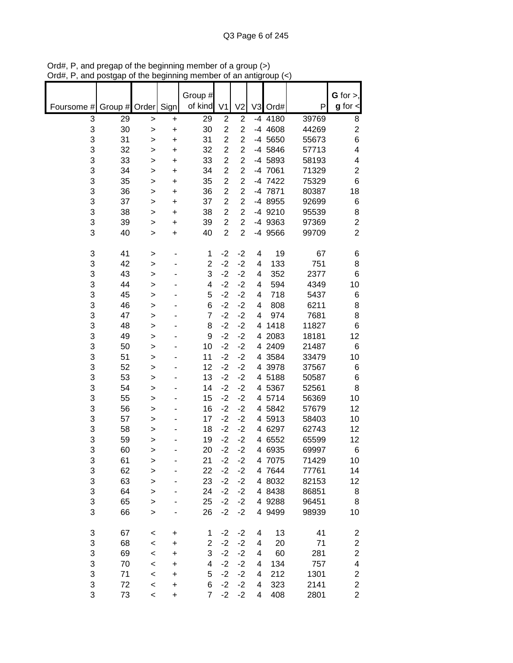|            |         |              |           | Group #        |                         |                |                |           |       | $G$ for $>$ ,           |
|------------|---------|--------------|-----------|----------------|-------------------------|----------------|----------------|-----------|-------|-------------------------|
| Foursome # | Group # | Order        | Sign      | of kind        | V <sub>1</sub>          | V <sub>2</sub> | V <sub>3</sub> | Ord#      | Ρ     | $g$ for $\lt$           |
| 3          | 29      | $\mathbf{I}$ | $\ddot{}$ | 29             | $\overline{2}$          | $\overline{2}$ |                | $-4$ 4180 | 39769 | 8                       |
| 3          | 30      | >            | $\ddot{}$ | 30             | $\overline{c}$          | $\overline{c}$ |                | -4 4608   | 44269 | $\overline{\mathbf{c}}$ |
| 3          | 31      | $\geq$       | $\ddot{}$ | 31             | $\overline{2}$          | $\overline{2}$ |                | -4 5650   | 55673 | 6                       |
| 3          | 32      | >            | $\ddot{}$ | 32             | $\overline{c}$          | $\overline{c}$ |                | -4 5846   | 57713 | 4                       |
| 3          | 33      | >            | $\ddot{}$ | 33             | $\overline{2}$          | $\overline{2}$ |                | -4 5893   | 58193 | 4                       |
| 3          | 34      | >            | $\ddot{}$ | 34             | $\overline{2}$          | $\overline{2}$ |                | -4 7061   | 71329 | 2                       |
| 3          | 35      | >            | $\ddot{}$ | 35             | $\overline{2}$          | $\overline{2}$ |                | -4 7422   | 75329 | 6                       |
| 3          | 36      | >            | $\ddot{}$ | 36             | $\overline{2}$          | $\overline{2}$ |                | -4 7871   | 80387 | 18                      |
| 3          | 37      | >            | $\ddot{}$ | 37             | $\overline{2}$          | $\overline{2}$ |                | -4 8955   | 92699 | 6                       |
| 3          | 38      | >            | +         | 38             | $\overline{c}$          | $\overline{c}$ |                | -4 9210   | 95539 | 8                       |
| 3          | 39      | >            | +         | 39             | $\overline{\mathbf{c}}$ | $\overline{2}$ |                | -4 9363   | 97369 | $\overline{c}$          |
| 3          | 40      | >            | $\ddot{}$ | 40             | $\overline{c}$          | $\overline{c}$ |                | -4 9566   | 99709 | $\overline{2}$          |
| 3          | 41      | >            |           | 1              | $-2$                    | $-2$           | 4              | 19        | 67    | 6                       |
| 3          | 42      | >            |           | $\overline{c}$ | $-2$                    | $-2$           | 4              | 133       | 751   | 8                       |
| 3          | 43      | >            |           | 3              | $-2$                    | $-2$           | 4              | 352       | 2377  | 6                       |
| 3          | 44      | >            |           | 4              | $-2$                    | $-2$           | 4              | 594       | 4349  | 10                      |
| 3          | 45      | >            |           | 5              | $-2$                    | $-2$           | 4              | 718       | 5437  | 6                       |
| 3          | 46      | >            |           | 6              | $-2$                    | $-2$           | 4              | 808       | 6211  | 8                       |
| 3          | 47      | $\geq$       |           | 7              | $-2$                    | $-2$           | 4              | 974       | 7681  | 8                       |
| 3          | 48      | $\geq$       |           | 8              | $-2$                    | $-2$           | 4              | 1418      | 11827 | 6                       |
| 3          | 49      | $\geq$       |           | 9              | $-2$                    | $-2$           | 4              | 2083      | 18181 | 12                      |
| 3          | 50      | >            |           | 10             | $-2$                    | $-2$           |                | 4 2409    | 21487 | 6                       |
| 3          | 51      | >            |           | 11             | $-2$                    | $-2$           |                | 4 3584    | 33479 | 10                      |
| 3          | 52      | >            |           | 12             | $-2$                    | $-2$           |                | 4 3978    | 37567 | 6                       |
| 3          | 53      | >            |           | 13             | $-2$                    | $-2$           |                | 4 5188    | 50587 | 6                       |
| 3          | 54      | >            |           | 14             | $-2$                    | $-2$           |                | 4 5367    | 52561 | 8                       |
| 3          | 55      | >            |           | 15             | $-2$                    | $-2$           |                | 4 5714    | 56369 | 10                      |
| 3          | 56      | >            |           | 16             | $-2$                    | $-2$           |                | 4 5842    | 57679 | 12                      |
| 3          | 57      | >            |           | 17             | $-2$                    | $-2$           | 4              | 5913      | 58403 | 10                      |
| 3          | 58      | >            |           | 18             | $-2$                    | $-2$           | 4              | 6297      | 62743 | 12                      |
| 3          | 59      | >            |           | 19             | $-2$                    | $-2$           | 4              | 6552      | 65599 | 12                      |
| 3          | 60      | >            |           | 20             | $-2$                    | $-2$           |                | 4 6935    | 69997 | 6                       |
| 3          | 61      | $\geq$       |           | 21             | $-2$                    | $-2$           |                | 4 7075    | 71429 | 10                      |
| 3          | 62      | $\geq$       |           | 22             | $-2$                    | $-2$           |                | 4 7644    | 77761 | 14                      |
| 3          | 63      | $\geq$       |           | 23             | $-2$                    | $-2$           |                | 4 8032    | 82153 | 12                      |
| 3          | 64      | $\geq$       |           | 24             | $-2$                    | $-2$           |                | 4 8438    | 86851 | 8                       |
| 3          | 65      | $\geq$       |           | 25             | $-2$                    | $-2$           |                | 4 9288    | 96451 | 8                       |
| 3          | 66      | >            |           | 26             | $-2$                    | $-2$           |                | 4 9499    | 98939 | 10                      |
| 3          | 67      | $\,<$        | +         | $\mathbf{1}$   | $-2$                    | $-2$           | 4              | 13        | 41    | $\overline{\mathbf{c}}$ |
| 3          | 68      | $\prec$      | $\ddot{}$ | $\overline{c}$ | $-2$                    | $-2$           | 4              | 20        | 71    | $\overline{\mathbf{c}}$ |
| 3          | 69      | $\prec$      | $\ddot{}$ | 3              | $-2$                    | $-2$           | 4              | 60        | 281   | $\overline{c}$          |
| 3          | 70      | $\prec$      | $\ddot{}$ | 4              | $-2$                    | $-2$           | 4              | 134       | 757   | $\overline{\mathbf{4}}$ |
| 3          | 71      | $\prec$      | $\ddot{}$ | 5              | $-2$                    | $-2$           | 4              | 212       | 1301  | $\overline{\mathbf{c}}$ |
| 3          | 72      | $\prec$      | $\ddot{}$ | 6              | $-2$                    | $-2$           | 4              | 323       | 2141  | $\overline{\mathbf{c}}$ |
| 3          | 73      | $\,<\,$      | $\ddot{}$ | $\overline{7}$ | $-2$                    | $-2$           | 4              | 408       | 2801  | $\overline{2}$          |

Ord#, P, and pregap of the beginning member of a group (>) Ord#, P, and postgap of the beginning member of an antigroup (<)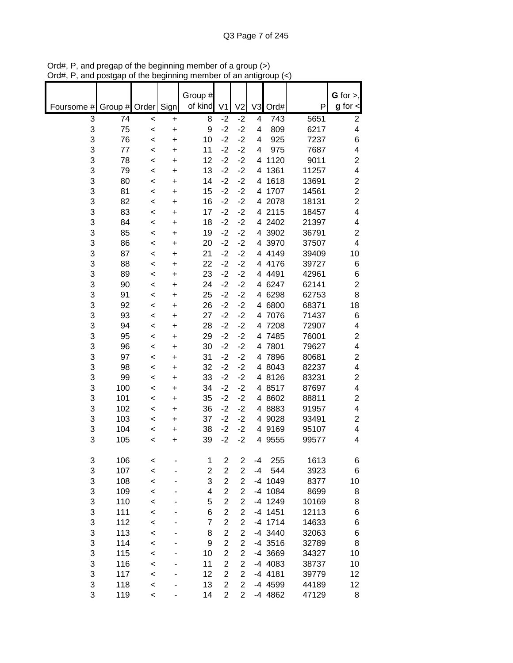|            |            |         |                | Group #     |                         |                         |                |                |                | $G$ for $>$ ,                               |
|------------|------------|---------|----------------|-------------|-------------------------|-------------------------|----------------|----------------|----------------|---------------------------------------------|
| Foursome # | Group #    | Order   | Sign           | of kind     | V <sub>1</sub>          | V <sub>2</sub>          | V <sub>3</sub> | Ord#           | P              | $g$ for $\lt$                               |
| 3          | 74         | $\,<$   | +              | 8           | $-2$                    | $-2$                    | 4              | 743            | 5651           | 2                                           |
| 3          | 75         | $\prec$ | $\ddot{}$      | 9           | $-2$                    | $-2$                    | 4              | 809            | 6217           | 4                                           |
| 3          | 76         | $\,<$   | $\ddot{}$      | 10          | $-2$                    | $-2$                    | 4              | 925            | 7237           | 6                                           |
| 3          | 77         | $\,<$   | $\ddot{}$      | 11          | $-2$                    | $-2$                    | 4              | 975            | 7687           | 4                                           |
| 3          | 78         | $\,<$   | +              | 12          | $-2$                    | $-2$                    | 4              | 1120           | 9011           | 2                                           |
| 3          | 79         | $\,<$   | $\ddot{}$      | 13          | $-2$                    | $-2$                    | 4              | 1361           | 11257          | $\overline{\mathbf{4}}$                     |
| 3          | 80         | $\,<$   | $\ddot{}$      | 14          | $-2$                    | $-2$                    | 4              | 1618           | 13691          | $\overline{c}$                              |
| 3          | 81         | <       | $\ddot{}$      | 15          | $-2$                    | $-2$                    | 4              | 1707           | 14561          | $\overline{2}$                              |
| 3          | 82         | <       | $\ddot{}$      | 16          | $-2$                    | $-2$                    | 4              | 2078           | 18131          | $\overline{c}$                              |
| 3          | 83         | $\,<$   | +              | 17          | $-2$                    | $-2$                    | 4              | 2115           | 18457          | $\overline{\mathbf{4}}$                     |
| 3          | 84         | $\,<$   | +              | 18          | $-2$                    | $-2$                    | 4              | 2402           | 21397          | 4                                           |
| 3          | 85         | <       | +              | 19          | $-2$                    | $-2$                    | 4              | 3902           | 36791          | $\overline{c}$                              |
| 3          | 86         | <       | +              | 20          | $-2$                    | $-2$                    | 4              | 3970           | 37507          | 4                                           |
| 3          | 87         | $\,<$   | +              | 21          | $-2$                    | $-2$                    |                | 4 4 1 4 9      | 39409          | 10                                          |
| 3          | 88         | $\,<$   | +              | 22          | $-2$                    | $-2$                    |                | 4 4176         | 39727          | 6                                           |
| 3          | 89         | <       | $\ddot{}$      | 23          | $-2$                    | $-2$                    | 4              | 4491           | 42961          | 6                                           |
| 3          | 90         | <       | $\ddot{}$      | 24          | $-2$                    | $-2$                    | 4              | 6247           | 62141          | $\mathbf 2$                                 |
| 3          | 91         | $\,<$   | $\ddot{}$      | 25          | $-2$                    | $-2$                    | 4              | 6298           | 62753          | 8                                           |
| 3          | 92         | $\,<$   | +              | 26          | $-2$                    | $-2$                    | 4              | 6800           | 68371          | 18                                          |
| 3          | 93         | $\,<$   | $\ddot{}$      | 27          | $-2$                    | $-2$                    | 4              | 7076           | 71437          | 6                                           |
| 3          | 94         | $\prec$ | $\ddot{}$      | 28          | $-2$                    | $-2$                    | 4              | 7208           | 72907          | 4                                           |
| 3          | 95         | $\,<$   | $\ddot{}$      | 29          | $-2$                    | $-2$                    | 4              | 7485           | 76001          | 2                                           |
| 3          | 96         | $\,<$   | $\ddot{}$      | 30          | $-2$                    | $-2$                    |                | 4 7801         | 79627          | $\overline{\mathbf{4}}$                     |
| 3          | 97         | $\,<$   | $\ddot{}$      | 31          | $-2$                    | $-2$                    |                | 4 7896         | 80681          | $\overline{\mathbf{c}}$                     |
| 3          | 98         | <       | $\ddot{}$      | 32          | $-2$                    | $-2$                    |                | 4 8043         | 82237          | $\overline{\mathbf{4}}$                     |
| 3          | 99         | $\,<$   | $\ddot{}$      | 33          | $-2$                    | $-2$                    |                | 4 8126         | 83231          | $\boldsymbol{2}$<br>$\overline{\mathbf{4}}$ |
| 3          | 100        | $\,<$   | +              | 34          | $-2$                    | $-2$                    |                | 4 8517         | 87697          |                                             |
| 3<br>3     | 101<br>102 | $\,<$   | +              | 35<br>36    | $-2$<br>$-2$            | $-2$<br>$-2$            | 4              | 4 8602<br>8883 | 88811<br>91957 | $\overline{c}$<br>$\overline{\mathbf{4}}$   |
| 3          | 103        | $\,<$   | +              | 37          | $-2$                    | $-2$                    | 4              | 9028           | 93491          | 2                                           |
| 3          | 104        | $\,<$   | +              | 38          | $-2$                    | $-2$                    | 4              | 9169           | 95107          | 4                                           |
| 3          | 105        | <<br><  | +<br>$\ddot{}$ | 39          | $-2$                    | $-2$                    |                | 4 9555         | 99577          | 4                                           |
|            |            |         |                |             |                         |                         |                |                |                |                                             |
| 3          | 106        | <       |                | $\mathbf 1$ | $\overline{\mathbf{c}}$ | $\mathbf 2$             | -4             | 255            | 1613           | 6                                           |
| 3          | 107        | $\prec$ |                | 2           | $\overline{2}$          | $\overline{c}$          | -4             | 544            | 3923           | 6                                           |
| 3          | 108        | $\prec$ |                | 3           | $\overline{c}$          | $\overline{2}$          |                | -4 1049        | 8377           | 10                                          |
| 3          | 109        | $\prec$ |                | 4           | $\overline{2}$          | $\overline{c}$          |                | -4 1084        | 8699           | 8                                           |
| 3          | 110        | $\prec$ |                | 5           | $\overline{2}$          | $\overline{2}$          |                | -4 1249        | 10169          | 8                                           |
| 3          | 111        | $\prec$ |                | 6           | $\overline{2}$          | $\overline{2}$          |                | $-4$ 1451      | 12113          | 6                                           |
| 3          | 112        | $\prec$ |                | 7           | $\overline{c}$          | $\overline{2}$          |                | $-4$ 1714      | 14633          | 6                                           |
| 3          | 113        | $\prec$ |                | 8           | $\overline{2}$          | $\overline{2}$          |                | -4 3440        | 32063          | 6                                           |
| 3          | 114        | $\prec$ |                | 9           | $\overline{c}$          | $\overline{c}$          |                | $-4$ 3516      | 32789          | 8                                           |
| 3          | 115        | $\prec$ |                | 10          | $\overline{c}$          | $\overline{c}$          |                | -4 3669        | 34327          | 10                                          |
| 3          | 116        | $\prec$ |                | 11          | $\overline{2}$          | $\overline{c}$          |                | -4 4083        | 38737          | 10                                          |
| 3          | 117        | $\prec$ |                | 12          | $\overline{\mathbf{c}}$ | $\overline{\mathbf{c}}$ |                | -4 4181        | 39779          | 12                                          |
| 3          | 118        | $\prec$ |                | 13          | $\overline{c}$          | $\overline{2}$          |                | -4 4599        | 44189          | 12                                          |
| 3          | 119        | $\prec$ |                | 14          | $\overline{c}$          | $\overline{2}$          |                | -4 4862        | 47129          | 8                                           |

Ord#, P, and pregap of the beginning member of a group (>) Ord#, P, and postgap of the beginning member of an antigroup (<)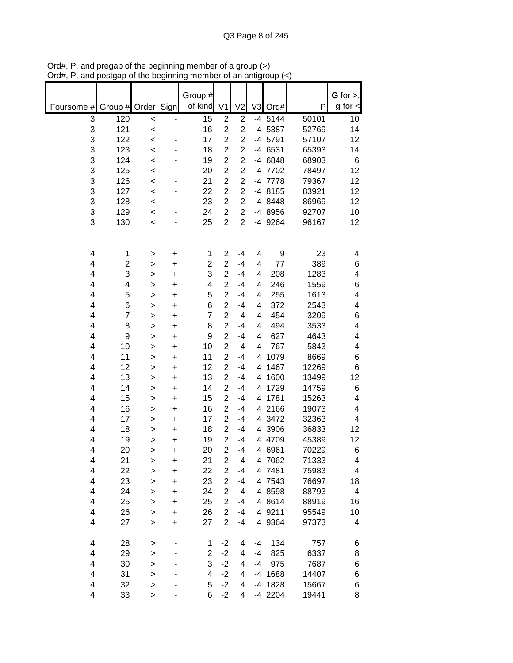|                                |                |                | Group #        |                                  |                                  |                |                    |                | $G$ for $>$ , |
|--------------------------------|----------------|----------------|----------------|----------------------------------|----------------------------------|----------------|--------------------|----------------|---------------|
| Foursome #<br>Group $#$        | Order          | Sign           | of kind        | V <sub>1</sub>                   | V <sub>2</sub>                   | V <sub>3</sub> | Ord#               | P              | $g$ for $\lt$ |
| 3<br>120                       | $\,<$          | ٠              | 15             | $\overline{2}$                   | $\overline{2}$                   |                | $-4$ 5144          | 50101          | 10            |
| 3<br>121<br>122                | $\prec$        |                | 16             | $\overline{c}$<br>$\overline{2}$ | $\overline{c}$<br>$\overline{2}$ |                | -4 5387            | 52769          | 14            |
| 3                              | $\prec$        |                | 17             | $\overline{2}$                   | $\overline{2}$                   |                | -4 5791            | 57107          | 12            |
| 3<br>123<br>3<br>124           | $\,<$          |                | 18<br>19       | $\overline{2}$                   | $\overline{2}$                   |                | -4 6531<br>-4 6848 | 65393<br>68903 | 14            |
| 3<br>125                       | $\,<$<br>$\,<$ |                | 20             | $\overline{2}$                   | $\overline{2}$                   |                | -4 7702            | 78497          | 6<br>12       |
| 3<br>126                       | $\prec$        |                | 21             | $\overline{2}$                   | $\overline{2}$                   |                | -4 7778            | 79367          | 12            |
| 3<br>127                       | $\,<$          |                | 22             | $\overline{c}$                   | $\overline{c}$                   |                | -4 8185            | 83921          | 12            |
| 3<br>128                       | $\,<$          |                | 23             | $\overline{c}$                   | $\overline{c}$                   |                | -4 8448            | 86969          | 12            |
| 3<br>129                       | $\,<$          |                | 24             | $\overline{\mathbf{c}}$          | $\overline{c}$                   |                | -4 8956            | 92707          | 10            |
| 3<br>130                       | $\prec$        |                | 25             | $\overline{2}$                   | $\overline{2}$                   |                | -4 9264            | 96167          | 12            |
|                                |                |                |                |                                  |                                  |                |                    |                |               |
| 4<br>1                         | >              | +              | 1              | $\overline{c}$                   | $-4$                             | 4              | 9                  | 23             | 4             |
| 4<br>2                         | >              | $\ddot{}$      | 2              | $\overline{2}$                   | $-4$                             | 4              | 77                 | 389            | 6             |
| 3<br>4                         | $\mathbf{I}$   | $\ddot{}$      | 3              | $\overline{2}$                   | $-4$                             | 4              | 208                | 1283           | 4             |
| 4<br>4                         | >              | $\ddot{}$      | 4              | $\overline{2}$                   | $-4$                             | 4              | 246                | 1559           | 6             |
| 5<br>4                         | $\mathbf{I}$   | +              | 5              | $\overline{2}$                   | $-4$                             | 4              | 255                | 1613           | 4             |
| 6<br>4<br>$\overline{7}$       | >              | $\ddot{}$      | 6              | $\overline{c}$<br>$\overline{2}$ | $-4$<br>$-4$                     | 4              | 372<br>454         | 2543           | 4             |
| 4<br>4                         | >              | $\ddot{}$      | 7              | $\overline{2}$                   | $-4$                             | 4              | 494                | 3209<br>3533   | 6<br>4        |
| 8<br>4<br>9                    | >              | $\ddot{}$      | 8<br>9         | $\overline{2}$                   | $-4$                             | 4<br>4         | 627                | 4643           | 4             |
| 10<br>4                        | >              | +              | 10             | $\overline{2}$                   | $-4$                             | 4              | 767                | 5843           | 4             |
| 4<br>11                        | >              | +<br>$\ddot{}$ | 11             | $\overline{2}$                   | $-4$                             | 4              | 1079               | 8669           | 6             |
| 4<br>12                        | ><br>>         | $\ddot{}$      | 12             | $\overline{c}$                   | $-4$                             | 4              | 1467               | 12269          | 6             |
| 4<br>13                        | >              | +              | 13             | $\overline{c}$                   | $-4$                             | 4              | 1600               | 13499          | 12            |
| 4<br>14                        | >              | $\ddot{}$      | 14             | $\overline{\mathbf{c}}$          | $-4$                             | 4              | 1729               | 14759          | 6             |
| 4<br>15                        | >              | $\ddot{}$      | 15             | $\overline{2}$                   | $-4$                             | 4              | 1781               | 15263          | 4             |
| 4<br>16                        | >              | +              | 16             | $\overline{2}$                   | $-4$                             | 4              | 2166               | 19073          | 4             |
| 4<br>17                        | >              | +              | 17             | $\overline{c}$                   | $-4$                             |                | 4 3472             | 32363          | 4             |
| 4<br>18                        | >              | $\ddot{}$      | 18             | $\overline{c}$                   | $-4$                             | 4              | 3906               | 36833          | 12            |
| 4<br>19                        | >              | $\ddot{}$      | 19             | $\overline{2}$                   | $-4$                             |                | 4 4709             | 45389          | 12            |
| 4<br>20                        | >              | +              | 20             | $\overline{2}$                   | $-4$                             |                | 4 6961             | 70229          | 6             |
| 21<br>4                        | >              | +              | 21             | $\overline{2}$                   | $-4$                             |                | 4 7062             | 71333          | 4             |
| 22<br>4                        | $\geq$         | $\ddot{}$      | 22             | $\overline{c}$                   | $-4$                             |                | 4 7481             | 75983          | 4             |
| 23<br>4                        | $\mathbf{I}$   | +              | 23             | $\overline{2}$                   | $-4$                             |                | 4 7543             | 76697          | 18            |
| 4<br>24                        | $\mathbf{I}$   | +              | 24             | $\overline{2}$                   | $-4$                             |                | 4 8598             | 88793          | 4             |
| 4<br>25                        | >              | +              | 25             | $\overline{2}$                   | $-4$                             |                | 4 8614             | 88919          | 16            |
| 4<br>26                        | $\geq$         | +              | 26             | $\overline{2}$                   | $-4$                             |                | 4 9211             | 95549          | 10            |
| 4<br>27                        | >              | $\ddot{}$      | 27             | $\overline{2}$                   | $-4$                             |                | 4 9364             | 97373          | 4             |
| $\overline{\mathcal{A}}$<br>28 | >              |                | 1              | $-2$                             | 4                                | -4             | 134                | 757            | 6             |
| 4<br>29                        | $\mathbf{I}$   |                | $\overline{c}$ | $-2$                             | 4                                | -4             | 825                | 6337           | 8             |
| 4<br>30                        | >              |                | 3              | $-2$                             | 4                                | -4             | 975                | 7687           | 6             |
| 4<br>31<br>32<br>4             | >              |                | 4<br>5         | $-2$<br>$-2$                     | 4<br>4                           |                | -4 1688<br>-4 1828 | 14407          | 6             |
| 33<br>4                        | ><br>>         |                | 6              | $-2$                             | 4                                |                | -4 2204            | 15667<br>19441 | 6<br>8        |

Ord#, P, and pregap of the beginning member of a group (>) Ord#, P, and postgap of the beginning member of an antigroup (<)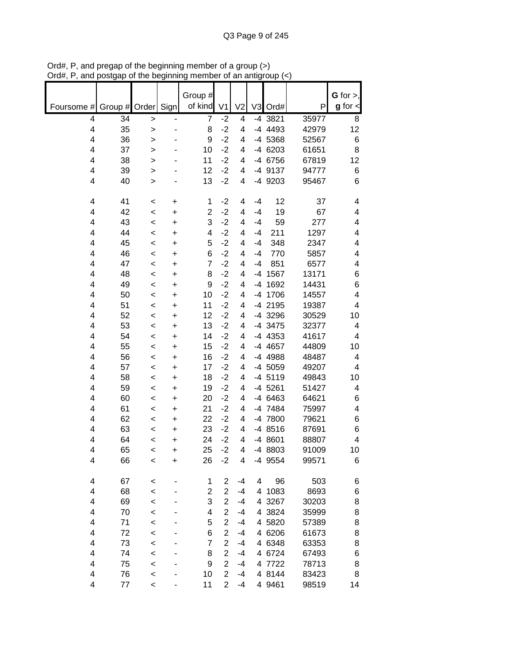|                         |          |                    |                          | Group #                 |                |                |                |                 |                | $G$ for $>$ , |
|-------------------------|----------|--------------------|--------------------------|-------------------------|----------------|----------------|----------------|-----------------|----------------|---------------|
| Foursome #              | Group #  | Order              | Sign                     | of kind                 | V <sub>1</sub> | V <sub>2</sub> | V <sub>3</sub> | Ord#            | Ρ              | $g$ for $\lt$ |
| $\overline{\mathbf{4}}$ | 34       | $\,>$              | $\overline{\phantom{0}}$ | $\overline{7}$          | $-2$           | 4              |                | -4 3821         | 35977          | 8             |
| 4                       | 35       | $\geq$             | ٠                        | 8                       | $-2$           | 4              |                | -4 4493         | 42979          | 12            |
| 4                       | 36       | $\geq$             |                          | 9                       | $-2$           | 4              |                | -4 5368         | 52567          | 6             |
| 4                       | 37       | $\geq$             |                          | 10                      | $-2$           | 4              |                | -4 6203         | 61651          | 8             |
| 4                       | 38       | $\geq$             |                          | 11                      | $-2$           | 4              |                | -4 6756         | 67819          | 12            |
| 4                       | 39       | >                  |                          | 12                      | $-2$           | 4              |                | -4 9137         | 94777          | 6             |
| 4                       | 40       | $\geq$             |                          | 13                      | $-2$           | 4              |                | -4 9203         | 95467          | 6             |
| 4                       | 41       | <                  | +                        | 1                       | $-2$           | 4              | $-4$           | 12              | 37             | 4             |
| 4                       | 42       | $\prec$            | $\ddot{}$                | $\overline{\mathbf{c}}$ | $-2$           | 4              | $-4$           | 19              | 67             | 4             |
| 4                       | 43       | $\prec$            | $\ddot{}$                | 3                       | $-2$           | 4              | $-4$           | 59              | 277            | 4             |
| 4                       | 44       | $\,<$              | $\ddot{}$                | 4                       | $-2$           | 4              | $-4$           | 211             | 1297           | 4             |
| 4                       | 45       | $\,<$              | +                        | 5                       | $-2$           | 4              | $-4$           | 348             | 2347           | 4             |
| 4                       | 46       | $\,<$              | +                        | 6                       | $-2$           | 4              | $-4$           | 770             | 5857           | 4             |
| 4                       | 47       | $\prec$            | $\ddot{}$                | $\overline{7}$          | $-2$           | 4              | $-4$           | 851             | 6577           | 4             |
| 4                       | 48       | $\,<$              | +                        | 8                       | $-2$           | 4              | $-4$           | 1567            | 13171          | 6             |
| 4<br>4                  | 49       | $\prec$            | $\ddot{}$                | 9<br>10                 | $-2$<br>$-2$   | 4              | $-4$           | 1692            | 14431          | 6<br>4        |
| 4                       | 50<br>51 | $\prec$            | $\ddot{}$                | 11                      | $-2$           | 4<br>4         | -4             | 1706<br>-4 2195 | 14557<br>19387 | 4             |
| 4                       | 52       | $\prec$            | +<br>$\ddot{}$           | 12                      | $-2$           | 4              |                | -4 3296         | 30529          | 10            |
| 4                       | 53       | $\prec$<br>$\prec$ | +                        | 13                      | $-2$           | 4              |                | -4 3475         | 32377          | 4             |
| 4                       | 54       | $\prec$            | $\ddot{}$                | 14                      | $-2$           | 4              |                | $-4$ 4353       | 41617          | 4             |
| 4                       | 55       | $\prec$            | +                        | 15                      | $-2$           | 4              |                | -4 4657         | 44809          | 10            |
| 4                       | 56       | $\prec$            | $\ddot{}$                | 16                      | $-2$           | 4              |                | -4 4988         | 48487          | 4             |
| 4                       | 57       | $\prec$            | +                        | 17                      | $-2$           | 4              |                | -4 5059         | 49207          | 4             |
| 4                       | 58       | $\prec$            | $\ddot{}$                | 18                      | $-2$           | 4              |                | $-4$ 5119       | 49843          | 10            |
| 4                       | 59       | $\,<$              | +                        | 19                      | $-2$           | 4              |                | $-4$ 5261       | 51427          | 4             |
| 4                       | 60       | $\prec$            | $\ddot{}$                | 20                      | $-2$           | 4              |                | -4 6463         | 64621          | 6             |
| 4                       | 61       | $\,<$              | +                        | 21                      | $-2$           | 4              |                | -4 7484         | 75997          | 4             |
| 4                       | 62       | $\,<$              | +                        | 22                      | $-2$           | 4              |                | -4 7800         | 79621          | 6             |
| 4                       | 63       | $\,<$              | +                        | 23                      | $-2$           | 4              |                | -4 8516         | 87691          | 6             |
| 4                       | 64       | $\prec$            | +                        | 24                      | $-2$           | 4              |                | -4 8601         | 88807          | 4             |
| 4                       | 65       | $\,<$              | +                        | 25                      | $-2$           | 4              |                | -4 8803         | 91009          | 10            |
| 4                       | 66       | $\prec$            | $\ddot{}$                | 26                      | $-2$           | 4              |                | -4 9554         | 99571          | 6             |
| $\overline{\mathbf{4}}$ | 67       | $\,<$              |                          | 1                       | $\overline{2}$ | $-4$           | 4              | 96              | 503            | 6             |
| 4                       | 68       | $\prec$            |                          | $\overline{\mathbf{c}}$ | $\overline{c}$ | $-4$           | 4              | 1083            | 8693           | 6             |
| 4                       | 69       | $\prec$            |                          | 3                       | $\overline{2}$ | $-4$           |                | 4 3267          | 30203          | 8             |
| 4                       | 70       | $\prec$            |                          | 4                       | $\overline{2}$ | $-4$           |                | 4 3824          | 35999          | 8             |
| 4                       | 71       | $\prec$            |                          | 5                       | $\overline{2}$ | $-4$           |                | 4 5820          | 57389          | 8             |
| 4                       | 72       | $\prec$            |                          | 6                       | $\overline{c}$ | $-4$           |                | 4 6206          | 61673          | 8             |
| 4                       | 73       | $\prec$            |                          | $\overline{\mathbf{7}}$ | $\overline{c}$ | $-4$           |                | 4 6348          | 63353          | 8             |
| 4                       | 74       | $\prec$            |                          | 8                       | $\overline{c}$ | $-4$           |                | 4 6724          | 67493          | 6             |
| 4                       | 75       | $\prec$            |                          | $\boldsymbol{9}$        | $\overline{c}$ | $-4$           |                | 4 7722          | 78713          | 8             |
| 4                       | 76       | $\prec$            |                          | 10                      | $\overline{c}$ | $-4$           |                | 4 8144          | 83423          | 8             |
| 4                       | 77       | $\,<$              |                          | 11                      | $\overline{2}$ | $-4$           |                | 4 9461          | 98519          | 14            |

Ord#, P, and pregap of the beginning member of a group (>) Ord#, P, and postgap of the beginning member of an antigroup (<)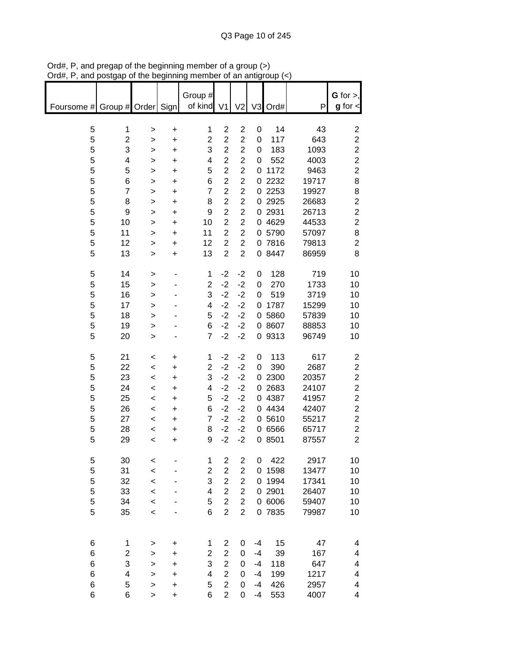| ıuπ,                          | oolyap or the beginning |              |           |                         |                         | an anny                 |                |        |       |                         |
|-------------------------------|-------------------------|--------------|-----------|-------------------------|-------------------------|-------------------------|----------------|--------|-------|-------------------------|
|                               |                         |              |           |                         |                         |                         |                |        |       |                         |
|                               |                         |              |           | Group #                 |                         |                         |                |        |       | $G$ for $>$ ,           |
| Foursome # Group # Order Sign |                         |              |           | of kind                 | V <sub>1</sub>          | V <sub>2</sub>          | V <sub>3</sub> | Ord#   | P     | $g$ for $\lt$           |
|                               |                         |              |           |                         |                         |                         |                |        |       |                         |
| 5                             | 1                       | >            | +         | 1                       | $\overline{2}$          | $\overline{2}$          | 0              | 14     | 43    | $\overline{2}$          |
| 5                             | 2                       | >            | +         | $\overline{c}$          | $\overline{c}$          | $\overline{2}$          | 0              | 117    | 643   | $\overline{c}$          |
| 5                             | 3                       | >            | $\ddot{}$ | 3                       | $\overline{c}$          | $\overline{2}$          | 0              | 183    | 1093  | $\overline{c}$          |
| 5                             | 4                       |              | $\ddot{}$ | 4                       | $\overline{c}$          | $\overline{c}$          | 0              | 552    | 4003  | $\overline{\mathbf{c}}$ |
|                               |                         | >            |           |                         |                         |                         |                |        |       |                         |
| 5                             | 5                       | $\geq$       | $\ddot{}$ | 5                       | $\overline{c}$          | $\overline{2}$          | 0              | 1172   | 9463  | $\overline{\mathbf{c}}$ |
| 5                             | 6                       | $\mathbf{I}$ | $\ddot{}$ | 6                       | $\overline{2}$          | $\overline{2}$          |                | 0 2232 | 19717 | 8                       |
| 5                             | $\overline{\mathbf{7}}$ | >            | $\ddot{}$ | $\overline{7}$          | $\overline{2}$          | $\overline{c}$          |                | 0 2253 | 19927 | 8                       |
| 5                             | 8                       | >            | $\ddot{}$ | 8                       | $\overline{c}$          | $\overline{2}$          |                | 0 2925 | 26683 | $\overline{\mathbf{c}}$ |
| 5                             | 9                       | >            | $\ddot{}$ | 9                       | $\overline{2}$          | $\overline{2}$          |                | 0 2931 | 26713 | $\overline{c}$          |
| 5                             | 10                      | >            | $\ddot{}$ | 10                      | $\overline{2}$          | $\overline{c}$          |                | 0 4629 | 44533 | $\overline{c}$          |
| 5                             | 11                      | >            | $\ddot{}$ | 11                      | $\overline{c}$          | $\overline{2}$          |                | 0 5790 | 57097 | 8                       |
| 5                             | 12                      | >            | +         | 12                      | $\overline{\mathbf{c}}$ | $\overline{c}$          |                | 0 7816 | 79813 | $\overline{\mathbf{c}}$ |
| 5                             | 13                      |              | $\ddot{}$ | 13                      | $\overline{c}$          | $\overline{2}$          |                | 0 8447 | 86959 | 8                       |
|                               |                         | $\, > \,$    |           |                         |                         |                         |                |        |       |                         |
|                               |                         |              |           |                         |                         |                         |                |        |       |                         |
| 5                             | 14                      | >            |           | 1                       | $-2$                    | $-2$                    | 0              | 128    | 719   | 10                      |
| 5                             | 15                      | >            |           | $\overline{c}$          | $-2$                    | $-2$                    | 0              | 270    | 1733  | 10                      |
| 5                             | 16                      | >            |           | 3                       | $-2$                    | $-2$                    | 0              | 519    | 3719  | 10                      |
| 5                             | 17                      | >            |           | 4                       | $-2$                    | $-2$                    | 0              | 1787   | 15299 | 10                      |
| 5                             | 18                      | >            |           | 5                       | $-2$                    | $-2$                    |                | 0 5860 | 57839 | 10                      |
| 5                             | 19                      | >            |           | 6                       | $-2$                    | $-2$                    |                | 0 8607 | 88853 | 10                      |
| 5                             | 20                      | $\geq$       |           | $\overline{7}$          | $-2$                    | $-2$                    |                | 0 9313 | 96749 | 10                      |
|                               |                         |              |           |                         |                         |                         |                |        |       |                         |
| 5                             | 21                      |              |           | 1                       | $-2$                    | $-2$                    | 0              | 113    | 617   |                         |
|                               |                         | $\,<\,$      | +         |                         |                         |                         |                |        |       | $\overline{\mathbf{c}}$ |
| 5                             | 22                      | $\prec$      | $\ddot{}$ | $\overline{2}$          | $-2$                    | $-2$                    | 0              | 390    | 2687  | $\overline{c}$          |
| 5                             | 23                      | $\,<\,$      | +         | 3                       | $-2$                    | $-2$                    |                | 0 2300 | 20357 | $\overline{c}$          |
| 5                             | 24                      | $\,<\,$      | $\ddot{}$ | 4                       | $-2$                    | $-2$                    |                | 0 2683 | 24107 | $\overline{c}$          |
| 5                             | 25                      | $\,<\,$      | +         | 5                       | $-2$                    | $-2$                    |                | 0 4387 | 41957 | $\overline{c}$          |
| 5                             | 26                      | $\prec$      | $\ddot{}$ | 6                       | $-2$                    | $-2$                    |                | 0 4434 | 42407 | $\overline{c}$          |
| 5                             | 27                      | $\prec$      | +         | $\overline{7}$          | $-2$                    | $-2$                    |                | 0 5610 | 55217 | $\overline{c}$          |
| 5                             | 28                      | $\,<$        | +         | 8                       | $-2$                    | $-2$                    |                | 0 6566 | 65717 | $\overline{c}$          |
| 5                             | 29                      | $\,<$        | +         | 9                       | $-2$                    | $-2$                    |                | 0 8501 | 87557 | $\overline{c}$          |
|                               |                         |              |           |                         |                         |                         |                |        |       |                         |
|                               |                         |              |           |                         |                         |                         |                | 422    |       | 10                      |
| 5                             | 30                      | $\,<$        |           | 1                       | $\overline{\mathbf{c}}$ | $\overline{\mathbf{c}}$ | 0              |        | 2917  |                         |
| 5                             | 31                      | $\,<$        |           | 2                       | $\overline{c}$          | $\overline{c}$          | 0              | 1598   | 13477 | 10                      |
| 5                             | 32                      | $\,<$        |           | 3                       | $\overline{c}$          | $\overline{\mathbf{c}}$ | 0              | 1994   | 17341 | 10                      |
| 5                             | 33                      | $\,<\,$      |           | 4                       | $\overline{c}$          | $\overline{2}$          |                | 0 2901 | 26407 | 10                      |
| 5                             | 34                      | $\prec$      |           | 5                       | $\overline{c}$          | $\overline{c}$          |                | 0 6006 | 59407 | 10                      |
| 5                             | 35                      | $\prec$      |           | 6                       | $\overline{2}$          | $\overline{2}$          |                | 0 7835 | 79987 | 10                      |
|                               |                         |              |           |                         |                         |                         |                |        |       |                         |
|                               |                         |              |           |                         |                         |                         |                |        |       |                         |
| 6                             | 1                       | >            | +         | 1                       | 2                       | 0                       | $-4$           | 15     | 47    | 4                       |
| 6                             | 2                       |              | $\ddot{}$ | $\overline{\mathbf{c}}$ | $\overline{c}$          | 0                       | $-4$           | 39     | 167   | 4                       |
|                               |                         | >            |           |                         | $\overline{c}$          |                         |                |        |       |                         |
| 6                             | 3                       | >            | $\ddot{}$ | 3                       |                         | $\boldsymbol{0}$        | $-4$           | 118    | 647   | 4                       |
| 6                             | 4                       | >            | $\ddot{}$ | 4                       | $\overline{c}$          | 0                       | $-4$           | 199    | 1217  | 4                       |
| 6                             | 5                       | $\geq$       | $\ddot{}$ | 5                       | $\overline{c}$          | 0                       | -4             | 426    | 2957  | 4                       |
| 6                             | 6                       | $\mathbf{I}$ | $\ddot{}$ | 6                       | $\overline{c}$          | 0                       | $-4$           | 553    | 4007  | 4                       |

Ord#, P, and pregap of the beginning member of a group (>) Ord#, P, and postgap of the beginning member of an antigroup (<)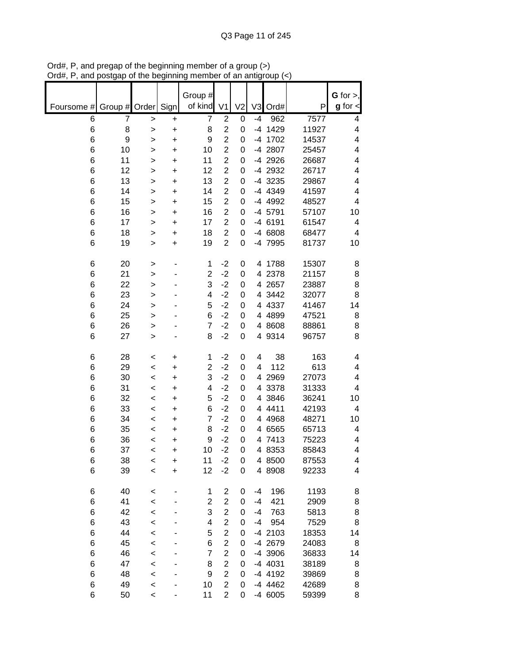|            |               |              |                        | Group #        |                                  |                |                |                 |                | $G$ for $>$ , |
|------------|---------------|--------------|------------------------|----------------|----------------------------------|----------------|----------------|-----------------|----------------|---------------|
| Foursome # | Group # Order |              | Sign                   | of kind        | V <sub>1</sub>                   | V <sub>2</sub> | V <sub>3</sub> | Ord#            | P              | $g$ for $\lt$ |
| 6          | 7             | $\geq$       | +                      | 7              | $\overline{2}$                   | 0              | $-4$           | 962             | 7577           | 4             |
| 6          | 8             | $\geq$       | $\ddot{}$              | 8              | $\overline{c}$                   | 0              | -4             | 1429            | 11927          | 4             |
| 6          | 9<br>10       | $\geq$       | $\ddot{}$              | 9<br>10        | $\overline{2}$<br>$\overline{2}$ | 0<br>0         | -4             | 1702<br>-4 2807 | 14537<br>25457 | 4<br>4        |
| 6<br>6     | 11            | >            | $\ddot{}$<br>$\ddot{}$ | 11             | $\overline{2}$                   | 0              |                | -4 2926         | 26687          | 4             |
| 6          | 12            | ><br>>       | $\ddot{}$              | 12             | $\overline{2}$                   | 0              |                | -4 2932         | 26717          | 4             |
| 6          | 13            | >            | $\ddot{}$              | 13             | $\overline{2}$                   | 0              |                | -4 3235         | 29867          | 4             |
| 6          | 14            | >            | $\ddot{}$              | 14             | $\overline{\mathbf{c}}$          | 0              |                | -4 4349         | 41597          | 4             |
| 6          | 15            | $\geq$       | $\ddot{}$              | 15             | $\overline{2}$                   | 0              |                | -4 4992         | 48527          | 4             |
| 6          | 16            | >            | +                      | 16             | $\overline{\mathbf{c}}$          | 0              |                | -4 5791         | 57107          | 10            |
| 6          | 17            | >            | $\ddot{}$              | 17             | $\overline{2}$                   | 0              |                | -4 6191         | 61547          | 4             |
| 6          | 18            | >            | +                      | 18             | $\overline{2}$                   | 0              |                | -4 6808         | 68477          | 4             |
| 6          | 19            | $\geq$       | +                      | 19             | $\overline{2}$                   | 0              |                | -4 7995         | 81737          | 10            |
|            |               |              |                        |                |                                  |                |                |                 |                |               |
| 6          | 20            | >            |                        | 1              | $-2$                             | 0              |                | 4 1788          | 15307          | 8             |
| 6          | 21            | $\mathbf{I}$ |                        | $\overline{c}$ | $-2$                             | 0              | 4              | 2378            | 21157          | 8             |
| 6          | 22            | $\geq$       |                        | 3              | $-2$                             | 0              |                | 4 2657          | 23887          | 8             |
| 6          | 23            | $\geq$       |                        | 4              | $-2$                             | 0              |                | 4 3442          | 32077          | 8             |
| 6          | 24            | $\geq$       |                        | 5              | $-2$                             | 0              |                | 4 4337          | 41467          | 14            |
| 6          | 25            | $\geq$       |                        | 6              | $-2$                             | 0              |                | 4 4899          | 47521          | 8             |
| 6          | 26            | >            |                        | 7              | $-2$                             | 0              |                | 4 8608          | 88861          | 8             |
| 6          | 27            | $\geq$       |                        | 8              | $-2$                             | 0              |                | 4 9314          | 96757          | 8             |
| 6          | 28            | $\prec$      | +                      | 1              | $-2$                             | 0              | 4              | 38              | 163            | 4             |
| 6          | 29            | $\prec$      | $\ddot{}$              | 2              | $-2$                             | 0              | 4              | 112             | 613            | 4             |
| 6          | 30            | $\,<$        | $\ddot{}$              | 3              | $-2$                             | 0              |                | 4 2969          | 27073          | 4             |
| 6          | 31            | $\,<$        | +                      | 4              | $-2$                             | 0              | 4              | 3378            | 31333          | 4             |
| 6          | 32            | $\,<$        | +                      | 5              | $-2$                             | 0              | 4              | 3846            | 36241          | 10            |
| 6          | 33            | $\,<$        | +                      | 6              | $-2$                             | 0              |                | 4 4411          | 42193          | 4             |
| 6          | 34            | $\,<$        | +                      | 7              | $-2$                             | 0              |                | 4 4 9 6 8       | 48271          | 10            |
| 6          | 35            | $\,<$        | $\ddot{}$              | 8              | $-2$                             | 0              |                | 4 6565          | 65713          | 4             |
| 6          | 36            | $\,<$        | $\ddot{}$              | 9              | $-2$                             | 0              |                | 4 7413          | 75223          | 4             |
| 6          | 37            | $\,<$        | $\ddot{}$              | 10             | $-2$                             | 0              |                | 4 8353          | 85843          | 4             |
| 6          | 38            | <            | $\ddot{}$              | 11             | $-2$                             | 0              |                | 4 8500          | 87553          | 4             |
| 6          | 39            | $\,<$        | $\ddot{}$              | 12             | $-2$                             | 0              |                | 4 8908          | 92233          | 4             |
| 6          | 40            | $\,<$        |                        | 1              | $\overline{c}$                   | 0              | -4             | 196             | 1193           | 8             |
| 6          | 41            | $\prec$      |                        | $\overline{2}$ | $\overline{2}$                   | 0              | $-4$           | 421             | 2909           | 8             |
| 6          | 42            | $\prec$      |                        | 3              | $\overline{2}$                   | 0              | -4             | 763             | 5813           | 8             |
| 6          | 43            | $\prec$      |                        | 4              | $\overline{c}$                   | 0              | -4             | 954             | 7529           | 8             |
| 6          | 44            | $\prec$      |                        | 5              | $\overline{\mathbf{c}}$          | 0              |                | -4 2103         | 18353          | 14            |
| 6          | 45            | $\prec$      |                        | 6              | $\overline{\mathbf{c}}$          | 0              |                | -4 2679         | 24083          | 8             |
| 6          | 46            | $\prec$      |                        | 7              | $\overline{2}$                   | 0              |                | -4 3906         | 36833          | 14            |
| 6          | 47            | $\prec$      |                        | 8              | $\overline{\mathbf{c}}$          | 0              |                | -4 4031         | 38189          | 8             |
| 6          | 48            | $\prec$      |                        | 9              | $\overline{2}$                   | 0              |                | -4 4192         | 39869          | 8             |
| 6          | 49            | $\prec$      |                        | 10             | $\overline{c}$                   | 0              |                | -4 4462         | 42689          | 8             |
| 6          | 50            | $\,<$        |                        | 11             | $\overline{2}$                   | 0              |                | -4 6005         | 59399          | 8             |

Ord#, P, and pregap of the beginning member of a group (>) Ord#, P, and postgap of the beginning member of an antigroup (<)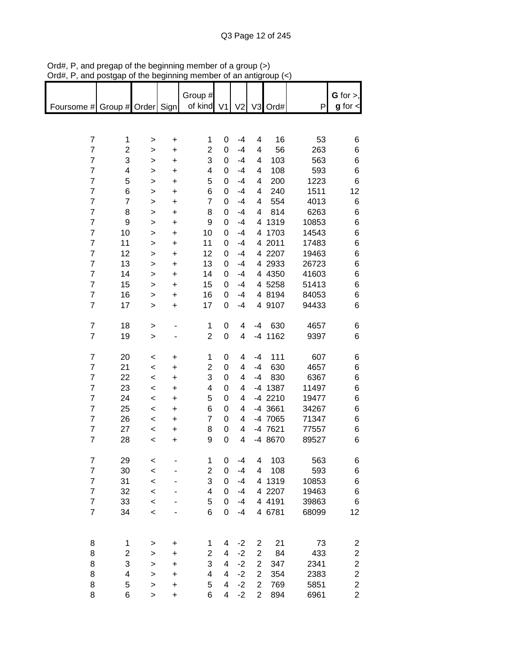| $m_{\pi}$ , r, and posigap or the beginning member or an anigroup $\langle \cdot \rangle$ |                         |              |           |                         |                          |                |                |           |       |                         |
|-------------------------------------------------------------------------------------------|-------------------------|--------------|-----------|-------------------------|--------------------------|----------------|----------------|-----------|-------|-------------------------|
|                                                                                           |                         |              |           |                         |                          |                |                |           |       | $G$ for $>$ ,           |
|                                                                                           |                         |              |           | Group #                 |                          |                |                |           |       |                         |
| Foursome # Group # Order Sign                                                             |                         |              |           | of kind                 | V <sub>1</sub>           | V <sub>2</sub> |                | V3 Ord#   | P     | $g$ for $\lt$           |
|                                                                                           |                         |              |           |                         |                          |                |                |           |       |                         |
|                                                                                           |                         |              |           |                         |                          |                |                |           |       |                         |
| $\overline{7}$                                                                            | 1                       | $\geq$       | $\ddot{}$ | 1                       | 0                        | $-4$           | 4              | 16        | 53    | 6                       |
| $\overline{7}$                                                                            | $\overline{\mathbf{c}}$ | $\mathbf{I}$ | $\ddot{}$ | $\overline{2}$          | 0                        | $-4$           | 4              | 56        | 263   | 6                       |
| $\overline{7}$                                                                            | 3                       | $\geq$       | $\ddot{}$ | 3                       | 0                        | $-4$           | 4              | 103       | 563   | 6                       |
| $\overline{7}$                                                                            | 4                       | >            | $\ddot{}$ | 4                       | 0                        | $-4$           | 4              | 108       | 593   | 6                       |
| $\overline{\mathbf{7}}$                                                                   | 5                       | >            | $\ddot{}$ | 5                       | 0                        | $-4$           | 4              | 200       | 1223  | 6                       |
| $\overline{7}$                                                                            | 6                       | >            | $\ddot{}$ | 6                       | 0                        | $-4$           | 4              | 240       | 1511  | 12                      |
| $\overline{7}$                                                                            | $\overline{\mathbf{7}}$ | >            | $\ddot{}$ | $\overline{7}$          | 0                        | $-4$           | 4              | 554       | 4013  | $\,6$                   |
| $\overline{7}$                                                                            | 8                       | >            | $\ddot{}$ | 8                       | 0                        | $-4$           | 4              | 814       | 6263  | 6                       |
| $\overline{7}$                                                                            | $\boldsymbol{9}$        | >            | $\ddot{}$ | 9                       | 0                        | $-4$           |                | 4 1319    | 10853 | 6                       |
| $\overline{7}$                                                                            | 10                      | >            | $\ddot{}$ | 10                      | 0                        | $-4$           |                | 4 1703    | 14543 | 6                       |
| $\overline{\mathbf{7}}$                                                                   | 11                      | $\geq$       | $\ddot{}$ | 11                      | 0                        | $-4$           |                | 4 2011    | 17483 | 6                       |
| $\overline{7}$                                                                            | 12                      |              |           | 12                      | 0                        | $-4$           |                | 4 2207    | 19463 | 6                       |
| $\overline{7}$                                                                            | 13                      | >            | +         | 13                      | 0                        | $-4$           |                | 4 2933    | 26723 |                         |
| $\overline{7}$                                                                            |                         | >            | $\ddot{}$ |                         |                          |                |                |           |       | 6                       |
|                                                                                           | 14                      | >            | +         | 14                      | 0                        | $-4$           |                | 4 4 3 5 0 | 41603 | 6                       |
| $\overline{\mathbf{7}}$                                                                   | 15                      | >            | $\ddot{}$ | 15                      | 0                        | $-4$           |                | 4 5258    | 51413 | 6                       |
| $\overline{\mathcal{I}}$                                                                  | 16                      | >            | +         | 16                      | 0                        | $-4$           |                | 4 8194    | 84053 | 6                       |
| $\overline{7}$                                                                            | 17                      | $\geq$       | $\ddot{}$ | 17                      | 0                        | $-4$           |                | 4 9107    | 94433 | 6                       |
|                                                                                           |                         |              |           |                         |                          |                |                |           |       |                         |
| $\boldsymbol{7}$                                                                          | 18                      | $\geq$       |           | 1                       | 0                        | 4              | -4             | 630       | 4657  | 6                       |
| $\overline{7}$                                                                            | 19                      | $\geq$       |           | $\overline{2}$          | $\boldsymbol{0}$         | 4              |                | -4 1162   | 9397  | 6                       |
|                                                                                           |                         |              |           |                         |                          |                |                |           |       |                         |
| $\boldsymbol{7}$                                                                          | 20                      | $\,<$        | $\ddot{}$ | $\mathbf 1$             | 0                        | 4              | -4             | 111       | 607   | 6                       |
| $\overline{7}$                                                                            | 21                      | $\prec$      | $\ddot{}$ | $\overline{c}$          | $\mathbf 0$              | 4              | $-4$           | 630       | 4657  | 6                       |
| $\overline{\mathbf{7}}$                                                                   | 22                      | $\,<\,$      | $\ddot{}$ | 3                       | 0                        | 4              | $-4$           | 830       | 6367  | 6                       |
| $\overline{7}$                                                                            | 23                      | $\prec$      | $\ddot{}$ | $\overline{\mathbf{4}}$ | 0                        | 4              |                | -4 1387   | 11497 | 6                       |
| $\overline{\mathbf{7}}$                                                                   | 24                      | $\prec$      | $\ddot{}$ | 5                       | 0                        | 4              |                | -4 2210   | 19477 | 6                       |
| $\overline{\mathbf{7}}$                                                                   | 25                      | $\,<$        | $\ddot{}$ | 6                       | 0                        | 4              |                | -4 3661   | 34267 | 6                       |
| $\overline{\mathbf{7}}$                                                                   | 26                      | $\,<$        | $\ddot{}$ | $\overline{7}$          | 0                        | 4              |                | -4 7065   | 71347 | 6                       |
| $\overline{\mathbf{7}}$                                                                   | 27                      | $\,<$        | $\ddot{}$ | 8                       | 0                        | 4              |                | -4 7621   | 77557 | 6                       |
| $\overline{7}$                                                                            | 28                      | $\,<$        | +         | 9                       | 0                        | 4              |                | -4 8670   | 89527 | 6                       |
|                                                                                           |                         |              |           |                         |                          |                |                |           |       |                         |
| $\overline{7}$                                                                            | 29                      | <            |           | 1                       | 0                        | $-4$           | 4              | 103       | 563   | 6                       |
| $\overline{7}$                                                                            | 30                      | $\,<$        |           | $\overline{2}$          | 0                        | $-4$           | 4              | 108       | 593   | 6                       |
| $\overline{7}$                                                                            |                         |              |           | 3                       |                          |                |                | 1319      |       |                         |
|                                                                                           | 31                      | $\prec$      |           |                         | 0                        | $-4$           | 4              |           | 10853 | 6                       |
| $\overline{7}$                                                                            | 32                      | $\prec$      |           | 4                       | 0                        | $-4$           |                | 4 2207    | 19463 | 6                       |
| $\overline{\mathcal{I}}$                                                                  | 33                      | $\prec$      |           | 5                       | 0                        | $-4$           |                | 4 4191    | 39863 | 6                       |
| $\overline{\mathcal{I}}$                                                                  | 34                      | $\prec$      |           | 6                       | 0                        | $-4$           |                | 4 6781    | 68099 | 12                      |
|                                                                                           |                         |              |           |                         |                          |                |                |           |       |                         |
|                                                                                           |                         |              |           |                         |                          |                |                |           |       |                         |
| 8                                                                                         | 1                       | >            | $\ddot{}$ | 1                       | 4                        | $-2$           | 2              | 21        | 73    | 2                       |
| 8                                                                                         | $\overline{\mathbf{c}}$ | >            | $\ddot{}$ | $\overline{c}$          | $\overline{\mathcal{A}}$ | $-2$           | $\overline{2}$ | 84        | 433   | $\overline{\mathbf{c}}$ |
| 8                                                                                         | 3                       | $\mathbf{I}$ | $\ddot{}$ | 3                       | $\overline{\mathbf{4}}$  | $-2$           | $\overline{2}$ | 347       | 2341  | $\overline{\mathbf{c}}$ |
| 8                                                                                         | 4                       | $\mathbf{I}$ | $\ddot{}$ | $\overline{\mathbf{4}}$ | $\overline{4}$           | $-2$           | $\overline{2}$ | 354       | 2383  | $\overline{\mathbf{c}}$ |
| 8                                                                                         | 5                       | >            | $\ddot{}$ | 5                       | 4                        | $-2$           | $\overline{c}$ | 769       | 5851  | $\overline{\mathbf{c}}$ |
| 8                                                                                         | 6                       | $\geq$       | $\ddot{}$ | 6                       | $\overline{4}$           | $-2$           | $\overline{2}$ | 894       | 6961  | $\overline{2}$          |

Ord#, P, and pregap of the beginning member of a group (>) Ord#, P, and postgap of the beginning member of an antigroup (<)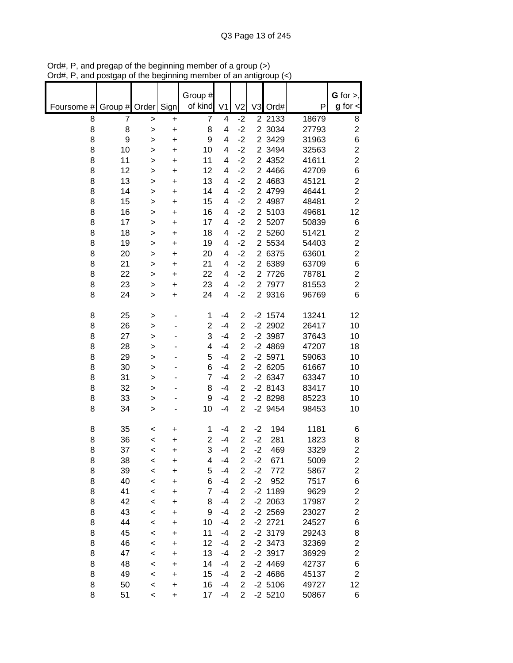|            |               |                    |                        | Group #        |                |                                           |                |                        |                | G for $>$ ,             |
|------------|---------------|--------------------|------------------------|----------------|----------------|-------------------------------------------|----------------|------------------------|----------------|-------------------------|
| Foursome # | Group # Order |                    | Sign                   | of kind        | V <sub>1</sub> | V <sub>2</sub>                            | V3             | Ord#                   | P              | $g$ for $\lt$           |
| 8          | 7             | $\geq$             | +                      | 7              | 4              | $-2$                                      |                | 2 2133                 | 18679          | 8                       |
| 8          | 8             | $\geq$             | $\ddot{}$              | 8              | 4              | $-2$                                      |                | 2 3034                 | 27793          | $\overline{c}$          |
| 8          | 9             | >                  | $\ddot{}$              | 9              | 4              | $-2$<br>$-2$                              |                | 2 3429<br>2 3494       | 31963          | 6<br>$\overline{2}$     |
| 8<br>8     | 10<br>11      | >                  | $\ddot{}$              | 10<br>11       | 4<br>4         | $-2$                                      |                | 2 4352                 | 32563<br>41611 | $\overline{\mathbf{c}}$ |
| 8          | 12            | ><br>>             | $\ddot{}$<br>$\ddot{}$ | 12             | 4              | $-2$                                      |                | 2 4466                 | 42709          | 6                       |
| 8          | 13            | $\mathbf{I}$       | $\ddot{}$              | 13             | 4              | $-2$                                      |                | 2 4683                 | 45121          | $\overline{\mathbf{c}}$ |
| 8          | 14            | $\geq$             | $\ddot{}$              | 14             | 4              | $-2$                                      |                | 2 4799                 | 46441          | $\overline{c}$          |
| 8          | 15            | $\geq$             | +                      | 15             | 4              | $-2$                                      | $\overline{2}$ | 4987                   | 48481          | $\overline{c}$          |
| 8          | 16            | >                  | $\ddot{}$              | 16             | 4              | $-2$                                      |                | 2 5103                 | 49681          | 12                      |
| 8          | 17            | >                  | $\ddot{}$              | 17             | 4              | $-2$                                      |                | 2 5207                 | 50839          | 6                       |
| 8          | 18            | >                  | +                      | 18             | 4              | $-2$                                      |                | 2 5260                 | 51421          | $\overline{\mathbf{c}}$ |
| 8          | 19            | >                  | +                      | 19             | 4              | $-2$                                      |                | 2 5534                 | 54403          | $\overline{c}$          |
| 8          | 20            | >                  | $\ddot{}$              | 20             | 4              | $-2$                                      |                | 2 6375                 | 63601          | $\overline{c}$          |
| 8          | 21            | >                  | +                      | 21             | 4              | $-2$                                      |                | 2 6389                 | 63709          | 6                       |
| 8          | 22            | $\geq$             | $\ddot{}$              | 22             | 4              | $-2$                                      |                | 2 7726                 | 78781          | $\overline{\mathbf{c}}$ |
| 8          | 23            | $\geq$             | $\ddot{}$              | 23             | 4              | $-2$                                      |                | 2 7977                 | 81553          | $\overline{c}$          |
| 8          | 24            | $\geq$             | +                      | 24             | 4              | $-2$                                      |                | 2 9316                 | 96769          | 6                       |
| 8          | 25            | >                  |                        | 1              | $-4$           | $\overline{2}$                            |                | $-2$ 1574              | 13241          | 12                      |
| 8          | 26            | $\geq$             |                        | $\overline{2}$ | $-4$           | $\overline{2}$                            |                | $-2$ 2902              | 26417          | 10                      |
| 8          | 27            | $\mathbf{I}$       |                        | 3              | $-4$           | $\overline{2}$                            |                | $-2$ 3987              | 37643          | 10                      |
| 8          | 28            | $\mathbf{I}$       |                        | 4              | $-4$           | $\overline{2}$                            |                | $-2$ 4869              | 47207          | 18                      |
| 8          | 29            | >                  |                        | 5              | $-4$           | $\overline{\mathbf{c}}$                   |                | $-2$ 5971              | 59063          | 10                      |
| 8<br>8     | 30<br>31      | $\geq$             |                        | 6<br>7         | $-4$<br>$-4$   | $\overline{c}$<br>$\overline{\mathbf{c}}$ |                | $-26205$<br>$-26347$   | 61667<br>63347 | 10<br>10                |
| 8          | 32            | ><br>>             |                        | 8              | $-4$           | $\overline{c}$                            |                | $-28143$               | 83417          | 10                      |
| 8          | 33            | >                  |                        | 9              | $-4$           | $\overline{2}$                            |                | $-28298$               | 85223          | 10                      |
| 8          | 34            | $\geq$             |                        | 10             | $-4$           | 2                                         |                | $-2$ 9454              | 98453          | 10                      |
| 8          | 35            | <                  | +                      | 1              | $-4$           | $\overline{2}$                            | $-2$           | 194                    | 1181           | 6                       |
| 8          | 36            | <                  | $\ddot{}$              | 2              | $-4$           | $\overline{c}$                            | $-2$           | 281                    | 1823           | 8                       |
| 8          | 37            | $\,<$              | $\ddot{}$              | 3              | $-4$           | $\overline{2}$                            | $-2$           | 469                    | 3329           | $\overline{2}$          |
| 8          | 38            | $\,<$              | +                      | 4              | $-4$           | $\overline{c}$                            | $-2$           | 671                    | 5009           | 2                       |
| 8          | 39            | $\prec$            | $\ddot{}$              | 5              | $-4$           | $\overline{2}$                            | $-2$           | 772                    | 5867           | $\overline{\mathbf{c}}$ |
| 8          | 40            | $\prec$            | $\ddot{}$              | 6              | $-4$           | $\overline{2}$                            | $-2$           | 952                    | 7517           | 6                       |
| 8          | 41            | $\,<$              | $\ddot{}$              | 7              | $-4$           | $\overline{2}$                            |                | $-2$ 1189              | 9629           | $\overline{\mathbf{c}}$ |
| 8          | 42            | $\prec$            | $\ddot{}$              | 8              | $-4$           | $\overline{c}$                            |                | $-2$ 2063              | 17987          | $\overline{\mathbf{c}}$ |
| 8          | 43            | $\prec$            | $\ddot{}$              | 9              | $-4$           | $\overline{c}$                            |                | $-2$ 2569              | 23027          | $\overline{c}$          |
| 8          | 44            | $\prec$            | $\ddot{}$              | 10             | $-4$           | $\overline{\mathbf{c}}$                   |                | $-2$ 2721              | 24527          | 6                       |
| 8          | 45            | $\prec$            | $\ddot{}$              | 11             | $-4$           | $\overline{\mathbf{c}}$                   |                | $-2$ 3179              | 29243          | 8                       |
| 8          | 46            | $\prec$            | $\ddot{}$              | 12             | $-4$           | $\overline{\mathbf{c}}$                   |                | $-2$ 3473              | 32369          | $\overline{\mathbf{c}}$ |
| 8<br>8     | 47<br>48      | $\,<$              | $\ddot{}$              | 13<br>14       | $-4$<br>$-4$   | $\overline{\mathbf{c}}$<br>2              |                | $-2$ 3917<br>$-2$ 4469 | 36929<br>42737 | $\overline{c}$<br>6     |
| 8          | 49            | $\prec$<br>$\prec$ | $\ddot{}$<br>$\ddot{}$ | 15             | $-4$           | $\overline{\mathbf{c}}$                   |                | $-24686$               | 45137          | $\overline{c}$          |
| 8          | 50            | $\,<$              | $\ddot{}$              | 16             | $-4$           | $\overline{2}$                            |                | $-2,5106$              | 49727          | 12                      |
| 8          | 51            | $\,<\,$            | $\ddot{}$              | 17             | $-4$           | $\overline{2}$                            |                | $-2$ 5210              | 50867          | 6                       |

Ord#, P, and pregap of the beginning member of a group (>) Ord#, P, and postgap of the beginning member of an antigroup (<)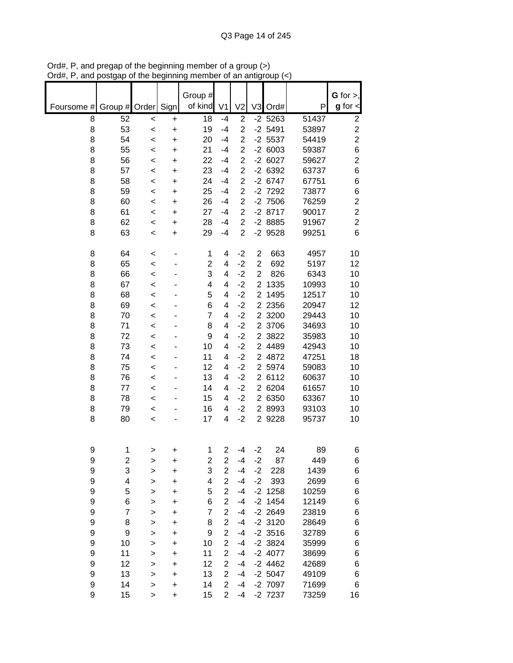|            |                         |              |           | Group #        |                |                |                |              |                | G for $>$ ,    |
|------------|-------------------------|--------------|-----------|----------------|----------------|----------------|----------------|--------------|----------------|----------------|
| Foursome # | Group # Order           |              | Sign      | of kind        | V <sub>1</sub> | V <sub>2</sub> | V <sub>3</sub> | Ord#         | P              | $g$ for $\lt$  |
| 8          | 52                      | $\,<$        | $\ddot{}$ | 18             | $-4$           | $\overline{2}$ |                | $-2$ 5263    | 51437          | $\mathbf 2$    |
| 8          | 53                      | $\prec$      | +         | 19             | $-4$           | $\overline{2}$ |                | $-2$ 5491    | 53897          | $\overline{c}$ |
| 8          | 54                      | $\,<$        | $\ddot{}$ | 20             | $-4$           | $\overline{2}$ |                | $-2$ 5537    | 54419          | $\overline{2}$ |
| 8          | 55                      | $\,<$        | $\ddot{}$ | 21             | $-4$           | $\overline{2}$ |                | $-26003$     | 59387          | 6              |
| 8          | 56                      | $\,<$        | $\ddot{}$ | 22             | $-4$           | $\overline{2}$ |                | $-26027$     | 59627          | $\overline{2}$ |
| 8          | 57                      | $\prec$      | +         | 23             | $-4$           | $\overline{c}$ |                | $-26392$     | 63737          | $\,6$          |
| 8          | 58                      | $\,<$        | +         | 24             | -4             | $\overline{2}$ |                | $-26747$     | 67751          | $\,6$          |
| 8          | 59                      | $\,<$        | +         | 25             | -4             | $\overline{c}$ |                | -2 7292      | 73877          | $\,6$          |
| 8          | 60                      | $\,<$        | +         | 26             | -4             | $\overline{2}$ |                | $-2$ 7506    | 76259          | $\overline{c}$ |
| 8          | 61                      | $\,<$        | +         | 27             | $-4$           | $\overline{2}$ |                | $-28717$     | 90017          | $\overline{c}$ |
| 8          | 62                      | $\,<$        | +         | 28             | $-4$           | $\overline{2}$ |                | $-28885$     | 91967          | $\overline{c}$ |
| 8          | 63                      | $\,<$        | +         | 29             | -4             | $\overline{2}$ |                | $-2$ 9528    | 99251          | $6\phantom{1}$ |
| 8          | 64                      | $\,<$        | ٠         | 1              | 4              | $-2$           | $\overline{c}$ | 663          | 4957           | 10             |
| 8          | 65                      | $\prec$      |           | $\overline{2}$ | 4              | $-2$           | $\overline{2}$ | 692          | 5197           | 12             |
| 8          | 66                      | $\prec$      |           | 3              | 4              | $-2$           | $\overline{2}$ | 826          | 6343           | 10             |
| 8          | 67                      | $\prec$      |           | 4              | 4              | $-2$           | $\overline{2}$ | 1335         | 10993          | 10             |
| 8          | 68                      | $\prec$      |           | 5              | 4              | $-2$           | $\overline{2}$ | 1495         | 12517          | 10             |
| 8          | 69                      | $\prec$      |           | 6              | 4              | $-2$           |                | 2 2 3 5 6    | 20947          | 12             |
| 8          | 70                      | $\prec$      |           | $\overline{7}$ | 4              | $-2$           |                | 2 3200       | 29443          | 10             |
| 8          | 71                      | $\,<$        |           | 8              | 4              | $-2$           |                | 2 3706       | 34693          | 10             |
| 8          | 72                      | $\prec$      |           | 9              | 4              | $-2$           |                | 2 3822       | 35983          | 10             |
| 8          | 73                      | $\prec$      |           | 10             | 4              | $-2$           |                | 2 4489       | 42943          | 10             |
| 8          | 74                      | $\prec$      |           | 11             | 4              | $-2$           |                | 2 4872       | 47251          | 18             |
| 8          | 75                      | $\,<$        |           | 12             | 4              | $-2$           | $\overline{2}$ | 5974         | 59083          | 10             |
| 8<br>8     | 76<br>77                | $\,<$        |           | 13             | 4<br>4         | $-2$           | $\overline{2}$ | 6112<br>6204 | 60637          | 10             |
| 8          | 78                      | $\,<$        |           | 14<br>15       | 4              | $-2$<br>$-2$   | $\overline{2}$ | 2 6350       | 61657<br>63367 | 10<br>10       |
| 8          | 79                      | $\,<$        |           | 16             | 4              | $-2$           |                | 2 8993       | 93103          | 10             |
| 8          | 80                      | $\,<$        |           | 17             | 4              | $-2$           |                | 2 9228       | 95737          | 10             |
|            |                         | <            |           |                |                |                |                |              |                |                |
| 9          | 1                       | >            | +         | 1              | $\overline{2}$ | -4             | $-2$           | 24           | 89             | 6              |
| 9          | $\overline{\mathbf{c}}$ | >            | +         | 2              | $\overline{c}$ | $-4$           | $-2$           | 87           | 449            | 6              |
| 9          | 3                       | >            | $\ddot{}$ | 3              | $\overline{2}$ | $-4$           | $-2$           | 228          | 1439           | 6              |
| 9          | 4                       | >            | +         | 4              | $\overline{2}$ | $-4$           | $-2$           | 393          | 2699           | 6              |
| 9          | 5                       | $\mathbf{I}$ | +         | 5              | $\overline{2}$ | $-4$           |                | $-2$ 1258    | 10259          | 6              |
| 9          | 6                       | $\mathbf{I}$ | $\ddot{}$ | 6              | $\overline{2}$ | $-4$           |                | $-2$ 1454    | 12149          | 6              |
| 9          | $\overline{7}$          | $\mathbf{I}$ | +         | $\overline{7}$ | $\overline{c}$ | $-4$           |                | $-2$ 2649    | 23819          | 6              |
| 9          | 8                       | $\mathbf{I}$ | +         | 8              | $\overline{2}$ | $-4$           |                | $-2$ 3120    | 28649          | 6              |
| 9          | 9                       | $\mathbf{I}$ | +         | 9              | $\overline{c}$ | -4             |                | $-2$ 3516    | 32789          | 6              |
| 9          | 10                      | >            | +         | 10             | $\overline{2}$ | $-4$           |                | $-2$ 3824    | 35999          | 6              |
| 9          | 11                      | >            | +         | 11             | $\overline{2}$ | -4             |                | -2 4077      | 38699          | 6              |
| 9          | 12                      | >            | +         | 12             | 2              | $-4$           |                | $-2$ 4462    | 42689          | 6              |
| 9          | 13                      | >            | +         | 13             | $\overline{2}$ | $-4$           |                | $-2$ 5047    | 49109          | 6              |
| 9          | 14                      | >            | +         | 14             | $\overline{2}$ | -4             |                | -2 7097      | 71699          | 6              |
| 9          | 15                      | >            | +         | 15             | $\overline{2}$ | -4             |                | -2 7237      | 73259          | 16             |

Ord#, P, and pregap of the beginning member of a group (>) Ord#, P, and postgap of the beginning member of an antigroup (<)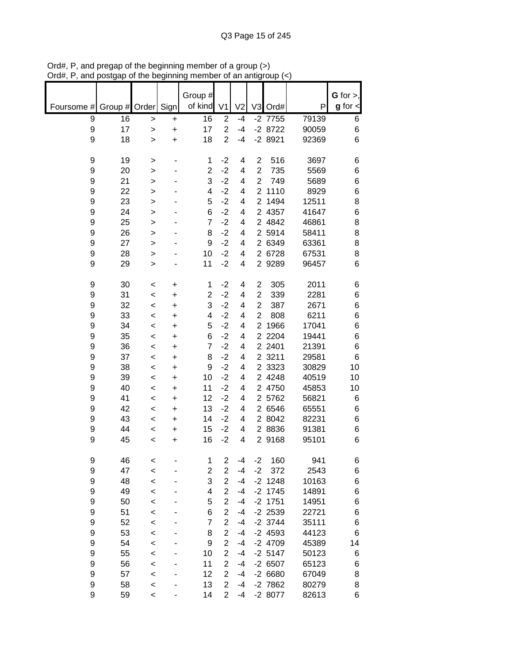|            |               |         |           | Group #                 |                         |                |                |           |       | $G$ for $>$ , |
|------------|---------------|---------|-----------|-------------------------|-------------------------|----------------|----------------|-----------|-------|---------------|
| Foursome # | Group # Order |         | Signl     | of kind                 | V <sub>1</sub>          | V <sub>2</sub> |                | V3 Ord#   | P     | $g$ for $\lt$ |
|            |               |         |           |                         |                         |                |                |           |       |               |
| 9          | 16            | >       | +         | 16                      | $\overline{2}$          | $-4$           |                | $-2$ 7755 | 79139 | 6             |
| 9          | 17            | $\geq$  | +         | 17                      | $\overline{2}$          | $-4$           |                | $-28722$  | 90059 | 6             |
| 9          | 18            | $\geq$  | $\ddot{}$ | 18                      | $\overline{2}$          | $-4$           |                | $-28921$  | 92369 | 6             |
|            |               |         |           |                         |                         |                |                |           |       |               |
| 9          | 19            | >       |           | 1                       | $-2$                    | 4              | $\overline{2}$ | 516       | 3697  | 6             |
| 9          | 20            | $\geq$  |           | $\overline{c}$          | $-2$                    | 4              | $\overline{2}$ | 735       | 5569  | 6             |
| 9          | 21            | $\geq$  |           | 3                       | $-2$                    | 4              | $\overline{2}$ | 749       | 5689  | 6             |
| 9          | 22            | >       |           | 4                       | $-2$                    | 4              | $\overline{2}$ | 1110      | 8929  | $\,6$         |
| 9          | 23            | $\geq$  |           | 5                       | $-2$                    | 4              | $\overline{2}$ | 1494      | 12511 | 8             |
| 9          | 24            | >       |           | 6                       | $-2$                    | 4              |                | 2 4357    | 41647 | 6             |
| 9          | 25            | $\geq$  |           | 7                       | $-2$                    | 4              |                | 2 4842    | 46861 | 8             |
| 9          | 26            | $\geq$  |           | 8                       | $-2$                    | 4              |                | 2 5914    | 58411 | 8             |
| 9          | 27            | $\geq$  |           | 9                       | $-2$                    | 4              |                | 2 6349    | 63361 | 8             |
| 9          | 28            | $\geq$  |           | 10                      | $-2$                    | 4              |                | 2 6728    | 67531 | 8             |
| 9          | 29            |         |           | 11                      | $-2$                    | 4              |                | 2 9 2 8 9 | 96457 | 6             |
|            |               | $\geq$  |           |                         |                         |                |                |           |       |               |
|            |               |         |           |                         |                         |                |                |           |       |               |
| 9          | 30            | $\,<$   | +         | 1                       | $-2$                    | 4              | $\overline{2}$ | 305       | 2011  | 6             |
| 9          | 31            | $\,<$   | $\ddot{}$ | $\overline{2}$          | $-2$                    | 4              | $\overline{2}$ | 339       | 2281  | 6             |
| 9          | 32            | $\,<$   | $\ddot{}$ | 3                       | $-2$                    | 4              | $\overline{2}$ | 387       | 2671  | 6             |
| 9          | 33            | $\,<$   | $\ddot{}$ | $\overline{\mathbf{4}}$ | $-2$                    | 4              | $\overline{2}$ | 808       | 6211  | 6             |
| 9          | 34            | $\,<$   | $\ddot{}$ | 5                       | $-2$                    | 4              | $\overline{2}$ | 1966      | 17041 | 6             |
| 9          | 35            | $\,<$   | +         | 6                       | $-2$                    | 4              |                | 2 2 2 0 4 | 19441 | 6             |
| 9          | 36            | $\,<$   | +         | $\overline{7}$          | $-2$                    | 4              |                | 2 2401    | 21391 | 6             |
| 9          | 37            | $\,<$   | +         | 8                       | $-2$                    | 4              |                | 2 3211    | 29581 | 6             |
| 9          | 38            | $\,<$   | +         | 9                       | $-2$                    | 4              | $\overline{2}$ | 3323      | 30829 | 10            |
| 9          | 39            | $\,<$   | +         | 10                      | $-2$                    | 4              |                | 2 4 2 4 8 | 40519 | 10            |
| 9          | 40            | $\,<$   | +         | 11                      | $-2$                    | 4              |                | 2 4750    | 45853 | 10            |
| 9          | 41            | $\,<$   | +         | 12                      | $-2$                    | 4              |                | 2 5762    | 56821 | 6             |
| 9          | 42            | $\,<$   | $\ddot{}$ | 13                      | $-2$                    | 4              |                | 2 6546    | 65551 | 6             |
| 9          | 43            | $\,<$   | +         | 14                      | $-2$                    | 4              |                | 2 8042    | 82231 | 6             |
| 9          | 44            |         |           | 15                      | $-2$                    | 4              |                | 2 8836    | 91381 | 6             |
| 9          |               | $\,<$   | +         |                         | $-2$                    | 4              |                | 2 9168    |       | 6             |
|            | 45            | $\,<$   | +         | 16                      |                         |                |                |           | 95101 |               |
|            |               |         |           |                         |                         |                |                |           |       |               |
| 9          | 46            | <       |           | 1                       | $\overline{2}$          | $-4$           | $-2$           | 160       | 941   | 6             |
| 9          | 47            | $\prec$ |           | $\overline{\mathbf{c}}$ | $\overline{2}$          | $-4$           | $-2$           | 372       | 2543  | 6             |
| 9          | 48            | $\prec$ |           | 3                       | $\overline{2}$          | $-4$           |                | $-2$ 1248 | 10163 | 6             |
| 9          | 49            | $\prec$ |           | 4                       | $\overline{c}$          | $-4$           |                | $-2$ 1745 | 14891 | 6             |
| 9          | 50            | $\prec$ |           | 5                       | $\overline{c}$          | $-4$           |                | $-2$ 1751 | 14951 | 6             |
| 9          | 51            | $\prec$ |           | 6                       | $\overline{\mathbf{c}}$ | $-4$           |                | $-2$ 2539 | 22721 | 6             |
| 9          | 52            | $\prec$ |           | $\overline{7}$          | $\overline{c}$          | $-4$           |                | $-2$ 3744 | 35111 | 6             |
| 9          | 53            | $\prec$ |           | 8                       | $\overline{c}$          | $-4$           |                | $-2$ 4593 | 44123 | 6             |
| 9          | 54            | $\prec$ |           | 9                       | $\overline{2}$          | $-4$           |                | $-2$ 4709 | 45389 | 14            |
| 9          | 55            | $\prec$ |           | 10                      | $\overline{2}$          | $-4$           |                | $-2$ 5147 | 50123 | 6             |
| 9          | 56            | $\prec$ |           | 11                      | $\overline{2}$          | $-4$           |                | $-26507$  | 65123 | 6             |
| 9          | 57            |         |           | 12                      | $\overline{2}$          | $-4$           |                |           |       |               |
|            |               | $\prec$ |           |                         |                         |                |                | $-26680$  | 67049 | 8             |
| 9          | 58            | $\prec$ |           | 13                      | $\overline{2}$          | $-4$           |                | $-2$ 7862 | 80279 | 8             |
| 9          | 59            | $\,<$   |           | 14                      | $\overline{2}$          | -4             |                | -2 8077   | 82613 | 6             |

Ord#, P, and pregap of the beginning member of a group (>) Ord#, P, and postgap of the beginning member of an antigroup (<)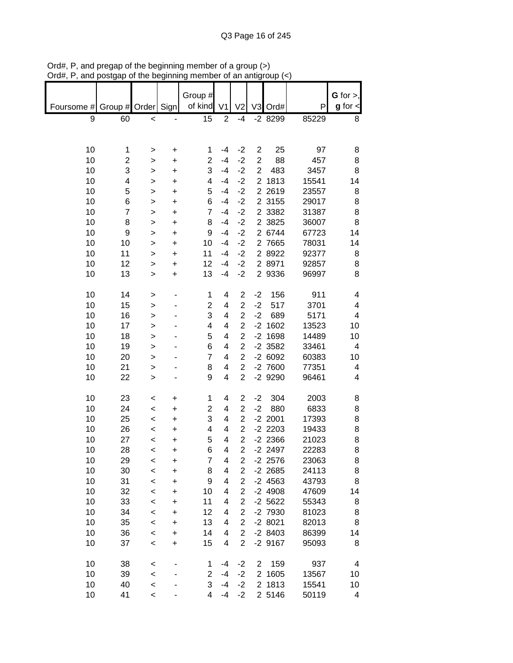|            |         |              |           | Group #        |                          |                         |                |           |       | $G$ for $>$ , |
|------------|---------|--------------|-----------|----------------|--------------------------|-------------------------|----------------|-----------|-------|---------------|
| Foursome # | Group # | Order        | Sign      | of kind        | V <sub>1</sub>           | V <sub>2</sub>          |                | V3 Ord#   | P     | $g$ for $\lt$ |
| 9          | 60      | $\,<$        |           | 15             | $\boldsymbol{2}$         | $-4$                    |                | -2 8299   | 85229 | 8             |
|            |         |              |           |                |                          |                         |                |           |       |               |
|            |         |              |           |                |                          |                         |                |           |       |               |
| 10         | 1       |              | +         | 1              | -4                       | $-2$                    | $\overline{2}$ | 25        | 97    | 8             |
| 10         | 2       | >            | $\ddot{}$ | $\overline{c}$ | $-4$                     | $-2$                    | $\overline{2}$ | 88        | 457   | 8             |
| 10         | 3       | >            | +         | 3              | $-4$                     | $-2$                    | $\overline{2}$ | 483       | 3457  | 8             |
| 10         | 4       | >            |           | 4              | $-4$                     | $-2$                    | $\overline{2}$ | 1813      | 15541 | 14            |
| 10         | 5       | >            | +         | 5              | $-4$                     | $-2$                    |                | 2 2 6 1 9 | 23557 |               |
| 10         |         | $\mathbf{I}$ | $\ddot{}$ | 6              | $-4$                     | $-2$                    |                | 2 3155    | 29017 | 8             |
|            | 6<br>7  | $\mathbf{I}$ | $\ddot{}$ | $\overline{7}$ | $-4$                     |                         |                |           |       | 8             |
| 10         |         | $\geq$       | $\ddot{}$ |                |                          | $-2$                    |                | 2 3 3 8 2 | 31387 | 8             |
| 10         | 8       | >            | +         | 8              | $-4$                     | $-2$                    |                | 2 3825    | 36007 | 8             |
| 10         | 9       | >            | $\ddot{}$ | 9              | $-4$                     | $-2$                    |                | 2 6744    | 67723 | 14            |
| 10         | 10      | $\mathbf{I}$ | +         | 10             | $-4$                     | $-2$                    |                | 2 7665    | 78031 | 14            |
| 10         | 11      | >            | +         | 11             | $-4$                     | $-2$                    |                | 2 8922    | 92377 | 8             |
| 10         | 12      | >            | +         | 12             | $-4$                     | $-2$                    |                | 2 8971    | 92857 | 8             |
| 10         | 13      | >            | $\ddot{}$ | 13             | $-4$                     | $-2$                    |                | 2 9336    | 96997 | 8             |
|            |         |              |           |                |                          |                         |                |           |       |               |
| 10         | 14      | >            |           | 1              | $\overline{\mathbf{4}}$  | $\overline{\mathbf{c}}$ | $-2$           | 156       | 911   | 4             |
| 10         | 15      | >            |           | $\overline{c}$ | 4                        | $\overline{2}$          | $-2$           | 517       | 3701  | 4             |
| 10         | 16      | >            |           | 3              | $\overline{\mathcal{A}}$ | $\overline{c}$          | $-2$           | 689       | 5171  | 4             |
| 10         | 17      | >            |           | 4              | 4                        | $\overline{c}$          |                | $-2$ 1602 | 13523 | 10            |
| 10         | 18      | >            |           | 5              | 4                        | $\overline{c}$          |                | $-2$ 1698 | 14489 | 10            |
| 10         | 19      | >            |           | 6              | 4                        | $\overline{2}$          |                | $-2$ 3582 | 33461 | 4             |
| 10         | 20      | >            |           | $\overline{7}$ | 4                        | $\overline{c}$          |                | $-26092$  | 60383 | 10            |
| 10         | 21      | >            |           | 8              | 4                        | $\overline{2}$          |                | $-27600$  | 77351 | 4             |
| 10         | 22      | $\mathbf{I}$ |           | 9              | $\overline{\mathbf{4}}$  | $\overline{2}$          |                | -2 9290   | 96461 | 4             |
| 10         | 23      | $\,<$        | +         | 1              | 4                        | $\overline{c}$          | $-2$           | 304       | 2003  | 8             |
| 10         | 24      | $\prec$      | +         | $\overline{c}$ | $\overline{\mathbf{4}}$  | $\overline{2}$          | $-2$           | 880       | 6833  | 8             |
| 10         | 25      | $\,<$        | +         | 3              | 4                        | $\overline{2}$          |                | $-2$ 2001 | 17393 | 8             |
| 10         | 26      | $\,<$        | +         | 4              | 4                        | $\overline{2}$          |                | $-2$ 2203 | 19433 | 8             |
| 10         | 27      | $\,<$        | +         | 5              | 4                        | $\overline{2}$          |                | $-2$ 2366 | 21023 | 8             |
| 10         | 28      | $\,<\,$      | $\ddot{}$ | 6              | 4                        | $\overline{2}$          |                | $-2$ 2497 | 22283 | 8             |
| 10         | 29      | $\,<$        | +         | 7              | 4                        | 2                       |                | $-2$ 2576 | 23063 | 8             |
| 10         | 30      | $\prec$      | $\ddot{}$ | 8              | 4                        | $\overline{c}$          |                | $-2$ 2685 | 24113 | 8             |
| 10         | 31      | $\prec$      | +         | 9              | $\overline{\mathcal{A}}$ | $\overline{c}$          |                | $-2$ 4563 | 43793 | 8             |
| 10         | 32      | $\,<$        | +         | 10             | 4                        | $\overline{2}$          |                | $-24908$  | 47609 | 14            |
| 10         | 33      | $\prec$      | +         | 11             | 4                        | $\overline{c}$          |                | $-2$ 5622 | 55343 | 8             |
| 10         | 34      | $\,<$        | +         | 12             | 4                        | $\overline{2}$          |                | -2 7930   | 81023 | 8             |
| 10         | 35      | $\,<$        | +         | 13             | 4                        | $\overline{2}$          |                | $-28021$  | 82013 | 8             |
| 10         | 36      | $\prec$      | $\ddot{}$ | 14             | 4                        | $\overline{2}$          |                | $-28403$  | 86399 | 14            |
| 10         | 37      | $\,<$        |           | 15             | 4                        | $\overline{2}$          |                | $-2$ 9167 | 95093 | 8             |
|            |         |              | $\ddot{}$ |                |                          |                         |                |           |       |               |
| 10         | 38      | $\,<$        |           | 1              | -4                       | $-2$                    | $\overline{2}$ | 159       | 937   | 4             |
| 10         | 39      | $\prec$      |           | $\overline{2}$ | $-4$                     | $-2$                    |                | 2 1605    | 13567 | 10            |
| 10         | 40      | $\prec$      |           | 3              | $-4$                     | $-2$                    |                | 2 1813    | 15541 | 10            |
| 10         | 41      | $\,<\,$      |           | 4              | $-4$                     | $-2$                    |                | 2 5146    | 50119 | 4             |

Ord#, P, and pregap of the beginning member of a group (>) Ord#, P, and postgap of the beginning member of an antigroup (<)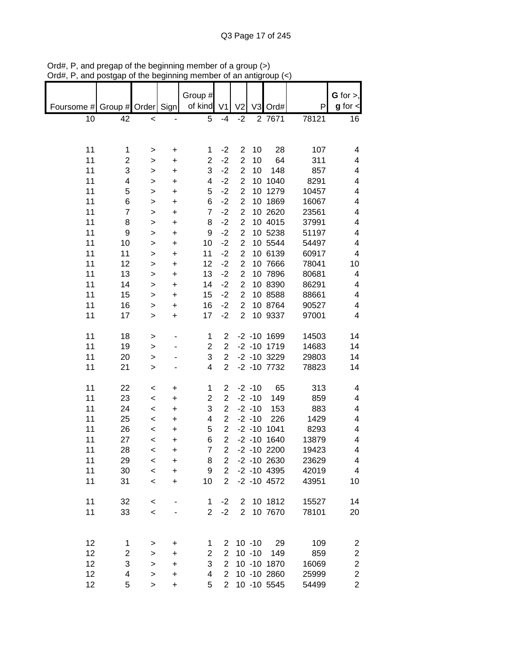| unu        | oolyup             | or are pogmumig          |           |                         |                |                |           | an amgroup (      |       |                         |
|------------|--------------------|--------------------------|-----------|-------------------------|----------------|----------------|-----------|-------------------|-------|-------------------------|
|            |                    |                          |           |                         |                |                |           |                   |       |                         |
|            |                    |                          |           | Group #                 |                |                |           |                   |       | $G$ for $>$ ,           |
| Foursome # | Group # Order Sign |                          |           | of kind                 | V <sub>1</sub> | V <sub>2</sub> |           | V3 Ord#           | P     | $g$ for $\lt$           |
| 10         | 42                 | $\,<$                    |           | 5                       | $-4$           | $-2$           |           | 2 7671            | 78121 | 16                      |
|            |                    |                          |           |                         |                |                |           |                   |       |                         |
|            |                    |                          |           |                         |                |                |           |                   |       |                         |
| 11         | 1                  | $\, > \,$                | $\ddot{}$ | 1                       | $-2$           | $\overline{c}$ | 10        | 28                | 107   | 4                       |
| 11         | $\overline{c}$     | $\,$                     | $\ddot{}$ | $\overline{2}$          | $-2$           | $\overline{2}$ | 10        | 64                | 311   | 4                       |
| 11         | 3                  | $\,$                     | $\ddot{}$ | 3                       | $-2$           | $\overline{2}$ | 10        | 148               | 857   | 4                       |
| 11         | 4                  | $\geq$                   | $\ddot{}$ | 4                       | $-2$           | $\overline{2}$ |           | 10 1040           | 8291  | 4                       |
| 11         | 5                  | $\geq$                   | $\ddot{}$ | 5                       | $-2$           | $\overline{2}$ |           | 10 1279           | 10457 | 4                       |
|            |                    |                          |           |                         | $-2$           | $\overline{2}$ |           |                   |       |                         |
| 11         | 6                  | $\mathbf{I}$             | $\ddot{}$ | 6                       |                |                |           | 10 1869           | 16067 | 4                       |
| 11         | $\overline{7}$     | $\mathbf{I}$             | $\ddot{}$ | $\overline{7}$          | $-2$           | $\overline{2}$ |           | 10 2620           | 23561 | 4                       |
| 11         | 8                  | $\mathbf{I}$             | $\ddot{}$ | 8                       | $-2$           | $\overline{2}$ |           | 10 4015           | 37991 | 4                       |
| 11         | 9                  | $\geq$                   | $\ddot{}$ | 9                       | $-2$           | $\overline{c}$ |           | 10 5238           | 51197 | 4                       |
| 11         | 10                 | $\mathbf{I}$             | $\ddot{}$ | 10                      | $-2$           | $\overline{c}$ |           | 10 5544           | 54497 | 4                       |
| 11         | 11                 | $\,$                     | $\ddot{}$ | 11                      | $-2$           | $\overline{c}$ |           | 10 6139           | 60917 | 4                       |
| 11         | 12                 | $\mathbf{I}$             | $\ddot{}$ | 12                      | $-2$           | $\overline{c}$ |           | 10 7666           | 78041 | 10                      |
| 11         | 13                 | >                        | $\ddot{}$ | 13                      | $-2$           | $\overline{c}$ |           | 10 7896           | 80681 | 4                       |
| 11         | 14                 | $\geq$                   | $\ddot{}$ | 14                      | $-2$           | $\overline{c}$ |           | 10 8390           | 86291 | 4                       |
| 11         | 15                 | $\geq$                   | $\ddot{}$ | 15                      | $-2$           | $\overline{2}$ |           | 10 8588           | 88661 | 4                       |
| 11         | 16                 | $\mathbf{I}$             | $\ddot{}$ | 16                      | $-2$           | $\overline{2}$ |           | 10 8764           | 90527 | 4                       |
| 11         | 17                 | $\geq$                   | $\ddot{}$ | 17                      | $-2$           | $\overline{2}$ |           | 10 9337           | 97001 | 4                       |
|            |                    |                          |           |                         |                |                |           |                   |       |                         |
| 11         | 18                 | $\,$                     |           | 1                       | $\overline{2}$ |                |           | $-2 - 10$ 1699    | 14503 | 14                      |
| 11         | 19                 | $\,$                     |           | $\overline{c}$          | $\overline{2}$ |                |           | $-2 - 10$ 1719    | 14683 | 14                      |
| 11         | 20                 | $\geq$                   |           | 3                       | $\overline{2}$ |                |           | $-2$ $-10$ 3229   | 29803 | 14                      |
| 11         | 21                 |                          |           | $\overline{\mathbf{4}}$ | $\overline{2}$ |                |           | $-2$ $-10$ $7732$ | 78823 | 14                      |
|            |                    | $\geq$                   |           |                         |                |                |           |                   |       |                         |
|            |                    |                          |           |                         |                |                |           |                   |       |                         |
| 11         | 22                 | $\prec$                  | $\ddot{}$ | $\mathbf{1}$            | $\overline{2}$ |                | $-2 - 10$ | 65                | 313   | 4                       |
| 11         | 23                 | $\overline{\phantom{a}}$ | $\ddot{}$ | $\overline{2}$          | $\overline{2}$ |                | $-2 - 10$ | 149               | 859   | 4                       |
| 11         | 24                 | $\prec$                  | $\ddot{}$ | 3                       | $\overline{2}$ |                | $-2 - 10$ | 153               | 883   | 4                       |
| 11         | 25                 | $\prec$                  | $\ddot{}$ | $\overline{\mathbf{4}}$ | $\overline{2}$ |                | $-2 - 10$ | 226               | 1429  | 4                       |
| 11         | 26                 | $\prec$                  | $\ddot{}$ | 5                       | $\overline{c}$ |                |           | $-2 - 10$ 1041    | 8293  | 4                       |
| 11         | 27                 | $\prec$                  | $\ddot{}$ | 6                       | $\overline{2}$ |                |           | $-2 - 10$ 1640    | 13879 | 4                       |
| 11         | 28                 | $\prec$                  | $\ddot{}$ | $\overline{\mathbf{7}}$ | $\overline{c}$ |                |           | $-2 - 10$ 2200    | 19423 | 4                       |
| 11         | 29                 | $\,<$                    | +         | 8                       | 2              |                |           | $-2 - 10$ 2630    | 23629 | 4                       |
| 11         | 30                 | $\prec$                  | +         | 9                       | $\overline{2}$ |                |           | $-2$ $-10$ $4395$ | 42019 | 4                       |
| 11         | 31                 | $\,<\,$                  | $\ddot{}$ | 10                      | $\overline{2}$ |                |           | $-2 - 10$ 4572    | 43951 | 10                      |
|            |                    |                          |           |                         |                |                |           |                   |       |                         |
| 11         | 32                 | $\,<$                    |           | 1                       | $-2$           | $\overline{2}$ |           | 10 1812           | 15527 | 14                      |
| 11         | 33                 | $\prec$                  |           | $\overline{2}$          | $-2$           | $\overline{2}$ |           | 10 7670           | 78101 | 20                      |
|            |                    |                          |           |                         |                |                |           |                   |       |                         |
|            |                    |                          |           |                         |                |                |           |                   |       |                         |
| 12         | 1                  | >                        | +         | 1                       | 2              |                | $10 - 10$ | 29                | 109   | 2                       |
| 12         | $\overline{c}$     | >                        | $\ddot{}$ | $\overline{2}$          | $\overline{2}$ |                | $10 - 10$ | 149               | 859   | $\overline{\mathbf{c}}$ |
| 12         | 3                  | >                        | $\ddot{}$ | 3                       | $\overline{2}$ |                |           | 10 -10 1870       | 16069 | $\overline{c}$          |
| 12         | 4                  |                          |           | 4                       | $\overline{2}$ |                |           | 10 -10 2860       | 25999 | $\overline{c}$          |
|            | 5                  | $\,$                     | $\ddot{}$ | 5                       | $\overline{2}$ |                |           | 10 -10 5545       |       |                         |
| 12         |                    | >                        | $\ddot{}$ |                         |                |                |           |                   | 54499 | $\overline{2}$          |

Ord#, P, and pregap of the beginning member of a group (>) Ord#, P, and postgap of the beginning member of an antigroup (<)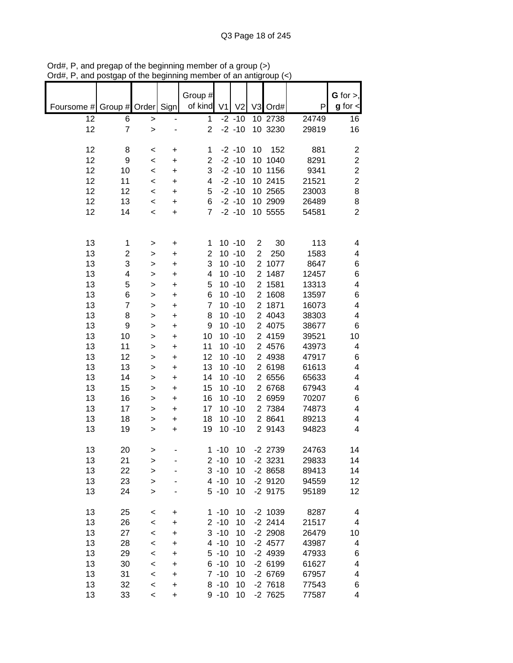|            |                |              |           |                |                |                |                |           |       | G for $>$ ,    |
|------------|----------------|--------------|-----------|----------------|----------------|----------------|----------------|-----------|-------|----------------|
|            |                |              |           | Group #        |                |                |                |           |       |                |
| Foursome # | Group # Order  |              | Sign      | of kind        | V <sub>1</sub> | V <sub>2</sub> |                | V3 Ord#   | P     | $g$ for $\lt$  |
| 12         | 6              | $\mathbf{L}$ |           | 1              |                | $-2 - 10$      |                | 10 2738   | 24749 | 16             |
| 12         | $\overline{7}$ | $\mathbf{I}$ |           | $\overline{2}$ |                | $-2 - 10$      |                | 10 3230   | 29819 | 16             |
|            |                |              |           |                |                |                |                |           |       |                |
| 12         | 8              | $\,<\,$      | +         | 1              |                | $-2 - 10$      | 10             | 152       | 881   | $\overline{c}$ |
| 12         | 9              | $\prec$      | +         | $\overline{c}$ |                | $-2 - 10$      |                | 10 1040   | 8291  | $\overline{2}$ |
|            |                |              |           |                |                |                |                |           |       |                |
| 12         | 10             | $\,<$        | +         | 3              |                | $-2 - 10$      |                | 10 1156   | 9341  | $\overline{c}$ |
| 12         | 11             | $\,<$        | +         | 4              |                | $-2 - 10$      |                | 10 2415   | 21521 | $\overline{c}$ |
| 12         | 12             | $\,<\,$      | +         | 5              |                | $-2 - 10$      |                | 10 2565   | 23003 | 8              |
| 12         | 13             | $\,<$        | +         | 6              |                | $-2 - 10$      |                | 10 2909   | 26489 | 8              |
| 12         | 14             | $\,<$        | +         | $\overline{7}$ |                | $-2 - 10$      |                | 10 5555   | 54581 | $\overline{2}$ |
|            |                |              |           |                |                |                |                |           |       |                |
|            |                |              |           |                |                |                |                |           |       |                |
| 13         | 1              | $\, > \,$    | +         | 1              |                | $10 - 10$      | $\overline{c}$ | 30        | 113   | 4              |
| 13         | 2              | >            | +         | $\overline{2}$ |                | $10 - 10$      | $\overline{2}$ | 250       | 1583  | 4              |
| 13         | 3              |              |           | 3              |                | $10 - 10$      |                | 2 1077    | 8647  |                |
|            |                | >            | $\ddot{}$ |                |                |                |                |           |       | 6              |
| 13         | 4              | >            | +         | 4              |                | $10 - 10$      |                | 2 1487    | 12457 | 6              |
| 13         | 5              | >            | $\ddot{}$ | 5              |                | $10 - 10$      |                | 2 1581    | 13313 | 4              |
| 13         | 6              | >            | $\ddot{}$ | 6              |                | $10 - 10$      |                | 2 1608    | 13597 | 6              |
| 13         | $\overline{7}$ | >            | $\ddot{}$ | $\overline{7}$ |                | $10 - 10$      |                | 2 1871    | 16073 | 4              |
| 13         | 8              | $\geq$       | $\ddot{}$ | 8              |                | $10 - 10$      |                | 2 4043    | 38303 | 4              |
| 13         | 9              | >            | $\ddot{}$ | 9              |                | $10 - 10$      |                | 2 4075    | 38677 | 6              |
| 13         | 10             | >            | +         | 10             |                | $10 - 10$      |                | 2 4159    | 39521 | 10             |
| 13         | 11             | >            | +         | 11             |                | $10 - 10$      |                | 2 4576    | 43973 | 4              |
| 13         | 12             |              |           | 12             |                | $10 - 10$      |                | 2 4938    | 47917 | 6              |
|            |                | >            | +         |                |                |                |                |           |       |                |
| 13         | 13             | >            | +         | 13             |                | $10 - 10$      |                | 2 6198    | 61613 | 4              |
| 13         | 14             | >            | +         | 14             |                | $10 - 10$      |                | 2 6556    | 65633 | 4              |
| 13         | 15             | >            | +         | 15             |                | $10 - 10$      |                | 2 6768    | 67943 | 4              |
| 13         | 16             | $\, > \,$    | +         | 16             |                | $10 - 10$      |                | 2 6959    | 70207 | 6              |
| 13         | 17             | >            | +         | 17             |                | $10 - 10$      |                | 2 7384    | 74873 | 4              |
| 13         | 18             | >            | +         | 18             |                | $10 - 10$      |                | 2 8641    | 89213 | 4              |
| 13         | 19             | >            | +         | 19             |                | $10 - 10$      |                | 2 9143    | 94823 | 4              |
|            |                |              |           |                |                |                |                |           |       |                |
| 13         | 20             | $\mathbf{I}$ |           |                | $1 - 10$       | 10             |                | $-2$ 2739 | 24763 | 14             |
|            |                |              |           |                |                |                |                | $-2$ 3231 | 29833 | 14             |
| 13         | 21             | >            |           |                | $2 - 10$       | 10             |                |           |       |                |
| 13         | 22             | $\mathbf{I}$ |           |                | $3 - 10$       | 10             |                | $-28658$  | 89413 | 14             |
| 13         | 23             | $\geq$       |           |                | $4 - 10$       | 10             |                | $-2$ 9120 | 94559 | 12             |
| 13         | 24             | $\geq$       |           |                | $5 - 10$       | 10             |                | $-2$ 9175 | 95189 | 12             |
|            |                |              |           |                |                |                |                |           |       |                |
| 13         | 25             | $\,<$        | $\ddot{}$ |                | $1 - 10$       | 10             |                | $-2$ 1039 | 8287  | 4              |
| 13         | 26             | $\,<$        | +         |                | $2 - 10$       | 10             |                | $-2$ 2414 | 21517 | 4              |
| 13         | 27             | $\,<$        | +         |                | $3 - 10$       | 10             |                | $-2$ 2908 | 26479 | 10             |
| 13         | 28             | $\,<$        | $\ddot{}$ |                | $4 - 10$       | 10             |                | $-2$ 4577 | 43987 | 4              |
| 13         | 29             | $\,<$        | $\ddot{}$ |                | $5 - 10$       | 10             |                | $-2$ 4939 | 47933 | 6              |
| 13         |                |              |           |                |                | 10             |                |           |       | 4              |
|            | 30             | $\,<$        | +         |                | $6 - 10$       |                |                | $-26199$  | 61627 |                |
| 13         | 31             | $\prec$      | $\ddot{}$ |                | $7 - 10$       | 10             |                | $-26769$  | 67957 | 4              |
| 13         | 32             | $\prec$      | $\ddot{}$ |                | $8 - 10$       | 10             |                | $-2$ 7618 | 77543 | 6              |
| 13         | 33             | $\prec$      | $\ddot{}$ |                | $9 - 10$       | 10             |                | $-2$ 7625 | 77587 | 4              |

Ord#, P, and pregap of the beginning member of a group (>) Ord#, P, and postgap of the beginning member of an antigroup (<)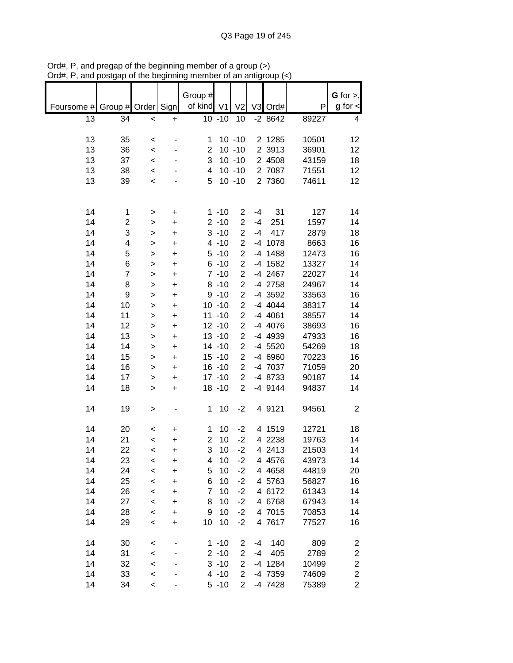|            |                    |              |           | Group #        |           |                         |      |           |       | $G$ for $>$ ,           |
|------------|--------------------|--------------|-----------|----------------|-----------|-------------------------|------|-----------|-------|-------------------------|
| Foursome # | Group # Order Sign |              |           | of kind V1     |           | V <sub>2</sub>          |      | V3 Ord#   | P     | $g$ for $\leq$          |
| 13         |                    |              |           |                | $10 - 10$ | 10                      |      | $-28642$  | 89227 |                         |
|            | 34                 | $\prec$      | $\ddot{}$ |                |           |                         |      |           |       | 4                       |
|            |                    |              |           |                |           |                         |      |           |       |                         |
| 13         | 35                 | $\,<$        |           | 1              |           | $10 - 10$               |      | 2 1285    | 10501 | 12                      |
| 13         | 36                 | $\prec$      |           | 2              |           | $10 - 10$               |      | 2 3913    | 36901 | 12                      |
| 13         | 37                 | $\,<$        |           | 3              |           | $10 - 10$               |      | 2 4508    | 43159 | 18                      |
| 13         | 38                 | $\,<$        |           | 4              |           | $10 - 10$               |      | 2 7087    | 71551 | 12                      |
| 13         | 39                 | $\,<$        |           | 5              |           | $10 - 10$               |      | 2 7360    | 74611 | 12                      |
|            |                    |              |           |                |           |                         |      |           |       |                         |
|            |                    |              |           |                |           |                         |      |           |       |                         |
| 14         | 1                  | $\,>$        | +         |                | $1 - 10$  | $\overline{2}$          | $-4$ | 31        | 127   | 14                      |
| 14         | 2                  | $\mathbf{I}$ | $\ddot{}$ |                | $2 - 10$  | $\overline{2}$          | $-4$ | 251       | 1597  | 14                      |
| 14         | 3                  | $\mathbf{I}$ | $\ddot{}$ |                | $3 - 10$  | $\overline{2}$          | $-4$ | 417       | 2879  | 18                      |
| 14         | 4                  | $\mathbf{I}$ | $\ddot{}$ |                | $4 - 10$  | $\overline{2}$          |      | $-4$ 1078 | 8663  | 16                      |
| 14         | 5                  | $\mathbf{I}$ | $\ddot{}$ |                | $5 - 10$  | $\overline{c}$          |      | $-4$ 1488 | 12473 | 16                      |
| 14         | 6                  | $\geq$       | $\ddot{}$ |                | $6 - 10$  | $\overline{\mathbf{c}}$ |      | $-4$ 1582 | 13327 | 14                      |
| 14         | $\overline{7}$     | $\mathbf{I}$ | $\ddot{}$ |                | $7 - 10$  | $\overline{c}$          |      | -4 2467   | 22027 | 14                      |
| 14         | 8                  | $\mathbf{I}$ | $\ddot{}$ |                | $8 - 10$  | $\overline{\mathbf{c}}$ |      | -4 2758   | 24967 | 14                      |
| 14         | 9                  | $\mathbf{I}$ | $\ddot{}$ |                | $9 - 10$  | $\overline{\mathbf{c}}$ |      | -4 3592   | 33563 | 16                      |
| 14         | 10                 | $\mathbf{I}$ | $\ddot{}$ |                | $10 - 10$ | $\overline{c}$          |      | -4 4044   | 38317 | 14                      |
| 14         | 11                 | $\mathbf{I}$ | $\ddot{}$ |                | $11 - 10$ | $\overline{c}$          |      | -4 4061   | 38557 | 14                      |
| 14         | 12                 | >            | $\ddot{}$ |                | $12 - 10$ | $\overline{c}$          |      | $-4$ 4076 | 38693 | 16                      |
| 14         | 13                 | >            | +         |                | $13 - 10$ | $\overline{c}$          |      | -4 4939   | 47933 | 16                      |
| 14         | 14                 | >            | $\ddot{}$ |                | $14 - 10$ | $\overline{2}$          |      | -4 5520   | 54269 | 18                      |
| 14         | 15                 | >            | +         |                | $15 - 10$ | $\overline{2}$          |      | -4 6960   | 70223 | 16                      |
| 14         | 16                 | $\geq$       | $\ddot{}$ |                | $16 - 10$ | $\overline{2}$          |      | -4 7037   | 71059 | 20                      |
| 14         | 17                 |              |           |                | $17 - 10$ | $\overline{2}$          |      | -4 8733   | 90187 | 14                      |
| 14         |                    | >            | +         |                | $18 - 10$ | $\overline{2}$          |      | $-4$ 9144 |       | 14                      |
|            | 18                 | $\geq$       | $\ddot{}$ |                |           |                         |      |           | 94837 |                         |
|            |                    |              |           |                |           |                         |      |           |       |                         |
| 14         | 19                 | $\mathbf{I}$ |           | 1              | 10        | $-2$                    |      | 4 9121    | 94561 | $\overline{2}$          |
|            |                    |              |           |                |           |                         |      |           |       |                         |
| 14         | 20                 | $\,<$        | +         | 1              | 10        | $-2$                    |      | 4 1519    | 12721 | 18                      |
| 14         | 21                 | $\,<$        | +         | $\overline{2}$ | 10        | $-2$                    |      | 4 2238    | 19763 | 14                      |
| 14         | 22                 | $\,<\,$      | $\ddot{}$ | 3              | 10        | $-2$                    |      | 4 2413    | 21503 | 14                      |
| 14         | 23                 | $\,<$        | +         | 4              | 10        | $-2$                    |      | 4 4 5 7 6 | 43973 | 14                      |
| 14         | 24                 | $\prec$      | $\ddot{}$ | 5              | 10        | $-2$                    |      | 4 4 6 5 8 | 44819 | 20                      |
| 14         | 25                 | $\prec$      | +         | 6              | 10        | $-2$                    |      | 4 5763    | 56827 | 16                      |
| 14         | 26                 | $\,<$        | +         | $\overline{7}$ | 10        | $-2$                    |      | 4 6172    | 61343 | 14                      |
| 14         | 27                 | $\,<$        | +         | 8              | 10        | $-2$                    |      | 4 6768    | 67943 | 14                      |
| 14         | 28                 | $\,<$        | $\ddot{}$ | 9              | 10        | $-2$                    |      | 4 7015    | 70853 | 14                      |
| 14         | 29                 | $\,<$        | +         | 10             | 10        | $-2$                    |      | 4 7617    | 77527 | 16                      |
|            |                    |              |           |                |           |                         |      |           |       |                         |
| 14         | 30                 | $\,<$        |           |                | $1 - 10$  | $\overline{c}$          | -4   | 140       | 809   | 2                       |
| 14         | 31                 | $\prec$      |           |                | $2 - 10$  | $\overline{c}$          | -4   | 405       | 2789  | $\boldsymbol{2}$        |
| 14         | 32                 | $\prec$      |           |                | $3 - 10$  | $\overline{2}$          |      | -4 1284   | 10499 | $\overline{\mathbf{c}}$ |
| 14         | 33                 | $\prec$      |           |                | $4 - 10$  | $\overline{2}$          |      | -4 7359   | 74609 | $\overline{\mathbf{c}}$ |
| 14         | 34                 | $\prec$      |           |                | $5 - 10$  | $\overline{2}$          |      | -4 7428   | 75389 | $\overline{c}$          |

Ord#, P, and pregap of the beginning member of a group (>) Ord#, P, and postgap of the beginning member of an antigroup (<)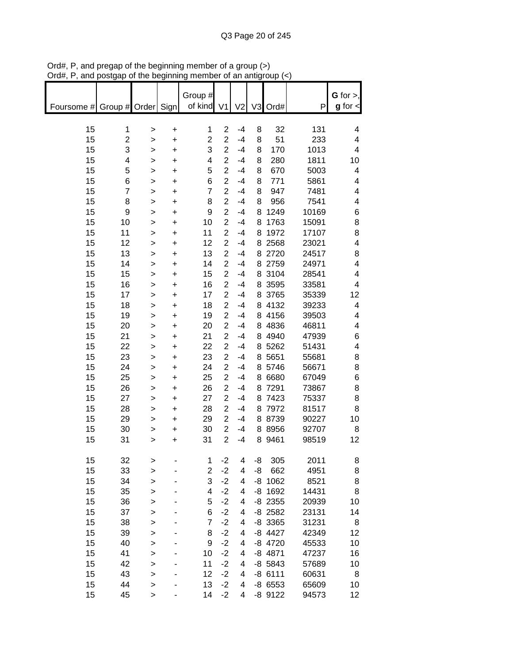|                               |                |              |           |                |                         |                | an aniyo vap |           |       |                         |
|-------------------------------|----------------|--------------|-----------|----------------|-------------------------|----------------|--------------|-----------|-------|-------------------------|
|                               |                |              |           |                |                         |                |              |           |       |                         |
|                               |                |              |           | Group #        |                         |                |              |           |       | G for $>$ ,             |
| Foursome # Group # Order Sign |                |              |           | of kind V1     |                         | V <sub>2</sub> |              | V3 Ord#   | P     | $g$ for $\lt$           |
|                               |                |              |           |                |                         |                |              |           |       |                         |
| 15                            | 1              | >            | $\ddot{}$ | 1              | $\overline{2}$          | $-4$           | 8            | 32        | 131   | 4                       |
| 15                            | $\overline{c}$ | >            | $\ddot{}$ | 2              | $\overline{2}$          | $-4$           | 8            | 51        | 233   | 4                       |
| 15                            | 3              | >            | $\ddot{}$ | 3              | $\overline{c}$          | $-4$           | 8            | 170       | 1013  | 4                       |
| 15                            | 4              | >            | $\ddot{}$ | 4              | $\overline{2}$          | $-4$           | 8            | 280       | 1811  | 10                      |
| 15                            | 5              | $\geq$       | $\ddot{}$ | 5              | $\overline{2}$          | $-4$           | 8            | 670       | 5003  | 4                       |
|                               |                |              |           | 6              | $\overline{2}$          | $-4$           |              |           |       |                         |
| 15                            | 6              | $\geq$       | $\ddot{}$ |                | $\overline{2}$          |                | 8            | 771       | 5861  | 4                       |
| 15                            | $\overline{7}$ | $\mathbf{I}$ | $\ddot{}$ | $\overline{7}$ |                         | $-4$           | 8            | 947       | 7481  | 4                       |
| 15                            | 8              | >            | $\ddot{}$ | 8              | $\overline{2}$          | $-4$           | 8            | 956       | 7541  | 4                       |
| 15                            | 9              | $\geq$       | $\ddot{}$ | 9              | $\overline{2}$          | $-4$           | 8            | 1249      | 10169 | 6                       |
| 15                            | 10             | >            | $\ddot{}$ | 10             | $\overline{c}$          | $-4$           | 8            | 1763      | 15091 | 8                       |
| 15                            | 11             | >            | $\ddot{}$ | 11             | $\overline{c}$          | $-4$           | 8            | 1972      | 17107 | 8                       |
| 15                            | 12             | >            | $\ddot{}$ | 12             | $\overline{\mathbf{c}}$ | $-4$           |              | 8 2568    | 23021 | $\overline{\mathbf{4}}$ |
| 15                            | 13             | $\mathbf{I}$ | $\ddot{}$ | 13             | $\overline{c}$          | $-4$           |              | 8 2720    | 24517 | 8                       |
| 15                            | 14             | >            | $\ddot{}$ | 14             | $\overline{c}$          | $-4$           |              | 8 2759    | 24971 | $\overline{\mathbf{4}}$ |
| 15                            | 15             | >            | $\ddot{}$ | 15             | $\overline{2}$          | $-4$           |              | 8 3104    | 28541 | 4                       |
| 15                            | 16             | >            | $\ddot{}$ | 16             | $\overline{c}$          | $-4$           |              | 8 3595    | 33581 | 4                       |
| 15                            | 17             | >            | $\ddot{}$ | 17             | $\overline{c}$          | $-4$           |              | 8 3765    | 35339 | 12                      |
| 15                            | 18             |              |           | 18             | $\overline{2}$          | $-4$           |              | 8 4132    | 39233 | 4                       |
|                               |                | >            | +         |                |                         |                |              |           |       |                         |
| 15                            | 19             | >            | $\ddot{}$ | 19             | $\overline{2}$          | $-4$           |              | 8 4156    | 39503 | 4                       |
| 15                            | 20             | >            | $\ddot{}$ | 20             | $\overline{2}$          | $-4$           |              | 8 4836    | 46811 | 4                       |
| 15                            | 21             | >            | $\ddot{}$ | 21             | $\overline{c}$          | -4             |              | 8 4 9 4 0 | 47939 | 6                       |
| 15                            | 22             | $\geq$       | $\ddot{}$ | 22             | $\overline{2}$          | $-4$           |              | 8 5262    | 51431 | 4                       |
| 15                            | 23             | >            | $\ddot{}$ | 23             | $\overline{2}$          | $-4$           |              | 8 5 6 5 1 | 55681 | 8                       |
| 15                            | 24             | >            | $\ddot{}$ | 24             | $\overline{2}$          | $-4$           |              | 8 5746    | 56671 | 8                       |
| 15                            | 25             | >            | $\ddot{}$ | 25             | $\overline{c}$          | $-4$           |              | 8 6 6 8 0 | 67049 | 6                       |
| 15                            | 26             | >            | $\ddot{}$ | 26             | $\overline{c}$          | $-4$           |              | 8 7291    | 73867 | 8                       |
| 15                            | 27             | >            | $\ddot{}$ | 27             | $\overline{c}$          | $-4$           |              | 8 7423    | 75337 | 8                       |
| 15                            | 28             | >            | $\ddot{}$ | 28             | $\overline{2}$          | $-4$           |              | 8 7972    | 81517 | 8                       |
| 15                            | 29             | >            | $\ddot{}$ | 29             | $\overline{c}$          | $-4$           |              | 8 8739    | 90227 | 10                      |
| 15                            | 30             | >            | $\ddot{}$ | 30             | $\overline{c}$          | $-4$           |              | 8 8 9 5 6 | 92707 | 8                       |
| 15                            | 31             |              | +         | 31             | $\overline{2}$          | $-4$           |              | 8 9461    | 98519 | 12                      |
|                               |                | >            |           |                |                         |                |              |           |       |                         |
|                               |                |              |           |                |                         |                |              |           |       |                         |
| 15                            | 32             | >            |           | 1              | $-2$                    | 4              | -8           | 305       | 2011  | 8                       |
| 15                            | 33             | >            |           | 2              | $-2$                    | 4              | -8           | 662       | 4951  | 8                       |
| 15                            | 34             | >            |           | 3              | $-2$                    | 4              |              | $-8$ 1062 | 8521  | 8                       |
| 15                            | 35             | $\mathbf{I}$ |           | 4              | $-2$                    | 4              |              | $-8$ 1692 | 14431 | 8                       |
| 15                            | 36             | $\mathbf{I}$ |           | 5              | $-2$                    | 4              |              | $-8$ 2355 | 20939 | 10                      |
| 15                            | 37             | $\geq$       |           | 6              | $-2$                    | 4              |              | $-8$ 2582 | 23131 | 14                      |
| 15                            | 38             | $\geq$       |           | $\overline{7}$ | $-2$                    | 4              |              | $-8$ 3365 | 31231 | 8                       |
| 15                            | 39             | $\geq$       |           | 8              | $-2$                    | 4              |              | -8 4427   | 42349 | 12                      |
| 15                            | 40             | $\mathbf{I}$ |           | 9              | $-2$                    | 4              |              | -8 4720   | 45533 | 10                      |
| 15                            | 41             | $\mathbf{I}$ |           | 10             | $-2$                    | 4              |              | $-8$ 4871 | 47237 | 16                      |
| 15                            | 42             | $\mathbf{I}$ |           | 11             | $-2$                    | 4              |              | $-8$ 5843 | 57689 | 10                      |
| 15                            | 43             | $\mathbf{I}$ |           | 12             | $-2$                    | 4              |              | $-86111$  | 60631 | 8                       |
| 15                            | 44             |              |           | 13             | $-2$                    |                |              | $-86553$  |       |                         |
|                               |                | >            |           |                |                         | 4              |              |           | 65609 | 10                      |
| 15                            | 45             | >            |           | 14             | $-2$                    | 4              |              | -8 9122   | 94573 | 12                      |

Ord#, P, and pregap of the beginning member of a group (>) Ord#, P, and postgap of the beginning member of an antigroup (<)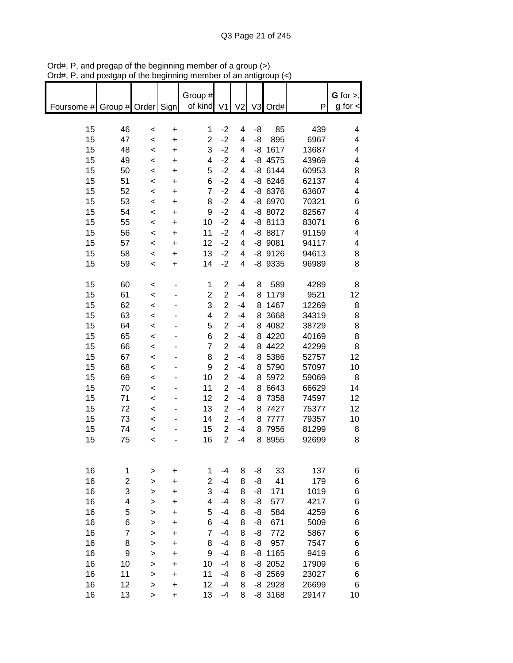| unu                           | oolyup              | or are pogmumi |                | Group #             |                  |        |          | ioah i     |              | G for $>$ ,   |
|-------------------------------|---------------------|----------------|----------------|---------------------|------------------|--------|----------|------------|--------------|---------------|
| Foursome # Group # Order Sign |                     |                |                | of kind V1          |                  | V2     |          | V3 Ord#    | P            | $g$ for $\lt$ |
| 15                            | 46                  | $\,<$          | $\ddot{}$      | 1                   | $-2$             | 4      | -8       | 85         | 439          | 4             |
| 15                            | 47                  | $\,<\,$        | $\ddot{}$      | $\overline{2}$      | $-2$             | 4      | -8       | 895        | 6967         | 4             |
| 15                            | 48                  | $\,<$          | $\ddot{}$      | 3                   | $-2$             | 4      |          | $-8$ 1617  | 13687        | 4             |
| 15                            | 49                  | $\,<$          | $\ddot{}$      | 4                   | $-2$             | 4      |          | $-8$ 4575  | 43969        | 4             |
| 15                            | 50                  | $\prec$        | $\ddot{}$      | 5                   | $-2$             | 4      |          | $-8$ 6144  | 60953        | 8             |
| 15                            | 51                  | $\prec$        | $\ddot{}$      | 6                   | $-2$             | 4      |          | $-8$ 6246  | 62137        | 4             |
| 15                            | 52                  | $\prec$        | $\ddot{}$      | $\overline{7}$      | $-2$             | 4      |          | $-8$ 6376  | 63607        | 4             |
| 15                            | 53                  | $\prec$        | $\ddot{}$      | 8                   | $-2$             | 4      |          | -8 6970    | 70321        | 6             |
| 15                            | 54                  | $\prec$        | $\ddot{}$      | $\boldsymbol{9}$    | $-2$             | 4      |          | -8 8072    | 82567        | 4             |
| 15                            | 55                  | $\prec$        | $\ddot{}$      | 10                  | $-2$             | 4      |          | $-88113$   | 83071        | 6             |
| 15                            | 56                  | $\,<$          | $\ddot{}$      | 11                  | $-2$             | 4      |          | $-88817$   | 91159        | 4             |
| 15                            | 57                  | $\prec$        | $\ddot{}$      | 12                  | $-2$             | 4      |          | $-8$ 9081  | 94117        | 4             |
| 15                            | 58                  | $\prec$        | $\ddot{}$      | 13                  | $-2$             | 4      |          | $-8$ 9126  | 94613        | 8             |
| 15                            | 59                  | $\,<\,$        | $\ddot{}$      | 14                  | $-2$             | 4      |          | $-8$ 9335  | 96989        | 8             |
| 15                            | 60                  | $\,<$          |                | 1                   | $\boldsymbol{2}$ | $-4$   | 8        | 589        | 4289         | 8             |
| 15                            | 61                  | $\prec$        |                | $\overline{c}$      | $\overline{2}$   | $-4$   |          | 8 1179     | 9521         | 12            |
| 15                            | 62                  | $\,<$          |                | 3                   | $\overline{c}$   | $-4$   |          | 8 1467     | 12269        | 8             |
| 15                            | 63                  | $\,<$          |                | 4                   | $\overline{2}$   | $-4$   |          | 8 3 6 6 8  | 34319        | 8             |
| 15                            | 64                  | $\,<\,$        |                | 5                   | $\overline{2}$   | $-4$   |          | 8 4082     | 38729        | 8             |
| 15                            | 65                  | $\,<$          |                | 6                   | $\overline{2}$   | $-4$   |          | 8 4220     | 40169        | 8             |
| 15                            | 66                  | $\prec$        |                | $\overline{7}$      | $\overline{2}$   | $-4$   |          | 8 4422     | 42299        | 8             |
| 15                            | 67                  | $\prec$        |                | 8                   | $\overline{c}$   | $-4$   |          | 8 5386     | 52757        | 12            |
| 15                            | 68                  | $\prec$        |                | $\boldsymbol{9}$    | $\overline{2}$   | $-4$   |          | 8 5790     | 57097        | 10            |
| 15                            | 69                  | $\prec$        |                | 10                  | $\overline{2}$   | $-4$   |          | 8 5972     | 59069        | 8             |
| 15                            | 70                  | $\prec$        |                | 11                  | $\overline{c}$   | $-4$   |          | 8 6643     | 66629        | 14            |
| 15                            | 71                  | $\,<$          |                | 12                  | $\overline{2}$   | $-4$   |          | 8 7358     | 74597        | 12            |
| 15                            | 72                  | $\,<$          |                | 13                  | $\overline{2}$   | $-4$   |          | 8 7427     | 75377        | 12            |
| 15                            | 73                  | $\,<$          |                | 14                  | $\overline{2}$   | $-4$   |          | 8 7777     | 79357        | 10            |
| 15                            | 74                  | $\prec$        |                | 15                  | $\overline{c}$   | $-4$   |          | 8 7956     | 81299        | 8             |
| 15                            | 75                  | $\,<$          |                | 16                  | $\overline{2}$   | $-4$   |          | 8 8 9 5 5  | 92699        | 8             |
|                               |                     |                |                |                     |                  |        |          |            |              |               |
| 16                            | 1                   | >              | +              | 1                   | $-4$             | 8      | -8       | 33         | 137          | 6             |
| 16                            | 2                   | >              | +              | $\overline{2}$      | $-4$             | 8      | -8       | 41         | 179          | 6             |
| 16                            | 3                   | >              | +              | 3                   | $-4$             | 8      | -8       | 171        | 1019         | 6             |
| 16                            | 4                   | >              | +              | 4                   | $-4$             | 8      | -8       | 577        | 4217         | 6             |
| 16                            | 5                   | >              | +              | 5                   | $-4$             | 8      | -8       | 584        | 4259         | 6             |
| 16<br>16                      | 6<br>$\overline{7}$ | >              | +              | 6<br>$\overline{7}$ | $-4$<br>$-4$     | 8<br>8 | -8<br>-8 | 671<br>772 | 5009<br>5867 | 6<br>6        |
| 16                            | 8                   | ><br>>         | +<br>$\ddot{}$ | 8                   | $-4$             | 8      | -8       | 957        | 7547         | 6             |
| 16                            | 9                   | >              | $\ddot{}$      | 9                   | $-4$             | 8      |          | $-8$ 1165  | 9419         | 6             |
| 16                            | 10                  | >              | +              | 10                  | $-4$             | 8      |          | $-8$ 2052  | 17909        | 6             |
| 16                            | 11                  | >              | +              | 11                  | $-4$             | 8      |          | $-8$ 2569  | 23027        | 6             |
| 16                            | 12                  | >              | +              | 12                  | $-4$             | 8      |          | $-8$ 2928  | 26699        | 6             |
| 16                            | 13                  | $\geq$         | $\ddot{}$      | 13                  | $-4$             | 8      |          | $-8$ 3168  | 29147        | 10            |

Ord#, P, and pregap of the beginning member of a group (>) Ord#, P, and postgap of the beginning member of an antigroup (<)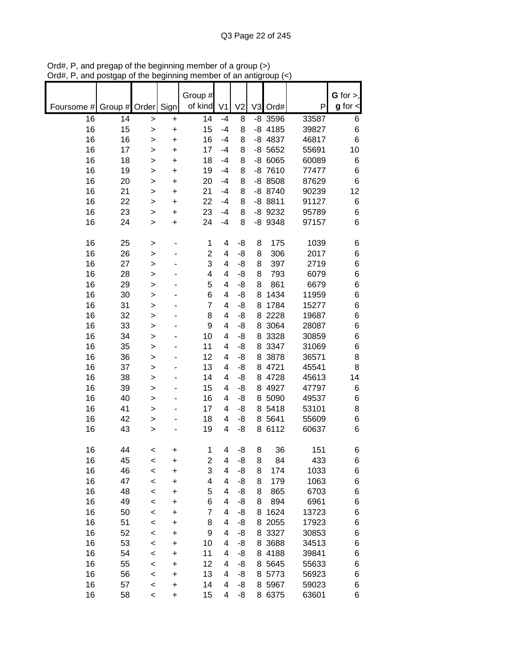|            |         |         |           | Group #                 |                |                |                |           |       | $G$ for $>$ , |
|------------|---------|---------|-----------|-------------------------|----------------|----------------|----------------|-----------|-------|---------------|
| Foursome # | Group # | Order   | Sign      | of kind                 | V <sub>1</sub> | V <sub>2</sub> | V <sub>3</sub> | Ord#      | P     | $g$ for $\lt$ |
| 16         | 14      | >       | +         | 14                      | $-4$           | 8              |                | $-8$ 3596 | 33587 | 6             |
| 16         | 15      | >       | +         | 15                      | $-4$           | 8              |                | $-8$ 4185 | 39827 | 6             |
| 16         | 16      | >       | $\ddot{}$ | 16                      | $-4$           | 8              |                | $-8$ 4837 | 46817 | 6             |
| 16         | 17      | >       | +         | 17                      | $-4$           | 8              |                | $-8$ 5652 | 55691 | 10            |
| 16         | 18      | >       | $\ddot{}$ | 18                      | $-4$           | 8              |                | $-86065$  | 60089 | 6             |
| 16         | 19      | >       | +         | 19                      | $-4$           | 8              |                | $-87610$  | 77477 | 6             |
| 16         | 20      | >       | $\ddot{}$ | 20                      | $-4$           | 8              |                | $-88508$  | 87629 | 6             |
| 16         | 21      | >       | +         | 21                      | $-4$           | 8              |                | -8 8740   | 90239 | 12            |
| 16         | 22      | >       | +         | 22                      | $-4$           | 8              |                | $-88811$  | 91127 | 6             |
| 16         | 23      | >       | +         | 23                      | $-4$           | 8              |                | -8 9232   | 95789 | $\,6$         |
| 16         | 24      | >       | $\ddot{}$ | 24                      | $-4$           | 8              |                | -8 9348   | 97157 | 6             |
| 16         | 25      | >       |           | 1                       | 4              | -8             | 8              | 175       | 1039  | 6             |
| 16         | 26      | >       |           | $\overline{c}$          | 4              | -8             | 8              | 306       | 2017  | 6             |
| 16         | 27      | >       |           | 3                       | 4              | -8             | 8              | 397       | 2719  | 6             |
| 16         | 28      | >       |           | 4                       | 4              | -8             | 8              | 793       | 6079  | 6             |
| 16         | 29      | $\geq$  |           | 5                       | 4              | -8             | 8              | 861       | 6679  | 6             |
| 16         | 30      | >       |           | 6                       | 4              | -8             | 8              | 1434      | 11959 | 6             |
| 16         | 31      | $\geq$  |           | $\overline{7}$          | 4              | -8             | 8              | 1784      | 15277 | 6             |
| 16         | 32      | $\geq$  |           | 8                       | 4              | -8             | 8              | 2228      | 19687 | 6             |
| 16         | 33      | >       |           | 9                       | 4              | -8             | 8              | 3064      | 28087 | 6             |
| 16         | 34      | $\geq$  |           | 10                      | 4              | -8             | 8              | 3328      | 30859 | 6             |
| 16         | 35      | >       |           | 11                      | 4              | -8             | 8              | 3347      | 31069 | 6             |
| 16         | 36      | >       |           | 12                      | 4              | -8             | 8              | 3878      | 36571 | 8             |
| 16         | 37      | >       |           | 13                      | 4              | -8             |                | 8 4721    | 45541 | 8             |
| 16         | 38      | >       |           | 14                      | 4              | -8             |                | 8 4728    | 45613 | 14            |
| 16         | 39      | >       |           | 15                      | 4              | -8             | 8              | 4927      | 47797 | 6             |
| 16         | 40      | >       |           | 16                      | 4              | -8             | 8              | 5090      | 49537 | 6             |
| 16         | 41      | >       |           | 17                      | 4              | -8             | 8              | 5418      | 53101 | 8             |
| 16         | 42      | >       |           | 18                      | 4              | -8             | 8              | 5641      | 55609 | 6             |
| 16         | 43      | >       | ۰         | 19                      | 4              | -8             |                | 8 6112    | 60637 | 6             |
| 16         | 44      | <       | +         | 1                       | 4              | -8             | 8              | 36        | 151   | 6             |
| 16         | 45      | <       | +         | $\overline{\mathbf{c}}$ | 4              | -8             | 8              | 84        | 433   | 6             |
| 16         | 46      | $\prec$ | $\ddot{}$ | 3                       | 4              | -8             | 8              | 174       | 1033  | 6             |
| 16         | 47      | $\prec$ | $\ddot{}$ | 4                       | 4              | -8             | 8              | 179       | 1063  | 6             |
| 16         | 48      | $\prec$ | $\ddot{}$ | 5                       | 4              | -8             | 8              | 865       | 6703  | 6             |
| 16         | 49      | $\prec$ | $\ddot{}$ | 6                       | 4              | -8             | 8              | 894       | 6961  | 6             |
| 16         | 50      | $\prec$ | $\ddot{}$ | $\overline{7}$          | 4              | -8             | 8              | 1624      | 13723 | 6             |
| 16         | 51      | $\prec$ | $\ddot{}$ | 8                       | 4              | -8             |                | 8 2055    | 17923 | 6             |
| 16         | 52      | $\prec$ | $\ddot{}$ | 9                       | 4              | -8             |                | 8 3327    | 30853 | 6             |
| 16         | 53      | $\prec$ | $\ddot{}$ | 10                      | 4              | -8             |                | 8 3 68 8  | 34513 | 6             |
| 16         | 54      | $\prec$ | +         | 11                      | 4              | -8             |                | 8 4188    | 39841 | 6             |
| 16         | 55      | $\prec$ | $\ddot{}$ | 12                      | 4              | -8             |                | 8 5 6 4 5 | 55633 | 6             |
| 16         | 56      | $\prec$ | $\ddot{}$ | 13                      | 4              | -8             | 8              | 5773      | 56923 | 6             |
| 16         | 57      | $\prec$ | +         | 14                      | 4              | -8             |                | 8 5967    | 59023 | 6             |
| 16         | 58      | $\,<$   | $\ddot{}$ | 15                      | 4              | -8             |                | 8 6375    | 63601 | 6             |

Ord#, P, and pregap of the beginning member of a group (>) Ord#, P, and postgap of the beginning member of an antigroup (<)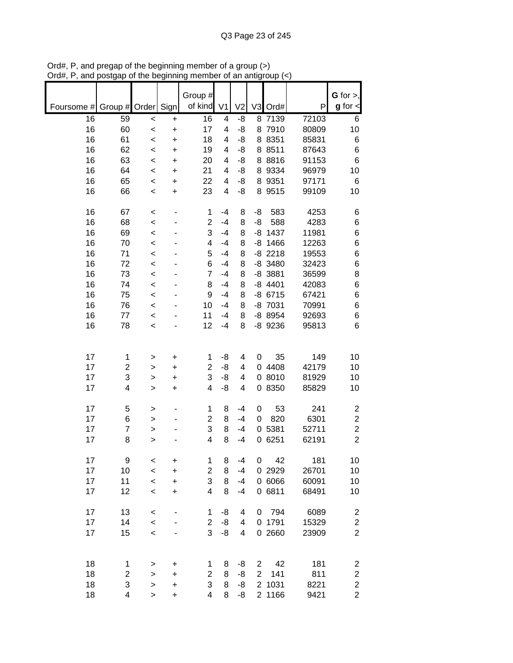|            |                         |           |           | Group #                 |                |                |                |           |       | G for $>$ ,             |
|------------|-------------------------|-----------|-----------|-------------------------|----------------|----------------|----------------|-----------|-------|-------------------------|
| Foursome # | Group # Order Sign      |           |           | of kind                 | V <sub>1</sub> | V <sub>2</sub> |                | V3 Ord#   | P     | $g$ for $\lt$           |
| 16         | 59                      | $\prec$   | $\ddot{}$ | 16                      | 4              | -8             |                | 8 7139    | 72103 | 6                       |
| 16         | 60                      | $\,<$     | $\ddot{}$ | 17                      | 4              | -8             |                | 8 7910    | 80809 | 10                      |
| 16         | 61                      | $\,<$     | $\ddot{}$ | 18                      | 4              | -8             |                | 8 8 3 5 1 | 85831 | 6                       |
| 16         | 62                      | $\,<$     | $\ddot{}$ | 19                      | 4              | -8             |                | 8 8 5 1 1 | 87643 | 6                       |
| 16         | 63                      | $\,<$     | $\ddot{}$ | 20                      | 4              | -8             |                | 8 8 8 1 6 | 91153 | 6                       |
| 16         | 64                      | $\prec$   | +         | 21                      | 4              | -8             | 8              | 9334      | 96979 | 10                      |
| 16         | 65                      | $\,<$     | +         | 22                      | 4              | -8             |                | 8 9351    | 97171 | 6                       |
| 16         | 66                      | $\,<$     | +         | 23                      | 4              | -8             |                | 8 9515    | 99109 | 10                      |
|            |                         |           |           |                         |                |                |                |           |       |                         |
| 16         | 67                      | $\,<$     |           | 1                       | $-4$           | 8              | -8             | 583       | 4253  | 6                       |
| 16         | 68                      | $\,<$     |           | $\overline{2}$          | $-4$           | 8              | -8             | 588       | 4283  | 6                       |
| 16         | 69                      | $\,<$     |           | 3                       | $-4$           | 8              |                | $-8$ 1437 | 11981 | 6                       |
| 16         | 70                      | $\prec$   |           | 4                       | $-4$           | 8              |                | $-8$ 1466 | 12263 | 6                       |
| 16         | 71                      | $\prec$   |           | 5                       | $-4$           | 8              |                | $-8$ 2218 | 19553 | 6                       |
| 16         | 72                      | $\,<$     |           | 6                       | $-4$           | 8              |                | $-8$ 3480 | 32423 | 6                       |
| 16         | 73                      | $\,<$     |           | 7                       | $-4$           | 8              |                | $-8$ 3881 | 36599 | 8                       |
| 16         | 74                      | $\,<$     |           | 8                       | $-4$           | 8              |                | $-8$ 4401 | 42083 | 6                       |
| 16         | 75                      | $\prec$   |           | 9                       | $-4$           | 8              |                | $-8$ 6715 | 67421 | 6                       |
| 16         | 76                      | $\prec$   |           | 10                      | $-4$           | 8              |                | -8 7031   | 70991 | 6                       |
| 16         | 77                      | $\prec$   |           | 11                      | $-4$           | 8              |                | -8 8954   | 92693 | 6                       |
| 16         | 78                      | $\prec$   |           | 12                      | $-4$           | 8              |                | -8 9236   | 95813 | 6                       |
|            |                         |           |           |                         |                |                |                |           |       |                         |
| 17         | $\mathbf 1$             | >         | +         | 1                       | -8             | 4              | 0              | 35        | 149   | 10                      |
| 17         | $\overline{2}$          | >         | +         | $\overline{2}$          | -8             | 4              | 0              | 4408      | 42179 | 10                      |
| 17         | 3                       | >         | +         | 3                       | -8             | 4              |                | 08010     | 81929 | 10                      |
| 17         | 4                       | >         | +         | 4                       | -8             | 4              |                | 0 8350    | 85829 | 10                      |
|            |                         |           |           |                         |                |                |                |           |       |                         |
| 17         | 5                       | >         |           | 1                       | 8              | $-4$           | 0              | 53        | 241   | $\overline{\mathbf{c}}$ |
| 17         | 6                       | >         |           | 2                       | 8              | $-4$           | 0              | 820       | 6301  | $\overline{\mathbf{c}}$ |
| 17         | $\overline{7}$          | $\geq$    |           | 3                       | 8              | $-4$           | 0              | 5381      | 52711 | $\overline{\mathbf{c}}$ |
| 17         | 8                       | >         |           | 4                       | 8              | $-4$           |                | 06251     | 62191 | $\overline{2}$          |
| 17         | 9                       | $\,<$     | +         | 1                       | 8              | $-4$           | 0              | 42        | 181   | 10                      |
| 17         | 10                      | $\prec$   | $\ddot{}$ | $\overline{2}$          | 8              | $-4$           |                | 0 2929    | 26701 | 10                      |
| 17         | 11                      | $\prec$   | $\ddot{}$ | 3                       | 8              | $-4$           |                | 0 6066    | 60091 | 10                      |
| 17         | 12                      | $\,<\,$   | $\ddot{}$ | $\overline{\mathbf{4}}$ | 8              | $-4$           |                | 0 6811    | 68491 | 10                      |
|            |                         |           |           |                         |                |                |                |           |       |                         |
| 17         | 13                      | $\,<$     |           | 1                       | -8             | 4              |                | 0 794     | 6089  | $\overline{c}$          |
| 17         | 14                      | $\prec$   |           | $\overline{c}$          | -8             | 4              |                | 0 1791    | 15329 | $\boldsymbol{2}$        |
| 17         | 15                      | $\prec$   |           | 3                       | -8             | 4              |                | 0 2660    | 23909 | $\overline{2}$          |
|            |                         |           |           |                         |                |                |                |           |       |                         |
| 18         | 1                       | >         | +         | 1                       | 8              | -8             | $\overline{2}$ | 42        | 181   | 2                       |
| 18         | $\overline{\mathbf{c}}$ | >         | +         | $\overline{c}$          | 8              | -8             | 2              | 141       | 811   | 2                       |
| 18         | 3                       | >         | $\ddot{}$ | 3                       | 8              | -8             |                | 2 1031    | 8221  | $\overline{c}$          |
| 18         | 4                       | $\, > \,$ | +         | 4                       | 8              | -8             |                | 2 1166    | 9421  | $\overline{2}$          |

Ord#, P, and pregap of the beginning member of a group (>) Ord#, P, and postgap of the beginning member of an antigroup (<)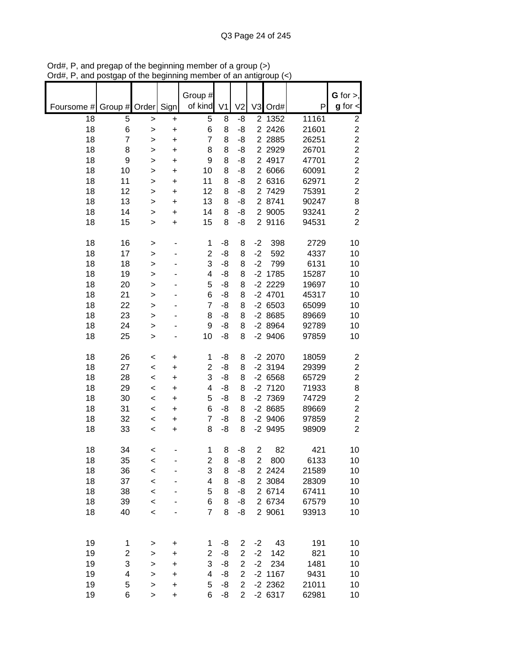|            |                         |                        |                        | Group #<br>of kind | V <sub>1</sub> |                |                |                      |                | $G$ for $>$ ,<br>$g$ for $\lt$ |
|------------|-------------------------|------------------------|------------------------|--------------------|----------------|----------------|----------------|----------------------|----------------|--------------------------------|
| Foursome # | Group $\sharp$          | Order                  | Sign                   |                    |                | V <sub>2</sub> | V <sub>3</sub> | Ord#                 | P              |                                |
| 18<br>18   | 5<br>6                  | $\geq$                 | +                      | 5<br>6             | 8<br>8         | -8<br>-8       |                | 2 1352<br>2 2 4 2 6  | 11161<br>21601 | 2<br>$\overline{\mathbf{c}}$   |
| 18         | $\overline{7}$          | $\mathbf{I}$<br>$\geq$ | $\ddot{}$<br>$\ddot{}$ | 7                  | 8              | -8             |                | 2 2 8 8 5            | 26251          | $\overline{c}$                 |
| 18         | 8                       | >                      | $\ddot{}$              | 8                  | 8              | -8             |                | 2 2 9 2 9            | 26701          | $\overline{c}$                 |
| 18         | 9                       | >                      | $\ddot{}$              | 9                  | 8              | -8             |                | 2 4917               | 47701          | $\overline{c}$                 |
| 18         | 10                      | >                      | +                      | 10                 | 8              | -8             |                | 2 6066               | 60091          | $\overline{c}$                 |
| 18         | 11                      | >                      | $\ddot{}$              | 11                 | 8              | -8             |                | 2 6316               | 62971          | $\overline{c}$                 |
| 18         | 12                      | >                      | $\ddot{}$              | 12                 | 8              | -8             |                | 2 7429               | 75391          | $\overline{c}$                 |
| 18         | 13                      | $\geq$                 | +                      | 13                 | 8              | -8             |                | 2 8741               | 90247          | 8                              |
| 18         | 14                      | >                      | +                      | 14                 | 8              | -8             | $\overline{2}$ | 9005                 | 93241          | $\overline{c}$                 |
| 18         | 15                      | >                      | $\ddot{}$              | 15                 | 8              | -8             |                | 2 9116               | 94531          | $\overline{2}$                 |
| 18         | 16                      | >                      | -                      | 1                  | -8             | 8              | $-2$           | 398                  | 2729           | 10                             |
| 18         | 17                      | >                      |                        | 2                  | -8             | 8              | $-2$           | 592                  | 4337           | 10                             |
| 18         | 18                      | >                      |                        | 3                  | -8             | 8              | $-2$           | 799                  | 6131           | 10                             |
| 18         | 19                      | $\mathbf{I}$           |                        | 4                  | -8             | 8              |                | $-2$ 1785            | 15287          | 10                             |
| 18         | 20                      | $\geq$                 |                        | 5                  | -8             | 8              |                | $-2$ 2229            | 19697          | 10                             |
| 18         | 21                      | $\geq$                 |                        | 6                  | -8             | 8              |                | $-2$ 4701            | 45317          | 10                             |
| 18         | 22                      | $\geq$                 |                        | 7                  | -8             | 8              |                | $-26503$<br>$-28685$ | 65099          | 10                             |
| 18<br>18   | 23<br>24                | $\geq$                 |                        | 8<br>9             | -8<br>-8       | 8<br>8         |                | $-28964$             | 89669<br>92789 | 10<br>10                       |
| 18         | 25                      | >                      |                        | 10                 | -8             | 8              |                | $-2$ 9406            | 97859          | 10                             |
|            |                         | $\geq$                 |                        |                    |                |                |                |                      |                |                                |
| 18         | 26                      | $\prec$                | +                      | 1                  | -8             | 8              |                | $-2$ 2070            | 18059          | $\overline{\mathbf{c}}$        |
| 18         | 27                      | $\prec$                | $\ddot{}$              | 2                  | -8             | 8              |                | $-2$ 3194            | 29399          | $\overline{\mathbf{c}}$        |
| 18         | 28                      | $\,<$                  | $\ddot{}$              | 3                  | -8             | 8              |                | $-26568$             | 65729          | $\overline{c}$                 |
| 18         | 29                      | $\,<$                  | +                      | 4                  | -8             | 8              |                | $-2$ 7120            | 71933          | 8                              |
| 18         | 30                      | $\,<$                  | +                      | 5                  | -8             | 8              |                | -2 7369              | 74729          | $\overline{c}$                 |
| 18         | 31                      | $\,<$                  | +                      | 6                  | -8             | 8              |                | $-28685$             | 89669          | $\overline{c}$                 |
| 18         | 32                      | $\,<$                  | +                      | 7                  | -8             | 8              |                | $-2$ 9406            | 97859          | $\overline{c}$                 |
| 18         | 33                      | $\,<$                  | +                      | 8                  | -8             | 8              |                | -2 9495              | 98909          | $\overline{2}$                 |
| 18         | 34                      | <                      |                        | 1                  | 8              | -8             | $\overline{c}$ | 82                   | 421            | 10                             |
| 18         | 35                      | $\prec$                |                        | 2                  | 8              | -8             | $\overline{2}$ | 800                  | 6133           | 10                             |
| 18         | 36                      | $\prec$                |                        | 3                  | 8              | -8             |                | 2 2 4 2 4            | 21589          | 10                             |
| 18         | 37                      | $\prec$                |                        | 4<br>5             | 8              | -8             |                | 2 3084               | 28309          | 10                             |
| 18<br>18   | 38<br>39                | $\prec$                |                        | 6                  | 8<br>8         | -8<br>-8       |                | 2 6714<br>2 6734     | 67411<br>67579 | 10<br>10                       |
| 18         | 40                      | $\prec$<br>$\,<$       |                        | $\overline{7}$     | 8              | -8             |                | 2 9061               | 93913          | 10                             |
|            |                         |                        |                        |                    |                |                |                |                      |                |                                |
| 19         | 1                       | >                      | +                      | 1                  | -8             | 2              | $-2$           | 43                   | 191            | 10                             |
| 19         | $\overline{\mathbf{c}}$ | $\mathbf{I}$           | +                      | 2                  | -8             | $\overline{2}$ | $-2$           | 142                  | 821            | 10                             |
| 19         | 3                       | $\mathbf{I}$           | $\ddot{}$              | 3                  | -8             | $\overline{c}$ | $-2$           | 234                  | 1481           | 10                             |
| 19         | 4                       | $\mathbf{I}$           | $\ddot{}$              | 4                  | -8             | $\overline{2}$ |                | $-2$ 1167            | 9431           | 10                             |
| 19         | 5                       | >                      | $\ddot{}$              | 5                  | -8             | $\overline{2}$ |                | $-2$ 2362            | 21011          | 10                             |
| 19         | 6                       | $\, > \,$              | $\ddot{}$              | 6                  | -8             | $\overline{2}$ |                | $-26317$             | 62981          | 10                             |

Ord#, P, and pregap of the beginning member of a group (>) Ord#, P, and postgap of the beginning member of an antigroup (<)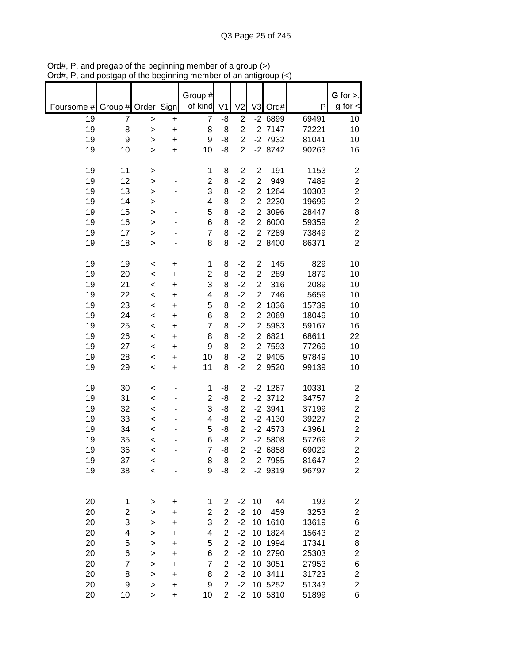|            |               |                    |                        | Group #             |                                  |                                  |                                  |                        |                | $G$ for $>$ ,                    |
|------------|---------------|--------------------|------------------------|---------------------|----------------------------------|----------------------------------|----------------------------------|------------------------|----------------|----------------------------------|
| Foursome # | Group # Order |                    | Sign                   | of kind             | V <sub>1</sub>                   | V <sub>2</sub>                   |                                  | V3 Ord#                | P              | $g$ for $\textsf{I}$             |
| 19         | 7             | $\,$               | $\ddot{}$              | 7                   | -8                               | $\overline{2}$                   |                                  | $-26899$               | 69491          | 10                               |
| 19<br>19   | 8<br>9        | $\,$<br>>          | $\ddot{}$<br>+         | 8<br>9              | -8<br>-8                         | $\overline{2}$<br>$\overline{2}$ |                                  | $-2$ 7147<br>$-2$ 7932 | 72221<br>81041 | 10<br>10                         |
| 19         | 10            | $\geq$             | $\ddot{}$              | 10                  | -8                               | $\overline{2}$                   |                                  | $-28742$               | 90263          | 16                               |
|            |               |                    |                        |                     |                                  |                                  |                                  |                        |                |                                  |
| 19         | 11            | $\, > \,$          |                        | 1                   | 8                                | $-2$                             | $\mathbf{2}$                     | 191                    | 1153           | $\overline{\mathbf{c}}$          |
| 19         | 12            | $\mathbf{I}$       |                        | $\overline{c}$      | 8                                | $-2$                             | $\overline{2}$                   | 949                    | 7489           | $\overline{c}$                   |
| 19         | 13            | $\geq$             |                        | 3                   | 8                                | $-2$                             | $\overline{2}$                   | 1264                   | 10303          | $\overline{c}$                   |
| 19<br>19   | 14<br>15      | $\mathbf{I}$       |                        | 4<br>5              | 8<br>8                           | $-2$<br>$-2$                     | $\overline{2}$<br>$\overline{2}$ | 2230<br>3096           | 19699<br>28447 | $\overline{c}$<br>8              |
| 19         | 16            | ><br>$\geq$        |                        | 6                   | 8                                | $-2$                             |                                  | 2 6000                 | 59359          | $\overline{2}$                   |
| 19         | 17            | >                  |                        | $\overline{7}$      | 8                                | $-2$                             |                                  | 2 7289                 | 73849          | $\overline{\mathbf{c}}$          |
| 19         | 18            | $\, > \,$          |                        | 8                   | 8                                | $-2$                             |                                  | 2 8400                 | 86371          | $\overline{2}$                   |
|            |               |                    |                        |                     |                                  |                                  |                                  |                        |                |                                  |
| 19         | 19            | $\,<$              | +                      | 1                   | 8                                | $-2$                             | $\mathbf{2}$                     | 145                    | 829            | 10                               |
| 19         | 20            | $\prec$            | $\ddot{}$              | $\overline{c}$      | 8                                | $-2$                             | $\overline{2}$<br>$\overline{c}$ | 289                    | 1879           | 10                               |
| 19<br>19   | 21<br>22      | $\prec$<br>$\prec$ | $\ddot{}$<br>$\ddot{}$ | 3<br>4              | 8<br>8                           | $-2$<br>$-2$                     | $\overline{2}$                   | 316<br>746             | 2089<br>5659   | 10<br>10                         |
| 19         | 23            | $\,<$              | $\ddot{}$              | 5                   | 8                                | $-2$                             | $\overline{2}$                   | 1836                   | 15739          | 10                               |
| 19         | 24            | $\,<$              | $\ddot{}$              | 6                   | 8                                | $-2$                             |                                  | 2 2069                 | 18049          | 10                               |
| 19         | 25            | $\,<$              | $\ddot{}$              | $\overline{7}$      | 8                                | $-2$                             |                                  | 2 5983                 | 59167          | 16                               |
| 19         | 26            | $\,<$              | $\ddot{}$              | 8                   | 8                                | $-2$                             |                                  | 2 6821                 | 68611          | 22                               |
| 19         | 27            | $\,<$              | $\ddot{}$              | 9                   | 8                                | $-2$                             |                                  | 2 7593                 | 77269          | 10                               |
| 19         | 28            | $\,<$              | +                      | 10                  | 8                                | $-2$                             |                                  | 2 9405                 | 97849          | 10                               |
| 19         | 29            | $\,<$              | +                      | 11                  | 8                                | $-2$                             |                                  | 2 9520                 | 99139          | 10                               |
| 19         | 30            | $\,<$              |                        | 1                   | -8                               | $\overline{c}$                   |                                  | $-2$ 1267              | 10331          | 2                                |
| 19         | 31            | $\,<$              |                        | $\overline{2}$      | -8                               | $\overline{2}$                   |                                  | $-2$ 3712              | 34757          | $\overline{c}$                   |
| 19         | 32            | $\,<$              |                        | 3                   | -8                               | $\overline{2}$                   |                                  | $-2$ 3941              | 37199          | $\overline{\mathbf{c}}$          |
| 19         | 33            | $\,<$              |                        | 4                   | -8                               | $\overline{2}$                   |                                  | $-2$ 4130              | 39227          | $\overline{c}$                   |
| 19         | 34            | $\,<$              |                        | 5                   | -8                               | $\overline{c}$                   |                                  | $-2$ 4573              | 43961          | $\overline{\mathbf{c}}$          |
| 19<br>19   | 35<br>36      | $\,<$<br>$\,<$     |                        | 6<br>$\overline{7}$ | -8<br>-8                         | $\overline{2}$<br>$\overline{2}$ |                                  | $-2,5808$<br>$-26858$  | 57269<br>69029 | $\overline{c}$<br>$\overline{c}$ |
| 19         | 37            | $\prec$            |                        | 8                   | -8                               | $\overline{2}$                   |                                  | $-2$ 7985              | 81647          | 2                                |
| 19         | 38            | $\prec$            |                        | 9                   | -8                               | $\overline{2}$                   |                                  | $-29319$               | 96797          | $\overline{2}$                   |
|            |               |                    |                        |                     |                                  |                                  |                                  |                        |                |                                  |
|            |               |                    |                        |                     |                                  |                                  |                                  |                        |                |                                  |
| 20         | 1             | >                  | +                      | 1                   | $\overline{c}$                   | $-2$                             | 10                               | 44                     | 193            | $\overline{\mathbf{c}}$          |
| 20<br>20   | 2<br>3        | ><br>$\,$          | +<br>+                 | 2<br>3              | $\overline{c}$<br>$\overline{2}$ | $-2$<br>$-2$                     | 10                               | 459<br>10 1610         | 3253<br>13619  | $\overline{\mathbf{c}}$<br>6     |
| 20         | 4             | >                  | +                      | 4                   | $\overline{c}$                   | $-2$                             | 10                               | 1824                   | 15643          | $\overline{\mathbf{c}}$          |
| 20         | 5             | >                  | +                      | 5                   | $\overline{c}$                   | $-2$                             |                                  | 10 1994                | 17341          | 8                                |
| 20         | 6             | >                  | +                      | 6                   | $\overline{2}$                   | $-2$                             |                                  | 10 2790                | 25303          | $\overline{c}$                   |
| 20         | 7             | >                  | $\ddot{}$              | $\overline{7}$      | $\overline{2}$                   | $-2$                             |                                  | 10 3051                | 27953          | 6                                |
| 20         | 8             | >                  | +                      | 8                   | $\overline{2}$                   | $-2$                             |                                  | 10 3411                | 31723          |                                  |
|            |               | >                  | +                      |                     |                                  |                                  |                                  |                        |                |                                  |
| 20<br>20   | 9<br>10       | $\geq$             | $\ddot{}$              | 9<br>10             | $\overline{2}$<br>$\overline{2}$ | $-2$<br>$-2$                     |                                  | 10 5252<br>10 5310     | 51343<br>51899 | $\overline{c}$<br>2<br>6         |

Ord#, P, and pregap of the beginning member of a group (>) Ord#, P, and postgap of the beginning member of an antigroup (<)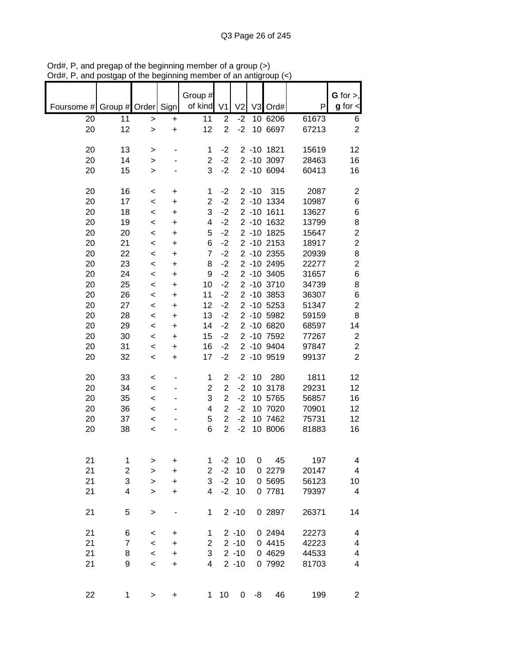|            |                |                  |                        | Group #        |                |                |          |                          |                | G for $>$ ,             |
|------------|----------------|------------------|------------------------|----------------|----------------|----------------|----------|--------------------------|----------------|-------------------------|
| Foursome # | Group # Order  |                  | Sign                   | of kind        | V <sub>1</sub> | V <sub>2</sub> |          | V3 Ord#                  | P              | $g$ for $\lt$           |
| 20         | 11             | $\,>$            | $\ddot{}$              | 11             | $\overline{2}$ | $-2$           |          | 10 6206                  | 61673          | 6                       |
| 20         | 12             | $\mathbf{I}$     | $\ddot{}$              | 12             | $\overline{2}$ | $-2$           |          | 10 6697                  | 67213          | $\overline{2}$          |
|            |                |                  |                        |                |                |                |          |                          |                |                         |
| 20         | 13             | >                |                        | 1              | $-2$           |                |          | 2 -10 1821               | 15619          | 12                      |
| 20         | 14             | >                |                        | $\overline{2}$ | $-2$           |                |          | 2 -10 3097               | 28463          | 16                      |
| 20         | 15             | >                |                        | 3              | $-2$           |                |          | 2 -10 6094               | 60413          | 16                      |
|            |                |                  |                        |                |                |                |          |                          |                |                         |
| 20         | 16             | $\,<$            | +                      | 1              | $-2$           |                | $2 - 10$ | 315                      | 2087           | $\overline{\mathbf{c}}$ |
| 20         | 17             | $\,<$            | $\ddot{}$              | $\overline{2}$ | $-2$           |                | $2 - 10$ | 1334                     | 10987<br>13627 | 6                       |
| 20<br>20   | 18<br>19       | $\,<$            | $\ddot{}$              | 3<br>4         | $-2$<br>$-2$   |                |          | 2 -10 1611<br>2 -10 1632 | 13799          | 6<br>8                  |
| 20         | 20             | $\,<$            | $\ddot{}$<br>$\ddot{}$ | 5              | $-2$           |                |          | 2 -10 1825               | 15647          | $\overline{c}$          |
| 20         | 21             | $\,<$<br>$\prec$ | $\ddot{}$              | 6              | $-2$           |                |          | 2 -10 2153               | 18917          | $\overline{c}$          |
| 20         | 22             | $\,<$            | $\ddot{}$              | $\overline{7}$ | $-2$           |                |          | 2 -10 2355               | 20939          | 8                       |
| 20         | 23             | $\,<$            | $\ddot{}$              | 8              | $-2$           |                |          | 2 -10 2495               | 22277          | $\overline{c}$          |
| 20         | 24             | $\,<\,$          | +                      | 9              | $-2$           |                |          | 2 -10 3405               | 31657          | 6                       |
| 20         | 25             | $\,<$            | $\ddot{}$              | 10             | $-2$           |                |          | 2 -10 3710               | 34739          | 8                       |
| 20         | 26             | $\,<$            | +                      | 11             | $-2$           |                |          | 2 -10 3853               | 36307          | $\,6$                   |
| 20         | 27             | $\,<$            | +                      | 12             | $-2$           |                |          | 2 -10 5253               | 51347          | $\mathbf 2$             |
| 20         | 28             | $\,<$            | +                      | 13             | $-2$           |                |          | 2 -10 5982               | 59159          | 8                       |
| 20         | 29             | $\,<$            | +                      | 14             | $-2$           |                |          | 2 -10 6820               | 68597          | 14                      |
| 20         | 30             | $\,<$            | +                      | 15             | $-2$           |                |          | 2 -10 7592               | 77267          | $\boldsymbol{2}$        |
| 20         | 31             | $\,<$            | +                      | 16             | $-2$           |                |          | 2 -10 9404               | 97847          | $\overline{c}$          |
| 20         | 32             | $\,<$            | +                      | 17             | $-2$           |                |          | 2 -10 9519               | 99137          | $\overline{c}$          |
| 20         | 33             | <                |                        | 1              | 2              | $-2$           | 10       | 280                      | 1811           | 12                      |
| 20         | 34             | $\,<$            |                        | $\overline{2}$ | $\overline{2}$ | $-2$           |          | 10 3178                  | 29231          | 12                      |
| 20         | 35             | $\,<\,$          |                        | 3              | $\overline{2}$ | $-2$           |          | 10 5765                  | 56857          | 16                      |
| 20         | 36             | $\,<\,$          |                        | 4              | $\overline{2}$ | $-2$           |          | 10 7020                  | 70901          | 12                      |
| 20         | 37             | $\,<$            |                        | 5              | $\overline{2}$ | $-2$           |          | 10 7462                  | 75731          | 12                      |
| 20         | 38             | $\,<$            |                        | 6              | $\overline{2}$ | $-2$           |          | 10 8006                  | 81883          | 16                      |
|            |                |                  |                        |                |                |                |          |                          |                |                         |
| 21         | 1              | >                | +                      | 1              | $-2$           | 10             |          | 45<br>0                  | 197            | 4                       |
| 21         | 2              | $\geq$           | $\ddot{}$              | $\overline{c}$ | $-2$           | 10             |          | 0 2279                   | 20147          | $\overline{\mathbf{4}}$ |
| 21         | 3              | $\geq$           | $\ddot{}$              | 3              | $-2$           | 10             |          | 0 5695                   | 56123          | 10                      |
| 21         | 4              | $\geq$           | +                      | $\overline{4}$ | $-2$           | 10             |          | 0 7781                   | 79397          | 4                       |
| 21         | 5              | $\,$             |                        | 1              |                | $2 - 10$       |          | 0 2897                   | 26371          | 14                      |
| 21         | 6              | <                | $\ddot{}$              | 1              |                | $2 - 10$       |          | 0 2494                   | 22273          | 4                       |
| 21         | $\overline{7}$ | $\,<$            | +                      | $\overline{2}$ |                | $2 - 10$       |          | 0 4415                   | 42223          | 4                       |
| 21         | 8              | $\,<\,$          | +                      | 3              |                | $2 - 10$       |          | 0 4629                   | 44533          | 4                       |
| 21         | 9              | $\,<$            | $\ddot{}$              | 4              |                | $2 - 10$       |          | 0 7992                   | 81703          | 4                       |
| 22         | 1              | $\, > \,$        | +                      | $\mathbf 1$    | 10             | $\overline{0}$ | -8       | 46                       | 199            | $\overline{c}$          |

Ord#, P, and pregap of the beginning member of a group (>) Ord#, P, and postgap of the beginning member of an antigroup (<)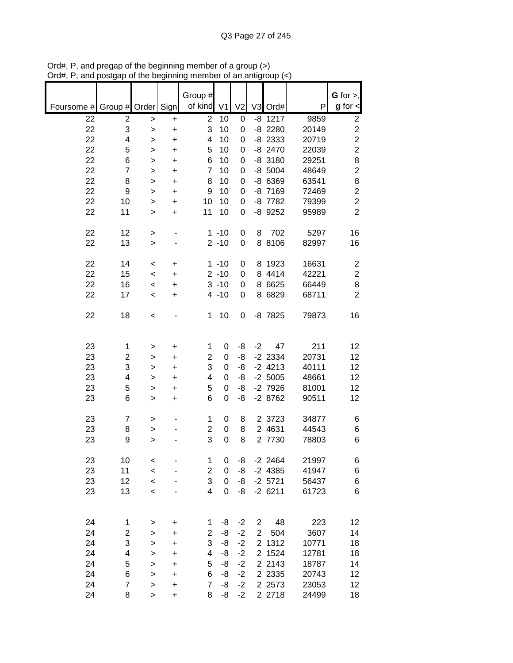|                          |                |           |                        | Group #        |                |                |                |                        |                | G for $>$ ,                      |
|--------------------------|----------------|-----------|------------------------|----------------|----------------|----------------|----------------|------------------------|----------------|----------------------------------|
| Foursome # Group # Order |                |           | Sign                   | of kind        | V <sub>1</sub> | V <sub>2</sub> |                | V3 Ord#                | P              | $g$ for $\textsf{I}$             |
| 22                       | 2              | $\,$      | +                      | $\overline{2}$ | 10             | 0              |                | $-8$ 1217              | 9859           | $\overline{c}$                   |
| 22                       | 3              | >         | +                      | 3              | 10             | 0              |                | $-8$ 2280              | 20149          | $\overline{2}$                   |
| 22<br>22                 | 4              | >         | +                      | 4              | 10             | 0              |                | $-8$ 2333              | 20719          | $\overline{2}$<br>$\overline{2}$ |
| 22                       | 5<br>6         | ><br>>    | $\ddot{}$<br>$\ddot{}$ | 5<br>6         | 10<br>10       | 0<br>0         |                | $-8$ 2470<br>$-8$ 3180 | 22039<br>29251 | 8                                |
| 22                       | $\overline{7}$ | >         | $\ddot{}$              | $\overline{7}$ | 10             | 0              |                | $-8$ 5004              | 48649          | $\overline{2}$                   |
| 22                       | 8              | >         | $\ddot{}$              | 8              | 10             | 0              |                | -8 6369                | 63541          | 8                                |
| 22                       | 9              | >         | +                      | 9              | 10             | 0              |                | -8 7169                | 72469          | $\overline{c}$                   |
| 22                       | 10             | >         | +                      | 10             | 10             | 0              |                | -8 7782                | 79399          | $\overline{c}$                   |
| 22                       | 11             | >         | +                      | 11             | 10             | 0              |                | -8 9252                | 95989          | $\overline{2}$                   |
| 22                       | 12             | >         | ۰                      |                | $1 - 10$       | 0              | 8              | 702                    | 5297           | 16                               |
| 22                       | 13             | $\, > \,$ |                        |                | $2 - 10$       | 0              |                | 8 8106                 | 82997          | 16                               |
| 22                       | 14             | $\,<$     | +                      |                | $1 - 10$       | 0              |                | 8 1923                 | 16631          | $\overline{2}$                   |
| 22                       | 15             | $\,<\,$   | $\ddot{}$              |                | $2 - 10$       | 0              |                | 8 4414                 | 42221          | $\overline{c}$                   |
| 22                       | 16             | $\,<\,$   | $\ddot{}$              |                | $3 - 10$       | 0              |                | 8 6625                 | 66449          | 8                                |
| 22                       | 17             | $\,<$     | $\ddot{}$              |                | $4 - 10$       | 0              |                | 8 6829                 | 68711          | $\overline{2}$                   |
| 22                       | 18             | $\,<$     |                        | 1              | 10             | 0              |                | -8 7825                | 79873          | 16                               |
| 23                       | 1              |           |                        | 1              | 0              | -8             | $-2$           | 47                     | 211            | 12                               |
| 23                       | 2              | ><br>>    | +<br>+                 | $\overline{2}$ | 0              | -8             |                | $-2$ 2334              | 20731          | 12                               |
| 23                       | 3              | >         | +                      | 3              | 0              | -8             |                | $-2$ 4213              | 40111          | 12                               |
| 23                       | 4              | >         | +                      | 4              | 0              | -8             |                | $-2,5005$              | 48661          | 12                               |
| 23                       | 5              | >         | +                      | 5              | 0              | -8             |                | -2 7926                | 81001          | 12                               |
| 23                       | 6              | >         | +                      | 6              | 0              | -8             |                | $-28762$               | 90511          | 12                               |
| 23                       | 7              | >         |                        | 1              | 0              | 8              |                | 2 3723                 | 34877          | 6                                |
| 23                       | 8              | >         |                        | $\overline{c}$ | 0              | 8              |                | 2 4631                 | 44543          | 6                                |
| 23                       | 9              | $\geq$    |                        | 3              | $\mathbf 0$    | 8              |                | 2 7730                 | 78803          | 6                                |
| 23                       | 10             | $\,<$     |                        | 1              | 0              | -8             |                | $-2$ 2464              | 21997          | 6                                |
| 23                       | 11             | $\prec$   |                        | $\overline{c}$ | 0              | -8             |                | $-2$ 4385              | 41947          | 6                                |
| 23                       | 12             | $\prec$   |                        | 3              | 0              | -8             |                | $-2$ 5721              | 56437          | 6                                |
| 23                       | 13             | $\,<$     |                        | 4              | 0              | -8             |                | $-26211$               | 61723          | 6                                |
| 24                       | 1              | >         | +                      | 1              | -8             | $-2$           | $\overline{c}$ | 48                     | 223            | 12                               |
| 24                       | 2              | >         | +                      | 2              | -8             | $-2$           | $\overline{2}$ | 504                    | 3607           | 14                               |
| 24                       | 3              | >         | +                      | 3              | -8             | $-2$           |                | 2 1312                 | 10771          | 18                               |
| 24                       | 4              | >         | $\ddot{}$              | 4              | -8             | $-2$           |                | 2 1524                 | 12781          | 18                               |
| 24                       | 5              | >         | +                      | 5              | -8             | $-2$           |                | 2 2143                 | 18787          | 14                               |
| 24                       | 6              | >         | +                      | 6              | -8             | $-2$           |                | 2 2 3 3 5              | 20743          | 12                               |
| 24                       | $\overline{7}$ | >         | $\ddot{}$              | $\overline{7}$ | -8             | $-2$           |                | 2 2 5 7 3              | 23053          | 12                               |
| 24                       | 8              | $\, > \,$ | $\ddot{}$              | 8              | -8             | $-2$           |                | 2 2718                 | 24499          | 18                               |

Ord#, P, and pregap of the beginning member of a group (>) Ord#, P, and postgap of the beginning member of an antigroup (<)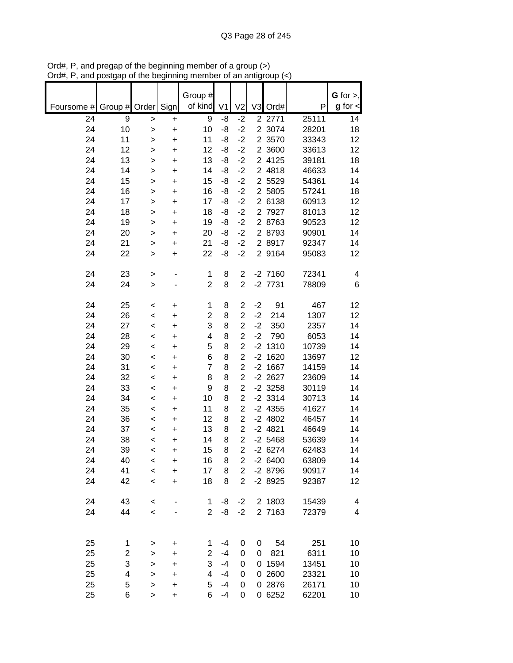|                                 |                          |                        | Group #             |                |                     |                |                                  |                | G for $>$ ,   |
|---------------------------------|--------------------------|------------------------|---------------------|----------------|---------------------|----------------|----------------------------------|----------------|---------------|
| Group # Order<br>Foursome #     |                          | Sign                   | of kind             | V <sub>1</sub> | V <sub>2</sub>      | V <sub>3</sub> | Ord#                             | P              | $g$ for $\lt$ |
| 24<br>9                         | $\mathbf{I}$             | $\ddot{}$              | 9                   | -8             | $-2$                |                | $\overline{2}$ $\overline{277}1$ | 25111          | 14            |
| 24<br>10                        | $\geq$                   | $\ddot{}$              | 10                  | -8             | $-2$                |                | 2 3074                           | 28201          | 18            |
| 24<br>11                        | >                        | $\ddot{}$              | 11                  | -8             | $-2$                |                | 2 3570                           | 33343          | 12            |
| 24<br>12                        | >                        | $\ddot{}$              | 12                  | -8             | $-2$                |                | 2 3600                           | 33613          | 12            |
| 13<br>24                        | >                        | +                      | 13                  | -8             | $-2$                |                | 2 4125                           | 39181          | 18            |
| 24<br>14                        | $\geq$                   | $\ddot{}$              | 14                  | -8             | $-2$                |                | 2 4818                           | 46633          | 14            |
| 24<br>15                        | $\geq$                   | $\ddot{}$              | 15                  | -8             | $-2$                |                | 2 5529                           | 54361          | 14            |
| 24<br>16                        | $\geq$                   | $\ddot{}$              | 16                  | -8             | $-2$                |                | 2 5805                           | 57241          | 18            |
| 24<br>17                        | >                        | $\ddot{}$              | 17                  | -8             | $-2$                | $\overline{2}$ | 6138                             | 60913          | 12            |
| 24<br>18<br>24<br>19            | >                        | $\ddot{}$              | 18<br>19            | -8<br>-8       | $-2$<br>$-2$        |                | 2 7927<br>2 8763                 | 81013<br>90523 | 12<br>12      |
| 24<br>20                        | >                        | $\ddot{}$              | 20                  | -8             | $-2$                |                | 2 8793                           | 90901          | 14            |
| 24<br>21                        | >                        | +                      | 21                  | -8             | $-2$                |                | 2 8917                           | 92347          | 14            |
| 24<br>22                        | ><br>$\geq$              | $\ddot{}$<br>$\ddot{}$ | 22                  | -8             | $-2$                |                | 2 9164                           | 95083          | 12            |
|                                 |                          |                        |                     |                |                     |                |                                  |                |               |
| 24<br>23                        | $\, > \,$                |                        | 1                   | 8              | $\overline{2}$      |                | $-2$ 7160                        | 72341          | 4             |
| 24<br>24                        | $\geq$                   |                        | $\overline{c}$      | 8              | $\overline{2}$      |                | $-2$ $7731$                      | 78809          | 6             |
|                                 |                          |                        |                     |                |                     |                |                                  |                |               |
| 24<br>25                        | $\,<$                    | +                      | 1                   | 8              | $\overline{2}$      | $-2$           | 91                               | 467            | 12            |
| 24<br>26                        | $\prec$                  | $\ddot{}$              | 2                   | 8              | $\overline{2}$      | $-2$           | 214                              | 1307           | 12            |
| 24<br>27                        | $\,<\,$                  | $\ddot{}$              | 3                   | 8              | $\overline{2}$      | $-2$           | 350                              | 2357           | 14            |
| 24<br>28                        | $\,<\,$                  | +                      | 4                   | 8              | $\overline{2}$      | $-2$           | 790                              | 6053           | 14            |
| 24<br>29                        | $\,<$                    | $\ddot{}$              | 5                   | 8              | $\overline{2}$      |                | $-2$ 1310                        | 10739          | 14            |
| 24<br>30                        | $\,<\,$                  | $\ddot{}$              | 6                   | 8              | $\overline{2}$      |                | $-2$ 1620                        | 13697          | 12            |
| 24<br>31                        | $\,<\,$                  | $\ddot{}$              | $\overline{7}$      | 8              | $\overline{2}$      |                | $-2$ 1667                        | 14159          | 14            |
| 24<br>32                        | $\,<\,$                  | $\ddot{}$              | 8                   | 8              | $\overline{c}$      |                | $-2$ 2627                        | 23609          | 14            |
| 24<br>33                        | $\,<\,$                  | $\ddot{}$              | 9                   | 8              | $\overline{2}$      |                | $-2$ 3258                        | 30119          | 14            |
| 24<br>34                        | $\,<$                    | +                      | 10                  | 8              | $\overline{c}$      |                | $-2$ 3314                        | 30713          | 14            |
| 24<br>35                        | $\,<\,$                  | +                      | 11                  | 8              | $\overline{2}$      |                | $-2$ 4355                        | 41627          | 14            |
| 24<br>36                        | $\,<\,$                  | +                      | 12                  | 8              | $\overline{2}$      |                | $-2$ 4802                        | 46457          | 14            |
| 24<br>37                        | $\,<\,$                  | $\ddot{}$              | 13                  | 8              | $\overline{2}$      |                | $-2$ 4821                        | 46649          | 14            |
| 24<br>38                        | $\,<\,$                  | $\ddot{}$              | 14                  | 8              | $\overline{2}$      |                | $-2$ 5468                        | 53639          | 14            |
| 24<br>39                        | $\,<$                    | $\ddot{}$              | 15                  | 8              | $\overline{2}$      |                | $-26274$                         | 62483          | 14            |
| 24<br>40<br>24                  | $\,<$                    | +                      | 16<br>17            | 8<br>8         | 2<br>$\overline{2}$ |                | $-26400$                         | 63809          | 14            |
| 41<br>24                        | $\prec$                  | $\ddot{}$              |                     |                | $\overline{2}$      |                | $-28796$<br>$-28925$             | 90917          | 14            |
| 42                              | $\prec$                  | $\ddot{}$              | 18                  | 8              |                     |                |                                  | 92387          | 12            |
| 24<br>43                        | $\prec$                  |                        | 1                   | -8             | $-2$                |                | 2 1803                           | 15439          | 4             |
| 24<br>44                        | $\overline{\phantom{a}}$ |                        | $\overline{2}$      | -8             | $-2$                |                | 2 7163                           | 72379          | 4             |
|                                 |                          |                        |                     |                |                     |                |                                  |                |               |
|                                 |                          |                        |                     |                |                     |                |                                  |                |               |
| 25<br>1<br>$\overline{c}$<br>25 | >                        | +                      | 1<br>$\overline{c}$ | $-4$<br>$-4$   | 0<br>0              | 0              | 54<br>821                        | 251<br>6311    | 10<br>10      |
| 3<br>25                         | >                        | +<br>$\ddot{}$         | 3                   | $-4$           | 0                   | 0              | 0 1594                           | 13451          | 10            |
| 25<br>4                         | >                        |                        | 4                   | $-4$           | 0                   |                | 0 2600                           | 23321          | 10            |
| 25<br>5                         | ><br>>                   | +<br>+                 | 5                   | $-4$           | 0                   |                | 0 2876                           | 26171          | 10            |
| 25<br>6                         | $\, > \,$                | $\ddot{}$              | 6                   | -4             | 0                   |                | 0 6252                           | 62201          | 10            |

Ord#, P, and pregap of the beginning member of a group (>) Ord#, P, and postgap of the beginning member of an antigroup (<)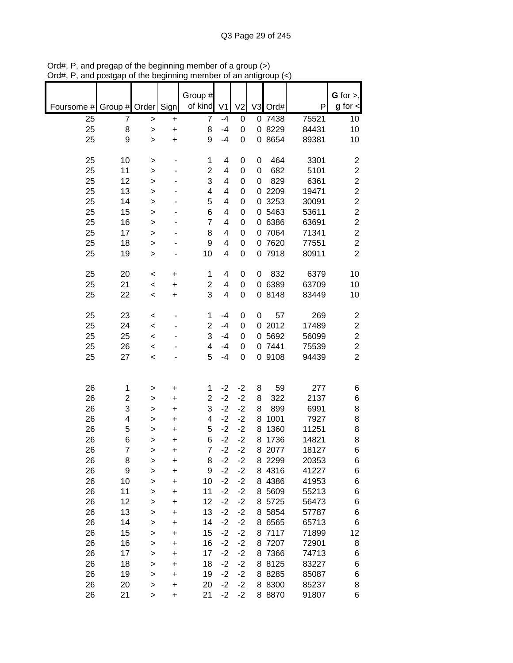|                 |                         |              |           | Group #                      |                |                |             |                     |                | $G$ for $>$ ,           |
|-----------------|-------------------------|--------------|-----------|------------------------------|----------------|----------------|-------------|---------------------|----------------|-------------------------|
| Foursome #      | Group # Order           |              | Sign      | of kind                      | V <sub>1</sub> | V <sub>2</sub> |             | V3 Ord#             | P              | $g$ for $\lt$           |
| $\overline{25}$ | 7                       | $\geq$       | +         | $\overline{7}$               | $-4$           | 0              |             | 0 7438              | 75521          | 10                      |
| 25              | 8                       | $\geq$       | $\ddot{}$ | 8                            | $-4$           | 0              |             | 0 8229              | 84431          | 10                      |
| 25              | 9                       | $\mathbf{I}$ | $\ddot{}$ | 9                            | $-4$           | 0              |             | 0 8654              | 89381          | 10                      |
|                 |                         |              |           |                              |                |                |             |                     |                |                         |
| 25              | 10                      | >            |           | 1                            | 4              | 0              | 0           | 464                 | 3301           | $\overline{\mathbf{c}}$ |
| 25              | 11                      | >            |           | $\overline{\mathbf{c}}$      | 4              | 0              | $\mathbf 0$ | 682                 | 5101           | $\overline{c}$          |
| 25              | 12                      | >            |           | 3                            | 4              | 0              | 0           | 829                 | 6361           | $\overline{c}$          |
| 25              | 13                      | >            |           | 4                            | 4              | 0              | 0           | 2209                | 19471          | $\overline{c}$          |
| 25              | 14                      | >            |           | 5                            | 4              | 0              | 0           | 3253                | 30091          | $\overline{\mathbf{c}}$ |
| 25              | 15                      | $\geq$       |           | 6                            | 4              | 0              | 0           | 5463                | 53611          | $\overline{c}$          |
| 25              | 16                      | >            |           | $\overline{7}$               | 4              | 0              | 0           | 6386                | 63691          | $\overline{\mathbf{c}}$ |
| 25              | 17                      | $\geq$       |           | 8                            | 4              | 0              | 0           | 7064                | 71341          | $\overline{c}$          |
| 25              | 18                      | >            |           | 9                            | 4              | 0              | 0           | 7620                | 77551          | $\overline{c}$          |
| 25              | 19                      | >            |           | 10                           | 4              | 0              |             | 0 7918              | 80911          | $\overline{2}$          |
|                 |                         |              |           |                              |                |                |             |                     |                |                         |
| 25              | 20                      | $\,<$        | +         | 1                            | 4              | 0              | 0           | 832                 | 6379           | 10                      |
| 25              | 21                      | $\prec$      | +         | $\overline{\mathbf{c}}$<br>3 | 4              | 0              |             | 0 6389              | 63709          | 10                      |
| 25              | 22                      | $\,<$        | +         |                              | 4              | 0              | 0           | 8148                | 83449          | 10                      |
| 25              | 23                      | $\,<$        |           | 1                            | $-4$           | 0              | 0           | 57                  | 269            | $\boldsymbol{2}$        |
| 25              | 24                      | $\prec$      |           | $\overline{c}$               | $-4$           | 0              |             | 02012               | 17489          | $\overline{c}$          |
| 25              | 25                      | $\prec$      |           | 3                            | $-4$           | 0              | 0           | 5692                | 56099          | $\boldsymbol{2}$        |
| 25              | 26                      | $\,<$        |           | 4                            | $-4$           | 0              |             | 0 7441              | 75539          | $\overline{c}$          |
| 25              | 27                      | $\prec$      |           | 5                            | $-4$           | 0              |             | 0 9108              | 94439          | $\overline{2}$          |
|                 |                         |              |           |                              |                |                |             |                     |                |                         |
|                 |                         |              |           |                              |                |                |             |                     |                |                         |
| 26              | 1                       | $\geq$       | +         | 1                            | $-2$           | $-2$           | 8           | 59                  | 277            | 6                       |
| 26              | $\overline{\mathbf{c}}$ | >            | +         | $\overline{c}$               | $-2$           | $-2$           | 8           | 322                 | 2137           | 6                       |
| 26              | 3                       | $\geq$       | +         | 3                            | $-2$           | $-2$           | 8           | 899                 | 6991           | 8                       |
| 26              | 4                       | >            | +         | 4                            | $-2$           | $-2$           | 8           | 1001                | 7927           | 8                       |
| 26              | 5                       | >            | +         | 5                            | $-2$           | $-2$           | 8           | 1360                | 11251          | 8                       |
| 26              | 6<br>$\overline{7}$     | >            | +         | 6<br>$\overline{7}$          | $-2$<br>$-2$   | $-2$<br>$-2$   | 8           | 1736                | 14821          | 8                       |
| 26              |                         | >            | +         |                              |                |                |             | 8 2077<br>8 2 2 9 9 | 18127          | 6                       |
| 26<br>26        | 8<br>9                  | >            | +         | 8<br>9                       | $-2$<br>$-2$   | $-2$<br>$-2$   |             | 8 4316              | 20353<br>41227 | 6                       |
| 26              | 10                      | >            | $\ddot{}$ | 10                           | $-2$           | $-2$           |             | 8 4 38 6            | 41953          | 6<br>6                  |
| 26              | 11                      | >            | +<br>+    | 11                           | $-2$           | $-2$           |             | 8 5609              | 55213          | 6                       |
| 26              | 12                      | ><br>>       | +         | 12                           | $-2$           | $-2$           |             | 8 5725              | 56473          | 6                       |
| 26              | 13                      |              | +         | 13                           | $-2$           | $-2$           |             | 8 5854              | 57787          | 6                       |
| 26              | 14                      | ><br>>       | +         | 14                           | $-2$           | $-2$           |             | 8 6565              | 65713          | 6                       |
| 26              | 15                      | >            | +         | 15                           | $-2$           | $-2$           |             | 8 7117              | 71899          | 12                      |
| 26              | 16                      | >            | +         | 16                           | $-2$           | $-2$           |             | 8 7207              | 72901          | 8                       |
| 26              | 17                      | >            | +         | 17                           | $-2$           | $-2$           |             | 8 7366              | 74713          | 6                       |
| 26              | 18                      | $\mathbf{I}$ | +         | 18                           | $-2$           | $-2$           |             | 8 8125              | 83227          | 6                       |
| 26              | 19                      | $\mathbf{I}$ | +         | 19                           | $-2$           | $-2$           |             | 8 8 28 5            | 85087          | 6                       |
| 26              | 20                      | $\mathbf{I}$ | +         | 20                           | $-2$           | $-2$           |             | 8 8 3 0 0           | 85237          | 8                       |
| 26              | 21                      | >            | +         | 21                           | $-2$           | $-2$           |             | 8 8 8 7 0           | 91807          | 6                       |

Ord#, P, and pregap of the beginning member of a group (>) Ord#, P, and postgap of the beginning member of an antigroup (<)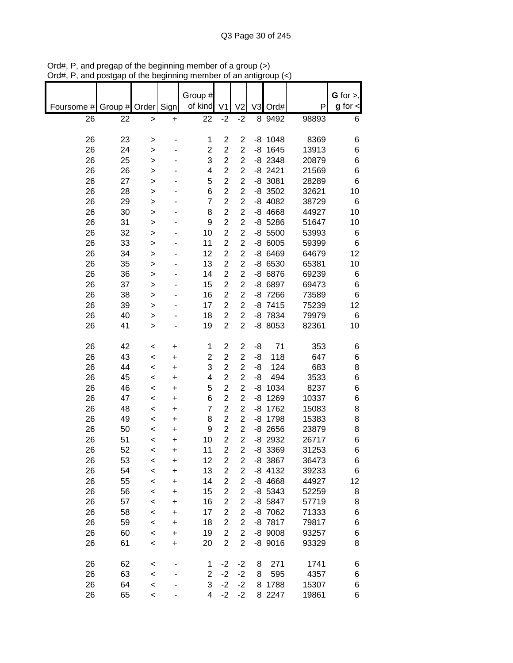|            |               |                          |           | Group #                 |                         |                         |    |           |       | $G$ for $>$ , |
|------------|---------------|--------------------------|-----------|-------------------------|-------------------------|-------------------------|----|-----------|-------|---------------|
| Foursome # | Group # Order |                          | Sign      | of kind                 | V <sub>1</sub>          | V <sub>2</sub>          | V3 | Ord#      | P     | $g$ for $\lt$ |
| 26         | 22            | >                        | +         | $\overline{2}2$         | $-2$                    | $-2$                    |    | 8 9492    | 98893 | 6             |
|            |               |                          |           |                         |                         |                         |    |           |       |               |
| 26         | 23            | >                        |           | 1                       | $\overline{c}$          | $\overline{c}$          |    | $-8$ 1048 | 8369  | 6             |
| 26         | 24            | >                        |           | $\overline{c}$          | $\overline{c}$          | $\overline{2}$          | -8 | 1645      | 13913 | 6             |
| 26         | 25            | >                        |           | 3                       | $\overline{\mathbf{c}}$ | $\overline{c}$          |    | $-8$ 2348 | 20879 | 6             |
| 26         | 26            | >                        |           | 4                       | $\overline{c}$          | $\overline{2}$          |    | $-8$ 2421 | 21569 | 6             |
| 26         | 27            | >                        |           | 5                       | $\overline{2}$          | $\overline{c}$          |    | $-8$ 3081 | 28289 | 6             |
| 26         | 28            | >                        |           | 6                       | $\overline{c}$          | $\overline{c}$          |    | $-8$ 3502 | 32621 | 10            |
| 26         | 29            | >                        |           | $\overline{7}$          | $\overline{c}$          | $\overline{c}$          |    | $-8$ 4082 | 38729 | 6             |
| 26         | 30            | >                        |           | 8                       | $\overline{2}$          | $\overline{c}$          |    | $-8$ 4668 | 44927 | 10            |
| 26         | 31            | >                        |           | 9                       | $\overline{2}$          | $\overline{c}$          |    | $-8$ 5286 | 51647 | 10            |
| 26         | 32            | >                        |           | 10                      | $\overline{2}$          | $\overline{2}$          |    | $-8,5500$ | 53993 | 6             |
| 26         | 33            | >                        |           | 11                      | $\overline{c}$          | $\overline{2}$          |    | $-86005$  | 59399 | 6             |
| 26         | 34            | >                        |           | 12                      | $\overline{c}$          | $\overline{c}$          |    | $-86469$  | 64679 | 12            |
| 26         | 35            | >                        |           | 13                      | $\overline{c}$          | $\overline{2}$          |    | -8 6530   | 65381 | 10            |
| 26         | 36            |                          |           | 14                      | $\overline{2}$          | $\overline{2}$          |    | -8 6876   | 69239 |               |
|            |               | >                        |           |                         | $\overline{c}$          | $\overline{c}$          |    |           |       | 6             |
| 26         | 37            | >                        |           | 15                      |                         |                         |    | -8 6897   | 69473 | 6             |
| 26         | 38            | >                        |           | 16                      | $\overline{c}$          | $\overline{c}$          |    | -8 7266   | 73589 | 6             |
| 26         | 39            | >                        |           | 17                      | $\overline{c}$          | $\overline{2}$          |    | $-8$ 7415 | 75239 | 12            |
| 26         | 40            | >                        |           | 18                      | $\overline{c}$          | $\overline{c}$          |    | -8 7834   | 79979 | 6             |
| 26         | 41            | $\geq$                   |           | 19                      | $\overline{c}$          | $\overline{2}$          |    | -8 8053   | 82361 | 10            |
|            |               |                          |           |                         |                         |                         |    |           |       |               |
| 26         | 42            | $\,<$                    | +         | 1                       | $\overline{\mathbf{c}}$ | $\mathbf 2$             | -8 | 71        | 353   | 6             |
| 26         | 43            | $\,<$                    | +         | $\overline{\mathbf{c}}$ | $\overline{\mathbf{c}}$ | $\overline{c}$          | -8 | 118       | 647   | 6             |
| 26         | 44            | $\,<$                    | +         | 3                       | $\overline{c}$          | $\overline{c}$          | -8 | 124       | 683   | 8             |
| 26         | 45            | $\,<\,$                  | +         | 4                       | $\overline{c}$          | $\overline{2}$          | -8 | 494       | 3533  | 6             |
| 26         | 46            | $\,<$                    | +         | 5                       | $\overline{c}$          | $\overline{c}$          | -8 | 1034      | 8237  | 6             |
| 26         | 47            | $\,<$                    | +         | 6                       | $\overline{2}$          | $\overline{c}$          | -8 | 1269      | 10337 | 6             |
| 26         | 48            | $\,<\,$                  | $\ddot{}$ | $\overline{7}$          | $\overline{2}$          | $\overline{2}$          | -8 | 1762      | 15083 | 8             |
| 26         | 49            | $\,<\,$                  | +         | 8                       | $\overline{c}$          | $\overline{c}$          |    | -8 1798   | 15383 | 8             |
| 26         | 50            | $\,<\,$                  | +         | 9                       | $\overline{c}$          | $\overline{2}$          |    | $-8$ 2656 | 23879 | 8             |
| 26         | 51            | $\,<$                    | +         | 10                      | $\overline{2}$          | $\overline{2}$          |    | $-8$ 2932 | 26717 | 6             |
| 26         | 52            | $\,<$                    | $\ddot{}$ | 11                      | $\overline{2}$          | $\overline{2}$          |    | -8 3369   | 31253 | 6             |
| 26         | 53            | $\,<$                    | +         | 12                      | 2                       | $\overline{\mathbf{c}}$ |    | -8 3867   | 36473 | 6             |
| 26         | 54            | $\,<$                    | $\ddot{}$ | 13                      | $\overline{c}$          | $\overline{c}$          |    | $-8$ 4132 | 39233 | 6             |
| 26         | 55            | $\,<$                    | +         | 14                      | $\overline{\mathbf{c}}$ | $\overline{c}$          |    | $-8$ 4668 | 44927 | 12            |
| 26         | 56            | $\,<$                    | $\ddot{}$ | 15                      | $\overline{c}$          | $\overline{c}$          |    | $-8$ 5343 | 52259 | 8             |
| 26         | 57            | $\,<$                    | +         | 16                      | $\overline{\mathbf{c}}$ | $\overline{c}$          |    | -8 5847   | 57719 | 8             |
| 26         | 58            | $\prec$                  | +         | 17                      | $\overline{c}$          | $\overline{c}$          |    | -8 7062   | 71333 | 6             |
| 26         | 59            | $\prec$                  | +         | 18                      | $\overline{c}$          | $\overline{\mathbf{c}}$ |    | -8 7817   | 79817 | 6             |
| 26         | 60            |                          |           | 19                      | $\overline{2}$          | $\overline{2}$          |    | $-8$ 9008 | 93257 |               |
|            |               | $\,<$                    | +         |                         | $\overline{2}$          |                         |    |           |       | 6             |
| 26         | 61            | $\,<$                    | +         | 20                      |                         | $\overline{2}$          |    | $-8$ 9016 | 93329 | 8             |
| 26         |               |                          |           |                         | $-2$                    | $-2$                    |    | 271       | 1741  |               |
|            | 62            | $\,<$                    |           | 1                       |                         |                         | 8  |           |       | 6             |
| 26         | 63            | $\,<$                    |           | $\overline{c}$          | $-2$                    | $-2$                    | 8  | 595       | 4357  | 6             |
| 26         | 64            | $\prec$                  |           | 3                       | $-2$                    | $-2$                    |    | 8 1788    | 15307 | 6             |
| 26         | 65            | $\overline{\phantom{a}}$ |           | 4                       | $-2$                    | $-2$                    |    | 8 2 2 4 7 | 19861 | 6             |

Ord#, P, and pregap of the beginning member of a group (>) Ord#, P, and postgap of the beginning member of an antigroup (<)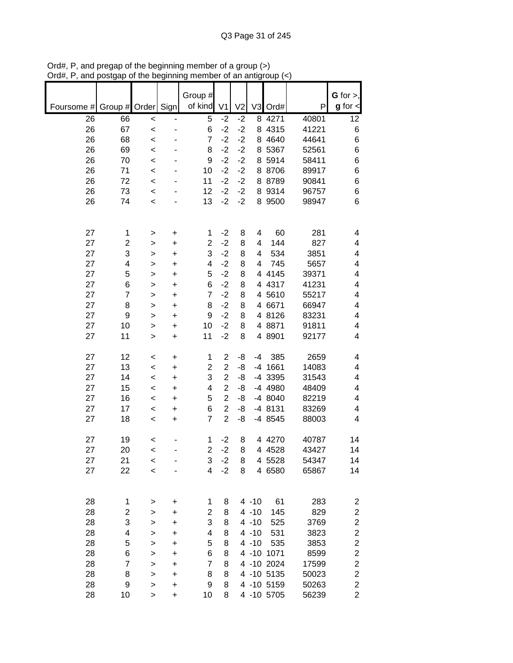| Group #                                                                                                         | $G$ for $>$ ,                      |
|-----------------------------------------------------------------------------------------------------------------|------------------------------------|
| of kind<br>Sign<br>V <sub>2</sub><br>V3<br>Order<br>V <sub>1</sub><br>Ord#<br>Foursome #<br>Group $\sharp$<br>P | $g$ for $\lt$                      |
| 26<br>5<br>$-2$<br>$-2$<br>8 4271<br>40801<br>66<br>$\prec$<br>$\overline{\phantom{0}}$                         | 12                                 |
| 67<br>$-2$<br>$-2$<br>26<br>6<br>8 4315<br>41221<br>$\prec$                                                     | $\,6$                              |
| $-2$<br>$-2$<br>26<br>68<br>7<br>8 4 64 0<br>44641<br>$\prec$                                                   | 6                                  |
| $-2$<br>$-2$<br>26<br>69<br>8<br>8 5367<br>52561<br>$\prec$                                                     | 6                                  |
| $-2$<br>26<br>$-2$<br>8 5914<br>70<br>9<br>58411<br>$\prec$                                                     | 6                                  |
| 26<br>$-2$<br>$-2$<br>71<br>8 8706<br>89917<br>10<br>$\prec$                                                    | 6                                  |
| 26<br>$-2$<br>$-2$<br>8 8789<br>90841<br>72<br>11<br>$\prec$                                                    | 6                                  |
| 9314<br>26<br>73<br>12<br>$-2$<br>$-2$<br>8<br>96757<br>$\,<$                                                   | 6                                  |
| $-2$<br>$-2$<br>8 9500<br>26<br>74<br>13<br>98947<br>$\prec$                                                    | 6                                  |
|                                                                                                                 |                                    |
| 27<br>60<br>281<br>$-2$<br>8<br>1<br>1<br>4<br>$\ddot{}$<br>>                                                   | 4                                  |
| 27<br>$\overline{2}$<br>$-2$<br>827<br>$\overline{c}$<br>8<br>144<br>4<br>+<br>>                                | 4                                  |
| 3<br>3<br>$-2$<br>27<br>8<br>534<br>3851<br>4<br>$\ddot{}$<br>>                                                 | 4                                  |
| 27<br>$-2$<br>4<br>4<br>8<br>745<br>5657<br>4<br>$\geq$<br>+                                                    | 4                                  |
| 27<br>5<br>$-2$<br>5<br>8<br>4 4 1 4 5<br>39371<br>$\ddot{}$<br>$\geq$                                          | 4                                  |
| 27<br>6<br>$-2$<br>8<br>41231<br>6<br>4 4317<br>$\ddot{}$<br>$\mathbf{I}$                                       | 4                                  |
| 27<br>$\overline{7}$<br>$-2$<br>4 5610<br>$\overline{7}$<br>8<br>55217<br>$\ddot{}$<br>$\mathbf{I}$             | 4                                  |
| 27<br>$-2$<br>8<br>8<br>8<br>4 6671<br>66947<br>$\ddot{}$<br>>                                                  | 4                                  |
| $-2$<br>27<br>4 8126<br>83231<br>9<br>9<br>8<br>+<br>>                                                          | 4                                  |
| 10<br>$-2$<br>4 8871<br>27<br>10<br>8<br>91811<br>+<br>>                                                        | 4                                  |
| $-2$<br>4 8901<br>27<br>11<br>11<br>8<br>92177<br>$\ddot{}$<br>$\geq$                                           | 4                                  |
| 27<br>$\mathbf{2}$<br>385<br>2659<br>12<br>1<br>-8<br>-4<br>+<br>$\,<$                                          | 4                                  |
| $\overline{\mathbf{c}}$<br>14083<br>27<br>13<br>$\overline{\mathbf{c}}$<br>-8<br>$-4$ 1661<br>$\,<$<br>+        | 4                                  |
| $\overline{c}$<br>27<br>3<br>14<br>-8<br>-4 3395<br>31543<br>$\,<$<br>+                                         | 4                                  |
| 27<br>$\overline{2}$<br>15<br>-4 4980<br>48409<br>4<br>-8<br>$\,<$<br>+                                         | 4                                  |
| 5<br>27<br>16<br>$\overline{2}$<br>-4 8040<br>82219<br>-8<br>$\,<$<br>+                                         | 4                                  |
| 27<br>17<br>6<br>$\overline{2}$<br>-4 8131<br>83269<br>-8<br>$\,<$<br>+                                         | 4                                  |
| $\overline{2}$<br>27<br>18<br>$\overline{7}$<br>-4 8545<br>88003<br>-8<br>$\ddot{}$<br>$\,<$                    | 4                                  |
| 27<br>40787<br>19<br>$-2$<br>8<br>4 4270<br>1<br><                                                              | 14                                 |
| 27<br>$\overline{2}$<br>$-2$<br>20<br>8<br>4 4 5 2 8<br>43427<br>$\prec$                                        | 14                                 |
| 21<br>3<br>$-2$<br>8<br>54347<br>27<br>4 5528<br>$\,<$                                                          | 14                                 |
| 22<br>4<br>$-2$<br>27<br>8<br>4 6580<br>65867<br>$\prec$                                                        | 14                                 |
|                                                                                                                 |                                    |
| 283<br>28<br>$4 - 10$<br>61<br>1<br>1<br>8<br>+<br>>                                                            | $\overline{c}$                     |
| 28<br>$\overline{\mathbf{c}}$<br>$\overline{\mathbf{c}}$<br>$4 - 10$<br>829<br>8<br>145<br>+<br>>               | $\boldsymbol{2}$                   |
| 3<br>3<br>28<br>8<br>$4 - 10$<br>3769<br>525<br>$\mathbf{I}$<br>+                                               | $\boldsymbol{2}$                   |
| 28<br>4<br>4<br>8<br>$4 - 10$<br>531<br>3823<br>$\geq$<br>+                                                     | $\overline{\mathbf{c}}$            |
| 5<br>5<br>28<br>8<br>$4 - 10$<br>535<br>3853<br>+<br>>                                                          | $\overline{c}$                     |
| 28<br>6<br>6<br>8<br>4 -10 1071<br>8599<br>+<br>>                                                               | $\overline{c}$                     |
| 28<br>$\overline{7}$<br>$\overline{7}$<br>4 -10 2024<br>8<br>17599<br>+<br>>                                    | $\overline{c}$                     |
| 28<br>8<br>4 -10 5135<br>8<br>8<br>50023<br>+<br>><br>4 -10 5159                                                | $\overline{\mathbf{c}}$            |
| 28<br>9<br>9<br>8<br>50263<br>><br>+<br>28<br>4 -10 5705<br>56239<br>10<br>10<br>8<br>$\ddot{}$<br>$\geq$       | $\boldsymbol{2}$<br>$\overline{2}$ |

Ord#, P, and pregap of the beginning member of a group (>) Ord#, P, and postgap of the beginning member of an antigroup (<)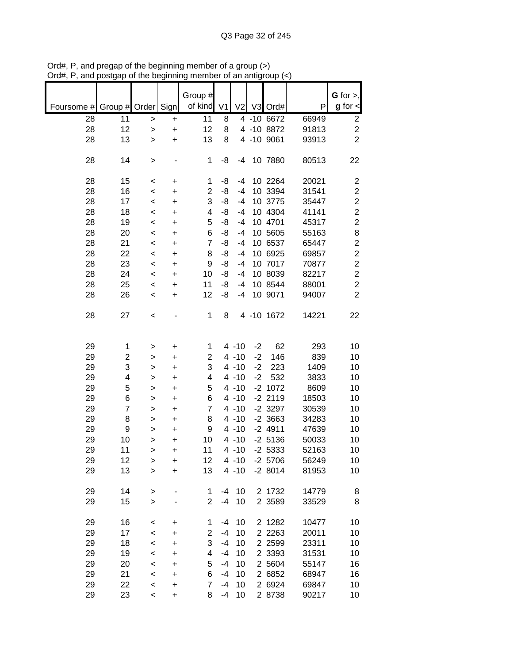|            |                |                          |           | Group #         |                |                |      |            |       | G for $>$ ,             |
|------------|----------------|--------------------------|-----------|-----------------|----------------|----------------|------|------------|-------|-------------------------|
| Foursome # | Group # Order  |                          | Sign      | of kind         | V <sub>1</sub> | V <sub>2</sub> |      | V3 Ord#    | P     | $g$ for $\lt$           |
| 28         | 11             | $\geq$                   | +         | $\overline{11}$ | 8              |                |      | 4 -10 6672 | 66949 | 2                       |
| 28         | 12             | $\geq$                   | $\ddot{}$ | 12              | 8              |                |      | 4 -10 8872 | 91813 | $\overline{c}$          |
| 28         | 13             | $\geq$                   | $\ddot{}$ | 13              | 8              |                |      | 4 -10 9061 | 93913 | $\overline{2}$          |
|            |                |                          |           |                 |                |                |      |            |       |                         |
| 28         | 14             | >                        |           | 1               | -8             | -4             |      | 10 7880    | 80513 | 22                      |
|            |                |                          |           |                 |                |                |      |            |       |                         |
| 28         | 15             | $\,<$                    | +         | 1               | -8             | $-4$           |      | 10 2264    | 20021 | $\overline{\mathbf{c}}$ |
| 28         | 16             | $\,<$                    | +         | $\overline{2}$  | -8             | $-4$           |      | 10 3394    | 31541 | $\overline{c}$          |
| 28         | 17             | $\,<\,$                  | +         | 3               | -8             | $-4$           |      | 10 3775    | 35447 | $\overline{\mathbf{c}}$ |
| 28         | 18             | $\,<$                    | +         | 4               | -8             | $-4$           |      | 10 4304    | 41141 | $\overline{\mathbf{c}}$ |
| 28         | 19             |                          |           | 5               | -8             | $-4$           |      | 10 4701    | 45317 | $\overline{\mathbf{c}}$ |
|            |                | $\,<$                    | +         |                 |                |                |      |            |       |                         |
| 28         | 20             | $\,<$                    | +         | 6               | -8             | $-4$           |      | 10 5605    | 55163 | 8                       |
| 28         | 21             | $\prec$                  | +         | $\overline{7}$  | -8             | $-4$           |      | 10 6537    | 65447 | $\overline{\mathbf{c}}$ |
| 28         | 22             | $\prec$                  | $\ddot{}$ | 8               | -8             | $-4$           |      | 10 6925    | 69857 | $\overline{c}$          |
| 28         | 23             | $\,<$                    | $\ddot{}$ | 9               | -8             | $-4$           |      | 10 7017    | 70877 | $\overline{c}$          |
| 28         | 24             | $\,<$                    | +         | 10              | -8             | $-4$           |      | 10 8039    | 82217 | $\overline{c}$          |
| 28         | 25             | $\,<\,$                  | +         | 11              | -8             | $-4$           |      | 10 8544    | 88001 | $\overline{c}$          |
| 28         | 26             | $\,<\,$                  | +         | 12              | -8             | $-4$           |      | 10 9071    | 94007 | $\overline{2}$          |
|            |                |                          |           |                 |                |                |      |            |       |                         |
| 28         | 27             | <                        |           | 1               | 8              |                |      | 4 -10 1672 | 14221 | 22                      |
|            |                |                          |           |                 |                |                |      |            |       |                         |
|            |                |                          |           |                 |                |                |      |            |       |                         |
|            |                |                          |           |                 |                |                |      |            |       | 10                      |
| 29         | 1              | >                        | +         | 1               |                | $4 - 10$       | $-2$ | 62         | 293   |                         |
| 29         | 2              | >                        | +         | 2               |                | $4 - 10$       | $-2$ | 146        | 839   | 10                      |
| 29         | 3              | >                        | +         | 3               |                | $4 - 10$       | $-2$ | 223        | 1409  | 10                      |
| 29         | 4              | >                        | +         | 4               |                | $4 - 10$       | $-2$ | 532        | 3833  | 10                      |
| 29         | 5              | >                        | +         | 5               |                | $4 - 10$       |      | $-2$ 1072  | 8609  | 10                      |
| 29         | 6              | >                        | +         | 6               |                | $4 - 10$       |      | $-2$ 2119  | 18503 | 10                      |
| 29         | $\overline{7}$ | $\geq$                   | +         | 7               |                | $4 - 10$       |      | $-2$ 3297  | 30539 | 10                      |
| 29         | 8              | >                        | +         | 8               |                | $4 - 10$       |      | $-2$ 3663  | 34283 | 10                      |
| 29         | 9              | >                        | +         | 9               |                | $4 - 10$       |      | $-2$ 4911  | 47639 | 10                      |
| 29         | 10             |                          | +         | 10              |                | $4 - 10$       |      | $-2$ 5136  | 50033 | 10                      |
|            |                | >                        |           |                 |                |                |      |            |       |                         |
| 29         | 11             | >                        | $\ddot{}$ | 11              |                | $4 - 10$       |      | $-2$ 5333  | 52163 | 10                      |
| 29         | 12             | >                        | +         | 12              |                | $4 - 10$       |      | $-2$ 5706  | 56249 | 10                      |
| 29         | 13             | $\geq$                   | $\ddot{}$ | 13              |                | $4 - 10$       |      | $-28014$   | 81953 | 10                      |
|            |                |                          |           |                 |                |                |      |            |       |                         |
| 29         | 14             | $\,$                     |           | 1               | $-4$           | 10             |      | 2 1732     | 14779 | 8                       |
| 29         | 15             | $\geq$                   |           | $\overline{2}$  | $-4$           | 10             |      | 2 3589     | 33529 | 8                       |
|            |                |                          |           |                 |                |                |      |            |       |                         |
| 29         | 16             | <                        | +         | 1               | $-4$           | 10             |      | 2 1282     | 10477 | 10                      |
| 29         | 17             | $\,<$                    | +         | 2               | $-4$           | 10             |      | 2 2 2 6 3  | 20011 | 10                      |
| 29         | 18             | $\,<\,$                  | +         | 3               | $-4$           | 10             |      | 2 2 5 9 9  | 23311 | 10                      |
| 29         | 19             | $\,<\,$                  | +         | 4               | $-4$           | 10             |      | 2 3393     | 31531 | 10                      |
| 29         | 20             | $\,<\,$                  | $\ddot{}$ | 5               | -4             | 10             |      | 2 5604     | 55147 | 16                      |
| 29         | 21             | $\prec$                  | $\ddot{}$ | 6               | $-4$           | 10             |      | 2 6852     | 68947 | 16                      |
|            |                |                          |           | $\overline{7}$  |                |                |      |            |       |                         |
| 29         | 22             | $\prec$                  | +         |                 | $-4$           | 10             |      | 2 6924     | 69847 | 10                      |
| 29         | 23             | $\overline{\phantom{a}}$ | $\ddot{}$ | 8               | -4             | 10             |      | 2 8738     | 90217 | 10                      |

Ord#, P, and pregap of the beginning member of a group (>) Ord#, P, and postgap of the beginning member of an antigroup (<)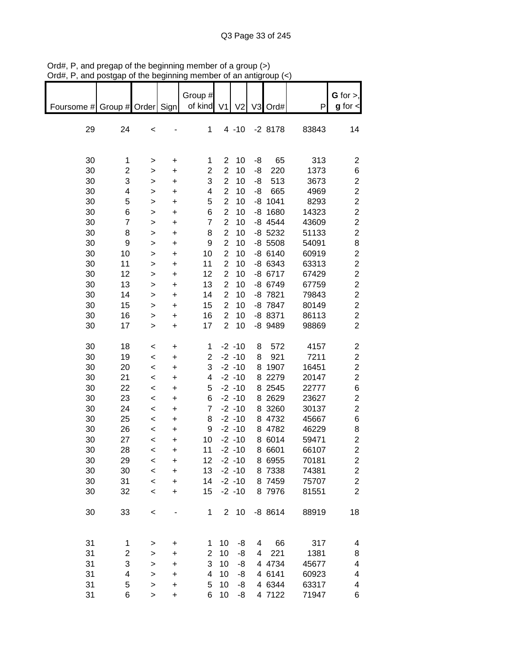|                               |                         |              |           | Group #        |                         |                |    |           |       | G for $>$ ,             |
|-------------------------------|-------------------------|--------------|-----------|----------------|-------------------------|----------------|----|-----------|-------|-------------------------|
| Foursome # Group # Order Sign |                         |              |           | of kind        | V <sub>1</sub>          | V <sub>2</sub> |    | V3 Ord#   | P     | $g$ for $\lt$           |
|                               |                         |              |           |                |                         |                |    |           |       |                         |
| 29                            | 24                      | $\,<$        |           | 1              |                         | $4 - 10$       |    | $-28178$  | 83843 | 14                      |
|                               |                         |              |           |                |                         |                |    |           |       |                         |
|                               |                         |              |           |                |                         |                |    |           |       |                         |
| 30                            | 1                       | >            | +         | 1              | 2                       | 10             | -8 | 65        | 313   | $\overline{\mathbf{c}}$ |
| 30                            | 2                       | $\mathbf{I}$ | $\ddot{}$ | $\overline{c}$ | $\overline{2}$          | 10             | -8 | 220       | 1373  | 6                       |
| 30                            | 3                       | $\mathbf{I}$ | $\ddot{}$ | 3              | $\overline{c}$          | 10             | -8 | 513       | 3673  | $\overline{\mathbf{c}}$ |
| 30                            | 4                       | $\mathbf{L}$ | $\ddot{}$ | 4              | $\overline{2}$          | 10             | -8 | 665       | 4969  | $\overline{\mathbf{c}}$ |
| 30                            | 5                       | $\mathbf{L}$ | $\ddot{}$ | 5              | $\overline{2}$          | 10             |    | $-8$ 1041 | 8293  | $\overline{c}$          |
| 30                            | 6                       | $\mathbf{L}$ | $\ddot{}$ | 6              | $\overline{2}$          | 10             |    | $-8$ 1680 | 14323 | $\overline{c}$          |
| 30                            | $\overline{7}$          | $\,$         | $\ddot{}$ | $\overline{7}$ | $\overline{2}$          | 10             |    | $-8$ 4544 | 43609 | $\overline{c}$          |
| 30                            | 8                       | $\mathbf{L}$ | $\ddot{}$ | 8              | $\overline{2}$          | 10             |    | $-8$ 5232 | 51133 | $\overline{c}$          |
| 30                            | 9                       | $\mathbf{I}$ | $\ddot{}$ | 9              | $\overline{c}$          | 10             |    | $-8$ 5508 | 54091 | 8                       |
| 30                            | 10                      | $\mathbf{I}$ | $\ddot{}$ | 10             | $\overline{2}$          | 10             |    | $-86140$  | 60919 | $\overline{c}$          |
| 30                            | 11                      | $\mathbf{I}$ | $\ddot{}$ | 11             | $\overline{c}$          | 10             |    | -8 6343   | 63313 | $\overline{c}$          |
| 30                            | 12                      | $\mathbf{L}$ | $\ddot{}$ | 12             | $\overline{c}$          | 10             |    | $-8$ 6717 | 67429 | $\overline{c}$          |
| 30                            | 13                      | $\,$         | +         | 13             | $\overline{\mathbf{c}}$ | 10             |    | -8 6749   | 67759 | $\overline{c}$          |
| 30                            | 14                      | $\, > \,$    | +         | 14             | $\overline{c}$          | 10             |    | $-8$ 7821 | 79843 | $\overline{c}$          |
| 30                            | 15                      | $\, > \,$    | +         | 15             | $\overline{2}$          | 10             |    | -8 7847   | 80149 | $\overline{c}$          |
| 30                            | 16                      | >            | $\ddot{}$ | 16             | $\overline{2}$          | 10             |    | $-88371$  | 86113 | $\overline{c}$          |
| 30                            | 17                      | $\geq$       | $\ddot{}$ | 17             | $\overline{2}$          | 10             |    | -8 9489   | 98869 | $\overline{c}$          |
|                               |                         |              |           |                |                         |                |    |           |       |                         |
| 30                            | 18                      | $\,<$        | $\ddot{}$ | 1              |                         | $-2 - 10$      | 8  | 572       | 4157  | $\overline{c}$          |
| 30                            | 19                      | $\prec$      | $\ddot{}$ | $\overline{c}$ |                         | $-2 - 10$      | 8  | 921       | 7211  | $\overline{\mathbf{c}}$ |
| 30                            | 20                      | $\prec$      | $\ddot{}$ | 3              |                         | $-2 - 10$      | 8  | 1907      | 16451 | $\overline{\mathbf{c}}$ |
| 30                            | 21                      | $\prec$      | $\ddot{}$ | 4              |                         | $-2 - 10$      |    | 8 2 2 7 9 | 20147 | $\overline{\mathbf{c}}$ |
| 30                            | 22                      | $\prec$      | $\ddot{}$ | 5              |                         | $-2 - 10$      |    | 8 2545    | 22777 | 6                       |
| 30                            | 23                      | $\prec$      | $\ddot{}$ | 6              |                         | $-2 - 10$      |    | 8 26 29   | 23627 | $\overline{\mathbf{c}}$ |
| 30                            | 24                      | $\prec$      | $\ddot{}$ | $\overline{7}$ |                         | $-2 - 10$      |    | 8 3260    | 30137 | $\overline{c}$          |
| 30                            | 25                      | $\,<$        | $\ddot{}$ | 8              |                         | $-2 - 10$      |    | 8 4732    | 45667 | 6                       |
| 30                            | 26                      | $\prec$      | $\ddot{}$ | 9              |                         | $-2 - 10$      |    | 8 4782    | 46229 | 8                       |
| 30                            | 27                      | $\prec$      | $\ddot{}$ | 10             |                         | $-2 - 10$      |    | 8 6014    | 59471 | $\overline{c}$          |
| 30                            | 28                      | $\prec$      | $\ddot{}$ | 11             |                         | $-2 - 10$      |    | 8 6601    | 66107 | $\overline{\mathbf{c}}$ |
| 30                            | 29                      | $\,<$        | +         | 12             |                         | $-2 - 10$      |    | 8 6955    | 70181 | $\overline{\mathbf{c}}$ |
| 30                            | 30                      | $\prec$      | +         | 13             |                         | $-2 - 10$      |    | 8 7338    | 74381 | $\boldsymbol{2}$        |
| 30                            | 31                      | $\prec$      | +         | 14             |                         | $-2 - 10$      |    | 8 7459    | 75707 | $\overline{c}$          |
| 30                            | 32                      | $\,<$        | +         | 15             |                         | $-2 - 10$      |    | 8 7976    | 81551 | $\overline{2}$          |
|                               |                         |              |           |                |                         |                |    |           |       |                         |
| 30                            | 33                      | $\prec$      |           | $\mathbf 1$    |                         | $2 10$         |    | $-88614$  | 88919 | 18                      |
|                               |                         |              |           |                |                         |                |    |           |       |                         |
|                               |                         |              |           |                |                         |                |    |           |       |                         |
| 31                            | 1                       | $\, > \,$    | $\ddot{}$ | 1              | 10                      | -8             | 4  | 66        | 317   | 4                       |
| 31                            | $\overline{\mathbf{c}}$ | $\,$         | $\ddot{}$ | $\overline{2}$ | 10                      | -8             | 4  | 221       | 1381  | 8                       |
| 31                            | 3                       | $\mathbf{I}$ | $\ddot{}$ | 3              | 10                      | -8             |    | 4 4734    | 45677 | 4                       |
| 31                            | 4                       | $\,$         | $\ddot{}$ | 4              | 10                      | -8             |    | 4 6141    | 60923 | 4                       |
| 31                            | 5                       | $\,$         | +         | 5              | 10                      | -8             |    | 4 6344    | 63317 | 4                       |
| 31                            | 6                       | $\, > \,$    | $\ddot{}$ | 6              | 10                      | -8             |    | 4 7122    | 71947 | 6                       |

Ord#, P, and pregap of the beginning member of a group (>) Ord#, P, and postgap of the beginning member of an antigroup (<)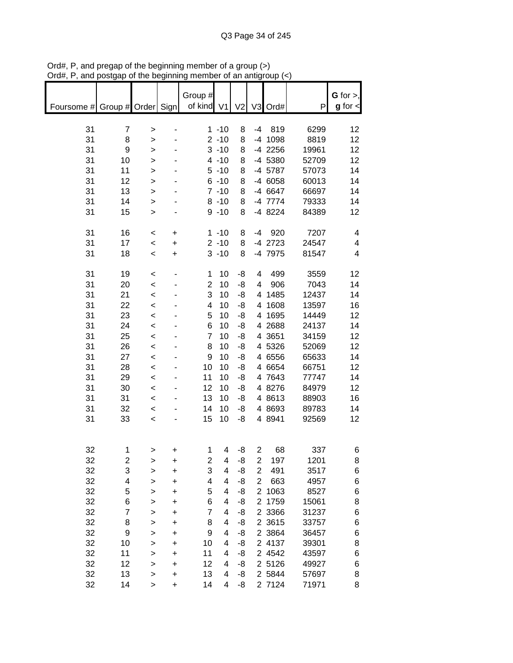|                               |          | or are peginnin        |                |                |                      | an anny        |                     |                    |                |               |
|-------------------------------|----------|------------------------|----------------|----------------|----------------------|----------------|---------------------|--------------------|----------------|---------------|
|                               |          |                        |                | Group #        |                      |                |                     |                    |                | G for $>$ ,   |
| Foursome # Group # Order Sign |          |                        |                | of kind V1     |                      | V <sub>2</sub> |                     | V3 Ord#            | P              | $g$ for $\lt$ |
|                               |          |                        |                |                |                      |                |                     |                    |                |               |
| 31                            | 7        | >                      |                |                | $1 - 10$             | 8              | -4                  | 819                | 6299           | 12            |
| 31                            | 8        | $\mathbf{I}$           |                |                | $2 - 10$             | 8              |                     | -4 1098            | 8819           | 12            |
| 31<br>31                      | 9<br>10  | $\mathbf{I}$           |                |                | $3 - 10$<br>$4 - 10$ | 8<br>8         |                     | -4 2256<br>-4 5380 | 19961<br>52709 | 12<br>12      |
| 31                            | 11       | $\mathbf{I}$<br>$\geq$ |                |                | $5 - 10$             | 8              |                     | -4 5787            | 57073          | 14            |
| 31                            | 12       | $\geq$                 |                |                | $6 - 10$             | 8              |                     | -4 6058            | 60013          | 14            |
| 31                            | 13       | $\geq$                 |                |                | $7 - 10$             | 8              |                     | -4 6647            | 66697          | 14            |
| 31                            | 14       | >                      |                |                | $8 - 10$             | 8              |                     | -4 7774            | 79333          | 14            |
| 31                            | 15       | $\geq$                 |                |                | $9 - 10$             | 8              |                     | -4 8224            | 84389          | 12            |
|                               |          |                        |                |                |                      |                |                     |                    |                |               |
| 31                            | 16       | $\,<$                  | +              |                | $1 - 10$             | 8              | -4                  | 920                | 7207           | 4             |
| 31                            | 17       | $\prec$                | $\ddot{}$      |                | $2 - 10$             | 8              |                     | -4 2723            | 24547          | 4             |
| 31                            | 18       | $\,<$                  | $\ddot{}$      |                | $3 - 10$             | 8              |                     | -4 7975            | 81547          | 4             |
| 31                            | 19       | $\,<$                  |                | 1              | 10                   | -8             | 4                   | 499                | 3559           | 12            |
| 31                            | 20       | $\prec$                |                | $\overline{2}$ | 10                   | -8             | 4                   | 906                | 7043           | 14            |
| 31                            | 21       | $\prec$                |                | 3              | 10                   | -8             |                     | 4 1485             | 12437          | 14            |
| 31                            | 22       | $\,<$                  |                | 4              | 10                   | -8             |                     | 4 1608             | 13597          | 16            |
| 31                            | 23       | $\,<$                  |                | 5              | 10                   | -8             |                     | 4 1695             | 14449          | 12            |
| 31                            | 24       | $\prec$                |                | 6              | 10                   | -8             |                     | 4 2 68 8           | 24137          | 14            |
| 31                            | 25       | $\prec$                |                | $\overline{7}$ | 10                   | -8             |                     | 4 3 6 5 1          | 34159          | 12            |
| 31                            | 26       | $\prec$                |                | 8              | 10                   | -8             |                     | 4 5326             | 52069          | 12            |
| 31<br>31                      | 27<br>28 | $\prec$                |                | 9<br>10        | 10<br>10             | -8<br>-8       |                     | 4 6556<br>4 6654   | 65633          | 14<br>12      |
| 31                            | 29       | $\prec$<br>$\prec$     |                | 11             | 10                   | -8             |                     | 4 7643             | 66751<br>77747 | 14            |
| 31                            | 30       | $\prec$                |                | 12             | 10                   | -8             |                     | 4 8276             | 84979          | 12            |
| 31                            | 31       | $\prec$                |                | 13             | 10                   | -8             |                     | 4 8613             | 88903          | 16            |
| 31                            | 32       | $\prec$                |                | 14             | 10                   | -8             |                     | 4 8693             | 89783          | 14            |
| 31                            | 33       | $\,<\,$                |                | 15             | 10                   | -8             |                     | 4 8 9 4 1          | 92569          | 12            |
|                               |          |                        |                |                |                      |                |                     |                    |                |               |
|                               |          |                        |                |                |                      |                |                     |                    |                |               |
| 32<br>32                      | 1<br>2   |                        |                | 1<br>2         | 4<br>4               | -8<br>-8       | 2<br>$\overline{2}$ | 68<br>197          | 337<br>1201    | 6<br>8        |
| 32                            | 3        | >                      | +<br>$\ddot{}$ | 3              | 4                    | -8             | $\overline{2}$      | 491                | 3517           | 6             |
| 32                            | 4        | ><br>>                 | +              | 4              | 4                    | -8             | $\overline{2}$      | 663                | 4957           | 6             |
| 32                            | 5        | >                      | $\ddot{}$      | 5              | 4                    | -8             | $\overline{2}$      | 1063               | 8527           | 6             |
| 32                            | 6        | >                      | $\ddot{}$      | 6              | 4                    | -8             | $\overline{2}$      | 1759               | 15061          | 8             |
| 32                            | 7        | $\mathbf{I}$           | $\ddot{}$      | 7              | 4                    | -8             |                     | 2 3366             | 31237          | 6             |
| 32                            | 8        | $\mathbf{I}$           | $\ddot{}$      | 8              | 4                    | -8             |                     | 2 3615             | 33757          | 6             |
| 32                            | 9        | >                      | $\ddot{}$      | 9              | 4                    | -8             |                     | 2 3864             | 36457          | 6             |
| 32                            | 10       | >                      | $\ddot{}$      | 10             | 4                    | -8             |                     | 2 4137             | 39301          | 8             |
| 32                            | 11       | >                      | $\ddot{}$      | 11             | 4                    | -8             |                     | 2 4542             | 43597          | 6             |
| 32                            | 12       | $\mathbf{I}$           | $\ddot{}$      | 12             | 4                    | -8             |                     | 2 5126             | 49927          | 6             |
| 32                            | 13       | >                      | $\ddot{}$      | 13             | 4                    | -8             |                     | 2 5844             | 57697          | 8             |
| 32                            | 14       | $\mathbf{I}$           | $\ddot{}$      | 14             | 4                    | -8             |                     | 2 7124             | 71971          | 8             |

Ord#, P, and pregap of the beginning member of a group (>) Ord#, P, and postgap of the beginning member of an antigroup (<)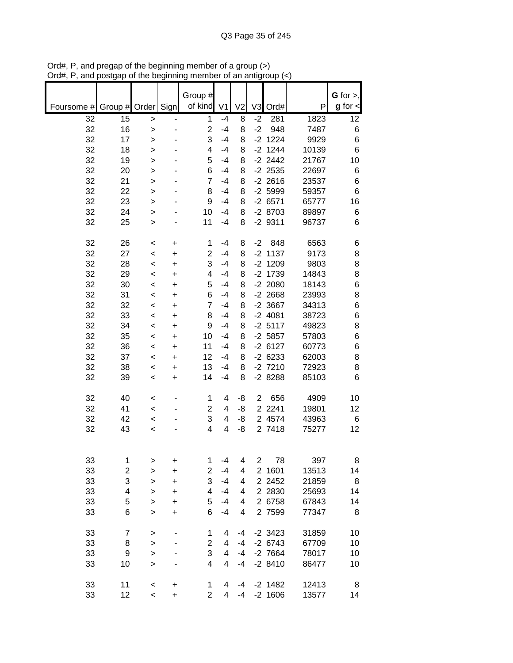|            |                         |              |                              | Group #        |                |                |                |           |       | $G$ for $>$ , |
|------------|-------------------------|--------------|------------------------------|----------------|----------------|----------------|----------------|-----------|-------|---------------|
| Foursome # |                         |              |                              | of kind        | V <sub>1</sub> | V <sub>2</sub> | V <sub>3</sub> |           | P     | $g$ for $\lt$ |
|            | Group # Order           |              | Sign                         |                |                |                |                | Ord#      |       |               |
| 32         | 15                      | $\geq$       | $\qquad \qquad \blacksquare$ | 1              | $-4$           | 8              | $-2$           | 281       | 1823  | 12            |
| 32         | 16                      | $\geq$       | ٠                            | $\overline{2}$ | $-4$           | 8              | $-2$           | 948       | 7487  | 6             |
| 32         | 17                      | $\geq$       |                              | 3              | $-4$           | 8              |                | $-2$ 1224 | 9929  | 6             |
| 32         | 18                      | $\, > \,$    |                              | 4              | $-4$           | 8              |                | $-2$ 1244 | 10139 | 6             |
| 32         | 19                      | $\geq$       |                              | 5              | $-4$           | 8              |                | $-2$ 2442 | 21767 | 10            |
| 32         | 20                      | $\mathbf{I}$ |                              | 6              | $-4$           | 8              |                | $-2$ 2535 | 22697 | 6             |
| 32         | 21                      | $\mathbf{I}$ |                              | 7              | $-4$           | 8              |                | $-2$ 2616 | 23537 | 6             |
| 32         | 22                      | $\geq$       |                              | 8              | $-4$           | 8              |                | $-2$ 5999 | 59357 | 6             |
| 32         | 23                      | $\geq$       |                              | 9              | $-4$           | 8              |                | $-26571$  | 65777 | 16            |
| 32         | 24                      | >            |                              | 10             | $-4$           | 8              |                | $-28703$  | 89897 | 6             |
| 32         | 25                      | >            |                              | 11             | $-4$           | 8              |                | $-29311$  | 96737 | 6             |
|            |                         |              |                              |                |                |                |                |           |       |               |
| 32         | 26                      | $\,<\,$      | +                            | 1              | $-4$           | 8              | $-2$           | 848       | 6563  | 6             |
| 32         | 27                      | $\,<$        | +                            | $\overline{2}$ | $-4$           | 8              |                | $-2$ 1137 | 9173  | 8             |
| 32         | 28                      | $\,<$        | +                            | 3              | $-4$           | 8              |                | $-2$ 1209 | 9803  | 8             |
| 32         | 29                      | $\,<$        | $\ddot{}$                    | 4              | $-4$           | 8              |                | $-2$ 1739 | 14843 | 8             |
| 32         | 30                      | $\,<$        | $\ddot{}$                    | 5              | $-4$           | 8              |                | $-2$ 2080 | 18143 | 6             |
| 32         | 31                      | $\,<$        | $\ddot{}$                    | 6              | $-4$           | 8              |                | $-2$ 2668 | 23993 | 8             |
| 32         | 32                      | $\,<\,$      | $\ddot{}$                    | 7              | $-4$           | 8              |                | $-2$ 3667 | 34313 | 6             |
| 32         | 33                      | $\,<$        | $\ddot{}$                    | 8              | $-4$           | 8              |                | $-2$ 4081 | 38723 | 6             |
| 32         | 34                      | $\,<$        | $\ddot{}$                    | 9              | $-4$           | 8              |                | $-2$ 5117 | 49823 | 8             |
| 32         | 35                      |              |                              | 10             | $-4$           | 8              |                | $-2$ 5857 | 57803 | 6             |
|            |                         | $\,<$        | $\ddot{}$                    |                | $-4$           |                |                |           |       |               |
| 32         | 36                      | $\,<$        | $\ddot{}$                    | 11             |                | 8              |                | $-26127$  | 60773 | 6             |
| 32         | 37                      | $\,<$        | +                            | 12             | $-4$           | 8              |                | $-26233$  | 62003 | 8             |
| 32         | 38                      | $\,<$        | +                            | 13             | $-4$           | 8              |                | $-2$ 7210 | 72923 | 8             |
| 32         | 39                      | $\,<$        | +                            | 14             | $-4$           | 8              |                | $-28288$  | 85103 | 6             |
|            |                         |              |                              |                |                |                |                |           |       |               |
| 32         | 40                      | $\,<\,$      | $\overline{\phantom{a}}$     | 1              | 4              | -8             | 2              | 656       | 4909  | 10            |
| 32         | 41                      | $\,<\,$      |                              | 2              | 4              | -8             |                | 2 2 2 4 1 | 19801 | 12            |
| 32         | 42                      | $\,<$        |                              | 3              | 4              | -8             |                | 2 4574    | 43963 | 6             |
| 32         | 43                      | $\,<$        |                              | 4              | 4              | -8             |                | 2 7418    | 75277 | 12            |
|            |                         |              |                              |                |                |                |                |           |       |               |
|            |                         |              |                              |                |                |                |                |           |       |               |
| 33         | 1                       | >            | +                            | 1              | $-4$           | 4              | $\overline{2}$ | 78        | 397   | 8             |
| 33         | $\overline{\mathbf{c}}$ | $\geq$       | $\ddot{}$                    | $\overline{2}$ | $-4$           | 4              | $\overline{2}$ | 1601      | 13513 | 14            |
| 33         | 3                       | $\mathbf{I}$ | $\ddot{}$                    | 3              | $-4$           | 4              |                | 2 2 4 5 2 | 21859 | 8             |
| 33         | 4                       | $\geq$       | $\ddot{}$                    | 4              | $-4$           | 4              |                | 2 2 8 3 0 | 25693 | 14            |
| 33         | 5                       | $\mathbf{I}$ | $\ddot{}$                    | 5              | $-4$           | 4              |                | 2 6758    | 67843 | 14            |
| 33         | 6                       | $\geq$       | $\ddot{}$                    | 6              | $-4$           | 4              |                | 2 7599    | 77347 | 8             |
|            |                         |              |                              |                |                |                |                |           |       |               |
| 33         | 7                       | >            |                              | 1              | 4              | $-4$           |                | $-2$ 3423 | 31859 | 10            |
| 33         | 8                       | $\mathbf{I}$ |                              | 2              | 4              | $-4$           |                | $-26743$  | 67709 | 10            |
| 33         | 9                       | $\mathbf{I}$ |                              | 3              | 4              | $-4$           |                | $-2$ 7664 | 78017 | 10            |
| 33         | 10                      | $\geq$       |                              | 4              | 4              | $-4$           |                | $-28410$  | 86477 | 10            |
|            |                         |              |                              |                |                |                |                |           |       |               |
| 33         | 11                      | $\,<$        | +                            | 1              | 4              | -4             |                | $-2$ 1482 | 12413 | 8             |
| 33         | 12                      | $\,<\,$      | +                            | $\overline{2}$ | 4              | $-4$           |                | $-2$ 1606 | 13577 | 14            |

Ord#, P, and pregap of the beginning member of a group (>) Ord#, P, and postgap of the beginning member of an antigroup (<)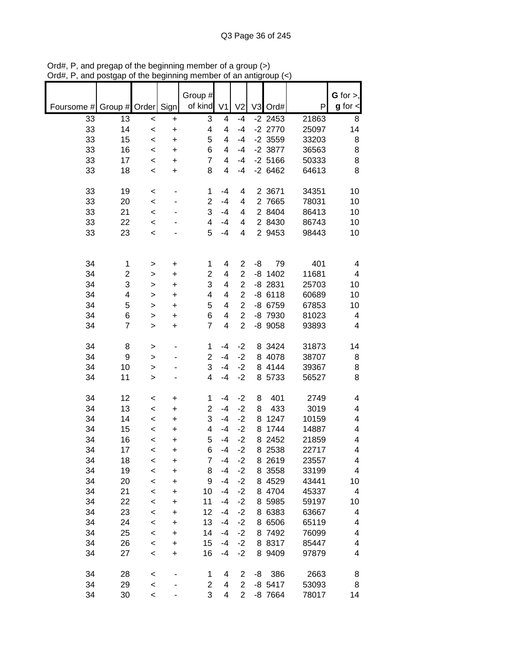|            |                |               |           | Group #        |                |                |    |           |       | $G$ for $>$ , |
|------------|----------------|---------------|-----------|----------------|----------------|----------------|----|-----------|-------|---------------|
|            |                |               |           | of kind        |                |                |    |           |       | $g$ for $\lt$ |
| Foursome # |                | Group # Order | Sign      |                | V <sub>1</sub> | V <sub>2</sub> |    | V3 Ord#   | P     |               |
| 33         | 13             | $\,<$         | +         | 3              | 4              | $-4$           |    | $-2$ 2453 | 21863 | 8             |
| 33         | 14             | $\prec$       | $\ddot{}$ | 4              | 4              | $-4$           |    | $-2$ 2770 | 25097 | 14            |
| 33         | 15             | $\prec$       | $\ddot{}$ | 5              | 4              | $-4$           |    | $-2$ 3559 | 33203 | 8             |
| 33         | 16             | $\prec$       | $\ddot{}$ | 6              | 4              | $-4$           |    | $-2$ 3877 | 36563 | 8             |
| 33         | 17             | $\prec$       | $\ddot{}$ | $\overline{7}$ | 4              | $-4$           |    | $-2$ 5166 | 50333 | 8             |
| 33         | 18             | $\,<$         | +         | 8              | 4              | $-4$           |    | $-26462$  | 64613 | 8             |
|            |                |               |           |                |                |                |    |           |       |               |
| 33         | 19             | $\,<$         | -         | 1              | $-4$           | 4              |    | 2 3671    | 34351 | 10            |
| 33         | 20             | $\prec$       |           | $\overline{2}$ | $-4$           | 4              |    | 2 7665    | 78031 | 10            |
| 33         | 21             | $\prec$       |           | 3              | $-4$           | 4              |    | 2 8404    | 86413 | 10            |
| 33         | 22             | $\prec$       |           | 4              | $-4$           | 4              |    | 2 8430    | 86743 | 10            |
| 33         | 23             | $\prec$       |           | 5              | $-4$           | 4              |    | 2 9453    | 98443 | 10            |
|            |                |               |           |                |                |                |    |           |       |               |
|            |                |               |           |                |                |                |    |           |       |               |
|            |                |               |           |                |                |                |    |           |       |               |
| 34         | $\mathbf 1$    | >             | +         | 1              | 4              | $\overline{2}$ | -8 | 79        | 401   | 4             |
| 34         | $\overline{c}$ | >             | +         | 2              | 4              | $\overline{2}$ | -8 | 1402      | 11681 | 4             |
| 34         | 3              | $\geq$        | $\ddot{}$ | 3              | 4              | $\overline{2}$ |    | $-8$ 2831 | 25703 | 10            |
| 34         | 4              | $\geq$        | $\ddot{}$ | 4              | 4              | $\overline{2}$ |    | $-86118$  | 60689 | 10            |
| 34         | 5              | $\geq$        | $\ddot{}$ | 5              | 4              | $\overline{2}$ |    | -8 6759   | 67853 | 10            |
| 34         | 6              | $\mathbf{I}$  | $\ddot{}$ | 6              | 4              | $\overline{2}$ |    | -8 7930   | 81023 | 4             |
| 34         | $\overline{7}$ | $\geq$        | $\ddot{}$ | $\overline{7}$ | 4              | $\overline{2}$ |    | $-8$ 9058 | 93893 | 4             |
|            |                |               |           |                |                |                |    |           |       |               |
| 34         | 8              | >             | -         | 1              | $-4$           | $-2$           |    | 8 3424    | 31873 | 14            |
| 34         | 9              | $\mathbf{I}$  |           | $\overline{c}$ | $-4$           | $-2$           |    | 8 4078    | 38707 | 8             |
| 34         | 10             | >             |           | 3              | $-4$           | $-2$           |    | 8 4144    | 39367 | 8             |
| 34         | 11             | $\geq$        |           | 4              | $-4$           | $-2$           |    | 8 5733    | 56527 | 8             |
|            |                |               |           |                |                |                |    |           |       |               |
| 34         | 12             | $\,<$         | +         | 1              | $-4$           | $-2$           | 8  | 401       | 2749  | 4             |
| 34         | 13             | $\,<$         | +         | $\overline{2}$ | $-4$           | $-2$           | 8  | 433       | 3019  | 4             |
| 34         | 14             | $\,<$         | +         | 3              | $-4$           | $-2$           | 8  | 1247      | 10159 | 4             |
| 34         | 15             | $\,<$         | +         | 4              | $-4$           | $-2$           | 8  | 1744      | 14887 | 4             |
| 34         | 16             |               |           | 5              | $-4$           | $-2$           | 8  | 2452      | 21859 | 4             |
| 34         | 17             | $\,<$         | +         | 6              | $-4$           | $-2$           |    | 8 2538    | 22717 | 4             |
|            |                | $\,<$         | +         |                |                |                |    |           |       |               |
| 34         | 18             | <             | +         | 7              | $-4$           | $-2$           |    | 8 2619    | 23557 | 4             |
| 34         | 19             | $\prec$       | $\ddot{}$ | 8              | $-4$           | $-2$           |    | 8 3558    | 33199 | 4             |
| 34         | 20             | $\prec$       | $\ddot{}$ | 9              | $-4$           | $-2$           |    | 8 4529    | 43441 | 10            |
| 34         | 21             | $\prec$       | $\ddot{}$ | 10             | $-4$           | $-2$           |    | 8 4704    | 45337 | 4             |
| 34         | 22             | $\prec$       | $\ddot{}$ | 11             | $-4$           | $-2$           |    | 8 5985    | 59197 | 10            |
| 34         | 23             | $\prec$       | $\ddot{}$ | 12             | $-4$           | $-2$           |    | 8 6383    | 63667 | 4             |
| 34         | 24             | $\prec$       | +         | 13             | $-4$           | $-2$           |    | 8 6506    | 65119 | 4             |
| 34         | 25             | $\prec$       | +         | 14             | $-4$           | $-2$           |    | 8 7492    | 76099 | 4             |
| 34         | 26             | $\prec$       | +         | 15             | $-4$           | $-2$           |    | 8 8317    | 85447 | 4             |
| 34         | 27             | $\prec$       | +         | 16             | $-4$           | $-2$           |    | 8 9409    | 97879 | 4             |
|            |                |               |           |                |                |                |    |           |       |               |
| 34         | 28             | $\prec$       |           | 1              | 4              | 2              | -8 | 386       | 2663  | 8             |
| 34         | 29             | $\prec$       |           | 2              | 4              | $\overline{2}$ |    | $-8$ 5417 | 53093 | 8             |
| 34         | 30             | $\,<$         |           | 3              | 4              | $\overline{2}$ |    | -8 7664   | 78017 | 14            |

Ord#, P, and pregap of the beginning member of a group (>) Ord#, P, and postgap of the beginning member of an antigroup (<)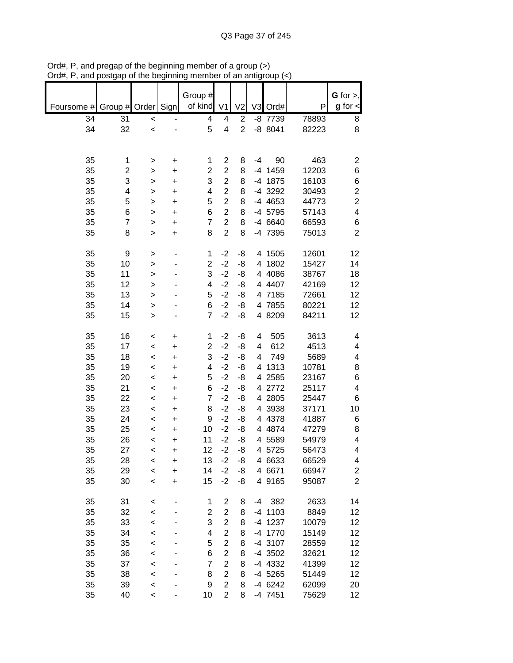|            |                         |           |           | Group #        |                         |                |      |           |       | G for $>$ ,             |
|------------|-------------------------|-----------|-----------|----------------|-------------------------|----------------|------|-----------|-------|-------------------------|
| Foursome # | Group # Order           |           | Sign      | of kind        | V <sub>1</sub>          | V <sub>2</sub> | V3   | Ord#      | P     | $g$ for $\lt$           |
| 34         | 31                      | $\,<$     |           | 4              | 4                       | $\overline{c}$ |      | -8 7739   | 78893 | 8                       |
| 34         | 32                      | $\prec$   |           | 5              | $\overline{\mathbf{4}}$ | $\overline{2}$ |      | $-88041$  | 82223 | 8                       |
|            |                         |           |           |                |                         |                |      |           |       |                         |
|            |                         |           |           |                |                         |                |      |           |       |                         |
| 35         | 1                       | >         | +         | 1              | 2                       | 8              | $-4$ | 90        | 463   | 2                       |
| 35         | $\overline{\mathbf{c}}$ | >         | +         | $\overline{c}$ | $\overline{c}$          | 8              |      | -4 1459   | 12203 | $\,6$                   |
| 35         | 3                       | >         | $\ddot{}$ | 3              | $\overline{c}$          | 8              |      | -4 1875   | 16103 | 6                       |
| 35         | 4                       | >         | $\ddot{}$ | 4              | $\overline{2}$          | 8              |      | -4 3292   | 30493 | $\overline{\mathbf{c}}$ |
| 35         | 5                       | >         | $\ddot{}$ | 5              | $\overline{2}$          | 8              |      | -4 4653   | 44773 | $\overline{\mathbf{c}}$ |
| 35         | 6                       | $\, > \,$ | $\ddot{}$ | 6              | $\overline{2}$          | 8              |      | -4 5795   | 57143 | 4                       |
| 35         | $\overline{7}$          | >         | $\ddot{}$ | $\overline{7}$ | $\overline{2}$          | 8              |      | -4 6640   | 66593 | 6                       |
| 35         | 8                       | $\, > \,$ | $\ddot{}$ | 8              | $\overline{2}$          | 8              |      | -4 7395   | 75013 | $\overline{2}$          |
|            |                         |           |           |                |                         |                |      |           |       |                         |
| 35         | 9                       | $\, > \,$ |           | $\mathbf{1}$   | $-2$                    | -8             |      | 4 1505    | 12601 | 12                      |
| 35         | 10                      | >         |           | $\overline{c}$ | $-2$                    | -8             |      | 4 1802    | 15427 | 14                      |
| 35         | 11                      | $\,$      |           | 3              | $-2$                    | -8             |      | 4 4086    | 38767 | 18                      |
| 35         | 12                      | >         |           | 4              | $-2$                    | -8             |      | 4 4407    | 42169 | 12                      |
| 35         | 13                      | $\,$      |           | 5              | $-2$                    | -8             |      | 4 7185    | 72661 | 12                      |
| 35         | 14                      | $\, > \,$ |           | 6              | $-2$                    | -8             |      | 4 7855    | 80221 | 12                      |
| 35         | 15                      | $\, > \,$ |           | $\overline{7}$ | $-2$                    | -8             |      | 4 8209    | 84211 | 12                      |
|            |                         |           |           |                |                         |                |      |           |       |                         |
| 35         | 16                      | <         | +         | 1              | $-2$                    | -8             | 4    | 505       | 3613  | 4                       |
| 35         | 17                      | $\,<$     | +         | $\overline{2}$ | $-2$                    | -8             | 4    | 612       | 4513  | 4                       |
| 35         | 18                      | $\,<\,$   | +         | 3              | $-2$                    | -8             | 4    | 749       | 5689  | 4                       |
| 35         | 19                      | $\,<$     | +         | 4              | $-2$                    | -8             | 4    | 1313      | 10781 | 8                       |
| 35         | 20                      | $\,<$     | $\ddot{}$ | 5              | $-2$                    | -8             |      | 4 2585    | 23167 | 6                       |
| 35         | 21                      | $\,<$     | $\ddot{}$ | 6              | $-2$                    | -8             |      | 4 2772    | 25117 | 4                       |
| 35         | 22                      | $\,<$     | +         | $\overline{7}$ | $-2$                    | -8             |      | 4 2805    | 25447 | 6                       |
| 35         | 23                      | $\prec$   | $\ddot{}$ | 8              | $-2$                    | -8             |      | 4 3938    | 37171 | 10                      |
| 35         | 24                      | $\,<\,$   | +         | 9              | $-2$                    | -8             |      | 4 4 3 7 8 | 41887 | 6                       |
| 35         | 25                      | $\,<$     | $\ddot{}$ | 10             | $-2$                    | -8             |      | 4 4874    | 47279 | 8                       |
| 35         | 26                      | $\prec$   | +         | 11             | $-2$                    | -8             |      | 4 5589    | 54979 | 4                       |
| 35         | 27                      | <         | $\ddot{}$ | 12             | $-2$                    | -8             |      | 4 5725    | 56473 | 4                       |
| 35         | 28                      | <         | +         | 13             | $-2$                    | -8             |      | 4 6633    | 66529 | 4                       |
| 35         | 29                      | $\prec$   | $\ddot{}$ | 14             | $-2$                    | -8             |      | 4 6671    | 66947 | 2                       |
| 35         | 30                      | $\,<$     | +         | 15             | $-2$                    | -8             |      | 4 9165    | 95087 | $\overline{2}$          |
|            |                         |           |           |                |                         |                |      |           |       |                         |
| 35         | 31                      | <         |           | 1              | 2                       | 8              | -4   | 382       | 2633  | 14                      |
| 35         | 32                      | $\prec$   |           | $\overline{2}$ | $\overline{c}$          | 8              |      | $-4$ 1103 | 8849  | 12                      |
| 35         | 33                      | $\prec$   |           | 3              | $\overline{c}$          | 8              |      | -4 1237   | 10079 | 12                      |
| 35         | 34                      | $\prec$   |           | 4              | $\overline{c}$          | 8              |      | -4 1770   | 15149 | 12                      |
| 35         | 35                      | $\prec$   |           | 5              | $\overline{c}$          | 8              |      | -4 3107   | 28559 | 12                      |
| 35         | 36                      | $\prec$   |           | 6              | $\overline{c}$          | 8              |      | -4 3502   | 32621 | 12                      |
| 35         | 37                      | $\prec$   |           | $\overline{7}$ | $\overline{c}$          | 8              |      | -4 4332   | 41399 | 12                      |
| 35         | 38                      | $\prec$   |           | 8              | $\overline{2}$          | 8              |      | $-4$ 5265 | 51449 | 12                      |
| 35         | 39                      | $\prec$   |           | 9              | $\overline{2}$          | 8              |      | $-4$ 6242 | 62099 | 20                      |
| 35         | 40                      | $\,<\,$   |           | 10             | $\overline{c}$          | 8              |      | -4 7451   | 75629 | 12                      |

Ord#, P, and pregap of the beginning member of a group (>) Ord#, P, and postgap of the beginning member of an antigroup (<)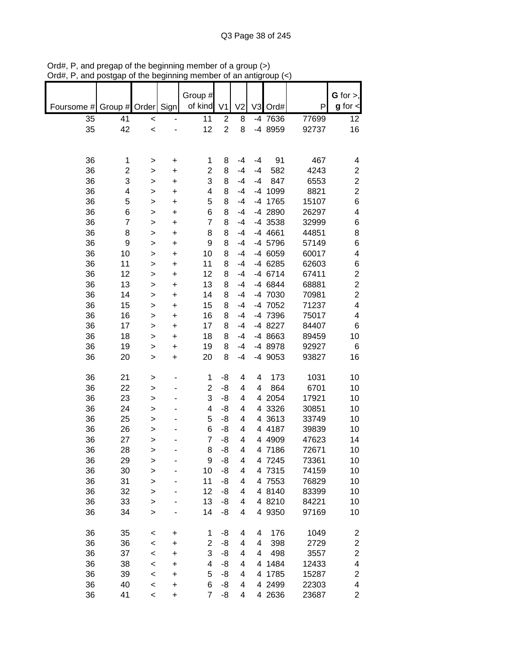|            |                         |              |           | Group #        |                         |                |    |          |       | $G$ for $>$ ,           |
|------------|-------------------------|--------------|-----------|----------------|-------------------------|----------------|----|----------|-------|-------------------------|
| Foursome # | Group #                 | Order        | Sign      | of kind        | V <sub>1</sub>          | V <sub>2</sub> |    | V3 Ord#  | P     | $g$ for $\lt$           |
| 35         | 41                      | $\,<$        |           | 11             | $\overline{\mathbf{c}}$ | 8              |    | -4 7636  | 77699 | 12                      |
| 35         | 42                      | $\prec$      |           | 12             | $\overline{c}$          | 8              |    | -4 8959  | 92737 | 16                      |
|            |                         |              |           |                |                         |                |    |          |       |                         |
|            |                         |              |           |                |                         |                |    |          |       |                         |
| 36         | 1                       | >            | +         | 1              | 8                       | $-4$           | -4 | 91       | 467   | 4                       |
| 36         | $\overline{\mathbf{c}}$ | >            | +         | $\overline{2}$ | 8                       | $-4$           | -4 | 582      | 4243  | $\overline{\mathbf{c}}$ |
| 36         | 3                       | >            | $\ddot{}$ | 3              | 8                       | $-4$           | -4 | 847      | 6553  | $\overline{\mathbf{c}}$ |
| 36         | 4                       | >            | $\ddot{}$ | 4              | 8                       | $-4$           |    | -4 1099  | 8821  | $\overline{\mathbf{c}}$ |
| 36         | 5                       | >            | $\ddot{}$ | 5              | 8                       | $-4$           |    | -4 1765  | 15107 | 6                       |
| 36         | 6                       | $\geq$       | $\ddot{}$ | 6              | 8                       | $-4$           |    | -4 2890  | 26297 | 4                       |
| 36         | $\overline{7}$          | >            | $\ddot{}$ | $\overline{7}$ | 8                       | $-4$           |    | -4 3538  | 32999 | 6                       |
| 36         | 8                       | >            | $\ddot{}$ | 8              | 8                       | $-4$           |    | -4 4661  | 44851 | 8                       |
| 36         | 9                       | >            | $\ddot{}$ | 9              | 8                       | $-4$           |    | -4 5796  | 57149 | 6                       |
| 36         | 10                      | >            | $\ddot{}$ | 10             | 8                       | $-4$           |    | -4 6059  | 60017 | 4                       |
| 36         | 11                      | $\geq$       | $\ddot{}$ | 11             | 8                       | $-4$           |    | -4 6285  | 62603 | 6                       |
| 36         | 12                      | >            | $\ddot{}$ | 12             | 8                       | $-4$           |    | -4 6714  | 67411 | $\overline{\mathbf{c}}$ |
| 36         | 13                      | >            | $\ddot{}$ | 13             | 8                       | $-4$           |    | -4 6844  | 68881 | $\overline{c}$          |
| 36         | 14                      | >            | $\ddot{}$ | 14             | 8                       | $-4$           |    | -4 7030  | 70981 | $\overline{c}$          |
| 36         | 15                      | $\geq$       | $\ddot{}$ | 15             | 8                       | $-4$           |    | -4 7052  | 71237 | $\overline{\mathbf{4}}$ |
| 36         | 16                      | >            | $\ddot{}$ | 16             | 8                       | $-4$           |    | -4 7396  | 75017 | 4                       |
| 36         | 17                      | >            | $\ddot{}$ | 17             | 8                       | $-4$           |    | -4 8227  | 84407 | 6                       |
| 36         | 18                      | >            | +         | 18             | 8                       | $-4$           |    | -4 8663  | 89459 | 10                      |
| 36         | 19                      | >            | $\ddot{}$ | 19             | 8                       | $-4$           |    | -4 8978  | 92927 | 6                       |
| 36         | 20                      | >            | $\ddot{}$ | 20             | 8                       | $-4$           |    | -4 9053  | 93827 | 16                      |
|            |                         |              |           |                |                         |                |    |          |       |                         |
| 36         | 21                      | >            |           | 1              | -8                      | 4              | 4  | 173      | 1031  | 10                      |
| 36         | 22                      | $\mathbf{I}$ |           | $\overline{2}$ | -8                      | 4              | 4  | 864      | 6701  | 10                      |
| 36         | 23                      | >            |           | 3              | -8                      | 4              | 4  | 2054     | 17921 | 10                      |
| 36         | 24                      | >            |           | 4              | -8                      | 4              | 4  | 3326     | 30851 | 10                      |
| 36         | 25                      | >            |           | 5              | -8                      | 4              |    | 4 3613   | 33749 | 10                      |
| 36         | 26                      | >            |           | 6              | -8                      | 4              |    | 4 4 18 7 | 39839 | 10                      |
| 36         | 27                      | >            |           | $\overline{7}$ | -8                      | 4              |    | 4 4909   | 47623 | 14                      |
| 36         | 28                      | >            |           | 8              | -8                      | 4              |    | 4 7186   | 72671 | 10                      |
| 36         | 29                      | >            |           | 9              | -8                      | 4              |    | 4 7245   | 73361 | 10                      |
| 36         | 30                      | $\mathbf{I}$ |           | 10             | -8                      | 4              |    | 4 7315   | 74159 | 10                      |
| 36         | 31                      | $\geq$       |           | 11             | -8                      | 4              |    | 4 7553   | 76829 | 10                      |
| 36         | 32                      | >            |           | 12             | -8                      | 4              |    | 4 8140   | 83399 | 10                      |
| 36         | 33                      | >            |           | 13             | -8                      | 4              |    | 4 8210   | 84221 | 10                      |
| 36         | 34                      | >            |           | 14             | -8                      | 4              |    | 4 9350   | 97169 | 10                      |
|            |                         |              |           |                |                         |                |    |          |       |                         |
| 36         | 35                      | <            | $\ddot{}$ | 1              | -8                      | 4              | 4  | 176      | 1049  | $\overline{\mathbf{c}}$ |
| 36         | 36                      | $\,<$        | $\ddot{}$ | $\overline{2}$ | -8                      | 4              | 4  | 398      | 2729  | $\overline{\mathbf{c}}$ |
| 36         | 37                      | $\,<$        | $\ddot{}$ | 3              | -8                      | 4              | 4  | 498      | 3557  | $\overline{\mathbf{c}}$ |
| 36         | 38                      | $\,<$        | $\ddot{}$ | 4              | -8                      | 4              | 4  | 1484     | 12433 | 4                       |
| 36         | 39                      | $\,<$        | $\ddot{}$ | 5              | -8                      | 4              | 4  | 1785     | 15287 | $\overline{\mathbf{c}}$ |
| 36         | 40                      | $\prec$      | $\ddot{}$ | 6              | -8                      | 4              |    | 4 2499   | 22303 | 4                       |
| 36         | 41                      | $\,<$        | $\ddot{}$ | $\overline{7}$ | -8                      | 4              |    | 4 2636   | 23687 | $\overline{2}$          |

Ord#, P, and pregap of the beginning member of a group (>) Ord#, P, and postgap of the beginning member of an antigroup (<)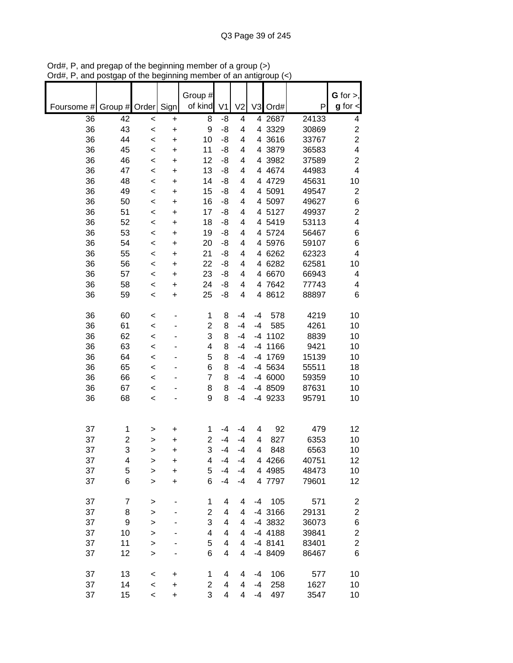|                          |        |                |                | Group #             |                         |                |      |                 |               | G for $>$ ,             |
|--------------------------|--------|----------------|----------------|---------------------|-------------------------|----------------|------|-----------------|---------------|-------------------------|
| Foursome # Group # Order |        |                | Sign           | of kind             | V <sub>1</sub>          | V <sub>2</sub> |      | V3 Ord#         | P             | $g$ for $\lt$           |
| 36                       | 42     | $\prec$        | $\ddot{}$      | 8                   | -8                      | 4              |      | 4 2687          | 24133         | 4                       |
| 36                       | 43     | $\prec$        | +              | 9                   | -8                      | 4              |      | 4 3329          | 30869         | $\overline{\mathbf{c}}$ |
| 36                       | 44     | $\,<$          | +              | 10                  | -8                      | 4              |      | 4 3616          | 33767         | $\overline{c}$          |
| 36                       | 45     | $\,<$          | $\ddot{}$      | 11                  | -8                      | 4              |      | 4 3879          | 36583         | 4                       |
| 36                       | 46     | $\prec$        | $\ddot{}$      | 12                  | -8                      | 4              |      | 4 3982          | 37589         | $\overline{\mathbf{c}}$ |
| 36                       | 47     | $\,<$          | +              | 13                  | -8                      | 4              |      | 4 4 6 7 4       | 44983         | 4                       |
| 36                       | 48     | $\,<$          | $\ddot{}$      | 14                  | -8                      | 4              |      | 4 4729          | 45631         | 10                      |
| 36                       | 49     | $\,<$          | $\ddot{}$      | 15                  | -8                      | 4              |      | 4 5091          | 49547         | $\overline{\mathbf{c}}$ |
| 36                       | 50     | $\prec$        | $\ddot{}$      | 16                  | -8                      | 4              |      | 4 5097          | 49627         | 6                       |
| 36                       | 51     | $\,<$          | +              | 17                  | -8                      | 4              |      | 4 5127          | 49937         | $\overline{c}$          |
| 36                       | 52     | $\,<$          | +              | 18                  | -8                      | 4              |      | 4 5419          | 53113         | 4                       |
| 36                       | 53     | $\,<$          | $\ddot{}$      | 19                  | -8                      | 4              |      | 4 5724          | 56467         | 6                       |
| 36                       | 54     | $\,<$          | +              | 20                  | -8                      | 4              |      | 4 5976          | 59107         | 6                       |
| 36                       | 55     | $\,<$          | +              | 21                  | -8                      | 4              |      | 4 6262          | 62323         | 4                       |
| 36                       | 56     | $\prec$        | +              | 22                  | -8                      | 4              |      | 4 6282          | 62581         | 10                      |
| 36                       | 57     | $\,<$          | $\ddot{}$      | 23                  | -8                      | 4              |      | 4 6670          | 66943         | 4                       |
| 36                       | 58     | $\,<$          | +              | 24                  | -8                      | 4              |      | 4 7642          | 77743         | 4                       |
| 36                       | 59     | $\,<$          | +              | 25                  | -8                      | 4              |      | 4 8612          | 88897         | 6                       |
| 36                       | 60     | $\,<$          | ۰              | 1                   | 8                       | $-4$           | -4   | 578             | 4219          | 10                      |
| 36                       | 61     | $\prec$        |                | 2                   | 8                       | $-4$           | $-4$ | 585             | 4261          | 10                      |
| 36                       | 62     | $\prec$        |                | 3                   | 8                       | $-4$           |      | -4 1102         | 8839          | 10                      |
| 36                       | 63     | $\prec$        |                | 4                   | 8                       | $-4$           |      | -4 1166         | 9421          | 10                      |
| 36                       | 64     | $\,<$          |                | 5                   | 8                       | $-4$           |      | -4 1769         | 15139         | 10                      |
| 36                       | 65     | $\,<$          |                | 6                   | 8                       | $-4$           |      | -4 5634         | 55511         | 18                      |
| 36                       | 66     | $\,<$          |                | 7                   | 8                       | $-4$           |      | -4 6000         | 59359         | 10                      |
| 36                       | 67     | $\,<$          |                | 8                   | 8                       | $-4$           |      | -4 8509         | 87631         | 10                      |
| 36                       | 68     | $\,<$          |                | 9                   | 8                       | $-4$           |      | -4 9233         | 95791         | 10                      |
|                          |        |                |                |                     |                         |                |      |                 |               |                         |
|                          |        |                |                |                     |                         |                |      |                 |               |                         |
| 37                       | 1      | >              | +              | 1                   | $-4$                    | -4             | 4    | 92              | 479           | 12                      |
| 37                       | 2<br>3 | >              | $\ddot{}$      | $\overline{c}$<br>3 | $-4$<br>$-4$            | $-4$<br>$-4$   | 4    | 827             | 6353          | 10                      |
| 37                       |        | >              | +              |                     | $-4$                    | $-4$           | 4    | 848<br>4 4 26 6 | 6563<br>40751 | 10<br>12                |
| 37<br>37                 | 4<br>5 | >              | +<br>$\ddot{}$ | 4<br>5              | $-4$                    | -4             |      | 4 4 98 5        | 48473         | 10                      |
| 37                       | 6      | ><br>$\, > \,$ | $\ddot{}$      | 6                   | $-4$                    | $-4$           |      | 4 7797          | 79601         | 12                      |
|                          |        |                |                |                     |                         |                |      |                 |               |                         |
| 37                       | 7      | >              |                | 1                   | 4                       | 4              | -4   | 105             | 571           | $\overline{\mathbf{c}}$ |
| 37                       | 8      | >              |                | 2                   | 4                       | 4              |      | -4 3166         | 29131         | $\overline{\mathbf{c}}$ |
| 37                       | 9      | $\mathbf{I}$   |                | 3                   | $\overline{\mathbf{4}}$ | 4              |      | -4 3832         | 36073         | 6                       |
| 37                       | 10     | >              |                | 4                   | 4                       | 4              |      | -4 4188         | 39841         | $\overline{\mathbf{c}}$ |
| 37                       | 11     | >              |                | 5                   | 4                       | 4              |      | $-48141$        | 83401         | $\overline{c}$          |
| 37                       | 12     | >              |                | 6                   | 4                       | 4              |      | -4 8409         | 86467         | 6                       |
|                          |        |                |                |                     |                         |                |      |                 |               |                         |
| 37                       | 13     | $\,<$          | +              | 1                   | 4                       | 4              | -4   | 106             | 577           | 10                      |
| 37                       | 14     | $\,<$          | +              | 2<br>3              | 4                       | 4              | -4   | 258             | 1627          | 10                      |
| 37                       | 15     | $\,<\,$        | $\ddot{}$      |                     | 4                       | $\overline{4}$ | $-4$ | 497             | 3547          | 10                      |

Ord#, P, and pregap of the beginning member of a group (>) Ord#, P, and postgap of the beginning member of an antigroup (<)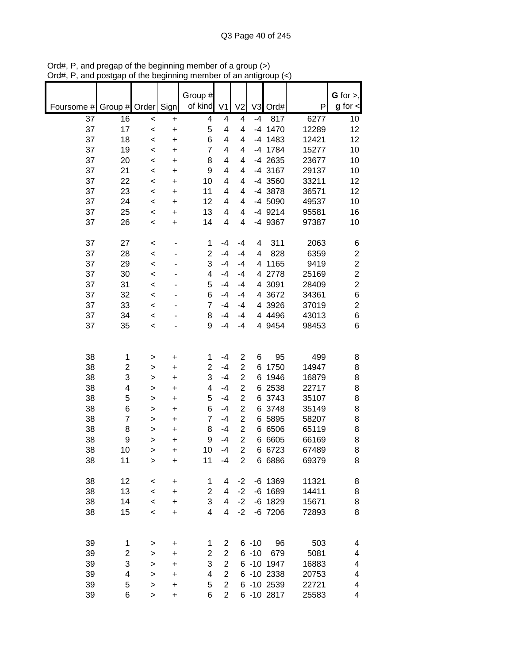|            |                         |         |           | Group #                 |                |                |                |            |       | G for $>$ ,      |
|------------|-------------------------|---------|-----------|-------------------------|----------------|----------------|----------------|------------|-------|------------------|
| Foursome # | Group #                 | Order   | Sign      | of kind                 | V <sub>1</sub> | V <sub>2</sub> | V <sub>3</sub> | Ord#       | P     | $g$ for $\lt$    |
| 37         | 16                      | $\prec$ | $\ddot{}$ | 4                       | 4              | 4              | $-4$           | 817        | 6277  | 10               |
| 37         | 17                      | $\prec$ | $\ddot{}$ | 5                       | 4              | 4              | $-4$           | 1470       | 12289 | 12               |
| 37         | 18                      | $\prec$ | $\ddot{}$ | 6                       | 4              | 4              | $-4$           | 1483       | 12421 | 12               |
| 37         | 19                      | $\prec$ | +         | $\overline{7}$          | 4              | 4              | $-4$           | 1784       | 15277 | 10               |
| 37         | 20                      | $\prec$ | $\ddot{}$ | 8                       | 4              | 4              |                | -4 2635    | 23677 | 10               |
| 37         | 21                      | $\prec$ | $\ddot{}$ | 9                       | 4              | 4              |                | -4 3167    | 29137 | 10               |
| 37         | 22                      | $\prec$ | $\ddot{}$ | 10                      | 4              | 4              |                | -4 3560    | 33211 | 12               |
| 37         | 23                      | $\prec$ | +         | 11                      | 4              | 4              |                | -4 3878    | 36571 | 12               |
| 37         | 24                      | $\,<$   | +         | 12                      | 4              | 4              |                | -4 5090    | 49537 | 10               |
| 37         | 25                      | $\,<$   | +         | 13                      | 4              | 4              |                | -4 9214    | 95581 | 16               |
| 37         | 26                      | $\,<$   | +         | 14                      | 4              | 4              |                | -4 9367    | 97387 | 10               |
| 37         | 27                      | $\prec$ | ٠         | 1                       | $-4$           | $-4$           | 4              | 311        | 2063  | 6                |
| 37         | 28                      | $\prec$ |           | $\overline{2}$          | $-4$           | $-4$           | 4              | 828        | 6359  | $\boldsymbol{2}$ |
| 37         | 29                      | $\prec$ |           | 3                       | $-4$           | $-4$           | 4              | 1165       | 9419  | $\overline{c}$   |
| 37         | 30                      | $\prec$ |           | 4                       | $-4$           | $-4$           | 4              | 2778       | 25169 | $\overline{c}$   |
| 37         | 31                      | $\prec$ |           | 5                       | $-4$           | $-4$           | 4              | 3091       | 28409 | $\overline{c}$   |
| 37         | 32                      | $\prec$ |           | 6                       | $-4$           | -4             | 4              | 3672       | 34361 | 6                |
| 37         | 33                      | $\prec$ |           | $\overline{7}$          | $-4$           | $-4$           | 4              | 3926       | 37019 | $\overline{2}$   |
| 37         | 34                      | $\prec$ |           | 8                       | $-4$           | $-4$           |                | 4 4 4 9 6  | 43013 | $\,6$            |
| 37         | 35                      | $\prec$ |           | 9                       | -4             | $-4$           |                | 4 9454     | 98453 | 6                |
|            |                         |         |           |                         |                |                |                |            |       |                  |
| 38         | 1                       | >       | +         | 1                       | $-4$           | $\overline{c}$ | 6              | 95         | 499   | 8                |
| 38         | $\boldsymbol{2}$        | >       | +         | 2                       | $-4$           | $\overline{c}$ | 6              | 1750       | 14947 | 8                |
| 38         | 3                       | >       | +         | 3                       | $-4$           | $\overline{2}$ | 6              | 1946       | 16879 | 8                |
| 38         | $\overline{\mathbf{4}}$ | >       | +         | 4                       | $-4$           | $\overline{2}$ | 6              | 2538       | 22717 | 8                |
| 38         | 5                       | >       | +         | 5                       | $-4$           | $\overline{2}$ | 6              | 3743       | 35107 | 8                |
| 38         | 6                       | >       | +         | 6                       | $-4$           | $\overline{2}$ | 6              | 3748       | 35149 | 8                |
| 38         | $\overline{7}$          | >       | +         | $\overline{7}$          | $-4$           | $\overline{2}$ | 6              | 5895       | 58207 | 8                |
| 38         | 8                       | >       | +         | 8                       | $-4$           | $\overline{2}$ | 6              | 6506       | 65119 | 8                |
| 38         | 9                       | >       | +         | 9                       | $-4$           | $\overline{2}$ | 6              | 6605       | 66169 | 8                |
| 38         | 10                      | >       | +         | 10                      | $-4$           | $\overline{2}$ |                | 6 6723     | 67489 | 8                |
| 38         | 11                      | >       | $\ddot{}$ | 11                      | $-4$           | 2              |                | 6 6886     | 69379 | 8                |
| 38         | 12                      | $\,<\,$ | +         | 1                       | 4              | $-2$           |                | $-6$ 1369  | 11321 | 8                |
| 38         | 13                      | $\,<\,$ | $\ddot{}$ | $\overline{\mathbf{c}}$ | 4              | $-2$           |                | $-6$ 1689  | 14411 | 8                |
| 38         | 14                      | $\prec$ | $\ddot{}$ | 3                       | $\overline{4}$ | $-2$           |                | $-6$ 1829  | 15671 | 8                |
| 38         | 15                      | $\prec$ | +         | $\overline{4}$          | $\overline{4}$ | $-2$           |                | $-6$ 7206  | 72893 | 8                |
|            |                         |         |           |                         |                |                |                |            |       |                  |
| 39         | 1                       | >       | +         | 1                       | 2              |                | $6 - 10$       | 96         | 503   | 4                |
| 39         | $\overline{c}$          | >       | +         | $\overline{\mathbf{c}}$ | $\mathbf{2}$   |                | $6 - 10$       | 679        | 5081  | 4                |
| 39         | 3                       | >       | +         | 3                       | $\mathbf{2}$   |                |                | 6 -10 1947 | 16883 | 4                |
| 39         | 4                       | >       | +         | 4                       | $\overline{2}$ |                |                | 6 -10 2338 | 20753 | 4                |
| 39         | 5                       | >       | +         | 5                       | $\overline{2}$ |                |                | 6 -10 2539 | 22721 | 4                |
| 39         | 6                       | >       | +         | 6                       | $\overline{2}$ |                |                | 6 -10 2817 | 25583 | 4                |

Ord#, P, and pregap of the beginning member of a group (>) Ord#, P, and postgap of the beginning member of an antigroup (<)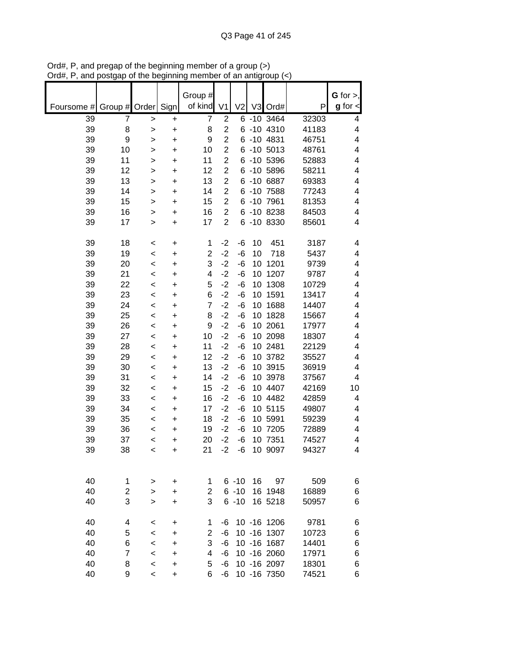| Foursome # | Group #                        | Order                  | Sign           | Group #<br>of kind            | V <sub>1</sub>          | V <sub>2</sub> | V <sub>3</sub> | Ord#          | P     | G for $>$ ,<br>$g$ for $\lt$ |
|------------|--------------------------------|------------------------|----------------|-------------------------------|-------------------------|----------------|----------------|---------------|-------|------------------------------|
| 39         | $\overline{7}$                 |                        |                | $\overline{7}$                | $\overline{c}$          |                |                | 6 -10 3464    | 32303 | 4                            |
| 39         | 8                              | $\mathbf{I}$<br>$\geq$ | +<br>$\ddot{}$ | 8                             | $\overline{2}$          |                |                | 6 -10 4310    | 41183 | 4                            |
| 39         | 9                              | >                      | +              | 9                             | $\overline{2}$          |                |                | 6 -10 4831    | 46751 | 4                            |
| 39         | 10                             | >                      | $\ddot{}$      | 10                            | $\overline{2}$          |                |                | 6 -10 5013    | 48761 | 4                            |
| 39         | 11                             | >                      | +              | 11                            | $\overline{2}$          |                |                | 6 -10 5396    | 52883 | 4                            |
| 39         | 12                             | >                      | $\ddot{}$      | 12                            | $\overline{2}$          |                |                | 6 -10 5896    | 58211 | 4                            |
| 39         | 13                             | >                      | +              | 13                            | $\overline{\mathbf{c}}$ |                |                | 6 -10 6887    | 69383 | 4                            |
| 39         | 14                             | >                      | +              | 14                            | $\overline{2}$          | 6              |                | $-10$ 7588    | 77243 | $\overline{\mathbf{4}}$      |
| 39         | 15                             | >                      | +              | 15                            | $\mathbf{2}$            |                |                | 6 -10 7961    | 81353 | $\overline{\mathbf{4}}$      |
| 39         | 16                             | >                      | $\ddot{}$      | 16                            | $\overline{2}$          |                |                | 6 -10 8238    | 84503 | 4                            |
| 39         | 17                             | >                      | +              | 17                            | $\overline{2}$          |                |                | 6 -10 8330    | 85601 | 4                            |
|            |                                |                        |                |                               |                         |                |                |               |       |                              |
| 39         | 18                             | <                      | +              | 1                             | $-2$                    | -6             | 10             | 451           | 3187  | 4                            |
| 39         | 19                             | $\prec$                | +              | $\overline{2}$                | $-2$                    | -6             | 10             | 718           | 5437  | 4                            |
| 39         | 20                             | <                      | +              | 3                             | $-2$                    | -6             | 10             | 1201          | 9739  | 4                            |
| 39         | 21                             | $\,<$                  | +              | 4                             | $-2$                    | -6             | 10             | 1207          | 9787  | 4                            |
| 39         | 22                             | $\,<$                  | +              | 5                             | $-2$                    | -6             | 10             | 1308          | 10729 | $\overline{\mathbf{4}}$      |
| 39         | 23                             | $\,<$                  | +              | 6                             | $-2$                    | -6             | 10             | 1591          | 13417 | 4                            |
| 39         | 24                             | $\prec$                | $\ddot{}$      | $\overline{7}$                | $-2$                    | -6             | 10             | 1688          | 14407 | 4                            |
| 39         | 25                             | $\,<$                  | +              | 8                             | $-2$                    | -6             | 10             | 1828          | 15667 | 4                            |
| 39         | 26                             | $\,<$                  | +              | 9                             | $-2$                    | -6             |                | 10 2061       | 17977 | 4                            |
| 39         | 27                             | $\,<$                  | +              | 10                            | $-2$                    | -6             |                | 10 2098       | 18307 | 4                            |
| 39         | 28                             | $\prec$                | $\ddot{}$      | 11                            | $-2$                    | -6             |                | 10 2481       | 22129 | 4                            |
| 39         | 29                             | $\,<$                  | +              | 12                            | $-2$                    | -6             |                | 10 3782       | 35527 | 4                            |
| 39         | 30                             | $\,<$                  | +              | 13                            | $-2$                    | -6             |                | 10 3915       | 36919 | $\overline{\mathbf{4}}$      |
| 39         | 31                             | $\,<$                  | +              | 14                            | $-2$                    | -6             |                | 10 3978       | 37567 | $\overline{4}$               |
| 39         | 32                             | $\,<$                  | +              | 15                            | $-2$                    | -6             |                | 10 4407       | 42169 | 10                           |
| 39         | 33                             | <                      | +              | 16                            | $-2$                    | -6             |                | 10 4482       | 42859 | 4                            |
| 39         | 34                             | <                      | +              | 17                            | $-2$                    | -6             |                | 10 5115       | 49807 | 4                            |
| 39         | 35                             | <                      | +              | 18                            | $-2$                    | -6             |                | 10 5991       | 59239 | 4                            |
| 39         | 36                             | $\,<$                  | +              | 19                            | $-2$                    | -6             |                | 10 7205       | 72889 | 4                            |
| 39         | 37                             | <                      | +              | 20                            | $-2$                    | -6             |                | 10 7351       | 74527 | 4                            |
| 39         | 38                             | $\,<$                  | +              | 21                            | $-2$                    | -6             |                | 10 9097       | 94327 | 4                            |
|            |                                |                        |                |                               |                         |                |                |               |       |                              |
|            |                                |                        |                |                               |                         | $6 - 10$       |                |               |       |                              |
| 40<br>40   | $\mathbf{1}$<br>$\overline{2}$ | >                      | +              | $\mathbf 1$<br>$\overline{2}$ |                         | $6 - 10$       | 16             | 97<br>16 1948 | 509   | 6                            |
| 40         | 3                              | >                      | $\ddot{}$      | 3                             |                         |                |                |               | 16889 | 6                            |
|            |                                | >                      | $\ddot{}$      |                               |                         | $6 - 10$       |                | 16 5218       | 50957 | 6                            |
| 40         | 4                              | <                      | +              | 1                             | -6                      |                |                | 10 -16 1206   | 9781  | 6                            |
| 40         | 5                              | $\,<$                  | +              | $\overline{2}$                | -6                      |                |                | 10 -16 1307   | 10723 | 6                            |
| 40         | 6                              | $\,<$                  | +              | 3                             | -6                      |                |                | 10 -16 1687   | 14401 | 6                            |
| 40         | $\overline{7}$                 | $\,<$                  | +              | 4                             | -6                      |                |                | 10 -16 2060   | 17971 | 6                            |
| 40         | 8                              | $\,<$                  | +              | 5                             | -6                      |                |                | 10 -16 2097   | 18301 | 6                            |
| 40         | 9                              | $\,<\,$                | +              | 6                             | -6                      |                |                | 10 - 16 7350  | 74521 | 6                            |

Ord#, P, and pregap of the beginning member of a group (>) Ord#, P, and postgap of the beginning member of an antigroup (<)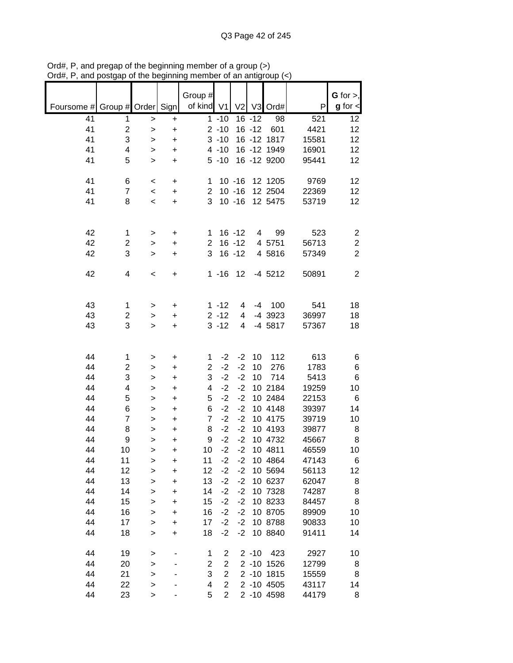|                               |                         |                        |                        | Group #        |                |                |           |              |       | $G$ for $>$ ,        |
|-------------------------------|-------------------------|------------------------|------------------------|----------------|----------------|----------------|-----------|--------------|-------|----------------------|
| Foursome # Group # Order Sign |                         |                        |                        | of kind V1     |                | V <sub>2</sub> |           | V3 Ord#      | P     | $g$ for $\textsf{d}$ |
| 41                            | 1                       |                        |                        |                | $1 - 10$       |                | $16 - 12$ | 98           | 521   | 12                   |
| 41                            | $\overline{\mathbf{c}}$ | >                      | +<br>$\ddot{}$         |                | $2 - 10$       |                | $16 - 12$ | 601          | 4421  | 12                   |
| 41                            | 3                       | $\mathbf{I}$           |                        |                | $3 - 10$       |                |           | 16 - 12 1817 | 15581 | 12                   |
| 41                            | 4                       | $\mathbf{I}$<br>$\geq$ | $\ddot{}$<br>$\ddot{}$ |                | $4 - 10$       |                |           | 16 - 12 1949 | 16901 | 12                   |
| 41                            | 5                       | $\geq$                 | $\ddot{}$              |                | $5 - 10$       |                |           | 16 - 12 9200 | 95441 | 12                   |
|                               |                         |                        |                        |                |                |                |           |              |       |                      |
| 41                            | 6                       | $\,<$                  |                        | 1              |                | $10 - 16$      |           | 12 1205      | 9769  | 12                   |
| 41                            | $\overline{7}$          | $\,<\,$                | +<br>+                 | $\overline{2}$ |                | $10 - 16$      |           | 12 2504      | 22369 | 12                   |
| 41                            | 8                       | $\prec$                | $\ddot{}$              | 3              |                | $10 - 16$      |           | 12 5475      | 53719 | 12                   |
|                               |                         |                        |                        |                |                |                |           |              |       |                      |
|                               |                         |                        |                        |                |                |                |           |              |       |                      |
| 42                            | 1                       | >                      | +                      | 1              |                | $16 - 12$      | 4         | 99           | 523   | $\overline{2}$       |
| 42                            | 2                       | >                      | $\ddot{}$              | $\overline{2}$ |                | $16 - 12$      |           | 4 5751       | 56713 | $\boldsymbol{2}$     |
| 42                            | 3                       | $\, > \,$              | $\ddot{}$              | 3              |                | $16 - 12$      |           | 4 5816       | 57349 | $\overline{2}$       |
|                               |                         |                        |                        |                |                |                |           |              |       |                      |
| 42                            | 4                       | $\,<$                  | +                      |                | $1 - 16$       | 12             |           | $-4$ 5212    | 50891 | $\overline{2}$       |
|                               |                         |                        |                        |                |                |                |           |              |       |                      |
|                               |                         |                        |                        |                |                |                |           |              |       |                      |
| 43                            | 1                       | >                      | $\ddot{}$              |                | $1 - 12$       | 4              | $-4$      | 100          | 541   | 18                   |
| 43                            | 2                       | >                      | $\ddot{}$              |                | $2 - 12$       | 4              |           | -4 3923      | 36997 | 18                   |
| 43                            | 3                       | $\geq$                 | $\ddot{}$              |                | $3 - 12$       | 4              |           | -4 5817      | 57367 | 18                   |
|                               |                         |                        |                        |                |                |                |           |              |       |                      |
|                               |                         |                        |                        |                |                |                |           |              |       |                      |
| 44                            | 1                       | >                      | +                      | 1              | $-2$           | $-2$           | 10        | 112          | 613   | 6                    |
| 44                            | 2                       | >                      | $\ddot{}$              | $\overline{2}$ | $-2$           | $-2$           | 10        | 276          | 1783  | 6                    |
| 44                            | 3                       | >                      | $\ddot{}$              | 3              | $-2$           | $-2$           | 10        | 714          | 5413  | 6                    |
| 44                            | 4                       | $\geq$                 | $\ddot{}$              | 4              | $-2$           | $-2$           |           | 10 2184      | 19259 | 10                   |
| 44                            | 5                       | $\mathbf{I}$           | $\ddot{}$              | 5              | $-2$           | $-2$           |           | 10 2484      | 22153 | 6                    |
| 44                            | 6                       | $\geq$                 | $\ddot{}$              | 6              | $-2$           | $-2$           |           | 10 4148      | 39397 | 14                   |
| 44                            | $\overline{7}$          | $\geq$                 | $\ddot{}$              | $\overline{7}$ | $-2$           | $-2$           |           | 10 4175      | 39719 | 10                   |
| 44                            | 8                       | $\geq$                 | $\ddot{}$              | 8              | $-2$           | $-2$           |           | 10 4193      | 39877 | 8                    |
| 44                            | 9                       | >                      | +                      | 9              | $-2$           | $-2$           |           | 10 4732      | 45667 | 8                    |
| 44                            | 10                      | $\geq$                 | $\ddot{}$              | 10             | $-2$           | $-2$           |           | 10 4811      | 46559 | 10                   |
| 44                            | 11                      | >                      | +                      | 11             | $-2$           | $-2$           |           | 10 4864      | 47143 | 6                    |
| 44                            | 12                      | $\mathbf{I}$           | $\ddot{}$              | 12             | $-2$           | $-2$           |           | 10 5694      | 56113 | 12                   |
| 44                            | 13                      | $\mathbf{I}$           | $\ddot{}$              | 13             | $-2$           | $-2$           |           | 10 6237      | 62047 | 8                    |
| 44                            | 14                      | $\mathbf{I}$           | $\ddot{}$              | 14             | $-2$           | $-2$           |           | 10 7328      | 74287 | 8                    |
| 44                            | 15                      | $\geq$                 | +                      | 15             | $-2$           | $-2$           |           | 10 8233      | 84457 | 8                    |
| 44                            | 16                      | $\mathbf{I}$           | +                      | 16             | $-2$           | $-2$           |           | 10 8705      | 89909 | 10                   |
| 44                            | 17                      | >                      | +                      | 17             | $-2$           | $-2$           |           | 10 8788      | 90833 | 10                   |
| 44                            | 18                      | $\, > \,$              | +                      | 18             | $-2$           | $-2$           |           | 10 8840      | 91411 | 14                   |
|                               |                         |                        |                        |                |                |                |           |              |       |                      |
| 44                            | 19                      | >                      |                        | 1              | 2              |                | $2 - 10$  | 423          | 2927  | 10                   |
| 44                            | 20                      | $\mathbf{I}$           |                        | 2              | $\overline{2}$ |                |           | 2 -10 1526   | 12799 | 8                    |
| 44                            | 21                      | $\mathbf{I}$           |                        | 3              | $\overline{2}$ |                |           | 2 -10 1815   | 15559 | 8                    |
| 44                            | 22                      | $\geq$                 |                        | 4              | $\overline{2}$ |                |           | 2 -10 4505   | 43117 | 14                   |
| 44                            | 23                      | $\geq$                 | -                      | 5              | $\overline{2}$ |                |           | 2 -10 4598   | 44179 | 8                    |

Ord#, P, and pregap of the beginning member of a group (>) Ord#, P, and postgap of the beginning member of an antigroup (<)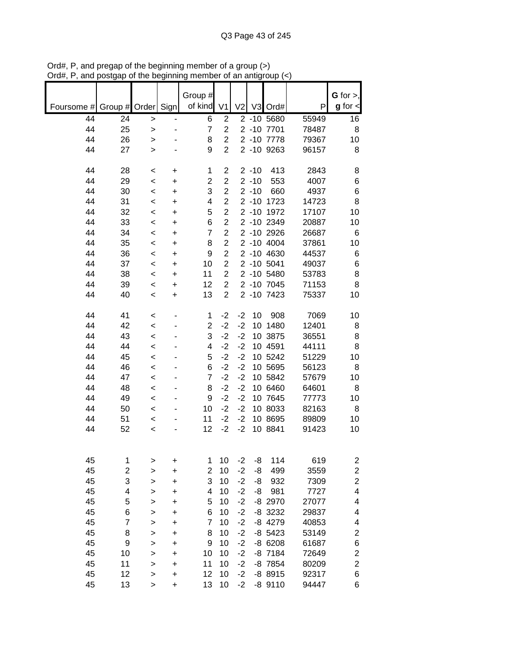|            |               |              |                              |                    |                |                |          |            |       | $G$ for $>$ ,           |
|------------|---------------|--------------|------------------------------|--------------------|----------------|----------------|----------|------------|-------|-------------------------|
|            |               |              |                              | Group #<br>of kind |                |                |          |            |       | $g$ for $\lt$           |
| Foursome # | Group # Order |              | Sign                         |                    | V <sub>1</sub> | V <sub>2</sub> |          | V3 Ord#    | P     |                         |
| 44         | 24            | >            | $\qquad \qquad \blacksquare$ | 6                  | $\overline{2}$ |                |          | 2 -10 5680 | 55949 | 16                      |
| 44         | 25            | $\, > \,$    | ٠                            | 7                  | $\overline{2}$ |                |          | 2 -10 7701 | 78487 | 8                       |
| 44         | 26            | >            |                              | 8                  | $\overline{2}$ |                |          | 2 -10 7778 | 79367 | 10                      |
| 44         | 27            | $\, > \,$    |                              | 9                  | $\overline{2}$ |                |          | 2 -10 9263 | 96157 | 8                       |
|            |               |              |                              |                    |                |                |          |            |       |                         |
| 44         | 28            | $\,<\,$      | +                            | 1                  | 2              |                | $2 - 10$ | 413        | 2843  | 8                       |
| 44         | 29            | $\,<$        | +                            | $\overline{c}$     | $\overline{c}$ |                | $2 - 10$ | 553        | 4007  | 6                       |
| 44         | 30            | $\,<$        | +                            | 3                  | $\overline{c}$ |                | $2 - 10$ | 660        | 4937  | 6                       |
| 44         | 31            | $\,<$        | $\ddot{}$                    | 4                  | $\overline{2}$ |                | $2 - 10$ | 1723       | 14723 | 8                       |
| 44         | 32            | $\,<\,$      | +                            | 5                  | $\overline{2}$ |                | $2 - 10$ | 1972       | 17107 | 10                      |
| 44         | 33            | $\,<\,$      | $\ddot{}$                    | 6                  | $\overline{2}$ |                |          | 2 -10 2349 | 20887 | 10                      |
| 44         | 34            | $\,<\,$      | $\ddot{}$                    | $\overline{7}$     | $\overline{2}$ |                |          | 2 -10 2926 | 26687 | 6                       |
| 44         | 35            | $\,<$        | $\ddot{}$                    | 8                  | $\overline{2}$ |                |          | 2 -10 4004 | 37861 | 10                      |
| 44         | 36            | $\,<$        | +                            | 9                  | $\overline{2}$ |                |          | 2 -10 4630 | 44537 | 6                       |
| 44         | 37            | $\,<\,$      | $\ddot{}$                    | 10                 | $\overline{2}$ |                |          | 2 -10 5041 | 49037 | 6                       |
| 44         | 38            | $\,<$        | $\ddot{}$                    | 11                 | $\overline{2}$ |                |          | 2 -10 5480 | 53783 | 8                       |
| 44         |               |              |                              | 12                 | $\overline{2}$ |                |          | 2 -10 7045 | 71153 | 8                       |
| 44         | 39<br>40      | $\,<$        | $\ddot{}$                    |                    | $\overline{2}$ |                |          | 2 -10 7423 |       |                         |
|            |               | $\,<\,$      | +                            | 13                 |                |                |          |            | 75337 | 10                      |
|            |               |              |                              |                    |                |                |          |            |       |                         |
| 44         | 41            | $\,<$        | $\overline{a}$               | 1                  | $-2$           | $-2$           | 10       | 908        | 7069  | 10                      |
| 44         | 42            | $\,<$        |                              | $\overline{2}$     | $-2$           | $-2$           |          | 10 1480    | 12401 | 8                       |
| 44         | 43            | $\,<$        |                              | 3                  | $-2$           | $-2$           |          | 10 3875    | 36551 | 8                       |
| 44         | 44            | $\,<$        |                              | 4                  | $-2$           | $-2$           |          | 10 4591    | 44111 | 8                       |
| 44         | 45            | $\prec$      |                              | 5                  | $-2$           | $-2$           |          | 10 5242    | 51229 | 10                      |
| 44         | 46            | $\,<$        |                              | 6                  | $-2$           | $-2$           |          | 10 5695    | 56123 | 8                       |
| 44         | 47            | $\,<\,$      |                              | $\overline{7}$     | $-2$           | $-2$           |          | 10 5842    | 57679 | 10                      |
| 44         | 48            | $\,<\,$      |                              | 8                  | $-2$           | $-2$           |          | 10 6460    | 64601 | 8                       |
| 44         | 49            | $\,<\,$      |                              | 9                  | $-2$           | $-2$           |          | 10 7645    | 77773 | 10                      |
| 44         | 50            | $\,<\,$      |                              | 10                 | $-2$           | $-2$           |          | 10 8033    | 82163 | 8                       |
| 44         | 51            | $\,<$        |                              | 11                 | $-2$           | $-2$           |          | 10 8695    | 89809 | 10                      |
| 44         | 52            | $\,<$        |                              | 12                 | $-2$           | $-2$           |          | 10 8841    | 91423 | 10                      |
|            |               |              |                              |                    |                |                |          |            |       |                         |
|            |               |              |                              |                    |                |                |          |            |       |                         |
| 45         | 1             | >            | $\ddot{}$                    | 1                  | 10             | $-2$           | -8       | 114        | 619   | 2                       |
| 45         | 2             | >            | $\ddot{}$                    | $\overline{2}$     | 10             | $-2$           | -8       | 499        | 3559  | 2                       |
| 45         | 3             | $\geq$       | $\ddot{}$                    | 3                  | 10             | $-2$           | -8       | 932        | 7309  | $\overline{\mathbf{c}}$ |
| 45         | 4             | $\geq$       | $\ddot{}$                    | 4                  | 10             | $-2$           | -8       | 981        | 7727  | 4                       |
| 45         | 5             | $\geq$       | $\ddot{}$                    | 5                  | 10             | $-2$           |          | -8 2970    | 27077 | 4                       |
| 45         | 6             | $\mathbf{I}$ | $\ddot{}$                    | 6                  | 10             | $-2$           |          | -8 3232    | 29837 | 4                       |
| 45         | 7             | >            | $\ddot{}$                    | $\overline{7}$     | 10             | $-2$           |          | -8 4279    | 40853 | 4                       |
| 45         | 8             | >            | $\ddot{}$                    | 8                  | 10             | $-2$           |          | $-8$ 5423  | 53149 | $\overline{\mathbf{c}}$ |
| 45         | 9             | >            | +                            | 9                  | 10             | $-2$           |          | $-86208$   | 61687 | 6                       |
| 45         | 10            | >            | $\ddot{}$                    | 10                 | 10             | $-2$           |          | $-8$ 7184  | 72649 | $\overline{\mathbf{c}}$ |
| 45         | 11            | >            | +                            | 11                 | 10             | $-2$           |          | -8 7854    | 80209 | $\overline{c}$          |
| 45         | 12            | >            | +                            | 12                 | 10             | $-2$           |          | $-88915$   | 92317 | 6                       |
| 45         | 13            | $\geq$       | $\ddot{}$                    | 13                 | 10             | $-2$           |          | $-8$ 9110  | 94447 | 6                       |
|            |               |              |                              |                    |                |                |          |            |       |                         |

Ord#, P, and pregap of the beginning member of a group (>) Ord#, P, and postgap of the beginning member of an antigroup (<)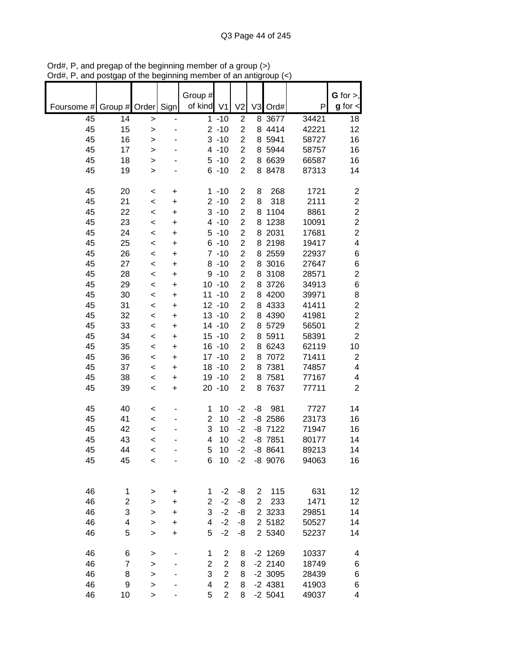|            |                         |                   |           |                       |                |                         |                |           |       | G for $>$ ,             |
|------------|-------------------------|-------------------|-----------|-----------------------|----------------|-------------------------|----------------|-----------|-------|-------------------------|
| Foursome # | Group # Order Sign      |                   |           | Group #<br>of kind V1 |                | V <sub>2</sub>          |                | V3 Ord#   | P     | $g$ for $\lt$           |
| 45         | 14                      |                   |           |                       | $1 - 10$       | $\overline{2}$          |                | 8 3677    | 34421 | 18                      |
| 45         | 15                      | ><br>$\mathbf{I}$ |           |                       | $2 - 10$       | $\overline{2}$          |                | 8 4414    | 42221 | 12                      |
| 45         | 16                      | $\mathbf{I}$      |           |                       | $3 - 10$       | $\overline{2}$          |                | 8 5941    | 58727 | 16                      |
| 45         | 17                      |                   |           |                       | $4 - 10$       | $\overline{c}$          |                | 8 5944    | 58757 | 16                      |
| 45         | 18                      | $\mathbf{I}$      |           |                       | $5 - 10$       | $\overline{c}$          | 8              | 6639      | 66587 | 16                      |
| 45         | 19                      | $\geq$            |           |                       | $6 - 10$       | $\overline{c}$          | 8              | 8478      | 87313 | 14                      |
|            |                         | $\geq$            |           |                       |                |                         |                |           |       |                         |
| 45         | 20                      | $\,<$             | +         |                       | $1 - 10$       | $\overline{\mathbf{c}}$ | 8              | 268       | 1721  | $\overline{\mathbf{c}}$ |
| 45         | 21                      | $\,<$             | +         |                       | $2 - 10$       | $\overline{c}$          | 8              | 318       | 2111  | $\mathbf 2$             |
| 45         | 22                      | $\,<$             | +         |                       | $3 - 10$       | $\overline{\mathbf{c}}$ | 8              | 1104      | 8861  | $\boldsymbol{2}$        |
| 45         | 23                      | $\,<$             | +         |                       | $4 - 10$       | $\overline{2}$          | 8              | 1238      | 10091 | $\boldsymbol{2}$        |
| 45         | 24                      | $\,<$             | +         |                       | $5 - 10$       | $\overline{2}$          | 8              | 2031      | 17681 | $\overline{c}$          |
| 45         | 25                      | $\prec$           | +         |                       | $6 - 10$       | $\overline{c}$          | 8              | 2198      | 19417 | $\overline{\mathbf{4}}$ |
| 45         | 26                      | $\prec$           | +         |                       | $7 - 10$       | $\overline{c}$          |                | 8 2559    | 22937 | $\,6$                   |
| 45         | 27                      | $\prec$           | $\ddot{}$ |                       | $8 - 10$       | $\overline{2}$          |                | 8 3016    | 27647 | 6                       |
| 45         | 28                      | $\prec$           | +         |                       | $9 - 10$       | $\overline{c}$          |                | 8 3108    | 28571 | $\overline{c}$          |
| 45         | 29                      | $\,<$             | $\ddot{}$ |                       | $10 - 10$      | $\overline{2}$          |                | 8 3726    | 34913 | 6                       |
| 45         | 30                      | $\,<$             | +         |                       | $11 - 10$      | $\overline{2}$          |                | 8 4200    | 39971 | 8                       |
| 45         | 31                      | $\,<$             | +         |                       | $12 - 10$      | $\overline{c}$          |                | 8 4333    | 41411 | $\boldsymbol{2}$        |
| 45         | 32                      | $\,<$             | $\ddot{}$ |                       | $13 - 10$      | $\overline{c}$          |                | 8 4390    | 41981 | $\overline{c}$          |
| 45         | 33                      | $\,<$             | +         |                       | $14 - 10$      | $\overline{\mathbf{c}}$ |                | 8 5729    | 56501 | $\overline{c}$          |
| 45         | 34                      | $\,<$             | +         |                       | $15 - 10$      | $\overline{c}$          |                | 8 5911    | 58391 | $\overline{2}$          |
| 45         | 35                      | $\,<$             | +         |                       | $16 - 10$      | $\overline{\mathbf{c}}$ | 8              | 6243      | 62119 | 10                      |
| 45         | 36                      | $\,<$             | +         |                       | $17 - 10$      | $\overline{2}$          | 8              | 7072      | 71411 | $\boldsymbol{2}$        |
| 45         | 37                      | $\,<$             | +         |                       | $18 - 10$      | $\overline{\mathbf{c}}$ | 8              | 7381      | 74857 | $\overline{\mathbf{4}}$ |
| 45         | 38                      | $\,<$             | +         |                       | 19 - 10        | $\overline{2}$          | 8              | 7581      | 77167 | 4                       |
| 45         | 39                      | $\,<$             | $\ddot{}$ |                       | $20 - 10$      | $\overline{c}$          |                | 8 7637    | 77711 | $\mathbf 2$             |
|            |                         |                   |           |                       |                |                         |                |           |       |                         |
| 45         | 40                      | <                 |           | 1                     | 10             | $-2$                    | -8             | 981       | 7727  | 14                      |
| 45         | 41                      | $\,<$             |           | $\overline{2}$        | 10             | $-2$                    |                | $-8$ 2586 | 23173 | 16                      |
| 45         | 42                      | $\,<$             |           | 3                     | 10             | $-2$                    |                | $-8$ 7122 | 71947 | 16                      |
| 45         | 43                      | $\,<$             |           | 4                     | 10             | $-2$                    |                | $-8$ 7851 | 80177 | 14                      |
| 45         | 44                      | $\,<$             |           | 5                     | 10             | $-2$                    |                | $-88641$  | 89213 | 14                      |
| 45         | 45                      | $\,<$             |           | 6                     | 10             | $-2$                    |                | $-8$ 9076 | 94063 | 16                      |
|            |                         |                   |           |                       |                |                         |                |           |       |                         |
|            |                         |                   |           |                       |                |                         |                |           |       |                         |
| 46         | 1                       | >                 | +         | 1                     | $-2$           | -8                      | 2              | 115       | 631   | 12                      |
| 46         | $\overline{\mathbf{c}}$ | $\geq$            | +         | 2                     | $-2$           | -8                      | $\overline{c}$ | 233       | 1471  | 12                      |
| 46         | 3                       | $\mathbf{I}$      | +         | 3                     | $-2$           | -8                      |                | 2 3 2 3 3 | 29851 | 14                      |
| 46         | 4                       | $\mathbf{I}$      | $\ddot{}$ | 4                     | $-2$           | -8                      |                | 2 5182    | 50527 | 14                      |
| 46         | 5                       | >                 | $\ddot{}$ | 5                     | $-2$           | -8                      |                | 2 5340    | 52237 | 14                      |
| 46         | 6                       | >                 |           | 1                     | $\overline{2}$ | 8                       |                | $-2$ 1269 | 10337 | 4                       |
| 46         | 7                       | >                 |           | 2                     | $\mathbf{2}$   | 8                       |                | $-2$ 2140 | 18749 | 6                       |
| 46         | 8                       | $\mathbf{I}$      |           | 3                     | $\overline{2}$ | 8                       |                | $-2$ 3095 | 28439 | 6                       |
| 46         | 9                       | >                 |           | 4                     | $\overline{2}$ | 8                       |                | $-2$ 4381 | 41903 | 6                       |
| 46         | 10                      | $\,$              |           | 5                     | $\overline{2}$ | 8                       |                | $-2$ 5041 | 49037 | 4                       |

Ord#, P, and pregap of the beginning member of a group (>) Ord#, P, and postgap of the beginning member of an antigroup (<)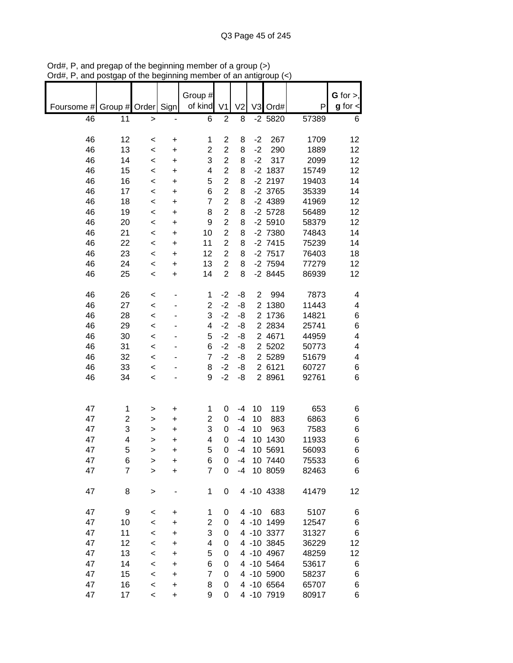|            |                |               |           | Group #                 |                |                |                |            |       | $G$ for $>$ , |
|------------|----------------|---------------|-----------|-------------------------|----------------|----------------|----------------|------------|-------|---------------|
|            |                |               |           | of kind                 | V <sub>1</sub> |                |                |            | P     | $g$ for $\lt$ |
| Foursome # |                | Group # Order | Sign      |                         |                | V <sub>2</sub> |                | V3 Ord#    |       |               |
| 46         | 11             | $\geq$        |           | 6                       | $\overline{2}$ | 8              |                | $-2$ 5820  | 57389 | 6             |
|            |                |               |           |                         |                |                |                |            |       |               |
| 46         | 12             | $\,<$         | +         | 1                       | $\overline{2}$ | 8              | $-2$           | 267        | 1709  | 12            |
| 46         | 13             | $\prec$       | +         | $\overline{\mathbf{c}}$ | $\overline{c}$ | 8              | $-2$           | 290        | 1889  | 12            |
| 46         | 14             | $\prec$       | +         | 3                       | $\overline{c}$ | 8              | $-2$           | 317        | 2099  | 12            |
| 46         | 15             | $\,<$         | +         | 4                       | $\overline{2}$ | 8              |                | $-2$ 1837  | 15749 | 12            |
| 46         | 16             | $\,<$         | +         | 5                       | $\overline{c}$ | 8              |                | $-2$ 2197  | 19403 | 14            |
| 46         | 17             | $\,<$         | +         | 6                       | $\overline{c}$ | 8              |                | $-2$ 3765  | 35339 | 14            |
| 46         | 18             | $\,<$         | $\ddot{}$ | $\overline{7}$          | $\overline{c}$ | 8              |                | $-2$ 4389  | 41969 | 12            |
|            |                |               |           |                         | $\overline{2}$ |                |                |            |       |               |
| 46         | 19             | $\,<$         | $\ddot{}$ | 8                       |                | 8              |                | $-2$ 5728  | 56489 | 12            |
| 46         | 20             | $\,<$         | $\ddot{}$ | 9                       | $\overline{2}$ | 8              |                | $-2,5910$  | 58379 | 12            |
| 46         | 21             | $\prec$       | $\ddot{}$ | 10                      | $\overline{c}$ | 8              |                | -2 7380    | 74843 | 14            |
| 46         | 22             | $\prec$       | $\ddot{}$ | 11                      | $\overline{2}$ | 8              |                | $-2$ 7415  | 75239 | 14            |
| 46         | 23             | $\,<$         | $\ddot{}$ | 12                      | $\overline{2}$ | 8              |                | $-2$ 7517  | 76403 | 18            |
| 46         | 24             | $\,<$         | $\ddot{}$ | 13                      | $\overline{2}$ | 8              |                | $-2$ 7594  | 77279 | 12            |
| 46         | 25             | $\,<$         | +         | 14                      | $\overline{c}$ | 8              |                | $-28445$   | 86939 | 12            |
|            |                |               |           |                         |                |                |                |            |       |               |
| 46         | 26             | $\,<$         |           | 1                       | $-2$           | -8             | $\overline{2}$ | 994        | 7873  | 4             |
| 46         | 27             | $\prec$       |           | $\overline{\mathbf{c}}$ | $-2$           | -8             | $\overline{2}$ | 1380       | 11443 | 4             |
| 46         | 28             | $\prec$       |           | 3                       | $-2$           | -8             |                | 2 1736     | 14821 | 6             |
| 46         | 29             | $\prec$       |           | 4                       | $-2$           | -8             |                | 2 2 8 3 4  | 25741 | 6             |
| 46         | 30             | $\,<$         |           | 5                       | $-2$           | -8             |                | 2 4671     | 44959 | 4             |
| 46         | 31             | $\,<$         |           | 6                       | $-2$           | -8             |                | 2 5202     | 50773 | 4             |
| 46         | 32             | $\,<$         |           | $\overline{7}$          | $-2$           | -8             |                | 2 5289     | 51679 | 4             |
| 46         | 33             | $\,<$         |           | 8                       | $-2$           | -8             |                | 2 6121     | 60727 | 6             |
| 46         | 34             |               |           | 9                       | $-2$           | -8             |                | 2 8961     | 92761 | 6             |
|            |                | $\,<$         |           |                         |                |                |                |            |       |               |
|            |                |               |           |                         |                |                |                |            |       |               |
| 47         |                |               |           |                         | 0              | $-4$           | 10             | 119        | 653   |               |
|            | 1              | >             | +         | 1                       |                | $-4$           |                |            |       | 6             |
| 47         | 2              | >             | $\ddot{}$ | 2                       | $\mathbf 0$    |                | 10             | 883        | 6863  | 6             |
| 47         | 3              | >             | +         | 3                       | 0              | $-4$           | 10             | 963        | 7583  | 6             |
| 47         | 4              | >             | +         | 4                       | $\mathbf 0$    | $-4$           | 10             | 1430       | 11933 | 6             |
| 47         | 5              | >             | +         | 5                       | 0              | $-4$           |                | 10 5691    | 56093 | 6             |
| 47         | 6              | $\geq$        | +         | 6                       | 0              | -4             |                | 10 7440    | 75533 | 6             |
| 47         | $\overline{7}$ | $\mathbf{I}$  | $\ddot{}$ | $\overline{7}$          | 0              | $-4$           |                | 10 8059    | 82463 | 6             |
|            |                |               |           |                         |                |                |                |            |       |               |
| 47         | 8              | $\mathbf{I}$  |           | 1                       | 0              |                |                | 4 -10 4338 | 41479 | 12            |
|            |                |               |           |                         |                |                |                |            |       |               |
| 47         | 9              | $\,<$         | +         | 1                       | 0              |                | $4 - 10$       | 683        | 5107  | 6             |
| 47         | 10             | $\,<$         | +         | 2                       | 0              |                |                | 4 -10 1499 | 12547 | 6             |
| 47         | 11             | $\,<$         | +         | 3                       | 0              |                |                | 4 -10 3377 | 31327 | 6             |
| 47         | 12             | $\,<$         | $\ddot{}$ | 4                       | 0              |                |                | 4 -10 3845 | 36229 | 12            |
| 47         | 13             | $\,<$         | $\ddot{}$ | 5                       | 0              |                |                | 4 -10 4967 | 48259 | 12            |
| 47         | 14             | $\,<$         | +         | 6                       | 0              |                |                | 4 -10 5464 | 53617 | 6             |
| 47         | 15             | $\,<$         | $\ddot{}$ | $\overline{7}$          | 0              |                |                | 4 -10 5900 | 58237 | 6             |
| 47         | 16             | $\prec$       | +         | 8                       | 0              |                |                | 4 -10 6564 | 65707 | 6             |
| 47         | 17             | $\,<$         | $\ddot{}$ | 9                       | 0              |                |                | 4 -10 7919 | 80917 | 6             |

Ord#, P, and pregap of the beginning member of a group (>) Ord#, P, and postgap of the beginning member of an antigroup (<)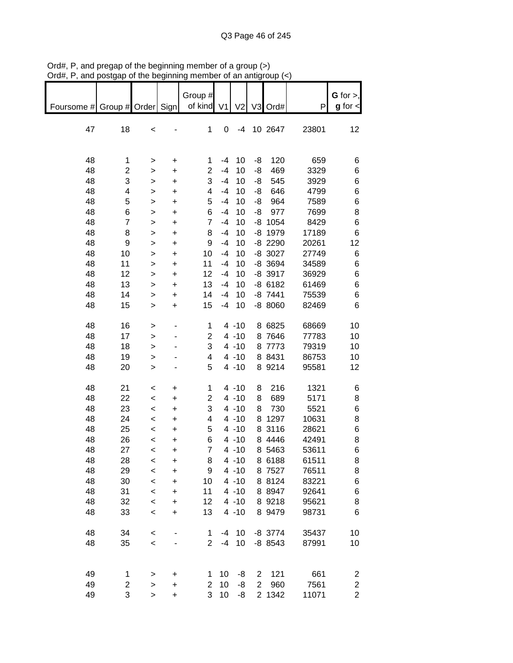|                               | ana poolgap    | טו ייט אי    | .         |                |                |                |                | ioap (    |       |                         |
|-------------------------------|----------------|--------------|-----------|----------------|----------------|----------------|----------------|-----------|-------|-------------------------|
|                               |                |              |           | Group #        |                |                |                |           |       | G for $>$ ,             |
| Foursome # Group # Order Sign |                |              |           | of kind        | V <sub>1</sub> | V <sub>2</sub> |                | V3 Ord#   | P     | $g$ for $\lt$           |
|                               |                |              |           |                |                |                |                |           |       |                         |
|                               |                |              |           |                |                |                |                |           |       |                         |
| 47                            | 18             | $\prec$      |           | 1              | $\pmb{0}$      | $-4$           |                | 10 2647   | 23801 | 12                      |
|                               |                |              |           |                |                |                |                |           |       |                         |
|                               |                |              |           |                |                |                |                |           |       |                         |
| 48                            | 1              | >            | +         | 1              | $-4$           | 10             | -8             | 120       | 659   | 6                       |
| 48                            | 2              | >            | $\ddot{}$ | $\mathbf 2$    | $-4$           | 10             | -8             | 469       | 3329  | 6                       |
| 48                            | 3              | $\mathbf{I}$ | $\ddot{}$ | 3              | $-4$           | 10             | -8             | 545       | 3929  | 6                       |
| 48                            | 4              | $\mathbf{I}$ | $\ddot{}$ | 4              | $-4$           | 10             | -8             | 646       | 4799  | 6                       |
| 48                            | 5              | $\mathbf{I}$ | $\ddot{}$ | 5              | $-4$           | 10             | -8             | 964       | 7589  | 6                       |
| 48                            | 6              | $\mathbf{I}$ | $\ddot{}$ | $\,6$          | $-4$           | 10             | -8             | 977       | 7699  | 8                       |
| 48                            | $\overline{7}$ | $\mathbf{L}$ | $\ddot{}$ | $\overline{7}$ | $-4$           | 10             |                | $-8$ 1054 | 8429  | 6                       |
| 48                            | 8              | $\geq$       | $\ddot{}$ | 8              | $-4$           | 10             |                | $-8$ 1979 | 17189 | 6                       |
| 48                            | 9              | $\geq$       | $\ddot{}$ | 9              | $-4$           | 10             |                | -8 2290   | 20261 | 12                      |
| 48                            | 10             | $\geq$       | $\ddot{}$ | 10             | $-4$           | 10             |                | $-8$ 3027 | 27749 | 6                       |
| 48                            | 11             | $\mathbf{I}$ | $\ddot{}$ | 11             | $-4$           | 10             |                | $-8$ 3694 | 34589 | 6                       |
| 48                            | 12             | $\mathbf{I}$ | $\ddot{}$ | 12             | $-4$           | 10             |                | $-8$ 3917 | 36929 | 6                       |
| 48                            | 13             | >            | $\ddot{}$ | 13             | $-4$           | 10             |                | $-86182$  | 61469 | 6                       |
| 48                            | 14             | $\mathbf{r}$ | $\ddot{}$ | 14             | $-4$           | 10             |                | $-8$ 7441 | 75539 | 6                       |
| 48                            | 15             | $\mathbf{I}$ | $\ddot{}$ | 15             | $-4$           | 10             |                | $-88060$  | 82469 | 6                       |
|                               |                |              |           |                |                |                |                |           |       |                         |
| 48                            | 16             | $\, > \,$    |           | 1              |                | $4 - 10$       |                | 8 6825    | 68669 | 10                      |
| 48                            | 17             | >            |           | $\mathbf{2}$   |                | $4 - 10$       |                | 8 7646    | 77783 | 10                      |
| 48                            | 18             | $\geq$       |           | 3              |                | $4 - 10$       |                | 8 7773    | 79319 | 10                      |
| 48                            | 19             | $\mathbf{L}$ |           | 4              |                | $4 - 10$       |                | 8 8431    | 86753 | 10                      |
| 48                            | 20             | $\geq$       |           | 5              |                | $4 - 10$       |                | 8 9214    | 95581 | 12                      |
|                               |                |              |           |                |                |                |                |           |       |                         |
| 48                            | 21             | $\,<$        | $\ddot{}$ | 1              |                | $4 - 10$       | 8              | 216       | 1321  | 6                       |
| 48                            | 22             | $\prec$      | $\ddot{}$ | $\overline{2}$ |                | $4 - 10$       | 8              | 689       | 5171  | 8                       |
| 48                            | 23             | $\prec$      | $\ddot{}$ | 3              |                | $4 - 10$       | 8              | 730       | 5521  | 6                       |
| 48                            | 24             | $\prec$      | $\ddot{}$ | 4              |                | $4 - 10$       |                | 8 1297    | 10631 | 8                       |
| 48                            | 25             | $\prec$      | $\ddot{}$ | 5              |                | $4 - 10$       |                | 8 3116    | 28621 | 6                       |
| 48                            | 26             | $\prec$      | ÷         | 6              |                | $4 - 10$       |                | 8 4446    | 42491 | 8                       |
| 48                            | 27             | $\prec$      | +         | 7              |                | $4 - 10$       |                | 8 5463    | 53611 | 6                       |
| 48                            | 28             | $\,<$        | +         | 8              |                | $4 - 10$       |                | 8 6188    | 61511 | 8                       |
| 48                            | 29             | $\prec$      | $\ddot{}$ | 9              |                | $4 - 10$       |                | 8 7527    | 76511 | 8                       |
| 48                            | 30             | $\,<$        | +         | 10             |                | $4 - 10$       |                | 8 8124    | 83221 | 6                       |
| 48                            | 31             | $\,<$        | +         | 11             |                | $4 - 10$       |                | 8 8 9 4 7 | 92641 | 6                       |
| 48                            | 32             | $\prec$      | $\ddot{}$ | 12             |                | $4 - 10$       |                | 8 9 218   | 95621 | 8                       |
| 48                            | 33             | $\,<$        | $\ddot{}$ | 13             |                | $4 - 10$       |                | 8 9479    | 98731 | 6                       |
|                               |                |              |           |                |                |                |                |           |       |                         |
| 48                            | 34             | $\,<$        |           | 1              | -4             | 10             |                | $-8$ 3774 | 35437 | 10                      |
| 48                            | 35             | $\prec$      |           | $\overline{2}$ | $-4$           | 10             |                | $-8$ 8543 | 87991 | 10                      |
|                               |                |              |           |                |                |                |                |           |       |                         |
|                               |                |              |           |                |                |                |                |           |       |                         |
| 49                            | 1              | >            | +         | 1              | 10             | -8             | $\overline{2}$ | 121       | 661   | $\overline{\mathbf{c}}$ |
| 49                            | 2              | $\geq$       | $\ddot{}$ | $\overline{2}$ | 10             | -8             | $\overline{2}$ | 960       | 7561  | $\overline{\mathbf{c}}$ |
| 49                            | 3              | $\geq$       | $\ddot{}$ | 3              | 10             | -8             |                | 2 1342    | 11071 | $\overline{c}$          |

Ord#, P, and pregap of the beginning member of a group (>) Ord#, P, and postgap of the beginning member of an antigroup (<)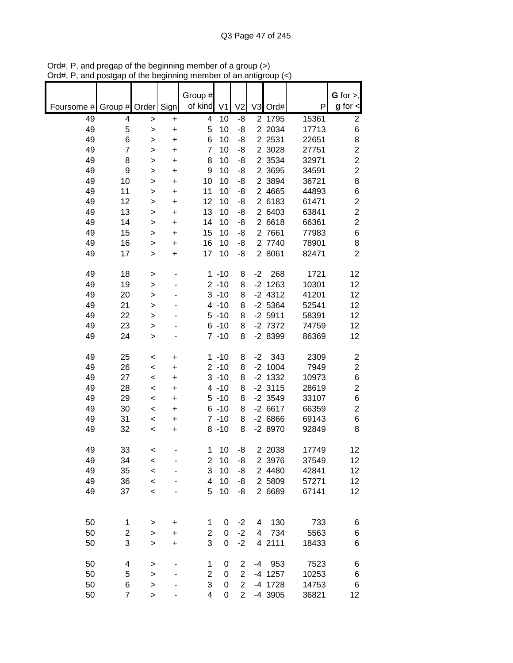| of kind<br>$g$ for $\lt$<br>Sign<br>V <sub>1</sub><br>V <sub>2</sub><br>V <sub>3</sub><br>P<br>Foursome #<br>Group #<br>Order<br>Ord#<br>49<br>2 1795<br>15361<br>$\overline{2}$<br>4<br>4<br>10<br>-8<br>+<br>><br>5<br>49<br>5<br>10<br>-8<br>2 2034<br>17713<br>6<br>><br>+<br>49<br>6<br>6<br>-8<br>2 2 5 3 1<br>8<br>10<br>22651<br>+<br>><br>$\overline{2}$<br>$\overline{7}$<br>$\overline{7}$<br>49<br>-8<br>2 3028<br>27751<br>10<br>+<br>><br>$\overline{2}$<br>49<br>-8<br>2 3534<br>8<br>8<br>10<br>32971<br>+<br>><br>$\overline{2}$<br>49<br>9<br>9<br>-8<br>2 3695<br>34591<br>10<br>+<br>><br>8<br>49<br>10<br>-8<br>2 3894<br>36721<br>10<br>10<br>$\ddot{}$<br>><br>49<br>6<br>11<br>11<br>2 4665<br>44893<br>10<br>-8<br>+<br>><br>$\overline{c}$<br>49<br>12<br>2 6183<br>61471<br>12<br>10<br>-8<br>+<br>><br>$\overline{\mathbf{c}}$<br>49<br>13<br>13<br>$\overline{2}$<br>6403<br>63841<br>10<br>-8<br>+<br>><br>$\overline{c}$<br>49<br>14<br>14<br>-8<br>$\overline{2}$<br>6618<br>66361<br>10<br>$\ddot{}$<br>><br>6<br>49<br>15<br>15<br>7661<br>77983<br>10<br>-8<br>$\overline{2}$<br>+<br>><br>8<br>49<br>16<br>16<br>2 7740<br>78901<br>10<br>-8<br>><br>+<br>$\overline{2}$<br>49<br>17<br>2 8061<br>82471<br>17<br>10<br>-8<br>+<br>><br>268<br>1721<br>49<br>18<br>$1 - 10$<br>$-2$<br>12<br>8<br>><br>49<br>19<br>$2 - 10$<br>$-2$<br>1263<br>10301<br>12<br>8<br>><br>49<br>$3 - 10$<br>$-2$ 4312<br>12<br>20<br>8<br>41201<br>><br>49<br>21<br>$4 - 10$<br>8<br>$-2$ 5364<br>52541<br>12<br>><br>22<br>49<br>$5 - 10$<br>8<br>$-2$ 5911<br>58391<br>12<br>><br>$-2$ 7372<br>49<br>23<br>$6 - 10$<br>74759<br>8<br>12<br>><br>-2 8399<br>49<br>$7 - 10$<br>86369<br>24<br>8<br>12<br>><br>49<br>25<br>$1 - 10$<br>343<br>2309<br>$\overline{\mathbf{c}}$<br>$-2$<br>8<br>+<br><<br>$\overline{c}$<br>$-2$ 1004<br>49<br>26<br>$2 - 10$<br>7949<br>8<br>$\,<$<br>+<br>1332<br>6<br>49<br>27<br>$3 - 10$<br>$-2$<br>10973<br>8<br>$\,<$<br>+ |
|---------------------------------------------------------------------------------------------------------------------------------------------------------------------------------------------------------------------------------------------------------------------------------------------------------------------------------------------------------------------------------------------------------------------------------------------------------------------------------------------------------------------------------------------------------------------------------------------------------------------------------------------------------------------------------------------------------------------------------------------------------------------------------------------------------------------------------------------------------------------------------------------------------------------------------------------------------------------------------------------------------------------------------------------------------------------------------------------------------------------------------------------------------------------------------------------------------------------------------------------------------------------------------------------------------------------------------------------------------------------------------------------------------------------------------------------------------------------------------------------------------------------------------------------------------------------------------------------------------------------------------------------------------------------------------------------------------------------------------------------------------------------------------------------------------------------------------------------------------------------------------------------------------------------------------------------------------------------------------|
|                                                                                                                                                                                                                                                                                                                                                                                                                                                                                                                                                                                                                                                                                                                                                                                                                                                                                                                                                                                                                                                                                                                                                                                                                                                                                                                                                                                                                                                                                                                                                                                                                                                                                                                                                                                                                                                                                                                                                                                 |
|                                                                                                                                                                                                                                                                                                                                                                                                                                                                                                                                                                                                                                                                                                                                                                                                                                                                                                                                                                                                                                                                                                                                                                                                                                                                                                                                                                                                                                                                                                                                                                                                                                                                                                                                                                                                                                                                                                                                                                                 |
|                                                                                                                                                                                                                                                                                                                                                                                                                                                                                                                                                                                                                                                                                                                                                                                                                                                                                                                                                                                                                                                                                                                                                                                                                                                                                                                                                                                                                                                                                                                                                                                                                                                                                                                                                                                                                                                                                                                                                                                 |
|                                                                                                                                                                                                                                                                                                                                                                                                                                                                                                                                                                                                                                                                                                                                                                                                                                                                                                                                                                                                                                                                                                                                                                                                                                                                                                                                                                                                                                                                                                                                                                                                                                                                                                                                                                                                                                                                                                                                                                                 |
|                                                                                                                                                                                                                                                                                                                                                                                                                                                                                                                                                                                                                                                                                                                                                                                                                                                                                                                                                                                                                                                                                                                                                                                                                                                                                                                                                                                                                                                                                                                                                                                                                                                                                                                                                                                                                                                                                                                                                                                 |
|                                                                                                                                                                                                                                                                                                                                                                                                                                                                                                                                                                                                                                                                                                                                                                                                                                                                                                                                                                                                                                                                                                                                                                                                                                                                                                                                                                                                                                                                                                                                                                                                                                                                                                                                                                                                                                                                                                                                                                                 |
|                                                                                                                                                                                                                                                                                                                                                                                                                                                                                                                                                                                                                                                                                                                                                                                                                                                                                                                                                                                                                                                                                                                                                                                                                                                                                                                                                                                                                                                                                                                                                                                                                                                                                                                                                                                                                                                                                                                                                                                 |
|                                                                                                                                                                                                                                                                                                                                                                                                                                                                                                                                                                                                                                                                                                                                                                                                                                                                                                                                                                                                                                                                                                                                                                                                                                                                                                                                                                                                                                                                                                                                                                                                                                                                                                                                                                                                                                                                                                                                                                                 |
|                                                                                                                                                                                                                                                                                                                                                                                                                                                                                                                                                                                                                                                                                                                                                                                                                                                                                                                                                                                                                                                                                                                                                                                                                                                                                                                                                                                                                                                                                                                                                                                                                                                                                                                                                                                                                                                                                                                                                                                 |
|                                                                                                                                                                                                                                                                                                                                                                                                                                                                                                                                                                                                                                                                                                                                                                                                                                                                                                                                                                                                                                                                                                                                                                                                                                                                                                                                                                                                                                                                                                                                                                                                                                                                                                                                                                                                                                                                                                                                                                                 |
|                                                                                                                                                                                                                                                                                                                                                                                                                                                                                                                                                                                                                                                                                                                                                                                                                                                                                                                                                                                                                                                                                                                                                                                                                                                                                                                                                                                                                                                                                                                                                                                                                                                                                                                                                                                                                                                                                                                                                                                 |
|                                                                                                                                                                                                                                                                                                                                                                                                                                                                                                                                                                                                                                                                                                                                                                                                                                                                                                                                                                                                                                                                                                                                                                                                                                                                                                                                                                                                                                                                                                                                                                                                                                                                                                                                                                                                                                                                                                                                                                                 |
|                                                                                                                                                                                                                                                                                                                                                                                                                                                                                                                                                                                                                                                                                                                                                                                                                                                                                                                                                                                                                                                                                                                                                                                                                                                                                                                                                                                                                                                                                                                                                                                                                                                                                                                                                                                                                                                                                                                                                                                 |
|                                                                                                                                                                                                                                                                                                                                                                                                                                                                                                                                                                                                                                                                                                                                                                                                                                                                                                                                                                                                                                                                                                                                                                                                                                                                                                                                                                                                                                                                                                                                                                                                                                                                                                                                                                                                                                                                                                                                                                                 |
|                                                                                                                                                                                                                                                                                                                                                                                                                                                                                                                                                                                                                                                                                                                                                                                                                                                                                                                                                                                                                                                                                                                                                                                                                                                                                                                                                                                                                                                                                                                                                                                                                                                                                                                                                                                                                                                                                                                                                                                 |
|                                                                                                                                                                                                                                                                                                                                                                                                                                                                                                                                                                                                                                                                                                                                                                                                                                                                                                                                                                                                                                                                                                                                                                                                                                                                                                                                                                                                                                                                                                                                                                                                                                                                                                                                                                                                                                                                                                                                                                                 |
|                                                                                                                                                                                                                                                                                                                                                                                                                                                                                                                                                                                                                                                                                                                                                                                                                                                                                                                                                                                                                                                                                                                                                                                                                                                                                                                                                                                                                                                                                                                                                                                                                                                                                                                                                                                                                                                                                                                                                                                 |
|                                                                                                                                                                                                                                                                                                                                                                                                                                                                                                                                                                                                                                                                                                                                                                                                                                                                                                                                                                                                                                                                                                                                                                                                                                                                                                                                                                                                                                                                                                                                                                                                                                                                                                                                                                                                                                                                                                                                                                                 |
|                                                                                                                                                                                                                                                                                                                                                                                                                                                                                                                                                                                                                                                                                                                                                                                                                                                                                                                                                                                                                                                                                                                                                                                                                                                                                                                                                                                                                                                                                                                                                                                                                                                                                                                                                                                                                                                                                                                                                                                 |
|                                                                                                                                                                                                                                                                                                                                                                                                                                                                                                                                                                                                                                                                                                                                                                                                                                                                                                                                                                                                                                                                                                                                                                                                                                                                                                                                                                                                                                                                                                                                                                                                                                                                                                                                                                                                                                                                                                                                                                                 |
|                                                                                                                                                                                                                                                                                                                                                                                                                                                                                                                                                                                                                                                                                                                                                                                                                                                                                                                                                                                                                                                                                                                                                                                                                                                                                                                                                                                                                                                                                                                                                                                                                                                                                                                                                                                                                                                                                                                                                                                 |
|                                                                                                                                                                                                                                                                                                                                                                                                                                                                                                                                                                                                                                                                                                                                                                                                                                                                                                                                                                                                                                                                                                                                                                                                                                                                                                                                                                                                                                                                                                                                                                                                                                                                                                                                                                                                                                                                                                                                                                                 |
|                                                                                                                                                                                                                                                                                                                                                                                                                                                                                                                                                                                                                                                                                                                                                                                                                                                                                                                                                                                                                                                                                                                                                                                                                                                                                                                                                                                                                                                                                                                                                                                                                                                                                                                                                                                                                                                                                                                                                                                 |
|                                                                                                                                                                                                                                                                                                                                                                                                                                                                                                                                                                                                                                                                                                                                                                                                                                                                                                                                                                                                                                                                                                                                                                                                                                                                                                                                                                                                                                                                                                                                                                                                                                                                                                                                                                                                                                                                                                                                                                                 |
|                                                                                                                                                                                                                                                                                                                                                                                                                                                                                                                                                                                                                                                                                                                                                                                                                                                                                                                                                                                                                                                                                                                                                                                                                                                                                                                                                                                                                                                                                                                                                                                                                                                                                                                                                                                                                                                                                                                                                                                 |
| $\overline{\mathbf{c}}$<br>49<br>28<br>$4 - 10$<br>$-2$ 3115<br>28619<br>8<br>$\,<$<br>+                                                                                                                                                                                                                                                                                                                                                                                                                                                                                                                                                                                                                                                                                                                                                                                                                                                                                                                                                                                                                                                                                                                                                                                                                                                                                                                                                                                                                                                                                                                                                                                                                                                                                                                                                                                                                                                                                        |
| 6<br>49<br>29<br>$5 - 10$<br>$-2$ 3549<br>33107<br>8<br>$\,<$<br>+                                                                                                                                                                                                                                                                                                                                                                                                                                                                                                                                                                                                                                                                                                                                                                                                                                                                                                                                                                                                                                                                                                                                                                                                                                                                                                                                                                                                                                                                                                                                                                                                                                                                                                                                                                                                                                                                                                              |
| $\overline{2}$<br>49<br>$6 - 10$<br>$-26617$<br>66359<br>30<br>8<br>$\,<$<br>+                                                                                                                                                                                                                                                                                                                                                                                                                                                                                                                                                                                                                                                                                                                                                                                                                                                                                                                                                                                                                                                                                                                                                                                                                                                                                                                                                                                                                                                                                                                                                                                                                                                                                                                                                                                                                                                                                                  |
| 49<br>$7 - 10$<br>$-26866$<br>6<br>31<br>8<br>69143<br><<br>+                                                                                                                                                                                                                                                                                                                                                                                                                                                                                                                                                                                                                                                                                                                                                                                                                                                                                                                                                                                                                                                                                                                                                                                                                                                                                                                                                                                                                                                                                                                                                                                                                                                                                                                                                                                                                                                                                                                   |
| 49<br>-2 8970<br>8<br>32<br>$8 - 10$<br>8<br>92849<br>$\,<$<br>+                                                                                                                                                                                                                                                                                                                                                                                                                                                                                                                                                                                                                                                                                                                                                                                                                                                                                                                                                                                                                                                                                                                                                                                                                                                                                                                                                                                                                                                                                                                                                                                                                                                                                                                                                                                                                                                                                                                |
| 49                                                                                                                                                                                                                                                                                                                                                                                                                                                                                                                                                                                                                                                                                                                                                                                                                                                                                                                                                                                                                                                                                                                                                                                                                                                                                                                                                                                                                                                                                                                                                                                                                                                                                                                                                                                                                                                                                                                                                                              |
| 33<br>1<br>10<br>2 2038<br>17749<br>12<br>-8<br><<br>37549<br>34<br>2<br>10<br>2 3 9 7 6<br>12                                                                                                                                                                                                                                                                                                                                                                                                                                                                                                                                                                                                                                                                                                                                                                                                                                                                                                                                                                                                                                                                                                                                                                                                                                                                                                                                                                                                                                                                                                                                                                                                                                                                                                                                                                                                                                                                                  |
| 49<br>-8<br>$\,<$<br>3<br>49<br>35<br>10<br>-8<br>2 4480<br>12<br>42841<br>$\prec$                                                                                                                                                                                                                                                                                                                                                                                                                                                                                                                                                                                                                                                                                                                                                                                                                                                                                                                                                                                                                                                                                                                                                                                                                                                                                                                                                                                                                                                                                                                                                                                                                                                                                                                                                                                                                                                                                              |
| 4<br>49<br>36<br>10<br>-8<br>2 5809<br>57271<br>12<br>$\prec$                                                                                                                                                                                                                                                                                                                                                                                                                                                                                                                                                                                                                                                                                                                                                                                                                                                                                                                                                                                                                                                                                                                                                                                                                                                                                                                                                                                                                                                                                                                                                                                                                                                                                                                                                                                                                                                                                                                   |
| 5<br>49<br>37<br>10<br>2 6689<br>67141<br>-8<br>12<br>$\prec$                                                                                                                                                                                                                                                                                                                                                                                                                                                                                                                                                                                                                                                                                                                                                                                                                                                                                                                                                                                                                                                                                                                                                                                                                                                                                                                                                                                                                                                                                                                                                                                                                                                                                                                                                                                                                                                                                                                   |
|                                                                                                                                                                                                                                                                                                                                                                                                                                                                                                                                                                                                                                                                                                                                                                                                                                                                                                                                                                                                                                                                                                                                                                                                                                                                                                                                                                                                                                                                                                                                                                                                                                                                                                                                                                                                                                                                                                                                                                                 |
|                                                                                                                                                                                                                                                                                                                                                                                                                                                                                                                                                                                                                                                                                                                                                                                                                                                                                                                                                                                                                                                                                                                                                                                                                                                                                                                                                                                                                                                                                                                                                                                                                                                                                                                                                                                                                                                                                                                                                                                 |
| 50<br>$-2$<br>130<br>733<br>$\mathbf{1}$<br>1<br>0<br>4<br>6<br>+<br>>                                                                                                                                                                                                                                                                                                                                                                                                                                                                                                                                                                                                                                                                                                                                                                                                                                                                                                                                                                                                                                                                                                                                                                                                                                                                                                                                                                                                                                                                                                                                                                                                                                                                                                                                                                                                                                                                                                          |
| 50<br>$\overline{c}$<br>$\overline{c}$<br>$-2$<br>734<br>5563<br>6<br>0<br>4<br>$\ddot{}$<br>$\mathbf{I}$                                                                                                                                                                                                                                                                                                                                                                                                                                                                                                                                                                                                                                                                                                                                                                                                                                                                                                                                                                                                                                                                                                                                                                                                                                                                                                                                                                                                                                                                                                                                                                                                                                                                                                                                                                                                                                                                       |
| 3<br>50<br>3<br>$-2$<br>4 2111<br>0<br>18433<br>6<br>$\mathbf{I}$<br>$\ddot{}$                                                                                                                                                                                                                                                                                                                                                                                                                                                                                                                                                                                                                                                                                                                                                                                                                                                                                                                                                                                                                                                                                                                                                                                                                                                                                                                                                                                                                                                                                                                                                                                                                                                                                                                                                                                                                                                                                                  |
|                                                                                                                                                                                                                                                                                                                                                                                                                                                                                                                                                                                                                                                                                                                                                                                                                                                                                                                                                                                                                                                                                                                                                                                                                                                                                                                                                                                                                                                                                                                                                                                                                                                                                                                                                                                                                                                                                                                                                                                 |
| 50<br>7523<br>4<br>1<br>953<br>0<br>2<br>-4<br>6<br>>                                                                                                                                                                                                                                                                                                                                                                                                                                                                                                                                                                                                                                                                                                                                                                                                                                                                                                                                                                                                                                                                                                                                                                                                                                                                                                                                                                                                                                                                                                                                                                                                                                                                                                                                                                                                                                                                                                                           |
| $\overline{c}$<br>50<br>5<br>$\overline{c}$<br>-4 1257<br>10253<br>6<br>0<br>>                                                                                                                                                                                                                                                                                                                                                                                                                                                                                                                                                                                                                                                                                                                                                                                                                                                                                                                                                                                                                                                                                                                                                                                                                                                                                                                                                                                                                                                                                                                                                                                                                                                                                                                                                                                                                                                                                                  |
| 3<br>50<br>6<br>$\overline{2}$<br>-4 1728<br>6<br>$\mathbf 0$<br>14753<br>><br>50<br>7<br>4<br>$\overline{2}$<br>-4 3905<br>12<br>0<br>36821<br>$\geq$                                                                                                                                                                                                                                                                                                                                                                                                                                                                                                                                                                                                                                                                                                                                                                                                                                                                                                                                                                                                                                                                                                                                                                                                                                                                                                                                                                                                                                                                                                                                                                                                                                                                                                                                                                                                                          |

Ord#, P, and pregap of the beginning member of a group (>) Ord#, P, and postgap of the beginning member of an antigroup (<)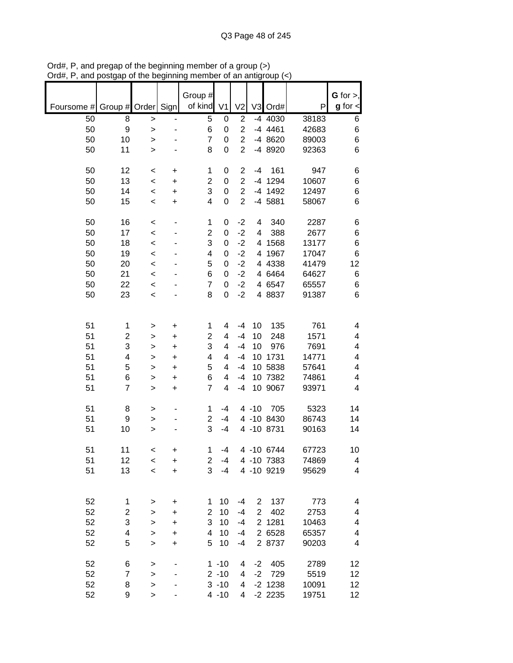|                          |                         |                    |           | Group #        |          |                |                |                     |                | G for $>$ ,          |
|--------------------------|-------------------------|--------------------|-----------|----------------|----------|----------------|----------------|---------------------|----------------|----------------------|
| Foursome # Group # Order |                         |                    | Sign      | of kind V1     |          | V <sub>2</sub> |                | V3 Ord#             | P              | $g$ for $\textsf{I}$ |
| 50                       | 8                       | >                  | ٠         | 5              | 0        | 2              |                | -4 4030             | 38183          | 6                    |
| 50                       | 9                       | $\geq$             |           | 6              | 0        | $\overline{2}$ |                | $-4$ 4461           | 42683          | 6                    |
| 50                       | 10                      | >                  |           | $\overline{7}$ | 0        | $\overline{2}$ |                | -4 8620             | 89003          | 6                    |
| 50                       | 11                      | $\geq$             |           | 8              | 0        | $\overline{2}$ |                | -4 8920             | 92363          | 6                    |
| 50                       | 12                      | $\,<\,$            | +         | 1              | 0        | $\overline{c}$ | $-4$           | 161                 | 947            | 6                    |
| 50                       | 13                      | $\prec$            | +         | $\overline{c}$ | 0        | $\overline{2}$ |                | -4 1294             | 10607          | 6                    |
| 50                       | 14                      | $\,<\,$            | +         | 3              | 0        | $\overline{c}$ |                | -4 1492             | 12497          | $\,6$                |
| 50                       | 15                      | $\,<$              | +         | 4              | 0        | $\overline{c}$ |                | -4 5881             | 58067          | 6                    |
| 50                       | 16                      | $\,<$              |           | 1              | 0        | $-2$           | 4              | 340                 | 2287           | 6                    |
| 50                       | 17                      | $\,<$              |           | $\overline{c}$ | 0        | $-2$           | 4              | 388                 | 2677           | 6                    |
| 50                       | 18                      | $\,<\,$            |           | 3              | 0        | $-2$           | 4              | 1568                | 13177          | 6                    |
| 50                       | 19                      | $\prec$            |           | 4              | 0        | $-2$           | 4              | 1967                | 17047          | 6                    |
| 50<br>50                 | 20<br>21                | $\prec$<br>$\,<\,$ |           | 5<br>6         | 0<br>0   | $-2$<br>$-2$   |                | 4 4 3 3 8<br>4 6464 | 41479<br>64627 | 12<br>6              |
| 50                       | 22                      | $\,<\,$            |           | $\overline{7}$ | 0        | $-2$           |                | 4 6547              | 65557          | 6                    |
| 50                       | 23                      | $\,<\,$            |           | 8              | 0        | $-2$           |                | 4 8837              | 91387          | 6                    |
|                          |                         |                    |           |                |          |                |                |                     |                |                      |
| 51                       | 1                       | >                  | +         | 1              | 4        | $-4$           | 10             | 135                 | 761            | 4                    |
| 51                       | $\overline{\mathbf{c}}$ | >                  | +         | $\overline{c}$ | 4        | $-4$           | 10             | 248                 | 1571           | 4                    |
| 51                       | 3                       | >                  | $\ddot{}$ | 3              | 4        | $-4$           | 10             | 976                 | 7691           | 4                    |
| 51                       | 4                       | >                  | $\ddot{}$ | 4              | 4        | $-4$           | 10             | 1731                | 14771          | 4                    |
| 51                       | 5                       | >                  | +         | 5              | 4        | $-4$           |                | 10 5838             | 57641          | 4                    |
| 51                       | 6                       | >                  | +         | 6              | 4        | $-4$           |                | 10 7382             | 74861          | 4                    |
| 51                       | $\overline{7}$          | >                  | +         | $\overline{7}$ | 4        | $-4$           |                | 10 9067             | 93971          | 4                    |
| 51                       | 8                       | >                  |           | 1              | $-4$     |                | $4 - 10$       | 705                 | 5323           | 14                   |
| 51                       | 9                       | >                  |           | $\overline{2}$ | $-4$     |                |                | 4 -10 8430          | 86743          | 14                   |
| 51                       | 10                      | >                  |           | 3              | $-4$     |                |                | 4 -10 8731          | 90163          | 14                   |
| 51                       | 11                      | $\,<\,$            | +         | 1              | $-4$     |                |                | 4 -10 6744          | 67723          | 10                   |
| 51                       | 12                      | $\,<\,$            | +         | 2              | $-4$     |                |                | 4 -10 7383          | 74869          | 4                    |
| 51                       | 13                      | $\prec$            | $\ddot{}$ | 3              | $-4$     |                |                | 4 -10 9219          | 95629          | 4                    |
|                          |                         |                    |           |                |          |                |                |                     |                |                      |
| 52                       | 1                       | >                  | +         | 1              | 10       | $-4$           | $\overline{2}$ | 137                 | 773            | 4                    |
| 52                       | $\overline{c}$          | >                  | +         | 2              | 10       | $-4$           | $\overline{2}$ | 402                 | 2753           | 4                    |
| 52                       | 3                       | >                  | +         | 3              | 10       | $-4$           |                | 2 1281              | 10463          | 4                    |
| 52                       | 4                       | >                  | $\ddot{}$ | 4              | 10       | $-4$           |                | 2 6528              | 65357          | 4                    |
| 52                       | 5                       | $\, > \,$          | $\ddot{}$ | 5              | 10       | $-4$           |                | 2 8737              | 90203          | 4                    |
| 52                       | 6                       | >                  |           |                | $1 - 10$ | 4              | $-2$           | 405                 | 2789           | 12                   |
| 52                       | 7                       | $\mathbf{I}$       |           |                | $2 - 10$ | 4              | $-2$           | 729                 | 5519           | 12                   |
| 52                       | 8                       | >                  |           |                | $3 - 10$ | 4              |                | $-2$ 1238           | 10091          | 12                   |
| 52                       | 9                       | $\,$               |           |                | $4 - 10$ | 4              |                | $-2$ 2235           | 19751          | 12                   |

Ord#, P, and pregap of the beginning member of a group (>) Ord#, P, and postgap of the beginning member of an antigroup (<)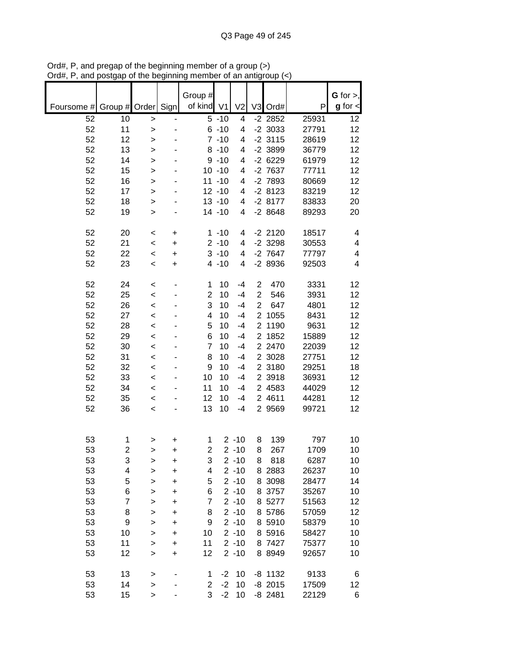|            |                |                    |                          | Group #             |                        |                      |                                  |                     |                | G for $>$ ,             |
|------------|----------------|--------------------|--------------------------|---------------------|------------------------|----------------------|----------------------------------|---------------------|----------------|-------------------------|
| Foursome # | Group # Order  |                    | Sign                     | of kind V1          |                        | V <sub>2</sub>       |                                  | V3 Ord#             | P              | $g$ for $\lt$           |
| 52         | 10             | $\,$               | $\overline{\phantom{0}}$ |                     | $5 - 10$               | 4                    |                                  | $-2$ 2852           | 25931          | 12                      |
| 52         | 11             | >                  |                          |                     | $6 - 10$               | 4                    |                                  | $-2$ 3033           | 27791          | 12                      |
| 52         | 12             | >                  |                          |                     | $7 - 10$               | 4                    |                                  | $-2$ 3115           | 28619          | 12                      |
| 52         | 13             | $\geq$             |                          |                     | $8 - 10$               | 4                    |                                  | $-2$ 3899           | 36779          | 12                      |
| 52         | 14             | $\mathbf{I}$       |                          |                     | $9 - 10$               | 4                    |                                  | $-26229$            | 61979          | 12                      |
| 52<br>52   | 15<br>16       | ><br>$\geq$        |                          |                     | $10 - 10$<br>$11 - 10$ | 4<br>4               |                                  | -2 7637<br>-2 7893  | 77711<br>80669 | 12<br>12                |
| 52         | 17             | >                  |                          |                     | $12 - 10$              | 4                    |                                  | $-28123$            | 83219          | 12                      |
| 52         | 18             | >                  |                          |                     | $13 - 10$              | 4                    |                                  | $-28177$            | 83833          | 20                      |
| 52         | 19             | >                  |                          |                     | $14 - 10$              | 4                    |                                  | $-28648$            | 89293          | 20                      |
|            |                |                    |                          |                     |                        |                      |                                  |                     |                |                         |
| 52         | 20             | <                  | +                        |                     | $1 - 10$               | 4                    |                                  | $-2$ 2120           | 18517          | 4                       |
| 52         | 21             | $\,<$              | $\ddot{}$                |                     | $2 - 10$               | 4                    |                                  | $-2$ 3298           | 30553          | $\overline{\mathbf{4}}$ |
| 52         | 22             | $\,<$              | +                        |                     | $3 - 10$               | 4                    |                                  | -2 7647             | 77797          | 4                       |
| 52         | 23             | $\,<\,$            | +                        |                     | $4 - 10$               | 4                    |                                  | -2 8936             | 92503          | 4                       |
|            |                |                    |                          |                     |                        |                      |                                  |                     |                |                         |
| 52         | 24             | $\,<$              |                          | 1                   | 10                     | $-4$                 | $\overline{2}$                   | 470                 | 3331           | 12                      |
| 52         | 25             | $\prec$            |                          | $\overline{2}$<br>3 | 10                     | $-4$                 | $\overline{2}$<br>$\overline{2}$ | 546<br>647          | 3931           | 12                      |
| 52<br>52   | 26<br>27       | $\prec$            |                          | 4                   | 10<br>10               | $-4$<br>$-4$         |                                  | 2 1055              | 4801<br>8431   | 12<br>12                |
| 52         | 28             | $\,<\,$<br>$\,<\,$ |                          | 5                   | 10                     | $-4$                 | $\overline{2}$                   | 1190                | 9631           | 12                      |
| 52         | 29             | $\,<$              |                          | 6                   | 10                     | $-4$                 | $\overline{2}$                   | 1852                | 15889          | 12                      |
| 52         | 30             | $\prec$            |                          | 7                   | 10                     | $-4$                 |                                  | 2 2470              | 22039          | 12                      |
| 52         | 31             | $\,<$              |                          | 8                   | 10                     | $-4$                 |                                  | 2 3028              | 27751          | 12                      |
| 52         | 32             | $\,<$              |                          | 9                   | 10                     | $-4$                 |                                  | 2 3180              | 29251          | 18                      |
| 52         | 33             | $\,<$              |                          | 10                  | 10                     | $-4$                 |                                  | 2 3918              | 36931          | 12                      |
| 52         | 34             | $\,<$              |                          | 11                  | 10                     | $-4$                 |                                  | 2 4583              | 44029          | 12                      |
| 52         | 35             | $\,<$              |                          | 12                  | 10                     | $-4$                 |                                  | 2 4611              | 44281          | 12                      |
| 52         | 36             | $\,<$              |                          | 13                  | 10                     | $-4$                 |                                  | 2 9569              | 99721          | 12                      |
|            |                |                    |                          |                     |                        |                      |                                  |                     |                |                         |
| 53         | 1              | >                  | +                        | 1                   |                        | $2 - 10$             | 8                                | 139                 | 797            | 10                      |
| 53         | $\overline{2}$ | >                  | +                        | $\overline{2}$      |                        | $2 - 10$             | 8                                | 267                 | 1709           | 10                      |
| 53         | 3              | >                  | +                        | 3                   |                        | $2 - 10$             | 8                                | 818                 | 6287           | 10                      |
| 53         | 4              | >                  | $\ddot{}$                | 4                   |                        | $2 - 10$             |                                  | 8 2883              | 26237          | 10                      |
| 53         | 5              | >                  | +                        | 5                   |                        | $2 - 10$             |                                  | 8 3098              | 28477          | 14                      |
| 53         | 6              | $\geq$             | $\ddot{}$                | 6                   |                        | $2 - 10$             |                                  | 8 3757              | 35267          | 10                      |
| 53         | $\overline{7}$ | $\mathbf{I}$       | +                        | 7                   |                        | $2 - 10$             |                                  | 8 5277              | 51563          | 12                      |
| 53         | 8              | $\geq$             | +                        | 8                   |                        | $2 - 10$             |                                  | 8 5786              | 57059          | 12                      |
| 53         | 9              | $\geq$             | +                        | 9                   |                        | $2 - 10$             |                                  | 8 5910              | 58379          | 10                      |
| 53         | 10             | $\geq$             | +                        | 10                  |                        | $2 - 10$             |                                  | 8 5916              | 58427          | 10                      |
| 53<br>53   | 11             | $\mathbf{I}$       | $\ddot{}$                | 11<br>12            |                        | $2 - 10$<br>$2 - 10$ |                                  | 8 7427<br>8 8 9 4 9 | 75377          | 10                      |
|            | 12             | >                  | +                        |                     |                        |                      |                                  |                     | 92657          | 10                      |
| 53         | 13             | >                  |                          | 1                   | $-2$                   | 10                   |                                  | $-8$ 1132           | 9133           | 6                       |
| 53         | 14             | >                  |                          | $\overline{2}$      | $-2$                   | 10                   |                                  | $-8$ 2015           | 17509          | $12 \,$                 |
| 53         | 15             | $\geq$             |                          | 3                   | $-2$                   | 10                   |                                  | $-8$ 2481           | 22129          | 6                       |

Ord#, P, and pregap of the beginning member of a group (>) Ord#, P, and postgap of the beginning member of an antigroup (<)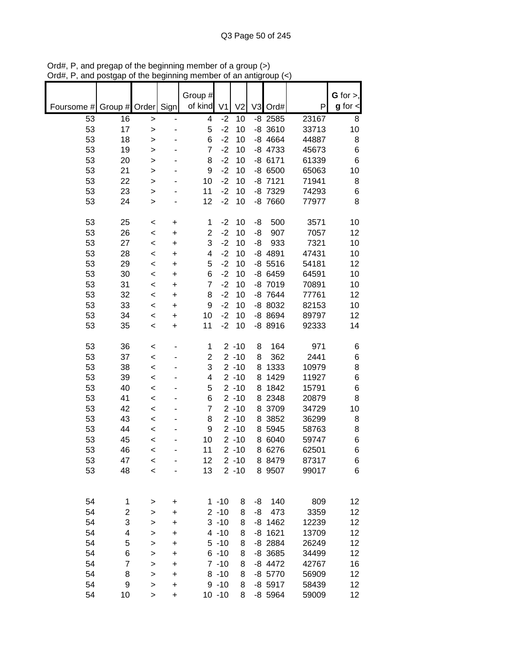|            |                         |                  |                              | Group #                 |                |                      |                |                        |                | G for $>$ ,     |
|------------|-------------------------|------------------|------------------------------|-------------------------|----------------|----------------------|----------------|------------------------|----------------|-----------------|
| Foursome # | Group # Order           |                  | Sign                         | of kind                 | V <sub>1</sub> | V <sub>2</sub>       | V <sub>3</sub> | Ord#                   | P              | $g$ for $\lt$   |
| 53         | 16                      | $\mathbf{I}$     | $\qquad \qquad \blacksquare$ | 4                       | $-2$           | 10                   |                | $-8$ 2585              | 23167          | 8               |
| 53         | 17                      | $\geq$           | Ĭ.                           | 5                       | $-2$           | 10                   |                | $-8$ 3610              | 33713          | 10              |
| 53         | 18                      | >                |                              | 6                       | $-2$           | 10                   |                | $-8$ 4664              | 44887          | 8               |
| 53         | 19                      | $\geq$           |                              | $\overline{7}$          | $-2$           | 10                   |                | $-8$ 4733              | 45673          | 6               |
| 53         | 20                      | >                |                              | 8                       | $-2$           | 10                   |                | $-86171$               | 61339          | 6               |
| 53         | 21                      | $\mathbf{I}$     |                              | 9                       | $-2$           | 10                   |                | $-86500$               | 65063          | 10              |
| 53         | 22                      | >                |                              | 10                      | $-2$           | 10                   |                | $-8$ 7121              | 71941          | 8               |
| 53         | 23                      | $\geq$           |                              | 11                      | $-2$           | 10                   |                | -8 7329                | 74293          | 6               |
| 53         | 24                      | $\geq$           |                              | 12                      | $-2$           | 10                   |                | -8 7660                | 77977          | 8               |
| 53         | 25                      | $\,<$            | +                            | 1                       | $-2$           | 10                   | -8             | 500                    | 3571           | 10              |
| 53         | 26                      | $\,<$            | +                            | $\overline{c}$          | $-2$           | 10                   | -8             | 907                    | 7057           | 12              |
| 53         | 27                      | $\,<$            | +                            | 3                       | $-2$           | 10                   | -8             | 933                    | 7321           | 10              |
| 53         | 28                      | $\,<$            | +                            | 4                       | $-2$           | 10                   |                | $-8$ 4891              | 47431          | 10              |
| 53         | 29                      | $\,<$            | +                            | 5                       | $-2$           | 10                   |                | $-8$ 5516              | 54181          | 12              |
| 53         | 30                      | $\,<$            | +                            | 6                       | $-2$           | 10                   |                | $-86459$               | 64591          | 10              |
| 53<br>53   | 31<br>32                | $\,<$            | +                            | $\overline{7}$<br>8     | $-2$<br>$-2$   | 10<br>10             |                | $-8$ $7019$<br>-8 7644 | 70891<br>77761 | 10<br>12        |
| 53         | 33                      | $\,<$<br>$\,<$   | +<br>+                       | 9                       | $-2$           | 10                   |                | -8 8032                | 82153          | 10              |
| 53         | 34                      | $\,<$            | +                            | 10                      | $-2$           | 10                   |                | -8 8694                | 89797          | 12              |
| 53         | 35                      | $\,<$            | +                            | 11                      | $-2$           | 10                   |                | $-88916$               | 92333          | 14              |
|            |                         |                  |                              |                         |                |                      |                |                        |                |                 |
| 53         | 36                      | $\prec$          |                              | 1                       |                | $2 - 10$             | 8              | 164                    | 971            | 6               |
| 53         | 37                      | $\prec$          |                              | $\overline{\mathbf{c}}$ |                | $2 - 10$             | 8              | 362                    | 2441           | 6               |
| 53         | 38                      | $\prec$          |                              | 3                       |                | $2 - 10$             | 8              | 1333                   | 10979          | 8               |
| 53         | 39                      | $\,<$            |                              | 4                       |                | $2 - 10$             | 8              | 1429                   | 11927          | 6               |
| 53         | 40                      | $\,<$            |                              | 5                       |                | $2 - 10$             | 8              | 1842                   | 15791          | 6               |
| 53         | 41                      | $\,<$            |                              | 6                       |                | $2 - 10$             | 8              | 2348                   | 20879          | 8               |
| 53         | 42                      | $\,<$            |                              | $\overline{7}$          |                | $2 - 10$             | 8              | 3709                   | 34729          | 10              |
| 53         | 43                      | $\,<$            |                              | 8                       |                | $2 - 10$             | 8              | 3852                   | 36299          | 8               |
| 53         | 44                      | $\,<$            |                              | 9                       |                | $2 - 10$             | 8              | 5945<br>6040           | 58763          | 8               |
| 53<br>53   | 45<br>46                | $\,<$            |                              | 10<br>11                |                | $2 - 10$<br>$2 - 10$ | 8              | 8 6276                 | 59747<br>62501 | 6<br>6          |
| 53         | 47                      | $\,<$<br>$\prec$ |                              | 12                      |                | $2 - 10$             |                | 8 8479                 | 87317          | 6               |
| 53         | 48                      | $\,<$            |                              | 13                      |                | $2 - 10$             |                | 8 9507                 | 99017          | 6               |
|            |                         |                  |                              |                         |                |                      |                |                        |                |                 |
| 54         | 1                       | >                | +                            |                         | $1 - 10$       | 8                    | -8             | 140                    | 809            | 12              |
| 54         | $\overline{\mathbf{c}}$ | $\geq$           | $\ddot{}$                    |                         | $2 - 10$       | 8                    | -8             | 473                    | 3359           | 12              |
| 54         | 3                       | $\mathbf{I}$     | $\ddot{}$                    |                         | $3 - 10$       | 8                    |                | $-8$ 1462              | 12239          | 12              |
| 54         | 4                       | $\geq$           | $\ddot{}$                    |                         | $4 - 10$       | 8                    |                | $-8$ 1621              | 13709          | 12              |
| 54         | 5                       | $\mathbf{I}$     | $\ddot{}$                    |                         | $5 - 10$       | 8                    |                | -8 2884                | 26249          | 12              |
| 54         | 6                       | $\mathbf{I}$     | $\ddot{}$                    |                         | $6 - 10$       | 8                    |                | -8 3685                | 34499          | 12              |
| 54         | $\overline{7}$          | >                | +                            |                         | $7 - 10$       | 8                    |                | $-8$ 4472              | 42767          | 16              |
| 54         | 8                       | >                | +                            |                         | $8 - 10$       | 8                    |                | $-8$ 5770              | 56909          | 12              |
| 54         | 9                       | >                | +                            |                         | $9 - 10$       | 8                    |                | $-8$ 5917              | 58439          | 12              |
| 54         | 10                      | $\mathbf{I}$     | $\ddot{}$                    |                         | $10 - 10$      | 8                    |                | -8 5964                | 59009          | 12 <sub>2</sub> |

Ord#, P, and pregap of the beginning member of a group (>) Ord#, P, and postgap of the beginning member of an antigroup (<)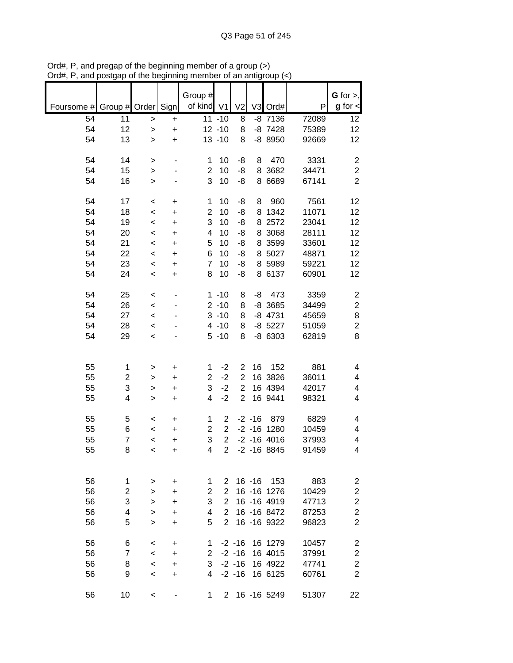|                               |                         |              |           | Group #        |                         |                |           |                |       | G for $>$ ,             |
|-------------------------------|-------------------------|--------------|-----------|----------------|-------------------------|----------------|-----------|----------------|-------|-------------------------|
| Foursome # Group # Order Sign |                         |              |           | of kind V1     |                         | V <sub>2</sub> |           | V3 Ord#        | P     | $g$ for $\lt$           |
| 54                            | 11                      | $\geq$       | +         |                | $11 - 10$               | 8              |           | $-8$ 7136      | 72089 | 12                      |
| 54                            | 12                      | $\geq$       | $\ddot{}$ |                | $12 - 10$               | 8              |           | $-8$ 7428      | 75389 | 12                      |
| 54                            | 13                      | $\geq$       | $\ddot{}$ |                | $13 - 10$               | 8              |           | -8 8950        | 92669 | 12                      |
| 54                            | 14                      | >            |           | 1              | 10                      | -8             | 8         | 470            | 3331  | $\overline{\mathbf{c}}$ |
| 54                            | 15                      | >            |           | $\overline{2}$ | 10                      | -8             |           | 8 3682         | 34471 | $\overline{c}$          |
| 54                            | 16                      | $\, > \,$    |           | 3              | 10                      | -8             |           | 8 6 6 8 9      | 67141 | $\overline{2}$          |
| 54                            | 17                      | $\,<$        | +         | 1              | 10                      | -8             | 8         | 960            | 7561  | 12                      |
| 54                            | 18                      | $\,<$        | $\ddot{}$ | $\overline{2}$ | 10                      | -8             | 8         | 1342           | 11071 | 12                      |
| 54                            | 19                      | $\,<$        | $\ddot{}$ | 3              | 10                      | -8             | 8         | 2572           | 23041 | 12                      |
| 54                            | 20                      | $\,<$        | $\ddot{}$ | 4              | 10                      | -8             |           | 8 3068         | 28111 | 12                      |
| 54                            | 21                      | $\,<$        | $\ddot{}$ | 5              | 10                      | -8             |           | 8 3599         | 33601 | 12                      |
| 54                            | 22                      | $\prec$      | $\ddot{}$ | 6              | 10                      | -8             |           | 8 5027         | 48871 | 12                      |
| 54                            | 23                      | $\prec$      | $\ddot{}$ | $\overline{7}$ | 10                      | -8             |           | 8 5989         | 59221 | 12                      |
| 54                            | 24                      | $\,<$        | +         | 8              | 10                      | -8             |           | 8 6137         | 60901 | 12                      |
| 54                            | 25                      | $\,<$        |           |                | $1 - 10$                | 8              | -8        | 473            | 3359  | $\overline{\mathbf{c}}$ |
| 54                            | 26                      | $\prec$      |           |                | $2 - 10$                | 8              |           | $-8$ 3685      | 34499 | $\overline{c}$          |
| 54                            | 27                      | $\prec$      |           |                | $3 - 10$                | 8              |           | $-8$ 4731      | 45659 | 8                       |
| 54                            | 28                      | $\,<$        |           |                | $4 - 10$                | 8              |           | $-8$ 5227      | 51059 | $\overline{c}$          |
| 54                            | 29                      | $\prec$      |           |                | $5 - 10$                | 8              |           | $-8$ 6303      | 62819 | 8                       |
|                               |                         |              |           |                |                         |                |           |                |       |                         |
| 55                            | 1                       | >            | +         | 1              | $-2$                    | 2              | 16        | 152            | 881   | 4                       |
| 55                            | 2                       | >            | +         | $\mathbf{2}$   | $-2$                    | $\overline{2}$ |           | 16 3826        | 36011 | 4                       |
| 55                            | 3                       | >            | $\ddot{}$ | 3              | $-2$                    | $\overline{2}$ |           | 16 4394        | 42017 | 4                       |
| 55                            | 4                       | $\mathbf{I}$ | $\ddot{}$ | 4              | $-2$                    | $\overline{2}$ |           | 16 9441        | 98321 | 4                       |
| 55                            | 5                       | $\,<\,$      | +         | 1              | $\overline{\mathbf{c}}$ |                | $-2 - 16$ | 879            | 6829  | 4                       |
| 55                            | 6                       | $\,<$        | +         | $\overline{2}$ | $\overline{c}$          |                |           | $-2 - 16$ 1280 | 10459 | 4                       |
| 55                            | $\overline{\mathbf{7}}$ | $\,<$        | +         | 3              | $\overline{c}$          |                |           | $-2 - 16$ 4016 | 37993 | 4                       |
| 55                            | 8                       | $\,<$        | $\ddot{}$ | 4              | $\overline{2}$          |                |           | $-2 - 168845$  | 91459 | 4                       |
|                               |                         |              |           |                |                         |                |           |                |       |                         |
| 56                            | 1                       | >            | +         | 1              | 2                       |                | $16 - 16$ | 153            | 883   | $\overline{c}$          |
| 56                            | 2                       | >            | $\ddot{}$ | 2              | 2                       |                |           | 16 - 16 1276   | 10429 | $\overline{\mathbf{c}}$ |
| 56                            | 3                       | >            | +         | 3              | $\overline{2}$          |                |           | 16 - 16 4919   | 47713 | $\overline{\mathbf{c}}$ |
| 56                            | 4                       | >            | $\ddot{}$ | 4              | $\overline{2}$          |                |           | 16 - 16 8472   | 87253 | $\overline{c}$          |
| 56                            | 5                       | >            | +         | 5              | $\overline{2}$          |                |           | 16 - 16 9322   | 96823 | $\overline{2}$          |
| 56                            | 6                       | $\,<\,$      | +         | 1              |                         | $-2 - 16$      |           | 16 1279        | 10457 | 2                       |
| 56                            | 7                       | $\,<\,$      | +         | $\overline{2}$ |                         | $-2 - 16$      |           | 16 4015        | 37991 | 2                       |
| 56                            | 8                       | $\,<\,$      | $\ddot{}$ | 3              |                         | $-2 - 16$      |           | 16 4922        | 47741 | $\overline{c}$          |
| 56                            | 9                       | $\,<\,$      | +         | 4              |                         | $-2 - 16$      |           | 16 6125        | 60761 | $\overline{2}$          |
| 56                            | 10                      | $\,<\,$      |           | 1              |                         |                |           | 2 16 -16 5249  | 51307 | 22                      |

Ord#, P, and pregap of the beginning member of a group (>) Ord#, P, and postgap of the beginning member of an antigroup (<)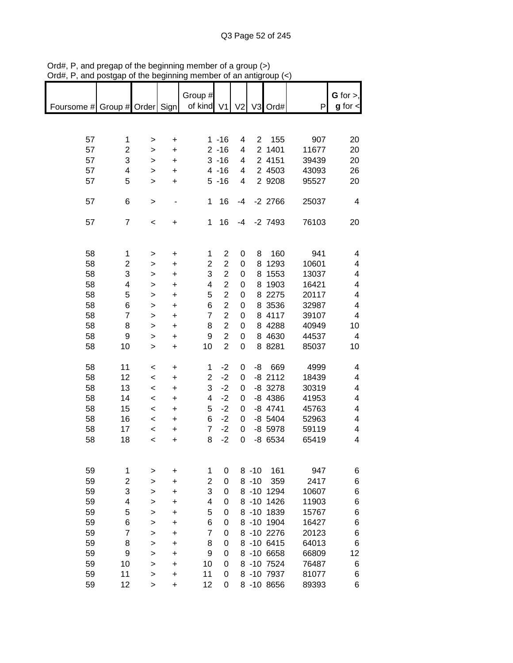|                               |                         |              |                                  | Group #        |                         |      |                |            |       | $G$ for $>$ ,           |
|-------------------------------|-------------------------|--------------|----------------------------------|----------------|-------------------------|------|----------------|------------|-------|-------------------------|
|                               |                         |              |                                  |                |                         |      |                |            |       |                         |
| Foursome # Group # Order Sign |                         |              |                                  | of kind V1     |                         |      |                | V2 V3 Ord# | P     | $g$ for $\lt$           |
|                               |                         |              |                                  |                |                         |      |                |            |       |                         |
|                               |                         |              |                                  |                |                         |      |                |            |       |                         |
| 57                            | 1                       | >            | $\ddot{}$                        |                | $1 - 16$                | 4    | $\overline{2}$ | 155        | 907   | 20                      |
| 57                            | $\overline{2}$          | >            | $\ddot{}$                        |                | $2 - 16$                | 4    |                | 2 1401     | 11677 | 20                      |
| 57                            | 3                       | >            | $\ddot{}$                        |                | $3 - 16$                | 4    |                | 2 4151     | 39439 | 20                      |
| 57                            | 4                       | >            | $\ddot{}$                        |                | $4 - 16$                | 4    |                | 2 4503     | 43093 | 26                      |
| 57                            | 5                       | $\mathbf{I}$ | $\ddot{}$                        |                | $5 - 16$                | 4    |                | 2 9208     | 95527 | 20                      |
|                               |                         |              |                                  |                |                         |      |                |            |       |                         |
| 57                            | 6                       |              |                                  | 1              | 16                      | $-4$ |                | $-2$ 2766  | 25037 | $\overline{\mathbf{4}}$ |
|                               |                         | $\mathbf{I}$ | -                                |                |                         |      |                |            |       |                         |
|                               |                         |              |                                  |                |                         |      |                |            |       |                         |
| 57                            | $\overline{7}$          | $\,<\,$      | +                                | 1              | 16                      | $-4$ |                | $-2$ 7493  | 76103 | 20                      |
|                               |                         |              |                                  |                |                         |      |                |            |       |                         |
|                               |                         |              |                                  |                |                         |      |                |            |       |                         |
| 58                            | $\mathbf{1}$            | >            | $\begin{array}{c} + \end{array}$ | 1              | $\overline{2}$          | 0    | 8              | 160        | 941   | 4                       |
| 58                            | $\overline{\mathbf{c}}$ | >            | $\ddot{}$                        | 2              | $\overline{\mathbf{c}}$ | 0    |                | 8 1293     | 10601 | 4                       |
| 58                            | 3                       | $\geq$       | $\ddot{}$                        | 3              | $\overline{c}$          | 0    |                | 8 1553     | 13037 | 4                       |
| 58                            | 4                       | >            | +                                | 4              | $\overline{\mathbf{c}}$ | 0    |                | 8 1903     | 16421 | 4                       |
| 58                            | 5                       | >            | $\ddot{}$                        | 5              | $\overline{c}$          | 0    |                | 8 2275     | 20117 | 4                       |
| 58                            | 6                       | >            | $\ddot{}$                        | 6              | $\overline{c}$          | 0    |                | 8 3536     | 32987 | 4                       |
| 58                            | $\overline{7}$          | >            | $\begin{array}{c} + \end{array}$ | $\overline{7}$ | $\overline{c}$          | 0    |                | 8 4117     | 39107 | 4                       |
| 58                            | 8                       | >            | +                                | 8              | $\overline{2}$          | 0    |                | 8 4 28 8   | 40949 | 10                      |
| 58                            | 9                       | >            | $\ddot{}$                        | 9              | $\overline{2}$          | 0    |                | 8 4 6 3 0  | 44537 | 4                       |
| 58                            | 10                      | $\mathbf{I}$ | $\ddot{}$                        | 10             | $\overline{2}$          | 0    |                | 8 8 28 1   | 85037 | 10                      |
|                               |                         |              |                                  |                |                         |      |                |            |       |                         |
|                               |                         |              |                                  |                |                         |      |                |            |       |                         |
| 58                            | 11                      | $\,<$        | $\ddot{}$                        | 1              | $-2$                    | 0    | -8             | 669        | 4999  | 4                       |
| 58                            | 12                      | $\prec$      | $\ddot{}$                        | $\overline{2}$ | $-2$                    | 0    |                | $-8$ 2112  | 18439 | 4                       |
| 58                            | 13                      | $\prec$      | $\ddot{}$                        | 3              | $-2$                    | 0    |                | $-8$ 3278  | 30319 | 4                       |
| 58                            | 14                      | $\prec$      | $\ddot{}$                        | 4              | $-2$                    | 0    |                | $-8$ 4386  | 41953 | 4                       |
| 58                            | 15                      | $\,<$        | $\ddot{}$                        | 5              | $-2$                    | 0    |                | $-8$ 4741  | 45763 | 4                       |
| 58                            | 16                      | $\,<$        | $\ddot{}$                        | 6              | $-2$                    | 0    |                | $-8$ 5404  | 52963 | 4                       |
| 58                            | 17                      | $\prec$      | $\ddot{}$                        | $\overline{7}$ | $-2$                    | 0    |                | $-8$ 5978  | 59119 | 4                       |
| 58                            | 18                      | $\prec$      | $\ddot{}$                        | 8              | $-2$                    | 0    |                | -8 6534    | 65419 | 4                       |
|                               |                         |              |                                  |                |                         |      |                |            |       |                         |
|                               |                         |              |                                  |                |                         |      |                |            |       |                         |
| 59                            | 1                       | >            | +                                | 1              | 0                       |      | $8 - 10$       | 161        | 947   | 6                       |
| 59                            | $\boldsymbol{2}$        | >            | +                                | $\overline{c}$ | 0                       |      | $8 - 10$       | 359        | 2417  | 6                       |
| 59                            | 3                       | >            | +                                | 3              | 0                       |      | $8 - 10$       | 1294       | 10607 | 6                       |
| 59                            | $\overline{\mathbf{4}}$ | >            | +                                | 4              | 0                       |      | $8 - 10$       | 1426       | 11903 | 6                       |
| 59                            | 5                       |              |                                  | 5              | 0                       |      |                | 8 -10 1839 | 15767 |                         |
|                               |                         | >            | +                                |                |                         |      |                |            | 16427 | 6                       |
| 59                            | 6                       | >            | +                                | 6              | 0                       |      |                | 8 -10 1904 |       | 6                       |
| 59                            | $\overline{7}$          | $\geq$       | +                                | 7              | 0                       |      |                | 8 -10 2276 | 20123 | 6                       |
| 59                            | 8                       | $\geq$       | +                                | 8              | 0                       |      |                | 8 -10 6415 | 64013 | 6                       |
| 59                            | 9                       | >            | +                                | 9              | 0                       |      |                | 8 -10 6658 | 66809 | 12                      |
| 59                            | 10                      | >            | +                                | 10             | 0                       |      |                | 8 -10 7524 | 76487 | 6                       |
| 59                            | 11                      | >            | $\ddot{}$                        | 11             | 0                       |      |                | 8 -10 7937 | 81077 | 6                       |
| 59                            | 12                      | $\, > \,$    | +                                | 12             | 0                       |      |                | 8 -10 8656 | 89393 | 6                       |

Ord#, P, and pregap of the beginning member of a group (>) Ord#, P, and postgap of the beginning member of an antigroup (<)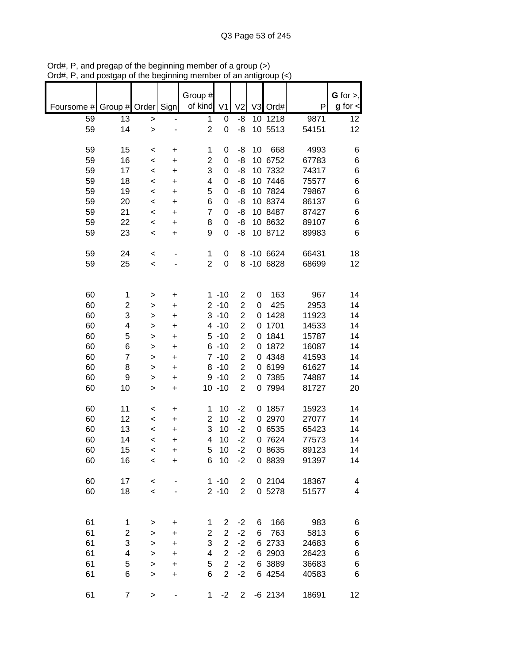|            |                         |              |           | Group #<br>of kind |                |                         |                |            |       | G for $>$ ,          |
|------------|-------------------------|--------------|-----------|--------------------|----------------|-------------------------|----------------|------------|-------|----------------------|
| Foursome # | Group # Order           |              | Sign      |                    | V <sub>1</sub> | V <sub>2</sub>          | V <sub>3</sub> | Ord#       | P     | $g$ for $\textsf{I}$ |
| 59         | 13                      | $\,>$        |           | 1                  | 0              | -8                      |                | 10 1218    | 9871  | 12                   |
| 59         | 14                      | $\geq$       |           | $\overline{2}$     | 0              | -8                      |                | 10 5513    | 54151 | 12                   |
|            |                         |              |           |                    |                |                         |                |            |       |                      |
| 59         | 15                      | $\,<$        | +         | 1                  | 0              | -8                      | 10             | 668        | 4993  | 6                    |
| 59         | 16                      | $\,<$        | +         | $\overline{c}$     | 0              | -8                      |                | 10 6752    | 67783 | 6                    |
| 59         | 17                      | $\,<$        | +         | 3                  | 0              | -8                      |                | 10 7332    | 74317 | $\,6$                |
| 59         | 18                      | $\,<$        | +         | 4                  | 0              | -8                      |                | 10 7446    | 75577 | 6                    |
| 59         | 19                      | $\,<$        | $\ddot{}$ | 5                  | 0              | -8                      |                | 10 7824    | 79867 | 6                    |
| 59         | 20                      | $\,<$        | $\ddot{}$ | 6                  | 0              | -8                      |                | 10 8374    | 86137 | 6                    |
| 59         | 21                      | $\,<\,$      | $\ddot{}$ | $\overline{7}$     | 0              | -8                      |                | 10 8487    | 87427 | 6                    |
| 59         | 22                      | $\,<$        | +         | 8                  | 0              | -8                      |                | 10 8632    | 89107 | 6                    |
| 59         | 23                      | $\,<\,$      | +         | 9                  | 0              | -8                      |                | 10 8712    | 89983 | 6                    |
|            |                         |              |           |                    |                |                         |                |            |       |                      |
| 59         | 24                      | $\,<\,$      |           | 1                  | 0              |                         |                | 8 -10 6624 | 66431 | 18                   |
| 59         | 25                      | $\,<\,$      |           | $\overline{c}$     | 0              |                         |                | 8 -10 6828 | 68699 | 12                   |
|            |                         |              |           |                    |                |                         |                |            |       |                      |
|            |                         |              |           |                    |                |                         |                |            |       |                      |
| 60         | 1                       | >            | +         |                    | $1 - 10$       | $\overline{\mathbf{c}}$ | 0              | 163        | 967   | 14                   |
| 60         | $\overline{\mathbf{c}}$ | >            | +         |                    | $2 - 10$       | $\overline{\mathbf{c}}$ | 0              | 425        | 2953  | 14                   |
| 60         | 3                       | >            | +         |                    | $3 - 10$       | $\overline{c}$          | 0              | 1428       | 11923 | 14                   |
| 60         | 4                       | >            | $\ddot{}$ |                    | $4 - 10$       | $\overline{c}$          | 0              | 1701       | 14533 | 14                   |
| 60         | 5                       | >            | +         |                    | $5 - 10$       | $\overline{c}$          | 0              | 1841       | 15787 | 14                   |
| 60         | 6                       | >            | +         |                    | $6 - 10$       | $\overline{c}$          | 0              | 1872       | 16087 | 14                   |
| 60         | $\overline{7}$          | >            | +         |                    | $7 - 10$       | $\overline{c}$          | 0              | 4348       | 41593 | 14                   |
| 60         | 8                       | >            | +         |                    | $8 - 10$       | $\overline{2}$          |                | 0 6199     | 61627 | 14                   |
| 60         | 9                       | >            | $\ddot{}$ |                    | $9 - 10$       | $\overline{c}$          |                | 0 7385     | 74887 | 14                   |
| 60         | 10                      | $\geq$       | $\ddot{}$ |                    | $10 - 10$      | $\overline{c}$          |                | 0 7994     | 81727 | 20                   |
|            |                         |              |           |                    |                |                         |                |            |       |                      |
| 60         | 11                      | $\,<$        | $\ddot{}$ | 1                  | 10             | $-2$                    |                | 0 1857     | 15923 | 14                   |
| 60         | 12                      | $\,<\,$      | +         | $\overline{2}$     | 10             | $-2$                    |                | 0 2970     | 27077 | 14                   |
| 60         | 13                      | $\,<\,$      | +         | 3                  | 10             | $-2$                    |                | 0 6535     | 65423 | 14                   |
| 60         | 14                      | $\,<$        | +         | 4                  | 10             | $-2$                    |                | 0 7624     | 77573 | 14                   |
| 60         | 15                      | $\,<\,$      | $\ddot{}$ | 5                  | 10             | $-2$                    |                | 0 8635     | 89123 | 14                   |
| 60         | 16                      | $\,<$        | +         | 6                  | 10             | $-2$                    |                | 0 8839     | 91397 | 14                   |
|            |                         |              |           |                    |                |                         |                |            |       |                      |
| 60         | 17                      | $\,<$        |           |                    | $1 - 10$       | $\overline{\mathbf{c}}$ |                | 0 2104     | 18367 | 4                    |
| 60         | 18                      | $\prec$      |           |                    | $2 - 10$       | $\overline{2}$          |                | 0 5278     | 51577 | 4                    |
|            |                         |              |           |                    |                |                         |                |            |       |                      |
|            |                         |              |           |                    |                |                         |                |            |       |                      |
| 61         | 1                       |              | +         | 1                  | 2              | $-2$                    | 6              | 166        | 983   | 6                    |
| 61         | 2                       | >            | +         | $\overline{2}$     | $\overline{2}$ | $-2$                    | 6              | 763        | 5813  | 6                    |
| 61         | 3                       | >            |           | 3                  | $\overline{2}$ | $-2$                    |                | 6 2733     | 24683 |                      |
| 61         | 4                       | >            | +         | 4                  | $\overline{2}$ | $-2$                    |                | 6 2903     | 26423 | 6<br>6               |
| 61         | 5                       | $\geq$       | +         | 5                  | $\overline{2}$ | $-2$                    |                | 6 3889     | 36683 | 6                    |
| 61         | 6                       | $\mathbf{I}$ | $\ddot{}$ | 6                  | $\overline{2}$ | $-2$                    |                | 6 4254     | 40583 | 6                    |
|            |                         | $\geq$       | $\ddot{}$ |                    |                |                         |                |            |       |                      |
| 61         | $\boldsymbol{7}$        |              |           | 1                  | $-2$           | 2                       |                | $-6$ 2134  | 18691 | 12                   |
|            |                         | >            |           |                    |                |                         |                |            |       |                      |

Ord#, P, and pregap of the beginning member of a group (>) Ord#, P, and postgap of the beginning member of an antigroup (<)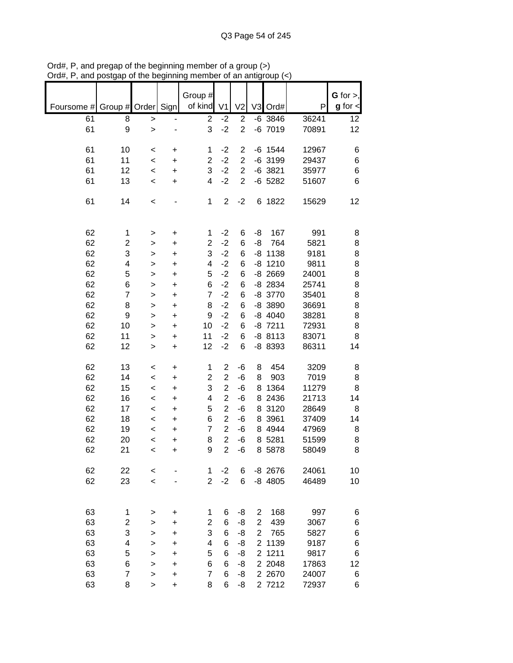|            |                     |           |                         |                |                         |                                  |              |              | $G$ for $>$ ,        |
|------------|---------------------|-----------|-------------------------|----------------|-------------------------|----------------------------------|--------------|--------------|----------------------|
| Foursome # | Group # Order       | Sign      | Group #<br>of kind      | V <sub>1</sub> | V <sub>2</sub>          |                                  | V3 Ord#      | P            | $g$ for $\textsf{I}$ |
| 61         | 8<br>$\,$           |           | $\overline{2}$          | $-2$           | $\overline{2}$          |                                  | $-6$ 3846    | 36241        | 12                   |
| 61         | 9<br>$\mathbf{I}$   |           | 3                       | $-2$           | $\overline{2}$          |                                  | $-6$ 7019    | 70891        | 12                   |
| 61<br>10   | $\,<$               | +         | 1                       | $-2$           | 2                       |                                  | $-6$ 1544    | 12967        | 6                    |
| 61<br>11   | $\prec$             | $\ddot{}$ | $\overline{\mathbf{c}}$ | $-2$           | $\overline{\mathbf{c}}$ |                                  | $-6$ 3199    | 29437        | 6                    |
| 61<br>12   | $\prec$             | $\ddot{}$ | 3                       | $-2$           | $\overline{c}$          |                                  | $-6$ 3821    | 35977        | 6                    |
| 13<br>61   | $\,<$               | +         | 4                       | $-2$           | $\overline{2}$          |                                  | $-6$ 5282    | 51607        | 6                    |
| 61<br>14   | $\,<$               |           | 1                       | $\overline{c}$ | $-2$                    |                                  | 6 1822       | 15629        | 12                   |
| 62         | 1<br>>              | +         | 1                       | $-2$           | 6                       | -8                               | 167          | 991          | 8                    |
| 62         | 2<br>>              | $\ddot{}$ | $\overline{c}$          | $-2$           | 6                       | -8                               | 764          | 5821         | 8                    |
| 62         | 3<br>>              | $\ddot{}$ | 3                       | $-2$           | 6                       |                                  | $-8$ 1138    | 9181         | 8                    |
| 62         | 4<br>>              | $\ddot{}$ | 4                       | $-2$           | 6                       |                                  | $-8$ 1210    | 9811         | 8                    |
| 62         | 5<br>>              | +         | 5                       | $-2$           | 6                       |                                  | $-8$ 2669    | 24001        | 8                    |
| 62         | 6<br>>              | $\ddot{}$ | 6                       | $-2$           | 6                       |                                  | $-8$ 2834    | 25741        | 8                    |
| 62         | $\overline{7}$<br>> | $\ddot{}$ | $\overline{7}$          | $-2$           | 6                       |                                  | -8 3770      | 35401        | 8                    |
| 62         | 8<br>>              | $\ddot{}$ | 8                       | $-2$           | 6                       |                                  | -8 3890      | 36691        | 8                    |
| 62         | 9<br>>              | $\ddot{}$ | 9                       | $-2$           | 6                       |                                  | $-8$ 4040    | 38281        | 8                    |
| 62<br>10   | $\, > \,$           | $\ddot{}$ | 10                      | $-2$           | 6                       |                                  | $-8$ 7211    | 72931        | 8                    |
| 62<br>11   | >                   | +         | 11                      | $-2$           | 6                       |                                  | $-88113$     | 83071        | 8                    |
| 62<br>12   | >                   | $\ddot{}$ | 12                      | $-2$           | 6                       |                                  | -8 8393      | 86311        | 14                   |
| 62<br>13   | <                   | +         | 1                       | $\overline{c}$ | -6                      | 8                                | 454          | 3209         | 8                    |
| 62<br>14   | $\,<$               | $\ddot{}$ | $\overline{2}$          | $\overline{2}$ | -6                      | 8                                | 903          | 7019         | 8                    |
| 62<br>15   | $\,<$               | +         | 3                       | $\overline{c}$ | -6                      | 8                                | 1364         | 11279        | 8                    |
| 62<br>16   | $\,<$               | +         | 4                       | $\overline{2}$ | -6                      | 8                                | 2436         | 21713        | 14                   |
| 62<br>17   | $\,<$               | +         | 5                       | $\overline{2}$ | -6                      |                                  | 8 3120       | 28649        | 8                    |
| 62<br>18   | $\,<$               | +         | 6                       | $\overline{2}$ | -6                      |                                  | 8 3961       | 37409        | 14                   |
| 62<br>19   | $\,<$               | +         | $\overline{7}$          | $\overline{2}$ | -6                      |                                  | 8 4 9 4 4    | 47969        | 8                    |
| 62<br>20   | $\,<$               | +         | 8                       | $\overline{2}$ | -6                      |                                  | 8 5281       | 51599        | 8                    |
| 62<br>21   | $\,<$               | +         | 9                       | $\overline{2}$ | -6                      |                                  | 8 5878       | 58049        | 8                    |
| 62<br>22   | $\,<$               |           | 1                       | $-2$           | 6                       |                                  | $-8$ 2676    | 24061        | 10                   |
| 62<br>23   | $\,<$               |           | $\overline{2}$          | $-2$           | 6                       |                                  | $-8$ 4805    | 46489        | 10                   |
|            |                     |           |                         |                |                         |                                  |              |              |                      |
| 63         | 1<br>>              | +         | 1                       | 6              | -8                      | $\overline{2}$                   | 168          | 997          | 6                    |
| 63         | 2<br>>              | +         | $\overline{c}$<br>3     | 6              | -8                      | $\overline{c}$                   | 439          | 3067         | 6                    |
| 63<br>63   | 3<br>>              | +         | 4                       | 6<br>6         | -8                      | $\overline{2}$<br>$\overline{2}$ | 765          | 5827         | 6                    |
| 63         | 4<br>><br>5         | +         | 5                       | 6              | -8<br>-8                | $\overline{2}$                   | 1139<br>1211 | 9187<br>9817 | 6<br>6               |
| 63         | ><br>6<br>>         | +<br>+    | 6                       | 6              | -8                      |                                  | 2 2048       | 17863        | 12                   |
| 63         | 7<br>>              | +         | 7                       | 6              | -8                      |                                  | 2 2 6 7 0    | 24007        | 6                    |
| 63         | 8<br>$\, > \,$      | +         | 8                       | 6              | -8                      |                                  | 2 7212       | 72937        | 6                    |

Ord#, P, and pregap of the beginning member of a group (>) Ord#, P, and postgap of the beginning member of an antigroup (<)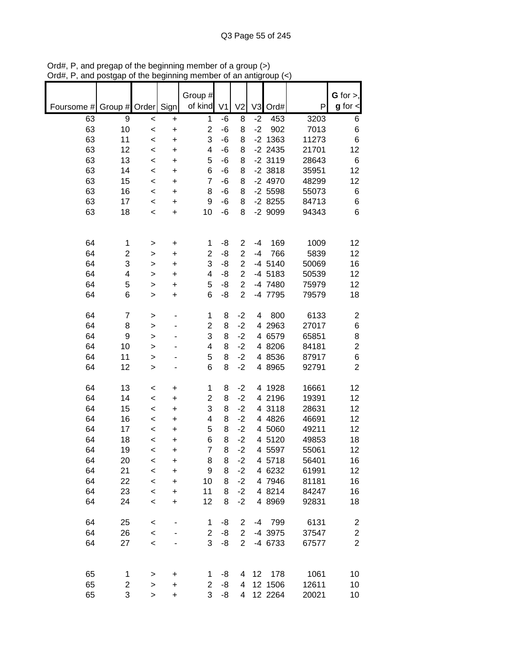|            |                |                    |                        | Group #                 |                |                |              |                  |                | $G$ for $>$ ,           |
|------------|----------------|--------------------|------------------------|-------------------------|----------------|----------------|--------------|------------------|----------------|-------------------------|
| Foursome # | Group # Order  |                    | Sign                   | of kind                 | V <sub>1</sub> | V <sub>2</sub> | V3           | Ord#             | P              | $g$ for $\textsf{I}$    |
| 63<br>63   | 9<br>10        | $\prec$<br>$\prec$ | $\ddot{}$<br>$\ddot{}$ | 1<br>$\overline{2}$     | $-6$<br>-6     | 8<br>8         | $-2$<br>$-2$ | 453<br>902       | 3203<br>7013   | 6<br>6                  |
| 63         | 11             | $\,<$              | $\ddot{}$              | 3                       | $-6$           | 8              |              | $-2$ 1363        | 11273          | 6                       |
| 63         | 12             | $\,<$              | +                      | 4                       | -6             | 8              |              | $-2$ 2435        | 21701          | 12                      |
| 63         | 13             | $\,<$              | $\ddot{}$              | 5                       | -6             | 8              |              | $-2$ 3119        | 28643          | 6                       |
| 63         | 14             | $\,<$              | $\ddot{}$              | 6                       | -6             | 8              |              | $-2$ 3818        | 35951          | 12                      |
| 63         | 15             | $\,<$              | $\ddot{}$              | $\overline{7}$          | -6             | 8              |              | $-24970$         | 48299          | 12                      |
| 63         | 16             | $\,<$              | +                      | 8                       | -6             | 8              |              | $-2$ 5598        | 55073          | 6                       |
| 63         | 17             | $\,<$              | +                      | 9                       | -6             | 8              |              | $-28255$         | 84713          | 6                       |
| 63         | 18             | $\,<$              | +                      | 10                      | -6             | 8              |              | -2 9099          | 94343          | 6                       |
|            |                |                    |                        |                         |                |                |              |                  |                |                         |
| 64         | 1              | >                  | $\ddot{}$              | 1                       | -8             | 2              | $-4$         | 169              | 1009           | 12                      |
| 64         | 2              | >                  | $\ddot{}$              | $\overline{2}$          | -8             | $\overline{2}$ | $-4$         | 766              | 5839           | 12                      |
| 64         | 3              | $\mathbf{I}$       | $\ddot{}$              | 3                       | -8             | $\overline{c}$ |              | $-4$ 5140        | 50069          | 16                      |
| 64         | 4              | $\geq$             | $\ddot{}$              | 4                       | -8             | $\overline{2}$ |              | -4 5183          | 50539          | 12                      |
| 64         | 5              | $\geq$             | +                      | 5                       | -8             | $\overline{c}$ |              | -4 7480          | 75979          | 12                      |
| 64         | 6              | $\geq$             | +                      | 6                       | -8             | $\overline{2}$ |              | -4 7795          | 79579          | 18                      |
| 64         | $\overline{7}$ | >                  |                        | 1                       | 8              | $-2$           | 4            | 800              | 6133           | $\overline{\mathbf{c}}$ |
| 64         | 8              | $\geq$             |                        | $\overline{c}$          | 8              | $-2$           |              | 4 2963           | 27017          | $\,6$                   |
| 64         | 9              | $\mathbf{I}$       |                        | 3                       | 8              | $-2$           |              | 4 6579           | 65851          | 8                       |
| 64         | 10             | >                  |                        | 4                       | 8              | $-2$           |              | 4 8206           | 84181          | $\overline{2}$          |
| 64         | 11             | >                  |                        | 5                       | 8              | $-2$           |              | 4 8536           | 87917          | 6                       |
| 64         | 12             | $\geq$             |                        | 6                       | 8              | $-2$           |              | 4 8965           | 92791          | $\overline{2}$          |
| 64         | 13             | $\,<$              | $\ddot{}$              | 1                       | 8              | $-2$           |              | 4 1928           | 16661          | 12                      |
| 64         | 14             | $\,<$              | +                      | $\overline{\mathbf{c}}$ | 8              | $-2$           |              | 4 2196           | 19391          | 12                      |
| 64         | 15             | $\,<$              | +                      | 3                       | 8              | $-2$           | 4            | 3118             | 28631          | 12                      |
| 64         | 16             | $\,<$              | +                      | 4                       | 8              | $-2$           |              | 4 4826           | 46691          | 12                      |
| 64         | 17             | $\,<$              | +                      | 5                       | 8              | $-2$           |              | 4 5060           | 49211          | 12                      |
| 64         | 18             | $\,<$              | +                      | 6                       | 8              | $-2$           |              | 4 5120           | 49853          | 18                      |
| 64         | 19             | $\,<\,$            | +                      | $\overline{7}$          | 8              | $-2$           |              | 4 5597           | 55061          | 12                      |
| 64<br>64   | 20<br>21       | $\,<$              | +                      | 8<br>9                  | 8<br>8         | $-2$<br>$-2$   |              | 4 5718<br>4 6232 | 56401<br>61991 | 16<br>12                |
| 64         | 22             | $\prec$<br>$\prec$ | $\ddot{}$<br>$\ddot{}$ | 10                      | 8              | $-2$           |              | 4 7946           | 81181          | 16                      |
| 64         | 23             | $\prec$            | $\ddot{}$              | 11                      | 8              | $-2$           |              | 4 8214           | 84247          | 16                      |
| 64         | 24             | $\,<$              | $\ddot{}$              | 12                      | 8              | $-2$           |              | 4 8969           | 92831          | 18                      |
|            |                |                    |                        |                         |                |                |              |                  |                |                         |
| 64         | 25             | $\,<$              |                        | 1                       | -8             | 2              |              | -4 799           | 6131           | $\overline{c}$          |
| 64         | 26             | $\prec$            |                        | $\overline{2}$          | -8             | $\overline{2}$ |              | -4 3975          | 37547          | $\mathbf 2$             |
| 64         | 27             | $\,<$              |                        | 3                       | -8             | $\overline{2}$ |              | -4 6733          | 67577          | $\overline{2}$          |
|            |                |                    |                        |                         |                |                |              |                  |                |                         |
| 65         | 1              | >                  | +                      | 1                       | -8             | 4              | 12           | 178              | 1061           | 10                      |
| 65         | 2              | >                  | +                      | $\overline{c}$          | -8             | 4              |              | 12 1506          | 12611          | 10                      |
| 65         | 3              | $\, > \,$          | +                      | 3                       | -8             | 4              |              | 12 2264          | 20021          | 10                      |

Ord#, P, and pregap of the beginning member of a group (>) Ord#, P, and postgap of the beginning member of an antigroup (<)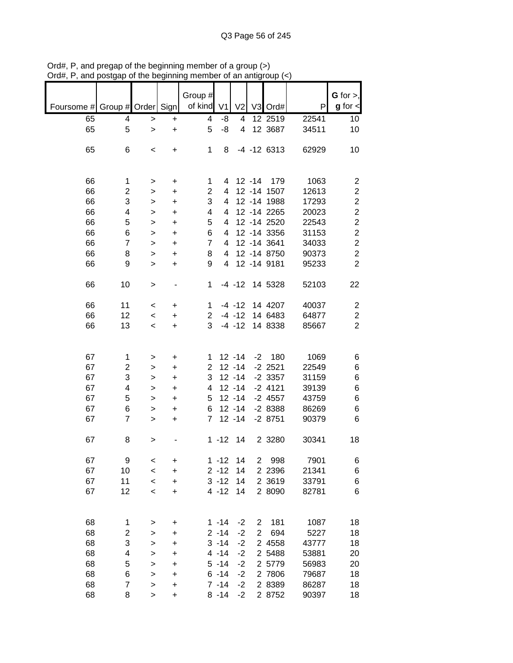|                               |                         |                          |           | Group #        |                |                |                |                 |       | G for $>$ ,    |
|-------------------------------|-------------------------|--------------------------|-----------|----------------|----------------|----------------|----------------|-----------------|-------|----------------|
| Foursome # Group # Order Sign |                         |                          |           | of kind        | V <sub>1</sub> | V <sub>2</sub> |                | V3 Ord#         | P     | $g$ for $\lt$  |
| 65                            | 4                       | $\, > \,$                | $\ddot{}$ | 4              | -8             | 4              |                | 12 2519         | 22541 | 10             |
| 65                            | 5                       | $\geq$                   | $\ddot{}$ | 5              | -8             | $\overline{4}$ |                | 12 3687         | 34511 | 10             |
|                               |                         |                          |           |                |                |                |                |                 |       |                |
| 65                            | 6                       | $\,<\,$                  | +         | 1              | 8              |                |                | $-4$ $-12$ 6313 | 62929 | 10             |
|                               |                         |                          |           |                |                |                |                |                 |       |                |
|                               |                         |                          |           |                |                |                |                |                 |       |                |
| 66                            | 1                       |                          | +         | 1              | 4              |                | $12 - 14$      | 179             | 1063  | $\overline{2}$ |
| 66                            | $\overline{2}$          | >                        | $\ddot{}$ | $\overline{2}$ | 4              |                |                | 12 -14 1507     | 12613 | $\overline{c}$ |
| 66                            | 3                       | >                        | $\ddot{}$ | 3              | 4              |                |                | 12 - 14 1988    | 17293 | $\mathbf 2$    |
| 66                            |                         | >                        |           |                | 4              |                |                | 12 - 14 2265    | 20023 | $\overline{2}$ |
|                               | 4                       | $\geq$                   | $\ddot{}$ | 4              |                |                |                |                 |       |                |
| 66                            | 5                       | >                        | $\ddot{}$ | 5              | 4              |                |                | 12 -14 2520     | 22543 | $\overline{c}$ |
| 66                            | 6                       | >                        | $\ddot{}$ | 6              | 4              |                |                | 12 - 14 3356    | 31153 | $\overline{c}$ |
| 66                            | $\overline{7}$          | >                        | $\ddot{}$ | $\overline{7}$ | 4              |                |                | 12 - 14 3641    | 34033 | $\overline{c}$ |
| 66                            | 8                       | >                        | $\ddot{}$ | 8              | 4              |                |                | 12 - 14 8750    | 90373 | $\overline{c}$ |
| 66                            | 9                       | >                        | +         | 9              | 4              |                |                | 12 - 14 9181    | 95233 | $\overline{2}$ |
|                               |                         |                          |           |                |                |                |                |                 |       |                |
| 66                            | 10                      | >                        |           | 1              |                | $-4 - 12$      |                | 14 5328         | 52103 | 22             |
|                               |                         |                          |           |                |                |                |                |                 |       |                |
| 66                            | 11                      | $\,<\,$                  | +         | 1              |                | $-4 - 12$      |                | 14 4207         | 40037 | $\overline{2}$ |
| 66                            | 12                      | $\,<\,$                  | $\ddot{}$ | 2              |                | $-4 - 12$      |                | 14 6483         | 64877 | $\mathbf 2$    |
| 66                            | 13                      | $\overline{\phantom{a}}$ | +         | 3              |                | $-4 - 12$      |                | 14 8338         | 85667 | $\overline{2}$ |
|                               |                         |                          |           |                |                |                |                |                 |       |                |
|                               |                         |                          |           |                |                |                |                |                 |       |                |
| 67                            | 1                       | >                        | +         | 1              |                | $12 - 14$      | $-2$           | 180             | 1069  | 6              |
| 67                            | $\overline{2}$          | >                        | $\ddot{}$ | 2              |                | $12 - 14$      |                | $-2$ 2521       | 22549 | 6              |
| 67                            | 3                       | >                        | +         | 3              |                | $12 - 14$      |                | $-2$ 3357       | 31159 | 6              |
| 67                            | 4                       | $\geq$                   | +         | 4              |                | $12 - 14$      |                | $-2$ 4121       | 39139 | 6              |
| 67                            | 5                       | >                        | $\ddot{}$ | 5              |                | $12 - 14$      |                | $-2$ 4557       | 43759 | 6              |
| 67                            | 6                       | >                        | $\ddot{}$ | 6              |                | $12 - 14$      |                | $-28388$        | 86269 | 6              |
| 67                            | $\overline{7}$          | >                        | +         | $\overline{7}$ |                | $12 - 14$      |                | $-28751$        | 90379 | 6              |
|                               |                         |                          |           |                |                |                |                |                 |       |                |
| 67                            | 8                       | >                        |           |                | $1 - 12$       | 14             |                | 2 3 2 8 0       | 30341 | 18             |
|                               |                         |                          |           |                |                |                |                |                 |       |                |
| 67                            | 9                       | $\,<$                    | +         |                | $1 - 12$       | 14             | 2              | 998             | 7901  | 6              |
| 67                            | 10                      | $\,<$                    | $\ddot{}$ |                | $2 - 12$       | 14             |                | 2 2 3 9 6       | 21341 | 6              |
| 67                            | 11                      | $\,<\,$                  | +         |                | $3 - 12$       | 14             |                | 2 3619          | 33791 | 6              |
| 67                            | 12                      | $\,<$                    | +         |                | $4 - 12$       | 14             |                | 2 8090          | 82781 | 6              |
|                               |                         |                          |           |                |                |                |                |                 |       |                |
|                               |                         |                          |           |                |                |                |                |                 |       |                |
| 68                            | 1                       | >                        | +         |                | $1 - 14$       | $-2$           | $\overline{c}$ | 181             | 1087  | 18             |
| 68                            | $\overline{\mathbf{c}}$ | >                        | +         |                | $2 - 14$       | $-2$           | $\overline{2}$ | 694             | 5227  | 18             |
| 68                            | 3                       | >                        | +         |                | $3 - 14$       | $-2$           |                | 2 4558          | 43777 | 18             |
| 68                            | 4                       | >                        | +         |                | $4 - 14$       | $-2$           |                | 2 5488          | 53881 | 20             |
| 68                            | 5                       | $\geq$                   | +         |                | $5 - 14$       | $-2$           |                | 2 5779          | 56983 | 20             |
| 68                            | 6                       | >                        | +         |                | $6 - 14$       | $-2$           |                | 2 7806          | 79687 | 18             |
| 68                            | $\overline{7}$          | >                        | +         |                | $7 - 14$       | $-2$           |                | 2 8389          | 86287 | 18             |
| 68                            | 8                       | >                        | $\ddot{}$ |                | $8 - 14$       | $-2$           |                | 2 8752          | 90397 | 18             |
|                               |                         |                          |           |                |                |                |                |                 |       |                |

Ord#, P, and pregap of the beginning member of a group (>) Ord#, P, and postgap of the beginning member of an antigroup (<)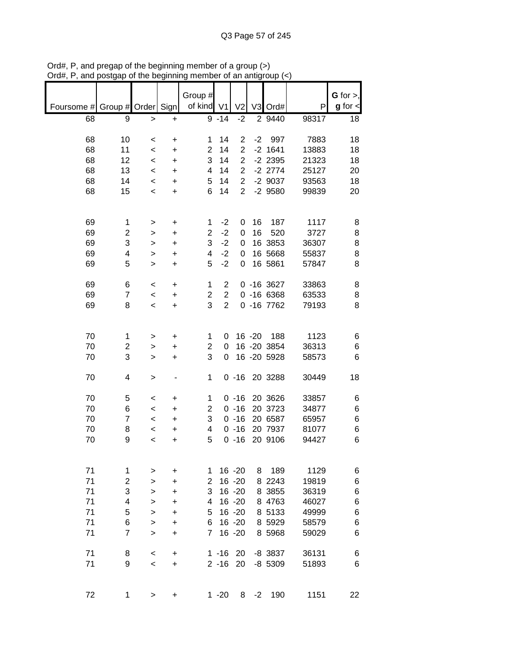|                          |                |           |           | Group #             |                  |                |           |                |               | $G$ for $>$ , |
|--------------------------|----------------|-----------|-----------|---------------------|------------------|----------------|-----------|----------------|---------------|---------------|
| Foursome # Group # Order |                |           | Sign      | of kind             | V <sub>1</sub>   | V <sub>2</sub> |           | V3 Ord#        | P             | $g$ for $\lt$ |
| 68                       | 9              | $\, > \,$ | $\ddot{}$ |                     | $9 - 14$         | $-2$           |           | 2 9440         | 98317         | 18            |
|                          |                |           |           |                     |                  |                |           |                |               |               |
| 68                       | 10             | $\,<\,$   | +         | 1                   | 14               | $\overline{2}$ | $-2$      | 997            | 7883          | 18            |
| 68                       | 11             | $\,<$     | +         | 2                   | 14               | $\overline{2}$ |           | $-2$ 1641      | 13883         | 18            |
| 68                       | 12             | $\,<$     | +         | 3                   | 14               | $\overline{2}$ |           | $-2$ 2395      | 21323         | 18            |
| 68                       | 13             | $\,<\,$   | +         | 4                   | 14               | $\overline{2}$ |           | $-2$ 2774      | 25127         | 20            |
| 68                       | 14             | $\,<\,$   | +         | 5                   | 14               | $\overline{2}$ |           | $-2$ 9037      | 93563         | 18            |
| 68                       | 15             | $\,<\,$   | $\ddot{}$ | 6                   | 14               | $\overline{2}$ |           | $-2$ 9580      | 99839         | 20            |
|                          |                |           |           |                     |                  |                |           |                |               |               |
|                          |                |           |           |                     |                  |                |           |                |               |               |
| 69                       | 1              | >         | +         | 1<br>$\overline{2}$ | $-2$<br>$-2$     | 0              | 16<br>16  | 187            | 1117          | 8             |
| 69                       | $\overline{2}$ | >         | $\ddot{}$ | 3                   | $-2$             | 0              |           | 520<br>16 3853 | 3727<br>36307 | 8             |
| 69<br>69                 | 3              | >         | $\ddot{}$ | 4                   | $-2$             | 0              |           | 16 5668        |               | 8             |
| 69                       | 4<br>5         | >         | $\ddot{}$ | 5                   | $-2$             | 0              |           | 16 5861        | 55837         | 8             |
|                          |                | >         | +         |                     |                  | 0              |           |                | 57847         | 8             |
| 69                       | 6              | $\,<\,$   | +         | 1                   | $\overline{2}$   |                |           | $0 - 16 3627$  | 33863         | 8             |
| 69                       | 7              | $\,<\,$   | +         | $\overline{c}$      | $\boldsymbol{2}$ |                |           | $0 - 166368$   | 63533         | 8             |
| 69                       | 8              | $\,<\,$   | $\ddot{}$ | 3                   | $\overline{2}$   |                |           | $0 - 167762$   | 79193         | 8             |
|                          |                |           |           |                     |                  |                |           |                |               |               |
|                          |                |           |           |                     |                  |                |           |                |               |               |
| 70                       | 1              | >         | +         | 1                   | 0                |                | $16 - 20$ | 188            | 1123          | 6             |
| 70                       | 2              | >         | +         | $\overline{2}$      | 0                |                |           | 16 -20 3854    | 36313         | 6             |
| 70                       | 3              | >         | +         | 3                   | 0                |                |           | 16 -20 5928    | 58573         | 6             |
| 70                       | 4              | >         |           | 1                   |                  | $0 - 16$       |           | 20 3288        | 30449         | 18            |
|                          |                |           |           |                     |                  |                |           |                |               |               |
| 70                       | 5              | $\,<\,$   | +         | 1                   |                  | $0 - 16$       |           | 20 3626        | 33857         | 6             |
| 70                       | 6              | $\,<\,$   | $\ddot{}$ | $\overline{2}$      |                  | $0 - 16$       |           | 20 3723        | 34877         | 6             |
| 70                       | $\overline{7}$ | $\,<\,$   | +         | 3                   |                  | $0 - 16$       |           | 20 6587        | 65957         | 6             |
| 70                       | 8              | <         | +         | 4                   |                  | $0 - 16$       |           | 20 7937        | 81077         | 6             |
| 70                       | 9              | $\,<$     | +         | 5                   |                  | $0 - 16$       |           | 20 9106        | 94427         | 6             |
|                          |                |           |           |                     |                  |                |           |                |               |               |
| 71                       | 1              | >         | +         | 1                   |                  | 16 - 20        | 8         | 189            | 1129          | 6             |
| 71                       | $\overline{c}$ | >         | +         | 2                   |                  | $16 - 20$      |           | 8 2 2 4 3      | 19819         | 6             |
| 71                       | 3              | >         | $\ddot{}$ | 3                   |                  | $16 - 20$      |           | 8 3855         | 36319         | 6             |
| 71                       | 4              | >         | +         | 4                   |                  | $16 - 20$      |           | 8 4763         | 46027         | 6             |
| 71                       | 5              | >         | +         | 5                   |                  | 16 -20         |           | 8 5133         | 49999         | 6             |
| 71                       | 6              | >         | +         | 6                   |                  | $16 - 20$      |           | 8 5929         | 58579         | 6             |
| 71                       | $\overline{7}$ | $\geq$    | +         | 7                   |                  | 16 -20         |           | 8 5968         | 59029         | 6             |
|                          |                |           |           |                     |                  |                |           |                |               |               |
| 71                       | 8              | $\,<\,$   | +         |                     | $1 - 16$         | 20             |           | $-8$ 3837      | 36131         | 6             |
| 71                       | 9              | $\,<\,$   | +         |                     | $2 - 16$         | 20             |           | $-8$ 5309      | 51893         | 6             |
|                          |                |           |           |                     |                  |                |           |                |               |               |
| 72                       | 1              | >         | +         |                     | $1 - 20$         |                | $8 - 2$   | 190            | 1151          | 22            |

Ord#, P, and pregap of the beginning member of a group (>) Ord#, P, and postgap of the beginning member of an antigroup (<)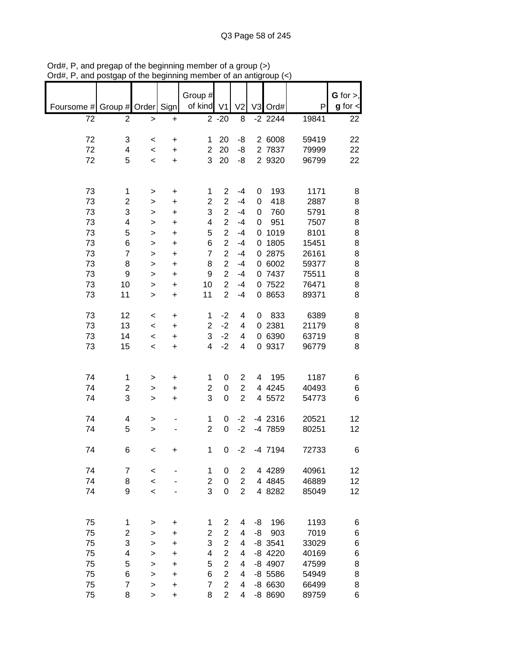|            |                    |              |           | Group #                 |                |                |    |           |       | G for $>$ ,   |
|------------|--------------------|--------------|-----------|-------------------------|----------------|----------------|----|-----------|-------|---------------|
| Foursome # | Group # Order Sign |              |           | of kind                 | V <sub>1</sub> | V <sub>2</sub> |    | V3 Ord#   | P     | $g$ for $\lt$ |
| 72         | $\overline{2}$     | $\mathbf{L}$ | $\ddot{}$ |                         | $2 - 20$       | 8              |    | $-2$ 2244 | 19841 | 22            |
|            |                    |              |           |                         |                |                |    |           |       |               |
|            |                    |              |           |                         |                |                |    |           |       |               |
| 72         | 3                  | $\,<$        | $\ddot{}$ | 1                       | 20             | -8             |    | 2 6008    | 59419 | 22            |
| 72         | 4                  | $\,<\,$      | +         | $\overline{2}$          | 20             | -8             |    | 2 7837    | 79999 | 22            |
| 72         | 5                  | $\,<\,$      | $\ddot{}$ | 3                       | 20             | -8             |    | 2 9320    | 96799 | 22            |
|            |                    |              |           |                         |                |                |    |           |       |               |
|            |                    |              |           |                         |                |                |    |           |       |               |
|            |                    |              |           |                         |                |                |    |           |       |               |
| 73         | 1                  | $\,$         | $\ddot{}$ | 1                       | 2              | $-4$           | 0  | 193       | 1171  | 8             |
| 73         | 2                  | $\,$         | $\ddot{}$ | $\overline{\mathbf{c}}$ | $\overline{2}$ | $-4$           | 0  | 418       | 2887  | 8             |
| 73         | 3                  | >            | $\ddot{}$ | 3                       | $\mathbf 2$    | $-4$           | 0  | 760       | 5791  | 8             |
| 73         | 4                  | $\, > \,$    | $\ddot{}$ | 4                       | $\overline{2}$ | $-4$           | 0  | 951       | 7507  | 8             |
| 73         | 5                  | >            | $\ddot{}$ | 5                       | $\overline{c}$ | $-4$           | 0  | 1019      | 8101  | 8             |
| 73         | 6                  | >            | $\ddot{}$ | 6                       | $\overline{2}$ | $-4$           |    | 0 1805    | 15451 | 8             |
| 73         | $\overline{7}$     |              |           | $\overline{7}$          | $\overline{2}$ | $-4$           |    | 0 2875    | 26161 | 8             |
|            |                    | >            | $\ddot{}$ |                         |                |                |    |           |       |               |
| 73         | 8                  | >            | $\ddot{}$ | 8                       | $\overline{c}$ | $-4$           |    | 0 6002    | 59377 | 8             |
| 73         | 9                  | >            | $\ddot{}$ | 9                       | $\overline{c}$ | $-4$           |    | 0 7437    | 75511 | 8             |
| 73         | 10                 | $\, > \,$    | $\ddot{}$ | 10                      | $\overline{c}$ | $-4$           |    | 0 7522    | 76471 | 8             |
| 73         | 11                 | $\, > \,$    | $\ddot{}$ | 11                      | $\overline{c}$ | $-4$           |    | 0 8653    | 89371 | 8             |
|            |                    |              |           |                         |                |                |    |           |       |               |
|            |                    |              |           |                         |                |                |    |           |       |               |
| 73         | 12                 | $\,<$        | $\ddot{}$ | 1                       | $-2$           | 4              | 0  | 833       | 6389  | 8             |
| 73         | 13                 | $\,<\,$      | +         | $\overline{2}$          | $-2$           | 4              |    | 0 2381    | 21179 | 8             |
| 73         | 14                 | $\,<\,$      | +         | 3                       | $-2$           | 4              |    | 0 6390    | 63719 | 8             |
| 73         | 15                 | $\,<\,$      | $\ddot{}$ | $\overline{\mathbf{4}}$ | $-2$           | 4              |    | 0 9317    | 96779 | 8             |
|            |                    |              |           |                         |                |                |    |           |       |               |
|            |                    |              |           |                         |                |                |    |           |       |               |
| 74         |                    |              |           |                         |                | $\overline{c}$ | 4  | 195       | 1187  |               |
|            | 1                  | $\, > \,$    | $\ddot{}$ | 1                       | 0              |                |    |           |       | 6             |
| 74         | 2                  | >            | $\ddot{}$ | $\overline{\mathbf{c}}$ | 0              | $\overline{c}$ |    | 4 4 2 4 5 | 40493 | 6             |
| 74         | 3                  | $\, > \,$    | $\ddot{}$ | 3                       | 0              | $\overline{2}$ |    | 4 5572    | 54773 | 6             |
|            |                    |              |           |                         |                |                |    |           |       |               |
| 74         | 4                  | >            |           | 1                       | 0              | $-2$           |    | $-4$ 2316 | 20521 | 12            |
| 74         | 5                  | >            |           | $\overline{c}$          | 0              | $-2$           |    | -4 7859   | 80251 | 12            |
|            |                    |              |           |                         |                |                |    |           |       |               |
|            |                    |              |           |                         |                |                |    |           |       |               |
| 74         | 6                  | $\,<$        | +         | 1                       | 0              | $-2$           |    | $-4$ 7194 | 72733 | 6             |
|            |                    |              |           |                         |                |                |    |           |       |               |
| 74         | 7                  | $\,<$        |           | 1                       | 0              | $\overline{c}$ |    | 4 4 28 9  | 40961 | 12            |
| 74         | 8                  | $\prec$      |           | 2                       | 0              | $\overline{2}$ |    | 4 4 8 4 5 | 46889 | 12            |
| 74         | 9                  | $\prec$      |           | 3                       | 0              | $\overline{2}$ |    | 4 8282    | 85049 | 12            |
|            |                    |              |           |                         |                |                |    |           |       |               |
|            |                    |              |           |                         |                |                |    |           |       |               |
|            |                    |              |           |                         |                |                |    |           |       |               |
| 75         | 1                  | >            | +         | 1                       | 2              | 4              | -8 | 196       | 1193  | 6             |
| 75         | 2                  | >            | +         | $\overline{c}$          | $\overline{c}$ | 4              | -8 | 903       | 7019  | 6             |
| 75         | 3                  | $\, > \,$    | +         | 3                       | $\overline{c}$ | 4              |    | $-8$ 3541 | 33029 | 6             |
| 75         | 4                  | >            | +         | 4                       | $\overline{2}$ | 4              |    | $-8$ 4220 | 40169 | 6             |
| 75         | 5                  | >            | +         | 5                       | $\overline{2}$ | 4              |    | -8 4907   | 47599 | 8             |
|            |                    |              |           |                         | $\overline{c}$ |                |    |           |       |               |
| 75         | 6                  | >            | $\ddot{}$ | 6                       |                | 4              |    | $-8$ 5586 | 54949 | 8             |
| 75         | $\overline{7}$     | >            | +         | $\overline{7}$          | $\overline{c}$ | 4              |    | $-86630$  | 66499 | 8             |
| 75         | 8                  | >            | $\ddot{}$ | 8                       | $\overline{2}$ | 4              |    | -8 8690   | 89759 | 6             |

Ord#, P, and pregap of the beginning member of a group (>) Ord#, P, and postgap of the beginning member of an antigroup (<)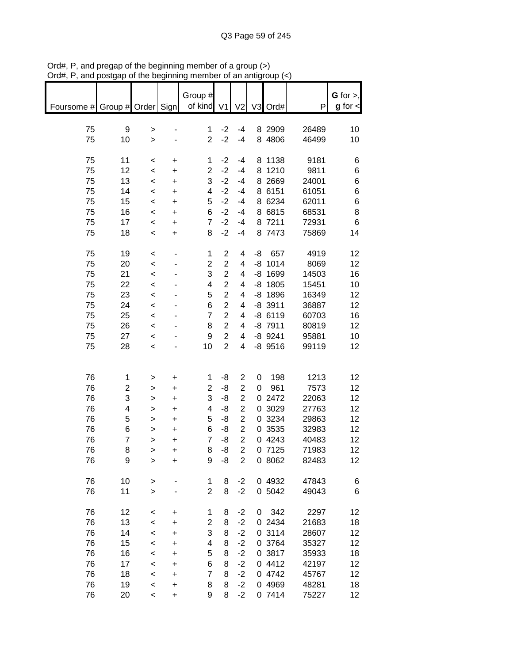|                               | and poorgap or the beginning |                          |                        | <br>Group #         |                  |                                             |    | an annyrvap (       |                | G for $>$ ,   |
|-------------------------------|------------------------------|--------------------------|------------------------|---------------------|------------------|---------------------------------------------|----|---------------------|----------------|---------------|
| Foursome # Group # Order Sign |                              |                          |                        | of kind V1          |                  | V <sub>2</sub>                              |    | V3 Ord#             | P              | $g$ for $\lt$ |
| 75                            | 9                            | >                        |                        | 1                   | $-2$             | $-4$                                        |    | 8 2909              | 26489          | 10            |
| 75                            | 10                           | $\geq$                   |                        | $\overline{2}$      | $-2$             | $-4$                                        |    | 8 4806              | 46499          | 10            |
|                               |                              |                          |                        |                     |                  |                                             |    |                     |                |               |
| 75                            | 11                           | $\,<\,$                  | +                      | 1                   | $-2$             | $-4$                                        |    | 8 1138              | 9181           | 6             |
| 75<br>75                      | 12<br>13                     | $\,<$<br>$\prec$         | $\ddot{}$<br>$\ddot{}$ | $\overline{c}$<br>3 | $-2$<br>$-2$     | $-4$<br>$-4$                                |    | 8 1210<br>8 2 6 6 9 | 9811<br>24001  | 6<br>6        |
| 75                            | 14                           | $\prec$                  | $\ddot{}$              | 4                   | $-2$             | $-4$                                        |    | 8 6151              | 61051          | 6             |
| 75                            | 15                           | $\prec$                  | $\ddot{}$              | 5                   | $-2$             | $-4$                                        |    | 8 6234              | 62011          | 6             |
| 75                            | 16                           | $\prec$                  | $\ddot{}$              | 6                   | $-2$             | $-4$                                        |    | 8 6815              | 68531          | 8             |
| 75                            | 17                           | $\overline{\phantom{0}}$ | $\ddot{}$              | $\overline{7}$      | $-2$             | $-4$                                        |    | 8 7211              | 72931          | 6             |
| 75                            | 18                           | $\prec$                  | $\ddot{}$              | 8                   | $-2$             | $-4$                                        |    | 8 7473              | 75869          | 14            |
| 75                            | 19                           | $\,<$                    |                        | $\mathbf{1}$        | $\boldsymbol{2}$ | 4                                           | -8 | 657                 | 4919           | 12            |
| 75                            | 20                           | $\prec$                  |                        | $\overline{c}$      | $\overline{c}$   | 4                                           |    | $-8$ 1014           | 8069           | 12            |
| 75                            | 21                           | $\prec$                  |                        | 3                   | $\overline{c}$   | 4                                           |    | $-8$ 1699           | 14503          | 16            |
| 75                            | 22                           | $\prec$                  |                        | 4                   | $\overline{2}$   | $\overline{\mathbf{4}}$                     |    | $-8$ 1805           | 15451          | 10            |
| 75                            | 23                           | $\prec$                  |                        | 5                   | $\overline{2}$   | 4                                           |    | $-8$ 1896           | 16349          | 12            |
| 75                            | 24                           | $\prec$                  |                        | 6                   | $\overline{c}$   | $\overline{\mathbf{4}}$                     |    | $-8$ 3911           | 36887          | 12            |
| 75                            | 25                           | $\prec$                  |                        | $\overline{7}$      | $\overline{2}$   | 4                                           |    | $-8$ 6119           | 60703          | 16            |
| 75                            | 26                           | $\overline{\phantom{0}}$ |                        | 8                   | $\overline{2}$   | 4                                           |    | $-8$ 7911           | 80819          | 12            |
| 75                            | 27                           | $\overline{\phantom{a}}$ |                        | 9                   | $\overline{2}$   | 4                                           |    | $-8$ 9241           | 95881          | 10            |
| 75                            | 28                           | $\prec$                  |                        | 10                  | $\overline{2}$   | 4                                           |    | $-8$ 9516           | 99119          | 12            |
|                               |                              |                          |                        |                     |                  |                                             |    |                     |                |               |
| 76                            | 1                            | >                        | $\ddot{}$              | 1                   | -8               | $\mathbf 2$                                 | 0  | 198                 | 1213           | 12            |
| 76                            | 2                            | >                        | $\ddot{}$              | $\overline{c}$      | -8               | $\overline{2}$                              | 0  | 961                 | 7573           | 12            |
| 76                            | 3                            | $\,$                     | $\ddot{}$              | 3                   | -8               | $\overline{c}$                              |    | 0 2472              | 22063          | 12            |
| 76                            | 4                            | $\,$                     | $\ddot{}$              | 4                   | -8               | $\overline{c}$                              |    | 0 3029              | 27763          | 12            |
| 76<br>76                      | 5<br>6                       | $\,$                     | $\ddot{}$              | 5<br>6              | -8<br>-8         | $\overline{\mathbf{c}}$<br>$\boldsymbol{2}$ |    | 0 3234<br>0 3535    | 29863<br>32983 | 12<br>12      |
| 76                            | $\overline{7}$               | $\,$<br>$\geq$           | $\ddot{}$<br>$\ddot{}$ | $\overline{7}$      | -8               | $\overline{2}$                              |    | 0 4243              | 40483          | 12            |
| 76                            | 8                            | $\geq$                   | +                      | 8                   | -8               | $\overline{\mathbf{c}}$                     |    | 0 7125              | 71983          | 12            |
| 76                            | 9                            | >                        | +                      | 9                   | -8               | $\overline{2}$                              |    | 0 8062              | 82483          | 12            |
|                               |                              |                          |                        |                     |                  |                                             |    |                     |                |               |
| 76                            | 10                           | >                        |                        | 1                   | 8                | $-2$                                        |    | 0 4932              | 47843          | 6             |
| 76                            | 11                           | $\geq$                   |                        | 2                   | 8                | $-2$                                        |    | 0 5042              | 49043          | 6             |
| 76                            | 12                           | $\,<$                    | +                      | 1                   | 8                | $-2$                                        | 0  | 342                 | 2297           | 12            |
| 76                            | 13                           | $\,<$                    | +                      | $\overline{c}$      | 8                | $-2$                                        |    | 0 2434              | 21683          | 18            |
| 76                            | 14                           | $\,<$                    | +                      | 3                   | 8                | $-2$                                        |    | 0 3114              | 28607          | 12            |
| 76                            | 15                           | $\prec$                  | +                      | 4                   | 8                | $-2$                                        |    | 0 3764              | 35327          | 12            |
| 76                            | 16                           | $\,<$                    | $\ddot{}$              | 5                   | 8                | $-2$                                        |    | 0 3817              | 35933          | 18            |
| 76                            | 17                           | $\,<$                    | +                      | 6<br>7              | 8                | $-2$                                        |    | 0 4412              | 42197          | 12            |
| 76<br>76                      | 18<br>19                     | $\,<$<br>$\,<$           | +<br>+                 | 8                   | 8<br>8           | $-2$<br>$-2$                                |    | 0 4742<br>0 4969    | 45767<br>48281 | 12<br>18      |
| 76                            | 20                           | $\,<\,$                  | $\ddot{}$              | 9                   | 8                | $-2$                                        |    | 0 7414              | 75227          | 12            |
|                               |                              |                          |                        |                     |                  |                                             |    |                     |                |               |

Ord#, P, and pregap of the beginning member of a group (>) Ord#, P, and postgap of the beginning member of an antigroup (<)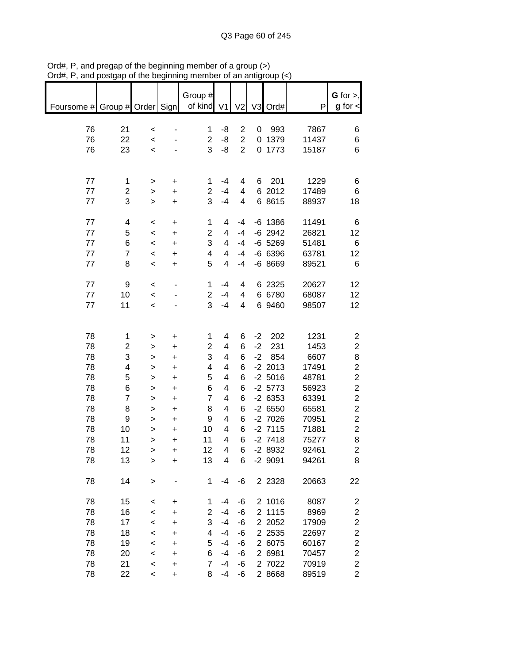| $^{\prime}$ ıu $\pi,$         | oolyap or the beginning |                |           |                         |                          | u an annyi              |      |           |       |                                       |
|-------------------------------|-------------------------|----------------|-----------|-------------------------|--------------------------|-------------------------|------|-----------|-------|---------------------------------------|
| Foursome # Group # Order Sign |                         |                |           | Group #<br>of kind V1   |                          |                         |      |           | P     | $G$ for $>$ ,<br>$g$ for $\textsf{I}$ |
|                               |                         |                |           |                         |                          | V <sub>2</sub>          |      | V3 Ord#   |       |                                       |
|                               |                         |                |           |                         |                          |                         |      |           |       |                                       |
| 76                            | 21                      | $\,<$          |           | 1                       | -8                       | $\overline{c}$          | 0    | 993       | 7867  | 6                                     |
| 76                            | 22                      | $\,<\,$        |           | $\overline{2}$          | -8                       | $\overline{2}$          |      | 0 1379    | 11437 | 6                                     |
| 76                            | 23                      | $\,<\,$        |           | 3                       | -8                       | $\overline{2}$          |      | 0 1773    | 15187 | 6                                     |
|                               |                         |                |           |                         |                          |                         |      |           |       |                                       |
| 77                            | 1                       | $\, > \,$      | $\ddot{}$ | 1                       | $-4$                     | 4                       | 6    | 201       | 1229  | 6                                     |
| $77$                          | $\overline{\mathbf{c}}$ | $\, > \,$      | $\ddot{}$ | $\overline{2}$          | $-4$                     | $\overline{\mathbf{4}}$ |      | 6 2012    | 17489 | 6                                     |
| 77                            | 3                       | $\geq$         | $\ddot{}$ | 3                       | $-4$                     | 4                       |      | 6 8615    | 88937 | 18                                    |
|                               |                         |                |           |                         |                          |                         |      |           |       |                                       |
| 77                            | 4                       | $\,<$          | $\ddot{}$ | 1                       | 4                        | $-4$                    |      | $-6$ 1386 | 11491 | 6                                     |
| 77                            | 5                       | $\prec$        | $\ddot{}$ | $\overline{2}$          | 4                        | $-4$                    |      | $-6$ 2942 | 26821 | 12                                    |
| 77                            | 6                       | $\prec$        | $\ddot{}$ | 3                       | 4                        | $-4$                    |      | $-6$ 5269 | 51481 | 6                                     |
| 77                            | $\overline{7}$          | $\prec$        | $\ddot{}$ | $\overline{\mathbf{4}}$ | 4                        | $-4$                    |      | $-66396$  | 63781 | 12                                    |
| 77                            | 8                       | $\prec$        | $\ddot{}$ | 5                       | 4                        | $-4$                    |      | $-68669$  | 89521 | 6                                     |
|                               |                         |                |           |                         |                          |                         |      |           |       |                                       |
| 77                            | 9                       | $\,<$          |           | 1                       | $-4$                     | 4                       |      | 6 2325    | 20627 | 12                                    |
| 77                            | 10                      | $\,<\,$        |           | $\overline{c}$          | $-4$                     | 4                       |      | 6 6780    | 68087 | 12                                    |
| $77 \,$                       | 11                      | $\prec$        |           | 3                       | $-4$                     | 4                       |      | 6 9460    | 98507 | 12                                    |
|                               |                         |                |           |                         |                          |                         |      |           |       |                                       |
| 78                            | 1                       |                | $\ddot{}$ | 1                       | 4                        | 6                       | $-2$ | 202       | 1231  | $\overline{\mathbf{c}}$               |
| 78                            | $\overline{\mathbf{c}}$ | ><br>$\, > \,$ | $\ddot{}$ | $\overline{c}$          | $\overline{\mathbf{4}}$  | 6                       | $-2$ | 231       | 1453  | $\mathbf{2}$                          |
| 78                            | 3                       | $\mathbf{I}$   | $\ddot{}$ | 3                       | 4                        | 6                       | $-2$ | 854       | 6607  | 8                                     |
| 78                            | 4                       | $\,$           | $\ddot{}$ | 4                       | 4                        | 6                       |      | $-2$ 2013 | 17491 | $\overline{\mathbf{c}}$               |
| 78                            | 5                       | $\,$           | $\ddot{}$ | 5                       | 4                        | $6\phantom{1}6$         |      | $-2,5016$ | 48781 | $\overline{c}$                        |
| 78                            | 6                       | $\,$           | $\ddot{}$ | 6                       | 4                        | 6                       |      | $-2$ 5773 | 56923 | $\overline{c}$                        |
| 78                            | $\overline{7}$          | $\mathbf{I}$   | $\ddot{}$ | $\overline{7}$          | 4                        | 6                       |      | $-26353$  | 63391 | $\overline{c}$                        |
| 78                            | 8                       | $\,$           | $\ddot{}$ | 8                       | 4                        | 6                       |      | $-26550$  | 65581 | $\overline{2}$                        |
| 78                            | 9                       | $\,$           | $\ddot{}$ | 9                       | $\overline{\mathcal{A}}$ | 6                       |      | $-2$ 7026 | 70951 | $\overline{2}$                        |
| 78                            | 10                      | $\, > \,$      | $\ddot{}$ | 10                      | 4                        | 6                       |      | $-2$ 7115 | 71881 | $\overline{c}$                        |
| 78                            | 11                      | $\geq$         | $\ddot{}$ | 11                      | 4                        | 6                       |      | $-2$ 7418 | 75277 | 8                                     |
| 78                            | 12                      | >              | +         | 12                      | 4                        | 6                       |      | -2 8932   | 92461 | $\overline{c}$                        |
| 78                            | 13                      | >              | +         | 13                      | 4                        | 6                       |      | $-2$ 9091 | 94261 | 8                                     |
|                               |                         |                |           |                         |                          |                         |      |           |       |                                       |
| 78                            | 14                      | $\,$           |           | 1                       | $-4$                     | -6                      |      | 2 2 3 2 8 | 20663 | 22                                    |
|                               |                         |                |           |                         |                          |                         |      |           |       |                                       |
| 78                            | 15                      | <              | +         | 1                       | -4                       | -6                      |      | 2 1016    | 8087  | 2                                     |
| 78                            | 16                      | $\,<\,$        | $\ddot{}$ | $\overline{2}$          | $-4$                     | -6                      |      | 2 1115    | 8969  | $\boldsymbol{2}$                      |
| 78                            | 17                      | $\,<\,$        | +         | 3                       | $-4$                     | -6                      |      | 2 2 0 5 2 | 17909 | $\overline{\mathbf{c}}$               |
| 78                            | 18                      | $\prec$        | $\ddot{}$ | 4                       | $-4$                     | -6                      |      | 2 2 5 3 5 | 22697 | $\overline{c}$                        |
| 78                            | 19                      | $\,<$          | +         | 5                       | $-4$                     | -6                      |      | 2 6075    | 60167 | $\overline{c}$                        |
| 78                            | 20                      | $\,<$          | +         | 6                       | $-4$                     | -6                      |      | 2 6981    | 70457 | $\overline{c}$                        |
| 78                            | 21                      | $\,<$          | +         | $\overline{7}$          | $-4$                     | -6                      |      | 2 7022    | 70919 | $\overline{c}$                        |
| 78                            | 22                      | $\,<\,$        | $\ddot{}$ | 8                       | $-4$                     | -6                      |      | 2 8668    | 89519 | $\overline{2}$                        |

Ord#, P, and pregap of the beginning member of a group (>) Ord#, P, and postgap of the beginning member of an antigroup (<)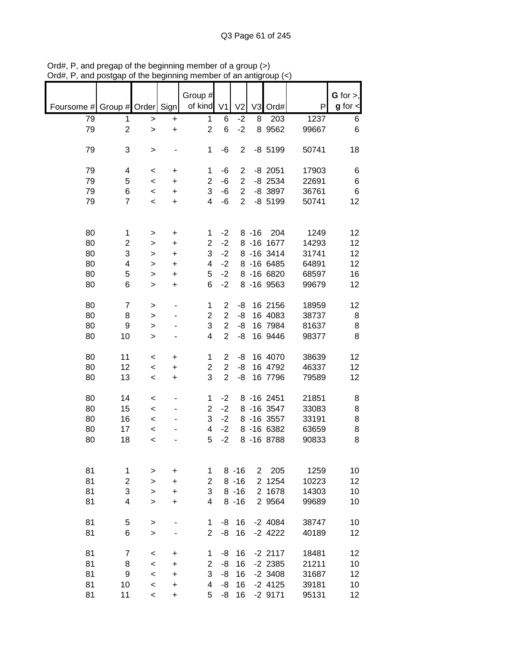|            |                |         |                | Group #                 |                |                |                |             |       | $G$ for $>$ , |
|------------|----------------|---------|----------------|-------------------------|----------------|----------------|----------------|-------------|-------|---------------|
| Foursome # | Group # Order  |         | Sign           | of kind                 | V <sub>1</sub> | V <sub>2</sub> | V <sub>3</sub> | Ord#        | P     | $g$ for $\lt$ |
| 79         | 1              | >       | +              | 1                       | 6              | $-2$           | 8              | 203         | 1237  | 6             |
| 79         | $\overline{2}$ | >       | +              | $\overline{2}$          | 6              | $-2$           |                | 8 9 5 6 2   | 99667 | 6             |
| 79         | 3              | >       |                | 1                       | -6             | $\overline{2}$ |                | $-8$ 5199   | 50741 | 18            |
| 79         | 4              | $\,<$   | +              | 1                       | -6             | $\overline{c}$ |                | $-8$ 2051   | 17903 | 6             |
| 79         | 5              | $\,<\,$ | $\ddot{}$      | $\overline{c}$          | $-6$           | $\overline{2}$ |                | $-8$ 2534   | 22691 | 6             |
| 79         | 6              | $\,<\,$ | +              | 3                       | $-6$           | $\mathbf 2$    |                | -8 3897     | 36761 | 6             |
| 79         | $\overline{7}$ | $\,<\,$ | +              | 4                       | $-6$           | $\overline{2}$ |                | $-8$ 5199   | 50741 | 12            |
| 80         | 1              |         |                | 1                       | $-2$           |                | $8 - 16$       | 204         | 1249  | 12            |
| 80         | 2              | >       | +<br>$\ddot{}$ | $\overline{2}$          | $-2$           |                |                | 8 -16 1677  | 14293 | 12            |
| 80         | 3              | >       |                | 3                       | $-2$           |                |                | 8 - 16 3414 | 31741 | 12            |
| 80         | 4              | >       | +<br>$\ddot{}$ | 4                       | $-2$           |                |                | 8 -16 6485  | 64891 | 12            |
| 80         | 5              | $\geq$  |                | 5                       | $-2$           |                |                | 8 -16 6820  | 68597 | 16            |
|            |                | >       | +              |                         | $-2$           |                |                | 8 - 16 9563 |       |               |
| 80         | 6              | >       | +              | 6                       |                |                |                |             | 99679 | 12            |
| 80         | $\overline{7}$ | >       |                | 1                       | $\overline{2}$ | -8             |                | 16 2156     | 18959 | 12            |
| 80         | 8              | >       |                | $\overline{2}$          | $\overline{2}$ | -8             |                | 16 4083     | 38737 | 8             |
| 80         | 9              | >       |                | 3                       | $\overline{2}$ | -8             |                | 16 7984     | 81637 | 8             |
| 80         | 10             | >       |                | 4                       | $\overline{2}$ | -8             |                | 16 9446     | 98377 | 8             |
| 80         | 11             | <       | +              | 1                       | 2              | -8             |                | 16 4070     | 38639 | 12            |
| 80         | 12             | $\,<\,$ | +              | $\overline{\mathbf{c}}$ | $\overline{c}$ | -8             |                | 16 4792     | 46337 | 12            |
| 80         | 13             | $\,<$   | +              | 3                       | $\overline{2}$ | -8             |                | 16 7796     | 79589 | 12            |
| 80         | 14             | $\,<\,$ |                | 1                       | $-2$           |                |                | 8 -16 2451  | 21851 | 8             |
| 80         | 15             | $\,<\,$ |                | 2                       | $-2$           |                |                | 8 -16 3547  | 33083 | 8             |
| 80         | 16             | $\,<\,$ |                | 3                       | $-2$           |                |                | 8 -16 3557  | 33191 | 8             |
| 80         | 17             | <       |                | 4                       | $-2$           |                |                | 8 - 16 6382 | 63659 | 8             |
| 80         | 18             | $\,<$   |                | 5                       | $-2$           |                |                | 8 - 16 8788 | 90833 | 8             |
|            |                |         |                |                         |                |                |                |             |       |               |
| 81         | 1              | >       | +              | 1                       |                | $8 - 16$       | $\overline{2}$ | 205         | 1259  | 10            |
| 81         | $\overline{c}$ | $\geq$  | $\ddot{}$      | $\overline{2}$          |                | $8 - 16$       |                | 2 1254      | 10223 | 12            |
| 81         | 3              | >       | +              | 3                       |                | $8 - 16$       |                | 2 1678      | 14303 | 10            |
| 81         | 4              | $\geq$  | $\ddot{}$      | 4                       |                | $8 - 16$       |                | 2 9564      | 99689 | 10            |
| 81         | 5              | >       |                | 1                       | -8             | 16             |                | $-2$ 4084   | 38747 | 10            |
| 81         | 6              | >       |                | $\overline{2}$          | -8             | 16             |                | $-2$ 4222   | 40189 | 12            |
| 81         | $\overline{7}$ | $\,<$   | +              | 1                       | -8             | 16             |                | $-2$ 2117   | 18481 | 12            |
| 81         | 8              | $\,<$   | +              | 2                       | -8             | 16             |                | $-2$ 2385   | 21211 | 10            |
| 81         | 9              | $\,<$   | +              | 3                       | -8             | 16             |                | $-2$ 3408   | 31687 | 12            |
| 81         | 10             | $\,<$   | +              | 4                       | -8             | 16             |                | $-2$ 4125   | 39181 | 10            |
| 81         | 11             | $\,<\,$ | $\ddot{}$      | 5                       | -8             | 16             |                | $-29171$    | 95131 | 12            |

Ord#, P, and pregap of the beginning member of a group (>) Ord#, P, and postgap of the beginning member of an antigroup (<)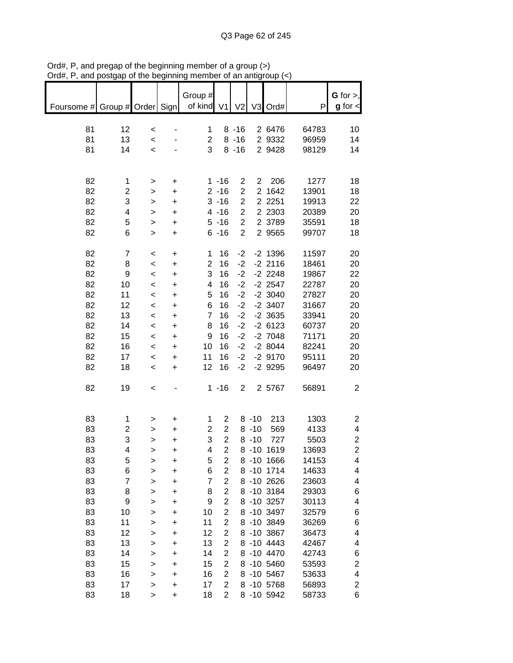| G for $>$ ,<br>Group #<br>of kind V1<br>$g$ for $\textsf{d}$<br>Foursome # Group # Order Sign<br>V <sub>2</sub><br>V3 Ord#<br>P<br>12<br>$8 - 16$<br>2 6476<br>81<br>64783<br>10<br>1<br>$\,<$<br>81<br>13<br>$\overline{2}$<br>$8 - 16$<br>2 9332<br>14<br>96959<br>$\,<$<br>3<br>81<br>14<br>$8 - 16$<br>2 9428<br>98129<br>14<br>$\,<$<br>82<br>206<br>1277<br>$1 - 16$<br>$\overline{\mathbf{c}}$<br>$2^{\circ}$<br>18<br>1<br>$\ddot{}$<br>><br>$\overline{2}$<br>82<br>2 1642<br>2<br>$2 - 16$<br>13901<br>18<br>$\ddot{}$<br>$\,$<br>$\overline{c}$<br>82<br>3<br>2 2 2 5 1<br>$3 - 16$<br>19913<br>22<br>$\ddot{}$<br>$\,$<br>82<br>$\overline{2}$<br>4<br>$4 - 16$<br>2 2 3 0 3<br>20389<br>20<br>$\ddot{}$<br>$\,$<br>5<br>$\overline{2}$<br>82<br>$5 - 16$<br>2 3789<br>35591<br>18<br>$\ddot{}$<br>$\mathbf{I}$<br>82<br>$\overline{2}$<br>2 9565<br>6<br>$6 - 16$<br>99707<br>18<br>$\ddot{}$<br>$\mathbf{I}$<br>82<br>$\overline{7}$<br>16<br>$-2$<br>$-2$ 1396<br>11597<br>20<br>1<br>$\,<$<br>$\ddot{}$<br>82<br>$\overline{\mathbf{c}}$<br>16<br>$-2$<br>$-2$ 2116<br>18461<br>8<br>20<br>$\prec$<br>+<br>3<br>$-2$<br>82<br>9<br>16<br>$-2$ 2248<br>19867<br>22<br>$\prec$<br>+<br>82<br>10<br>16<br>$-2$<br>$-2$ 2547<br>22787<br>4<br>20<br>$\,<$<br>$\ddot{}$<br>82<br>5<br>$-2$<br>$-2$ 3040<br>11<br>16<br>27827<br>20<br>$\,<$<br>$\begin{array}{c} + \end{array}$<br>82<br>6<br>16<br>$-2$<br>$-2$ 3407<br>31667<br>12<br>20<br>$\,<$<br>+<br>82<br>$\overline{7}$<br>16<br>$-2$<br>33941<br>13<br>$-2$ 3635<br>20<br>$\,<$<br>$\ddot{}$<br>82<br>8<br>16<br>$-2$<br>$-26123$<br>14<br>60737<br>20<br>$\,<$<br>$\ddot{}$<br>82<br>9<br>16<br>$-2$<br>$-2$ 7048<br>71171<br>15<br>20<br>$\,<$<br>$\ddot{}$<br>82<br>16<br>$-2$<br>$-28044$<br>16<br>10<br>82241<br>20<br>$\,<$<br>$\ddot{}$<br>82<br>11<br>16<br>$-2$<br>$-2$ 9170<br>17<br>95111<br>20<br>$\,<$<br>$\ddot{}$<br>82<br>18<br>12<br>16<br>$-2$<br>$-2$ 9295<br>96497<br>20<br>$\,<$<br>$\ddot{}$<br>82<br>$\overline{2}$<br>19<br>$1 - 16$<br>2 5767<br>56891<br>$\overline{c}$<br>$\,<$<br>83<br>$8 - 10$<br>213<br>1303<br>1<br>1<br>2<br>$\overline{c}$<br>$\ddot{}$<br>><br>$\overline{c}$<br>83<br>$\overline{c}$<br>2<br>569<br>4<br>$8 - 10$<br>4133<br>+<br>><br>3<br>$\overline{c}$<br>3<br>$\overline{c}$<br>83<br>$8 - 10$<br>727<br>5503<br>$\geq$<br>+<br>$\overline{2}$<br>83<br>$\overline{c}$<br>4<br>4<br>8 -10 1619<br>13693<br>><br>+<br>83<br>8 -10 1666<br>14153<br>5<br>5<br>2<br>4<br>+<br>><br>83<br>6<br>$\overline{2}$<br>6<br>8 -10 1714<br>14633<br>4<br>+<br>><br>83<br>$\overline{7}$<br>$\overline{7}$<br>$\overline{2}$<br>8 -10 2626<br>23603<br>4<br>><br>+<br>$\overline{2}$<br>83<br>8 -10 3184<br>8<br>8<br>29303<br>6<br>+<br>><br>$\overline{2}$<br>83<br>9<br>9<br>8 -10 3257<br>30113<br>4<br>$\ddot{}$<br>><br>$\overline{2}$<br>83<br>8 -10 3497<br>10<br>10<br>32579<br>6<br>$\ddot{}$<br>$\geq$<br>$\overline{c}$<br>83<br>11<br>11<br>8 -10 3849<br>36269<br>6<br>><br>$\ddot{}$<br>$\overline{2}$<br>83<br>8 -10 3867<br>12<br>12<br>36473<br>4<br>$\ddot{}$<br>$\mathbf{I}$<br>$\overline{2}$<br>83<br>13<br>8 -10 4443<br>13<br>42467<br>4<br>$\ddot{}$<br>><br>$\overline{2}$<br>83<br>8 -10 4470<br>14<br>14<br>42743<br>6<br>$\ddot{}$<br>><br>83<br>$\overline{2}$<br>8 -10 5460<br>$\overline{c}$<br>15<br>15<br>53593<br>$\geq$<br>+<br>83<br>16<br>$\overline{2}$<br>8 -10 5467<br>4<br>16<br>53633<br>+<br>><br>83<br>17<br>$\overline{2}$<br>8 -10 5768<br>$\overline{\mathbf{c}}$<br>17<br>56893<br>$\ddot{}$<br>><br>$\overline{2}$<br>83<br>8 -10 5942<br>58733<br>6<br>18<br>18<br>$\ddot{}$<br>> | $^{\prime}$ ıu $\pi,$ | or are pogmumi |  | an ang |  |  |
|--------------------------------------------------------------------------------------------------------------------------------------------------------------------------------------------------------------------------------------------------------------------------------------------------------------------------------------------------------------------------------------------------------------------------------------------------------------------------------------------------------------------------------------------------------------------------------------------------------------------------------------------------------------------------------------------------------------------------------------------------------------------------------------------------------------------------------------------------------------------------------------------------------------------------------------------------------------------------------------------------------------------------------------------------------------------------------------------------------------------------------------------------------------------------------------------------------------------------------------------------------------------------------------------------------------------------------------------------------------------------------------------------------------------------------------------------------------------------------------------------------------------------------------------------------------------------------------------------------------------------------------------------------------------------------------------------------------------------------------------------------------------------------------------------------------------------------------------------------------------------------------------------------------------------------------------------------------------------------------------------------------------------------------------------------------------------------------------------------------------------------------------------------------------------------------------------------------------------------------------------------------------------------------------------------------------------------------------------------------------------------------------------------------------------------------------------------------------------------------------------------------------------------------------------------------------------------------------------------------------------------------------------------------------------------------------------------------------------------------------------------------------------------------------------------------------------------------------------------------------------------------------------------------------------------------------------------------------------------------------------------------------------------------------------------------------------------------------------------------------------------------------------------------------------------------------------------------------------------------------------------------------------------------------------------------------------------------------------------------------------------------------------------------------------------------------------------------------------------------------------------------------------------------------------------------------------------------------------------------------------------------------------------|-----------------------|----------------|--|--------|--|--|
|                                                                                                                                                                                                                                                                                                                                                                                                                                                                                                                                                                                                                                                                                                                                                                                                                                                                                                                                                                                                                                                                                                                                                                                                                                                                                                                                                                                                                                                                                                                                                                                                                                                                                                                                                                                                                                                                                                                                                                                                                                                                                                                                                                                                                                                                                                                                                                                                                                                                                                                                                                                                                                                                                                                                                                                                                                                                                                                                                                                                                                                                                                                                                                                                                                                                                                                                                                                                                                                                                                                                                                                                                                                        |                       |                |  |        |  |  |
|                                                                                                                                                                                                                                                                                                                                                                                                                                                                                                                                                                                                                                                                                                                                                                                                                                                                                                                                                                                                                                                                                                                                                                                                                                                                                                                                                                                                                                                                                                                                                                                                                                                                                                                                                                                                                                                                                                                                                                                                                                                                                                                                                                                                                                                                                                                                                                                                                                                                                                                                                                                                                                                                                                                                                                                                                                                                                                                                                                                                                                                                                                                                                                                                                                                                                                                                                                                                                                                                                                                                                                                                                                                        |                       |                |  |        |  |  |
|                                                                                                                                                                                                                                                                                                                                                                                                                                                                                                                                                                                                                                                                                                                                                                                                                                                                                                                                                                                                                                                                                                                                                                                                                                                                                                                                                                                                                                                                                                                                                                                                                                                                                                                                                                                                                                                                                                                                                                                                                                                                                                                                                                                                                                                                                                                                                                                                                                                                                                                                                                                                                                                                                                                                                                                                                                                                                                                                                                                                                                                                                                                                                                                                                                                                                                                                                                                                                                                                                                                                                                                                                                                        |                       |                |  |        |  |  |
|                                                                                                                                                                                                                                                                                                                                                                                                                                                                                                                                                                                                                                                                                                                                                                                                                                                                                                                                                                                                                                                                                                                                                                                                                                                                                                                                                                                                                                                                                                                                                                                                                                                                                                                                                                                                                                                                                                                                                                                                                                                                                                                                                                                                                                                                                                                                                                                                                                                                                                                                                                                                                                                                                                                                                                                                                                                                                                                                                                                                                                                                                                                                                                                                                                                                                                                                                                                                                                                                                                                                                                                                                                                        |                       |                |  |        |  |  |
|                                                                                                                                                                                                                                                                                                                                                                                                                                                                                                                                                                                                                                                                                                                                                                                                                                                                                                                                                                                                                                                                                                                                                                                                                                                                                                                                                                                                                                                                                                                                                                                                                                                                                                                                                                                                                                                                                                                                                                                                                                                                                                                                                                                                                                                                                                                                                                                                                                                                                                                                                                                                                                                                                                                                                                                                                                                                                                                                                                                                                                                                                                                                                                                                                                                                                                                                                                                                                                                                                                                                                                                                                                                        |                       |                |  |        |  |  |
|                                                                                                                                                                                                                                                                                                                                                                                                                                                                                                                                                                                                                                                                                                                                                                                                                                                                                                                                                                                                                                                                                                                                                                                                                                                                                                                                                                                                                                                                                                                                                                                                                                                                                                                                                                                                                                                                                                                                                                                                                                                                                                                                                                                                                                                                                                                                                                                                                                                                                                                                                                                                                                                                                                                                                                                                                                                                                                                                                                                                                                                                                                                                                                                                                                                                                                                                                                                                                                                                                                                                                                                                                                                        |                       |                |  |        |  |  |
|                                                                                                                                                                                                                                                                                                                                                                                                                                                                                                                                                                                                                                                                                                                                                                                                                                                                                                                                                                                                                                                                                                                                                                                                                                                                                                                                                                                                                                                                                                                                                                                                                                                                                                                                                                                                                                                                                                                                                                                                                                                                                                                                                                                                                                                                                                                                                                                                                                                                                                                                                                                                                                                                                                                                                                                                                                                                                                                                                                                                                                                                                                                                                                                                                                                                                                                                                                                                                                                                                                                                                                                                                                                        |                       |                |  |        |  |  |
|                                                                                                                                                                                                                                                                                                                                                                                                                                                                                                                                                                                                                                                                                                                                                                                                                                                                                                                                                                                                                                                                                                                                                                                                                                                                                                                                                                                                                                                                                                                                                                                                                                                                                                                                                                                                                                                                                                                                                                                                                                                                                                                                                                                                                                                                                                                                                                                                                                                                                                                                                                                                                                                                                                                                                                                                                                                                                                                                                                                                                                                                                                                                                                                                                                                                                                                                                                                                                                                                                                                                                                                                                                                        |                       |                |  |        |  |  |
|                                                                                                                                                                                                                                                                                                                                                                                                                                                                                                                                                                                                                                                                                                                                                                                                                                                                                                                                                                                                                                                                                                                                                                                                                                                                                                                                                                                                                                                                                                                                                                                                                                                                                                                                                                                                                                                                                                                                                                                                                                                                                                                                                                                                                                                                                                                                                                                                                                                                                                                                                                                                                                                                                                                                                                                                                                                                                                                                                                                                                                                                                                                                                                                                                                                                                                                                                                                                                                                                                                                                                                                                                                                        |                       |                |  |        |  |  |
|                                                                                                                                                                                                                                                                                                                                                                                                                                                                                                                                                                                                                                                                                                                                                                                                                                                                                                                                                                                                                                                                                                                                                                                                                                                                                                                                                                                                                                                                                                                                                                                                                                                                                                                                                                                                                                                                                                                                                                                                                                                                                                                                                                                                                                                                                                                                                                                                                                                                                                                                                                                                                                                                                                                                                                                                                                                                                                                                                                                                                                                                                                                                                                                                                                                                                                                                                                                                                                                                                                                                                                                                                                                        |                       |                |  |        |  |  |
|                                                                                                                                                                                                                                                                                                                                                                                                                                                                                                                                                                                                                                                                                                                                                                                                                                                                                                                                                                                                                                                                                                                                                                                                                                                                                                                                                                                                                                                                                                                                                                                                                                                                                                                                                                                                                                                                                                                                                                                                                                                                                                                                                                                                                                                                                                                                                                                                                                                                                                                                                                                                                                                                                                                                                                                                                                                                                                                                                                                                                                                                                                                                                                                                                                                                                                                                                                                                                                                                                                                                                                                                                                                        |                       |                |  |        |  |  |
|                                                                                                                                                                                                                                                                                                                                                                                                                                                                                                                                                                                                                                                                                                                                                                                                                                                                                                                                                                                                                                                                                                                                                                                                                                                                                                                                                                                                                                                                                                                                                                                                                                                                                                                                                                                                                                                                                                                                                                                                                                                                                                                                                                                                                                                                                                                                                                                                                                                                                                                                                                                                                                                                                                                                                                                                                                                                                                                                                                                                                                                                                                                                                                                                                                                                                                                                                                                                                                                                                                                                                                                                                                                        |                       |                |  |        |  |  |
|                                                                                                                                                                                                                                                                                                                                                                                                                                                                                                                                                                                                                                                                                                                                                                                                                                                                                                                                                                                                                                                                                                                                                                                                                                                                                                                                                                                                                                                                                                                                                                                                                                                                                                                                                                                                                                                                                                                                                                                                                                                                                                                                                                                                                                                                                                                                                                                                                                                                                                                                                                                                                                                                                                                                                                                                                                                                                                                                                                                                                                                                                                                                                                                                                                                                                                                                                                                                                                                                                                                                                                                                                                                        |                       |                |  |        |  |  |
|                                                                                                                                                                                                                                                                                                                                                                                                                                                                                                                                                                                                                                                                                                                                                                                                                                                                                                                                                                                                                                                                                                                                                                                                                                                                                                                                                                                                                                                                                                                                                                                                                                                                                                                                                                                                                                                                                                                                                                                                                                                                                                                                                                                                                                                                                                                                                                                                                                                                                                                                                                                                                                                                                                                                                                                                                                                                                                                                                                                                                                                                                                                                                                                                                                                                                                                                                                                                                                                                                                                                                                                                                                                        |                       |                |  |        |  |  |
|                                                                                                                                                                                                                                                                                                                                                                                                                                                                                                                                                                                                                                                                                                                                                                                                                                                                                                                                                                                                                                                                                                                                                                                                                                                                                                                                                                                                                                                                                                                                                                                                                                                                                                                                                                                                                                                                                                                                                                                                                                                                                                                                                                                                                                                                                                                                                                                                                                                                                                                                                                                                                                                                                                                                                                                                                                                                                                                                                                                                                                                                                                                                                                                                                                                                                                                                                                                                                                                                                                                                                                                                                                                        |                       |                |  |        |  |  |
|                                                                                                                                                                                                                                                                                                                                                                                                                                                                                                                                                                                                                                                                                                                                                                                                                                                                                                                                                                                                                                                                                                                                                                                                                                                                                                                                                                                                                                                                                                                                                                                                                                                                                                                                                                                                                                                                                                                                                                                                                                                                                                                                                                                                                                                                                                                                                                                                                                                                                                                                                                                                                                                                                                                                                                                                                                                                                                                                                                                                                                                                                                                                                                                                                                                                                                                                                                                                                                                                                                                                                                                                                                                        |                       |                |  |        |  |  |
|                                                                                                                                                                                                                                                                                                                                                                                                                                                                                                                                                                                                                                                                                                                                                                                                                                                                                                                                                                                                                                                                                                                                                                                                                                                                                                                                                                                                                                                                                                                                                                                                                                                                                                                                                                                                                                                                                                                                                                                                                                                                                                                                                                                                                                                                                                                                                                                                                                                                                                                                                                                                                                                                                                                                                                                                                                                                                                                                                                                                                                                                                                                                                                                                                                                                                                                                                                                                                                                                                                                                                                                                                                                        |                       |                |  |        |  |  |
|                                                                                                                                                                                                                                                                                                                                                                                                                                                                                                                                                                                                                                                                                                                                                                                                                                                                                                                                                                                                                                                                                                                                                                                                                                                                                                                                                                                                                                                                                                                                                                                                                                                                                                                                                                                                                                                                                                                                                                                                                                                                                                                                                                                                                                                                                                                                                                                                                                                                                                                                                                                                                                                                                                                                                                                                                                                                                                                                                                                                                                                                                                                                                                                                                                                                                                                                                                                                                                                                                                                                                                                                                                                        |                       |                |  |        |  |  |
|                                                                                                                                                                                                                                                                                                                                                                                                                                                                                                                                                                                                                                                                                                                                                                                                                                                                                                                                                                                                                                                                                                                                                                                                                                                                                                                                                                                                                                                                                                                                                                                                                                                                                                                                                                                                                                                                                                                                                                                                                                                                                                                                                                                                                                                                                                                                                                                                                                                                                                                                                                                                                                                                                                                                                                                                                                                                                                                                                                                                                                                                                                                                                                                                                                                                                                                                                                                                                                                                                                                                                                                                                                                        |                       |                |  |        |  |  |
|                                                                                                                                                                                                                                                                                                                                                                                                                                                                                                                                                                                                                                                                                                                                                                                                                                                                                                                                                                                                                                                                                                                                                                                                                                                                                                                                                                                                                                                                                                                                                                                                                                                                                                                                                                                                                                                                                                                                                                                                                                                                                                                                                                                                                                                                                                                                                                                                                                                                                                                                                                                                                                                                                                                                                                                                                                                                                                                                                                                                                                                                                                                                                                                                                                                                                                                                                                                                                                                                                                                                                                                                                                                        |                       |                |  |        |  |  |
|                                                                                                                                                                                                                                                                                                                                                                                                                                                                                                                                                                                                                                                                                                                                                                                                                                                                                                                                                                                                                                                                                                                                                                                                                                                                                                                                                                                                                                                                                                                                                                                                                                                                                                                                                                                                                                                                                                                                                                                                                                                                                                                                                                                                                                                                                                                                                                                                                                                                                                                                                                                                                                                                                                                                                                                                                                                                                                                                                                                                                                                                                                                                                                                                                                                                                                                                                                                                                                                                                                                                                                                                                                                        |                       |                |  |        |  |  |
|                                                                                                                                                                                                                                                                                                                                                                                                                                                                                                                                                                                                                                                                                                                                                                                                                                                                                                                                                                                                                                                                                                                                                                                                                                                                                                                                                                                                                                                                                                                                                                                                                                                                                                                                                                                                                                                                                                                                                                                                                                                                                                                                                                                                                                                                                                                                                                                                                                                                                                                                                                                                                                                                                                                                                                                                                                                                                                                                                                                                                                                                                                                                                                                                                                                                                                                                                                                                                                                                                                                                                                                                                                                        |                       |                |  |        |  |  |
|                                                                                                                                                                                                                                                                                                                                                                                                                                                                                                                                                                                                                                                                                                                                                                                                                                                                                                                                                                                                                                                                                                                                                                                                                                                                                                                                                                                                                                                                                                                                                                                                                                                                                                                                                                                                                                                                                                                                                                                                                                                                                                                                                                                                                                                                                                                                                                                                                                                                                                                                                                                                                                                                                                                                                                                                                                                                                                                                                                                                                                                                                                                                                                                                                                                                                                                                                                                                                                                                                                                                                                                                                                                        |                       |                |  |        |  |  |
|                                                                                                                                                                                                                                                                                                                                                                                                                                                                                                                                                                                                                                                                                                                                                                                                                                                                                                                                                                                                                                                                                                                                                                                                                                                                                                                                                                                                                                                                                                                                                                                                                                                                                                                                                                                                                                                                                                                                                                                                                                                                                                                                                                                                                                                                                                                                                                                                                                                                                                                                                                                                                                                                                                                                                                                                                                                                                                                                                                                                                                                                                                                                                                                                                                                                                                                                                                                                                                                                                                                                                                                                                                                        |                       |                |  |        |  |  |
|                                                                                                                                                                                                                                                                                                                                                                                                                                                                                                                                                                                                                                                                                                                                                                                                                                                                                                                                                                                                                                                                                                                                                                                                                                                                                                                                                                                                                                                                                                                                                                                                                                                                                                                                                                                                                                                                                                                                                                                                                                                                                                                                                                                                                                                                                                                                                                                                                                                                                                                                                                                                                                                                                                                                                                                                                                                                                                                                                                                                                                                                                                                                                                                                                                                                                                                                                                                                                                                                                                                                                                                                                                                        |                       |                |  |        |  |  |
|                                                                                                                                                                                                                                                                                                                                                                                                                                                                                                                                                                                                                                                                                                                                                                                                                                                                                                                                                                                                                                                                                                                                                                                                                                                                                                                                                                                                                                                                                                                                                                                                                                                                                                                                                                                                                                                                                                                                                                                                                                                                                                                                                                                                                                                                                                                                                                                                                                                                                                                                                                                                                                                                                                                                                                                                                                                                                                                                                                                                                                                                                                                                                                                                                                                                                                                                                                                                                                                                                                                                                                                                                                                        |                       |                |  |        |  |  |
|                                                                                                                                                                                                                                                                                                                                                                                                                                                                                                                                                                                                                                                                                                                                                                                                                                                                                                                                                                                                                                                                                                                                                                                                                                                                                                                                                                                                                                                                                                                                                                                                                                                                                                                                                                                                                                                                                                                                                                                                                                                                                                                                                                                                                                                                                                                                                                                                                                                                                                                                                                                                                                                                                                                                                                                                                                                                                                                                                                                                                                                                                                                                                                                                                                                                                                                                                                                                                                                                                                                                                                                                                                                        |                       |                |  |        |  |  |
|                                                                                                                                                                                                                                                                                                                                                                                                                                                                                                                                                                                                                                                                                                                                                                                                                                                                                                                                                                                                                                                                                                                                                                                                                                                                                                                                                                                                                                                                                                                                                                                                                                                                                                                                                                                                                                                                                                                                                                                                                                                                                                                                                                                                                                                                                                                                                                                                                                                                                                                                                                                                                                                                                                                                                                                                                                                                                                                                                                                                                                                                                                                                                                                                                                                                                                                                                                                                                                                                                                                                                                                                                                                        |                       |                |  |        |  |  |
|                                                                                                                                                                                                                                                                                                                                                                                                                                                                                                                                                                                                                                                                                                                                                                                                                                                                                                                                                                                                                                                                                                                                                                                                                                                                                                                                                                                                                                                                                                                                                                                                                                                                                                                                                                                                                                                                                                                                                                                                                                                                                                                                                                                                                                                                                                                                                                                                                                                                                                                                                                                                                                                                                                                                                                                                                                                                                                                                                                                                                                                                                                                                                                                                                                                                                                                                                                                                                                                                                                                                                                                                                                                        |                       |                |  |        |  |  |
|                                                                                                                                                                                                                                                                                                                                                                                                                                                                                                                                                                                                                                                                                                                                                                                                                                                                                                                                                                                                                                                                                                                                                                                                                                                                                                                                                                                                                                                                                                                                                                                                                                                                                                                                                                                                                                                                                                                                                                                                                                                                                                                                                                                                                                                                                                                                                                                                                                                                                                                                                                                                                                                                                                                                                                                                                                                                                                                                                                                                                                                                                                                                                                                                                                                                                                                                                                                                                                                                                                                                                                                                                                                        |                       |                |  |        |  |  |
|                                                                                                                                                                                                                                                                                                                                                                                                                                                                                                                                                                                                                                                                                                                                                                                                                                                                                                                                                                                                                                                                                                                                                                                                                                                                                                                                                                                                                                                                                                                                                                                                                                                                                                                                                                                                                                                                                                                                                                                                                                                                                                                                                                                                                                                                                                                                                                                                                                                                                                                                                                                                                                                                                                                                                                                                                                                                                                                                                                                                                                                                                                                                                                                                                                                                                                                                                                                                                                                                                                                                                                                                                                                        |                       |                |  |        |  |  |
|                                                                                                                                                                                                                                                                                                                                                                                                                                                                                                                                                                                                                                                                                                                                                                                                                                                                                                                                                                                                                                                                                                                                                                                                                                                                                                                                                                                                                                                                                                                                                                                                                                                                                                                                                                                                                                                                                                                                                                                                                                                                                                                                                                                                                                                                                                                                                                                                                                                                                                                                                                                                                                                                                                                                                                                                                                                                                                                                                                                                                                                                                                                                                                                                                                                                                                                                                                                                                                                                                                                                                                                                                                                        |                       |                |  |        |  |  |
|                                                                                                                                                                                                                                                                                                                                                                                                                                                                                                                                                                                                                                                                                                                                                                                                                                                                                                                                                                                                                                                                                                                                                                                                                                                                                                                                                                                                                                                                                                                                                                                                                                                                                                                                                                                                                                                                                                                                                                                                                                                                                                                                                                                                                                                                                                                                                                                                                                                                                                                                                                                                                                                                                                                                                                                                                                                                                                                                                                                                                                                                                                                                                                                                                                                                                                                                                                                                                                                                                                                                                                                                                                                        |                       |                |  |        |  |  |
|                                                                                                                                                                                                                                                                                                                                                                                                                                                                                                                                                                                                                                                                                                                                                                                                                                                                                                                                                                                                                                                                                                                                                                                                                                                                                                                                                                                                                                                                                                                                                                                                                                                                                                                                                                                                                                                                                                                                                                                                                                                                                                                                                                                                                                                                                                                                                                                                                                                                                                                                                                                                                                                                                                                                                                                                                                                                                                                                                                                                                                                                                                                                                                                                                                                                                                                                                                                                                                                                                                                                                                                                                                                        |                       |                |  |        |  |  |
|                                                                                                                                                                                                                                                                                                                                                                                                                                                                                                                                                                                                                                                                                                                                                                                                                                                                                                                                                                                                                                                                                                                                                                                                                                                                                                                                                                                                                                                                                                                                                                                                                                                                                                                                                                                                                                                                                                                                                                                                                                                                                                                                                                                                                                                                                                                                                                                                                                                                                                                                                                                                                                                                                                                                                                                                                                                                                                                                                                                                                                                                                                                                                                                                                                                                                                                                                                                                                                                                                                                                                                                                                                                        |                       |                |  |        |  |  |
|                                                                                                                                                                                                                                                                                                                                                                                                                                                                                                                                                                                                                                                                                                                                                                                                                                                                                                                                                                                                                                                                                                                                                                                                                                                                                                                                                                                                                                                                                                                                                                                                                                                                                                                                                                                                                                                                                                                                                                                                                                                                                                                                                                                                                                                                                                                                                                                                                                                                                                                                                                                                                                                                                                                                                                                                                                                                                                                                                                                                                                                                                                                                                                                                                                                                                                                                                                                                                                                                                                                                                                                                                                                        |                       |                |  |        |  |  |
|                                                                                                                                                                                                                                                                                                                                                                                                                                                                                                                                                                                                                                                                                                                                                                                                                                                                                                                                                                                                                                                                                                                                                                                                                                                                                                                                                                                                                                                                                                                                                                                                                                                                                                                                                                                                                                                                                                                                                                                                                                                                                                                                                                                                                                                                                                                                                                                                                                                                                                                                                                                                                                                                                                                                                                                                                                                                                                                                                                                                                                                                                                                                                                                                                                                                                                                                                                                                                                                                                                                                                                                                                                                        |                       |                |  |        |  |  |
|                                                                                                                                                                                                                                                                                                                                                                                                                                                                                                                                                                                                                                                                                                                                                                                                                                                                                                                                                                                                                                                                                                                                                                                                                                                                                                                                                                                                                                                                                                                                                                                                                                                                                                                                                                                                                                                                                                                                                                                                                                                                                                                                                                                                                                                                                                                                                                                                                                                                                                                                                                                                                                                                                                                                                                                                                                                                                                                                                                                                                                                                                                                                                                                                                                                                                                                                                                                                                                                                                                                                                                                                                                                        |                       |                |  |        |  |  |
|                                                                                                                                                                                                                                                                                                                                                                                                                                                                                                                                                                                                                                                                                                                                                                                                                                                                                                                                                                                                                                                                                                                                                                                                                                                                                                                                                                                                                                                                                                                                                                                                                                                                                                                                                                                                                                                                                                                                                                                                                                                                                                                                                                                                                                                                                                                                                                                                                                                                                                                                                                                                                                                                                                                                                                                                                                                                                                                                                                                                                                                                                                                                                                                                                                                                                                                                                                                                                                                                                                                                                                                                                                                        |                       |                |  |        |  |  |
|                                                                                                                                                                                                                                                                                                                                                                                                                                                                                                                                                                                                                                                                                                                                                                                                                                                                                                                                                                                                                                                                                                                                                                                                                                                                                                                                                                                                                                                                                                                                                                                                                                                                                                                                                                                                                                                                                                                                                                                                                                                                                                                                                                                                                                                                                                                                                                                                                                                                                                                                                                                                                                                                                                                                                                                                                                                                                                                                                                                                                                                                                                                                                                                                                                                                                                                                                                                                                                                                                                                                                                                                                                                        |                       |                |  |        |  |  |
|                                                                                                                                                                                                                                                                                                                                                                                                                                                                                                                                                                                                                                                                                                                                                                                                                                                                                                                                                                                                                                                                                                                                                                                                                                                                                                                                                                                                                                                                                                                                                                                                                                                                                                                                                                                                                                                                                                                                                                                                                                                                                                                                                                                                                                                                                                                                                                                                                                                                                                                                                                                                                                                                                                                                                                                                                                                                                                                                                                                                                                                                                                                                                                                                                                                                                                                                                                                                                                                                                                                                                                                                                                                        |                       |                |  |        |  |  |
|                                                                                                                                                                                                                                                                                                                                                                                                                                                                                                                                                                                                                                                                                                                                                                                                                                                                                                                                                                                                                                                                                                                                                                                                                                                                                                                                                                                                                                                                                                                                                                                                                                                                                                                                                                                                                                                                                                                                                                                                                                                                                                                                                                                                                                                                                                                                                                                                                                                                                                                                                                                                                                                                                                                                                                                                                                                                                                                                                                                                                                                                                                                                                                                                                                                                                                                                                                                                                                                                                                                                                                                                                                                        |                       |                |  |        |  |  |
|                                                                                                                                                                                                                                                                                                                                                                                                                                                                                                                                                                                                                                                                                                                                                                                                                                                                                                                                                                                                                                                                                                                                                                                                                                                                                                                                                                                                                                                                                                                                                                                                                                                                                                                                                                                                                                                                                                                                                                                                                                                                                                                                                                                                                                                                                                                                                                                                                                                                                                                                                                                                                                                                                                                                                                                                                                                                                                                                                                                                                                                                                                                                                                                                                                                                                                                                                                                                                                                                                                                                                                                                                                                        |                       |                |  |        |  |  |
|                                                                                                                                                                                                                                                                                                                                                                                                                                                                                                                                                                                                                                                                                                                                                                                                                                                                                                                                                                                                                                                                                                                                                                                                                                                                                                                                                                                                                                                                                                                                                                                                                                                                                                                                                                                                                                                                                                                                                                                                                                                                                                                                                                                                                                                                                                                                                                                                                                                                                                                                                                                                                                                                                                                                                                                                                                                                                                                                                                                                                                                                                                                                                                                                                                                                                                                                                                                                                                                                                                                                                                                                                                                        |                       |                |  |        |  |  |
|                                                                                                                                                                                                                                                                                                                                                                                                                                                                                                                                                                                                                                                                                                                                                                                                                                                                                                                                                                                                                                                                                                                                                                                                                                                                                                                                                                                                                                                                                                                                                                                                                                                                                                                                                                                                                                                                                                                                                                                                                                                                                                                                                                                                                                                                                                                                                                                                                                                                                                                                                                                                                                                                                                                                                                                                                                                                                                                                                                                                                                                                                                                                                                                                                                                                                                                                                                                                                                                                                                                                                                                                                                                        |                       |                |  |        |  |  |
|                                                                                                                                                                                                                                                                                                                                                                                                                                                                                                                                                                                                                                                                                                                                                                                                                                                                                                                                                                                                                                                                                                                                                                                                                                                                                                                                                                                                                                                                                                                                                                                                                                                                                                                                                                                                                                                                                                                                                                                                                                                                                                                                                                                                                                                                                                                                                                                                                                                                                                                                                                                                                                                                                                                                                                                                                                                                                                                                                                                                                                                                                                                                                                                                                                                                                                                                                                                                                                                                                                                                                                                                                                                        |                       |                |  |        |  |  |
|                                                                                                                                                                                                                                                                                                                                                                                                                                                                                                                                                                                                                                                                                                                                                                                                                                                                                                                                                                                                                                                                                                                                                                                                                                                                                                                                                                                                                                                                                                                                                                                                                                                                                                                                                                                                                                                                                                                                                                                                                                                                                                                                                                                                                                                                                                                                                                                                                                                                                                                                                                                                                                                                                                                                                                                                                                                                                                                                                                                                                                                                                                                                                                                                                                                                                                                                                                                                                                                                                                                                                                                                                                                        |                       |                |  |        |  |  |
|                                                                                                                                                                                                                                                                                                                                                                                                                                                                                                                                                                                                                                                                                                                                                                                                                                                                                                                                                                                                                                                                                                                                                                                                                                                                                                                                                                                                                                                                                                                                                                                                                                                                                                                                                                                                                                                                                                                                                                                                                                                                                                                                                                                                                                                                                                                                                                                                                                                                                                                                                                                                                                                                                                                                                                                                                                                                                                                                                                                                                                                                                                                                                                                                                                                                                                                                                                                                                                                                                                                                                                                                                                                        |                       |                |  |        |  |  |
|                                                                                                                                                                                                                                                                                                                                                                                                                                                                                                                                                                                                                                                                                                                                                                                                                                                                                                                                                                                                                                                                                                                                                                                                                                                                                                                                                                                                                                                                                                                                                                                                                                                                                                                                                                                                                                                                                                                                                                                                                                                                                                                                                                                                                                                                                                                                                                                                                                                                                                                                                                                                                                                                                                                                                                                                                                                                                                                                                                                                                                                                                                                                                                                                                                                                                                                                                                                                                                                                                                                                                                                                                                                        |                       |                |  |        |  |  |
|                                                                                                                                                                                                                                                                                                                                                                                                                                                                                                                                                                                                                                                                                                                                                                                                                                                                                                                                                                                                                                                                                                                                                                                                                                                                                                                                                                                                                                                                                                                                                                                                                                                                                                                                                                                                                                                                                                                                                                                                                                                                                                                                                                                                                                                                                                                                                                                                                                                                                                                                                                                                                                                                                                                                                                                                                                                                                                                                                                                                                                                                                                                                                                                                                                                                                                                                                                                                                                                                                                                                                                                                                                                        |                       |                |  |        |  |  |

Ord#, P, and pregap of the beginning member of a group (>) Ord#, P, and postgap of the beginning member of an antigroup (<)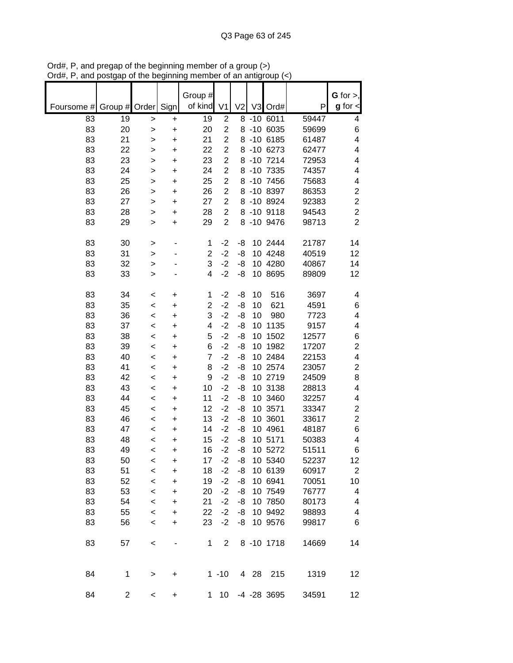|            |                |         |           | Group #        |                |                |      |               |       | $G$ for $>$ ,           |
|------------|----------------|---------|-----------|----------------|----------------|----------------|------|---------------|-------|-------------------------|
| Foursome # | Group # Order  |         | Sign      | of kind        | V <sub>1</sub> | V <sub>2</sub> | V3   | Ord#          | P     | $g$ for $\lt$           |
| 83         | 19             | >       | +         | 19             | $\overline{2}$ |                |      | $8 - 10$ 6011 | 59447 | 4                       |
| 83         | 20             | $\geq$  | +         | 20             | $\overline{2}$ |                |      | 8 -10 6035    | 59699 | 6                       |
| 83         | 21             | >       | $\ddot{}$ | 21             | $\overline{2}$ |                |      | 8 -10 6185    | 61487 | 4                       |
| 83         | 22             | >       | +         | 22             | $\overline{2}$ |                |      | 8 -10 6273    | 62477 | 4                       |
| 83         | 23             | >       | +         | 23             | $\overline{2}$ |                |      | 8 -10 7214    | 72953 | 4                       |
| 83         | 24             | >       | +         | 24             | $\overline{2}$ |                |      | 8 -10 7335    | 74357 | 4                       |
| 83         | 25             | >       | $\ddot{}$ | 25             | $\overline{2}$ |                |      | 8 -10 7456    | 75683 | 4                       |
| 83         | 26             | >       | $\ddot{}$ | 26             | $\overline{c}$ |                |      | 8 -10 8397    | 86353 | $\boldsymbol{2}$        |
| 83         | 27             | $\geq$  | +         | 27             | $\overline{2}$ |                |      | 8 -10 8924    | 92383 | $\overline{c}$          |
| 83         | 28             | >       | +         | 28             | $\overline{c}$ |                |      | 8 -10 9118    | 94543 | $\overline{c}$          |
| 83         | 29             | >       | $\ddot{}$ | 29             | $\overline{2}$ |                |      | 8 -10 9476    | 98713 | $\overline{2}$          |
| 83         | 30             | >       | -         | 1              | $-2$           | -8             |      | 10 2444       | 21787 | 14                      |
| 83         | 31             | >       |           | $\overline{2}$ | $-2$           | -8             |      | 10 4248       | 40519 | 12                      |
| 83         | 32             | >       |           | 3              | $-2$           | -8             |      | 10 4280       | 40867 | 14                      |
| 83         | 33             | $\geq$  |           | 4              | $-2$           | -8             |      | 10 8695       | 89809 | 12                      |
| 83         | 34             | <       | +         | 1              | $-2$           | -8             | 10   | 516           | 3697  | 4                       |
| 83         | 35             | $\,<$   | +         | $\overline{c}$ | $-2$           | -8             | 10   | 621           | 4591  | 6                       |
| 83         | 36             | $\,<$   | +         | 3              | $-2$           | -8             | 10   | 980           | 7723  | 4                       |
| 83         | 37             | $\,<$   | +         | 4              | $-2$           | -8             | 10   | 1135          | 9157  | 4                       |
| 83         | 38             | $\,<$   | +         | 5              | $-2$           | -8             | 10   | 1502          | 12577 | $\,6$                   |
| 83         | 39             | $\,<$   | +         | 6              | $-2$           | -8             | 10   | 1982          | 17207 | $\overline{\mathbf{c}}$ |
| 83         | 40             | $\,<$   | $\ddot{}$ | $\overline{7}$ | $-2$           | -8             |      | 10 2484       | 22153 | 4                       |
| 83         | 41             | $\,<$   | $\ddot{}$ | 8              | $-2$           | -8             |      | 10 2574       | 23057 | $\mathbf 2$             |
| 83         | 42             | $\,<$   | +         | 9              | $-2$           | -8             |      | 10 2719       | 24509 | 8                       |
| 83         | 43             | $\,<$   | +         | 10             | $-2$           | -8             |      | 10 3138       | 28813 | 4                       |
| 83         | 44             | $\,<$   | +         | 11             | $-2$           | -8             |      | 10 3460       | 32257 | 4                       |
| 83         | 45             | $\,<$   | +         | 12             | $-2$           | -8             |      | 10 3571       | 33347 | 2                       |
| 83         | 46             | $\,<$   | +         | 13             | $-2$           | -8             |      | 10 3601       | 33617 | $\overline{c}$          |
| 83         | 47             | $\,<$   | +         | 14             | $-2$           | -8             |      | 10 4961       | 48187 | 6                       |
| 83         | 48             | <       | +         | 15             | $-2$           | -8             |      | 10 5171       | 50383 | 4                       |
| 83         | 49             | $\,<$   | +         | 16             | $-2$           | -8             |      | 10 5272       | 51511 | 6                       |
| 83         | 50             | $\,<$   | +         | 17             | $-2$           | -8             |      | 10 5340       | 52237 | 12                      |
| 83         | 51             | $\,<\,$ | $\ddot{}$ | 18             | $-2$           | -8             |      | 10 6139       | 60917 | $\sqrt{2}$              |
| 83         | 52             | $\prec$ | +         | 19             | $-2$           | -8             |      | 10 6941       | 70051 | 10                      |
| 83         | 53             | $\,<$   | +         | 20             | $-2$           | -8             |      | 10 7549       | 76777 | 4                       |
| 83         | 54             | $\,<$   | $\ddot{}$ | 21             | $-2$           | -8             |      | 10 7850       | 80173 | 4                       |
| 83         | 55             | $\,<$   | $\ddot{}$ | 22             | $-2$           | -8             |      | 10 9492       | 98893 | 4                       |
| 83         | 56             | $\prec$ | $\ddot{}$ | 23             | $-2$           | -8             |      | 10 9576       | 99817 | 6                       |
| 83         | 57             | $\,<$   |           | 1              | $\overline{2}$ |                |      | 8 -10 1718    | 14669 | 14                      |
| 84         | 1              | >       | $\ddot{}$ |                | $1 - 10$       |                | 4 28 | 215           | 1319  | 12                      |
| 84         | $\overline{c}$ | $\,<\,$ | +         | $\mathbf{1}$   | 10             |                |      | -4 -28 3695   | 34591 | $12 \overline{ }$       |

Ord#, P, and pregap of the beginning member of a group (>) Ord#, P, and postgap of the beginning member of an antigroup (<)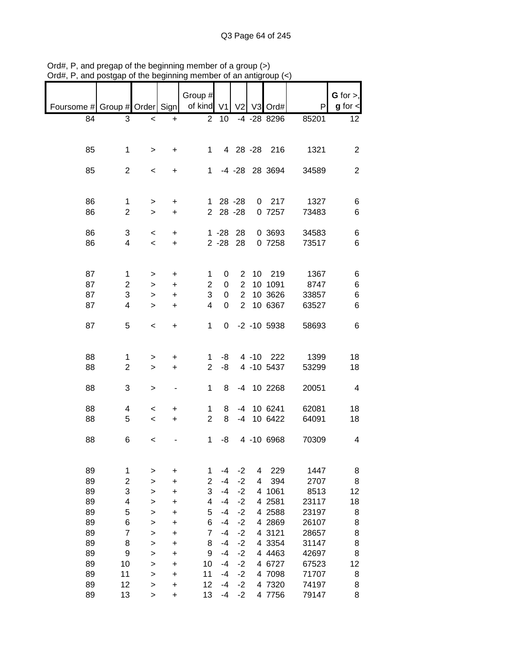|                               |                |              |                              | Group #        |             |                |   |                  |       | $G$ for $>$ ,           |
|-------------------------------|----------------|--------------|------------------------------|----------------|-------------|----------------|---|------------------|-------|-------------------------|
| Foursome # Group # Order Sign |                |              |                              | of kind V1     |             |                |   | V2 V3 Ord#       | P     | $g$ for $\lt$           |
| 84                            | 3              | $\,<$        | $\ddot{}$                    | 2              | 10          |                |   | -4 -28 8296      | 85201 | 12                      |
|                               |                |              |                              |                |             |                |   |                  |       |                         |
|                               |                |              |                              |                |             |                |   |                  |       |                         |
|                               |                |              |                              |                |             |                |   | 4 28 - 28 216    |       |                         |
| 85                            | 1              | $\,>$        | $+$                          | $\mathbf 1$    |             |                |   |                  | 1321  | $\overline{2}$          |
|                               |                |              |                              |                |             |                |   |                  |       |                         |
| 85                            | $\overline{2}$ | $\,<$        | $+$                          |                |             |                |   | 1 -4 -28 28 3694 | 34589 | $\overline{2}$          |
|                               |                |              |                              |                |             |                |   |                  |       |                         |
|                               |                |              |                              |                |             |                |   |                  |       |                         |
| 86                            | 1              | $\, > \,$    | +                            |                | $128 - 28$  |                |   | $0$ 217          | 1327  | 6                       |
| 86                            | $\overline{c}$ | $\, > \,$    | $\ddot{}$                    | $\overline{2}$ | 28 - 28     |                |   | 0 7257           | 73483 | 6                       |
|                               |                |              |                              |                |             |                |   |                  |       |                         |
| 86                            |                |              |                              |                | $1 - 28$ 28 |                |   | 0 3693           | 34583 |                         |
|                               | 3              | $\,<$        | $\ddot{}$                    |                |             |                |   |                  |       | 6                       |
| 86                            | 4              | $\prec$      | $\ddot{}$                    |                | $2 - 28$ 28 |                |   | 0 7258           | 73517 | 6                       |
|                               |                |              |                              |                |             |                |   |                  |       |                         |
|                               |                |              |                              |                |             |                |   |                  |       |                         |
| 87                            | 1              | >            | +                            | 1              | 0           | 2              |   | 10 219           | 1367  | 6                       |
| 87                            | $\overline{c}$ | $\, > \,$    | $\ddot{}$                    | $\overline{c}$ | $\pmb{0}$   | $\overline{2}$ |   | 10 1091          | 8747  | 6                       |
| 87                            | 3              | $\, > \,$    | $\ddot{}$                    | 3              | 0           | $\overline{2}$ |   | 10 3626          | 33857 | 6                       |
| 87                            | 4              | $\geq$       | $\ddot{}$                    | $\overline{4}$ | 0           | $\overline{2}$ |   | 10 6367          | 63527 | 6                       |
|                               |                |              |                              |                |             |                |   |                  |       |                         |
|                               |                |              |                              |                |             |                |   |                  |       |                         |
| 87                            | 5              | $\,<$        | $\ddot{}$                    | 1              | 0           |                |   | $-2$ $-10$ 5938  | 58693 | 6                       |
|                               |                |              |                              |                |             |                |   |                  |       |                         |
|                               |                |              |                              |                |             |                |   |                  |       |                         |
| 88                            | 1              | >            | +                            | 1              | -8          |                |   | 4 -10 222        | 1399  | 18                      |
| 88                            | $\overline{2}$ | $\geq$       | $\ddot{}$                    | $\overline{2}$ | -8          |                |   | 4 -10 5437       | 53299 | 18                      |
|                               |                |              |                              |                |             |                |   |                  |       |                         |
| 88                            | 3              | $\mathbf{I}$ | $\qquad \qquad \blacksquare$ | 1              | 8           |                |   | -4 10 2268       | 20051 | $\overline{4}$          |
|                               |                |              |                              |                |             |                |   |                  |       |                         |
|                               |                |              |                              |                |             |                |   |                  |       |                         |
| 88                            | 4              | $\,<$        | +                            | $\mathbf{1}$   | 8           |                |   | -4 10 6241       | 62081 | 18                      |
| 88                            | 5              | $\,<\,$      | $\ddot{}$                    | $\overline{2}$ | 8           | $-4$           |   | 10 6422          | 64091 | 18                      |
|                               |                |              |                              |                |             |                |   |                  |       |                         |
| 88                            | 6              | $\,<$        |                              | $\mathbf 1$    | -8          |                |   | 4 -10 6968       | 70309 | $\overline{\mathbf{4}}$ |
|                               |                |              |                              |                |             |                |   |                  |       |                         |
|                               |                |              |                              |                |             |                |   |                  |       |                         |
| 89                            | 1              | >            | +                            | 1              | $-4$        | $-2$           | 4 | 229              | 1447  | 8                       |
| 89                            |                |              |                              |                | $-4$        | $-2$           | 4 | 394              | 2707  |                         |
|                               | 2              | >            | +                            | 2              |             |                |   |                  |       | 8                       |
| 89                            | 3              | >            | +                            | 3              | $-4$        | $-2$           |   | 4 1061           | 8513  | 12                      |
| 89                            | 4              | >            | +                            | 4              | $-4$        | $-2$           |   | 4 2581           | 23117 | 18                      |
| 89                            | 5              | >            | +                            | 5              | -4          | $-2$           |   | 4 2588           | 23197 | 8                       |
| 89                            | 6              | >            | +                            | 6              | -4          | $-2$           |   | 4 2869           | 26107 | 8                       |
| 89                            | 7              | >            | +                            | $\overline{7}$ | $-4$        | $-2$           |   | 4 3121           | 28657 | 8                       |
| 89                            | 8              | $\mathbf{I}$ | +                            | 8              | $-4$        | $-2$           |   | 4 3354           | 31147 | 8                       |
| 89                            | 9              | $\mathbf{I}$ | +                            | 9              | -4          | $-2$           |   | 4 4 4 6 3        | 42697 | 8                       |
|                               |                |              |                              |                |             |                |   |                  |       |                         |
| 89                            | 10             | >            | +                            | 10             | -4          | $-2$           |   | 4 6727           | 67523 | 12                      |
| 89                            | 11             | >            | +                            | 11             | $-4$        | $-2$           |   | 4 7098           | 71707 | 8                       |
| 89                            | 12             | >            | +                            | 12             | $-4$        | $-2$           |   | 4 7320           | 74197 | 8                       |
| 89                            | 13             | >            | +                            | 13             | -4          | $-2$           |   | 4 7756           | 79147 | 8                       |

Ord#, P, and pregap of the beginning member of a group (>) Ord#, P, and postgap of the beginning member of an antigroup (<)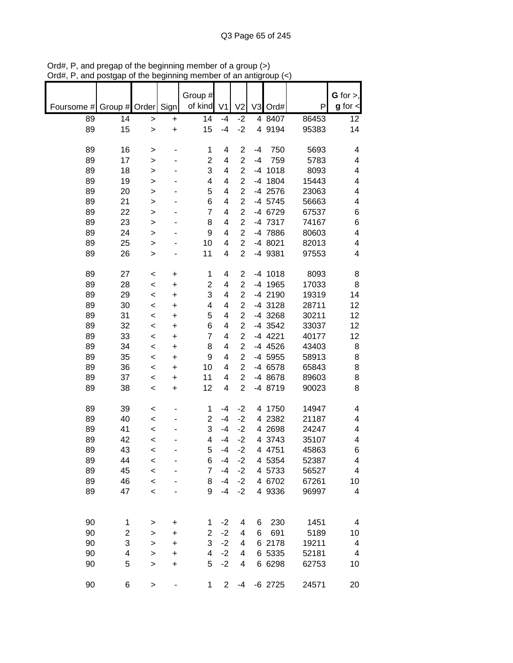|            |               |              |           |                         |                         |                         |      |           |               | $G$ for $>$ ,           |
|------------|---------------|--------------|-----------|-------------------------|-------------------------|-------------------------|------|-----------|---------------|-------------------------|
|            |               |              |           | Group #                 |                         |                         |      |           |               |                         |
| Foursome # | Group # Order |              | Sign      | of kind                 | V <sub>1</sub>          | V <sub>2</sub>          |      | V3 Ord#   | P             | $g$ for $\lt$           |
| 89         | 14            | $\geq$       | $\ddot{}$ | 14                      | $-4$                    | $-2$                    |      | 4 8407    | 86453         | 12                      |
| 89         | 15            | $\mathbf{I}$ | $\ddot{}$ | 15                      | $-4$                    | $-2$                    |      | 4 9194    | 95383         | 14                      |
|            |               |              |           |                         |                         |                         |      |           |               |                         |
| 89         | 16            | >            |           | 1                       | 4                       | $\boldsymbol{2}$        | $-4$ | 750       | 5693          | 4                       |
| 89         | 17            | $\geq$       |           | $\overline{\mathbf{c}}$ | 4                       | $\overline{2}$          | $-4$ | 759       | 5783          | 4                       |
| 89         | 18            | >            |           | 3                       | 4                       | $\overline{2}$          |      | $-4$ 1018 | 8093          | 4                       |
| 89         | 19            | >            |           | 4                       | 4                       | $\overline{c}$          |      | -4 1804   | 15443         | 4                       |
| 89         | 20            | >            |           | 5                       | 4                       | $\overline{c}$          |      | -4 2576   | 23063         | 4                       |
| 89         | 21            | $\mathbf{I}$ |           | 6                       | 4                       | $\overline{2}$          |      | -4 5745   | 56663         | 4                       |
| 89         | 22            | $\mathbf{I}$ |           | 7                       | 4                       | $\overline{c}$          |      | -4 6729   | 67537         | 6                       |
| 89         | 23            | $\geq$       |           | 8                       | 4                       | $\overline{c}$          |      | -4 7317   | 74167         | 6                       |
| 89         | 24            | $\geq$       |           | 9                       | 4                       | $\overline{c}$          |      | -4 7886   | 80603         | 4                       |
| 89         | 25            | $\mathbf{I}$ |           | 10                      | 4                       | $\overline{2}$          |      | -4 8021   | 82013         | 4                       |
| 89         | 26            |              |           | 11                      | 4                       | $\overline{2}$          |      | -4 9381   | 97553         | 4                       |
|            |               | >            |           |                         |                         |                         |      |           |               |                         |
|            |               |              |           |                         |                         |                         |      | $-4$ 1018 |               |                         |
| 89         | 27            | $\,<$        | +         | 1                       | 4                       | $\overline{\mathbf{c}}$ |      |           | 8093<br>17033 | 8                       |
| 89         | 28            | $\prec$      | $\ddot{}$ | $\overline{\mathbf{c}}$ | 4                       | $\overline{\mathbf{c}}$ |      | -4 1965   |               | 8                       |
| 89         | 29            | $\prec$      | $\ddot{}$ | 3                       | 4                       | $\overline{c}$          |      | -4 2190   | 19319         | 14                      |
| 89         | 30            | $\,<$        | $\ddot{}$ | 4                       | 4                       | $\overline{c}$          |      | -4 3128   | 28711         | 12                      |
| 89         | 31            | $\prec$      | +         | 5                       | $\overline{\mathbf{4}}$ | $\overline{c}$          |      | -4 3268   | 30211         | 12                      |
| 89         | 32            | $\,<$        | +         | 6                       | 4                       | $\overline{c}$          |      | -4 3542   | 33037         | 12                      |
| 89         | 33            | $\prec$      | +         | $\overline{7}$          | 4                       | $\overline{c}$          |      | -4 4221   | 40177         | 12                      |
| 89         | 34            | <            | +         | 8                       | 4                       | $\overline{2}$          |      | -4 4526   | 43403         | 8                       |
| 89         | 35            | $\,<$        | +         | 9                       | 4                       | $\overline{2}$          |      | -4 5955   | 58913         | 8                       |
| 89         | 36            | $\,<\,$      | +         | 10                      | 4                       | $\overline{c}$          |      | -4 6578   | 65843         | 8                       |
| 89         | 37            | $\,<$        | +         | 11                      | 4                       | $\overline{2}$          |      | -4 8678   | 89603         | 8                       |
| 89         | 38            | $\prec$      | $\ddot{}$ | 12                      | $\overline{\mathbf{4}}$ | $\overline{c}$          |      | -4 8719   | 90023         | 8                       |
|            |               |              |           |                         |                         |                         |      |           |               |                         |
| 89         | 39            | $\,<$        |           | 1                       | -4                      | $-2$                    |      | 4 1750    | 14947         | 4                       |
| 89         | 40            | $\prec$      |           | $\overline{2}$          | $-4$                    | $-2$                    |      | 4 2382    | 21187         | 4                       |
| 89         | 41            | $\,<$        |           | 3                       | $-4$                    | $-2$                    |      | 4 2698    | 24247         | 4                       |
| 89         | 42            | <            |           | 4                       | $-4$                    | $-2$                    |      | 4 3743    | 35107         | 4                       |
| 89         | 43            | $\,<$        |           | 5                       | $-4$                    | $-2$                    |      | 4 4751    | 45863         | 6                       |
| 89         | 44            | $\,<$        |           | 6                       | $-4$                    | $-2$                    |      | 4 5354    | 52387         | 4                       |
| 89         | 45            | $\prec$      |           | 7                       | $-4$                    | $-2$                    |      | 4 5733    | 56527         | $\overline{\mathbf{4}}$ |
| 89         | 46            | $\prec$      |           | 8                       | $-4$                    | $-2$                    |      | 4 6702    | 67261         | 10                      |
| 89         | 47            | $\prec$      |           | 9                       | $-4$                    | $-2$                    |      | 4 9336    | 96997         | 4                       |
|            |               |              |           |                         |                         |                         |      |           |               |                         |
|            |               |              |           |                         |                         |                         |      |           |               |                         |
| 90         | 1             |              | +         | 1                       | $-2$                    | 4                       | 6    | 230       | 1451          | 4                       |
| 90         | 2             | >            | +         | $\overline{2}$          | $-2$                    | 4                       | 6    | 691       | 5189          | 10                      |
| 90         | 3             | $\geq$       |           | 3                       | $-2$                    | 4                       |      | 6 2178    | 19211         | 4                       |
| 90         | 4             | $\geq$       | +         | 4                       | $-2$                    |                         |      | 6 5335    |               |                         |
| 90         | 5             | $\geq$       | +         | 5                       | $-2$                    | 4                       |      |           | 52181         | 4                       |
|            |               | $\mathbf{I}$ | $\ddot{}$ |                         |                         | 4                       |      | 6 6298    | 62753         | 10                      |
| 90         | 6             | $\geq$       |           | 1                       | $\mathbf{2}$            | $-4$                    |      | $-6$ 2725 | 24571         | 20                      |

Ord#, P, and pregap of the beginning member of a group (>) Ord#, P, and postgap of the beginning member of an antigroup (<)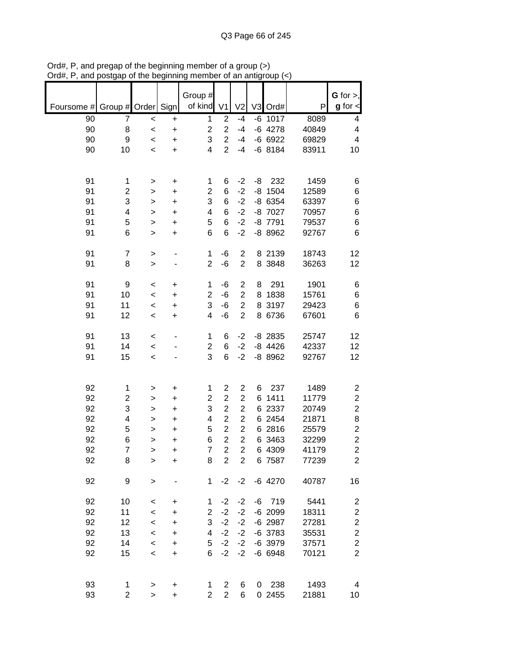|            |                |              |                | Group #                 |                         |                         |    |           |       | $G$ for $>$ ,           |
|------------|----------------|--------------|----------------|-------------------------|-------------------------|-------------------------|----|-----------|-------|-------------------------|
| Foursome # | Group # Order  |              | Sign           | of kind                 | V <sub>1</sub>          | V <sub>2</sub>          |    | V3 Ord#   | P     | $g$ for $\lt$           |
| 90         | 7              | $\,<$        | +              | $\mathbf 1$             | $\overline{c}$          | $-4$                    |    | $-6$ 1017 | 8089  | 4                       |
| 90         | 8              | $\prec$      | $\ddot{}$      | $\overline{\mathbf{c}}$ | $\overline{c}$          | $-4$                    |    | $-6$ 4278 | 40849 | 4                       |
| 90         | 9              | $\prec$      | $\ddot{}$      | 3                       | $\overline{\mathbf{c}}$ | $-4$                    |    | $-66922$  | 69829 | 4                       |
| 90         | 10             | $\,<$        | +              | 4                       | $\overline{2}$          | $-4$                    |    | $-68184$  | 83911 | 10                      |
|            |                |              |                |                         |                         |                         |    |           |       |                         |
| 91         | 1              |              |                | 1                       | 6                       | $-2$                    | -8 | 232       | 1459  | 6                       |
| 91         | 2              | ><br>>       | +<br>$\ddot{}$ | $\overline{2}$          | 6                       | $-2$                    |    | $-8$ 1504 | 12589 | 6                       |
| 91         | 3              | $\,$         | +              | 3                       | 6                       | $-2$                    |    | -8 6354   | 63397 | 6                       |
| 91         | 4              | $\geq$       | $\ddot{}$      | 4                       | 6                       | $-2$                    |    | -8 7027   | 70957 | 6                       |
| 91         | 5              | $\mathbf{I}$ | $\ddot{}$      | 5                       | 6                       | $-2$                    |    | -8 7791   | 79537 | 6                       |
| 91         | 6              | $\, > \,$    | $\ddot{}$      | 6                       | 6                       | $-2$                    |    | -8 8962   | 92767 | 6                       |
|            |                |              |                |                         |                         |                         |    |           |       |                         |
| 91         | $\overline{7}$ | $\, > \,$    |                | 1                       | $-6$                    | $\overline{2}$          |    | 8 2139    | 18743 | 12                      |
| 91         | 8              | $\, > \,$    |                | $\overline{2}$          | $-6$                    | $\overline{2}$          |    | 8 3848    | 36263 | 12                      |
| 91         | 9              | $\,<$        | $\ddot{}$      | 1                       | $-6$                    | $\overline{\mathbf{c}}$ | 8  | 291       | 1901  | 6                       |
| 91         | 10             | $\prec$      | $\ddot{}$      | $\overline{c}$          | $-6$                    | $\overline{\mathbf{c}}$ | 8  | 1838      | 15761 | 6                       |
| 91         | 11             | $\prec$      | $\ddot{}$      | 3                       | $-6$                    | $\overline{c}$          |    | 8 3197    | 29423 | $\,6$                   |
| 91         | 12             | $\,<$        | +              | 4                       | $-6$                    | $\mathbf 2$             |    | 8 6736    | 67601 | 6                       |
|            |                |              |                |                         |                         |                         |    |           |       |                         |
| 91         | 13             | $\,<$        |                | 1                       | 6                       | $-2$                    |    | $-8$ 2835 | 25747 | 12                      |
| 91         | 14             | $\,<$        |                | $\overline{c}$          | 6                       | $-2$                    |    | $-8$ 4426 | 42337 | 12                      |
| 91         | 15             | $\prec$      |                | 3                       | 6                       | $-2$                    |    | -8 8962   | 92767 | 12                      |
|            |                |              |                |                         |                         |                         |    |           |       |                         |
| 92         | 1              | >            | +              | 1                       | $\overline{c}$          | $\overline{c}$          | 6  | 237       | 1489  | $\overline{\mathbf{c}}$ |
| 92         | 2              | >            | $\ddot{}$      | $\overline{c}$          | $\overline{\mathbf{c}}$ | $\overline{c}$          | 6  | 1411      | 11779 | $\overline{\mathbf{c}}$ |
| 92         | 3              | >            | $\ddot{}$      | 3                       | $\overline{c}$          | $\overline{2}$          | 6  | 2337      | 20749 | $\overline{c}$          |
| 92         | 4              | >            | $\ddot{}$      | 4                       | $\overline{2}$          | $\overline{2}$          |    | 6 2454    | 21871 | 8                       |
| 92         | 5              | >            | +              | 5                       | $\overline{2}$          | $\overline{2}$          |    | 6 2816    | 25579 | $\overline{\mathbf{c}}$ |
| 92         | 6              | >            | $\ddot{}$      | 6                       | $\overline{2}$          | $\overline{2}$          |    | 6 3463    | 32299 | $\overline{\mathbf{c}}$ |
| 92         | $\overline{7}$ | >            | $\ddot{}$      | $\overline{7}$          | $\overline{2}$          | $\overline{2}$          |    | 6 4309    | 41179 | $\overline{2}$          |
| 92         | 8              | >            | +              | 8                       | $\overline{c}$          | $\overline{2}$          |    | 6 7587    | 77239 | $\overline{c}$          |
| 92         | 9              |              |                | 1                       | $-2$                    | $-2$                    |    | $-6$ 4270 |       |                         |
|            |                | $\, > \,$    |                |                         |                         |                         |    |           | 40787 | 16                      |
| 92         | 10             | $\,<$        | +              | 1                       | $-2$                    | $-2$                    |    | $-6$ 719  | 5441  | 2                       |
| 92         | 11             | $\,<$        | +              | $\overline{2}$          | $-2$                    | $-2$                    |    | $-6$ 2099 | 18311 | $\overline{\mathbf{c}}$ |
| 92         | 12             | $\,<$        | +              | 3                       | $-2$                    | $-2$                    |    | $-6$ 2987 | 27281 | $\overline{\mathbf{c}}$ |
| 92         | 13             | $\,<$        | $\ddot{}$      | 4                       | $-2$                    | $-2$                    |    | $-6$ 3783 | 35531 | $\overline{\mathbf{c}}$ |
| 92         | 14             | $\,<$        | +              | 5                       | $-2$                    | $-2$                    |    | -6 3979   | 37571 | $\overline{\mathbf{c}}$ |
| 92         | 15             | $\,<$        | $\ddot{}$      | 6                       | $-2$                    | $-2$                    |    | $-6$ 6948 | 70121 | $\overline{2}$          |
|            |                |              |                |                         |                         |                         |    |           |       |                         |
| 93         | 1              | $\, > \,$    | +              | 1                       | 2                       | 6                       |    | 0 238     | 1493  | 4                       |
| 93         | 2              | $\, > \,$    | +              | $\overline{2}$          | $\overline{2}$          | 6                       |    | 0 2455    | 21881 | 10                      |

Ord#, P, and pregap of the beginning member of a group (>) Ord#, P, and postgap of the beginning member of an antigroup (<)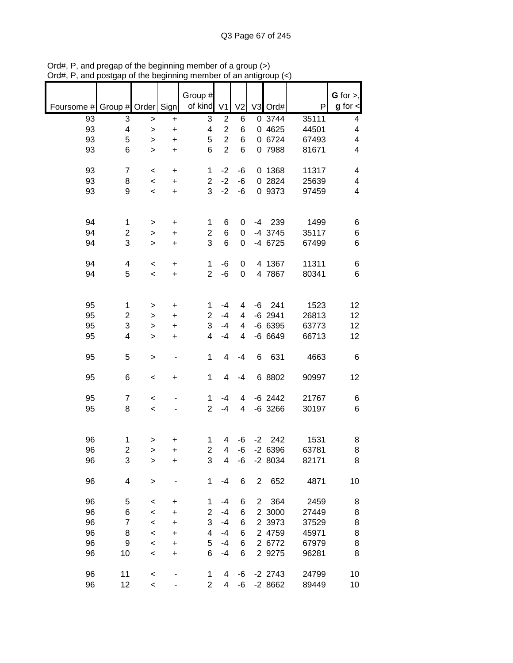|                          |                |              |                          | Group #        |                         |                  |                |           |       | $G$ for $>$ , |
|--------------------------|----------------|--------------|--------------------------|----------------|-------------------------|------------------|----------------|-----------|-------|---------------|
| Foursome # Group # Order |                |              | Sign                     | of kind        | V <sub>1</sub>          | V <sub>2</sub>   |                | V3 Ord#   | P     | $g$ for $\lt$ |
| 93                       | 3              | >            | $\ddot{}$                | 3              | $\overline{2}$          | 6                |                | 0.3744    | 35111 | 4             |
| 93                       | 4              | $\, > \,$    | +                        | 4              | $\overline{c}$          | 6                |                | 0 4625    | 44501 | 4             |
| 93                       | 5              | >            | $\ddot{}$                | 5              | $\overline{2}$          | 6                |                | 0 6724    | 67493 | 4             |
| 93                       | 6              | $\geq$       | $\ddot{}$                | 6              | $\overline{2}$          | 6                |                | 0 7988    | 81671 | 4             |
|                          |                |              |                          |                |                         |                  |                |           |       |               |
| 93                       | $\overline{7}$ | $\,<$        | +                        | $\mathbf{1}$   | $-2$                    | -6               |                | 0 1368    | 11317 | 4             |
| 93                       | 8              | $\,<$        | $\ddot{}$                | $\overline{c}$ | $-2$                    | $-6$             |                | 0 2824    | 25639 | 4             |
|                          |                |              |                          |                |                         |                  |                |           |       |               |
| 93                       | 9              | $\,<$        | $\ddot{}$                | 3              | $-2$                    | -6               |                | 0 9373    | 97459 | 4             |
|                          |                |              |                          |                |                         |                  |                |           |       |               |
|                          |                |              |                          |                |                         |                  |                |           |       |               |
| 94                       | 1              | >            | $\ddot{}$                | 1              | 6                       | 0                | $-4$           | 239       | 1499  | 6             |
| 94                       | 2              | >            | $\ddot{}$                | $\overline{c}$ | 6                       | 0                |                | -4 3745   | 35117 | 6             |
| 94                       | 3              | $\, > \,$    | $\ddot{}$                | 3              | $6\phantom{1}6$         | 0                |                | -4 6725   | 67499 | 6             |
|                          |                |              |                          |                |                         |                  |                |           |       |               |
| 94                       | 4              | $\,<$        | $\ddot{}$                | 1              | -6                      | 0                |                | 4 1367    | 11311 | 6             |
| 94                       | 5              | $\prec$      | $\ddot{}$                | $\overline{2}$ | -6                      | $\boldsymbol{0}$ |                | 4 7867    | 80341 | 6             |
|                          |                |              |                          |                |                         |                  |                |           |       |               |
|                          |                |              |                          |                |                         |                  |                |           |       |               |
| 95                       | $\mathbf{1}$   |              |                          | 1              | $-4$                    | 4                | -6             | 241       | 1523  | 12            |
|                          |                | >            | $\ddot{}$                |                |                         |                  |                |           |       |               |
| 95                       | 2              | >            | $\ddot{}$                | $\overline{2}$ | $-4$                    | 4                |                | $-6$ 2941 | 26813 | 12            |
| 95                       | 3              | >            | $\ddot{}$                | 3              | $-4$                    | 4                |                | $-666395$ | 63773 | 12            |
| 95                       | 4              | $\geq$       | $\ddot{}$                | 4              | $-4$                    | 4                |                | $-66649$  | 66713 | 12            |
|                          |                |              |                          |                |                         |                  |                |           |       |               |
| 95                       | 5              | $\,>$        | $\overline{\phantom{a}}$ | 1              | 4                       | $-4$             | 6              | 631       | 4663  | 6             |
|                          |                |              |                          |                |                         |                  |                |           |       |               |
| 95                       | 6              | $\,<$        | $\ddot{}$                | 1              | 4                       | $-4$             |                | 6 8802    | 90997 | 12            |
|                          |                |              |                          |                |                         |                  |                |           |       |               |
| 95                       | $\overline{7}$ | $\,<$        |                          | 1              | -4                      | 4                |                | $-6$ 2442 | 21767 | 6             |
| 95                       | 8              | $\prec$      |                          | $\overline{2}$ | $-4$                    | 4                |                | $-6$ 3266 | 30197 | 6             |
|                          |                |              |                          |                |                         |                  |                |           |       |               |
|                          |                |              |                          |                |                         |                  |                |           |       |               |
| 96                       | 1              |              |                          | 1              | 4                       | -6               | $-2$           | 242       | 1531  |               |
|                          |                | >            | +                        |                |                         |                  |                |           |       | 8             |
| 96                       | $\overline{2}$ | $\geq$       | $\ddot{}$                | $\overline{2}$ | $\overline{\mathbf{4}}$ | -6               |                | $-26396$  | 63781 | 8             |
| 96                       | 3              | >            | +                        | 3              | $\overline{\mathbf{4}}$ | -6               |                | $-28034$  | 82171 | 8             |
|                          |                |              |                          |                |                         |                  |                |           |       |               |
| 96                       | 4              | $\mathbf{I}$ |                          | $\mathbf{1}$   | $-4$                    | 6                | 2              | 652       | 4871  | 10            |
|                          |                |              |                          |                |                         |                  |                |           |       |               |
| 96                       | 5              | $\,<$        | $\ddot{}$                | 1              | $-4$                    | 6                | $\overline{c}$ | 364       | 2459  | 8             |
| 96                       | 6              | $\prec$      | +                        | $\overline{c}$ | $-4$                    | 6                |                | 2 3000    | 27449 | 8             |
| 96                       | $\overline{7}$ | $\,<$        | +                        | 3              | $-4$                    | 6                |                | 2 3973    | 37529 | 8             |
| 96                       | 8              | $\,<$        | +                        | 4              | $-4$                    | 6                |                | 2 4759    | 45971 | 8             |
| 96                       | 9              | $\,<$        | +                        | 5              | $-4$                    | 6                |                | 2 6772    | 67979 | 8             |
| 96                       | 10             | $\,<$        |                          | 6              | $-4$                    | 6                |                | 2 9 275   | 96281 | 8             |
|                          |                |              | +                        |                |                         |                  |                |           |       |               |
|                          |                |              |                          |                |                         |                  |                |           |       |               |
| 96                       | 11             | $\,<$        |                          | 1              | 4                       | -6               |                | $-2$ 2743 | 24799 | 10            |
| 96                       | 12             | $\,<$        |                          | $\overline{2}$ | 4                       | -6               |                | $-28662$  | 89449 | 10            |

Ord#, P, and pregap of the beginning member of a group (>) Ord#, P, and postgap of the beginning member of an antigroup (<)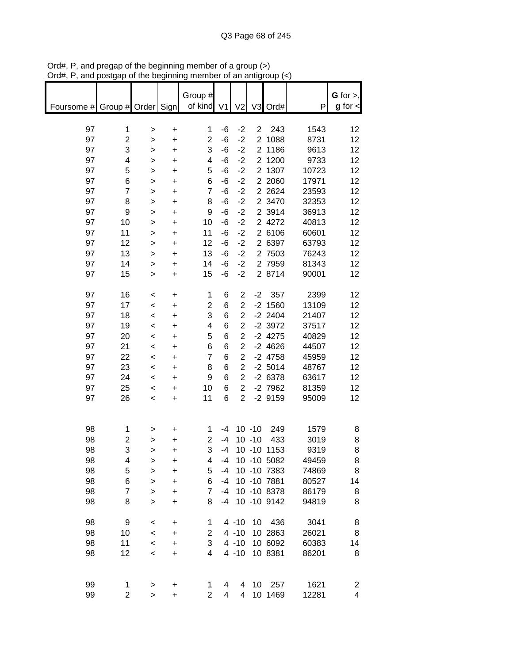| $max$ , $max$ , and $sum$ or the beginning member or an analytical $(\sim)$ |                         |              |           |                         |             |                |                |              |       |                 |
|-----------------------------------------------------------------------------|-------------------------|--------------|-----------|-------------------------|-------------|----------------|----------------|--------------|-------|-----------------|
|                                                                             |                         |              |           | Group #                 |             |                |                |              |       | G for $>$ ,     |
|                                                                             |                         |              |           |                         |             |                |                |              |       |                 |
| Foursome # Group # Order Sign                                               |                         |              |           | of kind V1              |             | V <sub>2</sub> |                | V3 Ord#      | P     | $g$ for $\lt$   |
|                                                                             |                         |              |           |                         |             |                |                |              |       |                 |
| 97                                                                          | 1                       | $\, > \,$    | $\ddot{}$ | 1                       | -6          | $-2$           | $\overline{2}$ | 243          | 1543  | 12              |
| 97                                                                          | $\overline{\mathbf{c}}$ | $\,$         | $\ddot{}$ | $\overline{2}$          | -6          | $-2$           |                | 2 1088       | 8731  | 12              |
| 97                                                                          | 3                       | $\,$         | $\ddot{}$ | 3                       | -6          | $-2$           |                | 2 1186       | 9613  | 12              |
| 97                                                                          | 4                       | $\geq$       | $\ddot{}$ | 4                       | -6          | $-2$           |                | 2 1200       | 9733  | 12              |
| 97                                                                          | 5                       | $\mathbf{L}$ | $\ddot{}$ | 5                       | -6          | $-2$           |                | 2 1307       | 10723 | 12              |
| 97                                                                          | 6                       | $\geq$       | $\ddot{}$ | 6                       | -6          | $-2$           |                | 2 2060       | 17971 | 12              |
| 97                                                                          | $\overline{\mathbf{7}}$ | $\,$         | $\ddot{}$ | $\overline{7}$          | $-6$        | $-2$           |                | 2 2 6 2 4    | 23593 | 12              |
| 97                                                                          | 8                       | $\,$         | $\ddot{}$ | 8                       | -6          | $-2$           |                | 2 3470       | 32353 | 12              |
| 97                                                                          | 9                       | >            | $\ddot{}$ | 9                       | -6          | $-2$           |                | 2 3914       | 36913 | 12              |
| 97                                                                          | 10                      | $\mathbf{I}$ | $\ddot{}$ | 10                      | -6          | $-2$           |                | 2 4272       | 40813 | 12              |
| 97                                                                          | 11                      |              | $\ddot{}$ | 11                      | -6          | $-2$           |                | 2 6106       | 60601 | 12              |
| 97                                                                          |                         | $\,$         |           | 12                      |             |                |                | 2 6397       |       |                 |
|                                                                             | 12                      | $\mathbf{L}$ | $\ddot{}$ |                         | -6          | $-2$           |                |              | 63793 | 12              |
| 97                                                                          | 13                      | $\, > \,$    | $\ddot{}$ | 13                      | -6          | $-2$           |                | 2 7503       | 76243 | 12              |
| 97                                                                          | 14                      | $\mathbf{I}$ | $\ddot{}$ | 14                      | -6          | $-2$           |                | 2 7959       | 81343 | 12              |
| 97                                                                          | 15                      | $\,$         | $\ddot{}$ | 15                      | -6          | $-2$           |                | 2 8714       | 90001 | 12              |
|                                                                             |                         |              |           |                         |             |                |                |              |       |                 |
| 97                                                                          | 16                      | $\,<\,$      | $\ddot{}$ | 1                       | 6           | $\overline{c}$ | $-2$           | 357          | 2399  | 12              |
| 97                                                                          | 17                      | $\,<\,$      | $\ddot{}$ | $\overline{\mathbf{c}}$ | 6           | $\overline{c}$ |                | $-2$ 1560    | 13109 | 12              |
| 97                                                                          | 18                      | $\,<\,$      | $\ddot{}$ | 3                       | 6           | $\overline{2}$ |                | $-2$ 2404    | 21407 | 12              |
| 97                                                                          | 19                      | $\prec$      | $\ddot{}$ | 4                       | 6           | $\overline{c}$ |                | $-2$ 3972    | 37517 | 12              |
| 97                                                                          | 20                      | $\prec$      | $\ddot{}$ | 5                       | 6           | $\overline{2}$ |                | $-2$ 4275    | 40829 | 12              |
| 97                                                                          | 21                      | $\prec$      | $\ddot{}$ | 6                       | 6           | $\overline{2}$ |                | $-2$ 4626    | 44507 | 12              |
| 97                                                                          | 22                      | $\prec$      | $\ddot{}$ | $\overline{7}$          | $\,6$       | $\overline{2}$ |                | $-2$ 4758    | 45959 | 12              |
| 97                                                                          | 23                      | $\prec$      | $\ddot{}$ | 8                       | $\,$ 6 $\,$ | $\overline{c}$ |                | $-2$ 5014    | 48767 | 12              |
| 97                                                                          | 24                      | $\,<\,$      | $\ddot{}$ | 9                       | 6           | $\overline{c}$ |                | $-26378$     | 63617 | 12 <sub>2</sub> |
| 97                                                                          | 25                      | $\,<\,$      | $\ddot{}$ | 10                      | 6           | $\overline{c}$ |                | $-2$ 7962    | 81359 | 12              |
| 97                                                                          | 26                      | $\,<\,$      | $\ddot{}$ | 11                      | 6           | $\overline{2}$ |                | $-2$ 9159    | 95009 | 12              |
|                                                                             |                         |              |           |                         |             |                |                |              |       |                 |
|                                                                             |                         |              |           |                         |             |                |                |              |       |                 |
| 98                                                                          | 1                       | >            | +         | 1                       | -4          |                | $10 - 10$      | 249          | 1579  | 8               |
| 98                                                                          | 2                       |              |           | $\overline{c}$          | $-4$        |                | $10 - 10$      | 433          | 3019  | 8               |
| 98                                                                          | 3                       | $\, > \,$    | +         | 3                       |             |                |                | 10 -10 1153  | 9319  | 8               |
|                                                                             |                         | >            | +         |                         | -4          |                |                |              |       |                 |
| 98                                                                          | 4                       | >            | +         | 4                       | -4          |                |                | 10 -10 5082  | 49459 | 8               |
| 98                                                                          | 5                       | $\mathbf{I}$ | $\ddot{}$ | 5                       | -4          |                |                | 10 -10 7383  | 74869 | 8               |
| 98                                                                          | 6                       | >            | $\ddot{}$ | 6                       | $-4$        |                |                | 10 -10 7881  | 80527 | 14              |
| 98                                                                          | $\overline{7}$          | $\mathbf{I}$ | $\ddot{}$ | $\overline{7}$          | $-4$        |                |                | 10 - 10 8378 | 86179 | 8               |
| 98                                                                          | 8                       | $\mathbf{I}$ | $\ddot{}$ | 8                       | -4          |                |                | 10 -10 9142  | 94819 | 8               |
|                                                                             |                         |              |           |                         |             |                |                |              |       |                 |
| 98                                                                          | 9                       | $\,<$        | +         | 1                       |             | $4 - 10$       |                | 10 436       | 3041  | 8               |
| 98                                                                          | 10                      | $\prec$      | $\ddot{}$ | 2                       |             | $4 - 10$       |                | 10 2863      | 26021 | 8               |
| 98                                                                          | 11                      | $\prec$      | $\ddot{}$ | 3                       |             | $4 - 10$       |                | 10 6092      | 60383 | 14              |
| 98                                                                          | 12                      | $\prec$      | $\ddot{}$ | 4                       |             | $4 - 10$       |                | 10 8381      | 86201 | 8               |
|                                                                             |                         |              |           |                         |             |                |                |              |       |                 |
|                                                                             |                         |              |           |                         |             |                |                |              |       |                 |
| 99                                                                          | 1                       | $\geq$       | +         | 1                       | 4           | 4              |                | 10 257       | 1621  | 2               |
| 99                                                                          | $\overline{2}$          | $\mathbf{I}$ | $\ddot{}$ | $\overline{2}$          | 4           | $\overline{4}$ |                | 10 1469      | 12281 | 4               |

Ord#, P, and pregap of the beginning member of a group (>) Ord#, P, and postgap of the beginning member of an antigroup (<)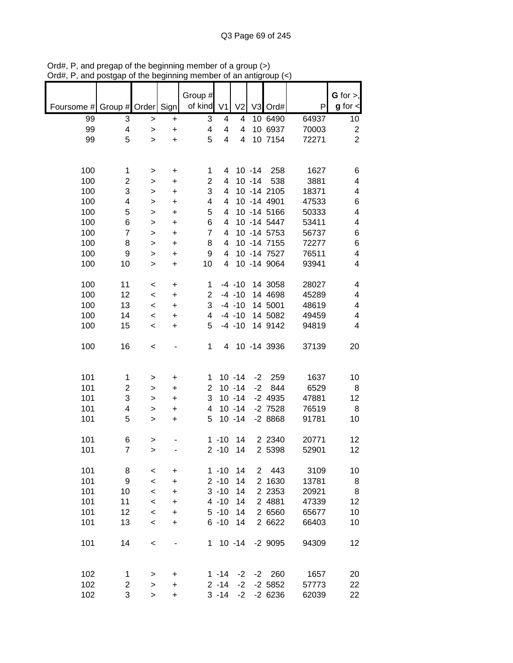|                               |                         |              |           | Group #        |                         |                |                |                |       | G for $>$ ,     |
|-------------------------------|-------------------------|--------------|-----------|----------------|-------------------------|----------------|----------------|----------------|-------|-----------------|
| Foursome # Group # Order Sign |                         |              |           | of kind V1     |                         | V <sub>2</sub> |                | V3 Ord#        | P     | $g$ for $\lt$   |
|                               |                         |              |           |                |                         |                |                |                |       |                 |
| 99                            | 3                       | $\, >$       | $\ddot{}$ | 3              | 4                       | 4              |                | 10 6490        | 64937 | 10 <sub>1</sub> |
| 99                            | 4                       | $\geq$       | $\ddot{}$ | 4              | 4                       | 4              |                | 10 6937        | 70003 | $\overline{2}$  |
| 99                            | 5                       | $\geq$       | $\ddot{}$ | 5              | $\overline{\mathbf{4}}$ | $\overline{4}$ |                | 10 7154        | 72271 | $\overline{2}$  |
|                               |                         |              |           |                |                         |                |                |                |       |                 |
|                               |                         |              |           |                |                         |                |                |                |       |                 |
| 100                           | 1                       | $\,>$        | $\ddot{}$ | 1              |                         |                |                | 4 10 -14 258   | 1627  | 6               |
| 100                           | $\overline{\mathbf{c}}$ | $\,$         | $\ddot{}$ | $\overline{c}$ | 4                       |                |                | 10 -14 538     | 3881  | 4               |
| 100                           | 3                       | $\mathbf{I}$ | $\ddot{}$ | 3              | 4                       |                |                | 10 -14 2105    | 18371 | 4               |
| 100                           | 4                       | $\geq$       | $\ddot{}$ | 4              | 4                       |                |                | 10 -14 4901    | 47533 | 6               |
| 100                           | 5                       | $\geq$       | $\ddot{}$ | 5              | 4                       |                |                | 10 -14 5166    | 50333 | 4               |
| 100                           | 6                       |              | $\ddot{}$ | 6              | 4                       |                |                | 10 -14 5447    | 53411 | 4               |
|                               | $\overline{7}$          | $\mathbf{I}$ |           | $\overline{7}$ | $\overline{4}$          |                |                | 10 - 14 5753   |       |                 |
| 100                           |                         | $\geq$       | $\ddot{}$ |                |                         |                |                |                | 56737 | 6               |
| 100                           | 8                       | $\mathbf{I}$ | $\ddot{}$ | 8              | 4                       |                |                | 10 - 14 7155   | 72277 | 6               |
| 100                           | 9                       | $\mathbf{I}$ | $\ddot{}$ | 9              | 4                       |                |                | 10 -14 7527    | 76511 | 4               |
| 100                           | 10                      | $\geq$       | $\ddot{}$ | 10             | $\overline{4}$          |                |                | 10 -14 9064    | 93941 | 4               |
|                               |                         |              |           |                |                         |                |                |                |       |                 |
| 100                           | 11                      | $\,<$        | $\ddot{}$ | $\mathbf 1$    |                         |                |                | -4 -10 14 3058 | 28027 | 4               |
| 100                           | 12                      | $\prec$      | $\ddot{}$ | $\overline{c}$ |                         | $-4 - 10$      |                | 14 4698        | 45289 | 4               |
| 100                           | 13                      | $\,<$        | $\ddot{}$ | 3              |                         | $-4 - 10$      |                | 14 5001        | 48619 | 4               |
| 100                           | 14                      | $\,<$        | $\ddot{}$ | 4              |                         | $-4 - 10$      |                | 14 5082        | 49459 | 4               |
| 100                           | 15                      | $\,<$        | $\ddot{}$ | 5              |                         | $-4 - 10$      |                | 14 9142        | 94819 | 4               |
|                               |                         |              |           |                |                         |                |                |                |       |                 |
| 100                           | 16                      | $\,<$        |           | 1              |                         |                |                | 4 10 -14 3936  | 37139 | 20              |
|                               |                         |              |           |                |                         |                |                |                |       |                 |
|                               |                         |              |           |                |                         |                |                |                |       |                 |
| 101                           | 1                       | $\, > \,$    | +         | 1              |                         | $10 - 14$      |                | $-2$ 259       | 1637  | 10              |
| 101                           | $\overline{c}$          | $\, > \,$    | $\ddot{}$ | $\overline{2}$ |                         | $10 - 14$      |                | $-2$ 844       | 6529  | 8               |
| 101                           | 3                       |              | $\ddot{}$ | 3              |                         | $10 - 14$      |                | -2 4935        | 47881 | 12              |
|                               | 4                       | $\,$         |           | 4              |                         | $10 - 14$      |                |                |       |                 |
| 101                           |                         | $\, > \,$    | $\ddot{}$ |                |                         |                |                | -2 7528        | 76519 | 8               |
| 101                           | 5                       | $\geq$       | $\ddot{}$ | 5              |                         | $10 - 14$      |                | $-28868$       | 91781 | 10              |
| 101                           |                         |              |           |                | $1 - 10$                | 14             |                | 2 2 3 4 0      |       | 12              |
|                               | 6                       | $\geq$       |           |                |                         |                |                |                | 20771 |                 |
| 101                           | $\overline{7}$          | $\geq$       |           |                | $2 - 10$                | 14             |                | 2 5398         | 52901 | 12              |
|                               |                         |              |           |                |                         |                |                |                |       |                 |
| 101                           | 8                       | $\,<\,$      | $\ddot{}$ |                | $1 - 10$                | 14             | $\overline{2}$ | 443            | 3109  | 10              |
| 101                           | 9                       | $\,<$        | +         |                | $2 - 10$                | 14             |                | 2 1630         | 13781 | 8               |
| 101                           | 10                      | $\,<\,$      | +         |                | $3 - 10$                | 14             |                | 2 2 3 5 3      | 20921 | 8               |
| 101                           | 11                      | $\,<\,$      | $\ddot{}$ |                | $4 - 10$                | 14             |                | 2 4881         | 47339 | 12              |
| 101                           | 12                      | $\,<\,$      | $\ddot{}$ |                | $5 - 10$                | 14             |                | 2 6560         | 65677 | 10              |
| 101                           | 13                      | $\,<$        | +         |                | $6 - 10$                | 14             |                | 2 6622         | 66403 | 10              |
|                               |                         |              |           |                |                         |                |                |                |       |                 |
| 101                           | 14                      | $\,<$        |           | 1              |                         | $10 - 14$      |                | $-2$ 9095      | 94309 | 12              |
|                               |                         |              |           |                |                         |                |                |                |       |                 |
|                               |                         |              |           |                |                         |                |                |                |       |                 |
| 102                           | 1                       | >            | +         |                | $1 - 14$                | $-2$           | $-2$           | 260            | 1657  | 20              |
| 102                           | 2                       | $\, > \,$    | +         |                | $2 - 14$                | $-2$           |                | $-2,5852$      | 57773 | 22              |
| 102                           | 3                       | $\geq$       | $\ddot{}$ |                | $3 - 14$                |                |                | $-2$ $-2$ 6236 | 62039 | 22              |

Ord#, P, and pregap of the beginning member of a group (>) Ord#, P, and postgap of the beginning member of an antigroup (<)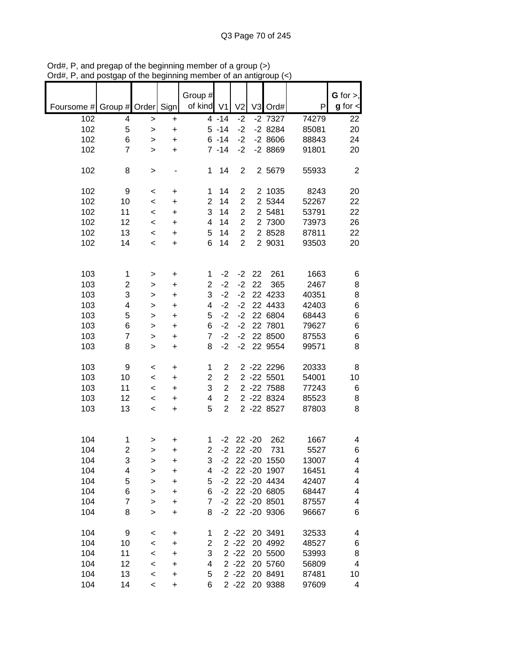|            |                |              |                                  |                |                |                |           |              |       | G for $>$ ,   |
|------------|----------------|--------------|----------------------------------|----------------|----------------|----------------|-----------|--------------|-------|---------------|
|            |                |              |                                  | Group #        |                |                |           |              |       |               |
| Foursome # | Group # Order  |              | Sign                             | of kind V1     |                | V <sub>2</sub> |           | V3 Ord#      | P     | $g$ for $\lt$ |
| 102        | 4              | $\,>$        | $\ddot{}$                        |                | $4 - 14$       | $-2$           |           | $-2$ 7327    | 74279 | 22            |
| 102        | 5              | $\mathbf{I}$ | $\ddot{}$                        |                | $5 - 14$       | $-2$           |           | $-28284$     | 85081 | 20            |
| 102        | 6              | $\geq$       | +                                |                | $6 - 14$       | $-2$           |           | $-28606$     | 88843 | 24            |
| 102        | $\overline{7}$ | $\geq$       | +                                |                | $7 - 14$       | $-2$           |           | $-28869$     | 91801 | 20            |
|            |                |              |                                  |                |                |                |           |              |       |               |
| 102        | 8              | >            |                                  | $\mathbf 1$    | 14             | $\overline{c}$ |           | 2 5679       | 55933 | $\mathbf{2}$  |
|            |                |              |                                  |                |                |                |           |              |       |               |
| 102        | 9              |              |                                  | 1              | 14             | $\overline{c}$ |           | 2 1035       | 8243  | 20            |
|            |                | $\,<$        | $\ddot{}$                        |                |                |                |           |              |       |               |
| 102        | 10             | $\,<$        | $\ddot{}$                        | $\overline{2}$ | 14             | $\overline{2}$ |           | 2 5344       | 52267 | 22            |
| 102        | 11             | $\prec$      | $\ddot{}$                        | 3              | 14             | $\overline{2}$ |           | 2 5481       | 53791 | 22            |
| 102        | 12             | $\,<\,$      | $\ddot{}$                        | 4              | 14             | $\overline{2}$ |           | 2 7300       | 73973 | 26            |
| 102        | 13             | $\,<\,$      | $\ddot{}$                        | 5              | 14             | $\overline{2}$ |           | 2 8528       | 87811 | 22            |
| 102        | 14             | $\,<\,$      | $\ddot{}$                        | 6              | 14             | $\overline{2}$ |           | 2 9031       | 93503 | 20            |
|            |                |              |                                  |                |                |                |           |              |       |               |
|            |                |              |                                  |                |                |                |           |              |       |               |
| 103        | 1              | >            | $\ddot{}$                        | 1              | $-2$           | $-2$           | 22        | 261          | 1663  | 6             |
| 103        | 2              |              | $\ddot{}$                        | $\overline{2}$ | $-2$           | $-2$           | 22        | 365          | 2467  | 8             |
|            |                | >            |                                  |                | $-2$           | $-2$           |           | 22 4233      |       |               |
| 103        | 3              | >            | $\ddot{}$                        | 3              |                |                |           |              | 40351 | 8             |
| 103        | 4              | $\mathbf{I}$ | $\ddot{}$                        | 4              | $-2$           | $-2$           |           | 22 4433      | 42403 | 6             |
| 103        | 5              | $\geq$       | $\ddot{}$                        | 5              | $-2$           | $-2$           |           | 22 6804      | 68443 | 6             |
| 103        | 6              | >            | +                                | 6              | $-2$           | $-2$           |           | 22 7801      | 79627 | $\,$ 6 $\,$   |
| 103        | $\overline{7}$ | >            | $\ddot{}$                        | $\overline{7}$ | $-2$           | $-2$           |           | 22 8500      | 87553 | 6             |
| 103        | 8              | >            | $\begin{array}{c} + \end{array}$ | 8              | $-2$           | $-2$           |           | 22 9554      | 99571 | 8             |
|            |                |              |                                  |                |                |                |           |              |       |               |
| 103        | 9              |              |                                  | 1              | $\overline{2}$ |                |           | 2 -22 2296   | 20333 | 8             |
|            |                | <            | $\mathbf +$                      |                |                |                |           |              |       |               |
| 103        | 10             | $\,<$        | $\ddot{}$                        | $\overline{2}$ | $\overline{2}$ |                |           | 2 -22 5501   | 54001 | 10            |
| 103        | 11             | $\,<$        | $\ddot{}$                        | 3              | $\overline{2}$ |                |           | 2 -22 7588   | 77243 | 6             |
| 103        | 12             | $\,<\,$      | +                                | 4              | $\overline{2}$ |                |           | 2 - 22 8324  | 85523 | 8             |
| 103        | 13             | $\,<\,$      | $\ddot{}$                        | 5              | $\overline{2}$ |                |           | 2 -22 8527   | 87803 | 8             |
|            |                |              |                                  |                |                |                |           |              |       |               |
|            |                |              |                                  |                |                |                |           |              |       |               |
| 104        | 1              | >            | +                                | 1              | $-2$           |                | $22 - 20$ | 262          | 1667  | 4             |
| 104        | $\overline{2}$ | $\geq$       | +                                | $\overline{2}$ | $-2$           |                | $22 - 20$ | 731          | 5527  | 6             |
| 104        |                |              |                                  |                |                |                |           |              |       |               |
|            | 3              | >            | +                                | 3              | $-2$           |                |           | 22 - 20 1550 | 13007 | 4             |
| 104        | 4              | >            | +                                | 4              | $-2$           |                |           | 22 - 20 1907 | 16451 | 4             |
| 104        | 5              | >            | +                                | 5              | $-2$           |                |           | 22 - 20 4434 | 42407 | 4             |
| 104        | 6              | >            | +                                | 6              | $-2$           |                |           | 22 - 20 6805 | 68447 | 4             |
| 104        | 7              | >            | $\ddot{}$                        | 7              | $-2$           |                |           | 22 - 20 8501 | 87557 | 4             |
| 104        | 8              | >            | +                                | 8              | $-2$           |                |           | 22 - 20 9306 | 96667 | 6             |
|            |                |              |                                  |                |                |                |           |              |       |               |
| 104        | 9              | <            | $\mathbf +$                      | 1              |                | $2 - 22$       |           | 20 3491      | 32533 | 4             |
| 104        | 10             | $\,<$        | +                                | 2              |                | $2 - 22$       |           | 20 4992      | 48527 | 6             |
|            | 11             |              |                                  | 3              |                |                |           |              |       |               |
| 104        |                | $\,<$        | +                                |                |                | $2 - 22$       |           | 20 5500      | 53993 | 8             |
| 104        | 12             | $\,<$        | +                                | 4              |                | $2 - 22$       |           | 20 5760      | 56809 | 4             |
| 104        | 13             | $\,<$        | +                                | 5              |                | $2 - 22$       |           | 20 8491      | 87481 | 10            |
| 104        | 14             | $\,<$        | $\ddot{}$                        | 6              |                | $2 - 22$       |           | 20 9388      | 97609 | 4             |

Ord#, P, and pregap of the beginning member of a group (>) Ord#, P, and postgap of the beginning member of an antigroup (<)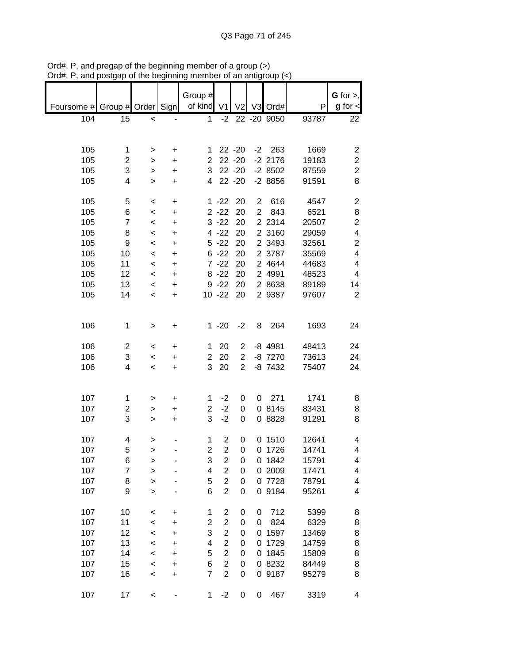|                               |                |                          |           | Group #                 |                         |                |   |              |       | G for $>$ ,             |
|-------------------------------|----------------|--------------------------|-----------|-------------------------|-------------------------|----------------|---|--------------|-------|-------------------------|
| Foursome # Group # Order Sign |                |                          |           | of kind V1              |                         |                |   | V2 V3 Ord#   | P     | $g$ for $\lt$           |
| 104                           | 15             | $\,<$                    |           | $\mathbf{1}$            | $-2$                    |                |   | 22 - 20 9050 | 93787 | 22                      |
|                               |                |                          |           |                         |                         |                |   |              |       |                         |
|                               |                |                          |           |                         |                         |                |   |              |       |                         |
| 105                           | 1              | $\, > \,$                | +         | 1                       |                         | 22 - 20        |   | $-2$ 263     | 1669  | $\overline{c}$          |
| 105                           | 2              | $\, >$                   | $\ddot{}$ | $\overline{2}$          |                         | $22 - 20$      |   | $-2$ 2176    | 19183 | $\boldsymbol{2}$        |
| 105                           | 3              | $\,$                     | $\ddot{}$ | 3                       |                         | $22 - 20$      |   | $-28502$     | 87559 | $\boldsymbol{2}$        |
| 105                           | 4              | $\mathbf{I}$             | $\ddot{}$ | $\overline{4}$          |                         | $22 - 20$      |   | $-28856$     | 91591 | 8                       |
|                               |                |                          |           |                         |                         |                |   |              |       |                         |
| 105                           | 5              | $\,<\,$                  | $\ddot{}$ |                         | $1 - 22$                | 20             |   | 2 616        | 4547  | $\boldsymbol{2}$        |
| 105                           | 6              | $\,<$                    | $\ddot{}$ |                         | $2 - 22$                | 20             |   | 2 843        | 6521  | 8                       |
| 105                           | $\overline{7}$ | $\prec$                  | $\ddot{}$ |                         | $3 - 22$                | 20             |   | 2 2 3 1 4    | 20507 | $\boldsymbol{2}$        |
| 105                           | 8              | $\prec$                  | $\ddot{}$ |                         | $4 - 22$                | 20             |   | 2 3160       | 29059 | $\overline{\mathbf{4}}$ |
| 105                           | 9              | $\overline{\phantom{0}}$ | $\ddot{}$ |                         | 5 - 22 20               |                |   | 2 3493       | 32561 | $\boldsymbol{2}$        |
| 105                           | 10             | $\,<$                    | $\ddot{}$ |                         | $6 - 22$                | 20             |   | 2 3787       | 35569 | $\overline{\mathbf{4}}$ |
| 105                           | 11             | $\prec$                  | $\ddot{}$ |                         | $7 - 22$                | 20             |   | 2 4644       | 44683 | $\overline{\mathbf{4}}$ |
| 105                           | 12             | $\,<$                    | $\ddot{}$ |                         | $8 - 22$                | 20             |   | 2 4991       | 48523 | $\overline{\mathbf{4}}$ |
| 105                           | 13             | $\,<$                    | $\ddot{}$ |                         | $9 - 22$                | 20             |   | 2 8638       | 89189 | 14                      |
| 105                           | 14             | $\,<$                    | $\ddot{}$ |                         | 10 -22 20               |                |   | 2 9387       | 97607 | $\overline{2}$          |
|                               |                |                          |           |                         |                         |                |   |              |       |                         |
|                               |                |                          |           |                         |                         |                |   |              |       |                         |
| 106                           | 1              | $\, > \,$                | +         |                         | $1 - 20$                | $-2$           | 8 | 264          | 1693  | 24                      |
|                               |                |                          |           |                         |                         |                |   |              |       |                         |
| 106                           | $\overline{2}$ | $\,<\,$                  | +         | 1                       | 20                      | $\overline{2}$ |   | $-8$ 4981    | 48413 | 24                      |
| 106                           | 3              | $\,<\,$                  | $\ddot{}$ | $\overline{2}$          | 20                      | $\overline{2}$ |   | $-8$ 7270    | 73613 | 24                      |
| 106                           | 4              | $\overline{\phantom{a}}$ | $\ddot{}$ | 3                       | 20                      | $\overline{2}$ |   | $-8$ 7432    | 75407 | 24                      |
|                               |                |                          |           |                         |                         |                |   |              |       |                         |
|                               |                |                          |           |                         |                         |                |   |              |       |                         |
| 107                           | 1              | >                        | +         | 1                       | $-2$                    | 0              |   | $0$ 271      | 1741  | 8                       |
| 107                           | 2              | $\, > \,$                | $\ddot{}$ | $\overline{2}$          | $-2$                    | 0              |   | 0 8145       | 83431 | 8                       |
| 107                           | 3              | $\, > \,$                | $\ddot{}$ | 3                       | $-2$                    | 0              |   | 0 8828       | 91291 | 8                       |
|                               |                |                          |           |                         |                         |                |   |              |       |                         |
| 107                           | 4              | $\,$                     |           | 1                       | $\overline{2}$          | 0              |   | 0 1510       | 12641 | 4                       |
| 107                           | 5              | $\geq$                   |           | $\overline{\mathbf{c}}$ | $\boldsymbol{2}$        | 0              |   | 0 1726       | 14741 | 4                       |
| 107                           | 6              | >                        |           | 3                       | $\overline{\mathbf{c}}$ | 0              |   | 0 1842       | 15791 | 4                       |
| 107                           | $\overline{7}$ | $\, > \,$                |           | 4                       | $\overline{\mathbf{c}}$ | 0              |   | 0 2009       | 17471 | 4                       |
| 107                           | 8              | >                        |           | 5                       | $\overline{c}$          | 0              |   | 0 7728       | 78791 | 4                       |
| 107                           | 9              | $\, > \,$                |           | 6                       | $\overline{2}$          | 0              |   | 0 9184       | 95261 | 4                       |
|                               |                |                          |           |                         |                         |                |   |              |       |                         |
| 107                           | 10             | $\,<$                    | +         | 1                       | $\overline{\mathbf{c}}$ | 0              | 0 | 712          | 5399  | 8                       |
| 107                           | 11             | $\,<$                    | +         | $\overline{\mathbf{c}}$ | $\mathbf{2}$            | 0              | 0 | 824          | 6329  | 8                       |
| 107                           | 12             | $\prec$                  | $\ddot{}$ | 3                       | $\overline{c}$          | 0              | 0 | 1597         | 13469 | 8                       |
| 107                           | 13             | $\prec$                  | $\ddot{}$ | 4                       | $\overline{2}$          | 0              | 0 | 1729         | 14759 | 8                       |
| 107                           | 14             | $\prec$                  | $\ddot{}$ | 5                       | $\overline{\mathbf{c}}$ | 0              | 0 | 1845         | 15809 | 8                       |
| 107                           | 15             | $\prec$                  | $\ddot{}$ | 6                       | $\overline{2}$          | 0              |   | 0 8232       | 84449 | 8                       |
| 107                           | 16             | $\prec$                  | $\ddot{}$ | $\overline{7}$          | $\overline{c}$          | 0              |   | 0 9187       | 95279 | 8                       |
|                               |                |                          |           |                         |                         |                |   |              |       |                         |
| 107                           | 17             | $\,<$                    |           | 1                       | $-2$                    | 0              | 0 | 467          | 3319  | 4                       |

Ord#, P, and pregap of the beginning member of a group (>) Ord#, P, and postgap of the beginning member of an antigroup (<)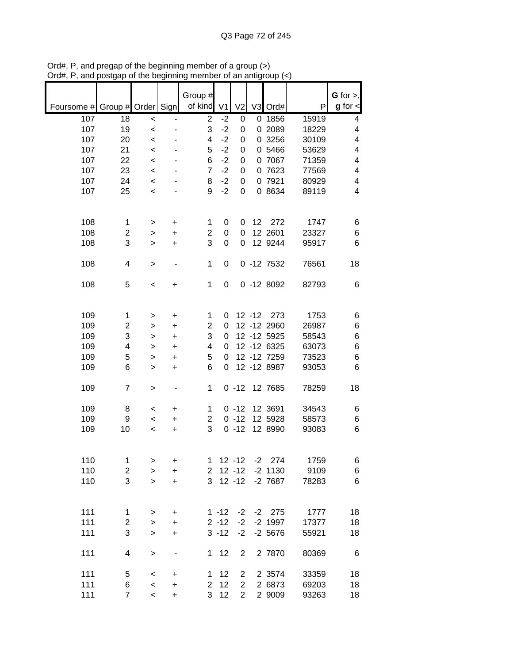|            |                         |                          |                | Group #        |                      |                |           |                       |               | G for $>$ ,             |
|------------|-------------------------|--------------------------|----------------|----------------|----------------------|----------------|-----------|-----------------------|---------------|-------------------------|
| Foursome # | Group # Order           |                          | Sign           | of kind        | V <sub>1</sub>       | V <sub>2</sub> | V3        | Ord#                  | P             | $g$ for $\lt$           |
| 107        | 18                      | $\,<$                    | ÷,             | $\overline{2}$ | $-2$                 | 0              | 0         | 1856                  | 15919         | 4                       |
| 107        | 19                      | $\,<$                    |                | 3              | $-2$                 | 0              |           | 0 2089                | 18229         | $\overline{\mathbf{4}}$ |
| 107        | 20                      | $\,<$                    |                | 4              | $-2$                 | 0              |           | 0 3256                | 30109         | 4                       |
| 107        | 21                      | $\,<\,$                  |                | 5              | $-2$                 | 0              |           | 0 5466                | 53629         | $\overline{\mathbf{4}}$ |
| 107        | 22                      | $\,<\,$                  |                | 6              | $-2$                 | 0              |           | 0 7067                | 71359         | 4                       |
| 107        | 23                      | $\,<$                    |                | $\overline{7}$ | $-2$                 | 0              |           | 0 7623                | 77569         | 4                       |
| 107        | 24                      | $\,<$                    |                | 8              | $-2$                 | 0              |           | 0 7921                | 80929         | 4                       |
| 107        | 25                      | $\,<\,$                  |                | 9              | $-2$                 | 0              |           | 0 8634                | 89119         | $\overline{\mathbf{4}}$ |
|            |                         |                          |                |                |                      |                |           |                       |               |                         |
| 108        | 1                       | >                        | +              | 1              | 0                    | 0              | 12        | 272                   | 1747          | 6                       |
| 108        | 2                       | >                        | $\ddot{}$      | $\overline{c}$ | 0                    | 0              |           | 12 2601               | 23327         | 6                       |
| 108        | 3                       | $\geq$                   | $\ddot{}$      | 3              | 0                    | 0              |           | 12 9244               | 95917         | 6                       |
| 108        | 4                       | $\,>$                    |                | 1              | 0                    |                |           | $0 - 127532$          | 76561         | 18                      |
| 108        | 5                       | $\,<\,$                  | $\ddot{}$      | 1              | 0                    |                |           | $0 - 12 8092$         | 82793         | 6                       |
|            |                         |                          |                |                |                      |                |           |                       |               |                         |
| 109        | 1                       | >                        | +              | 1              | 0                    |                | $12 - 12$ | 273                   | 1753          | 6                       |
| 109        | $\overline{\mathbf{c}}$ | >                        | $\ddot{}$      | $\overline{c}$ | 0                    |                |           | 12 - 12 2960          | 26987         | 6                       |
| 109        | 3                       | >                        | $\ddot{}$      | 3              | 0                    |                |           | 12 - 12 5925          | 58543         | 6                       |
| 109        | 4                       | >                        | +              | 4              | 0                    |                |           | 12 - 12 6325          | 63073         | 6                       |
| 109        | 5                       | >                        | +              | 5              | 0                    |                |           | 12 - 12 7259          | 73523         | 6                       |
| 109        | 6                       | >                        | +              | 6              | 0                    |                |           | 12 - 12 8987          | 93053         | 6                       |
| 109        | 7                       | >                        |                | 1              |                      | $0 - 12$       |           | 12 7685               | 78259         | 18                      |
| 109        | 8                       | $\,<\,$                  | +              | 1              |                      | $0 - 12$       |           | 12 3691               | 34543         | 6                       |
| 109        | 9                       | <                        | +              | 2              |                      | $0 - 12$       |           | 12 5928               | 58573         | 6                       |
| 109        | 10                      | $\,<$                    | +              | 3              |                      | $0 - 12$       |           | 12 8990               | 93083         | 6                       |
|            |                         |                          |                |                |                      |                |           |                       |               |                         |
| 110        | 1                       | $\, > \,$                | $\ddot{}$      | 1              |                      | $12 - 12$      | $-2$      | 274                   | 1759          | 6                       |
| 110        | $\overline{\mathbf{c}}$ | $\,$                     | +              | $\overline{2}$ |                      | $12 - 12$      |           | $-2$ 1130             | 9109          | 6                       |
| 110        | 3                       | $\geq$                   | $\ddot{}$      |                |                      | $3 \t12 \t-12$ |           | $-27687$              | 78283         | 6                       |
| 111        |                         |                          |                |                |                      |                |           |                       |               |                         |
| 111        | 1<br>$\overline{c}$     | ><br>$\geq$              | +<br>$\ddot{}$ |                | $1 - 12$<br>$2 - 12$ | $-2$<br>$-2$   |           | $-2$ 275<br>$-2$ 1997 | 1777<br>17377 | 18<br>18                |
| 111        | 3                       | $\geq$                   | +              |                | $3 - 12$             | $-2$           |           | $-2,5676$             | 55921         | 18                      |
|            |                         |                          |                |                |                      |                |           |                       |               |                         |
| 111        | 4                       | $\, > \,$                |                |                | $1 12$               | $\overline{2}$ |           | 2 7870                | 80369         | 6                       |
| 111        | 5                       | <                        | $\ddot{}$      | 1              | 12                   | 2              |           | 2 3 5 7 4             | 33359         | 18                      |
| 111        | 6                       | $\,<$                    | $\ddot{}$      | $\mathbf{2}$   | 12                   | $\overline{2}$ |           | 2 6873                | 69203         | 18                      |
| 111        | $\overline{7}$          | $\overline{\phantom{a}}$ | +              | 3              | 12                   | $\overline{2}$ |           | 2 9009                | 93263         | 18                      |

Ord#, P, and pregap of the beginning member of a group (>) Ord#, P, and postgap of the beginning member of an antigroup (<)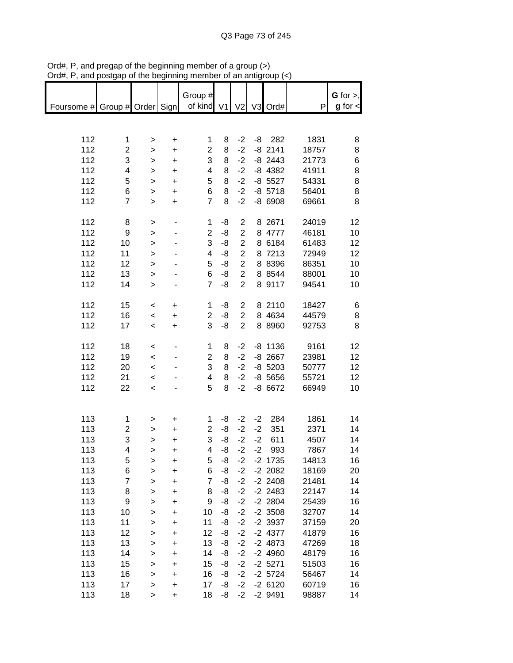| $max$ , $max$ , and posigap or the beginning |                |                          |           | ,,,,,,,                 |    |                |      | $\alpha$ and $\alpha$ and $\beta$ |       |               |
|----------------------------------------------|----------------|--------------------------|-----------|-------------------------|----|----------------|------|-----------------------------------|-------|---------------|
|                                              |                |                          |           | Group #                 |    |                |      |                                   |       | $G$ for $>$ , |
| Foursome # Group # Order Sign                |                |                          |           | of kind V1              |    |                |      | V2 V3 Ord#                        | P     | $g$ for $\lt$ |
|                                              |                |                          |           |                         |    |                |      |                                   |       |               |
|                                              |                |                          |           |                         |    |                |      |                                   |       |               |
| 112                                          | 1              | >                        | +         | 1                       | 8  | $-2$           |      | $-8$ 282                          | 1831  | 8             |
| 112                                          | $\overline{c}$ | >                        | $\ddot{}$ | $\overline{2}$          | 8  | $-2$           |      | $-8$ 2141                         | 18757 | 8             |
| 112                                          | 3              |                          | $\ddot{}$ | 3                       | 8  | $-2$           |      | $-8$ 2443                         | 21773 | 6             |
| 112                                          | 4              | $\,$                     |           | 4                       | 8  | $-2$           |      | $-8$ 4382                         | 41911 |               |
|                                              |                | $\mathbf{I}$             | $\ddot{}$ |                         |    |                |      |                                   |       | 8             |
| 112                                          | 5              | $\mathbf{I}$             | $\ddot{}$ | 5                       | 8  | $-2$           |      | $-8$ 5527                         | 54331 | 8             |
| 112                                          | 6              | $\geq$                   | $\ddot{}$ | 6                       | 8  | $-2$           |      | $-8$ 5718                         | 56401 | 8             |
| 112                                          | $\overline{7}$ | $\geq$                   | $\ddot{}$ | $\overline{7}$          | 8  | $-2$           |      | $-86908$                          | 69661 | 8             |
| 112                                          | 8              | >                        |           | $\mathbf{1}$            | -8 | $\mathbf{2}$   |      | 8 2671                            | 24019 | 12            |
| 112                                          | 9              | $\mathbf{I}$             |           | $\overline{c}$          | -8 | $\overline{2}$ |      | 8 4777                            | 46181 | 10            |
| 112                                          | 10             | $\mathbf{I}$             |           | 3                       | -8 | $\overline{c}$ |      | 8 6184                            | 61483 | 12            |
| 112                                          | 11             |                          |           | $\overline{\mathbf{4}}$ | -8 | $\overline{c}$ |      | 8 7213                            | 72949 | 12            |
| 112                                          |                | $\mathbf{I}$             |           | 5                       | -8 | $\overline{c}$ |      | 8 8396                            |       |               |
|                                              | 12             | $\geq$                   |           |                         |    |                |      |                                   | 86351 | 10            |
| 112                                          | 13             | $\mathbf{I}$             |           | 6                       | -8 | $\overline{2}$ |      | 8 8 5 4 4                         | 88001 | 10            |
| 112                                          | 14             | $\geq$                   |           | $\overline{7}$          | -8 | $\overline{2}$ |      | 8 9117                            | 94541 | 10            |
| 112                                          | 15             | $\,<\,$                  | +         | 1                       | -8 | $\overline{2}$ |      | 8 2110                            | 18427 | 6             |
| 112                                          | 16             | $\overline{\phantom{a}}$ | $\ddot{}$ | $\overline{2}$          | -8 | $\overline{2}$ |      | 8 4 6 3 4                         | 44579 | 8             |
| 112                                          | 17             | $\,<\,$                  | $\ddot{}$ | 3                       | -8 | $\overline{2}$ |      | 8 8 9 6 0                         | 92753 | 8             |
|                                              |                |                          |           |                         |    |                |      |                                   |       |               |
| 112                                          | 18             | $\,<\,$                  |           | 1                       | 8  | $-2$           |      | $-8$ 1136                         | 9161  | 12            |
| 112                                          | 19             | $\overline{\phantom{0}}$ |           | $\overline{2}$          | 8  | $-2$           |      | $-8$ 2667                         | 23981 | 12            |
| 112                                          | 20             | $\overline{\phantom{a}}$ |           | 3                       | 8  | $-2$           |      | $-8$ 5203                         | 50777 | 12            |
| 112                                          | 21             | $\prec$                  |           | 4                       | 8  | $-2$           |      | $-8,5656$                         | 55721 | 12            |
| 112                                          | 22             | $\overline{\phantom{0}}$ |           | 5                       | 8  | $-2$           |      | $-86672$                          | 66949 | 10            |
|                                              |                |                          |           |                         |    |                |      |                                   |       |               |
|                                              |                |                          |           |                         |    |                |      |                                   |       |               |
| 113                                          | 1              | >                        | +         | 1                       | -8 | $-2$           | $-2$ | 284                               | 1861  | 14            |
| 113                                          | 2              | >                        | $\ddot{}$ | $\boldsymbol{2}$        | -8 | $-2$           | $-2$ | 351                               | 2371  | 14            |
| 113                                          | 3              | $\geq$                   | $\ddot{}$ | 3                       | -8 | $-2$           | $-2$ | 611                               | 4507  | 14            |
| 113                                          | 4              | >                        | +         | 4                       | -8 | $-2$           | $-2$ | 993                               | 7867  | 14            |
| 113                                          | 5              | >                        | +         | 5                       | -8 | $-2$           |      | $-2$ 1735                         | 14813 | 16            |
| 113                                          | 6              | >                        | +         | 6                       | -8 | $-2$           |      | $-2$ 2082                         | 18169 | 20            |
| 113                                          | 7              | >                        | +         | $\overline{7}$          | -8 | $-2$           |      | $-2$ 2408                         | 21481 | 14            |
| 113                                          | 8              | >                        | +         | 8                       | -8 | $-2$           |      | $-2$ 2483                         | 22147 | 14            |
| 113                                          | 9              | $\mathbf{I}$             | +         | 9                       | -8 | $-2$           |      | $-2$ 2804                         | 25439 | 16            |
| 113                                          | 10             | >                        | +         | 10                      | -8 | $-2$           |      | $-2$ 3508                         | 32707 | 14            |
| 113                                          | 11             | $\mathbf{L}$             | $\ddot{}$ | 11                      | -8 | $-2$           |      | $-2$ 3937                         | 37159 | 20            |
| 113                                          | 12             | $\geq$                   | $\ddot{}$ | 12                      | -8 | $-2$           |      | $-2$ 4377                         | 41879 | 16            |
| 113                                          | 13             | $\mathbf{I}$             | $\ddot{}$ | 13                      | -8 | $-2$           |      | $-24873$                          | 47269 | 18            |
| 113                                          | 14             | $\mathbf{I}$             | $\ddot{}$ | 14                      | -8 | $-2$           |      | $-24960$                          | 48179 | 16            |
| 113                                          | 15             |                          | $\ddot{}$ | 15                      | -8 | $-2$           |      | $-2$ 5271                         | 51503 | 16            |
| 113                                          | 16             | ><br>$\,$                | $\ddot{}$ | 16                      | -8 | $-2$           |      | $-2$ 5724                         | 56467 | 14            |
| 113                                          | 17             |                          | +         | 17                      | -8 | $-2$           |      | $-26120$                          | 60719 | 16            |
| 113                                          | 18             | ><br>$\geq$              | $\ddot{}$ | 18                      | -8 | $-2$           |      | $-2$ 9491                         | 98887 | 14            |
|                                              |                |                          |           |                         |    |                |      |                                   |       |               |

Ord#, P, and pregap of the beginning member of a group (>) Ord#, P, and postgap of the beginning member of an antigroup (<)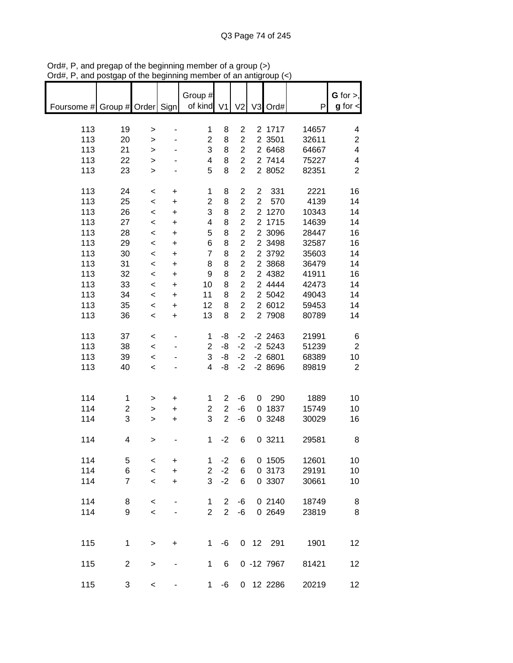| $D(0, 1)$ , and postgap or the beginning member or an antigroup $(\leq)$ |                |                          |           |                |                |                         |                |              |       |                |
|--------------------------------------------------------------------------|----------------|--------------------------|-----------|----------------|----------------|-------------------------|----------------|--------------|-------|----------------|
|                                                                          |                |                          |           | Group #        |                |                         |                |              |       | G for $>$ ,    |
| Foursome # Group # Order Sign                                            |                |                          |           | of kind V1     |                |                         |                | V2 V3 Ord#   | P     | $g$ for $\lt$  |
|                                                                          |                |                          |           |                |                |                         |                |              |       |                |
| 113                                                                      | 19             | $\, > \,$                | -         | 1              | 8              | 2                       |                | 2 1717       | 14657 | 4              |
| 113                                                                      | 20             | $\, > \,$                |           | $\overline{2}$ | 8              | $\overline{2}$          |                | 2 3501       | 32611 | $\overline{c}$ |
| 113                                                                      | 21             | $\mathbf{L}$             |           | 3              | 8              | $\overline{c}$          |                | 2 6468       | 64667 | 4              |
| 113                                                                      | 22             | $\geq$                   |           | 4              | 8              | $\overline{c}$          |                | 2 7414       | 75227 | 4              |
| 113                                                                      | 23             | $\mathbf{L}$             |           | 5              | 8              | $\overline{c}$          |                | 2 8052       | 82351 | $\overline{2}$ |
|                                                                          |                |                          |           |                |                |                         |                |              |       |                |
|                                                                          |                |                          |           |                |                |                         |                |              |       |                |
| 113                                                                      | 24             | $\,<$                    | $\ddot{}$ | $\mathbf 1$    | 8              | $\overline{\mathbf{c}}$ | $\overline{c}$ | 331          | 2221  | 16             |
| 113                                                                      | 25             | $\prec$                  | $\ddot{}$ | $\overline{2}$ | 8              | $\overline{c}$          | $\overline{2}$ | 570          | 4139  | 14             |
| 113                                                                      | 26             | $\,<\,$                  | $\ddot{}$ | 3              | 8              | $\overline{\mathbf{c}}$ |                | 2 1270       | 10343 | 14             |
| 113                                                                      | 27             | $\prec$                  | $\ddot{}$ | 4              | 8              | $\overline{2}$          |                | 2 1715       | 14639 | 14             |
| 113                                                                      | 28             | $\,<$                    | $\ddot{}$ | 5              | 8              | $\overline{\mathbf{c}}$ |                | 2 3096       | 28447 | 16             |
| 113                                                                      | 29             | $\prec$                  | $\ddot{}$ | 6              | 8              | $\overline{c}$          |                | 2 3498       | 32587 | 16             |
| 113                                                                      | 30             | $\,<$                    | $\ddot{}$ | $\overline{7}$ | 8              | $\overline{\mathbf{c}}$ |                | 2 3792       | 35603 | 14             |
| 113                                                                      | 31             | $\prec$                  | $\ddot{}$ | 8              | 8              | $\overline{2}$          |                | 2 3868       | 36479 | 14             |
| 113                                                                      | 32             | $\,<\,$                  | $\ddot{}$ | 9              | 8              | $\overline{c}$          |                | 2 4382       | 41911 | 16             |
| 113                                                                      | 33             | $\,<\,$                  | $\ddot{}$ | 10             | 8              | $\overline{c}$          |                | 2 4444       | 42473 | 14             |
| 113                                                                      | 34             | $\overline{\phantom{a}}$ | $\ddot{}$ | 11             | 8              | $\overline{2}$          |                | 2 5042       | 49043 | 14             |
|                                                                          |                |                          |           |                |                | $\overline{2}$          |                |              | 59453 |                |
| 113                                                                      | 35             | $\overline{\phantom{a}}$ | $\ddot{}$ | 12             | 8              |                         |                | 2 6012       |       | 14             |
| 113                                                                      | 36             | $\,<\,$                  | $\ddot{}$ | 13             | 8              | $\overline{2}$          |                | 2 7908       | 80789 | 14             |
|                                                                          |                |                          |           |                |                |                         |                |              |       |                |
| 113                                                                      | 37             | $\,<\,$                  |           | $\mathbf 1$    | -8             | $-2$                    |                | $-2$ 2463    | 21991 | 6              |
| 113                                                                      | 38             | $\,<$                    |           | $\overline{c}$ | -8             | $-2$                    |                | $-2$ 5243    | 51239 | $\overline{2}$ |
| 113                                                                      | 39             | $\prec$                  |           | 3              | -8             | $-2$                    |                | $-26801$     | 68389 | 10             |
| 113                                                                      | 40             | $\,<$                    |           | 4              | -8             | $-2$                    |                | $-28696$     | 89819 | $\overline{2}$ |
|                                                                          |                |                          |           |                |                |                         |                |              |       |                |
|                                                                          |                |                          |           |                |                |                         |                |              |       |                |
| 114                                                                      | 1              | >                        | +         | 1              | 2              | -6                      | $\mathbf{0}$   | 290          | 1889  | 10             |
| 114                                                                      | $\overline{c}$ | >                        | $\ddot{}$ | 2              | $\overline{c}$ | -6                      |                | 0 1837       | 15749 | 10             |
| 114                                                                      | 3              | $\geq$                   | $\ddot{}$ | 3              | $\overline{2}$ | -6                      |                | 0 3248       | 30029 | 16             |
|                                                                          |                |                          |           |                |                |                         |                |              |       |                |
| 114                                                                      | 4              |                          |           |                | $-2$           | 6                       |                | 0 3211       | 29581 |                |
|                                                                          |                | >                        |           | 1              |                |                         |                |              |       | 8              |
|                                                                          |                |                          |           |                |                |                         |                |              |       |                |
| 114                                                                      | 5              | $\,<\,$                  | +         | 1              | $-2$           | 6                       |                | 0 1505       | 12601 | 10             |
| 114                                                                      | 6              | $\,<$                    | $\ddot{}$ | $\overline{2}$ | $-2$           | 6                       |                | 0 3173       | 29191 | 10             |
| 114                                                                      | 7              | $\,<\,$                  | $\ddot{}$ | 3              | $-2$           | 6                       |                | 0 3307       | 30661 | 10             |
|                                                                          |                |                          |           |                |                |                         |                |              |       |                |
| 114                                                                      | 8              | $\,<$                    |           | 1              | $\overline{2}$ | -6                      |                | 0 2140       | 18749 | 8              |
| 114                                                                      | 9              | $\,<$                    | -         | $\overline{2}$ | $\overline{2}$ | -6                      |                | 0 2649       | 23819 | 8              |
|                                                                          |                |                          |           |                |                |                         |                |              |       |                |
|                                                                          |                |                          |           |                |                |                         |                |              |       |                |
| 115                                                                      | $\mathbf 1$    | >                        | +         | $\mathbf{1}$   | -6             |                         |                | 0 12 291     | 1901  | 12             |
|                                                                          |                |                          |           |                |                |                         |                |              |       |                |
| 115                                                                      | $\overline{2}$ | $\,>$                    |           | $\mathbf 1$    | 6              |                         |                | $0 - 127967$ | 81421 | 12             |
|                                                                          |                |                          |           |                |                |                         |                |              |       |                |
| 115                                                                      | 3              | $\,<$                    |           | 1 <sup>1</sup> | -6             |                         |                | 0 12 2286    | 20219 | 12             |
|                                                                          |                |                          |           |                |                |                         |                |              |       |                |

Ord#, P, and pregap of the beginning member of a group (>) Ord#, P, and postgap of the beginning member of an antigroup (<)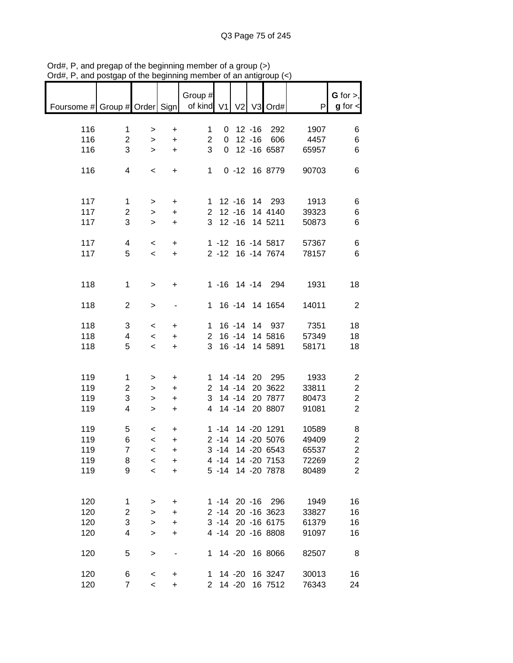|                               | $,$ and posigap or the beginning |                          |                | monipor or an anagroup (s          |          |            |                                      |                      |                                |
|-------------------------------|----------------------------------|--------------------------|----------------|------------------------------------|----------|------------|--------------------------------------|----------------------|--------------------------------|
| Foursome # Group # Order Sign |                                  |                          |                | Group $#$<br>of kind V1 V2 V3 Ord# |          |            |                                      | P                    | $G$ for $>$ ,<br>$g$ for $\lt$ |
|                               |                                  |                          |                |                                    |          |            |                                      |                      |                                |
| 116                           | $\mathbf 1$                      | $\geq$                   | $\ddot{}$      | 1                                  |          | $0$ 12 -16 | 292                                  | 1907                 | 6                              |
| 116                           | $\overline{2}$                   | $\geq$                   | $\ddot{}$      | $\overline{2}$                     |          |            | 0 12 -16 606                         | 4457                 | 6                              |
| 116                           | 3                                | $\geq$                   | $+$            | 3                                  |          |            | 0 12 -16 6587                        | 65957                | 6                              |
| 116                           | 4                                | $\overline{\phantom{a}}$ | $+$            | 1                                  |          |            | 0 -12 16 8779                        | 90703                | 6                              |
|                               |                                  |                          |                |                                    |          |            |                                      |                      |                                |
|                               |                                  |                          |                |                                    |          |            |                                      |                      |                                |
| 117                           | $\mathbf{1}$                     | $\geq$                   | $\ddot{}$      |                                    |          |            | 1 12 -16 14 293                      | 1913                 | 6                              |
| 117                           | $\overline{c}$<br>3              | $\geq$                   | $\ddot{}$      |                                    |          |            | 2 12 -16 14 4140<br>3 12 -16 14 5211 | 39323                | 6                              |
| 117                           |                                  | $\geq$                   | $\ddot{}$      |                                    |          |            |                                      | 50873                | 6                              |
| 117                           | 4                                | $\,<$                    | $\ddot{}$      |                                    |          |            | 1 -12 16 -14 5817                    | 57367                | 6                              |
| 117                           | 5                                | $\prec$                  | $+$            |                                    |          |            | 2 -12 16 -14 7674                    | 78157                | 6                              |
|                               |                                  |                          |                |                                    |          |            |                                      |                      |                                |
| 118                           | $\mathbf 1$                      | $\,$                     | $\ddot{}$      |                                    |          |            | 1 -16 14 -14 294                     | 1931                 | 18                             |
|                               |                                  |                          |                |                                    |          |            |                                      |                      |                                |
| 118                           | $\overline{2}$                   | $\mathbf{I}$             | $\blacksquare$ |                                    |          |            | 1 16 -14 14 1654                     | 14011                | $\overline{2}$                 |
| 118                           | 3                                | $\,<\,$                  | $\ddot{}$      |                                    |          |            |                                      | 1 16 -14 14 937 7351 | 18                             |
| 118                           | 4                                | $\,<$                    | $\ddot{}$      |                                    |          |            | 2 16 -14 14 5816                     | 57349                | 18                             |
| 118                           | 5                                | $\overline{\phantom{a}}$ | $\ddot{}$      | 3 <sup>1</sup>                     |          |            | 16 -14 14 5891                       | 58171                | 18                             |
|                               |                                  |                          |                |                                    |          |            |                                      |                      |                                |
| 119                           | $\mathbf{1}$                     | $\geq$                   | $\ddot{}$      |                                    |          |            | 1 14 -14 20 295                      | 1933                 | 2                              |
| 119                           | $\overline{2}$                   | $\geq$                   | $\ddot{}$      |                                    |          |            | 2 14 -14 20 3622                     | 33811                | $\sqrt{2}$                     |
| 119                           | 3                                | $\,$                     | $\ddot{}$      |                                    |          |            | 3 14 -14 20 7877                     | 80473                | $\overline{\mathbf{c}}$        |
| 119                           | $\overline{4}$                   | $\geq$                   | $\pm$          |                                    |          |            | 4 14 -14 20 8807                     | 91081                | $\overline{2}$                 |
| 119                           | 5                                | $\overline{\phantom{0}}$ | $\ddot{}$      |                                    |          |            | 1 -14 14 -20 1291                    | 10589                | 8                              |
| 119                           | 6                                | $\leq$                   | $\pm$          |                                    |          |            | 2 -14 14 -20 5076                    | 49409                | $\overline{c}$                 |
| 119                           | $\overline{7}$                   | $\overline{\phantom{0}}$ | +              |                                    |          |            | 3 -14 14 -20 6543                    | 65537                | $\overline{c}$                 |
| 119                           | 8                                | $\,<\,$                  | +              |                                    |          |            | 4 -14 14 -20 7153                    | 72269                | $\overline{c}$                 |
| 119                           | 9                                | $\prec$                  | $\ddot{}$      |                                    |          |            | 5 -14 14 -20 7878                    | 80489                | $\overline{2}$                 |
|                               |                                  |                          |                |                                    |          |            |                                      |                      |                                |
| 120                           | $\mathbf 1$                      | >                        | $\ddot{}$      |                                    |          |            | 1 -14 20 -16 296                     | 1949                 | 16                             |
| 120                           | $\overline{\mathbf{c}}$          | $\,$                     | $\ddot{}$      |                                    |          |            | 2 -14 20 -16 3623                    | 33827                | 16                             |
| 120                           | 3                                | $\,$                     | $\ddot{}$      |                                    |          |            | 3 -14 20 -16 6175                    | 61379                | 16                             |
| 120                           | 4                                | $\,$                     | $\ddot{}$      |                                    |          |            | 4 -14 20 -16 8808                    | 91097                | 16                             |
| 120                           | 5                                | >                        |                | 1.                                 |          |            | 14 -20 16 8066                       | 82507                | 8                              |
|                               |                                  |                          |                |                                    |          |            |                                      |                      |                                |
| 120                           | 6                                | $\,<$                    | $\ddot{}$      | 1.                                 |          | 14 -20     | 16 3247                              | 30013                | 16                             |
| 120                           | $\overline{7}$                   | $\prec$                  | $\ddot{}$      |                                    | 2 14 -20 |            | 16 7512                              | 76343                | 24                             |

Ord#, P, and pregap of the beginning member of a group (>) Ord#, P, and postgap of the beginning member of an antigroup (<)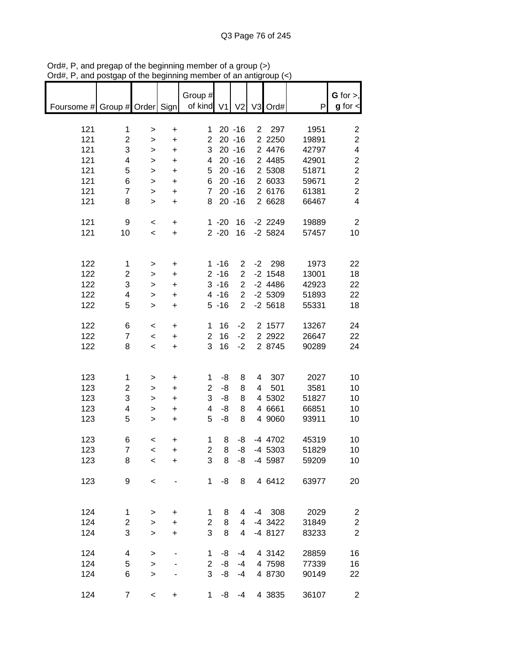| $max$ , $max$ , and postgap or the beginning member or an antigroup $\langle \cdot \rangle$ |                         |                          |                                  |                       |                      |                                  |                |                        |                |                                  |
|---------------------------------------------------------------------------------------------|-------------------------|--------------------------|----------------------------------|-----------------------|----------------------|----------------------------------|----------------|------------------------|----------------|----------------------------------|
| Foursome # Group # Order Sign                                                               |                         |                          |                                  | Group #<br>of kind V1 |                      | V <sub>2</sub>                   |                | V3 Ord#                | P              | $G$ for $>$ ,<br>$g$ for $\lt$   |
| 121                                                                                         | $\mathbf 1$             | $\, > \,$                | $\begin{array}{c} + \end{array}$ | 1                     |                      | $20 - 16$                        |                | 2 297                  | 1951           | $\overline{c}$                   |
| 121                                                                                         | $\overline{2}$          | $\,$                     | $\ddot{}$                        | $\overline{2}$        |                      | $20 - 16$                        |                | 2 2 2 5 0              | 19891          | $\overline{2}$                   |
| 121                                                                                         | 3                       | $\geq$                   | $\ddot{}$                        | 3                     |                      | $20 - 16$                        |                | 2 4476                 | 42797          | $\overline{\mathbf{4}}$          |
| 121                                                                                         | 4                       | $\geq$                   | $\ddot{}$                        | 4                     |                      | $20 - 16$                        |                | 2 4485                 | 42901          | $\boldsymbol{2}$                 |
| 121                                                                                         | 5                       | $\geq$                   | $\ddot{}$                        | 5                     |                      | $20 - 16$                        |                | 2 5308                 | 51871          | $\overline{c}$                   |
| 121<br>121                                                                                  | 6<br>$\overline{7}$     | $\geq$<br>$\mathbf{I}$   | $\ddot{}$<br>$\ddot{}$           | 6<br>$\overline{7}$   |                      | $20 - 16$<br>$20 - 16$           |                | 2 6033<br>2 6176       | 59671<br>61381 | $\overline{c}$<br>$\overline{c}$ |
| 121                                                                                         | 8                       | $\mathbf{I}$             | $\ddot{}$                        | 8                     |                      | $20 - 16$                        |                | 2 6628                 | 66467          | $\overline{4}$                   |
|                                                                                             |                         |                          |                                  |                       |                      |                                  |                |                        |                |                                  |
| 121                                                                                         | 9                       | $\,<$                    | $\ddot{}$                        |                       | $1 - 20$             | 16                               |                | $-2$ 2249              | 19889          | $\overline{2}$                   |
| 121                                                                                         | 10                      | $\overline{\phantom{0}}$ | $\ddot{}$                        |                       | $2 - 20$             | 16                               |                | $-2$ 5824              | 57457          | 10                               |
|                                                                                             |                         |                          |                                  |                       |                      |                                  |                |                        |                |                                  |
| 122                                                                                         | 1                       | >                        | +                                |                       | $1 - 16$             | $\overline{2}$                   |                | $-2$ 298               | 1973           | 22                               |
| 122<br>122                                                                                  | 2<br>3                  | ><br>$\mathbf{r}$        | $\ddot{}$<br>+                   |                       | $2 - 16$<br>$3 - 16$ | $\overline{2}$<br>$\overline{2}$ |                | $-2$ 1548<br>$-2$ 4486 | 13001<br>42923 | 18<br>22                         |
| 122                                                                                         | 4                       | $\mathbf{r}$             | +                                |                       | $4 - 16$             | $\overline{2}$                   |                | $-2$ 5309              | 51893          | 22                               |
| 122                                                                                         | 5                       | $\geq$                   | $\ddot{}$                        |                       | $5 - 16$             | $\overline{2}$                   |                | $-2,5618$              | 55331          | 18                               |
| 122                                                                                         | 6                       | $\,<$                    | $\ddot{}$                        | 1                     | 16                   | $-2$                             |                | 2 1577                 | 13267          | 24                               |
| 122                                                                                         | $\overline{7}$          | $\,<$                    | $\begin{array}{c} + \end{array}$ | $\overline{2}$        | 16                   | $-2$                             |                | 2 2 9 2 2              | 26647          | 22                               |
| 122                                                                                         | 8                       | $\prec$                  | $\begin{array}{c} + \end{array}$ | 3                     | 16                   | $-2$                             |                | 2 8745                 | 90289          | 24                               |
|                                                                                             |                         |                          |                                  |                       |                      |                                  |                |                        |                |                                  |
| 123                                                                                         | 1                       | >                        | +                                | 1                     | -8                   | 8                                | 4              | 307                    | 2027           | 10                               |
| 123                                                                                         | $\overline{c}$          | $\,$                     | $\ddot{}$                        | $\overline{2}$        | -8                   | 8                                | $\overline{4}$ | 501                    | 3581           | 10                               |
| 123                                                                                         | 3                       | $\geq$                   | $\ddot{}$                        | 3                     | -8                   | 8                                |                | 4 5302                 | 51827          | 10                               |
| 123                                                                                         | 4<br>5                  | >                        | $\ddot{}$                        | 4<br>5                | -8<br>-8             | 8<br>8                           |                | 4 6661                 | 66851          | 10                               |
| 123                                                                                         |                         | $\geq$                   | $\ddot{}$                        |                       |                      |                                  |                | 4 9060                 | 93911          | 10                               |
| 123                                                                                         | 6                       | $\,<$                    | +                                | 1                     | 8                    | -8                               |                | -4 4702                | 45319          | 10                               |
| 123                                                                                         | 7                       | $\overline{\phantom{0}}$ | +                                | $\overline{2}$        | 8                    | -8                               |                | $-4$ 5303              | 51829          | 10                               |
| 123                                                                                         | 8                       | $\,<$                    | +                                | 3                     | 8                    | -8                               |                | -4 5987                | 59209          | 10                               |
| 123                                                                                         | 9                       | $\,<$                    |                                  | 1                     | -8                   | 8                                |                | 4 6412                 | 63977          | 20                               |
|                                                                                             |                         |                          |                                  |                       |                      |                                  |                |                        |                |                                  |
| 124                                                                                         | 1                       | $\, > \,$                | +                                | 1                     | 8                    | 4                                |                | $-4$ 308               | 2029           | $\overline{\mathbf{c}}$          |
| 124                                                                                         | $\overline{\mathbf{c}}$ | >                        | $\ddot{}$                        | $\overline{2}$        | 8                    | 4                                |                | -4 3422                | 31849          | $\boldsymbol{2}$                 |
| 124                                                                                         | 3                       | $\mathbf{I}$             | $\ddot{}$                        | 3                     | 8                    | $\overline{4}$                   |                | $-48127$               | 83233          | $\overline{2}$                   |
| 124                                                                                         | 4                       | >                        |                                  | 1                     | -8                   | -4                               |                | 4 3142                 | 28859          | 16                               |
| 124                                                                                         | 5                       | $\, > \,$                |                                  | $\overline{2}$        | -8                   | $-4$                             |                | 4 7598                 | 77339          | 16                               |
| 124                                                                                         | 6                       | >                        |                                  | 3                     | -8                   | $-4$                             |                | 4 8730                 | 90149          | 22                               |
| 124                                                                                         | $\boldsymbol{7}$        | $\,<$                    | +                                | 1                     | -8                   | $-4$                             |                | 4 3835                 | 36107          | $\overline{c}$                   |

Ord#, P, and pregap of the beginning member of a group (>) Ord#, P, and postgap of the beginning member of an antigroup (<)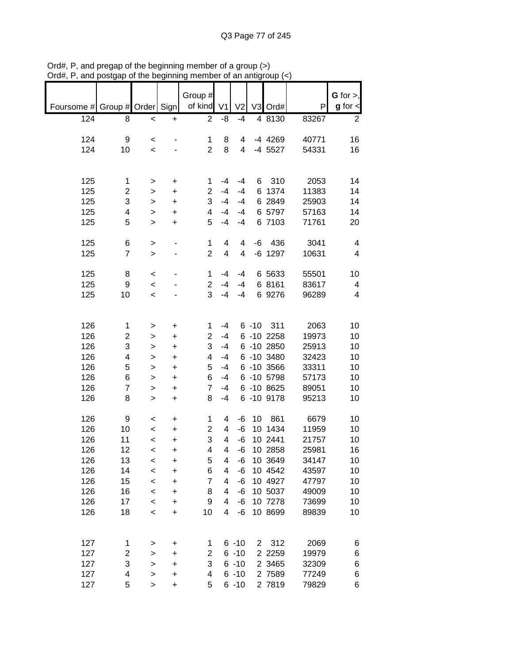|            |                    |              |           |                |                |                |                |            |       | $G$ for $>$ ,  |
|------------|--------------------|--------------|-----------|----------------|----------------|----------------|----------------|------------|-------|----------------|
|            |                    |              |           | Group #        |                |                |                |            |       |                |
| Foursome # | Group # Order Sign |              |           | of kind        | V <sub>1</sub> | V <sub>2</sub> | V <sub>3</sub> | Ord#       | P     | $g$ for $\leq$ |
| 124        | 8                  | $\,<$        | $\ddot{}$ | $\overline{2}$ | -8             | $-4$           |                | 4 8130     | 83267 | 2              |
|            |                    |              |           |                |                |                |                |            |       |                |
| 124        | 9                  | $\,<$        |           | 1              | 8              | 4              |                | -4 4269    | 40771 | 16             |
| 124        | 10                 | $\,<\,$      |           | $\overline{2}$ | 8              | 4              |                | $-4$ 5527  | 54331 | 16             |
|            |                    |              |           |                |                |                |                |            |       |                |
|            |                    |              |           |                |                |                |                |            |       |                |
| 125        | 1                  | >            | +         | 1              | $-4$           | $-4$           | 6              | 310        | 2053  | 14             |
| 125        | 2                  | >            | $\ddot{}$ | $\overline{2}$ | $-4$           | $-4$           | 6              | 1374       | 11383 | 14             |
| 125        | 3                  |              | $\ddot{}$ | 3              | $-4$           | $-4$           |                | 6 2849     | 25903 | 14             |
|            |                    | >            |           | 4              | $-4$           |                |                | 6 5797     | 57163 |                |
| 125        | 4                  | $\geq$       | $\ddot{}$ |                |                | $-4$           |                |            |       | 14             |
| 125        | 5                  | >            | +         | 5              | $-4$           | $-4$           |                | 6 7103     | 71761 | 20             |
|            |                    |              |           |                |                |                |                |            |       |                |
| 125        | 6                  | >            |           | 1              | 4              | 4              | -6             | 436        | 3041  | 4              |
| 125        | $\overline{7}$     | $\geq$       |           | $\overline{2}$ | 4              | 4              |                | $-6$ 1297  | 10631 | 4              |
|            |                    |              |           |                |                |                |                |            |       |                |
| 125        | 8                  | $\,<$        |           | 1              | $-4$           | $-4$           |                | 6 5633     | 55501 | 10             |
| 125        | 9                  | $\prec$      |           | $\overline{c}$ | $-4$           | $-4$           |                | 6 8161     | 83617 | 4              |
| 125        | 10                 | $\prec$      |           | 3              | $-4$           | $-4$           |                | 6 9276     | 96289 | 4              |
|            |                    |              |           |                |                |                |                |            |       |                |
|            |                    |              |           |                |                |                |                |            |       |                |
| 126        | 1                  | >            | +         | 1              | $-4$           |                | $6 - 10$       | 311        | 2063  | 10             |
| 126        | $\overline{c}$     | >            | +         | 2              | $-4$           |                |                | 6 -10 2258 | 19973 | 10             |
| 126        | 3                  | >            | +         | 3              | $-4$           |                |                | 6 -10 2850 | 25913 | 10             |
| 126        | 4                  |              | +         | 4              | $-4$           |                |                | 6 -10 3480 | 32423 | 10             |
| 126        | 5                  | >            |           | 5              | $-4$           |                |                | 6 -10 3566 | 33311 |                |
|            |                    | >            | $\ddot{}$ |                |                |                |                |            |       | 10             |
| 126        | 6                  | >            | +         | 6              | $-4$           |                |                | 6 -10 5798 | 57173 | 10             |
| 126        | $\overline{7}$     | $\geq$       | $\ddot{}$ | $\overline{7}$ | -4             |                |                | 6 -10 8625 | 89051 | 10             |
| 126        | 8                  | >            | $\ddot{}$ | 8              | $-4$           |                |                | 6 -10 9178 | 95213 | 10             |
|            |                    |              |           |                |                |                |                |            |       |                |
| 126        | 9                  | <            | +         | 1              | 4              | -6             | 10             | 861        | 6679  | 10             |
| 126        | 10                 | $\,<\,$      | +         | $\overline{2}$ | 4              | -6             |                | 10 1434    | 11959 | 10             |
| 126        | 11                 | $\,<$        | +         | 3              | 4              | -6             |                | 10 2441    | 21757 | 10             |
| 126        | 12                 | $\,<$        | $\ddot{}$ | 4              | 4              | $-6$           |                | 10 2858    | 25981 | 16             |
| 126        | 13                 | <            | +         | 5              | 4              | -6             |                | 10 3649    | 34147 | 10             |
| 126        | 14                 | $\prec$      | $\ddot{}$ | 6              | 4              | -6             |                | 10 4542    | 43597 | 10             |
| 126        | 15                 | $\,<$        | +         | $\overline{7}$ | 4              | -6             |                | 10 4927    | 47797 | 10             |
| 126        | 16                 | $\prec$      | +         | 8              | 4              | -6             |                | 10 5037    | 49009 | 10             |
| 126        | 17                 | $\,<$        | +         | 9              | 4              | -6             |                | 10 7278    | 73699 | 10             |
| 126        | 18                 | $\prec$      | $\ddot{}$ | 10             | 4              | -6             |                | 10 8699    | 89839 | 10             |
|            |                    |              |           |                |                |                |                |            |       |                |
|            |                    |              |           |                |                |                |                |            |       |                |
|            |                    |              |           |                |                |                |                |            |       |                |
| 127        | 1                  | >            | +         | 1              |                | $6 - 10$       | $\overline{2}$ | 312        | 2069  | 6              |
| 127        | 2                  | >            | +         | $\overline{c}$ |                | $6 - 10$       |                | 2 2 2 5 9  | 19979 | 6              |
| 127        | 3                  | $\geq$       | +         | 3              |                | $6 - 10$       |                | 2 3465     | 32309 | 6              |
| 127        | 4                  | >            | +         | 4              |                | $6 - 10$       |                | 2 7589     | 77249 | 6              |
| 127        | 5                  | $\mathbf{I}$ | $\ddot{}$ | 5              |                | $6 - 10$       |                | 2 7819     | 79829 | 6              |

Ord#, P, and pregap of the beginning member of a group (>) Ord#, P, and postgap of the beginning member of an antigroup (<)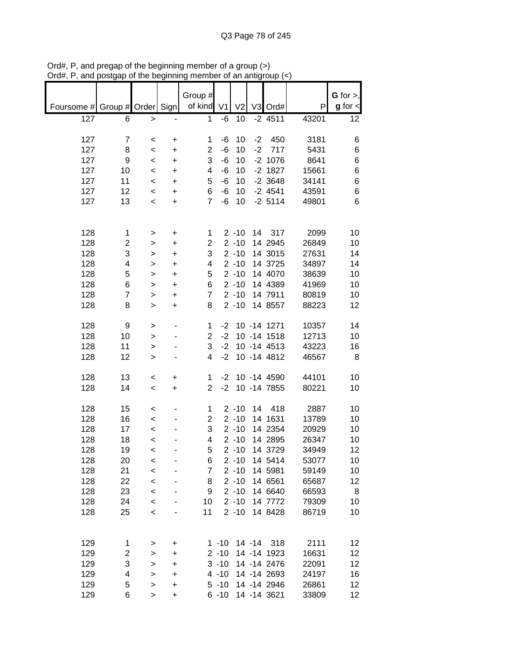|                          |                |                          |           | Group #                 |          |                |           |              |       | $G$ for $>$ , |
|--------------------------|----------------|--------------------------|-----------|-------------------------|----------|----------------|-----------|--------------|-------|---------------|
| Foursome # Group # Order |                |                          | Sign      | of kind V1              |          | V <sub>2</sub> |           | V3 Ord#      | P     | $g$ for $\lt$ |
|                          |                |                          |           |                         |          |                |           |              |       |               |
| 127                      | 6              | $\, >$                   |           | 1                       | $-6$     | 10             |           | $-2$ 4511    | 43201 | 12            |
|                          |                |                          |           |                         |          |                |           |              |       |               |
| 127                      | $\overline{7}$ | $\,<$                    | +         | 1                       | $-6$     | 10             | $-2$      | 450          | 3181  | 6             |
| 127                      | 8              | $\prec$                  | +         | $\overline{\mathbf{c}}$ | $-6$     | 10             | $-2$      | 717          | 5431  | 6             |
| 127                      | 9              | $\prec$                  | +         | 3                       | $-6$     | 10             |           | $-2$ 1076    | 8641  | 6             |
| 127                      | 10             | $\,<\,$                  | +         | 4                       | $-6$     | 10             |           | $-2$ 1827    | 15661 | 6             |
| 127                      | 11             | $\,<\,$                  | +         | 5                       | $-6$     | 10             |           | $-2$ 3648    | 34141 | 6             |
| 127                      | 12             | $\,<\,$                  | +         | 6                       | $-6$     | 10             |           | $-2$ 4541    | 43591 | 6             |
| 127                      | 13             | $\,<\,$                  | $\ddot{}$ | $\overline{7}$          | $-6$     | 10             |           | $-2$ 5114    | 49801 | 6             |
|                          |                |                          |           |                         |          |                |           |              |       |               |
|                          |                |                          |           |                         |          |                |           |              |       |               |
| 128                      | 1              | $\, > \,$                | $\ddot{}$ | 1                       |          | $2 - 10$       | 14        | 317          | 2099  | 10            |
| 128                      | 2              | >                        | $\ddot{}$ | $\overline{2}$          |          | $2 - 10$       |           | 14 2945      | 26849 | 10            |
| 128                      | 3              | >                        | $\ddot{}$ | 3                       |          | $2 - 10$       |           | 14 3015      | 27631 | 14            |
| 128                      | 4              | $\geq$                   | $\ddot{}$ | 4                       |          | $2 - 10$       |           | 14 3725      | 34897 | 14            |
| 128                      | 5              | $\mathbf{I}$             | +         | 5                       |          | $2 - 10$       |           | 14 4070      | 38639 | 10            |
| 128                      | 6              | $\mathbf{I}$             | $\ddot{}$ | 6                       |          | $2 - 10$       |           | 14 4389      | 41969 | 10            |
| 128                      | $\overline{7}$ | >                        | $\ddot{}$ | $\overline{7}$          |          | $2 - 10$       |           | 14 7911      | 80819 | 10            |
| 128                      | 8              | $\geq$                   | $\ddot{}$ | 8                       |          | $2 - 10$       |           | 14 8557      | 88223 | 12            |
|                          |                |                          |           |                         |          |                |           |              |       |               |
| 128                      | 9              | >                        |           | 1                       | $-2$     |                |           | 10 -14 1271  | 10357 | 14            |
| 128                      | 10             |                          |           | $\overline{2}$          | $-2$     |                |           | 10 -14 1518  | 12713 | 10            |
|                          |                | $\, > \,$                |           |                         | $-2$     |                |           |              |       |               |
| 128                      | 11             | >                        |           | 3                       |          |                |           | 10 -14 4513  | 43223 | 16            |
| 128                      | 12             | $\, > \,$                |           | 4                       | $-2$     |                |           | 10 -14 4812  | 46567 | 8             |
|                          |                |                          |           |                         |          |                |           |              |       |               |
| 128                      | 13             | $\,<\,$                  | $\ddot{}$ | 1                       | $-2$     |                |           | 10 -14 4590  | 44101 | 10            |
| 128                      | 14             | $\prec$                  | $\ddot{}$ | $\overline{2}$          | $-2$     |                |           | 10 -14 7855  | 80221 | 10            |
|                          |                |                          |           |                         |          |                |           |              |       |               |
| 128                      | 15             | $\,<$                    |           | 1                       |          | $2 - 10$       | 14        | 418          | 2887  | 10            |
| 128                      | 16             | $\prec$                  |           | $\overline{2}$          |          | $2 - 10$       |           | 14 1631      | 13789 | 10            |
| 128                      | 17             | $\,<\,$                  |           | 3                       |          | $2 - 10$       |           | 14 2354      | 20929 | 10            |
| 128                      | 18             | $\,<\,$                  |           | 4                       |          | $2 - 10$       |           | 14 2895      | 26347 | 10            |
| 128                      | 19             | $\overline{\phantom{a}}$ |           | 5                       |          | $2 - 10$       |           | 14 3729      | 34949 | 12            |
| 128                      | 20             | $\,<\,$                  |           | 6                       |          | $2 - 10$       |           | 14 5414      | 53077 | 10            |
| 128                      | 21             | $\prec$                  |           | 7                       |          | $2 - 10$       |           | 14 5981      | 59149 | 10            |
| 128                      | 22             | $\,<\,$                  |           | 8                       |          | $2 - 10$       |           | 14 6561      | 65687 | 12            |
| 128                      | 23             | $\prec$                  |           | 9                       |          | $2 - 10$       |           | 14 6640      | 66593 | 8             |
| 128                      | 24             | $\,<\,$                  |           | 10                      |          | $2 - 10$       |           | 14 7772      | 79309 | 10            |
| 128                      | 25             | $\,<$                    |           | 11                      |          | $2 - 10$       |           | 14 8428      | 86719 | 10            |
|                          |                |                          |           |                         |          |                |           |              |       |               |
|                          |                |                          |           |                         |          |                |           |              |       |               |
| 129                      | 1              | >                        | +         |                         | $1 - 10$ |                | $14 - 14$ | 318          | 2111  | 12            |
| 129                      | 2              | >                        | +         |                         | $2 - 10$ |                |           | 14 -14 1923  | 16631 | 12            |
| 129                      | 3              | >                        | +         |                         | $3 - 10$ |                |           | 14 - 14 2476 | 22091 | 12            |
| 129                      | 4              | $\geq$                   | +         |                         | $4 - 10$ |                |           | 14 - 14 2693 | 24197 | 16            |
| 129                      | 5              | >                        | +         |                         | $5 - 10$ |                |           | 14 -14 2946  | 26861 | 12            |
| 129                      | 6              | >                        | $\ddot{}$ |                         | $6 - 10$ |                |           | 14 -14 3621  | 33809 | 12            |

Ord#, P, and pregap of the beginning member of a group (>) Ord#, P, and postgap of the beginning member of an antigroup (<)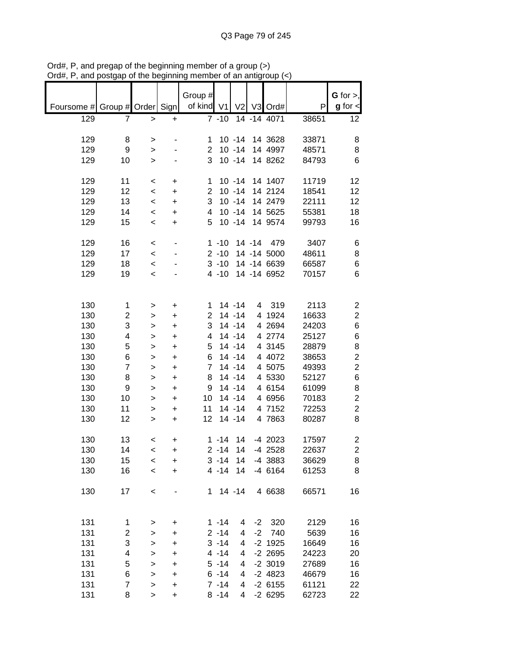|            |                         |                                     |           | Group #        |                      |                |           |             |       | $G$ for $>$ ,           |
|------------|-------------------------|-------------------------------------|-----------|----------------|----------------------|----------------|-----------|-------------|-------|-------------------------|
| Foursome # | Group # Order           |                                     | Sign      | of kind V1     |                      | V <sub>2</sub> |           | V3 Ord#     | P     | $g$ for $\lt$           |
| 129        | 7                       | $\,$                                | $\ddot{}$ |                | $7 - 10$             |                |           | 14 -14 4071 | 38651 | 12                      |
|            |                         |                                     |           |                |                      |                |           |             |       |                         |
| 129        | 8                       | >                                   |           | 1              |                      | $10 - 14$      |           | 14 3628     | 33871 | 8                       |
| 129        | 9                       | >                                   |           | $\overline{2}$ |                      | $10 - 14$      |           | 14 4997     | 48571 | 8                       |
| 129        | 10                      | >                                   |           | 3              |                      | $10 - 14$      |           | 14 8262     | 84793 | 6                       |
|            |                         |                                     |           |                |                      |                |           |             |       |                         |
| 129        | 11                      | <                                   | +         | 1              |                      | $10 - 14$      |           | 14 1407     | 11719 | 12                      |
| 129        | 12                      | $\,<$                               | +         | $\overline{2}$ |                      | $10 - 14$      |           | 14 2124     | 18541 | 12                      |
| 129        | 13                      | $\,<$                               | $\ddot{}$ | 3              |                      | $10 - 14$      |           | 14 2479     | 22111 | 12                      |
| 129        | 14                      | $\,<$                               | $\ddot{}$ | 4              |                      | $10 - 14$      |           | 14 5625     | 55381 | 18                      |
| 129        | 15                      | $\,<$                               | $\ddot{}$ | 5              |                      | $10 - 14$      |           | 14 9574     | 99793 | 16                      |
|            |                         |                                     |           |                |                      |                |           |             |       |                         |
| 129        | 16                      | $\prec$                             |           |                | $1 - 10$             |                | $14 - 14$ | 479         | 3407  | 6                       |
| 129        | 17                      | $\prec$                             |           |                | $2 - 10$             |                |           | 14 -14 5000 | 48611 | 8                       |
| 129        | 18                      | $\prec$                             |           |                | $3 - 10$             |                |           | 14 -14 6639 | 66587 | $\,6$                   |
| 129        | 19                      | $\,<$                               |           |                | $4 - 10$             |                |           | 14 -14 6952 | 70157 | 6                       |
|            |                         |                                     |           |                |                      |                |           |             |       |                         |
|            |                         |                                     |           |                |                      |                |           |             |       |                         |
| 130        | 1                       | >                                   | $\ddot{}$ | 1              |                      | $14 - 14$      |           | 4 319       | 2113  | $\overline{\mathbf{c}}$ |
| 130        | $\overline{\mathbf{c}}$ | >                                   | +         | $\overline{c}$ |                      | $14 - 14$      |           | 4 1924      | 16633 | $\overline{2}$          |
| 130        | 3                       | >                                   | +         | 3              |                      | $14 - 14$      |           | 4 2694      | 24203 | 6                       |
| 130        | 4                       | >                                   | +         | 4              |                      | $14 - 14$      |           | 4 2774      | 25127 | 6                       |
| 130        | 5                       | >                                   | +         | 5              |                      | $14 - 14$      |           | 4 3145      | 28879 | 8                       |
| 130        | 6                       | >                                   | +         | 6              |                      | $14 - 14$      |           | 4 4072      | 38653 | $\overline{2}$          |
| 130        | $\overline{7}$          | >                                   | +         | $\overline{7}$ |                      | 14 - 14        |           | 4 5075      | 49393 | $\overline{c}$          |
| 130        | 8                       | >                                   | $\ddot{}$ | 8              |                      | 14 - 14        |           | 4 5330      | 52127 | 6                       |
| 130        | 9                       | $\geq$                              | +         | 9              |                      | $14 - 14$      |           | 4 6154      | 61099 | 8                       |
| 130        | 10                      | $\, > \,$                           | $\ddot{}$ | 10             |                      | $14 - 14$      |           | 4 6956      | 70183 | $\overline{\mathbf{c}}$ |
| 130        | 11                      | >                                   | +         | 11             |                      | 14 - 14        |           | 4 7152      | 72253 | $\overline{c}$          |
| 130        | 12                      |                                     | $\ddot{}$ | 12             |                      | $14 - 14$      |           | 4 7863      | 80287 | 8                       |
|            |                         | >                                   |           |                |                      |                |           |             |       |                         |
| 130        | 13                      |                                     |           |                | $1 - 14$             | 14             |           | $-4$ 2023   | 17597 | 2                       |
| 130        | 14                      | $\,<\,$<br>$\overline{\phantom{a}}$ | +         |                | $2 - 14$             | 14             |           | $-4$ 2528   | 22637 | $\overline{2}$          |
|            |                         |                                     | $\ddot{}$ |                |                      | 14             |           |             |       |                         |
| 130        | 15                      | $\,<$                               | $\ddot{}$ |                | $3 - 14$<br>$4 - 14$ | 14             |           | -4 3883     | 36629 | 8                       |
| 130        | 16                      | $\prec$                             | $\ddot{}$ |                |                      |                |           | $-4$ 6164   | 61253 | 8                       |
| 130        |                         |                                     |           |                | $1 14 - 14$          |                |           | 4 6638      |       |                         |
|            | 17                      | $\,<$                               |           |                |                      |                |           |             | 66571 | 16                      |
|            |                         |                                     |           |                |                      |                |           |             |       |                         |
| 131        |                         |                                     |           |                |                      |                |           |             |       |                         |
|            | 1                       | >                                   | +         |                | $1 - 14$             | 4              | $-2$      | 320         | 2129  | 16                      |
| 131        | 2                       | >                                   | +         |                | $2 - 14$             | 4              | $-2$      | 740         | 5639  | 16                      |
| 131        | 3                       | >                                   | +         |                | $3 - 14$             | 4              |           | $-2$ 1925   | 16649 | 16                      |
| 131        | 4                       | $\mathbf{I}$                        | +         |                | $4 - 14$             | 4              |           | $-2$ 2695   | 24223 | 20                      |
| 131        | 5                       | $\mathbf{I}$                        | +         |                | $5 - 14$             | 4              |           | $-2$ 3019   | 27689 | 16                      |
| 131        | 6                       | $\mathbf{I}$                        | +         |                | $6 - 14$             | 4              |           | $-2$ 4823   | 46679 | 16                      |
| 131        | $\overline{7}$          | $\mathbf{I}$                        | $\ddot{}$ |                | $7 - 14$             | 4              |           | $-2$ 6155   | 61121 | 22                      |
| 131        | 8                       | $\,$                                | +         |                | $8 - 14$             | 4              |           | $-26295$    | 62723 | 22                      |

Ord#, P, and pregap of the beginning member of a group (>) Ord#, P, and postgap of the beginning member of an antigroup (<)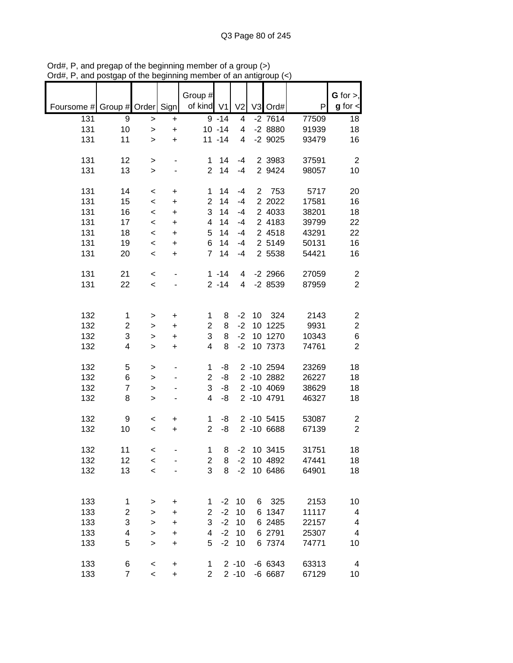|                               |             |                |           |                              |           |                |                |            |       | G for $>$ ,             |
|-------------------------------|-------------|----------------|-----------|------------------------------|-----------|----------------|----------------|------------|-------|-------------------------|
| Foursome # Group # Order Sign |             |                |           | Group #<br>of kind V1        |           | V <sub>2</sub> |                | V3 Ord#    | P     | $g$ for $\lt$           |
| 131                           | 9           | >              | +         |                              | $9 - 14$  | 4              |                | $-2$ 7614  | 77509 | 18                      |
| 131                           | 10          | $\,$           | $\ddot{}$ |                              | $10 - 14$ | 4              |                | $-28880$   | 91939 | 18                      |
| 131                           | 11          | $\geq$         | $\ddot{}$ |                              | $11 - 14$ | 4              |                | $-2$ 9025  | 93479 | 16                      |
|                               |             |                |           |                              |           |                |                |            |       |                         |
| 131                           | 12          | >              |           | 1                            | 14        | -4             |                | 2 3983     | 37591 | $\overline{c}$          |
| 131                           | 13          | $\geq$         |           | $\overline{2}$               | 14        | $-4$           |                | 2 9424     | 98057 | 10                      |
|                               |             |                |           |                              |           |                |                |            |       |                         |
| 131                           | 14          | $\,<\,$        | +         | 1                            | 14        | -4             | $\overline{2}$ | 753        | 5717  | 20                      |
| 131                           | 15          | $\,<$          | +         | $\overline{2}$               | 14        | $-4$           |                | 2 2022     | 17581 | 16                      |
| 131                           | 16          | $\,<\,$        | $\ddot{}$ | 3                            | 14        | $-4$           |                | 2 4033     | 38201 | 18                      |
| 131                           | 17          | $\,<\,$        | $\ddot{}$ | 4                            | 14        | $-4$           |                | 2 4183     | 39799 | 22                      |
| 131                           | 18          | $\,<\,$        | $\ddot{}$ | 5                            | 14        | $-4$           |                | 2 4518     | 43291 | 22                      |
| 131                           | 19          | $\,<\,$        | $\ddot{}$ | 6                            | 14        | $-4$           |                | 2 5149     | 50131 | 16                      |
| 131                           | 20          | $\,<\,$        | $\ddot{}$ | $\overline{7}$               | 14        | $-4$           |                | 2 5538     | 54421 | 16                      |
|                               |             |                |           |                              |           |                |                |            |       |                         |
| 131                           | 21          | $\,<\,$        |           |                              | $1 - 14$  | 4              |                | $-2$ 2966  | 27059 | $\overline{c}$          |
| 131                           | 22          | $\,<\,$        |           |                              | $2 - 14$  | 4              |                | $-28539$   | 87959 | $\overline{2}$          |
|                               |             |                |           |                              |           |                |                |            |       |                         |
| 132                           | $\mathbf 1$ |                | +         | 1                            | 8         | $-2$           | 10             | 324        | 2143  | $\boldsymbol{2}$        |
| 132                           | 2           | ><br>$\, > \,$ | $\ddot{}$ | $\overline{2}$               | 8         | $-2$           | 10             | 1225       | 9931  | $\overline{c}$          |
| 132                           | 3           | >              | $\ddot{}$ | 3                            | 8         | $-2$           |                | 10 1270    | 10343 | 6                       |
| 132                           | 4           | $\, > \,$      | $\ddot{}$ | 4                            | 8         | $-2$           |                | 10 7373    | 74761 | $\overline{2}$          |
|                               |             |                |           |                              |           |                |                |            |       |                         |
| 132                           | 5           | >              |           | 1                            | -8        |                |                | 2 -10 2594 | 23269 | 18                      |
| 132                           | 6           | >              |           | $\overline{c}$               | -8        |                |                | 2 -10 2882 | 26227 | 18                      |
| 132                           | 7           | >              |           | 3                            | -8        |                |                | 2 -10 4069 | 38629 | 18                      |
| 132                           | 8           | $\,$           |           | 4                            | -8        |                |                | 2 -10 4791 | 46327 | 18                      |
|                               |             |                |           |                              |           |                |                |            |       |                         |
| 132                           | 9           | $\,<\,$        | +         | 1                            | -8        |                |                | 2 -10 5415 | 53087 | $\overline{\mathbf{c}}$ |
| 132                           | 10          | $\,<\,$        | $\ddot{}$ | $\overline{2}$               | -8        |                |                | 2 -10 6688 | 67139 | $\overline{2}$          |
|                               |             |                |           |                              |           |                |                |            | 31751 |                         |
| 132                           | 11          | $\,<\,$        |           | 1                            | 8         | $-2$           |                | 10 3415    |       | 18                      |
| 132                           | 12          | $\,<$          |           | $\overline{\mathbf{c}}$<br>3 | 8<br>8    | $-2$<br>$-2$   |                | 10 4892    | 47441 | 18                      |
| 132                           | 13          | $\prec$        |           |                              |           |                |                | 10 6486    | 64901 | 18                      |
|                               |             |                |           |                              |           |                |                |            |       |                         |
| 133                           | 1           | >              | +         | 1                            | $-2$      | 10             | 6              | 325        | 2153  | 10                      |
| 133                           | 2           | >              | +         | $\overline{2}$               | $-2$      | 10             |                | 6 1347     | 11117 | 4                       |
| 133                           | 3           | >              | +         | 3                            | $-2$      | 10             |                | 6 2485     | 22157 | 4                       |
| 133                           | 4           | $\, > \,$      | $\ddot{}$ | 4                            | $-2$      | 10             |                | 6 2791     | 25307 | 4                       |
| 133                           | 5           | $\geq$         | $\ddot{}$ | 5                            | $-2$      | 10             |                | 6 7374     | 74771 | 10                      |
|                               |             |                |           |                              |           |                |                |            |       |                         |
| 133                           | 6           | $\,<$          | $\ddot{}$ | 1                            |           | $2 - 10$       |                | $-666343$  | 63313 | 4                       |
| 133                           | 7           | $\prec$        | $\ddot{}$ | $\overline{2}$               |           | $2 - 10$       |                | -6 6687    | 67129 | 10                      |

Ord#, P, and pregap of the beginning member of a group (>) Ord#, P, and postgap of the beginning member of an antigroup (<)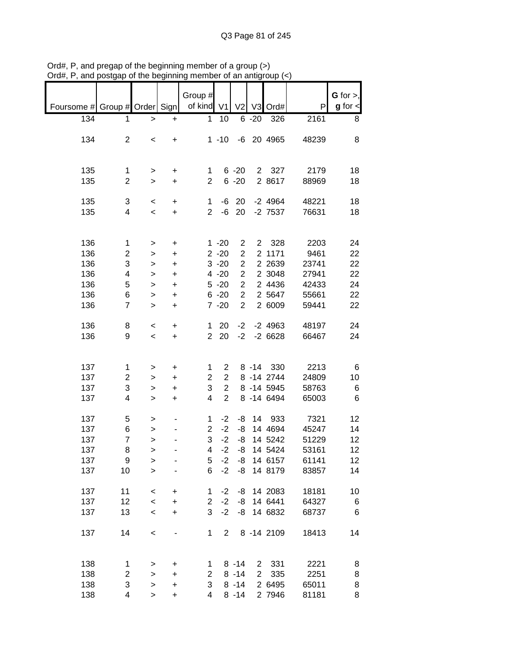|                               |                         |                          |                              | Group $#$               |                |                |             |             |       | $G$ for $>$ , |
|-------------------------------|-------------------------|--------------------------|------------------------------|-------------------------|----------------|----------------|-------------|-------------|-------|---------------|
| Foursome # Group # Order Sign |                         |                          |                              | of kind V1              |                | V <sub>2</sub> |             | V3 Ord#     | P     | $g$ for $\lt$ |
|                               |                         |                          |                              |                         |                |                |             |             |       |               |
| 134                           | 1                       | $\, > \,$                | $\ddot{}$                    | $\mathbf 1$             | 10             |                | $6 - 20$    | 326         | 2161  | 8             |
|                               |                         |                          |                              |                         |                |                |             |             |       |               |
| 134                           | $\overline{2}$          | $\,<\,$                  | $\ddot{}$                    |                         | $1 - 10$       |                |             | -6 20 4965  | 48239 | 8             |
|                               |                         |                          |                              |                         |                |                |             |             |       |               |
|                               |                         |                          |                              |                         |                |                |             |             |       |               |
| 135                           | 1                       | $\,$                     | +                            | 1                       |                | $6 - 20$       |             | 2 327       | 2179  | 18            |
| 135                           | $\overline{2}$          | $\geq$                   | $\ddot{}$                    | $\overline{2}$          |                | $6 - 20$       |             | 2 8617      | 88969 | 18            |
|                               |                         |                          |                              |                         |                |                |             |             |       |               |
| 135                           | 3                       | $\overline{\phantom{a}}$ | $\ddot{}$                    | $\mathbf{1}$            | -6             | 20             |             | $-2$ 4964   | 48221 | 18            |
| 135                           | 4                       | $\overline{\phantom{0}}$ | $\ddot{}$                    | $\overline{2}$          |                | $-6$ 20        |             | $-2$ 7537   | 76631 | 18            |
|                               |                         |                          |                              |                         |                |                |             |             |       |               |
|                               |                         |                          |                              |                         |                |                |             |             |       |               |
| 136                           | 1                       | $\,>$                    | $\ddot{}$                    |                         | $1 - 20$       | $\overline{c}$ |             | 2 328       | 2203  | 24            |
| 136                           | $\overline{c}$          | $\mathbf{I}$             | $\ddot{}$                    |                         | $2 - 20$       | $\overline{2}$ |             | 2 1171      | 9461  | 22            |
| 136                           | 3                       | $\,$                     | $\ddot{}$                    |                         | $3 - 20$       | $\overline{c}$ |             | 2 2 6 3 9   | 23741 | 22            |
| 136                           | 4                       | $\geq$                   | $\ddot{}$                    |                         | $4 - 20$       | $\overline{2}$ |             | 2 3048      | 27941 | 22            |
| 136                           | 5                       |                          |                              |                         | $5 - 20$       | $\overline{2}$ |             | 2 4436      | 42433 | 24            |
|                               |                         | $\mathbf{I}$             | $\ddot{}$                    |                         |                | $\overline{2}$ |             | 2 5 64 7    | 55661 |               |
| 136                           | 6                       | $\mathbf{I}$             | $\ddot{}$                    |                         | $6 - 20$       |                |             |             |       | 22            |
| 136                           | $\overline{7}$          | $\geq$                   | $\ddot{}$                    |                         | $7 - 20$       | $\overline{2}$ |             | 2 6009      | 59441 | 22            |
|                               |                         |                          |                              |                         |                |                |             |             |       |               |
| 136                           | 8                       | $\,<\,$                  | $\ddot{}$                    | $\mathbf 1$             | 20             | $-2$           |             | $-2$ 4963   | 48197 | 24            |
| 136                           | 9                       | $\,<\,$                  | $+$                          |                         | 2 20           | $-2$           |             | $-26628$    | 66467 | 24            |
|                               |                         |                          |                              |                         |                |                |             |             |       |               |
|                               |                         |                          |                              |                         |                |                |             |             |       |               |
| 137                           | 1                       | $\, > \,$                | +                            | 1                       | $\overline{2}$ |                |             | 8 - 14 330  | 2213  | 6             |
| 137                           | $\overline{c}$          | $\geq$                   | $\ddot{}$                    | $\overline{2}$          | $\overline{2}$ |                |             | 8 - 14 2744 | 24809 | 10            |
| 137                           | 3                       | $\, > \,$                | $\ddot{}$                    | 3                       | $\overline{2}$ |                |             | 8 - 14 5945 | 58763 | 6             |
| 137                           | 4                       | $\geq$                   | $\ddot{}$                    | $\overline{\mathbf{4}}$ | $\overline{2}$ |                |             | 8 - 14 6494 | 65003 | 6             |
|                               |                         |                          |                              |                         |                |                |             |             |       |               |
| 137                           | 5                       | >                        |                              | 1                       | $-2$           | -8             |             | 14 933      | 7321  | 12            |
| 137                           | 6                       | >                        |                              | $\overline{2}$          | $-2$           | -8             |             | 14 4694     | 45247 | 14            |
| 137                           | $\overline{7}$          | $\geq$                   |                              | 3                       | $-2$           | -8             |             | 14 5242     | 51229 | 12            |
| 137                           | 8                       | $\geq$                   |                              | $\overline{4}$          | $-2$           | -8             |             | 14 5424     | 53161 | 12            |
| 137                           | 9                       | >                        |                              | 5                       | $-2$           | -8             |             | 14 6157     | 61141 | 12            |
| 137                           | 10                      | $\geq$                   |                              | 6                       | $-2$           | -8             |             | 14 8179     | 83857 | 14            |
|                               |                         |                          |                              |                         |                |                |             |             |       |               |
| 137                           | 11                      | $\,<\,$                  | +                            | 1                       | $-2$           | -8             |             | 14 2083     | 18181 | 10            |
| 137                           | 12                      | $\prec$                  | $\ddot{}$                    | $\overline{2}$          | $-2$           | -8             |             | 14 6441     | 64327 | 6             |
| 137                           | 13                      |                          |                              | 3                       | $-2$           | -8             |             | 14 6832     |       |               |
|                               |                         | $\prec$                  | $\ddot{}$                    |                         |                |                |             |             | 68737 | 6             |
|                               |                         |                          |                              |                         |                |                |             |             |       |               |
| 137                           | 14                      | $\prec$                  | $\qquad \qquad \blacksquare$ | 1                       | $\overline{2}$ |                |             | 8 - 14 2109 | 18413 | 14            |
|                               |                         |                          |                              |                         |                |                |             |             |       |               |
|                               |                         |                          |                              |                         |                |                |             |             |       |               |
| 138                           | 1                       | >                        | $\ddot{}$                    | 1                       |                | $8 - 14$       |             | 2 331       | 2221  | 8             |
| 138                           | $\overline{\mathbf{c}}$ | $\mathbf{I}$             | $\ddot{}$                    | $\overline{c}$          |                | $8 - 14$       | $2^{\circ}$ | 335         | 2251  | 8             |
| 138                           | 3                       | $\,$                     | $\ddot{}$                    | 3                       |                | $8 - 14$       |             | 2 6495      | 65011 | 8             |
| 138                           | 4                       | $\geq$                   | $\ddot{}$                    | 4                       |                | $8 - 14$       |             | 2 7946      | 81181 | 8             |

Ord#, P, and pregap of the beginning member of a group (>) Ord#, P, and postgap of the beginning member of an antigroup (<)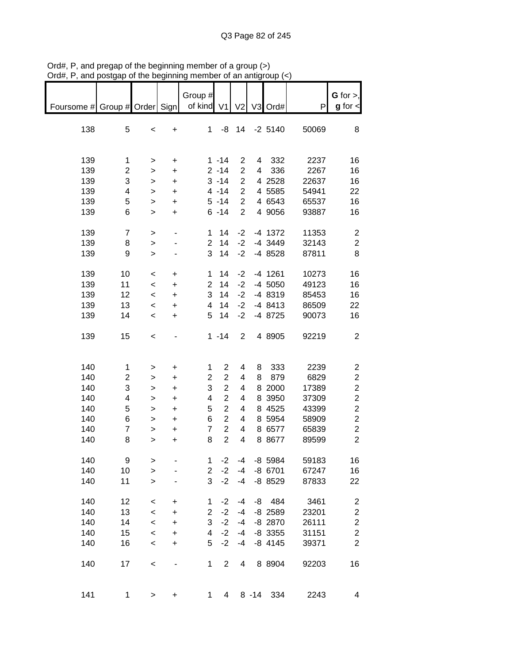| $1.4\pi$                      | yootgap or the pogmmmm  |              |           | ……                 |                |                | an annyi |           |       |                              |
|-------------------------------|-------------------------|--------------|-----------|--------------------|----------------|----------------|----------|-----------|-------|------------------------------|
| Foursome # Group # Order Sign |                         |              |           | Group #<br>of kind | V <sub>1</sub> | V <sub>2</sub> |          | V3 Ord#   | P     | G for $>$ ,<br>$g$ for $\lt$ |
|                               |                         |              |           |                    |                |                |          |           |       |                              |
| 138                           | 5                       | $\,<$        | +         | 1                  | -8             | 14             |          | $-2$ 5140 | 50069 | 8                            |
| 139                           | 1                       | >            | +         |                    | $1 - 14$       | 2              | 4        | 332       | 2237  | 16                           |
| 139                           | $\overline{\mathbf{c}}$ |              |           |                    | $2 - 14$       | $\overline{2}$ | 4        | 336       | 2267  | 16                           |
|                               |                         | $\geq$       | $\ddot{}$ |                    |                |                |          |           |       |                              |
| 139                           | 3                       | $\geq$       | $\ddot{}$ |                    | $3 - 14$       | $\overline{c}$ |          | 4 2528    | 22637 | 16                           |
| 139                           | 4                       | >            | $\ddot{}$ |                    | $4 - 14$       | $\overline{c}$ |          | 4 5 5 8 5 | 54941 | 22                           |
| 139                           | 5                       | >            | $\ddot{}$ |                    | $5 - 14$       | $\overline{2}$ |          | 4 6543    | 65537 | 16                           |
| 139                           | 6                       | >            | $\ddot{}$ |                    | $6 - 14$       | $\overline{2}$ |          | 4 9056    | 93887 | 16                           |
| 139                           | $\overline{7}$          | $\, > \,$    |           | 1                  | 14             | $-2$           |          | $-4$ 1372 | 11353 | $\boldsymbol{2}$             |
| 139                           | 8                       | >            |           | $\overline{2}$     | 14             | $-2$           |          | -4 3449   | 32143 | $\overline{c}$               |
| 139                           | 9                       | $\geq$       |           | 3                  | 14             | $-2$           |          | -4 8528   | 87811 | 8                            |
| 139                           | 10                      | $\,<$        | +         | 1                  | 14             | $-2$           |          | $-4$ 1261 | 10273 | 16                           |
| 139                           | 11                      | $\prec$      | +         | $\overline{2}$     | 14             | $-2$           |          | -4 5050   | 49123 | 16                           |
| 139                           | 12                      | $\,<\,$      | +         | 3                  | 14             | $-2$           |          | -4 8319   | 85453 | 16                           |
| 139                           | 13                      | $\,<\,$      | +         | 4                  | 14             | $-2$           |          | -4 8413   | 86509 | 22                           |
| 139                           | 14                      | $\,<$        |           | 5                  | 14             | $-2$           |          | -4 8725   | 90073 | 16                           |
|                               |                         |              | +         |                    |                |                |          |           |       |                              |
| 139                           | 15                      | $\prec$      |           |                    | $1 - 14$       | $\overline{2}$ |          | 4 8905    | 92219 | $\overline{c}$               |
| 140                           | 1                       |              |           | 1                  | $\overline{2}$ | 4              | 8        | 333       | 2239  | $\overline{\mathbf{c}}$      |
|                               |                         | >            | +         |                    |                |                |          |           |       |                              |
| 140                           | 2                       | >            | $\ddot{}$ | $\overline{c}$     | $\overline{c}$ | 4              | 8        | 879       | 6829  | $\overline{\mathbf{c}}$      |
| 140                           | 3                       | >            | $\ddot{}$ | 3                  | $\overline{c}$ | 4              |          | 8 2000    | 17389 | $\overline{c}$               |
| 140                           | 4                       | >            | $\ddot{}$ | 4                  | $\overline{2}$ | 4              |          | 8 3950    | 37309 | $\overline{\mathbf{c}}$      |
| 140                           | 5                       | >            | $\ddot{}$ | 5                  | $\overline{c}$ | 4              |          | 8 4525    | 43399 | $\overline{c}$               |
| 140                           | 6                       | >            | $\ddot{}$ | 6                  | $\overline{c}$ | 4              |          | 8 5954    | 58909 | $\overline{\mathbf{c}}$      |
| 140                           | $\overline{7}$          | $\mathbf{I}$ | $\ddot{}$ | $\overline{7}$     | $\overline{c}$ | 4              |          | 8 6577    | 65839 | $\overline{\mathbf{c}}$      |
| 140                           | 8                       | >            | +         | 8                  | $\overline{c}$ | 4              |          | 8 8 677   | 89599 | $\overline{2}$               |
| 140                           | 9                       | >            |           | 1.                 | $-2$           | $-4$           |          | $-8$ 5984 | 59183 | 16                           |
| 140                           | 10                      | $\geq$       |           | $\overline{2}$     | $-2$           | $-4$           |          | $-8$ 6701 | 67247 | 16                           |
| 140                           | 11                      | $\geq$       |           | 3                  | $-2$           | $-4$           |          | $-8$ 8529 | 87833 | 22                           |
| 140                           | 12                      | $\,<$        | +         | 1                  | $-2$           | $-4$           |          | $-8$ 484  | 3461  | $\overline{\mathbf{c}}$      |
| 140                           | 13                      | $\prec$      | $\ddot{}$ | $\overline{2}$     | $-2$           | $-4$           |          | $-8$ 2589 | 23201 | $\boldsymbol{2}$             |
| 140                           | 14                      | $\prec$      | $\ddot{}$ | 3                  | $-2$           | $-4$           |          | $-8$ 2870 | 26111 | $\overline{\mathbf{c}}$      |
| 140                           | 15                      | $\prec$      | $\ddot{}$ | 4                  | $-2$           | $-4$           |          | $-8$ 3355 | 31151 | $\overline{c}$               |
| 140                           | 16                      |              |           | 5                  | $-2$           | $-4$           |          | $-8$ 4145 | 39371 | $\overline{2}$               |
|                               |                         | $\prec$      | $\ddot{}$ |                    |                |                |          |           |       |                              |
| 140                           | 17                      | $\,<\,$      |           | 1                  | 2              | 4              |          | 8 8 9 0 4 | 92203 | 16                           |
| 141                           | 1                       | >            | +         | 1                  | $\overline{4}$ |                |          | 8 -14 334 | 2243  | 4                            |

Ord#, P, and pregap of the beginning member of a group (>) Ord#, P, and postgap of the beginning member of an antigroup (<)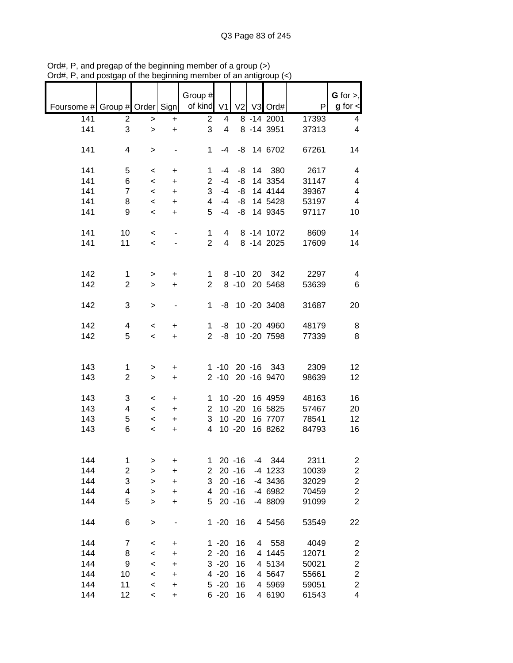|                               |                         |                          |           | Group #<br>of kind V1 |                |           |   |                          |       | G for $>$ ,<br>$g$ for $\lt$ |
|-------------------------------|-------------------------|--------------------------|-----------|-----------------------|----------------|-----------|---|--------------------------|-------|------------------------------|
| Foursome # Group # Order Sign |                         |                          |           |                       |                |           |   | V2 V3 Ord#               | P     |                              |
| 141                           | $\overline{c}$          | $\,>$                    | $\ddot{}$ | $\overline{2}$        | 4              |           |   | $8 - 14 \overline{2001}$ | 17393 | 4                            |
| 141                           | 3                       | $\geq$                   | $\ddot{}$ | 3                     | $\overline{4}$ |           |   | 8 - 14 3951              | 37313 | 4                            |
|                               |                         |                          |           |                       |                |           |   |                          |       |                              |
| 141                           | 4                       | $\, > \,$                |           | 1                     | -4             |           |   | -8 14 6702               | 67261 | 14                           |
|                               |                         |                          |           |                       |                |           |   |                          |       |                              |
| 141                           | 5                       | $\,<\,$                  | +         | 1                     | $-4$           | -8        |   | 14 380                   | 2617  | 4                            |
| 141                           | 6                       | $\,<$                    | +         | $\overline{2}$        | $-4$           | -8        |   | 14 3354                  | 31147 | 4                            |
| 141                           | $\overline{7}$          | $\overline{\phantom{a}}$ | $\ddot{}$ | 3                     | $-4$           | -8        |   | 14 4144                  | 39367 | 4                            |
| 141                           | 8                       | $\,<\,$                  | $\ddot{}$ | 4                     | -4             | -8        |   | 14 5428                  | 53197 | 4                            |
| 141                           | 9                       | $\overline{\phantom{a}}$ | +         | 5                     | $-4$           | -8        |   | 14 9345                  | 97117 | 10                           |
|                               |                         |                          |           |                       |                |           |   |                          |       |                              |
| 141                           | 10                      | $\,<\,$                  | -         | 1                     | 4              |           |   | 8 -14 1072               | 8609  | 14                           |
| 141                           | 11                      | $\overline{\phantom{0}}$ |           | $\overline{2}$        | 4              |           |   | 8 -14 2025               | 17609 | 14                           |
|                               |                         |                          |           |                       |                |           |   |                          |       |                              |
|                               |                         |                          |           |                       |                |           |   |                          |       |                              |
| 142                           | $\mathbf 1$             | $\, > \,$                | +         | $\mathbf{1}$          |                |           |   | 8 -10 20 342             | 2297  | 4                            |
| 142                           | $\overline{2}$          | $\geq$                   | $\ddot{}$ | $\overline{2}$        |                | $8 - 10$  |   | 20 5468                  | 53639 | 6                            |
|                               |                         |                          |           |                       |                |           |   |                          |       |                              |
| 142                           | 3                       | >                        | -         | $\mathbf 1$           | -8             |           |   | 10 -20 3408              | 31687 | 20                           |
|                               |                         |                          |           |                       |                |           |   |                          |       |                              |
| 142                           | 4                       | $\,<\,$                  | +         | $\mathbf 1$           | -8             |           |   | 10 -20 4960              | 48179 | 8                            |
| 142                           | 5                       |                          |           | $\overline{2}$        | -8             |           |   | 10 -20 7598              | 77339 | 8                            |
|                               |                         | $\overline{\phantom{0}}$ | $\ddot{}$ |                       |                |           |   |                          |       |                              |
|                               |                         |                          |           |                       |                |           |   |                          |       |                              |
|                               |                         |                          |           |                       |                |           |   |                          |       |                              |
| 143                           | 1                       | >                        | +         |                       | $1 - 10$       |           |   | 20 -16 343               | 2309  | 12                           |
| 143                           | $\overline{2}$          | $\mathbf{I}$             | +         |                       | $2 - 10$       |           |   | 20 -16 9470              | 98639 | 12                           |
|                               |                         |                          |           |                       |                |           |   |                          |       |                              |
| 143                           | 3                       | $\,<\,$                  | $\ddot{}$ | 1                     |                | $10 - 20$ |   | 16 4959                  | 48163 | 16                           |
| 143                           | 4                       | $\,<\,$                  | $\ddot{}$ | $\overline{2}$        |                | $10 - 20$ |   | 16 5825                  | 57467 | 20                           |
| 143                           | 5                       | $\,<\,$                  | +         | 3                     |                | $10 - 20$ |   | 16 7707                  | 78541 | 12                           |
| 143                           | 6                       | $\,<\,$                  | +         | 4                     |                | $10 - 20$ |   | 16 8262                  | 84793 | 16                           |
|                               |                         |                          |           |                       |                |           |   |                          |       |                              |
|                               |                         |                          |           |                       |                |           |   |                          |       |                              |
| 144                           | 1                       | >                        | +         | 1                     |                | $20 - 16$ |   | $-4$ 344                 | 2311  | 2                            |
| 144                           | $\overline{\mathbf{c}}$ | $\geq$                   | +         | $\overline{2}$        |                | $20 - 16$ |   | $-4$ 1233                | 10039 | $\overline{\mathbf{c}}$      |
| 144                           | 3                       | $\geq$                   | $\ddot{}$ | 3                     |                | $20 - 16$ |   | $-4$ 3436                | 32029 | $\overline{\mathbf{c}}$      |
| 144                           | 4                       | $\geq$                   | $\ddot{}$ | 4                     |                | $20 - 16$ |   | -4 6982                  | 70459 | $\overline{\mathbf{c}}$      |
| 144                           | 5                       | $\geq$                   | +         | 5                     |                | $20 - 16$ |   | -4 8809                  | 91099 | $\overline{2}$               |
|                               |                         |                          |           |                       |                |           |   |                          |       |                              |
| 144                           | 6                       | $\,>$                    |           |                       | $1 - 20$       | 16        |   | 4 5456                   | 53549 | 22                           |
|                               |                         |                          |           |                       |                |           |   |                          |       |                              |
| 144                           | 7                       | $\,<$                    | +         |                       | $1 - 20$       | 16        | 4 | 558                      | 4049  | 2                            |
| 144                           | 8                       | $\prec$                  | +         |                       | $2 - 20$       | 16        |   | 4 1445                   | 12071 | 2                            |
| 144                           | 9                       | $\,<$                    | +         |                       | $3 - 20$       | 16        |   | 4 5134                   | 50021 | $\overline{\mathbf{c}}$      |
| 144                           | 10                      | $\,<$                    | +         |                       | $4 - 20$       | 16        |   | 4 5 64 7                 | 55661 | $\overline{\mathbf{c}}$      |
| 144                           | 11                      | $\,<$                    | +         |                       | $5 - 20$       | 16        |   | 4 5969                   | 59051 | 2                            |
| 144                           | 12                      | $\,<\,$                  | +         |                       | $6 - 20$       | 16        |   | 4 6190                   | 61543 | 4                            |
|                               |                         |                          |           |                       |                |           |   |                          |       |                              |

Ord#, P, and pregap of the beginning member of a group (>) Ord#, P, and postgap of the beginning member of an antigroup (<)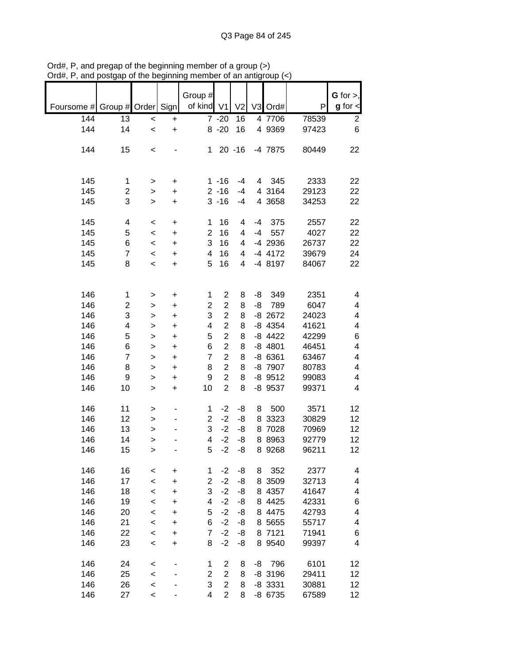| G for $>$ ,<br>Group #<br>of kind V1<br>$g$ for $\lt$<br>Group # Order Sign<br>V <sub>2</sub><br>V3<br>Ord#<br>P<br>Foursome #<br>144<br>13<br>$7 - 20$<br>16<br>4 7706<br>78539<br>2<br>$\ddot{}$<br>$\,<$<br>$8 - 20$<br>16<br>6<br>144<br>14<br>4 9369<br>97423<br>$\prec$<br>$\ddot{}$<br>144<br>15<br>$20 - 16$<br>-4 7875<br>1<br>80449<br>22<br>$\,<$<br>145<br>345<br>2333<br>$1 - 16$<br>22<br>$-4$<br>4<br>1<br>+<br>><br>145<br>$2 - 16$<br>4 3164<br>29123<br>22<br>2<br>$-4$<br>$\ddot{}$<br>><br>145<br>3<br>$3 - 16$<br>4 3658<br>34253<br>22<br>$-4$<br>$\ddot{}$<br>$\, > \,$<br>145<br>16<br>375<br>22<br>4<br>1<br>4<br>$-4$<br>2557<br>$\,<$<br>+<br>$\overline{2}$<br>145<br>16<br>5<br>$-4$<br>557<br>4027<br>22<br>4<br>$\prec$<br>$\ddot{}$<br>3<br>145<br>-4 2936<br>6<br>16<br>26737<br>22<br>4<br>$\prec$<br>$\ddot{}$<br>145<br>$\overline{7}$<br>4<br>16<br>-4 4172<br>39679<br>24<br>4<br>$\prec$<br>$\ddot{}$<br>5<br>145<br>8<br>16<br>-4 8197<br>84067<br>4<br>22<br>$\prec$<br>+<br>146<br>$\overline{\mathbf{c}}$<br>349<br>2351<br>1<br>8<br>-8<br>4<br>1<br>$\ddot{}$<br>><br>$\overline{c}$<br>146<br>2<br>$\overline{\mathbf{c}}$<br>8<br>-8<br>789<br>6047<br>4<br>$\ddot{}$<br>><br>$\overline{c}$<br>3<br>3<br>8<br>146<br>$-8$ 2672<br>24023<br>4<br>$\ddot{}$<br>><br>$\overline{c}$<br>146<br>$-8$ 4354<br>4<br>8<br>41621<br>4<br>4<br>$\ddot{}$<br>><br>$\overline{c}$<br>146<br>5<br>$-8$ 4422<br>8<br>42299<br>6<br>5<br>$\ddot{}$<br>><br>6<br>$\overline{2}$<br>$-8$ 4801<br>146<br>6<br>8<br>46451<br>4<br>$\ddot{}$<br>><br>$\overline{7}$<br>$\overline{2}$<br>146<br>$\overline{7}$<br>8<br>$-86361$<br>63467<br>4<br>+<br>><br>$\overline{2}$<br>146<br>8<br>8<br>-8 7907<br>80783<br>4<br>8<br>$\ddot{}$<br>$\geq$<br>$\overline{c}$<br>146<br>9<br>9<br>8<br>$-8$ 9512<br>99083<br>4<br>+<br>><br>$\overline{2}$<br>146<br>10<br>10<br>8<br>-8 9537<br>99371<br>4<br>$\geq$<br>$\ddot{}$<br>146<br>11<br>$-2$<br>-8<br>500<br>3571<br>1<br>8<br>12<br>><br>$\overline{2}$<br>$-2$<br>146<br>12<br>-8<br>8 3323<br>30829<br>12<br>><br>3<br>$-2$<br>8 7028<br>146<br>13<br>-8<br>70969<br>12<br>><br>$-2$<br>8 8 9 6 3<br>146<br>4<br>-8<br>92779<br>14<br>12<br>><br>$-2$<br>8 9268<br>146<br>15<br>5<br>-8<br>96211<br>12<br>><br>146<br>16<br>$-2$<br>-8<br>352<br>2377<br>8<br>4<br>1<br><<br>+<br>$-2$<br>146<br>17<br>$\overline{\mathbf{c}}$<br>-8<br>8 3509<br>32713<br>4<br>$\,<$<br>+<br>3<br>$-2$<br>146<br>18<br>8 4357<br>-8<br>41647<br>4<br>$\,<$<br>+<br>146<br>$-2$<br>8 4425<br>42331<br>19<br>4<br>-8<br>6<br><<br>+<br>146<br>5<br>$-2$<br>4475<br>42793<br>20<br>-8<br>4<br>8<br>+<br><<br>146<br>6<br>$-2$<br>5655<br>21<br>-8<br>55717<br>4<br>8<br>+<br><<br>146<br>$\overline{7}$<br>$-2$<br>8 7121<br>71941<br>22<br>-8<br>6<br>$\,<\,$<br>+<br>146<br>$-2$<br>8 9 5 4 0<br>23<br>8<br>99397<br>4<br>-8<br>+<br><<br>146<br>6101<br>24<br>$\overline{c}$<br>796<br>12<br>1<br>8<br>-8<br><<br>$\overline{c}$<br>146<br>$\overline{2}$<br>29411<br>25<br>8<br>$-8$ 3196<br>12<br>$\prec$ |     |    |  |   |                |   |  |       |  |
|----------------------------------------------------------------------------------------------------------------------------------------------------------------------------------------------------------------------------------------------------------------------------------------------------------------------------------------------------------------------------------------------------------------------------------------------------------------------------------------------------------------------------------------------------------------------------------------------------------------------------------------------------------------------------------------------------------------------------------------------------------------------------------------------------------------------------------------------------------------------------------------------------------------------------------------------------------------------------------------------------------------------------------------------------------------------------------------------------------------------------------------------------------------------------------------------------------------------------------------------------------------------------------------------------------------------------------------------------------------------------------------------------------------------------------------------------------------------------------------------------------------------------------------------------------------------------------------------------------------------------------------------------------------------------------------------------------------------------------------------------------------------------------------------------------------------------------------------------------------------------------------------------------------------------------------------------------------------------------------------------------------------------------------------------------------------------------------------------------------------------------------------------------------------------------------------------------------------------------------------------------------------------------------------------------------------------------------------------------------------------------------------------------------------------------------------------------------------------------------------------------------------------------------------------------------------------------------------------------------------------------------------------------------------------------------------------------------------------------------------------------------------------------------------------------------------------------------------------------------------------------------------------------------------------------------------------------------------------------------------------------------------------------------------------------------------------|-----|----|--|---|----------------|---|--|-------|--|
|                                                                                                                                                                                                                                                                                                                                                                                                                                                                                                                                                                                                                                                                                                                                                                                                                                                                                                                                                                                                                                                                                                                                                                                                                                                                                                                                                                                                                                                                                                                                                                                                                                                                                                                                                                                                                                                                                                                                                                                                                                                                                                                                                                                                                                                                                                                                                                                                                                                                                                                                                                                                                                                                                                                                                                                                                                                                                                                                                                                                                                                                            |     |    |  |   |                |   |  |       |  |
|                                                                                                                                                                                                                                                                                                                                                                                                                                                                                                                                                                                                                                                                                                                                                                                                                                                                                                                                                                                                                                                                                                                                                                                                                                                                                                                                                                                                                                                                                                                                                                                                                                                                                                                                                                                                                                                                                                                                                                                                                                                                                                                                                                                                                                                                                                                                                                                                                                                                                                                                                                                                                                                                                                                                                                                                                                                                                                                                                                                                                                                                            |     |    |  |   |                |   |  |       |  |
|                                                                                                                                                                                                                                                                                                                                                                                                                                                                                                                                                                                                                                                                                                                                                                                                                                                                                                                                                                                                                                                                                                                                                                                                                                                                                                                                                                                                                                                                                                                                                                                                                                                                                                                                                                                                                                                                                                                                                                                                                                                                                                                                                                                                                                                                                                                                                                                                                                                                                                                                                                                                                                                                                                                                                                                                                                                                                                                                                                                                                                                                            |     |    |  |   |                |   |  |       |  |
|                                                                                                                                                                                                                                                                                                                                                                                                                                                                                                                                                                                                                                                                                                                                                                                                                                                                                                                                                                                                                                                                                                                                                                                                                                                                                                                                                                                                                                                                                                                                                                                                                                                                                                                                                                                                                                                                                                                                                                                                                                                                                                                                                                                                                                                                                                                                                                                                                                                                                                                                                                                                                                                                                                                                                                                                                                                                                                                                                                                                                                                                            |     |    |  |   |                |   |  |       |  |
|                                                                                                                                                                                                                                                                                                                                                                                                                                                                                                                                                                                                                                                                                                                                                                                                                                                                                                                                                                                                                                                                                                                                                                                                                                                                                                                                                                                                                                                                                                                                                                                                                                                                                                                                                                                                                                                                                                                                                                                                                                                                                                                                                                                                                                                                                                                                                                                                                                                                                                                                                                                                                                                                                                                                                                                                                                                                                                                                                                                                                                                                            |     |    |  |   |                |   |  |       |  |
|                                                                                                                                                                                                                                                                                                                                                                                                                                                                                                                                                                                                                                                                                                                                                                                                                                                                                                                                                                                                                                                                                                                                                                                                                                                                                                                                                                                                                                                                                                                                                                                                                                                                                                                                                                                                                                                                                                                                                                                                                                                                                                                                                                                                                                                                                                                                                                                                                                                                                                                                                                                                                                                                                                                                                                                                                                                                                                                                                                                                                                                                            |     |    |  |   |                |   |  |       |  |
|                                                                                                                                                                                                                                                                                                                                                                                                                                                                                                                                                                                                                                                                                                                                                                                                                                                                                                                                                                                                                                                                                                                                                                                                                                                                                                                                                                                                                                                                                                                                                                                                                                                                                                                                                                                                                                                                                                                                                                                                                                                                                                                                                                                                                                                                                                                                                                                                                                                                                                                                                                                                                                                                                                                                                                                                                                                                                                                                                                                                                                                                            |     |    |  |   |                |   |  |       |  |
|                                                                                                                                                                                                                                                                                                                                                                                                                                                                                                                                                                                                                                                                                                                                                                                                                                                                                                                                                                                                                                                                                                                                                                                                                                                                                                                                                                                                                                                                                                                                                                                                                                                                                                                                                                                                                                                                                                                                                                                                                                                                                                                                                                                                                                                                                                                                                                                                                                                                                                                                                                                                                                                                                                                                                                                                                                                                                                                                                                                                                                                                            |     |    |  |   |                |   |  |       |  |
|                                                                                                                                                                                                                                                                                                                                                                                                                                                                                                                                                                                                                                                                                                                                                                                                                                                                                                                                                                                                                                                                                                                                                                                                                                                                                                                                                                                                                                                                                                                                                                                                                                                                                                                                                                                                                                                                                                                                                                                                                                                                                                                                                                                                                                                                                                                                                                                                                                                                                                                                                                                                                                                                                                                                                                                                                                                                                                                                                                                                                                                                            |     |    |  |   |                |   |  |       |  |
|                                                                                                                                                                                                                                                                                                                                                                                                                                                                                                                                                                                                                                                                                                                                                                                                                                                                                                                                                                                                                                                                                                                                                                                                                                                                                                                                                                                                                                                                                                                                                                                                                                                                                                                                                                                                                                                                                                                                                                                                                                                                                                                                                                                                                                                                                                                                                                                                                                                                                                                                                                                                                                                                                                                                                                                                                                                                                                                                                                                                                                                                            |     |    |  |   |                |   |  |       |  |
|                                                                                                                                                                                                                                                                                                                                                                                                                                                                                                                                                                                                                                                                                                                                                                                                                                                                                                                                                                                                                                                                                                                                                                                                                                                                                                                                                                                                                                                                                                                                                                                                                                                                                                                                                                                                                                                                                                                                                                                                                                                                                                                                                                                                                                                                                                                                                                                                                                                                                                                                                                                                                                                                                                                                                                                                                                                                                                                                                                                                                                                                            |     |    |  |   |                |   |  |       |  |
|                                                                                                                                                                                                                                                                                                                                                                                                                                                                                                                                                                                                                                                                                                                                                                                                                                                                                                                                                                                                                                                                                                                                                                                                                                                                                                                                                                                                                                                                                                                                                                                                                                                                                                                                                                                                                                                                                                                                                                                                                                                                                                                                                                                                                                                                                                                                                                                                                                                                                                                                                                                                                                                                                                                                                                                                                                                                                                                                                                                                                                                                            |     |    |  |   |                |   |  |       |  |
|                                                                                                                                                                                                                                                                                                                                                                                                                                                                                                                                                                                                                                                                                                                                                                                                                                                                                                                                                                                                                                                                                                                                                                                                                                                                                                                                                                                                                                                                                                                                                                                                                                                                                                                                                                                                                                                                                                                                                                                                                                                                                                                                                                                                                                                                                                                                                                                                                                                                                                                                                                                                                                                                                                                                                                                                                                                                                                                                                                                                                                                                            |     |    |  |   |                |   |  |       |  |
|                                                                                                                                                                                                                                                                                                                                                                                                                                                                                                                                                                                                                                                                                                                                                                                                                                                                                                                                                                                                                                                                                                                                                                                                                                                                                                                                                                                                                                                                                                                                                                                                                                                                                                                                                                                                                                                                                                                                                                                                                                                                                                                                                                                                                                                                                                                                                                                                                                                                                                                                                                                                                                                                                                                                                                                                                                                                                                                                                                                                                                                                            |     |    |  |   |                |   |  |       |  |
|                                                                                                                                                                                                                                                                                                                                                                                                                                                                                                                                                                                                                                                                                                                                                                                                                                                                                                                                                                                                                                                                                                                                                                                                                                                                                                                                                                                                                                                                                                                                                                                                                                                                                                                                                                                                                                                                                                                                                                                                                                                                                                                                                                                                                                                                                                                                                                                                                                                                                                                                                                                                                                                                                                                                                                                                                                                                                                                                                                                                                                                                            |     |    |  |   |                |   |  |       |  |
|                                                                                                                                                                                                                                                                                                                                                                                                                                                                                                                                                                                                                                                                                                                                                                                                                                                                                                                                                                                                                                                                                                                                                                                                                                                                                                                                                                                                                                                                                                                                                                                                                                                                                                                                                                                                                                                                                                                                                                                                                                                                                                                                                                                                                                                                                                                                                                                                                                                                                                                                                                                                                                                                                                                                                                                                                                                                                                                                                                                                                                                                            |     |    |  |   |                |   |  |       |  |
|                                                                                                                                                                                                                                                                                                                                                                                                                                                                                                                                                                                                                                                                                                                                                                                                                                                                                                                                                                                                                                                                                                                                                                                                                                                                                                                                                                                                                                                                                                                                                                                                                                                                                                                                                                                                                                                                                                                                                                                                                                                                                                                                                                                                                                                                                                                                                                                                                                                                                                                                                                                                                                                                                                                                                                                                                                                                                                                                                                                                                                                                            |     |    |  |   |                |   |  |       |  |
|                                                                                                                                                                                                                                                                                                                                                                                                                                                                                                                                                                                                                                                                                                                                                                                                                                                                                                                                                                                                                                                                                                                                                                                                                                                                                                                                                                                                                                                                                                                                                                                                                                                                                                                                                                                                                                                                                                                                                                                                                                                                                                                                                                                                                                                                                                                                                                                                                                                                                                                                                                                                                                                                                                                                                                                                                                                                                                                                                                                                                                                                            |     |    |  |   |                |   |  |       |  |
|                                                                                                                                                                                                                                                                                                                                                                                                                                                                                                                                                                                                                                                                                                                                                                                                                                                                                                                                                                                                                                                                                                                                                                                                                                                                                                                                                                                                                                                                                                                                                                                                                                                                                                                                                                                                                                                                                                                                                                                                                                                                                                                                                                                                                                                                                                                                                                                                                                                                                                                                                                                                                                                                                                                                                                                                                                                                                                                                                                                                                                                                            |     |    |  |   |                |   |  |       |  |
|                                                                                                                                                                                                                                                                                                                                                                                                                                                                                                                                                                                                                                                                                                                                                                                                                                                                                                                                                                                                                                                                                                                                                                                                                                                                                                                                                                                                                                                                                                                                                                                                                                                                                                                                                                                                                                                                                                                                                                                                                                                                                                                                                                                                                                                                                                                                                                                                                                                                                                                                                                                                                                                                                                                                                                                                                                                                                                                                                                                                                                                                            |     |    |  |   |                |   |  |       |  |
|                                                                                                                                                                                                                                                                                                                                                                                                                                                                                                                                                                                                                                                                                                                                                                                                                                                                                                                                                                                                                                                                                                                                                                                                                                                                                                                                                                                                                                                                                                                                                                                                                                                                                                                                                                                                                                                                                                                                                                                                                                                                                                                                                                                                                                                                                                                                                                                                                                                                                                                                                                                                                                                                                                                                                                                                                                                                                                                                                                                                                                                                            |     |    |  |   |                |   |  |       |  |
|                                                                                                                                                                                                                                                                                                                                                                                                                                                                                                                                                                                                                                                                                                                                                                                                                                                                                                                                                                                                                                                                                                                                                                                                                                                                                                                                                                                                                                                                                                                                                                                                                                                                                                                                                                                                                                                                                                                                                                                                                                                                                                                                                                                                                                                                                                                                                                                                                                                                                                                                                                                                                                                                                                                                                                                                                                                                                                                                                                                                                                                                            |     |    |  |   |                |   |  |       |  |
|                                                                                                                                                                                                                                                                                                                                                                                                                                                                                                                                                                                                                                                                                                                                                                                                                                                                                                                                                                                                                                                                                                                                                                                                                                                                                                                                                                                                                                                                                                                                                                                                                                                                                                                                                                                                                                                                                                                                                                                                                                                                                                                                                                                                                                                                                                                                                                                                                                                                                                                                                                                                                                                                                                                                                                                                                                                                                                                                                                                                                                                                            |     |    |  |   |                |   |  |       |  |
|                                                                                                                                                                                                                                                                                                                                                                                                                                                                                                                                                                                                                                                                                                                                                                                                                                                                                                                                                                                                                                                                                                                                                                                                                                                                                                                                                                                                                                                                                                                                                                                                                                                                                                                                                                                                                                                                                                                                                                                                                                                                                                                                                                                                                                                                                                                                                                                                                                                                                                                                                                                                                                                                                                                                                                                                                                                                                                                                                                                                                                                                            |     |    |  |   |                |   |  |       |  |
|                                                                                                                                                                                                                                                                                                                                                                                                                                                                                                                                                                                                                                                                                                                                                                                                                                                                                                                                                                                                                                                                                                                                                                                                                                                                                                                                                                                                                                                                                                                                                                                                                                                                                                                                                                                                                                                                                                                                                                                                                                                                                                                                                                                                                                                                                                                                                                                                                                                                                                                                                                                                                                                                                                                                                                                                                                                                                                                                                                                                                                                                            |     |    |  |   |                |   |  |       |  |
|                                                                                                                                                                                                                                                                                                                                                                                                                                                                                                                                                                                                                                                                                                                                                                                                                                                                                                                                                                                                                                                                                                                                                                                                                                                                                                                                                                                                                                                                                                                                                                                                                                                                                                                                                                                                                                                                                                                                                                                                                                                                                                                                                                                                                                                                                                                                                                                                                                                                                                                                                                                                                                                                                                                                                                                                                                                                                                                                                                                                                                                                            |     |    |  |   |                |   |  |       |  |
|                                                                                                                                                                                                                                                                                                                                                                                                                                                                                                                                                                                                                                                                                                                                                                                                                                                                                                                                                                                                                                                                                                                                                                                                                                                                                                                                                                                                                                                                                                                                                                                                                                                                                                                                                                                                                                                                                                                                                                                                                                                                                                                                                                                                                                                                                                                                                                                                                                                                                                                                                                                                                                                                                                                                                                                                                                                                                                                                                                                                                                                                            |     |    |  |   |                |   |  |       |  |
|                                                                                                                                                                                                                                                                                                                                                                                                                                                                                                                                                                                                                                                                                                                                                                                                                                                                                                                                                                                                                                                                                                                                                                                                                                                                                                                                                                                                                                                                                                                                                                                                                                                                                                                                                                                                                                                                                                                                                                                                                                                                                                                                                                                                                                                                                                                                                                                                                                                                                                                                                                                                                                                                                                                                                                                                                                                                                                                                                                                                                                                                            |     |    |  |   |                |   |  |       |  |
|                                                                                                                                                                                                                                                                                                                                                                                                                                                                                                                                                                                                                                                                                                                                                                                                                                                                                                                                                                                                                                                                                                                                                                                                                                                                                                                                                                                                                                                                                                                                                                                                                                                                                                                                                                                                                                                                                                                                                                                                                                                                                                                                                                                                                                                                                                                                                                                                                                                                                                                                                                                                                                                                                                                                                                                                                                                                                                                                                                                                                                                                            |     |    |  |   |                |   |  |       |  |
|                                                                                                                                                                                                                                                                                                                                                                                                                                                                                                                                                                                                                                                                                                                                                                                                                                                                                                                                                                                                                                                                                                                                                                                                                                                                                                                                                                                                                                                                                                                                                                                                                                                                                                                                                                                                                                                                                                                                                                                                                                                                                                                                                                                                                                                                                                                                                                                                                                                                                                                                                                                                                                                                                                                                                                                                                                                                                                                                                                                                                                                                            |     |    |  |   |                |   |  |       |  |
|                                                                                                                                                                                                                                                                                                                                                                                                                                                                                                                                                                                                                                                                                                                                                                                                                                                                                                                                                                                                                                                                                                                                                                                                                                                                                                                                                                                                                                                                                                                                                                                                                                                                                                                                                                                                                                                                                                                                                                                                                                                                                                                                                                                                                                                                                                                                                                                                                                                                                                                                                                                                                                                                                                                                                                                                                                                                                                                                                                                                                                                                            |     |    |  |   |                |   |  |       |  |
|                                                                                                                                                                                                                                                                                                                                                                                                                                                                                                                                                                                                                                                                                                                                                                                                                                                                                                                                                                                                                                                                                                                                                                                                                                                                                                                                                                                                                                                                                                                                                                                                                                                                                                                                                                                                                                                                                                                                                                                                                                                                                                                                                                                                                                                                                                                                                                                                                                                                                                                                                                                                                                                                                                                                                                                                                                                                                                                                                                                                                                                                            |     |    |  |   |                |   |  |       |  |
|                                                                                                                                                                                                                                                                                                                                                                                                                                                                                                                                                                                                                                                                                                                                                                                                                                                                                                                                                                                                                                                                                                                                                                                                                                                                                                                                                                                                                                                                                                                                                                                                                                                                                                                                                                                                                                                                                                                                                                                                                                                                                                                                                                                                                                                                                                                                                                                                                                                                                                                                                                                                                                                                                                                                                                                                                                                                                                                                                                                                                                                                            |     |    |  |   |                |   |  |       |  |
|                                                                                                                                                                                                                                                                                                                                                                                                                                                                                                                                                                                                                                                                                                                                                                                                                                                                                                                                                                                                                                                                                                                                                                                                                                                                                                                                                                                                                                                                                                                                                                                                                                                                                                                                                                                                                                                                                                                                                                                                                                                                                                                                                                                                                                                                                                                                                                                                                                                                                                                                                                                                                                                                                                                                                                                                                                                                                                                                                                                                                                                                            |     |    |  |   |                |   |  |       |  |
|                                                                                                                                                                                                                                                                                                                                                                                                                                                                                                                                                                                                                                                                                                                                                                                                                                                                                                                                                                                                                                                                                                                                                                                                                                                                                                                                                                                                                                                                                                                                                                                                                                                                                                                                                                                                                                                                                                                                                                                                                                                                                                                                                                                                                                                                                                                                                                                                                                                                                                                                                                                                                                                                                                                                                                                                                                                                                                                                                                                                                                                                            |     |    |  |   |                |   |  |       |  |
|                                                                                                                                                                                                                                                                                                                                                                                                                                                                                                                                                                                                                                                                                                                                                                                                                                                                                                                                                                                                                                                                                                                                                                                                                                                                                                                                                                                                                                                                                                                                                                                                                                                                                                                                                                                                                                                                                                                                                                                                                                                                                                                                                                                                                                                                                                                                                                                                                                                                                                                                                                                                                                                                                                                                                                                                                                                                                                                                                                                                                                                                            |     |    |  |   |                |   |  |       |  |
|                                                                                                                                                                                                                                                                                                                                                                                                                                                                                                                                                                                                                                                                                                                                                                                                                                                                                                                                                                                                                                                                                                                                                                                                                                                                                                                                                                                                                                                                                                                                                                                                                                                                                                                                                                                                                                                                                                                                                                                                                                                                                                                                                                                                                                                                                                                                                                                                                                                                                                                                                                                                                                                                                                                                                                                                                                                                                                                                                                                                                                                                            |     |    |  |   |                |   |  |       |  |
|                                                                                                                                                                                                                                                                                                                                                                                                                                                                                                                                                                                                                                                                                                                                                                                                                                                                                                                                                                                                                                                                                                                                                                                                                                                                                                                                                                                                                                                                                                                                                                                                                                                                                                                                                                                                                                                                                                                                                                                                                                                                                                                                                                                                                                                                                                                                                                                                                                                                                                                                                                                                                                                                                                                                                                                                                                                                                                                                                                                                                                                                            |     |    |  |   |                |   |  |       |  |
|                                                                                                                                                                                                                                                                                                                                                                                                                                                                                                                                                                                                                                                                                                                                                                                                                                                                                                                                                                                                                                                                                                                                                                                                                                                                                                                                                                                                                                                                                                                                                                                                                                                                                                                                                                                                                                                                                                                                                                                                                                                                                                                                                                                                                                                                                                                                                                                                                                                                                                                                                                                                                                                                                                                                                                                                                                                                                                                                                                                                                                                                            |     |    |  |   |                |   |  |       |  |
|                                                                                                                                                                                                                                                                                                                                                                                                                                                                                                                                                                                                                                                                                                                                                                                                                                                                                                                                                                                                                                                                                                                                                                                                                                                                                                                                                                                                                                                                                                                                                                                                                                                                                                                                                                                                                                                                                                                                                                                                                                                                                                                                                                                                                                                                                                                                                                                                                                                                                                                                                                                                                                                                                                                                                                                                                                                                                                                                                                                                                                                                            |     |    |  |   |                |   |  |       |  |
|                                                                                                                                                                                                                                                                                                                                                                                                                                                                                                                                                                                                                                                                                                                                                                                                                                                                                                                                                                                                                                                                                                                                                                                                                                                                                                                                                                                                                                                                                                                                                                                                                                                                                                                                                                                                                                                                                                                                                                                                                                                                                                                                                                                                                                                                                                                                                                                                                                                                                                                                                                                                                                                                                                                                                                                                                                                                                                                                                                                                                                                                            |     |    |  |   |                |   |  |       |  |
|                                                                                                                                                                                                                                                                                                                                                                                                                                                                                                                                                                                                                                                                                                                                                                                                                                                                                                                                                                                                                                                                                                                                                                                                                                                                                                                                                                                                                                                                                                                                                                                                                                                                                                                                                                                                                                                                                                                                                                                                                                                                                                                                                                                                                                                                                                                                                                                                                                                                                                                                                                                                                                                                                                                                                                                                                                                                                                                                                                                                                                                                            |     |    |  |   |                |   |  |       |  |
|                                                                                                                                                                                                                                                                                                                                                                                                                                                                                                                                                                                                                                                                                                                                                                                                                                                                                                                                                                                                                                                                                                                                                                                                                                                                                                                                                                                                                                                                                                                                                                                                                                                                                                                                                                                                                                                                                                                                                                                                                                                                                                                                                                                                                                                                                                                                                                                                                                                                                                                                                                                                                                                                                                                                                                                                                                                                                                                                                                                                                                                                            |     |    |  |   |                |   |  |       |  |
|                                                                                                                                                                                                                                                                                                                                                                                                                                                                                                                                                                                                                                                                                                                                                                                                                                                                                                                                                                                                                                                                                                                                                                                                                                                                                                                                                                                                                                                                                                                                                                                                                                                                                                                                                                                                                                                                                                                                                                                                                                                                                                                                                                                                                                                                                                                                                                                                                                                                                                                                                                                                                                                                                                                                                                                                                                                                                                                                                                                                                                                                            |     |    |  |   |                |   |  |       |  |
|                                                                                                                                                                                                                                                                                                                                                                                                                                                                                                                                                                                                                                                                                                                                                                                                                                                                                                                                                                                                                                                                                                                                                                                                                                                                                                                                                                                                                                                                                                                                                                                                                                                                                                                                                                                                                                                                                                                                                                                                                                                                                                                                                                                                                                                                                                                                                                                                                                                                                                                                                                                                                                                                                                                                                                                                                                                                                                                                                                                                                                                                            |     |    |  |   |                |   |  |       |  |
|                                                                                                                                                                                                                                                                                                                                                                                                                                                                                                                                                                                                                                                                                                                                                                                                                                                                                                                                                                                                                                                                                                                                                                                                                                                                                                                                                                                                                                                                                                                                                                                                                                                                                                                                                                                                                                                                                                                                                                                                                                                                                                                                                                                                                                                                                                                                                                                                                                                                                                                                                                                                                                                                                                                                                                                                                                                                                                                                                                                                                                                                            |     |    |  |   |                |   |  |       |  |
|                                                                                                                                                                                                                                                                                                                                                                                                                                                                                                                                                                                                                                                                                                                                                                                                                                                                                                                                                                                                                                                                                                                                                                                                                                                                                                                                                                                                                                                                                                                                                                                                                                                                                                                                                                                                                                                                                                                                                                                                                                                                                                                                                                                                                                                                                                                                                                                                                                                                                                                                                                                                                                                                                                                                                                                                                                                                                                                                                                                                                                                                            |     |    |  |   |                |   |  |       |  |
|                                                                                                                                                                                                                                                                                                                                                                                                                                                                                                                                                                                                                                                                                                                                                                                                                                                                                                                                                                                                                                                                                                                                                                                                                                                                                                                                                                                                                                                                                                                                                                                                                                                                                                                                                                                                                                                                                                                                                                                                                                                                                                                                                                                                                                                                                                                                                                                                                                                                                                                                                                                                                                                                                                                                                                                                                                                                                                                                                                                                                                                                            |     |    |  |   |                |   |  |       |  |
| $-8$ 3331<br>12<br>$\prec$                                                                                                                                                                                                                                                                                                                                                                                                                                                                                                                                                                                                                                                                                                                                                                                                                                                                                                                                                                                                                                                                                                                                                                                                                                                                                                                                                                                                                                                                                                                                                                                                                                                                                                                                                                                                                                                                                                                                                                                                                                                                                                                                                                                                                                                                                                                                                                                                                                                                                                                                                                                                                                                                                                                                                                                                                                                                                                                                                                                                                                                 | 146 | 26 |  | 3 | $\overline{2}$ | 8 |  | 30881 |  |
| $\overline{c}$<br>4<br>8<br>-8 6735<br>146<br>27<br>67589<br>12<br>$\,<\,$                                                                                                                                                                                                                                                                                                                                                                                                                                                                                                                                                                                                                                                                                                                                                                                                                                                                                                                                                                                                                                                                                                                                                                                                                                                                                                                                                                                                                                                                                                                                                                                                                                                                                                                                                                                                                                                                                                                                                                                                                                                                                                                                                                                                                                                                                                                                                                                                                                                                                                                                                                                                                                                                                                                                                                                                                                                                                                                                                                                                 |     |    |  |   |                |   |  |       |  |

Ord#, P, and pregap of the beginning member of a group (>) Ord#, P, and postgap of the beginning member of an antigroup (<)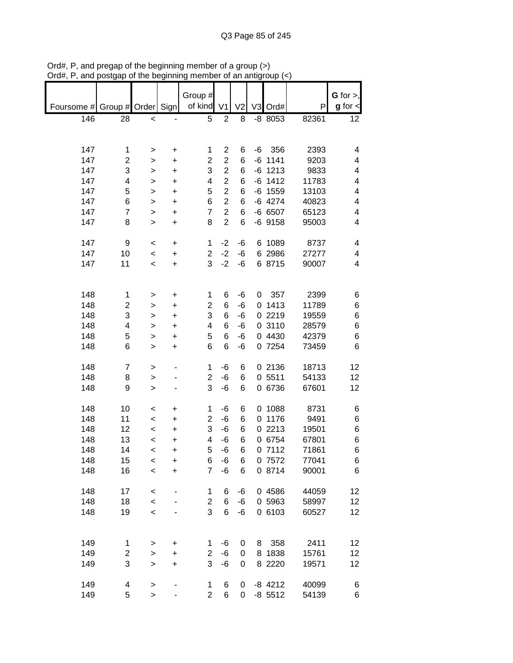|            |                         |                  |                | Group #                 |                |                |      |                |                | $G$ for $>$ , |
|------------|-------------------------|------------------|----------------|-------------------------|----------------|----------------|------|----------------|----------------|---------------|
| Foursome # | Group # Order           |                  | Sign           | of kind                 | V <sub>1</sub> | V <sub>2</sub> |      | V3 Ord#        | P              | $g$ for $\lt$ |
| 146        | 28                      | $\prec$          |                | 5                       | $\overline{2}$ | 8              |      | $-8$ 8053      | 82361          | 12            |
|            |                         |                  |                |                         |                |                |      |                |                |               |
|            |                         |                  |                |                         |                |                |      |                |                |               |
| 147        | 1                       | >                | +              | 1                       | $\overline{2}$ | 6              | $-6$ | 356            | 2393           | 4             |
| 147        | 2                       | >                | $\ddot{}$      | $\overline{\mathbf{c}}$ | $\overline{2}$ | 6              |      | $-6$ 1141      | 9203           | 4             |
| 147        | 3                       | >                | +              | 3                       | $\overline{c}$ | 6              | -6   | 1213           | 9833           | 4             |
| 147        | 4                       | >                | +              | 4                       | $\overline{c}$ | 6              |      | $-6$ 1412      | 11783          | 4             |
| 147        | 5                       | $\mathbf{I}$     | $\ddot{}$      | 5                       | $\overline{c}$ | 6              |      | $-6$ 1559      | 13103          | 4             |
| 147        | 6                       | $\mathbf{I}$     | $\ddot{}$      | 6                       | $\overline{2}$ | 6              |      | $-6$ 4274      | 40823          | 4             |
| 147        | 7                       | $\geq$           | $\ddot{}$      | $\overline{7}$          | $\overline{2}$ | 6              |      | -6 6507        | 65123          | 4             |
| 147        | 8                       | $\geq$           | $\ddot{}$      | 8                       | $\overline{2}$ | 6              |      | $-6$ 9158      | 95003          | 4             |
|            |                         |                  |                |                         |                |                |      |                |                |               |
| 147        | 9                       | $\,<$            | +              | 1                       | $-2$           | $-6$           | 6    | 1089           | 8737           | 4             |
| 147        | 10                      | $\,<$            | $\ddot{}$      | $\overline{2}$          | $-2$           | -6             |      | 6 2986         | 27277          | 4             |
| 147        | 11                      | $\,<$            | $\ddot{}$      | 3                       | $-2$           | -6             |      | 6 8715         | 90007          | 4             |
|            |                         |                  |                |                         |                |                |      |                |                |               |
|            |                         |                  |                |                         |                |                |      |                |                |               |
| 148        | $\mathbf 1$             | >                | $\ddot{}$      | 1                       | 6              | -6             | 0    | 357            | 2399           | 6             |
| 148        | $\overline{\mathbf{c}}$ | >                | +              | $\overline{2}$          | 6              | -6             | 0    | 1413           | 11789          | 6             |
| 148        | 3                       | >                | +              | 3                       | 6              | -6             | 0    | 2219           | 19559          | 6             |
| 148        | 4                       | >                | +              | 4                       | 6              | -6             |      | 0 3110         | 28579          | 6             |
| 148        | 5                       | >                | $\ddot{}$      | 5                       | 6              | -6             |      | 0 4430         | 42379          | 6             |
| 148        | 6                       | $\, > \,$        | +              | 6                       | 6              | -6             |      | 0 7254         | 73459          | 6             |
|            |                         |                  |                |                         |                |                |      |                |                |               |
| 148        | 7                       | $\geq$           |                | 1                       | -6             | 6              |      | 0 2136         | 18713          | 12            |
| 148        | 8                       | $\, > \,$        |                | $\overline{c}$          | -6             | 6              |      | 0 5511         | 54133          | 12            |
| 148        | 9                       | $\geq$           |                | 3                       | -6             | 6              | 0    | 6736           | 67601          | 12            |
|            |                         |                  |                |                         |                |                |      |                |                |               |
| 148<br>148 | 10                      | $\,<$            | +              | 1<br>2                  | -6             | 6              | 0    | 1088<br>1176   | 8731<br>9491   | 6             |
| 148        | 11<br>12                | $\,<$            | $\ddot{}$      | 3                       | $-6$           | 6              | 0    | 2213           |                | 6             |
|            |                         | $\,<$            | $\ddot{}$      |                         | -6             | 6              | 0    |                | 19501          | 6             |
| 148<br>148 | 13<br>14                | $\,<$            | $\ddot{}$      | 4<br>5                  | -6<br>$-6$     | 6<br>6         | 0    | 0 6754<br>7112 | 67801<br>71861 | 6<br>6        |
| 148        | 15                      | $\,<$            | $\ddot{}$      | 6                       | -6             |                |      | 0 7572         | 77041          |               |
| 148        | 16                      | $\,<$<br>$\prec$ | +<br>$\ddot{}$ | $\overline{7}$          | $-6$           | 6<br>6         |      | 0 8714         | 90001          | 6<br>6        |
|            |                         |                  |                |                         |                |                |      |                |                |               |
| 148        | 17                      | $\,<$            |                | 1                       | 6              | -6             |      | 0 4586         | 44059          | 12            |
| 148        | 18                      | $\prec$          |                | $\overline{c}$          | 6              | -6             |      | 0 5963         | 58997          | 12            |
| 148        | 19                      | $\prec$          |                | 3                       | 6              | $-6$           |      | 0 6103         | 60527          | 12            |
|            |                         |                  |                |                         |                |                |      |                |                |               |
|            |                         |                  |                |                         |                |                |      |                |                |               |
| 149        | 1                       | $\, > \,$        | $\ddot{}$      | 1                       | $-6$           | 0              | 8    | 358            | 2411           | 12            |
| 149        | 2                       | $\mathbf{I}$     | $\ddot{}$      | 2                       | $-6$           | 0              |      | 8 1838         | 15761          | 12            |
| 149        | 3                       | $\geq$           | $\ddot{}$      | 3                       | -6             | 0              |      | 8 2220         | 19571          | 12            |
|            |                         |                  |                |                         |                |                |      |                |                |               |
| 149        | 4                       | $\mathbf{I}$     |                | 1                       | 6              | 0              |      | $-8$ 4212      | 40099          | 6             |
| 149        | 5                       | $\, > \,$        |                | $\overline{2}$          | 6              | 0              |      | $-8$ 5512      | 54139          | 6             |

Ord#, P, and pregap of the beginning member of a group (>) Ord#, P, and postgap of the beginning member of an antigroup (<)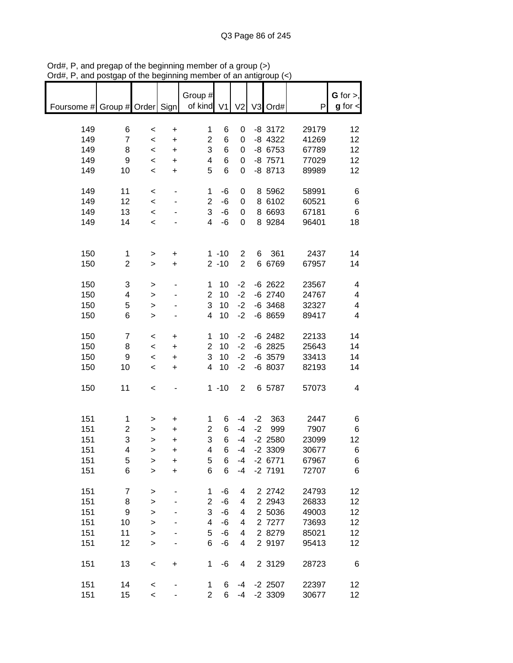| Foursome # Group # Order Sign   of kind V1 |                         |                          |           | Group #                 |          |                |      | V2 V3 Ord#             | P              | G for $>$ ,<br>$g$ for $\lt$ |
|--------------------------------------------|-------------------------|--------------------------|-----------|-------------------------|----------|----------------|------|------------------------|----------------|------------------------------|
|                                            |                         |                          |           |                         |          |                |      |                        |                |                              |
| 149                                        | 6                       | $\,<$                    | $\ddot{}$ | 1                       | 6        | 0              |      | $-8$ 3172              | 29179          | 12                           |
| 149                                        | $\overline{7}$          | $\prec$                  | $\ddot{}$ | $\overline{\mathbf{c}}$ | 6        | 0              |      | $-8$ 4322              | 41269          | 12                           |
| 149                                        | 8                       | $\prec$                  | $\ddot{}$ | 3                       | 6        | 0              |      | $-8$ 6753              | 67789          | 12                           |
| 149<br>149                                 | 9<br>10                 | $\,<\,$                  | $\ddot{}$ | 4<br>5                  | 6<br>6   | 0<br>0         |      | $-8$ 7571<br>$-8$ 8713 | 77029<br>89989 | 12<br>12                     |
|                                            |                         | $\prec$                  | $\ddot{}$ |                         |          |                |      |                        |                |                              |
| 149                                        | 11                      | $\,<\,$                  |           | 1                       | $-6$     | $\pmb{0}$      |      | 8 5962                 | 58991          | 6                            |
| 149                                        | 12                      | $\prec$                  |           | $\overline{2}$          | $-6$     | $\pmb{0}$      |      | 8 6102                 | 60521          | 6                            |
| 149                                        | 13                      | $\prec$                  |           | 3                       | $-6$     | $\pmb{0}$      |      | 8 6693                 | 67181          | $\,6$                        |
| 149                                        | 14                      | $\prec$                  |           | $\overline{\mathbf{4}}$ | $-6$     | 0              |      | 8 9 284                | 96401          | 18                           |
|                                            |                         |                          |           |                         |          |                |      |                        |                |                              |
| 150                                        | $\mathbf{1}$            | $\, > \,$                | $\ddot{}$ |                         | $1 - 10$ | $\overline{c}$ | 6    | 361                    | 2437           | 14                           |
| 150                                        | $\overline{2}$          | $\mathbf{I}$             | $\ddot{}$ |                         | $2 - 10$ | $\overline{2}$ |      | 6 6769                 | 67957          | 14                           |
| 150                                        | 3                       | >                        |           | 1                       | 10       | $-2$           |      | $-6$ 2622              | 23567          | 4                            |
| 150                                        | 4                       | $\, > \,$                |           | $\overline{\mathbf{c}}$ | 10       | $-2$           |      | $-6$ 2740              | 24767          | 4                            |
| 150                                        | 5                       | $\geq$                   |           | 3                       | 10       | $-2$           |      | $-6$ 3468              | 32327          | 4                            |
| 150                                        | 6                       | $\geq$                   |           | 4                       | 10       | $-2$           |      | $-68659$               | 89417          | 4                            |
| 150                                        | $\overline{7}$          | $\,<$                    | +         | 1                       | 10       | $-2$           |      | $-6$ 2482              | 22133          | 14                           |
| 150                                        | 8                       | $\,<\,$                  | $\ddot{}$ | $\overline{2}$          | 10       | $-2$           |      | $-6$ 2825              | 25643          | 14                           |
| 150                                        | 9                       | $\prec$                  | $\ddot{}$ | 3                       | 10       | $-2$           |      | $-6$ 3579              | 33413          | 14                           |
| 150                                        | 10                      | $\prec$                  | $\ddot{}$ | 4                       | 10       | $-2$           |      | -6 8037                | 82193          | 14                           |
| 150                                        | 11                      | $\,<\,$                  |           |                         | $1 - 10$ | $\overline{2}$ |      | 6 5787                 | 57073          | 4                            |
|                                            |                         |                          |           |                         |          |                |      |                        |                |                              |
| 151                                        | 1                       | >                        | +         | 1                       | 6        | $-4$           |      | $-2$ 363               | 2447           | 6                            |
| 151                                        | $\overline{\mathbf{c}}$ | >                        | $\ddot{}$ | $\overline{\mathbf{c}}$ | 6        | $-4$           | $-2$ | 999                    | 7907           | 6                            |
| 151                                        | 3                       | $\mathbf{I}$             | $\ddot{}$ | 3                       | 6        | $-4$           |      | $-2$ 2580              | 23099          | 12                           |
| 151                                        | 4                       | $\geq$                   | +         | 4                       | 6        | $-4$           |      | $-2$ 3309              | 30677          | 6                            |
| 151                                        | 5                       | >                        | +         | 5                       | 6        | $-4$           |      | $-2$ 6771              | 67967          | 6                            |
| 151                                        | 6                       | $\geq$                   | $\ddot{}$ | 6                       | 6        | $-4$           |      | $-2$ 7191              | 72707          | 6                            |
| 151                                        | 7                       | >                        |           | 1                       | $-6$     | 4              |      | 2 2742                 | 24793          | 12                           |
| 151                                        | 8                       | $\mathbf{I}$             |           | $\overline{c}$          | $-6$     | 4              |      | 2 2 9 4 3              | 26833          | 12                           |
| 151                                        | 9                       | $\geq$                   |           | 3                       | $-6$     | 4              |      | 2 5036                 | 49003          | 12                           |
| 151                                        | 10                      | $\geq$                   |           | 4                       | $-6$     | 4              |      | 2 7277                 | 73693          | 12                           |
| 151                                        | 11                      | $\mathbf{I}$             |           | 5                       | $-6$     | 4              |      | 2 8279                 | 85021          | 12                           |
| 151                                        | 12                      | $\geq$                   |           | 6                       | $-6$     | 4              |      | 2 9197                 | 95413          | 12                           |
| 151                                        | 13                      | $\,<$                    | $\ddot{}$ | 1                       | $-6$     | 4              |      | 2 3129                 | 28723          | 6                            |
| 151                                        | 14                      | $\,<$                    |           | 1                       | 6        | -4             |      | $-2$ 2507              | 22397          | 12                           |
| 151                                        | 15                      | $\overline{\phantom{0}}$ |           | $\overline{2}$          | 6        | -4             |      | $-2$ 3309              | 30677          | 12                           |

Ord#, P, and pregap of the beginning member of a group (>) Ord#, P, and postgap of the beginning member of an antigroup (<)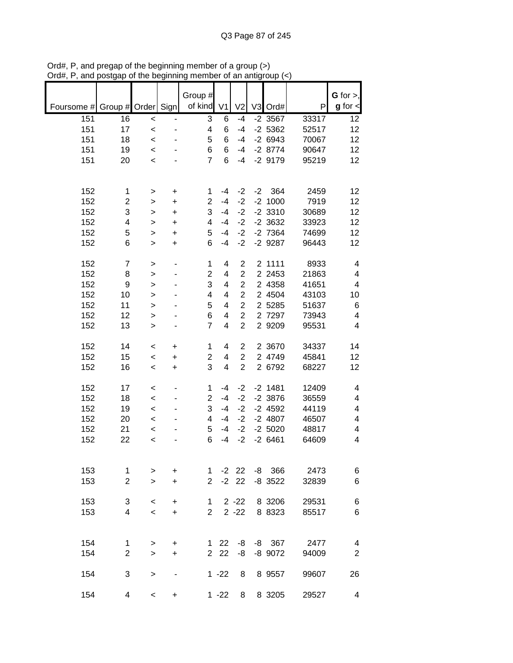|            |                  |              |           | Group #                 |                         |                |      |           |       | $G$ for $>$ ,           |
|------------|------------------|--------------|-----------|-------------------------|-------------------------|----------------|------|-----------|-------|-------------------------|
| Foursome # | Group #          | Order Sign   |           | of kind                 | V <sub>1</sub>          | V <sub>2</sub> |      | V3 Ord#   | P     | $g$ for $\lt$           |
| 151        | 16               | $\prec$      |           | 3                       | 6                       | $-4$           |      | $-2$ 3567 | 33317 | 12                      |
| 151        | 17               | $\prec$      |           | 4                       | 6                       | $-4$           |      | $-2$ 5362 | 52517 | 12                      |
| 151        | 18               | $\prec$      |           | 5                       | 6                       | $-4$           |      | $-26943$  | 70067 | 12                      |
| 151        | 19               | $\prec$      |           | 6                       | 6                       | $-4$           |      | $-28774$  | 90647 | 12                      |
| 151        | 20               |              |           | $\overline{7}$          | 6                       | $-4$           |      | $-2$ 9179 | 95219 | 12                      |
|            |                  | $\prec$      |           |                         |                         |                |      |           |       |                         |
|            |                  |              |           |                         |                         |                |      |           |       |                         |
| 152        | 1                | >            | +         | 1                       | $-4$                    | $-2$           | $-2$ | 364       | 2459  | 12                      |
| 152        | $\overline{c}$   | >            | $\ddot{}$ | $\overline{2}$          | $-4$                    | $-2$           |      | $-2$ 1000 | 7919  | 12                      |
| 152        | 3                | $\mathbf{I}$ | +         | 3                       | $-4$                    | $-2$           |      | $-2$ 3310 | 30689 | 12                      |
| 152        | 4                | $\geq$       | $\ddot{}$ | 4                       | $-4$                    | $-2$           |      | $-2$ 3632 | 33923 | 12                      |
| 152        | 5                | $\geq$       | $\ddot{}$ | 5                       | $-4$                    | $-2$           |      | $-2$ 7364 | 74699 | 12                      |
| 152        | 6                | $\geq$       | $\ddot{}$ | 6                       | $-4$                    | $-2$           |      | $-2$ 9287 | 96443 | 12                      |
|            |                  |              |           |                         |                         |                |      |           |       |                         |
| 152        | $\boldsymbol{7}$ | >            |           | $\mathbf 1$             | 4                       | $\overline{2}$ |      | 2 1111    | 8933  | 4                       |
| 152        | 8                | $\geq$       |           | $\overline{\mathbf{c}}$ | 4                       | $\overline{c}$ |      | 2 2 4 5 3 | 21863 | 4                       |
| 152        | $\boldsymbol{9}$ | $\mathbf{I}$ |           | 3                       | 4                       | $\overline{c}$ |      | 2 4358    | 41651 | $\overline{\mathbf{4}}$ |
| 152        | 10               | $\mathbf{I}$ |           | 4                       | 4                       | $\overline{2}$ |      | 2 4504    | 43103 | 10                      |
| 152        | 11               | $\geq$       |           | 5                       | 4                       | $\overline{2}$ |      | 2 5285    | 51637 | 6                       |
| 152        | 12               | $\geq$       |           | 6                       | 4                       | $\overline{c}$ |      | 2 7297    | 73943 | $\overline{\mathbf{4}}$ |
| 152        | 13               | >            |           | $\overline{7}$          | $\overline{\mathbf{4}}$ | $\overline{2}$ |      | 2 9209    | 95531 | $\overline{\mathbf{4}}$ |
|            |                  |              |           |                         |                         |                |      |           |       |                         |
| 152        | 14               | $\,<$        | +         | 1                       | 4                       | 2              |      | 2 3670    | 34337 | 14                      |
| 152        | 15               | $\,<\,$      | +         | $\overline{2}$          | 4                       | $\overline{2}$ |      | 2 4749    | 45841 | 12                      |
| 152        | 16               | $\,<$        | +         | 3                       | 4                       | $\overline{2}$ |      | 2 6792    | 68227 | 12                      |
|            |                  |              |           |                         |                         |                |      |           |       |                         |
| 152        | 17               | $\,<$        |           | 1                       | $-4$                    | $-2$           |      | $-2$ 1481 | 12409 | 4                       |
| 152        | 18               | $\,<$        |           | $\overline{2}$          | $-4$                    | $-2$           |      | $-2$ 3876 | 36559 | 4                       |
| 152        | 19               | $\,<\,$      |           | 3                       | $-4$                    | $-2$           |      | $-2$ 4592 | 44119 | $\overline{\mathbf{4}}$ |
| 152        | 20               | $\prec$      |           | 4                       | $-4$                    | $-2$           |      | $-2$ 4807 | 46507 | $\overline{\mathbf{4}}$ |
| 152        | 21               | $\prec$      |           | 5                       | $-4$                    | $-2$           |      | $-2,5020$ | 48817 | $\overline{\mathbf{4}}$ |
| 152        | 22               | $\prec$      |           | 6                       | $-4$                    | $-2$           |      | $-26461$  | 64609 | 4                       |
|            |                  |              |           |                         |                         |                |      |           |       |                         |
|            |                  |              |           |                         |                         |                |      |           |       |                         |
| 153        | 1                | >            | +         | 1                       |                         | $-2$ 22        |      | $-8$ 366  | 2473  | 6                       |
| 153        | $\overline{2}$   | $\geq$       | $\ddot{}$ | $\overline{2}$          |                         | $-2$ 22        |      | $-8$ 3522 | 32839 | 6                       |
|            |                  |              |           |                         |                         |                |      |           |       |                         |
| 153        | 3                | $\,<\,$      | +         | 1                       |                         | $2 - 22$       |      | 8 3206    | 29531 | 6                       |
| 153        | $\overline{4}$   | $\prec$      | $\ddot{}$ | $\overline{2}$          |                         | $2 - 22$       |      | 8 8323    | 85517 | 6                       |
|            |                  |              |           |                         |                         |                |      |           |       |                         |
|            |                  |              |           |                         |                         |                |      |           |       |                         |
| 154        | 1                | >            | +         |                         | $1 \quad 22$            | -8             |      | $-8$ 367  | 2477  | 4                       |
| 154        | $\overline{2}$   | $\geq$       | $\ddot{}$ |                         | 2 2 2                   | -8             |      | -8 9072   | 94009 | $\mathbf 2$             |
|            |                  |              |           |                         |                         |                |      |           |       |                         |
| 154        | 3                | $\, > \,$    |           |                         | $1 - 22$                | 8              |      | 8 9 5 5 7 | 99607 | 26                      |
|            |                  |              |           |                         |                         |                |      |           |       |                         |
| 154        | 4                | $\,<\,$      | +         |                         | $1 - 22$                | 8              |      | 8 3205    | 29527 | 4                       |

Ord#, P, and pregap of the beginning member of a group (>) Ord#, P, and postgap of the beginning member of an antigroup (<)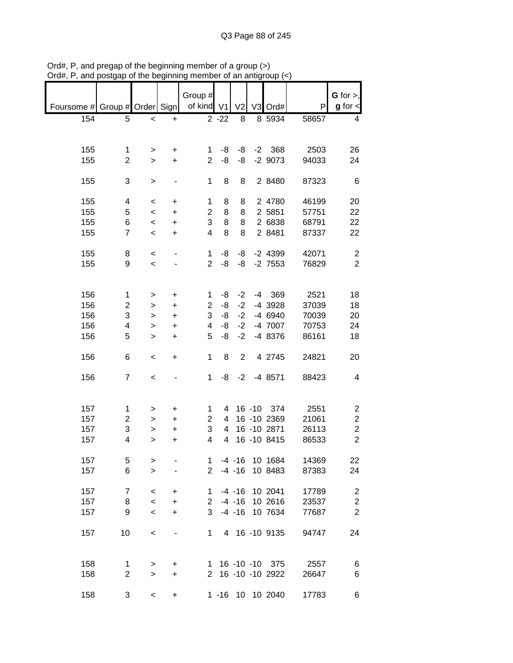|                               | unu poolgap    | ວາ ແກວ ນວນຫາການ          |           |                |                |                | an anigroup       |       |                  |
|-------------------------------|----------------|--------------------------|-----------|----------------|----------------|----------------|-------------------|-------|------------------|
|                               |                |                          |           | Group #        |                |                |                   |       | $G$ for $>$ ,    |
| Foursome # Group # Order Sign |                |                          |           | of kind V1     |                | V <sub>2</sub> | V3 Ord#           | P     | $g$ for $\lt$    |
| 154                           | 5              | $\,<$                    | $\ddot{}$ |                | $2 - 22$       | 8              | 8 5934            | 58657 | 4                |
|                               |                |                          |           |                |                |                |                   |       |                  |
| 155                           | 1              | >                        | $\ddot{}$ | 1              | -8             | -8             | $-2$ 368          | 2503  | 26               |
| 155                           | $\overline{2}$ | $\geq$                   | $+$       | $\overline{2}$ | -8             | -8             | $-2$ 9073         | 94033 | 24               |
|                               |                |                          |           |                |                |                |                   |       |                  |
| 155                           | 3              | $\mathbf{I}$             |           | $\mathbf 1$    | 8              | 8              | 2 8480            | 87323 | 6                |
| 155                           | 4              | $\,<$                    | $\ddot{}$ | $\mathbf 1$    | 8              | 8              | 2 4780            | 46199 | 20               |
| 155                           | 5              | $\overline{\phantom{0}}$ | $\ddot{}$ | $\overline{c}$ | 8              | 8              | 2 5851            | 57751 | 22               |
| 155                           | 6              | $\,<$                    | $\ddot{}$ | 3              | 8              | 8              | 2 6838            | 68791 | 22               |
| 155                           | $\overline{7}$ | $\prec$                  | $\ddot{}$ | 4              | 8              | 8              | 2 8481            | 87337 | 22               |
| 155                           | 8              | $\prec$                  |           | 1              | -8             | -8             | $-2$ 4399         | 42071 | $\overline{2}$   |
| 155                           | 9              | $\prec$                  |           | $\overline{2}$ | -8             | -8             | $-2$ 7553         | 76829 | $\overline{2}$   |
|                               |                |                          |           |                |                |                |                   |       |                  |
| 156                           | 1              | >                        | +         | 1              | -8             | $-2$           | $-4$ 369          | 2521  | 18               |
| 156                           | 2              | >                        | +         | $\overline{c}$ | -8             | $-2$           | -4 3928           | 37039 | 18               |
| 156                           | 3              | $\,>$                    | +         | 3              | -8             | $-2$           | -4 6940           | 70039 | 20               |
| 156                           | 4              | >                        | $\ddot{}$ | 4              | -8             | $-2$           | -4 7007           | 70753 | 24               |
| 156                           | 5              | $\mathbf{I}$             | $\ddot{}$ | 5              | -8             | $-2$           | -4 8376           | 86161 | 18               |
|                               |                |                          |           |                |                |                |                   |       |                  |
| 156                           | 6              | $\,<$                    | $\ddot{}$ | 1              | 8              | $\overline{2}$ | 4 2745            | 24821 | 20               |
| 156                           | $\overline{7}$ | $\prec$                  |           | 1              | -8             | $-2$           | -4 8571           | 88423 | 4                |
|                               |                |                          |           |                |                |                |                   |       |                  |
| 157                           | 1              | >                        | +         | 1              | 4              |                | 16 -10 374        | 2551  | 2                |
| 157                           | $\overline{c}$ | $\,$                     | $\ddot{}$ | $\overline{c}$ | 4              |                | 16 -10 2369       | 21061 | $\boldsymbol{2}$ |
| 157                           | 3              | >                        | +         | 3              | 4              |                | 16 - 10 2871      | 26113 | $\boldsymbol{2}$ |
| 157                           | 4              | $\geq$                   | $\ddot{}$ | 4              | $\overline{4}$ |                | 16 - 10 8415      | 86533 | $\overline{2}$   |
|                               |                |                          |           |                |                |                |                   |       |                  |
| 157                           | 5              | $\, > \,$                |           | 1              |                | $-4 - 16$      | 10 1684           | 14369 | 22               |
| 157                           | 6              | $\geq$                   |           | $\overline{2}$ |                | $-4 - 16$      | 10 8483           | 87383 | 24               |
| 157                           | 7              | $\,<\,$                  | +         | 1              |                | $-4 - 16$      | 10 2041           | 17789 | $\overline{c}$   |
| 157                           | 8              | $\,<$                    | $\ddot{}$ |                | $2 - 4 - 16$   |                | 10 2616           | 23537 | $\overline{c}$   |
| 157                           | 9              | $\,<$                    | $\ddot{}$ | 3              |                | $-4 - 16$      | 10 7634           | 77687 | $\overline{2}$   |
|                               |                |                          |           |                |                |                |                   |       |                  |
| 157                           | 10             | $\,<$                    | -         | $\mathbf 1$    |                |                | 4 16 -10 9135     | 94747 | 24               |
|                               |                |                          |           |                |                |                |                   |       |                  |
| 158                           | 1              | >                        | +         | $\mathbf{1}$   |                |                | 16 -10 -10 375    | 2557  | 6                |
| 158                           | $\overline{c}$ | $\,>$                    | $\ddot{}$ |                |                |                | 2 16 -10 -10 2922 | 26647 | 6                |
| 158                           | 3              | $\,<$                    | +         |                |                |                | 1 -16 10 10 2040  | 17783 | 6                |

Ord#, P, and pregap of the beginning member of a group (>) Ord#, P, and postgap of the beginning member of an antigroup (<)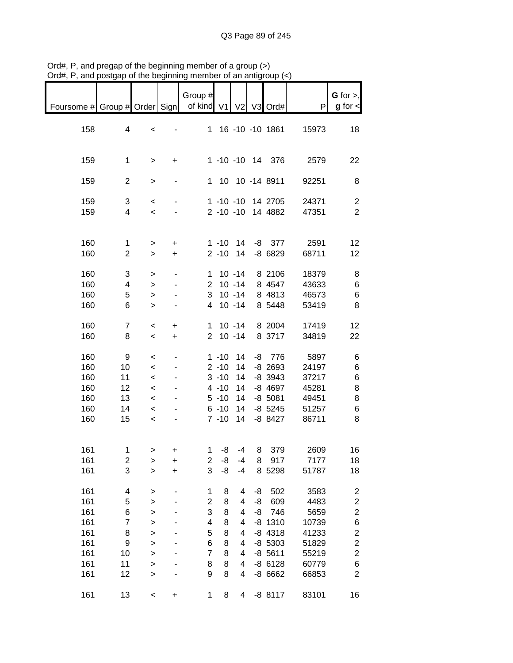|                               | oordah or me pediuminid |                                   |                              |                         |                      | vi an annyi            |    |                                        |                |                                  |
|-------------------------------|-------------------------|-----------------------------------|------------------------------|-------------------------|----------------------|------------------------|----|----------------------------------------|----------------|----------------------------------|
| Foursome # Group # Order Sign |                         |                                   |                              | Group #<br>of kind V1   |                      |                        |    | V2 V3 Ord#                             | P              | G for $>$ ,<br>$g$ for $\lt$     |
| 158                           | 4                       | $\,<$                             |                              |                         |                      |                        |    | 1 16 -10 -10 1861                      | 15973          | 18                               |
| 159                           | $\mathbf 1$             | >                                 | $\ddot{}$                    |                         |                      |                        |    | 1 -10 -10 14 376                       | 2579           | 22                               |
| 159                           | $\overline{c}$          | $\,$                              | $\qquad \qquad \blacksquare$ |                         |                      |                        |    | 1 10 10 -14 8911                       | 92251          | 8                                |
| 159<br>159                    | 3<br>4                  | $\,<$<br>$\overline{\phantom{0}}$ |                              |                         |                      |                        |    | 1 -10 -10 14 2705<br>2 -10 -10 14 4882 | 24371<br>47351 | $\overline{c}$<br>$\overline{2}$ |
| 160                           | 1                       | >                                 | +                            |                         |                      | $1 - 10$ 14            |    | $-8$ 377                               | 2591           | 12                               |
| 160                           | $\overline{2}$          | $\geq$                            | $\ddot{}$                    |                         | $2 - 10$             | 14                     |    | $-86829$                               | 68711          | 12                               |
| 160<br>160                    | 3<br>4                  | ><br>$\,$                         |                              | 1<br>$\overline{2}$     |                      | $10 - 14$<br>$10 - 14$ |    | 8 2106<br>8 4547                       | 18379<br>43633 | 8<br>6                           |
| 160<br>160                    | 5<br>6                  | $\,$<br>$\geq$                    |                              | 3<br>$\overline{4}$     |                      | $10 - 14$<br>$10 - 14$ |    | 8 4813<br>8 5448                       | 46573<br>53419 | 6<br>8                           |
| 160                           | $\overline{7}$          | $\,<$                             | +                            |                         |                      | $1 10 - 14$            |    | 8 2004                                 | 17419          | 12                               |
| 160                           | 8                       | $\,<$                             | $\ddot{}$                    | $\overline{2}$          |                      | $10 - 14$              |    | 8 3717                                 | 34819          | 22                               |
| 160<br>160                    | 9<br>10                 | $\,<$<br>$\,<$                    |                              |                         | $1 - 10$<br>$2 - 10$ | 14<br>14               |    | $-8$ 776<br>$-8$ 2693                  | 5897<br>24197  | 6<br>6                           |
|                               |                         |                                   |                              |                         |                      |                        |    |                                        |                |                                  |
| 160                           | 11                      | $\,<$                             |                              |                         | $3 - 10$             | 14                     |    | $-8$ 3943                              | 37217          | 6                                |
| 160                           | 12                      | $\,<$                             |                              |                         | $4 - 10$             | 14                     |    | $-8$ 4697                              | 45281          | 8                                |
| 160                           | 13                      | $\,<$                             |                              |                         | $5 - 10$             | 14                     |    | $-8,5081$                              | 49451          | 8                                |
| 160<br>160                    | 14<br>15                | $\prec$<br>$\,<$                  |                              |                         | $6 - 10$<br>$7 - 10$ | 14<br>14               |    | $-8$ 5245<br>$-8$ 8427                 | 51257<br>86711 | 6<br>8                           |
| 161                           | 1                       | >                                 |                              | 1.                      | -8                   | -4                     | 8  | 379                                    | 2609           | 16                               |
| 161                           | $\overline{\mathbf{c}}$ | >                                 | $\ddot{}$                    | $\overline{\mathbf{c}}$ | -8                   | $-4$                   | 8  | 917                                    | 7177           | 18                               |
| 161                           | 3                       | $\geq$                            | $\ddot{}$                    | 3                       | -8                   | $-4$                   |    | 8 5298                                 | 51787          | 18                               |
| 161                           | 4                       | $\geq$                            |                              | 1                       | 8                    | 4                      | -8 | 502                                    | 3583           | $\overline{\mathbf{c}}$          |
| 161                           | 5                       | $\geq$                            |                              | $\overline{c}$          | 8                    | 4                      | -8 | 609                                    | 4483           | $\overline{\mathbf{c}}$          |
| 161                           | 6                       | $\geq$                            |                              | 3                       | 8                    | 4                      | -8 | 746                                    | 5659           | $\overline{\mathbf{c}}$          |
| 161                           | $\overline{\mathbf{7}}$ | $\geq$                            |                              | 4                       | 8                    | 4                      |    | $-8$ 1310                              | 10739          | 6                                |
| 161                           | 8                       | $\geq$                            |                              | 5                       | 8                    | 4                      |    | $-8$ 4318                              | 41233          | $\overline{\mathbf{c}}$          |
| 161                           | 9                       | $\geq$                            |                              | 6                       | 8                    | 4                      |    | $-8$ 5303                              | 51829          | $\overline{c}$                   |
| 161                           | 10                      | $\geq$                            |                              | $\overline{7}$          | 8                    | 4                      |    | $-8$ 5611                              | 55219          | $\overline{c}$                   |
| 161                           | 11                      | $\mathbf{I}$                      |                              | 8                       | 8                    | 4                      |    | $-86128$                               | 60779          | $\,$ 6 $\,$                      |
| 161                           | 12                      | $\mathbf{I}$                      |                              | 9                       | 8                    | 4                      |    | -8 6662                                | 66853          | $\overline{c}$                   |
| 161                           | 13                      | $\,<$                             | +                            | 1                       | 8                    | 4                      |    | $-88117$                               | 83101          | 16                               |

Ord#, P, and pregap of the beginning member of a group (>) Ord#, P, and postgap of the beginning member of an antigroup (<)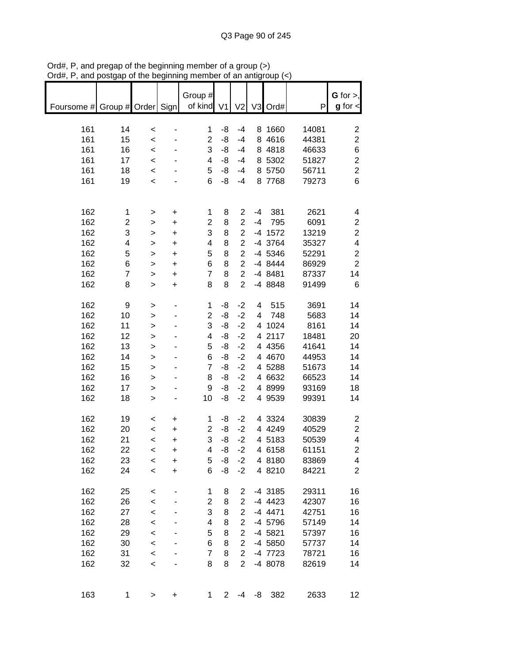| hai, I, and posigap of the beginning |                         |                  |           | ,,,,,,,,       |             |                |         | $an$ and $an$ |       |                         |
|--------------------------------------|-------------------------|------------------|-----------|----------------|-------------|----------------|---------|---------------|-------|-------------------------|
|                                      |                         |                  |           | Group #        |             |                |         |               |       | G for $>$ ,             |
| Foursome # Group # Order Sign        |                         |                  |           | of kind V1     |             | V <sub>2</sub> |         | V3 Ord#       | P     | $g$ for $\lt$           |
|                                      |                         |                  |           |                |             |                |         |               |       |                         |
|                                      |                         |                  |           |                |             |                |         |               |       |                         |
| 161                                  | 14                      | $\,<$            |           | 1              | -8          | $-4$           |         | 8 1660        | 14081 | $\overline{\mathbf{c}}$ |
| 161                                  | 15                      | $\prec$          |           | $\overline{2}$ | -8          | $-4$           |         | 8 4 6 1 6     | 44381 | $\overline{c}$          |
| 161                                  | 16                      | $\prec$          |           | 3              | -8          | $-4$           |         | 8 4818        | 46633 | 6                       |
| 161                                  | 17                      | $\,<\,$          |           | 4              | -8          | $-4$           |         | 8 5302        | 51827 | $\overline{c}$          |
| 161                                  | 18                      | $\prec$          |           | 5              | -8          | $-4$           |         | 8 5750        | 56711 | $\overline{c}$          |
| 161                                  | 19                      | $\prec$          |           | 6              | -8          | $-4$           |         | 8 7768        | 79273 | 6                       |
|                                      |                         |                  |           |                |             |                |         |               |       |                         |
|                                      |                         |                  |           |                |             |                |         |               |       |                         |
| 162                                  | 1                       | $\, > \,$        | $\ddot{}$ | 1              | 8           | $\overline{c}$ | $-4$    | 381           | 2621  | 4                       |
| 162                                  | $\overline{\mathbf{c}}$ | $\,$             | $\ddot{}$ | $\overline{c}$ | 8           | $\overline{2}$ | $-4$    | 795           | 6091  | $\overline{c}$          |
| 162                                  | 3                       | $\geq$           | $\ddot{}$ | 3              | 8           | $\overline{c}$ |         | $-4$ 1572     | 13219 | $\overline{c}$          |
| 162                                  | 4                       | $\,$             | $\ddot{}$ | 4              | 8           | $\overline{c}$ |         | -4 3764       | 35327 | $\overline{\mathbf{4}}$ |
| 162                                  | 5                       | $\mathbf{I}$     | $\ddot{}$ | 5              | 8           | $\overline{c}$ |         | -4 5346       | 52291 | $\overline{c}$          |
| 162                                  | 6                       | $\mathbf{I}$     | $\ddot{}$ | 6              | 8           | $\overline{c}$ |         | -4 8444       | 86929 | $\overline{2}$          |
| 162                                  | $\overline{7}$          | >                | $\ddot{}$ | $\overline{7}$ | 8           | $\overline{c}$ |         | -4 8481       | 87337 | 14                      |
| 162                                  | 8                       | $\mathbf{I}$     | $\ddot{}$ | 8              | 8           | $\overline{2}$ |         | -4 8848       | 91499 | 6                       |
|                                      |                         |                  |           |                |             |                |         |               |       |                         |
| 162                                  | 9                       | $\,$             |           | 1              | -8          | $-2$           | 4       | 515           | 3691  | 14                      |
| 162                                  | 10                      | $\,$             |           | $\overline{2}$ | -8          | $-2$           | 4       | 748           | 5683  | 14                      |
| 162                                  | 11                      | >                |           | 3              | -8          | $-2$           |         | 4 1024        | 8161  | 14                      |
| 162                                  | 12                      | $\mathbf{1}$     |           | 4              | -8          | $-2$           |         | 4 2117        | 18481 | 20                      |
| 162                                  | 13                      | $\mathbf{1}$     |           | 5              | -8          | $-2$           |         | 4 4 3 5 6     | 41641 | 14                      |
| 162                                  | 14                      | $\geq$           |           | 6              | -8          | $-2$           |         | 4 4 6 7 0     | 44953 | 14                      |
| 162                                  | 15                      | $\geq$           |           | $\overline{7}$ | -8          | $-2$           |         | 4 5288        | 51673 | 14                      |
| 162                                  | 16                      | $\geq$           |           | 8              | -8          | $-2$           |         | 4 6632        | 66523 | 14                      |
| 162                                  | 17                      | $\geq$           |           | 9              | -8          | $-2$           |         | 4 8999        | 93169 | 18                      |
| 162                                  | 18                      | $\mathbf{I}$     |           | 10             | -8          | $-2$           |         | 4 9539        | 99391 | 14                      |
|                                      |                         |                  |           |                |             |                |         |               |       |                         |
| 162                                  | 19                      | $\,<$            | $\ddot{}$ | 1              | -8          | $-2$           |         | 4 3324        | 30839 | $\overline{c}$          |
| 162                                  | 20                      | $\,<$            | $\ddot{}$ | 2              | -8          | $-2$           |         | 4 4 2 4 9     | 40529 | $\overline{\mathbf{c}}$ |
| 162                                  | 21                      | $\,<$            | $\ddot{}$ | 3              | -8          | $-2$           |         | 4 5183        | 50539 | 4                       |
| 162                                  | 22                      |                  |           | 4              | -8          | $-2$           |         | 4 6158        | 61151 | $\overline{c}$          |
| 162                                  | 23                      | $\prec$          | +         |                |             |                |         | 4 8180        | 83869 | 4                       |
| 162                                  | 24                      | $\,<$<br>$\prec$ | +         | 5<br>6         | -8<br>-8    | $-2$<br>$-2$   |         | 4 8210        | 84221 |                         |
|                                      |                         |                  | +         |                |             |                |         |               |       | $\overline{c}$          |
|                                      |                         |                  |           |                |             |                |         |               | 29311 | 16                      |
| 162                                  | 25                      | $\,<$            |           | 1              | 8           | 2              |         | -4 3185       |       |                         |
| 162                                  | 26                      | $\prec$          |           | $\overline{2}$ | 8           | $\overline{2}$ |         | $-4$ 4423     | 42307 | 16                      |
| 162                                  | 27                      | $\prec$          |           | 3              | 8           | $\overline{2}$ |         | $-4$ 4471     | 42751 | 16                      |
| 162                                  | 28                      | $\prec$          |           | 4              | 8           | $\overline{2}$ |         | -4 5796       | 57149 | 14                      |
| 162                                  | 29                      | $\prec$          |           | 5              | 8           | $\overline{2}$ |         | $-4$ 5821     | 57397 | 16                      |
| 162                                  | 30                      | $\prec$          |           | 6              | 8           | $\overline{2}$ |         | -4 5850       | 57737 | 14                      |
| 162                                  | 31                      | $\prec$          |           | $\overline{7}$ | 8           | $\overline{2}$ |         | -4 7723       | 78721 | 16                      |
| 162                                  | 32                      | $\prec$          |           | 8              | 8           | $\overline{2}$ |         | -4 8078       | 82619 | 14                      |
|                                      |                         |                  |           |                |             |                |         |               |       |                         |
|                                      |                         |                  |           |                |             |                |         |               |       |                         |
| 163                                  | 1                       | >                | +         | 1              | $2^{\circ}$ |                | $-4 -8$ | 382           | 2633  | 12                      |

Ord#, P, and pregap of the beginning member of a group (>) Ord#, P, and postgap of the beginning member of an antigroup (<)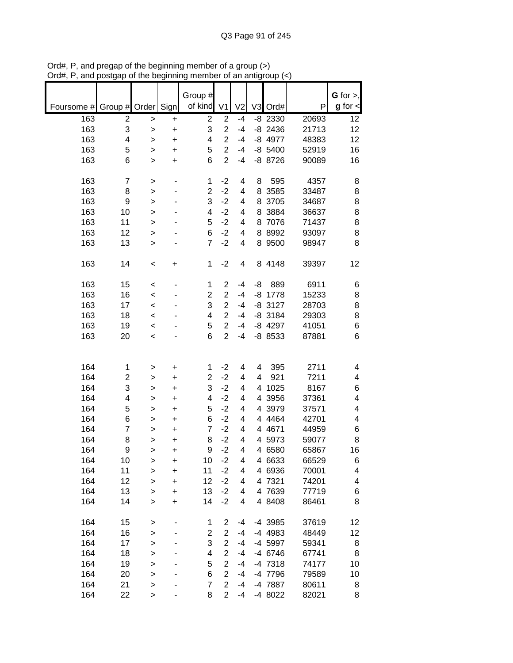|                          |                         |              |           | Group #                 |                |                         |    |           |       | $G$ for $>$ , |
|--------------------------|-------------------------|--------------|-----------|-------------------------|----------------|-------------------------|----|-----------|-------|---------------|
| Foursome # Group # Order |                         |              | Sign      | of kind                 | V <sub>1</sub> | V <sub>2</sub>          |    | V3 Ord#   | P     | $g$ for $\lt$ |
|                          |                         |              |           |                         |                |                         |    |           |       |               |
| 163                      | 2                       | >            | +         | $\overline{2}$          | $\overline{2}$ | $-4$                    |    | $-8$ 2330 | 20693 | 12            |
| 163                      | 3                       | $\mathbf{I}$ | +         | 3                       | $\overline{2}$ | $-4$                    |    | $-8$ 2436 | 21713 | 12            |
| 163                      | $\overline{\mathbf{4}}$ | >            | $\ddot{}$ | 4                       | $\overline{2}$ | $-4$                    |    | -8 4977   | 48383 | 12            |
| 163                      | 5                       | $\mathbf{I}$ | $\ddot{}$ | 5                       | $\overline{2}$ | $-4$                    |    | $-8$ 5400 | 52919 | 16            |
| 163                      | 6                       | $\mathbf{I}$ | $\ddot{}$ | 6                       | $\overline{2}$ | $-4$                    |    | -8 8726   | 90089 | 16            |
|                          |                         |              |           |                         |                |                         |    |           |       |               |
| 163                      | 7                       | >            |           | 1                       | $-2$           | 4                       | 8  | 595       | 4357  | 8             |
| 163                      | 8                       | >            |           | $\overline{\mathbf{c}}$ | $-2$           | 4                       | 8  | 3585      | 33487 | 8             |
| 163                      | 9                       | >            |           | 3                       | $-2$           | 4                       | 8  | 3705      | 34687 | 8             |
| 163                      | 10                      | >            |           | 4                       | $-2$           | 4                       | 8  | 3884      | 36637 | 8             |
| 163                      | 11                      | >            |           | 5                       | $-2$           | 4                       | 8  | 7076      | 71437 | 8             |
| 163                      | 12                      | $\mathbf{I}$ |           | 6                       | $-2$           | 4                       | 8  | 8992      | 93097 | 8             |
| 163                      | 13                      | $\geq$       |           | 7                       | $-2$           | 4                       |    | 8 9500    | 98947 | 8             |
|                          |                         |              |           |                         |                |                         |    |           |       |               |
| 163                      | 14                      | $\,<$        | +         | $\mathbf{1}$            | $-2$           | $\overline{\mathbf{4}}$ |    | 8 4148    | 39397 | 12            |
|                          |                         |              |           |                         |                |                         |    |           |       |               |
| 163                      | 15                      | $\,<$        |           | 1                       | $\overline{2}$ | $-4$                    | -8 | 889       | 6911  | 6             |
| 163                      | 16                      | $\prec$      |           | $\overline{2}$          | $\overline{c}$ | $-4$                    | -8 | 1778      | 15233 | 8             |
| 163                      | 17                      | $\prec$      |           | 3                       | $\overline{c}$ | $-4$                    |    | $-8$ 3127 | 28703 | 8             |
| 163                      | 18                      | $\prec$      |           | 4                       | $\overline{2}$ | $-4$                    |    | $-8$ 3184 | 29303 | 8             |
| 163                      | 19                      |              |           | 5                       | $\overline{c}$ | $-4$                    |    | -8 4297   | 41051 | 6             |
| 163                      | 20                      | $\prec$      |           | 6                       | $\overline{2}$ | $-4$                    |    | -8 8533   | 87881 | 6             |
|                          |                         | $\,<$        |           |                         |                |                         |    |           |       |               |
|                          |                         |              |           |                         |                |                         |    |           |       |               |
|                          |                         |              |           |                         |                |                         |    |           |       |               |
| 164                      | 1                       | >            | +         | 1                       | $-2$           | 4                       | 4  | 395       | 2711  | 4             |
| 164                      | $\overline{c}$          | >            | +         | $\overline{2}$          | $-2$           | 4                       | 4  | 921       | 7211  | 4             |
| 164                      | 3                       | >            | +         | 3                       | $-2$           | 4                       | 4  | 1025      | 8167  | 6             |
| 164                      | 4                       | >            | +         | 4                       | $-2$           | 4                       | 4  | 3956      | 37361 | 4             |
| 164                      | 5                       | >            | +         | 5                       | $-2$           | 4                       |    | 4 3979    | 37571 | 4             |
| 164                      | 6                       | $\geq$       | +         | 6                       | $-2$           | 4                       |    | 4 4 4 6 4 | 42701 | 4             |
| 164                      | $\overline{7}$          | >            | +         | $\overline{7}$          | $-2$           | 4                       |    | 4 4 671   | 44959 | 6             |
| 164                      | 8                       | >            | $\ddot{}$ | 8                       | $-2$           | 4                       | 4  | 5973      | 59077 | 8             |
| 164                      | 9                       | >            | +         | 9                       | $-2$           | 4                       |    | 4 6580    | 65867 | 16            |
| 164                      | 10                      | >            | +         | 10                      | $-2$           | 4                       |    | 4 6633    | 66529 | 6             |
| 164                      | 11                      | $\mathbf{I}$ | +         | 11                      | $-2$           | 4                       |    | 4 6936    | 70001 | 4             |
| 164                      | 12                      | >            | $\ddot{}$ | 12                      | $-2$           | 4                       |    | 4 7321    | 74201 | 4             |
| 164                      | 13                      | $\mathbf{I}$ | $\ddot{}$ | 13                      | $-2$           | 4                       |    | 4 7639    | 77719 | 6             |
| 164                      | 14                      | $\mathbf{I}$ | $\ddot{}$ | 14                      | $-2$           | 4                       |    | 4 8408    | 86461 | 8             |
|                          |                         |              |           |                         |                |                         |    |           |       |               |
| 164                      | 15                      | >            |           | 1                       | 2              | -4                      |    | -4 3985   | 37619 | 12            |
| 164                      | 16                      | >            |           | 2                       | $\overline{2}$ | $-4$                    |    | -4 4983   | 48449 | 12            |
| 164                      | 17                      | >            |           | 3                       | $\overline{2}$ | $-4$                    |    | -4 5997   | 59341 | 8             |
| 164                      | 18                      | >            |           | 4                       | $\overline{2}$ | $-4$                    |    | -4 6746   | 67741 | 8             |
| 164                      | 19                      | >            |           | 5                       | $\overline{2}$ | $-4$                    |    | -4 7318   | 74177 | 10            |
| 164                      | 20                      | $\mathbf{I}$ |           | 6                       | $\overline{2}$ | $-4$                    |    | -4 7796   | 79589 | 10            |
| 164                      | 21                      | >            |           | $\overline{7}$          | $\overline{2}$ | $-4$                    |    | -4 7887   | 80611 | 8             |
| 164                      | 22                      |              |           | 8                       | $\overline{2}$ | $-4$                    |    | -4 8022   | 82021 | 8             |
|                          |                         | >            |           |                         |                |                         |    |           |       |               |

Ord#, P, and pregap of the beginning member of a group (>) Ord#, P, and postgap of the beginning member of an antigroup (<)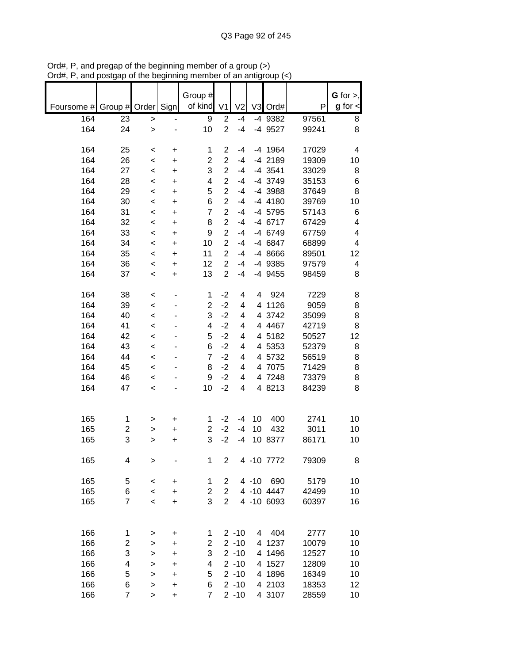|            |               |              |           | Group #                 |                |                |       |            |       | $G$ for $>$ ,        |
|------------|---------------|--------------|-----------|-------------------------|----------------|----------------|-------|------------|-------|----------------------|
| Foursome # | Group # Order |              | Sign      | of kind                 | V <sub>1</sub> | V <sub>2</sub> | V3    | Ord#       | P     | $g$ for $\textsf{I}$ |
| 164        | 23            | $\, > \,$    |           | $\boldsymbol{9}$        | $\overline{2}$ | $-4$           |       | -4 9382    | 97561 | 8                    |
| 164        | 24            | $\mathbf{I}$ |           | 10                      | $\overline{2}$ | $-4$           |       | -4 9527    | 99241 | 8                    |
| 164        | 25            | $\,<$        | +         | 1                       | 2              | $-4$           |       | -4 1964    | 17029 | 4                    |
| 164        | 26            | $\prec$      | +         | $\overline{2}$          | $\overline{2}$ | $-4$           |       | -4 2189    | 19309 | 10                   |
| 164        | 27            | $\,<$        | +         | 3                       | $\overline{2}$ | $-4$           |       | -4 3541    | 33029 | 8                    |
| 164        | 28            | $\,<$        | +         | 4                       | $\overline{2}$ | $-4$           |       | -4 3749    | 35153 | 6                    |
| 164        | 29            | $\,<$        | +         | 5                       | $\overline{2}$ | $-4$           |       | -4 3988    | 37649 | 8                    |
| 164        | 30            | $\,<$        | $\ddot{}$ | 6                       | $\overline{2}$ | $-4$           |       | $-4$ 4180  | 39769 | 10                   |
| 164        | 31            | $\,<$        | $\ddot{}$ | $\overline{7}$          | $\overline{2}$ | $-4$           |       | -4 5795    | 57143 | 6                    |
| 164        | 32            | $\,<$        | $\ddot{}$ | 8                       | $\overline{2}$ | $-4$           |       | -4 6717    | 67429 | 4                    |
| 164        | 33            | $\,<\,$      | +         | 9                       | $\overline{2}$ | $-4$           |       | -4 6749    | 67759 | 4                    |
| 164        | 34            | $\,<$        | $\ddot{}$ | 10                      | $\overline{2}$ | $-4$           |       | -4 6847    | 68899 | 4                    |
| 164        | 35            | $\,<$        | +         | 11                      | $\overline{2}$ | $-4$           |       | -4 8666    | 89501 | 12                   |
| 164        | 36            | $\,<$        | +         | 12                      | $\overline{2}$ | $-4$           |       | -4 9385    | 97579 | 4                    |
| 164        | 37            | $\,<$        | +         | 13                      | $\overline{2}$ | $-4$           |       | -4 9455    | 98459 | 8                    |
|            |               |              |           |                         |                |                |       |            |       |                      |
| 164        | 38            | $\,<$        |           | 1                       | $-2$           | 4              | 4     | 924        | 7229  | 8                    |
| 164        | 39            | $\,<$        |           | $\overline{\mathbf{c}}$ | $-2$           | 4              | 4     | 1126       | 9059  | 8                    |
| 164        | 40            | $\,<$        |           | 3                       | $-2$           | 4              |       | 4 3742     | 35099 | 8                    |
| 164        | 41            | $\,<$        |           | 4                       | $-2$           | 4              |       | 4 4 4 6 7  | 42719 | 8                    |
| 164        | 42            | $\,<$        |           | 5                       | $-2$           | 4              |       | 4 5182     | 50527 | 12                   |
| 164        | 43            | $\,<$        |           | 6                       | $-2$           | 4              |       | 4 5353     | 52379 | 8                    |
| 164        | 44            | $\,<\,$      |           | 7                       | $-2$           | 4              |       | 4 5732     | 56519 | 8                    |
| 164        | 45            | $\,<\,$      |           | 8                       | $-2$           | 4              |       | 4 7075     | 71429 | 8                    |
| 164        | 46            | $\,<$        |           | 9                       | $-2$           | 4              |       | 4 7248     | 73379 | 8                    |
| 164        | 47            | $\prec$      |           | 10                      | $-2$           | 4              |       | 4 8213     | 84239 | 8                    |
|            |               |              |           |                         |                |                |       |            |       |                      |
| 165        | 1             | >            | +         | 1                       | $-2$           | $-4$           | 10    | 400        | 2741  | 10                   |
| 165        | 2             | >            | +         | $\overline{\mathbf{c}}$ | $-2$           | $-4$           | 10    | 432        | 3011  | 10                   |
| 165        | 3             | >            | +         | 3                       | $-2$           | $-4$           | 10    | 8377       | 86171 | 10                   |
| 165        | 4             | >            |           | 1                       | 2              |                |       | 4 -10 7772 | 79309 | 8                    |
| 165        | 5             | $\,<$        | +         | 1                       | 2              |                | 4 -10 | 690        | 5179  | 10                   |
| 165        | 6             | $\prec$      | +         | $\overline{\mathbf{c}}$ | $\overline{c}$ |                |       | 4 -10 4447 | 42499 | 10                   |
| 165        | 7             | $\,<$        | +         | 3                       | $\overline{2}$ |                |       | 4 -10 6093 | 60397 | 16                   |
|            |               |              |           |                         |                |                |       |            |       |                      |
| 166        | 1             | >            | +         | 1                       |                | $2 - 10$       | 4     | 404        | 2777  | 10                   |
| 166        | 2             | >            | +         | $\overline{c}$          |                | $2 - 10$       | 4     | 1237       | 10079 | 10                   |
| 166        | 3             | >            | +         | 3                       |                | $2 - 10$       | 4     | 1496       | 12527 | 10                   |
| 166        | 4             | >            | +         | 4                       |                | $2 - 10$       |       | 4 1527     | 12809 | 10                   |
| 166        | 5             | $\mathbf{I}$ | $\ddot{}$ | 5                       |                | $2 - 10$       |       | 4 1896     | 16349 | 10                   |
| 166        | 6             | >            | +         | 6                       |                | $2 - 10$       |       | 4 2103     | 18353 | 12                   |
| 166        | 7             | >            | $\ddot{}$ | $\overline{7}$          |                | $2 - 10$       |       | 4 3107     | 28559 | 10                   |

Ord#, P, and pregap of the beginning member of a group (>) Ord#, P, and postgap of the beginning member of an antigroup (<)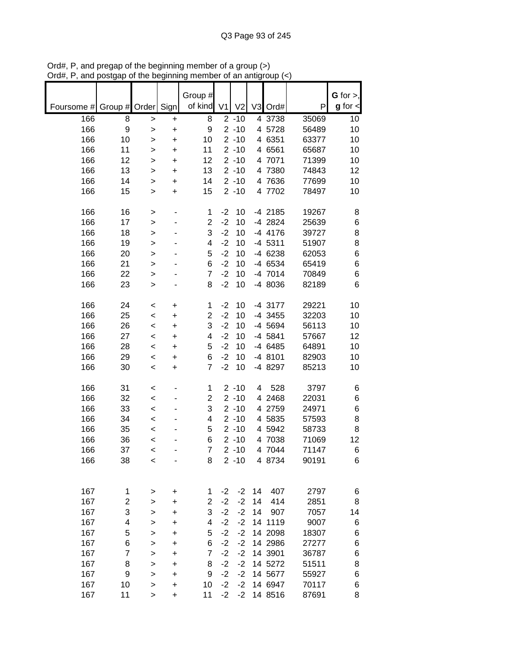|            |                |              |           | Group #                 |                |                |                |           |       | G for $>$ ,   |
|------------|----------------|--------------|-----------|-------------------------|----------------|----------------|----------------|-----------|-------|---------------|
| Foursome # | Group # Order  |              | Sign      | of kind                 | V <sub>1</sub> | V <sub>2</sub> | V <sub>3</sub> | Ord#      | P     | $g$ for $\lt$ |
| 166        | 8              | >            | +         | 8                       |                | $2 - 10$       |                | 4 3738    | 35069 | 10            |
| 166        | 9              | $\mathbf{I}$ | +         | 9                       |                | $2 - 10$       |                | 4 5728    | 56489 | 10            |
| 166        | 10             | >            | +         | 10                      |                | $2 - 10$       |                | 4 6351    | 63377 | 10            |
| 166        | 11             | >            | +         | 11                      |                | $2 - 10$       |                | 4 6561    | 65687 | 10            |
| 166        | 12             | >            | +         | 12                      |                | $2 - 10$       |                | 4 7071    | 71399 | 10            |
| 166        | 13             | >            | +         | 13                      |                | $2 - 10$       |                | 4 7380    | 74843 | 12            |
| 166        | 14             | $\mathbf{I}$ | +         | 14                      |                | $2 - 10$       |                | 4 7636    | 77699 | 10            |
| 166        | 15             | $\mathbf{I}$ | $\ddot{}$ | 15                      |                | $2 - 10$       |                | 4 7702    | 78497 | 10            |
| 166        | 16             | >            |           | 1                       | $-2$           | 10             |                | -4 2185   | 19267 | 8             |
| 166        | 17             | >            |           | $\overline{c}$          | $-2$           | 10             |                | -4 2824   | 25639 | 6             |
| 166        | 18             | >            |           | 3                       | $-2$           | 10             |                | -4 4176   | 39727 | 8             |
| 166        | 19             | >            |           | 4                       | $-2$           | 10             |                | $-4$ 5311 | 51907 | 8             |
| 166        | 20             | >            |           | 5                       | $-2$           | 10             |                | -4 6238   | 62053 | $\,6$         |
| 166        | 21             | $\mathbf{I}$ |           | 6                       | $-2$           | 10             |                | -4 6534   | 65419 | 6             |
| 166        | 22             | >            |           | $\overline{7}$          | $-2$           | 10             |                | $-4$ 7014 | 70849 | $\,6$         |
| 166        | 23             | $\geq$       |           | 8                       | $-2$           | 10             |                | -4 8036   | 82189 | 6             |
| 166        | 24             | $\,<$        | +         | 1                       | $-2$           | 10             |                | -4 3177   | 29221 | 10            |
| 166        | 25             | $\prec$      | +         | $\overline{2}$          | $-2$           | 10             |                | -4 3455   | 32203 | 10            |
| 166        | 26             | $\prec$      | +         | 3                       | $-2$           | 10             |                | -4 5694   | 56113 | 10            |
| 166        | 27             | $\,<$        | +         | 4                       | $-2$           | 10             |                | -4 5841   | 57667 | 12            |
| 166        | 28             | $\,<$        | +         | 5                       | $-2$           | 10             |                | -4 6485   | 64891 | 10            |
| 166        | 29             | $\,<$        | +         | 6                       | $-2$           | 10             |                | -4 8101   | 82903 | 10            |
| 166        | 30             | $\,<$        | +         | $\overline{7}$          | $-2$           | 10             |                | -4 8297   | 85213 | 10            |
| 166        | 31             | $\,<$        |           | 1                       |                | $2 - 10$       | 4              | 528       | 3797  | 6             |
| 166        | 32             | $\prec$      |           | $\overline{\mathbf{c}}$ |                | $2 - 10$       |                | 4 2468    | 22031 | 6             |
| 166        | 33             | $\,<$        |           | 3                       |                | $2 - 10$       |                | 4 2759    | 24971 | 6             |
| 166        | 34             | <            |           | 4                       |                | $2 - 10$       | 4              | 5835      | 57593 | 8             |
| 166        | 35             | <            |           | 5                       |                | $2 - 10$       |                | 4 5942    | 58733 | 8             |
| 166        | 36             | <            |           | 6                       |                | $2 - 10$       |                | 4 7038    | 71069 | 12            |
| 166        | 37             | <            |           | $\overline{7}$          |                | $2 - 10$       |                | 4 7044    | 71147 | 6             |
| 166        | 38             | $\,<$        |           | 8                       |                | $2 - 10$       |                | 4 8734    | 90191 | 6             |
|            |                |              |           |                         |                |                |                |           |       |               |
| 167        | 1              | >            | $\ddot{}$ | 1                       | $-2$           | $-2$           | 14             | 407       | 2797  | 6             |
| 167        | $\overline{c}$ | >            | +         | $\overline{2}$          | $-2$           | $-2$           | 14             | 414       | 2851  | 8             |
| 167        | 3              | $\mathbf{I}$ | +         | 3                       | $-2$           | $-2$           | 14             | 907       | 7057  | 14            |
| 167        | 4              | $\mathbf{I}$ | +         | 4                       | $-2$           | $-2$           |                | 14 1119   | 9007  | 6             |
| 167        | 5              | $\mathbf{I}$ | +         | 5                       | $-2$           | $-2$           |                | 14 2098   | 18307 | 6             |
| 167        | 6              | $\mathbf{I}$ | +         | 6                       | $-2$           | $-2$           |                | 14 2986   | 27277 | 6             |
| 167        | $\overline{7}$ | $\mathbf{I}$ | +         | $\overline{7}$          | $-2$           | $-2$           |                | 14 3901   | 36787 | 6             |
| 167        | 8              | $\mathbf{I}$ | +         | 8                       | $-2$           | $-2$           |                | 14 5272   | 51511 | 8             |
| 167        | 9              | >            | +         | 9                       | $-2$           | $-2$           |                | 14 5677   | 55927 | 6             |
| 167        | 10             | >            | +         | 10                      | $-2$           | $-2$           |                | 14 6947   | 70117 | 6             |
| 167        | 11             | >            | +         | 11                      | $-2$           | $-2$           |                | 14 8516   | 87691 | 8             |

Ord#, P, and pregap of the beginning member of a group (>) Ord#, P, and postgap of the beginning member of an antigroup (<)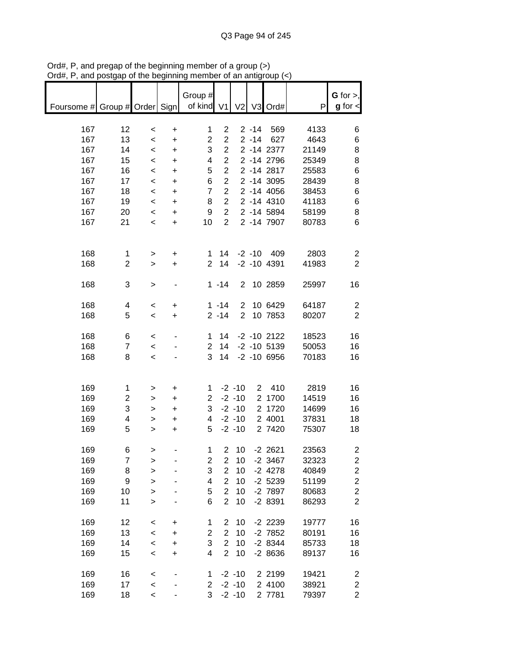|                               | oolyap                  | or uro poguning          |           |                       |                         | vi an aniyi    |          |                                  |       |                              |
|-------------------------------|-------------------------|--------------------------|-----------|-----------------------|-------------------------|----------------|----------|----------------------------------|-------|------------------------------|
|                               |                         |                          |           |                       |                         |                |          |                                  |       |                              |
|                               |                         |                          |           | Group #<br>of kind V1 |                         |                |          |                                  | P     | G for $>$ ,<br>$g$ for $\lt$ |
| Foursome # Group # Order Sign |                         |                          |           |                       |                         | V <sub>2</sub> |          | V3 Ord#                          |       |                              |
| 167                           | 12                      | $\,<$                    | +         | 1                     | $\overline{c}$          |                | $2 - 14$ | 569                              | 4133  | 6                            |
| 167                           | 13                      | $\,<\,$                  | $\ddot{}$ | $\overline{2}$        | $\overline{2}$          |                |          | 2 -14 627                        | 4643  | 6                            |
| 167                           | 14                      | $\,<\,$                  | $\ddot{}$ | 3                     | $\overline{2}$          |                |          | 2 -14 2377                       | 21149 | 8                            |
| 167                           | 15                      | $\,<\,$                  | $\ddot{}$ | 4                     | $\overline{2}$          |                |          | 2 -14 2796                       | 25349 | 8                            |
| 167                           | 16                      | $\,<\,$                  | $\ddot{}$ | 5                     | $\overline{2}$          |                |          | 2 -14 2817                       | 25583 | 6                            |
| 167                           | 17                      | $\prec$                  | $\ddot{}$ | 6                     | $\overline{2}$          |                |          | 2 -14 3095                       | 28439 | 8                            |
| 167                           | 18                      | $\prec$                  | $\ddot{}$ | $\overline{7}$        | $\overline{2}$          |                |          | 2 -14 4056                       | 38453 | 6                            |
| 167                           | 19                      | $\overline{\phantom{0}}$ | $\ddot{}$ | 8                     | $\overline{2}$          |                |          | 2 -14 4310                       | 41183 | 6                            |
| 167                           | 20                      | $\overline{\phantom{0}}$ | $\ddot{}$ | 9                     | $\overline{2}$          |                |          | 2 -14 5894                       | 58199 | 8                            |
| 167                           | 21                      | $\overline{\phantom{0}}$ | $\ddot{}$ | 10                    | $\overline{2}$          |                |          | 2 -14 7907                       | 80783 | 6                            |
|                               |                         |                          |           |                       |                         |                |          |                                  |       |                              |
|                               |                         |                          |           |                       |                         |                |          |                                  |       |                              |
| 168                           | 1                       | $\, > \,$                | $\ddot{}$ | 1                     | 14                      |                |          | $-2 - 10$ 409                    | 2803  | $\overline{2}$               |
| 168                           | $\overline{c}$          | $\,>$                    | $\ddot{}$ | $\overline{2}$        | 14                      |                |          | $-2 - 10$ 4391                   | 41983 | $\overline{2}$               |
|                               |                         |                          |           |                       |                         |                |          |                                  |       |                              |
| 168                           | 3                       | $\, > \,$                |           |                       | $1 - 14$                |                |          | 2 10 2859                        | 25997 | 16                           |
|                               |                         |                          |           |                       |                         |                |          |                                  |       |                              |
| 168                           | 4                       | $\,<\,$                  | $\ddot{}$ |                       | $1 - 14$                | $\overline{2}$ |          | 10 6429                          | 64187 | $\overline{c}$               |
| 168                           | 5                       | $\,<\,$                  | $\ddot{}$ |                       | $2 - 14$                | $2^{\circ}$    |          | 10 7853                          | 80207 | $\overline{2}$               |
|                               |                         |                          |           |                       |                         |                |          |                                  |       |                              |
| 168                           | 6<br>$\overline{7}$     | $\,<\,$                  |           | 1                     | 14                      |                |          | $-2 - 10$ 2122<br>14 -2 -10 5139 | 18523 | 16                           |
| 168<br>168                    | 8                       | $\overline{\phantom{a}}$ |           | $\overline{2}$<br>3   | 14                      |                |          | $-2 - 10$ 6956                   | 50053 | 16                           |
|                               |                         | $\,<$                    |           |                       |                         |                |          |                                  | 70183 | 16                           |
|                               |                         |                          |           |                       |                         |                |          |                                  |       |                              |
| 169                           | 1                       | >                        | +         | 1                     |                         | $-2 - 10$      |          | 2 410                            | 2819  | 16                           |
| 169                           | $\overline{\mathbf{c}}$ | $\, > \,$                | $\ddot{}$ | $\overline{2}$        |                         | $-2 - 10$      |          | 2 1700                           | 14519 | 16                           |
| 169                           | 3                       | $\,$                     | $\ddot{}$ | 3                     |                         | $-2 - 10$      |          | 2 1720                           | 14699 | 16                           |
| 169                           | 4                       | $\, > \,$                | $\ddot{}$ | 4                     |                         | $-2 - 10$      |          | 2 4001                           | 37831 | 18                           |
| 169                           | 5                       | $\geq$                   | $\ddot{}$ | 5                     |                         | $-2 - 10$      |          | 2 7420                           | 75307 | 18                           |
|                               |                         |                          |           |                       |                         |                |          |                                  |       |                              |
| 169                           | 6                       | >                        |           | 1                     |                         |                |          | 2 10 -2 2621                     | 23563 | 2                            |
| 169                           | 7                       | >                        |           | 2                     | $\overline{\mathbf{c}}$ | 10             |          | $-2$ 3467                        | 32323 | $\overline{\mathbf{c}}$      |
| 169                           | 8                       | >                        |           | 3                     | $\overline{c}$          | 10             |          | $-2$ 4278                        | 40849 | $\overline{\mathbf{c}}$      |
| 169                           | 9                       | >                        |           | 4                     | $\overline{2}$          | 10             |          | $-2$ 5239                        | 51199 | $\overline{\mathbf{c}}$      |
| 169                           | 10                      | $\mathbf{I}$             |           | 5                     | $\overline{2}$          | 10             |          | -2 7897                          | 80683 | $\overline{\mathbf{c}}$      |
| 169                           | 11                      | $\mathbf{I}$             |           | 6                     | $\overline{2}$          | 10             |          | $-28391$                         | 86293 | $\overline{2}$               |
|                               |                         |                          |           |                       |                         |                |          |                                  |       |                              |
| 169                           | 12                      | $\,<$                    | $\ddot{}$ | 1                     | $\overline{2}$          | 10             |          | $-2$ 2239                        | 19777 | 16                           |
| 169                           | 13                      | $\prec$                  | $\ddot{}$ | 2                     | $\overline{2}$          | 10             |          | $-2$ 7852                        | 80191 | 16                           |
| 169                           | 14                      | $\prec$                  | $\ddot{}$ | 3                     | $\overline{2}$          | 10             |          | $-28344$                         | 85733 | 18                           |
| 169                           | 15                      | $\,<$                    | $\ddot{}$ | 4                     | $\overline{2}$          | 10             |          | $-28636$                         | 89137 | 16                           |
|                               |                         |                          |           |                       |                         |                |          |                                  |       |                              |
| 169                           | 16                      | $\,<$                    |           | 1                     |                         | $-2 - 10$      |          | 2 2199                           | 19421 | $\overline{\mathbf{c}}$      |
| 169                           | 17                      | $\prec$                  |           | 2                     |                         | $-2 - 10$      |          | 2 4100                           | 38921 | $\overline{\mathbf{c}}$      |
| 169                           | 18                      | $\prec$                  |           | 3                     |                         | $-2 - 10$      |          | 2 7781                           | 79397 | $\overline{c}$               |

Ord#, P, and pregap of the beginning member of a group (>) Ord#, P, and postgap of the beginning member of an antigroup (<)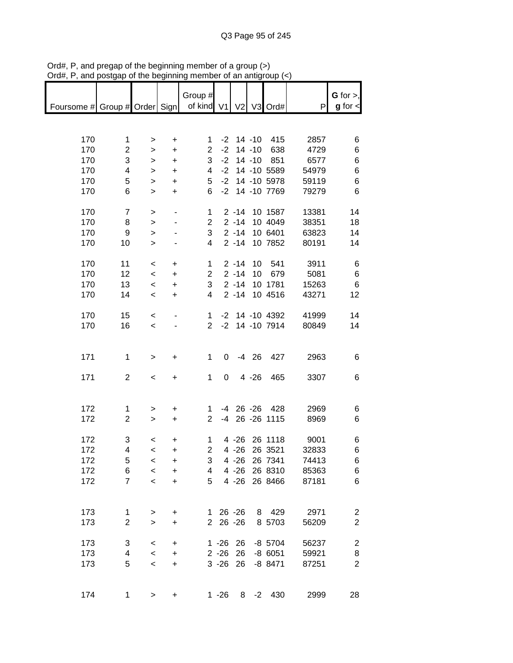| $max$ , $max$ , and posigap or the beginning |                |                          |                        |                       |                |          |         | n an amgroup (*        |       |                                  |
|----------------------------------------------|----------------|--------------------------|------------------------|-----------------------|----------------|----------|---------|------------------------|-------|----------------------------------|
|                                              |                |                          |                        | Group #               |                |          |         |                        |       | G for $>$ ,                      |
| Foursome # Group # Order Sign                |                |                          |                        | of kind V1 V2 V3 Ord# |                |          |         |                        | P     | $g$ for $\lt$                    |
|                                              |                |                          |                        |                       |                |          |         |                        |       |                                  |
|                                              |                |                          |                        |                       |                |          |         |                        |       |                                  |
| 170                                          | 1              | $\geq$                   | $\ddot{}$              | 1                     |                |          |         | $-2$ 14 $-10$ 415      | 2857  | 6                                |
| 170                                          | $\overline{c}$ | $\,$                     | $\ddot{}$              | $\mathbf{2}^{\prime}$ | $-2$           |          |         | 14 -10 638             | 4729  | 6                                |
| 170                                          | 3              | $\, >$                   | $\ddot{}$              | 3                     | $-2$           |          |         | 14 -10 851             | 6577  | 6                                |
| 170                                          | 4              | $\, >$                   | $+$                    | 4                     | $-2$           |          |         | 14 -10 5589            | 54979 | 6                                |
| 170                                          | 5              | $\mathbf{I}$             | $\ddot{}$              | 5                     | $-2$           |          |         | 14 -10 5978            | 59119 | 6                                |
| 170                                          | 6              | $\mathbf{I}$             | $+$                    | 6                     |                |          |         | -2 14 -10 7769         | 79279 | 6                                |
|                                              |                |                          |                        |                       |                |          |         |                        |       |                                  |
| 170                                          | $\overline{7}$ | $\,$                     |                        | $\mathbf{1}$          |                |          |         | 2 -14 10 1587          | 13381 | 14                               |
| 170                                          | 8              | $\geq$                   |                        | $\overline{2}$        |                | $2 - 14$ |         | 10 4049                | 38351 | 18                               |
| 170                                          | 9              | $\geq$                   |                        | 3                     |                |          |         | 2 -14 10 6401          | 63823 | 14                               |
| 170                                          | 10             | $\geq$                   |                        | $\overline{4}$        |                |          |         | 2 -14 10 7852          | 80191 | 14                               |
|                                              |                |                          |                        |                       |                |          |         |                        |       |                                  |
| 170                                          | 11             | $\overline{\phantom{0}}$ | $\ddot{}$              | $\mathbf{1}$          |                | $2 - 14$ |         | 10 541                 | 3911  | 6                                |
| 170                                          | 12             | $\overline{\phantom{a}}$ | $+$                    | $\overline{c}$        |                | $2 - 14$ |         | 10 679                 | 5081  | 6                                |
| 170                                          | 13             | $\overline{\phantom{a}}$ | $\ddot{}$              | 3                     |                | $2 - 14$ |         | 10 1781                | 15263 | $\,6$                            |
| 170                                          | 14             | $\overline{\phantom{a}}$ | $+$                    | 4                     |                | $2 - 14$ |         | 10 4516                | 43271 | 12                               |
|                                              |                |                          |                        |                       |                |          |         |                        |       |                                  |
| 170                                          | 15             | $\overline{\phantom{a}}$ |                        | 1                     |                |          |         | -2 14 -10 4392         | 41999 | 14                               |
| 170                                          | 16             | $\prec$                  |                        |                       |                |          |         | 2 -2 14 -10 7914       | 80849 | 14                               |
|                                              |                |                          |                        |                       |                |          |         |                        |       |                                  |
|                                              |                |                          |                        |                       |                |          |         |                        |       |                                  |
| 171                                          | $\mathbf{1}$   | $\, >$                   | $+$                    | $\mathbf 1$           | 0              |          | $-4$ 26 | 427                    | 2963  | 6                                |
|                                              |                |                          |                        |                       |                |          |         |                        |       |                                  |
| 171                                          | $\overline{2}$ | $\overline{\phantom{a}}$ | $+$                    | $\mathbf 1$           | $\overline{0}$ |          | 4 -26   | 465                    | 3307  | 6                                |
|                                              |                |                          |                        |                       |                |          |         |                        |       |                                  |
|                                              |                |                          |                        |                       |                |          |         |                        |       |                                  |
| 172                                          | 1              | >                        | $\ddot{}$              | $\mathbf{1}$          |                |          |         | -4 26 -26 428          | 2969  | 6                                |
| 172                                          | $\overline{2}$ | $\geq$                   | $+$                    | $\overline{2}$        |                |          |         | -4 26 -26 1115         | 8969  | 6                                |
|                                              |                |                          |                        |                       |                |          |         |                        |       |                                  |
| 172                                          | 3              | $\,<$                    | +                      | $\mathbf 1$           |                |          |         | 4 -26 26 1118          | 9001  | 6                                |
| 172                                          | 4              | $\prec$                  | +                      | $\overline{2}$        |                |          |         | 4 -26 26 3521          | 32833 | 6                                |
| 172                                          | 5              | $\,<$                    | +                      | 3                     |                |          |         | 4 -26 26 7341          | 74413 | 6                                |
| 172                                          | 6              | $\,<$                    | +                      | 4                     |                | 4 -26    |         | 26 8310                | 85363 | 6                                |
| 172                                          | $\overline{7}$ | $\prec$                  |                        | 5                     |                | $4 - 26$ |         | 26 8466                | 87181 | 6                                |
|                                              |                |                          | +                      |                       |                |          |         |                        |       |                                  |
|                                              |                |                          |                        |                       |                |          |         |                        |       |                                  |
| 173                                          | 1              |                          | +                      |                       | $126 - 26$     |          |         | 8 429                  | 2971  |                                  |
| 173                                          | $\overline{2}$ | $\,>$                    |                        |                       | 2 26 -26       |          |         | 8 5703                 | 56209 | $\overline{c}$<br>$\overline{2}$ |
|                                              |                | $\geq$                   | $\ddot{}$              |                       |                |          |         |                        |       |                                  |
| 173                                          | 3              | $\,<$                    |                        |                       | $1 - 26$ 26    |          |         | -8 5704                | 56237 | $\boldsymbol{2}$                 |
| 173                                          | 4              | $\,<$                    | $\ddot{}$<br>$\ddot{}$ |                       | $2 - 26$       | 26       |         | -8 6051                | 59921 | 8                                |
| 173                                          | 5              | $\,<$                    | $\ddot{}$              |                       | $3 - 26$ 26    |          |         | $-8$ 8471              | 87251 | $\overline{2}$                   |
|                                              |                |                          |                        |                       |                |          |         |                        |       |                                  |
|                                              |                |                          |                        |                       |                |          |         |                        |       |                                  |
| 174                                          | 1              | $\geq$                   | +                      |                       |                |          |         | $1 - 26$ $8 - 2$ $430$ | 2999  | 28                               |
|                                              |                |                          |                        |                       |                |          |         |                        |       |                                  |

Ord#, P, and pregap of the beginning member of a group (>) Ord#, P, and postgap of the beginning member of an antigroup (<)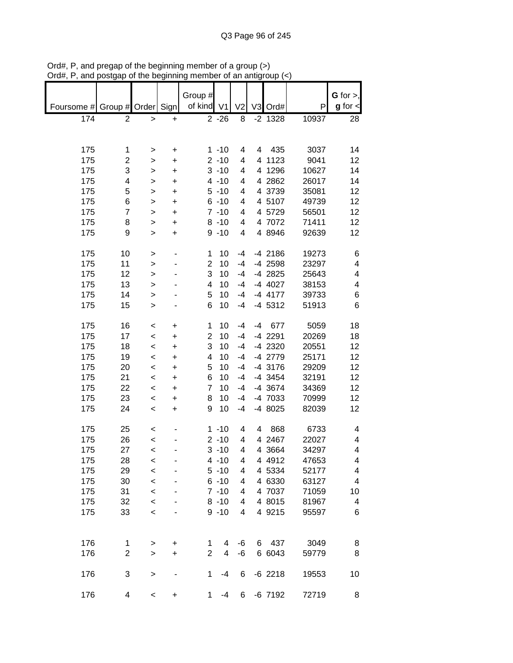|                               |                |              |           | Group #        |          |                |    |           |       | G for $>$ ,   |
|-------------------------------|----------------|--------------|-----------|----------------|----------|----------------|----|-----------|-------|---------------|
| Foursome # Group # Order Sign |                |              |           | of kind V1     |          | V <sub>2</sub> |    | V3 Ord#   | P     | $g$ for $\lt$ |
| 174                           | $\overline{2}$ | $\,$         | $\ddot{}$ |                | $2 - 26$ | 8              |    | $-2$ 1328 | 10937 | 28            |
|                               |                |              |           |                |          |                |    |           |       |               |
|                               |                |              |           |                |          |                |    |           |       |               |
| 175                           | 1              | >            | +         |                | $1 - 10$ | 4              | 4  | 435       | 3037  | 14            |
| 175                           | 2              | >            | +         |                | $2 - 10$ | 4              |    | 4 1123    | 9041  | 12            |
| 175                           | 3              | >            | $\ddot{}$ |                | $3 - 10$ | 4              |    | 4 1296    | 10627 | 14            |
| 175                           | 4              | $\mathbf{I}$ | $\ddot{}$ |                | $4 - 10$ | 4              |    | 4 2862    | 26017 | 14            |
| 175                           | 5              | $\geq$       | $\ddot{}$ |                | $5 - 10$ | 4              |    | 4 3739    | 35081 | 12            |
| 175                           | 6              | $\geq$       | $\ddot{}$ |                | $6 - 10$ | 4              |    | 4 5107    | 49739 | 12            |
| 175                           | $\overline{7}$ | $\mathbf{I}$ | $\ddot{}$ |                | $7 - 10$ | 4              |    | 4 5729    | 56501 | 12            |
| 175                           | 8              | $\mathbf{I}$ | $\ddot{}$ |                | $8 - 10$ | 4              |    | 4 7072    | 71411 | 12            |
| 175                           | 9              | $\mathbf{I}$ | $\ddot{}$ |                | $9 - 10$ | 4              |    | 4 8946    | 92639 | 12            |
|                               |                |              |           |                |          |                |    |           |       |               |
| 175                           | 10             | $\, > \,$    |           | 1              | 10       | $-4$           |    | $-4$ 2186 | 19273 | 6             |
| 175                           | 11             | >            |           | $\overline{2}$ | 10       | $-4$           |    | $-4$ 2598 | 23297 | 4             |
| 175                           | 12             | $\mathbf{I}$ |           | 3              | 10       | $-4$           |    | -4 2825   | 25643 | 4             |
| 175                           | 13             |              |           | 4              | 10       | $-4$           |    | -4 4027   | 38153 | 4             |
| 175                           | 14             | >            |           | 5              | 10       | $-4$           |    | $-4$ 4177 | 39733 | 6             |
|                               |                | >            |           | 6              | 10       | $-4$           |    |           |       | 6             |
| 175                           | 15             | >            |           |                |          |                |    | $-4$ 5312 | 51913 |               |
| 175                           |                |              |           | 1              | 10       | $-4$           | -4 |           |       | 18            |
|                               | 16             | <            | +         |                |          |                |    | 677       | 5059  |               |
| 175                           | 17             | $\,<\,$      | +         | $\overline{2}$ | 10       | $-4$           |    | -4 2291   | 20269 | 18            |
| 175                           | 18             | $\prec$      | $\ddot{}$ | 3              | 10       | $-4$           |    | -4 2320   | 20551 | 12            |
| 175                           | 19             | $\,<$        | $\ddot{}$ | 4              | 10       | $-4$           |    | -4 2779   | 25171 | 12            |
| 175                           | 20             | $\prec$      | $\ddot{}$ | 5              | 10       | $-4$           |    | -4 3176   | 29209 | 12            |
| 175                           | 21             | $\prec$      | $\ddot{}$ | 6              | 10       | $-4$           |    | $-4$ 3454 | 32191 | 12            |
| 175                           | 22             | $\prec$      | $\ddot{}$ | $\overline{7}$ | 10       | $-4$           |    | -4 3674   | 34369 | 12            |
| 175                           | 23             | $\,<$        | $\ddot{}$ | 8              | 10       | $-4$           |    | -4 7033   | 70999 | 12            |
| 175                           | 24             | $\prec$      | $\ddot{}$ | 9              | 10       | $-4$           |    | -4 8025   | 82039 | 12            |
|                               |                |              |           |                |          |                |    |           |       |               |
| 175                           | 25             | $\,<$        |           |                | $1 - 10$ | 4              | 4  | 868       | 6733  | 4             |
| 175                           | 26             | $\prec$      |           |                | $2 - 10$ | 4              |    | 4 2467    | 22027 | 4             |
| 175                           | 27             | $\,<$        |           |                | $3 - 10$ | 4              |    | 4 3664    | 34297 | 4             |
| 175                           | 28             | $\,<$        |           |                | $4 - 10$ | 4              |    | 4 4 9 1 2 | 47653 | 4             |
| 175                           | 29             | $\prec$      |           |                | $5 - 10$ | 4              |    | 4 5334    | 52177 | 4             |
| 175                           | 30             | $\prec$      |           |                | $6 - 10$ | 4              |    | 4 6330    | 63127 | 4             |
| 175                           | 31             | $\prec$      |           |                | $7 - 10$ | 4              |    | 4 7037    | 71059 | 10            |
| 175                           | 32             | $\prec$      |           |                | $8 - 10$ | 4              |    | 4 8015    | 81967 | 4             |
| 175                           | 33             | $\prec$      |           |                | $9 - 10$ | 4              |    | 4 9215    | 95597 | 6             |
|                               |                |              |           |                |          |                |    |           |       |               |
|                               |                |              |           |                |          |                |    |           |       |               |
| 176                           | 1              | $\, > \,$    | +         | 1              | 4        | -6             |    | 6 437     | 3049  | 8             |
| 176                           | $\mathbf 2$    | $\geq$       | $\ddot{}$ | $\overline{2}$ | 4        | -6             |    | 6 6043    | 59779 | 8             |
|                               |                |              |           |                |          |                |    |           |       |               |
| 176                           | 3              | >            |           | 1              | $-4$     | 6              |    | $-6$ 2218 | 19553 | 10            |
|                               |                |              |           |                |          |                |    |           |       |               |
| 176                           | 4              | $\,<$        | +         | 1              | $-4$     | 6              |    | $-6$ 7192 | 72719 | 8             |

Ord#, P, and pregap of the beginning member of a group (>) Ord#, P, and postgap of the beginning member of an antigroup (<)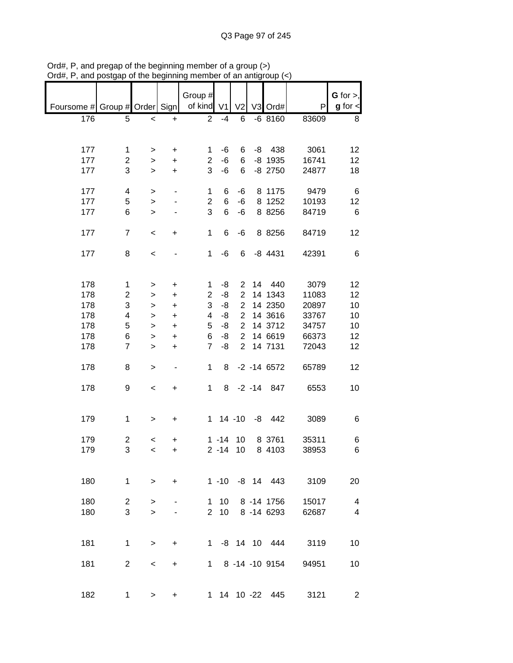|                               |                         |                 |                                  | Group #        |           |                |                 |       | $G$ for $>$ ,           |
|-------------------------------|-------------------------|-----------------|----------------------------------|----------------|-----------|----------------|-----------------|-------|-------------------------|
| Foursome # Group # Order Sign |                         |                 |                                  | of kind V1     |           | V <sub>2</sub> | V3 Ord#         | P     | $g$ for $\lt$           |
| 176                           | 5                       | $\,<$           | $\ddot{}$                        | $\overline{2}$ | $-4$      | 6              | $-68160$        | 83609 | 8                       |
|                               |                         |                 |                                  |                |           |                |                 |       |                         |
| 177                           | 1                       |                 |                                  | 1              | -6        | 6              | $-8$ 438        | 3061  | 12                      |
| 177                           | $\overline{c}$          | $\, > \,$<br>>  | +<br>$\ddot{}$                   | $\mathbf{2}$   | $-6$      | 6              | $-8$ 1935       | 16741 | 12                      |
| 177                           | 3                       | $\, > \,$       | $\ddot{}$                        | 3              | $-6$      | 6              | $-8$ 2750       | 24877 | 18                      |
|                               |                         |                 |                                  |                |           |                |                 |       |                         |
| 177                           | 4                       | $\,>$           | $\qquad \qquad \blacksquare$     | 1              | 6         | -6             | 8 1175          | 9479  | 6                       |
| 177                           | 5                       | $\mathbf{L}$    |                                  | $\overline{2}$ | 6         | $-6$           | 8 1252          | 10193 | 12                      |
| 177                           | 6                       | $\geq$          |                                  | 3              | 6         | -6             | 8 8256          | 84719 | $6\phantom{1}6$         |
| 177                           | $\overline{7}$          | $\,<$           | $\ddot{}$                        | $\mathbf 1$    | 6         | -6             | 8 8256          | 84719 | 12                      |
|                               |                         |                 |                                  |                |           |                |                 |       |                         |
| 177                           | 8                       | $\,<$           |                                  | $\mathbf 1$    | $-6$      | 6              | $-8$ 4431       | 42391 | 6                       |
|                               |                         |                 |                                  |                |           |                |                 |       |                         |
| 178                           | 1                       |                 | $\begin{array}{c} + \end{array}$ | 1              | -8        | $\overline{2}$ | 14 440          | 3079  | 12                      |
| 178                           | $\overline{\mathbf{c}}$ | $\, >$<br>$\,>$ | $\ddot{}$                        | 2              | -8        | $\overline{2}$ | 14 1343         | 11083 | 12                      |
| 178                           | 3                       | $\mathbf{I}$    | $\ddot{}$                        | 3              | -8        | $\mathbf 2$    | 14 2350         | 20897 | 10                      |
| 178                           | 4                       | >               | $\ddot{}$                        | 4              | -8        | $\overline{2}$ | 14 3616         | 33767 | 10                      |
| 178                           | 5                       |                 |                                  | 5              | -8        | $\overline{2}$ | 14 3712         | 34757 | 10                      |
|                               |                         | >               | $\ddot{}$                        |                |           | $\overline{2}$ |                 |       |                         |
| 178                           | 6                       | $\, > \,$       | $\ddot{}$                        | 6              | -8        |                | 14 6619         | 66373 | 12                      |
| 178                           | $\overline{7}$          | $\geq$          | $\ddot{}$                        | $\overline{7}$ | -8        | $\overline{2}$ | 14 7131         | 72043 | 12                      |
| 178                           | 8                       | $\geq$          | ۰                                | $\mathbf{1}$   | 8         |                | $-2 - 14 6572$  | 65789 | 12                      |
|                               |                         |                 |                                  |                |           |                |                 |       |                         |
| 178                           | 9                       | $\,<$           | $\ddot{}$                        | $\mathbf 1$    |           |                | 8 -2 -14 847    | 6553  | 10                      |
|                               |                         |                 |                                  |                |           |                |                 |       |                         |
| 179                           | 1                       | $\, >$          | $\ddot{}$                        |                |           |                | 1 14 -10 -8 442 | 3089  | 6                       |
|                               |                         |                 |                                  |                |           |                |                 |       |                         |
| 179                           | $\overline{c}$          | $\,<$           | +                                |                | $1 - 14$  | 10             | 8 3761          | 35311 | 6                       |
| 179                           | 3                       | $\,<\,$         | +                                |                | $2 - 14$  | 10             | 8 4103          | 38953 | 6                       |
|                               |                         |                 |                                  |                |           |                |                 |       |                         |
| 180                           | $\mathbf{1}$            | $\geq$          | $\ddot{}$                        |                |           |                | 1 -10 -8 14 443 | 3109  | 20                      |
|                               |                         |                 |                                  |                |           |                |                 |       |                         |
| 180                           | $\overline{2}$          | $\,>$           |                                  | 1              | 10        |                | 8 -14 1756      | 15017 | $\overline{\mathbf{4}}$ |
| 180                           | 3                       | $\geq$          |                                  | $\overline{2}$ | 10        |                | 8 - 14 6293     | 62687 | $\overline{4}$          |
|                               |                         |                 |                                  |                |           |                |                 |       |                         |
|                               |                         |                 |                                  |                |           |                |                 |       |                         |
| 181                           | $\mathbf{1}$            | $\, >$          | +                                | $1 \quad$      |           |                | -8 14 10 444    | 3119  | 10                      |
| 181                           | $\overline{2}$          | $\,<\,$         | +                                |                | $1 \quad$ |                | 8 -14 -10 9154  | 94951 | 10                      |
|                               |                         |                 |                                  |                |           |                |                 |       |                         |
|                               |                         |                 |                                  |                |           |                |                 |       |                         |
| 182                           | $\mathbf 1$             | $\geq$          | +                                |                |           |                | 1 14 10 -22 445 | 3121  | $\overline{c}$          |

Ord#, P, and pregap of the beginning member of a group (>) Ord#, P, and postgap of the beginning member of an antigroup (<)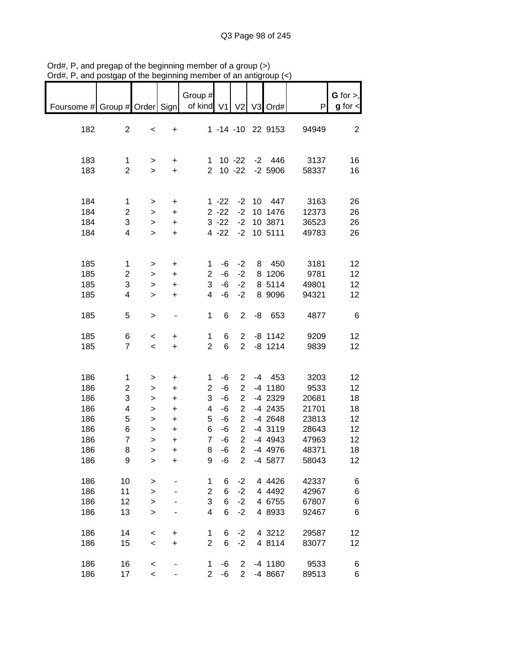| $max$ , $max$ , and postgap or the beginning inember or an antigroup $\left\langle \cdot \right\rangle$ |                                                                              |                                                                                    |                                                                                                   |                                                                     |                                                                  |                                                                                                                                                                |                 |                                                                                                              |                                                                             |                                                    |
|---------------------------------------------------------------------------------------------------------|------------------------------------------------------------------------------|------------------------------------------------------------------------------------|---------------------------------------------------------------------------------------------------|---------------------------------------------------------------------|------------------------------------------------------------------|----------------------------------------------------------------------------------------------------------------------------------------------------------------|-----------------|--------------------------------------------------------------------------------------------------------------|-----------------------------------------------------------------------------|----------------------------------------------------|
| Foursome # Group # Order Sign                                                                           |                                                                              |                                                                                    |                                                                                                   | Group #<br>of kind V1                                               |                                                                  | V <sub>2</sub>                                                                                                                                                 |                 | V3 Ord#                                                                                                      | P                                                                           | $G$ for $>$ ,<br>$g$ for $\lt$                     |
| 182                                                                                                     | $\overline{2}$                                                               | $\,<$                                                                              | $\begin{array}{c} + \end{array}$                                                                  |                                                                     |                                                                  |                                                                                                                                                                |                 | 1 -14 -10 22 9153                                                                                            | 94949                                                                       | $\overline{c}$                                     |
| 183<br>183                                                                                              | 1<br>$\overline{2}$                                                          | $\,$<br>$\geq$                                                                     | +<br>$\ddot{}$                                                                                    | 1<br>$\overline{2}$                                                 |                                                                  | $10 - 22$<br>$10 - 22$                                                                                                                                         |                 | $-2$ 446<br>$-2,5906$                                                                                        | 3137<br>58337                                                               | 16<br>16                                           |
| 184<br>184<br>184<br>184                                                                                | $\mathbf{1}$<br>$\overline{c}$<br>3<br>$\overline{\mathbf{4}}$               | $\, > \,$<br>$\,$<br>$\geq$<br>$\geq$                                              | +<br>$\ddot{}$<br>$\color{red}{+}$<br>$\ddot{}$                                                   |                                                                     | $1 - 22$<br>$2 - 22$<br>$3 - 22$<br>$4 - 22$                     | $-2$<br>$-2$<br>$-2$<br>$-2$                                                                                                                                   | 10 <sup>1</sup> | 447<br>10 1476<br>10 3871<br>10 5111                                                                         | 3163<br>12373<br>36523<br>49783                                             | 26<br>26<br>26<br>26                               |
| 185<br>185<br>185<br>185                                                                                | $\mathbf{1}$<br>$\overline{c}$<br>3<br>4                                     | $\, > \,$<br>><br>$\,$<br>$\geq$                                                   | $\ddot{}$<br>+<br>+<br>$\ddot{}$                                                                  | 1<br>2<br>3<br>4                                                    | -6<br>-6<br>-6<br>-6                                             | $-2$<br>$-2$<br>$-2$<br>$-2$                                                                                                                                   | 8               | 450<br>8 1206<br>8 5114<br>8 9096                                                                            | 3181<br>9781<br>49801<br>94321                                              | 12<br>12<br>12<br>12                               |
| 185                                                                                                     | 5                                                                            | $\geq$                                                                             | -                                                                                                 | $\mathbf{1}$                                                        | 6                                                                | $\overline{c}$                                                                                                                                                 | -8              | 653                                                                                                          | 4877                                                                        | 6                                                  |
| 185<br>185                                                                                              | 6<br>$\overline{7}$                                                          | $\,<$<br>$\,<$                                                                     | $\ddot{}$<br>$\ddot{}$                                                                            | $\mathbf{1}$<br>$\overline{2}$                                      | 6<br>6                                                           | $\overline{2}$<br>$\overline{2}$                                                                                                                               |                 | $-8$ 1142<br>$-8$ 1214                                                                                       | 9209<br>9839                                                                | 12<br>12                                           |
| 186<br>186<br>186<br>186<br>186<br>186<br>186<br>186<br>186                                             | 1<br>$\overline{\mathbf{c}}$<br>3<br>4<br>5<br>6<br>$\overline{7}$<br>8<br>9 | $\, > \,$<br>><br>$\geq$<br>$\,$<br>$\mathbf{I}$<br>$\,$<br>$\mathbf{I}$<br>><br>> | $\ddot{}$<br>$\ddot{}$<br>$\ddot{}$<br>$\ddot{}$<br>$\ddot{}$<br>$\ddot{}$<br>$\ddot{}$<br>+<br>+ | 1<br>$\overline{c}$<br>3<br>4<br>5<br>6<br>$\overline{7}$<br>8<br>9 | $-6$<br>$-6$<br>$-6$<br>$-6$<br>$-6$<br>$-6$<br>-6<br>$-6$<br>-6 | $\overline{2}$<br>$\overline{2}$<br>$\overline{2}$<br>$\overline{2}$<br>$\overline{2}$<br>$\overline{c}$<br>$\overline{2}$<br>$\overline{2}$<br>$\overline{c}$ |                 | $-4$ 453<br>$-4$ 1180<br>-4 2329<br>$-4$ 2435<br>$-4$ 2648<br>$-4$ 3119<br>$-4$ 4943<br>$-4$ 4976<br>-4 5877 | 3203<br>9533<br>20681<br>21701<br>23813<br>28643<br>47963<br>48371<br>58043 | 12<br>12<br>18<br>18<br>12<br>12<br>12<br>18<br>12 |
| 186<br>186<br>186<br>186                                                                                | 10<br>11<br>12<br>13                                                         | $\, > \,$<br>$\geq$<br>$\geq$<br>$\mathbf{I}$                                      |                                                                                                   | 1<br>2<br>3<br>4                                                    | 6<br>6<br>6<br>6                                                 | $-2$<br>$-2$<br>$-2$<br>$-2$                                                                                                                                   |                 | 4 4 4 2 6<br>4 4 4 9 2<br>4 6755<br>4 8933                                                                   | 42337<br>42967<br>67807<br>92467                                            | 6<br>6<br>6<br>6                                   |
| 186<br>186                                                                                              | 14<br>15                                                                     | $\prec$<br>$\prec$                                                                 | +<br>$\ddot{}$                                                                                    | $\mathbf{1}$<br>$\overline{2}$                                      | 6<br>6                                                           | $-2$<br>$-2$                                                                                                                                                   |                 | 4 3212<br>4 8114                                                                                             | 29587<br>83077                                                              | 12<br>12                                           |
| 186<br>186                                                                                              | 16<br>17                                                                     | $\prec$<br>$\prec$                                                                 |                                                                                                   | 1<br>$\overline{2}$                                                 | -6<br>$-6$                                                       | $\overline{2}$<br>$\overline{2}$                                                                                                                               |                 | $-4$ 1180<br>-4 8667                                                                                         | 9533<br>89513                                                               | 6<br>6                                             |

Ord#, P, and pregap of the beginning member of a group (>) Ord#, P, and postgap of the beginning member of an antigroup (<)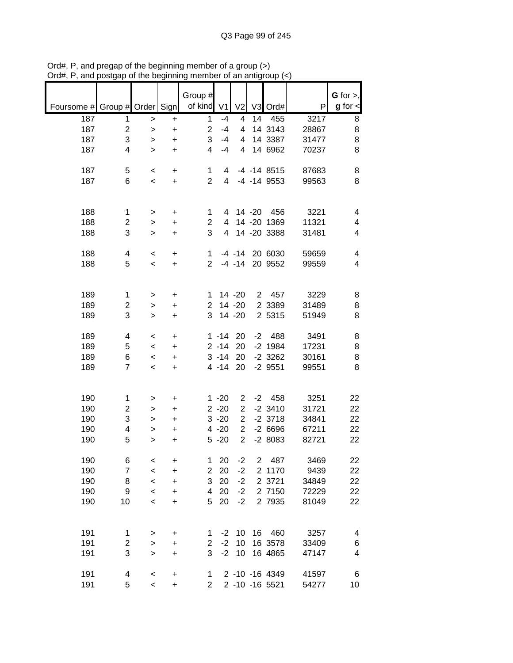| Foursome # Group # Order Sign |                     |                  |                        | Group #<br>of kind | V <sub>1</sub> | V <sub>2</sub> |             | V3 Ord#           | P     | G for $>$ ,<br>$g$ for $\lt$ |
|-------------------------------|---------------------|------------------|------------------------|--------------------|----------------|----------------|-------------|-------------------|-------|------------------------------|
| 187                           | 1                   | $\, > \,$        | $\ddot{}$              | $\mathbf{1}$       | $-4$           | 4              | 14          | 455               | 3217  | 8                            |
| 187                           | $\overline{c}$      | $\,$             | $\ddot{}$              | 2                  | $-4$           | 4              |             | 14 3143           | 28867 | 8                            |
| 187                           | 3                   | >                | $\ddot{}$              | 3                  | $-4$           | 4              |             | 14 3387           | 31477 | 8                            |
| 187                           | 4                   | $\geq$           | $\ddot{}$              | 4                  | $-4$           | 4              |             | 14 6962           | 70237 | 8                            |
|                               |                     |                  |                        |                    |                |                |             |                   |       |                              |
| 187                           | 5                   | $\,<$            | +                      | 1                  | 4              |                |             | $-4$ $-14$ 8515   | 87683 | 8                            |
| 187                           | 6                   | $\,<$            | $\ddot{}$              | $\overline{2}$     | 4              |                |             | $-4$ $-14$ $9553$ | 99563 | 8                            |
|                               |                     |                  |                        |                    |                |                |             |                   |       |                              |
|                               |                     |                  |                        |                    |                |                |             |                   |       |                              |
| 188                           | 1                   | >                | $\ddot{}$              | 1                  | 4              |                | 14 -20      | 456               | 3221  | 4                            |
| 188                           | 2                   | >                | $\ddot{}$              | $\overline{c}$     | 4              |                |             | 14 -20 1369       | 11321 | 4                            |
| 188                           | 3                   | $\geq$           | $\ddot{}$              | 3                  | 4              |                |             | 14 -20 3388       | 31481 | 4                            |
|                               |                     |                  |                        |                    |                |                |             |                   |       |                              |
| 188                           | 4                   | $\,<$            | $\ddot{}$              | 1                  |                | $-4 - 14$      |             | 20 6030           | 59659 | 4                            |
| 188                           | 5                   | $\,<$            | $\ddot{}$              | $\overline{2}$     |                | $-4 - 14$      |             | 20 9552           | 99559 | 4                            |
|                               |                     |                  |                        |                    |                |                |             |                   |       |                              |
| 189                           |                     |                  |                        | 1                  |                | 14 -20         | $2^{\circ}$ | 457               | 3229  |                              |
| 189                           | 1<br>$\overline{c}$ | >                | $\ddot{}$<br>$\ddot{}$ | $\overline{2}$     |                | 14 -20         |             | 2 3389            | 31489 | 8<br>8                       |
| 189                           | 3                   | >                | $\ddot{}$              | 3                  |                | 14 -20         |             | 2 5315            | 51949 | 8                            |
|                               |                     | >                |                        |                    |                |                |             |                   |       |                              |
| 189                           | 4                   | $\,<$            | $\ddot{}$              |                    | $1 - 14$       | 20             | $-2$        | 488               | 3491  | 8                            |
| 189                           | 5                   | $\,<$            | $\ddot{}$              |                    | $2 - 14$       | 20             |             | $-2$ 1984         | 17231 | 8                            |
| 189                           | 6                   | $\,<$            | $\ddot{}$              |                    | $3 - 14$       | 20             |             | $-2$ 3262         | 30161 | 8                            |
| 189                           | $\overline{7}$      | $\prec$          | $\ddot{}$              |                    | $4 - 14$       | 20             |             | $-2$ 9551         | 99551 | 8                            |
|                               |                     |                  |                        |                    |                |                |             |                   |       |                              |
|                               |                     |                  |                        |                    |                |                |             |                   |       |                              |
| 190                           | 1                   | >                | $\ddot{}$              |                    | $1 - 20$       | 2              | $-2$        | 458               | 3251  | 22                           |
| 190                           | 2                   | >                | $\ddot{}$              |                    | $2 - 20$       | $\overline{2}$ |             | $-2$ 3410         | 31721 | 22                           |
| 190                           | 3                   | >                | $\ddot{}$              |                    | $3 - 20$       | $\overline{2}$ |             | $-2$ 3718         | 34841 | 22                           |
| 190                           | 4                   | >                | +                      |                    | $4 - 20$       | $\overline{2}$ |             | $-26696$          | 67211 | 22                           |
| 190                           | 5                   | >                | +                      |                    | $5 - 20$       | $\overline{2}$ |             | $-28083$          | 82721 | 22                           |
| 190                           |                     |                  |                        | 1                  | 20             | $-2$           | 2           | 487               | 3469  |                              |
| 190                           | 6<br>$\overline{7}$ | $\,<$<br>$\prec$ | +<br>$\ddot{}$         | $\overline{2}$     | 20             | $-2$           |             | 2 1170            | 9439  | 22<br>22                     |
| 190                           | 8                   | $\prec$          | $\ddot{}$              | 3                  | 20             | $-2$           |             | 2 3721            | 34849 | 22                           |
| 190                           | 9                   | $\prec$          | $\ddot{}$              | 4                  | 20             | $-2$           |             | 2 7150            | 72229 | 22                           |
| 190                           | 10                  | $\prec$          | +                      | 5                  | 20             | $-2$           |             | 2 7935            | 81049 | 22                           |
|                               |                     |                  |                        |                    |                |                |             |                   |       |                              |
|                               |                     |                  |                        |                    |                |                |             |                   |       |                              |
| 191                           | 1                   | >                | $\ddot{}$              | 1                  | $-2$           | 10             | 16          | 460               | 3257  | 4                            |
| 191                           | 2                   | >                | $\ddot{}$              | $\overline{2}$     | $-2$           | 10             |             | 16 3578           | 33409 | 6                            |
| 191                           | 3                   | $\geq$           | $\ddot{}$              | 3                  | $-2$           | 10             |             | 16 4865           | 47147 | 4                            |
|                               |                     |                  |                        |                    |                |                |             |                   |       |                              |
| 191                           | 4                   | $\,<$            | $\ddot{}$              | 1                  |                |                |             | 2 -10 -16 4349    | 41597 | 6                            |
| 191                           | 5                   | $\,<$            | $\ddot{}$              | 2                  |                |                |             | 2 -10 -16 5521    | 54277 | 10                           |

Ord#, P, and pregap of the beginning member of a group (>) Ord#, P, and postgap of the beginning member of an antigroup (<)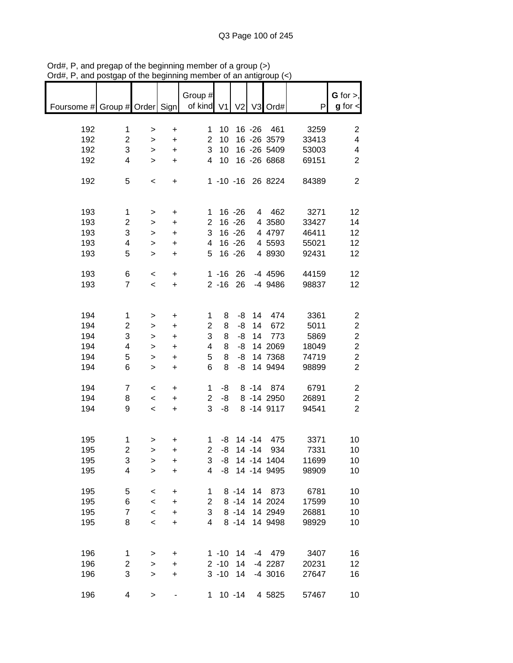| nam, i , and poolgap                       |                         | or are pogmanni          |                                  |                |             |                |           | $un$ and $un$     |       |                                       |
|--------------------------------------------|-------------------------|--------------------------|----------------------------------|----------------|-------------|----------------|-----------|-------------------|-------|---------------------------------------|
| Foursome # Group # Order Sign   of kind V1 |                         |                          |                                  | Group #        |             | V <sub>2</sub> |           | V3 Ord#           | P     | $G$ for $>$ ,<br>$g$ for $\textsf{I}$ |
|                                            |                         |                          |                                  |                |             |                |           |                   |       |                                       |
| 192                                        | 1                       | $\, > \,$                | $\begin{array}{c} + \end{array}$ | $\mathbf 1$    | 10          |                |           | 16 - 26 461       | 3259  | 2                                     |
| 192                                        | $\overline{c}$          | $\mathbf{I}$             | $\ddot{}$                        | $\overline{2}$ | 10          |                |           | 16 -26 3579       | 33413 | 4                                     |
| 192                                        | 3                       | $\mathbf{I}$             | $\ddot{}$                        | 3              | 10          |                |           | 16 -26 5409       | 53003 | 4                                     |
| 192                                        | 4                       | $\mathbf{L}$             | $\ddot{}$                        | $\overline{4}$ | 10          |                |           | 16 -26 6868       | 69151 | $\overline{2}$                        |
| 192                                        | 5                       | $\,<$                    | $\begin{array}{c} + \end{array}$ |                |             |                |           | 1 -10 -16 26 8224 | 84389 | $\overline{2}$                        |
|                                            |                         |                          |                                  |                |             |                |           |                   |       |                                       |
| 193                                        | $\mathbf{1}$            | $\, > \,$                | $\ddot{}$                        |                | $1 16 - 26$ |                |           | 4 462             | 3271  | 12                                    |
| 193                                        | $\overline{\mathbf{c}}$ | $\,$                     | $\ddot{}$                        | $\overline{2}$ |             | $16 - 26$      |           | 4 3580            | 33427 | 14                                    |
| 193                                        | 3                       | $\,$                     | $\ddot{}$                        | 3              |             | $16 - 26$      |           | 4 4797            | 46411 | 12                                    |
| 193                                        | 4                       | $\,$                     | $\ddot{}$                        | $\overline{4}$ |             | $16 - 26$      |           | 4 5593            | 55021 | 12                                    |
| 193                                        | 5                       | $\geq$                   | $\ddot{}$                        | 5              |             | $16 - 26$      |           | 4 8930            | 92431 | 12                                    |
|                                            |                         |                          |                                  |                |             |                |           |                   |       |                                       |
| 193                                        | 6                       | $\,<\,$                  | $\ddot{}$                        |                | $1 - 16$ 26 |                |           | -4 4596           | 44159 | 12                                    |
| 193                                        | $\overline{7}$          | $\overline{\phantom{a}}$ | $\ddot{}$                        |                | $2 - 16$ 26 |                |           | $-4$ 9486         | 98837 | 12                                    |
|                                            |                         |                          |                                  |                |             |                |           |                   |       |                                       |
| 194                                        | 1                       | >                        | +                                | 1              | 8           | -8             | 14        | 474               | 3361  | $\overline{\mathbf{c}}$               |
| 194                                        | $\overline{c}$          | >                        | $\ddot{}$                        | $\overline{2}$ | 8           | -8             | 14        | 672               | 5011  | $\overline{\mathbf{c}}$               |
| 194                                        | 3                       | $\,$                     | $\ddot{}$                        | 3              | 8           | -8             | 14        | 773               | 5869  | $\boldsymbol{2}$                      |
| 194                                        | 4                       | $\,$                     | $\ddot{}$                        | 4              | 8           | -8             |           | 14 2069           | 18049 | $\boldsymbol{2}$                      |
| 194                                        | 5                       | $\mathbf{I}$             | $\ddot{}$                        | 5              | 8           | -8             |           | 14 7368           | 74719 | $\overline{\mathbf{c}}$               |
| 194                                        | 6                       | $\geq$                   | $\ddot{}$                        | 6              | 8           | -8             |           | 14 9494           | 98899 | $\overline{2}$                        |
|                                            |                         |                          |                                  |                |             |                |           |                   |       |                                       |
| 194                                        | $\boldsymbol{7}$        | $\,<$                    | $\ddot{}$                        | 1              | -8          |                |           | 8 -14 874         | 6791  | 2                                     |
| 194                                        | 8                       | $\overline{\phantom{a}}$ | $\ddot{}$                        | $\overline{2}$ | -8          |                |           | 8 -14 2950        | 26891 | $\overline{2}$                        |
| 194                                        | 9                       | $\overline{\phantom{a}}$ | $\ddot{}$                        | 3              | -8          |                |           | 8 -14 9117        | 94541 | $\overline{2}$                        |
|                                            |                         |                          |                                  |                |             |                |           |                   |       |                                       |
| 195                                        | 1                       | $\, > \,$                | +                                | 1              |             |                |           | $-8$ 14 $-14$ 475 | 3371  | 10                                    |
| 195                                        | 2                       | $\, > \,$                | +                                | $\overline{2}$ | -8          |                | $14 - 14$ | 934               | 7331  | 10                                    |
| 195                                        | 3                       | >                        | +                                | 3              | -8          |                |           | 14 -14 1404       | 11699 | 10                                    |
| 195                                        | 4                       | >                        | $\ddot{}$                        | 4              |             |                |           | -8 14 -14 9495    | 98909 | 10                                    |
| 195                                        | 5                       |                          |                                  | 1              |             | $8 - 14$       |           | 14 873            | 6781  | 10                                    |
| 195                                        | 6                       | $\,<$<br>$\prec$         | $\mathbf +$<br>$\ddot{}$         | $\overline{2}$ |             | $8 - 14$       |           | 14 2024           | 17599 | 10                                    |
| 195                                        | $\overline{7}$          |                          |                                  | 3              |             | $8 - 14$       |           | 14 2949           | 26881 | 10                                    |
| 195                                        | 8                       | $\prec$<br>$\,<$         | $\ddot{}$                        | 4              |             | $8 - 14$       |           | 14 9498           | 98929 | 10                                    |
|                                            |                         |                          | $\ddot{}$                        |                |             |                |           |                   |       |                                       |
|                                            |                         |                          |                                  |                |             |                |           |                   |       |                                       |
| 196                                        | 1                       | $\,$                     | +                                |                | $1 - 10$    | 14             |           | $-4$ 479          | 3407  | 16                                    |
| 196                                        | 2                       | >                        | $\ddot{}$                        |                | $2 - 10$    | 14             |           | $-4$ 2287         | 20231 | 12                                    |
| 196                                        | 3                       | >                        | $\ddot{}$                        |                | $3 - 10$    | 14             |           | $-4$ 3016         | 27647 | 16                                    |
| 196                                        | 4                       | $\, > \,$                |                                  | 1.             |             | $10 - 14$      |           | 4 5825            | 57467 | 10                                    |

Ord#, P, and pregap of the beginning member of a group (>) Ord#, P, and postgap of the beginning member of an antigroup (<)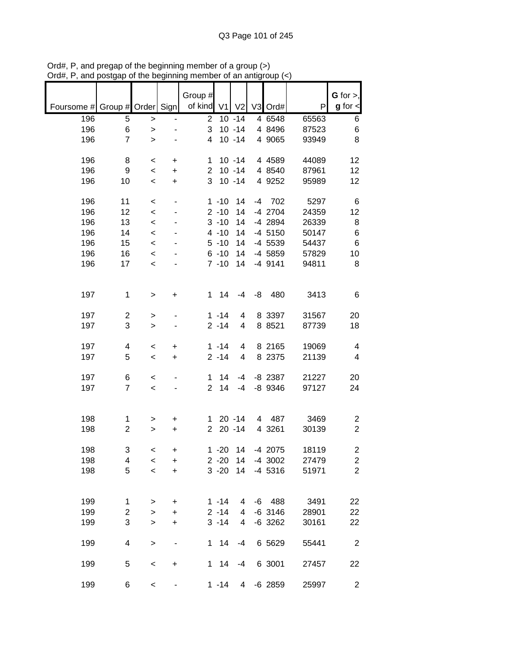|            |                         |           |           | Group #        |          |                |    |           |       | $G$ for $>$ ,           |
|------------|-------------------------|-----------|-----------|----------------|----------|----------------|----|-----------|-------|-------------------------|
| Foursome # | Group # Order Sign      |           |           | of kind V1     |          | V <sub>2</sub> |    | V3 Ord#   | P     | $g$ for $\lt$           |
| 196        | 5                       | $\, > \,$ |           | $\overline{2}$ |          | $10 - 14$      |    | 4 6548    | 65563 | 6                       |
| 196        | 6                       | $\,$      |           | 3              |          | $10 - 14$      |    | 4 8496    | 87523 | 6                       |
| 196        | $\overline{7}$          | $\geq$    |           | 4              |          | $10 - 14$      |    | 4 9065    | 93949 | 8                       |
|            |                         |           |           |                |          |                |    |           |       |                         |
| 196        | 8                       | $\,<\,$   | +         | 1              |          | $10 - 14$      |    | 4 4 5 8 9 | 44089 | 12                      |
| 196        | 9                       | $\,<$     | $\ddot{}$ | $\overline{2}$ |          | $10 - 14$      |    | 4 8540    | 87961 | 12                      |
| 196        | 10                      | $\,<\,$   | $\ddot{}$ | 3              |          | $10 - 14$      |    | 4 9252    | 95989 | 12                      |
| 196        | 11                      | $\,<$     |           |                | $1 - 10$ | 14             | -4 | 702       | 5297  | 6                       |
| 196        | 12                      | $\,<\,$   |           |                | $2 - 10$ | 14             |    | -4 2704   | 24359 | 12                      |
| 196        | 13                      | $\,<$     |           |                | $3 - 10$ | 14             |    | -4 2894   | 26339 | 8                       |
| 196        | 14                      | $\prec$   |           |                | $4 - 10$ | 14             |    | $-4$ 5150 | 50147 | $\,6$                   |
| 196        | 15                      | $\prec$   |           |                | $5 - 10$ | 14             |    | -4 5539   | 54437 | $\,6$                   |
| 196        | 16                      | $\prec$   |           |                | $6 - 10$ | 14             |    | -4 5859   | 57829 | 10                      |
| 196        | 17                      | $\prec$   |           |                | $7 - 10$ | 14             |    | $-4$ 9141 | 94811 | 8                       |
|            |                         |           |           |                |          |                |    |           |       |                         |
|            |                         |           |           |                |          |                |    |           |       |                         |
| 197        | 1                       | $\, > \,$ | +         | $\mathbf{1}$   | 14       | $-4$           | -8 | 480       | 3413  | 6                       |
|            |                         |           |           |                |          |                |    |           |       |                         |
| 197        | $\overline{c}$          | >         |           |                | $1 - 14$ | 4              |    | 8 3397    | 31567 | 20                      |
| 197        | 3                       | $\, > \,$ |           |                | $2 - 14$ | 4              |    | 8 8 5 2 1 | 87739 | 18                      |
| 197        | 4                       | $\,<$     | +         |                | $1 - 14$ | 4              |    | 8 2165    | 19069 | $\overline{\mathbf{4}}$ |
| 197        | 5                       | $\,<$     | $\ddot{}$ |                | $2 - 14$ | 4              |    | 8 2375    | 21139 | 4                       |
|            |                         |           |           |                |          |                |    |           |       |                         |
| 197        | 6                       | $\,<$     |           | 1              | 14       | -4             |    | $-8$ 2387 | 21227 | 20                      |
| 197        | $\overline{7}$          | $\,<$     |           | $\overline{2}$ | 14       | -4             |    | $-8$ 9346 | 97127 | 24                      |
|            |                         |           |           |                |          |                |    |           |       |                         |
|            |                         |           |           |                |          |                |    |           |       |                         |
| 198        | 1                       | >         | +         | 1              |          | $20 - 14$      | 4  | 487       | 3469  | $\overline{c}$          |
| 198        | $\overline{c}$          | >         | +         | $\overline{2}$ |          | $20 - 14$      |    | 4 3261    | 30139 | $\overline{c}$          |
| 198        | 3                       | $\,<\,$   | +         |                | $1 - 20$ | 14             |    | -4 2075   | 18119 | $\overline{\mathbf{c}}$ |
| 198        | 4                       | $\,<$     | +         |                | $2 - 20$ | 14             |    | $-4$ 3002 | 27479 | $\overline{c}$          |
| 198        | 5                       | $\prec$   | $\ddot{}$ |                | $3 - 20$ | 14             |    | $-4$ 5316 | 51971 | $\overline{2}$          |
|            |                         |           |           |                |          |                |    |           |       |                         |
|            |                         |           |           |                |          |                |    |           |       |                         |
| 199        | $\mathbf{1}$            | >         | +         |                | $1 - 14$ | 4              |    | $-6$ 488  | 3491  | 22                      |
| 199        | $\overline{c}$          | $\, > \,$ | $\ddot{}$ |                | $2 - 14$ | 4              |    | $-6$ 3146 | 28901 | 22                      |
| 199        | 3                       | >         | $\ddot{}$ |                | $3 - 14$ | 4              |    | $-6$ 3262 | 30161 | 22                      |
|            |                         |           |           |                |          |                |    |           |       |                         |
| 199        | $\overline{\mathbf{4}}$ | $\, > \,$ |           | $1 \quad$      | 14       | $-4$           |    | 6 5629    | 55441 | $\overline{c}$          |
| 199        | 5                       | $\,<$     | +         | 1              | 14       | $-4$           |    | 6 3001    | 27457 | 22                      |
|            |                         |           |           |                |          |                |    |           |       |                         |
| 199        | 6                       | $\,<$     |           |                | $1 - 14$ | $\overline{4}$ |    | $-6$ 2859 | 25997 | $\overline{a}$          |

Ord#, P, and pregap of the beginning member of a group (>) Ord#, P, and postgap of the beginning member of an antigroup (<)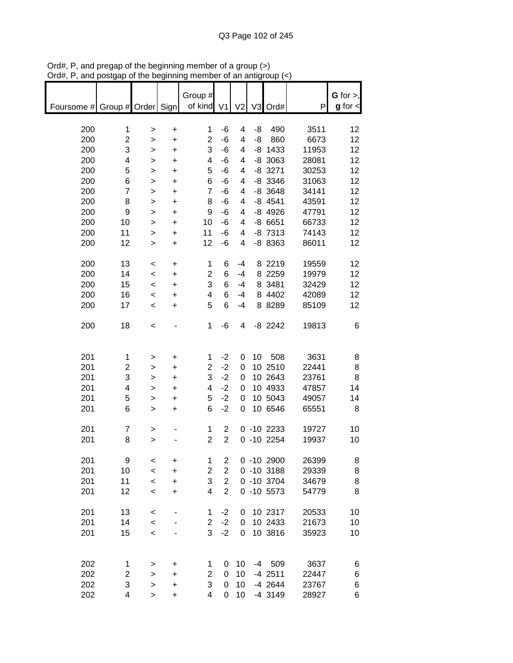| Foursome # Group # Order Sign |                     |         |                | Group #<br>of kind  | V <sub>1</sub>   | V <sub>2</sub> |    | V3 Ord#                | P              | G for $>$ ,<br>$g$ for $\lt$ |
|-------------------------------|---------------------|---------|----------------|---------------------|------------------|----------------|----|------------------------|----------------|------------------------------|
|                               |                     |         |                |                     |                  |                |    |                        |                |                              |
| 200                           | 1                   | >       | $\ddot{}$      | 1                   | -6               | 4              | -8 | 490                    | 3511           | 12                           |
| 200                           | 2                   | >       | +              | $\overline{2}$      | $-6$             | 4              | -8 | 860                    | 6673           | 12                           |
| 200                           | 3                   | >       | +              | 3                   | $-6$             | 4              |    | $-8$ 1433              | 11953          | 12                           |
| 200                           | 4                   | >       | +              | 4                   | $-6$             | 4              |    | $-8$ 3063              | 28081          | 12                           |
| 200                           | 5                   | >       | +              | 5                   | $-6$             | 4              |    | $-8$ 3271              | 30253          | 12                           |
| 200                           | 6                   | >       | +              | 6                   | -6               | 4              |    | $-8$ 3346              | 31063          | 12                           |
| 200                           | 7                   | >       | $\ddot{}$      | $\overline{7}$      | -6               | 4              |    | $-8$ 3648              | 34141          | 12                           |
| 200                           | 8                   | >       | $\ddot{}$      | 8                   | -6               | 4              |    | $-8$ 4541              | 43591          | 12                           |
| 200                           | 9                   | $\geq$  | $\ddot{}$      | 9                   | -6               | 4              |    | $-8$ 4926              | 47791          | 12                           |
| 200                           | 10                  | $\geq$  | $\ddot{}$      | 10                  | $-6$             | 4              |    | $-86651$               | 66733          | 12                           |
| 200                           | 11                  | >       | $\ddot{}$      | 11                  | $-6$             | 4              |    | $-8$ 7313              | 74143          | 12                           |
| 200                           | 12                  | >       | +              | 12                  | $-6$             | 4              |    | -8 8363                | 86011          | 12                           |
| 200                           | 13                  | $\,<\,$ | +              | 1                   | 6                | $-4$           |    | 8 2 2 1 9              | 19559          | 12                           |
| 200                           | 14                  | $\,<\,$ | $\ddot{}$      | $\overline{2}$      | 6                | $-4$           |    | 8 2259                 | 19979          | 12                           |
| 200                           | 15                  | $\,<\,$ | $\ddot{}$      | 3                   | 6                | $-4$           |    | 8 3481                 | 32429          | 12                           |
| 200                           | 16                  | $\,<\,$ | $\ddot{}$      | 4                   | 6                | $-4$           |    | 8 4402                 | 42089          | 12                           |
| 200                           | 17                  | $\,<\,$ | +              | 5                   | 6                | -4             |    | 8 8 28 9               | 85109          | 12                           |
| 200                           | 18                  | $\,<$   |                | 1                   | $-6$             | 4              |    | $-8$ 2242              | 19813          | 6                            |
| 201                           |                     |         |                |                     | $-2$             |                | 10 | 508                    | 3631           |                              |
| 201                           | 1<br>$\overline{2}$ | >       | +              | 1<br>$\overline{2}$ | $-2$             | 0<br>0         |    | 10 2510                | 22441          | 8<br>8                       |
| 201                           | 3                   | >       | $\ddot{}$<br>+ | 3                   | $-2$             | 0              |    | 10 2643                | 23761          | 8                            |
| 201                           | 4                   | ><br>>  | $\ddot{}$      | 4                   | $-2$             | 0              |    | 10 4933                | 47857          | 14                           |
| 201                           | 5                   | >       | +              | 5                   | $-2$             | 0              |    | 10 5043                | 49057          | 14                           |
| 201                           | 6                   | $\geq$  | $\ddot{}$      | 6                   | $-2$             | 0              |    | 10 6546                | 65551          | 8                            |
| 201                           | $\overline{7}$      | >       |                | 1                   | 2                |                |    | $0 - 10 2233$          | 19727          | 10                           |
| 201                           | 8                   | >       |                | $\overline{2}$      | $\overline{2}$   |                |    | $0 - 10 2254$          | 19937          | 10                           |
| 201                           | 9                   | $\,<$   | +              | 1                   | 2                |                |    | $0 - 10 2900$          | 26399          | 8                            |
| 201                           | 10                  | $\,<\,$ | $\ddot{}$      | $\boldsymbol{2}$    | $\mathbf{2}$     |                |    | $0 - 10$ 3188          | 29339          | 8                            |
| 201                           | 11                  | $\prec$ | +              | 3                   | $\boldsymbol{2}$ |                |    | 0 -10 3704             | 34679          | 8                            |
| 201                           | 12                  | $\,<\,$ | +              | 4                   | $\overline{2}$   |                |    | $0 - 10 5573$          | 54779          | 8                            |
|                               |                     |         |                |                     |                  |                |    |                        |                |                              |
| 201                           | 13                  | $\,<\,$ |                | 1                   | $-2$             | 0              |    | 10 2317                | 20533          | 10                           |
| 201                           | 14                  | $\,<\,$ |                | $\overline{2}$      | $-2$             | 0              |    | 10 2433                | 21673          | 10                           |
| 201                           | 15                  | $\,<$   |                | 3                   | $-2$             | 0              |    | 10 3816                | 35923          | 10                           |
|                               |                     |         |                |                     |                  |                |    |                        |                |                              |
| 202                           | 1                   | >       | +              | 1                   | 0                | 10             |    | $-4$ 509               | 3637           | 6                            |
| 202                           | 2                   | >       | +              | $\overline{c}$      | 0                | 10             |    | $-4$ 2511              | 22447          | 6                            |
| 202<br>202                    | 3<br>4              | ><br>>  | $\ddot{}$<br>+ | 3<br>4              | 0<br>0           | 10<br>10       |    | $-4$ 2644<br>$-4$ 3149 | 23767<br>28927 | 6<br>6                       |
|                               |                     |         |                |                     |                  |                |    |                        |                |                              |

Ord#, P, and pregap of the beginning member of a group (>) Ord#, P, and postgap of the beginning member of an antigroup (<)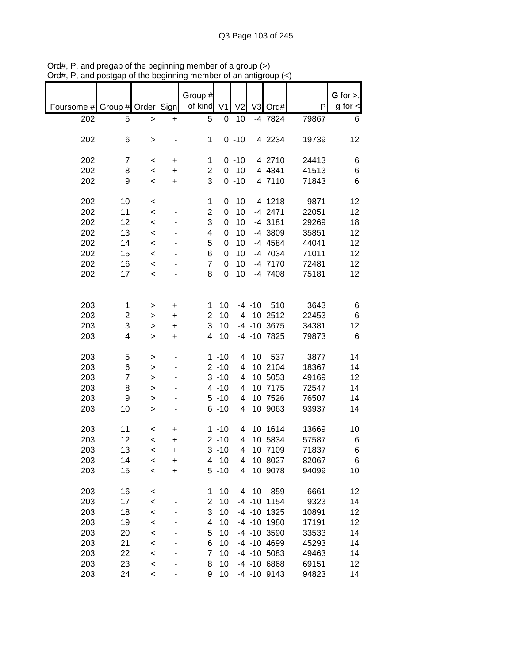| Foursome # Group # Order Sign |                |         |           | Group #<br>of kind | V <sub>1</sub> | V <sub>2</sub> |           | V3 Ord#           | P     | $G$ for $>$ ,<br>$g$ for $\lt$ |
|-------------------------------|----------------|---------|-----------|--------------------|----------------|----------------|-----------|-------------------|-------|--------------------------------|
|                               |                |         |           |                    |                |                |           |                   |       |                                |
| 202                           | 5              | >       | +         | 5                  | 0              | 10             |           | -4 7824           | 79867 | 6                              |
|                               |                |         |           |                    |                |                |           |                   |       |                                |
| 202                           | 6              | >       |           | 1                  |                | $0 - 10$       |           | 4 2234            | 19739 | 12                             |
|                               |                |         |           |                    |                |                |           |                   |       |                                |
| 202                           | 7              | $\,<$   | +         | 1                  |                | $0 - 10$       |           | 4 2710            | 24413 | 6                              |
| 202                           | 8              | $\,<$   | +         | $\overline{2}$     |                | $0 - 10$       |           | 4 4 3 4 1         | 41513 | 6                              |
| 202                           | 9              | $\,<\,$ | +         | 3                  |                | $0 - 10$       |           | 4 7110            | 71843 | 6                              |
|                               |                |         |           |                    |                |                |           |                   |       |                                |
| 202                           | 10             | $\,<\,$ |           | 1                  | 0              | 10             |           | $-4$ 1218         | 9871  | 12                             |
| 202                           | 11             | $\prec$ |           | $\overline{2}$     | 0              | 10             |           | $-4$ 2471         | 22051 | 12                             |
| 202                           | 12             | $\prec$ |           | 3                  | 0              | 10             |           | -4 3181           | 29269 | 18                             |
| 202                           | 13             | $\prec$ |           | 4                  | 0              | 10             |           | -4 3809           | 35851 | 12                             |
| 202                           | 14             | $\prec$ |           | 5                  | $\mathbf 0$    | 10             |           | $-4$ 4584         | 44041 | 12                             |
| 202                           | 15             | $\prec$ |           | 6                  | 0              | 10             |           | -4 7034           | 71011 | 12                             |
| 202                           | 16             | $\prec$ |           | $\overline{7}$     | $\mathbf 0$    | 10             |           | $-4$ 7170         | 72481 | 12                             |
| 202                           | 17             | $\prec$ |           | 8                  | 0              | 10             |           | -4 7408           | 75181 | 12                             |
|                               |                |         |           |                    |                |                |           |                   |       |                                |
|                               |                |         |           |                    |                |                |           |                   |       |                                |
| 203                           | 1              | >       | +         | 1                  | 10             |                | $-4 - 10$ | 510               | 3643  | 6                              |
| 203                           | 2              | >       | +         | $\overline{2}$     | 10             |                |           | $-4$ $-10$ 2512   | 22453 | 6                              |
| 203                           | 3              | $\geq$  | $\ddot{}$ | 3                  | 10             |                |           | $-4$ $-10$ 3675   | 34381 | 12                             |
| 203                           | 4              | >       | +         | 4                  | 10             |                |           | -4 -10 7825       | 79873 | $\,6$                          |
|                               |                |         |           |                    |                |                |           |                   |       |                                |
| 203                           | 5              | >       |           |                    | $1 - 10$       | 4              | 10        | 537               | 3877  | 14                             |
| 203                           | 6              | >       |           |                    | $2 - 10$       | 4              |           | 10 2104           | 18367 | 14                             |
| 203                           | $\overline{7}$ | >       |           |                    | $3 - 10$       | 4              |           | 10 5053           | 49169 | 12                             |
| 203                           | 8              | >       |           |                    | $4 - 10$       | 4              |           | 10 7175           | 72547 | 14                             |
| 203                           | 9              |         |           |                    | $5 - 10$       | 4              |           | 10 7526           | 76507 | 14                             |
| 203                           | 10             | >       |           |                    | $6 - 10$       | 4              |           | 10 9063           | 93937 | 14                             |
|                               |                | $\geq$  |           |                    |                |                |           |                   |       |                                |
| 203                           | 11             | $\,<$   | +         |                    | $1 - 10$       | 4              |           | 10 1614           | 13669 | 10                             |
| 203                           | 12             | $\prec$ | +         |                    | $2 - 10$       | 4              |           | 10 5834           | 57587 | 6                              |
| 203                           | 13             | $\,<\,$ | $\ddot{}$ |                    | $3 - 10$       | 4              |           | 10 7109           | 71837 | 6                              |
|                               |                |         |           |                    |                |                |           |                   |       |                                |
| 203                           | 14             | <       | +         |                    | $4 - 10$       | 4              |           | 10 8027           | 82067 | 6                              |
| 203                           | 15             | $\prec$ | $\ddot{}$ |                    | $5 - 10$       | 4              |           | 10 9078           | 94099 | 10                             |
| 203                           | 16             | $\,<$   |           | 1                  | 10             |                | $-4 - 10$ | 859               | 6661  | 12                             |
| 203                           | 17             |         |           | $\overline{c}$     | 10             |                |           | $-4$ $-10$ 1154   | 9323  | 14                             |
|                               |                | $\prec$ |           | 3                  | 10             |                |           |                   |       |                                |
| 203                           | 18             | $\prec$ |           |                    |                |                |           | $-4$ $-10$ $1325$ | 10891 | 12                             |
| 203                           | 19             | $\,<$   |           | 4                  | 10             |                |           | -4 -10 1980       | 17191 | 12                             |
| 203                           | 20             | $\,<$   |           | 5                  | 10             |                |           | -4 -10 3590       | 33533 | 14                             |
| 203                           | 21             | $\,<$   |           | 6                  | 10             |                |           | -4 -10 4699       | 45293 | 14                             |
| 203                           | 22             | $\prec$ |           | 7                  | 10             |                |           | $-4$ $-10$ 5083   | 49463 | 14                             |
| 203                           | 23             | $\prec$ |           | 8                  | 10             |                |           | $-4$ $-10$ 6868   | 69151 | 12                             |
| 203                           | 24             | $\,<$   |           | 9                  | 10             |                |           | $-4$ $-10$ $9143$ | 94823 | 14                             |

Ord#, P, and pregap of the beginning member of a group (>) Ord#, P, and postgap of the beginning member of an antigroup (<)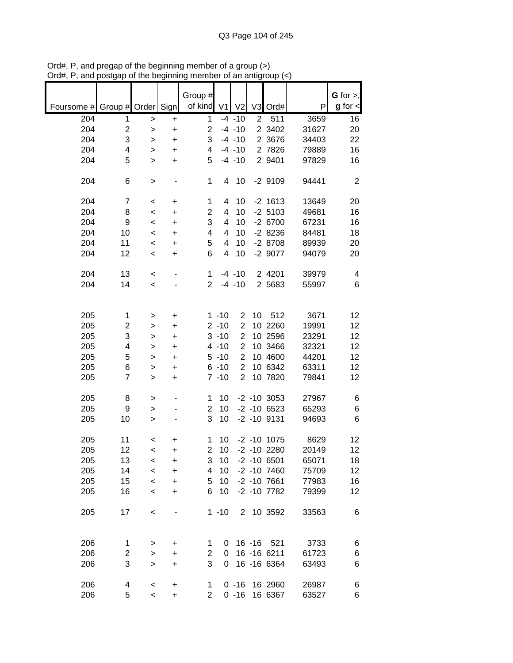|                               |                         |              |           | Group #        |          |                |                |                 |       | G for $>$ ,             |
|-------------------------------|-------------------------|--------------|-----------|----------------|----------|----------------|----------------|-----------------|-------|-------------------------|
| Foursome # Group # Order Sign |                         |              |           | of kind        | V1       | V <sub>2</sub> |                | V3 Ord#         | P     | $g$ for $\lt$           |
| 204                           | 1                       | >            | $\ddot{}$ | 1              |          | $-4 - 10$      | $\overline{2}$ | 511             | 3659  | 16                      |
| 204                           | $\overline{c}$          | $\mathbf{I}$ | +         | $\overline{c}$ |          | $-4 - 10$      |                | 2 3402          | 31627 | 20                      |
| 204                           | 3                       | $\,$         | $\ddot{}$ | 3              |          | $-4 - 10$      |                | 2 3676          | 34403 | 22                      |
| 204                           | $\overline{\mathbf{4}}$ | >            | $\ddot{}$ | 4              |          | $-4 - 10$      |                | 2 7826          | 79889 | 16                      |
| 204                           | 5                       | $\geq$       | $\ddot{}$ | 5              |          | $-4 - 10$      |                | 2 9401          | 97829 | 16                      |
|                               |                         |              |           |                |          |                |                |                 |       |                         |
| 204                           | 6                       | $\,$         |           | $\mathbf{1}$   | 4        | 10             |                | $-2$ 9109       | 94441 | $\overline{2}$          |
| 204                           | 7                       | $\,<\,$      | +         | 1              | 4        | 10             |                | $-2$ 1613       | 13649 | 20                      |
| 204                           | 8                       | $\,<$        | +         | $\overline{2}$ | 4        | 10             |                | $-2$ 5103       | 49681 | 16                      |
| 204                           | 9                       | $\,<$        | $\ddot{}$ | 3              | 4        | 10             |                | $-26700$        | 67231 | 16                      |
| 204                           | 10                      | $\prec$      | $\ddot{}$ | 4              | 4        | 10             |                | $-28236$        | 84481 | 18                      |
| 204                           | 11                      | $\,<\,$      | $\ddot{}$ | 5              | 4        | 10             |                | $-28708$        | 89939 | 20                      |
| 204                           | 12                      | $\,<\,$      | +         | 6              | 4        | 10             |                | -2 9077         | 94079 | 20                      |
|                               |                         |              |           |                |          |                |                |                 |       |                         |
| 204                           | 13                      | $\prec$      |           | $\mathbf 1$    |          | $-4 - 10$      |                | 2 4 2 0 1       | 39979 | $\overline{\mathbf{4}}$ |
| 204                           | 14                      | $\prec$      |           | $\overline{2}$ |          | $-4 - 10$      |                | 2 5683          | 55997 | 6                       |
|                               |                         |              |           |                |          |                |                |                 |       |                         |
| 205                           | $\mathbf{1}$            | >            | +         |                | $1 - 10$ | $\overline{c}$ | 10             | 512             | 3671  | 12                      |
| 205                           | 2                       | >            | +         |                | $2 - 10$ | $\overline{c}$ |                | 10 2260         | 19991 | 12                      |
| 205                           | 3                       | $\, > \,$    | $\ddot{}$ |                | $3 - 10$ | $\overline{2}$ |                | 10 2596         | 23291 | 12                      |
| 205                           | $\overline{\mathbf{4}}$ | $\geq$       | +         |                | $4 - 10$ | $\overline{2}$ |                | 10 3466         | 32321 | 12                      |
| 205                           | 5                       | >            | +         |                | $5 - 10$ | $\overline{2}$ |                | 10 4600         | 44201 | 12                      |
| 205                           | 6                       | >            | +         |                | $6 - 10$ | $\overline{2}$ |                | 10 6342         | 63311 | 12                      |
| 205                           | $\overline{7}$          | $\, > \,$    | +         |                | $7 - 10$ | $\overline{c}$ |                | 10 7820         | 79841 | 12                      |
|                               |                         |              |           |                |          |                |                |                 |       |                         |
| 205                           | 8                       | >            |           | 1              | 10       |                |                | $-2$ $-10$ 3053 | 27967 | 6                       |
| 205                           | 9                       | >            |           | $\overline{2}$ | 10       |                |                | $-2 - 10 6523$  | 65293 | 6                       |
| 205                           | 10                      | $\mathbf{L}$ |           | 3              | 10       |                |                | $-2 - 10$ 9131  | 94693 | 6                       |
| 205                           | 11                      | $\,<$        | +         | 1              | 10       |                |                | $-2 - 10$ 1075  | 8629  | 12                      |
| 205                           | 12                      | $\,<\,$      | $\ddot{}$ | $\overline{c}$ | 10       |                |                | $-2 - 10$ 2280  | 20149 | 12                      |
| 205                           | 13                      | $\,<\,$      | +         | 3              | 10       |                |                | $-2 - 10$ 6501  | 65071 | 18                      |
| 205                           | 14                      | $\,<\,$      | $\ddot{}$ | 4              | 10       |                |                | $-2 - 10$ 7460  | 75709 | 12                      |
| 205                           | 15                      | $\,<$        | $\ddot{}$ | 5              | 10       |                |                | $-2 - 10$ 7661  | 77983 | 16                      |
| 205                           | 16                      | $\,<$        | +         | 6              | 10       |                |                | $-2 - 10$ 7782  | 79399 | 12                      |
|                               |                         |              |           |                |          |                |                | 2 10 3592       |       |                         |
| 205                           | 17                      | $\,<$        |           |                | $1 - 10$ |                |                |                 | 33563 | 6                       |
|                               |                         |              |           |                |          |                |                |                 |       |                         |
| 206                           | 1                       | >            | +         | 1              | 0        |                | $16 - 16$      | 521             | 3733  | 6                       |
| 206                           | 2                       | $\, > \,$    | +         | 2              | 0        |                |                | 16 - 16 6211    | 61723 | 6                       |
| 206                           | 3                       | $\geq$       | +         | 3              | 0        |                |                | 16 - 16 6364    | 63493 | 6                       |
| 206                           | 4                       | $\,<$        | +         | 1              |          | $0 - 16$       |                | 16 2960         | 26987 | 6                       |
| 206                           | 5                       | $\,<\,$      | +         | $\overline{2}$ |          | $0 - 16$       |                | 16 6367         | 63527 | 6                       |

Ord#, P, and pregap of the beginning member of a group (>) Ord#, P, and postgap of the beginning member of an antigroup (<)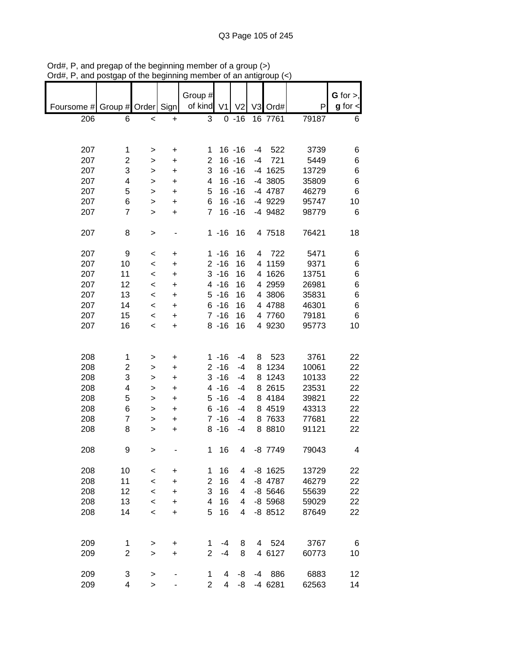|            |                |           |           | Group #        |                |                |      |           |       | $G$ for $>$ , |
|------------|----------------|-----------|-----------|----------------|----------------|----------------|------|-----------|-------|---------------|
| Foursome # | Group # Order  |           | Sign      | of kind        | V <sub>1</sub> | V <sub>2</sub> |      | V3 Ord#   | P     | $g$ for $\lt$ |
| 206        | 6              | $\,<$     | +         | 3              |                | $0 - 16$       |      | 16 7761   | 79187 | 6             |
|            |                |           |           |                |                |                |      |           |       |               |
|            |                |           |           |                |                |                |      |           |       |               |
| 207        | 1              | >         | +         | 1              |                | $16 - 16$      | -4   | 522       | 3739  | 6             |
| 207        | 2              | >         | +         | $\overline{2}$ |                | $16 - 16$      | $-4$ | 721       | 5449  | 6             |
| 207        | 3              |           |           | 3              |                | $16 - 16$      |      | -4 1625   | 13729 | 6             |
|            |                | >         | +         |                |                |                |      |           |       |               |
| 207        | 4              | >         | +         | 4              |                | $16 - 16$      |      | -4 3805   | 35809 | 6             |
| 207        | 5              | >         | +         | 5              |                | $16 - 16$      |      | -4 4787   | 46279 | 6             |
| 207        | 6              | >         | +         | 6              |                | $16 - 16$      |      | -4 9229   | 95747 | 10            |
| 207        | $\overline{7}$ | $\geq$    | +         | $\overline{7}$ |                | $16 - 16$      |      | -4 9482   | 98779 | 6             |
|            |                |           |           |                |                |                |      |           |       |               |
| 207        | 8              | >         |           |                | $1 - 16$       | 16             |      | 4 7518    | 76421 | 18            |
|            |                |           |           |                |                |                |      |           |       |               |
| 207        | 9              | <         | +         |                | $1 - 16$       | 16             | 4    | 722       | 5471  | 6             |
| 207        | 10             | $\,<$     | $\ddot{}$ |                | $2 - 16$       | 16             | 4    | 1159      | 9371  | 6             |
| 207        | 11             | $\,<$     | $\ddot{}$ |                | $3 - 16$       | 16             |      | 4 1626    | 13751 | 6             |
| 207        | 12             | $\,<$     | +         |                | $4 - 16$       | 16             |      | 4 2959    | 26981 | 6             |
| 207        | 13             | $\,<$     | +         |                | $5 - 16$       | 16             |      | 4 3806    | 35831 | 6             |
| 207        | 14             | $\,<\,$   | +         |                | $6 - 16$       | 16             |      | 4 4788    | 46301 | 6             |
| 207        | 15             |           |           |                | $7 - 16$       | 16             |      | 4 7760    | 79181 | 6             |
|            |                | $\,<\,$   | +         |                |                |                |      |           |       |               |
| 207        | 16             | $\,<$     | +         |                | $8 - 16$       | 16             |      | 4 9230    | 95773 | 10            |
|            |                |           |           |                |                |                |      |           |       |               |
|            |                |           |           |                |                |                |      |           |       |               |
| 208        | 1              | >         | +         |                | $1 - 16$       | $-4$           | 8    | 523       | 3761  | 22            |
| 208        | 2              | >         | +         |                | $2 - 16$       | $-4$           | 8    | 1234      | 10061 | 22            |
| 208        | 3              | >         | +         |                | $3 - 16$       | $-4$           | 8    | 1243      | 10133 | 22            |
| 208        | 4              | >         | +         |                | $4 - 16$       | $-4$           |      | 8 2615    | 23531 | 22            |
| 208        | 5              | >         | +         |                | $5 - 16$       | $-4$           |      | 8 4184    | 39821 | 22            |
| 208        | 6              | >         | +         |                | $6 - 16$       | $-4$           |      | 8 4519    | 43313 | 22            |
| 208        | 7              | >         | +         |                | $7 - 16$       | $-4$           |      | 8 7633    | 77681 | 22            |
| 208        | 8              | >         | +         |                | $8 - 16$       | -4             |      | 8 8810    | 91121 | 22            |
|            |                |           |           |                |                |                |      |           |       |               |
| 208        | 9              | $\, > \,$ |           | 1              | 16             | 4              |      | -8 7749   | 79043 | 4             |
|            |                |           |           |                |                |                |      |           |       |               |
| 208        | 10             |           |           | 1              | 16             | 4              |      | $-8$ 1625 | 13729 | 22            |
|            |                | $\,<$     | +         |                |                |                |      |           |       |               |
| 208        | 11             | $\,<$     | +         | $\overline{2}$ | 16             | 4              |      | -8 4787   | 46279 | 22            |
| 208        | 12             | $\,<$     | $\ddot{}$ | 3              | 16             | 4              |      | $-8$ 5646 | 55639 | 22            |
| 208        | 13             | $\,<$     | +         | 4              | 16             | 4              |      | $-8$ 5968 | 59029 | 22            |
| 208        | 14             | $\,<\,$   | +         | 5              | 16             | 4              |      | $-88512$  | 87649 | 22            |
|            |                |           |           |                |                |                |      |           |       |               |
|            |                |           |           |                |                |                |      |           |       |               |
| 209        | 1              | >         | +         | 1              | $-4$           | 8              |      | 4 524     | 3767  | 6             |
| 209        | $\overline{c}$ | $\geq$    | $\ddot{}$ | $\overline{2}$ | $-4$           | 8              |      | 4 6127    | 60773 | 10            |
|            |                |           |           |                |                |                |      |           |       |               |
| 209        | 3              | >         |           | 1              | 4              | -8             | -4   | 886       | 6883  | 12            |
| 209        | 4              | $\geq$    |           | $\overline{2}$ | 4              | -8             |      | $-4$ 6281 | 62563 | 14            |

Ord#, P, and pregap of the beginning member of a group (>) Ord#, P, and postgap of the beginning member of an antigroup (<)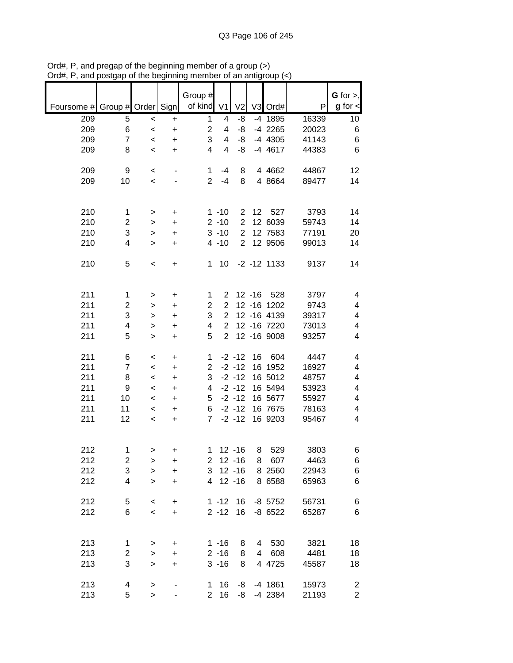|            |                         |                |                        | Group #        |                |                |                |                |       | $G$ for $>$ ,  |
|------------|-------------------------|----------------|------------------------|----------------|----------------|----------------|----------------|----------------|-------|----------------|
| Foursome # | Group # Order Sign      |                |                        | of kind        | V <sub>1</sub> | V <sub>2</sub> |                | V3 Ord#        | P     | $g$ for $\lt$  |
| 209        | 5                       | $\prec$        | $\ddot{}$              | 1              | 4              | -8             |                | -4 1895        | 16339 | 10             |
| 209        | 6                       | $\,<$          | $\ddot{}$              | $\overline{2}$ | 4              | -8             |                | -4 2265        | 20023 | 6              |
| 209        | $\overline{7}$          | $\,<$          | $\ddot{}$              | 3              | 4              | -8             |                | $-4$ 4305      | 41143 | 6              |
| 209        | 8                       | $\,<$          | $\ddot{}$              | 4              | 4              | -8             |                | $-4$ 4617      | 44383 | 6              |
| 209        | 9                       | $\,<$          |                        | $\mathbf 1$    | -4             | 8              |                | 4 4 6 6 2      | 44867 | 12             |
| 209        | 10                      | $\,<\,$        |                        | $\overline{2}$ | $-4$           | 8              |                | 4 8664         | 89477 | 14             |
|            |                         |                |                        |                |                |                |                |                |       |                |
| 210        | 1                       | >              | $\ddot{}$              |                | $1 - 10$       | 2              | 12             | 527            | 3793  | 14             |
| 210        | $\overline{2}$          | >              | $\ddot{}$              |                | $2 - 10$       | $\overline{2}$ |                | 12 6039        | 59743 | 14             |
| 210        | 3                       | >              | $\ddot{}$              |                | $3 - 10$       | $\overline{2}$ |                | 12 7583        | 77191 | 20             |
| 210        | 4                       | $\, > \,$      | $\ddot{}$              |                | $4 - 10$       | $\overline{2}$ |                | 12 9506        | 99013 | 14             |
| 210        | 5                       | $\,<$          | $\ddot{}$              | 1              | 10             |                |                | $-2 - 12$ 1133 | 9137  | 14             |
|            |                         |                |                        |                |                |                |                |                |       |                |
| 211        | 1                       | >              | $\ddot{}$              | $\mathbf 1$    | $\overline{2}$ |                | $12 - 16$      | 528            | 3797  | 4              |
| 211        | $\overline{2}$          | >              | $\ddot{}$              | $\overline{2}$ | $\overline{2}$ |                |                | 12 - 16 1202   | 9743  | 4              |
| 211        | 3                       | >              | $\ddot{}$              | 3              | $\overline{2}$ |                |                | 12 - 16 4139   | 39317 | 4              |
| 211        | 4                       | >              | $\ddot{}$              | 4              | $\overline{2}$ |                |                | 12 - 16 7220   | 73013 | 4              |
| 211        | 5                       | $\,>$          | $\ddot{}$              | 5              | $\overline{2}$ |                |                | 12 - 16 9008   | 93257 | 4              |
| 211        | 6                       | $\,<\,$        | $\ddot{}$              | 1              |                | $-2 - 12$      | 16             | 604            | 4447  | 4              |
| 211        | $\overline{7}$          | $\,<$          | $\ddot{}$              | 2              |                | $-2 - 12$      |                | 16 1952        | 16927 | 4              |
| 211        | 8                       | $\,<$          | $\ddot{}$              | 3              |                | $-2 - 12$      |                | 16 5012        | 48757 | 4              |
| 211        | 9                       | $\,<$          | $\ddot{}$              | 4              |                | $-2 - 12$      |                | 16 5494        | 53923 | 4              |
| 211        | 10                      | $\,<\,$        | $\ddot{}$              | 5              |                | $-2 - 12$      |                | 16 5677        | 55927 | 4              |
| 211        | 11                      | $\,<$          | $\ddot{}$              | 6              |                | $-2 - 12$      |                | 16 7675        | 78163 | 4              |
| 211        | 12                      | $\,<$          | $\ddot{}$              | 7              |                | $-2 - 12$      |                | 16 9203        | 95467 | 4              |
| 212        | 1                       |                |                        |                |                | $12 - 16$      |                | 529            | 3803  |                |
| 212        | $\overline{\mathbf{c}}$ | $\, > \,$      | $\ddot{}$              | $\mathbf{1}$   | $2$ 12 -16     |                | 8              | 8 607          | 4463  | 6<br>6         |
| 212        | 3                       | ><br>$\, > \,$ | $\ddot{}$<br>$\ddot{}$ | 3              |                | $12 - 16$      |                | 8 2560         | 22943 | 6              |
| 212        | 4                       | $\geq$         | $\ddot{}$              | 4              |                | $12 - 16$      |                | 8 6588         | 65963 | 6              |
|            |                         |                |                        |                |                |                |                |                |       |                |
| 212        | 5                       | $\,<$          | +                      |                | $1 - 12$       | 16             |                | $-8$ 5752      | 56731 | 6              |
| 212        | 6                       | $\prec$        | $\ddot{}$              |                | $2 - 12$       | 16             |                | $-8$ 6522      | 65287 | 6              |
|            |                         |                |                        |                |                |                |                |                |       |                |
| 213        | 1                       | >              | +                      |                | $1 - 16$       | 8              |                | 4 530          | 3821  | 18             |
| 213        | $\overline{c}$          | $\, > \,$      | +                      |                | $2 - 16$       | 8              | $\overline{4}$ | 608            | 4481  | 18             |
| 213        | 3                       | $\geq$         | +                      |                | $3 - 16$       | 8              |                | 4 4725         | 45587 | 18             |
| 213        | 4                       | $\geq$         |                        | 1.             | 16             | -8             |                | $-4$ 1861      | 15973 | 2              |
| 213        | 5                       | $\, > \,$      |                        | 2 <sup>7</sup> | 16             | -8             |                | -4 2384        | 21193 | $\overline{2}$ |

Ord#, P, and pregap of the beginning member of a group (>) Ord#, P, and postgap of the beginning member of an antigroup (<)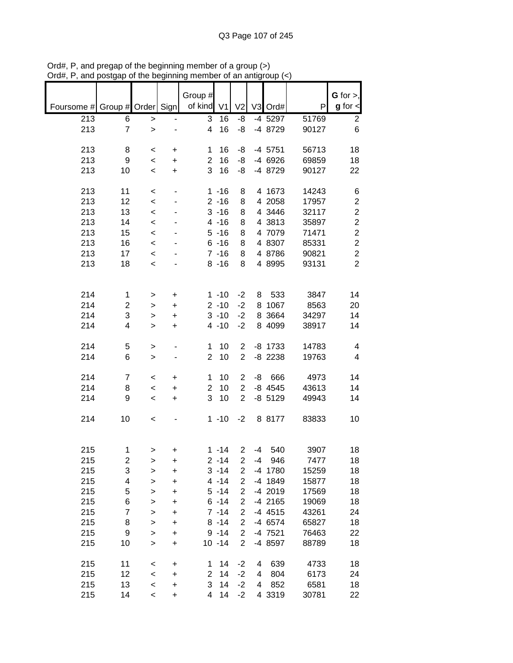| Foursome # Group # Order Sign |                |              |           | Group #<br>of kind | V <sub>1</sub> | V <sub>2</sub> |      | V3 Ord#   | P     | G for $>$ ,<br>$g$ for $\lt$ |
|-------------------------------|----------------|--------------|-----------|--------------------|----------------|----------------|------|-----------|-------|------------------------------|
| 213                           | 6              | $\, > \,$    |           | 3                  | 16             | -8             |      | -4 5297   | 51769 | $\overline{2}$               |
| 213                           | $\overline{7}$ | $\geq$       |           | 4                  | 16             | -8             |      | -4 8729   | 90127 | 6                            |
| 213                           | 8              | $\,<$        | +         | 1                  | 16             | -8             |      | $-4$ 5751 | 56713 | 18                           |
| 213                           | 9              | $\,<$        | $\ddot{}$ | $\overline{2}$     | 16             | -8             |      | -4 6926   | 69859 | 18                           |
| 213                           | 10             | $\,<$        | $\ddot{}$ | 3                  | 16             | -8             |      | -4 8729   | 90127 | 22                           |
| 213                           | 11             | $\,<\,$      | -         |                    | $1 - 16$       | 8              |      | 4 1673    | 14243 | 6                            |
| 213                           | 12             | $\,<$        |           |                    | $2 - 16$       | 8              |      | 4 2058    | 17957 | $\boldsymbol{2}$             |
| 213                           | 13             | $\,<$        |           |                    | $3 - 16$       | 8              |      | 4 3446    | 32117 | $\overline{c}$               |
| 213                           | 14             | $\,<$        |           |                    | $4 - 16$       | 8              |      | 4 3813    | 35897 | $\boldsymbol{2}$             |
| 213                           | 15             | $\prec$      |           |                    | $5 - 16$       | 8              |      | 4 7079    | 71471 | $\boldsymbol{2}$             |
| 213                           | 16             | $\,<$        |           |                    | $6 - 16$       | 8              |      | 4 8307    | 85331 | $\overline{c}$               |
| 213                           | 17             | $\,<$        |           |                    | $7 - 16$       | 8              |      | 4 8786    | 90821 | $\overline{c}$               |
| 213                           | 18             | $\,<$        |           |                    | $8 - 16$       | 8              |      | 4 8995    | 93131 | $\overline{2}$               |
| 214                           | $\mathbf{1}$   | >            | +         |                    | $1 - 10$       | $-2$           | 8    | 533       | 3847  | 14                           |
| 214                           | 2              | >            | $\ddot{}$ |                    | $2 - 10$       | $-2$           | 8    | 1067      | 8563  | 20                           |
| 214                           | 3              | $\,$         | $\ddot{}$ |                    | $3 - 10$       | $-2$           |      | 8 3664    | 34297 | 14                           |
| 214                           | 4              | $\geq$       | $\ddot{}$ |                    | $4 - 10$       | $-2$           |      | 8 4099    | 38917 | 14                           |
| 214                           | 5              | >            |           | 1                  | 10             | $\overline{c}$ |      | $-8$ 1733 | 14783 | 4                            |
| 214                           | 6              | $\,$         |           | $\overline{2}$     | 10             | $\overline{2}$ |      | $-8$ 2238 | 19763 | 4                            |
| 214                           | $\overline{7}$ | $\,<\,$      | +         | 1                  | 10             | $\overline{c}$ | -8   | 666       | 4973  | 14                           |
| 214                           | 8              | $\,<\,$      | +         | $\overline{2}$     | 10             | $\overline{2}$ |      | $-8$ 4545 | 43613 | 14                           |
| 214                           | 9              | $\,<$        | $\ddot{}$ | 3                  | 10             | $\overline{2}$ |      | $-8$ 5129 | 49943 | 14                           |
| 214                           | 10             | $\,<$        |           |                    | $1 - 10$       | $-2$           |      | 8 8177    | 83833 | 10                           |
| 215                           | 1              |              | $\ddot{}$ |                    | $1 - 14$       | $\overline{c}$ | $-4$ | 540       | 3907  | 18                           |
| 215                           | 2              | ><br>>       | +         |                    | $2 - 14$       | 2              | -4   | 946       | 7477  | 18                           |
| 215                           | 3              | $\mathbf{I}$ | $\ddot{}$ |                    | $3 - 14$       | $\overline{2}$ |      | -4 1780   | 15259 | 18                           |
| 215                           | 4              | $\geq$       | $\ddot{}$ |                    | $4 - 14$       | $\overline{2}$ |      | -4 1849   | 15877 | 18                           |
| 215                           | 5              | $\geq$       | $\ddot{}$ |                    | $5 - 14$       | $\overline{2}$ |      | -4 2019   | 17569 | 18                           |
| 215                           | 6              | $\mathbf{I}$ | $\ddot{}$ |                    | $6 - 14$       | $\overline{2}$ |      | -4 2165   | 19069 | 18                           |
| 215                           | $\overline{7}$ | $\mathbf{I}$ | +         |                    | $7 - 14$       | 2              |      | $-4$ 4515 | 43261 | 24                           |
| 215                           | 8              | $\mathbf{I}$ | +         |                    | $8 - 14$       | $\overline{2}$ |      | -4 6574   | 65827 | 18                           |
| 215                           | 9              | $\mathbf{I}$ | $\ddot{}$ |                    | $9 - 14$       | $\overline{c}$ |      | -4 7521   | 76463 | 22                           |
| 215                           | 10             | $\, > \,$    | $\ddot{}$ |                    | $10 - 14$      | $\overline{2}$ |      | -4 8597   | 88789 | 18                           |
| 215                           | 11             | $\,<$        | $\ddot{}$ | 1                  | 14             | $-2$           | 4    | 639       | 4733  | 18                           |
| 215                           | 12             | $\,<$        | +         | $\overline{2}$     | 14             | $-2$           | 4    | 804       | 6173  | 24                           |
| 215                           | 13             | $\prec$      | $\ddot{}$ | 3                  | 14             | $-2$           | 4    | 852       | 6581  | 18                           |
| 215                           | 14             | $\,<\,$      | +         | 4                  | 14             | $-2$           |      | 4 3319    | 30781 | 22                           |

Ord#, P, and pregap of the beginning member of a group (>) Ord#, P, and postgap of the beginning member of an antigroup (<)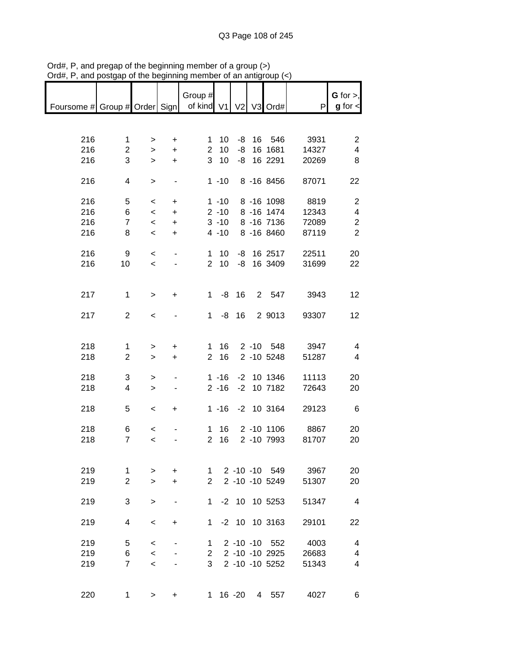|                                                       |                |                          |           | Group #        |                 |    |                  |                | G for $>$ ,              |
|-------------------------------------------------------|----------------|--------------------------|-----------|----------------|-----------------|----|------------------|----------------|--------------------------|
| Foursome # Group # Order Sign   of kind V1 V2 V3 Ord# |                |                          |           |                |                 |    |                  | P              | $g$ for $\lt$            |
|                                                       |                |                          |           |                |                 |    |                  |                |                          |
|                                                       |                |                          |           |                |                 |    |                  |                |                          |
| 216                                                   | $\mathbf{1}$   | $\, > \,$                | $\ddot{}$ | $\mathbf{1}$   | 10              |    | -8 16 546        | 3931           | $\overline{2}$           |
| 216                                                   | $\overline{c}$ | $\mathbf{I}$             | $\ddot{}$ | $\overline{2}$ | 10              | -8 | 16 1681          | 14327          | 4                        |
| 216                                                   | 3              | $\geq$                   | $+$       |                | 3 <sub>10</sub> |    | -8 16 2291       | 20269          | 8                        |
|                                                       |                |                          |           |                |                 |    |                  |                |                          |
| 216                                                   | 4              | $\,>$                    |           |                |                 |    | 1 -10 8 -16 8456 | 87071          | 22                       |
|                                                       |                |                          |           |                |                 |    |                  |                |                          |
| 216                                                   | 5              | $\,<\,$                  | +         |                |                 |    | 1 -10 8 -16 1098 | 8819           | $\overline{2}$           |
| 216                                                   | 6              | $\,<$                    | $\ddot{}$ |                | $2 - 10$        |    | 8 -16 1474       | 12343          | $\overline{\mathcal{A}}$ |
| 216                                                   | $\overline{7}$ | $\overline{\phantom{a}}$ | $\ddot{}$ |                | $3 - 10$        |    | 8 -16 7136       | 72089          | $\overline{2}$           |
| 216                                                   | 8              | $\,<$                    | $\ddot{}$ |                | $4 - 10$        |    | 8 -16 8460       | 87119          | $\overline{2}$           |
|                                                       |                |                          |           |                |                 |    |                  |                |                          |
| 216                                                   | 9              | $\prec$                  |           |                | $1 \quad 10$    |    | -8 16 2517       | 22511          | 20                       |
| 216                                                   | 10             | $\,<$                    |           |                |                 |    | 2 10 -8 16 3409  | 31699          | 22                       |
|                                                       |                |                          |           |                |                 |    |                  |                |                          |
|                                                       |                |                          |           |                |                 |    |                  |                |                          |
| 217                                                   | $\mathbf{1}$   | $\geq$                   | $\ddot{}$ |                | $1 - 8 16$      |    |                  | 2 547 3943     | 12                       |
|                                                       |                |                          |           |                |                 |    |                  |                |                          |
| 217                                                   | $\overline{2}$ | $\,<$                    |           | $\mathbf{1}$   |                 |    | -8 16 2 9013     | 93307          | 12                       |
|                                                       |                |                          |           |                |                 |    |                  |                |                          |
|                                                       |                |                          |           |                |                 |    |                  |                |                          |
| 218                                                   | 1              | >                        | $\pm$     |                | $1 \t16$        |    |                  | 2 -10 548 3947 | 4                        |
| 218                                                   | $\overline{c}$ | $\mathbf{I}$             | $+$       |                | 2 16            |    | 2 -10 5248       | 51287          | $\overline{4}$           |
| 218                                                   | 3              |                          |           |                | $1 - 16$        |    | -2 10 1346       | 11113          | 20                       |
| 218                                                   | 4              | ><br>$\mathbf{I}$        | ٠         |                | $2 - 16$        |    | $-2$ 10 7182     | 72643          | 20                       |
|                                                       |                |                          |           |                |                 |    |                  |                |                          |
| 218                                                   | 5              | $\overline{\phantom{a}}$ | $+$       |                |                 |    | 1 -16 -2 10 3164 | 29123          | 6                        |
|                                                       |                |                          |           |                |                 |    |                  |                |                          |
| 218                                                   | 6              | $\overline{\phantom{0}}$ |           |                | $1 \t16$        |    | 2 -10 1106       | 8867           | 20                       |
| 218                                                   | $\overline{7}$ | $\overline{\phantom{a}}$ |           | $\overline{2}$ | 16              |    | 2 -10 7993       | 81707          | 20                       |
|                                                       |                |                          |           |                |                 |    |                  |                |                          |
|                                                       |                |                          |           |                |                 |    |                  |                |                          |
| 219                                                   | 1              | >                        | $\ddot{}$ | 1              |                 |    | 2 -10 -10 549    | 3967           | 20                       |
| 219                                                   | $\overline{2}$ | $\geq$                   | $\ddot{}$ | 2              |                 |    | 2 -10 -10 5249   | 51307          | 20                       |
|                                                       |                |                          |           |                |                 |    |                  |                |                          |
| 219                                                   | 3              | $\geq$                   |           | 1.             |                 |    | -2 10 10 5253    | 51347          | $\overline{4}$           |
|                                                       |                |                          |           |                |                 |    |                  |                |                          |
| 219                                                   | 4              | $\,<\,$                  | $\ddot{}$ | 1              |                 |    | $-2$ 10 10 3163  | 29101          | 22                       |
|                                                       |                |                          |           |                |                 |    |                  |                |                          |
| 219                                                   | 5              | $\,<\,$                  |           | 1.             |                 |    | 2 -10 -10 552    | 4003           | 4                        |
| 219                                                   | 6              | $\,<$                    |           | $\mathbf{2}$   |                 |    | 2 -10 -10 2925   | 26683          | 4                        |
| 219                                                   | $\overline{7}$ | $\,<$                    |           | 3              |                 |    | 2 -10 -10 5252   | 51343          | 4                        |
|                                                       |                |                          |           |                |                 |    |                  |                |                          |
|                                                       |                |                          |           |                |                 |    |                  |                |                          |
| 220                                                   | 1              | >                        |           | 1              |                 |    | 16 - 20 4 557    | 4027           | 6                        |

Ord#, P, and pregap of the beginning member of a group (>) Ord#, P, and postgap of the beginning member of an antigroup (<)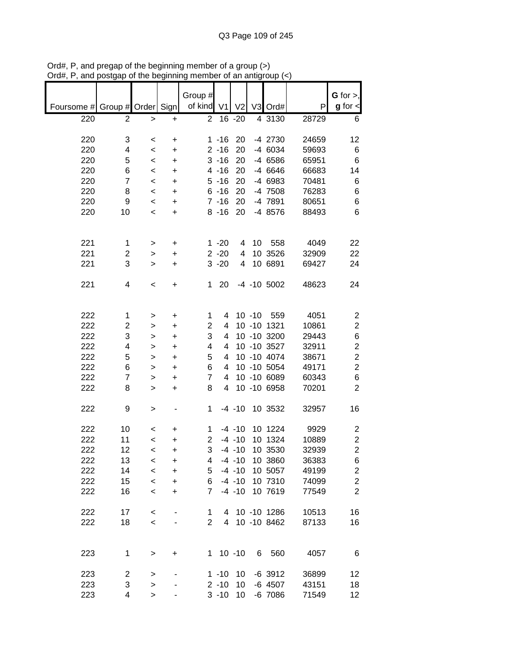|                               |                         |                          |           | Group #        |                |                |           |                 |       | $G$ for $>$ ,           |
|-------------------------------|-------------------------|--------------------------|-----------|----------------|----------------|----------------|-----------|-----------------|-------|-------------------------|
| Foursome # Group # Order Sign |                         |                          |           | of kind        | V <sub>1</sub> | V <sub>2</sub> |           | V3 Ord#         | P     | $g$ for $\lt$           |
| 220                           | 2                       | >                        | +         | $\overline{2}$ |                | 16 -20         |           | 4 3130          | 28729 | 6                       |
|                               |                         |                          |           |                |                |                |           |                 |       |                         |
|                               |                         |                          |           |                |                |                |           |                 |       |                         |
| 220                           | 3                       | $\,<$                    | +         |                | $1 - 16$       | 20             |           | -4 2730         | 24659 | 12                      |
| 220                           | 4                       | $\,<$                    | $\ddot{}$ |                | $2 - 16$       | 20             |           | -4 6034         | 59693 | 6                       |
| 220                           | 5                       | $\,<$                    | +         |                | $3 - 16$       | 20             |           | -4 6586         | 65951 | 6                       |
| 220                           | 6                       | $\,<$                    | +         |                | $4 - 16$       | 20             |           | -4 6646         | 66683 | 14                      |
| 220                           | $\overline{7}$          | $\,<$                    | +         |                | $5 - 16$       | 20             |           | -4 6983         | 70481 | 6                       |
| 220                           | 8                       | $\,<\,$                  |           |                | $6 - 16$       | 20             |           | -4 7508         | 76283 | 6                       |
|                               |                         |                          | $\ddot{}$ |                |                |                |           |                 |       |                         |
| 220                           | 9                       | $\,<\,$                  | $\ddot{}$ |                | $7 - 16$       | 20             |           | -4 7891         | 80651 | 6                       |
| 220                           | 10                      | $\,<\,$                  | $\ddot{}$ |                | $8 - 16$       | 20             |           | -4 8576         | 88493 | 6                       |
|                               |                         |                          |           |                |                |                |           |                 |       |                         |
|                               |                         |                          |           |                |                |                |           |                 |       |                         |
| 221                           | 1                       | >                        | +         |                | $1 - 20$       | 4              | 10        | 558             | 4049  | 22                      |
| 221                           | 2                       |                          | $\ddot{}$ |                | $2 - 20$       | 4              |           | 10 3526         | 32909 | 22                      |
|                               |                         | >                        |           |                |                |                |           |                 |       |                         |
| 221                           | 3                       | $\geq$                   | +         |                | $3 - 20$       | 4              |           | 10 6891         | 69427 | 24                      |
|                               |                         |                          |           |                |                |                |           |                 |       |                         |
| 221                           | 4                       | $\,<$                    | +         | 1              | 20             |                |           | $-4$ $-10$ 5002 | 48623 | 24                      |
|                               |                         |                          |           |                |                |                |           |                 |       |                         |
|                               |                         |                          |           |                |                |                |           |                 |       |                         |
| 222                           | 1                       |                          | $\ddot{}$ | 1              | 4              |                | $10 - 10$ | 559             | 4051  | $\overline{c}$          |
|                               |                         | >                        |           |                |                |                |           |                 |       |                         |
| 222                           | $\overline{\mathbf{c}}$ | >                        | $\ddot{}$ | 2              | 4              |                |           | 10 -10 1321     | 10861 | $\boldsymbol{2}$        |
| 222                           | 3                       | $\geq$                   | +         | 3              | 4              |                |           | 10 -10 3200     | 29443 | 6                       |
| 222                           | 4                       | >                        | +         | 4              | 4              |                |           | 10 -10 3527     | 32911 | $\boldsymbol{2}$        |
| 222                           | 5                       | >                        | +         | 5              | 4              |                |           | 10 -10 4074     | 38671 | $\overline{c}$          |
| 222                           | 6                       | >                        | $\ddot{}$ | 6              | 4              |                |           | 10 -10 5054     | 49171 | $\overline{c}$          |
| 222                           | $\overline{7}$          |                          |           | 7              | 4              |                |           | 10 -10 6089     | 60343 | 6                       |
|                               |                         | >                        | $\ddot{}$ |                |                |                |           |                 |       |                         |
| 222                           | 8                       | $\geq$                   | +         | 8              | 4              |                |           | 10 -10 6958     | 70201 | $\overline{2}$          |
|                               |                         |                          |           |                |                |                |           |                 |       |                         |
| 222                           | 9                       | >                        |           | 1              |                | $-4 - 10$      |           | 10 3532         | 32957 | 16                      |
|                               |                         |                          |           |                |                |                |           |                 |       |                         |
| 222                           | 10                      | $\,<\,$                  | +         | 1              |                | $-4 - 10$      |           | 10 1224         | 9929  | $\overline{\mathbf{c}}$ |
| 222                           | 11                      | $\,<\,$                  | +         | $\overline{2}$ |                | $-4 - 10$      |           | 10 1324         | 10889 | $\overline{\mathbf{c}}$ |
|                               |                         |                          |           |                |                |                |           |                 |       |                         |
| 222                           | 12                      | $\overline{\phantom{a}}$ | +         | 3              |                | $-4 - 10$      |           | 10 3530         | 32939 | $\overline{2}$          |
| 222                           | 13                      | <                        | +         | 4              |                | $-4 - 10$      |           | 10 3860         | 36383 | 6                       |
| 222                           | 14                      | $\,<$                    | $\ddot{}$ | 5              |                | $-4 - 10$      |           | 10 5057         | 49199 | $\overline{\mathbf{c}}$ |
| 222                           | 15                      | $\,<$                    | $\ddot{}$ | 6              |                | $-4 - 10$      |           | 10 7310         | 74099 | $\mathbf 2$             |
| 222                           | 16                      | $\prec$                  | +         | $\overline{7}$ |                | $-4 - 10$      |           | 10 7619         | 77549 | $\overline{2}$          |
|                               |                         |                          |           |                |                |                |           |                 |       |                         |
|                               |                         |                          |           |                |                |                |           |                 |       |                         |
| 222                           | 17                      | $\,<$                    |           | 1              |                |                |           | 4 10 -10 1286   | 10513 | 16                      |
| 222                           | 18                      | $\,<$                    |           | 2              | 4              |                |           | 10 -10 8462     | 87133 | 16                      |
|                               |                         |                          |           |                |                |                |           |                 |       |                         |
|                               |                         |                          |           |                |                |                |           |                 |       |                         |
| 223                           | 1                       | >                        | +         | 1.             |                | $10 - 10$      | 6         | 560             | 4057  | 6                       |
|                               |                         |                          |           |                |                |                |           |                 |       |                         |
| 223                           |                         |                          |           |                |                |                |           |                 |       |                         |
|                               | $\overline{\mathbf{c}}$ | >                        |           |                | $1 - 10$       | 10             |           | $-6$ 3912       | 36899 | 12                      |
| 223                           | 3                       | >                        |           |                | $2 - 10$       | 10             |           | $-6$ 4507       | 43151 | 18                      |
| 223                           | 4                       | $\,$                     |           |                | $3 - 10$       | 10             |           | $-6$ 7086       | 71549 | $12 \,$                 |

Ord#, P, and pregap of the beginning member of a group (>) Ord#, P, and postgap of the beginning member of an antigroup (<)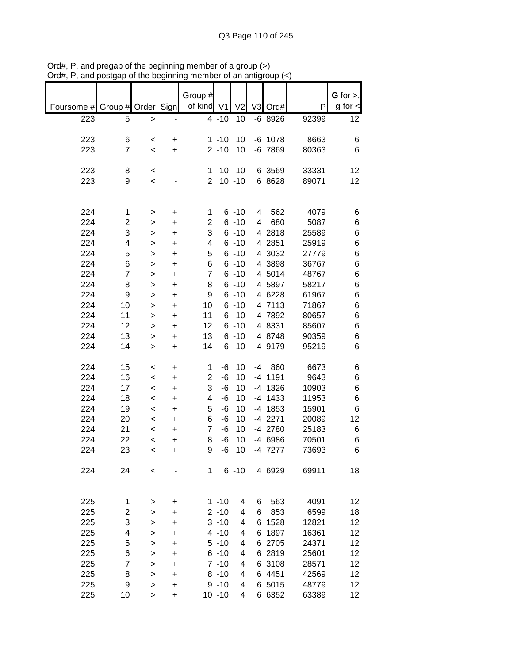|            |                |           |           | Group #        |                |                |    |             |       | $G$ for $>$ ,        |
|------------|----------------|-----------|-----------|----------------|----------------|----------------|----|-------------|-------|----------------------|
| Foursome # | Group #        | Order     | Sign      | of kind        | V <sub>1</sub> | V <sub>2</sub> |    | V3 Ord#     | P     | $g$ for $\textsf{d}$ |
| 223        | 5              | $\,$      |           |                | $4 - 10$       | 10             |    | $-6$ 8926   | 92399 | 12                   |
|            |                |           |           |                |                |                |    |             |       |                      |
| 223        | 6              | $\,<$     | +         |                | $1 - 10$       | 10             |    | $-6$ 1078   | 8663  | 6                    |
| 223        | 7              | $\,<$     | +         |                | $2 - 10$       | 10             |    | $-6$ $7869$ | 80363 | 6                    |
|            |                |           |           |                |                |                |    |             |       |                      |
| 223        | 8              | $\,<\,$   |           | 1              |                | $10 - 10$      |    | 6 3569      | 33331 | 12                   |
| 223        | 9              | $\,<$     |           | 2              |                | $10 - 10$      |    | 6 8628      | 89071 | 12                   |
|            |                |           |           |                |                |                |    |             |       |                      |
|            |                |           |           |                |                |                |    |             |       |                      |
| 224        | 1              | >         | +         | 1              |                | $6 - 10$       | 4  | 562         | 4079  | 6                    |
| 224        | 2              | >         | +         | 2              |                | $6 - 10$       | 4  | 680         | 5087  | 6                    |
| 224        | 3              | >         | +         | 3              |                | $6 - 10$       | 4  | 2818        | 25589 | 6                    |
| 224        | 4              | >         | $\ddot{}$ | 4              |                | $6 - 10$       | 4  | 2851        | 25919 | 6                    |
| 224        | 5              |           |           | 5              |                | $6 - 10$       |    | 4 3032      | 27779 | 6                    |
| 224        |                | >         | +         | 6              |                | $6 - 10$       |    | 4 3898      |       | 6                    |
|            | 6              | >         | +         |                |                |                |    |             | 36767 |                      |
| 224        | $\overline{7}$ | >         | +         | $\overline{7}$ |                | $6 - 10$       |    | 4 5014      | 48767 | 6                    |
| 224        | 8              | >         | $\ddot{}$ | 8              |                | $6 - 10$       |    | 4 5897      | 58217 | 6                    |
| 224        | 9              | >         | $\ddot{}$ | 9              |                | $6 - 10$       |    | 4 6228      | 61967 | 6                    |
| 224        | 10             | >         | +         | 10             |                | $6 - 10$       |    | 4 7113      | 71867 | 6                    |
| 224        | 11             | >         | +         | 11             |                | $6 - 10$       |    | 4 7892      | 80657 | 6                    |
| 224        | 12             | >         | +         | 12             |                | $6 - 10$       |    | 4 8331      | 85607 | 6                    |
| 224        | 13             | >         | +         | 13             |                | $6 - 10$       |    | 4 8748      | 90359 | 6                    |
| 224        | 14             | >         | +         | 14             |                | $6 - 10$       |    | 4 9179      | 95219 | 6                    |
|            |                |           |           |                |                |                |    |             |       |                      |
| 224        | 15             | $\,<\,$   | +         | 1              | $-6$           | 10             | -4 | 860         | 6673  | 6                    |
| 224        | 16             | $\,<\,$   | +         | $\overline{2}$ | $-6$           | 10             |    | -4 1191     | 9643  | 6                    |
| 224        | 17             | $\,<\,$   | +         | 3              | $-6$           | 10             |    | -4 1326     | 10903 | 6                    |
| 224        | 18             | $\,<$     | +         | 4              | -6             | 10             |    | -4 1433     | 11953 | 6                    |
| 224        | 19             | $\,<$     | +         | 5              | $-6$           | 10             |    | $-4$ 1853   | 15901 | 6                    |
| 224        | 20             | $\,<$     | +         | 6              | $-6$           | 10             |    | $-4$ 2271   | 20089 | 12                   |
| 224        | 21             | $\,<$     | +         | $\overline{7}$ | $-6$           | 10             |    | -4 2780     | 25183 | 6                    |
| 224        | 22             | $\,<$     | +         | 8              | -6             | 10             |    | -4 6986     | 70501 | 6                    |
| 224        | 23             | $\,<$     | +         | 9              | $-6$           | 10             |    | -4 7277     | 73693 | 6                    |
|            |                |           |           |                |                |                |    |             |       |                      |
| 224        | 24             | <         |           | 1              |                | $6 - 10$       |    | 4 6929      | 69911 | 18                   |
|            |                |           |           |                |                |                |    |             |       |                      |
|            |                |           |           |                |                |                |    |             |       |                      |
| 225        | 1              | >         | +         |                | $1 - 10$       | 4              | 6  | 563         | 4091  | 12                   |
| 225        | 2              |           | +         |                | $2 - 10$       | 4              | 6  | 853         | 6599  | 18                   |
| 225        | 3              | >         |           |                | $3 - 10$       | 4              | 6  | 1528        | 12821 | 12                   |
|            |                | >         | +         |                |                |                |    |             |       |                      |
| 225        | 4              | >         | +         |                | $4 - 10$       | 4              | 6  | 1897        | 16361 | 12                   |
| 225        | 5              | >         | +         |                | $5 - 10$       | 4              |    | 6 2705      | 24371 | 12                   |
| 225        | 6              | >         | +         |                | $6 - 10$       | 4              |    | 6 2819      | 25601 | 12                   |
| 225        | 7              | >         | +         |                | $7 - 10$       | 4              |    | 6 3108      | 28571 | 12                   |
| 225        | 8              | $\, > \,$ | +         |                | $8 - 10$       | 4              |    | 6 4451      | 42569 | 12                   |
| 225        | 9              | >         | +         |                | $9 - 10$       | 4              |    | 6 5015      | 48779 | 12                   |
| 225        | 10             | >         | $\ddot{}$ |                | $10 - 10$      | 4              |    | 6 6352      | 63389 | 12                   |

Ord#, P, and pregap of the beginning member of a group (>) Ord#, P, and postgap of the beginning member of an antigroup (<)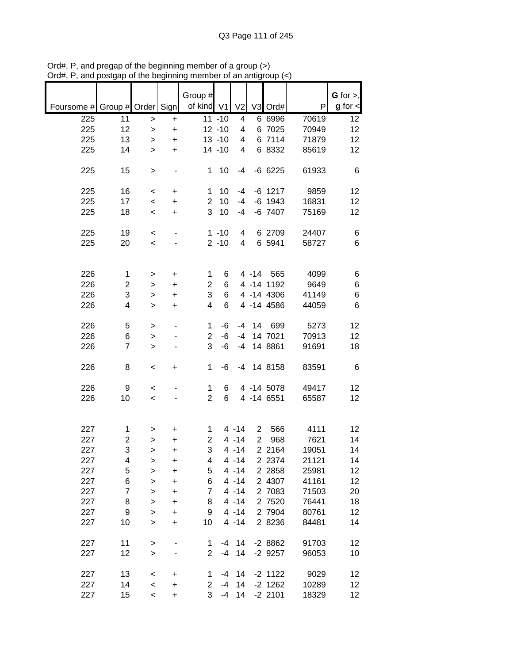|                               |                         |                    |           | Group #        |           |                |                |            |       | G for $>$ ,     |
|-------------------------------|-------------------------|--------------------|-----------|----------------|-----------|----------------|----------------|------------|-------|-----------------|
| Foursome # Group # Order Sign |                         |                    |           | of kind V1     |           | V <sub>2</sub> |                | V3 Ord#    | P     | $g$ for $\lt$   |
| 225                           | 11                      | $\,$               | $\ddot{}$ |                | $11 - 10$ | 4              |                | 6 6996     | 70619 | 12              |
| 225                           | 12                      | $\geq$             | $\ddot{}$ |                | $12 - 10$ | 4              |                | 6 7025     | 70949 | 12              |
| 225                           | 13                      | >                  | $\ddot{}$ |                | $13 - 10$ | 4              |                | 6 7114     | 71879 | 12              |
| 225                           | 14                      | $\, > \,$          | $\ddot{}$ |                | $14 - 10$ | 4              |                | 6 8332     | 85619 | 12              |
| 225                           | 15                      | >                  |           | $\mathbf 1$    | 10        | -4             |                | $-66225$   | 61933 | 6               |
| 225                           | 16                      | $\,<$              | $\ddot{}$ | 1              | 10        | $-4$           |                | $-6$ 1217  | 9859  | 12              |
| 225                           | 17                      | $\,<\,$            | $\ddot{}$ | $\overline{2}$ | 10        | -4             |                | $-6$ 1943  | 16831 | 12              |
| 225                           | 18                      | $\,<$              | +         | 3              | 10        | -4             |                | $-6$ 7407  | 75169 | 12              |
| 225                           | 19                      |                    |           |                | $1 - 10$  | 4              |                | 6 2709     | 24407 |                 |
| 225                           | 20                      | $\,<\,$<br>$\,<\,$ |           |                | $2 - 10$  | 4              |                | 6 5941     | 58727 | 6<br>6          |
|                               |                         |                    |           |                |           |                |                |            |       |                 |
|                               |                         |                    |           |                |           |                |                |            |       |                 |
| 226                           | $\mathbf{1}$            | >                  | $\ddot{}$ | $\mathbf 1$    | 6         |                | $4 - 14$       | 565        | 4099  | 6               |
| 226                           | $\overline{\mathbf{c}}$ | >                  | $\ddot{}$ | $\overline{c}$ | 6         |                |                | 4 -14 1192 | 9649  | 6               |
| 226                           | 3                       | >                  | $\ddot{}$ | 3              | 6         |                |                | 4 -14 4306 | 41149 | 6               |
| 226                           | 4                       | $\geq$             | $\ddot{}$ | 4              | 6         |                |                | 4 -14 4586 | 44059 | 6               |
| 226                           | 5                       | >                  |           | 1              | -6        | $-4$           | 14             | 699        | 5273  | 12              |
| 226                           | 6                       | >                  |           | $\overline{c}$ | -6        | $-4$           |                | 14 7021    | 70913 | 12              |
| 226                           | $\overline{7}$          | $\, > \,$          |           | 3              | -6        | $-4$           |                | 14 8861    | 91691 | 18              |
|                               |                         |                    |           |                |           |                |                |            |       |                 |
| 226                           | 8                       | $\,<$              | +         | 1              | -6        | -4             |                | 14 8158    | 83591 | 6               |
| 226                           | 9                       | $\,<\,$            |           | 1              | 6         |                |                | 4 -14 5078 | 49417 | 12              |
| 226                           | 10                      | $\,<$              |           | $\overline{2}$ | 6         |                |                | 4 -14 6551 | 65587 | 12              |
|                               |                         |                    |           |                |           |                |                |            |       |                 |
| 227                           | 1                       | >                  | +         | 1              |           | 4 - 14         | $\overline{2}$ | 566        | 4111  | 12              |
| 227                           | 2                       | >                  | +         | 2              |           | $4 - 14$       | $\overline{2}$ | 968        | 7621  | 14              |
| 227                           | 3                       | >                  | $\ddot{}$ | 3              |           | $4 - 14$       |                | 2 2164     | 19051 | 14              |
| 227                           | 4                       | >                  | +         | 4              |           | $4 - 14$       |                | 2 2 3 7 4  | 21121 | 14              |
| 227                           | 5                       | $\mathbf{I}$       | $\ddot{}$ | 5              |           | $4 - 14$       |                | 2 2 8 5 8  | 25981 | 12              |
| 227                           | 6                       | >                  | +         | 6              |           | $4 - 14$       |                | 2 4307     | 41161 | 12              |
| 227                           | 7                       | $\mathbf{I}$       | $\ddot{}$ | $\overline{7}$ |           | $4 - 14$       |                | 2 7083     | 71503 | 20              |
| 227                           | 8                       | $\mathbf{I}$       | $\ddot{}$ | 8              |           | $4 - 14$       |                | 2 7520     | 76441 | 18              |
| 227                           | 9                       | $\geq$             | $\ddot{}$ | 9              |           | $4 - 14$       |                | 2 7904     | 80761 | 12              |
| 227                           | 10                      | $\geq$             | +         | 10             |           | $4 - 14$       |                | 2 8236     | 84481 | 14              |
| 227                           | 11                      |                    |           | 1              | -4        | 14             |                | $-28862$   | 91703 | 12              |
| 227                           | 12                      | ><br>$\, > \,$     |           | $\overline{2}$ | $-4$      | 14             |                | $-2$ 9257  | 96053 | 10              |
|                               |                         |                    |           |                |           |                |                |            |       |                 |
| 227                           | 13                      | $\,<\,$            | $\ddot{}$ | 1              | -4        | 14             |                | $-2$ 1122  | 9029  | 12              |
| 227                           | 14                      | $\,<$              | +         | $\overline{2}$ | $-4$      | 14             |                | $-2$ 1262  | 10289 | 12 <sub>2</sub> |
| 227                           | 15                      | $\,<\,$            | $\ddot{}$ | 3              | -4        | 14             |                | $-2$ 2101  | 18329 | 12 <sub>2</sub> |

Ord#, P, and pregap of the beginning member of a group (>) Ord#, P, and postgap of the beginning member of an antigroup (<)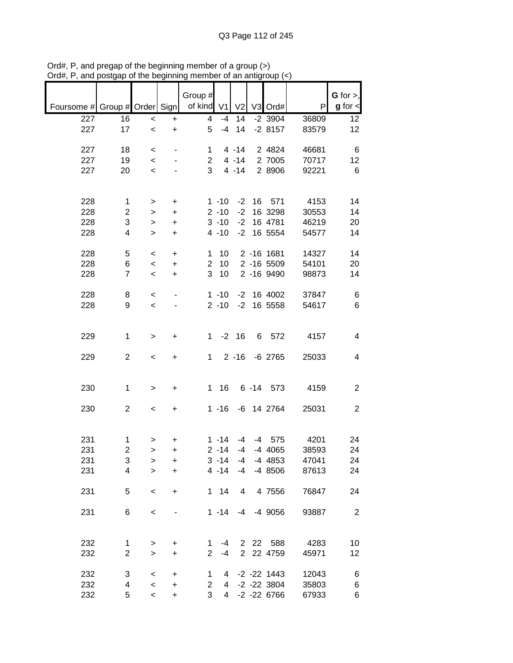|                               |                |                  |                        | Group #        |                |                |          |                       |                | $G$ for $>$ ,  |
|-------------------------------|----------------|------------------|------------------------|----------------|----------------|----------------|----------|-----------------------|----------------|----------------|
| Foursome # Group # Order Sign |                |                  |                        | of kind V1     |                | V <sub>2</sub> |          | V3 Ord#               | P              | $g$ for $\lt$  |
| 227<br>227                    | 16<br>17       | $\,<$<br>$\prec$ | $\ddot{}$<br>$\ddot{}$ | 4<br>5         | $-4$<br>$-4$   | 14<br>14       |          | $-2$ 3904<br>$-28157$ | 36809<br>83579 | 12<br>12       |
|                               |                |                  |                        |                |                |                |          |                       |                |                |
| 227                           | 18             | $\,<$            |                        | 1              |                | $4 - 14$       |          | 2 4824                | 46681          | 6              |
| 227                           | 19             | $\,<$            |                        | 2              |                | $4 - 14$       |          | 2 7005                | 70717          | 12             |
| 227                           | 20             | $\prec$          |                        | 3              |                | $4 - 14$       |          | 2 8906                | 92221          | $\,6$          |
|                               |                |                  |                        |                |                |                |          |                       |                |                |
| 228                           | 1              | >                | $\ddot{}$              |                | $1 - 10$       | $-2$           | 16       | 571                   | 4153           | 14             |
| 228                           | $\overline{c}$ | >                | $\ddot{}$              |                | $2 - 10$       | $-2$           |          | 16 3298               | 30553          | 14             |
| 228                           | 3              | $\, > \,$        | $\ddot{}$              |                | $3 - 10$       | $-2$           |          | 16 4781               | 46219          | 20             |
| 228                           | 4              | $\geq$           | $\ddot{}$              |                | $4 - 10$       | $-2$           |          | 16 5554               | 54577          | 14             |
|                               |                |                  |                        |                |                |                |          |                       |                |                |
| 228                           | 5              | $\,<$            | $\ddot{}$              | 1              | 10             |                |          | 2 -16 1681            | 14327          | 14             |
| 228                           | 6              | $\,<$            | $\ddot{}$              | $\overline{2}$ | 10             |                |          | 2 -16 5509            | 54101          | 20             |
| 228                           | $\overline{7}$ | $\,<$            | $\ddot{}$              | 3              | 10             |                |          | 2 -16 9490            | 98873          | 14             |
| 228                           | 8              | $\,<$            |                        |                | $1 - 10$       | $-2$           |          | 16 4002               | 37847          | 6              |
| 228                           | 9              | $\,<$            |                        |                | $2 - 10$       | $-2$           |          | 16 5558               | 54617          | 6              |
|                               |                |                  |                        |                |                |                |          |                       |                |                |
|                               |                |                  |                        |                |                |                |          |                       |                |                |
| 229                           | $\mathbf 1$    | $\, > \,$        | $\ddot{}$              | 1              | $-2$           | 16             | 6        | 572                   | 4157           | 4              |
| 229                           | $\overline{c}$ | $\,<\,$          | +                      | 1              |                | $2 - 16$       |          | $-6$ 2765             | 25033          | 4              |
|                               |                |                  |                        |                |                |                |          |                       |                |                |
|                               |                |                  |                        |                |                |                |          |                       |                |                |
| 230                           | $\mathbf{1}$   | $\,$             | $\ddot{}$              | $\mathbf 1$    | 16             |                | $6 - 14$ | 573                   | 4159           | $\overline{c}$ |
| 230                           | $\overline{2}$ |                  |                        |                | $1 - 16$       |                |          | -6 14 2764            | 25031          | $\overline{2}$ |
|                               |                | $\,<$            | $\ddot{}$              |                |                |                |          |                       |                |                |
|                               |                |                  |                        |                |                |                |          |                       |                |                |
| 231                           | 1              | >                | $\ddot{}$              |                | $1 - 14$       | -4             |          | $-4$ 575              | 4201           | 24             |
| 231                           | $\overline{2}$ | $\geq$           | $\ddot{}$              |                | $2 - 14$       | $-4$           |          | $-4$ 4065             | 38593          | 24             |
| 231                           | 3              | >                | $\ddot{}$              |                | $3 - 14$       | -4             |          | -4 4853               | 47041          | 24             |
| 231                           | 4              | $\geq$           | $+$                    |                | $4 - 14$       | $-4$           |          | $-48506$              | 87613          | 24             |
|                               |                |                  |                        |                |                |                |          |                       |                |                |
| 231                           | 5              | $\,<$            | +                      |                | $1 \quad 14$   | 4              |          | 4 7556                | 76847          | 24             |
| 231                           | 6              | $\,<$            |                        |                | $1 - 14$       | $-4$           |          | -4 9056               | 93887          | $\overline{2}$ |
|                               |                |                  |                        |                |                |                |          |                       |                |                |
|                               |                |                  |                        |                |                |                |          |                       |                |                |
| 232                           | 1              | >                | +                      | 1              | -4             |                |          | 2 22 588              | 4283           | 10             |
| 232                           | $\overline{c}$ | $\geq$           | $\ddot{}$              | $\overline{2}$ | -4             |                |          | 2 22 4759             | 45971          | 12             |
| 232                           | 3              | $\,<$            | $\ddot{}$              | 1              | 4              |                |          | $-2$ $-22$ 1443       | 12043          | 6              |
| 232                           | 4              | $\,<$            | $\ddot{}$              | $\overline{2}$ | $\overline{4}$ |                |          | $-2$ $-22$ 3804       | 35803          | 6              |
| 232                           | 5              | $\prec$          | $\ddot{}$              | 3              | 4              |                |          | $-2$ $-22$ 6766       | 67933          | 6              |

Ord#, P, and pregap of the beginning member of a group (>) Ord#, P, and postgap of the beginning member of an antigroup (<)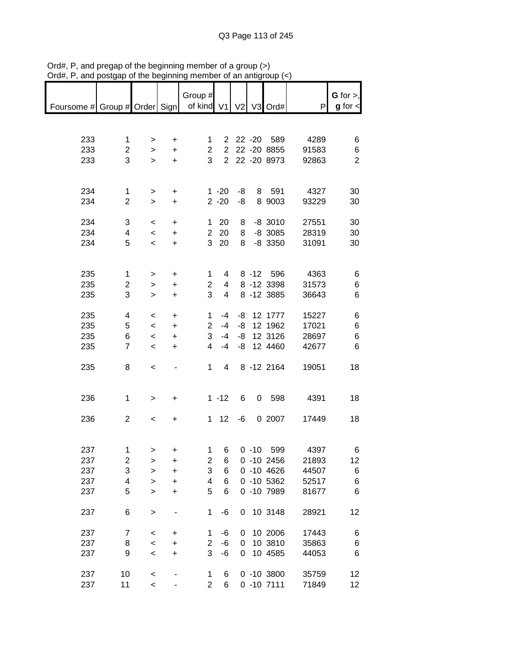| $71$ u $\pi,1$                             | and postgap or the beginning |                          |                          | <b>THUMBOL OF ALL ALINGE</b> |                |    |               |       |                              |
|--------------------------------------------|------------------------------|--------------------------|--------------------------|------------------------------|----------------|----|---------------|-------|------------------------------|
| Foursome # Group # Order Sign   of kind V1 |                              |                          |                          | Group #                      |                |    | V2 V3 Ord#    | P     | G for $>$ ,<br>$g$ for $\lt$ |
|                                            |                              |                          |                          |                              |                |    |               |       |                              |
|                                            |                              |                          |                          |                              |                |    |               |       |                              |
|                                            |                              |                          |                          |                              |                |    |               |       |                              |
| 233                                        | 1                            | >                        | $\ddot{}$                | $1 \quad$                    |                |    | 2 22 -20 589  | 4289  | 6                            |
| 233                                        | $\overline{2}$               | $\geq$                   | $\ddot{}$                | $\overline{2}$               |                |    | 2 22 -20 8855 | 91583 | 6                            |
|                                            | 3                            |                          |                          | 3                            |                |    | 2 22 -20 8973 |       | $\overline{2}$               |
| 233                                        |                              | $\geq$                   | $\ddot{}$                |                              |                |    |               | 92863 |                              |
|                                            |                              |                          |                          |                              |                |    |               |       |                              |
|                                            |                              |                          |                          |                              |                |    |               |       |                              |
| 234                                        | $\mathbf 1$                  | $\geq$                   | $\ddot{}$                |                              | $1 - 20$       | -8 | 8 591         | 4327  | 30                           |
| 234                                        | $\overline{c}$               | $\mathbf{I}$             | $\ddot{}$                |                              | $2 - 20$       | -8 | 8 9003        | 93229 | 30                           |
|                                            |                              |                          |                          |                              |                |    |               |       |                              |
| 234                                        | 3                            | $\,<\,$                  | $\ddot{}$                |                              | $1 20$         | 8  | $-8$ 3010     | 27551 | 30                           |
| 234                                        | 4                            | $\prec$                  | $\ddot{}$                |                              | 2 20           | 8  | $-8$ 3085     | 28319 | 30                           |
|                                            |                              |                          |                          |                              |                |    |               |       |                              |
| 234                                        | 5                            | $\,<\,$                  | $\ddot{}$                | $\mathbf{3}$                 | 20             | 8  | $-8$ 3350     | 31091 | 30                           |
|                                            |                              |                          |                          |                              |                |    |               |       |                              |
|                                            |                              |                          |                          |                              |                |    |               |       |                              |
| 235                                        | 1                            | >                        | $\ddot{}$                | $\mathbf 1$                  | 4              |    | 8 -12 596     | 4363  | 6                            |
| 235                                        | $\overline{c}$               | $\,>$                    | $\ddot{}$                | 2                            | 4              |    | 8 -12 3398    | 31573 | 6                            |
| 235                                        | 3                            | $\geq$                   | $\ddot{}$                | 3                            | $\overline{4}$ |    | 8 - 12 3885   | 36643 | 6                            |
|                                            |                              |                          |                          |                              |                |    |               |       |                              |
| 235                                        | 4                            |                          |                          | $\mathbf{1}$                 | -4             |    | -8 12 1777    | 15227 |                              |
|                                            |                              | $\,<\,$                  | $\ddot{}$                |                              |                |    |               |       | 6                            |
| 235                                        | 5                            | $\,<$                    | $\ddot{}$                | $\overline{2}$               | -4             |    | -8 12 1962    | 17021 | 6                            |
| 235                                        | 6                            | $\,<$                    | $\ddot{}$                | 3                            | -4             |    | $-8$ 12 3126  | 28697 | 6                            |
| 235                                        | $\overline{7}$               | $\overline{\phantom{a}}$ | $\ddot{}$                | 4                            | $-4$           |    | $-8$ 12 4460  | 42677 | 6                            |
|                                            |                              |                          |                          |                              |                |    |               |       |                              |
| 235                                        | 8                            | $\,<$                    | $\overline{\phantom{a}}$ | $\mathbf 1$                  | $\overline{4}$ |    | 8 - 12 2164   | 19051 | 18                           |
|                                            |                              |                          |                          |                              |                |    |               |       |                              |
|                                            |                              |                          |                          |                              |                |    |               |       |                              |
|                                            |                              |                          |                          |                              |                |    |               |       |                              |
| 236                                        | $\mathbf{1}$                 | >                        | $\ddot{}$                |                              | $1 - 12$       | 6  | 0 598         | 4391  | 18                           |
|                                            |                              |                          |                          |                              |                |    |               |       |                              |
| 236                                        | $\overline{2}$               | $\,<\,$                  | +                        |                              | $1 \quad 12$   | -6 | 0 2007        | 17449 | 18                           |
|                                            |                              |                          |                          |                              |                |    |               |       |                              |
|                                            |                              |                          |                          |                              |                |    |               |       |                              |
| 237                                        | 1                            | ⋗                        | ÷                        | 1                            | - 6            |    | $0 - 10 599$  | 4397  | 6                            |
| 237                                        | $\overline{\mathbf{c}}$      | >                        | +                        | 2                            | 6              |    | $0 - 10 2456$ | 21893 | 12                           |
| 237                                        | 3                            |                          |                          | 3                            | 6              |    | $0 - 10 4626$ | 44507 | 6                            |
|                                            |                              | $\geq$                   | +                        |                              |                |    |               |       |                              |
| 237                                        | 4                            | $\mathbf{I}$             | $\ddot{}$                | 4                            | 6              |    | $0 - 10 5362$ | 52517 | 6                            |
| 237                                        | 5                            | $\geq$                   | $\ddot{}$                | 5                            | 6              |    | 0 -10 7989    | 81677 | 6                            |
|                                            |                              |                          |                          |                              |                |    |               |       |                              |
| 237                                        | 6                            | $\geq$                   |                          | $\mathbf{1}$                 | -6             | 0  | 10 3148       | 28921 | 12                           |
|                                            |                              |                          |                          |                              |                |    |               |       |                              |
| 237                                        | $\overline{7}$               | $\prec$                  | +                        | 1                            | -6             | 0  | 10 2006       | 17443 | 6                            |
| 237                                        | 8                            | $\prec$                  | $\ddot{}$                | $\overline{c}$               | $-6$           | 0  | 10 3810       | 35863 | 6                            |
|                                            |                              |                          |                          | 3                            |                | 0  |               | 44053 |                              |
| 237                                        | 9                            | $\prec$                  | $\ddot{}$                |                              | $-6$           |    | 10 4585       |       | 6                            |
|                                            |                              |                          |                          |                              |                |    |               |       |                              |
| 237                                        | 10                           | $\prec$                  | -                        | 1                            | 6              |    | $0 - 10 3800$ | 35759 | 12                           |
| 237                                        | 11                           | $\prec$                  |                          | $\overline{2}$               | 6              |    | $0 - 107111$  | 71849 | 12                           |

Ord#, P, and pregap of the beginning member of a group (>) Ord#, P, and postgap of the beginning member of an antigroup (<)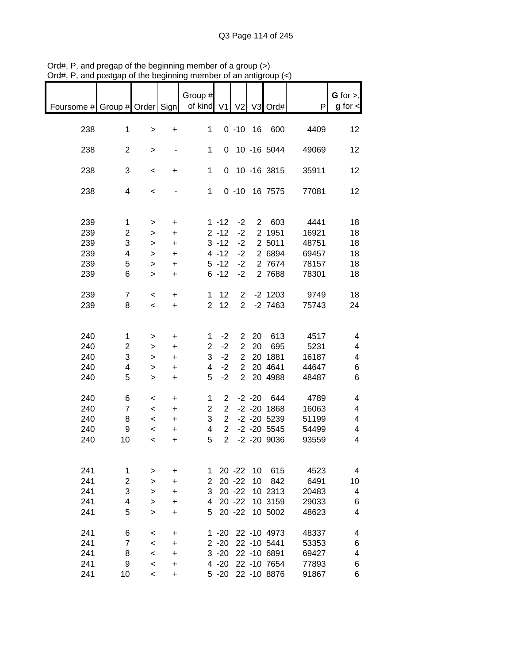| Foursome # Group # Order Sign |                |                          |           | Group #<br>of kind | V <sub>1</sub> | V <sub>2</sub> |           | V3 Ord#         | P     | $G$ for $>$ ,<br>$g$ for $\lt$ |
|-------------------------------|----------------|--------------------------|-----------|--------------------|----------------|----------------|-----------|-----------------|-------|--------------------------------|
| 238                           | $\mathbf 1$    |                          | $\ddot{}$ | 1                  |                | $0 - 10$       | 16        | 600             | 4409  | 12                             |
|                               |                | $\, > \,$                |           |                    |                |                |           |                 |       |                                |
| 238                           | $\overline{c}$ | $\, > \,$                |           | 1                  |                |                |           | 0 10 -16 5044   | 49069 | 12                             |
| 238                           | 3              | $\,<$                    | +         | $\mathbf 1$        | $\overline{0}$ |                |           | 10 -16 3815     | 35911 | 12                             |
| 238                           | 4              | $\,<$                    |           | $\mathbf 1$        |                |                |           | 0 -10 16 7575   | 77081 | 12                             |
|                               |                |                          |           |                    |                |                |           |                 |       |                                |
| 239                           | $\mathbf{1}$   | $\, > \,$                | +         |                    | $1 - 12$       | $-2$           |           | 2 603           | 4441  | 18                             |
| 239                           | $\overline{c}$ | >                        | $\ddot{}$ |                    | $2 - 12$       | $-2$           |           | 2 1951          | 16921 | 18                             |
| 239                           | 3              | $\, > \,$                | $\ddot{}$ |                    | $3 - 12$       | $-2$           |           | 2 5011          | 48751 | 18                             |
| 239                           | 4              | $\, > \,$                | $\ddot{}$ |                    | $4 - 12$       | $-2$           |           | 2 6894          | 69457 | 18                             |
| 239                           | 5              | $\,$                     | $\ddot{}$ |                    | $5 - 12$       | $-2$           |           | 2 7674          | 78157 | 18                             |
| 239                           | 6              | $\, > \,$                | $\ddot{}$ |                    | $6 - 12$       | $-2$           |           | 2 7688          | 78301 | 18                             |
|                               |                |                          |           |                    |                |                |           |                 |       |                                |
| 239                           | $\overline{7}$ | $\,<$                    | +         | 1                  | 12             | $\overline{2}$ |           | $-2$ 1203       | 9749  | 18                             |
| 239                           | 8              | $\,<$                    | +         | $\overline{2}$     | 12             | $\overline{2}$ |           | $-2$ 7463       | 75743 | 24                             |
|                               |                |                          |           |                    |                |                |           |                 |       |                                |
| 240                           | $\mathbf 1$    | >                        | +         | 1                  | $-2$           | $\overline{2}$ | 20        | 613             | 4517  | 4                              |
| 240                           | $\overline{2}$ | >                        | $\ddot{}$ | $\overline{2}$     | $-2$           | $\overline{2}$ | 20        | 695             | 5231  | 4                              |
| 240                           | 3              | >                        | $\ddot{}$ | 3                  | $-2$           | $\overline{2}$ |           | 20 1881         | 16187 | 4                              |
| 240                           | 4              | >                        | $\ddot{}$ | 4                  | $-2$           | $\overline{2}$ |           | 20 4641         | 44647 | 6                              |
| 240                           | 5              | $\geq$                   | $\ddot{}$ | 5                  | $-2$           | $\overline{2}$ |           | 20 4988         | 48487 | 6                              |
| 240                           | 6              | $\,<$                    | +         | 1                  | $\overline{2}$ |                | $-2 - 20$ | 644             | 4789  | 4                              |
| 240                           | $\overline{7}$ | $\,<\,$                  | $\ddot{}$ | 2                  | $\overline{2}$ |                |           | $-2 - 20$ 1868  | 16063 | 4                              |
| 240                           | 8              | $\,<\,$                  | $\ddot{}$ | 3                  | $\overline{2}$ |                |           | $-2$ $-20$ 5239 | 51199 | 4                              |
| 240                           | 9              | $\,<\,$                  | $\ddot{}$ | 4                  | $\overline{2}$ |                |           | $-2 - 20$ 5545  | 54499 | 4                              |
| 240                           | 10             | $\,<$                    | $\ddot{}$ | 5                  | $\overline{2}$ |                |           | $-2 - 20$ 9036  | 93559 | 4                              |
|                               |                |                          |           |                    |                |                |           |                 |       |                                |
| 241                           | 1              | >                        | +         | 1                  |                | $20 - 22$      | 10        | 615             | 4523  | 4                              |
| 241                           | $\overline{2}$ | >                        | +         | 2                  |                | $20 - 22$      | 10        | 842             | 6491  | 10                             |
| 241                           | 3              | >                        | +         | 3                  |                | $20 - 22$      |           | 10 2313         | 20483 | 4                              |
| 241                           | 4              | >                        | +         | 4                  |                | $20 - 22$      |           | 10 3159         | 29033 | 6                              |
| 241                           | 5              |                          | +         | 5                  |                | $20 - 22$      |           | 10 5002         | 48623 | 4                              |
|                               |                | >                        |           |                    |                |                |           |                 |       |                                |
| 241                           | 6              | <                        | $\ddot{}$ |                    | $1 - 20$       |                |           | 22 -10 4973     | 48337 | 4                              |
| 241                           | $\overline{7}$ | $\,<$                    | +         |                    | $2 - 20$       |                |           | 22 -10 5441     | 53353 | 6                              |
| 241                           | 8              | $\,<$                    | +         |                    | $3 - 20$       |                |           | 22 -10 6891     | 69427 | 4                              |
| 241                           | 9              | $\,<$                    | +         |                    | 4 -20          |                |           | 22 -10 7654     | 77893 | 6                              |
| 241                           | 10             | $\overline{\phantom{a}}$ | +         |                    | $5 - 20$       |                |           | 22 -10 8876     | 91867 | 6                              |

Ord#, P, and pregap of the beginning member of a group (>) Ord#, P, and postgap of the beginning member of an antigroup (<)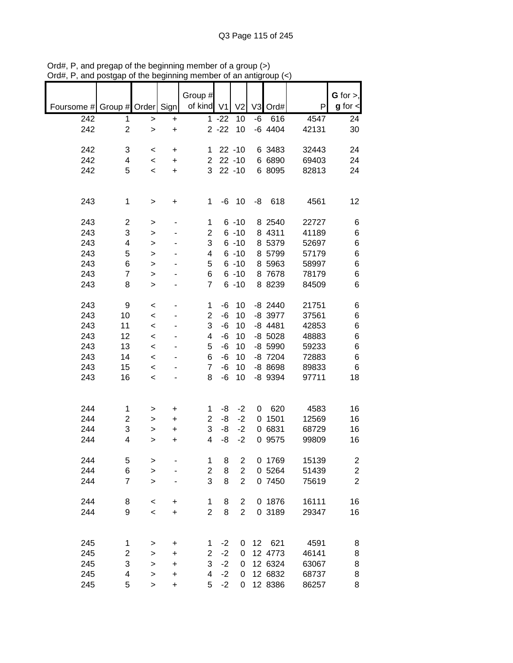|                               |                |                  |           | Group #             |          |                         |                |           |       | G for $>$ ,             |
|-------------------------------|----------------|------------------|-----------|---------------------|----------|-------------------------|----------------|-----------|-------|-------------------------|
| Foursome # Group # Order Sign |                |                  |           | of kind V1          |          | V <sub>2</sub>          | V <sub>3</sub> | Ord#      | P     | $g$ for $\lt$           |
|                               |                |                  |           |                     |          |                         |                |           |       |                         |
| 242                           | 1              | >                | +         |                     | $1 - 22$ | 10                      | $-6$           | 616       | 4547  | 24                      |
| 242                           | $\overline{2}$ | $\mathbf{I}$     | $\ddot{}$ |                     | $2 - 22$ | 10                      |                | $-6$ 4404 | 42131 | 30                      |
| 242                           | 3              |                  |           |                     |          | $22 - 10$               |                | 6 3483    | 32443 | 24                      |
| 242                           | 4              | $\,<\,$          | +         | 1<br>$\overline{2}$ |          | $22 - 10$               |                | 6 6890    | 69403 | 24                      |
| 242                           | 5              | $\,<$            | +         | 3                   |          | $22 - 10$               |                |           |       |                         |
|                               |                | $\,<$            | +         |                     |          |                         |                | 6 8095    | 82813 | 24                      |
|                               |                |                  |           |                     |          |                         |                |           |       |                         |
| 243                           | 1              |                  |           | 1                   | -6       | 10                      | -8             | 618       | 4561  | 12                      |
|                               |                | >                | +         |                     |          |                         |                |           |       |                         |
| 243                           | 2              | >                |           | 1                   |          | $6 - 10$                |                | 8 2540    | 22727 | 6                       |
| 243                           | 3              | >                |           | $\overline{2}$      |          | $6 - 10$                |                | 8 4311    | 41189 | 6                       |
| 243                           | 4              | $\geq$           |           | 3                   |          | $6 - 10$                |                | 8 5379    | 52697 | 6                       |
| 243                           | 5              | $\geq$           |           | 4                   |          | $6 - 10$                |                | 8 5799    | 57179 | 6                       |
| 243                           | 6              | >                |           | 5                   |          | $6 - 10$                |                | 8 5963    | 58997 | 6                       |
| 243                           | 7              | >                |           | 6                   |          | $6 - 10$                |                | 8 7678    | 78179 | 6                       |
| 243                           | 8              | >                |           | 7                   |          | $6 - 10$                |                | 8 8239    | 84509 | 6                       |
|                               |                |                  |           |                     |          |                         |                |           |       |                         |
| 243                           | 9              | $\,<$            |           | 1                   | -6       | 10                      |                | $-8$ 2440 | 21751 | 6                       |
| 243                           | 10             | $\,<$            |           | $\overline{c}$      | $-6$     | 10                      |                | -8 3977   | 37561 | 6                       |
| 243                           | 11             | $\prec$          |           | 3                   | $-6$     | 10                      |                | $-8$ 4481 | 42853 | 6                       |
| 243                           | 12             | $\,<$            |           | 4                   | -6       | 10                      |                | $-8$ 5028 | 48883 | 6                       |
| 243                           | 13             | $\,<$            |           | 5                   | $-6$     | 10                      |                | -8 5990   | 59233 | 6                       |
| 243                           | 14             | $\prec$          |           | 6                   | $-6$     | 10                      |                | -8 7204   | 72883 | 6                       |
| 243                           | 15             |                  |           | $\overline{7}$      | -6       | 10                      |                | $-88698$  | 89833 | 6                       |
| 243                           | 16             | $\,<$<br>$\prec$ |           | 8                   | -6       | 10                      |                | -8 9394   | 97711 | 18                      |
|                               |                |                  |           |                     |          |                         |                |           |       |                         |
|                               |                |                  |           |                     |          |                         |                |           |       |                         |
| 244                           | 1              | >                | +         | 1                   | -8       | $-2$                    | 0              | 620       | 4583  | 16                      |
| 244                           | 2              | >                | $\ddot{}$ | $\overline{2}$      | -8       | $-2$                    | 0              | 1501      | 12569 | 16                      |
| 244                           | 3              |                  |           | 3                   | -8       | $-2$                    |                | 0 6831    | 68729 | 16                      |
| 244                           | 4              | >                | +         | 4                   | -8       | $-2$                    | 0              | 9575      | 99809 | 16                      |
|                               |                | >                | +         |                     |          |                         |                |           |       |                         |
| 244                           | 5              | >                |           | 1                   | 8        | $\overline{\mathbf{c}}$ |                | 0 1769    | 15139 | $\overline{\mathbf{c}}$ |
| 244                           | 6              | $\mathbf{I}$     |           | $\overline{c}$      | 8        | $\overline{c}$          |                | 0 5264    | 51439 | $\boldsymbol{2}$        |
| 244                           | 7              | $\geq$           |           | 3                   | 8        | $\overline{2}$          |                | 0 7450    | 75619 | $\overline{2}$          |
|                               |                |                  |           |                     |          |                         |                |           |       |                         |
| 244                           | 8              | $\,<$            | +         | 1                   | 8        | 2                       |                | 0 1876    | 16111 | 16                      |
| 244                           | 9              | $\prec$          | +         | $\overline{c}$      | 8        | $\overline{2}$          |                | 0 3189    | 29347 | 16                      |
|                               |                |                  |           |                     |          |                         |                |           |       |                         |
|                               |                |                  |           |                     |          |                         |                |           |       |                         |
| 245                           | 1              | >                | +         | 1                   | $-2$     | 0                       | 12             | 621       | 4591  | 8                       |
| 245                           | 2              | >                | +         | $\overline{2}$      | $-2$     | 0                       |                | 12 4773   | 46141 | 8                       |
| 245                           | 3              | >                | +         | 3                   | $-2$     | 0                       |                | 12 6324   | 63067 | 8                       |
| 245                           | 4              | >                | +         | 4                   | $-2$     | 0                       |                | 12 6832   | 68737 | 8                       |
| 245                           | 5              | $\mathbf{I}$     | $\ddot{}$ | 5                   | $-2$     | 0                       |                | 12 8386   | 86257 | 8                       |
|                               |                |                  |           |                     |          |                         |                |           |       |                         |

Ord#, P, and pregap of the beginning member of a group (>) Ord#, P, and postgap of the beginning member of an antigroup (<)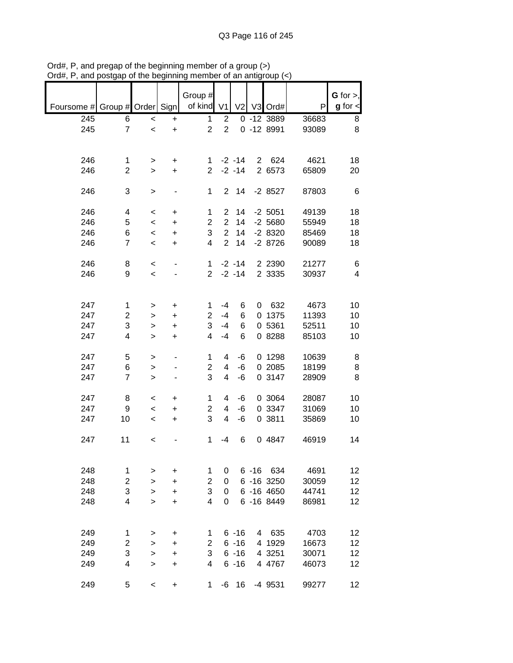|                               |                |           |           | Group #                 |                |                |                |              |       | $G$ for $>$ , |
|-------------------------------|----------------|-----------|-----------|-------------------------|----------------|----------------|----------------|--------------|-------|---------------|
| Foursome # Group # Order Sign |                |           |           | of kind                 | V <sub>1</sub> | V <sub>2</sub> |                | V3 Ord#      | P     | $g$ for $\lt$ |
| 245                           | 6              | $\,<$     | +         | 1                       | $\overline{c}$ |                |                | 0 -12 3889   | 36683 | 8             |
| 245                           | 7              | $\prec$   | $\ddot{}$ | $\overline{2}$          | $\overline{2}$ |                |                | $0 - 128991$ | 93089 | 8             |
|                               |                |           |           |                         |                |                |                |              |       |               |
| 246                           | 1              | >         | +         | 1                       |                | $-2 - 14$      |                | 2 624        | 4621  | 18            |
| 246                           | $\overline{2}$ | $\geq$    | +         | $\overline{2}$          |                | $-2 - 14$      |                | 2 6573       | 65809 | 20            |
|                               |                |           |           |                         |                |                |                |              |       |               |
| 246                           | 3              | $\, > \,$ |           | 1                       | $\overline{2}$ | 14             |                | $-28527$     | 87803 | 6             |
| 246                           | 4              | $\,<$     | +         | 1                       | 2              | 14             |                | $-2$ 5051    | 49139 | 18            |
| 246                           | 5              | $\,<\,$   | $\ddot{}$ | $\overline{c}$          | $\overline{2}$ | 14             |                | $-25680$     | 55949 | 18            |
| 246                           | 6              | $\,<\,$   | $\ddot{}$ | 3                       | $\overline{2}$ | 14             |                | $-28320$     | 85469 | 18            |
| 246                           | $\overline{7}$ |           |           | 4                       | $\overline{2}$ | 14             |                |              |       |               |
|                               |                | $\,<$     | $\ddot{}$ |                         |                |                |                | $-28726$     | 90089 | 18            |
| 246                           | 8              | $\,<\,$   |           | 1                       |                | $-2 - 14$      |                | 2 2 3 9 0    | 21277 | 6             |
| 246                           | 9              | $\,<\,$   |           | $\overline{2}$          |                | $-2 - 14$      |                | 2 3335       | 30937 | 4             |
|                               |                |           |           |                         |                |                |                |              |       |               |
| 247                           | 1              |           |           | 1                       | $-4$           | 6              | 0              | 632          | 4673  | 10            |
| 247                           |                | >         | +         |                         | $-4$           |                |                |              |       |               |
|                               | $\overline{2}$ | >         | $\ddot{}$ | $\overline{2}$          |                | 6              |                | 0 1375       | 11393 | 10            |
| 247                           | 3              | >         | +         | 3                       | $-4$           | 6              |                | 0 5361       | 52511 | 10            |
| 247                           | 4              | >         | +         | 4                       | $-4$           | 6              |                | 0 8288       | 85103 | 10            |
| 247                           | 5              | >         |           | 1                       | 4              | -6             |                | 0 1298       | 10639 | 8             |
| 247                           | 6              | >         |           | $\overline{2}$          | 4              | -6             |                | 0 2085       | 18199 | 8             |
| 247                           | $\overline{7}$ |           |           | 3                       | 4              | -6             |                | 0 3147       | 28909 | 8             |
|                               |                | $\, > \,$ |           |                         |                |                |                |              |       |               |
| 247                           | 8              | $\,<\,$   | +         | 1                       | 4              | -6             |                | 0 3064       | 28087 | 10            |
| 247                           | 9              | $\,<\,$   | $\ddot{}$ | $\overline{2}$          | 4              | -6             |                | 0 3347       | 31069 | 10            |
| 247                           | 10             | $\,<\,$   | +         | 3                       | 4              | -6             |                | 0 3811       | 35869 | 10            |
|                               |                |           |           |                         |                |                |                |              |       |               |
| 247                           | 11             | $\,<\,$   |           | 1                       | -4             | 6              |                | 0 4847       | 46919 | 14            |
|                               |                |           |           |                         |                |                |                |              |       |               |
| 248                           | 1              |           | +         | 1                       | 0              |                |                | 6 -16 634    | 4691  | 12            |
|                               |                | >         |           |                         |                |                |                |              |       |               |
| 248                           | 2              | $\geq$    | +         | $\overline{\mathbf{c}}$ | 0              |                |                | 6 -16 3250   | 30059 | 12            |
| 248                           | 3              | >         | +         | 3                       | 0              |                |                | 6 -16 4650   | 44741 | 12            |
| 248                           | 4              | $\geq$    | +         | 4                       | 0              |                |                | 6 - 16 8449  | 86981 | 12            |
|                               |                |           |           |                         |                |                |                |              |       |               |
| 249                           | 1              | >         | +         | 1                       |                | $6 - 16$       | $\overline{4}$ | 635          | 4703  | 12            |
| 249                           | $\overline{c}$ | >         | +         | $\overline{2}$          |                | $6 - 16$       |                | 4 1929       | 16673 | 12            |
| 249                           | 3              |           | +         | 3                       |                | $6 - 16$       |                | 4 3251       | 30071 | 12            |
|                               |                | >         |           |                         |                |                |                |              |       |               |
| 249                           | 4              | $\, > \,$ | +         | 4                       |                | $6 - 16$       |                | 4 4767       | 46073 | 12            |
| 249                           | 5              | $\,<$     | $\ddot{}$ | 1                       | -6             | 16             |                | -4 9531      | 99277 | 12            |

Ord#, P, and pregap of the beginning member of a group (>) Ord#, P, and postgap of the beginning member of an antigroup (<)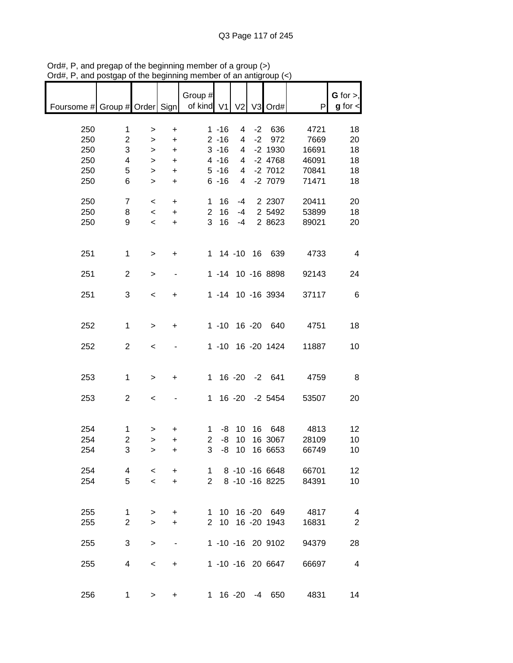| Foursome # Group # Order Sign |                         |                          |                          | Group #<br>of kind V1 |          | V <sub>2</sub> |           | V3 Ord#           | P     | G for $>$ ,<br>$g$ for $\lt$ |
|-------------------------------|-------------------------|--------------------------|--------------------------|-----------------------|----------|----------------|-----------|-------------------|-------|------------------------------|
|                               |                         |                          |                          |                       |          |                |           |                   |       |                              |
|                               |                         |                          |                          |                       |          |                |           |                   |       |                              |
| 250                           | $\mathbf{1}$            | >                        | $\ddot{}$                |                       | $1 - 16$ | 4              | $-2$      | 636               | 4721  | 18                           |
| 250                           | $\mathbf{2}$            | $\,$                     | $\ddot{}$                |                       | $2 - 16$ | 4              | $-2$      | 972               | 7669  | 20                           |
| 250                           | 3                       | $\, > \,$                | $\ddot{}$                |                       | $3 - 16$ | 4              |           | $-2$ 1930         | 16691 | 18                           |
| 250                           | $\overline{\mathbf{4}}$ |                          | $\ddot{}$                |                       | $4 - 16$ | 4              |           | $-2$ 4768         | 46091 | 18                           |
|                               |                         | $\mathbf{I}$             |                          |                       |          |                |           |                   |       |                              |
| 250                           | 5                       | $\, > \,$                | $\ddot{}$                |                       | $5 - 16$ | 4              |           | $-2$ 7012         | 70841 | 18                           |
| 250                           | 6                       | $\geq$                   | $\ddot{}$                |                       | $6 - 16$ | $\overline{4}$ |           | $-27079$          | 71471 | 18                           |
|                               |                         |                          |                          |                       |          |                |           |                   |       |                              |
| 250                           | 7                       |                          |                          | 1                     | 16       | $-4$           |           | 2 2 3 0 7         | 20411 | 20                           |
|                               |                         | $\,<\,$                  | $\ddot{}$                |                       |          |                |           |                   |       |                              |
| 250                           | 8                       | $\,<$                    | $\ddot{}$                | $\overline{2}$        | 16       | $-4$           |           | 2 5492            | 53899 | 18                           |
| 250                           | 9                       | $\overline{\phantom{a}}$ | $\ddot{}$                | 3                     | 16       | $-4$           |           | 2 8623            | 89021 | 20                           |
|                               |                         |                          |                          |                       |          |                |           |                   |       |                              |
|                               |                         |                          |                          |                       |          |                |           |                   |       |                              |
|                               |                         |                          |                          |                       |          |                |           |                   |       |                              |
| 251                           | $\mathbf{1}$            | $\,$                     | $\ddot{}$                |                       |          |                |           | 1 14 -10 16 639   | 4733  | $\overline{4}$               |
|                               |                         |                          |                          |                       |          |                |           |                   |       |                              |
| 251                           | $\overline{2}$          | $\, > \,$                |                          |                       | $1 - 14$ |                |           | 10 -16 8898       | 92143 | 24                           |
|                               |                         |                          |                          |                       |          |                |           |                   |       |                              |
|                               |                         |                          |                          |                       |          |                |           |                   |       |                              |
| 251                           | 3                       | $\,<\,$                  | +                        |                       | $1 - 14$ |                |           | 10 -16 3934       | 37117 | 6                            |
|                               |                         |                          |                          |                       |          |                |           |                   |       |                              |
|                               |                         |                          |                          |                       |          |                |           |                   |       |                              |
|                               |                         |                          |                          |                       |          |                |           |                   |       |                              |
| 252                           | $\mathbf 1$             | $\, > \,$                | +                        |                       | $1 - 10$ |                | $16 - 20$ | 640               | 4751  | 18                           |
|                               |                         |                          |                          |                       |          |                |           |                   |       |                              |
| 252                           | $\overline{2}$          | $\,<$                    |                          |                       | $1 - 10$ |                |           | 16 -20 1424       | 11887 | 10                           |
|                               |                         |                          |                          |                       |          |                |           |                   |       |                              |
|                               |                         |                          |                          |                       |          |                |           |                   |       |                              |
|                               |                         |                          |                          |                       |          |                |           |                   |       |                              |
| 253                           | 1                       | >                        | +                        | $\mathbf{1}$          |          | $16 - 20$      |           | $-2$ 641          | 4759  | 8                            |
|                               |                         |                          |                          |                       |          |                |           |                   |       |                              |
| 253                           | $\overline{2}$          |                          |                          | $\mathbf 1$           |          | $16 - 20$      |           | $-2$ 5454         | 53507 | 20                           |
|                               |                         | $\,<$                    |                          |                       |          |                |           |                   |       |                              |
|                               |                         |                          |                          |                       |          |                |           |                   |       |                              |
|                               |                         |                          |                          |                       |          |                |           |                   |       |                              |
| 254                           | 1                       | >                        | $\ddot{}$                | 1                     | -8       | 10             | 16        | 648               | 4813  | 12                           |
| 254                           |                         |                          |                          |                       |          | 10             |           | 16 3067           |       |                              |
|                               | $\overline{\mathbf{c}}$ | >                        | $\ddot{}$                | $\overline{c}$        | -8       |                |           |                   | 28109 | 10                           |
| 254                           | 3                       | $\geq$                   | $\ddot{}$                | 3                     | -8       | 10             |           | 16 6653           | 66749 | 10                           |
|                               |                         |                          |                          |                       |          |                |           |                   |       |                              |
| 254                           | 4                       | $\,<\,$                  | $\ddot{}$                | $1 \quad$             |          |                |           | 8 -10 -16 6648    | 66701 | 12                           |
|                               |                         |                          |                          |                       |          |                |           |                   |       |                              |
| 254                           | 5                       | $\overline{\phantom{a}}$ | $+$                      | $\overline{2}$        |          |                |           | 8 -10 -16 8225    | 84391 | 10                           |
|                               |                         |                          |                          |                       |          |                |           |                   |       |                              |
|                               |                         |                          |                          |                       |          |                |           |                   |       |                              |
| 255                           | $\mathbf 1$             | >                        | +                        | 1                     |          |                |           | 10 16 -20 649     | 4817  | $\overline{4}$               |
|                               |                         |                          |                          |                       |          |                |           |                   |       |                              |
| 255                           | $\overline{2}$          | $\geq$                   | $\ddot{}$                | $\overline{2}$        |          |                |           | 10 16 -20 1943    | 16831 | $\overline{2}$               |
|                               |                         |                          |                          |                       |          |                |           |                   |       |                              |
| 255                           | 3                       | $\geq$                   | $\overline{\phantom{a}}$ |                       |          |                |           | 1 -10 -16 20 9102 | 94379 | 28                           |
|                               |                         |                          |                          |                       |          |                |           |                   |       |                              |
|                               |                         |                          |                          |                       |          |                |           |                   |       |                              |
| 255                           | 4                       | $\,<\,$                  | $\ddot{}$                |                       |          |                |           | 1 -10 -16 20 6647 | 66697 | 4                            |
|                               |                         |                          |                          |                       |          |                |           |                   |       |                              |
|                               |                         |                          |                          |                       |          |                |           |                   |       |                              |
| 256                           | 1                       | >                        | +                        | 1.                    |          | 16 -20         | -4        | 650               | 4831  | 14                           |
|                               |                         |                          |                          |                       |          |                |           |                   |       |                              |

Ord#, P, and pregap of the beginning member of a group (>) Ord#, P, and postgap of the beginning member of an antigroup (<)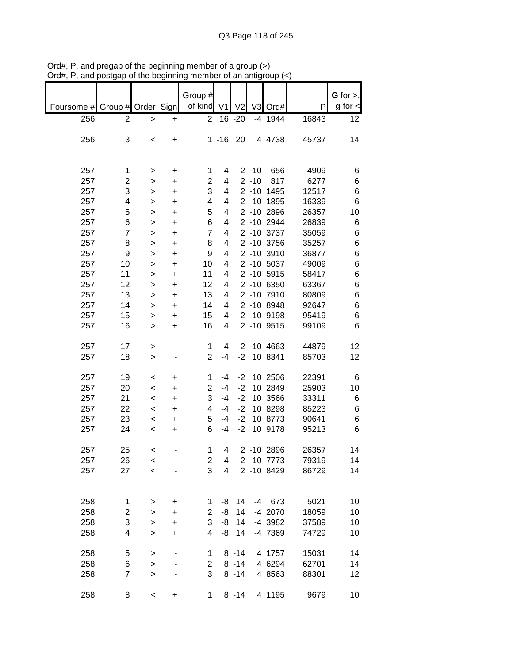|            |                |              |           | Group #        |                |                |          |            |       | G for $>$ ,   |
|------------|----------------|--------------|-----------|----------------|----------------|----------------|----------|------------|-------|---------------|
|            |                |              |           | of kind        | V <sub>1</sub> | V <sub>2</sub> |          | V3 Ord#    | P     | $g$ for $\lt$ |
| Foursome # | Group # Order  |              | Sign      |                |                |                |          |            |       |               |
| 256        | 2              | >            | +         | 2              |                | 16 -20         |          | $-4$ 1944  | 16843 | 12            |
|            |                |              |           |                |                |                |          |            |       |               |
| 256        | 3              | $\,<$        | +         |                | $1 - 16$       | 20             |          | 4 4738     | 45737 | 14            |
|            |                |              |           |                |                |                |          |            |       |               |
|            |                |              |           |                |                |                |          |            |       |               |
| 257        | 1              | >            | +         | 1              | 4              |                | $2 - 10$ | 656        | 4909  | 6             |
| 257        | 2              | >            | +         | $\overline{2}$ | 4              |                | $2 - 10$ | 817        | 6277  | 6             |
| 257        | 3              | >            | $\ddot{}$ | 3              | 4              |                |          | 2 -10 1495 | 12517 | 6             |
| 257        | 4              | >            | +         | 4              | 4              |                |          | 2 -10 1895 | 16339 | 6             |
| 257        | 5              | $\geq$       | $\ddot{}$ | 5              | 4              |                |          | 2 -10 2896 | 26357 | 10            |
| 257        | 6              | >            | +         | 6              | 4              |                |          | 2 -10 2944 | 26839 | 6             |
| 257        | $\overline{7}$ | >            | $\ddot{}$ | $\overline{7}$ | 4              |                |          | 2 -10 3737 | 35059 | 6             |
| 257        | 8              |              | +         | 8              | 4              |                |          | 2 -10 3756 | 35257 | 6             |
| 257        | 9              | >            |           | 9              | 4              |                |          | 2 -10 3910 | 36877 | 6             |
|            |                | >            | $\ddot{}$ |                |                |                |          | 2 -10 5037 |       |               |
| 257        | 10             | >            | +         | 10             | 4              |                |          |            | 49009 | 6             |
| 257        | 11             | >            | $\ddot{}$ | 11             | 4              |                |          | 2 -10 5915 | 58417 | 6             |
| 257        | 12             | >            | +         | 12             | 4              |                |          | 2 -10 6350 | 63367 | 6             |
| 257        | 13             | >            | +         | 13             | 4              |                |          | 2 -10 7910 | 80809 | 6             |
| 257        | 14             | $\, > \,$    | +         | 14             | 4              |                |          | 2 -10 8948 | 92647 | 6             |
| 257        | 15             | >            | +         | 15             | 4              |                |          | 2 -10 9198 | 95419 | 6             |
| 257        | 16             | >            | +         | 16             | 4              |                |          | 2 -10 9515 | 99109 | 6             |
|            |                |              |           |                |                |                |          |            |       |               |
| 257        | 17             | >            |           | 1              | $-4$           | $-2$           |          | 10 4663    | 44879 | 12            |
| 257        | 18             | $\geq$       |           | $\overline{2}$ | $-4$           | $-2$           |          | 10 8341    | 85703 | 12            |
|            |                |              |           |                |                |                |          |            |       |               |
| 257        | 19             | <            | +         | 1              | $-4$           | $-2$           |          | 10 2506    | 22391 | 6             |
| 257        | 20             | $\,<\,$      | +         | $\overline{2}$ | $-4$           | $-2$           |          | 10 2849    | 25903 | 10            |
| 257        | 21             | $\,<\,$      | $\ddot{}$ | 3              | $-4$           | $-2$           |          | 10 3566    | 33311 | 6             |
| 257        | 22             | $\,<\,$      | $\ddot{}$ | 4              | $-4$           | $-2$           |          | 10 8298    | 85223 | 6             |
| 257        | 23             | $\,<\,$      | +         | 5              | $-4$           | $-2$           |          | 10 8773    | 90641 | 6             |
| 257        | 24             | $\,<\,$      | +         | 6              | $-4$           | $-2$           |          | 10 9178    | 95213 | 6             |
|            |                |              |           |                |                |                |          |            |       |               |
| 257        | 25             |              |           | 1              | 4              |                |          | 2 -10 2896 | 26357 | 14            |
|            |                | <            |           |                |                |                |          |            |       |               |
| 257        | 26             | $\,<$        |           | 2<br>3         | 4              |                |          | 2 -10 7773 | 79319 | 14            |
| 257        | 27             | $\prec$      |           |                | 4              |                |          | 2 -10 8429 | 86729 | 14            |
|            |                |              |           |                |                |                |          |            |       |               |
|            |                |              |           |                |                |                |          |            |       |               |
| 258        | 1              | >            | +         | 1              | -8             | 14             |          | $-4$ 673   | 5021  | 10            |
| 258        | 2              | >            | +         | $\overline{2}$ | -8             | 14             |          | -4 2070    | 18059 | 10            |
| 258        | 3              | $\mathbf{I}$ | +         | 3              | -8             | 14             |          | -4 3982    | 37589 | 10            |
| 258        | 4              | $\geq$       | $\ddot{}$ | 4              | -8             | 14             |          | -4 7369    | 74729 | 10            |
|            |                |              |           |                |                |                |          |            |       |               |
| 258        | 5              | $\mathbf{I}$ |           | 1              |                | $8 - 14$       |          | 4 1757     | 15031 | 14            |
| 258        | 6              | $\geq$       |           | $\overline{c}$ |                | $8 - 14$       |          | 4 6294     | 62701 | 14            |
| 258        | $\overline{7}$ | $\geq$       |           | 3              |                | $8 - 14$       |          | 4 8563     | 88301 | 12            |
|            |                |              |           |                |                |                |          |            |       |               |
| 258        | 8              | $\,<$        | +         | 1              |                | $8 - 14$       |          | 4 1195     | 9679  | 10            |

Ord#, P, and pregap of the beginning member of a group (>) Ord#, P, and postgap of the beginning member of an antigroup (<)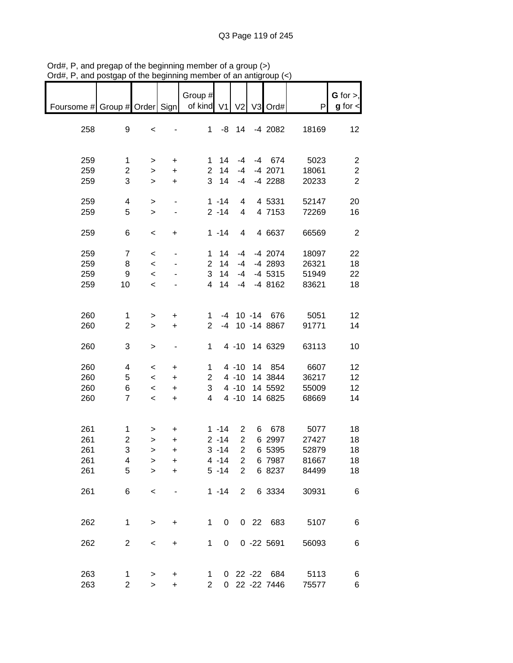| $\sim$ , and position incrediments |                     |                          |                          | ,,,,,,,             |              | an anny                 | oup (*                          |               |                      |
|------------------------------------|---------------------|--------------------------|--------------------------|---------------------|--------------|-------------------------|---------------------------------|---------------|----------------------|
|                                    |                     |                          |                          | Group #             |              |                         |                                 |               | G for $>$ ,          |
| Foursome # Group # Order Sign      |                     |                          |                          | of kind V1          |              |                         | V2 V3 Ord#                      | P             | $g$ for $\textsf{I}$ |
|                                    |                     |                          |                          |                     |              |                         |                                 |               |                      |
| 258                                | 9                   | $\,<$                    |                          | 1                   |              | $-8$ 14                 | -4 2082                         | 18169         | 12                   |
|                                    |                     |                          |                          |                     |              |                         |                                 |               |                      |
| 259                                | 1                   | $\, > \,$                | $\ddot{}$                | 1.                  | 14           | -4                      | $-4$ 674                        | 5023          | $\overline{c}$       |
| 259                                | 2                   | $\,$                     | $\ddot{}$                | $\overline{2}$      | 14           | $-4$                    | -4 2071                         | 18061         | $\boldsymbol{2}$     |
| 259                                | 3                   | $\geq$                   | $\color{red}{+}$         | $\mathbf{3}$        | 14           | $-4$                    | $-4$ 2288                       | 20233         | $\overline{2}$       |
|                                    |                     |                          |                          |                     |              |                         |                                 |               |                      |
| 259                                | 4                   | $\geq$                   |                          |                     | $1 - 14$     | 4                       | 4 5331                          | 52147         | 20                   |
| 259                                | 5                   | $\geq$                   |                          |                     | $2 - 14$     | $\overline{4}$          | 4 7153                          | 72269         | 16                   |
|                                    |                     |                          |                          |                     |              |                         |                                 |               |                      |
| 259                                | 6                   | $\,<$                    | +                        |                     | $1 - 14$     | $\overline{\mathbf{4}}$ | 4 6637                          | 66569         | $\overline{2}$       |
| 259                                | $\overline{7}$      | $\,<$                    |                          | $\mathbf 1$         | 14           | -4                      | -4 2074                         | 18097         | 22                   |
| 259                                | 8                   | $\prec$                  |                          | $\overline{2}$      | 14           | $-4$                    | -4 2893                         | 26321         | 18                   |
| 259                                | 9                   | $\prec$                  |                          | 3                   | 14           | $-4$                    | $-4$ 5315                       | 51949         | 22                   |
| 259                                | 10                  | $\,<\,$                  |                          | $\overline{4}$      | 14           | $-4$                    | $-48162$                        | 83621         | 18                   |
|                                    |                     |                          |                          |                     |              |                         |                                 |               |                      |
|                                    |                     |                          |                          |                     |              |                         |                                 |               |                      |
| 260<br>260                         | 1<br>$\overline{c}$ | >                        | $\ddot{}$                | 1<br>$\overline{2}$ |              |                         | -4 10 -14 676<br>-4 10 -14 8867 | 5051<br>91771 | 12                   |
|                                    |                     | $\, > \,$                | $\ddot{}$                |                     |              |                         |                                 |               | 14                   |
| 260                                | 3                   | $\, >$                   | $\overline{\phantom{a}}$ | 1                   |              |                         | 4 -10 14 6329                   | 63113         | 10                   |
|                                    |                     |                          |                          |                     |              |                         |                                 |               |                      |
| 260                                | 4                   | $\,<\,$                  | $\ddot{}$                | 1                   |              | $4 - 10$                | 14 854                          | 6607          | 12                   |
| 260                                | 5                   | $\,<$                    | $\ddot{}$                | $\overline{2}$      |              | $4 - 10$                | 14 3844                         | 36217         | 12                   |
| 260                                | 6                   | $\overline{\phantom{0}}$ | $\ddot{}$                | 3                   |              | $4 - 10$                | 14 5592                         | 55009         | 12                   |
| 260                                | $\overline{7}$      | $\overline{\phantom{a}}$ | $\ddot{}$                | 4                   |              | $4 - 10$                | 14 6825                         | 68669         | 14                   |
|                                    |                     |                          |                          |                     |              |                         |                                 |               |                      |
| 261                                | 1                   | >                        | +                        |                     | $1 - 14$     | 2                       | 6 678                           | 5077          | 18                   |
| 261                                | $\overline{c}$      | $\geq$                   | $\ddot{}$                |                     | $2 - 14$     | $\overline{2}$          | 6 2997                          | 27427         | 18                   |
| 261                                | 3                   | $\mathbf{I}$             | +                        |                     | $3 - 14$     | $\overline{a}$          | 6 5395                          | 52879         | 18                   |
| 261                                | 4                   | >                        | +                        |                     | $4 - 14$     | 2                       | 6 7987                          | 81667         | 18                   |
| 261                                | 5                   | $\geq$                   | $\ddot{}$                |                     | $5 - 14$     | $\overline{2}$          | 6 8237                          | 84499         | 18                   |
|                                    |                     |                          |                          |                     |              |                         |                                 |               |                      |
| 261                                | 6                   | $\,<$                    |                          |                     | $1 - 14$     | $\overline{2}$          | 6 3334                          | 30931         | 6                    |
|                                    |                     |                          |                          |                     |              |                         |                                 |               |                      |
|                                    |                     |                          |                          |                     |              |                         |                                 |               |                      |
| 262                                | 1                   | $\,>$                    | +                        | 1                   | 0            |                         | 0 22 683                        | 5107          | 6                    |
| 262                                | $\overline{c}$      |                          |                          | $\mathbf{1}$        | 0            |                         | $0 - 22 5691$                   | 56093         | 6                    |
|                                    |                     | $\,<$                    | $\ddot{}$                |                     |              |                         |                                 |               |                      |
|                                    |                     |                          |                          |                     |              |                         |                                 |               |                      |
| 263                                | 1                   | $\, >$                   | +                        | 1                   |              |                         | 0 22 -22 684                    | 5113          | 6                    |
| 263                                | 2                   | $\geq$                   | $\ddot{}$                | $\overline{2}$      | $\mathbf{0}$ |                         | 22 - 22 7446                    | 75577         | 6                    |

Ord#, P, and pregap of the beginning member of a group (>) Ord#, P, and postgap of the beginning member of an antigroup (<)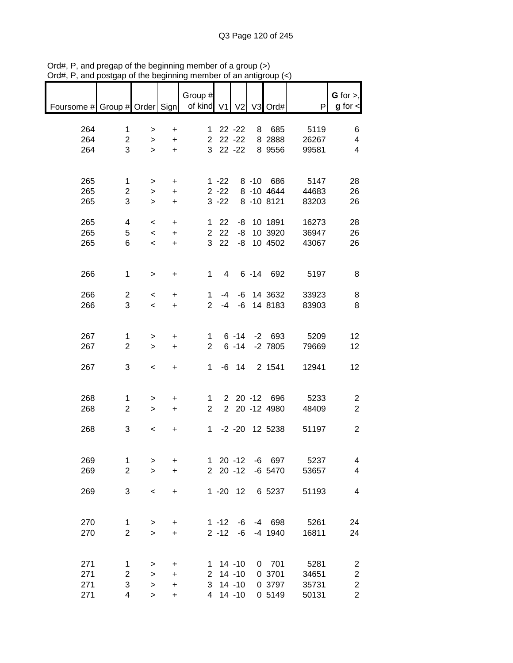| $71$ u $\pi,1$<br>ana         | vosiyap        | <b>VI THE DOUTHING</b>   |           |                       |                | vi an annyi    |                  |       |                                |
|-------------------------------|----------------|--------------------------|-----------|-----------------------|----------------|----------------|------------------|-------|--------------------------------|
| Foursome # Group # Order Sign |                |                          |           | Group #<br>of kind V1 |                | V <sub>2</sub> | V3 Ord#          | P     | $G$ for $>$ ,<br>$g$ for $\lt$ |
|                               |                |                          |           |                       |                |                |                  |       |                                |
| 264                           | $\mathbf 1$    | $\, > \,$                | $\ddot{}$ |                       |                | $122 -22$      | 8 685            | 5119  | 6                              |
| 264                           | $\overline{c}$ | $\geq$                   | $\ddot{}$ |                       |                | $22 - 22$      | 8 2888           | 26267 | 4                              |
| 264                           | 3              | $\geq$                   | $+$       |                       |                | 3 22 -22       | 8 9556           | 99581 | 4                              |
|                               |                |                          |           |                       |                |                |                  |       |                                |
| 265                           | $\mathbf{1}$   | $\geq$                   | $\ddot{}$ |                       | $1 - 22$       |                | 8 -10 686        | 5147  | 28                             |
| 265                           | $\overline{c}$ | $\geq$                   | $+$       |                       | $2 - 22$       |                | 8 -10 4644       | 44683 | 26                             |
| 265                           | 3              | $\mathbf{I}$             | $\ddot{}$ |                       | $3 - 22$       |                | 8 -10 8121       | 83203 | 26                             |
| 265                           | 4              | $\overline{\phantom{0}}$ | $\ddot{}$ |                       | $1 \quad 22$   |                | -8 10 1891       | 16273 | 28                             |
| 265                           | 5              | $\leq$                   | $\ddot{}$ |                       | 2 2 2          |                | -8 10 3920       | 36947 | 26                             |
| 265                           | 6              | $\overline{\phantom{a}}$ | $\ddot{}$ |                       | 3 22           |                | -8 10 4502       | 43067 | 26                             |
|                               |                |                          |           |                       |                |                |                  |       |                                |
| 266                           | $\mathbf{1}$   | $\,$                     | $\ddot{}$ |                       | $1 \quad$<br>4 |                | 6 -14 692        | 5197  | 8                              |
|                               |                |                          |           |                       |                |                |                  |       |                                |
| 266                           | $\overline{c}$ | $\overline{\phantom{0}}$ | $\ddot{}$ | $\mathbf 1$           | -4             |                | -6 14 3632       | 33923 | 8                              |
| 266                           | 3              | $\prec$                  | $+$       | $2^{\circ}$           | $-4$           |                | -6 14 8183       | 83903 | 8                              |
|                               |                |                          |           |                       |                |                |                  |       |                                |
| 267                           | 1              | $\, > \,$                | $\ddot{}$ |                       | $1 \quad$      |                | $6 - 14 - 2 693$ | 5209  | 12                             |
| 267                           | $\overline{2}$ | $\geq$                   | $\ddot{}$ | $\overline{2}$        |                | $6 - 14$       | $-2$ 7805        | 79669 | 12                             |
|                               |                |                          |           |                       |                |                |                  |       |                                |
| 267                           | 3              | $\,<$                    | $+$       |                       |                | $1 - 6$ 14     | 2 1541           | 12941 | 12                             |
|                               |                |                          |           |                       |                |                |                  |       |                                |
| 268                           | 1              | >                        | $\ddot{}$ | $1 \quad$             |                |                | 2 20 -12 696     | 5233  | 2                              |
| 268                           | $\overline{2}$ | $\geq$                   | $+$       | $2^{\circ}$           |                |                | 2 20 -12 4980    | 48409 | $\overline{2}$                 |
|                               |                |                          |           |                       |                |                |                  |       |                                |
| 268                           | 3              | $\overline{\phantom{0}}$ | $\ddot{}$ |                       |                |                | 1 -2 -20 12 5238 | 51197 | $\overline{c}$                 |
|                               |                |                          |           |                       |                |                |                  |       |                                |
| 269                           | 1              | >                        | +         |                       |                | $120 - 12$     | -6 697           | 5237  | 4                              |
| 269                           | $\overline{c}$ | $\geq$                   | +         |                       |                | $220 - 12$     | $-6$ 5470        | 53657 | 4                              |
|                               |                |                          |           |                       |                |                |                  |       |                                |
| 269                           | 3              | $\,<$                    | $\ddot{}$ |                       |                | $1 - 20$ 12    | 6 5237           | 51193 | 4                              |
|                               |                |                          |           |                       |                |                |                  |       |                                |
| 270                           | $\mathbf 1$    | $\, > \,$                | +         |                       | $1 - 12$       | -6             | -4 698           | 5261  | 24                             |
| 270                           | $\overline{c}$ | $\mathbf{I}$             | $\ddot{}$ |                       | $2 - 12$       | -6             | -4 1940          | 16811 | 24                             |
|                               |                |                          |           |                       |                |                |                  |       |                                |
| 271                           | 1              | >                        | +         |                       | $1 14 - 10$    |                | $0$ 701          | 5281  | 2                              |
| 271                           | $\overline{c}$ | $\, > \,$                | $\ddot{}$ |                       | $2$ 14 -10     |                | 0 3701           | 34651 | $\overline{\mathbf{c}}$        |
| 271                           | 3              | $\,$                     | $\ddot{}$ | 3                     |                | $14 - 10$      | 0 3797           | 35731 | $\sqrt{2}$                     |
| 271                           | 4              | $\mathbf{I}$             | $\ddot{}$ | 4                     |                | $14 - 10$      | 0 5149           | 50131 | $\overline{2}$                 |
|                               |                |                          |           |                       |                |                |                  |       |                                |

Ord#, P, and pregap of the beginning member of a group (>) Ord#, P, and postgap of the beginning member of an antigroup (<)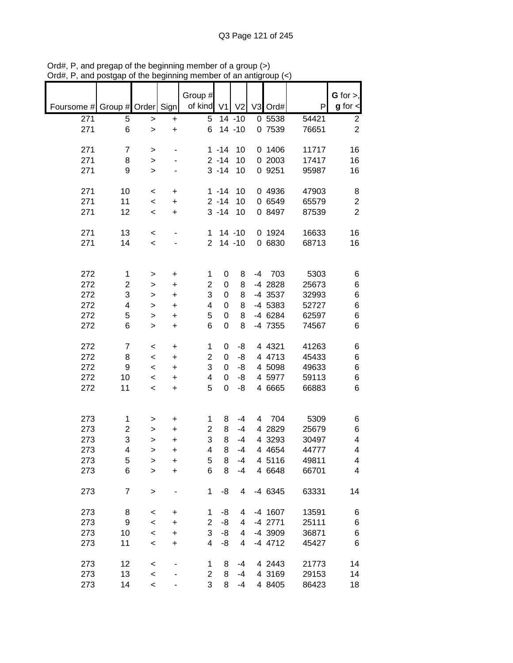|                          |                         |                  |                        | Group #        |                      |                |      |                   |                | $G$ for $>$ ,                      |
|--------------------------|-------------------------|------------------|------------------------|----------------|----------------------|----------------|------|-------------------|----------------|------------------------------------|
| Foursome # Group # Order |                         |                  | Sign                   | of kind        | V <sub>1</sub>       | V <sub>2</sub> |      | V3 Ord#           | P              | $g$ for $\textsf{I}$               |
| 271                      | 5                       | >                | +                      | 5              |                      | $14 - 10$      |      | 0 5538            | 54421          | $\overline{c}$                     |
| 271                      | 6                       | $\geq$           | $\ddot{}$              | 6              |                      | $14 - 10$      |      | 0 7539            | 76651          | $\overline{c}$                     |
| 271                      | $\overline{7}$          | $\, > \,$        |                        |                | $1 - 14$             | 10             |      | 0 1406            | 11717          | 16                                 |
| 271                      | 8                       | $\, > \,$        |                        |                | $2 - 14$             | 10             |      | 0 2003            | 17417          | 16                                 |
| 271                      | 9                       | $\geq$           |                        |                | $3 - 14$             | 10             |      | 0 9251            | 95987          | 16                                 |
|                          |                         |                  |                        |                |                      |                |      |                   |                |                                    |
| 271<br>271               | 10<br>11                | $\,<$            | +                      |                | $1 - 14$<br>$2 - 14$ | 10             |      | 0 4936<br>0 6549  | 47903          | 8                                  |
| 271                      | 12                      | $\,<$<br>$\prec$ | $\ddot{}$<br>$\ddot{}$ |                | $3 - 14$             | 10<br>10       |      | 0 8497            | 65579<br>87539 | $\boldsymbol{2}$<br>$\overline{2}$ |
|                          |                         |                  |                        |                |                      |                |      |                   |                |                                    |
| 271                      | 13                      | $\,<$            | ٠                      | 1              |                      | $14 - 10$      |      | 0 1924            | 16633          | 16                                 |
| 271                      | 14                      | $\,<$            |                        | $\overline{2}$ |                      | $14 - 10$      |      | 0 6830            | 68713          | 16                                 |
|                          |                         |                  |                        |                |                      |                |      |                   |                |                                    |
| 272                      | 1                       | $\, > \,$        | $\ddot{}$              | 1              | 0                    | 8              | $-4$ | 703               | 5303           | 6                                  |
| 272                      | $\overline{\mathbf{c}}$ | >                | +                      | $\overline{2}$ | 0                    | 8              |      | -4 2828           | 25673          | 6                                  |
| 272                      | 3                       | >                | $\ddot{}$              | 3              | 0                    | 8              |      | -4 3537           | 32993          | 6                                  |
| 272                      | 4                       | >                | $\ddot{}$              | 4              | 0                    | 8              |      | -4 5383           | 52727          | $\,6$                              |
| 272                      | 5                       | >                | $\ddot{}$              | 5              | 0                    | 8              |      | -4 6284           | 62597          | $\,6$                              |
| 272                      | 6                       | $\geq$           | $\ddot{}$              | 6              | 0                    | 8              |      | -4 7355           | 74567          | 6                                  |
| 272                      | $\overline{7}$          | $\,<$            | $\ddot{}$              | 1              | 0                    | -8             |      | 4 4 3 2 1         | 41263          | 6                                  |
| 272                      | 8                       | $\,<$            | +                      | $\overline{c}$ | 0                    | -8             |      | 4 4713            | 45433          | 6                                  |
| 272                      | 9                       | $\,<$            | +                      | 3              | 0                    | -8             |      | 4 5098            | 49633          | $\,6$                              |
| 272                      | 10                      | $\,<$            | +                      | 4              | 0                    | -8             |      | 4 5977            | 59113          | 6                                  |
| 272                      | 11                      | $\,<$            | +                      | 5              | 0                    | -8             |      | 4 6665            | 66883          | 6                                  |
|                          |                         |                  |                        |                |                      |                |      |                   |                |                                    |
| 273                      | 1                       | >                | +                      | 1              | 8                    | $-4$           | 4    | 704               | 5309           | 6                                  |
| 273                      | $\overline{c}$          | >                | +                      | $\overline{c}$ | 8                    | $-4$           |      | 4 2829            | 25679          | 6                                  |
| 273<br>273               | 3<br>4                  | >                | $\ddot{}$<br>+         | 3<br>4         | 8<br>8               | $-4$<br>$-4$   | 4    | 3293<br>4 4 6 5 4 | 30497<br>44777 | 4<br>4                             |
| 273                      | 5                       | ><br>>           | +                      | 5              | 8                    | $-4$           |      | 4 5116            | 49811          | 4                                  |
| 273                      | 6                       | $\geq$           | $\ddot{}$              | 6              | 8                    | $-4$           |      | 4 6648            | 66701          | 4                                  |
|                          |                         |                  |                        |                |                      |                |      |                   |                |                                    |
| 273                      | $\overline{7}$          | $\,$             |                        | 1              | -8                   | 4              |      | -4 6345           | 63331          | 14                                 |
| 273                      | 8                       | $\,<\,$          | +                      | 1              | -8                   | 4              |      | -4 1607           | 13591          | 6                                  |
| 273                      | 9                       | $\prec$          | +                      | 2              | -8                   | 4              |      | -4 2771           | 25111          | 6                                  |
| 273                      | 10                      | $\prec$          | +                      | 3              | -8                   | 4              |      | -4 3909           | 36871          | 6                                  |
| 273                      | 11                      | $\,<$            | $\ddot{}$              | 4              | -8                   | 4              |      | $-4$ 4712         | 45427          | 6                                  |
| 273                      | 12                      | $\,<$            |                        | 1              | 8                    | -4             |      | 4 2443            | 21773          | 14                                 |
| 273                      | 13                      | $\prec$          |                        | $\overline{c}$ | 8                    | -4             |      | 4 3169            | 29153          | 14                                 |
| 273                      | 14                      | $\,<$            |                        | 3              | 8                    | -4             |      | 4 8405            | 86423          | 18                                 |

Ord#, P, and pregap of the beginning member of a group (>) Ord#, P, and postgap of the beginning member of an antigroup (<)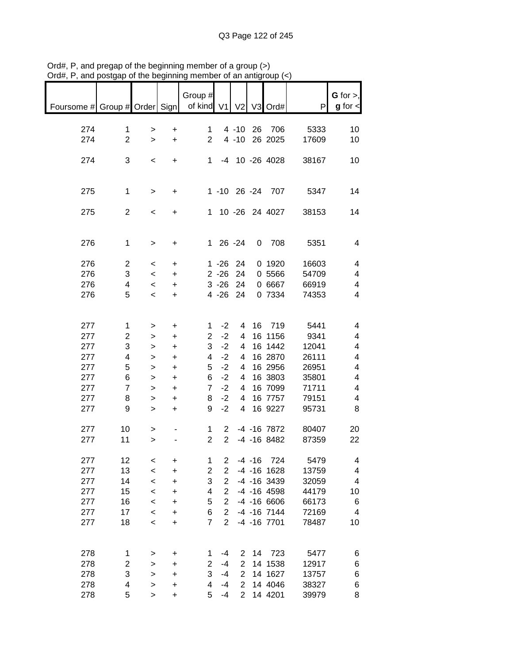| of kind V1<br>$g$ for $\lt$<br>Foursome # Group # Order Sign<br>V <sub>2</sub><br>V3 Ord#<br>P<br>$4 - 10$<br>26 706<br>5333<br>274<br>$\mathbf 1$<br>1<br>10<br>+<br>><br>$\overline{2}$<br>$\overline{2}$<br>$4 - 10$<br>26 2025<br>17609<br>274<br>10<br>$\ddot{}$<br>$\geq$<br>3<br>-4 10 -26 4028<br>274<br>$1 \quad$<br>38167<br>10<br>$\,<\,$<br>$\ddot{}$<br>1 -10 26 -24 707<br>275<br>$\mathbf 1$<br>5347<br>14<br>+<br>$\, > \,$<br>$\overline{2}$<br>1 10 -26 24 4027<br>275<br>38153<br>14<br>$\,<\,$<br>+<br>1 26 -24<br>$0$ 708<br>276<br>$\mathbf 1$<br>5351<br>4<br>+<br>$\, > \,$<br>$\overline{2}$<br>276<br>$1 - 26$<br>24<br>0 1920<br>16603<br>4<br>$\ddot{}$<br>$\,<\,$<br>3<br>276<br>$2 - 26$<br>24<br>0 5566<br>54709<br>4<br>$\,<\,$<br>$\ddot{}$<br>$3 - 26$<br>24<br>0 6667<br>276<br>4<br>66919<br>4<br>$\ddot{}$<br>$\,<\,$<br>5<br>276<br>$4 - 26$<br>24<br>0 7334<br>74353<br>4<br>$\overline{\phantom{a}}$<br>$\ddot{}$<br>16 719<br>5441<br>277<br>$-2$<br>1<br>1<br>4<br>4<br>$\ddot{}$<br>><br>$\overline{c}$<br>$-2$<br>277<br>16 1156<br>9341<br>$\overline{2}$<br>4<br>4<br>+<br>><br>277<br>3<br>$-2$<br>16 1442<br>12041<br>3<br>4<br>4<br>><br>$\ddot{}$<br>277<br>$-2$<br>4<br>16 2870<br>26111<br>4<br>4<br>4<br>$\ddot{}$<br>><br>277<br>5<br>$-2$<br>16 2956<br>26951<br>5<br>4<br>4<br>$\ddot{}$<br>><br>277<br>$-2$<br>16 3803<br>35801<br>6<br>6<br>4<br>4<br>$\geq$<br>$\ddot{}$ |
|-------------------------------------------------------------------------------------------------------------------------------------------------------------------------------------------------------------------------------------------------------------------------------------------------------------------------------------------------------------------------------------------------------------------------------------------------------------------------------------------------------------------------------------------------------------------------------------------------------------------------------------------------------------------------------------------------------------------------------------------------------------------------------------------------------------------------------------------------------------------------------------------------------------------------------------------------------------------------------------------------------------------------------------------------------------------------------------------------------------------------------------------------------------------------------------------------------------------------------------------------------------------------------------------------------------------------------------------------------------------------------------------------------------------------------------|
|                                                                                                                                                                                                                                                                                                                                                                                                                                                                                                                                                                                                                                                                                                                                                                                                                                                                                                                                                                                                                                                                                                                                                                                                                                                                                                                                                                                                                                     |
|                                                                                                                                                                                                                                                                                                                                                                                                                                                                                                                                                                                                                                                                                                                                                                                                                                                                                                                                                                                                                                                                                                                                                                                                                                                                                                                                                                                                                                     |
|                                                                                                                                                                                                                                                                                                                                                                                                                                                                                                                                                                                                                                                                                                                                                                                                                                                                                                                                                                                                                                                                                                                                                                                                                                                                                                                                                                                                                                     |
|                                                                                                                                                                                                                                                                                                                                                                                                                                                                                                                                                                                                                                                                                                                                                                                                                                                                                                                                                                                                                                                                                                                                                                                                                                                                                                                                                                                                                                     |
|                                                                                                                                                                                                                                                                                                                                                                                                                                                                                                                                                                                                                                                                                                                                                                                                                                                                                                                                                                                                                                                                                                                                                                                                                                                                                                                                                                                                                                     |
|                                                                                                                                                                                                                                                                                                                                                                                                                                                                                                                                                                                                                                                                                                                                                                                                                                                                                                                                                                                                                                                                                                                                                                                                                                                                                                                                                                                                                                     |
|                                                                                                                                                                                                                                                                                                                                                                                                                                                                                                                                                                                                                                                                                                                                                                                                                                                                                                                                                                                                                                                                                                                                                                                                                                                                                                                                                                                                                                     |
|                                                                                                                                                                                                                                                                                                                                                                                                                                                                                                                                                                                                                                                                                                                                                                                                                                                                                                                                                                                                                                                                                                                                                                                                                                                                                                                                                                                                                                     |
|                                                                                                                                                                                                                                                                                                                                                                                                                                                                                                                                                                                                                                                                                                                                                                                                                                                                                                                                                                                                                                                                                                                                                                                                                                                                                                                                                                                                                                     |
|                                                                                                                                                                                                                                                                                                                                                                                                                                                                                                                                                                                                                                                                                                                                                                                                                                                                                                                                                                                                                                                                                                                                                                                                                                                                                                                                                                                                                                     |
|                                                                                                                                                                                                                                                                                                                                                                                                                                                                                                                                                                                                                                                                                                                                                                                                                                                                                                                                                                                                                                                                                                                                                                                                                                                                                                                                                                                                                                     |
|                                                                                                                                                                                                                                                                                                                                                                                                                                                                                                                                                                                                                                                                                                                                                                                                                                                                                                                                                                                                                                                                                                                                                                                                                                                                                                                                                                                                                                     |
|                                                                                                                                                                                                                                                                                                                                                                                                                                                                                                                                                                                                                                                                                                                                                                                                                                                                                                                                                                                                                                                                                                                                                                                                                                                                                                                                                                                                                                     |
|                                                                                                                                                                                                                                                                                                                                                                                                                                                                                                                                                                                                                                                                                                                                                                                                                                                                                                                                                                                                                                                                                                                                                                                                                                                                                                                                                                                                                                     |
|                                                                                                                                                                                                                                                                                                                                                                                                                                                                                                                                                                                                                                                                                                                                                                                                                                                                                                                                                                                                                                                                                                                                                                                                                                                                                                                                                                                                                                     |
|                                                                                                                                                                                                                                                                                                                                                                                                                                                                                                                                                                                                                                                                                                                                                                                                                                                                                                                                                                                                                                                                                                                                                                                                                                                                                                                                                                                                                                     |
|                                                                                                                                                                                                                                                                                                                                                                                                                                                                                                                                                                                                                                                                                                                                                                                                                                                                                                                                                                                                                                                                                                                                                                                                                                                                                                                                                                                                                                     |
|                                                                                                                                                                                                                                                                                                                                                                                                                                                                                                                                                                                                                                                                                                                                                                                                                                                                                                                                                                                                                                                                                                                                                                                                                                                                                                                                                                                                                                     |
|                                                                                                                                                                                                                                                                                                                                                                                                                                                                                                                                                                                                                                                                                                                                                                                                                                                                                                                                                                                                                                                                                                                                                                                                                                                                                                                                                                                                                                     |
|                                                                                                                                                                                                                                                                                                                                                                                                                                                                                                                                                                                                                                                                                                                                                                                                                                                                                                                                                                                                                                                                                                                                                                                                                                                                                                                                                                                                                                     |
|                                                                                                                                                                                                                                                                                                                                                                                                                                                                                                                                                                                                                                                                                                                                                                                                                                                                                                                                                                                                                                                                                                                                                                                                                                                                                                                                                                                                                                     |
|                                                                                                                                                                                                                                                                                                                                                                                                                                                                                                                                                                                                                                                                                                                                                                                                                                                                                                                                                                                                                                                                                                                                                                                                                                                                                                                                                                                                                                     |
|                                                                                                                                                                                                                                                                                                                                                                                                                                                                                                                                                                                                                                                                                                                                                                                                                                                                                                                                                                                                                                                                                                                                                                                                                                                                                                                                                                                                                                     |
|                                                                                                                                                                                                                                                                                                                                                                                                                                                                                                                                                                                                                                                                                                                                                                                                                                                                                                                                                                                                                                                                                                                                                                                                                                                                                                                                                                                                                                     |
|                                                                                                                                                                                                                                                                                                                                                                                                                                                                                                                                                                                                                                                                                                                                                                                                                                                                                                                                                                                                                                                                                                                                                                                                                                                                                                                                                                                                                                     |
|                                                                                                                                                                                                                                                                                                                                                                                                                                                                                                                                                                                                                                                                                                                                                                                                                                                                                                                                                                                                                                                                                                                                                                                                                                                                                                                                                                                                                                     |
|                                                                                                                                                                                                                                                                                                                                                                                                                                                                                                                                                                                                                                                                                                                                                                                                                                                                                                                                                                                                                                                                                                                                                                                                                                                                                                                                                                                                                                     |
| 277<br>$\overline{7}$<br>$-2$<br>16 7099<br>71711<br>$\overline{7}$<br>4<br>4<br>$\geq$<br>$\ddot{}$                                                                                                                                                                                                                                                                                                                                                                                                                                                                                                                                                                                                                                                                                                                                                                                                                                                                                                                                                                                                                                                                                                                                                                                                                                                                                                                                |
| 277<br>$-2$<br>16 7757<br>8<br>8<br>4<br>79151<br>4<br>$\geq$<br>+                                                                                                                                                                                                                                                                                                                                                                                                                                                                                                                                                                                                                                                                                                                                                                                                                                                                                                                                                                                                                                                                                                                                                                                                                                                                                                                                                                  |
| 16 9227<br>277<br>9<br>9<br>$-2$<br>4<br>95731<br>8<br>$\,>$<br>+                                                                                                                                                                                                                                                                                                                                                                                                                                                                                                                                                                                                                                                                                                                                                                                                                                                                                                                                                                                                                                                                                                                                                                                                                                                                                                                                                                   |
|                                                                                                                                                                                                                                                                                                                                                                                                                                                                                                                                                                                                                                                                                                                                                                                                                                                                                                                                                                                                                                                                                                                                                                                                                                                                                                                                                                                                                                     |
| -4 -16 7872<br>277<br>10<br>80407<br>1<br>2<br>20<br>><br>2 <sup>1</sup>                                                                                                                                                                                                                                                                                                                                                                                                                                                                                                                                                                                                                                                                                                                                                                                                                                                                                                                                                                                                                                                                                                                                                                                                                                                                                                                                                            |
| $\overline{2}$<br>$-4$ $-16$ 8482<br>87359<br>277<br>11<br>22<br>$\geq$                                                                                                                                                                                                                                                                                                                                                                                                                                                                                                                                                                                                                                                                                                                                                                                                                                                                                                                                                                                                                                                                                                                                                                                                                                                                                                                                                             |
|                                                                                                                                                                                                                                                                                                                                                                                                                                                                                                                                                                                                                                                                                                                                                                                                                                                                                                                                                                                                                                                                                                                                                                                                                                                                                                                                                                                                                                     |
| 1<br>$\overline{2}$<br>$-4 - 16$<br>724<br>5479<br>277<br>12<br>4<br>+<br><<br>$\overline{2}$                                                                                                                                                                                                                                                                                                                                                                                                                                                                                                                                                                                                                                                                                                                                                                                                                                                                                                                                                                                                                                                                                                                                                                                                                                                                                                                                       |
| 277<br>13<br>2<br>$-4$ $-16$ $1628$<br>13759<br>4<br>$\prec$<br>$\ddot{}$                                                                                                                                                                                                                                                                                                                                                                                                                                                                                                                                                                                                                                                                                                                                                                                                                                                                                                                                                                                                                                                                                                                                                                                                                                                                                                                                                           |
| 277<br>3<br>$\overline{2}$<br>$-4$ $-16$ 3439<br>$\overline{\mathbf{4}}$<br>14<br>32059<br>$\prec$<br>$\ddot{}$                                                                                                                                                                                                                                                                                                                                                                                                                                                                                                                                                                                                                                                                                                                                                                                                                                                                                                                                                                                                                                                                                                                                                                                                                                                                                                                     |
| 277<br>$\overline{2}$<br>$-4$ $-16$ $4598$<br>15<br>4<br>44179<br>10<br>$\prec$<br>+                                                                                                                                                                                                                                                                                                                                                                                                                                                                                                                                                                                                                                                                                                                                                                                                                                                                                                                                                                                                                                                                                                                                                                                                                                                                                                                                                |
| 277<br>16<br>5<br>$\overline{2}$<br>$-4$ $-16$ 6606<br>66173<br>6<br>$\prec$<br>+                                                                                                                                                                                                                                                                                                                                                                                                                                                                                                                                                                                                                                                                                                                                                                                                                                                                                                                                                                                                                                                                                                                                                                                                                                                                                                                                                   |
| 277<br>17<br>$-4$ $-16$ $7144$<br>6<br>$\overline{2}$<br>72169<br>4<br>$\prec$<br>+                                                                                                                                                                                                                                                                                                                                                                                                                                                                                                                                                                                                                                                                                                                                                                                                                                                                                                                                                                                                                                                                                                                                                                                                                                                                                                                                                 |
| 277<br>$\overline{7}$<br>$\overline{2}$<br>18<br>-4 -16 7701<br>78487<br>10<br>$\prec$<br>+                                                                                                                                                                                                                                                                                                                                                                                                                                                                                                                                                                                                                                                                                                                                                                                                                                                                                                                                                                                                                                                                                                                                                                                                                                                                                                                                         |
|                                                                                                                                                                                                                                                                                                                                                                                                                                                                                                                                                                                                                                                                                                                                                                                                                                                                                                                                                                                                                                                                                                                                                                                                                                                                                                                                                                                                                                     |
|                                                                                                                                                                                                                                                                                                                                                                                                                                                                                                                                                                                                                                                                                                                                                                                                                                                                                                                                                                                                                                                                                                                                                                                                                                                                                                                                                                                                                                     |
| 278<br>5477<br>723<br>-4<br>$\overline{2}$<br>14<br>6<br>1<br>1<br>+<br>>                                                                                                                                                                                                                                                                                                                                                                                                                                                                                                                                                                                                                                                                                                                                                                                                                                                                                                                                                                                                                                                                                                                                                                                                                                                                                                                                                           |
| 278<br>$\overline{\mathbf{c}}$<br>2<br>14 1538<br>12917<br>2<br>-4<br>6<br>><br>+<br>$\overline{2}$                                                                                                                                                                                                                                                                                                                                                                                                                                                                                                                                                                                                                                                                                                                                                                                                                                                                                                                                                                                                                                                                                                                                                                                                                                                                                                                                 |
| 3<br>3<br>278<br>$-4$<br>14 1627<br>6<br>13757<br>$\geq$<br>+<br>$\overline{2}$<br>278<br>4<br>4<br>$-4$<br>14 4046<br>38327                                                                                                                                                                                                                                                                                                                                                                                                                                                                                                                                                                                                                                                                                                                                                                                                                                                                                                                                                                                                                                                                                                                                                                                                                                                                                                        |
| 6<br>$\mathbf{I}$<br>$\ddot{}$<br>5<br>$\overline{2}$<br>5<br>$-4$<br>14 4201<br>8<br>278<br>39979<br>$\,$<br>$\ddot{}$                                                                                                                                                                                                                                                                                                                                                                                                                                                                                                                                                                                                                                                                                                                                                                                                                                                                                                                                                                                                                                                                                                                                                                                                                                                                                                             |

Ord#, P, and pregap of the beginning member of a group (>) Ord#, P, and postgap of the beginning member of an antigroup (<)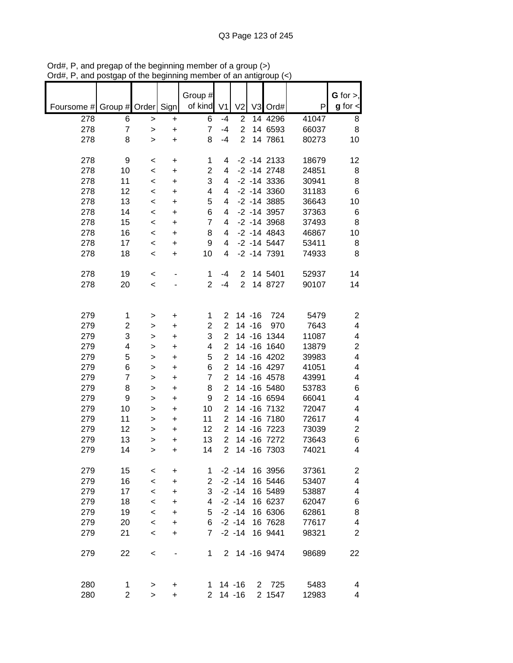|                          |                |                          |           | Group #        |                |                |              |                   |       | G for $>$ ,             |
|--------------------------|----------------|--------------------------|-----------|----------------|----------------|----------------|--------------|-------------------|-------|-------------------------|
| Foursome # Group # Order |                |                          | Sign      | of kind        | V <sub>1</sub> | V <sub>2</sub> |              | V3 Ord#           | P     | $g$ for $\lt$           |
| 278                      | 6              | >                        | +         | 6              | $-4$           | $\overline{2}$ |              | 14 4296           | 41047 | 8                       |
| 278                      | $\overline{7}$ | $\, > \,$                | +         | $\overline{7}$ | $-4$           | $\overline{2}$ |              | 14 6593           | 66037 | 8                       |
| 278                      | 8              | $\geq$                   | +         | 8              | $-4$           | $\overline{2}$ |              | 14 7861           | 80273 | 10                      |
|                          |                |                          |           |                |                |                |              |                   |       |                         |
| 278                      | 9              | $\,<$                    | $\ddot{}$ | 1              | 4              |                |              | $-2$ $-14$ 2133   | 18679 | 12                      |
| 278                      | 10             | $\,<$                    | $\ddot{}$ | 2              | 4              |                |              | $-2 - 14$ 2748    | 24851 | 8                       |
| 278                      | 11             |                          |           | 3              | 4              |                |              | $-2$ $-14$ 3336   | 30941 | 8                       |
| 278                      | 12             | $\prec$                  | +         | 4              | 4              |                |              | $-2$ $-14$ 3360   | 31183 | 6                       |
| 278                      | 13             | $\,<$                    | +         | 5              |                |                |              |                   |       |                         |
|                          |                | $\,<$                    | +         |                | 4              |                |              | $-2$ $-14$ 3885   | 36643 | 10                      |
| 278                      | 14             | $\,<$                    | +         | 6              | 4              |                |              | $-2 - 14$ 3957    | 37363 | 6                       |
| 278                      | 15             | $\,<\,$                  | +         | 7              | 4              |                |              | $-2$ $-14$ 3968   | 37493 | 8                       |
| 278                      | 16             | $\,<\,$                  | $\ddot{}$ | 8              | 4              |                |              | $-2 - 14$ 4843    | 46867 | 10                      |
| 278                      | 17             | $\,<$                    | $\ddot{}$ | 9              | 4              |                |              | $-2 - 14$ 5447    | 53411 | 8                       |
| 278                      | 18             | $\,<$                    | $\ddot{}$ | 10             | 4              |                |              | $-2$ $-14$ $7391$ | 74933 | 8                       |
|                          |                |                          |           |                |                |                |              |                   |       |                         |
| 278                      | 19             | $\,<$                    |           | 1              | $-4$           | 2              |              | 14 5401           | 52937 | 14                      |
| 278                      | 20             | $\,<\,$                  |           | $\overline{2}$ | $-4$           | $\overline{2}$ |              | 14 8727           | 90107 | 14                      |
|                          |                |                          |           |                |                |                |              |                   |       |                         |
|                          |                |                          |           |                |                |                |              |                   |       |                         |
| 279                      | 1              | >                        | +         | 1              | $\overline{2}$ |                | $14 - 16$    | 724               | 5479  | 2                       |
| 279                      | $\overline{c}$ | >                        | $\ddot{}$ | $\overline{c}$ | $\overline{2}$ |                | $14 - 16$    | 970               | 7643  | $\overline{\mathbf{4}}$ |
| 279                      | 3              | >                        | $\ddot{}$ | 3              | $\overline{2}$ |                |              | 14 -16 1344       | 11087 | 4                       |
| 279                      | 4              | >                        | $\ddot{}$ | 4              | $\overline{2}$ |                |              | 14 -16 1640       | 13879 | $\overline{c}$          |
| 279                      | 5              | >                        | $\ddot{}$ | 5              | $\overline{c}$ |                |              | 14 -16 4202       | 39983 | 4                       |
| 279                      | 6              | >                        | $\ddot{}$ | 6              | $\overline{2}$ |                |              | 14 -16 4297       | 41051 | 4                       |
| 279                      | $\overline{7}$ | >                        | +         | $\overline{7}$ | $\overline{2}$ |                |              | 14 -16 4578       | 43991 | 4                       |
| 279                      | 8              | >                        | +         | 8              | $\overline{2}$ |                |              | 14 -16 5480       | 53783 | 6                       |
| 279                      | 9              | >                        | +         | 9              | $\overline{2}$ |                |              | 14 - 16 6594      | 66041 | 4                       |
| 279                      | 10             | >                        | +         | 10             | $\overline{2}$ |                |              | 14 - 16 7132      | 72047 | 4                       |
| 279                      | 11             |                          | +         | 11             | $\overline{2}$ |                |              | 14 - 16 7180      | 72617 | 4                       |
|                          | 12             | >                        |           |                | $\overline{2}$ |                |              |                   |       |                         |
| 279                      |                | $\geq$                   | +         | 12             |                |                |              | 14 - 16 7223      | 73039 | $\overline{c}$          |
| 279                      | 13             | >                        | +         | 13             | $\overline{2}$ |                |              | 14 - 16 7272      | 73643 | 6                       |
| 279                      | 14             | >                        | $\ddot{}$ | 14             | $\overline{2}$ |                |              | 14 - 16 7303      | 74021 | 4                       |
|                          |                |                          |           |                |                |                |              |                   |       |                         |
| 279                      | 15             | $\,<\,$                  | +         | 1              |                | $-2 - 14$      |              | 16 3956           | 37361 | 2                       |
| 279                      | 16             | $\overline{\phantom{a}}$ | $\ddot{}$ | $\overline{2}$ |                | $-2 - 14$      |              | 16 5446           | 53407 | 4                       |
| 279                      | 17             | $\,<\,$                  | $\ddot{}$ | 3              |                | $-2 - 14$      |              | 16 5489           | 53887 | 4                       |
| 279                      | 18             | $\,<$                    | $\ddot{}$ | 4              |                | $-2 - 14$      |              | 16 6237           | 62047 | 6                       |
| 279                      | 19             | $\overline{\phantom{a}}$ | +         | 5              |                | $-2 - 14$      |              | 16 6306           | 62861 | 8                       |
| 279                      | 20             | $\overline{\phantom{0}}$ | +         | 6              |                | $-2 - 14$      |              | 16 7628           | 77617 | 4                       |
| 279                      | 21             | $\,<\,$                  | +         | $\overline{7}$ |                | $-2 - 14$      |              | 16 9441           | 98321 | $\overline{2}$          |
|                          |                |                          |           |                |                |                |              |                   |       |                         |
| 279                      | 22             | $\,<$                    |           | 1              |                |                |              | 2 14 -16 9474     | 98689 | 22                      |
|                          |                |                          |           |                |                |                |              |                   |       |                         |
|                          |                |                          |           |                |                |                |              |                   |       |                         |
| 280                      | 1              | >                        | +         | 1              |                | 14 - 16        | $\mathbf{2}$ | 725               | 5483  | 4                       |
| 280                      | $\overline{2}$ | $\geq$                   | +         | 2              |                | $14 - 16$      |              | 2 1547            | 12983 | 4                       |

Ord#, P, and pregap of the beginning member of a group (>) Ord#, P, and postgap of the beginning member of an antigroup (<)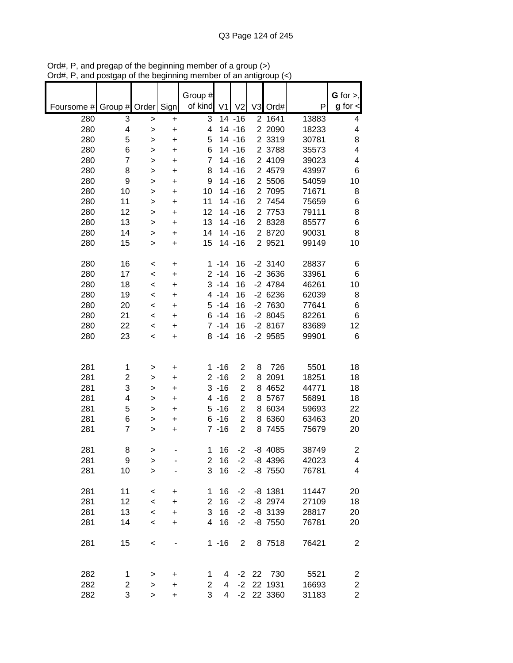|            |                         |              |           | Group #        |                |                |                |            |       | G for $>$ ,             |
|------------|-------------------------|--------------|-----------|----------------|----------------|----------------|----------------|------------|-------|-------------------------|
| Foursome # | Group # Order           |              | Sign      | of kind        | V <sub>1</sub> | V <sub>2</sub> | V <sub>3</sub> | Ord#       | P     | $g$ for $\lt$           |
| 280        | 3                       | >            | +         | 3              |                | $14 - 16$      | $\overline{2}$ | 1641       | 13883 | 4                       |
| 280        | 4                       | $\mathbf{I}$ | +         | 4              |                | $14 - 16$      |                | 2 2090     | 18233 | 4                       |
| 280        | 5                       | >            | +         | 5              |                | $14 - 16$      |                | 2 3319     | 30781 | 8                       |
| 280        | 6                       | >            | +         | 6              |                | $14 - 16$      |                | 2 3788     | 35573 | $\overline{\mathbf{4}}$ |
| 280        | $\overline{7}$          | >            | +         | 7              |                | $14 - 16$      |                | 2 4109     | 39023 | $\overline{\mathbf{4}}$ |
| 280        | 8                       | >            | $\ddot{}$ | 8              |                | $14 - 16$      |                | 2 4579     | 43997 | 6                       |
| 280        | 9                       | >            | +         | 9              |                | $14 - 16$      |                | 2 5506     | 54059 | 10                      |
| 280        | 10                      | $\geq$       | +         | 10             |                | 14 - 16        |                | 2 7095     | 71671 | 8                       |
| 280        | 11                      | >            | +         | 11             |                | $14 - 16$      | $\overline{2}$ | 7454       | 75659 | 6                       |
| 280        | 12                      | >            | $\ddot{}$ | 12             |                | $14 - 16$      |                | 2 7753     | 79111 | 8                       |
| 280        | 13                      | >            | +         | 13             |                | $14 - 16$      |                | 2 8328     | 85577 | 6                       |
| 280        | 14                      | >            | +         | 14             |                | $14 - 16$      |                | 2 8720     | 90031 | 8                       |
| 280        | 15                      | >            | +         | 15             |                | $14 - 16$      |                | 2 9521     | 99149 | 10                      |
| 280        | 16                      | $\,<$        | +         |                | $1 - 14$       | 16             |                | $-2$ 3140  | 28837 | 6                       |
| 280        | 17                      | $\,<$        | +         |                | $2 - 14$       | 16             |                | $-2$ 3636  | 33961 | 6                       |
| 280        | 18                      | $\,<$        | +         |                | $3 - 14$       | 16             |                | $-2$ 4784  | 46261 | 10                      |
| 280        | 19                      | $\,<$        | +         |                | $4 - 14$       | 16             |                | $-26236$   | 62039 | 8                       |
| 280        | 20                      | $\,<$        | +         |                | $5 - 14$       | 16             |                | -2 7630    | 77641 | 6                       |
| 280        | 21                      | $\,<$        | +         |                | $6 - 14$       | 16             |                | $-28045$   | 82261 | 6                       |
| 280        | 22                      | $\,<$        | +         |                | $7 - 14$       | 16             |                | $-28167$   | 83689 | 12                      |
| 280        | 23                      | $\,<\,$      | +         |                | $8 - 14$       | 16             |                | $-2$ 9585  | 99901 | 6                       |
|            |                         |              |           |                |                |                |                |            |       |                         |
| 281        | 1                       | >            | +         |                | $1 - 16$       | $\overline{2}$ | 8              | 726        | 5501  | 18                      |
| 281        | $\overline{\mathbf{c}}$ | >            | +         |                | $2 - 16$       | $\overline{c}$ | 8              | 2091       | 18251 | 18                      |
| 281        | 3                       | >            | +         |                | $3 - 16$       | $\overline{2}$ | 8              | 4652       | 44771 | 18                      |
| 281        | 4                       | >            | +         |                | $4 - 16$       | $\overline{2}$ | 8              | 5767       | 56891 | 18                      |
| 281        | 5                       | >            | +         |                | $5 - 16$       | $\overline{2}$ | 8              | 6034       | 59693 | 22                      |
| 281        | 6                       | >            | +         |                | $6 - 16$       | $\overline{2}$ | 8              | 6360       | 63463 | 20                      |
| 281        | $\overline{7}$          | >            | +         |                | $7 - 16$       | $\overline{2}$ | 8              | 7455       | 75679 | 20                      |
| 281        | 8                       | >            |           | 1              | 16             | $-2$           |                | $-8$ 4085  | 38749 | $\mathbf 2$             |
| 281        | 9                       | >            |           | 2              | 16             | $-2$           |                | $-8$ 4396  | 42023 | 4                       |
| 281        | 10                      | $\geq$       |           | 3              | 16             | $-2$           |                | $-8$ 7550  | 76781 | 4                       |
|            |                         |              |           |                |                |                |                |            |       |                         |
| 281        | 11                      | $\,<\,$      | +         | 1              | 16             | $-2$           |                | $-8$ 1381  | 11447 | 20                      |
| 281        | 12                      | $\,<\,$      | $\ddot{}$ | $\overline{2}$ | 16             | $-2$           |                | $-8$ 2974  | 27109 | 18                      |
| 281        | 13                      | $\prec$      | $\ddot{}$ | 3              | 16             | $-2$           |                | $-8$ 3139  | 28817 | 20                      |
| 281        | 14                      | $\,<$        | +         | $\overline{4}$ | 16             | $-2$           |                | $-8$ 7550  | 76781 | 20                      |
| 281        | 15                      | $\,<$        |           |                | $1 - 16$       | $\overline{2}$ |                | 8 7518     | 76421 | $\overline{c}$          |
|            |                         |              |           |                |                |                |                |            |       |                         |
| 282        | 1                       | >            | +         | 1              | 4              |                | $-2$ 22        | 730        | 5521  | 2                       |
| 282        | 2                       | >            | +         | $\overline{2}$ | 4              | $-2$           |                | 22 1931    | 16693 | $\overline{\mathbf{c}}$ |
| 282        | 3                       | $\, > \,$    | +         | 3              | $\overline{4}$ |                |                | -2 22 3360 | 31183 | $\overline{2}$          |

Ord#, P, and pregap of the beginning member of a group (>) Ord#, P, and postgap of the beginning member of an antigroup (<)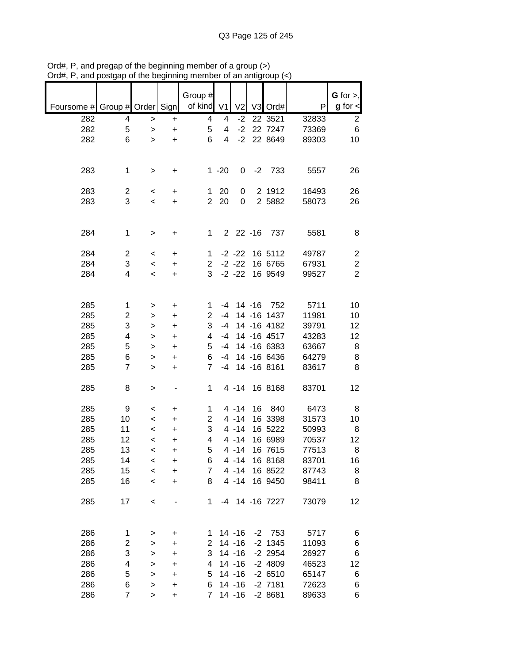|            |                |           |           | Group #        |                |                |           |                |       | G for $>$ ,    |
|------------|----------------|-----------|-----------|----------------|----------------|----------------|-----------|----------------|-------|----------------|
| Foursome # | Group # Order  |           | Sign      | of kind        | V <sub>1</sub> | V <sub>2</sub> | V3        | Ord#           | P     | $g$ for $\lt$  |
| 282        | 4              | $\,>$     | $\ddot{}$ | 4              | 4              | $-2$           |           | 22 3521        | 32833 | $\overline{c}$ |
| 282        | 5              |           |           | 5              | 4              | $-2$           |           | 22 7247        | 73369 | 6              |
|            |                | >         | $\ddot{}$ |                |                |                |           |                |       |                |
| 282        | 6              | $\geq$    | $\ddot{}$ | 6              | 4              | $-2$           |           | 22 8649        | 89303 | 10             |
|            |                |           |           |                |                |                |           |                |       |                |
|            |                |           |           |                |                |                |           |                |       |                |
| 283        | $\mathbf 1$    | $\, > \,$ | +         |                | $1 - 20$       | 0              | $-2$      | 733            | 5557  | 26             |
|            |                |           |           |                |                |                |           |                |       |                |
|            |                |           |           |                |                |                |           |                |       |                |
| 283        | 2              | $\,<\,$   | +         | 1              | 20             | 0              |           | 2 1912         | 16493 | 26             |
| 283        | 3              | $\prec$   | $\ddot{}$ | $\overline{2}$ | 20             | 0              |           | 2 5882         | 58073 | 26             |
|            |                |           |           |                |                |                |           |                |       |                |
|            |                |           |           |                |                |                |           |                |       |                |
| 284        | $\mathbf 1$    | $\,>$     | +         | 1              |                | $22 - 16$      |           | 737            | 5581  | 8              |
|            |                |           |           |                |                |                |           |                |       |                |
|            |                |           |           |                |                |                |           |                |       |                |
| 284        | 2              | $\,<\,$   | +         | 1              |                | $-2 - 22$      |           | 16 5112        | 49787 | 2              |
| 284        | 3              | $\prec$   | $\ddot{}$ | $\overline{c}$ |                | $-2 -22$       |           | 16 6765        | 67931 | $\overline{c}$ |
| 284        | 4              | $\,<\,$   | +         | 3              |                | $-2 - 22$      |           | 16 9549        | 99527 | $\overline{2}$ |
|            |                |           |           |                |                |                |           |                |       |                |
|            |                |           |           |                |                |                |           |                |       |                |
|            |                |           |           |                |                |                |           |                |       |                |
| 285        | 1              | >         | +         | 1              | -4             |                | $14 - 16$ | 752            | 5711  | 10             |
| 285        | 2              | >         | +         | $\overline{c}$ | $-4$           |                |           | 14 - 16 1437   | 11981 | 10             |
| 285        | 3              | >         | +         | 3              | $-4$           |                |           | 14 -16 4182    | 39791 | 12             |
| 285        | 4              | >         | +         | 4              | $-4$           |                |           | 14 -16 4517    | 43283 | 12             |
|            |                |           |           |                | $-4$           |                |           | 14 -16 6383    |       |                |
| 285        | 5              | >         | +         | 5              |                |                |           |                | 63667 | 8              |
| 285        | 6              | >         | +         | 6              | $-4$           |                |           | 14 -16 6436    | 64279 | 8              |
| 285        | $\overline{7}$ | >         | +         | $\overline{7}$ | -4             |                |           | 14 - 16 8161   | 83617 | 8              |
|            |                |           |           |                |                |                |           |                |       |                |
| 285        | 8              | >         |           | 1              |                | $4 - 14$       |           | 16 8168        | 83701 | 12             |
|            |                |           |           |                |                |                |           |                |       |                |
|            |                |           |           |                |                |                |           |                |       |                |
| 285        | 9              | <         | +         | 1              |                | $4 - 14$       | 16        | 840            | 6473  | 8              |
| 285        | 10             | $\prec$   | $\ddot{}$ | $\overline{2}$ |                | $4 - 14$       |           | 16 3398        | 31573 | 10             |
| 285        | 11             | $\,<\,$   | +         | 3              |                | $4 - 14$       |           | 16 5222        | 50993 | 8              |
| 285        | 12             | $\,<$     | $\ddot{}$ | 4              |                | $4 - 14$       |           | 16 6989        | 70537 | 12             |
| 285        | 13             | $\,<\,$   | +         | 5              |                | $4 - 14$       |           | 16 7615        | 77513 | 8              |
|            |                |           |           |                |                | $4 - 14$       |           |                |       |                |
| 285        | 14             | <         | +         | 6              |                |                |           | 16 8168        | 83701 | 16             |
| 285        | 15             | $\prec$   | $\ddot{}$ | 7              |                | $4 - 14$       |           | 16 8522        | 87743 | 8              |
| 285        | 16             | $\prec$   | +         | 8              |                | $4 - 14$       |           | 16 9450        | 98411 | 8              |
|            |                |           |           |                |                |                |           |                |       |                |
| 285        | 17             | $\,<$     |           | 1              |                |                |           | -4 14 -16 7227 | 73079 | 12             |
|            |                |           |           |                |                |                |           |                |       |                |
|            |                |           |           |                |                |                |           |                |       |                |
|            |                |           |           |                |                |                |           |                |       |                |
| 286        | 1              | >         | +         | 1              |                | $14 - 16$      |           | $-2$ 753       | 5717  | 6              |
| 286        | 2              | >         | +         | 2              |                | $14 - 16$      |           | $-2$ 1345      | 11093 | 6              |
| 286        | 3              | >         | +         | 3              |                | $14 - 16$      |           | $-2$ 2954      | 26927 | 6              |
| 286        | 4              | >         | +         | 4              |                | 14 - 16        |           | $-2$ 4809      | 46523 | 12             |
|            |                |           |           |                |                |                |           |                |       |                |
| 286        | 5              | $\geq$    | +         | 5              |                | $14 - 16$      |           | $-26510$       | 65147 | 6              |
| 286        | 6              | >         | +         | 6              |                | $14 - 16$      |           | $-2$ 7181      | 72623 | 6              |
| 286        | $\overline{7}$ | >         | +         | $\overline{7}$ |                | 14 - 16        |           | $-28681$       | 89633 | 6              |

Ord#, P, and pregap of the beginning member of a group (>) Ord#, P, and postgap of the beginning member of an antigroup (<)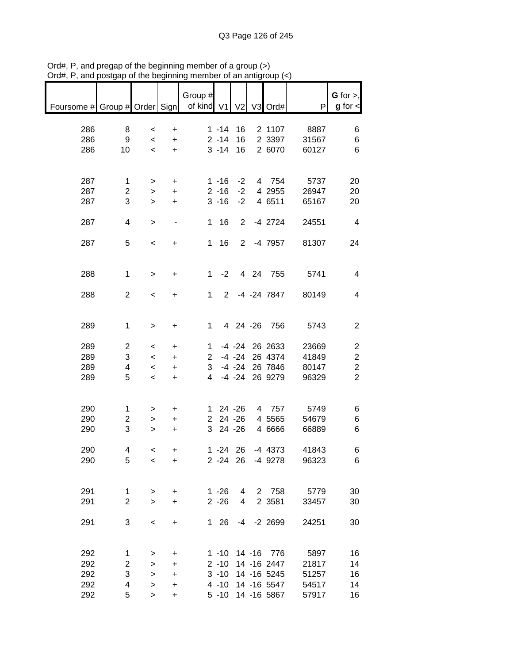|                               |                         |                          |                              | Group #        |             |                |                   |       | $G$ for $>$ ,  |
|-------------------------------|-------------------------|--------------------------|------------------------------|----------------|-------------|----------------|-------------------|-------|----------------|
| Foursome # Group # Order Sign |                         |                          |                              | of kind V1     |             | V <sub>2</sub> | V3 Ord#           | P     | $g$ for $\lt$  |
| 286                           | 8                       | $\,<\,$                  | +                            |                | $1 - 14$    | 16             | 2 1107            | 8887  | 6              |
| 286                           | 9                       | $\,<$                    | $\ddot{}$                    |                | $2 - 14$    | 16             | 2 3397            | 31567 | 6              |
| 286                           | 10                      | $\overline{\phantom{a}}$ | $\ddot{}$                    |                | $3 - 14$    | 16             | 2 6070            | 60127 | 6              |
|                               |                         |                          |                              |                |             |                |                   |       |                |
| 287                           | 1                       | >                        | $\ddot{}$                    |                | $1 - 16$    | $-2$           | 4 754             | 5737  | 20             |
| 287                           | 2                       | >                        | $\ddot{}$                    |                | $2 - 16$    | $-2$           | 4 2955            | 26947 | 20             |
| 287                           | 3                       | $\, > \,$                | +                            |                | $3 - 16$    | $-2$           | 4 6511            | 65167 | 20             |
| 287                           | 4                       | $\geq$                   | $\qquad \qquad \blacksquare$ | 1              | 16          | $\overline{2}$ | $-4$ 2724         | 24551 | $\overline{4}$ |
| 287                           | 5                       | $\,<\,$                  |                              | $\mathbf 1$    | 16          |                | 2 -4 7957         | 81307 | 24             |
|                               |                         |                          | +                            |                |             |                |                   |       |                |
|                               |                         |                          |                              |                |             |                |                   |       |                |
| 288                           | $\mathbf 1$             | $\, > \,$                | $\ddot{}$                    | $\mathbf 1$    | $-2$        |                | 4 24 755          | 5741  | 4              |
| 288                           | $\overline{2}$          | $\,<\,$                  | +                            | 1              | $2^{\circ}$ |                | -4 -24 7847       | 80149 | 4              |
|                               |                         |                          |                              |                |             |                |                   |       |                |
| 289                           | $\mathbf 1$             | $\, > \,$                | $\ddot{}$                    | 1              |             | 4 24 -26       | 756               | 5743  | $\mathbf{2}$   |
|                               |                         |                          |                              |                |             |                |                   |       |                |
| 289                           | 2                       | $\,<\,$                  | +                            | 1              |             | $-4 - 24$      | 26 2633           | 23669 | $\overline{c}$ |
| 289                           | 3                       | $\,<\,$                  | $\ddot{}$                    | $\overline{2}$ |             | $-4 - 24$      | 26 4374           | 41849 | $\overline{c}$ |
| 289                           | 4                       | $\,<\,$                  | $\ddot{}$                    | 3              |             | $-4 - 24$      | 26 7846           | 80147 | $\overline{c}$ |
| 289                           | 5                       | $\,<\,$                  | +                            | 4              |             | $-4 - 24$      | 26 9279           | 96329 | $\overline{2}$ |
|                               |                         |                          |                              |                |             |                |                   |       |                |
| 290                           | 1                       | >                        | +                            | 1.             |             | 24 - 26        | 4 757             | 5749  | 6              |
| 290                           | $\overline{\mathbf{c}}$ | >                        | +                            | $\overline{2}$ |             | $24 - 26$      | 4 5565            | 54679 | 6              |
| 290                           | 3                       | >                        | +                            | 3              |             | 24 - 26        | 4 6666            | 66889 | 6              |
| 290                           | 4                       | $\,<\,$                  | +                            |                | $1 - 24$    | 26             | $-4$ 4373         | 41843 | 6              |
| 290                           | 5                       | $\,<$                    | $\ddot{}$                    |                | $2 - 24$ 26 |                | -4 9278           | 96323 | 6              |
|                               |                         |                          |                              |                |             |                |                   |       |                |
| 291                           | $\mathbf 1$             |                          |                              |                | $1 - 26$    | 4              | 2 758             | 5779  | 30             |
| 291                           | $\overline{2}$          | ><br>$\geq$              | +<br>+                       |                | $2 - 26$    | 4              | 2 3 5 8 1         | 33457 | 30             |
|                               |                         |                          |                              |                |             |                |                   |       |                |
| 291                           | 3                       | $\,<$                    | +                            |                | 1 26        |                | $-4$ $-2$ 2699    | 24251 | 30             |
|                               |                         |                          |                              |                |             |                |                   |       |                |
| 292                           | 1                       | >                        | +                            |                | $1 - 10$    |                | 14 -16 776        | 5897  | 16             |
| 292                           | 2                       | $\, > \,$                | +                            |                | $2 - 10$    |                | 14 -16 2447       | 21817 | 14             |
| 292                           | 3                       | $\, > \,$                | $\ddot{}$                    |                | $3 - 10$    |                | 14 -16 5245       | 51257 | 16             |
| 292                           | 4                       | $\,$                     | $\ddot{}$                    |                |             |                | 4 -10 14 -16 5547 | 54517 | 14             |
| 292                           | 5                       | $\, > \,$                | +                            |                |             |                | 5 -10 14 -16 5867 | 57917 | 16             |

Ord#, P, and pregap of the beginning member of a group (>) Ord#, P, and postgap of the beginning member of an antigroup (<)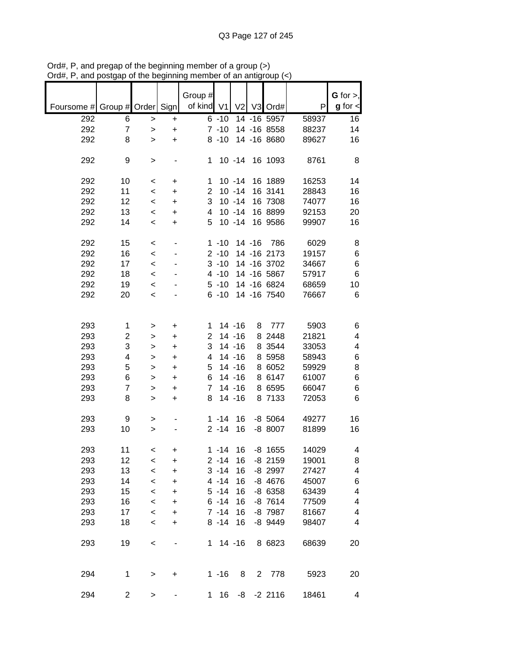|                               |                |           |           | Group #        |             |                |           |                |       | G for $>$ ,             |
|-------------------------------|----------------|-----------|-----------|----------------|-------------|----------------|-----------|----------------|-------|-------------------------|
| Foursome # Group # Order Sign |                |           |           | of kind V1     |             | V <sub>2</sub> |           | V3 Ord#        | P     | $g$ for $\lt$           |
| 292                           | 6              | >         | +         |                | $6 - 10$    |                |           | 14 -16 5957    | 58937 | 16                      |
| 292                           | $\overline{7}$ | $\geq$    | +         |                | $7 - 10$    |                |           | 14 -16 8558    | 88237 | 14                      |
| 292                           | 8              | $\geq$    | $\ddot{}$ |                | $8 - 10$    |                |           | 14 - 16 8680   | 89627 | 16                      |
| 292                           | 9              | >         |           | 1              |             | $10 - 14$      |           | 16 1093        | 8761  | 8                       |
| 292                           | 10             | $\,<\,$   | +         | 1              |             | $10 - 14$      |           | 16 1889        | 16253 | 14                      |
| 292                           | 11             | $\,<$     | +         | $\overline{c}$ |             | $10 - 14$      |           | 16 3141        | 28843 | 16                      |
| 292                           | 12             | $\,<\,$   | $\ddot{}$ | 3              |             | $10 - 14$      |           | 16 7308        | 74077 | 16                      |
| 292                           | 13             | $\,<$     | $\ddot{}$ | 4              |             | $10 - 14$      |           | 16 8899        | 92153 | 20                      |
| 292                           | 14             | $\,<$     | $\ddot{}$ | 5              |             | $10 - 14$      |           | 16 9586        | 99907 | 16                      |
| 292                           | 15             | $\,<$     |           |                | $1 - 10$    |                | $14 - 16$ | 786            | 6029  | 8                       |
| 292                           | 16             | $\prec$   |           |                | $2 - 10$    |                |           | 14 - 16 2173   | 19157 | 6                       |
| 292                           | 17             | $\prec$   |           |                | $3 - 10$    |                |           | 14 - 16 3702   | 34667 | 6                       |
| 292                           | 18             | $\,<\,$   |           |                | $4 - 10$    |                |           | 14 -16 5867    | 57917 | 6                       |
| 292                           | 19             | $\,<\,$   |           |                | $5 - 10$    |                |           | 14 -16 6824    | 68659 | 10                      |
| 292                           | 20             | $\,<$     |           |                | $6 - 10$    |                |           | 14 -16 7540    | 76667 | 6                       |
|                               |                |           |           |                |             |                |           |                |       |                         |
| 293                           | 1              | >         | +         | 1              |             | $14 - 16$      | 8         | 777            | 5903  | 6                       |
| 293                           | $\overline{c}$ | >         | +         | $\overline{c}$ |             | 14 - 16        |           | 8 2448         | 21821 | $\overline{\mathbf{4}}$ |
| 293                           | 3              | >         | +         | 3              |             | $14 - 16$      |           | 8 3544         | 33053 | $\overline{\mathbf{4}}$ |
| 293                           | 4              | >         | +         | 4              |             | $14 - 16$      |           | 8 5958         | 58943 | 6                       |
| 293                           | 5              | >         | +         | 5              |             | $14 - 16$      |           | 8 6052         | 59929 | 8                       |
| 293                           | 6              | >         | $\ddot{}$ | 6              |             | $14 - 16$      |           | 8 6147         | 61007 | 6                       |
| 293                           | 7              | >         | $\ddot{}$ | 7              |             | $14 - 16$      |           | 8 6595         | 66047 | 6                       |
| 293                           | 8              | $\geq$    | +         | 8              |             | $14 - 16$      |           | 8 7133         | 72053 | 6                       |
|                               |                |           |           |                |             |                |           |                |       |                         |
| 293                           | 9              | >         |           |                | $1 - 14$    | 16             |           | $-8$ 5064      | 49277 | 16                      |
| 293                           | 10             | >         |           |                | $2 - 14$    | 16             |           | -8 8007        | 81899 | 16                      |
| 293                           | 11             | $\,<\,$   | +         |                | $1 - 14$    | 16             |           | $-8$ 1655      | 14029 | 4                       |
| 293                           | 12             | $\,<$     | +         |                | $2 - 14$    | 16             |           | $-8$ 2159      | 19001 | 8                       |
| 293                           | 13             | $\,<$     | $\ddot{}$ |                | $3 - 14$    | 16             |           | -8 2997        | 27427 | $\overline{\mathbf{4}}$ |
| 293                           | 14             | $\prec$   | $\ddot{}$ |                | $4 - 14$    | 16             |           | $-8$ 4676      | 45007 | 6                       |
| 293                           | 15             | $\prec$   | +         |                | $5 - 14$    | 16             |           | $-8$ 6358      | 63439 | $\overline{\mathbf{4}}$ |
| 293                           | 16             | $\,<$     | $\ddot{}$ |                | $6 - 14$    | 16             |           | $-8$ 7614      | 77509 | 4                       |
| 293                           | 17             | $\,<$     | $\ddot{}$ |                | $7 - 14$    | 16             |           | -8 7987        | 81667 | $\overline{\mathbf{4}}$ |
| 293                           | 18             | $\,<$     | +         |                | $8 - 14$    | 16             |           | $-8$ 9449      | 98407 | 4                       |
| 293                           | 19             | $\,<$     |           |                | $1 14 - 16$ |                |           | 8 6823         | 68639 | 20                      |
| 294                           | 1              | >         | +         |                | $1 - 16$    | 8              |           | 2 778          | 5923  | 20                      |
| 294                           | 2              | $\, > \,$ |           | 1              | 16          |                |           | $-8$ $-2$ 2116 | 18461 | 4                       |

Ord#, P, and pregap of the beginning member of a group (>) Ord#, P, and postgap of the beginning member of an antigroup (<)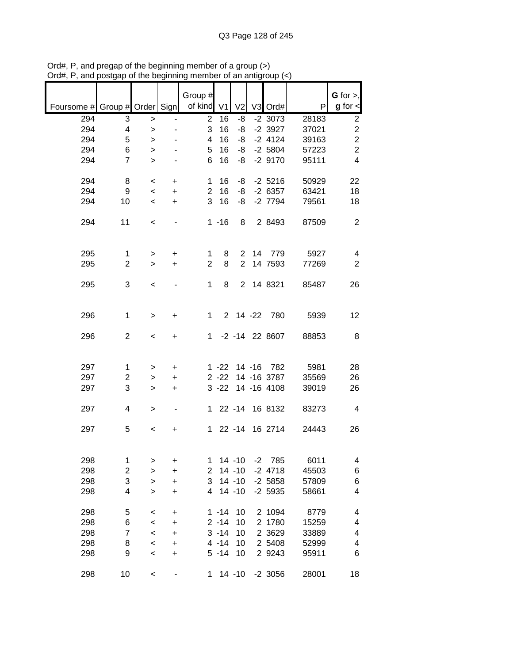|                               |                         |                          |                          | Group #        |          |                |        |                    |       | G for $>$ ,      |
|-------------------------------|-------------------------|--------------------------|--------------------------|----------------|----------|----------------|--------|--------------------|-------|------------------|
| Foursome # Group # Order Sign |                         |                          |                          | of kind $V1$   |          | V <sub>2</sub> |        | V3 Ord#            | P     | $g$ for $\lt$    |
| 294                           | 3                       | >                        |                          | $\mathbf{2}$   | 16       | -8             |        | $-2$ 3073          | 28183 | $\boldsymbol{2}$ |
| 294                           | 4                       | $\geq$                   |                          | 3              | 16       | -8             |        | $-2$ 3927          | 37021 | $\overline{c}$   |
| 294                           | 5                       | >                        |                          | 4              | 16       | -8             |        | $-2$ 4124          | 39163 | $\overline{c}$   |
| 294                           | 6                       | >                        |                          | 5              | 16       | -8             |        | $-2$ 5804          | 57223 | $\overline{2}$   |
| 294                           | $\overline{7}$          | $\,>$                    |                          | 6              | 16       | -8             |        | $-2$ 9170          | 95111 | $\overline{4}$   |
| 294                           | 8                       | $\,<$                    | +                        | 1              | 16       | -8             |        | $-2$ 5216          | 50929 | 22               |
| 294                           | 9                       | $\,<\,$                  | $\ddot{}$                | $\overline{2}$ | 16       | -8             |        | $-26357$           | 63421 | 18               |
| 294                           | 10                      | $\overline{\phantom{a}}$ | $\ddot{}$                | 3              | 16       | -8             |        | $-2$ 7794          | 79561 | 18               |
|                               |                         |                          |                          |                |          |                |        |                    |       |                  |
| 294                           | 11                      | $\,<\,$                  | $\overline{\phantom{0}}$ |                | $1 - 16$ | 8              |        | 2 8493             | 87509 | $\overline{2}$   |
|                               |                         |                          |                          |                |          |                |        |                    |       |                  |
| 295                           | 1                       |                          |                          | 1              | 8        | $\overline{2}$ |        | 14 779             | 5927  | 4                |
| 295                           | $\overline{2}$          | $\, > \,$<br>$\geq$      | $\ddot{}$<br>$\ddot{}$   | $\overline{2}$ | 8        | $\overline{2}$ |        | 14 7593            | 77269 | $\overline{2}$   |
|                               |                         |                          |                          |                |          |                |        |                    |       |                  |
| 295                           | 3                       | $\,<\,$                  |                          | 1              | 8        |                |        | 2 14 8321          | 85487 | 26               |
|                               |                         |                          |                          |                |          |                |        |                    |       |                  |
|                               |                         |                          |                          |                |          |                |        |                    |       |                  |
| 296                           | 1                       | >                        | +                        | 1.             |          |                |        | 2 14 -22 780       | 5939  | 12               |
| 296                           | 2                       | $\,<\,$                  | +                        | 1.             |          |                |        | $-2$ $-14$ 22 8607 | 88853 | 8                |
|                               |                         |                          |                          |                |          |                |        |                    |       |                  |
|                               |                         |                          |                          |                |          |                |        |                    |       |                  |
| 297                           | 1                       | >                        | +                        |                | $1 - 22$ |                | 14 -16 | 782                | 5981  | 28               |
| 297                           | $\overline{c}$          | >                        | $\ddot{}$                |                | $2 - 22$ |                |        | 14 - 16 3787       | 35569 | 26               |
| 297                           | 3                       | $\geq$                   | +                        |                | $3 - 22$ |                |        | 14 -16 4108        | 39019 | 26               |
|                               |                         |                          |                          |                |          |                |        |                    |       |                  |
| 297                           | 4                       | $\, > \,$                | $\overline{\phantom{a}}$ | 1.             |          | $22 - 14$      |        | 16 8132            | 83273 | 4                |
| 297                           | 5                       |                          |                          | $\mathbf 1$    |          | $22 - 14$      |        | 16 2714            | 24443 | 26               |
|                               |                         | $\,<$                    | +                        |                |          |                |        |                    |       |                  |
|                               |                         |                          |                          |                |          |                |        |                    |       |                  |
| 298                           | 1                       | >                        | +                        | 1              |          | $14 - 10$      | $-2$   | 785                | 6011  | 4                |
| 298                           | $\overline{\mathbf{c}}$ | $\geq$                   | +                        | $\overline{2}$ |          | $14 - 10$      |        | $-2$ 4718          | 45503 | 6                |
| 298                           | 3                       | >                        | +                        | 3              |          | $14 - 10$      |        | $-2$ 5858          | 57809 | 6                |
| 298                           | 4                       | $\geq$                   | +                        | 4              |          | $14 - 10$      |        | $-2$ 5935          | 58661 | 4                |
|                               |                         |                          |                          |                |          |                |        |                    |       |                  |
| 298                           | 5                       | $\,<$                    | +                        |                | $1 - 14$ | 10             |        | 2 1094             | 8779  | 4                |
| 298                           | 6                       | $\,<$                    | +                        |                | $2 - 14$ | 10             |        | 2 1780             | 15259 | 4                |
| 298                           | $\overline{7}$          | $\prec$                  | +                        |                | $3 - 14$ | 10             |        | 2 3 6 2 9          | 33889 | 4                |
| 298                           | 8                       | $\prec$                  | +                        |                | $4 - 14$ | 10             |        | 2 5408             | 52999 | 4                |
| 298                           | 9                       | $\,<$                    | +                        |                | $5 - 14$ | 10             |        | 2 9 2 4 3          | 95911 | 6                |
| 298                           | 10                      | $\,<$                    |                          | 1              |          | $14 - 10$      |        | $-2$ 3056          | 28001 | 18               |
|                               |                         |                          |                          |                |          |                |        |                    |       |                  |

Ord#, P, and pregap of the beginning member of a group (>) Ord#, P, and postgap of the beginning member of an antigroup (<)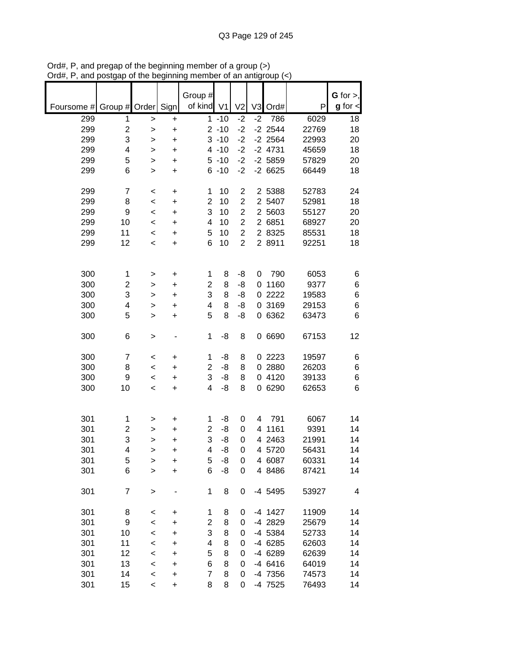|            |                         |              |           | Group #                 |          |                |                |           |       | $G$ for $>$ ,  |
|------------|-------------------------|--------------|-----------|-------------------------|----------|----------------|----------------|-----------|-------|----------------|
| Foursome # | Group # Order           |              | Sign      | of kind V1              |          | V <sub>2</sub> | V <sub>3</sub> | Ord#      | P     | $g$ for $\leq$ |
| 299        | 1                       | $\,$         | +         |                         | $1 - 10$ | $-2$           | $-2$           | 786       | 6029  | 18             |
| 299        | $\overline{\mathbf{c}}$ | $\mathbf{I}$ | +         |                         | $2 - 10$ | $-2$           |                | $-2$ 2544 | 22769 | 18             |
| 299        | 3                       | >            | $\ddot{}$ |                         | $3 - 10$ | $-2$           |                | $-2$ 2564 | 22993 | 20             |
| 299        | 4                       | >            | $\ddot{}$ |                         | $4 - 10$ | $-2$           |                | $-2$ 4731 | 45659 | 18             |
| 299        | 5                       | >            | $\ddot{}$ |                         | $5 - 10$ | $-2$           |                | $-2$ 5859 | 57829 | 20             |
| 299        | 6                       | $\mathbf{I}$ | $\ddot{}$ |                         | $6 - 10$ | $-2$           |                | $-26625$  | 66449 | 18             |
| 299        | 7                       | $\,<\,$      | +         | 1                       | 10       | $\overline{2}$ |                | 2 5388    | 52783 | 24             |
| 299        | 8                       | $\,<$        | +         | $\overline{2}$          | 10       | $\mathbf 2$    |                | 2 5407    | 52981 | 18             |
| 299        | 9                       | $\,<$        | +         | 3                       | 10       | $\overline{2}$ | $\overline{2}$ | 5603      | 55127 | 20             |
| 299        | 10                      | $\,<$        | +         | 4                       | 10       | $\mathbf 2$    | $\overline{2}$ | 6851      | 68927 | 20             |
| 299        | 11                      | $\,<$        | +         | 5                       | 10       | $\overline{2}$ |                | 2 8325    | 85531 | 18             |
| 299        | 12                      | $\prec$      | +         | 6                       | 10       | $\overline{2}$ |                | 2 8911    | 92251 | 18             |
|            |                         |              |           |                         |          |                |                |           |       |                |
| 300        | 1                       | $\, > \,$    | +         | 1                       | 8        | -8             | 0              | 790       | 6053  | 6              |
| 300        | $\overline{\mathbf{c}}$ | >            | $\ddot{}$ | $\overline{\mathbf{c}}$ | 8        | -8             | 0              | 1160      | 9377  | $\,6$          |
| 300        | 3                       | $\geq$       | $\ddot{}$ | 3                       | 8        | -8             | 0              | 2222      | 19583 | $\,6$          |
| 300        | 4                       | $\geq$       | +         | 4                       | 8        | -8             |                | 0 3169    | 29153 | $\,6$          |
| 300        | 5                       | >            | +         | 5                       | 8        | -8             |                | 0 6362    | 63473 | 6              |
|            |                         |              |           |                         |          |                |                |           |       |                |
| 300        | 6                       | >            |           | 1                       | -8       | 8              |                | 0 6690    | 67153 | 12             |
| 300        | $\overline{7}$          | $\,<$        | +         | 1                       | -8       | 8              |                | 0 2223    | 19597 | 6              |
| 300        | 8                       | $\prec$      | +         | $\overline{c}$          | -8       | 8              |                | 0 2880    | 26203 | $\,6$          |
| 300        | 9                       | $\,<$        | +         | 3                       | -8       | 8              |                | 0 4120    | 39133 | $\,6$          |
| 300        | 10                      | $\,<$        | +         | 4                       | -8       | 8              |                | 0 6290    | 62653 | 6              |
|            |                         |              |           |                         |          |                |                |           |       |                |
| 301        | 1                       | >            | +         | 1                       | -8       | 0              | 4              | 791       | 6067  | 14             |
| 301        | $\overline{2}$          | >            | $\ddot{}$ | $\overline{2}$          | -8       | 0              | 4              | 1161      | 9391  | 14             |
| 301        | 3                       | >            | +         | 3                       | -8       | 0              | 4              | 2463      | 21991 | 14             |
| 301        | 4                       | $\geq$       | +         | 4                       | -8       | 0              |                | 4 5720    | 56431 | 14             |
| 301        | 5                       | >            | +         | 5                       | -8       | 0              |                | 4 6087    | 60331 | 14             |
| 301        | 6                       | $\geq$       | $\ddot{}$ | 6                       | -8       | 0              |                | 4 8486    | 87421 | 14             |
| 301        | 7                       | $\, > \,$    |           | 1                       | 8        | 0              |                | -4 5495   | 53927 | 4              |
| 301        | 8                       | $\,<$        | +         | 1                       | 8        | 0              |                | $-4$ 1427 | 11909 | 14             |
| 301        | 9                       | $\prec$      | $\ddot{}$ | $\overline{\mathbf{c}}$ | 8        | 0              |                | -4 2829   | 25679 | 14             |
| 301        | 10                      | $\,<$        | $\ddot{}$ | 3                       | 8        | 0              |                | -4 5384   | 52733 | 14             |
| 301        | 11                      | $\,<$        | +         | 4                       | 8        | 0              |                | -4 6285   | 62603 | 14             |
| 301        | 12                      | $\,<$        | +         | 5                       | 8        | 0              |                | -4 6289   | 62639 | 14             |
| 301        | 13                      | $\,<$        | +         | 6                       | 8        | 0              |                | $-46416$  | 64019 | 14             |
| 301        | 14                      | $\,<$        | +         | $\overline{7}$          | 8        | 0              |                | -4 7356   | 74573 | 14             |
| 301        | 15                      | $\,<$        | +         | 8                       | 8        | 0              |                | -4 7525   | 76493 | 14             |

Ord#, P, and pregap of the beginning member of a group (>) Ord#, P, and postgap of the beginning member of an antigroup (<)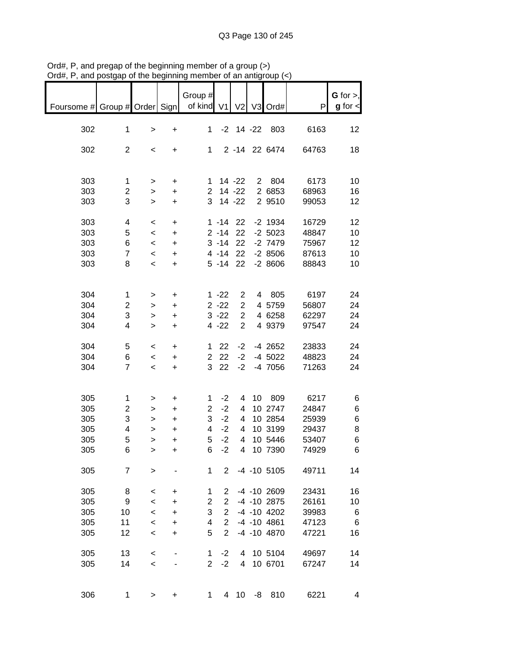| ana                           | poordab or the poditional |           |           |                |                |                | vi ali aliliyi |                   |       |               |
|-------------------------------|---------------------------|-----------|-----------|----------------|----------------|----------------|----------------|-------------------|-------|---------------|
|                               |                           |           |           |                |                |                |                |                   |       |               |
|                               |                           |           |           | Group #        |                |                |                |                   |       | $G$ for $>$ , |
| Foursome # Group # Order Sign |                           |           |           | of kind V1     |                | V <sub>2</sub> |                | V3 Ord#           | P     | $g$ for $\lt$ |
|                               |                           |           |           |                |                |                |                |                   |       |               |
| 302                           | $\mathbf 1$               | $\, > \,$ | $\ddot{}$ | 1              |                | $-2$ 14 $-22$  |                | 803               | 6163  | 12            |
|                               |                           |           |           |                |                |                |                |                   |       |               |
| 302                           | $\overline{2}$            | $\,<$     | +         | $\mathbf 1$    |                |                |                | 2 -14 22 6474     | 64763 | 18            |
|                               |                           |           |           |                |                |                |                |                   |       |               |
|                               |                           |           |           |                |                |                |                |                   |       |               |
|                               |                           |           |           |                |                |                |                |                   |       |               |
| 303                           | $\mathbf{1}$              | $\, > \,$ | +         | 1              |                | $14 - 22$      |                | 2 804             | 6173  | 10            |
| 303                           | $\overline{c}$            | $\,$      | $\ddot{}$ | $\overline{2}$ |                | $14 - 22$      |                | 2 6853            | 68963 | 16            |
| 303                           | 3                         | $\, > \,$ | $\ddot{}$ | 3              |                | $14 - 22$      |                | 2 9510            | 99053 | 12            |
|                               |                           |           |           |                |                |                |                |                   |       |               |
| 303                           | 4                         | $\,<$     | +         |                | $1 - 14$       | 22             |                | $-2$ 1934         | 16729 | 12            |
| 303                           | 5                         | $\prec$   | $\ddot{}$ |                | $2 - 14$       | 22             |                | $-2,5023$         | 48847 | 10            |
| 303                           | 6                         | $\prec$   | $\ddot{}$ |                | $3 - 14$       | 22             |                | $-2$ 7479         | 75967 | 12            |
| 303                           | $\overline{7}$            | $\,<\,$   | $\ddot{}$ |                | $4 - 14$       | 22             |                | $-28506$          | 87613 | 10            |
| 303                           | 8                         |           |           |                | $5 - 14$       | 22             |                | $-28606$          | 88843 |               |
|                               |                           | $\,<$     | $\ddot{}$ |                |                |                |                |                   |       | 10            |
|                               |                           |           |           |                |                |                |                |                   |       |               |
|                               |                           |           |           |                |                |                |                |                   |       |               |
| 304                           | $\mathbf 1$               | >         | +         |                | $1 - 22$       | 2              |                | 4 805             | 6197  | 24            |
| 304                           | $\overline{c}$            | >         | +         |                | $2 - 22$       | $\overline{2}$ |                | 4 5759            | 56807 | 24            |
| 304                           | 3                         | >         | +         |                | $3 - 22$       | $\overline{2}$ |                | 4 6258            | 62297 | 24            |
| 304                           | 4                         | $\geq$    | $\ddot{}$ |                | $4 - 22$       | $\overline{2}$ |                | 4 9379            | 97547 | 24            |
|                               |                           |           |           |                |                |                |                |                   |       |               |
| 304                           | 5                         | $\,<$     | +         | $\mathbf 1$    | 22             | $-2$           |                | -4 2652           | 23833 | 24            |
| 304                           | 6                         |           | $\ddot{}$ | $\overline{2}$ | 22             | $-2$           |                | $-4$ 5022         | 48823 | 24            |
|                               |                           | $\,<$     |           | 3              |                |                |                |                   |       |               |
| 304                           | $\overline{7}$            | $\,<$     | $\ddot{}$ |                | 22             | $-2$           |                | -4 7056           | 71263 | 24            |
|                               |                           |           |           |                |                |                |                |                   |       |               |
|                               |                           |           |           |                |                |                |                |                   |       |               |
| 305                           | 1                         | >         | +         | 1              | $-2$           | 4              |                | 10 809            | 6217  | 6             |
| 305                           | $\overline{c}$            | >         | $\ddot{}$ | $\overline{2}$ | $-2$           | 4              |                | 10 2747           | 24847 | 6             |
| 305                           | $\ensuremath{\mathsf{3}}$ | $\,$      | $\ddot{}$ | 3              | $-2$           | 4              |                | 10 2854           | 25939 | 6             |
| 305                           | 4                         | $\,>$     | $\ddot{}$ | 4              | $-2$           | 4              |                | 10 3199           | 29437 | 8             |
| 305                           | 5                         | $\geq$    | $\ddot{}$ | 5              | $-2$           | 4              |                | 10 5446           | 53407 | 6             |
| 305                           | 6                         | >         | +         | 6              | $-2$           | 4              |                | 10 7390           | 74929 | $\,6$         |
|                               |                           |           |           |                |                |                |                |                   |       |               |
|                               |                           |           |           |                |                |                |                |                   |       |               |
| 305                           | $\overline{7}$            | >         |           | $\mathbf 1$    | 2 <sup>1</sup> |                |                | $-4$ $-10$ 5105   | 49711 | 14            |
|                               |                           |           |           |                |                |                |                |                   |       |               |
| 305                           | 8                         | $\,<\,$   | +         | 1              | $\overline{2}$ |                |                | -4 -10 2609       | 23431 | 16            |
| 305                           | 9                         | $\,<$     | $\ddot{}$ | $\overline{c}$ | $\overline{2}$ |                |                | -4 -10 2875       | 26161 | 10            |
| 305                           | 10                        | $\,<$     | $\ddot{}$ | 3              | $\overline{2}$ |                |                | $-4$ $-10$ $4202$ | 39983 | 6             |
| 305                           | 11                        | $\,<$     | $\ddot{}$ | 4              | $\overline{2}$ |                |                | $-4$ $-10$ $4861$ | 47123 | 6             |
| 305                           | 12                        | $\,<$     | $\ddot{}$ | 5              | $\overline{2}$ |                |                | -4 -10 4870       | 47221 | 16            |
|                               |                           |           |           |                |                |                |                |                   |       |               |
| 305                           | 13                        | $\,<$     |           | 1              | $-2$           | 4              |                | 10 5104           | 49697 | 14            |
| 305                           | 14                        | $\,<$     |           | $\overline{2}$ | $-2$           | $\overline{4}$ |                | 10 6701           | 67247 | 14            |
|                               |                           |           |           |                |                |                |                |                   |       |               |
|                               |                           |           |           |                |                |                |                |                   |       |               |
|                               |                           |           |           |                |                |                |                |                   |       |               |
| 306                           | 1                         | >         | +         | 1              |                | 4 10           |                | $-8$ 810          | 6221  | 4             |

Ord#, P, and pregap of the beginning member of a group (>) Ord#, P, and postgap of the beginning member of an antigroup (<)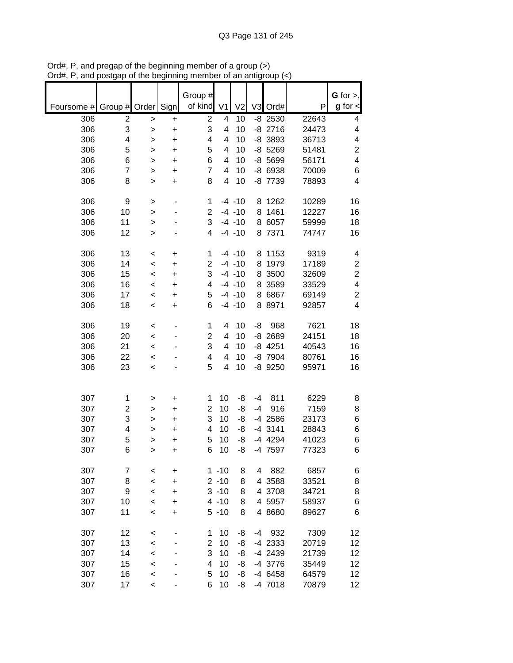|            |                         |              |           | Group #                 |                      |                |                |                    |                | G for $>$ ,             |
|------------|-------------------------|--------------|-----------|-------------------------|----------------------|----------------|----------------|--------------------|----------------|-------------------------|
| Foursome # | Group $#$               | Order        | Sign      | of kind                 | V <sub>1</sub>       | V <sub>2</sub> | V <sub>3</sub> | Ord#               | P              | $g$ for $\lt$           |
| 306        | $\overline{\mathbf{c}}$ | >            | +         | $\overline{2}$          | 4                    | 10             |                | $-8$ 2530          | 22643          | 4                       |
| 306        | 3                       | $\geq$       | $\ddot{}$ | 3                       | 4                    | 10             |                | $-8$ 2716          | 24473          | 4                       |
| 306        | 4                       | $\, > \,$    | +         | 4                       | 4                    | 10             |                | -8 3893            | 36713          | 4                       |
| 306        | 5                       | >            | $\ddot{}$ | 5                       | 4                    | 10             |                | $-8$ 5269          | 51481          | $\overline{c}$          |
| 306        | 6                       | >            | $\ddot{}$ | 6                       | 4                    | 10             |                | $-8,5699$          | 56171          | 4                       |
| 306<br>306 | $\overline{7}$<br>8     | >            | $\ddot{}$ | $\overline{7}$<br>8     | 4<br>4               | 10<br>10       |                | -8 6938<br>-8 7739 | 70009<br>78893 | 6<br>4                  |
|            |                         | $\mathbf{I}$ | $\ddot{}$ |                         |                      |                |                |                    |                |                         |
| 306        | 9                       | >            | -         | $\mathbf 1$             |                      | $-4 - 10$      |                | 8 1262             | 10289          | 16                      |
| 306        | 10                      | >            |           | $\overline{2}$          |                      | $-4 - 10$      | 8              | 1461               | 12227          | 16                      |
| 306        | 11                      | >            |           | 3                       |                      | $-4 - 10$      | 8              | 6057               | 59999          | 18                      |
| 306        | 12                      | $\, > \,$    |           | 4                       |                      | $-4 - 10$      |                | 8 7371             | 74747          | 16                      |
| 306        | 13                      | $\,<$        | +         | 1                       |                      | $-4 - 10$      |                | 8 1153             | 9319           | 4                       |
| 306        | 14                      | $\,<$        | +         | $\overline{2}$          |                      | $-4 - 10$      | 8              | 1979               | 17189          | $\boldsymbol{2}$        |
| 306        | 15                      | $\,<$        | $\ddot{}$ | 3                       |                      | $-4 - 10$      | 8              | 3500               | 32609          | $\overline{2}$          |
| 306        | 16                      | $\,<$        | +         | 4                       |                      | $-4 - 10$      | 8              | 3589               | 33529          | 4                       |
| 306        | 17                      | $\,<$        | $\ddot{}$ | 5                       |                      | $-4 - 10$      |                | 8 6867             | 69149          | $\mathbf 2$             |
| 306        | 18                      | $\,<$        | +         | 6                       |                      | $-4 - 10$      |                | 8 8 9 7 1          | 92857          | $\overline{\mathbf{4}}$ |
|            |                         |              |           |                         |                      |                |                |                    |                |                         |
| 306        | 19                      | $\,<$        |           | 1                       | 4                    | 10             | -8             | 968                | 7621           | 18                      |
| 306        | 20                      | $\,<$        |           | $\overline{\mathbf{c}}$ | 4                    | 10             |                | $-8$ 2689          | 24151          | 18                      |
| 306        | 21                      | $\prec$      |           | 3                       | 4                    | 10             |                | $-8$ 4251          | 40543          | 16                      |
| 306        | 22                      | $\,<$        |           | 4                       | 4                    | 10             |                | -8 7904            | 80761          | 16                      |
| 306        | 23                      | $\prec$      |           | 5                       | 4                    | 10             |                | -8 9250            | 95971          | 16                      |
|            |                         |              |           |                         |                      |                |                |                    |                |                         |
| 307        | 1                       | >            | +         | 1                       | 10                   | -8             | $-4$           | 811                | 6229           | 8                       |
| 307        | $\overline{c}$          | >            | +         | $\overline{2}$          | 10                   | -8             | -4             | 916                | 7159           | 8                       |
| 307        | 3                       | >            | +         | 3                       | 10                   | -8             |                | -4 2586            | 23173          | 6                       |
| 307        | 4                       | >            | $\ddot{}$ | 4                       | 10                   | -8             |                | $-4$ 3141          | 28843          | 6                       |
| 307        | 5                       | >            | +         | 5                       | 10                   | -8             |                | -4 4294            | 41023          | 6                       |
| 307        | 6                       | $\geq$       | +         | 6                       | 10                   | -8             |                | -4 7597            | 77323          | 6                       |
|            |                         |              |           |                         |                      |                |                |                    |                |                         |
| 307        | 7                       | $\,<$        | +         |                         | $1 - 10$             | 8              | 4              | 882                | 6857           | 6                       |
| 307        | 8                       | $\prec$      | $\ddot{}$ |                         | $2 - 10$<br>$3 - 10$ | 8              |                | 4 3588             | 33521          | 8                       |
| 307        | 9<br>10                 | $\,<$        | $\ddot{}$ |                         | $4 - 10$             | 8              |                | 4 3708             | 34721<br>58937 | 8                       |
| 307        |                         | $\,<$        | +         |                         |                      | 8              |                | 4 5957             |                | 6                       |
| 307        | 11                      | $\prec$      | $\ddot{}$ |                         | $5 - 10$             | 8              |                | 4 8 68 0           | 89627          | 6                       |
| 307        | 12                      | $\,<$        |           | 1                       | 10                   | -8             | $-4$           | 932                | 7309           | 12                      |
| 307        | 13                      | $\prec$      |           | $\overline{\mathbf{c}}$ | 10                   | -8             |                | -4 2333            | 20719          | 12                      |
| 307        | 14                      | $\prec$      |           | 3                       | 10                   | -8             |                | -4 2439            | 21739          | 12                      |
| 307        | 15                      | $\prec$      |           | 4                       | 10                   | -8             |                | -4 3776            | 35449          | 12                      |
| 307        | 16                      | $\prec$      |           | 5                       | 10                   | -8             |                | -4 6458            | 64579          | 12                      |
| 307        | 17                      | $\,<$        |           | 6                       | 10                   | -8             |                | -4 7018            | 70879          | 12 <sub>2</sub>         |

Ord#, P, and pregap of the beginning member of a group (>) Ord#, P, and postgap of the beginning member of an antigroup (<)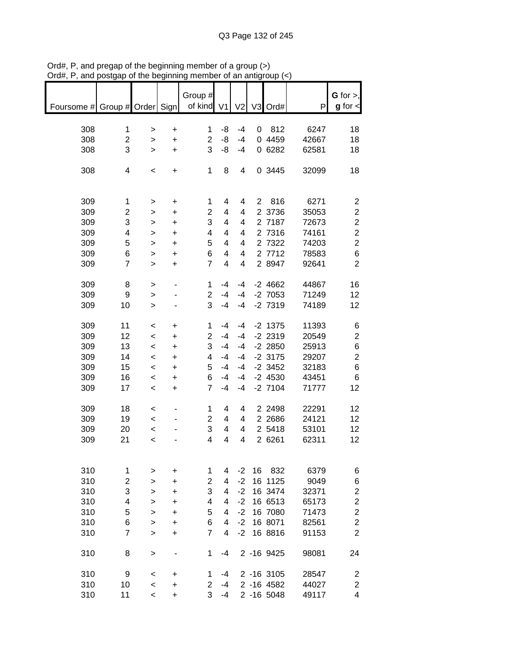| of kind<br>V3 Ord#<br>Group # Order Sign<br>V <sub>2</sub><br>V <sub>1</sub><br>P<br>Foursome #<br>308<br>812<br>6247<br>$\mathbf 1$<br>-8<br>$-4$<br>1<br>0<br>$\ddot{}$<br>$\geq$<br>$\overline{c}$<br>$\overline{c}$<br>-8<br>0 4459<br>308<br>$-4$<br>42667<br>$\ddot{}$<br>$\geq$<br>3<br>3<br>-8<br>0 6282<br>308<br>62581<br>$-4$<br>$\geq$<br>+ | $g$ for $\lt$<br>18<br>18<br>18<br>18<br>$\overline{c}$ |
|---------------------------------------------------------------------------------------------------------------------------------------------------------------------------------------------------------------------------------------------------------------------------------------------------------------------------------------------------------|---------------------------------------------------------|
|                                                                                                                                                                                                                                                                                                                                                         |                                                         |
|                                                                                                                                                                                                                                                                                                                                                         |                                                         |
|                                                                                                                                                                                                                                                                                                                                                         |                                                         |
|                                                                                                                                                                                                                                                                                                                                                         |                                                         |
|                                                                                                                                                                                                                                                                                                                                                         |                                                         |
| 0 3445<br>308<br>$\mathbf{1}$<br>8<br>32099<br>4<br>4<br>$\,<$<br>$\ddot{}$                                                                                                                                                                                                                                                                             |                                                         |
|                                                                                                                                                                                                                                                                                                                                                         |                                                         |
|                                                                                                                                                                                                                                                                                                                                                         |                                                         |
| 309<br>816<br>6271<br>$\overline{2}$<br>1<br>4<br>4<br>1<br>$\ddot{}$<br>>                                                                                                                                                                                                                                                                              |                                                         |
| $\overline{2}$<br>309<br>$\overline{\mathbf{c}}$<br>2 3736<br>35053<br>4<br>4<br>$\ddot{}$<br>>                                                                                                                                                                                                                                                         | $\overline{\mathbf{c}}$                                 |
| 3<br>3<br>309<br>2 7187<br>4<br>4<br>72673<br>$\geq$<br>+                                                                                                                                                                                                                                                                                               | $\overline{c}$                                          |
| 309<br>4<br>4<br>2 7316<br>74161<br>4<br>4<br>$\ddot{}$<br>$\geq$                                                                                                                                                                                                                                                                                       | $\overline{c}$                                          |
| 309<br>5<br>2 7322<br>5<br>4<br>4<br>74203<br>$\ddot{}$<br>>                                                                                                                                                                                                                                                                                            | $\overline{c}$                                          |
| 2 7712<br>309<br>6<br>6<br>4<br>78583<br>4<br>$\ddot{}$<br>>                                                                                                                                                                                                                                                                                            | 6                                                       |
| $\overline{7}$<br>2 8947<br>309<br>$\overline{7}$<br>4<br>4<br>92641<br>$\geq$<br>+                                                                                                                                                                                                                                                                     | $\overline{2}$                                          |
| 309<br>1<br>$-4$<br>$-4$<br>$-2$ 4662<br>44867<br>8<br>>                                                                                                                                                                                                                                                                                                | 16                                                      |
| $\overline{2}$<br>$-2$ 7053<br>309<br>$-4$<br>$-4$<br>71249<br>9<br>>                                                                                                                                                                                                                                                                                   | 12                                                      |
| 3<br>$-2$ 7319<br>309<br>10<br>$-4$<br>$-4$<br>74189<br>$\geq$                                                                                                                                                                                                                                                                                          | 12                                                      |
|                                                                                                                                                                                                                                                                                                                                                         |                                                         |
| 309<br>11<br>$-2$ 1375<br>11393<br>1<br>$-4$<br>$-4$<br>$\,<$<br>+                                                                                                                                                                                                                                                                                      | 6                                                       |
| $-2$ 2319<br>309<br>12<br>$\overline{2}$<br>$-4$<br>$-4$<br>20549<br>$\prec$<br>+                                                                                                                                                                                                                                                                       | $\overline{c}$                                          |
| 3<br>309<br>13<br>$-4$<br>$-2$ 2850<br>25913<br>$-4$<br>$\prec$<br>$\ddot{}$                                                                                                                                                                                                                                                                            | 6                                                       |
| 309<br>$-4$<br>$-2$ 3175<br>29207<br>14<br>4<br>$-4$<br>$\,<\,$<br>+                                                                                                                                                                                                                                                                                    | $\overline{c}$                                          |
| 309<br>5<br>$-2$ 3452<br>32183<br>15<br>$-4$<br>$-4$<br>$\,<$<br>$\ddot{}$                                                                                                                                                                                                                                                                              | 6                                                       |
| 309<br>6<br>$-2$ 4530<br>43451<br>16<br>-4<br>$-4$<br>$\,<$<br>+                                                                                                                                                                                                                                                                                        | 6                                                       |
| 309<br>17<br>$\overline{7}$<br>$-2$ 7104<br>71777<br>$-4$<br>$-4$<br>$\prec$<br>$\ddot{}$                                                                                                                                                                                                                                                               | 12                                                      |
| 309<br>18<br>2 2 4 9 8<br>22291<br>1<br>4<br>4<br>$\,<$                                                                                                                                                                                                                                                                                                 | 12                                                      |
| 2 2 68 6<br>309<br>19<br>$\overline{2}$<br>24121<br>4<br>4<br>$\,<\,$                                                                                                                                                                                                                                                                                   | 12                                                      |
| 2 5418<br>309<br>3<br>53101<br>20<br>4<br>4<br>$\,<$                                                                                                                                                                                                                                                                                                    | 12                                                      |
| 2 6261<br>309<br>4<br>4<br>62311<br>21<br>4<br>$\,<$                                                                                                                                                                                                                                                                                                    | 12                                                      |
|                                                                                                                                                                                                                                                                                                                                                         |                                                         |
|                                                                                                                                                                                                                                                                                                                                                         |                                                         |
| 310<br>$-2$<br>16<br>832<br>6379<br>1<br>4<br>1<br>+<br>>                                                                                                                                                                                                                                                                                               | 6                                                       |
| $-2$<br>310<br>$\overline{2}$<br>16 1125<br>2<br>4<br>9049<br>$\geq$<br>+                                                                                                                                                                                                                                                                               | 6                                                       |
| 3<br>3<br>$-2$<br>310<br>4<br>16 3474<br>32371<br>$\geq$<br>+                                                                                                                                                                                                                                                                                           | $\overline{c}$                                          |
| 310<br>$-2$<br>16 6513<br>4<br>4<br>65173<br>4<br>+<br>>                                                                                                                                                                                                                                                                                                | $\overline{c}$                                          |
| 310<br>5<br>$-2$<br>16 7080<br>5<br>4<br>71473<br>><br>+                                                                                                                                                                                                                                                                                                | $\overline{c}$                                          |
| 310<br>6<br>6<br>$-2$<br>16 8071<br>82561<br>4<br>><br>+                                                                                                                                                                                                                                                                                                | $\overline{2}$                                          |
| 310<br>$\overline{7}$<br>7<br>$-2$<br>16 8816<br>4<br>91153<br>$\geq$<br>+                                                                                                                                                                                                                                                                              | $\overline{2}$                                          |
| 310<br>8<br>1<br>2 -16 9425<br>98081<br>$-4$<br>>                                                                                                                                                                                                                                                                                                       | 24                                                      |
| 310<br>9<br>2 -16 3105<br>28547<br>1<br>-4<br><<br>+                                                                                                                                                                                                                                                                                                    | 2                                                       |
| 310<br>2 -16 4582<br>2<br>44027<br>10<br>-4<br>$\,<$<br>$\ddot{}$                                                                                                                                                                                                                                                                                       | $\overline{\mathbf{c}}$                                 |
| 3<br>310<br>2 -16 5048<br>11<br>49117<br>$-4$<br>$\,<\,$<br>$\ddot{}$                                                                                                                                                                                                                                                                                   | 4                                                       |

Ord#, P, and pregap of the beginning member of a group (>) Ord#, P, and postgap of the beginning member of an antigroup (<)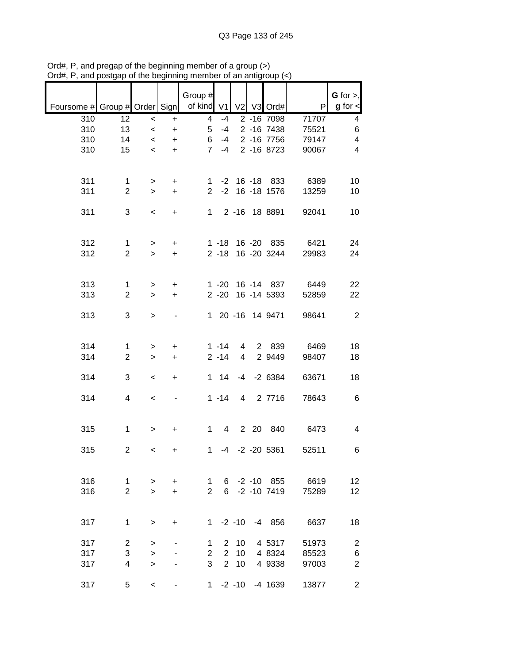|                                            |                |                          |                  | Group #               |                |                 |                   | P                       | $G$ for $>$ ,<br>$g$ for $<$ |
|--------------------------------------------|----------------|--------------------------|------------------|-----------------------|----------------|-----------------|-------------------|-------------------------|------------------------------|
| Foursome # Group # Order Sign   of kind V1 |                |                          |                  |                       |                |                 | V2 V3 Ord#        |                         |                              |
| 310                                        | 12             | $\,<$                    | $\color{red}{+}$ | $\overline{4}$        | $-4$           |                 | 2 -16 7098        | 71707                   | $\overline{4}$               |
| 310                                        | 13             | $\prec$                  | $+$              | 5 <sup>5</sup>        | $-4$           |                 | 2 -16 7438        | 75521                   | $\,6$                        |
| 310                                        | 14             | $\leq$                   | $+$              | 6 <sup>1</sup>        | $-4$           |                 | 2 -16 7756        | 79147                   | $\overline{\mathbf{4}}$      |
| 310                                        | 15             | $\leq$                   | $+$              | $7^{\circ}$           | $-4$           |                 | 2 -16 8723        | 90067                   | $\overline{\mathbf{4}}$      |
|                                            |                |                          |                  |                       |                |                 |                   |                         |                              |
| 311                                        | $\mathbf{1}$   | >                        | $+$              |                       |                |                 |                   | 1 -2 16 -18 833 6389    | 10                           |
| 311                                        | $\overline{2}$ | $\geq$                   | $+$              |                       |                |                 | 2 -2 16 -18 1576  | 13259                   | 10                           |
|                                            |                |                          |                  |                       |                |                 |                   |                         |                              |
| 311                                        | 3              | $\overline{\phantom{a}}$ | $+$              |                       |                |                 | 1 2 -16 18 8891   | 92041                   | 10                           |
|                                            |                |                          |                  |                       |                |                 |                   |                         |                              |
|                                            |                |                          |                  |                       |                |                 |                   |                         |                              |
| 312                                        | $\mathbf{1}$   | $\geq$                   | $+$              |                       |                |                 |                   | 1 -18 16 -20 835 6421   | 24                           |
| 312                                        | $\overline{2}$ | $\geq$                   | $+$              |                       |                |                 | 2 -18 16 -20 3244 | 29983                   | 24                           |
|                                            |                |                          |                  |                       |                |                 |                   |                         |                              |
|                                            |                |                          |                  |                       |                |                 |                   |                         |                              |
| 313                                        | $\mathbf{1}$   |                          | $+$              |                       |                |                 |                   | 1 -20 16 -14 837 6449   | 22                           |
| 313                                        | $\overline{2}$ | $\geq$<br>$\geq$         | $+$              |                       |                |                 |                   | 2 -20 16 -14 5393 52859 | 22                           |
|                                            |                |                          |                  |                       |                |                 |                   |                         |                              |
| 313                                        | 3              |                          |                  |                       |                |                 |                   | 1 20 -16 14 9471 98641  | $\overline{\phantom{0}}$     |
|                                            |                | $\geq$                   |                  |                       |                |                 |                   |                         |                              |
|                                            |                |                          |                  |                       |                |                 |                   |                         |                              |
|                                            |                |                          |                  |                       |                |                 |                   |                         |                              |
| 314                                        | $\mathbf{1}$   | $\geq$                   | $+$              |                       | $1 - 14$       | $\overline{4}$  |                   | 2 839 6469              | 18                           |
| 314                                        | $\overline{2}$ | $\geq$                   | $+$              |                       | $2 - 14$       | $4\overline{ }$ | 2 9449            | 98407                   | 18                           |
|                                            |                |                          |                  |                       |                |                 |                   |                         |                              |
| 314                                        | $\mathfrak{S}$ | $\overline{\phantom{a}}$ | $+$              |                       |                |                 | 1 14 -4 -2 6384   | 63671                   | 18                           |
|                                            |                |                          |                  |                       |                |                 |                   |                         |                              |
| 314                                        | 4              | $\overline{\phantom{a}}$ | $\blacksquare$   |                       |                |                 | 1 -14 4 2 7716    | 78643                   | $6\overline{6}$              |
|                                            |                |                          |                  |                       |                |                 |                   |                         |                              |
|                                            |                |                          |                  |                       |                |                 |                   |                         |                              |
| 315                                        | $\mathbf 1$    | $\geq$                   | $+$              |                       |                |                 |                   | 1 4 2 20 840 6473       | $\overline{\mathbf{4}}$      |
|                                            |                |                          |                  |                       |                |                 |                   |                         |                              |
| 315                                        | $\overline{c}$ | $\,<\,$                  | $+$              |                       |                |                 | 1 -4 -2 -20 5361  | 52511                   | 6                            |
|                                            |                |                          |                  |                       |                |                 |                   |                         |                              |
|                                            |                |                          |                  |                       |                |                 |                   |                         |                              |
| 316                                        | $\mathbf 1$    | >                        | +                | $\mathbf 1$           |                |                 | $6 - 2 - 10$ 855  | 6619                    | 12                           |
| 316                                        | $\overline{2}$ | $\geq$                   | $\ddot{}$        | $\overline{2}$        | 6              |                 | $-2 - 10$ 7419    | 75289                   | 12                           |
|                                            |                |                          |                  |                       |                |                 |                   |                         |                              |
|                                            |                |                          |                  |                       |                |                 |                   |                         |                              |
| 317                                        | 1              | >                        | +                | 1.                    |                | $-2 - 10$       | $-4$ 856          | 6637                    | 18                           |
|                                            |                |                          |                  |                       |                |                 |                   |                         |                              |
| 317                                        | $\overline{2}$ | >                        |                  | 1                     | $\mathbf{2}$   | 10              | 4 5317            | 51973                   | $\overline{c}$               |
| 317                                        | 3              | $\, > \,$                |                  | $\mathbf{2}^{\prime}$ | $\overline{2}$ | 10              | 4 8324            | 85523                   | 6                            |
| 317                                        | 4              | $\geq$                   |                  | 3                     | 2 <sup>7</sup> | 10              | 4 9338            | 97003                   | $\overline{2}$               |
|                                            |                |                          |                  |                       |                |                 |                   |                         |                              |
| 317                                        | 5              | $\,<\,$                  |                  |                       |                |                 | 1 -2 -10 -4 1639  | 13877                   | $\overline{c}$               |

Ord#, P, and pregap of the beginning member of a group (>) Ord#, P, and postgap of the beginning member of an antigroup (<)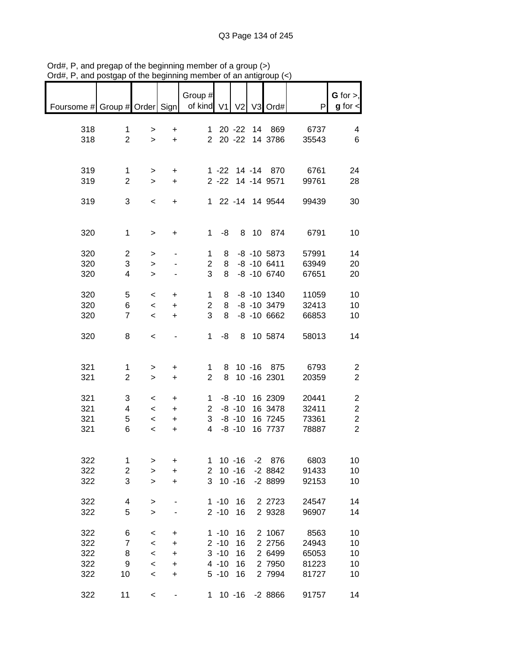| $max$ , $max$ , and postgap of the beginning |                         |                          |                |                       |          |           | un unlugroup (    |       |                         |
|----------------------------------------------|-------------------------|--------------------------|----------------|-----------------------|----------|-----------|-------------------|-------|-------------------------|
|                                              |                         |                          |                |                       |          |           |                   |       |                         |
|                                              |                         |                          |                | Group #               |          |           |                   |       | $G$ for $>$ ,           |
| Foursome # Group # Order Sign                |                         |                          |                | of kind V1 V2 V3 Ord# |          |           |                   | P     | $g$ for $\lt$           |
|                                              |                         |                          |                |                       |          |           |                   |       |                         |
| 318                                          | 1                       | $\, > \,$                | +              |                       |          |           | 1 20 -22 14 869   | 6737  | 4                       |
| 318                                          | $\overline{2}$          | $\geq$                   | $+$            |                       |          |           | 2 20 -22 14 3786  | 35543 | 6                       |
|                                              |                         |                          |                |                       |          |           |                   |       |                         |
|                                              |                         |                          |                |                       |          |           |                   |       |                         |
| 319                                          | 1                       |                          | $\ddot{}$      |                       |          |           | 1 -22 14 -14 870  | 6761  | 24                      |
| 319                                          | $\overline{2}$          | $\geq$                   | $+$            |                       |          |           | 2 -22 14 -14 9571 | 99761 |                         |
|                                              |                         | $\geq$                   |                |                       |          |           |                   |       | 28                      |
|                                              |                         |                          |                |                       |          |           |                   |       |                         |
| 319                                          | 3                       | $\,<$                    | $+$            |                       |          |           | 1 22 -14 14 9544  | 99439 | 30                      |
|                                              |                         |                          |                |                       |          |           |                   |       |                         |
|                                              |                         |                          |                |                       |          |           |                   |       |                         |
| 320                                          | $\mathbf 1$             | $\, >$                   | +              | $\mathbf 1$           | -8       |           | 8 10 874          | 6791  | 10                      |
|                                              |                         |                          |                |                       |          |           |                   |       |                         |
| 320                                          | $\overline{c}$          | $\, > \,$                |                | 1                     | 8        |           | $-8$ $-10$ 5873   | 57991 | 14                      |
| 320                                          | 3                       | $\,$                     |                | $\overline{c}$        | 8        |           | $-8 - 106411$     | 63949 | 20                      |
| 320                                          | 4                       | $\geq$                   |                | 3                     | 8        |           | $-8 - 10 6740$    | 67651 | 20                      |
|                                              |                         |                          |                |                       |          |           |                   |       |                         |
| 320                                          | 5                       | $\,<\,$                  | +              | 1                     | 8        |           | -8 -10 1340       | 11059 | 10                      |
| 320                                          | 6                       | $\overline{\phantom{a}}$ | $\ddot{}$      | $\overline{2}$        | 8        |           | -8 -10 3479       | 32413 | 10                      |
| 320                                          | $\overline{7}$          | $\overline{\phantom{a}}$ | $\ddot{}$      | 3                     | 8        |           | $-8 - 106662$     | 66853 | 10                      |
|                                              |                         |                          |                |                       |          |           |                   |       |                         |
| 320                                          | 8                       | $\,<$                    | $\blacksquare$ | $\mathbf{1}$          | -8       |           | 8 10 5874         | 58013 | 14                      |
|                                              |                         |                          |                |                       |          |           |                   |       |                         |
|                                              |                         |                          |                |                       |          |           |                   |       |                         |
|                                              |                         |                          |                |                       |          |           |                   |       |                         |
| 321                                          | 1                       | >                        | +              | 1                     |          |           | 8 10 -16 875      | 6793  | 2                       |
| 321                                          | $\overline{2}$          | $\geq$                   | $+$            | $\overline{2}$        |          |           | 8 10 -16 2301     | 20359 | $\overline{2}$          |
|                                              |                         |                          |                |                       |          |           |                   |       |                         |
| 321                                          | 3                       | $\,<\,$                  | +              |                       |          |           | 1 -8 -10 16 2309  | 20441 | $\overline{\mathbf{c}}$ |
| 321                                          | $\overline{\mathbf{4}}$ | $\overline{\phantom{a}}$ | $\ddot{}$      |                       |          |           | 2 -8 -10 16 3478  | 32411 | $\boldsymbol{2}$        |
| 321                                          | 5                       | $\,<$                    | $\ddot{}$      | 3                     |          |           | -8 -10 16 7245    | 73361 | $\boldsymbol{2}$        |
| 321                                          | 6                       | $\overline{\phantom{a}}$ | $\ddot{}$      | 4                     |          | $-8 - 10$ | 16 7737           | 78887 | $\overline{2}$          |
|                                              |                         |                          |                |                       |          |           |                   |       |                         |
|                                              |                         |                          |                |                       |          |           |                   |       |                         |
| 322                                          | 1                       | >                        | +              | 1                     |          | $10 - 16$ | $-2$ 876          | 6803  | 10                      |
| 322                                          | 2                       | >                        | $\ddot{}$      | $\overline{c}$        |          | $10 - 16$ | $-28842$          | 91433 | 10                      |
| 322                                          | 3                       | $\geq$                   | $\ddot{}$      | 3                     |          | $10 - 16$ | $-28899$          | 92153 | 10                      |
|                                              |                         |                          |                |                       |          |           |                   |       |                         |
| 322                                          | 4                       | $\,$                     |                |                       | $1 - 10$ | 16        | 2 2723            | 24547 | 14                      |
| 322                                          | 5                       |                          |                |                       | $2 - 10$ | 16        | 2 9328            | 96907 | 14                      |
|                                              |                         | $\, >$                   |                |                       |          |           |                   |       |                         |
|                                              |                         |                          |                |                       |          |           |                   |       |                         |
| 322                                          | 6                       | $\,<\,$                  | +              |                       | $1 - 10$ | 16        | 2 1067            | 8563  | 10                      |
| 322                                          | $\overline{7}$          | $\,<$                    | $\ddot{}$      |                       | $2 - 10$ | 16        | 2 2756            | 24943 | 10                      |
| 322                                          | 8                       | $\,<$                    | $\ddot{}$      |                       | $3 - 10$ | 16        | 2 6499            | 65053 | 10                      |
| 322                                          | 9                       | $\,<$                    | $\ddot{}$      |                       | $4 - 10$ | 16        | 2 7950            | 81223 | 10                      |
| 322                                          | 10                      | $\,<\,$                  | $\ddot{}$      |                       | $5 - 10$ | 16        | 2 7994            | 81727 | 10                      |
|                                              |                         |                          |                |                       |          |           |                   |       |                         |
| 322                                          | 11                      | $\,<$                    |                | 1                     |          | $10 - 16$ | -2 8866           | 91757 | 14                      |

Ord#, P, and pregap of the beginning member of a group (>) Ord#, P, and postgap of the beginning member of an antigroup (<)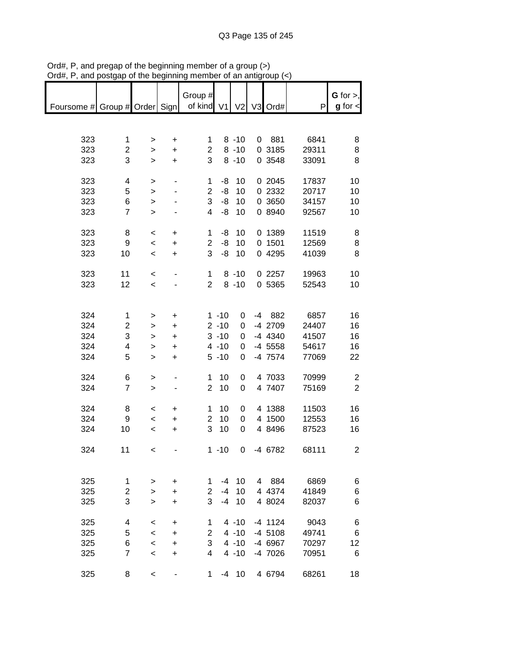| Foursome # Group # Order Sign   of kind V1 V2 V3 Ord# |                |                          |                          | Group #        |          |              |           | P     | $G$ for $>$ ,<br>$g$ for $\lt$ |
|-------------------------------------------------------|----------------|--------------------------|--------------------------|----------------|----------|--------------|-----------|-------|--------------------------------|
|                                                       |                |                          |                          |                |          |              |           |       |                                |
|                                                       |                |                          |                          |                |          |              |           |       |                                |
| 323                                                   | 1              | $\,>$                    | $\ddot{}$                | 1              |          | $8 - 10$     | 0 881     | 6841  | 8                              |
| 323                                                   | 2              | $\mathbf{r}$             | $\ddot{}$                | $\overline{2}$ |          | $8 - 10$     | 0 3185    | 29311 | 8                              |
| 323                                                   | 3              | $\mathbf{I}$             | $\ddot{}$                | 3              |          | $8 - 10$     | 0 3548    | 33091 | 8                              |
|                                                       |                |                          |                          |                |          |              |           |       |                                |
| 323                                                   | 4              | $\,$                     | $\overline{\phantom{0}}$ | 1              | -8       | 10           | 0 2045    | 17837 | 10                             |
| 323                                                   | 5              | $\mathbf{I}$             |                          | $\overline{2}$ | -8       | 10           | 0 2332    | 20717 | 10                             |
| 323                                                   | 6              |                          |                          | 3              | -8       | 10           | 0 3650    | 34157 | 10                             |
|                                                       | $\overline{7}$ | $\mathbf{L}$             |                          | $\overline{4}$ | -8       | 10           |           |       |                                |
| 323                                                   |                | $\geq$                   |                          |                |          |              | 0 8940    | 92567 | 10                             |
|                                                       |                |                          |                          |                | -8       |              |           |       |                                |
| 323                                                   | 8              | $\,<\,$                  | +                        | 1              |          | 10           | 0 1389    | 11519 | 8                              |
| 323                                                   | 9              | $\,<$                    | $\ddot{}$                | $\overline{2}$ | -8       | 10           | 0.1501    | 12569 | 8                              |
| 323                                                   | 10             | $\,<\,$                  | $\ddot{}$                | 3              |          | $-8$ 10      | 0 4295    | 41039 | 8                              |
|                                                       |                |                          |                          |                |          |              |           |       |                                |
| 323                                                   | 11             | $\prec$                  |                          | 1              |          | $8 - 10$     | 0 2257    | 19963 | 10                             |
| 323                                                   | 12             | $\overline{\phantom{0}}$ |                          | $\overline{2}$ |          | $8 - 10$     | 0 5365    | 52543 | 10                             |
|                                                       |                |                          |                          |                |          |              |           |       |                                |
|                                                       |                |                          |                          |                |          |              |           |       |                                |
| 324                                                   | 1              | >                        | +                        |                | $1 - 10$ | 0            | -4 882    | 6857  | 16                             |
| 324                                                   | 2              | >                        | +                        |                | $2 - 10$ | 0            | -4 2709   | 24407 | 16                             |
| 324                                                   | 3              | >                        | $\ddot{}$                |                | $3 - 10$ | 0            | -4 4340   | 41507 | 16                             |
| 324                                                   | 4              | $\mathbf{I}$             | $\ddot{}$                |                | $4 - 10$ | 0            | $-4$ 5558 | 54617 | 16                             |
| 324                                                   | 5              | $\geq$                   | $\ddot{}$                |                | $5 - 10$ | 0            | -4 7574   | 77069 | 22                             |
|                                                       |                |                          |                          |                |          |              |           |       |                                |
| 324                                                   | 6              | $\, > \,$                |                          | 1              | 10       | 0            | 4 7033    | 70999 | $\overline{c}$                 |
| 324                                                   | $\overline{7}$ | $\geq$                   |                          | $\overline{2}$ | 10       | 0            | 4 7407    | 75169 | $\overline{2}$                 |
|                                                       |                |                          |                          |                |          |              |           |       |                                |
| 324                                                   | 8              | $\,<\,$                  | +                        | $\mathbf{1}$   | 10       | 0            | 4 1388    | 11503 | 16                             |
| 324                                                   | 9              | $\,<$                    | $\ddot{}$                | $\overline{2}$ | 10       | 0            | 4 1500    | 12553 | 16                             |
| 324                                                   | 10             | $\overline{\phantom{a}}$ | $\ddot{}$                | 3              | 10       | 0            | 4 8496    | 87523 | 16                             |
|                                                       |                |                          |                          |                |          |              |           |       |                                |
| 324                                                   | 11             | $\prec$                  |                          |                | $1 - 10$ | $\mathbf{0}$ | -4 6782   | 68111 | 2                              |
|                                                       |                |                          |                          |                |          |              |           |       |                                |
|                                                       |                |                          |                          |                |          |              |           |       |                                |
| 325                                                   | 1              | >                        | +                        | 1              | $-4$     | 10           | 4 884     | 6869  | 6                              |
| 325                                                   | 2              | >                        | +                        | $\overline{2}$ | $-4$     | 10           | 4 4374    | 41849 | 6                              |
| 325                                                   | 3              | $\geq$                   | $\ddot{}$                | 3              | $-4$     | 10           | 4 8024    | 82037 | 6                              |
|                                                       |                |                          |                          |                |          |              |           |       |                                |
| 325                                                   | 4              | <                        | +                        | 1              |          | $4 - 10$     | $-4$ 1124 | 9043  | 6                              |
| 325                                                   | 5              | $\,<\,$                  | +                        | 2              |          | $4 - 10$     | $-4$ 5108 | 49741 | 6                              |
| 325                                                   | 6              | $\,<\,$                  | $\ddot{}$                | 3              |          | $4 - 10$     | -4 6967   | 70297 | 12                             |
| 325                                                   | 7              | $\,<\,$                  | +                        | 4              |          | $4 - 10$     | -4 7026   | 70951 | 6                              |
|                                                       |                |                          |                          |                |          |              |           |       |                                |
| 325                                                   | 8              | $\,<$                    |                          | 1              | -4       | 10           | 4 6794    | 68261 | 18                             |

Ord#, P, and pregap of the beginning member of a group (>) Ord#, P, and postgap of the beginning member of an antigroup (<)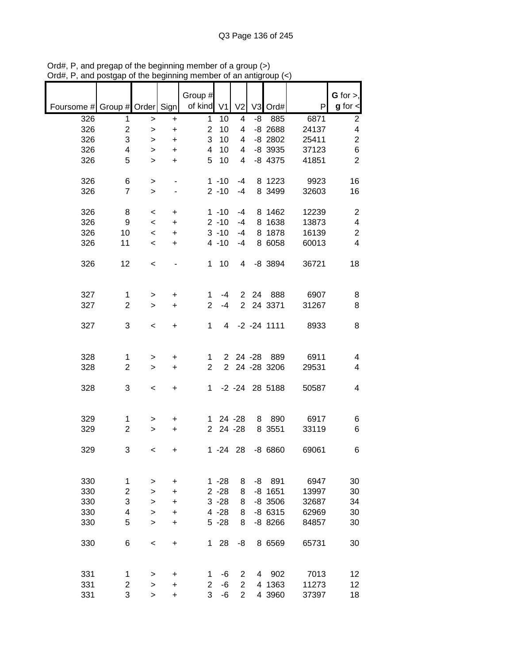|                               |                         |           |                        | Group #        |                      |                |         |                        |                | G for $>$ ,             |
|-------------------------------|-------------------------|-----------|------------------------|----------------|----------------------|----------------|---------|------------------------|----------------|-------------------------|
| Foursome # Group # Order Sign |                         |           |                        | of kind        | V <sub>1</sub>       | V <sub>2</sub> |         | V3 Ord#                | P              | $g$ for $\lt$           |
| 326                           | 1                       | $\,>$     | $\ddot{}$              | 1              | 10                   | 4              | -8      | 885                    | 6871           | $\overline{\mathbf{c}}$ |
| 326                           | $\overline{\mathbf{c}}$ | >         | $\ddot{}$              | $\overline{2}$ | 10                   | 4              |         | $-8$ 2688              | 24137          | $\overline{\mathbf{4}}$ |
| 326                           | 3                       | >         | $\ddot{}$              | 3              | 10                   | 4              |         | $-8$ 2802              | 25411          | $\overline{c}$          |
| 326<br>326                    | 4<br>5                  | >         | $\ddot{}$              | 4<br>5         | 10<br>10             | 4<br>4         |         | $-8$ 3935<br>$-8$ 4375 | 37123<br>41851 | $\,6$<br>$\overline{2}$ |
|                               |                         | $\geq$    | $\ddot{}$              |                |                      |                |         |                        |                |                         |
| 326                           | 6                       | >         |                        |                | $1 - 10$             | -4             |         | 8 1223                 | 9923           | 16                      |
| 326                           | $\overline{7}$          | $\, > \,$ |                        |                | $2 - 10$             | $-4$           |         | 8 3499                 | 32603          | 16                      |
|                               |                         |           |                        |                |                      |                |         |                        |                |                         |
| 326                           | 8                       | $\,<\,$   | +                      |                | $1 - 10$             | -4             |         | 8 1462                 | 12239          | $\overline{c}$          |
| 326                           | 9                       | $\,<\,$   | $\ddot{}$              |                | $2 - 10$             | $-4$           |         | 8 1638                 | 13873          | $\overline{\mathbf{4}}$ |
| 326                           | 10                      | $\,<\,$   | $\ddot{}$              |                | $3 - 10$             | $-4$           | 8       | 1878                   | 16139          | $\boldsymbol{2}$        |
| 326                           | 11                      | $\,<\,$   | $\ddot{}$              |                | $4 - 10$             | $-4$           |         | 8 6058                 | 60013          | 4                       |
|                               |                         |           |                        |                |                      |                |         |                        |                |                         |
| 326                           | 12                      | $\,<\,$   |                        | 1              | 10                   | 4              |         | $-8$ 3894              | 36721          | 18                      |
|                               |                         |           |                        |                |                      |                |         |                        |                |                         |
| 327                           | $\mathbf{1}$            | $\, > \,$ | $\ddot{}$              | 1              | $-4$                 | $\overline{2}$ | 24      | 888                    | 6907           | 8                       |
| 327                           | $\overline{2}$          | $\geq$    | $\ddot{}$              | $\overline{2}$ | $-4$                 | $\overline{2}$ |         | 24 3371                | 31267          | 8                       |
|                               |                         |           |                        |                |                      |                |         |                        |                |                         |
| 327                           | 3                       | $\,<\,$   | +                      | 1              | 4                    |                |         | $-2 - 24$ 1111         | 8933           | 8                       |
|                               |                         |           |                        |                |                      |                |         |                        |                |                         |
|                               |                         |           |                        |                |                      |                |         |                        |                |                         |
| 328                           | 1                       | >         | $\ddot{}$              | 1              | $\overline{2}$       |                | 24 - 28 | 889                    | 6911           | 4                       |
| 328                           | $\overline{2}$          | $\geq$    | $\ddot{}$              | $\overline{2}$ | $\overline{2}$       |                |         | 24 - 28 3206           | 29531          | 4                       |
| 328                           | 3                       | $\,<$     | +                      | 1              |                      |                |         | -2 -24 28 5188         | 50587          | 4                       |
|                               |                         |           |                        |                |                      |                |         |                        |                |                         |
|                               |                         |           |                        |                |                      |                |         |                        |                |                         |
| 329                           | 1                       | >         | $\ddot{}$              | 1.             |                      | 24 - 28        | 8       | 890                    | 6917           | 6                       |
| 329                           | $\overline{c}$          | $\, > \,$ | $\ddot{}$              | $\overline{2}$ |                      | 24 - 28        |         | 8 3551                 | 33119          | 6                       |
|                               |                         |           |                        |                |                      |                |         |                        |                |                         |
| 329                           | 3                       | $\,<\,$   | $\ddot{}$              |                | $1 - 24$             | 28             |         | $-8660$                | 69061          | 6                       |
|                               |                         |           |                        |                |                      |                |         |                        |                |                         |
|                               |                         |           |                        |                |                      |                |         | 891                    |                |                         |
| 330<br>330                    | 1<br>$\overline{c}$     | >         | $\ddot{}$<br>$\ddot{}$ |                | $1 - 28$<br>$2 - 28$ | 8<br>8         | -8      | $-8$ 1651              | 6947<br>13997  | 30<br>30                |
| 330                           | 3                       | $\geq$    | $\ddot{}$              |                | $3 - 28$             | 8              |         | $-8$ 3506              | 32687          | 34                      |
|                               |                         | $\geq$    |                        |                | $4 - 28$             |                |         |                        |                |                         |
| 330                           | 4                       | $\geq$    | $\ddot{}$              |                |                      | 8              |         | $-86315$               | 62969          | 30                      |
| 330                           | 5                       | $\geq$    | +                      |                | $5 - 28$             | 8              |         | $-88266$               | 84857          | 30                      |
| 330                           | 6                       | $\,<$     | $\ddot{}$              | 1.             | 28                   | -8             |         | 8 6569                 | 65731          | 30                      |
|                               |                         |           |                        |                |                      |                |         |                        |                |                         |
|                               |                         |           |                        |                |                      |                |         |                        |                |                         |
| 331                           | 1                       | >         | $\ddot{}$              | 1              | -6                   | 2              | 4       | 902                    | 7013           | 12                      |
| 331                           | $\overline{c}$          | >         | $\ddot{}$              | $\overline{2}$ | -6                   | $\overline{2}$ |         | 4 1363                 | 11273          | 12                      |
| 331                           | 3                       | $\geq$    | +                      | 3              | -6                   | $\overline{2}$ |         | 4 3960                 | 37397          | 18                      |

Ord#, P, and pregap of the beginning member of a group (>) Ord#, P, and postgap of the beginning member of an antigroup (<)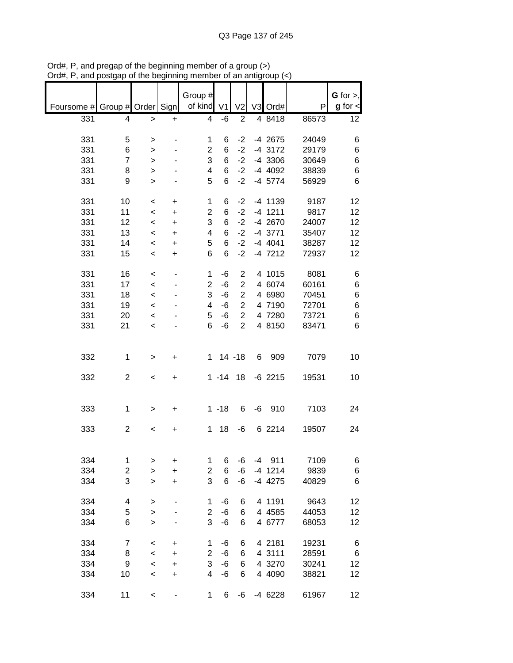|                               |                         |                  |                          | Group #        |                |                |    |                      |       | $G$ for $>$ , |
|-------------------------------|-------------------------|------------------|--------------------------|----------------|----------------|----------------|----|----------------------|-------|---------------|
| Foursome # Group # Order Sign |                         |                  |                          | of kind        | V <sub>1</sub> | V <sub>2</sub> |    | V3 Ord#              | P     | $g$ for $\lt$ |
| 331                           | 4                       | >                | $\ddot{}$                | 4              | -6             | $\overline{c}$ |    | 4 8418               | 86573 | 12            |
|                               |                         |                  |                          |                |                |                |    |                      |       |               |
| 331                           | 5                       | >                |                          | 1              | 6              | $-2$           |    | -4 2675              | 24049 | 6             |
| 331                           | 6                       | >                |                          | 2              | 6              | $-2$           |    | -4 3172              | 29179 | 6             |
| 331                           | $\overline{7}$          | $\, > \,$        |                          | 3              | 6              | $-2$           |    | -4 3306              | 30649 | 6             |
| 331                           | 8<br>9                  | >                |                          | 4<br>5         | 6<br>6         | $-2$<br>$-2$   |    | -4 4092<br>$-4$ 5774 | 38839 | 6<br>6        |
| 331                           |                         | $\, > \,$        |                          |                |                |                |    |                      | 56929 |               |
| 331                           | 10                      | $\,<\,$          | +                        | 1              | 6              | $-2$           |    | -4 1139              | 9187  | 12            |
| 331                           | 11                      | $\,<\,$          | $\ddot{}$                | $\overline{2}$ | 6              | $-2$           |    | $-4$ 1211            | 9817  | 12            |
| 331                           | 12                      | $\,<\,$          | $\ddot{}$                | 3              | 6              | $-2$           |    | -4 2670              | 24007 | 12            |
| 331                           | 13                      | $\,<\,$          | $\ddot{}$                | 4              | 6              | $-2$           |    | $-4$ 3771            | 35407 | 12            |
| 331                           | 14                      | $\,<\,$          | $\ddot{}$                | 5              | 6              | $-2$           |    | $-4$ 4041            | 38287 | 12            |
| 331                           | 15                      | $\,<\,$          | $\ddot{}$                | 6              | 6              | $-2$           |    | $-4$ 7212            | 72937 | 12            |
| 331                           | 16                      | $\,<\,$          |                          | 1              | $-6$           | $\overline{2}$ |    | 4 1015               | 8081  | 6             |
| 331                           | 17                      | $\prec$          |                          | $\overline{2}$ | $-6$           | $\overline{2}$ |    | 4 6074               | 60161 | 6             |
| 331                           | 18                      | $\prec$          |                          | 3              | $-6$           | $\overline{2}$ |    | 4 6980               | 70451 | 6             |
| 331                           | 19                      | $\prec$          |                          | 4              | -6             | $\overline{2}$ |    | 4 7190               | 72701 | 6             |
| 331                           | 20                      | $\,<\,$          |                          | 5              | -6             | $\overline{2}$ |    | 4 7280               | 73721 | 6             |
| 331                           | 21                      | $\prec$          |                          | 6              | $-6$           | $\overline{2}$ |    | 4 8150               | 83471 | 6             |
|                               |                         |                  |                          |                |                |                |    |                      |       |               |
| 332                           | 1                       | >                | +                        | $\mathbf 1$    |                | $14 - 18$      | 6  | 909                  | 7079  | 10            |
|                               |                         |                  |                          |                |                |                |    |                      |       |               |
| 332                           | $\overline{c}$          | $\,<$            | +                        |                | $1 - 14$       | 18             |    | $-6$ 2215            | 19531 | 10            |
|                               |                         |                  |                          |                |                |                |    |                      |       |               |
| 333                           | 1                       | >                | +                        |                | $1 - 18$       | 6              | -6 | 910                  | 7103  | 24            |
|                               |                         |                  |                          |                |                |                |    |                      |       |               |
| 333                           | $\overline{c}$          | $\,<$            | +                        | 1              | 18             | -6             |    | 6 2214               | 19507 | 24            |
|                               |                         |                  |                          |                |                |                |    |                      |       |               |
| 334                           | $\mathbf 1$             | >                | +                        | 1              | 6              | -6             |    | $-4$ 911             | 7109  | 6             |
| 334                           | $\overline{\mathbf{c}}$ | $\geq$           | $\ddot{}$                | 2              | 6              | -6             |    | $-4$ 1214            | 9839  | 6             |
| 334                           | 3                       | $\mathbf{I}$     | $\ddot{}$                | 3              | 6              | -6             |    | -4 4275              | 40829 | 6             |
|                               |                         |                  |                          |                |                |                |    |                      |       |               |
| 334                           | 4                       | >                |                          | 1              | -6             | 6              |    | 4 1191               | 9643  | 12            |
| 334                           | 5                       | $\geq$           |                          | $\overline{c}$ | $-6$           | 6              |    | 4 4 5 8 5            | 44053 | 12            |
| 334                           | 6                       | $\geq$           |                          | 3              | $-6$           | 6              |    | 4 6777               | 68053 | 12            |
| 334                           | $\overline{7}$          |                  |                          | 1              | -6             | 6              |    | 4 2181               | 19231 |               |
| 334                           | 8                       | $\,<$<br>$\prec$ | +<br>+                   | $\overline{2}$ | $-6$           | 6              |    | 4 3111               | 28591 | 6<br>$\,6$    |
| 334                           | 9                       | $\prec$          | +                        | 3              | $-6$           | 6              |    | 4 3270               | 30241 | 12            |
| 334                           | 10                      | $\prec$          | $\ddot{}$                | 4              | -6             | 6              |    | 4 4090               | 38821 | 12            |
|                               |                         |                  |                          |                |                |                |    |                      |       |               |
| 334                           | 11                      | $\,<$            | $\overline{\phantom{0}}$ | $\mathbf{1}$   | 6              | -6             |    | -4 6228              | 61967 | 12            |

Ord#, P, and pregap of the beginning member of a group (>) Ord#, P, and postgap of the beginning member of an antigroup (<)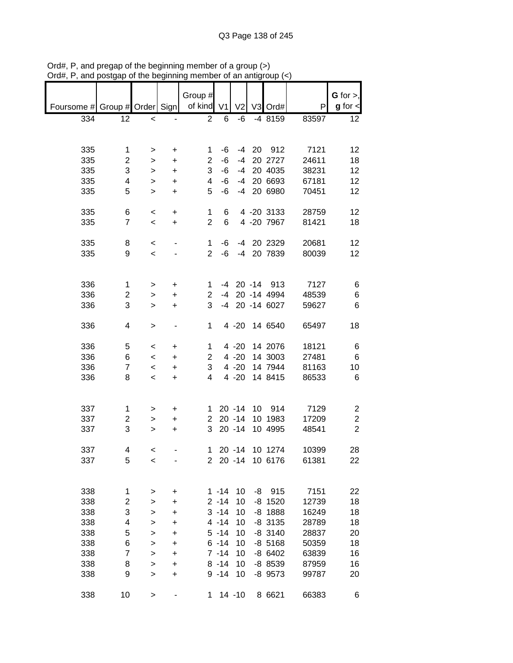|                         |                                                                                                                      |                                                                                               |                                                                                              |                                              |                                                                                                                                                                                         |                                                                                                                                                                                              |     |                                                                                                                                                                                                                                                                                                                                                                                                             | G for $>$ ,                                                                                                                                        |
|-------------------------|----------------------------------------------------------------------------------------------------------------------|-----------------------------------------------------------------------------------------------|----------------------------------------------------------------------------------------------|----------------------------------------------|-----------------------------------------------------------------------------------------------------------------------------------------------------------------------------------------|----------------------------------------------------------------------------------------------------------------------------------------------------------------------------------------------|-----|-------------------------------------------------------------------------------------------------------------------------------------------------------------------------------------------------------------------------------------------------------------------------------------------------------------------------------------------------------------------------------------------------------------|----------------------------------------------------------------------------------------------------------------------------------------------------|
|                         |                                                                                                                      |                                                                                               |                                                                                              |                                              | V <sub>2</sub>                                                                                                                                                                          |                                                                                                                                                                                              |     | P                                                                                                                                                                                                                                                                                                                                                                                                           | $g$ for $\textsf{d}$                                                                                                                               |
| 12                      | $\,<$                                                                                                                |                                                                                               | $\overline{2}$                                                                               | 6                                            | -6                                                                                                                                                                                      |                                                                                                                                                                                              |     | 83597                                                                                                                                                                                                                                                                                                                                                                                                       | 12                                                                                                                                                 |
|                         |                                                                                                                      |                                                                                               |                                                                                              |                                              |                                                                                                                                                                                         |                                                                                                                                                                                              |     |                                                                                                                                                                                                                                                                                                                                                                                                             |                                                                                                                                                    |
|                         | >                                                                                                                    | +                                                                                             |                                                                                              |                                              | -4                                                                                                                                                                                      |                                                                                                                                                                                              |     |                                                                                                                                                                                                                                                                                                                                                                                                             | 12                                                                                                                                                 |
| $\overline{c}$          | >                                                                                                                    | +                                                                                             | $\overline{2}$                                                                               | $-6$                                         | $-4$                                                                                                                                                                                    |                                                                                                                                                                                              |     | 24611                                                                                                                                                                                                                                                                                                                                                                                                       | 18                                                                                                                                                 |
| 3                       | >                                                                                                                    | +                                                                                             | 3                                                                                            | $-6$                                         | $-4$                                                                                                                                                                                    |                                                                                                                                                                                              |     | 38231                                                                                                                                                                                                                                                                                                                                                                                                       | 12                                                                                                                                                 |
| 4                       | >                                                                                                                    | +                                                                                             | 4                                                                                            | $-6$                                         | $-4$                                                                                                                                                                                    |                                                                                                                                                                                              |     | 67181                                                                                                                                                                                                                                                                                                                                                                                                       | 12                                                                                                                                                 |
| 5                       | $\, > \,$                                                                                                            | +                                                                                             | 5                                                                                            | -6                                           | $-4$                                                                                                                                                                                    |                                                                                                                                                                                              |     | 70451                                                                                                                                                                                                                                                                                                                                                                                                       | 12                                                                                                                                                 |
|                         |                                                                                                                      |                                                                                               |                                                                                              |                                              |                                                                                                                                                                                         |                                                                                                                                                                                              |     |                                                                                                                                                                                                                                                                                                                                                                                                             | 12                                                                                                                                                 |
|                         |                                                                                                                      |                                                                                               |                                                                                              |                                              |                                                                                                                                                                                         |                                                                                                                                                                                              |     |                                                                                                                                                                                                                                                                                                                                                                                                             | 18                                                                                                                                                 |
|                         |                                                                                                                      |                                                                                               |                                                                                              |                                              |                                                                                                                                                                                         |                                                                                                                                                                                              |     |                                                                                                                                                                                                                                                                                                                                                                                                             |                                                                                                                                                    |
| 8                       | $\,<\,$                                                                                                              |                                                                                               | 1                                                                                            | -6                                           |                                                                                                                                                                                         |                                                                                                                                                                                              |     | 20681                                                                                                                                                                                                                                                                                                                                                                                                       | 12                                                                                                                                                 |
| 9                       | $\,<\,$                                                                                                              |                                                                                               | $\overline{2}$                                                                               | $-6$                                         | $-4$                                                                                                                                                                                    |                                                                                                                                                                                              |     | 80039                                                                                                                                                                                                                                                                                                                                                                                                       | 12                                                                                                                                                 |
|                         |                                                                                                                      |                                                                                               |                                                                                              |                                              |                                                                                                                                                                                         |                                                                                                                                                                                              |     |                                                                                                                                                                                                                                                                                                                                                                                                             |                                                                                                                                                    |
|                         |                                                                                                                      |                                                                                               |                                                                                              |                                              |                                                                                                                                                                                         |                                                                                                                                                                                              |     |                                                                                                                                                                                                                                                                                                                                                                                                             | 6                                                                                                                                                  |
|                         | >                                                                                                                    | +                                                                                             | $\overline{2}$                                                                               | $-4$                                         |                                                                                                                                                                                         |                                                                                                                                                                                              |     |                                                                                                                                                                                                                                                                                                                                                                                                             | 6                                                                                                                                                  |
| 3                       | >                                                                                                                    | $\ddot{}$                                                                                     | 3                                                                                            | $-4$                                         |                                                                                                                                                                                         |                                                                                                                                                                                              |     | 59627                                                                                                                                                                                                                                                                                                                                                                                                       | 6                                                                                                                                                  |
|                         |                                                                                                                      |                                                                                               |                                                                                              |                                              |                                                                                                                                                                                         |                                                                                                                                                                                              |     |                                                                                                                                                                                                                                                                                                                                                                                                             |                                                                                                                                                    |
|                         |                                                                                                                      |                                                                                               |                                                                                              |                                              |                                                                                                                                                                                         |                                                                                                                                                                                              |     |                                                                                                                                                                                                                                                                                                                                                                                                             | 18                                                                                                                                                 |
|                         |                                                                                                                      | +                                                                                             |                                                                                              |                                              |                                                                                                                                                                                         |                                                                                                                                                                                              |     |                                                                                                                                                                                                                                                                                                                                                                                                             | 6                                                                                                                                                  |
| 6                       | $\,<$                                                                                                                | +                                                                                             | 2                                                                                            |                                              |                                                                                                                                                                                         |                                                                                                                                                                                              |     | 27481                                                                                                                                                                                                                                                                                                                                                                                                       | 6                                                                                                                                                  |
| $\overline{7}$          | $\,<$                                                                                                                | +                                                                                             | 3                                                                                            |                                              |                                                                                                                                                                                         |                                                                                                                                                                                              |     | 81163                                                                                                                                                                                                                                                                                                                                                                                                       | 10                                                                                                                                                 |
| 8                       | $\,<$                                                                                                                | +                                                                                             | 4                                                                                            |                                              |                                                                                                                                                                                         |                                                                                                                                                                                              |     | 86533                                                                                                                                                                                                                                                                                                                                                                                                       | 6                                                                                                                                                  |
|                         |                                                                                                                      |                                                                                               |                                                                                              |                                              |                                                                                                                                                                                         |                                                                                                                                                                                              |     |                                                                                                                                                                                                                                                                                                                                                                                                             |                                                                                                                                                    |
| 1                       | >                                                                                                                    | +                                                                                             | 1                                                                                            |                                              |                                                                                                                                                                                         | 10                                                                                                                                                                                           | 914 | 7129                                                                                                                                                                                                                                                                                                                                                                                                        | 2                                                                                                                                                  |
| $\overline{\mathbf{c}}$ | >                                                                                                                    | +                                                                                             | $\overline{2}$                                                                               |                                              |                                                                                                                                                                                         |                                                                                                                                                                                              |     | 17209                                                                                                                                                                                                                                                                                                                                                                                                       | $\overline{\mathbf{c}}$                                                                                                                            |
| 3                       | >                                                                                                                    | +                                                                                             | 3                                                                                            |                                              |                                                                                                                                                                                         |                                                                                                                                                                                              |     | 48541                                                                                                                                                                                                                                                                                                                                                                                                       | $\overline{2}$                                                                                                                                     |
|                         |                                                                                                                      |                                                                                               |                                                                                              |                                              |                                                                                                                                                                                         |                                                                                                                                                                                              |     |                                                                                                                                                                                                                                                                                                                                                                                                             | 28                                                                                                                                                 |
|                         |                                                                                                                      |                                                                                               |                                                                                              |                                              |                                                                                                                                                                                         |                                                                                                                                                                                              |     |                                                                                                                                                                                                                                                                                                                                                                                                             | 22                                                                                                                                                 |
|                         |                                                                                                                      |                                                                                               |                                                                                              |                                              |                                                                                                                                                                                         |                                                                                                                                                                                              |     |                                                                                                                                                                                                                                                                                                                                                                                                             |                                                                                                                                                    |
|                         |                                                                                                                      |                                                                                               |                                                                                              |                                              |                                                                                                                                                                                         |                                                                                                                                                                                              |     |                                                                                                                                                                                                                                                                                                                                                                                                             | 22                                                                                                                                                 |
|                         |                                                                                                                      |                                                                                               |                                                                                              |                                              |                                                                                                                                                                                         |                                                                                                                                                                                              |     |                                                                                                                                                                                                                                                                                                                                                                                                             | 18                                                                                                                                                 |
|                         |                                                                                                                      |                                                                                               |                                                                                              |                                              |                                                                                                                                                                                         |                                                                                                                                                                                              |     |                                                                                                                                                                                                                                                                                                                                                                                                             | 18                                                                                                                                                 |
|                         |                                                                                                                      |                                                                                               |                                                                                              |                                              |                                                                                                                                                                                         |                                                                                                                                                                                              |     |                                                                                                                                                                                                                                                                                                                                                                                                             | 18                                                                                                                                                 |
|                         |                                                                                                                      |                                                                                               |                                                                                              |                                              |                                                                                                                                                                                         |                                                                                                                                                                                              |     |                                                                                                                                                                                                                                                                                                                                                                                                             | 20                                                                                                                                                 |
|                         |                                                                                                                      |                                                                                               |                                                                                              |                                              |                                                                                                                                                                                         |                                                                                                                                                                                              |     |                                                                                                                                                                                                                                                                                                                                                                                                             | 18                                                                                                                                                 |
|                         |                                                                                                                      |                                                                                               |                                                                                              |                                              |                                                                                                                                                                                         |                                                                                                                                                                                              |     |                                                                                                                                                                                                                                                                                                                                                                                                             | 16                                                                                                                                                 |
|                         |                                                                                                                      |                                                                                               |                                                                                              |                                              |                                                                                                                                                                                         |                                                                                                                                                                                              |     |                                                                                                                                                                                                                                                                                                                                                                                                             | 16                                                                                                                                                 |
| 9                       | >                                                                                                                    | +                                                                                             |                                                                                              |                                              | 10                                                                                                                                                                                      |                                                                                                                                                                                              |     | 99787                                                                                                                                                                                                                                                                                                                                                                                                       | 20                                                                                                                                                 |
| 10                      | >                                                                                                                    |                                                                                               |                                                                                              |                                              |                                                                                                                                                                                         |                                                                                                                                                                                              |     | 66383                                                                                                                                                                                                                                                                                                                                                                                                       | 6                                                                                                                                                  |
|                         | 1<br>6<br>$\overline{7}$<br>1<br>2<br>4<br>5<br>4<br>5<br>1<br>$\overline{\mathbf{c}}$<br>3<br>4<br>5<br>6<br>7<br>8 | $\,<$<br>$\,<$<br>><br>><br>$\,<$<br>$\,<\,$<br>$\,<$<br>><br>><br>><br>><br>><br>><br>><br>> | Foursome # Group # Order Sign<br>+<br>$\ddot{}$<br>+<br>+<br>+<br>+<br>+<br>+<br>+<br>+<br>+ | 1<br>1<br>$\overline{2}$<br>1<br>1<br>1<br>1 | Group #<br>of kind V1<br>-6<br>6<br>6<br>$\mathbf{2}^{\prime}$<br>$1 - 14$<br>$2 - 14$<br>$3 - 14$<br>$4 - 14$<br>$5 - 14$<br>$6 - 14$<br>$7 - 14$<br>$8 - 14$<br>$9 - 14$<br>$1 \quad$ | -4<br>$4 - 20$<br>$4 - 20$<br>$4 - 20$<br>$4 - 20$<br>$4 - 20$<br>$20 - 14$<br>$20 - 14$<br>$20 - 14$<br>$20 - 14$<br>$20 - 14$<br>10<br>10<br>10<br>10<br>10<br>10<br>10<br>10<br>$14 - 10$ | -4  | V3 Ord#<br>$-48159$<br>20<br>912<br>20 2727<br>20 4035<br>20 6693<br>20 6980<br>4 -20 3133<br>4 -20 7967<br>20 2329<br>20 7839<br>$20 - 14$<br>913<br>20 -14 4994<br>20 -14 6027<br>14 6540<br>14 2076<br>14 3003<br>14 7944<br>14 8415<br>10 1983<br>10 4995<br>10 1274<br>10 6176<br>$-8$ 915<br>$-8$ 1520<br>$-8$ 1888<br>$-8$ 3135<br>$-8$ 3140<br>$-8$ 5168<br>-8 6402<br>-8 8539<br>-8 9573<br>8 6621 | 7121<br>28759<br>81421<br>7127<br>48539<br>65497<br>18121<br>10399<br>61381<br>7151<br>12739<br>16249<br>28789<br>28837<br>50359<br>63839<br>87959 |

Ord#, P, and pregap of the beginning member of a group (>) Ord#, P, and postgap of the beginning member of an antigroup (<)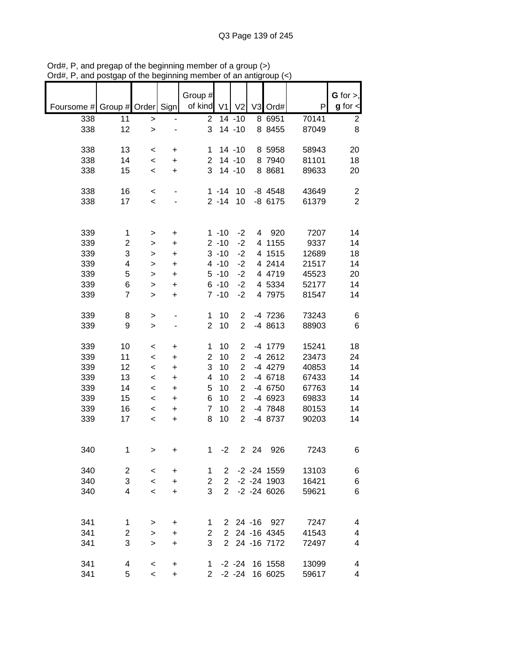|            |                    |                          |           | Group #             |                      |                                  |         |                       |                | G for $>$ ,                               |
|------------|--------------------|--------------------------|-----------|---------------------|----------------------|----------------------------------|---------|-----------------------|----------------|-------------------------------------------|
| Foursome # | Group # Order Sign |                          |           | of kind             | V1                   | V <sub>2</sub>                   |         | V3 Ord#               | P              | $g$ for $\lt$                             |
| 338        | 11                 | >                        |           | $\overline{2}$      |                      | 14 -10                           |         | 8 6951                | 70141          | $\overline{\mathbf{c}}$                   |
| 338        | 12                 | $\geq$                   |           | 3                   |                      | $14 - 10$                        |         | 8 8455                | 87049          | 8                                         |
|            |                    |                          |           |                     |                      |                                  |         |                       |                |                                           |
| 338        | 13                 | $\,<\,$                  | +         | 1                   |                      | $14 - 10$                        |         | 8 5958                | 58943          | 20                                        |
| 338        | 14                 | $\,<\,$                  | +         | $\overline{2}$      |                      | $14 - 10$                        |         | 8 7940                | 81101          | 18                                        |
| 338        | 15                 | $\,<\,$                  | $\ddot{}$ | 3                   |                      | $14 - 10$                        |         | 8 8 6 8 1             | 89633          | 20                                        |
|            |                    |                          |           |                     |                      |                                  |         |                       |                |                                           |
| 338<br>338 | 16                 | $\,<\,$                  |           |                     | $1 - 14$<br>$2 - 14$ | 10<br>10                         |         | $-8$ 4548<br>$-86175$ | 43649<br>61379 | $\overline{\mathbf{c}}$<br>$\overline{2}$ |
|            | 17                 | $\,<\,$                  |           |                     |                      |                                  |         |                       |                |                                           |
|            |                    |                          |           |                     |                      |                                  |         |                       |                |                                           |
| 339        | 1                  | >                        | +         |                     | $1 - 10$             | $-2$                             | 4       | 920                   | 7207           | 14                                        |
| 339        | 2                  | >                        | +         |                     | $2 - 10$             | $-2$                             | 4       | 1155                  | 9337           | 14                                        |
| 339        | 3                  | >                        | $\ddot{}$ |                     | $3 - 10$             | $-2$                             |         | 4 1515                | 12689          | 18                                        |
| 339        | 4                  | >                        | +         |                     | $4 - 10$             | $-2$                             |         | 4 2414                | 21517          | 14                                        |
| 339        | 5                  | $\, > \,$                | +         |                     | $5 - 10$             | $-2$                             |         | 4 4719                | 45523          | 20                                        |
| 339        | 6                  | $\mathbf{I}$             | +         |                     | $6 - 10$             | $-2$                             |         | 4 5334                | 52177          | 14                                        |
| 339        | $\overline{7}$     | $\geq$                   | +         |                     | $7 - 10$             | $-2$                             |         | 4 7975                | 81547          | 14                                        |
|            |                    |                          |           |                     |                      |                                  |         |                       |                |                                           |
| 339        | 8                  | >                        |           | $\mathbf 1$         | 10                   | $\overline{c}$                   |         | -4 7236               | 73243          | 6                                         |
| 339        | 9                  | $\geq$                   |           | $\overline{2}$      | 10                   | $\overline{2}$                   |         | -4 8613               | 88903          | 6                                         |
|            |                    |                          |           |                     |                      |                                  |         |                       |                |                                           |
| 339<br>339 | 10<br>11           | $\,<$                    | +         | 1<br>$\overline{c}$ | 10<br>10             | $\overline{c}$                   |         | -4 1779<br>$-4$ 2612  | 15241<br>23473 | 18<br>24                                  |
| 339        | 12                 | $\,<$                    | +         | 3                   | 10                   | $\overline{c}$<br>$\overline{2}$ |         | -4 4279               | 40853          | 14                                        |
| 339        | 13                 | $\,<$<br>$\,<$           | +<br>+    | 4                   | 10                   | $\overline{2}$                   |         | $-4$ 6718             | 67433          | 14                                        |
| 339        | 14                 | $\,<$                    | $\ddot{}$ | 5                   | 10                   | $\overline{2}$                   |         | -4 6750               | 67763          | 14                                        |
| 339        | 15                 | $\,<$                    | +         | 6                   | 10                   | $\overline{2}$                   |         | -4 6923               | 69833          | 14                                        |
| 339        | 16                 | $\,<\,$                  | +         | $\overline{7}$      | 10                   | $\overline{2}$                   |         | -4 7848               | 80153          | 14                                        |
| 339        | 17                 | $\,<\,$                  | +         | 8                   | 10                   | $\overline{2}$                   |         | -4 8737               | 90203          | 14                                        |
|            |                    |                          |           |                     |                      |                                  |         |                       |                |                                           |
|            |                    |                          |           |                     |                      |                                  |         |                       |                |                                           |
| 340        | $\mathbf 1$        | >                        | +         | 1                   | $-2$                 | $\overline{2}$                   | 24      | 926                   | 7243           | 6                                         |
|            |                    |                          |           |                     |                      |                                  |         |                       |                |                                           |
| 340        | $\overline{c}$     | $\,<\,$                  | $\ddot{}$ | 1                   | $\mathbf{2}$         |                                  |         | $-2 - 24$ 1559        | 13103          | 6                                         |
| 340        | 3                  | $\overline{\phantom{a}}$ | $\ddot{}$ | 2                   | $\overline{2}$       |                                  |         | $-2 - 24$ 1903        | 16421          | 6                                         |
| 340        | 4                  | $\prec$                  | $\ddot{}$ | 3                   | $\overline{2}$       |                                  |         | $-2 - 24 6026$        | 59621          | 6                                         |
|            |                    |                          |           |                     |                      |                                  |         |                       |                |                                           |
| 341        | 1                  | >                        | +         | 1                   | $\mathbf{2}$         |                                  | 24 - 16 | 927                   | 7247           | 4                                         |
| 341        | 2                  | >                        | +         | $\overline{2}$      | $\mathbf{2}$         |                                  |         | 24 -16 4345           | 41543          | 4                                         |
| 341        | 3                  | $\geq$                   | $\ddot{}$ | 3                   | $\overline{2}$       |                                  |         | 24 -16 7172           | 72497          | 4                                         |
|            |                    |                          |           |                     |                      |                                  |         |                       |                |                                           |
| 341        | 4                  | $\,<$                    | $\ddot{}$ | 1.                  |                      | $-2 - 24$                        |         | 16 1558               | 13099          | 4                                         |
| 341        | 5                  | $\,<\,$                  | +         | $\overline{2}$      |                      | $-2 -24$                         |         | 16 6025               | 59617          | 4                                         |

Ord#, P, and pregap of the beginning member of a group (>) Ord#, P, and postgap of the beginning member of an antigroup (<)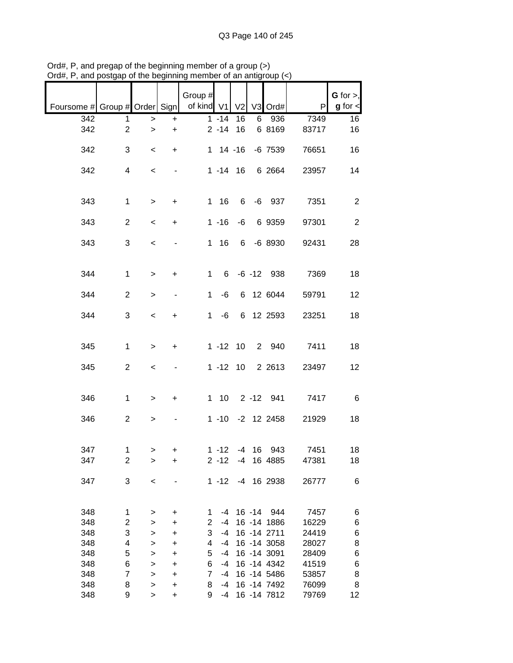|                               |                         |              |           | Group #        |                |                |         |               |       | G for $>$ ,     |
|-------------------------------|-------------------------|--------------|-----------|----------------|----------------|----------------|---------|---------------|-------|-----------------|
| Foursome # Group # Order Sign |                         |              |           | of kind V1     |                | V <sub>2</sub> |         | V3 Ord#       | P     | $g$ for $\lt$   |
| 342                           | 1                       | >            | +         |                | $1 - 14$       | 16             | 6       | 936           | 7349  | 16              |
| 342                           | $\overline{c}$          | $\mathbf{I}$ | $\ddot{}$ |                | $2 - 14$       | 16             |         | 6 8169        | 83717 | 16              |
| 342                           | 3                       | $\,<\,$      | +         |                | $1 \t14 \t-16$ |                |         | $-6$ 7539     | 76651 | 16              |
| 342                           | 4                       | $\,<$        |           |                | $1 - 14$ 16    |                |         | 6 2664        | 23957 | 14              |
| 343                           | $\mathbf 1$             | $\, > \,$    | $\ddot{}$ |                | 116            | 6              |         | $-6$ 937      | 7351  | $\overline{2}$  |
| 343                           | $\overline{2}$          | $\,<\,$      | +         |                | $1 - 16$       | -6             |         | 6 9359        | 97301 | $\sqrt{2}$      |
| 343                           | 3                       | $\,<\,$      |           |                | 116            |                |         | 6 -6 8930     | 92431 | 28              |
| 344                           | $\mathbf{1}$            | $\, > \,$    | +         | $\mathbf{1}$   | 6              |                |         | $-6 - 12$ 938 | 7369  | 18              |
| 344                           | $\overline{2}$          | $\, > \,$    |           | $\mathbf 1$    | -6             |                |         | 6 12 6044     | 59791 | 12              |
| 344                           | 3                       | $\,<$        | +         | $\mathbf 1$    | -6             |                |         | 6 12 2593     | 23251 | 18              |
| 345                           | $\mathbf{1}$            | $\, > \,$    | +         |                | $1 - 12$       | 10             |         | 2 940         | 7411  | 18              |
| 345                           | $\overline{2}$          | $\,<\,$      |           |                | $1 - 12$ 10    |                |         | 2 2 6 1 3     | 23497 | 12              |
| 346                           | $\mathbf{1}$            | $\,>$        | $\ddot{}$ |                | $1 \quad 10$   |                |         | 2 -12 941     | 7417  | $\,6$           |
| 346                           | $\overline{c}$          | $\,$         |           |                | $1 - 10$       |                |         | $-2$ 12 2458  | 21929 | 18              |
| 347                           | 1                       | $\, > \,$    | +         |                | $1 - 12$       |                | $-4$ 16 | 943           | 7451  | 18              |
| 347                           | 2                       | >            | +         |                | $2 - 12$       | $-4$           |         | 16 4885       | 47381 | 18              |
| 347                           | 3                       | $\,<$        |           |                | $1 - 12$       |                |         | -4 16 2938    | 26777 | 6               |
| 348                           | 1                       | >            | $\ddot{}$ | 1              | -4             |                | 16 -14  | 944           | 7457  | 6               |
| 348                           | $\overline{\mathbf{c}}$ | >            | $\ddot{}$ | $\overline{c}$ | $-4$           |                |         | 16 - 14 1886  | 16229 | 6               |
| 348                           | 3                       | >            | $\ddot{}$ | 3              | $-4$           |                |         | 16 - 14 2711  | 24419 | 6               |
| 348                           | 4                       | >            | +         | 4              | $-4$           |                |         | 16 - 14 3058  | 28027 | 8               |
| 348                           | 5                       | >            | $\ddot{}$ | 5              | -4             |                |         | 16 -14 3091   | 28409 | 6               |
| 348                           | 6                       | >            | $\ddot{}$ | 6              | -4             |                |         | 16 -14 4342   | 41519 | 6               |
| 348                           | $\overline{7}$          | $\mathbf{I}$ | $\ddot{}$ | 7              | $-4$           |                |         | 16 -14 5486   | 53857 | 8               |
| 348                           | 8                       | >            | $\ddot{}$ | 8              | -4             |                |         | 16 -14 7492   | 76099 | 8               |
| 348                           | 9                       | $\, > \,$    | +         | 9              | -4             |                |         | 16 - 14 7812  | 79769 | 12 <sub>2</sub> |

Ord#, P, and pregap of the beginning member of a group (>) Ord#, P, and postgap of the beginning member of an antigroup (<)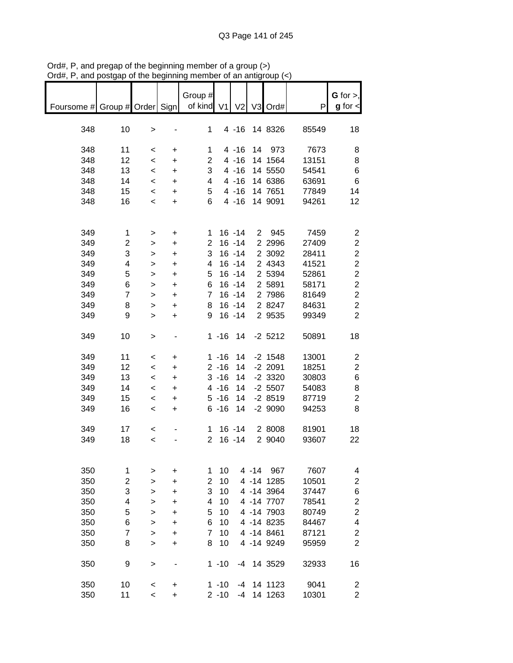|                          |    |           |           | Group #        |                |                |          |            |       | G for $>$ ,             |
|--------------------------|----|-----------|-----------|----------------|----------------|----------------|----------|------------|-------|-------------------------|
| Foursome # Group # Order |    |           | Sign      | of kind        | V <sub>1</sub> | V <sub>2</sub> |          | V3 Ord#    | P     | $g$ for $\lt$           |
|                          |    |           |           |                |                |                |          |            |       |                         |
| 348                      | 10 | $\,>$     |           | 1              |                | $4 - 16$       |          | 14 8326    | 85549 | 18                      |
| 348                      | 11 | $\,<\,$   | +         | 1              |                | $4 - 16$       |          | 14 973     | 7673  | 8                       |
| 348                      | 12 | $\,<$     | +         | $\overline{2}$ |                | $4 - 16$       |          | 14 1564    | 13151 | 8                       |
| 348                      | 13 | $\,<$     | +         | 3              |                | $4 - 16$       |          | 14 5550    | 54541 | 6                       |
| 348                      | 14 | $\,<\,$   | +         | 4              |                | $4 - 16$       |          | 14 6386    | 63691 | 6                       |
| 348                      | 15 | $\,<\,$   | +         | 5              |                | $4 - 16$       |          | 14 7651    | 77849 | 14                      |
| 348                      | 16 | $\,<$     | $\ddot{}$ | 6              |                | $4 - 16$       |          | 14 9091    | 94261 | 12                      |
|                          |    |           |           |                |                |                |          |            |       |                         |
| 349                      | 1  | >         | +         | 1.             |                | $16 - 14$      |          | 2 945      | 7459  | $\overline{\mathbf{c}}$ |
| 349                      | 2  | $\, > \,$ | $\ddot{}$ | $\overline{2}$ |                | $16 - 14$      |          | 2 2 9 9 6  | 27409 | $\overline{c}$          |
| 349                      | 3  | >         | $\ddot{}$ | 3              |                | $16 - 14$      |          | 2 3092     | 28411 | $\overline{\mathbf{c}}$ |
| 349                      | 4  | >         | $\ddot{}$ | 4              |                | $16 - 14$      |          | 2 4343     | 41521 | $\overline{\mathbf{c}}$ |
| 349                      | 5  | >         | $\ddot{}$ | 5              |                | $16 - 14$      |          | 2 5394     | 52861 | $\overline{c}$          |
| 349                      | 6  | >         | $\ddot{}$ | 6              |                | $16 - 14$      |          | 2 5891     | 58171 | $\overline{c}$          |
| 349                      | 7  | >         | $\ddot{}$ | 7              |                | $16 - 14$      |          | 2 7986     | 81649 | $\overline{c}$          |
| 349                      | 8  | >         | $\ddot{}$ | 8              |                | $16 - 14$      |          | 2 8247     | 84631 | $\overline{c}$          |
| 349                      | 9  | $\geq$    | $\ddot{}$ | 9              |                | $16 - 14$      |          | 2 9535     | 99349 | $\overline{2}$          |
| 349                      | 10 | $\, > \,$ |           |                | $1 - 16$       | 14             |          | $-2$ 5212  | 50891 | 18                      |
| 349                      | 11 | <         | +         |                | $1 - 16$       | 14             |          | $-2$ 1548  | 13001 | 2                       |
| 349                      | 12 | $\,<\,$   | +         |                | $2 - 16$       | 14             |          | $-2$ 2091  | 18251 | 2                       |
| 349                      | 13 | $\,<$     | $\ddot{}$ |                | $3 - 16$       | 14             |          | $-2$ 3320  | 30803 | 6                       |
| 349                      | 14 | $\,<\,$   | +         |                | $4 - 16$       | 14             |          | $-2$ 5507  | 54083 | 8                       |
| 349                      | 15 | $\,<\,$   | +         |                | $5 - 16$       | 14             |          | $-28519$   | 87719 | $\overline{\mathbf{c}}$ |
| 349                      | 16 | $\,<\,$   | +         |                | $6 - 16$       | 14             |          | $-29090$   | 94253 | 8                       |
| 349                      | 17 | $\,<$     |           | 1.             |                | $16 - 14$      |          | 2 8008     | 81901 | 18                      |
| 349                      | 18 | $\,<$     |           | $\overline{2}$ |                | $16 - 14$      |          | 2 9040     | 93607 | 22                      |
|                          |    |           |           |                |                |                |          |            |       |                         |
| 350                      | 1  | >         | +         | 1              | 10             |                | $4 - 14$ | 967        | 7607  | 4                       |
| 350                      | 2  | $\geq$    | +         | $\overline{2}$ | 10             |                |          | 4 -14 1285 | 10501 | $\overline{\mathbf{c}}$ |
| 350                      | 3  | >         | +         | 3              | 10             |                |          | 4 -14 3964 | 37447 | 6                       |
| 350                      | 4  | >         | +         | 4              | 10             |                |          | 4 -14 7707 | 78541 | $\overline{\mathbf{c}}$ |
| 350                      | 5  | >         | +         | 5              | 10             |                |          | 4 -14 7903 | 80749 | $\overline{\mathbf{c}}$ |
| 350                      | 6  | >         | +         | 6              | 10             |                |          | 4 -14 8235 | 84467 | 4                       |
| 350                      | 7  | >         | +         | 7              | 10             |                |          | 4 -14 8461 | 87121 | $\overline{\mathbf{c}}$ |
| 350                      | 8  | $\geq$    | $\ddot{}$ | 8              | 10             |                |          | 4 -14 9249 | 95959 | $\overline{2}$          |
| 350                      | 9  | >         |           |                | $1 - 10$       | -4             |          | 14 3529    | 32933 | 16                      |
| 350                      | 10 | $\,<$     | +         |                | $1 - 10$       | $-4$           |          | 14 1123    | 9041  | $\overline{\mathbf{c}}$ |
| 350                      | 11 | $\,<$     | +         |                | $2 - 10$       | $-4$           |          | 14 1263    | 10301 | $\overline{2}$          |

Ord#, P, and pregap of the beginning member of a group (>) Ord#, P, and postgap of the beginning member of an antigroup (<)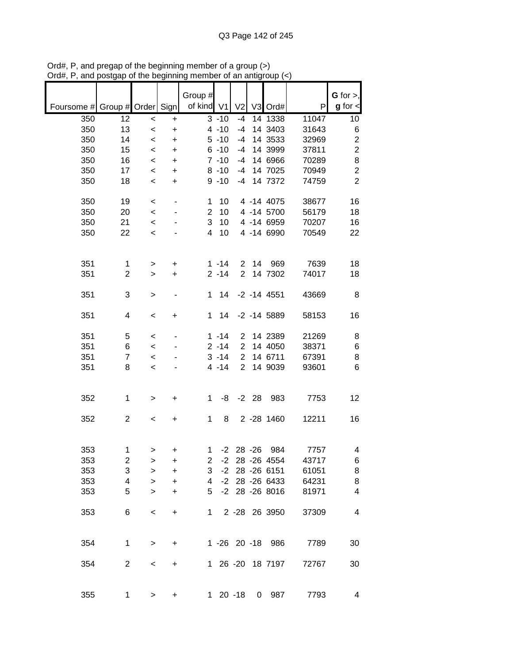|            |                    |           |                          | Group #        |               |                |           |                  |       | G for $>$ ,             |
|------------|--------------------|-----------|--------------------------|----------------|---------------|----------------|-----------|------------------|-------|-------------------------|
| Foursome # | Group # Order Sign |           |                          | of kind V1     |               | V <sub>2</sub> |           | V3 Ord#          | P     | $g$ for $\lt$           |
| 350        | 12                 | $\prec$   | $\ddot{}$                |                | $3 - 10$      | -4             |           | 14 1338          | 11047 | 10                      |
| 350        | 13                 | $\,<$     | +                        |                | $4 - 10$      | $-4$           |           | 14 3403          | 31643 | 6                       |
| 350        | 14                 | $\,<$     | $\ddot{}$                |                | $5 - 10$      | $-4$           |           | 14 3533          | 32969 | $\overline{\mathbf{c}}$ |
| 350        | 15                 | $\,<\,$   | $\ddot{}$                |                | $6 - 10$      | $-4$           |           | 14 3999          | 37811 | $\overline{c}$          |
| 350        | 16                 | $\,<\,$   | +                        |                | $7 - 10$      | $-4$           |           | 14 6966          | 70289 | 8                       |
| 350        | 17                 | $\,<\,$   | $\ddot{}$                |                | $8 - 10$      | $-4$           |           | 14 7025          | 70949 | $\overline{c}$          |
| 350        | 18                 | $\,<\,$   | +                        |                | $9 - 10$      | $-4$           |           | 14 7372          | 74759 | $\overline{2}$          |
|            |                    |           |                          |                |               |                |           |                  |       |                         |
| 350        | 19                 | $\,<$     | $\overline{\phantom{0}}$ | 1              | 10            |                |           | 4 -14 4075       | 38677 | 16                      |
| 350        | 20                 | $\,<\,$   |                          | $\overline{2}$ | 10            |                |           | 4 -14 5700       | 56179 | 18                      |
| 350        | 21                 | $\,<$     |                          | 3              | 10            |                |           | 4 -14 6959       | 70207 | 16                      |
| 350        | 22                 | $\,<$     |                          | 4              | 10            |                |           | 4 -14 6990       | 70549 | 22                      |
|            |                    |           |                          |                |               |                |           |                  |       |                         |
|            |                    |           |                          |                |               |                |           |                  |       |                         |
| 351        | 1                  | $\, > \,$ | +                        |                | $1 - 14$      | $\overline{2}$ | 14        | 969              | 7639  | 18                      |
| 351        | $\overline{2}$     | >         | +                        |                | $2 - 14$      | $\overline{2}$ |           | 14 7302          | 74017 | 18                      |
| 351        | 3                  | >         |                          | 1              | 14            |                |           | $-2 - 14$ 4551   | 43669 | 8                       |
|            |                    |           |                          |                |               |                |           |                  |       |                         |
| 351        | 4                  | $\,<\,$   | +                        | 1              | 14            |                |           | $-2$ $-14$ 5889  | 58153 | 16                      |
|            |                    |           |                          |                |               |                |           |                  |       |                         |
| 351        | 5                  | $\,<\,$   |                          |                | $1 - 14$      | $\overline{2}$ |           | 14 2389          | 21269 | 8                       |
| 351        | 6                  | $\,<\,$   |                          |                | $2 - 14$      | $\overline{2}$ |           | 14 4050          | 38371 | 6                       |
| 351        | $\overline{7}$     | $\,<\,$   |                          |                | $3 - 14$      | $\overline{2}$ |           | 14 6711          | 67391 | 8                       |
| 351        | 8                  | $\,<$     |                          |                | $4 - 14$      | $\overline{2}$ |           | 14 9039          | 93601 | 6                       |
|            |                    |           |                          |                |               |                |           |                  |       |                         |
| 352        | 1                  | >         | +                        | 1              | -8            |                | $-2$ 28   | 983              | 7753  | 12                      |
|            |                    |           |                          |                |               |                |           |                  |       |                         |
| 352        | $\overline{c}$     | $\,<$     | +                        | 1              | 8             |                |           | 2 -28 1460       | 12211 | 16                      |
|            |                    |           |                          |                |               |                |           |                  |       |                         |
|            |                    |           |                          |                |               |                |           |                  |       |                         |
| 353        | 1                  | $\, > \,$ | +                        | 1              | $-2$          |                | $28 - 26$ | 984              | 7757  | 4                       |
| 353        | 2                  | >         | +                        | $\overline{2}$ |               |                |           | -2 28 -26 4554   | 43717 | 6                       |
| 353        | 3                  | >         | +                        | 3              | $-2$          |                |           | 28 - 26 6151     | 61051 | 8                       |
| 353        | 4                  | $\geq$    | +                        | 4              | $-2$          |                |           | 28 - 26 6433     | 64231 | 8                       |
| 353        | 5                  | $\geq$    | +                        | 5              |               |                |           | -2 28 -26 8016   | 81971 | $\overline{\mathbf{4}}$ |
|            |                    |           |                          |                |               |                |           |                  |       |                         |
| 353        | 6                  | $\,<\,$   | +                        | 1              |               |                |           | 2 -28 26 3950    | 37309 | 4                       |
|            |                    |           |                          |                |               |                |           |                  |       |                         |
|            |                    |           |                          |                |               |                |           |                  |       |                         |
| 354        | 1                  | $\, > \,$ | +                        |                |               |                |           | 1 -26 20 -18 986 | 7789  | 30                      |
| 354        | $\overline{c}$     | <         | +                        |                |               |                |           | 1 26 -20 18 7197 | 72767 | 30                      |
|            |                    |           |                          |                |               |                |           |                  |       |                         |
|            |                    |           |                          |                |               |                |           |                  |       |                         |
| 355        | 1                  | >         | +                        |                | $1 \t20 - 18$ |                |           | 0 987            | 7793  | 4                       |

Ord#, P, and pregap of the beginning member of a group (>) Ord#, P, and postgap of the beginning member of an antigroup (<)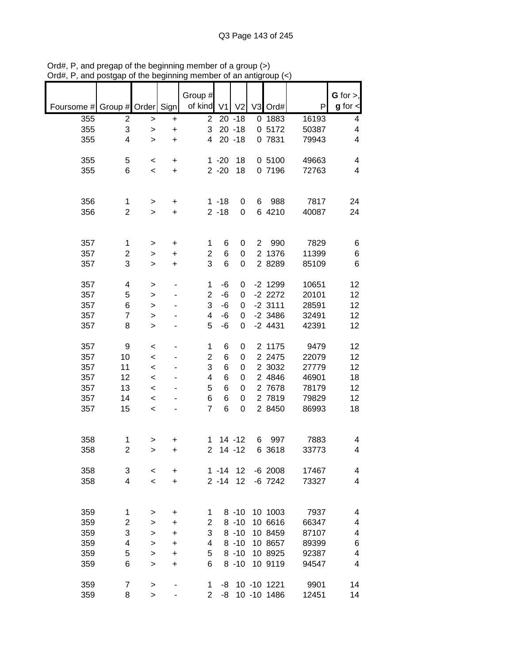|            |                |              |           | Group #                 |          |                |                |             |       | G for $>$ ,          |
|------------|----------------|--------------|-----------|-------------------------|----------|----------------|----------------|-------------|-------|----------------------|
| Foursome # | Group # Order  |              | Sign      | of kind                 | V1       | V <sub>2</sub> | V <sub>3</sub> | Ord#        | P     | $g$ for $\textsf{I}$ |
| 355        | 2              | $\,$         | +         | $\overline{2}$          |          | $20 - 18$      | 0              | 1883        | 16193 | 4                    |
| 355        | 3              | >            | +         | 3                       |          | $20 - 18$      |                | 0 5172      | 50387 | 4                    |
| 355        | 4              | >            | +         | 4                       |          | $20 - 18$      |                | 0 7831      | 79943 | 4                    |
|            |                |              |           |                         |          |                |                |             |       |                      |
| 355        | 5              | $\prec$      | +         |                         | $1 - 20$ | 18             |                | 0 5100      | 49663 | 4                    |
| 355        | 6              | $\,<$        | $\ddot{}$ |                         | $2 - 20$ | 18             |                | 0 7196      | 72763 | 4                    |
|            |                |              |           |                         |          |                |                |             |       |                      |
|            |                |              |           |                         |          |                |                |             |       |                      |
| 356        | 1              | >            | +         |                         | $1 - 18$ | 0              | 6              | 988         | 7817  | 24                   |
| 356        | $\overline{2}$ | >            | +         |                         | $2 - 18$ | 0              |                | 6 4210      | 40087 | 24                   |
|            |                |              |           |                         |          |                |                |             |       |                      |
|            |                |              |           |                         |          |                |                |             |       |                      |
| 357        | 1              | >            | +         | 1                       | 6        | 0              | 2              | 990         | 7829  | 6                    |
| 357        | 2              | >            | +         | $\overline{\mathbf{c}}$ | 6        | 0              | $\overline{2}$ | 1376        | 11399 | 6                    |
| 357        | 3              | $\geq$       | $\ddot{}$ | 3                       | 6        | 0              |                | 2 8289      | 85109 | 6                    |
|            |                |              |           |                         |          |                |                |             |       |                      |
| 357        | 4              | $\mathbf{I}$ |           | 1                       | $-6$     | 0              |                | $-2$ 1299   | 10651 | 12                   |
| 357        | 5              | $\mathbf{I}$ |           | $\overline{2}$          | $-6$     | 0              |                | $-2$ 2272   | 20101 | 12                   |
| 357        | 6              | >            |           | 3                       | $-6$     | 0              |                | $-2$ 3111   | 28591 | 12                   |
| 357        | $\overline{7}$ | $\geq$       |           | 4                       | $-6$     | 0              |                | $-2$ 3486   | 32491 | 12                   |
| 357        | 8              | >            |           | 5                       | -6       | 0              |                | $-2$ 4431   | 42391 | 12                   |
| 357        | 9              | $\,<$        |           | $\mathbf 1$             | 6        | 0              |                | 2 1175      | 9479  | 12                   |
| 357        | 10             | $\prec$      |           | $\overline{\mathbf{c}}$ | 6        | 0              |                | 2 2 4 7 5   | 22079 | 12                   |
| 357        | 11             | $\,<$        |           | 3                       | 6        | 0              | $\overline{2}$ | 3032        | 27779 | 12                   |
| 357        | 12             | $\,<$        |           | 4                       | 6        | 0              |                | 2 4846      | 46901 | 18                   |
| 357        | 13             | $\,<$        |           | 5                       | 6        | 0              |                | 2 7678      | 78179 | 12                   |
| 357        | 14             | $\,<$        |           | 6                       | 6        | 0              |                | 2 7819      | 79829 | 12                   |
| 357        | 15             | $\prec$      |           | $\overline{7}$          | 6        | 0              |                | 2 8450      | 86993 | 18                   |
|            |                |              |           |                         |          |                |                |             |       |                      |
|            |                |              |           |                         |          |                |                |             |       |                      |
| 358        | 1              | >            | +         | 1                       |          | $14 - 12$      | 6              | 997         | 7883  | 4                    |
| 358        | $\overline{2}$ | >            | +         | $\overline{2}$          |          | $14 - 12$      | 6              | 3618        | 33773 | 4                    |
|            |                |              |           |                         |          |                |                |             |       |                      |
| 358        | 3              | $\,<\,$      | +         |                         | $1 - 14$ | 12             |                | $-6$ 2008   | 17467 | 4                    |
| 358        | 4              | $\prec$      | $\ddot{}$ |                         | $2 - 14$ | 12             |                | $-6$ 7242   | 73327 | 4                    |
|            |                |              |           |                         |          |                |                |             |       |                      |
|            |                |              |           |                         |          |                |                |             |       |                      |
| 359        | 1              | >            | +         | 1                       |          | $8 - 10$       |                | 10 1003     | 7937  | 4                    |
| 359        | 2              | >            | +         | $\overline{2}$          |          | $8 - 10$       |                | 10 6616     | 66347 | 4                    |
| 359        | 3              | >            | +         | 3                       |          | $8 - 10$       |                | 10 8459     | 87107 | 4                    |
| 359        | 4              | >            | +         | 4                       |          | $8 - 10$       |                | 10 8657     | 89399 | 6                    |
| 359        | 5              | >            | +         | 5                       |          | $8 - 10$       |                | 10 8925     | 92387 | 4                    |
| 359        | 6              | >            | +         | 6                       |          | $8 - 10$       |                | 10 9119     | 94547 | 4                    |
|            |                |              |           |                         |          |                |                |             |       |                      |
| 359        | 7              | >            |           | 1                       | -8       |                |                | 10 -10 1221 | 9901  | 14                   |
| 359        | 8              | $\geq$       |           | $\overline{2}$          | -8       |                |                | 10 -10 1486 | 12451 | 14                   |

Ord#, P, and pregap of the beginning member of a group (>) Ord#, P, and postgap of the beginning member of an antigroup (<)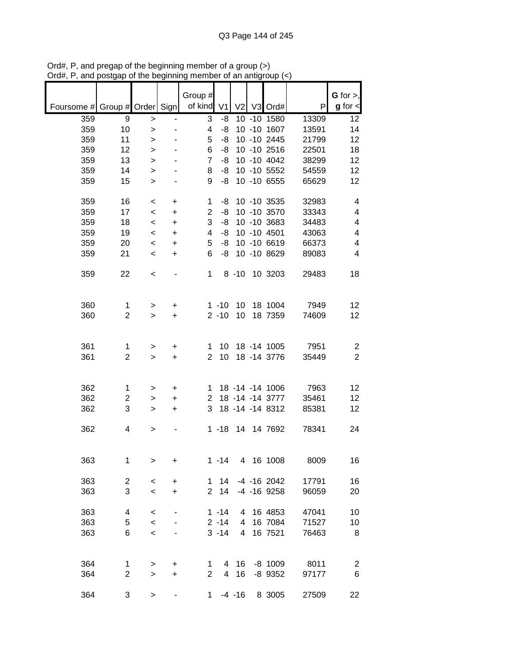|            |                    |                          |           | Group #        |                |                |                 |       | G for $>$ ,             |
|------------|--------------------|--------------------------|-----------|----------------|----------------|----------------|-----------------|-------|-------------------------|
| Foursome # | Group # Order Sign |                          |           | of kind        | V <sub>1</sub> | V <sub>2</sub> | V3 Ord#         | P     | $g$ for $\lt$           |
| 359        | 9                  | $\, > \,$                |           | 3              | -8             |                | 10 -10 1580     | 13309 | 12                      |
| 359        | 10                 | >                        |           | 4              | -8             |                | 10 -10 1607     | 13591 | 14                      |
| 359        | 11                 | >                        |           | 5              | -8             |                | 10 -10 2445     | 21799 | 12                      |
| 359        | 12                 | >                        |           | 6              | -8             |                | 10 -10 2516     | 22501 | 18                      |
| 359        | 13                 | $\geq$                   |           | 7              | -8             |                | 10 -10 4042     | 38299 | 12                      |
| 359        | 14                 | >                        |           | 8              | -8             |                | 10 -10 5552     | 54559 | 12                      |
| 359        | 15                 | $\geq$                   |           | 9              | -8             |                | 10 -10 6555     | 65629 | 12                      |
|            |                    |                          |           |                |                |                |                 |       |                         |
| 359        | 16                 | $\,<\,$                  | +         | 1              | -8             |                | 10 -10 3535     | 32983 | 4                       |
| 359        | 17                 | $\,<\,$                  | $\ddot{}$ | $\overline{2}$ | -8             |                | 10 -10 3570     | 33343 | 4                       |
| 359        | 18                 | $\,<\,$                  | $\ddot{}$ | 3              | -8             |                | 10 -10 3683     | 34483 | 4                       |
| 359        | 19                 | $\,<\,$                  | $\ddot{}$ | 4              | -8             |                | 10 -10 4501     | 43063 | 4                       |
| 359        | 20                 | $\,<\,$                  | $\ddot{}$ | 5              | -8             |                | 10 -10 6619     | 66373 | 4                       |
| 359        | 21                 | $\overline{\phantom{a}}$ | +         | 6              | -8             |                | 10 -10 8629     | 89083 | 4                       |
|            |                    |                          |           |                |                |                |                 |       |                         |
| 359        | 22                 | $\,<\,$                  |           | $\mathbf{1}$   |                | $8 - 10$       | 10 3203         | 29483 | 18                      |
|            |                    |                          |           |                |                |                |                 |       |                         |
|            |                    |                          |           |                |                |                |                 |       |                         |
| 360        | 1                  | >                        | +         |                | $1 - 10$       | 10             | 18 1004         | 7949  | 12                      |
| 360        | $\overline{2}$     | $\geq$                   | $\ddot{}$ |                | $2 - 10$       | 10             | 18 7359         | 74609 | 12                      |
|            |                    |                          |           |                |                |                |                 |       |                         |
|            |                    |                          |           |                |                |                |                 |       |                         |
| 361        | 1                  | >                        | +         | 1              | 10             |                | 18 -14 1005     | 7951  | $\overline{c}$          |
| 361        | $\overline{2}$     | $\geq$                   | $\ddot{}$ | $\overline{2}$ | 10             |                | 18 - 14 3776    | 35449 | $\overline{2}$          |
|            |                    |                          |           |                |                |                |                 |       |                         |
| 362        | 1                  | >                        | +         | 1.             |                |                | 18 -14 -14 1006 | 7963  | 12                      |
| 362        | $\overline{c}$     | $\geq$                   | +         | $\overline{2}$ |                |                | 18 -14 -14 3777 | 35461 | 12                      |
| 362        | 3                  | >                        | $\ddot{}$ | 3              |                |                | 18 -14 -14 8312 | 85381 | 12                      |
|            |                    |                          |           |                |                |                |                 |       |                         |
| 362        | 4                  | $\, > \,$                |           |                | $1 - 18$       |                | 14 14 7692      | 78341 | 24                      |
|            |                    |                          |           |                |                |                |                 |       |                         |
|            |                    |                          |           |                |                |                |                 |       |                         |
| 363        | 1                  | >                        | +         |                | $1 - 14$       |                | 4 16 1008       | 8009  | 16                      |
|            |                    |                          |           |                |                |                |                 |       |                         |
| 363        | $\overline{c}$     | $\,<\,$                  | +         |                | $1 \quad 14$   |                | $-4$ $-16$ 2042 | 17791 | 16                      |
| 363        | 3                  | $\prec$                  | $\ddot{}$ |                | 2 14           |                | $-4$ $-16$ 9258 | 96059 | 20                      |
|            |                    |                          |           |                |                |                |                 |       |                         |
| 363        | 4                  | $\,<$                    |           |                | $1 - 14$       | $\overline{4}$ | 16 4853         | 47041 | 10                      |
| 363        | 5                  | $\prec$                  |           |                | $2 - 14$       | 4              | 16 7084         | 71527 | 10                      |
| 363        | 6                  | $\,<\,$                  |           |                | $3 - 14$       | $\overline{4}$ | 16 7521         | 76463 | 8                       |
|            |                    |                          |           |                |                |                |                 |       |                         |
|            |                    |                          |           |                |                |                |                 |       |                         |
| 364        | 1                  | >                        | +         | 1              | 4              | 16             | $-8$ 1009       | 8011  | $\overline{\mathbf{c}}$ |
| 364        | $\overline{2}$     | $\geq$                   | +         | $\overline{2}$ | 4              | 16             | -8 9352         | 97177 | 6                       |
|            |                    |                          |           |                |                |                |                 |       |                         |
| 364        | 3                  | $\geq$                   |           | 1              |                | $-4 - 16$      | 8 3005          | 27509 | 22                      |

Ord#, P, and pregap of the beginning member of a group (>) Ord#, P, and postgap of the beginning member of an antigroup (<)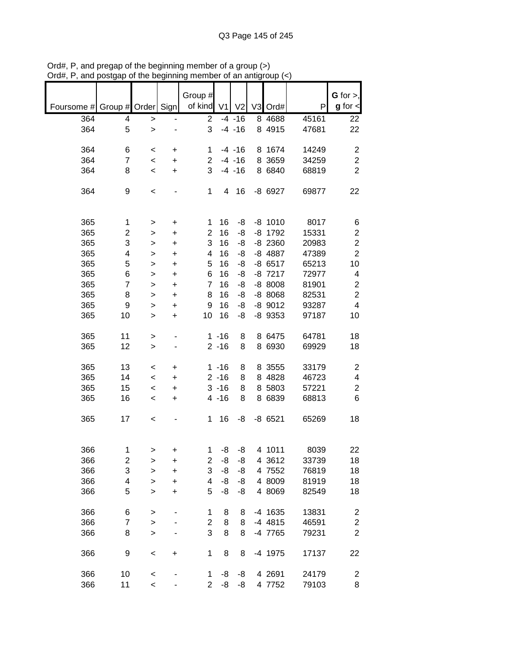|                               |                |              |           | Group #                 |                |                |           |               | $G$ for $>$ ,           |
|-------------------------------|----------------|--------------|-----------|-------------------------|----------------|----------------|-----------|---------------|-------------------------|
| Foursome # Group # Order Sign |                |              |           | of kind                 | V <sub>1</sub> | V <sub>2</sub> | V3 Ord#   | P             | $g$ for $\lt$           |
| 364                           | 4              | >            |           | $\overline{2}$          |                | $-4 - 16$      | 8 4 6 8 8 | 45161         | 22                      |
| 364                           | 5              | $\mathbf{I}$ |           | 3                       |                | $-4 - 16$      | 8 4915    | 47681         | 22                      |
| 364                           | 6              | $\,<$        | +         | 1                       |                | $-4 - 16$      | 8 1674    | 14249         | $\overline{2}$          |
| 364                           | $\overline{7}$ | $\,<\,$      | +         | $\overline{c}$          |                | $-4 - 16$      | 8 3659    | 34259         | $\mathbf 2$             |
| 364                           | 8              | $\,<$        | +         | 3                       |                | $-4 - 16$      | 8 6840    | 68819         | $\overline{2}$          |
| 364                           | 9              | $\,<$        |           | 1                       | 4              | 16             | -8 6927   | 69877         | 22                      |
|                               |                |              |           |                         | 16             |                | $-8$ 1010 |               |                         |
| 365<br>365                    | 1              | >            | +         | 1<br>$\overline{2}$     | 16             | -8<br>-8       | $-8$ 1792 | 8017<br>15331 | 6<br>$\mathbf 2$        |
|                               | 2              | >            | +         |                         |                |                |           |               |                         |
| 365                           | 3              | >            | +         | 3                       | 16             | -8             | $-8$ 2360 | 20983         | $\boldsymbol{2}$        |
| 365                           | 4              | $\mathbf{I}$ | +         | 4                       | 16             | -8             | -8 4887   | 47389         | $\overline{2}$          |
| 365                           | 5              | >            | +         | 5                       | 16             | -8             | $-86517$  | 65213         | 10                      |
| 365                           | 6              | >            | +         | 6                       | 16             | -8             | $-8$ 7217 | 72977         | $\overline{\mathbf{4}}$ |
| 365                           | 7              | >            | +         | $\overline{7}$          | 16             | -8             | $-8$ 8008 | 81901         | $\boldsymbol{2}$        |
| 365                           | 8              | >            | +         | 8                       | 16             | -8             | $-88068$  | 82531         | $\overline{c}$          |
| 365                           | 9              | >            | $\ddot{}$ | 9                       | 16             | -8             | $-8$ 9012 | 93287         | $\overline{\mathbf{4}}$ |
| 365                           | 10             | >            | $\ddot{}$ | 10                      | 16             | -8             | $-8$ 9353 | 97187         | 10                      |
| 365                           | 11             | >            |           |                         | $1 - 16$       | 8              | 8 6475    | 64781         | 18                      |
| 365                           | 12             | >            |           |                         | $2 - 16$       | 8              | 8 6930    | 69929         | 18                      |
| 365                           | 13             | $\,<\,$      | +         |                         | $1 - 16$       | 8              | 8 3555    | 33179         | $\overline{c}$          |
| 365                           | 14             | $\,<\,$      | $\ddot{}$ |                         | $2 - 16$       | 8              | 8 4828    | 46723         | 4                       |
| 365                           | 15             | $\,<$        | $\ddot{}$ |                         | $3 - 16$       | 8              | 8 5803    | 57221         | $\overline{c}$          |
| 365                           | 16             | $\,<$        | +         |                         | $4 - 16$       | 8              | 8 6839    | 68813         | 6                       |
| 365                           | 17             | $\,<$        |           | 1                       | 16             | -8             | $-8$ 6521 | 65269         | 18                      |
|                               |                |              |           |                         |                |                |           |               |                         |
| 366                           | 1              | >            | +         | 1                       | -8             | -8             | 4 1011    | 8039          | 22                      |
| 366                           | 2              | >            | +         | 2                       | -8             | -8             | 4 3612    | 33739         | 18                      |
| 366                           | 3              | $\mathbf{I}$ | $\ddot{}$ | 3                       | -8             | -8             | 4 7552    | 76819         | 18                      |
| 366                           | 4              | $\mathbf{I}$ | $\ddot{}$ | $\overline{\mathbf{4}}$ | -8             | -8             | 4 8009    | 81919         | 18                      |
| 366                           | 5              | $\geq$       | $\ddot{}$ | 5                       | -8             | -8             | 4 8069    | 82549         | 18                      |
| 366                           | 6              | $\geq$       |           | 1                       | 8              | 8              | -4 1635   | 13831         | $\overline{\mathbf{c}}$ |
| 366                           | 7              | >            |           | $\overline{\mathbf{c}}$ | 8              | 8              | $-4$ 4815 | 46591         | $\boldsymbol{2}$        |
| 366                           | 8              | $\geq$       |           | 3                       | 8              | 8              | -4 7765   | 79231         | $\overline{c}$          |
| 366                           | 9              | $\,<$        | $\ddot{}$ | 1                       | 8              | 8              | -4 1975   | 17137         | 22                      |
| 366                           | 10             | $\,<$        |           | 1                       | -8             | -8             | 4 2691    | 24179         | 2                       |
| 366                           | 11             | $\prec$      |           | $\overline{2}$          | -8             | -8             | 4 7752    | 79103         | 8                       |

Ord#, P, and pregap of the beginning member of a group (>) Ord#, P, and postgap of the beginning member of an antigroup (<)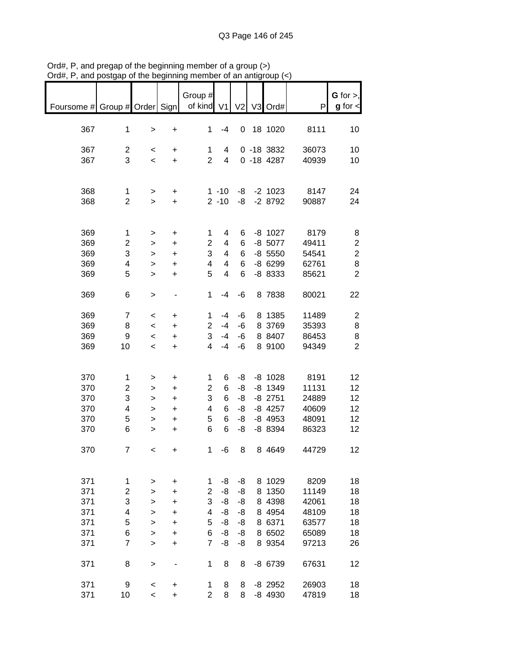| Foursome # Group # Order Sign                 |                                                           |                                                                   |                                                                                                   | Group #<br>of kind V1                                     |                                                         |                                        |   | V2 V3 Ord#                                                               | P                                                          | $G$ for $>$ ,<br>$g$ for $\lt$             |
|-----------------------------------------------|-----------------------------------------------------------|-------------------------------------------------------------------|---------------------------------------------------------------------------------------------------|-----------------------------------------------------------|---------------------------------------------------------|----------------------------------------|---|--------------------------------------------------------------------------|------------------------------------------------------------|--------------------------------------------|
| 367                                           | $\mathbf 1$                                               | $\,>$                                                             | $\ddot{}$                                                                                         | 1                                                         | $-4$                                                    |                                        |   | 0 18 1020                                                                | 8111                                                       | 10                                         |
| 367<br>367                                    | $\overline{c}$<br>3                                       | $\,<\,$<br>$\overline{\phantom{a}}$                               | +<br>$\ddot{}$                                                                                    | 1<br>$\overline{2}$                                       | 4<br>$\overline{4}$                                     |                                        |   | $0 - 18$ 3832<br>$0 - 184287$                                            | 36073<br>40939                                             | 10<br>10                                   |
| 368<br>368                                    | 1<br>$\overline{2}$                                       | $\mathbf{r}$<br>$\, > \,$                                         | +<br>$\ddot{}$                                                                                    |                                                           | $1 - 10$<br>$2 - 10$                                    | -8<br>-8                               |   | $-2$ 1023<br>$-28792$                                                    | 8147<br>90887                                              | 24<br>24                                   |
| 369<br>369                                    | $\mathbf{1}$<br>$\overline{\mathbf{c}}$                   | $\,>$<br>$\,$                                                     | $\ddot{}$<br>$\ddot{}$                                                                            | 1<br>$\overline{c}$                                       | $\overline{4}$<br>$\overline{4}$                        | 6<br>6                                 |   | $-8$ 1027<br>$-8$ 5077                                                   | 8179<br>49411                                              | 8<br>$\boldsymbol{2}$                      |
| 369<br>369<br>369                             | 3<br>4<br>5                                               | $\mathbf{I}$<br>$\mathbf{I}$<br>$\geq$                            | $\ddot{}$<br>$\ddot{}$<br>$\ddot{}$                                                               | 3<br>4<br>5                                               | 4<br>$\overline{\mathbf{4}}$<br>$\overline{\mathbf{4}}$ | 6<br>6<br>6                            |   | $-8$ 5550<br>$-86299$<br>-8 8333                                         | 54541<br>62761<br>85621                                    | $\overline{c}$<br>8<br>$\overline{2}$      |
| 369                                           | 6                                                         | $\,$                                                              | $\qquad \qquad \blacksquare$                                                                      | $\mathbf{1}$                                              | $-4$                                                    | -6                                     |   | 8 7838                                                                   | 80021                                                      | 22                                         |
| 369<br>369<br>369<br>369                      | $\overline{7}$<br>8<br>9<br>10                            | $\,<$<br>$\,<\,$<br>$\,<\,$<br>$\,<\,$                            | +<br>+<br>$\ddot{}$<br>$\ddot{}$                                                                  | 1<br>$\overline{2}$<br>3<br>4                             | $-4$<br>$-4$<br>-4<br>$-4$                              | -6<br>-6<br>-6<br>-6                   |   | 8 1385<br>8 3769<br>8 8407<br>8 9100                                     | 11489<br>35393<br>86453<br>94349                           | $\overline{c}$<br>8<br>8<br>$\overline{2}$ |
| 370<br>370<br>370<br>370<br>370<br>370        | 1<br>2<br>3<br>4<br>5<br>6                                | $\, > \,$<br>$\,$<br>$\,$<br>$\mathbf{I}$<br>$\,$<br>$\mathbf{I}$ | $\ddot{}$<br>$\ddot{}$<br>$\begin{array}{c} + \end{array}$<br>$\ddot{}$<br>$\ddot{}$<br>$\ddot{}$ | 1<br>$\overline{2}$<br>3<br>4<br>5<br>6                   | 6<br>6<br>6<br>6<br>6<br>6                              | -8<br>-8<br>-8<br>-8<br>-8<br>-8       |   | $-8$ 1028<br>$-8$ 1349<br>$-8$ 2751<br>$-8$ 4257<br>$-8$ 4953<br>-8 8394 | 8191<br>11131<br>24889<br>40609<br>48091<br>86323          | 12<br>12<br>12<br>12<br>12<br>12           |
| 370                                           | 7                                                         | $\prec$                                                           | $\ddot{}$                                                                                         | $\mathbf 1$                                               | $\mbox{-}6$                                             | 8                                      |   | 8 4 6 4 9                                                                | 44729                                                      | 12                                         |
| 371<br>371<br>371<br>371<br>371<br>371<br>371 | 1<br>$\overline{c}$<br>3<br>4<br>5<br>6<br>$\overline{7}$ | ><br>><br>><br>><br>$\geq$<br>$\geq$<br>$\geq$                    | +<br>+<br>+<br>+<br>+<br>+<br>+                                                                   | 1<br>$\overline{2}$<br>3<br>4<br>5<br>6<br>$\overline{7}$ | -8<br>-8<br>-8<br>-8<br>$-8$<br>-8<br>-8                | -8<br>-8<br>-8<br>-8<br>-8<br>-8<br>-8 | 8 | 8 1029<br>1350<br>8 4398<br>8 4954<br>8 6371<br>8 6502<br>8 9354         | 8209<br>11149<br>42061<br>48109<br>63577<br>65089<br>97213 | 18<br>18<br>18<br>18<br>18<br>18<br>26     |
| 371                                           | 8                                                         | >                                                                 | $\overline{a}$                                                                                    | 1                                                         | 8                                                       | 8                                      |   | -8 6739                                                                  | 67631                                                      | 12                                         |
| 371<br>371                                    | 9<br>10                                                   | $\,<\,$<br>$\,<\,$                                                | +<br>$\ddot{}$                                                                                    | 1<br>$\overline{2}$                                       | 8<br>8                                                  | 8<br>8                                 |   | $-8$ 2952<br>-8 4930                                                     | 26903<br>47819                                             | 18<br>18                                   |

Ord#, P, and pregap of the beginning member of a group (>) Ord#, P, and postgap of the beginning member of an antigroup (<)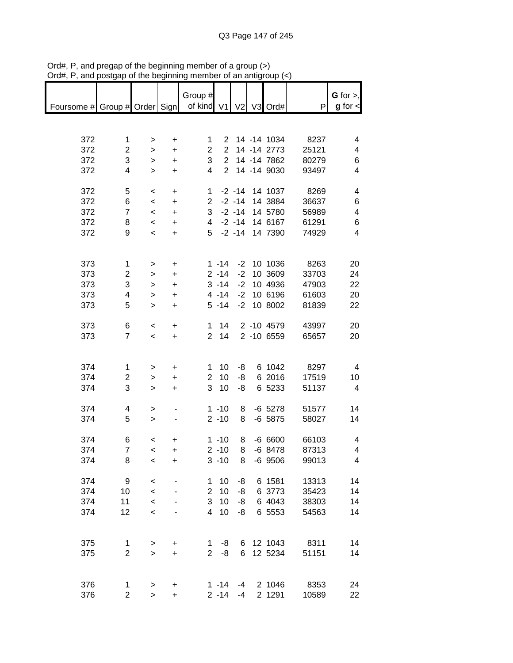|                                                       |                |                          |                                  | Group #        |              |      |                  |       | G for $>$ ,              |
|-------------------------------------------------------|----------------|--------------------------|----------------------------------|----------------|--------------|------|------------------|-------|--------------------------|
| Foursome # Group # Order Sign   of kind V1 V2 V3 Ord# |                |                          |                                  |                |              |      |                  | P     | $g$ for $\lt$            |
|                                                       |                |                          |                                  |                |              |      |                  |       |                          |
|                                                       |                |                          |                                  |                |              |      |                  |       |                          |
|                                                       |                |                          |                                  |                |              |      |                  |       |                          |
| 372                                                   | 1              | $\, > \,$                | +                                | 1              |              |      | 2 14 -14 1034    | 8237  | 4                        |
| 372                                                   | $\overline{2}$ | $\geq$                   | $\ddot{}$                        | 2 <sup>7</sup> |              |      | 2 14 -14 2773    | 25121 | $\overline{4}$           |
| 372                                                   | 3              | $\mathbf{r}$             | $\ddot{}$                        | 3 <sup>1</sup> |              |      | 2 14 -14 7862    | 80279 | 6                        |
| 372                                                   | $\overline{4}$ | $\geq$                   | $\ddot{}$                        | $\overline{4}$ |              |      | 2 14 -14 9030    | 93497 | 4                        |
|                                                       |                |                          |                                  |                |              |      |                  |       |                          |
| 372                                                   | 5              | $\overline{\phantom{0}}$ | $\ddot{}$                        |                |              |      | 1 -2 -14 14 1037 | 8269  | $\overline{4}$           |
| 372                                                   | 6              | $\overline{\phantom{a}}$ | $\ddot{}$                        |                |              |      | 2 -2 -14 14 3884 | 36637 | 6                        |
| 372                                                   | $\overline{7}$ | $\prec$                  | $\ddot{}$                        |                |              |      | 3 -2 -14 14 5780 | 56989 | $\overline{\mathbf{4}}$  |
| 372                                                   | 8              | $\prec$                  | $\ddot{}$                        |                |              |      | 4 -2 -14 14 6167 | 61291 | 6                        |
| 372                                                   | 9              | $\overline{\phantom{a}}$ | $\ddot{}$                        |                |              |      | 5 -2 -14 14 7390 | 74929 | $\overline{4}$           |
|                                                       |                |                          |                                  |                |              |      |                  |       |                          |
|                                                       |                |                          |                                  |                |              |      |                  |       |                          |
| 373                                                   | $\mathbf{1}$   | $\,>$                    | $\ddot{}$                        |                | $1 - 14$     |      | $-2$ 10 1036     | 8263  | 20                       |
| 373                                                   | $\overline{c}$ | $\, >$                   | $\ddot{}$                        |                | $2 - 14$     | $-2$ | 10 3609          | 33703 | 24                       |
| 373                                                   | 3              | $\mathbf{1}$             | $\ddot{}$                        |                | $3 - 14$     | $-2$ | 10 4936          | 47903 | 22                       |
| 373                                                   | 4              |                          | $\ddot{}$                        |                | $4 - 14$     | $-2$ | 10 6196          | 61603 | 20                       |
|                                                       | 5              | $\mathbf{1}$             |                                  |                |              |      | -2 10 8002       |       |                          |
| 373                                                   |                | $\mathbf{I}$             | $\ddot{}$                        |                | $5 - 14$     |      |                  | 81839 | 22                       |
|                                                       |                |                          |                                  |                |              |      |                  |       |                          |
| 373                                                   | 6              | $\,<\,$                  | $\ddot{}$                        |                | $1 \quad 14$ |      | 2 -10 4579       | 43997 | 20                       |
| 373                                                   | $\overline{7}$ | $\overline{\phantom{a}}$ | $+$                              |                | 2 14         |      | 2 -10 6559       | 65657 | 20                       |
|                                                       |                |                          |                                  |                |              |      |                  |       |                          |
|                                                       |                |                          |                                  |                |              |      |                  |       |                          |
| 374                                                   | 1              | $\, > \,$                | $\ddot{}$                        | 1.             | 10           | -8   | 6 1042           | 8297  | $\overline{4}$           |
| 374                                                   | $\overline{c}$ | $\,$                     | $\begin{array}{c} + \end{array}$ | $\overline{2}$ | 10           | -8   | 6 2016           | 17519 | 10                       |
| 374                                                   | 3              | $\geq$                   | $\ddot{}$                        |                | $3 \t10$     | -8   | 6 5233           | 51137 | $\overline{4}$           |
|                                                       |                |                          |                                  |                |              |      |                  |       |                          |
| 374                                                   | 4              | $\mathbf{I}$             |                                  |                | $1 - 10$     | 8    | -6 5278          | 51577 | 14                       |
| 374                                                   | 5              | $\mathbf{I}$             |                                  |                | $2 - 10$     | 8    | $-6$ 5875        | 58027 | 14                       |
|                                                       |                |                          |                                  |                |              |      |                  |       |                          |
| 374                                                   | 6              | $\,<\,$                  | $\ddot{}$                        |                | $1 - 10$     | 8    | -6 6600          | 66103 | 4                        |
| 374                                                   | $\overline{7}$ | $\,<\,$                  | +                                |                | $2 - 10$     | 8    | $-6$ 8478        | 87313 | $\overline{\mathcal{A}}$ |
| 374                                                   | 8              | $\,<$                    | +                                |                | $3 - 10$     | 8    | $-6$ 9506        | 99013 | 4                        |
|                                                       |                |                          |                                  |                |              |      |                  |       |                          |
|                                                       |                |                          |                                  |                |              |      |                  |       |                          |
| 374                                                   | 9              | $\,<$                    |                                  | 1              | 10           | -8   | 6 1581           | 13313 | 14                       |
| 374                                                   | 10             | $\prec$                  |                                  | $\overline{2}$ | 10           | -8   | 6 3773           | 35423 | 14                       |
| 374                                                   | 11             | $\prec$                  |                                  | 3              | 10           | -8   | 6 4043           | 38303 | 14                       |
| 374                                                   | 12             | $\prec$                  |                                  | 4              | 10           | -8   | 6 5553           | 54563 | 14                       |
|                                                       |                |                          |                                  |                |              |      |                  |       |                          |
|                                                       |                |                          |                                  |                |              |      |                  |       |                          |
| 375                                                   | 1              | $\, > \,$                | $\ddot{}$                        | 1              | -8           | 6    | 12 1043          | 8311  | 14                       |
| 375                                                   | $\overline{2}$ | $\mathbf{I}$             | $\ddot{}$                        | $\overline{2}$ | -8           | 6    | 12 5234          | 51151 | 14                       |
|                                                       |                |                          |                                  |                |              |      |                  |       |                          |
|                                                       |                |                          |                                  |                |              |      |                  |       |                          |
| 376                                                   | 1              | $\,$                     | +                                |                | $1 - 14$     | $-4$ | 2 1046           | 8353  | 24                       |
| 376                                                   | $\overline{2}$ | $\mathbf{I}$             | $\ddot{}$                        |                | $2 - 14$     | -4   | 2 1291           | 10589 | 22                       |

Ord#, P, and pregap of the beginning member of a group (>) Ord#, P, and postgap of the beginning member of an antigroup (<)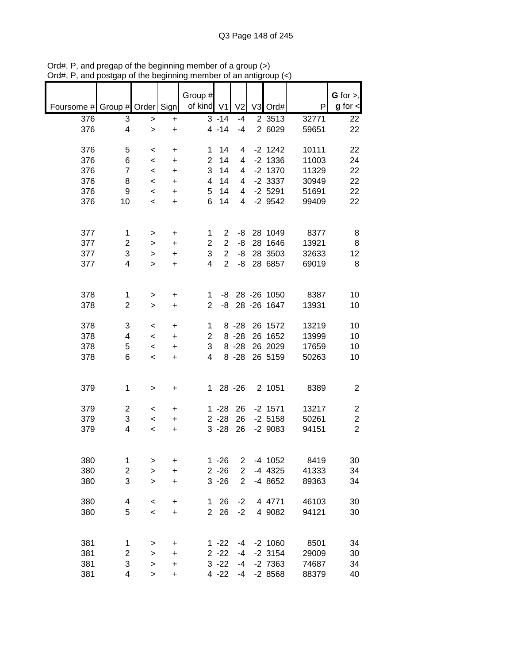|                               |                     |                  |           | Group #        |                |                      |                    |                | $G$ for $>$ ,           |
|-------------------------------|---------------------|------------------|-----------|----------------|----------------|----------------------|--------------------|----------------|-------------------------|
| Foursome # Group # Order Sign |                     |                  |           | of kind V1     |                | V <sub>2</sub>       | V3 Ord#            | P              | $g$ for $\lt$           |
| 376                           | 3                   | >                | +         |                | $3 - 14$       | $-4$                 | 2 3513             | 32771          | 22                      |
| 376                           | 4                   | $\geq$           | $\ddot{}$ |                | $4 - 14$       | $-4$                 | 2 6029             | 59651          | 22                      |
|                               |                     |                  |           |                |                |                      |                    |                |                         |
| 376                           | 5                   | $\,<\,$          | +         | 1              | 14             | 4                    | $-2$ 1242          | 10111          | 22                      |
| 376                           | 6                   | $\,<\,$          | +         | $\overline{2}$ | 14             | 4                    | $-2$ 1336          | 11003          | 24                      |
| 376                           | $\overline{7}$      | $\prec$          | +         | 3              | 14             | 4                    | $-2$ 1370          | 11329          | 22                      |
| 376                           | 8                   | $\,<\,$          | $\ddot{}$ | 4              | 14             | 4                    | $-2$ 3337          | 30949          | 22                      |
| 376                           | 9                   | $\,<\,$          | +         | 5              | 14             | 4                    | $-2$ 5291          | 51691          | 22                      |
| 376                           | 10                  | $\,<\,$          | $\ddot{}$ | 6              | 14             | $\overline{4}$       | $-2$ 9542          | 99409          | 22                      |
|                               |                     |                  |           |                |                |                      |                    |                |                         |
| 377                           | 1                   |                  |           | 1              | $\overline{2}$ | -8                   | 28 1049            | 8377           | 8                       |
| 377                           | $\overline{c}$      | ><br>>           | +<br>+    | $\overline{2}$ | $\overline{2}$ | -8                   | 28 1646            | 13921          | 8                       |
| 377                           | 3                   | >                | $\ddot{}$ | 3              | $\overline{2}$ | -8                   | 28 3503            | 32633          | 12                      |
| 377                           | 4                   | $\geq$           | +         | 4              | $\overline{2}$ | -8                   | 28 6857            | 69019          | 8                       |
|                               |                     |                  |           |                |                |                      |                    |                |                         |
|                               |                     |                  |           |                |                |                      |                    |                |                         |
| 378                           | 1                   | >                | +         | 1              | -8             |                      | 28 - 26 1050       | 8387           | 10                      |
| 378                           | $\overline{2}$      | >                | $\ddot{}$ | $\overline{2}$ | -8             |                      | 28 - 26 1647       | 13931          | 10                      |
|                               |                     |                  |           |                |                |                      |                    |                |                         |
| 378<br>378                    | 3<br>4              | $\,<\,$          | +         | 1              |                | $8 - 28$<br>$8 - 28$ | 26 1572<br>26 1652 | 13219<br>13999 | 10<br>10                |
| 378                           | 5                   | $\,<\,$          | +         | 2<br>3         |                | $8 - 28$             | 26 2029            | 17659          | 10                      |
| 378                           | 6                   | $\,<\,$<br>$\,<$ | +<br>+    | 4              |                | $8 - 28$             | 26 5159            | 50263          | 10                      |
|                               |                     |                  |           |                |                |                      |                    |                |                         |
|                               |                     |                  |           |                |                |                      |                    |                |                         |
| 379                           | 1                   | $\, > \,$        | +         | $\mathbf 1$    |                | 28 - 26              | 2 1051             | 8389           | $\overline{c}$          |
|                               |                     |                  |           |                |                |                      |                    |                |                         |
| 379                           | $\overline{c}$      | $\,<\,$          | +         |                | $1 - 28$       | 26                   | $-2$ 1571          | 13217          | $\overline{c}$          |
| 379                           | 3                   | $\,<\,$          | +         |                | $2 - 28$       | 26                   | $-2$ 5158          | 50261          | $\overline{\mathbf{c}}$ |
| 379                           | 4                   | $\,<$            | +         |                | $3 - 28$       | 26                   | $-2$ 9083          | 94151          | $\overline{2}$          |
|                               |                     |                  |           |                |                |                      |                    |                |                         |
| 380                           | 1                   | >                | +         |                | $1 - 26$       | 2                    | -4 1052            | 8419           | 30                      |
| 380                           | 2                   | $\mathbf{I}$     | $\ddot{}$ |                | $2 - 26$       | $\overline{2}$       | -4 4325            | 41333          | 34                      |
| 380                           | 3                   | >                | +         |                | $3 - 26$       | $\overline{2}$       | -4 8652            | 89363          | 34                      |
|                               |                     |                  |           |                |                |                      |                    |                |                         |
| 380                           | 4                   | $\,<$            | +         | 1              | 26             | $-2$                 | 4 4771             | 46103          | 30                      |
| 380                           | 5                   | $\,<$            | +         | $\overline{2}$ | 26             | $-2$                 | 4 9082             | 94121          | 30                      |
|                               |                     |                  |           |                |                |                      |                    |                |                         |
| 381                           |                     |                  |           |                | $1 - 22$       |                      | $-2$ 1060          | 8501           | 34                      |
| 381                           | 1<br>$\overline{c}$ | ><br>>           | +<br>+    |                | $2 - 22$       | -4<br>-4             | $-2$ 3154          | 29009          | 30                      |
| 381                           | 3                   | >                | +         |                | $3 - 22$       | -4                   | $-2$ 7363          | 74687          | 34                      |
| 381                           | 4                   | >                | +         |                | 4 -22          | $-4$                 | $-28568$           | 88379          | 40                      |
|                               |                     |                  |           |                |                |                      |                    |                |                         |

Ord#, P, and pregap of the beginning member of a group (>) Ord#, P, and postgap of the beginning member of an antigroup (<)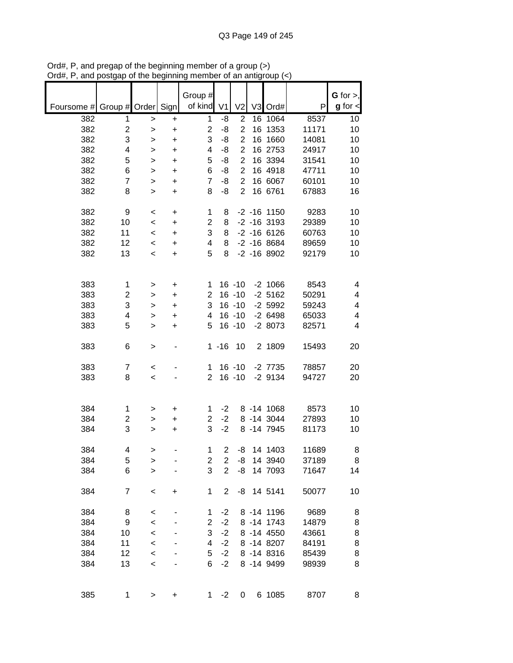|            |                         |                    |           | Group #             |                |                                  |                            |                | $G$ for $>$ , |
|------------|-------------------------|--------------------|-----------|---------------------|----------------|----------------------------------|----------------------------|----------------|---------------|
| Foursome # | Group # Order           |                    | Sign      | of kind             | V <sub>1</sub> | V <sub>2</sub>                   | V3 Ord#                    | P              | $g$ for $\lt$ |
| 382        | 1                       | >                  | +         | 1                   | -8             | $\overline{c}$                   | 16 1064                    | 8537           | 10            |
| 382        | $\overline{\mathbf{c}}$ | >                  | +         | $\overline{2}$      | -8             | $\overline{2}$                   | 16 1353                    | 11171          | 10            |
| 382        | 3                       | >                  | +         | 3                   | -8             | $\overline{2}$                   | 16 1660                    | 14081          | 10            |
| 382        | 4                       | >                  | +         | 4                   | -8             | $\overline{2}$                   | 16 2753                    | 24917          | 10            |
| 382        | 5                       | >                  | +         | 5                   | -8             | $\overline{2}$                   | 16 3394                    | 31541          | 10            |
| 382        | 6                       | >                  | $\ddot{}$ | 6                   | -8             | $\overline{2}$                   | 16 4918                    | 47711          | 10            |
| 382<br>382 | $\overline{7}$<br>8     | >                  | $\ddot{}$ | $\overline{7}$<br>8 | -8<br>-8       | $\overline{2}$<br>$\overline{2}$ | 16 6067<br>16 6761         | 60101<br>67883 | 10<br>16      |
|            |                         | >                  | $\ddot{}$ |                     |                |                                  |                            |                |               |
| 382        | 9                       | $\,<$              | +         | 1                   | 8              |                                  | $-2 - 16$ 1150             | 9283           | 10            |
| 382        | 10                      | $\,<$              | +         | $\overline{c}$      | 8              |                                  | $-2$ $-16$ 3193            | 29389          | 10            |
| 382        | 11                      | $\,<$              | +         | 3                   | 8              |                                  | $-2 - 16$ 6126             | 60763          | 10            |
| 382        | 12                      | $\,<\,$            | +         | 4                   | 8              |                                  | $-2$ $-16$ 8684            | 89659          | 10            |
| 382        | 13                      | $\,<$              | +         | 5                   | 8              |                                  | $-2 - 168902$              | 92179          | 10            |
|            |                         |                    |           |                     |                |                                  |                            |                |               |
| 383        | 1                       | >                  | +         | 1                   |                | $16 - 10$                        | $-2$ 1066                  | 8543           | 4             |
| 383        | 2                       | >                  | +         | $\overline{2}$      |                | $16 - 10$                        | $-2$ 5162                  | 50291          | 4             |
| 383        | 3                       | >                  | +         | 3                   |                | $16 - 10$                        | $-2$ 5992                  | 59243          | 4             |
| 383        | 4                       | >                  | +         | 4                   |                | $16 - 10$                        | $-26498$                   | 65033          | 4             |
| 383        | 5                       | >                  | +         | 5                   |                | $16 - 10$                        | $-28073$                   | 82571          | 4             |
| 383        | 6                       | >                  |           |                     | $1 - 16$       | 10                               | 2 1809                     | 15493          | 20            |
| 383        | $\overline{7}$          | $\,<$              |           | 1                   |                | $16 - 10$                        | $-2$ $7735$                | 78857          | 20            |
| 383        | 8                       | $\,<$              |           | $\overline{2}$      |                | $16 - 10$                        | $-2$ 9134                  | 94727          | 20            |
|            |                         |                    |           |                     |                |                                  |                            |                |               |
|            |                         |                    |           |                     |                |                                  |                            |                |               |
| 384<br>384 | 1                       | >                  | +         | 1<br>$\overline{2}$ | $-2$<br>$-2$   |                                  | 8 - 14 1068                | 8573           | 10            |
| 384        | 2<br>3                  | ><br>>             | +<br>+    | 3                   | $-2$           |                                  | 8 -14 3044<br>8 - 14 7945  | 27893<br>81173 | 10<br>10      |
|            |                         |                    |           |                     |                |                                  |                            |                |               |
| 384        | 4                       | >                  |           | 1                   | $\overline{c}$ | -8                               | 14 1403                    | 11689          | 8             |
| 384        | 5                       | >                  |           | 2                   | 2              | -8                               | 14 3940                    | 37189          | 8             |
| 384        | 6                       | $\mathbf{I}$       |           | 3                   | $\overline{2}$ | -8                               | 14 7093                    | 71647          | 14            |
| 384        | $\overline{7}$          | $\,<$              | +         | $\mathbf{1}$        | $\overline{2}$ |                                  | -8 14 5141                 | 50077          | 10            |
|            |                         |                    |           |                     |                |                                  |                            |                |               |
| 384<br>384 | 8                       | $\prec$            |           | 1<br>$\overline{c}$ | $-2$<br>$-2$   |                                  | 8 - 14 1196<br>8 - 14 1743 | 9689           | 8             |
| 384        | 9<br>10                 | $\prec$<br>$\prec$ |           | 3                   | $-2$           |                                  | 8 -14 4550                 | 14879<br>43661 | 8<br>8        |
| 384        | 11                      | $\prec$            |           | 4                   | $-2$           |                                  | 8 -14 8207                 | 84191          | 8             |
| 384        | 12                      | $\prec$            |           | 5                   | $-2$           |                                  | 8 - 14 8316                | 85439          | 8             |
| 384        | 13                      | $\,<$              |           | 6                   | $-2$           |                                  | 8 -14 9499                 | 98939          | 8             |
|            |                         |                    |           |                     |                |                                  |                            |                |               |
| 385        | 1                       | >                  | +         | 1                   | $-2$           | 0                                | 6 1085                     | 8707           | 8             |

Ord#, P, and pregap of the beginning member of a group (>) Ord#, P, and postgap of the beginning member of an antigroup (<)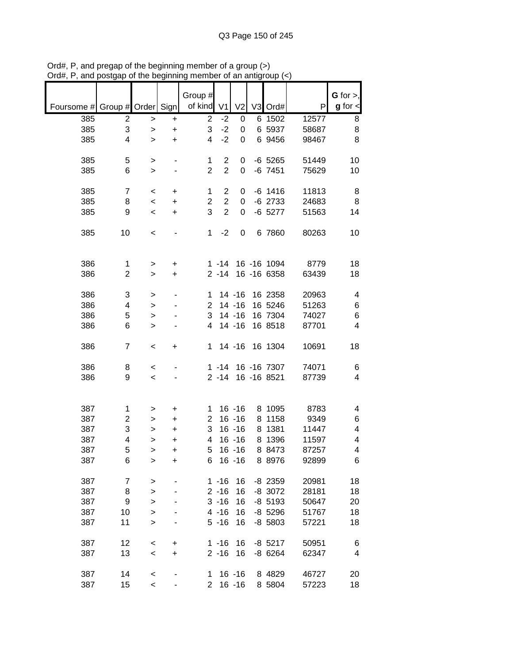| Foursome # Group # Order |                |              | Sign      | Group #<br>of kind | V <sub>1</sub>                            | V <sub>2</sub>   |   | V3 Ord#      | P              | $G$ for $>$ ,<br>$g$ for $\lt$ |
|--------------------------|----------------|--------------|-----------|--------------------|-------------------------------------------|------------------|---|--------------|----------------|--------------------------------|
| 385                      | 2              |              |           | $\overline{2}$     | $-2$                                      |                  |   | 6 1502       | 12577          | 8                              |
|                          |                | >            | $\ddot{}$ | 3                  | $-2$                                      | 0<br>0           |   | 6 5937       |                |                                |
| 385                      | 3<br>4         | >            | +         | 4                  | $-2$                                      | $\boldsymbol{0}$ |   | 6 9456       | 58687<br>98467 | 8<br>8                         |
| 385                      |                | >            | +         |                    |                                           |                  |   |              |                |                                |
|                          |                |              |           |                    |                                           |                  |   |              |                |                                |
| 385                      | 5              | >            |           | $\mathbf{1}$       | $\overline{2}$<br>$\overline{2}$          | 0                |   | $-6$ 5265    | 51449          | 10                             |
| 385                      | 6              | >            |           | $\overline{2}$     |                                           | $\boldsymbol{0}$ |   | $-6$ 7451    | 75629          | 10                             |
|                          |                |              |           |                    |                                           |                  |   |              |                |                                |
| 385                      | 7              | $\,<$        | +         | 1                  | $\overline{\mathbf{c}}$<br>$\overline{2}$ | 0                |   | $-6$ 1416    | 11813          | 8                              |
| 385                      | 8              | $\,<$        | +         | $\overline{c}$     | $\overline{c}$                            | 0                |   | $-6$ 2733    | 24683          | 8                              |
| 385                      | 9              | $\,<$        | +         | 3                  |                                           | 0                |   | $-6$ 5277    | 51563          | 14                             |
|                          |                |              |           |                    |                                           |                  |   |              |                |                                |
| 385                      | 10             | $\,<$        |           | 1                  | $-2$                                      | $\boldsymbol{0}$ |   | 6 7860       | 80263          | 10                             |
|                          |                |              |           |                    |                                           |                  |   |              |                |                                |
|                          |                |              |           |                    |                                           |                  |   |              |                |                                |
| 386                      | 1              | $\, > \,$    | +         |                    | $1 - 14$                                  |                  |   | 16 - 16 1094 | 8779           | 18                             |
| 386                      | $\overline{2}$ | $\geq$       | $\ddot{}$ |                    | $2 - 14$                                  |                  |   | 16 - 16 6358 | 63439          | 18                             |
|                          |                |              |           |                    |                                           | $14 - 16$        |   |              |                |                                |
| 386                      | 3              | >            |           | 1                  |                                           |                  |   | 16 2358      | 20963<br>51263 | 4                              |
| 386                      | 4              | >            |           | $\overline{2}$     |                                           | $14 - 16$        |   | 16 5246      |                | 6                              |
| 386                      | 5              | >            |           | 3                  |                                           | $14 - 16$        |   | 16 7304      | 74027          | 6<br>$\overline{4}$            |
| 386                      | 6              | >            |           | 4                  |                                           | $14 - 16$        |   | 16 8518      | 87701          |                                |
| 386                      | $\overline{7}$ |              |           | 1                  |                                           | $14 - 16$        |   | 16 1304      | 10691          | 18                             |
|                          |                | $\,<$        | +         |                    |                                           |                  |   |              |                |                                |
| 386                      | 8              | $\,<$        |           |                    | $1 - 14$                                  |                  |   | 16 - 16 7307 | 74071          | 6                              |
| 386                      | 9              | $\,<$        |           |                    | $2 - 14$                                  |                  |   | 16 - 16 8521 | 87739          | 4                              |
|                          |                |              |           |                    |                                           |                  |   |              |                |                                |
|                          |                |              |           |                    |                                           |                  |   |              |                |                                |
| 387                      | 1              | >            | $\ddot{}$ | 1                  |                                           | $16 - 16$        |   | 8 1095       | 8783           | 4                              |
| 387                      | 2              | >            | $\ddot{}$ | 2                  |                                           | $16 - 16$        | 8 | 1158         | 9349           | 6                              |
| 387                      | 3              |              | $\ddot{}$ | 3                  |                                           | $16 - 16$        | 8 | 1381         | 11447          | 4                              |
| 387                      | 4              | ><br>>       | +         | 4                  |                                           | $16 - 16$        | 8 | 1396         | 11597          | 4                              |
| 387                      | 5              | $\geq$       | +         | 5                  |                                           | $16 - 16$        |   | 8 8473       | 87257          | 4                              |
| 387                      | 6              |              | +         | 6                  |                                           | $16 - 16$        |   | 8 8 9 7 6    | 92899          | 6                              |
|                          |                | >            |           |                    |                                           |                  |   |              |                |                                |
| 387                      | 7              | >            |           |                    | $1 - 16$                                  | 16               |   | $-8$ 2359    | 20981          | 18                             |
| 387                      | 8              | $\geq$       |           |                    | $2 - 16$                                  | 16               |   | $-8$ 3072    | 28181          | 18                             |
| 387                      | 9              | $\mathbf{I}$ |           |                    | $3 - 16$                                  | 16               |   | $-8$ 5193    | 50647          | 20                             |
| 387                      | 10             |              |           |                    | $4 - 16$                                  | 16               |   | $-8$ 5296    | 51767          | 18                             |
| 387                      | 11             | >            |           |                    | $5 - 16$                                  | 16               |   | $-8$ 5803    | 57221          | 18                             |
|                          |                | $\geq$       |           |                    |                                           |                  |   |              |                |                                |
| 387                      | 12             | $\,<$        | +         |                    | $1 - 16$                                  | 16               |   | $-8$ 5217    | 50951          | 6                              |
| 387                      | 13             | $\,<$        | +         |                    | $2 - 16$                                  | 16               |   | $-86264$     | 62347          | 4                              |
|                          |                |              |           |                    |                                           |                  |   |              |                |                                |
| 387                      | 14             | $\,<$        |           | 1                  |                                           | $16 - 16$        |   | 8 4829       | 46727          | 20                             |
| 387                      | 15             | $\,<$        |           | 2                  |                                           | $16 - 16$        |   | 8 5804       | 57223          | 18                             |

Ord#, P, and pregap of the beginning member of a group (>) Ord#, P, and postgap of the beginning member of an antigroup (<)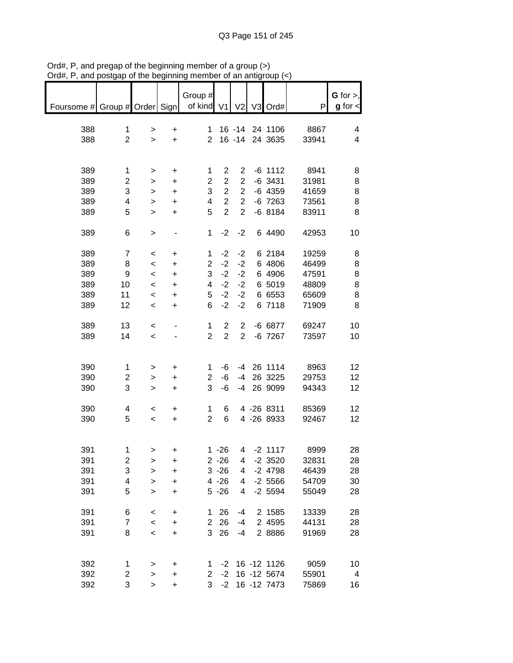|                               | volyap                  | or uro pogmumi           |           |                         |                  |                | u an annyi |                |       |               |
|-------------------------------|-------------------------|--------------------------|-----------|-------------------------|------------------|----------------|------------|----------------|-------|---------------|
|                               |                         |                          |           |                         |                  |                |            |                |       |               |
|                               |                         |                          |           | Group #                 |                  |                |            |                |       | G for $>$ ,   |
| Foursome # Group # Order Sign |                         |                          |           | of kind V1              |                  | V <sub>2</sub> |            | V3 Ord#        | P     | $g$ for $\lt$ |
|                               |                         |                          |           |                         |                  |                |            |                |       |               |
| 388                           | 1                       | >                        | +         | 1                       |                  |                |            | 16 -14 24 1106 | 8867  | 4             |
| 388                           | $\overline{2}$          | $\geq$                   | $\ddot{}$ | 2 <sup>1</sup>          |                  |                |            | 16 -14 24 3635 | 33941 | 4             |
|                               |                         |                          |           |                         |                  |                |            |                |       |               |
|                               |                         |                          |           |                         |                  |                |            |                |       |               |
|                               |                         |                          |           |                         |                  |                |            |                |       |               |
| 389                           | 1                       | $\, > \,$                | $\ddot{}$ | 1                       | $\overline{2}$   | 2              |            | $-6$ 1112      | 8941  | 8             |
| 389                           | 2                       | >                        | $\ddot{}$ | $\overline{\mathbf{c}}$ | $\boldsymbol{2}$ | $\overline{2}$ |            | $-6$ 3431      | 31981 | 8             |
| 389                           | 3                       | >                        | $\ddot{}$ | 3                       | $\overline{2}$   | $\overline{2}$ |            | $-6$ 4359      | 41659 | 8             |
| 389                           | 4                       | >                        | $\ddot{}$ | $\overline{\mathbf{4}}$ | $\overline{c}$   | $\overline{2}$ |            | $-6$ 7263      | 73561 | 8             |
| 389                           | 5                       | $\, > \,$                | $\ddot{}$ | 5                       | $\overline{2}$   | $\overline{2}$ |            | $-68184$       | 83911 | 8             |
|                               |                         |                          |           |                         |                  |                |            |                |       |               |
|                               |                         |                          |           |                         |                  |                |            |                |       |               |
| 389                           | 6                       | $\,$                     |           | 1                       | $-2$             | $-2$           |            | 6 4490         | 42953 | 10            |
|                               |                         |                          |           |                         |                  |                |            |                |       |               |
| 389                           | $\overline{7}$          | $\,<\,$                  | +         | 1                       | $-2$             | $-2$           |            | 6 2184         | 19259 | 8             |
| 389                           | 8                       | $\prec$                  | +         | 2                       | $-2$             | $-2$           |            | 6 4806         | 46499 | 8             |
| 389                           | 9                       | $\,<\,$                  | +         | 3                       | $-2$             | $-2$           |            | 6 4906         | 47591 | 8             |
| 389                           | 10                      | $\,<\,$                  | +         | 4                       | $-2$             | $-2$           |            | 6 5019         | 48809 | 8             |
| 389                           | 11                      | $\,<\,$                  | +         | 5                       | $-2$             | $-2$           |            | 6 6553         | 65609 | 8             |
| 389                           | 12                      | $\,<\,$                  | $\ddot{}$ | 6                       | $-2$             | $-2$           |            | 6 7118         | 71909 | 8             |
|                               |                         |                          |           |                         |                  |                |            |                |       |               |
|                               |                         |                          |           |                         |                  |                |            |                |       |               |
| 389                           | 13                      | $\,<\,$                  |           | 1                       | $\overline{2}$   | 2              |            | $-6$ 6877      | 69247 | 10            |
| 389                           | 14                      | $\overline{\phantom{a}}$ |           | $\overline{2}$          | $\overline{2}$   | $\overline{2}$ |            | $-6$ 7267      | 73597 | 10            |
|                               |                         |                          |           |                         |                  |                |            |                |       |               |
|                               |                         |                          |           |                         |                  |                |            |                |       |               |
| 390                           | 1                       | >                        | +         | 1                       | $-6$             |                |            | $-4$ 26 1114   | 8963  | 12            |
| 390                           | 2                       | >                        | +         | $\overline{2}$          | $-6$             |                |            | -4 26 3225     | 29753 | 12            |
| 390                           | 3                       | >                        | $\ddot{}$ | 3                       | $-6$             |                |            | -4 26 9099     | 94343 | 12            |
|                               |                         |                          |           |                         |                  |                |            |                |       |               |
|                               |                         |                          |           |                         |                  |                |            |                |       |               |
| 390                           | 4                       | $\,<$                    | +         | 1                       | 6                |                |            | 4 -26 8311     | 85369 | 12            |
| 390                           | 5                       | $\overline{\phantom{a}}$ | $+$       | $\overline{2}$          | 6                |                |            | 4 -26 8933     | 92467 | 12            |
|                               |                         |                          |           |                         |                  |                |            |                |       |               |
|                               |                         |                          |           |                         |                  |                |            |                |       |               |
| 391                           | 1                       | >                        | +         |                         | $1 - 26$         |                |            | 4 -2 1117      | 8999  | 28            |
| 391                           | $\overline{\mathbf{c}}$ | >                        | +         |                         | $2 - 26$         | 4              |            | $-2$ 3520      | 32831 | 28            |
| 391                           | 3                       | >                        | +         |                         | $3 - 26$         | 4              |            | $-2$ 4798      | 46439 | 28            |
| 391                           | 4                       | >                        | +         |                         | $4 - 26$         | 4              |            | $-2$ 5566      | 54709 | 30            |
| 391                           | 5                       |                          |           |                         | $5 - 26$         | 4              |            | $-2$ 5594      | 55049 | 28            |
|                               |                         | $\geq$                   | $\ddot{}$ |                         |                  |                |            |                |       |               |
|                               |                         |                          |           |                         |                  |                |            |                |       |               |
| 391                           | 6                       | $\,<\,$                  | +         | 1                       | 26               | -4             |            | 2 1585         | 13339 | 28            |
| 391                           | $\overline{7}$          | $\prec$                  | +         | $\overline{2}$          | 26               | $-4$           |            | 2 4595         | 44131 | 28            |
| 391                           | 8                       | $\,<\,$                  | $\ddot{}$ | 3                       | 26               | $-4$           |            | 2 8886         | 91969 | 28            |
|                               |                         |                          |           |                         |                  |                |            |                |       |               |
|                               |                         |                          |           |                         |                  |                |            |                |       |               |
| 392                           | 1                       | >                        | +         | 1                       | $-2$             |                |            | 16 -12 1126    | 9059  | 10            |
| 392                           | $\overline{\mathbf{c}}$ | >                        | $\ddot{}$ | 2                       | $-2$             |                |            | 16 -12 5674    | 55901 | 4             |
|                               | 3                       |                          |           | 3                       | $-2$             |                |            | 16 - 12 7473   | 75869 |               |
| 392                           |                         | >                        | $\ddot{}$ |                         |                  |                |            |                |       | 16            |

Ord#, P, and pregap of the beginning member of a group (>) Ord#, P, and postgap of the beginning member of an antigroup (<)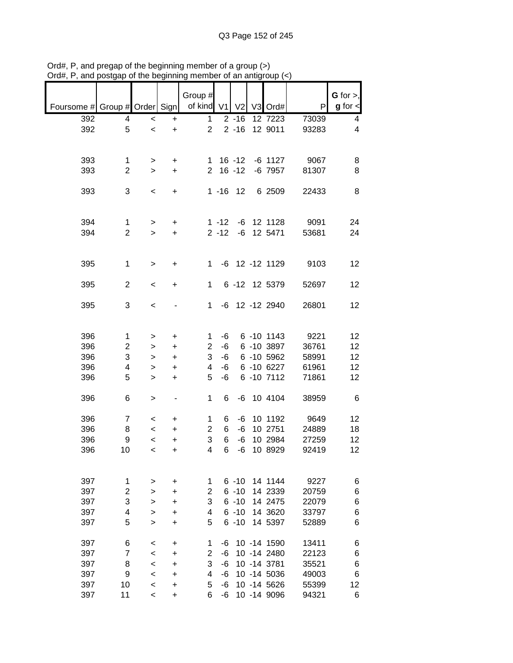|                               |                |           |           | Group #        |          |                |                    |       | $G$ for $>$ ,           |
|-------------------------------|----------------|-----------|-----------|----------------|----------|----------------|--------------------|-------|-------------------------|
| Foursome # Group # Order Sign |                |           |           | of kind V1     |          | V <sub>2</sub> | V3 Ord#            | P     | $g$ for $\lt$           |
| 392                           | 4              | $\,<$     | +         | $\mathbf{1}$   |          | $2 - 16$       | 12 7223            | 73039 | 4                       |
| 392                           | 5              | $\,<$     | $\ddot{}$ | $\overline{2}$ |          | $2 - 16$       | 12 9011            | 93283 | $\overline{\mathbf{4}}$ |
|                               |                |           |           |                |          |                |                    |       |                         |
|                               |                |           |           |                |          |                |                    |       |                         |
| 393                           | 1              | >         | +         | 1              |          | $16 - 12$      | $-6$ 1127          | 9067  | 8                       |
| 393                           | $\overline{2}$ | $\geq$    | $\ddot{}$ | $\overline{2}$ |          | $16 - 12$      | $-6$ 7957          | 81307 | 8                       |
| 393                           | 3              | $\,<$     | +         |                | $1 - 16$ | 12             | 6 2509             | 22433 | 8                       |
|                               |                |           |           |                |          |                |                    |       |                         |
|                               |                |           |           |                |          |                |                    |       |                         |
| 394                           | 1              | $\, > \,$ | +         |                | $1 - 12$ | -6             | 12 1128            | 9091  | 24                      |
| 394                           | $\overline{2}$ | $\geq$    | $\ddot{}$ |                | $2 - 12$ | $-6$           | 12 5471            | 53681 | 24                      |
|                               |                |           |           |                |          |                |                    |       |                         |
|                               |                |           |           |                |          |                |                    |       |                         |
| 395                           | $\mathbf{1}$   | $\, > \,$ | +         | $\mathbf 1$    |          |                | -6 12 -12 1129     | 9103  | 12                      |
| 395                           | $\overline{2}$ | $\,<\,$   | +         | 1              |          |                | 6 -12 12 5379      | 52697 | 12                      |
|                               |                |           |           |                |          |                |                    |       |                         |
| 395                           | 3              | $\,<$     |           | 1              |          |                | $-6$ 12 $-12$ 2940 | 26801 | 12                      |
|                               |                |           |           |                |          |                |                    |       |                         |
|                               |                |           |           |                |          |                |                    |       |                         |
| 396                           | 1              | >         | $\ddot{}$ | 1              | -6       |                | 6 -10 1143         | 9221  | 12                      |
| 396                           | $\overline{c}$ | >         | $\ddot{}$ | $\overline{c}$ | $-6$     |                | 6 -10 3897         | 36761 | 12                      |
| 396                           | 3              | >         | $\ddot{}$ | 3              | -6       |                | 6 -10 5962         | 58991 | 12                      |
| 396                           | 4              | >         | $\ddot{}$ | 4              | $-6$     |                | 6 -10 6227         | 61961 | 12                      |
| 396                           | 5              | $\, > \,$ | $\ddot{}$ | 5              | $-6$     |                | 6 -10 7112         | 71861 | 12                      |
|                               |                |           |           |                |          |                |                    |       |                         |
| 396                           | 6              | $\, > \,$ |           | 1              | 6        | $-6$           | 10 4104            | 38959 | 6                       |
| 396                           | $\overline{7}$ | $\,<$     | +         | 1              | 6        | -6             | 10 1192            | 9649  | 12                      |
| 396                           | 8              | $\,<$     | $\ddot{}$ | $\overline{2}$ | 6        | -6             | 10 2751            | 24889 | 18                      |
| 396                           | 9              | $\,<$     | $\ddot{}$ | 3              | 6        | $-6$           | 10 2984            | 27259 | 12                      |
| 396                           | 10             | $\,<\,$   | $\ddot{}$ | 4              | 6        | $-6$           | 10 8929            | 92419 | 12                      |
|                               |                |           |           |                |          |                |                    |       |                         |
|                               |                |           |           |                |          |                |                    |       |                         |
| 397                           | 1              | >         | $\ddot{}$ | 1              |          | $6 - 10$       | 14 1144            | 9227  | 6                       |
| 397                           | $\overline{c}$ | $\geq$    | +         | 2              |          | $6 - 10$       | 14 2339            | 20759 | 6                       |
| 397                           | 3              | >         | +         | 3              |          | $6 - 10$       | 14 2475            | 22079 | 6                       |
| 397                           | 4              | >         | +         | 4              |          | $6 - 10$       | 14 3620            | 33797 | 6                       |
| 397                           | 5              | >         | +         | 5              |          | $6 - 10$       | 14 5397            | 52889 | 6                       |
|                               |                |           |           |                |          |                |                    |       |                         |
| 397                           | 6              | $\,<\,$   | $\ddot{}$ | 1              | -6       |                | 10 -14 1590        | 13411 | 6                       |
| 397                           | 7              | $\,<$     | $\ddot{}$ | $\overline{c}$ | $-6$     |                | 10 -14 2480        | 22123 | 6                       |
| 397                           | 8              | $\,<$     | $\ddot{}$ | 3              | -6       |                | 10 -14 3781        | 35521 | 6                       |
| 397                           | 9              | $\,<$     | $\ddot{}$ | 4              | -6       |                | 10 -14 5036        | 49003 | 6                       |
| 397                           | 10             | $\,<$     | +         | 5              | -6       |                | 10 -14 5626        | 55399 | 12                      |
| 397                           | 11             | $\,<$     | $\ddot{}$ | 6              | -6       |                | 10 -14 9096        | 94321 | 6                       |

Ord#, P, and pregap of the beginning member of a group (>) Ord#, P, and postgap of the beginning member of an antigroup (<)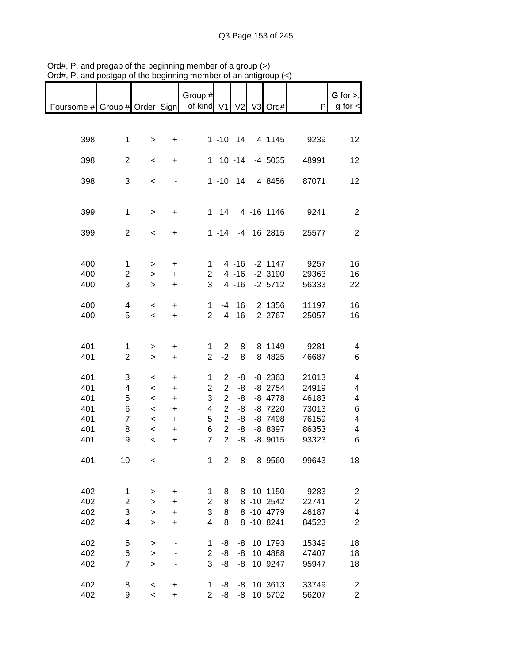|                               |                         |                          |                                  | Group #               |                |          |            |       | $G$ for $>$ ,           |
|-------------------------------|-------------------------|--------------------------|----------------------------------|-----------------------|----------------|----------|------------|-------|-------------------------|
|                               |                         |                          |                                  |                       |                |          |            |       |                         |
| Foursome # Group # Order Sign |                         |                          |                                  | of kind V1 V2 V3 Ord# |                |          |            | P     | $g$ for $\lt$           |
|                               |                         |                          |                                  |                       |                |          |            |       |                         |
|                               |                         |                          |                                  |                       |                |          |            |       |                         |
| 398                           | $\mathbf{1}$            | $\,>$                    | +                                |                       | $1 - 10$ 14    |          | 4 1145     | 9239  | 12                      |
|                               |                         |                          |                                  |                       |                |          |            |       |                         |
| 398                           | $\overline{2}$          | $\,<\,$                  | $\ddot{}$                        |                       | $1 10 - 14$    |          | -4 5035    | 48991 | 12                      |
|                               |                         |                          |                                  |                       |                |          |            |       |                         |
| 398                           | 3                       | $\,<$                    |                                  |                       | $1 - 10$ 14    |          | 4 8456     | 87071 | 12                      |
|                               |                         |                          |                                  |                       |                |          |            |       |                         |
|                               |                         |                          |                                  |                       |                |          |            |       |                         |
| 399                           | $\mathbf{1}$            | $\,$                     | $\ddot{}$                        |                       | $1 \quad 14$   |          | 4 -16 1146 | 9241  | $\overline{2}$          |
|                               |                         |                          |                                  |                       |                |          |            |       |                         |
| 399                           | $\overline{2}$          | $\,<\,$                  | $\ddot{}$                        |                       | $1 - 14$       |          | -4 16 2815 | 25577 | $\overline{2}$          |
|                               |                         |                          |                                  |                       |                |          |            |       |                         |
|                               |                         |                          |                                  |                       |                |          |            |       |                         |
| 400                           | $\mathbf{1}$            |                          |                                  | 1                     |                | $4 - 16$ | $-2$ 1147  | 9257  | 16                      |
| 400                           |                         | >                        | +                                | $\overline{2}$        |                | $4 - 16$ | $-2$ 3190  | 29363 | 16                      |
|                               | $\overline{\mathbf{c}}$ | $\,$                     | $\ddot{}$                        | 3                     |                |          |            |       |                         |
| 400                           | 3                       | $\, > \,$                | $\ddot{}$                        |                       |                | $4 - 16$ | $-2$ 5712  | 56333 | 22                      |
|                               |                         |                          |                                  |                       |                |          |            |       |                         |
| 400                           | 4                       | $\,<$                    | $\ddot{}$                        | $\mathbf 1$           | $-4$           | 16       | 2 1356     | 11197 | 16                      |
| 400                           | 5                       | $\overline{\phantom{0}}$ | $\ddot{}$                        | $\overline{2}$        | $-4$           | 16       | 2 2767     | 25057 | 16                      |
|                               |                         |                          |                                  |                       |                |          |            |       |                         |
|                               |                         |                          |                                  |                       |                |          |            |       |                         |
| 401                           | 1                       | >                        | +                                | 1                     | $-2$           | 8        | 8 1149     | 9281  | 4                       |
| 401                           | $\overline{2}$          | $\, > \,$                | $\ddot{}$                        | $\overline{2}$        | $-2$           | 8        | 8 4825     | 46687 | 6                       |
|                               |                         |                          |                                  |                       |                |          |            |       |                         |
| 401                           | 3                       | $\,<$                    | $\begin{array}{c} + \end{array}$ | 1                     | $\overline{2}$ | -8       | $-8$ 2363  | 21013 | 4                       |
| 401                           | 4                       | $\prec$                  | $\begin{array}{c} + \end{array}$ | $\overline{2}$        | $\overline{2}$ | -8       | $-8$ 2754  | 24919 | 4                       |
| 401                           | 5                       | $\prec$                  | $\ddot{}$                        | 3                     | $\overline{2}$ | -8       | $-8$ 4778  | 46183 | 4                       |
| 401                           | 6                       | $\,<$                    | $\ddot{}$                        | 4                     | $\overline{2}$ | -8       | $-8$ 7220  | 73013 | 6                       |
| 401                           | $\overline{7}$          | $\,<$                    | $\ddot{}$                        | 5                     | $\overline{2}$ | -8       | $-8$ 7498  | 76159 | 4                       |
| 401                           | 8                       | $\,<$                    | $\ddot{}$                        | 6                     | $\overline{2}$ | -8       | -8 8397    | 86353 | 4                       |
| 401                           | 9                       | $\prec$                  | $\ddot{}$                        | $\overline{7}$        | $\overline{2}$ | -8       | $-8$ 9015  | 93323 | 6                       |
|                               |                         |                          |                                  |                       |                |          |            |       |                         |
| 401                           | 10                      | $\,<$                    |                                  | 1                     | $-2$           | 8        | 8 9560     | 99643 | 18                      |
|                               |                         |                          |                                  |                       |                |          |            |       |                         |
|                               |                         |                          |                                  |                       |                |          |            |       |                         |
| 402                           | $\mathbf{1}$            | >                        | $\ddot{}$                        | 1                     | 8              |          | 8 -10 1150 | 9283  | $\overline{c}$          |
| 402                           | $\overline{c}$          | $\mathbf{I}$             | +                                | 2                     | 8              |          | 8 -10 2542 | 22741 | $\overline{\mathbf{c}}$ |
| 402                           | 3                       |                          |                                  | 3                     | 8              |          | 8 -10 4779 | 46187 | 4                       |
|                               |                         | >                        | $\begin{array}{c} + \end{array}$ |                       |                |          |            |       |                         |
| 402                           | 4                       | $\geq$                   | $\ddot{}$                        | 4                     | 8              |          | 8 -10 8241 | 84523 | $\overline{2}$          |
|                               |                         |                          |                                  |                       |                |          |            |       |                         |
| 402                           | 5                       | $\mathbf{I}$             |                                  | 1                     | -8             | -8       | 10 1793    | 15349 | 18                      |
| 402                           | 6                       | $\geq$                   |                                  | $\overline{2}$        | -8             | -8       | 10 4888    | 47407 | 18                      |
| 402                           | $\overline{7}$          | $\geq$                   |                                  | 3                     | -8             | -8       | 10 9247    | 95947 | 18                      |
|                               |                         |                          |                                  |                       |                |          |            |       |                         |
| 402                           | 8                       | $\prec$                  | $\ddot{}$                        | 1                     | -8             | -8       | 10 3613    | 33749 | $\overline{c}$          |
| 402                           | 9                       | $\overline{\phantom{a}}$ | $\ddot{}$                        | $\overline{2}$        | -8             | -8       | 10 5702    | 56207 | $\overline{2}$          |

Ord#, P, and pregap of the beginning member of a group (>) Ord#, P, and postgap of the beginning member of an antigroup (<)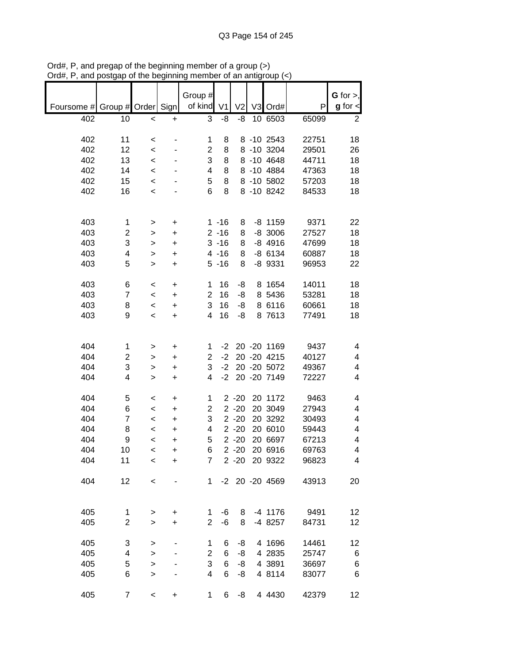|                               |                |                |                        | Group #             |                |                      |    |                          |                | G for $>$ ,             |
|-------------------------------|----------------|----------------|------------------------|---------------------|----------------|----------------------|----|--------------------------|----------------|-------------------------|
| Foursome # Group # Order Sign |                |                |                        | of kind             | V <sub>1</sub> | V <sub>2</sub>       |    | V3 Ord#                  | P              | $g$ for $\textsf{d}$    |
| 402                           | 10             | $\,<$          | +                      | 3                   | -8             | -8                   |    | 10 6503                  | 65099          | 2                       |
|                               |                |                |                        |                     |                |                      |    |                          |                |                         |
| 402<br>402                    | 11<br>12       | $\,<$<br>$\,<$ |                        | 1<br>$\overline{c}$ | 8<br>8         |                      |    | 8 -10 2543<br>8 -10 3204 | 22751<br>29501 | 18<br>26                |
| 402                           | 13             | $\,<$          |                        | 3                   | 8              |                      |    | 8 -10 4648               | 44711          | 18                      |
| 402                           | 14             | $\,<\,$        |                        | 4                   | 8              |                      |    | 8 -10 4884               | 47363          | 18                      |
| 402                           | 15             | $\,<$          |                        | 5                   | 8              |                      |    | 8 -10 5802               | 57203          | 18                      |
| 402                           | 16             | $\,<$          |                        | 6                   | 8              |                      |    | 8 -10 8242               | 84533          | 18                      |
|                               |                |                |                        |                     |                |                      |    |                          |                |                         |
| 403                           | 1              | $\,$           | +                      |                     | $1 - 16$       | 8                    |    | $-8$ 1159                | 9371           | 22                      |
| 403                           | 2              | >              | $\ddot{}$              |                     | $2 - 16$       | 8                    |    | $-8$ 3006                | 27527          | 18                      |
| 403                           | 3              | $\, > \,$      | $\ddot{}$              |                     | $3 - 16$       | 8                    |    | $-8$ 4916                | 47699          | 18                      |
| 403                           | 4              | $\geq$         | $\ddot{}$              |                     | $4 - 16$       | 8                    |    | $-86134$                 | 60887          | 18                      |
| 403                           | 5              | $\, > \,$      | $\ddot{}$              |                     | $5 - 16$       | 8                    |    | $-8$ 9331                | 96953          | 22                      |
| 403                           | 6              | <              | +                      | 1                   | 16             | -8                   |    | 8 1654                   | 14011          | 18                      |
| 403                           | $\overline{7}$ | $\,<$          | $\ddot{}$              | $\overline{2}$      | 16             | -8                   |    | 8 5436                   | 53281          | 18                      |
| 403                           | 8              | $\,<$          | $\ddot{}$              | 3                   | 16             | -8                   |    | 8 6116                   | 60661          | 18                      |
| 403                           | 9              | $\prec$        | $\ddot{}$              | 4                   | 16             | -8                   |    | 8 7613                   | 77491          | 18                      |
|                               |                |                |                        |                     |                |                      |    |                          |                |                         |
| 404                           | 1              | >              | +                      | 1                   | $-2$           |                      |    | 20 - 20 1169             | 9437           | 4                       |
| 404                           | 2              | >              | +                      | 2                   | $-2$           |                      |    | 20 - 20 4215             | 40127          | 4                       |
| 404                           | 3              | >              | $\ddot{}$              | 3                   | $-2$           |                      |    | 20 - 20 5072             | 49367          | 4                       |
| 404                           | 4              | >              | $\ddot{}$              | 4                   | $-2$           |                      |    | 20 - 20 7149             | 72227          | 4                       |
| 404                           | 5              | <              | $\ddot{}$              | 1                   |                | $2 - 20$             |    | 20 1172                  | 9463           | 4                       |
| 404                           | 6              | <              | +                      | $\overline{c}$      |                | $2 - 20$             | 20 | 3049                     | 27943          | 4                       |
| 404                           | $\overline{7}$ | $\,<\,$        | $\ddot{}$              | 3                   |                | $2 - 20$             |    | 20 3292                  | 30493          | 4                       |
| 404                           | 8              | $\,<\,$        | +                      | 4                   |                | $2 - 20$             |    | 20 6010                  | 59443          | 4                       |
| 404<br>404                    | 9<br>10        | <<br>$\,<$     | $\ddot{}$<br>$\ddot{}$ | 5<br>6              |                | $2 - 20$<br>$2 - 20$ |    | 20 6697<br>20 6916       | 67213<br>69763 | 4<br>4                  |
| 404                           | 11             | $\,<$          | +                      | 7                   |                |                      |    | 2 -20 20 9322            | 96823          | $\overline{\mathbf{4}}$ |
|                               |                |                |                        |                     |                |                      |    |                          |                |                         |
| 404                           | 12             | $\,<$          |                        | 1                   |                |                      |    | -2 20 -20 4569           | 43913          | 20                      |
|                               |                |                |                        |                     |                |                      |    |                          |                |                         |
| 405                           | 1              | >              | +                      | 1                   | $-6$           | 8                    |    | $-4$ 1176                | 9491           | 12                      |
| 405                           | $\overline{2}$ | $\geq$         | $\ddot{}$              | $\overline{2}$      | $-6$           | 8                    |    | -4 8257                  | 84731          | 12                      |
| 405                           | 3              | >              |                        | 1                   | 6              | -8                   |    | 4 1696                   | 14461          | 12                      |
| 405                           | 4              | $\, > \,$      |                        | $\overline{c}$      | 6              | -8                   |    | 4 2835                   | 25747          | 6                       |
| 405                           | 5              | $\mathbf{I}$   |                        | 3                   | 6              | -8                   |    | 4 3891                   | 36697          | 6                       |
| 405                           | 6              | $\geq$         |                        | 4                   | 6              | -8                   |    | 4 8114                   | 83077          | 6                       |
| 405                           | $\overline{7}$ | $\,<\,$        | +                      | 1                   | 6              | -8                   |    | 4 4 4 3 0                | 42379          | 12                      |

Ord#, P, and pregap of the beginning member of a group (>) Ord#, P, and postgap of the beginning member of an antigroup (<)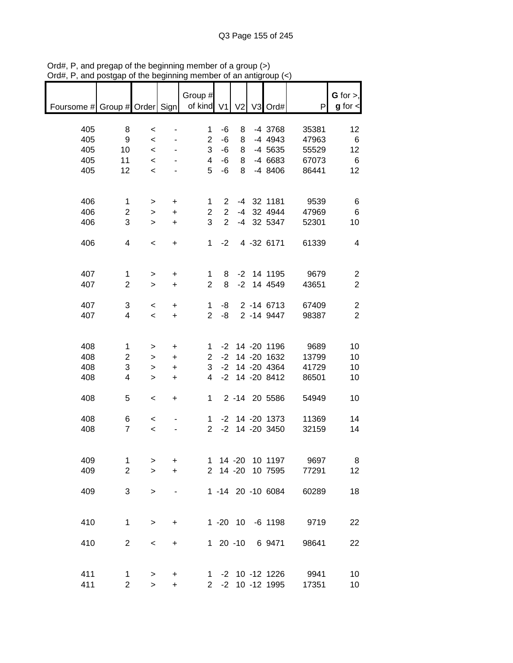|                                                       |                |                          |           | Group #        |         |               |                    |                       | $G$ for $>$ ,   |
|-------------------------------------------------------|----------------|--------------------------|-----------|----------------|---------|---------------|--------------------|-----------------------|-----------------|
| Foursome # Group # Order Sign   of kind V1 V2 V3 Ord# |                |                          |           |                |         |               |                    | P                     | $g$ for $\lt$   |
|                                                       |                |                          |           |                |         |               |                    |                       |                 |
|                                                       |                |                          |           |                |         |               |                    |                       |                 |
| 405                                                   | 8              | $\,<$                    |           | 1              | -6      | 8             | -4 3768            | 35381                 | 12              |
| 405                                                   | 9              | $\overline{\phantom{a}}$ |           | 2 <sup>7</sup> | -6      | 8             | -4 4943            | 47963                 | 6               |
| 405                                                   | 10             | $\,<$                    |           | 3 <sup>7</sup> | -6      |               | 8 -4 5635          | 55529                 | 12              |
| 405                                                   | 11             | $\,<$                    |           | $\overline{4}$ | -6      |               | 8 -4 6683          | 67073                 | $6\overline{6}$ |
| 405                                                   | 12             | $\,<$                    |           | 5 <sup>5</sup> | $-6$    |               | 8 -4 8406          | 86441                 | 12              |
|                                                       |                |                          |           |                |         |               |                    |                       |                 |
|                                                       |                |                          |           |                |         |               |                    |                       |                 |
| 406                                                   | $\mathbf{1}$   | $\geq$                   | $+$       | $\mathbf{1}$   |         |               | 2 -4 32 1181       | 9539                  | 6               |
| 406                                                   | $\overline{2}$ | $\,$                     | $+$       | $\overline{2}$ |         |               | 2 -4 32 4944       | 47969                 | $\,6$           |
| 406                                                   | 3              | $\geq$                   | $+$       | 3              |         |               | 2 -4 32 5347       | 52301                 | 10              |
|                                                       |                |                          |           |                |         |               |                    |                       |                 |
| 406                                                   | 4              | $\overline{\phantom{a}}$ | $+$       |                |         |               | 1 -2 4 -32 6171    | 61339                 | 4               |
|                                                       |                |                          |           |                |         |               |                    |                       |                 |
|                                                       |                |                          |           |                |         |               |                    |                       |                 |
| 407                                                   | $\mathbf{1}$   | $\geq$                   | $+$       | $\mathbf{1}$   | 8       |               | -2 14 1195         | 9679                  | $\overline{c}$  |
| 407                                                   | $\overline{2}$ | $\geq$                   | $+$       | $\overline{2}$ | 8       |               | -2 14 4549         | 43651                 | $\overline{2}$  |
|                                                       |                |                          |           |                |         |               |                    |                       |                 |
| 407                                                   | 3              | $\overline{\phantom{0}}$ | $\ddot{}$ | 1              | -8      |               | 2 -14 6713         | 67409                 | $\overline{c}$  |
| 407                                                   | $\overline{4}$ | $\prec$                  | $+$       |                | $2 - 8$ |               | 2 -14 9447         | 98387                 | $\overline{2}$  |
|                                                       |                |                          |           |                |         |               |                    |                       |                 |
|                                                       |                |                          |           |                |         |               |                    |                       |                 |
| 408                                                   | $\mathbf 1$    | $\,$                     | $\ddot{}$ |                |         |               |                    | 1 -2 14 -20 1196 9689 | 10              |
| 408                                                   | $\overline{c}$ | $\,$                     | $\ddot{}$ |                |         |               | 2 -2 14 -20 1632   | 13799                 | 10              |
| 408                                                   | $\mathfrak{S}$ | $\,$                     | $\ddot{}$ |                |         |               | 3 -2 14 -20 4364   | 41729                 | 10              |
| 408                                                   | 4              | $\,$                     | $+$       | $\overline{4}$ |         |               | -2 14 -20 8412     | 86501                 | 10              |
|                                                       |                |                          |           |                |         |               |                    |                       |                 |
| 408                                                   | 5              | $\overline{\phantom{a}}$ | $+$       |                |         |               | 1 2 -14 20 5586    | 54949                 | 10              |
|                                                       |                |                          |           |                |         |               |                    |                       |                 |
| 408                                                   | 6              |                          |           |                |         |               | 1 -2 14 -20 1373   | 11369                 | 14              |
|                                                       | $\overline{7}$ | $\overline{\phantom{0}}$ |           |                |         |               | 2 -2 14 -20 3450   |                       |                 |
| 408                                                   |                | $\prec$                  |           |                |         |               |                    | 32159                 | 14              |
|                                                       |                |                          |           |                |         |               |                    |                       |                 |
|                                                       |                |                          |           |                |         |               |                    |                       |                 |
| 409                                                   | 1              | >                        | +         |                |         | $1 \t14 - 20$ | 10 1197            | 9697                  | 8               |
| 409                                                   | $\overline{2}$ | $\geq$                   | $\ddot{}$ |                |         | 2 14 -20      | 10 7595            | 77291                 | 12              |
|                                                       |                |                          |           |                |         |               |                    |                       |                 |
| 409                                                   | 3              | $\, > \,$                |           |                |         |               | 1 -14 20 -10 6084  | 60289                 | 18              |
|                                                       |                |                          |           |                |         |               |                    |                       |                 |
|                                                       |                |                          |           |                |         |               |                    |                       |                 |
| 410                                                   | 1              | $\,$                     | $\ddot{}$ |                |         |               | 1 -20 10 -6 1198   | 9719                  | 22              |
|                                                       |                |                          |           |                |         |               |                    |                       |                 |
| 410                                                   | $\overline{2}$ | $\,<$                    | $\ddot{}$ |                |         | $120-10$      | 6 9471             | 98641                 | 22              |
|                                                       |                |                          |           |                |         |               |                    |                       |                 |
|                                                       |                |                          |           |                |         |               |                    |                       |                 |
| 411                                                   | $\mathbf{1}$   | >                        | $\ddot{}$ |                |         |               | 1 -2 10 -12 1226   | 9941                  | 10              |
| 411                                                   | $\overline{2}$ | $\, > \,$                | $\ddot{}$ | $\mathbf{2}$   |         |               | $-2$ 10 $-12$ 1995 | 17351                 | $10$            |

Ord#, P, and pregap of the beginning member of a group (>) Ord#, P, and postgap of the beginning member of an antigroup (<)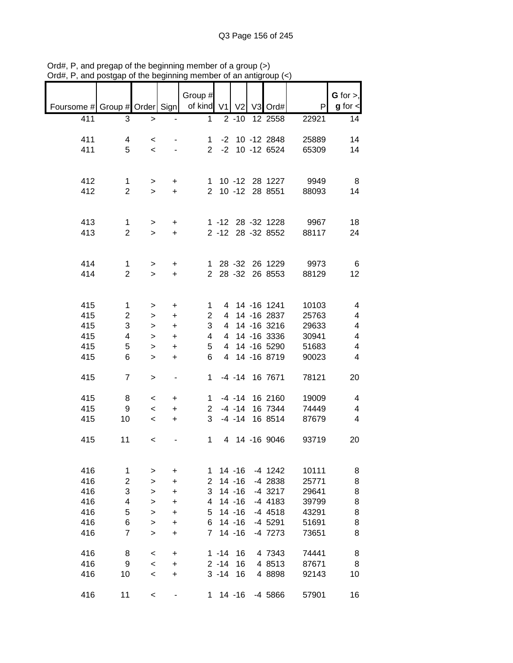|                                                           |                                |                          |                | Group $#$      |          |                        |                    |                                 | $G$ for $>$ ,           |
|-----------------------------------------------------------|--------------------------------|--------------------------|----------------|----------------|----------|------------------------|--------------------|---------------------------------|-------------------------|
| Foursome # Group # Order Sign   of kind V1   V2   V3 Ord# |                                |                          |                |                |          |                        |                    | P                               | $g$ for $\lt$           |
| 411                                                       | 3                              | $\mathbf{1}$             |                | $\mathbf{1}$   |          | $2 - 10$               | 12 2558            | 22921                           | 14                      |
|                                                           |                                |                          |                |                |          |                        |                    |                                 |                         |
| 411                                                       | 4                              | $\,<\,$                  |                | 1              |          |                        | $-2$ 10 $-12$ 2848 | 25889                           | 14                      |
| 411                                                       | 5                              | $\prec$                  |                |                |          |                        | 2 -2 10 -12 6524   | 65309                           | 14                      |
|                                                           |                                |                          |                |                |          |                        |                    |                                 |                         |
|                                                           |                                |                          |                |                |          |                        |                    |                                 |                         |
| 412                                                       | $\mathbf 1$                    | $\geq$                   | $\ddot{}$      |                |          |                        |                    | 1 10 -12 28 1227 9949           | - 8                     |
| 412                                                       | $\overline{2}$                 | $\geq$                   | $+$            |                |          |                        | 2 10 -12 28 8551   | 88093                           | 14                      |
|                                                           |                                |                          |                |                |          |                        |                    |                                 |                         |
|                                                           |                                |                          |                |                |          |                        |                    |                                 |                         |
| 413<br>413                                                | $\mathbf{1}$<br>$\overline{2}$ | $\geq$                   | $+$            |                |          |                        | 2 -12 28 -32 8552  | 1 -12 28 -32 1228 9967<br>88117 | 18                      |
|                                                           |                                | $\mathbf{L}$             | $+$            |                |          |                        |                    |                                 | 24                      |
|                                                           |                                |                          |                |                |          |                        |                    |                                 |                         |
| 414                                                       | $\mathbf{1}$                   | $\geq$                   | $+$            |                |          |                        | 1 28 -32 26 1229   | 9973                            | 6                       |
| 414                                                       | $\overline{2}$                 | $\geq$                   | $+$            |                |          |                        | 2 28 -32 26 8553   | 88129                           | 12                      |
|                                                           |                                |                          |                |                |          |                        |                    |                                 |                         |
|                                                           |                                |                          |                |                |          |                        |                    |                                 |                         |
| 415                                                       | $\mathbf{1}$                   | $\, > \,$                | $\ddot{}$      | 1              |          |                        | 4 14 -16 1241      | 10103                           | 4                       |
| 415                                                       | $\overline{c}$                 | $\, > \,$                | $\ddot{}$      | $\overline{2}$ |          |                        | 4 14 -16 2837      | 25763                           | 4                       |
| 415                                                       | 3                              | $\mathbf{I}$             | $\ddot{}$      | 3              |          |                        | 4 14 -16 3216      | 29633                           | $\overline{\mathbf{4}}$ |
| 415                                                       | 4                              | $\mathbf{I}$             | $\ddot{}$      | 4              |          |                        | 4 14 -16 3336      | 30941                           | $\overline{\mathbf{4}}$ |
| 415                                                       | 5                              | $\,$                     | $\ddot{}$      | 5              |          |                        | 4 14 -16 5290      | 51683                           | $\overline{\mathbf{4}}$ |
| 415                                                       | 6                              | $\mathbf{I}$             | $\ddot{}$      | 6              |          |                        | 4 14 -16 8719      | 90023                           | 4                       |
| 415                                                       | $\overline{7}$                 |                          |                | $1 \quad$      |          |                        | -4 -14 16 7671     | 78121                           | 20                      |
|                                                           |                                | $\,$                     | $\blacksquare$ |                |          |                        |                    |                                 |                         |
| 415                                                       | 8                              | $\,<$                    | $\ddot{}$      | $1 \quad$      |          |                        | $-4$ $-14$ 16 2160 | 19009                           | 4                       |
| 415                                                       | 9                              | $\overline{\phantom{a}}$ | $\ddot{}$      |                |          |                        | 2 -4 -14 16 7344   | 74449                           | $\overline{\mathbf{4}}$ |
| 415                                                       | 10                             | $\,<$                    | $\ddot{}$      | 3              |          |                        | -4 -14 16 8514     | 87679                           | $\overline{4}$          |
|                                                           |                                |                          |                |                |          |                        |                    |                                 |                         |
| 415                                                       | 11                             | $\overline{\phantom{a}}$ |                |                |          |                        | 1 4 14 -16 9046    | 93719                           | 20                      |
|                                                           |                                |                          |                |                |          |                        |                    |                                 |                         |
|                                                           |                                |                          |                |                |          |                        |                    |                                 |                         |
| 416                                                       | 1                              | >                        | +              | 1              |          | $14 - 16$              | $-4$ 1242          | 10111                           | 8                       |
| 416<br>416                                                | $\overline{c}$<br>3            | $\geq$                   | +              | 2<br>3         |          | $14 - 16$<br>$14 - 16$ | -4 2838<br>-4 3217 | 25771<br>29641                  | 8<br>8                  |
| 416                                                       | 4                              | $\geq$                   | +<br>+         | 4              |          | $14 - 16$              | -4 4183            | 39799                           | 8                       |
| 416                                                       | 5                              | ><br>>                   | +              | 5              |          | $14 - 16$              | $-4$ 4518          | 43291                           | 8                       |
| 416                                                       | 6                              | >                        | +              | 6              |          | $14 - 16$              | $-4$ 5291          | 51691                           | 8                       |
| 416                                                       | 7                              | $\, > \,$                | +              | $\overline{7}$ |          | $14 - 16$              | -4 7273            | 73651                           | 8                       |
|                                                           |                                |                          |                |                |          |                        |                    |                                 |                         |
| 416                                                       | 8                              | $\,<\,$                  | $\ddot{}$      |                | $1 - 14$ | 16                     | 4 7343             | 74441                           | 8                       |
| 416                                                       | 9                              | $\,<$                    | $\ddot{}$      |                | $2 - 14$ | 16                     | 4 8513             | 87671                           | 8                       |
| 416                                                       | 10                             | $\,<$                    | $\ddot{}$      |                | $3 - 14$ | 16                     | 4 8898             | 92143                           | 10                      |
|                                                           |                                |                          |                |                |          |                        |                    |                                 |                         |
| 416                                                       | 11                             | $\,<$                    |                | 1              |          | $14 - 16$              | -4 5866            | 57901                           | 16                      |

Ord#, P, and pregap of the beginning member of a group (>) Ord#, P, and postgap of the beginning member of an antigroup (<)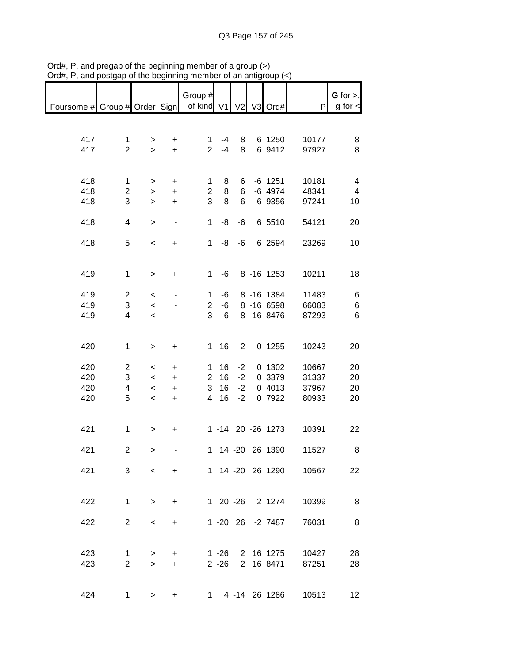| Foursome # Group # Order Sign |                         |                          |                              | Group #<br>of kind V1 |          |                | V2 V3 Ord#        | P                     | $G$ for $>$ ,<br>$g$ for $\lt$ |
|-------------------------------|-------------------------|--------------------------|------------------------------|-----------------------|----------|----------------|-------------------|-----------------------|--------------------------------|
|                               |                         |                          |                              |                       |          |                |                   |                       |                                |
|                               |                         |                          |                              |                       |          |                |                   |                       |                                |
|                               |                         |                          |                              |                       |          |                |                   |                       |                                |
| 417                           | $\mathbf{1}$            | $\, > \,$                | +                            | 1                     | $-4$     | 8              | 6 1250            | 10177                 | 8                              |
| 417                           | $\overline{2}$          | $\geq$                   | $+$                          | $\overline{2}$        | $-4$     | 8              | 6 9412            | 97927                 | 8                              |
|                               |                         |                          |                              |                       |          |                |                   |                       |                                |
|                               |                         |                          |                              |                       |          |                |                   |                       |                                |
|                               |                         |                          |                              |                       |          |                |                   |                       |                                |
| 418                           | $\mathbf 1$             | >                        | +                            | 1                     | 8        | 6              | $-6$ 1251         | 10181                 | $\overline{\mathbf{4}}$        |
| 418                           | $\overline{2}$          | $\,$                     | $\ddot{}$                    | $\overline{2}$        | 8        | 6              | $-6$ 4974         | 48341                 | $\overline{4}$                 |
| 418                           | 3                       | $\geq$                   | $\ddot{}$                    | 3                     | 8        | 6              | $-6$ 9356         | 97241                 | 10                             |
|                               |                         |                          |                              |                       |          |                |                   |                       |                                |
|                               |                         |                          |                              |                       |          |                |                   |                       |                                |
| 418                           | 4                       | $\,>$                    | $\qquad \qquad \blacksquare$ | $\mathbf{1}$          | -8       | -6             | 6 5510            | 54121                 | 20                             |
|                               |                         |                          |                              |                       |          |                |                   |                       |                                |
| 418                           | 5                       | $\,<$                    | $\ddot{}$                    | $\mathbf{1}$          | -8       | $-6$           | 6 2594            | 23269                 | 10                             |
|                               |                         |                          |                              |                       |          |                |                   |                       |                                |
|                               |                         |                          |                              |                       |          |                |                   |                       |                                |
|                               |                         |                          |                              |                       |          |                |                   |                       |                                |
| 419                           | $\mathbf 1$             | $\,$                     | $\ddot{}$                    | 1                     | -6       |                | 8 -16 1253        | 10211                 | 18                             |
|                               |                         |                          |                              |                       |          |                |                   |                       |                                |
| 419                           | $\overline{\mathbf{c}}$ |                          |                              | $\mathbf{1}$          | -6       |                | 8 - 16 1384       | 11483                 |                                |
|                               |                         | $\,<$                    |                              |                       |          |                |                   |                       | 6                              |
| 419                           | 3                       | $\prec$                  |                              | $\overline{2}$        | -6       |                | 8 - 16 6598       | 66083                 | 6                              |
| 419                           | $\overline{4}$          | $\,<$                    |                              | 3                     | -6       |                | 8 - 16 8476       | 87293                 | $\,6$                          |
|                               |                         |                          |                              |                       |          |                |                   |                       |                                |
|                               |                         |                          |                              |                       |          |                |                   |                       |                                |
|                               |                         |                          |                              |                       |          |                |                   |                       |                                |
| 420                           | 1                       | $\,$                     | +                            |                       | $1 - 16$ | $\overline{2}$ | 0 1255            | 10243                 | 20                             |
|                               |                         |                          |                              |                       |          |                |                   |                       |                                |
| 420                           | $\overline{2}$          | $\,<$                    | +                            | 1                     | 16       | $-2$           | 0 1302            | 10667                 | 20                             |
| 420                           | 3                       |                          |                              | $\overline{2}$        | 16       | $-2$           | 0 3379            | 31337                 |                                |
|                               |                         | $\,<$                    | $\ddot{}$                    |                       |          |                |                   |                       | 20                             |
| 420                           | 4                       | $\,<$                    | $\ddot{}$                    | 3                     | 16       | $-2$           | 0 4013            | 37967                 | 20                             |
| 420                           | 5                       | $\,<$                    | $\ddot{}$                    | $\overline{4}$        | 16       | $-2$           | 0 7922            | 80933                 | 20                             |
|                               |                         |                          |                              |                       |          |                |                   |                       |                                |
|                               |                         |                          |                              |                       |          |                |                   |                       |                                |
|                               |                         |                          |                              |                       |          |                |                   |                       |                                |
| 421                           | $\mathbf 1$             | $\, > \,$                | +                            |                       |          |                | 1 -14 20 -26 1273 | 10391                 | 22                             |
|                               |                         |                          |                              |                       |          |                |                   |                       |                                |
| 421                           | $\overline{c}$          | $\geq$                   |                              |                       |          |                | 1 14 -20 26 1390  | 11527                 | 8                              |
|                               |                         |                          |                              |                       |          |                |                   |                       |                                |
|                               |                         |                          |                              |                       |          |                |                   |                       |                                |
| 421                           |                         | $3^{\circ}$              | $\lt$ $\sim$<br>$+$          |                       |          |                | 1 14 -20 26 1290  | 10567                 | 22                             |
|                               |                         |                          |                              |                       |          |                |                   |                       |                                |
|                               |                         |                          |                              |                       |          |                |                   |                       |                                |
| 422                           | $\mathbf{1}$            | $\geq$                   |                              |                       |          |                | 1 20 -26 2 1274   | 10399                 | $_{\rm 8}$                     |
|                               |                         |                          | $\ddot{}$                    |                       |          |                |                   |                       |                                |
|                               |                         |                          |                              |                       |          |                |                   |                       |                                |
| 422                           | $\overline{2}$          | $\overline{\phantom{a}}$ | $+$                          |                       |          |                | 1 -20 26 -2 7487  | 76031                 | 8                              |
|                               |                         |                          |                              |                       |          |                |                   |                       |                                |
|                               |                         |                          |                              |                       |          |                |                   |                       |                                |
|                               |                         |                          |                              |                       |          |                |                   |                       |                                |
| 423                           | $\mathbf 1$             | >                        | $+$                          |                       | $1 - 26$ |                | 2 16 1275         | 10427                 | 28                             |
| 423                           | $\overline{2}$          | $\geq$                   | $+$                          |                       | $2 - 26$ |                | 2 16 8471         | 87251                 | 28                             |
|                               |                         |                          |                              |                       |          |                |                   |                       |                                |
|                               |                         |                          |                              |                       |          |                |                   |                       |                                |
|                               |                         |                          |                              |                       |          |                |                   |                       |                                |
| 424                           |                         | $1 \quad \Box$<br>$\geq$ | $\ddot{}$                    |                       |          |                |                   | 1 4 -14 26 1286 10513 | 12                             |

Ord#, P, and pregap of the beginning member of a group (>) Ord#, P, and postgap of the beginning member of an antigroup (<)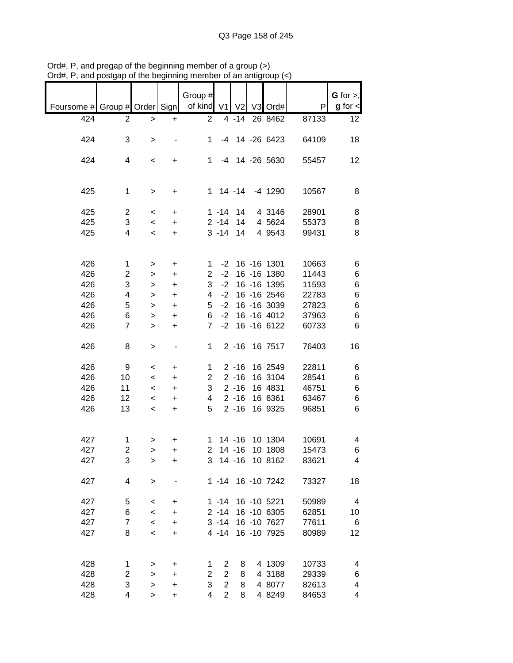|                               |                |                          |                | Group #        |                |                |                   |       | $G$ for $>$ ,           |
|-------------------------------|----------------|--------------------------|----------------|----------------|----------------|----------------|-------------------|-------|-------------------------|
| Foursome # Group # Order Sign |                |                          |                | of kind V1     |                | V <sub>2</sub> | V3 Ord#           | P     | $g$ for $\lt$           |
|                               |                |                          |                |                |                |                |                   |       |                         |
| 424                           | 2              | >                        | +              | $\overline{c}$ |                | $4 - 14$       | 26 8462           | 87133 | 12                      |
|                               |                |                          |                |                |                |                |                   |       |                         |
| 424                           | 3              | >                        |                | 1              | -4             |                | 14 -26 6423       | 64109 | 18                      |
|                               |                |                          |                |                |                |                |                   |       |                         |
| 424                           | 4              | $\,<\,$                  | +              | 1              | $-4$           |                | 14 -26 5630       | 55457 | 12                      |
|                               |                |                          |                |                |                |                |                   |       |                         |
|                               |                |                          |                |                |                |                |                   |       |                         |
| 425                           | 1              | $\, > \,$                | +              | $\mathbf 1$    |                | 14 -14         | $-4$ 1290         | 10567 | 8                       |
|                               |                |                          |                |                |                |                |                   |       |                         |
| 425                           | $\overline{c}$ | $\,<\,$                  | $\ddot{}$      |                | $1 - 14$       | 14             | 4 3146            | 28901 | 8                       |
| 425                           | 3              | $\,<\,$                  | $\ddot{}$      |                | $2 - 14$       | 14             | 4 5624            | 55373 | 8                       |
| 425                           | 4              | $\,<\,$                  | $\ddot{}$      |                | $3 - 14$       | 14             | 4 9 5 4 3         | 99431 | 8                       |
|                               |                |                          |                |                |                |                |                   |       |                         |
|                               |                |                          |                |                |                |                |                   |       |                         |
| 426                           | 1              | >                        | +              | 1              | $-2$           |                | 16 -16 1301       | 10663 | 6                       |
| 426                           | 2              | >                        | +              | $\overline{2}$ | $-2$           |                | 16 - 16 1380      | 11443 | 6                       |
| 426                           | 3              | >                        | $\ddot{}$      | 3              | $-2$           |                | 16 - 16 1395      | 11593 | $\,6$                   |
| 426                           | 4              | >                        | $\ddot{}$      | 4              | $-2$           |                | 16 - 16 2546      | 22783 | $\,6$                   |
| 426                           | 5              | >                        | $\ddot{}$      | 5              | $-2$           |                | 16 - 16 3039      | 27823 | $\,6$                   |
| 426                           | 6              | >                        | $\ddot{}$      | 6              | $-2$           |                | 16 - 16 4012      | 37963 | $\,6$                   |
| 426                           | 7              | $\geq$                   | $\ddot{}$      | $\overline{7}$ | $-2$           |                | 16 - 16 6122      | 60733 | 6                       |
|                               |                |                          |                |                |                |                |                   |       |                         |
| 426                           | 8              | >                        |                | 1              |                | $2 - 16$       | 16 7517           | 76403 | 16                      |
|                               |                |                          |                |                |                |                |                   |       |                         |
| 426                           | 9              | $\,<\,$                  | +              | 1              |                | $2 - 16$       | 16 2549           | 22811 | 6                       |
| 426                           | 10             | $\,<\,$                  | $\ddot{}$      | $\overline{c}$ |                | $2 - 16$       | 16 3104           | 28541 | 6                       |
| 426                           | 11             | $\,<\,$                  | $\ddot{}$      | 3              |                | $2 - 16$       | 16 4831           | 46751 | 6                       |
| 426                           | 12             | $\,<$                    | $\ddot{}$      | 4              |                | $2 - 16$       | 16 6361           | 63467 | 6                       |
| 426                           | 13             | $\,<\,$                  | +              | 5              |                | $2 - 16$       | 16 9325           | 96851 | 6                       |
|                               |                |                          |                |                |                |                |                   |       |                         |
|                               |                |                          |                |                |                |                |                   |       |                         |
| 427                           | 1              |                          |                | 1              |                | $14 - 16$      | 10 1304           | 10691 | 4                       |
| 427                           | $\overline{2}$ | >                        | +<br>$\ddot{}$ | $\overline{2}$ |                | $14 - 16$      | 10 1808           | 15473 | 6                       |
|                               | 3              | $\geq$                   |                |                |                |                | 3 14 -16 10 8162  |       | 4                       |
| 427                           |                | >                        | $\ddot{}$      |                |                |                |                   | 83621 |                         |
| 427                           | 4              |                          |                |                |                |                |                   |       |                         |
|                               |                | $\, > \,$                |                |                |                |                | 1 -14 16 -10 7242 | 73327 | 18                      |
|                               |                |                          |                |                |                |                |                   |       |                         |
| 427                           | 5              | $\,<\,$                  | +              |                | $1 - 14$       |                | 16 -10 5221       | 50989 | $\overline{\mathbf{4}}$ |
| 427                           | 6              | $\,<$                    | +              |                | $2 - 14$       |                | 16 -10 6305       | 62851 | 10                      |
| 427                           | $\overline{7}$ | $\overline{\phantom{0}}$ | +              |                | $3 - 14$       |                | 16 -10 7627       | 77611 | 6                       |
| 427                           | 8              | $\,<\,$                  | +              |                | 4 -14          |                | 16 - 10 7925      | 80989 | 12                      |
|                               |                |                          |                |                |                |                |                   |       |                         |
|                               |                |                          |                |                |                |                |                   |       |                         |
| 428                           | 1              | >                        | +              | 1              | $\overline{2}$ | 8              | 4 1309            | 10733 | 4                       |
| 428                           | 2              | >                        | $\ddot{}$      | $\overline{2}$ | $\mathbf{2}$   | 8              | 4 3188            | 29339 | 6                       |
| 428                           | 3              | $\mathbf{I}$             | +              | 3              | $\overline{2}$ | 8              | 4 8077            | 82613 | 4                       |
| 428                           | 4              | >                        | $\ddot{}$      | 4              | $\overline{2}$ | 8              | 4 8249            | 84653 | 4                       |

Ord#, P, and pregap of the beginning member of a group (>) Ord#, P, and postgap of the beginning member of an antigroup (<)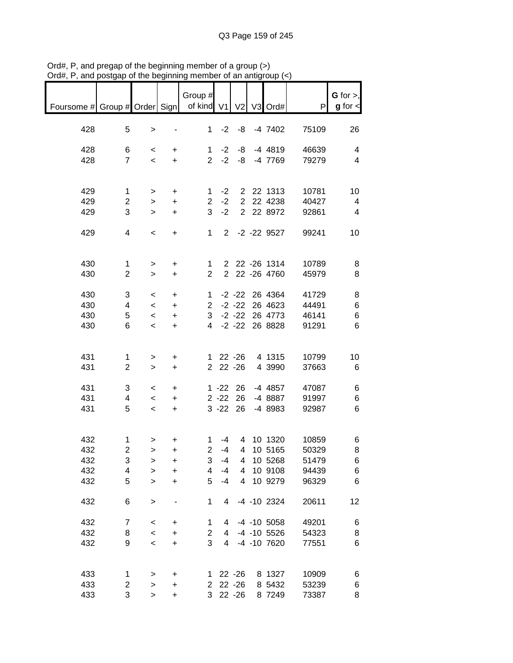|                                                       |                         |                          |                     | Group #               |                |                |                             |       | $G$ for $>$ ,            |
|-------------------------------------------------------|-------------------------|--------------------------|---------------------|-----------------------|----------------|----------------|-----------------------------|-------|--------------------------|
| Foursome # Group # Order Sign   of kind V1 V2 V3 Ord# |                         |                          |                     |                       |                |                |                             | P     | $g$ for $\lt$            |
|                                                       |                         |                          |                     |                       |                |                |                             |       |                          |
| 428                                                   | 5                       | $\, >$                   |                     |                       |                | $1 -2 -8$      | -4 7402                     | 75109 | 26                       |
|                                                       |                         |                          |                     |                       |                |                |                             |       |                          |
| 428                                                   | 6                       | $\prec$                  | $+$                 |                       |                |                | 1 -2 -8 -4 4819             | 46639 | $\overline{4}$           |
| 428                                                   | $\overline{7}$          | $\prec$                  | $+$                 |                       |                |                | 2 -2 -8 -4 7769             | 79279 | $\overline{\mathcal{A}}$ |
|                                                       |                         |                          |                     |                       |                |                |                             |       |                          |
|                                                       |                         |                          |                     |                       |                |                |                             |       |                          |
| 429                                                   | $\mathbf{1}$            | $\geq$                   | $+$                 |                       | $1 -2$         |                | 2 22 1313                   | 10781 | 10                       |
| 429                                                   | $\overline{c}$          | $\,$                     | $\ddot{}$           |                       | $2 -2$         |                | 2 22 4238                   | 40427 | $\overline{4}$           |
| 429                                                   | 3                       | $\,$                     | $+$                 | 3                     | $-2$           |                | 2 22 8972                   | 92861 | $\overline{4}$           |
|                                                       |                         |                          |                     |                       |                |                |                             |       |                          |
| 429                                                   | $\overline{4}$          | $\overline{\phantom{a}}$ | $+$                 | $1 \quad$             |                |                | 2 -2 -22 9527               | 99241 | 10                       |
|                                                       |                         |                          |                     |                       |                |                |                             |       |                          |
| 430                                                   | $\mathbf{1}$            |                          |                     | 1                     |                |                | 2 22 -26 1314               | 10789 | 8                        |
| 430                                                   | $\overline{2}$          | $\geq$<br>$\geq$         | $+$<br>$+$          | $\overline{2}$        |                |                | 2 22 -26 4760               | 45979 | 8                        |
|                                                       |                         |                          |                     |                       |                |                |                             |       |                          |
| 430                                                   | 3                       | $\lt$                    | $+$                 | 1                     |                |                | -2 -22 26 4364              | 41729 | 8                        |
| 430                                                   | $\overline{4}$          |                          | $\leq$<br>$+$       |                       |                |                | 2 -2 -22 26 4623            | 44491 | $\,6$                    |
| 430                                                   | 5                       |                          | $\leq$<br>$\ddot{}$ |                       |                |                | 3 -2 -22 26 4773            | 46141 | $\,6$                    |
| 430                                                   | 6                       | $\prec$                  | $+$                 |                       |                |                | 4 -2 -22 26 8828            | 91291 | $\,6$                    |
|                                                       |                         |                          |                     |                       |                |                |                             |       |                          |
|                                                       |                         |                          |                     |                       |                |                |                             |       |                          |
| 431                                                   | $\mathbf 1$             | $\,>$                    | $\ddot{}$           |                       |                |                | 1 22 -26 4 1315             | 10799 | 10                       |
| 431                                                   | $\overline{2}$          | $\geq$                   | $\pm$               |                       |                | 2 22 -26       | 4 3990                      | 37663 | $6\phantom{1}6$          |
|                                                       |                         |                          |                     |                       |                |                |                             |       |                          |
| 431                                                   | 3                       | $\overline{\phantom{a}}$ | $\ddot{}$           |                       |                |                | 1 -22 26 -4 4857            | 47087 | 6                        |
| 431<br>431                                            | 4<br>5                  | $\prec$                  | $\ddot{}$           |                       |                | $3 - 22$ 26    | 2 -22 26 -4 8887<br>-4 8983 | 91997 | 6<br>$\,6$               |
|                                                       |                         | $\overline{\phantom{a}}$ | $\ddot{}$           |                       |                |                |                             | 92987 |                          |
|                                                       |                         |                          |                     |                       |                |                |                             |       |                          |
| 432                                                   | $\mathbf{1}$            | $\,$                     | +                   | 1                     | -4             |                | 4 10 1320                   | 10859 | 6                        |
| 432                                                   | $\overline{\mathbf{c}}$ | $\geq$                   | +                   | $\overline{c}$        | -4             | $\overline{4}$ | 10 5165                     | 50329 | 8                        |
| 432                                                   | 3                       | >                        | +                   | 3                     | $-4$           | 4              | 10 5268                     | 51479 | 6                        |
| 432                                                   | 4                       | $\geq$                   | $\ddot{}$           | 4                     | $-4$           | 4              | 10 9108                     | 94439 | 6                        |
| 432                                                   | 5                       | $\geq$                   | +                   | 5                     | $-4$           | 4              | 10 9279                     | 96329 | 6                        |
|                                                       |                         |                          |                     |                       |                |                |                             |       |                          |
| 432                                                   | 6                       | $\mathbf{I}$             |                     | 1                     | 4              |                | -4 -10 2324                 | 20611 | 12                       |
|                                                       |                         |                          |                     |                       |                |                |                             |       |                          |
| 432                                                   | $\overline{7}$          | $\,<$                    | +                   | 1                     | 4              |                | $-4$ $-10$ 5058             | 49201 | 6                        |
| 432                                                   | 8                       | $\,<\,$                  | +                   | $\overline{2}$        | 4              |                | $-4$ $-10$ 5526             | 54323 | 8                        |
| 432                                                   | 9                       | $\,<\,$                  | $\ddot{}$           | 3                     | $\overline{4}$ |                | -4 -10 7620                 | 77551 | 6                        |
|                                                       |                         |                          |                     |                       |                |                |                             |       |                          |
| 433                                                   | 1                       | >                        | +                   | 1                     |                | $22 - 26$      | 8 1327                      | 10909 | 6                        |
| 433                                                   | $\overline{c}$          | >                        | $\ddot{}$           | $\mathbf{2}^{\prime}$ |                | $22 - 26$      | 8 5432                      | 53239 | 6                        |
| 433                                                   | 3                       | $\geq$                   | $\ddot{}$           | 3                     |                | $22 - 26$      | 8 7249                      | 73387 | 8                        |

Ord#, P, and pregap of the beginning member of a group (>) Ord#, P, and postgap of the beginning member of an antigroup (<)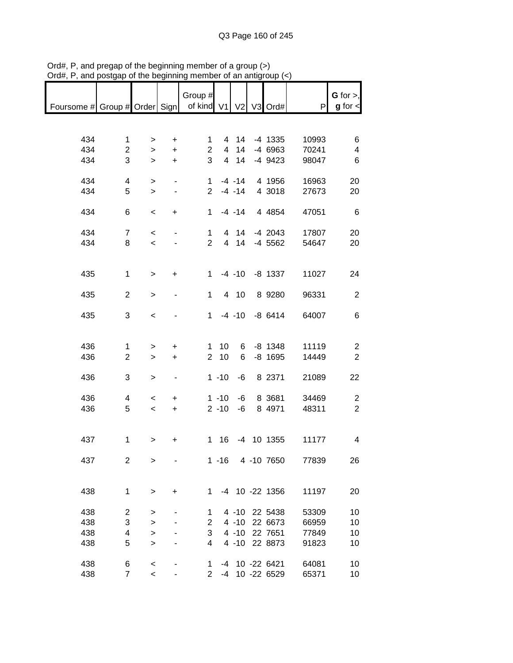|                                                       |                         |                          |                              | Group #        |              |              |                  |       | G for $>$ ,             |
|-------------------------------------------------------|-------------------------|--------------------------|------------------------------|----------------|--------------|--------------|------------------|-------|-------------------------|
| Foursome # Group # Order Sign   of kind V1 V2 V3 Ord# |                         |                          |                              |                |              |              |                  | P     | $g$ for $\lt$           |
|                                                       |                         |                          |                              |                |              |              |                  |       |                         |
|                                                       |                         |                          |                              |                |              |              |                  |       |                         |
|                                                       |                         |                          |                              |                |              |              |                  |       |                         |
| 434                                                   | $\mathbf{1}$            | $\geq$                   | $\ddot{}$                    | 1              |              | 4 14         | -4 1335          | 10993 | 6                       |
| 434                                                   | $\overline{2}$          | $\geq$                   | $+$                          | $\overline{2}$ |              | 4 14         | -4 6963          | 70241 | $\overline{\mathbf{4}}$ |
| 434                                                   | 3                       | $\geq$                   | $+$                          | 3              |              | 4 14         | -4 9423          | 98047 | 6                       |
|                                                       |                         |                          |                              |                |              |              |                  |       |                         |
| 434                                                   | 4                       | $\mathbf{r}$             | $\blacksquare$               |                |              |              | 1 -4 -14 4 1956  | 16963 | 20                      |
| 434                                                   | 5                       | $\geq$                   | $\blacksquare$               |                |              | $2 - 4 - 14$ | 4 3018           | 27673 | 20                      |
|                                                       |                         |                          |                              |                |              |              |                  |       |                         |
| 434                                                   | 6                       | $\,<$                    | $+$                          |                |              |              | 1 -4 -14 4 4854  | 47051 | $\,6$                   |
|                                                       |                         |                          |                              |                |              |              |                  |       |                         |
| 434                                                   | $\overline{7}$          | $\overline{\phantom{a}}$ |                              |                | $1 \quad$    |              | 4 14 -4 2043     | 17807 | 20                      |
|                                                       |                         |                          |                              | $2^{\circ}$    |              |              |                  |       |                         |
| 434                                                   | 8                       | $\overline{\phantom{0}}$ |                              |                |              | 4 14         | -4 5562          | 54647 | 20                      |
|                                                       |                         |                          |                              |                |              |              |                  |       |                         |
|                                                       |                         |                          |                              |                |              |              |                  |       |                         |
| 435                                                   | $\mathbf{1}$            | $\geq$                   | $\ddot{}$                    |                |              |              | 1 -4 -10 -8 1337 | 11027 | 24                      |
|                                                       |                         |                          |                              |                |              |              |                  |       |                         |
| 435                                                   | $\overline{c}$          | $\, > \,$                | $\qquad \qquad \blacksquare$ | $\mathbf 1$    |              | 4 10         | 8 9 28 0         | 96331 | $\overline{2}$          |
|                                                       |                         |                          |                              |                |              |              |                  |       |                         |
| 435                                                   | 3                       | $\,<$                    |                              |                |              |              | 1 -4 -10 -8 6414 | 64007 | 6                       |
|                                                       |                         |                          |                              |                |              |              |                  |       |                         |
|                                                       |                         |                          |                              |                |              |              |                  |       |                         |
| 436                                                   | 1                       | >                        | $\ddot{}$                    |                | $1 \quad 10$ |              | 6 -8 1348        | 11119 | $\overline{2}$          |
| 436                                                   | $\overline{2}$          | $\mathbf{I}$             | $+$                          | $\overline{2}$ | 10           | 6            | $-8$ 1695        | 14449 | $\sqrt{2}$              |
|                                                       |                         |                          |                              |                |              |              |                  |       |                         |
| 436                                                   | 3                       | $\,$                     | $\blacksquare$               |                | $1 - 10$     | -6           | 8 2371           | 21089 | 22                      |
|                                                       |                         |                          |                              |                |              |              |                  |       |                         |
|                                                       |                         |                          |                              |                |              |              |                  |       |                         |
| 436                                                   | 4                       | $\overline{\phantom{a}}$ | $\ddot{}$                    |                | $1 - 10$     | -6           | 8 3681           | 34469 | $\overline{c}$          |
| 436                                                   | 5                       | $\overline{\phantom{a}}$ | $+$                          |                | $2 - 10$     | -6           | 8 4971           | 48311 | $\overline{2}$          |
|                                                       |                         |                          |                              |                |              |              |                  |       |                         |
|                                                       |                         |                          |                              |                |              |              |                  |       |                         |
| 437                                                   | $\mathbf 1$             | >                        | +                            |                | 1 16         |              | -4 10 1355       | 11177 | 4                       |
|                                                       |                         |                          |                              |                |              |              |                  |       |                         |
| 437                                                   | $\overline{2}$          | >                        |                              |                | $1 - 16$     |              | 4 -10 7650       | 77839 | 26                      |
|                                                       |                         |                          |                              |                |              |              |                  |       |                         |
|                                                       |                         |                          |                              |                |              |              |                  |       |                         |
| 438                                                   | $\mathbf{1}$            | >                        | +                            | $\mathbf 1$    |              |              | -4 10 -22 1356   | 11197 | 20                      |
|                                                       |                         |                          |                              |                |              |              |                  |       |                         |
| 438                                                   | $\overline{\mathbf{c}}$ | >                        |                              | 1              |              | $4 - 10$     | 22 5438          | 53309 | 10                      |
| 438                                                   | 3                       | $\geq$                   |                              | $\overline{2}$ |              | $4 - 10$     | 22 6673          | 66959 | 10                      |
| 438                                                   | 4                       |                          |                              | 3              |              | $4 - 10$     | 22 7651          | 77849 | 10                      |
|                                                       |                         | $\geq$                   |                              |                |              |              |                  |       |                         |
| 438                                                   | 5                       | $\mathbf{I}$             |                              | 4              |              | $4 - 10$     | 22 8873          | 91823 | 10                      |
|                                                       |                         |                          |                              |                |              |              |                  |       |                         |
| 438                                                   | 6                       | $\prec$                  |                              | 1              |              |              | -4 10 -22 6421   | 64081 | 10                      |
| 438                                                   | 7                       | $\,<$                    |                              | $\overline{2}$ | -4           |              | 10 -22 6529      | 65371 | 10                      |

Ord#, P, and pregap of the beginning member of a group (>) Ord#, P, and postgap of the beginning member of an antigroup (<)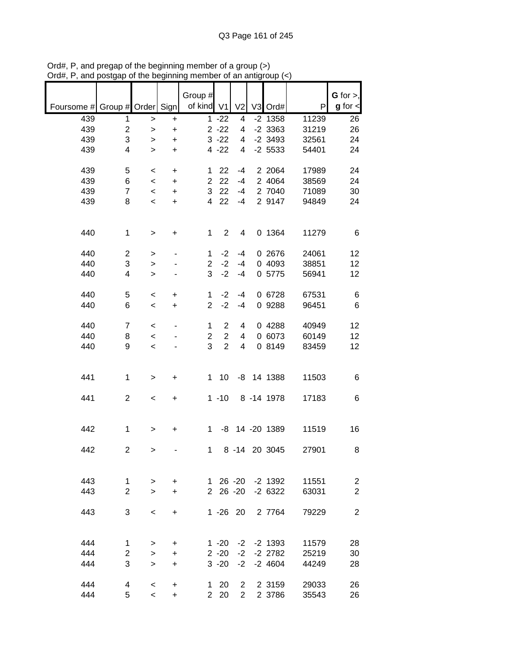|                               |                         |                          |           | Group #                 |                |                |                  |       | $G$ for $>$ ,   |
|-------------------------------|-------------------------|--------------------------|-----------|-------------------------|----------------|----------------|------------------|-------|-----------------|
| Foursome # Group # Order Sign |                         |                          |           | of kind V1              |                | V <sub>2</sub> | V3 Ord#          | P     | $g$ for $\lt$   |
| 439                           | 1                       | >                        | +         |                         | $1 - 22$       | 4              | $-2$ 1358        | 11239 | 26              |
| 439                           | $\overline{\mathbf{c}}$ | $\geq$                   | +         |                         | $2 - 22$       | 4              | $-2$ 3363        | 31219 | 26              |
| 439                           | 3                       | >                        | +         |                         | $3 - 22$       | 4              | $-2$ 3493        | 32561 | 24              |
| 439                           | 4                       | $\geq$                   | $\ddot{}$ |                         | $4 - 22$       | 4              | $-2$ 5533        | 54401 | 24              |
| 439                           | 5                       | $\,<\,$                  | +         | 1                       | 22             | $-4$           | 2 2064           | 17989 | 24              |
| 439                           | 6                       | $\,<$                    | $\ddot{}$ | $\overline{\mathbf{c}}$ | 22             | $-4$           | 2 4064           | 38569 | 24              |
| 439                           | $\overline{7}$          | $\,<$                    | $\ddot{}$ | 3                       | 22             | $-4$           | 2 7040           | 71089 | 30              |
| 439                           | 8                       | $\,<$                    | $\ddot{}$ | 4                       | 22             | $-4$           | 2 9147           | 94849 | 24              |
|                               |                         |                          |           |                         |                |                |                  |       |                 |
|                               |                         |                          |           |                         |                |                |                  |       |                 |
| 440                           | $\mathbf{1}$            | >                        | +         | 1                       | $\overline{2}$ | 4              | 0 1364           | 11279 | 6               |
|                               |                         |                          |           |                         |                |                |                  |       |                 |
| 440                           | 2                       | $\, > \,$                |           | 1                       | $-2$           | $-4$           | 0 2676           | 24061 | 12              |
| 440                           | 3                       | $\geq$                   |           | $\overline{2}$          | $-2$           | $-4$           | 0 4093           | 38851 | 12              |
| 440                           | 4                       | $\geq$                   |           | 3                       | $-2$           | $-4$           | 0 5775           | 56941 | 12              |
| 440                           | 5                       | $\,<$                    | +         | $\mathbf 1$             | $-2$           | $-4$           | 0 6728           | 67531 | 6               |
| 440                           | 6                       | $\,<\,$                  | $\ddot{}$ | $\overline{2}$          | $-2$           | $-4$           | 0 9288           | 96451 | 6               |
|                               |                         |                          |           |                         |                |                |                  |       |                 |
| 440                           | $\overline{7}$          | $\,<$                    |           | $\mathbf 1$             | $\overline{2}$ | 4              | 0 4288           | 40949 | 12              |
| 440                           | 8                       | $\prec$                  |           | $\overline{c}$          | $\overline{2}$ | 4              | 0 6073           | 60149 | 12              |
| 440                           | 9                       | $\prec$                  |           | 3                       | $\overline{2}$ | 4              | 0 8149           | 83459 | 12 <sub>2</sub> |
|                               |                         |                          |           |                         |                |                |                  |       |                 |
|                               |                         |                          |           |                         |                |                |                  |       |                 |
| 441                           | $\mathbf{1}$            | >                        | +         | 1                       | 10             | -8             | 14 1388          | 11503 | 6               |
| 441                           | $\overline{c}$          |                          |           |                         | $1 - 10$       |                | 8 - 14 1978      | 17183 | 6               |
|                               |                         | $\,<$                    | +         |                         |                |                |                  |       |                 |
|                               |                         |                          |           |                         |                |                |                  |       |                 |
| 442                           | 1                       | >                        | +         | 1                       | -8             |                | 14 -20 1389      | 11519 | 16              |
|                               |                         |                          |           |                         |                |                |                  |       |                 |
| 442                           | $\overline{2}$          | $\mathbf{I}$             |           | 1                       |                |                | 8 -14 20 3045    | 27901 | 8               |
|                               |                         |                          |           |                         |                |                |                  |       |                 |
|                               |                         |                          |           |                         |                |                |                  |       |                 |
| 443                           | $\mathbf 1$             | $\,>$                    | $\ddot{}$ |                         |                |                | 1 26 -20 -2 1392 | 11551 | $\overline{c}$  |
| 443                           | $\overline{2}$          | $\geq$                   | $+$       |                         | 2 26 -20       |                | $-26322$         | 63031 | $\overline{2}$  |
| 443                           | 3                       | $\,<\,$                  | $\ddot{}$ |                         | $1 - 26$ 20    |                | 2 7764           | 79229 | $\overline{2}$  |
|                               |                         |                          |           |                         |                |                |                  |       |                 |
|                               |                         |                          |           |                         |                |                |                  |       |                 |
| 444                           | $\mathbf 1$             | >                        | $\ddot{}$ |                         | $1 - 20$       |                | $-2$ $-2$ 1393   | 11579 | 28              |
| 444                           | $\overline{2}$          | $\geq$                   | $\ddot{}$ |                         | $2 - 20$       | $-2$           | $-2$ 2782        | 25219 | 30              |
| 444                           | 3                       | $\geq$                   | $\ddot{}$ |                         | $3 - 20$       | $-2$           | $-2$ 4604        | 44249 | 28              |
|                               |                         |                          |           |                         |                |                |                  |       |                 |
| 444                           | 4                       | $\,<\,$                  | $\ddot{}$ |                         | $1 20$         | $\mathbf{2}$   | 2 3159           | 29033 | 26              |
| 444                           | 5                       | $\overline{\phantom{a}}$ | +         |                         | 2 20           | $\overline{2}$ | 2 3786           | 35543 | 26              |

Ord#, P, and pregap of the beginning member of a group (>) Ord#, P, and postgap of the beginning member of an antigroup (<)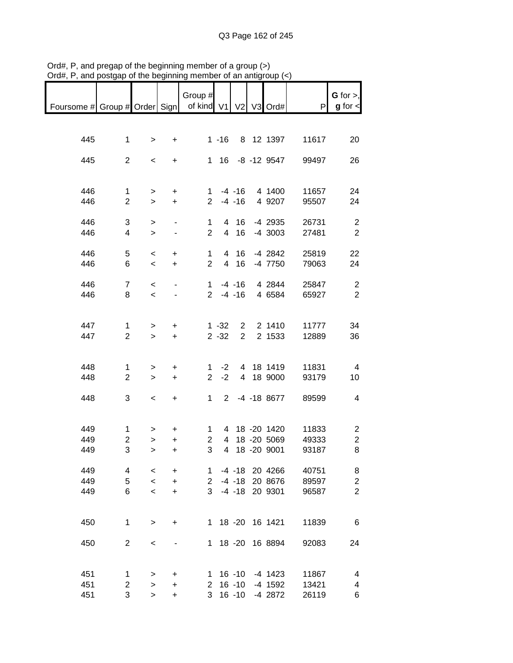|                                                       |                               |                           |                              | Group #        |                |              |                        |                | $G$ for $>$ ,                    |
|-------------------------------------------------------|-------------------------------|---------------------------|------------------------------|----------------|----------------|--------------|------------------------|----------------|----------------------------------|
| Foursome # Group # Order Sign   of kind V1 V2 V3 Ord# |                               |                           |                              |                |                |              |                        | P              | $g$ for $\lt$                    |
|                                                       |                               |                           |                              |                |                |              |                        |                |                                  |
| 445                                                   | $\mathbf 1$                   | $\, > \,$                 | $+$                          |                | $1 - 16$       |              | 8 12 1397              | 11617          | 20                               |
|                                                       |                               |                           |                              |                |                |              |                        |                |                                  |
| 445                                                   | $\overline{2}$                | $\overline{\phantom{a}}$  | $+$                          |                |                |              | 1 16 -8 -12 9547       | 99497          | 26                               |
|                                                       |                               |                           |                              |                |                |              |                        |                |                                  |
| 446                                                   | $\mathbf 1$                   |                           |                              |                |                | $1 - 4 - 16$ | 4 1400                 | 11657          | 24                               |
| 446                                                   | $\overline{2}$                | $\geq$<br>$\geq$          | $\ddot{}$<br>$+$             |                |                | $2 - 4 - 16$ | 4 9207                 | 95507          | 24                               |
|                                                       |                               |                           |                              |                |                |              |                        |                |                                  |
| 446                                                   | 3                             | $\mathbf{I}$              | $\overline{\phantom{0}}$     | $\mathbf{1}$   |                | 4 16         | -4 2935                | 26731          | $\overline{2}$                   |
| 446                                                   | 4                             | $\mathbf{I}$              | $\qquad \qquad \blacksquare$ | $\overline{2}$ |                | 4 16         | -4 3003                | 27481          | $\overline{2}$                   |
| 446                                                   | 5                             | $\,<$                     | $\ddot{}$                    | $\mathbf 1$    |                | 4 16         | -4 2842                | 25819          | 22                               |
| 446                                                   | 6                             | $\overline{\phantom{0}}$  | $+$                          | $\overline{2}$ |                | 4 16         | -4 7750                | 79063          | 24                               |
|                                                       |                               |                           |                              |                |                |              |                        |                |                                  |
| 446                                                   | $\overline{7}$                | $\,<$                     |                              |                |                |              | 1 -4 -16 4 2844        | 25847          | $\overline{2}$                   |
| 446                                                   | 8                             | $\overline{\phantom{a}}$  |                              |                |                | $2 - 4 - 16$ | 4 6584                 | 65927          | $\overline{2}$                   |
|                                                       |                               |                           |                              |                |                |              |                        |                |                                  |
| 447                                                   | $\mathbf{1}$                  | $\, > \,$                 | $\ddot{}$                    |                | $1 - 32$       |              | 2 2 1410               | 11777          | 34                               |
| 447                                                   | $\overline{2}$                | $\geq$                    | $+$                          |                | $2 - 32$       | $2^{\circ}$  | 2 1533                 | 12889          | 36                               |
|                                                       |                               |                           |                              |                |                |              |                        |                |                                  |
|                                                       |                               |                           |                              |                |                |              |                        |                |                                  |
| 448<br>448                                            | $\mathbf 1$<br>$\overline{2}$ | $\, > \,$<br>$\mathbf{1}$ | $\ddot{}$<br>$+$             | $2^{\circ}$    | $1 -2$<br>$-2$ |              | 4 18 1419<br>4 18 9000 | 11831<br>93179 | $\overline{4}$<br>10             |
|                                                       |                               |                           |                              |                |                |              |                        |                |                                  |
| 448                                                   | 3                             | $\,<$                     | $+$                          | $1 \quad$      | $2^{\circ}$    |              | -4 -18 8677            | 89599          | $\overline{4}$                   |
|                                                       |                               |                           |                              |                |                |              |                        |                |                                  |
| 449                                                   | $\mathbf{1}$                  |                           |                              | $\mathbf{1}$   |                |              | 4 18 -20 1420          | 11833          |                                  |
| 449                                                   | $\overline{c}$                | ><br>$\mathbf{L}$         | $\ddot{}$<br>$\ddot{}$       | $\overline{2}$ | 4              |              | 18 -20 5069            | 49333          | $\overline{c}$<br>$\overline{c}$ |
| 449                                                   | 3                             | $\geq$                    | $+$                          | 3              | $\overline{4}$ |              | 18 -20 9001            | 93187          | 8                                |
|                                                       |                               |                           |                              |                |                |              |                        |                |                                  |
| 449                                                   | 4                             | $\,<\,$                   | $\ddot{}$                    | 1              |                |              | -4 -18 20 4266         | 40751          | 8                                |
| 449                                                   | 5                             | $\prec$                   | $\ddot{}$                    | 2              |                | $-4 - 18$    | 20 8676                | 89597          | $\overline{c}$                   |
| 449                                                   | 6                             | $\prec$                   | +                            | 3              |                | $-4 - 18$    | 20 9301                | 96587          | $\overline{2}$                   |
|                                                       |                               |                           |                              |                |                |              |                        |                |                                  |
| 450                                                   | 1                             | $\, > \,$                 | +                            | 1.             |                |              | 18 -20 16 1421         | 11839          | 6                                |
|                                                       |                               |                           |                              |                |                |              |                        |                |                                  |
| 450                                                   | $\overline{2}$                | $\,<$                     |                              | 1.             |                | 18 - 20      | 16 8894                | 92083          | 24                               |
|                                                       |                               |                           |                              |                |                |              |                        |                |                                  |
| 451                                                   | 1                             | >                         | +                            | 1.             |                | $16 - 10$    | -4 1423                | 11867          | 4                                |
| 451                                                   | $\overline{c}$                | >                         | +                            | 2              |                | $16 - 10$    | -4 1592                | 13421          | 4                                |
| 451                                                   | 3                             | $\geq$                    | +                            | 3              |                | $16 - 10$    | -4 2872                | 26119          | 6                                |

Ord#, P, and pregap of the beginning member of a group (>) Ord#, P, and postgap of the beginning member of an antigroup (<)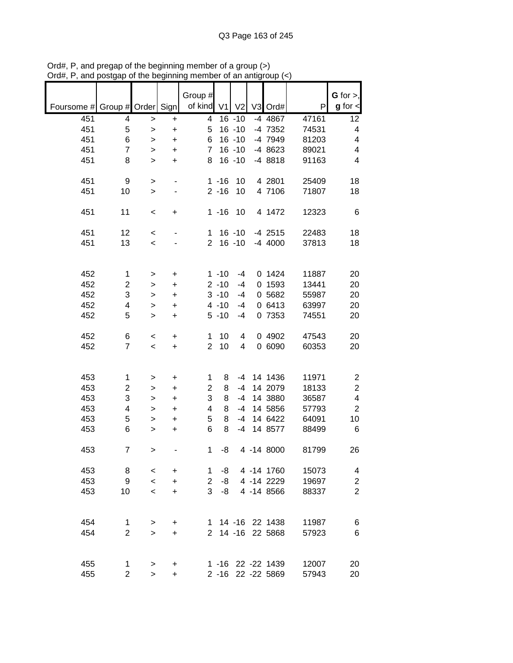| Foursome # Group # Order Sign |                |                          |                | Group #<br>of kind | V1       | V <sub>2</sub> | V3 Ord#           | P     | G for $>$ ,<br>$g$ for $\lt$ |
|-------------------------------|----------------|--------------------------|----------------|--------------------|----------|----------------|-------------------|-------|------------------------------|
| 451                           | 4              |                          |                | 4                  |          | $16 - 10$      | -4 4867           | 47161 | 12                           |
| 451                           | 5              | $\,>$                    | +<br>$\ddot{}$ | 5                  |          | $16 - 10$      | -4 7352           | 74531 | 4                            |
| 451                           | 6              | $\,>$                    |                | 6                  |          | $16 - 10$      | -4 7949           | 81203 | 4                            |
| 451                           | $\overline{7}$ | >                        | +              | $\overline{7}$     |          | $16 - 10$      | -4 8623           | 89021 | 4                            |
| 451                           | 8              | $\geq$                   | $\ddot{}$      | 8                  |          | $16 - 10$      | -4 8818           | 91163 | 4                            |
|                               |                | $\geq$                   | +              |                    |          |                |                   |       |                              |
| 451                           | 9              | >                        |                |                    | $1 - 16$ | 10             | 4 2801            | 25409 | 18                           |
| 451                           | 10             | $\, > \,$                |                |                    | $2 - 16$ | 10             | 4 7106            | 71807 | 18                           |
|                               |                |                          |                |                    |          |                |                   |       |                              |
| 451                           | 11             | $\,<$                    | +              |                    | $1 - 16$ | 10             | 4 1472            | 12323 | 6                            |
| 451                           | 12             | $\,<$                    |                | 1                  |          | $16 - 10$      | $-4$ 2515         | 22483 | 18                           |
| 451                           | 13             | $\,<\,$                  |                | $\overline{2}$     |          | $16 - 10$      | $-4$ 4000         | 37813 | 18                           |
|                               |                |                          |                |                    |          |                |                   |       |                              |
|                               |                |                          |                |                    |          |                |                   |       |                              |
| 452                           | $\mathbf{1}$   | >                        | $\ddot{}$      |                    | $1 - 10$ | $-4$           | 0 1424            | 11887 | 20                           |
| 452                           | 2              | >                        | $\ddot{}$      |                    | $2 - 10$ | $-4$           | 0 1593            | 13441 | 20                           |
| 452                           | 3              | $\geq$                   | $\ddot{}$      |                    | $3 - 10$ | $-4$           | 0 5682            | 55987 | 20                           |
| 452                           | 4              | $\mathbf{I}$             | $\ddot{}$      |                    | $4 - 10$ | $-4$           | 0 6413            | 63997 | 20                           |
| 452                           | 5              | $\geq$                   | +              |                    | $5 - 10$ | $-4$           | 0 7353            | 74551 | 20                           |
|                               |                |                          |                |                    |          |                |                   |       |                              |
| 452                           | 6              | $\,<\,$                  | $\ddot{}$      | 1                  | 10       | 4              | 0 4902            | 47543 | 20                           |
| 452                           | $\overline{7}$ | $\,<\,$                  | $\ddot{}$      | $\overline{2}$     | 10       | 4              | 0 6090            | 60353 | 20                           |
|                               |                |                          |                |                    |          |                |                   |       |                              |
| 453                           | 1              | >                        | $\ddot{}$      | 1                  | 8        | -4             | 14 1436           | 11971 | $\overline{\mathbf{c}}$      |
| 453                           | $\overline{c}$ | >                        | $\ddot{}$      | $\overline{2}$     | 8        | $-4$           | 14 2079           | 18133 | $\overline{\mathbf{c}}$      |
| 453                           | 3              | >                        | $\ddot{}$      | 3                  | 8        | $-4$           | 14 3880           | 36587 | 4                            |
| 453                           | 4              | $\geq$                   | $\ddot{}$      | 4                  | 8        | $-4$           | 14 5856           | 57793 | $\mathbf 2$                  |
| 453                           | 5              | $\mathbf{I}$             | $\ddot{}$      | 5                  | 8        | $-4$           | 14 6422           | 64091 | 10                           |
| 453                           | 6              | $\mathbf{I}$             | $\ddot{}$      | 6                  | 8        | $-4$           | 14 8577           | 88499 | 6                            |
|                               |                |                          |                |                    |          |                |                   |       |                              |
| 453                           | $\overline{7}$ | >                        |                | 1                  | -8       |                | 4 -14 8000        | 81799 | 26                           |
|                               |                |                          |                |                    |          |                |                   |       |                              |
| 453                           | 8              | $\,<\,$                  | $\ddot{}$      | 1                  | -8       |                | 4 -14 1760        | 15073 | 4                            |
| 453                           | 9              | $\overline{\phantom{a}}$ | $\ddot{}$      | $\overline{2}$     | -8       |                | 4 -14 2229        | 19697 | $\boldsymbol{2}$             |
| 453                           | 10             | $\overline{\phantom{0}}$ | $\ddot{}$      | 3                  | -8       |                | 4 -14 8566        | 88337 | $\overline{2}$               |
|                               |                |                          |                |                    |          |                |                   |       |                              |
| 454                           | 1              | >                        | +              | 1.                 |          |                | 14 -16 22 1438    | 11987 | 6                            |
| 454                           | $\overline{2}$ | $\geq$                   | +              | 2                  |          | 14 -16         | 22 5868           | 57923 | 6                            |
|                               |                |                          |                |                    |          |                |                   |       |                              |
|                               |                |                          |                |                    |          |                |                   |       |                              |
| 455                           | 1              | >                        | $\ddot{}$      |                    |          |                | 1 -16 22 -22 1439 | 12007 | 20                           |
| 455                           | $\overline{2}$ | $\, > \,$                | $\ddot{}$      |                    |          |                | 2 -16 22 -22 5869 | 57943 | 20                           |

Ord#, P, and pregap of the beginning member of a group (>) Ord#, P, and postgap of the beginning member of an antigroup (<)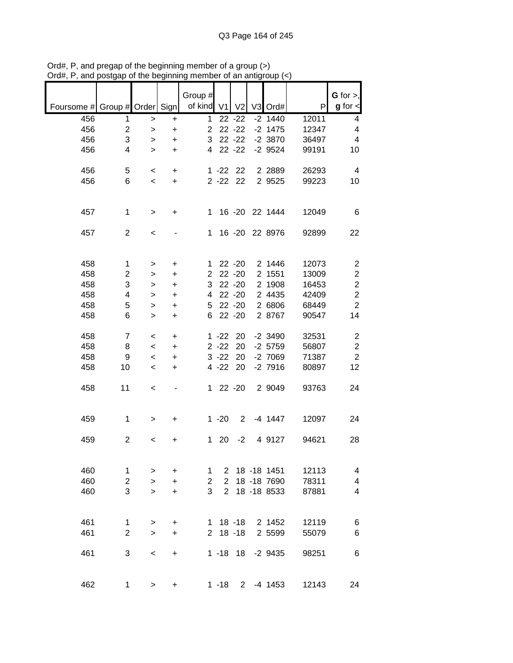|                               |                     |           |           | Group #        |                                  |                |                              |                | G for $>$ ,                  |
|-------------------------------|---------------------|-----------|-----------|----------------|----------------------------------|----------------|------------------------------|----------------|------------------------------|
| Foursome # Group # Order Sign |                     |           |           | of kind $V1$   |                                  | V <sub>2</sub> | V3 Ord#                      | P              | $g$ for $\lt$                |
| 456                           | 1                   | >         | $\ddot{}$ | 1              |                                  | $22 - 22$      | $-2$ 1440                    | 12011          | 4                            |
| 456                           | $\overline{c}$      | $\,$      | $\ddot{}$ | $\overline{2}$ |                                  | $22 - 22$      | $-2$ 1475                    | 12347          | 4                            |
| 456                           | 3                   | >         | $\ddot{}$ | 3              |                                  | $22 - 22$      | $-2$ 3870                    | 36497          | $\overline{\mathbf{4}}$      |
| 456                           | 4                   | $\geq$    | $\ddot{}$ | 4              |                                  | $22 - 22$      | $-2$ 9524                    | 99191          | 10                           |
|                               |                     |           |           |                |                                  |                |                              |                |                              |
| 456                           | 5                   | $\,<$     | +         |                | $1 - 22$                         | 22             | 2 2 8 8 9                    | 26293          | 4                            |
| 456                           | 6                   | $\prec$   | +         |                | $2 - 22$                         | 22             | 2 9525                       | 99223          | 10                           |
|                               |                     |           |           |                |                                  |                |                              |                |                              |
|                               |                     |           |           |                |                                  |                |                              |                |                              |
| 457                           | 1                   | $\, > \,$ | +         | 1              |                                  | $16 - 20$      | 22 1444                      | 12049          | 6                            |
|                               |                     |           |           |                |                                  |                |                              |                |                              |
| 457                           | $\mathbf{2}$        | $\,<$     |           | 1              |                                  | $16 - 20$      | 22 8976                      | 92899          | 22                           |
|                               |                     |           |           |                |                                  |                |                              |                |                              |
| 458                           | 1                   | >         | $\ddot{}$ | 1              |                                  | $22 - 20$      | 2 1446                       | 12073          | $\overline{\mathbf{c}}$      |
| 458                           | $\overline{c}$      | >         | $\ddot{}$ | $\overline{2}$ |                                  | $22 - 20$      | 2 1551                       | 13009          | $\overline{c}$               |
| 458                           | 3                   | >         | $\ddot{}$ | 3              |                                  | $22 - 20$      | 2 1908                       | 16453          | $\boldsymbol{2}$             |
| 458                           | 4                   | >         | $\ddot{}$ | 4              |                                  | $22 - 20$      | 2 4435                       | 42409          | $\overline{c}$               |
| 458                           | 5                   | >         | $\ddot{}$ | 5              |                                  | $22 - 20$      | 2 6806                       | 68449          | $\overline{2}$               |
| 458                           | 6                   | >         | $\ddot{}$ | 6              |                                  | $22 - 20$      | 2 8767                       | 90547          | 14                           |
|                               |                     |           |           |                |                                  |                |                              |                |                              |
| 458                           | $\overline{7}$      | $\,<$     | +         |                | $1 - 22$                         | 20             | $-2$ 3490                    | 32531          | $\boldsymbol{2}$             |
| 458                           | 8                   | $\,<$     | +         |                | $2 - 22$                         | 20             | $-2$ 5759                    | 56807          | $\overline{c}$               |
| 458                           | 9                   | $\,<$     | +         |                | $3 - 22$                         | 20             | -2 7069                      | 71387          | $\overline{c}$               |
| 458                           | 10                  | $\prec$   | +         |                | $4 - 22$                         | 20             | $-2$ 7916                    | 80897          | 12                           |
| 458                           | 11                  | $\,<$     |           | $\mathbf 1$    |                                  | $22 - 20$      | 2 9049                       | 93763          | 24                           |
|                               |                     |           |           |                |                                  |                |                              |                |                              |
|                               |                     |           |           |                |                                  |                |                              |                |                              |
| 459                           | 1                   | >         | +         |                | $1 - 20$                         | $\overline{2}$ | $-4$ 1447                    | 12097          | 24                           |
|                               |                     |           |           |                |                                  |                |                              |                |                              |
| 459                           | $\overline{c}$      | $\,<$     | +         | 1              | 20                               | $-2$           | 4 9127                       | 94621          | 28                           |
|                               |                     |           |           |                |                                  |                |                              |                |                              |
|                               |                     |           |           |                |                                  |                |                              |                |                              |
| 460                           | 1                   | >         | $\ddot{}$ | 1              | 2                                |                | 18 -18 1451                  | 12113          | 4                            |
| 460                           | $\overline{c}$<br>3 | $\geq$    | $\ddot{}$ | 2<br>3         | $\overline{2}$<br>$\overline{2}$ |                | 18 - 18 7690<br>18 - 18 8533 | 78311<br>87881 | $\overline{\mathbf{4}}$<br>4 |
| 460                           |                     | $\geq$    | $\ddot{}$ |                |                                  |                |                              |                |                              |
|                               |                     |           |           |                |                                  |                |                              |                |                              |
| 461                           | 1                   | >         | +         |                |                                  | $1 \t18 - 18$  | 2 1452                       | 12119          | 6                            |
| 461                           | $\overline{2}$      | $\geq$    | +         | $\mathbf{2}$   |                                  | $18 - 18$      | 2 5599                       | 55079          | 6                            |
|                               |                     |           |           |                |                                  |                |                              |                |                              |
| 461                           | 3                   | $\,<\,$   | $\ddot{}$ |                |                                  | $1 - 18$ 18    | $-2$ 9435                    | 98251          | 6                            |
|                               |                     |           |           |                |                                  |                |                              |                |                              |
|                               |                     |           |           |                |                                  |                |                              |                |                              |
| 462                           | 1                   | $\, > \,$ | +         |                | $1 - 18$                         | $2^{\circ}$    | $-4$ 1453                    | 12143          | 24                           |

Ord#, P, and pregap of the beginning member of a group (>) Ord#, P, and postgap of the beginning member of an antigroup (<)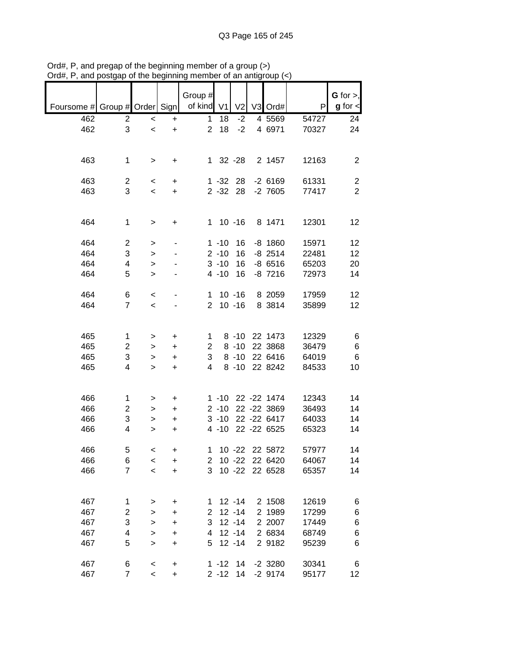|                               |                         |                          |           | Group #        |             |                |                |       | G for $>$ ,    |
|-------------------------------|-------------------------|--------------------------|-----------|----------------|-------------|----------------|----------------|-------|----------------|
| Foursome # Group # Order Sign |                         |                          |           | of kind V1     |             | V <sub>2</sub> | V3 Ord#        | P     | $g$ for $\lt$  |
| 462                           | 2                       | $\prec$                  | $\ddot{}$ | 1              | 18          | $-2$           | 4 5569         | 54727 | 24             |
| 462                           | 3                       | $\,<\,$                  | $\ddot{}$ | $\overline{2}$ | 18          | $-2$           | 4 6971         | 70327 | 24             |
|                               |                         |                          |           |                |             |                |                |       |                |
|                               |                         |                          |           |                |             |                |                |       |                |
| 463                           | $\mathbf 1$             | $\,>$                    | +         |                | 1 32 -28    |                | 2 1457         | 12163 | $\overline{c}$ |
|                               |                         |                          |           |                |             |                |                |       |                |
|                               |                         |                          |           |                |             |                |                |       |                |
| 463                           | 2                       | $\,<\,$                  | +         |                | $1 - 32$    | 28             | $-26169$       | 61331 | 2              |
| 463                           | 3                       | $\overline{\phantom{a}}$ | $\ddot{}$ |                | $2 - 32$ 28 |                | $-2$ 7605      | 77417 | $\overline{2}$ |
|                               |                         |                          |           |                |             |                |                |       |                |
|                               |                         |                          |           |                |             |                |                |       |                |
| 464                           | $\mathbf 1$             | $\, > \,$                | +         | 1              |             | $10 - 16$      | 8 1471         | 12301 | 12             |
|                               |                         |                          |           |                |             |                |                |       |                |
| 464                           | 2                       | >                        |           |                | $1 - 10$    | 16             | $-8$ 1860      | 15971 | 12             |
| 464                           | 3                       | $\geq$                   |           |                | $2 - 10$    | 16             | $-8$ 2514      | 22481 | 12             |
| 464                           | 4                       | $\geq$                   |           |                | $3 - 10$    | 16             | $-86516$       | 65203 | 20             |
| 464                           | 5                       | >                        |           |                | $4 - 10$    | 16             | $-8$ 7216      | 72973 | 14             |
|                               |                         |                          |           |                |             |                |                |       |                |
| 464                           | 6                       |                          |           | 1              |             | $10 - 16$      | 8 2059         | 17959 | 12             |
|                               |                         | $\,<\,$                  |           |                |             |                |                |       |                |
| 464                           | $\overline{7}$          | $\,<\,$                  |           | $\overline{2}$ |             | $10 - 16$      | 8 3814         | 35899 | 12             |
|                               |                         |                          |           |                |             |                |                |       |                |
|                               |                         |                          |           |                |             |                |                |       |                |
| 465                           | 1                       | >                        | +         | 1              |             | $8 - 10$       | 22 1473        | 12329 | 6              |
| 465                           | 2                       | >                        | +         | $\overline{2}$ |             | $8 - 10$       | 22 3868        | 36479 | 6              |
| 465                           | 3                       | >                        | +         | 3              |             | $8 - 10$       | 22 6416        | 64019 | $\,6$          |
| 465                           | 4                       | $\geq$                   | +         | 4              |             | $8 - 10$       | 22 8242        | 84533 | 10             |
|                               |                         |                          |           |                |             |                |                |       |                |
|                               |                         |                          |           |                |             |                |                |       |                |
| 466                           | 1                       | >                        | +         |                | $1 - 10$    |                | 22 - 22 1474   | 12343 | 14             |
| 466                           | 2                       | >                        | +         |                | $2 - 10$    |                | 22 - 22 3869   | 36493 | 14             |
| 466                           | 3                       |                          |           |                | $3 - 10$    |                | 22 - 22 6417   | 64033 | 14             |
|                               |                         | >                        | +         |                |             |                | 22 - 22 6525   |       |                |
| 466                           | 4                       | >                        | $\ddot{}$ |                | $4 - 10$    |                |                | 65323 | 14             |
|                               |                         |                          |           |                |             |                |                |       |                |
| 466                           | 5                       | $\,<\,$                  | +         | 1              |             |                | 10 -22 22 5872 | 57977 | 14             |
| 466                           | 6                       | $\prec$                  | +         | 2              |             | $10 - 22$      | 22 6420        | 64067 | 14             |
| 466                           | $\overline{7}$          | $\prec$                  | $\ddot{}$ | 3              |             | $10 - 22$      | 22 6528        | 65357 | 14             |
|                               |                         |                          |           |                |             |                |                |       |                |
|                               |                         |                          |           |                |             |                |                |       |                |
| 467                           | 1                       | >                        | +         | 1              |             | $12 - 14$      | 2 1508         | 12619 | 6              |
| 467                           | $\overline{\mathbf{c}}$ | >                        | +         | 2              |             | $12 - 14$      | 2 1989         | 17299 | 6              |
| 467                           | 3                       | >                        | +         | 3              |             | $12 - 14$      | 2 2007         | 17449 | 6              |
| 467                           | 4                       | >                        | $\ddot{}$ | 4              |             | $12 - 14$      | 2 6834         | 68749 | 6              |
| 467                           | 5                       | $\geq$                   | $\ddot{}$ | 5              |             | $12 - 14$      | 2 9182         | 95239 | 6              |
|                               |                         |                          |           |                |             |                |                |       |                |
| 467                           | 6                       |                          |           |                | $1 - 12$    | 14             | $-2$ 3280      | 30341 | 6              |
|                               |                         | $\,<$                    | +         |                |             |                |                |       |                |
| 467                           | $\overline{7}$          | $\,<$                    | $\ddot{}$ |                | $2 - 12$    | 14             | $-29174$       | 95177 | 12             |

Ord#, P, and pregap of the beginning member of a group (>) Ord#, P, and postgap of the beginning member of an antigroup (<)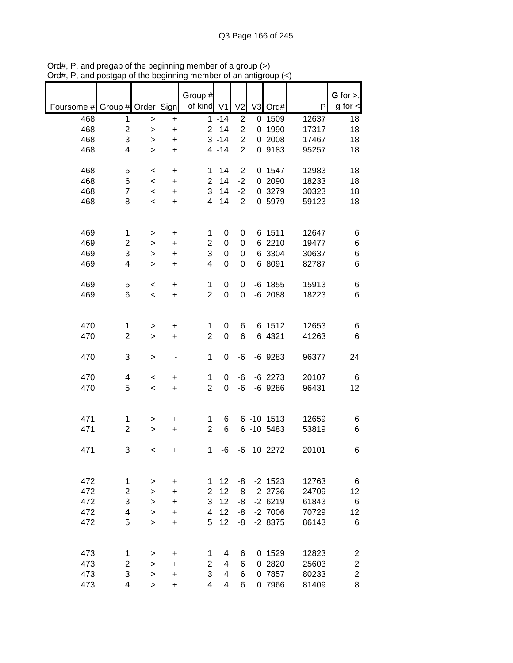|            |                  |             |                | Group #        |                  |                                  |                |            |       | $G$ for $>$ ,    |
|------------|------------------|-------------|----------------|----------------|------------------|----------------------------------|----------------|------------|-------|------------------|
| Foursome # | Group # Order    |             | Sign           | of kind V1     |                  | V <sub>2</sub>                   | V <sub>3</sub> | Ord#       | P     | $g$ for $\lt$    |
| 468        | 1                | $\,$        | $\ddot{}$      |                | $1 - 14$         | $\overline{2}$                   | 0              | 1509       | 12637 | 18               |
| 468        | $\boldsymbol{2}$ | >           | $\ddot{}$      |                | $2 - 14$         | $\overline{2}$                   | 0              | 1990       | 17317 | 18               |
| 468        | 3                | >           | +              |                | $3 - 14$         | $\overline{2}$<br>$\overline{2}$ |                | 0 2008     | 17467 | 18               |
| 468        | 4                | >           | +              |                | $4 - 14$         |                                  |                | 0 9183     | 95257 | 18               |
| 468        | 5                | $\,<$       | +              | 1              | 14               | $-2$                             |                | 0 1547     | 12983 | 18               |
| 468        | 6                | $\,<$       | $\ddot{}$      | $\overline{2}$ | 14               | $-2$                             |                | 0 2090     | 18233 | 18               |
| 468        | $\overline{7}$   | $\,<$       | +              | 3              | 14               | $-2$                             |                | 0 3279     | 30323 | 18               |
| 468        | 8                | $\,<$       | $\ddot{}$      | 4              | 14               | $-2$                             |                | 0 5979     | 59123 | 18               |
|            |                  |             |                |                |                  |                                  |                |            |       |                  |
| 469        | 1                |             |                | 1              | $\mathbf 0$      | 0                                |                | 6 1511     | 12647 | 6                |
| 469        | $\overline{c}$   | ><br>>      | +<br>+         | $\overline{2}$ | $\boldsymbol{0}$ | 0                                |                | 6 2210     | 19477 | 6                |
| 469        | 3                | >           | +              | 3              | $\mathbf 0$      | 0                                |                | 6 3304     | 30637 | 6                |
| 469        | 4                | $\, > \,$   | $\ddot{}$      | 4              | $\mathbf 0$      | 0                                |                | 6 8091     | 82787 | 6                |
|            |                  |             |                |                |                  |                                  |                |            |       |                  |
| 469        | 5                | $\prec$     | $\ddot{}$      | $\mathbf 1$    | 0                | 0                                |                | $-6$ 1855  | 15913 | 6                |
| 469        | 6                | $\,<\,$     | $\ddot{}$      | $\overline{2}$ | $\mathbf 0$      | 0                                |                | $-6$ 2088  | 18223 | 6                |
|            |                  |             |                |                |                  |                                  |                |            |       |                  |
| 470        | 1                |             |                | 1              | 0                | 6                                |                | 6 1512     | 12653 | 6                |
| 470        | $\overline{2}$   | ><br>$\geq$ | +<br>$\ddot{}$ | $\overline{2}$ | $\mathbf 0$      | 6                                |                | 6 4321     | 41263 | 6                |
|            |                  |             |                |                |                  |                                  |                |            |       |                  |
| 470        | 3                | $\, > \,$   |                | 1              | 0                | -6                               |                | $-6$ 9283  | 96377 | 24               |
|            |                  |             |                |                |                  |                                  |                |            |       |                  |
| 470        | 4                | $\,<$       | +              | 1              | 0                | -6                               |                | $-6$ 2273  | 20107 | 6                |
| 470        | 5                | $\,<$       | +              | $\overline{c}$ | $\boldsymbol{0}$ | -6                               |                | $-6$ 9286  | 96431 | 12               |
|            |                  |             |                |                |                  |                                  |                |            |       |                  |
| 471        | 1                | >           | +              | 1              | 6                |                                  |                | 6 -10 1513 | 12659 | 6                |
| 471        | $\mathbf 2$      | >           | +              | $\overline{c}$ | 6                |                                  |                | 6 -10 5483 | 53819 | 6                |
|            |                  |             |                |                |                  |                                  |                |            |       |                  |
| 471        | 3                | $\,<$       | $\ddot{}$      | 1              | -6               | -6                               |                | 10 2272    | 20101 | 6                |
|            |                  |             |                |                |                  |                                  |                |            |       |                  |
| 472        | 1                | >           | +              | 1              | 12               | -8                               |                | $-2$ 1523  | 12763 | 6                |
| 472        | $\overline{c}$   | >           | $\ddot{}$      | $\overline{2}$ | 12               | -8                               |                | $-2$ 2736  | 24709 | 12               |
| 472        | 3                | >           | $\ddot{}$      | 3              | 12               | -8                               |                | $-26219$   | 61843 | 6                |
| 472        | 4                | >           | $\ddot{}$      | 4              | 12               | -8                               |                | $-27006$   | 70729 | 12               |
| 472        | 5                | $\geq$      | +              | 5              | 12               | -8                               |                | $-28375$   | 86143 | 6                |
|            |                  |             |                |                |                  |                                  |                |            |       |                  |
|            |                  |             |                |                |                  |                                  |                |            |       |                  |
| 473        | 1                | >           | +              | 1              | 4                | 6                                |                | 0 1529     | 12823 | $\boldsymbol{2}$ |
| 473        | $\overline{c}$   | >           | +              | 2              | 4                | 6                                |                | 0 2820     | 25603 | $\boldsymbol{2}$ |
| 473        | 3                | >           | +              | 3              | 4                | 6                                |                | 0 7857     | 80233 | $\overline{c}$   |
| 473        | 4                | $\geq$      | +              | 4              | 4                | 6                                |                | 0 7966     | 81409 | 8                |

Ord#, P, and pregap of the beginning member of a group (>) Ord#, P, and postgap of the beginning member of an antigroup (<)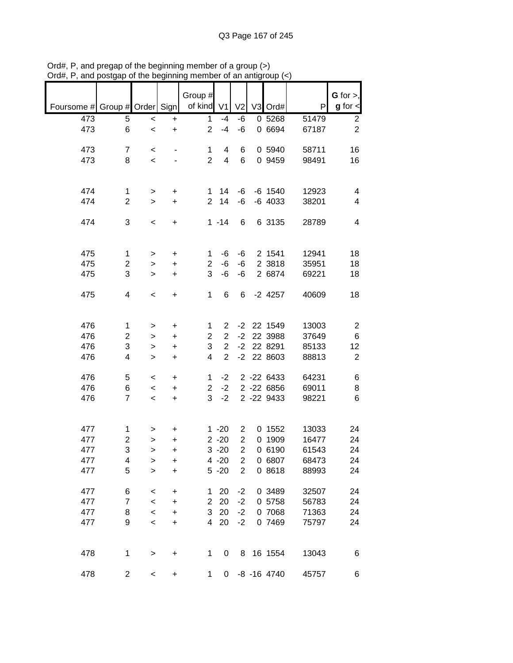|                               |                         |              |                                  | Group #        |                         |                |   |                |       | G for $>$ ,    |
|-------------------------------|-------------------------|--------------|----------------------------------|----------------|-------------------------|----------------|---|----------------|-------|----------------|
| Foursome # Group # Order Sign |                         |              |                                  | of kind        | V <sub>1</sub>          | V <sub>2</sub> |   | V3 Ord#        | P     | $g$ for $\lt$  |
| 473                           | 5                       | $\,<$        | +                                | $\mathbf{1}$   | $-4$                    | -6             |   | 0 5268         | 51479 | $\overline{c}$ |
| 473                           | 6                       | $\prec$      | $\ddot{}$                        | $\overline{2}$ | $-4$                    | -6             |   | 0 6694         | 67187 | $\overline{2}$ |
|                               |                         |              |                                  |                |                         |                |   |                |       |                |
| 473                           | $\overline{7}$          | $\,<$        |                                  | $\mathbf 1$    | 4                       | 6              |   | 0 5940         | 58711 | 16             |
| 473                           | 8                       | $\,<$        |                                  | $\overline{2}$ | $\overline{\mathbf{4}}$ | $6\phantom{1}$ |   | 0 9459         | 98491 | 16             |
|                               |                         |              |                                  |                |                         |                |   |                |       |                |
|                               |                         |              |                                  |                |                         |                |   |                |       |                |
| 474                           | 1                       | $\, > \,$    | +                                | 1              | 14                      | -6             |   | $-6$ 1540      | 12923 | 4              |
| 474                           | $\overline{2}$          | $\geq$       | $\ddot{}$                        | $\overline{2}$ | 14                      | -6             |   | $-6$ 4033      | 38201 | 4              |
| 474                           | 3                       |              |                                  |                | $1 - 14$                | 6              |   | 6 3135         |       | 4              |
|                               |                         | $\,<$        | $\begin{array}{c} + \end{array}$ |                |                         |                |   |                | 28789 |                |
|                               |                         |              |                                  |                |                         |                |   |                |       |                |
| 475                           | $\mathbf{1}$            | $\, > \,$    | +                                | 1              | -6                      | -6             |   | 2 1541         | 12941 | 18             |
| 475                           | 2                       | $\mathbf{I}$ | $\ddot{}$                        | $\overline{2}$ | $-6$                    | -6             |   | 2 3818         | 35951 | 18             |
| 475                           | 3                       | $\, > \,$    | $\ddot{}$                        | 3              | -6                      | $-6$           |   | 2 6874         | 69221 | 18             |
|                               |                         |              |                                  |                |                         |                |   |                |       |                |
| 475                           | 4                       | $\,<\,$      | $\ddot{}$                        | 1              | 6                       | 6              |   | $-2$ 4257      | 40609 | 18             |
|                               |                         |              |                                  |                |                         |                |   |                |       |                |
|                               |                         |              |                                  |                |                         |                |   |                |       |                |
| 476                           | 1                       | >            | $\ddot{}$                        | 1              | $\overline{2}$          | $-2$           |   | 22 1549        | 13003 | $\overline{c}$ |
| 476                           | $\overline{\mathbf{c}}$ | >            | +                                | 2              | $\overline{2}$          | $-2$           |   | 22 3988        | 37649 | $\,6$          |
| 476                           | 3                       | >            | $\ddot{}$                        | 3              | $\overline{2}$          | $-2$           |   | 22 8291        | 85133 | 12             |
| 476                           | 4                       | $\, > \,$    | +                                | 4              | $\overline{2}$          | $-2$           |   | 22 8603        | 88813 | $\overline{2}$ |
|                               |                         |              |                                  |                |                         |                |   |                |       |                |
| 476                           | 5                       | $\,<$        | +                                | 1              | $-2$                    |                |   | 2 -22 6433     | 64231 | 6              |
| 476                           | 6                       | $\,<$        | +                                | $\overline{2}$ | $-2$                    |                |   | 2 -22 6856     | 69011 | 8              |
| 476                           | $\overline{7}$          | $\,<$        | $\ddot{}$                        | 3              | $-2$                    |                |   | 2 -22 9433     | 98221 | 6              |
|                               |                         |              |                                  |                |                         |                |   |                |       |                |
|                               |                         |              |                                  |                |                         |                |   |                |       |                |
| 477                           | 1                       | >            | +                                |                | $1 - 20$                | $\overline{2}$ |   | 0 1552         | 13033 | 24             |
| 477                           | $\overline{\mathbf{c}}$ | >            | +                                |                | $2 - 20$                | $\overline{2}$ | 0 | 1909           | 16477 | 24             |
| 477                           | 3                       | $\geq$       | $\ddot{}$                        |                | $3 - 20$                | $\overline{2}$ |   | 0 6190         | 61543 | 24             |
| 477                           | 4                       | >            | +                                |                | $4 - 20$                | $\overline{2}$ |   | 0 6807         | 68473 | 24             |
| 477                           | 5                       | $\geq$       | $\ddot{}$                        |                | $5 - 20$                | $\overline{2}$ |   | 0 8618         | 88993 | 24             |
|                               |                         |              |                                  |                |                         |                |   |                |       |                |
| 477                           | 6                       | $\,<$        | $\ddot{}$                        | 1              | 20                      | $-2$           |   | 0 3489         | 32507 | 24             |
| 477                           | $\overline{7}$          | $\prec$      | +                                | $\overline{c}$ | 20                      | $-2$           |   | 0 5758         | 56783 | 24             |
| 477                           | 8                       | $\prec$      | $\ddot{}$                        | 3              | 20                      | $-2$           |   | 0 7068         | 71363 | 24             |
| 477                           | 9                       | $\prec$      | +                                | $\overline{4}$ | 20                      | $-2$           |   | 0 7469         | 75797 | 24             |
|                               |                         |              |                                  |                |                         |                |   |                |       |                |
|                               |                         |              |                                  |                |                         |                |   |                |       |                |
| 478                           | 1                       | >            | $\begin{array}{c} + \end{array}$ | 1              | 0                       | 8              |   | 16 1554        | 13043 | 6              |
|                               |                         |              |                                  |                |                         |                |   |                |       |                |
| 478                           | $\overline{c}$          | $\,<$        | $\ddot{}$                        | 1              | 0                       |                |   | $-8 - 16$ 4740 | 45757 | 6              |

Ord#, P, and pregap of the beginning member of a group (>) Ord#, P, and postgap of the beginning member of an antigroup (<)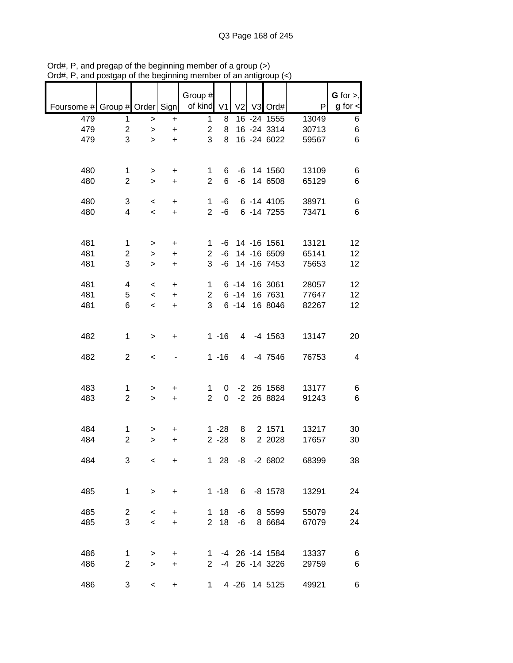|                               |                     |           |                  | Group #             |                |                |                |       | $G$ for $>$ , |
|-------------------------------|---------------------|-----------|------------------|---------------------|----------------|----------------|----------------|-------|---------------|
| Foursome # Group # Order Sign |                     |           |                  | of kind             | V <sub>1</sub> | V <sub>2</sub> | V3 Ord#        | P     | $g$ for $\lt$ |
| 479                           | 1                   | $\, >$    | $\ddot{}$        | $\mathbf{1}$        | 8              |                | 16 - 24 1555   | 13049 | 6             |
| 479                           | $\overline{c}$      | $\,>$     | $\ddot{}$        | $\overline{c}$      | 8              |                | 16 - 24 3314   | 30713 | 6             |
| 479                           | 3                   | $\geq$    | $\ddot{}$        | 3                   | 8              |                | 16 -24 6022    | 59567 | 6             |
|                               |                     |           |                  |                     |                |                |                |       |               |
| 480                           | 1                   | >         | +                | 1                   | 6              |                | $-6$ 14 1560   | 13109 | 6             |
| 480                           | $\overline{2}$      | $\geq$    | $\ddot{}$        | $\overline{2}$      | 6              |                | $-6$ 14 6508   | 65129 | 6             |
|                               |                     |           |                  |                     |                |                |                |       |               |
| 480                           | 3                   | $\,<\,$   | +                | 1                   | -6             |                | 6 -14 4105     | 38971 | 6             |
| 480                           | $\overline{4}$      | $\,<\,$   | $\color{red}{+}$ | $\overline{2}$      | $-6$           |                | 6 - 14 7255    | 73471 | 6             |
|                               |                     |           |                  |                     |                |                |                |       |               |
| 481                           | $\mathbf{1}$        | $\, > \,$ | +                | 1                   | -6             |                | 14 -16 1561    | 13121 | 12            |
| 481                           | 2                   | $\,$      | $\ddot{}$        | $\overline{2}$      | -6             |                | 14 -16 6509    | 65141 | 12            |
| 481                           | 3                   | $\geq$    | $\ddot{}$        | 3                   | -6             |                | 14 - 16 7453   | 75653 | 12            |
|                               |                     |           |                  |                     |                |                |                |       |               |
| 481                           | 4                   | $\,<\,$   | $\ddot{}$        | 1                   |                | $6 - 14$       | 16 3061        | 28057 | 12            |
| 481                           | 5                   | $\,<\,$   | $\ddot{}$        | $\overline{2}$      |                | $6 - 14$       | 16 7631        | 77647 | 12            |
| 481                           | 6                   | $\,<\,$   | $\ddot{}$        | 3                   |                | $6 - 14$       | 16 8046        | 82267 | 12            |
|                               |                     |           |                  |                     |                |                |                |       |               |
| 482                           | $\mathbf{1}$        | $\, > \,$ | +                |                     | $1 - 16$       | 4              | -4 1563        | 13147 | 20            |
|                               |                     |           |                  |                     |                |                |                |       |               |
| 482                           | $\overline{2}$      | $\,<$     |                  |                     | $1 - 16$       | 4              | -4 7546        | 76753 | 4             |
|                               |                     |           |                  |                     |                |                |                |       |               |
| 483                           |                     |           |                  |                     |                |                | $-2$ 26 1568   | 13177 |               |
| 483                           | 1<br>$\overline{2}$ | >         | +                | 1<br>$\overline{2}$ | 0<br>0         | $-2$           | 26 8824        |       | 6<br>6        |
|                               |                     | $\geq$    | $\ddot{}$        |                     |                |                |                | 91243 |               |
|                               |                     |           |                  |                     |                |                |                |       |               |
| 484                           | 1                   | >         | +                |                     | $1 - 28$       | 8              | 2 1571         | 13217 | 30            |
| 484                           | $\overline{2}$      | >         | $\ddot{}$        |                     | $2 - 28$       | 8              | 2 2028         | 17657 | 30            |
|                               |                     |           |                  |                     |                |                |                |       |               |
| 484                           | 3                   | $\,<\,$   | +                |                     | $128$          | -8             | $-26802$       | 68399 | 38            |
|                               |                     |           |                  |                     |                |                |                |       |               |
|                               |                     |           |                  |                     |                |                |                |       |               |
| 485                           | $\mathbf 1$         | $\, > \,$ | +                |                     | $1 - 18$       |                | $6 - 8 1578$   | 13291 | 24            |
|                               |                     |           |                  |                     |                |                |                |       |               |
| 485                           | $\overline{c}$      | $\,<$     | +                | 1                   | 18             | -6             | 8 5599         | 55079 | 24            |
| 485                           | 3                   | $\prec$   | $\ddot{}$        | $\overline{2}$      | 18             | -6             | 8 6 6 8 4      | 67079 | 24            |
|                               |                     |           |                  |                     |                |                |                |       |               |
|                               |                     |           |                  |                     |                |                |                |       |               |
| 486                           | 1                   | $\, > \,$ | +                | 1                   |                |                | -4 26 -14 1584 | 13337 | 6             |
| 486                           | $\overline{2}$      | $\geq$    | +                | $\overline{2}$      |                |                | -4 26 -14 3226 | 29759 | 6             |
|                               |                     |           |                  |                     |                |                |                |       |               |
| 486                           | 3                   | $\,<\,$   | +                | 1                   |                |                | 4 -26 14 5125  | 49921 | 6             |

Ord#, P, and pregap of the beginning member of a group (>) Ord#, P, and postgap of the beginning member of an antigroup (<)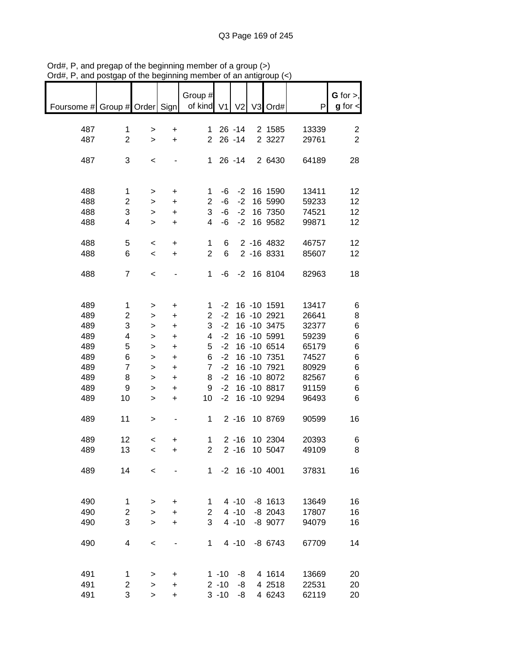|                                                       |                |                        |                               | Group #             |            |              |                    |                | G for $>$ ,     |
|-------------------------------------------------------|----------------|------------------------|-------------------------------|---------------------|------------|--------------|--------------------|----------------|-----------------|
| Foursome # Group # Order Sign   of kind V1 V2 V3 Ord# |                |                        |                               |                     |            |              |                    | P              | $g$ for $\lt$   |
|                                                       |                |                        |                               |                     |            |              |                    |                |                 |
| 487                                                   | 1              | $\, > \,$              | $\ddot{}$                     |                     |            | 1 26 -14     | 2 1585             | 13339          | $\overline{2}$  |
| 487                                                   | $\overline{2}$ | $\geq$                 | $+$                           |                     |            | $2\ 26\ -14$ | 2 3 2 2 7          | 29761          | $\overline{2}$  |
|                                                       |                |                        |                               |                     |            |              |                    |                |                 |
| 487                                                   | 3              | $\,<$                  |                               |                     |            |              | 1 26 -14 2 6430    | 64189          | 28              |
|                                                       |                |                        |                               |                     |            |              |                    |                |                 |
|                                                       |                |                        |                               |                     |            |              |                    |                |                 |
| 488<br>488                                            | $\mathbf{1}$   | $\,$                   | $\ddot{}$                     | 1<br>$\overline{c}$ | -6<br>$-6$ | $-2$<br>$-2$ | 16 1590<br>16 5990 | 13411          | 12<br>12        |
| 488                                                   | 2<br>3         | $\, >$<br>$\mathbf{I}$ | $\ddot{}$<br>$\color{red}{+}$ | 3                   | -6         | $-2$         | 16 7350            | 59233<br>74521 | 12              |
| 488                                                   | 4              | $\mathbf{I}$           | $\ddot{}$                     | 4                   | -6         |              | -2 16 9582         | 99871          | 12              |
|                                                       |                |                        |                               |                     |            |              |                    |                |                 |
| 488                                                   | 5              | $\,<$                  | $+$                           | $\mathbf{1}$        | 6          |              | 2 -16 4832         | 46757          | 12              |
| 488                                                   | 6              | $\,<$                  | $+$                           | $\overline{2}$      | 6          |              | 2 -16 8331         | 85607          | 12              |
|                                                       |                |                        |                               |                     |            |              |                    |                |                 |
| 488                                                   | $\overline{7}$ | $\,<$                  |                               | 1                   |            |              | $-6$ $-2$ 16 8104  | 82963          | 18              |
|                                                       |                |                        |                               |                     |            |              |                    |                |                 |
|                                                       |                |                        |                               |                     |            |              |                    |                |                 |
| 489                                                   | $\mathbf 1$    | >                      | +                             | $\mathbf 1$         | $-2$       |              | 16 -10 1591        | 13417          | 6               |
| 489                                                   | 2              | $\, > \,$              | $\ddot{}$                     | $\overline{2}$      | $-2$       |              | 16 -10 2921        | 26641          | 8               |
| 489                                                   | 3              | $\,$                   | $\ddot{}$                     | 3                   | $-2$       |              | 16 -10 3475        | 32377          | 6               |
| 489                                                   | 4              | $\,$                   | $\ddot{}$                     | 4                   | $-2$       |              | 16 -10 5991        | 59239          | 6               |
| 489                                                   | 5              | $\mathbf{I}$           | $\ddot{}$                     | 5                   | $-2$       |              | 16 -10 6514        | 65179          | 6               |
| 489                                                   | 6              | $\mathbf{L}$           | $\ddot{}$                     | 6                   | $-2$       |              | 16 -10 7351        | 74527          | 6               |
| 489                                                   | $\overline{7}$ | $\mathbf{I}$           | $\color{red}{+}$              | 7 <sup>7</sup>      | $-2$       |              | 16 -10 7921        | 80929          | 6               |
| 489                                                   | 8              | $\mathbf{I}$           | $\color{red}{+}$              | 8                   | $-2$       |              | 16 -10 8072        | 82567          | 6               |
| 489                                                   | 9              | $\, >$                 | $\ddot{}$                     | 9                   | $-2$       |              | 16 -10 8817        | 91159          | 6               |
| 489                                                   | 10             | $\,$                   | $\ddot{}$                     | 10                  |            |              | -2 16 -10 9294     | 96493          | $6\phantom{1}6$ |
|                                                       |                |                        |                               |                     |            |              |                    |                |                 |
| 489                                                   | 11             | $\,$                   |                               | $1 -$               |            |              | 2 -16 10 8769      | 90599          | 16              |
|                                                       |                |                        |                               |                     |            |              |                    |                |                 |
| 489                                                   | 12             | $\,<$                  | +                             | $\mathbf{1}$        |            |              | 2 -16 10 2304      | 20393          | 6               |
| 489                                                   | 13             | $\prec$                | +                             | 2                   |            | $2 - 16$     | 10 5047            | 49109          | 8               |
| 489                                                   | 14             | $\,<$                  |                               |                     |            |              | 1 -2 16 -10 4001   | 37831          | 16              |
|                                                       |                |                        |                               |                     |            |              |                    |                |                 |
|                                                       |                |                        |                               |                     |            |              |                    |                |                 |
| 490                                                   | 1              | >                      | +                             | 1                   |            | $4 - 10$     | $-8$ 1613          | 13649          | 16              |
| 490                                                   | $\overline{2}$ | $\, > \,$              | $\ddot{}$                     | $\overline{2}$      |            | $4 - 10$     | $-8$ 2043          | 17807          | 16              |
| 490                                                   | 3              | $\, > \,$              | +                             | 3                   |            | $4 - 10$     | -8 9077            | 94079          | 16              |
|                                                       |                |                        |                               |                     |            |              |                    |                |                 |
| 490                                                   | 4              | $\,<\,$                | -                             | 1                   |            | $4 - 10$     | $-8$ 6743          | 67709          | 14              |
|                                                       |                |                        |                               |                     |            |              |                    |                |                 |
|                                                       |                |                        |                               |                     |            |              |                    |                |                 |
| 491                                                   | 1              | >                      | +                             |                     | $1 - 10$   | -8           | 4 1614             | 13669          | 20              |
| 491                                                   | 2              | $\, > \,$              | +                             |                     | $2 - 10$   | -8           | 4 2518             | 22531          | 20              |
| 491                                                   | 3              | $\geq$                 | $\ddot{}$                     |                     | $3 - 10$   | -8           | 4 6243             | 62119          | 20              |

Ord#, P, and pregap of the beginning member of a group (>) Ord#, P, and postgap of the beginning member of an antigroup (<)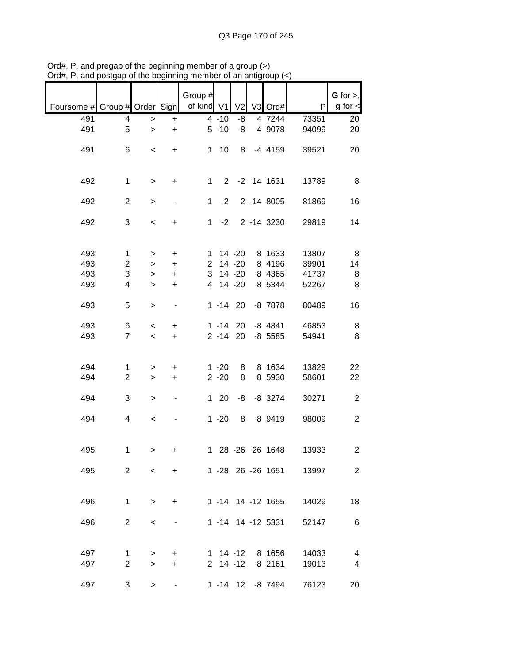| G for $>$ ,    |       |                   |                |             | Group #        |                              |                          |                |                               |
|----------------|-------|-------------------|----------------|-------------|----------------|------------------------------|--------------------------|----------------|-------------------------------|
| $g$ for $\lt$  | P     | V3 Ord#           | V <sub>2</sub> |             | of kind V1     |                              |                          |                | Foursome # Group # Order Sign |
| 20             | 73351 | 4 7244            | -8             | $4 - 10$    |                | $\ddot{}$                    | $\, >$                   | 4              | 491                           |
| 20             | 94099 | 4 9078            | -8             | $5 - 10$    |                | $\ddot{}$                    | $\geq$                   | 5              | 491                           |
|                |       |                   |                |             |                |                              |                          |                |                               |
| 20             | 39521 | $-4$ 4159         | 8              | $1 10$      |                | $\ddot{}$                    | $\overline{\phantom{a}}$ | 6              | 491                           |
|                |       |                   |                |             |                |                              |                          |                |                               |
|                |       |                   |                |             |                |                              |                          |                |                               |
| 8              | 13789 | 2 -2 14 1631      |                |             | $\mathbf{1}$   | $\ddot{}$                    | $\geq$                   | $\mathbf 1$    | 492                           |
| 16             | 81869 | 2 -14 8005        |                | $-2$        | $\mathbf{1}$   |                              | $\, >$                   | $\overline{2}$ | 492                           |
|                |       |                   |                |             |                |                              |                          |                |                               |
| 14             | 29819 | 2 -14 3230        |                | $1 -2$      |                | +                            | $\,<\,$                  | 3              | 492                           |
|                |       |                   |                |             |                |                              |                          |                |                               |
|                |       |                   |                |             |                |                              |                          |                |                               |
| 8              | 13807 | 8 1633            |                | $1 14 - 20$ |                | $\ddot{}$                    | $\, > \,$                | $\mathbf{1}$   | 493                           |
| 14             | 39901 | 8 4196            |                | 2 14 -20    |                | $+$                          | $\mathbf{I}$             | $\overline{c}$ | 493                           |
| 8              | 41737 | 8 4365            | 14 -20         |             | 3              | $\ddot{}$                    | $\, > \,$                | 3              | 493                           |
| 8              | 52267 | 8 5344            | $14 - 20$      |             | $\overline{4}$ | $\ddot{}$                    | $\, > \,$                | 4              | 493                           |
| 16             | 80489 | $-8$ 7878         | $1 - 14$ 20    |             |                | $\qquad \qquad \blacksquare$ | $\, > \,$                | 5              | 493                           |
|                |       |                   |                |             |                |                              |                          |                |                               |
| 8              | 46853 | $-8$ 4841         |                | $1 - 14$ 20 |                | $\ddot{}$                    | $\,<\,$                  | 6              | 493                           |
| 8              | 54941 | $-8$ 5585         |                | $2 - 14$ 20 |                | $\ddot{}$                    | $\,<$                    | $\overline{7}$ | 493                           |
|                |       |                   |                |             |                |                              |                          |                |                               |
|                |       |                   |                |             |                |                              |                          |                |                               |
| 22             | 13829 | 8 1634            | 8              | $1 - 20$    |                | +                            | >                        | 1              | 494                           |
| 22             | 58601 | 8 5930            | 8              | $2 - 20$    |                | $\ddot{}$                    | $\,$                     | $\overline{2}$ | 494                           |
| $\overline{c}$ | 30271 | $-8$ 3274         | -8             | 120         |                | $\qquad \qquad \blacksquare$ | $\, >$                   | 3              | 494                           |
|                |       |                   |                |             |                |                              |                          |                |                               |
| $\overline{c}$ | 98009 | 8 9419            | 8              | $1 - 20$    |                |                              | $\,<$                    | 4              | 494                           |
|                |       |                   |                |             |                |                              |                          |                |                               |
|                |       |                   |                |             |                |                              |                          |                |                               |
| $\overline{c}$ | 13933 | 1 28 -26 26 1648  |                |             |                | +                            | >                        | 1              | 495                           |
|                |       |                   |                |             |                |                              |                          |                |                               |
| $\overline{2}$ | 13997 | 1 -28 26 -26 1651 |                |             |                | $\ddot{}$                    | $\prec$                  | $\overline{2}$ | 495                           |
|                |       |                   |                |             |                |                              |                          |                |                               |
| 18             | 14029 | 1 -14 14 -12 1655 |                |             |                | $\ddot{}$                    | $\geq$                   | $\mathbf{1}$   | 496                           |
|                |       |                   |                |             |                |                              |                          |                |                               |
| 6              | 52147 | 1 -14 14 -12 5331 |                |             |                |                              | $\,<\,$                  | $\overline{2}$ | 496                           |
|                |       |                   |                |             |                |                              |                          |                |                               |
|                |       |                   |                |             |                |                              |                          |                |                               |
| $\overline{4}$ | 14033 | 8 1656            | $1 \t14 - 12$  |             |                | $\ddot{}$                    | >                        | 1              | 497                           |
| 4              | 19013 | 8 2161            |                | $2$ 14 -12  |                | $\ddot{}$                    | $\geq$                   | $\overline{2}$ | 497                           |
| 20             | 76123 | 1 -14 12 -8 7494  |                |             |                |                              | $\, >$                   | 3              | 497                           |
|                |       |                   |                |             |                |                              |                          |                |                               |

Ord#, P, and pregap of the beginning member of a group (>) Ord#, P, and postgap of the beginning member of an antigroup (<)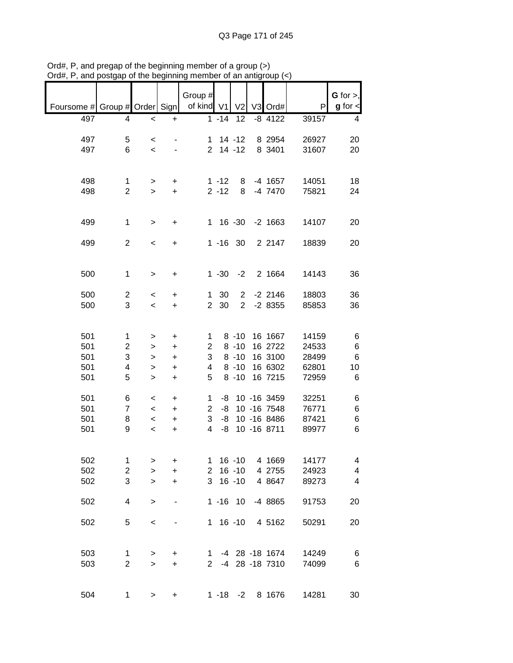| Foursome # Group # Order Sign   |                                    |                                                                            |                                                               | Group #<br>of kind V1              |                           | V <sub>2</sub>                                           | V3 Ord#                                                       | P                                         | G for $>$ ,<br>$g$ for $\lt$                   |
|---------------------------------|------------------------------------|----------------------------------------------------------------------------|---------------------------------------------------------------|------------------------------------|---------------------------|----------------------------------------------------------|---------------------------------------------------------------|-------------------------------------------|------------------------------------------------|
| 497                             | 4                                  | $\,<$                                                                      | +                                                             |                                    | $1 - 14$                  | 12                                                       | $-8$ 4122                                                     | 39157                                     | 4                                              |
| 497<br>497                      | 5<br>6                             | $\,<$<br>$\prec$                                                           |                                                               |                                    | $1 14 - 12$<br>$2$ 14 -12 |                                                          | 8 2954<br>8 3401                                              | 26927<br>31607                            | 20<br>20                                       |
| 498<br>498                      | 1<br>$\overline{2}$                | ><br>$\geq$                                                                | $\ddot{}$<br>$\ddot{}$                                        |                                    | $1 - 12$<br>$2 - 12$      | 8<br>8                                                   | -4 1657<br>-4 7470                                            | 14051<br>75821                            | 18<br>24                                       |
| 499                             | $\mathbf{1}$                       | $\, > \,$                                                                  | +                                                             |                                    |                           | 1 16 -30                                                 | $-2$ 1663                                                     | 14107                                     | 20                                             |
| 499                             | $\mathbf{2}$                       | $\,<\,$                                                                    | +                                                             |                                    | $1 - 16$ 30               |                                                          | 2 2147                                                        | 18839                                     | 20                                             |
| 500                             | 1                                  | $\, > \,$                                                                  | $\ddot{}$                                                     |                                    | $1 - 30$                  | $-2$                                                     | 2 1664                                                        | 14143                                     | 36                                             |
| 500<br>500                      | $\overline{c}$<br>3                | $\,<\,$<br>$\overline{\phantom{0}}$                                        | $\ddot{}$<br>+                                                | 1<br>$\overline{2}$                | 30<br>30                  | $2^{\circ}$<br>$\overline{2}$                            | $-2$ 2146<br>$-28355$                                         | 18803<br>85853                            | 36<br>36                                       |
| 501<br>501<br>501<br>501<br>501 | 1<br>$\overline{2}$<br>3<br>4<br>5 | ><br>><br>><br>><br>$\mathbf{L}$                                           | $\ddot{}$<br>$\ddot{}$<br>$\ddot{}$<br>$\ddot{}$<br>$\ddot{}$ | 1<br>$\overline{2}$<br>3<br>4<br>5 |                           | $8 - 10$<br>$8 - 10$<br>$8 - 10$<br>$8 - 10$<br>$8 - 10$ | 16 1667<br>16 2722<br>16 3100<br>16 6302<br>16 7215           | 14159<br>24533<br>28499<br>62801<br>72959 | 6<br>6<br>6<br>10<br>6                         |
| 501<br>501<br>501<br>501        | 6<br>$\overline{7}$<br>8<br>9      | $\,<\,$<br>$\overline{\phantom{a}}$<br>$\overline{\phantom{a}}$<br>$\,<\,$ | $\ddot{}$<br>$\ddot{}$<br>$\ddot{}$<br>$\ddot{}$              | 1<br>$\overline{2}$<br>3<br>4      | -8<br>-8<br>-8            |                                                          | -8 10 -16 3459<br>10 - 16 7548<br>10 - 16 8486<br>10 -16 8711 | 32251<br>76771<br>87421<br>89977          | 6<br>6<br>$\,6$<br>6                           |
| 502<br>502<br>502               | 1<br>$\overline{c}$<br>3           | ><br>><br>>                                                                | +<br>$\ddot{}$<br>$\ddot{}$                                   | 1.<br>$\mathbf{2}$<br>3            |                           | $16 - 10$<br>$16 - 10$<br>$16 - 10$                      | 4 1669<br>4 2755<br>4 8 647                                   | 14177<br>24923<br>89273                   | 4<br>$\overline{\mathbf{4}}$<br>$\overline{4}$ |
| 502                             | 4                                  | $\, > \,$                                                                  |                                                               |                                    |                           | $1 - 16$ 10                                              | -4 8865                                                       | 91753                                     | 20                                             |
| 502                             | 5                                  | $\prec$                                                                    |                                                               |                                    |                           | $1 \t16 \t-10$                                           | 4 5162                                                        | 50291                                     | 20                                             |
| 503<br>503                      | 1<br>$\overline{2}$                | ><br>$\, > \,$                                                             | +<br>$\ddot{}$                                                | $1 \quad$<br>2 <sup>7</sup>        |                           |                                                          | -4 28 -18 1674<br>-4 28 -18 7310                              | 14249<br>74099                            | 6<br>6                                         |
| 504                             | 1                                  | >                                                                          | +                                                             |                                    |                           | $1 - 18 - 2$                                             | 8 1676                                                        | 14281                                     | 30                                             |

Ord#, P, and pregap of the beginning member of a group (>) Ord#, P, and postgap of the beginning member of an antigroup (<)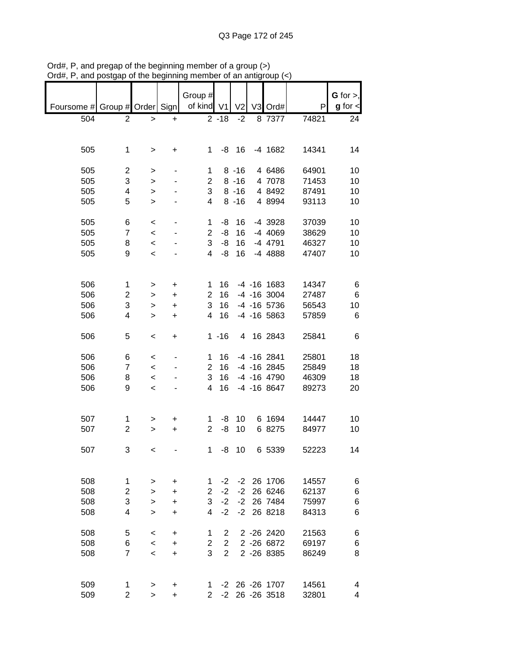|                          |                |                          |           | Group #        |                |                |                   |       | G for $>$ ,   |
|--------------------------|----------------|--------------------------|-----------|----------------|----------------|----------------|-------------------|-------|---------------|
| Foursome # Group # Order |                |                          | Sign      | of kind V1     |                | V <sub>2</sub> | V3 Ord#           | P     | $g$ for $\lt$ |
| 504                      | 2              | >                        | +         |                | $2 - 18$       | $-2$           | 8 7377            | 74821 | 24            |
|                          |                |                          |           |                |                |                |                   |       |               |
|                          |                |                          |           |                |                |                |                   |       |               |
| 505                      | $\mathbf 1$    | >                        | +         | 1              | -8             | 16             | $-4$ 1682         | 14341 | 14            |
|                          |                |                          |           |                |                |                |                   |       |               |
| 505                      | 2              | >                        |           | 1              |                | $8 - 16$       | 4 6486            | 64901 | 10            |
| 505                      | 3              | >                        |           | $\overline{2}$ |                | $8 - 16$       | 4 7078            | 71453 | 10            |
| 505                      | 4              | >                        |           | 3              |                | $8 - 16$       | 4 8492            | 87491 | 10            |
| 505                      | 5              | $\, > \,$                |           | 4              |                | $8 - 16$       | 4 8994            | 93113 | 10            |
|                          |                |                          |           |                |                |                |                   |       |               |
| 505                      | 6              | $\,<$                    |           | 1              | -8             | 16             | -4 3928           | 37039 | 10            |
| 505                      | $\overline{7}$ | $\,<$                    |           | $\overline{2}$ | -8             | 16             | $-4$ 4069         | 38629 | 10            |
| 505                      | 8              | $\prec$                  |           | 3              | -8             | 16             | -4 4791           | 46327 | 10            |
| 505                      | 9              | $\,<$                    |           | 4              | -8             | 16             | -4 4888           | 47407 | 10            |
|                          |                |                          |           |                |                |                |                   |       |               |
|                          |                |                          |           |                |                |                |                   |       |               |
| 506                      | 1              | >                        | +         | 1              | 16             |                | $-4$ $-16$ $1683$ | 14347 | 6             |
| 506                      | 2              | >                        | +         | $\overline{2}$ | 16             |                | $-4$ $-16$ 3004   | 27487 | 6             |
| 506                      | 3              | >                        | $\ddot{}$ | 3              | 16             |                | $-4$ $-16$ 5736   | 56543 | 10            |
| 506                      | 4              | >                        | +         | 4              | 16             |                | $-4$ $-16$ 5863   | 57859 | 6             |
|                          |                |                          |           |                |                |                |                   |       |               |
| 506                      | 5              | $\,<$                    | $\ddot{}$ |                | $1 - 16$       | 4              | 16 2843           | 25841 | 6             |
| 506                      | 6              |                          |           | 1              | 16             |                | $-4$ $-16$ 2841   | 25801 | 18            |
| 506                      | 7              | <                        |           | $\overline{2}$ | 16             |                | $-4$ $-16$ 2845   | 25849 | 18            |
| 506                      | 8              | $\,<$<br>$\,<$           |           | 3              | 16             |                | $-4$ $-16$ $4790$ | 46309 | 18            |
| 506                      | 9              | $\,<$                    |           | 4              | 16             |                | $-4$ $-16$ 8647   | 89273 | 20            |
|                          |                |                          |           |                |                |                |                   |       |               |
|                          |                |                          |           |                |                |                |                   |       |               |
| 507                      | 1              | >                        | +         | 1              | -8             | 10             | 6 1694            | 14447 | 10            |
| 507                      | 2              | >                        | +         | $\overline{2}$ | -8             | 10             | 6 8275            | 84977 | 10            |
|                          |                |                          |           |                |                |                |                   |       |               |
| 507                      | 3              | $\,<$                    |           | 1              | -8             | 10             | 6 5339            | 52223 | 14            |
|                          |                |                          |           |                |                |                |                   |       |               |
|                          |                |                          |           |                |                |                |                   |       |               |
| 508                      | 1              | >                        | +         | 1              | $-2$           | $-2$           | 26 1706           | 14557 | 6             |
| 508                      | $\overline{2}$ | >                        | +         | $\overline{2}$ | $-2$           | $-2$           | 26 6246           | 62137 | 6             |
| 508                      | 3              | >                        | +         | 3              | $-2$           | $-2$           | 26 7484           | 75997 | 6             |
| 508                      | 4              | >                        | +         | 4              | $-2$           |                | -2 26 8218        | 84313 | 6             |
|                          |                |                          |           |                |                |                |                   |       |               |
| 508                      | 5              | <                        | +         | 1              | 2              |                | 2 -26 2420        | 21563 | 6             |
| 508                      | 6              | $\,<\,$                  | +         | $\overline{c}$ | $\overline{2}$ |                | 2 - 26 6872       | 69197 | 6             |
| 508                      | $\overline{7}$ | $\overline{\phantom{a}}$ | $\ddot{}$ | 3              | $\overline{2}$ |                | 2 - 26 8385       | 86249 | 8             |
|                          |                |                          |           |                |                |                |                   |       |               |
|                          |                |                          |           |                |                |                |                   |       |               |
| 509                      | 1              | >                        | +         | 1.             |                |                | -2 26 -26 1707    | 14561 | 4             |
| 509                      | $\overline{2}$ | $\geq$                   | +         | $\overline{2}$ | $-2$           |                | 26 - 26 3518      | 32801 | 4             |

Ord#, P, and pregap of the beginning member of a group (>) Ord#, P, and postgap of the beginning member of an antigroup (<)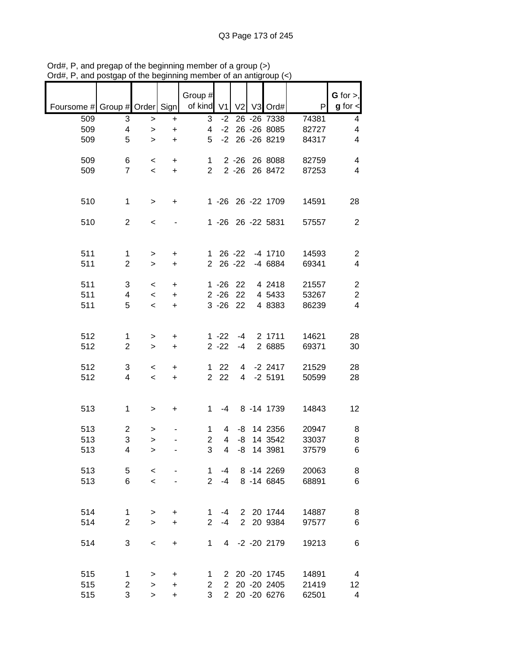|                               |                     |                          |                | Group #              |                |                     |                              |                | $G$ for $>$ ,           |
|-------------------------------|---------------------|--------------------------|----------------|----------------------|----------------|---------------------|------------------------------|----------------|-------------------------|
| Foursome # Group # Order Sign |                     |                          |                | of kind              | V <sub>1</sub> | V <sub>2</sub>      | V3 Ord#                      | P              | $g$ for $\textsf{I}$    |
| 509                           | 3                   | $\mathbf{I}$             | +              | 3                    | $-2$<br>$-2$   |                     | 26 - 26 7338<br>26 - 26 8085 | 74381          | 4<br>4                  |
| 509<br>509                    | 4<br>5              | $\mathbf{I}$<br>>        | +<br>+         | 4<br>5               | $-2$           |                     | 26 - 26 8219                 | 82727<br>84317 | 4                       |
|                               |                     |                          |                |                      |                |                     |                              |                |                         |
| 509                           | 6                   | $\,<$                    | +              | 1                    |                | $2 - 26$            | 26 8088                      | 82759          | 4                       |
| 509                           | $\overline{7}$      | $\,<$                    | $\ddot{}$      | $\overline{2}$       |                | $2 - 26$            | 26 8472                      | 87253          | 4                       |
|                               |                     |                          |                |                      |                |                     |                              |                |                         |
|                               |                     |                          |                |                      |                |                     |                              |                |                         |
| 510                           | $\mathbf 1$         | >                        | +              |                      | $1 - 26$       |                     | 26 - 22 1709                 | 14591          | 28                      |
|                               |                     |                          |                |                      |                |                     |                              |                |                         |
| 510                           | $\overline{2}$      | $\,<$                    |                |                      | $1 - 26$       |                     | 26 - 22 5831                 | 57557          | $\overline{c}$          |
|                               |                     |                          |                |                      |                |                     |                              |                |                         |
| 511                           |                     |                          |                |                      |                | $26 - 22$           | $-4$ 1710                    | 14593          | $\overline{c}$          |
| 511                           | 1<br>$\overline{2}$ | ><br>$\, > \,$           | +<br>$\ddot{}$ | 1.<br>$\overline{2}$ |                | $26 - 22$           | -4 6884                      | 69341          | 4                       |
|                               |                     |                          |                |                      |                |                     |                              |                |                         |
| 511                           | 3                   | $\,<\,$                  | $\ddot{}$      |                      | $1 - 26$       | 22                  | 4 2418                       | 21557          | $\overline{\mathbf{c}}$ |
| 511                           | 4                   | $\overline{\phantom{a}}$ | $\ddot{}$      |                      | $2 - 26$       | 22                  | 4 5433                       | 53267          | $\overline{c}$          |
| 511                           | 5                   | $\overline{\phantom{a}}$ | $\ddot{}$      |                      | $3 - 26$       | 22                  | 4 8383                       | 86239          | $\overline{\mathbf{4}}$ |
|                               |                     |                          |                |                      |                |                     |                              |                |                         |
|                               |                     |                          |                |                      |                |                     |                              |                |                         |
| 512                           | $\mathbf{1}$        | >                        | +              |                      | $1 - 22$       | -4                  | 2 1711                       | 14621          | 28                      |
| 512                           | $\overline{2}$      | $\, > \,$                | $\ddot{}$      |                      | $2 - 22$       | $-4$                | 2 6885                       | 69371          | 30                      |
|                               |                     |                          |                |                      |                |                     |                              |                |                         |
| 512<br>512                    | 3<br>4              | $\,<$                    | +              | 1<br>$\overline{2}$  | 22<br>22       | 4<br>$\overline{4}$ | $-2$ 2417<br>$-2$ 5191       | 21529<br>50599 | 28<br>28                |
|                               |                     | $\prec$                  | $\ddot{}$      |                      |                |                     |                              |                |                         |
|                               |                     |                          |                |                      |                |                     |                              |                |                         |
| 513                           | 1                   | >                        | +              | 1                    | -4             |                     | 8 - 14 1739                  | 14843          | 12                      |
|                               |                     |                          |                |                      |                |                     |                              |                |                         |
| 513                           | 2                   | >                        |                | 1                    | 4              | -8                  | 14 2356                      | 20947          | 8                       |
| 513                           | 3                   | >                        |                | 2                    | 4              | -8                  | 14 3542                      | 33037          | 8                       |
| 513                           | 4                   | $\geq$                   |                | 3                    | 4              | -8                  | 14 3981                      | 37579          | 6                       |
|                               |                     |                          |                |                      |                |                     |                              |                |                         |
| 513                           | 5                   | $\,<$                    |                | 1.                   | -4             |                     | 8 - 14 2269                  | 20063          | 8                       |
| 513                           | 6                   | $\prec$                  |                | $2^{\circ}$          | $-4$           |                     | 8 - 14 6845                  | 68891          | 6                       |
|                               |                     |                          |                |                      |                |                     |                              |                |                         |
| 514                           | $\mathbf{1}$        | >                        | $\ddot{}$      | 1.                   | $-4$           |                     | 2 20 1744                    | 14887          | 8                       |
| 514                           | $\overline{2}$      | $\geq$                   | $\ddot{}$      | $\overline{2}$       | $-4$           |                     | 2 20 9384                    | 97577          | 6                       |
|                               |                     |                          |                |                      |                |                     |                              |                |                         |
| 514                           | 3                   | $\,<\,$                  | $\ddot{}$      | 1                    | $\overline{4}$ |                     | $-2 - 20$ 2179               | 19213          | 6                       |
|                               |                     |                          |                |                      |                |                     |                              |                |                         |
|                               |                     |                          |                |                      |                |                     |                              |                |                         |
| 515                           | 1                   | >                        | +              | 1                    | 2              |                     | 20 - 20 1745                 | 14891          | 4                       |
| 515                           | 2                   | >                        | +              | $\overline{2}$       | $\overline{2}$ |                     | 20 - 20 2405                 | 21419          | 12                      |
| 515                           | 3                   | $\, > \,$                | +              | 3                    | $2^{\circ}$    |                     | 20 - 20 6276                 | 62501          | 4                       |

Ord#, P, and pregap of the beginning member of a group (>) Ord#, P, and postgap of the beginning member of an antigroup (<)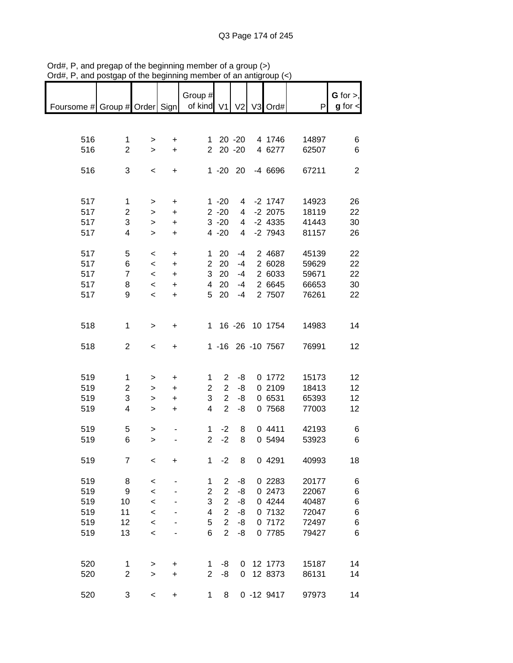|                               |                |              |           | Group #        |                |                |                   |       | $G$ for $>$ ,  |
|-------------------------------|----------------|--------------|-----------|----------------|----------------|----------------|-------------------|-------|----------------|
| Foursome # Group # Order Sign |                |              |           | of kind V1     |                | V <sub>2</sub> | V3 Ord#           | P     | $g$ for $\lt$  |
|                               |                |              |           |                |                |                |                   |       |                |
| 516                           | $\mathbf{1}$   | >            | +         | 1              |                | $20 - 20$      | 4 1746            | 14897 | 6              |
| 516                           | $\overline{2}$ | $\geq$       | $\ddot{}$ | $\overline{2}$ |                | $20 - 20$      | 4 6277            | 62507 | 6              |
|                               |                |              |           |                |                |                |                   |       |                |
| 516                           | 3              | $\,<$        | +         |                | $1 - 20$ 20    |                | $-46696$          | 67211 | $\overline{2}$ |
|                               |                |              |           |                |                |                |                   |       |                |
| 517                           | 1              | >            | $\ddot{}$ |                | $1 - 20$       | 4              | $-2$ 1747         | 14923 | 26             |
| 517                           | $\overline{2}$ | $\, > \,$    | $\ddot{}$ |                | $2 - 20$       | 4              | $-2$ 2075         | 18119 | 22             |
| 517                           | 3              | >            | $\ddot{}$ |                | $3 - 20$       | 4              | $-2$ 4335         | 41443 | 30             |
| 517                           | 4              | >            | $\ddot{}$ |                | $4 - 20$       | 4              | $-2$ 7943         | 81157 | 26             |
|                               |                |              |           |                |                |                |                   |       |                |
| 517                           | 5              | $\,<\,$      | $\ddot{}$ | 1              | 20             | $-4$           | 2 4687            | 45139 | 22             |
| 517                           | 6              | $\,<\,$      | $\ddot{}$ | $\overline{2}$ | 20             | $-4$           | 2 6028            | 59629 | 22             |
| 517                           | $\overline{7}$ | $\,<\,$      | $\ddot{}$ | 3              | 20             | $-4$           | 2 6033            | 59671 | 22             |
| 517                           | 8              | $\prec$      | $\ddot{}$ | 4              | 20             | $-4$           | 2 6645            | 66653 | 30             |
| 517                           | 9              | $\prec$      | $\ddot{}$ | 5              | 20             | $-4$           | 2 7507            | 76261 | 22             |
|                               |                |              |           |                |                |                |                   |       |                |
|                               |                |              |           | $\mathbf{1}$   |                |                |                   |       |                |
| 518                           | 1              | $\, > \,$    | $\ddot{}$ |                |                |                | 16 - 26 10 1754   | 14983 | 14             |
| 518                           | $\overline{2}$ | $\,<$        | +         |                |                |                | 1 -16 26 -10 7567 | 76991 | 12             |
|                               |                |              |           |                |                |                |                   |       |                |
|                               |                |              |           |                |                |                |                   |       |                |
| 519                           | 1              | >            | +         | 1              | $\overline{2}$ | -8             | 0 1772            | 15173 | 12             |
| 519                           | $\overline{2}$ | >            | $\ddot{}$ | $\overline{2}$ | 2              | -8             | 0 2109            | 18413 | 12             |
| 519                           | 3              | >            | $\ddot{}$ | 3              | $\overline{2}$ | -8             | 0 6531            | 65393 | 12             |
| 519                           | 4              | >            | $\ddot{}$ | 4              | $\overline{2}$ | -8             | 0 7568            | 77003 | 12             |
| 519                           | 5              | >            |           | 1              | $-2$           | 8              | 04411             | 42193 | 6              |
| 519                           | 6              | $\geq$       |           | $\overline{2}$ | $-2$           | 8              | 0 5494            | 53923 | 6              |
|                               |                |              |           |                |                |                |                   |       |                |
| 519                           | 7              | $\,<$        | +         | 1              | $-2$           | 8              | 0 4291            | 40993 | 18             |
|                               |                |              |           |                |                |                |                   |       |                |
| 519                           | 8              | $\,<$        |           | 1              | 2              | -8             | 0 2283            | 20177 | 6              |
| 519                           | 9              | $\prec$      |           | $\overline{c}$ | $\overline{c}$ | -8             | 0 2473            | 22067 | 6              |
| 519                           | 10             | $\prec$      |           | 3              | $\overline{2}$ | -8             | 0 4244            | 40487 | 6              |
| 519                           | 11             | $\prec$      |           | 4              | $\overline{2}$ | -8             | 0 7132            | 72047 | 6              |
| 519                           | 12             | $\prec$      |           | 5              | $\overline{2}$ | -8             | 0 7172            | 72497 | 6              |
| 519                           | 13             | $\,<$        |           | 6              | $\overline{2}$ | -8             | 0 7785            | 79427 | 6              |
|                               |                |              |           |                |                |                |                   |       |                |
|                               |                |              |           |                |                |                | 12 1773           |       |                |
| 520                           | 1              | >            | $\ddot{}$ | 1              | -8             | 0              |                   | 15187 | 14             |
| 520                           | $\overline{c}$ | $\mathbf{I}$ | $\ddot{}$ | $\overline{2}$ | -8             | 0              | 12 8373           | 86131 | 14             |
| 520                           | 3              | $\,<$        | +         | 1              | 8              |                | $0 - 129417$      | 97973 | 14             |

Ord#, P, and pregap of the beginning member of a group (>) Ord#, P, and postgap of the beginning member of an antigroup (<)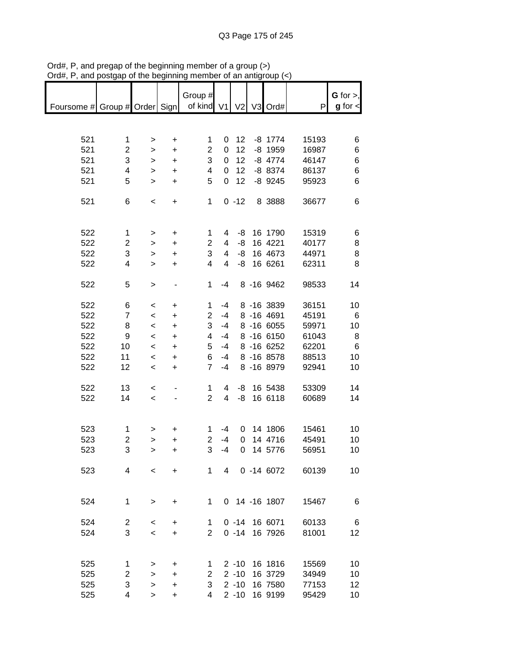|                               |                |                          |           | Group #        |             |                |               |       | $G$ for $>$ , |
|-------------------------------|----------------|--------------------------|-----------|----------------|-------------|----------------|---------------|-------|---------------|
| Foursome # Group # Order Sign |                |                          |           | of kind V1     |             | V <sub>2</sub> | V3 Ord#       | P     | $g$ for $\lt$ |
|                               |                |                          |           |                |             |                |               |       |               |
|                               |                |                          |           |                |             |                |               |       |               |
| 521                           | 1              | >                        | $\ddot{}$ | 1              | 0           | 12             | $-8$ 1774     | 15193 | 6             |
| 521                           | $\overline{2}$ | >                        | $\ddot{}$ | $\overline{2}$ | $\mathbf 0$ | 12             | $-8$ 1959     | 16987 | 6             |
| 521                           | 3              | >                        | $\ddot{}$ | 3              | 0           | 12             | $-8$ 4774     | 46147 | 6             |
| 521                           | 4              | >                        | $\ddot{}$ | 4              | 0           | 12             | $-88374$      | 86137 | 6             |
| 521                           | 5              | $\geq$                   | $\ddot{}$ | 5              | 0           | 12             | $-8$ 9245     | 95923 | 6             |
|                               |                |                          |           |                |             |                |               |       |               |
| 521                           | 6              | $\,<$                    | $\ddot{}$ | 1              |             | $0 - 12$       | 8 3888        | 36677 | 6             |
|                               |                |                          |           |                |             |                |               |       |               |
| 522                           | $\mathbf{1}$   |                          | $\ddot{}$ | 1              | 4           | -8             | 16 1790       | 15319 | 6             |
| 522                           | $\overline{c}$ | ><br>>                   | $\ddot{}$ | $\overline{2}$ | 4           | -8             | 16 4221       | 40177 | 8             |
| 522                           | 3              | >                        | $\ddot{}$ | 3              | 4           | -8             | 16 4673       | 44971 | 8             |
| 522                           | 4              |                          | $\ddot{}$ | 4              | 4           | -8             | 16 6261       | 62311 | 8             |
|                               |                | >                        |           |                |             |                |               |       |               |
| 522                           | 5              | >                        |           | 1              | $-4$        |                | 8 - 16 9462   | 98533 | 14            |
|                               |                |                          |           |                |             |                |               |       |               |
| 522                           | 6              | $\,<$                    | $\ddot{}$ | 1              | $-4$        |                | 8 - 16 3839   | 36151 | 10            |
| 522                           | $\overline{7}$ | $\,<$                    | +         | 2              | $-4$        |                | 8 -16 4691    | 45191 | 6             |
| 522                           | 8              | $\prec$                  | $\ddot{}$ | 3              | $-4$        |                | 8 -16 6055    | 59971 | 10            |
| 522                           | 9              | $\,<$                    | $\ddot{}$ | 4              | $-4$        |                | 8 -16 6150    | 61043 | 8             |
| 522                           | 10             | $\,<\,$                  | $\ddot{}$ | 5              | $-4$        |                | 8 -16 6252    | 62201 | 6             |
| 522                           | 11             | $\,<\,$                  | $\ddot{}$ | 6              | $-4$        |                | 8 -16 8578    | 88513 | 10            |
| 522                           | 12             | $\,<$                    | $\ddot{}$ | $\overline{7}$ | $-4$        |                | 8 -16 8979    | 92941 | 10            |
|                               |                |                          |           |                |             |                |               |       |               |
| 522                           | 13             | $\,<\,$                  |           | 1              | 4           | -8             | 16 5438       | 53309 | 14            |
| 522                           | 14             | $\overline{\phantom{a}}$ |           | $\overline{2}$ | 4           | -8             | 16 6118       | 60689 | 14            |
|                               |                |                          |           |                |             |                |               |       |               |
|                               |                |                          |           |                |             |                |               |       |               |
| 523                           | 1              | >                        | +         | 1              | $-4$        | 0              | 14 1806       | 15461 | 10            |
| 523                           | 2              | >                        | +         | $\overline{2}$ | $-4$        | 0              | 14 4716       | 45491 | 10            |
| 523                           | 3              | >                        | $\ddot{}$ | 3              | $-4$        | 0              | 14 5776       | 56951 | 10            |
|                               |                |                          |           |                |             |                |               |       |               |
| 523                           | 4              | $\overline{\phantom{0}}$ | $\ddot{}$ | 1              | $4 \quad$   |                | 0 -14 6072    | 60139 | 10            |
|                               |                |                          |           |                |             |                |               |       |               |
|                               |                |                          |           |                |             |                |               |       |               |
| 524                           | 1              | $\mathbf{I}$             | +         | $\mathbf 1$    |             |                | 0 14 -16 1807 | 15467 | 6             |
|                               |                |                          |           |                |             |                |               |       |               |
| 524                           | $\overline{c}$ | $\,<\,$                  | +         | 1              |             |                | 0 -14 16 6071 | 60133 | 6             |
| 524                           | 3              | $\,<\,$                  | $\ddot{}$ | $\overline{2}$ |             | $0 - 14$       | 16 7926       | 81001 | 12            |
|                               |                |                          |           |                |             |                |               |       |               |
|                               |                |                          |           |                |             |                |               |       |               |
| 525                           | 1              | >                        | $\ddot{}$ | 1              |             | $2 - 10$       | 16 1816       | 15569 | 10            |
| 525                           | 2              | >                        | $\ddot{}$ | $\overline{c}$ |             | $2 - 10$       | 16 3729       | 34949 | 10            |
| 525                           | 3              | >                        | $\ddot{}$ | 3              |             | $2 - 10$       | 16 7580       | 77153 | 12            |
| 525                           | 4              | >                        | +         | 4              |             | $2 - 10$       | 16 9199       | 95429 | 10            |

Ord#, P, and pregap of the beginning member of a group (>) Ord#, P, and postgap of the beginning member of an antigroup (<)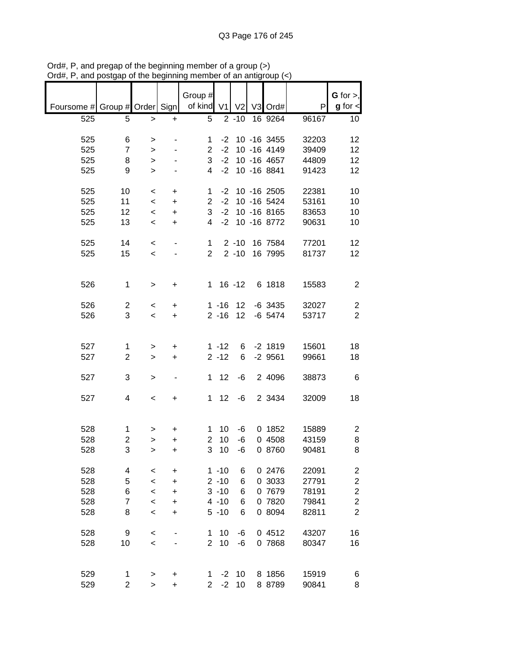|                               |                         |           |                          | Group #        |          |                |             |       | G for $>$ ,             |
|-------------------------------|-------------------------|-----------|--------------------------|----------------|----------|----------------|-------------|-------|-------------------------|
| Foursome # Group # Order Sign |                         |           |                          | of kind V1     |          | V <sub>2</sub> | V3 Ord#     | P     | $g$ for $\lt$           |
| 525                           | 5                       | >         | +                        | 5              |          | $2 - 10$       | 16 9264     | 96167 | 10                      |
|                               |                         |           |                          |                |          |                |             |       |                         |
| 525                           | 6                       | >         |                          | 1              | $-2$     |                | 10 -16 3455 | 32203 | 12                      |
| 525                           | $\overline{7}$          | $\, > \,$ |                          | $\overline{2}$ | $-2$     |                | 10 -16 4149 | 39409 | 12                      |
| 525                           | 8                       | >         |                          | 3              | $-2$     |                | 10 -16 4657 | 44809 | 12                      |
| 525                           | 9                       | $\, > \,$ |                          | 4              | $-2$     |                | 10 -16 8841 | 91423 | 12                      |
|                               |                         |           |                          |                |          |                |             |       |                         |
| 525                           | 10                      | $\,<\,$   | +                        | 1              | $-2$     |                | 10 -16 2505 | 22381 | 10                      |
| 525                           | 11                      | $\,<\,$   | $\ddot{}$                | $\overline{2}$ | $-2$     |                | 10 -16 5424 | 53161 | 10                      |
| 525                           | 12                      | $\,<$     | $\ddot{}$                | 3              | $-2$     |                | 10 -16 8165 | 83653 | 10                      |
| 525                           | 13                      | $\,<\,$   | $\ddot{}$                | 4              | $-2$     |                | 10 -16 8772 | 90631 | 10                      |
|                               |                         |           |                          |                |          |                |             |       |                         |
| 525                           | 14                      | $\,<\,$   | $\overline{\phantom{m}}$ | 1              |          | $2 - 10$       | 16 7584     | 77201 | 12                      |
| 525                           | 15                      | $\prec$   |                          | $\overline{2}$ |          | $2 - 10$       | 16 7995     | 81737 | 12                      |
|                               |                         |           |                          |                |          |                |             |       |                         |
|                               |                         |           |                          |                |          |                |             |       |                         |
| 526                           | $\mathbf 1$             | >         | $\ddot{}$                | $\mathbf{1}$   |          | $16 - 12$      | 6 1818      | 15583 | $\overline{c}$          |
|                               |                         |           |                          |                |          |                |             |       |                         |
| 526                           | $\overline{c}$          | $\,<$     | +                        |                | $1 - 16$ | 12             | $-6$ 3435   | 32027 | $\overline{\mathbf{c}}$ |
| 526                           | 3                       | $\,<\,$   | $\ddot{}$                |                | $2 - 16$ | 12             | $-6$ 5474   | 53717 | $\overline{2}$          |
|                               |                         |           |                          |                |          |                |             |       |                         |
|                               |                         |           |                          |                |          |                |             |       |                         |
| 527                           | 1                       | >         | +                        |                | $1 - 12$ | 6              | $-2$ 1819   | 15601 | 18                      |
| 527                           | $\overline{\mathbf{c}}$ | >         | +                        |                | $2 - 12$ | 6              | $-2$ 9561   | 99661 | 18                      |
|                               |                         |           |                          |                |          |                |             |       |                         |
| 527                           | 3                       | >         | ۰                        | 1              | 12       | -6             | 2 4096      | 38873 | 6                       |
|                               |                         |           |                          |                |          |                |             |       |                         |
| 527                           | 4                       | $\,<$     | +                        | 1              | 12       | -6             | 2 3434      | 32009 | 18                      |
|                               |                         |           |                          |                |          |                |             |       |                         |
|                               |                         |           |                          |                |          |                |             |       |                         |
| 528                           | 1                       | >         | +                        | 1              | 10       | -6             | 0 1852      | 15889 | $\overline{\mathbf{c}}$ |
| 528                           | 2                       | >         | +                        | $\overline{2}$ | 10       | $-6$           | 0 4508      | 43159 | 8                       |
| 528                           | 3                       | $\geq$    | $\ddot{}$                | 3              | 10       | -6             | 0 8760      | 90481 | 8                       |
|                               |                         |           |                          |                |          |                |             |       |                         |
| 528                           | 4                       | $\prec$   | +                        |                | $1 - 10$ | 6              | 0 2476      | 22091 | $\overline{\mathbf{c}}$ |
| 528                           | 5                       | $\,<$     | $\ddot{}$                |                | $2 - 10$ | 6              | 0 3033      | 27791 | $\overline{c}$          |
| 528                           | 6                       | $\,<$     | $\ddot{}$                |                | $3 - 10$ | 6              | 0 7679      | 78191 | $\overline{2}$          |
| 528                           | $\overline{7}$          | $\,<$     | +                        |                | $4 - 10$ | 6              | 0 7820      | 79841 | $\overline{c}$          |
| 528                           | 8                       | $\prec$   | +                        |                | $5 - 10$ | 6              | 0 8094      | 82811 | $\overline{2}$          |
|                               |                         |           |                          |                |          |                |             |       |                         |
| 528                           | 9                       | $\,<\,$   |                          | 1              | 10       | -6             | 0 4512      | 43207 | 16                      |
| 528                           | 10                      | $\,<$     |                          | $\overline{2}$ | 10       | -6             | 0 7868      | 80347 | 16                      |
|                               |                         |           |                          |                |          |                |             |       |                         |
|                               |                         |           |                          |                |          |                |             |       |                         |
| 529                           | 1                       | >         | +                        | 1              | $-2$     | 10             | 8 1856      | 15919 | 6                       |
| 529                           | $\overline{2}$          | $\,$      | +                        | $\overline{2}$ | $-2$     | 10             | 8 8789      | 90841 | 8                       |

Ord#, P, and pregap of the beginning member of a group (>) Ord#, P, and postgap of the beginning member of an antigroup (<)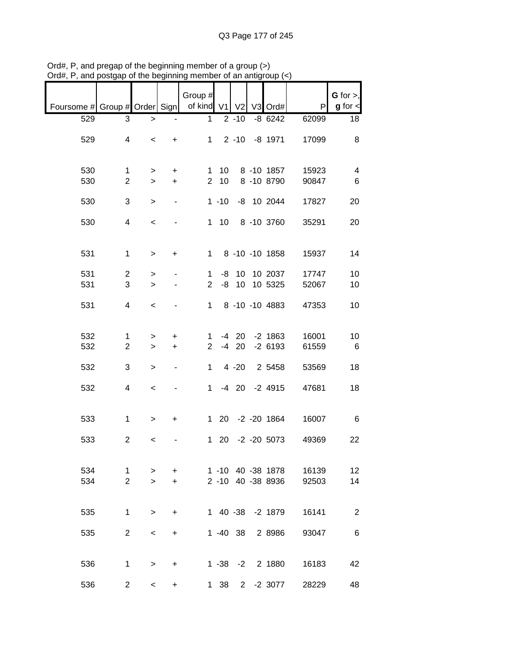|                                                       |                |           |                          | Group #        |              |             |                   |       | G for $>$ ,     |
|-------------------------------------------------------|----------------|-----------|--------------------------|----------------|--------------|-------------|-------------------|-------|-----------------|
| Foursome # Group # Order Sign   of kind V1 V2 V3 Ord# |                |           |                          |                |              |             |                   | P     | $g$ for $\lt$   |
| 529                                                   | 3              | $\, > \,$ | $\overline{\phantom{0}}$ | 1              |              | $2 - 10$    | $-86242$          | 62099 | 18              |
|                                                       |                |           |                          |                |              |             |                   |       |                 |
| 529                                                   | 4              | $\,<\,$   | $+$                      |                |              |             | 1 2 -10 -8 1971   | 17099 | 8               |
|                                                       |                |           |                          |                |              |             |                   |       |                 |
|                                                       |                |           |                          |                |              |             |                   |       |                 |
| 530                                                   | 1              | $\geq$    | $\ddot{}$                |                | $1 \quad 10$ |             | 8 -10 1857        | 15923 | 4               |
| 530                                                   | $\overline{c}$ | $\geq$    | $+$                      |                | $2 \quad 10$ |             | 8 -10 8790        | 90847 | $6\phantom{1}6$ |
|                                                       |                |           |                          |                |              |             |                   |       |                 |
| 530                                                   | 3              | $\, > \,$ | $\blacksquare$           |                |              |             | 1 -10 -8 10 2044  | 17827 | 20              |
|                                                       |                |           |                          |                |              |             |                   |       |                 |
| 530                                                   | 4              | $\,<$     |                          |                |              |             | 1 10 8 -10 3760   | 35291 | 20              |
|                                                       |                |           |                          |                |              |             |                   |       |                 |
| 531                                                   | $\mathbf{1}$   | $\geq$    | $\ddot{}$                |                |              |             | 1 8 -10 -10 1858  | 15937 | 14              |
|                                                       |                |           |                          |                |              |             |                   |       |                 |
| 531                                                   | $\overline{c}$ | $\geq$    |                          | $\mathbf 1$    |              |             | -8 10 10 2037     | 17747 | 10              |
| 531                                                   | 3              | $\geq$    |                          | $\overline{2}$ |              |             | -8 10 10 5325     | 52067 | 10              |
|                                                       |                |           |                          |                |              |             |                   |       |                 |
| 531                                                   | $\overline{4}$ | $\,<$     |                          |                |              |             | 1 8 -10 -10 4883  | 47353 | 10              |
|                                                       |                |           |                          |                |              |             |                   |       |                 |
|                                                       |                |           |                          |                |              |             |                   |       |                 |
| 532                                                   | 1              | >         | $\ddot{}$                | 1              |              |             | -4 20 -2 1863     | 16001 | 10              |
| 532                                                   | $\overline{2}$ | $\geq$    | $+$                      | $\overline{2}$ |              | $-4$ 20     | $-2$ 6193         | 61559 | 6               |
| 532                                                   | 3              | $\, >$    | $\blacksquare$           | $\mathbf{1}$   |              | $4 - 20$    | 2 5458            | 53569 | 18              |
|                                                       |                |           |                          |                |              |             |                   |       |                 |
| 532                                                   | 4              | $\,<$     |                          |                |              |             | 1 -4 20 -2 4915   | 47681 | 18              |
|                                                       |                |           |                          |                |              |             |                   |       |                 |
|                                                       |                |           |                          |                |              |             |                   |       |                 |
| 533                                                   | $\mathbf{1}$   | $\geq$    | $+$                      |                |              |             | 1 20 -2 -20 1864  | 16007 | $6\overline{6}$ |
|                                                       |                |           |                          |                |              |             |                   |       |                 |
| 533                                                   | $\overline{2}$ | $\,<\,$   |                          |                |              |             | 1 20 -2 -20 5073  | 49369 | 22              |
|                                                       |                |           |                          |                |              |             |                   |       |                 |
| 534                                                   | 1              | >         | $\ddot{}$                |                |              |             | 1 -10 40 -38 1878 | 16139 | 12              |
| 534                                                   | $\overline{2}$ | $\geq$    | +                        |                |              |             | 2 -10 40 -38 8936 | 92503 | 14              |
|                                                       |                |           |                          |                |              |             |                   |       |                 |
|                                                       |                |           |                          |                |              |             |                   |       |                 |
| 535                                                   | $\mathbf 1$    | $\geq$    | $\ddot{}$                |                |              |             | 1 40 -38 -2 1879  | 16141 | $\overline{2}$  |
|                                                       |                |           |                          |                |              |             |                   |       |                 |
| 535                                                   | $\overline{2}$ | $\,<\,$   | +                        |                | $1 - 40$ 38  |             | 2 8 9 8 6         | 93047 | 6               |
|                                                       |                |           |                          |                |              |             |                   |       |                 |
|                                                       |                |           |                          |                |              |             |                   |       |                 |
| 536                                                   | 1              | $\, > \,$ | +                        |                |              |             | 1 -38 -2 2 1880   | 16183 | 42              |
| 536                                                   | 2              | $\,<\,$   | +                        |                | 1 38         | $2^{\circ}$ | $-2$ 3077         | 28229 | 48              |
|                                                       |                |           |                          |                |              |             |                   |       |                 |

Ord#, P, and pregap of the beginning member of a group (>) Ord#, P, and postgap of the beginning member of an antigroup (<)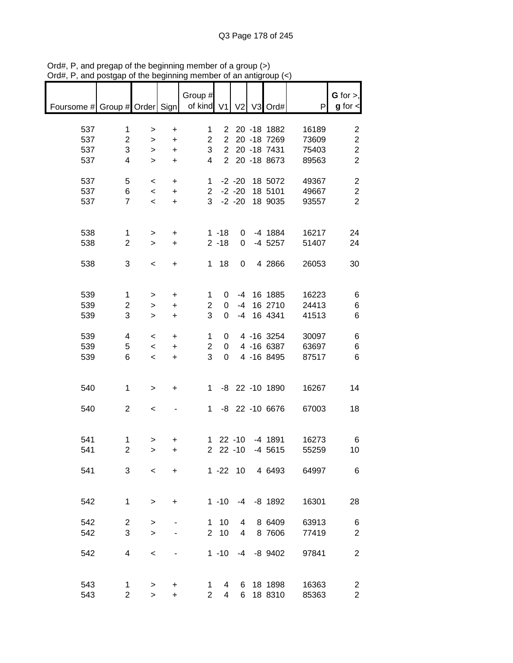| Foursome # Group # Order Sign   of kind V1 V2 V3 Ord# |                         |                          |                                  | Group #        |                |              |                |                  | P     | $G$ for $>$ ,<br>$g$ for $\lt$ |
|-------------------------------------------------------|-------------------------|--------------------------|----------------------------------|----------------|----------------|--------------|----------------|------------------|-------|--------------------------------|
| 537                                                   | 1                       | $\,$                     | $\ddot{}$                        | $\mathbf{1}$   |                |              |                | 2 20 -18 1882    | 16189 | 2                              |
| 537                                                   | $\overline{2}$          | $\,>$                    | $\ddot{}$                        | $\overline{2}$ |                |              |                | 2 20 -18 7269    | 73609 | $\boldsymbol{2}$               |
| 537                                                   | 3                       | $\geq$                   | $\ddot{}$                        | 3 <sup>1</sup> |                |              |                | 2 20 -18 7431    | 75403 | $\overline{c}$                 |
| 537                                                   | 4                       | $\geq$                   | $\ddot{}$                        | $\overline{4}$ |                |              |                | 2 20 -18 8673    | 89563 | $\overline{2}$                 |
| 537                                                   | 5                       | $\overline{\phantom{0}}$ | $\ddot{}$                        |                |                |              |                | 1 -2 -20 18 5072 | 49367 | $\overline{2}$                 |
| 537                                                   | 6                       | $\prec$                  | $+$                              |                |                |              |                | 2 -2 -20 18 5101 | 49667 | $\boldsymbol{2}$               |
| 537                                                   | $\overline{7}$          | $\prec$                  | $+$                              |                |                |              |                | 3 -2 -20 18 9035 | 93557 | $\overline{2}$                 |
| 538                                                   | $\mathbf{1}$            | $\geq$                   | $+$                              |                | $1 - 18$       |              |                | 0 -4 1884        | 16217 | 24                             |
| 538                                                   | $\overline{c}$          | $\geq$                   | $+$                              |                | $2 - 18$       | $\mathbf{0}$ |                | -4 5257          | 51407 | 24                             |
| 538                                                   | 3                       | $\,<$                    | $\ddot{}$                        |                | $1 18$         |              | $\overline{0}$ | 4 2866           | 26053 | 30                             |
| 539                                                   | $\mathbf 1$             | $\geq$                   | $\ddot{}$                        | $\mathbf 1$    | 0              |              |                | -4 16 1885       | 16223 | 6                              |
| 539                                                   | $\overline{c}$          | $\geq$                   | $\begin{array}{c} + \end{array}$ | $\overline{2}$ | 0              |              |                | -4 16 2710       | 24413 | 6                              |
| 539                                                   | 3                       | $\geq$                   | $\ddot{}$                        | 3              | 0              |              |                | -4 16 4341       | 41513 | $\,6$                          |
| 539                                                   | 4                       | $\,<\,$                  | $\ddot{}$                        | $\mathbf 1$    | $\mathbf{0}$   |              |                | 4 -16 3254       | 30097 | 6                              |
| 539                                                   | 5                       | $\prec$                  | $\ddot{}$                        | $\overline{2}$ | $\mathbf{0}$   |              |                | 4 -16 6387       | 63697 | 6                              |
| 539                                                   | 6                       | $\overline{\phantom{a}}$ | $\pm$                            | 3              | $\overline{0}$ |              |                | 4 -16 8495       | 87517 | $\,6$                          |
| 540                                                   | $\mathbf{1}$            | $\,$                     | $+$                              |                |                |              |                | 1 -8 22 -10 1890 | 16267 | 14                             |
| 540                                                   | $\overline{2}$          | $\,<$                    |                                  |                |                |              |                | 1 -8 22 -10 6676 | 67003 | 18                             |
| 541                                                   | 1                       | $\,>$                    | +                                |                |                |              |                | 1 22 -10 -4 1891 | 16273 | 6                              |
| 541                                                   | $\overline{\mathbf{c}}$ | $\geq$                   | $\ddot{}$                        | $\mathbf{2}$   |                | $22 - 10$    |                | $-4$ 5615        | 55259 | 10                             |
|                                                       |                         |                          |                                  |                |                |              |                |                  |       |                                |
| 541                                                   | 3                       | $\overline{\phantom{a}}$ | $\ddot{}$                        |                | $1 - 22$ 10    |              |                | 4 6493           | 64997 | 6                              |
| 542                                                   | $\mathbf{1}$            | >                        | +                                |                | $1 - 10$       |              |                | -4 -8 1892       | 16301 | 28                             |
| 542                                                   | $\overline{c}$          | >                        |                                  | $\mathbf{1}$   | 10             | 4            |                | 8 6409           | 63913 | 6                              |
| 542                                                   | 3                       | $\geq$                   |                                  | $\overline{2}$ | 10             | 4            |                | 8 7606           | 77419 | $\overline{2}$                 |
|                                                       |                         |                          |                                  |                |                |              |                |                  |       |                                |
| 542                                                   | 4                       | $\,<\,$                  |                                  |                | $1 - 10$       |              |                | $-4$ $-8$ 9402   | 97841 | $\overline{2}$                 |
| 543                                                   | 1                       | $\,>$                    | +                                | 1              | 4              | 6            |                | 18 1898          | 16363 | $\overline{c}$                 |
| 543                                                   | $\overline{2}$          | $\geq$                   | $\ddot{}$                        | $\overline{2}$ | $\overline{4}$ | 6            |                | 18 8310          | 85363 | $\overline{c}$                 |

Ord#, P, and pregap of the beginning member of a group (>) Ord#, P, and postgap of the beginning member of an antigroup (<)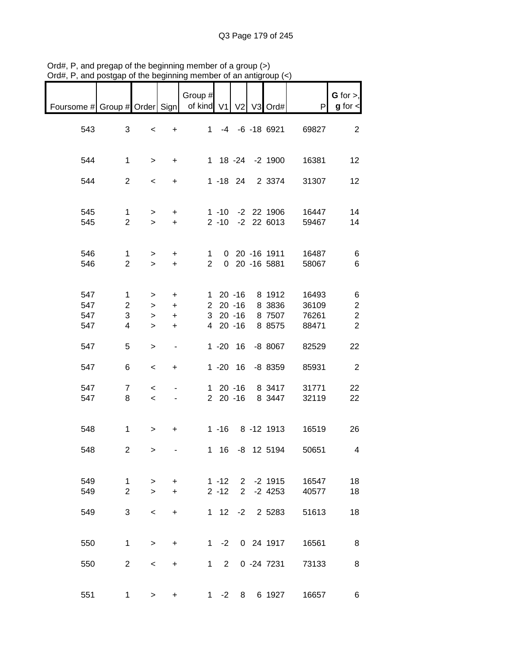| sia", i , and poolgap l                    |                                                       |                                                      |                          | שוווטוויק וווויווואָטט טווו וכ |                          |                | $\sim$ or an anagroup $(\sim)$                                     |                                  |                                                     |
|--------------------------------------------|-------------------------------------------------------|------------------------------------------------------|--------------------------|--------------------------------|--------------------------|----------------|--------------------------------------------------------------------|----------------------------------|-----------------------------------------------------|
| Foursome # Group # Order Sign   of kind V1 |                                                       |                                                      |                          | Group #                        |                          |                | V2 V3 Ord#                                                         | P                                | $G$ for $>$ ,<br>$g$ for $\lt$                      |
| 543                                        | 3                                                     | $\,<$                                                | $+$                      |                                |                          |                | 1 -4 -6 -18 6921                                                   | 69827                            | $\overline{2}$                                      |
| 544                                        | $\mathbf{1}$                                          | $\geq$                                               | $+$                      |                                |                          |                | 1 18 -24 -2 1900                                                   | 16381                            | 12                                                  |
| 544                                        | $\overline{2}$                                        | $\overline{\phantom{a}}$                             | $+$                      |                                |                          |                | 1 -18 24 2 3374                                                    | 31307                            | 12                                                  |
| 545<br>545                                 | $\mathbf{1}$<br>$\overline{2}$                        | $\geq$<br>$\geq$                                     | $+$<br>$+$               |                                |                          |                | 1 -10 -2 22 1906                                                   | 16447<br>2 -10 -2 22 6013 59467  | 14<br>14                                            |
| 546<br>546                                 | $\mathbf{1}$<br>$\overline{2}$                        | $\geq$<br>$\geq$                                     | $+$<br>$+$               | $\mathbf{1}$<br>$2^{\circ}$    |                          |                | 0 20 -16 1911<br>0 20 -16 5881                                     | 16487<br>58067                   | 6<br>6                                              |
| 547<br>547<br>547<br>547                   | $\mathbf{1}$<br>$\overline{2}$<br>3<br>$\overline{4}$ | $\geq$<br>$\geq$<br>$\geq$<br>$\geq$                 | $+$<br>$+$<br>$+$<br>$+$ |                                | 4 20 -16                 |                | 1 20 -16 8 1912<br>2 20 -16 8 3836<br>3 20 -16 8 7507<br>8 8 5 7 5 | 16493<br>36109<br>76261<br>88471 | 6<br>$\sqrt{2}$<br>$\overline{2}$<br>$\overline{2}$ |
| 547                                        | 5                                                     | $\,$                                                 | $\blacksquare$           |                                |                          |                | 1 -20 16 -8 8067                                                   | 82529                            | 22                                                  |
| 547                                        | 6                                                     | $\,<$                                                | $+$                      |                                |                          |                | 1 -20 16 -8 8359                                                   | 85931                            | $\sqrt{2}$                                          |
| 547<br>547                                 | $\overline{7}$<br>8                                   | $\overline{\phantom{a}}$<br>$\overline{\phantom{a}}$ | $\blacksquare$           |                                | 2 20 -16                 |                | 1 20 -16 8 3417<br>8 3447                                          | 31771<br>32119                   | 22<br>22                                            |
| 548                                        | $\mathbf 1$                                           | $\geq$                                               | $+$                      |                                |                          |                | 1 -16 8 -12 1913                                                   | 16519                            | 26                                                  |
| 548                                        | $\overline{2}$                                        | ⋗                                                    |                          |                                |                          |                | 1 16 -8 12 5194                                                    | 50651                            | 4                                                   |
| 549<br>549                                 | 1<br>$\overline{2}$                                   | $\geq$<br>$\geq$                                     | $+$<br>$\ddot{}$         |                                | $1 - 12$<br>$2 - 12$     | $\overline{2}$ | 2 -2 1915<br>$-2$ 4253                                             | 16547<br>40577                   | 18<br>18                                            |
| 549                                        | 3                                                     | $\overline{\phantom{a}}$                             | +                        |                                | $1 \t12 \t-2$            |                | 2 5283                                                             | 51613                            | 18                                                  |
| 550                                        | 1                                                     | $\geq$                                               | $\ddot{}$                | 1                              | $-2$                     |                | 0 24 1917                                                          | 16561                            | 8                                                   |
| 550                                        | $\overline{2}$                                        | $\overline{\phantom{0}}$                             | +                        |                                | $2^{\circ}$<br>$1 \quad$ |                | $0 - 247231$                                                       | 73133                            | 8                                                   |
| 551                                        | 1                                                     | $\geq$                                               | +                        |                                | $1 - 2 8$                |                | 6 1927                                                             | 16657                            | 6                                                   |

Ord#, P, and pregap of the beginning member of a group (>) Ord#, P, and postgap of the beginning member of an antigroup (<)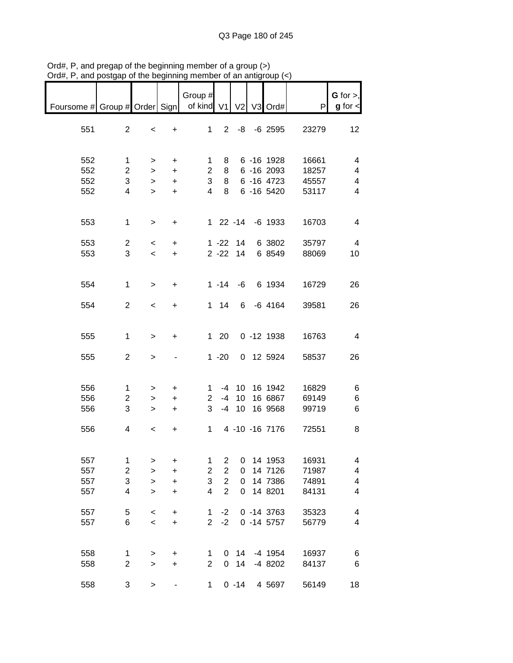| Foursome # Group # Order Sign   of kind V1 |                                 |                                                      |                                     | Group $#$                     |                                                                      |                  | V2 V3 Ord#                                     | P                                | $G$ for $>$ ,<br>$g$ for $\lt$ |
|--------------------------------------------|---------------------------------|------------------------------------------------------|-------------------------------------|-------------------------------|----------------------------------------------------------------------|------------------|------------------------------------------------|----------------------------------|--------------------------------|
| 551                                        | 2                               | $\,<$                                                | $+$                                 |                               |                                                                      |                  | 1 2 -8 -6 2595                                 | 23279                            | 12                             |
| 552<br>552<br>552                          | 1<br>$\overline{2}$<br>3        | $\geq$<br>$\, > \,$<br>$\,$                          | $\ddot{}$<br>$\ddot{}$<br>$\ddot{}$ | $1 \quad$<br>3 <sup>7</sup>   |                                                                      |                  | 8 6 -16 1928<br>2 8 6 -16 2093<br>8 6 -16 4723 | 16661<br>18257<br>45557          | 4<br>4<br>4                    |
| 552                                        | $\overline{4}$                  | $\geq$                                               | $+$                                 | $\overline{4}$                | 8                                                                    |                  | 6 -16 5420                                     | 53117                            | $\overline{\mathbf{4}}$        |
| 553                                        | $\mathbf 1$                     | $\geq$                                               | $+$                                 |                               |                                                                      |                  | 1 22 -14 -6 1933                               | 16703                            | $\overline{\mathbf{4}}$        |
| 553<br>553                                 | $\overline{a}$<br>3             | $\overline{\phantom{0}}$<br>$\overline{\phantom{0}}$ | $+$<br>$+$                          |                               |                                                                      | $2 - 22$ 14      | 1 -22 14 6 3802<br>6 8549                      | 35797<br>88069                   | $\overline{\mathbf{4}}$<br>10  |
| 554                                        | $\mathbf{1}$                    | $\,>$                                                | $+$                                 |                               |                                                                      |                  | 1 -14 -6 6 1934                                | 16729                            | 26                             |
| 554                                        | $\overline{2}$                  | $\overline{\phantom{a}}$                             | $+$                                 |                               |                                                                      |                  | 1 14 6 -6 4164                                 | 39581                            | 26                             |
| 555                                        | 1                               | $\,$                                                 | $\ddot{}$                           |                               | $1 \quad 20$                                                         |                  | $0 - 12 1938$                                  | 16763                            | $\overline{4}$                 |
| 555                                        | $\overline{2}$                  | $\,$                                                 |                                     |                               | $1 - 20$                                                             |                  | 0 12 5924                                      | 58537                            | 26                             |
| 556                                        | $\mathbf{1}$                    | $\geq$                                               | $+$                                 |                               |                                                                      |                  | 1 -4 10 16 1942                                | 16829                            | 6                              |
| 556                                        | $\overline{c}$                  | $\geq$                                               | $+$                                 |                               |                                                                      |                  | 2 -4 10 16 6867                                | 69149                            | 6                              |
| 556                                        | 3                               | $\geq$                                               | $+$                                 | $\mathbf{3}$                  |                                                                      |                  | -4 10 16 9568                                  | 99719                            | $\,6$                          |
| 556                                        | 4                               | $\overline{\phantom{a}}$                             | $+$                                 |                               |                                                                      |                  |                                                | 1 4 -10 -16 7176 72551           | 8                              |
| 557<br>557<br>557<br>557                   | 1<br>$\boldsymbol{2}$<br>3<br>4 | ><br>$\,$<br>$\,$<br>$\geq$                          | +<br>+<br>$\ddot{}$<br>+            | 1<br>$\overline{c}$<br>3<br>4 | $\overline{c}$<br>$\overline{2}$<br>$\overline{2}$<br>$\overline{2}$ | 0<br>0<br>0<br>0 | 14 1953<br>14 7126<br>14 7386<br>14 8201       | 16931<br>71987<br>74891<br>84131 | 4<br>4<br>4<br>4               |
| 557<br>557                                 | 5<br>6                          | $\,<$<br>$\prec$                                     | $\ddot{}$<br>$\ddot{}$              | 1<br>$\overline{2}$           | $-2$<br>$-2$                                                         |                  | $0 - 14 3763$<br>$0 - 14 5757$                 | 35323<br>56779                   | 4<br>$\overline{\mathbf{4}}$   |
| 558<br>558                                 | 1<br>$\overline{c}$             | $\,$<br>$\,$                                         | +<br>$\ddot{}$                      | 1<br>$\mathbf{2}$             | $\mathbf 0$                                                          | $0\quad14$<br>14 | -4 1954<br>-4 8202                             | 16937<br>84137                   | 6<br>6                         |
| 558                                        | 3                               | $\, > \,$                                            |                                     | $\mathbf{1}$                  |                                                                      | $0 - 14$         | 4 5 69 7                                       | 56149                            | 18                             |

Ord#, P, and pregap of the beginning member of a group (>) Ord#, P, and postgap of the beginning member of an antigroup (<)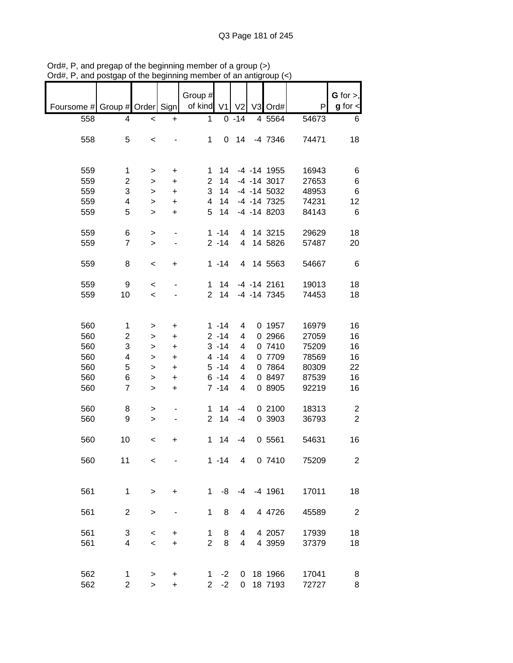|                          |                |              |           |                    |                |                |                   |       | G for $>$ ,    |
|--------------------------|----------------|--------------|-----------|--------------------|----------------|----------------|-------------------|-------|----------------|
|                          |                |              |           | Group #<br>of kind |                |                |                   |       |                |
| Foursome # Group # Order |                |              | Sign      |                    | V <sub>1</sub> | V <sub>2</sub> | V3 Ord#           | P     | $g$ for $\lt$  |
| 558                      | 4              | $\,<$        | +         | 1                  |                | $0 - 14$       | 4 5564            | 54673 | 6              |
|                          |                |              |           |                    |                |                |                   |       |                |
| 558                      | 5              | $\,<$        |           | 1                  |                | $0$ 14         | -4 7346           | 74471 | 18             |
|                          |                |              |           |                    |                |                |                   |       |                |
|                          |                |              |           |                    |                |                |                   |       |                |
| 559                      | 1              | >            | +         | 1                  | 14             |                | -4 -14 1955       | 16943 | 6              |
| 559                      | $\overline{2}$ | >            | $\ddot{}$ | $\overline{2}$     | 14             |                | $-4$ $-14$ 3017   | 27653 | $\,6$          |
| 559                      | 3              | $\, > \,$    | $\ddot{}$ | 3                  | 14             |                | -4 -14 5032       | 48953 | $\,6$          |
| 559                      | 4              | $\, > \,$    | $\ddot{}$ | 4                  | 14             |                | $-4$ $-14$ $7325$ | 74231 | 12             |
| 559                      | 5              | $\, > \,$    | $\ddot{}$ | 5                  | 14             |                | $-4$ $-14$ 8203   | 84143 | $\,6$          |
|                          |                |              |           |                    |                |                |                   |       |                |
| 559                      | 6              | >            |           |                    | $1 - 14$       | 4              | 14 3215           | 29629 | 18             |
| 559                      | $\overline{7}$ | $\geq$       |           |                    | $2 - 14$       | $\overline{4}$ | 14 5826           | 57487 | 20             |
|                          |                |              |           |                    |                |                |                   |       |                |
| 559                      | 8              | $\,<$        | +         |                    | $1 - 14$       |                | 4 14 5563         | 54667 | 6              |
|                          |                |              |           |                    |                |                |                   |       |                |
| 559                      | 9              | $\,<$        |           | $\mathbf 1$        | 14             |                | $-4$ $-14$ 2161   | 19013 | 18             |
| 559                      | 10             | $\prec$      |           | $\overline{2}$     | 14             |                | $-4$ $-14$ $7345$ | 74453 | 18             |
|                          |                |              |           |                    |                |                |                   |       |                |
|                          |                |              |           |                    |                |                |                   |       |                |
|                          |                |              |           |                    |                |                |                   |       |                |
| 560                      | 1              | >            | +         |                    | $1 - 14$       | 4              | 0 1957            | 16979 | 16             |
| 560                      | 2              | >            | +         |                    | $2 - 14$       | 4              | 0 2966            | 27059 | 16             |
| 560                      | 3              | >            | +         |                    | $3 - 14$       | 4              | 0 7410            | 75209 | 16             |
| 560                      | 4              | >            | $\ddot{}$ |                    | $4 - 14$       | 4              | 0 7709            | 78569 | 16             |
| 560                      | 5              | >            | +         |                    | $5 - 14$       | 4              | 0 7864            | 80309 | 22             |
| 560                      | 6              | $\, > \,$    | +         |                    | $6 - 14$       | 4              | 0 8497            | 87539 | 16             |
| 560                      | $\overline{7}$ | $\geq$       | $\ddot{}$ |                    | $7 - 14$       | 4              | 0 8905            | 92219 | 16             |
|                          |                |              |           |                    |                |                |                   |       |                |
| 560                      | 8              | >            |           | 1                  | 14             | $-4$           | 0 2100            | 18313 | 2              |
| 560                      | 9              | $\, > \,$    |           | $\overline{2}$     | 14             | $-4$           | 0 3903            | 36793 | $\overline{2}$ |
|                          |                |              |           |                    |                |                |                   |       |                |
| 560                      | 10             | $\,<$        | +         | $\mathbf 1$        | 14             | $-4$           | 0 5561            | 54631 | 16             |
|                          |                |              |           |                    |                |                |                   |       |                |
| 560                      | 11             | $\,<$        |           |                    | $1 - 14$       | 4              | 0 7410            | 75209 | $\overline{2}$ |
|                          |                |              |           |                    |                |                |                   |       |                |
|                          |                |              |           |                    |                |                |                   |       |                |
| 561                      | 1              | $\, > \,$    | +         | 1                  | -8             | -4             | $-4$ 1961         | 17011 | 18             |
|                          |                |              |           |                    |                |                |                   |       |                |
| 561                      | $\overline{c}$ | $\mathbf{I}$ |           | 1                  | 8              | 4              | 4 4726            | 45589 | $\overline{2}$ |
|                          |                |              |           |                    |                |                |                   |       |                |
| 561                      | 3              |              |           | 1                  | 8              | 4              | 4 2057            | 17939 | 18             |
|                          |                | $\,<$        | +         |                    |                |                |                   |       |                |
| 561                      | 4              | $\prec$      | $\ddot{}$ | $\overline{2}$     | 8              | 4              | 4 3959            | 37379 | 18             |
|                          |                |              |           |                    |                |                |                   |       |                |
|                          |                |              |           |                    |                |                |                   |       |                |
| 562                      | 1              | $\,>$        | +         | 1                  | $-2$           | 0              | 18 1966           | 17041 | 8              |
| 562                      | $\overline{c}$ | $\, > \,$    | $\ddot{}$ | $\overline{2}$     | $-2$           | 0              | 18 7193           | 72727 | 8              |

Ord#, P, and pregap of the beginning member of a group (>) Ord#, P, and postgap of the beginning member of an antigroup (<)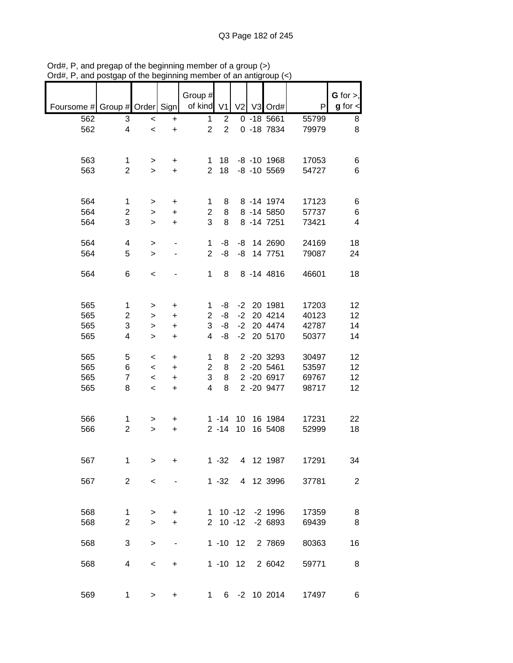| Foursome # Group # Order Sign |                |           |           | Group #<br>of kind V1 |                | V <sub>2</sub> | V3 Ord#         | P     | G for $>$ ,<br>$g$ for $\lt$ |
|-------------------------------|----------------|-----------|-----------|-----------------------|----------------|----------------|-----------------|-------|------------------------------|
|                               |                |           |           |                       |                |                |                 |       |                              |
| 562                           | 3              | $\prec$   | $\ddot{}$ | $\mathbf{1}$          | $\overline{2}$ |                | $0 - 185661$    | 55799 | 8                            |
| 562                           | 4              | $\prec$   | $\ddot{}$ | $\overline{c}$        | $\overline{2}$ |                | 0 -18 7834      | 79979 | 8                            |
|                               |                |           |           |                       |                |                |                 |       |                              |
| 563                           | 1              | >         | +         | 1.                    | 18             |                | $-8$ $-10$ 1968 | 17053 | 6                            |
| 563                           | $\overline{2}$ | $\geq$    | $\ddot{}$ | $\overline{2}$        | 18             |                | $-8$ $-10$ 5569 | 54727 | 6                            |
| 564                           | 1              | >         | +         | 1                     | 8              |                | 8 -14 1974      | 17123 | 6                            |
| 564                           | 2              | >         | $\ddot{}$ | $\overline{2}$        | 8              |                | 8 - 14 5850     | 57737 | 6                            |
| 564                           | 3              | $\geq$    | $\ddot{}$ | 3                     | 8              |                | 8 - 14 7251     | 73421 | 4                            |
|                               |                |           |           |                       |                |                |                 |       |                              |
| 564                           | 4              | $\, > \,$ |           | 1                     | -8             |                | -8 14 2690      | 24169 | 18                           |
| 564                           | 5              | $\, > \,$ |           | $\overline{2}$        | -8             |                | -8 14 7751      | 79087 | 24                           |
| 564                           | 6              | $\,<\,$   |           | $\mathbf{1}$          | 8              |                | 8 - 14 4816     | 46601 | 18                           |
|                               |                |           |           |                       |                |                |                 |       |                              |
| 565                           | 1              | >         | $\ddot{}$ | 1                     | -8             |                | -2 20 1981      | 17203 | 12                           |
| 565                           | $\overline{c}$ |           |           | $\overline{c}$        | -8             | $-2$           | 20 4214         | 40123 | 12                           |
|                               |                | >         | +         |                       |                |                |                 |       |                              |
| 565                           | 3              | >         | $\ddot{}$ | 3                     | -8             | $-2$           | 20 4474         | 42787 | 14                           |
| 565                           | 4              | $\, > \,$ | $\ddot{}$ | 4                     | -8             | $-2$           | 20 5170         | 50377 | 14                           |
| 565                           | 5              | $\,<\,$   | +         | 1                     | 8              |                | 2 -20 3293      | 30497 | 12                           |
| 565                           | 6              | $\,<$     | $\ddot{}$ | $\overline{2}$        | 8              |                | 2 -20 5461      | 53597 | 12                           |
| 565                           | $\overline{7}$ | $\,<$     | $\ddot{}$ | 3                     | 8              |                | 2 -20 6917      | 69767 | 12                           |
|                               |                |           |           |                       |                |                |                 |       |                              |
| 565                           | 8              | $\,<$     | $\ddot{}$ | 4                     | 8              |                | 2 -20 9477      | 98717 | 12                           |
| 566                           | 1              |           |           |                       | $1 - 14$       | 10             | 16 1984         | 17231 | 22                           |
|                               |                | >         | +         |                       |                |                |                 |       |                              |
| 566                           | $\overline{c}$ | >         | $\ddot{}$ |                       | $2 - 14$       | 10             | 16 5408         | 52999 | 18                           |
| 567                           | 1              | $\geq$    | $\ddot{}$ |                       | $1 - 32$       |                | 4 12 1987       | 17291 | 34                           |
| 567                           | $\overline{2}$ | $\,<$     |           |                       | $1 - 32$       |                | 4 12 3996       | 37781 | $\overline{2}$               |
|                               |                |           |           |                       |                |                |                 |       |                              |
| 568                           | 1              | >         | +         |                       | $1 10 - 12$    |                | $-2$ 1996       | 17359 | 8                            |
| 568                           | $\overline{c}$ | $\geq$    | +         | $\overline{2}$        |                | $10 - 12$      | $-26893$        | 69439 | 8                            |
|                               |                |           |           |                       |                |                |                 |       |                              |
| 568                           | 3              | $\,$      |           |                       | $1 - 10$ 12    |                | 2 7869          | 80363 | 16                           |
|                               |                |           |           |                       |                |                |                 |       |                              |
| 568                           | 4              | $\,<$     | +         |                       | $1 - 10$ 12    |                | 2 6042          | 59771 | 8                            |
| 569                           | 1              | >         | +         |                       | $1 \quad$      |                | 6 -2 10 2014    | 17497 | 6                            |

Ord#, P, and pregap of the beginning member of a group (>) Ord#, P, and postgap of the beginning member of an antigroup (<)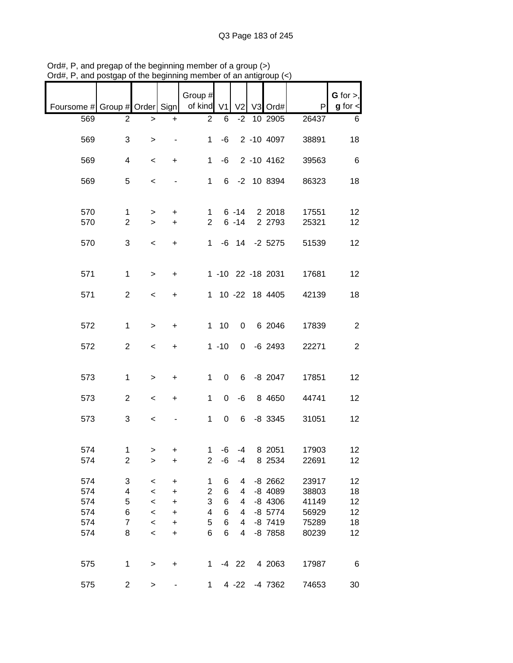| Foursome # Group # Order Sign   of kind V1 |                               |                          |                | Group #                    |                |                | V <sub>2</sub> V <sub>3</sub> Ord# | P     | G for $>$ ,<br>$g$ for $\leq$ |
|--------------------------------------------|-------------------------------|--------------------------|----------------|----------------------------|----------------|----------------|------------------------------------|-------|-------------------------------|
|                                            |                               |                          |                |                            |                |                |                                    |       |                               |
| 569                                        | 2                             | >                        | +              | $\overline{2}$             | 6              |                | $-2$ 10 2905                       | 26437 | 6                             |
| 569                                        | 3                             | $\, > \,$                |                | $\mathbf{1}$               | $-6$           |                | 2 -10 4097                         | 38891 | 18                            |
| 569                                        | 4                             | $\,<$                    | $+$            | 1                          | -6             |                | 2 -10 4162                         | 39563 | 6                             |
| 569                                        | 5                             | $\,<$                    |                | 1                          |                |                | 6 -2 10 8394                       | 86323 | 18                            |
| 570                                        |                               |                          |                |                            |                | $6 - 14$       | 2 2018                             | 17551 | 12                            |
| 570                                        | $\mathbf 1$<br>$\overline{2}$ | $\geq$<br>$\geq$         | +<br>$\ddot{}$ | $\mathbf 1$<br>$2^{\circ}$ |                | $6 - 14$       | 2 2793                             | 25321 | 12                            |
|                                            |                               |                          |                |                            |                |                |                                    |       |                               |
| 570                                        | 3                             | $\,<$                    | $\ddot{}$      |                            |                |                | 1 -6 14 -2 5275                    | 51539 | 12                            |
|                                            |                               |                          |                |                            |                |                |                                    |       |                               |
| 571                                        | $\mathbf{1}$                  | $\, > \,$                | $\ddot{}$      |                            |                |                | 1 -10 22 -18 2031                  | 17681 | 12                            |
|                                            | $\overline{2}$                |                          |                |                            |                |                |                                    | 42139 |                               |
| 571                                        |                               | $\overline{\phantom{a}}$ | $\ddot{}$      |                            |                |                | 1 10 -22 18 4405                   |       | 18                            |
|                                            |                               |                          |                |                            |                |                |                                    |       |                               |
| 572                                        | $\mathbf{1}$                  | $\, > \,$                | $\ddot{}$      |                            | $1 10$         | $\overline{0}$ | 6 2046                             | 17839 | $\overline{2}$                |
|                                            |                               |                          |                |                            |                |                |                                    |       |                               |
| 572                                        | $\overline{2}$                | $\,<$                    | $\ddot{}$      |                            | $1 - 10$       | $\mathbf{0}$   | $-6$ 2493                          | 22271 | $\overline{2}$                |
|                                            |                               |                          |                |                            |                |                |                                    |       |                               |
|                                            |                               |                          |                |                            |                |                |                                    |       |                               |
| 573                                        | $\mathbf{1}$                  | $\,$                     | $\ddot{}$      | $\mathbf{1}$               | $\mathbf 0$    | $6 -$          | $-8$ 2047                          | 17851 | 12                            |
|                                            |                               |                          |                |                            |                |                |                                    |       |                               |
| 573                                        | $\overline{2}$                | $\,<\,$                  | $\ddot{}$      | $\mathbf{1}$               | $\mathbf 0$    | -6             | 8 4 6 5 0                          | 44741 | 12                            |
|                                            |                               |                          |                |                            |                |                |                                    |       |                               |
| 573                                        | 3                             | $\,<$                    |                | $\mathbf{1}$               | $\overline{0}$ |                | 6 -8 3345                          | 31051 | 12                            |
|                                            |                               |                          |                |                            |                |                |                                    |       |                               |
|                                            |                               |                          |                |                            |                |                |                                    |       |                               |
| 574                                        | $\mathbf{1}$                  | $\,$                     | +              | $\mathbf 1$                | -6             |                | -4 8 2051                          | 17903 | 12                            |
| 574                                        | 2                             | >                        | +              | $\overline{c}$             | -6             | -4             | 8 2534                             | 22691 | 12                            |
| 574                                        | 3                             | $\,<$                    | +              | 1                          | 6              | 4              | $-8$ 2662                          | 23917 | 12                            |
| 574                                        | 4                             | $\prec$                  | +              | $\overline{\mathbf{c}}$    | 6              | 4              | -8 4089                            | 38803 | 18                            |
| 574                                        | 5                             |                          |                | 3                          | 6              | 4              | $-8$ 4306                          | 41149 | 12                            |
| 574                                        | 6                             | $\prec$                  | +              | 4                          | 6              | 4              | $-8$ 5774                          | 56929 | 12                            |
| 574                                        | $\overline{7}$                | $\prec$                  | +              | 5                          | 6              | 4              | $-8$ 7419                          |       |                               |
|                                            |                               | $\prec$                  | +              |                            |                |                |                                    | 75289 | 18                            |
| 574                                        | 8                             | $\prec$                  | +              | 6                          | 6              | 4              | $-8$ 7858                          | 80239 | 12                            |
|                                            |                               |                          |                |                            |                |                |                                    |       |                               |
| 575                                        | 1                             | $\, > \,$                | $\ddot{}$      | 1                          |                | $-4$ 22        | 4 2063                             | 17987 | 6                             |
|                                            |                               |                          |                |                            |                |                |                                    |       |                               |
| 575                                        | $\overline{2}$                | >                        |                | 1                          |                | 4 -22          | -4 7362                            | 74653 | 30                            |

Ord#, P, and pregap of the beginning member of a group (>) Ord#, P, and postgap of the beginning member of an antigroup (<)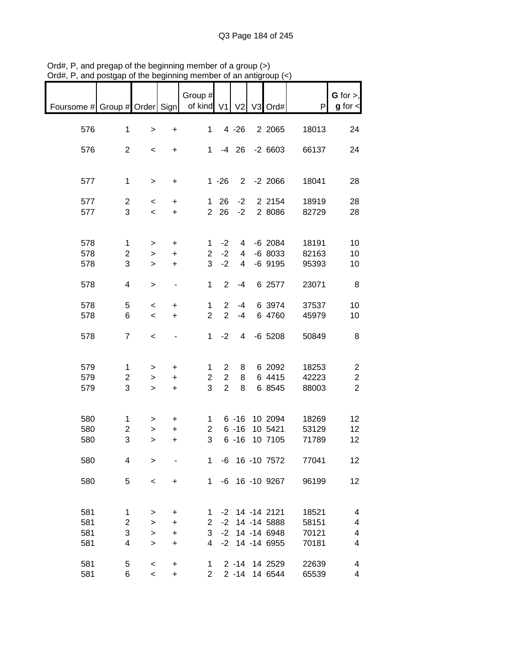|                                            |                         |                          |                              | Group #        |                       |                |                    |       | G for $>$ ,             |
|--------------------------------------------|-------------------------|--------------------------|------------------------------|----------------|-----------------------|----------------|--------------------|-------|-------------------------|
| Foursome # Group # Order Sign   of kind V1 |                         |                          |                              |                |                       |                | V2 V3 Ord#         | P     | $g$ for $\lt$           |
|                                            |                         |                          |                              |                |                       |                |                    |       |                         |
| 576                                        | $\mathbf{1}$            | $\,>$                    | $\ddot{}$                    | $\mathbf{1}$   |                       | $4 - 26$       | 2 2 0 6 5          | 18013 | 24                      |
|                                            |                         |                          |                              |                |                       |                |                    |       |                         |
| 576                                        | $\overline{2}$          | $\,<\,$                  | $+$                          |                | $1 - 4 26$            |                | $-26603$           | 66137 | 24                      |
|                                            |                         |                          |                              |                |                       |                |                    |       |                         |
|                                            |                         |                          |                              |                |                       |                |                    |       |                         |
| 577                                        | $\mathbf{1}$            | $\,>$                    | $\ddot{}$                    |                | $1 - 26$              |                | $2 - 2 2066$       | 18041 | 28                      |
|                                            |                         |                          |                              |                |                       |                |                    |       |                         |
| 577                                        | $\overline{c}$          | $\,<\,$                  | $\ddot{}$                    |                | $1 \quad 26$          | $-2$           | 2 2 1 5 4          | 18919 | 28                      |
| 577                                        | 3                       | $\overline{\phantom{0}}$ | $\ddot{}$                    | 2 <sup>1</sup> | 26                    | $-2$           | 2 8086             | 82729 | 28                      |
|                                            |                         |                          |                              |                |                       |                |                    |       |                         |
|                                            |                         |                          |                              |                |                       |                |                    |       |                         |
| 578                                        | 1                       | >                        | $\ddot{}$                    | 1              | $-2$                  | $\overline{4}$ | $-6$ 2084          | 18191 | 10                      |
| 578                                        | $\overline{c}$          | $\,$                     | $\ddot{}$                    | $\overline{2}$ | $-2$                  | 4              | $-68033$           | 82163 | 10                      |
| 578                                        | 3                       | $\mathbf{I}$             | $\ddot{}$                    | 3              | $-2$                  | $\overline{4}$ | $-6$ 9195          | 95393 | 10                      |
|                                            |                         |                          |                              |                |                       |                |                    |       |                         |
| 578                                        | 4                       | $\geq$                   | $\overline{\phantom{a}}$     | $\mathbf{1}$   | $\overline{2}$        | $-4$           | 6 2577             | 23071 | 8                       |
|                                            |                         |                          |                              |                |                       |                |                    |       |                         |
| 578                                        | 5                       | $\,<$                    | $\ddot{}$                    | 1              | $\mathbf{2}^{\prime}$ | $-4$           | 6 3974             | 37537 | 10                      |
| 578                                        | 6                       | $\prec$                  | $\ddot{}$                    | $\overline{2}$ | $\overline{2}$        | $-4$           | 6 4760             | 45979 | 10                      |
|                                            |                         |                          |                              |                |                       |                |                    |       |                         |
| 578                                        | $\overline{7}$          | $\,<$                    | $\qquad \qquad \blacksquare$ | 1              | $-2$                  | $\overline{4}$ | $-6$ 5208          | 50849 | 8                       |
|                                            |                         |                          |                              |                |                       |                |                    |       |                         |
|                                            |                         |                          |                              |                |                       |                |                    |       |                         |
| 579                                        | 1                       |                          |                              | 1              | $\mathbf{2}$          | 8              | 6 2092             | 18253 | $\overline{c}$          |
| 579                                        | $\overline{\mathbf{c}}$ | $\, > \,$                | +                            | $\overline{c}$ | $\overline{2}$        | 8              | 6 4415             | 42223 | $\overline{\mathbf{c}}$ |
| 579                                        | 3                       | >                        | $\ddot{}$                    | 3              | $\overline{2}$        | 8              | 6 8545             | 88003 | $\overline{2}$          |
|                                            |                         | $\geq$                   | $\ddot{}$                    |                |                       |                |                    |       |                         |
|                                            |                         |                          |                              |                |                       |                |                    |       |                         |
|                                            |                         |                          |                              |                |                       |                |                    |       |                         |
| 580                                        | 1                       | >                        | $\ddot{}$                    | 1              |                       |                | 6 -16 10 2094      | 18269 | 12                      |
| 580                                        | $\overline{c}$          | >                        | $\ddot{}$                    | $\overline{2}$ |                       | $6 - 16$       | 10 5421            | 53129 | 12                      |
| 580                                        | 3                       | $\geq$                   | $\ddot{}$                    | 3              |                       | $6 - 16$       | 10 7105            | 71789 | 12                      |
|                                            |                         |                          |                              |                |                       |                |                    |       |                         |
| 580                                        | 4                       | $\geq$                   |                              | 1              | -6                    |                | 16 -10 7572        | 77041 | 12                      |
|                                            |                         |                          |                              |                |                       |                |                    |       |                         |
| 580                                        | 5                       | $\,<$                    | +                            | 1              |                       |                | -6 16 -10 9267     | 96199 | 12                      |
|                                            |                         |                          |                              |                |                       |                |                    |       |                         |
|                                            |                         |                          |                              |                |                       |                |                    |       |                         |
| 581                                        | 1                       | $\, > \,$                | +                            | 1              |                       |                | $-2$ 14 $-14$ 2121 | 18521 | 4                       |
| 581                                        | $\overline{c}$          | $\mathbf{I}$             | +                            | $\overline{2}$ | $-2$                  |                | 14 -14 5888        | 58151 | 4                       |
| 581                                        | 3                       | $\geq$                   | +                            | 3              | $-2$                  |                | 14 - 14 6948       | 70121 | 4                       |
| 581                                        | 4                       | $\geq$                   | $\ddot{}$                    | 4              |                       |                | $-2$ 14 $-14$ 6955 | 70181 | 4                       |
|                                            |                         |                          |                              |                |                       |                |                    |       |                         |
| 581                                        | 5                       | $\,<$                    | +                            | 1              |                       |                | 2 -14 14 2529      | 22639 | 4                       |
| 581                                        | 6                       | $\prec$                  | $\ddot{}$                    | $\overline{2}$ |                       |                | 2 -14 14 6544      | 65539 | 4                       |

Ord#, P, and pregap of the beginning member of a group (>) Ord#, P, and postgap of the beginning member of an antigroup (<)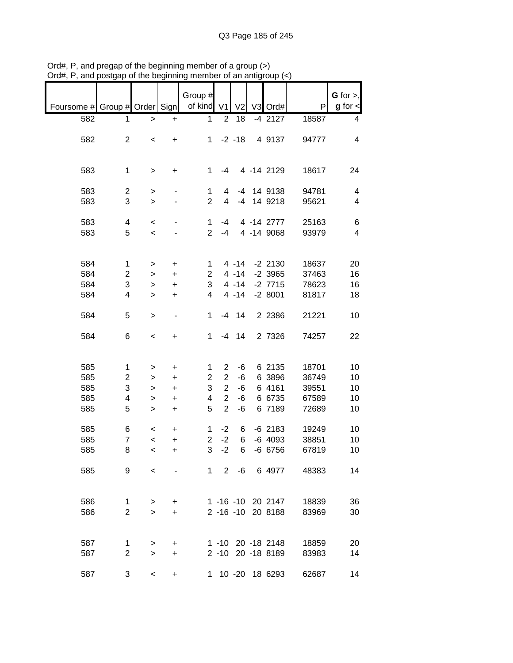|                               |                |                          |           | Group #        |                |                |                   |       | $G$ for $>$ ,           |
|-------------------------------|----------------|--------------------------|-----------|----------------|----------------|----------------|-------------------|-------|-------------------------|
| Foursome # Group # Order Sign |                |                          |           | of kind V1     |                | V <sub>2</sub> | V3 Ord#           | P     | $g$ for $\lt$           |
| 582                           | 1              | $\geq$                   | $\ddot{}$ | 1              | $\overline{2}$ | 18             | $-4$ 2127         | 18587 | 4                       |
|                               |                |                          |           |                |                |                |                   |       |                         |
| 582                           | $\overline{c}$ | $\,<$                    | +         | $1 \quad$      |                | $-2 - 18$      | 4 9137            | 94777 | 4                       |
|                               |                |                          |           |                |                |                |                   |       |                         |
|                               |                |                          |           |                |                |                |                   |       |                         |
| 583                           | $\mathbf 1$    | $\,$                     | +         | 1              | $-4$           |                | 4 -14 2129        | 18617 | 24                      |
|                               |                |                          |           |                |                |                |                   |       |                         |
| 583                           | $\overline{c}$ | $\,$                     |           | 1              | 4              |                | -4 14 9138        | 94781 | 4                       |
| 583                           | 3              | $\geq$                   |           | $\overline{2}$ | $\overline{4}$ |                | -4 14 9218        | 95621 | 4                       |
|                               |                |                          |           |                |                |                |                   |       |                         |
| 583                           | 4              | $\,<\,$                  |           | 1              | $-4$           |                | 4 -14 2777        | 25163 | 6                       |
| 583                           | 5              | $\prec$                  |           | $\overline{2}$ | $-4$           |                | 4 -14 9068        | 93979 | $\overline{\mathbf{4}}$ |
|                               |                |                          |           |                |                |                |                   |       |                         |
|                               |                |                          |           |                |                |                |                   |       |                         |
| 584                           | 1              |                          |           | 1              |                | $4 - 14$       | $-2$ 2130         | 18637 | 20                      |
| 584                           |                | >                        | +         |                |                | $4 - 14$       |                   |       |                         |
|                               | $\overline{c}$ | $\mathbf{I}$             | $\ddot{}$ | 2              |                |                | $-2$ 3965         | 37463 | 16                      |
| 584                           | 3              | $\, > \,$                | $\ddot{}$ | 3              |                | $4 - 14$       | $-2$ 7715         | 78623 | 16                      |
| 584                           | 4              | $\geq$                   | $\ddot{}$ | 4              |                | $4 - 14$       | $-28001$          | 81817 | 18                      |
|                               |                |                          |           |                |                |                |                   |       |                         |
| 584                           | 5              | $\,$                     | -         | 1              |                | $-4$ 14        | 2 2 3 8 6         | 21221 | 10                      |
|                               |                |                          |           |                |                |                |                   |       |                         |
| 584                           | 6              | $\,<$                    | +         | 1              |                | $-4$ 14        | 2 7326            | 74257 | 22                      |
|                               |                |                          |           |                |                |                |                   |       |                         |
|                               |                |                          |           |                |                |                |                   |       |                         |
| 585                           | 1              | >                        | +         | 1              | $\overline{2}$ | $-6$           | 6 2135            | 18701 | 10                      |
| 585                           | 2              | >                        | $\ddot{}$ | 2              | $\sqrt{2}$     | $-6$           | 6 3896            | 36749 | 10                      |
| 585                           | 3              | $\,$                     | $\ddot{}$ | 3              | $\overline{2}$ | $-6$           | 6 4161            | 39551 | 10                      |
| 585                           | 4              | >                        | $\ddot{}$ | 4              | $\overline{2}$ | $-6$           | 6 6735            | 67589 | 10                      |
| 585                           | 5              | $\, > \,$                | $\ddot{}$ | 5              | $\overline{2}$ | -6             | 6 7189            | 72689 | 10                      |
|                               |                |                          |           |                |                |                |                   |       |                         |
| 585                           | 6              | $\,<$                    | $\ddot{}$ | 1              | $-2$           | 6              | $-6$ 2183         | 19249 | 10                      |
| 585                           | $\overline{7}$ | $\prec$                  | $\ddot{}$ | $\overline{2}$ | $-2$           | 6              | $-6$ 4093         | 38851 | 10                      |
| 585                           | 8              | $\prec$                  | +         | 3              | $-2$           | 6              | -6 6756           | 67819 | 10                      |
|                               |                |                          |           |                |                |                |                   |       |                         |
| 585                           | 9              | $\overline{\phantom{0}}$ |           |                |                |                | 1 2 -6 6 4977     | 48383 | 14                      |
|                               |                |                          |           |                |                |                |                   |       |                         |
|                               |                |                          |           |                |                |                |                   |       |                         |
| 586                           | 1              | >                        | +         |                |                |                | 1 -16 -10 20 2147 | 18839 | 36                      |
| 586                           | $\overline{2}$ | $\geq$                   | $\ddot{}$ |                |                |                | 2 -16 -10 20 8188 | 83969 | 30                      |
|                               |                |                          |           |                |                |                |                   |       |                         |
|                               |                |                          |           |                |                |                |                   |       |                         |
|                               |                |                          |           |                |                |                |                   |       |                         |
| 587                           | 1              | >                        | +         |                |                |                | 1 -10 20 -18 2148 | 18859 | 20                      |
| 587                           | $\overline{c}$ | $\geq$                   | $\ddot{}$ |                |                |                | 2 -10 20 -18 8189 | 83983 | 14                      |
|                               |                |                          |           |                |                |                |                   |       |                         |
| 587                           | 3              | $\,<\,$                  | +         | 1.             |                |                | 10 -20 18 6293    | 62687 | 14                      |

Ord#, P, and pregap of the beginning member of a group (>) Ord#, P, and postgap of the beginning member of an antigroup (<)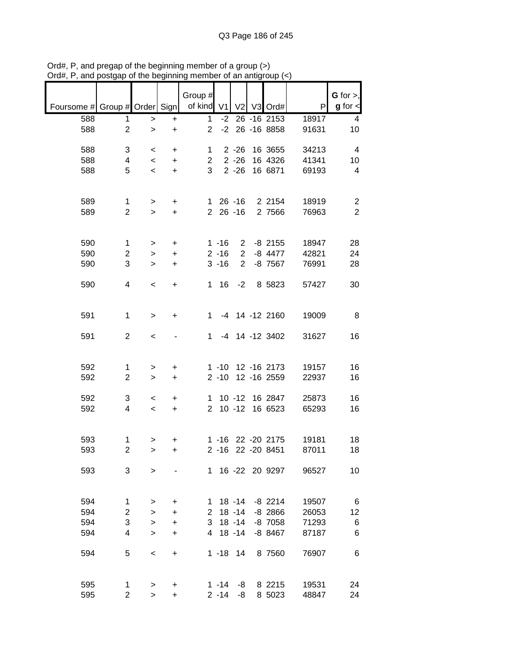|                               |                     |                          |           | Group #        |                   |                |                     |                | G for $>$ ,             |
|-------------------------------|---------------------|--------------------------|-----------|----------------|-------------------|----------------|---------------------|----------------|-------------------------|
| Foursome # Group # Order Sign |                     |                          |           | of kind $V1$   |                   | V <sub>2</sub> | V3 Ord#             | P              | $g$ for $\lt$           |
| 588                           | 1                   | $\, > \,$                | $\ddot{}$ | 1              | $-2$              |                | $26 - 16$ 2153      | 18917          | 4                       |
| 588                           | $\overline{2}$      | $\, > \,$                | +         | $\overline{2}$ | $-2$              |                | 26 - 16 8858        | 91631          | 10                      |
| 588                           | 3                   | $\,<\,$                  | $\ddot{}$ | 1              |                   | $2 - 26$       | 16 3655             | 34213          | $\overline{\mathbf{4}}$ |
| 588                           | 4                   | $\,<\,$                  | $\ddot{}$ | $\overline{2}$ |                   | $2 - 26$       | 16 4326             | 41341          | 10                      |
| 588                           | 5                   | $\overline{\phantom{a}}$ | $\ddot{}$ | 3              |                   | $2 - 26$       | 16 6871             | 69193          | 4                       |
|                               |                     |                          |           |                |                   |                |                     |                |                         |
| 589                           | 1                   | >                        | +         | 1.             |                   | $26 - 16$      | 2 2154              | 18919          | $\overline{2}$          |
| 589                           | $\overline{2}$      | $\geq$                   | $\ddot{}$ | $\overline{2}$ |                   | $26 - 16$      | 2 7566              | 76963          | $\overline{2}$          |
|                               |                     |                          |           |                |                   |                |                     |                |                         |
| 590                           | $\mathbf 1$         | $\, > \,$                | +         |                | $1 - 16$          | $2^{\circ}$    | $-8$ 2155           | 18947          | 28                      |
| 590                           | $\overline{c}$      | $\, > \,$                | $\ddot{}$ |                | $2 - 16$          | $\overline{2}$ | $-8$ 4477           | 42821          | 24                      |
| 590                           | 3                   | $\, > \,$                | $\ddot{}$ |                | $3 - 16$          | $\overline{2}$ | $-8$ 7567           | 76991          | 28                      |
| 590                           | 4                   | $\,<\,$                  | +         | 1              | 16                | $-2$           | 8 5823              | 57427          | 30                      |
|                               |                     |                          |           |                |                   |                |                     |                |                         |
| 591                           | $\mathbf 1$         | $\, > \,$                | +         | 1              |                   |                | -4 14 -12 2160      | 19009          | 8                       |
|                               |                     |                          |           |                |                   |                |                     |                |                         |
| 591                           | $\overline{2}$      | $\,<$                    |           | 1              |                   |                | -4 14 -12 3402      | 31627          | 16                      |
|                               |                     |                          |           |                |                   |                |                     |                |                         |
| 592                           | 1                   | >                        | +         |                | $1 - 10$          |                | 12 - 16 2173        | 19157          | 16                      |
| 592                           | $\overline{c}$      | $\,>$                    | +         |                | $2 - 10$          |                | 12 - 16 2559        | 22937          | 16                      |
| 592                           | 3                   | $\,<\,$                  | +         | 1.             |                   | $10 - 12$      | 16 2847             | 25873          | 16                      |
| 592                           | 4                   | $\,<\,$                  | $\ddot{}$ | $\overline{2}$ |                   | $10 - 12$      | 16 6523             | 65293          | 16                      |
|                               |                     |                          |           |                |                   |                |                     |                |                         |
| 593                           | 1                   | >                        | +         |                | $1 - 16$          |                | 22 - 20 2175        | 19181          | 18                      |
| 593                           | $\overline{2}$      | $\, > \,$                | +         |                | $2 - 16$          |                | 22 - 20 8451        | 87011          | 18                      |
| 593                           | 3                   | >                        |           |                |                   |                | 1 16 -22 20 9297    | 96527          | 10                      |
|                               |                     |                          |           |                |                   |                |                     |                |                         |
| 594                           | $\mathbf{1}$        | >                        | $\ddot{}$ | $\mathbf{1}$   |                   | 18 -14         | $-8$ 2214           | 19507          | 6                       |
| 594                           | $\overline{2}$      | $\geq$                   | +         | $\overline{2}$ |                   | $18 - 14$      | $-8$ 2866           | 26053          | 12                      |
| 594                           | 3                   | $\geq$                   | +         | 3              |                   | $18 - 14$      | -8 7058             | 71293          | 6                       |
| 594                           | 4                   | $\geq$                   | +         | 4              |                   | $18 - 14$      | $-8$ 8467           | 87187          | 6                       |
|                               | 5                   |                          |           |                |                   |                |                     |                |                         |
| 594                           |                     | $\,<$                    | +         |                | $1 - 18$ 14       |                | 8 7560              | 76907          | 6                       |
|                               |                     |                          |           |                |                   |                |                     |                |                         |
| 595<br>595                    | 1<br>$\overline{2}$ | ><br>$\, > \,$           | +<br>+    |                | 1 -14<br>$2 - 14$ | -8<br>-8       | 8 2 2 1 5<br>8 5023 | 19531<br>48847 | 24<br>24                |

Ord#, P, and pregap of the beginning member of a group (>) Ord#, P, and postgap of the beginning member of an antigroup (<)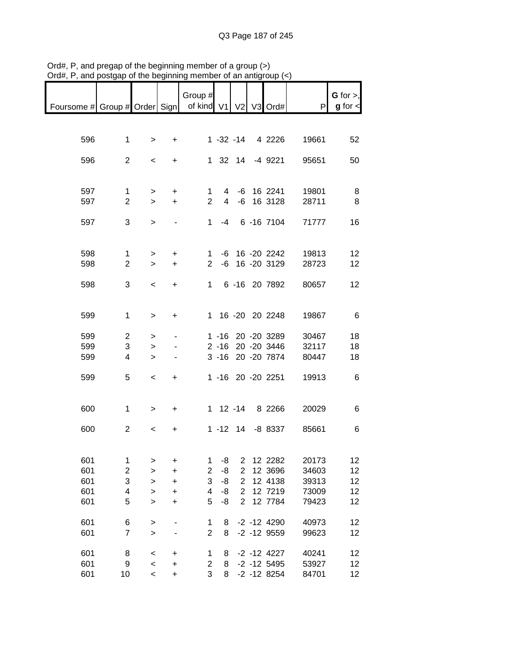|                                                           |                         |                          |                                  | Group $#$      |             |                |                   |       | G for $>$ ,   |
|-----------------------------------------------------------|-------------------------|--------------------------|----------------------------------|----------------|-------------|----------------|-------------------|-------|---------------|
| Foursome # Group # Order Sign   of kind V1   V2   V3 Ord# |                         |                          |                                  |                |             |                |                   | P     | $g$ for $\lt$ |
|                                                           |                         |                          |                                  |                |             |                |                   |       |               |
|                                                           |                         |                          |                                  |                |             |                |                   |       |               |
| 596                                                       | $\mathbf{1}$            | $\geq$                   | $+$                              |                |             |                | 1 -32 -14 4 2226  | 19661 | 52            |
|                                                           |                         |                          |                                  |                |             |                |                   |       |               |
| 596                                                       | $\overline{2}$          | $\prec$                  | $+$                              |                |             |                | 1 32 14 -4 9221   | 95651 | 50            |
|                                                           |                         |                          |                                  |                |             |                |                   |       |               |
|                                                           |                         |                          |                                  |                |             |                |                   |       |               |
| 597                                                       | 1                       | ➤                        | $+$                              |                | $1 \quad$   |                | 4 -6 16 2241      | 19801 | -8            |
| 597                                                       | $\overline{2}$          | $\geq$                   | $+$                              |                | $2^{\circ}$ |                | 4 -6 16 3128      | 28711 | 8             |
| 597                                                       | 3                       | $\geq$                   | $\blacksquare$                   |                |             |                | 1 -4 6 -16 7104   | 71777 | 16            |
|                                                           |                         |                          |                                  |                |             |                |                   |       |               |
|                                                           |                         |                          |                                  |                |             |                |                   |       |               |
| 598                                                       | $\mathbf{1}$            | $\geq$                   | $+$                              |                |             |                | 1 -6 16 -20 2242  | 19813 | 12            |
| 598                                                       | $\overline{2}$          | $\geq$                   | $+$                              |                |             |                | 2 -6 16 -20 3129  | 28723 | 12            |
|                                                           |                         |                          |                                  |                |             |                |                   |       |               |
| 598                                                       | 3                       | $\overline{\phantom{a}}$ | $+$                              |                |             |                | 1 6 -16 20 7892   | 80657 | 12            |
|                                                           |                         |                          |                                  |                |             |                |                   |       |               |
|                                                           |                         |                          |                                  |                |             |                |                   |       |               |
| 599                                                       | $\mathbf{1}$            | $\geq$                   | $+$                              |                |             |                | 1 16 -20 20 2248  | 19867 | - 6           |
|                                                           |                         |                          |                                  |                |             |                |                   |       |               |
| 599                                                       | $\overline{c}$          | >                        | $\blacksquare$                   |                |             |                | 1 -16 20 -20 3289 | 30467 | 18            |
| 599                                                       | 3                       | >                        |                                  |                |             |                | 2 -16 20 -20 3446 | 32117 | 18            |
| 599                                                       | 4                       | $\geq$                   |                                  |                |             |                | 3 -16 20 -20 7874 | 80447 | 18            |
|                                                           |                         |                          |                                  |                |             |                |                   |       |               |
| 599                                                       | 5                       | $\overline{\phantom{a}}$ | $+$                              |                |             |                | 1 -16 20 -20 2251 | 19913 | 6             |
|                                                           |                         |                          |                                  |                |             |                |                   |       |               |
|                                                           |                         |                          |                                  |                |             |                |                   |       |               |
| 600                                                       | $\mathbf{1}$            | $\geq$                   | $+$                              |                |             |                | 1 12 -14 8 2266   | 20029 | 6             |
| 600                                                       | $\overline{2}$          | $\overline{\phantom{a}}$ | $+$                              |                |             |                | 1 -12 14 -8 8337  | 85661 | 6             |
|                                                           |                         |                          |                                  |                |             |                |                   |       |               |
|                                                           |                         |                          |                                  |                |             |                |                   |       |               |
| 601                                                       | $\mathbf 1$             | >                        | $\ddot{}$                        | 1              | -8          | 2              | 12 2282           | 20173 | 12            |
| 601                                                       | $\boldsymbol{2}$        | $\mathbf{I}$             | $\ddot{}$                        | $\overline{2}$ | -8          | $\mathbf 2$    | 12 3696           | 34603 | 12            |
| 601                                                       | 3                       | $\geq$                   | $\ddot{}$                        | 3              | -8          | $\overline{2}$ | 12 4138           | 39313 | 12            |
| 601                                                       | $\overline{\mathbf{4}}$ | $\geq$                   | $\ddot{}$                        | 4              | -8          | $\mathbf 2$    | 12 7219           | 73009 | 12            |
| 601                                                       | 5                       | $\geq$                   | $\ddot{}$                        | 5              | -8          | $\overline{2}$ | 12 7784           | 79423 | 12            |
|                                                           |                         |                          |                                  |                |             |                |                   |       |               |
| 601                                                       | 6                       | >                        |                                  | 1              | 8           |                | $-2 - 12$ 4290    | 40973 | 12            |
| 601                                                       | $\overline{7}$          | $\mathbf{I}$             |                                  | $\overline{2}$ | 8           |                | $-2$ $-12$ $9559$ | 99623 | 12            |
|                                                           |                         |                          |                                  |                |             |                |                   |       |               |
| 601                                                       | 8                       | $\,<$                    | $\ddot{}$                        | 1              | 8           |                | $-2 - 12$ 4227    | 40241 | 12            |
| 601                                                       | 9                       | $\prec$                  | $\begin{array}{c} + \end{array}$ | $\overline{c}$ | 8           |                | $-2$ $-12$ 5495   | 53927 | 12            |
| 601                                                       | 10                      | $\overline{\phantom{a}}$ | $\ddot{}$                        | 3              | 8           |                | $-2$ $-12$ 8254   | 84701 | 12            |

Ord#, P, and pregap of the beginning member of a group (>) Ord#, P, and postgap of the beginning member of an antigroup (<)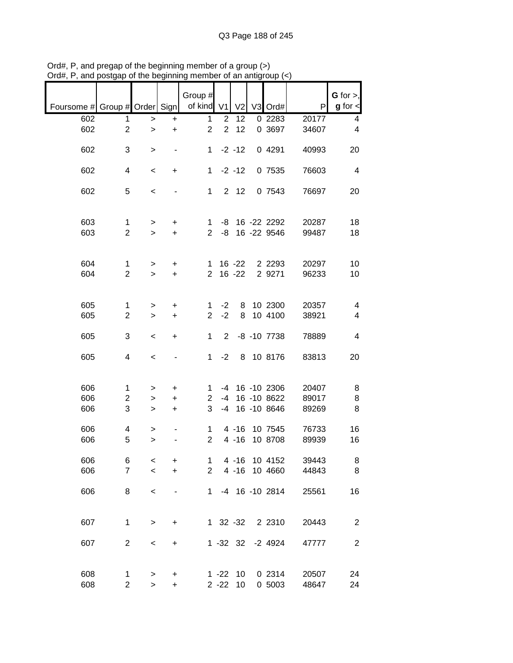| $g$ for $\lt$           | G for $>$ , | P                                                  | V3 Ord#                                                             | V <sub>2</sub>                                  |                        | Group #<br>of kind V1                                   |                                          |                                |                                                                                | Foursome # Group # Order Sign          |
|-------------------------|-------------|----------------------------------------------------|---------------------------------------------------------------------|-------------------------------------------------|------------------------|---------------------------------------------------------|------------------------------------------|--------------------------------|--------------------------------------------------------------------------------|----------------------------------------|
| 4                       |             | 20177                                              | $0\,2283$                                                           | 12                                              | $\overline{2}$         | 1                                                       | $\ddot{}$                                | >                              | 1                                                                              | 602                                    |
| $\overline{\mathbf{4}}$ |             | 34607                                              | 0 3697                                                              | 12                                              | $\overline{2}$         | $\overline{2}$                                          | $\ddot{}$                                | $\geq$                         | $\overline{2}$                                                                 | 602                                    |
| 20                      |             | 40993                                              | 0 4291                                                              | $-2 - 12$                                       |                        | 1                                                       |                                          | $\, > \,$                      | 3                                                                              | 602                                    |
| $\overline{\mathbf{4}}$ |             | 76603                                              | 0 7535                                                              | $-2 - 12$                                       |                        | $\mathbf{1}$                                            | +                                        | $\,<$                          | 4                                                                              | 602                                    |
| 20                      |             | 76697                                              | 0 7543                                                              | $2 \quad 12$                                    |                        | $\mathbf 1$                                             |                                          | $\,<$                          | 5                                                                              | 602                                    |
| 18<br>18                |             | 20287<br>99487                                     | 16 -22 2292<br>16 -22 9546                                          |                                                 | -8<br>-8               | 1<br>$\overline{2}$                                     | +<br>$\ddot{}$                           | ><br>$\geq$                    | 1<br>$\overline{2}$                                                            | 603<br>603                             |
|                         |             |                                                    |                                                                     |                                                 |                        |                                                         |                                          |                                |                                                                                |                                        |
| 10                      |             | 20297                                              | 2 2 2 9 3                                                           | $16 - 22$                                       |                        | $\mathbf{1}$                                            | +                                        | $\, > \,$                      | 1                                                                              | 604                                    |
| 10                      |             |                                                    |                                                                     |                                                 |                        |                                                         |                                          |                                |                                                                                |                                        |
| $\overline{\mathbf{4}}$ |             | 20357                                              | 10 2300                                                             | 8                                               | $-2$                   | 1                                                       | $\ddot{}$                                | >                              | $\mathbf{1}$                                                                   | 605                                    |
| 4                       |             |                                                    |                                                                     |                                                 |                        |                                                         | $\ddot{}$                                | $\, > \,$                      |                                                                                |                                        |
| 4                       |             | 78889                                              | $-8$ $-10$ $7738$                                                   |                                                 | 2                      | 1                                                       | +                                        | $\,<\,$                        | 3                                                                              | 605                                    |
| 20                      |             | 83813                                              | 8 10 8176                                                           |                                                 | $-2$                   | 1                                                       |                                          | $\,<$                          | 4                                                                              | 605                                    |
| 8                       |             |                                                    |                                                                     |                                                 |                        |                                                         |                                          |                                |                                                                                |                                        |
| 8                       |             | 89017                                              | 16 -10 8622                                                         |                                                 | $-4$                   | $\overline{2}$                                          | +                                        | >                              | 2                                                                              | 606                                    |
| 8                       |             | 89269                                              | 16 -10 8646                                                         |                                                 | -4                     | 3                                                       | $\ddot{}$                                | $\, > \,$                      | 3                                                                              | 606                                    |
| 16                      |             | 76733                                              | 10 7545                                                             | $4 - 16$                                        |                        | 1                                                       |                                          | >                              | 4                                                                              | 606                                    |
| 16                      |             |                                                    |                                                                     |                                                 |                        |                                                         |                                          | $\geq$                         |                                                                                |                                        |
| 8                       |             | 39443                                              | 10 4152                                                             | $4 - 16$                                        |                        | 1                                                       | +                                        | $\,<$                          | 6                                                                              | 606                                    |
| 8                       |             | 44843                                              | 10 4660                                                             | $4 - 16$                                        |                        | $\overline{2}$                                          | $\ddot{}$                                | $\prec$                        | $\overline{7}$                                                                 | 606                                    |
| 16                      |             | 25561                                              | -4 16 -10 2814                                                      |                                                 |                        | $1 \quad$                                               |                                          | $\,<$                          | 8                                                                              | 606                                    |
| $\overline{c}$          |             | 20443                                              | 2 2 3 1 0                                                           | 1 32 -32                                        |                        |                                                         | +                                        | $\,$                           | $\mathbf 1$                                                                    | 607                                    |
| $\overline{c}$          |             |                                                    |                                                                     |                                                 |                        |                                                         |                                          |                                |                                                                                |                                        |
|                         |             |                                                    |                                                                     |                                                 |                        |                                                         |                                          |                                |                                                                                |                                        |
| 24<br>24                |             | 20507                                              | 0 2314                                                              | 10                                              | $1 - 22$               |                                                         | +                                        | >                              | 1                                                                              | 608                                    |
|                         |             | 96233<br>38921<br>20407<br>89939<br>47777<br>48647 | 2 9271<br>10 4100<br>16 - 10 2306<br>10 8708<br>$-2$ 4924<br>0 5003 | $16 - 22$<br>8<br>$4 - 16$<br>$1 - 32$ 32<br>10 | $-2$<br>-4<br>$2 - 22$ | $\overline{2}$<br>$\overline{2}$<br>1<br>$\overline{2}$ | $\ddot{}$<br>$\ddot{}$<br>+<br>$\ddot{}$ | $\geq$<br>><br>$\,<$<br>$\geq$ | $\overline{2}$<br>$\overline{2}$<br>1<br>5<br>$\overline{c}$<br>$\overline{c}$ | 604<br>605<br>606<br>606<br>607<br>608 |

Ord#, P, and pregap of the beginning member of a group (>) Ord#, P, and postgap of the beginning member of an antigroup (<)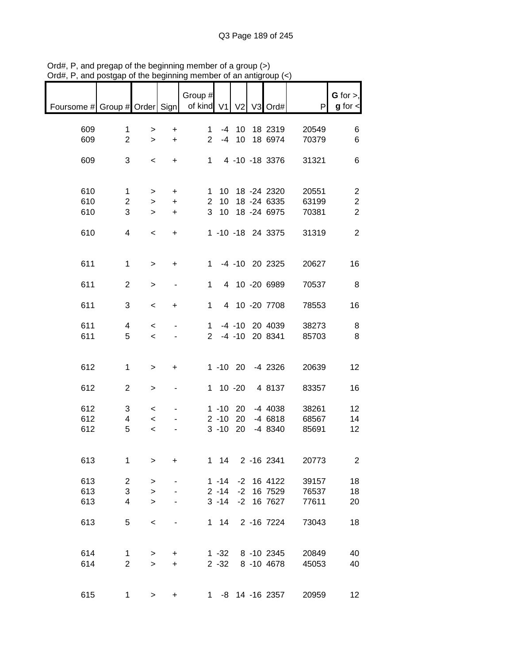| $max$ , $max$ , and posigap or the beginning |                |                          |                | ,,,,,,,,              |              |             | رد) pr an anigroup ( |       |                              |
|----------------------------------------------|----------------|--------------------------|----------------|-----------------------|--------------|-------------|----------------------|-------|------------------------------|
| Foursome # Group # Order Sign                |                |                          |                | Group #<br>of kind V1 |              |             | V2 V3 Ord#           | P     | G for $>$ ,<br>$g$ for $\lt$ |
|                                              |                |                          |                |                       |              |             |                      |       |                              |
| 609                                          | $\mathbf{1}$   | >                        | $\ddot{}$      | $\mathbf{1}$          |              |             | -4 10 18 2319        | 20549 | 6                            |
| 609                                          | $\overline{2}$ | $\geq$                   | $+$            | 2 <sup>7</sup>        |              |             | -4 10 18 6974        | 70379 | 6                            |
|                                              |                |                          |                |                       |              |             |                      |       |                              |
| 609                                          | 3              | $\,<$                    | $+$            |                       |              |             | 1 4 -10 -18 3376     | 31321 | 6                            |
|                                              |                |                          |                |                       |              |             |                      |       |                              |
|                                              |                |                          |                |                       |              |             |                      |       |                              |
| 610                                          | $\mathbf{1}$   | $\geq$                   | $+$            |                       |              |             | 1 10 18 -24 2320     | 20551 | $\overline{\mathbf{c}}$      |
| 610                                          | $\overline{c}$ | $\geq$                   | $+$            |                       |              |             | 2 10 18 -24 6335     | 63199 | $\overline{c}$               |
| 610                                          | 3              | $\geq$                   | $+$            |                       |              |             | 3 10 18 -24 6975     | 70381 | $\overline{2}$               |
|                                              |                |                          |                |                       |              |             |                      |       |                              |
| 610                                          | 4              | $\overline{\phantom{a}}$ | $+$            |                       |              |             | 1 -10 -18 24 3375    | 31319 | $\overline{2}$               |
|                                              |                |                          |                |                       |              |             |                      |       |                              |
|                                              |                |                          |                |                       |              |             |                      |       |                              |
| 611                                          | $\mathbf{1}$   | $\geq$                   | $\ddot{}$      |                       |              |             | 1 -4 -10 20 2325     | 20627 | 16                           |
|                                              |                |                          |                |                       |              |             |                      |       |                              |
| 611                                          | $\overline{2}$ | $\,$                     | $\blacksquare$ | $\mathbf{1}$          |              |             | 4 10 -20 6989        | 70537 | 8                            |
|                                              |                |                          |                |                       |              |             |                      |       |                              |
| 611                                          | 3              | $\,<$                    | $\ddot{}$      | 1 <sup>1</sup>        |              |             | 4 10 -20 7708        | 78553 | 16                           |
|                                              |                |                          |                |                       |              |             |                      |       |                              |
| 611                                          | 4              | $\,<$                    | $\blacksquare$ |                       |              |             | 1 -4 -10 20 4039     | 38273 | 8                            |
| 611                                          | 5              | $\overline{\phantom{a}}$ |                |                       |              |             | 2 -4 -10 20 8341     | 85703 | 8                            |
|                                              |                |                          |                |                       |              |             |                      |       |                              |
|                                              |                |                          |                |                       |              |             |                      |       |                              |
| 612                                          | $\mathbf{1}$   | $\,$                     | $+$            |                       |              |             | 1 -10 20 -4 2326     | 20639 | 12                           |
|                                              |                |                          |                |                       |              |             |                      |       |                              |
| 612                                          | $\overline{c}$ | >                        | ۰              |                       |              |             | 1 10 -20 4 8137      | 83357 | 16                           |
|                                              |                |                          |                |                       |              |             |                      |       |                              |
| 612                                          | 3              | $\overline{\phantom{0}}$ | $\blacksquare$ |                       |              |             | 1 -10 20 -4 4038     | 38261 | 12                           |
| 612                                          | $\overline{4}$ | $\prec$                  |                |                       |              |             | 2 -10 20 -4 6818     | 68567 | 14                           |
| 612                                          | 5              | $\overline{\phantom{0}}$ |                |                       |              | $3 - 10$ 20 | -4 8340              | 85691 | 12                           |
|                                              |                |                          |                |                       |              |             |                      |       |                              |
|                                              |                |                          |                |                       |              |             |                      |       |                              |
| 613                                          | 1              | $\, > \,$                | $\ddot{}$      |                       | $1 \quad 14$ |             | 2 -16 2341           | 20773 | $\overline{2}$               |
|                                              |                |                          |                |                       |              |             |                      |       |                              |
| 613                                          | $\overline{c}$ | >                        |                |                       | $1 - 14$     |             | $-2$ 16 4122         | 39157 | 18                           |
| 613                                          | 3              | $\mathbf{I}$             |                |                       | $2 - 14$     |             | $-2$ 16 7529         | 76537 | 18                           |
| 613                                          | 4              | $\geq$                   |                |                       | $3 - 14$     |             | -2 16 7627           | 77611 | 20                           |
|                                              |                |                          |                |                       |              |             |                      |       |                              |
| 613                                          | 5              | $\,<$                    |                |                       | $1 \quad 14$ |             | 2 -16 7224           | 73043 | 18                           |
|                                              |                |                          |                |                       |              |             |                      |       |                              |
|                                              |                |                          |                |                       |              |             |                      |       |                              |
| 614                                          | 1              | $\,>$                    | +              |                       | $1 - 32$     |             | 8 -10 2345           | 20849 | 40                           |
| 614                                          | $\overline{2}$ | $\mathbf{I}$             | $\ddot{}$      |                       | $2 - 32$     |             | 8 -10 4678           | 45053 | 40                           |
|                                              |                |                          |                |                       |              |             |                      |       |                              |
|                                              |                |                          |                |                       |              |             |                      |       |                              |
| 615                                          | $\mathbf 1$    | $\geq$                   | +              |                       |              |             | 1 -8 14 -16 2357     | 20959 | 12 <sup>2</sup>              |

Ord#, P, and pregap of the beginning member of a group (>) Ord#, P, and postgap of the beginning member of an antigroup (<)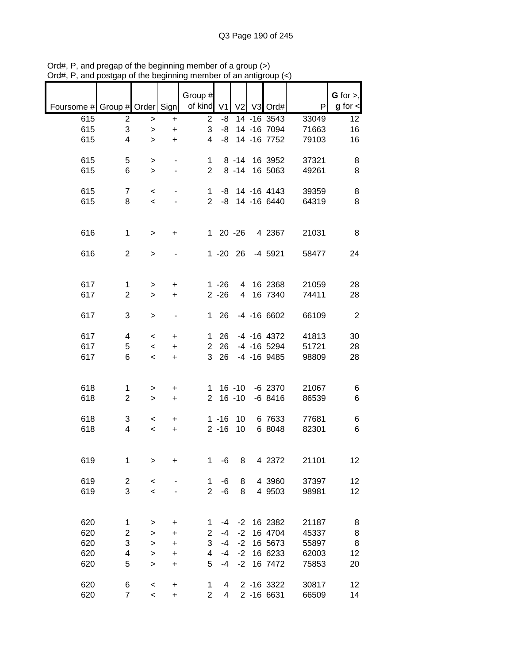|                               |                         |                |           | Group #                 |                      |                      |                    |                | G for $>$ ,    |
|-------------------------------|-------------------------|----------------|-----------|-------------------------|----------------------|----------------------|--------------------|----------------|----------------|
| Foursome # Group # Order Sign |                         |                |           | of kind                 | V <sub>1</sub>       |                      | V2 V3 Ord#         | P              | $g$ for $\lt$  |
| 615                           | 2                       | $\,>$          | +         | $\overline{2}$          | -8                   |                      | 14 -16 3543        | 33049          | 12             |
| 615                           | 3                       | $\, > \,$      | +         | 3                       | -8                   |                      | 14 - 16 7094       | 71663          | 16             |
| 615                           | 4                       | $\geq$         | $\ddot{}$ | 4                       | -8                   |                      | 14 - 16 7752       | 79103          | 16             |
|                               |                         |                |           |                         |                      |                      |                    |                |                |
| 615<br>615                    | 5<br>6                  | ><br>$\, > \,$ |           | 1<br>$\overline{2}$     |                      | $8 - 14$<br>$8 - 14$ | 16 3952<br>16 5063 | 37321<br>49261 | 8<br>8         |
|                               |                         |                |           |                         |                      |                      |                    |                |                |
| 615                           | $\overline{7}$          | $\,<\,$        |           | $\mathbf 1$             | -8                   |                      | 14 -16 4143        | 39359          | 8              |
| 615                           | 8                       | $\prec$        |           | $\overline{2}$          | -8                   |                      | 14 -16 6440        | 64319          | 8              |
|                               |                         |                |           |                         |                      |                      |                    |                |                |
| 616                           | $\mathbf 1$             |                |           | 1                       |                      | $20 - 26$            | 4 2367             | 21031          | 8              |
|                               |                         | >              | +         |                         |                      |                      |                    |                |                |
| 616                           | $\overline{2}$          | $\, > \,$      |           |                         | $1 - 20$             | 26                   | $-4$ 5921          | 58477          | 24             |
|                               |                         |                |           |                         |                      |                      |                    |                |                |
|                               |                         |                |           |                         |                      |                      |                    |                |                |
| 617<br>617                    | 1<br>$\overline{2}$     | $\, > \,$      | +         |                         | $1 - 26$<br>$2 - 26$ | 4                    | 16 2368<br>16 7340 | 21059<br>74411 | 28             |
|                               |                         | $\geq$         | $\ddot{}$ |                         |                      | $\overline{4}$       |                    |                | 28             |
| 617                           | 3                       | $\,>$          |           | 1                       | 26                   |                      | $-4$ $-16$ 6602    | 66109          | $\overline{2}$ |
|                               |                         |                |           |                         |                      |                      |                    |                |                |
| 617                           | 4                       | $\,<\,$        | $\ddot{}$ | 1                       | 26                   |                      | -4 -16 4372        | 41813          | 30             |
| 617                           | 5                       | $\,<\,$        | +         | $\overline{2}$          | 26                   |                      | -4 -16 5294        | 51721          | 28             |
| 617                           | 6                       | $\,<$          | $\ddot{}$ | 3                       | 26                   |                      | $-4$ $-16$ $9485$  | 98809          | 28             |
|                               |                         |                |           |                         |                      |                      |                    |                |                |
| 618                           | 1                       | >              | +         | 1                       |                      | $16 - 10$            | $-6$ 2370          | 21067          | 6              |
| 618                           | 2                       | $\, > \,$      | +         | $\overline{2}$          |                      | $16 - 10$            | $-6$ 8416          | 86539          | 6              |
|                               |                         |                |           |                         |                      |                      |                    |                |                |
| 618                           | 3                       | $\,<\,$        | +         |                         | $1 - 16$             | 10                   | 6 7633             | 77681          | 6              |
| 618                           | 4                       | $\,<\,$        | +         |                         | $2 - 16$             | 10                   | 6 8048             | 82301          | 6              |
|                               |                         |                |           |                         |                      |                      |                    |                |                |
| 619                           | 1                       | $\, > \,$      | $\ddot{}$ | 1                       | -6                   | 8                    | 4 2372             | 21101          | 12             |
|                               |                         |                |           |                         |                      |                      |                    |                |                |
| 619                           | $\overline{c}$          | $\,<$          |           | 1                       | $-6$                 | 8                    | 4 3960             | 37397          | 12             |
| 619                           | 3                       | $\prec$        |           | $\overline{2}$          | $-6$                 | 8                    | 4 9503             | 98981          | 12             |
|                               |                         |                |           |                         |                      |                      |                    |                |                |
| 620                           | 1                       | >              | +         | 1                       | $-4$                 | $-2$                 | 16 2382            | 21187          | 8              |
| 620                           | $\overline{\mathbf{c}}$ | >              | +         | $\overline{\mathbf{c}}$ | $-4$                 | $-2$                 | 16 4704            | 45337          | 8              |
| 620                           | 3                       | $\mathbf{I}$   | +         | 3                       | $-4$                 | $-2$                 | 16 5673            | 55897          | $\,$ 8 $\,$    |
| 620                           | 4                       | $\,$           | $\ddot{}$ | 4                       | $-4$                 | $-2$                 | 16 6233            | 62003          | 12             |
| 620                           | 5                       | $\, > \,$      | +         | 5                       | $-4$                 | $-2$                 | 16 7472            | 75853          | 20             |
| 620                           | 6                       | $\,<\,$        | +         | 1                       | 4                    |                      | 2 -16 3322         | 30817          | 12             |
| 620                           | $\overline{7}$          | $\,<$          | +         | $\overline{2}$          | 4                    |                      | 2 -16 6631         | 66509          | 14             |

Ord#, P, and pregap of the beginning member of a group (>) Ord#, P, and postgap of the beginning member of an antigroup (<)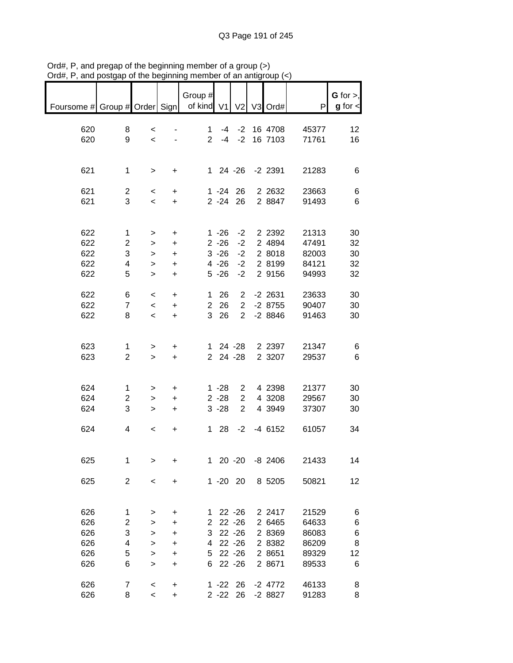| $\mathbf{u}$ , $\mathbf{u}$ , and postgap |                         | <u>u ulu ndanimin</u>    |           |                                  |             |                | or an annyroup (1 |       |                                |
|-------------------------------------------|-------------------------|--------------------------|-----------|----------------------------------|-------------|----------------|-------------------|-------|--------------------------------|
| Foursome # Group # Order Sign             |                         |                          |           | Group #<br>of kind V1 V2 V3 Ord# |             |                |                   | P     | $G$ for $>$ ,<br>$g$ for $\lt$ |
|                                           |                         |                          |           |                                  |             |                |                   |       |                                |
| 620                                       | 8                       | $\,<\,$                  |           | 1.                               |             |                | -4 -2 16 4708     | 45377 | 12                             |
| 620                                       | 9                       | $\prec$                  |           |                                  |             |                | 2 -4 -2 16 7103   | 71761 | 16                             |
|                                           |                         |                          |           |                                  |             |                |                   |       |                                |
|                                           |                         |                          |           |                                  |             |                |                   |       |                                |
|                                           |                         |                          |           |                                  |             |                |                   |       |                                |
| 621                                       | 1                       | $\,$                     | $\ddot{}$ |                                  |             |                | 1 24 -26 -2 2391  | 21283 | 6                              |
|                                           |                         |                          |           |                                  |             |                |                   |       |                                |
| 621                                       | $\overline{\mathbf{c}}$ | $\prec$                  | $\ddot{}$ |                                  |             | $1 - 24$ 26    | 2 2 6 3 2         | 23663 | 6                              |
| 621                                       | 3                       | $\overline{\phantom{0}}$ | $+$       |                                  |             | $2 - 24$ 26    | 2 8847            | 91493 | 6                              |
|                                           |                         |                          |           |                                  |             |                |                   |       |                                |
|                                           |                         |                          |           |                                  |             |                |                   |       |                                |
| 622                                       | 1                       | >                        | $\ddot{}$ |                                  | $1 - 26$    | $-2$           | 2 2 3 9 2         | 21313 | 30                             |
| 622                                       | $\overline{c}$          | $\,$                     | $\ddot{}$ |                                  | $2 - 26$    | $-2$           | 2 4894            | 47491 | 32                             |
| 622                                       | 3                       | $\,$                     | $\ddot{}$ |                                  | $3 - 26$    | $-2$           | 2 8018            | 82003 | 30                             |
| 622                                       | 4                       | $\mathbf{I}$             | $\ddot{}$ |                                  | $4 - 26$    | $-2$           | 2 8199            | 84121 | 32                             |
| 622                                       | 5                       | $\geq$                   | $\ddot{}$ |                                  | $5 - 26$    | $-2$           | 2 9156            | 94993 | 32                             |
|                                           |                         |                          |           |                                  |             |                |                   |       |                                |
| 622                                       | 6                       | $\prec$                  | $\ddot{}$ | 1.                               | -26         | $\overline{2}$ | -2 2631           | 23633 | 30                             |
| 622                                       | $\overline{7}$          | $\prec$                  | $+$       |                                  | 2 26        | $\overline{2}$ | $-28755$          | 90407 | 30                             |
| 622                                       | 8                       | $\overline{\phantom{0}}$ | $+$       |                                  | 3 26        |                | 2 -2 8846         | 91463 | 30                             |
|                                           |                         |                          |           |                                  |             |                |                   |       |                                |
|                                           |                         |                          |           |                                  |             |                |                   |       |                                |
| 623                                       | 1                       | >                        | $\ddot{}$ |                                  |             |                | 1 24 -28 2 2397   | 21347 | 6                              |
| 623                                       | $\overline{2}$          | $\, >$                   | $+$       |                                  |             | 2 24 -28       | 2 3 2 0 7         | 29537 | 6                              |
|                                           |                         |                          |           |                                  |             |                |                   |       |                                |
|                                           |                         |                          |           |                                  |             |                |                   |       |                                |
| 624                                       | 1                       | >                        | $\ddot{}$ |                                  | $1 - 28$    | $\overline{2}$ | 4 2398            | 21377 | 30                             |
| 624                                       | $\overline{2}$          | $\mathbf{r}$             | $\ddot{}$ |                                  | $2 - 28$    | $\overline{2}$ | 4 3208            | 29567 | 30                             |
| 624                                       | 3                       | >                        | $+$       |                                  | $3 - 28$    | $\overline{2}$ | 4 3 9 4 9         | 37307 | 30                             |
|                                           |                         |                          |           |                                  |             |                |                   |       |                                |
| 624                                       | 4                       | $\overline{\phantom{a}}$ | $\ddot{}$ |                                  |             |                | 1 28 -2 -4 6152   | 61057 | 34                             |
|                                           |                         |                          |           |                                  |             |                |                   |       |                                |
|                                           |                         |                          |           |                                  |             |                |                   |       |                                |
| 625                                       | 1                       | >                        | +         | $\mathbf 1$                      |             | $20 - 20$      | $-8$ 2406         | 21433 | 14                             |
|                                           |                         |                          |           |                                  |             |                |                   |       |                                |
| 625                                       | $\overline{c}$          | <                        | +         |                                  | $1 - 20$ 20 |                | 8 5205            | 50821 | 12                             |
|                                           |                         |                          |           |                                  |             |                |                   |       |                                |
|                                           |                         |                          |           |                                  |             |                |                   |       |                                |
| 626                                       | 1                       | >                        | +         | 1                                |             | $22 - 26$      | 2 2417            | 21529 | 6                              |
| 626                                       | $\overline{c}$          | $\, > \,$                | $\ddot{}$ | 2                                |             | $22 - 26$      | 2 6465            | 64633 | 6                              |
| 626                                       | 3                       | $\, > \,$                | $\ddot{}$ | 3                                |             | $22 - 26$      | 2 8369            | 86083 | 6                              |
| 626                                       | 4                       | >                        | $\ddot{}$ | 4                                |             | $22 - 26$      | 2 8382            | 86209 | 8                              |
| 626                                       | 5                       | >                        | +         | 5                                |             | $22 - 26$      | 2 8 6 5 1         | 89329 | 12                             |
| 626                                       | 6                       | >                        | +         | 6                                |             | $22 - 26$      | 2 8671            | 89533 | 6                              |
|                                           |                         |                          |           |                                  |             |                |                   |       |                                |
| 626                                       | 7                       | $\,<$                    | +         |                                  | $1 - 22$ 26 |                | $-2$ 4772         | 46133 | 8                              |
| 626                                       | 8                       | $\overline{\phantom{a}}$ | $\ddot{}$ |                                  | $2 - 22$    | 26             | $-28827$          | 91283 | 8                              |
|                                           |                         |                          |           |                                  |             |                |                   |       |                                |

Ord#, P, and pregap of the beginning member of a group (>) Ord#, P, and postgap of the beginning member of an antigroup (<)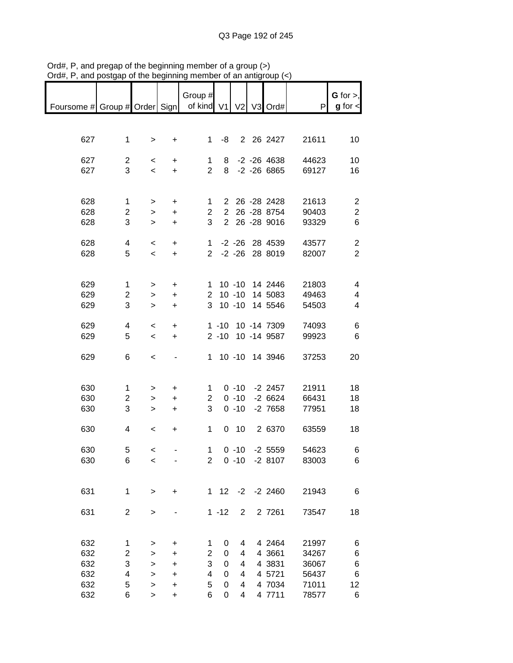|                                                       |                |                                     |                  | Group #               |             |                |                   |       | G for $>$ ,    |
|-------------------------------------------------------|----------------|-------------------------------------|------------------|-----------------------|-------------|----------------|-------------------|-------|----------------|
| Foursome # Group # Order Sign   of kind V1 V2 V3 Ord# |                |                                     |                  |                       |             |                |                   | P     | $g$ for $\lt$  |
|                                                       |                |                                     |                  |                       |             |                |                   |       |                |
|                                                       |                |                                     |                  |                       |             |                |                   |       |                |
| 627                                                   |                |                                     |                  | $\mathbf{1}$          | -8          |                | 2 26 2427         | 21611 | 10             |
|                                                       | $\mathbf{1}$   | $\geq$                              | $+$              |                       |             |                |                   |       |                |
| 627                                                   | $\overline{c}$ |                                     |                  |                       |             |                | -2 -26 4638       | 44623 | 10             |
| 627                                                   | 3              | $\overline{\phantom{0}}$<br>$\prec$ | +<br>$+$         | 1<br>$\overline{2}$   | 8           |                | 8 -2 -26 6865     | 69127 |                |
|                                                       |                |                                     |                  |                       |             |                |                   |       | 16             |
|                                                       |                |                                     |                  |                       |             |                |                   |       |                |
| 628                                                   |                |                                     |                  |                       |             |                |                   |       |                |
|                                                       | $\mathbf 1$    | $\geq$                              | +                | 1.                    |             |                | 2 26 -28 2428     | 21613 | $\overline{2}$ |
| 628                                                   | $\overline{2}$ | $\, > \,$                           | $\ddot{}$        | $\overline{2}$<br>3   |             |                | 2 26 -28 8754     | 90403 | $\overline{c}$ |
| 628                                                   | 3              | $\, > \,$                           | $\color{red}{+}$ |                       |             |                | 2 26 -28 9016     | 93329 | 6              |
|                                                       |                |                                     |                  |                       |             |                | 1 -2 -26 28 4539  |       |                |
| 628                                                   | 4              | $\overline{\phantom{a}}$            | $\ddot{}$        |                       |             |                |                   | 43577 | $\overline{c}$ |
| 628                                                   | 5              | $\,<$                               | $+$              |                       |             |                | 2 -2 -26 28 8019  | 82007 | $\overline{2}$ |
|                                                       |                |                                     |                  |                       |             |                |                   |       |                |
|                                                       |                |                                     |                  |                       |             |                |                   |       |                |
| 629                                                   | $\mathbf{1}$   | $\geq$                              | +                | 1.                    |             |                | 10 -10 14 2446    | 21803 | $\overline{4}$ |
| 629                                                   | $\overline{c}$ | $\mathbf{r}$                        | $\ddot{}$        | $\mathbf{2}^{\prime}$ |             |                | 10 -10 14 5083    | 49463 | 4              |
| 629                                                   | 3              | $\mathbf{I}$                        | $\ddot{}$        | 3                     |             | $10 - 10$      | 14 5546           | 54503 | 4              |
|                                                       |                |                                     |                  |                       |             |                |                   |       |                |
| 629                                                   | 4              | $\,<\,$                             | +                |                       |             |                | 1 -10 10 -14 7309 | 74093 | 6              |
| 629                                                   | 5              | $\overline{\phantom{0}}$            | $\ddot{}$        |                       |             |                | 2 -10 10 -14 9587 | 99923 | 6              |
|                                                       |                |                                     |                  |                       |             |                |                   |       |                |
| 629                                                   | 6              | $\,<$                               |                  |                       |             |                | 1 10 -10 14 3946  | 37253 | 20             |
|                                                       |                |                                     |                  |                       |             |                |                   |       |                |
|                                                       |                |                                     |                  |                       |             |                |                   |       |                |
| 630                                                   | $\mathbf 1$    | >                                   | +                | 1                     |             |                | $0 -10 -22457$    | 21911 | 18             |
| 630                                                   | $\overline{c}$ | $\, > \,$                           | $\ddot{}$        | $\overline{2}$        |             | $0 - 10$       | $-26624$          | 66431 | 18             |
| 630                                                   | 3              | $\geq$                              | $\ddot{}$        | 3                     |             | $0 - 10$       | $-2$ 7658         | 77951 | 18             |
|                                                       |                |                                     |                  |                       |             |                |                   |       |                |
| 630                                                   | 4              | $\overline{\phantom{a}}$            | +                | $\mathbf 1$           |             | $0$ 10         | 2 6370            | 63559 | 18             |
|                                                       |                |                                     |                  |                       |             |                |                   |       |                |
| 630                                                   | 5              | $\overline{\phantom{a}}$            |                  | $\mathbf{1}$          |             |                | $0 -10 -25559$    | 54623 | 6              |
| 630                                                   | 6              | $\,<$                               |                  | 2                     |             |                | $0 -10 -28107$    | 83003 | 6              |
|                                                       |                |                                     |                  |                       |             |                |                   |       |                |
|                                                       |                |                                     |                  |                       |             |                |                   |       |                |
| 631                                                   | $\mathbf 1$    | $\,>$                               | +                | 1                     | 12          | $-2$           | $-2$ 2460         | 21943 | 6              |
|                                                       |                |                                     |                  |                       |             |                |                   |       |                |
| 631                                                   | $\overline{c}$ | >                                   |                  |                       | $1 - 12$    | $\overline{2}$ | 2 7261            | 73547 | 18             |
|                                                       |                |                                     |                  |                       |             |                |                   |       |                |
|                                                       |                |                                     |                  |                       |             |                |                   |       |                |
| 632                                                   | 1              | >                                   | +                | 1                     | 0           | 4              | 4 2464            | 21997 | 6              |
| 632                                                   | $\overline{c}$ | >                                   | +                | $\overline{2}$        | 0           | 4              | 4 3 661           | 34267 | 6              |
| 632                                                   | 3              | >                                   | +                | 3                     | $\mathbf 0$ | 4              | 4 3831            | 36067 | 6              |
| 632                                                   | 4              | $\geq$                              | +                | 4                     | 0           | 4              | 4 5721            | 56437 | 6              |
| 632                                                   | 5              | >                                   | +                | 5                     | 0           | 4              | 4 7034            | 71011 | 12             |
| 632                                                   | 6              | >                                   | $\ddot{}$        | 6                     | 0           | 4              | 4 7711            | 78577 | 6              |

Ord#, P, and pregap of the beginning member of a group (>) Ord#, P, and postgap of the beginning member of an antigroup (<)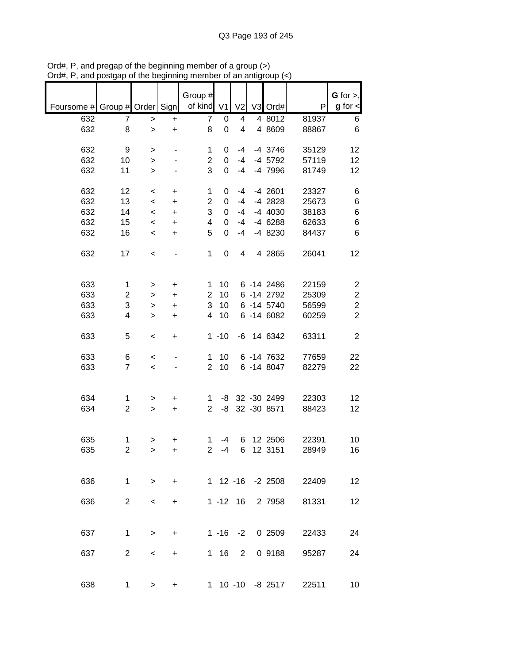|                               |                     |                                         |           | Group #        |                  |                         |                  |                        | $G$ for $>$ ,  |
|-------------------------------|---------------------|-----------------------------------------|-----------|----------------|------------------|-------------------------|------------------|------------------------|----------------|
| Foursome # Group # Order Sign |                     |                                         |           | of kind        | V <sub>1</sub>   | V <sub>2</sub>          | V3 Ord#          | P                      | $g$ for $\lt$  |
|                               |                     |                                         |           |                |                  |                         |                  |                        |                |
| 632                           | 7                   | $\,$                                    | $\ddot{}$ | $\overline{7}$ | $\pmb{0}$        | $\overline{\mathbf{4}}$ | 4 8012           | 81937                  | 6              |
| 632                           | 8                   | $\geq$                                  | $\ddot{}$ | 8              | 0                | 4                       | 4 8609           | 88867                  | 6              |
| 632                           | 9                   |                                         |           | 1              | 0                | -4                      | -4 3746          | 35129                  | 12             |
| 632                           | 10                  | >                                       |           | $\overline{2}$ | 0                | $-4$                    | -4 5792          | 57119                  | 12             |
| 632                           | 11                  | $\mathbf{I}$                            |           | 3              | 0                | $-4$                    | -4 7996          | 81749                  | 12             |
|                               |                     | $\mathbf{I}$                            |           |                |                  |                         |                  |                        |                |
| 632                           | 12                  | $\,<$                                   | +         | 1              | 0                | -4                      | $-4$ 2601        | 23327                  | 6              |
| 632                           | 13                  | $\prec$                                 | $\ddot{}$ | $\overline{2}$ | 0                | $-4$                    | $-4$ 2828        | 25673                  | 6              |
| 632                           | 14                  | $\,<$                                   | $\ddot{}$ | 3              | $\Omega$         | $-4$                    | $-4$ 4030        | 38183                  | 6              |
| 632                           | 15                  | $\,<$                                   | $\ddot{}$ | 4              | $\mathbf 0$      | $-4$                    | $-46288$         | 62633                  | 6              |
| 632                           | 16                  | $\,<$                                   | $\ddot{}$ | 5              | 0                | $-4$                    | -4 8230          | 84437                  | 6              |
|                               |                     |                                         |           |                |                  |                         |                  |                        |                |
| 632                           | 17                  | $\,<$                                   |           | $\mathbf{1}$   | $\boldsymbol{0}$ | 4                       | 4 2865           | 26041                  | 12             |
|                               |                     |                                         |           |                |                  |                         |                  |                        |                |
|                               |                     |                                         |           |                |                  |                         |                  |                        |                |
| 633                           | $\mathbf{1}$        | >                                       | $\ddot{}$ | 1              | 10               |                         | 6 - 14 2486      | 22159                  | $\overline{c}$ |
| 633                           | $\overline{c}$      | $\, > \,$                               | $\ddot{}$ | $\overline{2}$ | 10               |                         | 6 -14 2792       | 25309                  | $\overline{c}$ |
| 633                           | 3                   | $\,$                                    | $\ddot{}$ | 3              | 10               |                         | 6 -14 5740       | 56599                  | $\overline{c}$ |
| 633                           | 4                   | $\geq$                                  | $\ddot{}$ | 4              | 10               |                         | 6 -14 6082       | 60259                  | $\overline{2}$ |
|                               |                     |                                         |           |                |                  |                         |                  |                        |                |
| 633                           | 5                   | $\,<$                                   | +         |                | $1 - 10$         |                         | -6 14 6342       | 63311                  | $\overline{2}$ |
| 633                           |                     |                                         |           | 1              | 10               |                         | 6 -14 7632       |                        | 22             |
|                               | 6<br>$\overline{7}$ | $\,<$                                   |           | $\overline{2}$ |                  |                         | 6 -14 8047       | 77659                  |                |
| 633                           |                     | $\prec$                                 |           |                | 10               |                         |                  | 82279                  | 22             |
|                               |                     |                                         |           |                |                  |                         |                  |                        |                |
| 634                           | 1                   | $\, > \,$                               | +         | 1              | -8               |                         | 32 - 30 2499     | 22303                  | 12             |
| 634                           | $\overline{2}$      | $\, > \,$                               | $\ddot{}$ | $\overline{2}$ | -8               |                         | 32 - 30 8571     | 88423                  | 12             |
|                               |                     |                                         |           |                |                  |                         |                  |                        |                |
|                               |                     |                                         |           |                |                  |                         |                  |                        |                |
| 635                           | 1                   | >                                       | +         | 1              | $-4$             | 6                       | 12 2506          | 22391                  | 10             |
| 635                           | $\overline{c}$      | $\geq$                                  | $\ddot{}$ | $\overline{2}$ | $-4$             | 6                       | 12 3151          | 28949                  | 16             |
|                               |                     |                                         |           |                |                  |                         |                  |                        |                |
|                               |                     |                                         |           |                |                  |                         |                  |                        |                |
| 636                           |                     | $1 \quad$<br>$\rightarrow$              | $+$       |                |                  |                         |                  | 1 12 -16 -2 2508 22409 | 12             |
|                               |                     |                                         |           |                |                  |                         |                  |                        |                |
| 636                           |                     | $2^{\circ}$<br>$\overline{\phantom{0}}$ | $+$       |                |                  |                         | 1 -12 16 2 7958  | 81331                  | 12             |
|                               |                     |                                         |           |                |                  |                         |                  |                        |                |
|                               |                     |                                         |           |                |                  |                         |                  |                        |                |
| 637                           | $\mathbf 1$         | $\geq$                                  | $+$       |                |                  |                         |                  | 1 -16 -2 0 2509 22433  | 24             |
| 637                           | $\overline{2}$      | $\prec$                                 | $+$       |                | 1 16 2           |                         | 0 9188           | 95287                  | 24             |
|                               |                     |                                         |           |                |                  |                         |                  |                        |                |
|                               |                     |                                         |           |                |                  |                         |                  |                        |                |
| 638                           | $\mathbf{1}$        | $\geq$                                  | +         |                |                  |                         | 1 10 -10 -8 2517 | 22511                  | 10             |
|                               |                     |                                         |           |                |                  |                         |                  |                        |                |

Ord#, P, and pregap of the beginning member of a group (>) Ord#, P, and postgap of the beginning member of an antigroup (<)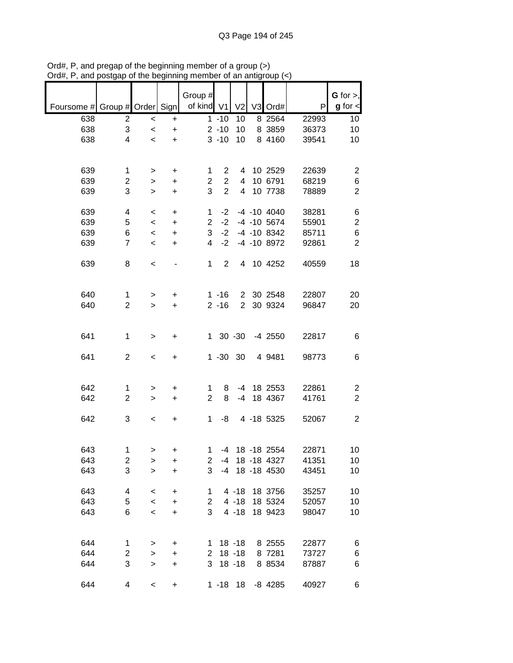|                               |                         |              |                                  | Group #                   |                |                |                      |       | $G$ for $>$ ,  |
|-------------------------------|-------------------------|--------------|----------------------------------|---------------------------|----------------|----------------|----------------------|-------|----------------|
| Foursome # Group # Order Sign |                         |              |                                  | of kind V1                |                | V <sub>2</sub> | V3 Ord#              | P     | $g$ for $\lt$  |
| 638                           | $\overline{c}$          | $\prec$      | $\ddot{}$                        |                           | $1 - 10$       | 10             | 8 25 64              | 22993 | 10             |
| 638                           | 3                       | $\prec$      | $\ddot{}$                        |                           | $2 - 10$       | 10             | 8 3859               | 36373 | 10             |
| 638                           | 4                       | $\prec$      | $\ddot{}$                        |                           | $3 - 10$       | 10             | 8 4160               | 39541 | 10             |
|                               |                         |              |                                  |                           |                |                |                      |       |                |
|                               |                         |              |                                  |                           |                |                |                      |       |                |
| 639                           | 1                       | >            | +                                | 1                         | $\overline{2}$ |                | 4 10 2529            | 22639 | 2              |
| 639                           | 2                       | >            | +                                | $\overline{2}$            | $\overline{2}$ |                | 4 10 6791            | 68219 | 6              |
| 639                           | 3                       | $\mathbf{I}$ | $\ddot{}$                        | 3                         | $\overline{2}$ | $\overline{4}$ | 10 7738              | 78889 | $\overline{2}$ |
|                               |                         |              |                                  |                           |                |                |                      |       |                |
| 639                           | 4                       | $\,<$        | +                                | $\mathbf 1$               | $-2$           |                | $-4$ $-10$ $4040$    | 38281 | 6              |
| 639                           | 5                       | $\,<$        | $\color{red}{+}$                 | $\overline{2}$            | $-2$           |                | $-4$ $-10$ 5674      | 55901 | $\mathbf 2$    |
| 639                           | 6                       | $\,<$        | $\color{red}{+}$                 | 3                         |                |                | $-2$ $-4$ $-10$ 8342 | 85711 | $\,6$          |
| 639                           | $\overline{7}$          | $\,<$        | $\ddot{}$                        | $\overline{4}$            | $-2$           |                | -4 -10 8972          | 92861 | $\overline{2}$ |
|                               |                         |              |                                  |                           |                |                |                      |       |                |
| 639                           | 8                       | $\,<$        |                                  | $\mathbf 1$               | $\overline{2}$ |                | 4 10 4252            | 40559 | 18             |
|                               |                         |              |                                  |                           |                |                |                      |       |                |
|                               |                         |              |                                  |                           |                |                |                      |       |                |
| 640                           | $\mathbf{1}$            | >            | $\ddot{}$                        |                           | $1 - 16$       |                | 2 30 2548            | 22807 | 20             |
| 640                           | $\overline{2}$          | $\geq$       | $\ddot{}$                        |                           | $2 - 16$       |                | 2 30 9324            | 96847 | 20             |
|                               |                         |              |                                  |                           |                |                |                      |       |                |
| 641                           | $\mathbf{1}$            | $\, > \,$    | +                                |                           | $1 \t30 \t-30$ |                | -4 2550              | 22817 | 6              |
|                               |                         |              |                                  |                           |                |                |                      |       |                |
| 641                           | $\overline{c}$          | $\,<$        | +                                |                           | $1 - 30$ 30    |                | 4 9481               | 98773 | 6              |
|                               |                         |              |                                  |                           |                |                |                      |       |                |
|                               |                         |              |                                  |                           |                |                |                      |       |                |
| 642                           | 1                       | >            | +                                | 1                         | 8              |                | -4 18 2553           | 22861 | 2              |
| 642                           | $\overline{2}$          | $\geq$       | $\ddot{}$                        | $\overline{2}$            | 8              | $-4$           | 18 4367              | 41761 | $\overline{2}$ |
|                               |                         |              |                                  |                           |                |                |                      |       |                |
| 642                           | 3                       | $\,<$        | $\begin{array}{c} + \end{array}$ | $\mathbf{1}$              | -8             |                | 4 -18 5325           | 52067 | $\overline{2}$ |
|                               |                         |              |                                  |                           |                |                |                      |       |                |
|                               |                         |              |                                  |                           |                |                |                      |       |                |
| 643                           | 1                       | $\, > \,$    | +                                | $\mathbf{1}$              |                |                | -4 18 -18 2554       | 22871 | 10             |
| 643                           | $\overline{\mathbf{c}}$ | $\geq$       | $\ddot{}$                        | 2                         |                |                | -4 18 -18 4327       | 41351 | 10             |
| 643                           | 3                       | $\geq$       | $\ddot{}$                        | 3                         | $-4$           |                | 18 - 18 4530         | 43451 | 10             |
|                               |                         |              |                                  |                           |                |                |                      |       |                |
| 643                           | 4                       | $\,<$        | +                                | 1                         |                | $4 - 18$       | 18 3756              | 35257 | 10             |
| 643                           | 5                       | $\prec$      | +                                | $\overline{2}$            |                | $4 - 18$       | 18 5324              | 52057 | 10             |
| 643                           | 6                       | $\prec$      | +                                | 3                         |                | $4 - 18$       | 18 9423              | 98047 | 10             |
|                               |                         |              |                                  |                           |                |                |                      |       |                |
| 644                           | 1                       |              |                                  |                           |                | $18 - 18$      | 8 2555               | 22877 |                |
| 644                           | 2                       | >            | +                                | $1 \quad$<br>$\mathbf{2}$ |                | $18 - 18$      | 8 7281               | 73727 | 6<br>6         |
| 644                           | 3                       | $\geq$       | $\ddot{}$                        | 3                         |                | $18 - 18$      | 8 8 5 3 4            | 87887 | 6              |
|                               |                         | $\, > \,$    | $\ddot{}$                        |                           |                |                |                      |       |                |
| 644                           | 4                       | $\,<\,$      | $\ddot{}$                        |                           | $1 - 18$       | 18             | $-8$ 4285            | 40927 | 6              |

Ord#, P, and pregap of the beginning member of a group (>) Ord#, P, and postgap of the beginning member of an antigroup (<)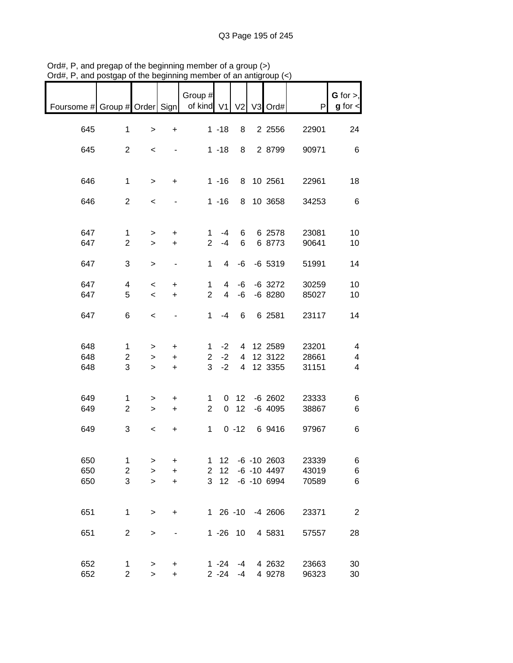| $max$ , can posigap or the beginning memb  |                |                          |                                  |                |                 |                 | $\mathsf{u}_1$ and $\mathsf{u}_2$ $\mathsf{u}_3$ $\mathsf{u}_4$ |       |                                |
|--------------------------------------------|----------------|--------------------------|----------------------------------|----------------|-----------------|-----------------|-----------------------------------------------------------------|-------|--------------------------------|
| Foursome # Group # Order Sign   of kind V1 |                |                          |                                  | Group #        |                 |                 | V2 V3 Ord#                                                      | P     | $G$ for $>$ ,<br>$g$ for $\lt$ |
|                                            |                |                          |                                  |                |                 |                 |                                                                 |       |                                |
| 645                                        | $\mathbf 1$    | $\,$                     | $\ddot{}$                        |                | $1 - 18$        | 8               | 2 2 5 5 6                                                       | 22901 | 24                             |
| 645                                        | $\overline{2}$ | $\,<\,$                  | $\sim$                           |                | $1 - 18$        |                 | 8 2 8799                                                        | 90971 | 6                              |
| 646                                        | $\mathbf 1$    | $\geq$                   | $+$                              |                | $1 - 16$        |                 | 8 10 2561                                                       | 22961 | 18                             |
|                                            | $\overline{2}$ |                          |                                  |                |                 |                 |                                                                 |       |                                |
| 646                                        |                | $\,<$                    | $\qquad \qquad \blacksquare$     |                | $1 - 16$        |                 | 8 10 3658                                                       | 34253 | $\,6\,$                        |
| 647                                        | $\mathbf{1}$   | >                        | $\ddot{}$                        | $\mathbf 1$    | -4              | 6               | 6 2578                                                          | 23081 | 10                             |
| 647                                        | $\overline{2}$ | $\geq$                   | $\ddot{}$                        | $\overline{2}$ | $-4$            | 6               | 6 8773                                                          | 90641 | 10                             |
| 647                                        | 3              | $\geq$                   | $\blacksquare$                   | 1              | 4               | -6              | $-6$ 5319                                                       | 51991 | 14                             |
| 647                                        | 4              | $\,<$                    | +                                | 1              | 4               | -6              | $-6$ 3272                                                       | 30259 | 10                             |
| 647                                        | 5              | $\overline{\phantom{a}}$ | $\ddot{}$                        | $\overline{2}$ | $\overline{4}$  | -6              | $-68280$                                                        | 85027 | 10                             |
| 647                                        | 6              | $\,<$                    | $\blacksquare$                   | 1              | -4              | 6               | 6 2581                                                          | 23117 | 14                             |
|                                            |                |                          |                                  |                |                 |                 |                                                                 |       |                                |
| 648                                        | $\mathbf 1$    | $\, > \,$                | $\ddot{}$                        | $1 \quad$      | $-2$            |                 | 4 12 2589                                                       | 23201 | 4                              |
| 648                                        | $\overline{c}$ | $\geq$                   | $\ddot{}$                        | $\overline{2}$ | $-2$            |                 | 4 12 3122                                                       | 28661 | 4                              |
| 648                                        | 3              | $\mathbf{I}$             | $+$                              | 3 <sup>1</sup> | $-2$            |                 | 4 12 3355                                                       | 31151 | $\overline{\mathbf{4}}$        |
|                                            |                |                          |                                  |                |                 |                 |                                                                 |       |                                |
| 649                                        | 1              | $\geq$                   | $+$                              | 1              |                 |                 | $0 \t12 \t-6 \t2602$<br>$-6$ 4095                               | 23333 | 6                              |
| 649                                        | $\overline{c}$ | $\,>$                    | $+$                              | $\overline{2}$ |                 | 0 <sub>12</sub> |                                                                 | 38867 | 6                              |
| 649                                        | 3              | $\overline{\phantom{a}}$ | $\begin{array}{c} + \end{array}$ |                | $1 \quad$       | $0 - 12$        | 6 9416                                                          | 97967 | 6                              |
|                                            |                |                          |                                  |                |                 |                 |                                                                 |       |                                |
| 650                                        | 1              | $\, > \,$                | +                                | 1              | 12              |                 | $-6 - 10$ 2603                                                  | 23339 | 6                              |
| 650                                        | $\overline{c}$ | $\,$                     | $\ddot{}$                        | $\overline{2}$ | 12              |                 | $-6 - 10$ 4497                                                  | 43019 | 6                              |
| 650                                        | 3              | $\geq$                   | +                                | 3              | 12 <sup>7</sup> |                 | $-6 - 106994$                                                   | 70589 | $\,6$                          |
| 651                                        | $\mathbf{1}$   | $\,>$                    | $\ddot{}$                        |                |                 |                 | 1 26 -10 -4 2606                                                | 23371 | $\overline{2}$                 |
| 651                                        | $\overline{c}$ | $\,$                     | $\overline{\phantom{a}}$         |                | $1 - 26$ 10     |                 | 4 5831                                                          | 57557 | 28                             |
|                                            |                |                          |                                  |                |                 |                 |                                                                 |       |                                |
| 652                                        | $\mathbf{1}$   | >                        | +                                |                | 1 -24           | -4              | 4 2632                                                          | 23663 | 30                             |
| 652                                        | $\overline{c}$ | $\geq$                   | $\ddot{}$                        |                | $2 - 24$        | $-4$            | 4 9278                                                          | 96323 | 30                             |

Ord#, P, and pregap of the beginning member of a group (>) Ord#, P, and postgap of the beginning member of an antigroup (<)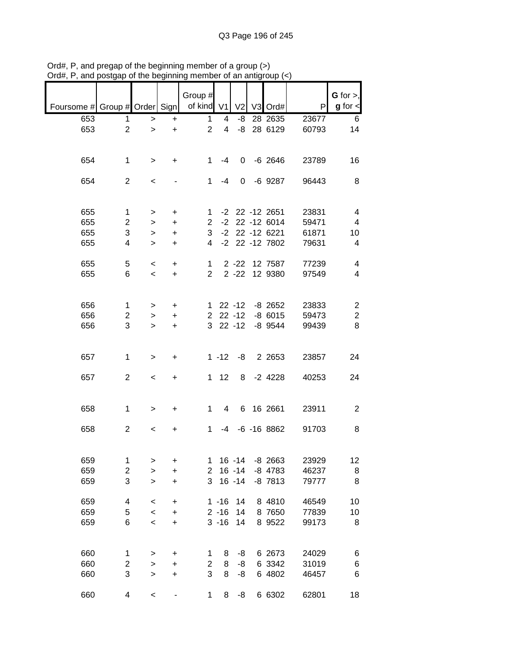|                               |                |                          |           | Group #        |          |                |                    |       | $G$ for $>$ ,  |
|-------------------------------|----------------|--------------------------|-----------|----------------|----------|----------------|--------------------|-------|----------------|
| Foursome # Group # Order Sign |                |                          |           | of kind V1     |          | V <sub>2</sub> | V3 Ord#            | P     | $g$ for $\lt$  |
| 653                           | 1              | >                        | $\ddot{}$ | 1              | 4        | -8             | 28 2635            | 23677 | 6              |
| 653                           | $\overline{2}$ | $\, > \,$                | $\ddot{}$ | $\overline{2}$ | 4        | -8             | 28 6129            | 60793 | 14             |
| 654                           | 1              | $\,>$                    | +         | 1              | -4       | 0              | $-6$ 2646          | 23789 | 16             |
| 654                           | $\overline{2}$ | $\,<$                    |           | 1              | $-4$     | 0              | $-6$ 9287          | 96443 | 8              |
| 655                           | 1              | >                        | $\ddot{}$ | 1.             |          |                | $-2$ 22 $-12$ 2651 | 23831 | 4              |
| 655                           | 2              | >                        | $\ddot{}$ | $\overline{2}$ | $-2$     |                | 22 -12 6014        | 59471 | 4              |
| 655                           | 3              | >                        | $\ddot{}$ | 3              | $-2$     |                | 22 -12 6221        | 61871 | 10             |
| 655                           | 4              | >                        | $\ddot{}$ | 4              | $-2$     |                | 22 -12 7802        | 79631 | 4              |
| 655                           | 5              | $\,<$                    | $\ddot{}$ | 1              |          | $2 - 22$       | 12 7587            | 77239 | 4              |
| 655                           | 6              | $\overline{\phantom{a}}$ | $\ddot{}$ | $\overline{2}$ |          | $2 - 22$       | 12 9380            | 97549 | 4              |
| 656                           | 1              | >                        | $\ddot{}$ | 1.             |          | $22 - 12$      | $-8$ 2652          | 23833 | $\overline{2}$ |
| 656                           | 2              | >                        | +         | $\overline{2}$ |          | $22 - 12$      | $-86015$           | 59473 | $\overline{c}$ |
| 656                           | 3              | $\geq$                   | $\ddot{}$ | 3              |          | $22 - 12$      | $-8$ 9544          | 99439 | 8              |
| 657                           | 1              | >                        | +         |                | $1 - 12$ | -8             | 2 2 6 5 3          | 23857 | 24             |
| 657                           | $\overline{c}$ | $\,<$                    | +         | $\mathbf 1$    | 12       | 8              | $-2$ 4228          | 40253 | 24             |
| 658                           | 1              | >                        | +         | 1              | 4        | 6              | 16 2661            | 23911 | $\overline{2}$ |
| 658                           | $\overline{2}$ | $\,<\,$                  | +         | 1              | -4       |                | $-6 - 168862$      | 91703 | 8              |
| 659                           | 1              | >                        | +         | 1              |          | $16 - 14$      | $-8$ 2663          | 23929 | 12             |
| 659                           | 2              | >                        | $\ddot{}$ | $\overline{c}$ |          | $16 - 14$      | $-8$ 4783          | 46237 | 8              |
| 659                           | 3              | >                        | $\ddot{}$ | 3              |          | $16 - 14$      | $-8$ $7813$        | 79777 | 8              |
| 659                           | 4              | $\,<$                    | $\ddot{}$ |                | $1 - 16$ | 14             | 8 4810             | 46549 | 10             |
| 659                           | 5              | $\prec$                  | +         |                | $2 - 16$ | 14             | 8 7650             | 77839 | 10             |
| 659                           | 6              | $\prec$                  | +         |                | $3 - 16$ | 14             | 8 9 5 2 2          | 99173 | 8              |
| 660                           | 1              | >                        | +         | 1              | 8        | -8             | 6 2673             | 24029 | 6              |
| 660                           | 2              | >                        | +         | 2              | 8        | -8             | 6 3342             | 31019 | 6              |
| 660                           | 3              | $\, > \,$                | +         | 3              | 8        | -8             | 6 4802             | 46457 | 6              |
| 660                           | 4              | $\,<$                    |           | 1              | 8        | -8             | 6 6302             | 62801 | 18             |

Ord#, P, and pregap of the beginning member of a group (>) Ord#, P, and postgap of the beginning member of an antigroup (<)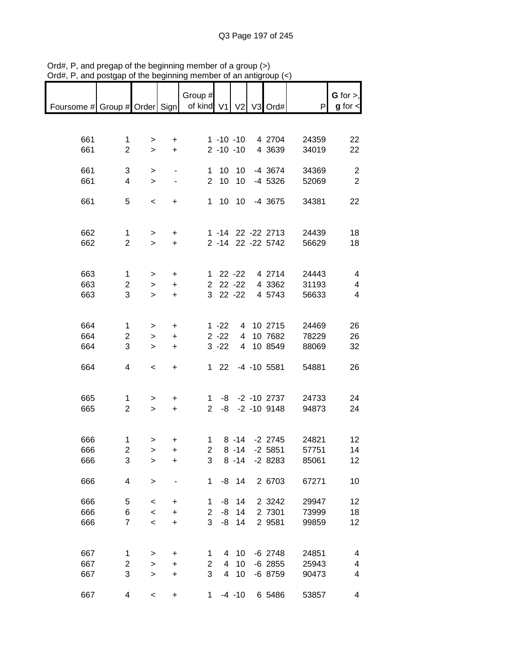|                                            |                |              |           | Group #             |               |           |                        |                | $G$ for $>$ ,                    |
|--------------------------------------------|----------------|--------------|-----------|---------------------|---------------|-----------|------------------------|----------------|----------------------------------|
| Foursome # Group # Order Sign   of kind V1 |                |              |           |                     |               |           | V2 V3 Ord#             | P              | $g$ for $\lt$                    |
|                                            |                |              |           |                     |               |           |                        |                |                                  |
| 661                                        | $\mathbf 1$    | >            | $\ddot{}$ |                     | $1 - 10 - 10$ |           | 4 2704                 | 24359          | 22                               |
| 661                                        | $\overline{2}$ | $\geq$       | $\ddot{}$ |                     | $2 - 10 - 10$ |           | 4 3639                 | 34019          | 22                               |
|                                            |                |              |           |                     |               |           |                        |                |                                  |
| 661<br>661                                 | 3<br>4         | >            |           | 1<br>$\overline{2}$ | 10<br>10      | 10<br>10  | $-4$ 3674<br>$-4$ 5326 | 34369<br>52069 | $\overline{2}$<br>$\overline{2}$ |
|                                            |                | $\, > \,$    |           |                     |               |           |                        |                |                                  |
| 661                                        | 5              | $\,<$        | +         | 1                   | 10            | 10        | -4 3675                | 34381          | 22                               |
|                                            |                |              |           |                     |               |           |                        |                |                                  |
| 662                                        | 1              | $\,$         | +         |                     |               |           | 1 -14 22 -22 2713      | 24439          | 18                               |
| 662                                        | $\overline{2}$ | $\geq$       | $\ddot{}$ |                     |               |           | 2 -14 22 -22 5742      | 56629          | 18                               |
|                                            |                |              |           |                     |               |           |                        |                |                                  |
| 663                                        | 1              | $\,>$        | $\ddot{}$ | $\mathbf{1}$        |               | $22 - 22$ | 4 2714                 | 24443          | 4                                |
| 663                                        | $\overline{c}$ | $\, > \,$    | $\ddot{}$ | $\overline{2}$      |               | $22 - 22$ | 4 3362                 | 31193          | 4                                |
| 663                                        | 3              | $\geq$       | $\ddot{}$ | 3                   |               | $22 - 22$ | 4 5743                 | 56633          | 4                                |
|                                            |                |              |           |                     |               |           |                        |                |                                  |
| 664                                        | 1              | >            | +         |                     | $1 - 22$      | 4         | 10 2715                | 24469          | 26                               |
| 664                                        | $\overline{c}$ | $\geq$       | $\ddot{}$ |                     | $2 - 22$      | 4         | 10 7682                | 78229          | 26                               |
| 664                                        | 3              | $\, > \,$    | $\ddot{}$ |                     | $3 - 22$      | 4         | 10 8549                | 88069          | 32                               |
|                                            |                |              |           |                     |               |           |                        |                |                                  |
| 664                                        | 4              | $\,<$        | +         | 1                   | 22            |           | $-4$ $-10$ 5581        | 54881          | 26                               |
|                                            |                |              |           |                     |               |           |                        |                |                                  |
| 665                                        | 1              | >            | +         | 1                   | -8            |           | $-2 - 10$ 2737         | 24733          | 24                               |
| 665                                        | $\overline{2}$ | $\mathbf{L}$ | $\ddot{}$ | $\overline{2}$      | -8            |           | $-2 - 10$ 9148         | 94873          | 24                               |
|                                            |                |              |           |                     |               |           |                        |                |                                  |
| 666                                        | 1              | >            | $\ddot{}$ | 1                   |               | $8 - 14$  | $-2$ 2745              | 24821          | 12                               |
| 666                                        | $\overline{2}$ | $\geq$       | $\ddot{}$ | $\overline{2}$      |               | $8 - 14$  | $-2$ 5851              | 57751          | 14                               |
| 666                                        | 3              | >            | +         | 3                   |               | $8 - 14$  | $-28283$               | 85061          | 12                               |
| 666                                        | 4              | $\mathbf{I}$ |           | 1                   |               | $-8$ 14   | 2 6703                 | 67271          | 10                               |
|                                            |                |              |           |                     |               |           |                        |                |                                  |
| 666                                        | 5              | $\,<$        | $\ddot{}$ | 1                   | -8            | 14        | 2 3 2 4 2              | 29947          | 12                               |
| 666                                        | 6              | $\prec$      | $\ddot{}$ | $\overline{c}$      | -8            | 14        | 2 7301                 | 73999          | 18                               |
| 666                                        | $\overline{7}$ | $\prec$      | $\ddot{}$ | 3                   | -8            | 14        | 2 9581                 | 99859          | 12                               |
|                                            |                |              |           |                     |               |           |                        |                |                                  |
| 667                                        | 1              | >            | $\ddot{}$ | 1                   | 4             | 10        | $-6$ 2748              | 24851          | 4                                |
| 667                                        | 2              | $\mathbf{I}$ | $\ddot{}$ | $\overline{c}$      | 4             | 10        | $-6$ 2855              | 25943          | 4                                |
| 667                                        | 3              | $\geq$       | $\ddot{}$ | 3                   | 4             | 10        | $-6$ 8759              | 90473          | 4                                |
| 667                                        | 4              | $\,<$        | $\ddot{}$ | 1                   |               | $-4 - 10$ | 6 5486                 | 53857          | 4                                |

Ord#, P, and pregap of the beginning member of a group (>) Ord#, P, and postgap of the beginning member of an antigroup (<)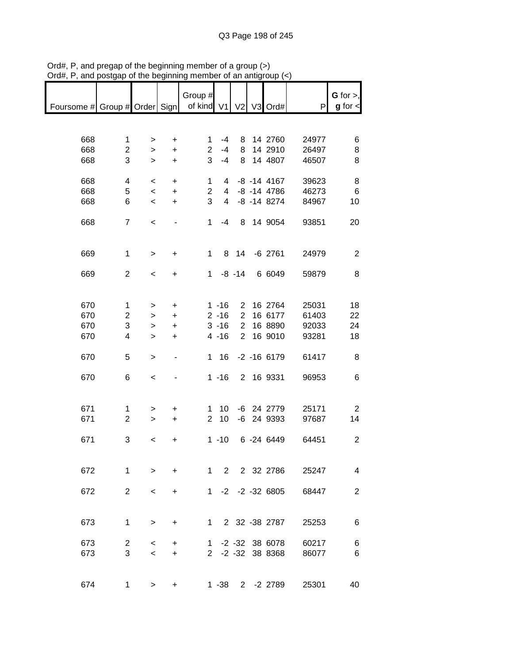|                                            |                |                          |                          | Group #        |                |                |                    |       | $G$ for $>$ ,  |
|--------------------------------------------|----------------|--------------------------|--------------------------|----------------|----------------|----------------|--------------------|-------|----------------|
|                                            |                |                          |                          |                |                |                |                    |       |                |
| Foursome # Group # Order Sign   of kind V1 |                |                          |                          |                |                | V <sub>2</sub> | V3 Ord#            | P     | $g$ for $\lt$  |
|                                            |                |                          |                          |                |                |                |                    |       |                |
|                                            |                |                          |                          |                |                |                |                    |       |                |
| 668                                        | $\mathbf 1$    | >                        | $\ddot{}$                | 1              | $-4$           | 8              | 14 2760            | 24977 | 6              |
| 668                                        | $\overline{2}$ | $\mathbf{I}$             | $\ddot{}$                | $\overline{2}$ | $-4$           | 8              | 14 2910            | 26497 | 8              |
| 668                                        | 3              | $\mathbf{I}$             | $\ddot{}$                | 3              | $-4$           | 8              | 14 4807            | 46507 | 8              |
|                                            |                |                          |                          |                |                |                |                    |       |                |
| 668                                        | 4              | $\,<\,$                  | $\ddot{}$                | 1              | $\overline{4}$ |                | $-8$ $-14$ $4167$  | 39623 | 8              |
| 668                                        | 5              | $\,<$                    | $\ddot{}$                | $\overline{2}$ | $\overline{4}$ |                | $-8$ $-14$ $4786$  | 46273 | 6              |
| 668                                        | 6              | $\,<$                    | $\ddot{}$                | 3              | $\overline{4}$ |                | $-8$ $-14$ 8274    | 84967 | 10             |
|                                            |                |                          |                          |                |                |                |                    |       |                |
|                                            |                |                          |                          |                |                |                |                    |       |                |
| 668                                        | $\overline{7}$ | $\prec$                  |                          | $\mathbf{1}$   | $-4$           |                | 8 14 9054          | 93851 | 20             |
|                                            |                |                          |                          |                |                |                |                    |       |                |
|                                            |                |                          |                          |                |                |                |                    |       |                |
| 669                                        | $\mathbf{1}$   | $\,>$                    | +                        | $\mathbf{1}$   |                | 8 14           | $-6$ 2761          | 24979 | 2              |
|                                            |                |                          |                          |                |                |                |                    |       |                |
| 669                                        | $\overline{2}$ | $\prec$                  | $\ddot{}$                | $\mathbf 1$    |                | $-8 - 14$      | 6 6049             | 59879 | 8              |
|                                            |                |                          |                          |                |                |                |                    |       |                |
|                                            |                |                          |                          |                |                |                |                    |       |                |
| 670                                        | 1              | >                        | $\ddot{}$                |                | $1 - 16$       | $\overline{2}$ | 16 2764            | 25031 | 18             |
| 670                                        | $\overline{c}$ | $\, > \,$                | $\ddot{}$                |                | $2 - 16$       | $\overline{2}$ | 16 6177            | 61403 | 22             |
| 670                                        | 3              | >                        | $\ddot{}$                |                | $3 - 16$       | $\overline{2}$ | 16 8890            | 92033 | 24             |
| 670                                        | 4              |                          |                          |                | $4 - 16$       | $\overline{2}$ | 16 9010            | 93281 | 18             |
|                                            |                | $\, > \,$                | +                        |                |                |                |                    |       |                |
|                                            |                |                          |                          |                |                |                |                    |       |                |
| 670                                        | 5              | $\, > \,$                | $\overline{\phantom{0}}$ | 1              | 16             |                | $-2 - 16 6179$     | 61417 | 8              |
|                                            |                |                          |                          |                |                |                |                    |       |                |
| 670                                        | 6              | $\prec$                  |                          |                | $1 - 16$       |                | 2 16 9331          | 96953 | 6              |
|                                            |                |                          |                          |                |                |                |                    |       |                |
|                                            |                |                          |                          |                |                |                |                    |       |                |
| 671                                        | 1              | >                        | +                        | $\mathbf{1}$   | 10             |                | -6 24 2779         | 25171 | $\overline{2}$ |
| 671                                        | $\overline{2}$ | $\mathbf{I}$             | $\ddot{}$                | $\overline{2}$ | 10             |                | -6 24 9393         | 97687 | 14             |
|                                            |                |                          |                          |                |                |                |                    |       |                |
| 671                                        | 3              | $\,<\,$                  | +                        |                | $1 - 10$       |                | 6 -24 6449         | 64451 | $\overline{2}$ |
|                                            |                |                          |                          |                |                |                |                    |       |                |
|                                            |                |                          |                          |                |                |                |                    |       |                |
| 672                                        | $\mathbf{1}$   | $\geq$                   | $\ddot{}$                |                |                |                | 1 2 2 32 2786      | 25247 | 4              |
|                                            |                |                          |                          |                |                |                |                    |       |                |
|                                            | $\overline{2}$ |                          |                          |                |                |                | 1 -2 -2 -32 6805   |       |                |
| 672                                        |                | $\,<\,$                  | +                        |                |                |                |                    | 68447 | $\overline{2}$ |
|                                            |                |                          |                          |                |                |                |                    |       |                |
|                                            |                |                          |                          |                |                |                |                    |       |                |
| 673                                        | $\mathbf{1}$   | $\, > \,$                | $\ddot{}$                |                | $1 \quad$      |                | 2 32 -38 2787      | 25253 | 6              |
|                                            |                |                          |                          |                |                |                |                    |       |                |
| 673                                        | $\overline{2}$ | $\,<\,$                  | +                        | $1 \quad$      |                |                | $-2$ $-32$ 38 6078 | 60217 | 6              |
| 673                                        | 3              | $\overline{\phantom{0}}$ | +                        |                |                |                | 2 -2 -32 38 8368   | 86077 | 6              |
|                                            |                |                          |                          |                |                |                |                    |       |                |
|                                            |                |                          |                          |                |                |                |                    |       |                |
| 674                                        | $\mathbf 1$    | $\, > \,$                | +                        |                |                |                | 1 -38 2 -2 2789    | 25301 | 40             |

Ord#, P, and pregap of the beginning member of a group (>) Ord#, P, and postgap of the beginning member of an antigroup (<)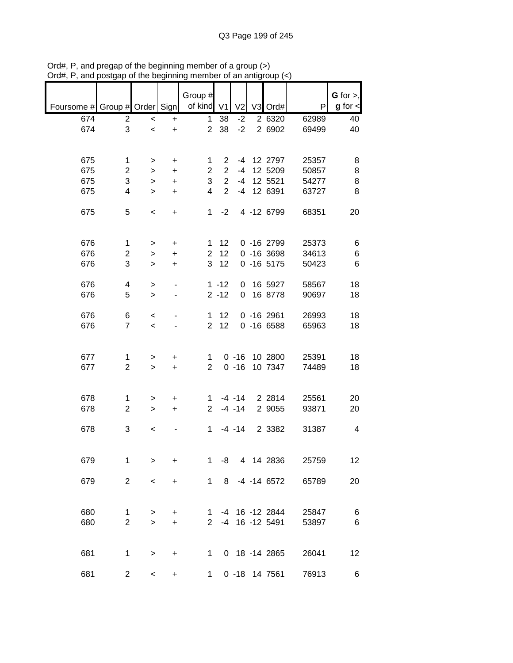|                               |                |              |           |                       |              |                |                 |       | $G$ for $>$ , |
|-------------------------------|----------------|--------------|-----------|-----------------------|--------------|----------------|-----------------|-------|---------------|
|                               |                |              |           | Group #<br>of kind V1 |              |                |                 |       |               |
| Foursome # Group # Order Sign |                |              |           |                       |              | V <sub>2</sub> | V3 Ord#         | P     | $g$ for $\lt$ |
| 674                           | $\overline{2}$ | $\,<$        | $\ddot{}$ | 1                     | 38           | $-2$           | 2 6320          | 62989 | 40            |
| 674                           | 3              | $\,<$        | $\ddot{}$ |                       | 2 38         | $-2$           | 2 6902          | 69499 | 40            |
|                               |                |              |           |                       |              |                |                 |       |               |
|                               |                |              |           |                       |              |                |                 |       |               |
| 675                           | 1              | >            | +         | 1                     |              |                | 2 -4 12 2797    | 25357 | 8             |
| 675                           | $\overline{2}$ | $\geq$       | $\ddot{}$ | $\overline{2}$        |              |                | 2 -4 12 5209    | 50857 | 8             |
| 675                           | 3              | $\geq$       | $\ddot{}$ | 3                     |              |                | 2 -4 12 5521    | 54277 | 8             |
| 675                           | 4              | $\geq$       | $\ddot{}$ | $\overline{4}$        |              |                | 2 -4 12 6391    | 63727 | 8             |
|                               |                |              |           |                       |              |                |                 |       |               |
| 675                           | 5              | $\,<$        | $\ddot{}$ |                       | $1 -2$       |                | 4 -12 6799      | 68351 | 20            |
|                               |                |              |           |                       |              |                |                 |       |               |
|                               |                |              |           |                       |              |                |                 |       |               |
| 676                           | $\mathbf 1$    | $\geq$       | $\ddot{}$ |                       | $1 \quad 12$ |                | $0 - 162799$    | 25373 | 6             |
| 676                           | $\overline{c}$ | $\geq$       | $\ddot{}$ | 2 <sup>1</sup>        | 12           |                | $0 - 163698$    | 34613 | 6             |
| 676                           | 3              | $\mathbf{I}$ | $\ddot{}$ | 3 <sup>1</sup>        | 12           |                | $0 - 16 5175$   | 50423 | $\,6$         |
|                               |                |              |           |                       |              |                |                 |       |               |
| 676                           | 4              | >            |           |                       | $1 - 12$     |                | 0 16 5927       | 58567 | 18            |
| 676                           | 5              | $\geq$       |           |                       | $2 - 12$     |                | 0 16 8778       | 90697 | 18            |
|                               |                |              |           |                       |              |                |                 |       |               |
| 676                           | 6              | $\,<\,$      |           |                       | $1 \quad 12$ |                | $0 - 162961$    | 26993 | 18            |
| 676                           | $\overline{7}$ |              |           |                       | $2 \quad 12$ |                | $0 - 166588$    | 65963 | 18            |
|                               |                | $\,<$        |           |                       |              |                |                 |       |               |
|                               |                |              |           |                       |              |                |                 |       |               |
|                               |                |              |           |                       |              |                |                 |       |               |
| 677                           | 1              | >            | $\pm$     | $\mathbf{1}$          |              |                | 0 -16 10 2800   | 25391 | 18            |
| 677                           | $\overline{2}$ | $\geq$       | $+$       | $2^{\circ}$           |              |                | 0 -16 10 7347   | 74489 | 18            |
|                               |                |              |           |                       |              |                |                 |       |               |
|                               |                |              |           |                       |              |                |                 |       |               |
| 678                           | 1              | >            | +         |                       |              |                | 1 -4 -14 2 2814 | 25561 | 20            |
| 678                           | $\overline{2}$ | $\geq$       | $+$       |                       |              | $2 - 4 - 14$   | 2 9055          | 93871 | 20            |
|                               |                |              |           |                       |              |                |                 |       |               |
| 678                           | 3              | $\,<$        |           |                       |              | $1 - 4 - 14$   | 2 3382          | 31387 | 4             |
|                               |                |              |           |                       |              |                |                 |       |               |
|                               |                |              |           |                       |              |                |                 |       |               |
| 679                           | 1              | $\geq$       | +         | 1                     | -8           |                | 4 14 2836       | 25759 | 12            |
|                               |                |              |           |                       |              |                |                 |       |               |
| 679                           | $\overline{c}$ | $\,<$        | +         | 1                     | 8            |                | $-4$ $-14$ 6572 | 65789 | 20            |
|                               |                |              |           |                       |              |                |                 |       |               |
|                               |                |              |           |                       |              |                |                 |       |               |
| 680                           | 1              | >            | +         | 1.                    |              |                | -4 16 -12 2844  | 25847 | 6             |
| 680                           | $\overline{2}$ | $\geq$       | $\ddot{}$ | $\mathbf{2}^{\circ}$  | -4           |                | 16 - 12 5491    | 53897 | 6             |
|                               |                |              |           |                       |              |                |                 |       |               |
|                               |                |              |           |                       |              |                |                 |       |               |
| 681                           | 1              | >            | +         | 1                     |              |                | 0 18 -14 2865   | 26041 | 12            |
|                               |                |              |           |                       |              |                |                 |       |               |
| 681                           | 2              | $\,<\,$      | +         | 1                     |              |                | 0 -18 14 7561   | 76913 | 6             |
|                               |                |              |           |                       |              |                |                 |       |               |

Ord#, P, and pregap of the beginning member of a group (>) Ord#, P, and postgap of the beginning member of an antigroup (<)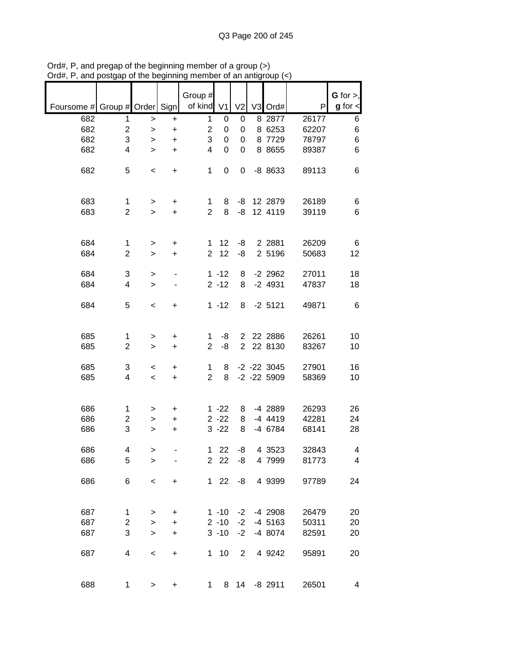|                               |                         |              |           | Group #                 |             |                  |                   |       | $G$ for $>$ ,           |
|-------------------------------|-------------------------|--------------|-----------|-------------------------|-------------|------------------|-------------------|-------|-------------------------|
| Foursome # Group # Order Sign |                         |              |           | of kind V1              |             | V <sub>2</sub>   | V3 Ord#           | P     | $g$ for $\lt$           |
| 682                           | 1                       | $\, > \,$    | +         | 1                       | 0           | 0                | 8 2877            | 26177 | 6                       |
| 682                           | 2                       | $\geq$       | $\ddot{}$ | $\overline{\mathbf{c}}$ | 0           | 0                | 8 6253            | 62207 | $\,6$                   |
| 682                           | 3                       | >            | $\ddot{}$ | 3                       | 0           | 0                | 8 7729            | 78797 | 6                       |
| 682                           | 4                       | $\geq$       | $\ddot{}$ | 4                       | $\mathbf 0$ | $\boldsymbol{0}$ | 8 8 6 5 5         | 89387 | 6                       |
|                               |                         |              |           |                         |             |                  |                   |       |                         |
| 682                           | 5                       | $\,<$        | +         | 1                       | 0           | 0                | -8 8633           | 89113 | 6                       |
|                               |                         |              |           |                         |             |                  |                   |       |                         |
|                               |                         |              |           |                         |             |                  |                   |       |                         |
| 683                           | 1                       | >            | +         | 1                       | 8           | -8               | 12 2879           | 26189 | 6                       |
| 683                           | $\overline{2}$          | $\mathbf{I}$ | $\ddot{}$ | $\overline{2}$          | 8           | -8               | 12 4119           | 39119 | 6                       |
|                               |                         |              |           |                         |             |                  |                   |       |                         |
|                               |                         |              |           |                         |             |                  |                   |       |                         |
| 684                           | 1                       | >            | +         | 1                       | 12          | -8               | 2 2 8 8 1         | 26209 | 6                       |
| 684                           | 2                       | $\, > \,$    | $\ddot{}$ | $\overline{2}$          | 12          | -8               | 2 5196            | 50683 | 12                      |
|                               |                         |              |           |                         |             |                  |                   |       |                         |
| 684                           | 3                       | >            |           |                         | $1 - 12$    | 8                | $-2$ 2962         | 27011 | 18                      |
| 684                           | 4                       | $\geq$       |           |                         | $2 - 12$    | 8                | $-2$ 4931         | 47837 | 18                      |
|                               |                         |              |           |                         |             |                  |                   |       |                         |
| 684                           | 5                       | $\,<\,$      | +         |                         | $1 - 12$    | 8                | $-2$ 5121         | 49871 | $\,6$                   |
|                               |                         |              |           |                         |             |                  |                   |       |                         |
|                               |                         |              |           |                         |             |                  |                   |       |                         |
| 685                           | 1                       | >            | +         | 1                       | -8          | $\overline{c}$   | 22 2886           | 26261 | 10                      |
| 685                           | $\overline{\mathbf{c}}$ | $\, > \,$    | $\ddot{}$ | $\overline{2}$          | -8          | $\overline{2}$   | 22 8130           | 83267 | 10                      |
|                               |                         |              |           |                         |             |                  |                   |       |                         |
| 685                           | 3                       | $\,<\,$      | +         | 1                       | 8           |                  | $-2$ $-22$ $3045$ | 27901 | 16                      |
| 685                           | 4                       | $\,<$        | $\ddot{}$ | $\overline{2}$          | 8           |                  | $-2$ $-22$ 5909   | 58369 | 10                      |
|                               |                         |              |           |                         |             |                  |                   |       |                         |
|                               |                         |              |           |                         |             |                  |                   |       |                         |
| 686                           | 1                       | >            | +         |                         | $1 - 22$    | 8                | -4 2889           | 26293 | 26                      |
| 686                           | 2                       | >            | $\ddot{}$ |                         | $2 - 22$    | 8                | -4 4419           | 42281 | 24                      |
| 686                           | 3                       | >            | $\ddot{}$ |                         | $3 - 22$    | 8                | -4 6784           | 68141 | 28                      |
| 686                           | 4                       |              |           | 1                       | 22          | -8               | 4 3 5 2 3         | 32843 | 4                       |
| 686                           | 5                       | >            |           |                         | 2 2 2       | -8               | 4 7999            | 81773 | $\overline{\mathbf{4}}$ |
|                               |                         | >            |           |                         |             |                  |                   |       |                         |
| 686                           | 6                       | $\,<$        | +         |                         | $122$       | -8               | 4 9 3 9 9         | 97789 | 24                      |
|                               |                         |              |           |                         |             |                  |                   |       |                         |
|                               |                         |              |           |                         |             |                  |                   |       |                         |
| 687                           | 1                       | >            | +         |                         | $1 - 10$    | $-2$             | -4 2908           | 26479 | 20                      |
| 687                           | 2                       | >            | +         |                         | $2 - 10$    | $-2$             | $-4$ 5163         | 50311 | 20                      |
| 687                           | 3                       | $\, > \,$    | +         |                         | $3 - 10$    | $-2$             | -4 8074           | 82591 | 20                      |
|                               |                         |              |           |                         |             |                  |                   |       |                         |
| 687                           | 4                       | $\,<$        | +         | 1                       | 10          | $\overline{2}$   | 4 9 24 2          | 95891 | 20                      |
|                               |                         |              |           |                         |             |                  |                   |       |                         |
|                               |                         |              |           |                         |             |                  |                   |       |                         |
| 688                           | 1                       | >            | $\ddot{}$ | 1                       | 8           | 14               | $-8$ 2911         | 26501 | 4                       |
|                               |                         |              |           |                         |             |                  |                   |       |                         |

Ord#, P, and pregap of the beginning member of a group (>) Ord#, P, and postgap of the beginning member of an antigroup (<)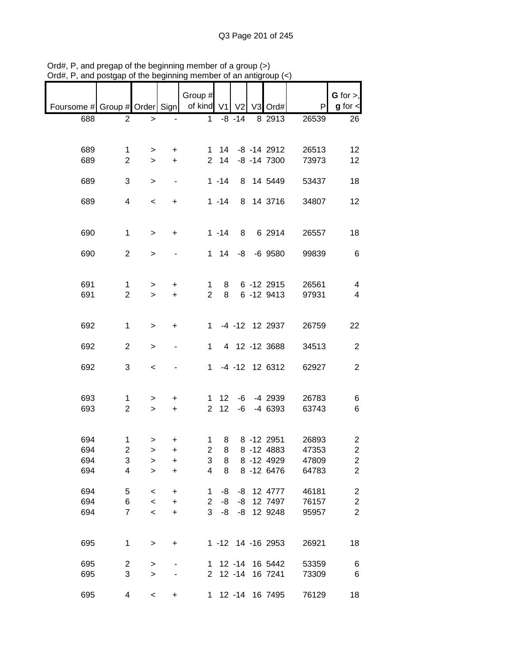|                                               |                     |                          |                        | Group #              |              |           |                             |                | G for $>$ ,                               |
|-----------------------------------------------|---------------------|--------------------------|------------------------|----------------------|--------------|-----------|-----------------------------|----------------|-------------------------------------------|
| Foursome # Group # Order Sign   of kind V1 V2 |                     |                          |                        |                      |              |           | $V3$ Ord#                   | P              | $g$ for $\lt$                             |
| 688                                           | 2                   | $\, > \,$                |                        | $\mathbf{1}$         |              | $-8 - 14$ | 8 2913                      | 26539          | 26                                        |
|                                               |                     |                          |                        |                      |              |           |                             |                |                                           |
|                                               |                     |                          |                        |                      |              |           |                             |                |                                           |
| 689                                           | 1                   | >                        | +                      | 1                    | 14           |           | $-8$ $-14$ 2912             | 26513          | 12                                        |
| 689                                           | $\overline{2}$      | $\geq$                   | $\ddot{}$              | 2 <sup>1</sup>       | 14           |           | $-8$ $-14$ $7300$           | 73973          | 12                                        |
|                                               |                     |                          |                        |                      |              |           |                             |                |                                           |
| 689                                           | 3                   | >                        | $\blacksquare$         |                      | $1 - 14$     |           | 8 14 5449                   | 53437          | 18                                        |
| 689                                           | 4                   | $\,<$                    | $\ddot{}$              |                      | $1 - 14$     |           | 8 14 3716                   | 34807          | 12                                        |
|                                               |                     |                          |                        |                      |              |           |                             |                |                                           |
|                                               |                     |                          |                        |                      |              |           |                             |                |                                           |
| 690                                           | $\mathbf{1}$        | $\geq$                   | $\ddot{}$              |                      | $1 - 14$     | 8         | 6 2914                      | 26557          | 18                                        |
|                                               |                     |                          |                        |                      |              |           |                             |                |                                           |
| 690                                           | $\overline{2}$      | $\geq$                   |                        |                      | $1 \quad 14$ |           | $-8$ $-6$ $9580$            | 99839          | 6                                         |
|                                               |                     |                          |                        |                      |              |           |                             |                |                                           |
|                                               |                     |                          |                        |                      |              |           |                             | 26561          |                                           |
| 691<br>691                                    | 1<br>$\overline{2}$ | $\, > \,$<br>$\geq$      | +<br>$\ddot{}$         | 1<br>$\overline{2}$  | 8<br>8       |           | $6 - 12$ 2915<br>6 -12 9413 | 97931          | 4<br>$\overline{4}$                       |
|                                               |                     |                          |                        |                      |              |           |                             |                |                                           |
|                                               |                     |                          |                        |                      |              |           |                             |                |                                           |
| 692                                           | $\mathbf{1}$        | $\geq$                   | $\ddot{}$              | 1                    |              |           | -4 -12 12 2937              | 26759          | 22                                        |
|                                               |                     |                          |                        |                      |              |           |                             |                |                                           |
| 692                                           | $\overline{2}$      | $\, > \,$                |                        | 1                    |              |           | 4 12 -12 3688               | 34513          | $\overline{c}$                            |
|                                               |                     |                          |                        |                      |              |           |                             |                |                                           |
| 692                                           | 3                   | $\,<$                    |                        | $\mathbf{1}$         |              |           | $-4$ $-12$ 12 6312          | 62927          | $\overline{2}$                            |
|                                               |                     |                          |                        |                      |              |           |                             |                |                                           |
| 693                                           | 1                   | >                        | +                      | 1                    | 12           |           | $-6$ $-4$ 2939              | 26783          | 6                                         |
| 693                                           | $\overline{2}$      | $\geq$                   | $\ddot{}$              | $\overline{2}$       | 12           | -6        | -4 6393                     | 63743          | 6                                         |
|                                               |                     |                          |                        |                      |              |           |                             |                |                                           |
|                                               |                     |                          |                        |                      |              |           |                             |                |                                           |
| 694                                           | 1                   | >                        | +                      | 1                    | 8            |           | 8 - 12 2951                 | 26893          | $\overline{\mathbf{c}}$                   |
| 694                                           | $\overline{c}$      | $\geq$                   | $\ddot{}$              | $\overline{2}$       | 8            |           | 8 - 12 4883                 | 47353          | $\overline{c}$                            |
| 694<br>694                                    | 3<br>4              | ><br>$\geq$              | $\ddot{}$<br>$\ddot{}$ | 3<br>$\overline{4}$  | 8<br>8       |           | 8 -12 4929<br>8 -12 6476    | 47809<br>64783 | $\overline{\mathbf{c}}$<br>$\overline{c}$ |
|                                               |                     |                          |                        |                      |              |           |                             |                |                                           |
| 694                                           | 5                   | $\,<$                    | +                      | 1                    | -8           | -8        | 12 4777                     | 46181          | $\boldsymbol{2}$                          |
| 694                                           | 6                   | $\prec$                  | $\ddot{}$              | $\overline{2}$       | -8           | -8        | 12 7497                     | 76157          | $\boldsymbol{2}$                          |
| 694                                           | $\overline{7}$      | $\overline{\phantom{0}}$ | $\ddot{}$              | 3                    | -8           | -8        | 12 9248                     | 95957          | $\overline{2}$                            |
|                                               |                     |                          |                        |                      |              |           |                             |                |                                           |
|                                               |                     |                          |                        |                      |              |           |                             |                |                                           |
| 695                                           | 1                   | $\,>$                    | $\ddot{}$              |                      |              |           | 1 -12 14 -16 2953           | 26921          | 18                                        |
| 695                                           | $\overline{c}$      |                          |                        |                      |              |           | 12 -14 16 5442              | 53359          |                                           |
| 695                                           | 3                   | ><br>$\mathbf{I}$        |                        | 1.<br>$\overline{2}$ |              |           | 12 -14 16 7241              | 73309          | 6<br>6                                    |
|                                               |                     |                          |                        |                      |              |           |                             |                |                                           |
| 695                                           | 4                   | $\,<$                    | +                      | 1                    |              |           | 12 -14 16 7495              | 76129          | 18                                        |

Ord#, P, and pregap of the beginning member of a group (>) Ord#, P, and postgap of the beginning member of an antigroup (<)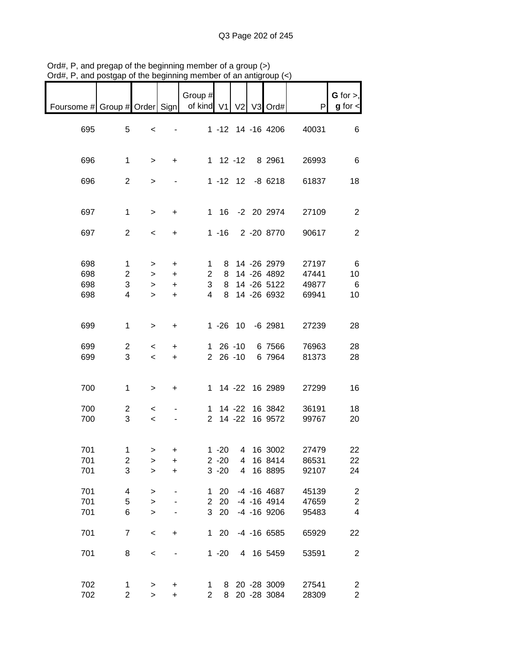|                                                           |                |                          |                              | Group $#$      |              |               |                   |       | $G$ for $>$ ,           |
|-----------------------------------------------------------|----------------|--------------------------|------------------------------|----------------|--------------|---------------|-------------------|-------|-------------------------|
| Foursome # Group # Order Sign   of kind V1   V2   V3 Ord# |                |                          |                              |                |              |               |                   | P     | $g$ for $\leq$          |
|                                                           |                |                          |                              |                |              |               |                   |       |                         |
| 695                                                       | 5              | $\,<$                    | $\qquad \qquad \blacksquare$ |                |              |               | 1 -12 14 -16 4206 | 40031 | 6                       |
|                                                           |                |                          |                              |                |              |               |                   |       |                         |
| 696                                                       | $\mathbf{1}$   | $\geq$                   | $+$                          |                |              |               | 1 12 -12 8 2961   | 26993 | 6                       |
|                                                           |                |                          |                              |                |              |               |                   |       |                         |
| 696                                                       | $\overline{2}$ | $\mathbf{I}$             |                              |                |              |               | 1 -12 12 -8 6218  | 61837 | 18                      |
|                                                           |                |                          |                              |                |              |               |                   |       |                         |
| 697                                                       | $\mathbf{1}$   | $\,$                     | $+$                          |                |              |               | 1 16 -2 20 2974   | 27109 | $\overline{2}$          |
|                                                           |                |                          |                              |                |              |               |                   |       |                         |
| 697                                                       | $\overline{2}$ | $\overline{\phantom{a}}$ | $+$                          |                |              |               | 1 -16 2 -20 8770  | 90617 | $\overline{2}$          |
|                                                           |                |                          |                              |                |              |               |                   |       |                         |
| 698                                                       | $\mathbf{1}$   |                          |                              | 1              |              |               | 8 14 -26 2979     | 27197 | 6                       |
|                                                           |                | >                        | $+$                          |                |              |               |                   |       |                         |
| 698                                                       | $\overline{2}$ | $\geq$                   | $+$                          | $\mathbf{2}$   |              |               | 8 14 -26 4892     | 47441 | 10                      |
| 698                                                       | 3              | $\geq$                   | $+$                          | 3 <sup>7</sup> |              |               | 8 14 -26 5122     | 49877 | 6                       |
| 698                                                       | $\overline{4}$ | $\geq$                   | $+$                          | $\overline{4}$ |              |               | 8 14 -26 6932     | 69941 | 10                      |
|                                                           |                |                          |                              |                |              |               |                   |       |                         |
|                                                           |                |                          |                              |                |              |               |                   |       |                         |
| 699                                                       | $\mathbf{1}$   | $\geq$                   | $+$                          |                |              |               | 1 -26 10 -6 2981  | 27239 | 28                      |
| 699                                                       | $\overline{2}$ | $\overline{\phantom{0}}$ | $\pm$                        |                |              | $1\,26\, -10$ | 6 7566            | 76963 | 28                      |
| 699                                                       | 3              | $\overline{\phantom{0}}$ | $+$                          |                | $2\ 26\ -10$ |               | 6 7964            | 81373 | 28                      |
|                                                           |                |                          |                              |                |              |               |                   |       |                         |
|                                                           |                |                          |                              |                |              |               |                   |       |                         |
| 700                                                       | $\mathbf{1}$   | $\geq$                   | $\ddot{}$                    |                |              |               | 1 14 -22 16 2989  | 27299 | 16                      |
|                                                           |                |                          |                              |                |              |               | 1 14 -22 16 3842  |       |                         |
| 700                                                       | $\overline{c}$ | $\prec$                  |                              |                |              |               |                   | 36191 | 18                      |
| 700                                                       | 3              | $\prec$                  |                              |                |              |               | 2 14 -22 16 9572  | 99767 | 20                      |
|                                                           |                |                          |                              |                |              |               |                   |       |                         |
| 701                                                       | 1              | $\, >$                   | +                            |                |              |               | 1 -20 4 16 3002   | 27479 | 22                      |
| 701                                                       | $\overline{c}$ | $\, > \,$                | +                            |                | $2 - 20$     | 4             | 16 8414           | 86531 | 22                      |
| 701                                                       | 3              | $\mathbf{I}$             | $\ddot{}$                    |                | $3 - 20$     | 4             | 16 8895           | 92107 | 24                      |
|                                                           |                |                          |                              |                |              |               |                   |       |                         |
| 701                                                       | 4              | $\, > \,$                |                              | $\mathbf 1$    | 20           |               | -4 -16 4687       | 45139 | $\overline{c}$          |
| 701                                                       | 5              | $\, > \,$                |                              | $\mathbf{2}$   | 20           |               | $-4$ $-16$ $4914$ | 47659 | $\boldsymbol{2}$        |
| 701                                                       | 6              | $\geq$                   |                              | 3 <sup>1</sup> | 20           |               | $-4$ $-16$ 9206   | 95483 | $\overline{\mathbf{4}}$ |
|                                                           |                |                          |                              |                |              |               |                   |       |                         |
| 701                                                       | $\overline{7}$ | $\,<$                    | $\ddot{}$                    |                | $1 \quad 20$ |               | $-4$ $-16$ 6585   | 65929 | 22                      |
|                                                           |                |                          |                              |                |              |               |                   |       |                         |
| 701                                                       | 8              | $\,<$                    |                              |                | $1 - 20$     |               | 4 16 5459         | 53591 | $\overline{2}$          |
|                                                           |                |                          |                              |                |              |               |                   |       |                         |
| 702                                                       | 1              | >                        | +                            | $\mathbf{1}$   |              |               | 8 20 -28 3009     | 27541 | $\overline{c}$          |
| 702                                                       | $\overline{2}$ | $\, > \,$                | $\ddot{}$                    | $\overline{2}$ | 8            |               | 20 - 28 3084      | 28309 | $\overline{c}$          |

Ord#, P, and pregap of the beginning member of a group (>) Ord#, P, and postgap of the beginning member of an antigroup (<)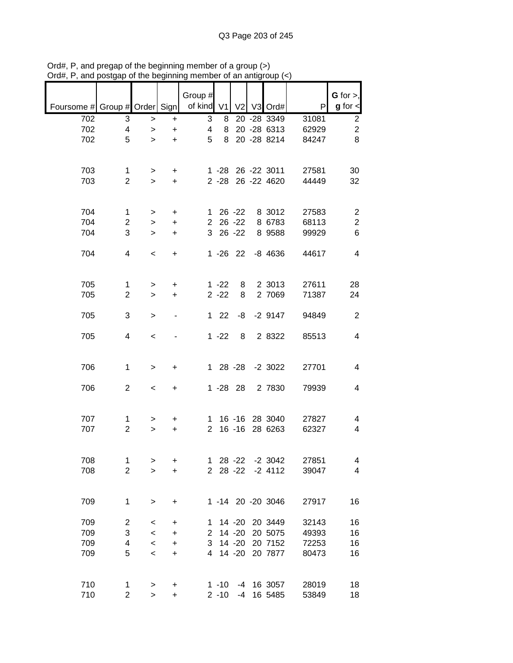|                               |                     |                |                | Group #              |             |                |                           |                | G for $>$ ,                  |
|-------------------------------|---------------------|----------------|----------------|----------------------|-------------|----------------|---------------------------|----------------|------------------------------|
| Foursome # Group # Order Sign |                     |                |                | of kind V1           |             | V <sub>2</sub> | V3 Ord#                   | P              | $g$ for $\lt$                |
| 702                           | 3                   | $\geq$         | +              | 3                    | 8           |                | 20 - 28 3349              | 31081          | $\overline{\mathbf{c}}$      |
| 702                           | 4                   | $\geq$         | $\ddot{}$      | 4                    | 8           |                | 20 - 28 6313              | 62929          | $\overline{c}$               |
| 702                           | 5                   | $\geq$         | $\ddot{}$      | 5                    | 8           |                | 20 - 28 8214              | 84247          | 8                            |
|                               |                     |                |                |                      |             |                |                           |                |                              |
| 703                           | 1                   | >              | $\ddot{}$      |                      | $1 - 28$    |                | 26 -22 3011               | 27581          | 30                           |
| 703                           | $\overline{2}$      | $\geq$         | $+$            |                      |             |                | 2 -28 26 -22 4620         | 44449          | 32                           |
|                               |                     |                |                |                      |             |                |                           |                |                              |
| 704                           | 1                   |                |                |                      | $126 -22$   |                | 8 3012                    | 27583          |                              |
| 704                           | 2                   | $\, > \,$<br>> | +<br>$\ddot{}$ | $\overline{2}$       |             | $26 - 22$      | 8 6783                    | 68113          | 2<br>$\overline{\mathbf{c}}$ |
| 704                           | 3                   | $\,>$          | $\ddot{}$      | 3                    |             | $26 - 22$      | 8 9 5 8 8                 | 99929          | 6                            |
|                               |                     |                |                |                      |             |                |                           |                |                              |
| 704                           | 4                   | $\,<\,$        | $\ddot{}$      |                      |             |                | 1 -26 22 -8 4636          | 44617          | 4                            |
|                               |                     |                |                |                      |             |                |                           |                |                              |
| 705                           |                     |                |                |                      | $1 - 22$    |                | 2 3013                    | 27611          |                              |
| 705                           | 1<br>$\overline{2}$ | ><br>$\geq$    | +<br>$\ddot{}$ |                      | $2 - 22$    | 8<br>8         | 2 7069                    | 71387          | 28<br>24                     |
|                               |                     |                |                |                      |             |                |                           |                |                              |
| 705                           | 3                   | $\geq$         |                | 1.                   | 22          | -8             | $-2$ 9147                 | 94849          | $\overline{2}$               |
|                               |                     |                |                |                      |             |                |                           |                |                              |
| 705                           | 4                   | $\prec$        |                |                      | $1 - 22$    | 8              | 2 8322                    | 85513          | 4                            |
|                               |                     |                |                |                      |             |                |                           |                |                              |
| 706                           | 1                   | >              | +              |                      |             | 1 28 -28       | $-2$ 3022                 | 27701          | 4                            |
|                               |                     |                |                |                      |             |                |                           |                |                              |
| 706                           | $\overline{2}$      | $\,<\,$        | +              |                      | $1 - 28$ 28 |                | 2 7830                    | 79939          | 4                            |
|                               |                     |                |                |                      |             |                |                           |                |                              |
|                               |                     |                |                |                      |             |                |                           |                |                              |
| 707<br>707                    | 1<br>$\overline{2}$ | ><br>$\geq$    | +<br>$\ddot{}$ | 1.<br>$\overline{2}$ |             | $16 - 16$      | 16 -16 28 3040<br>28 6263 | 27827<br>62327 | 4<br>4                       |
|                               |                     |                |                |                      |             |                |                           |                |                              |
|                               |                     |                |                |                      |             |                |                           |                |                              |
| 708                           | 1                   | >              | +              | 1                    |             | $28 - 22$      | $-2$ 3042                 | 27851          | 4                            |
| 708                           | $\overline{2}$      | $\geq$         | $\ddot{}$      | $\overline{2}$       |             | $28 - 22$      | $-2$ 4112                 | 39047          | 4                            |
|                               |                     |                |                |                      |             |                |                           |                |                              |
| 709                           | $\mathbf 1$         | $\, > \,$      | +              |                      |             |                | 1 -14 20 -20 3046         | 27917          | 16                           |
|                               |                     |                |                |                      |             |                |                           |                |                              |
| 709                           | $\overline{2}$      | $\,<\,$        | +              | 1                    |             | $14 - 20$      | 20 3449                   | 32143          | 16                           |
| 709                           | 3                   | $\,<\,$        | +              | $\mathbf{2}$         |             | $14 - 20$      | 20 5075                   | 49393          | 16                           |
| 709                           | 4                   | $\,<\,$        | $\ddot{}$      | 3                    |             | $14 - 20$      | 20 7152                   | 72253          | 16                           |
| 709                           | 5                   | $\,<\,$        | $\ddot{}$      | 4                    |             | $14 - 20$      | 20 7877                   | 80473          | 16                           |
|                               |                     |                |                |                      |             |                |                           |                |                              |
| 710                           | 1                   | $\,$           | +              |                      | $1 - 10$    |                | -4 16 3057                | 28019          | 18                           |
| 710                           | $\overline{2}$      | $\geq$         | +              |                      | $2 - 10$    |                | -4 16 5485                | 53849          | 18                           |

Ord#, P, and pregap of the beginning member of a group (>) Ord#, P, and postgap of the beginning member of an antigroup (<)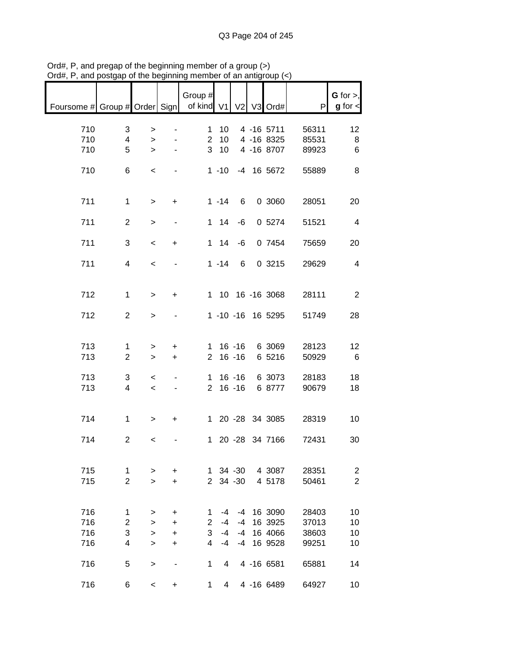| $^{\prime}$ iu $\pi,$ i $\ ,$                         | and postgap or the beginning |                                                      |                                                                            | 110111001                                     |                            |                          | or an amigroup (*                        |                                  |                                           |
|-------------------------------------------------------|------------------------------|------------------------------------------------------|----------------------------------------------------------------------------|-----------------------------------------------|----------------------------|--------------------------|------------------------------------------|----------------------------------|-------------------------------------------|
| Foursome # Group # Order Sign   of kind V1 V2 V3 Ord# |                              |                                                      |                                                                            | Group #                                       |                            |                          |                                          | P                                | G for $>$ ,<br>$g$ for $\lt$              |
| 710<br>710<br>710                                     | 3<br>4<br>5                  | $\, > \,$<br>$\geq$<br>$\geq$                        | $\qquad \qquad \blacksquare$<br>$\overline{\phantom{a}}$<br>$\blacksquare$ | $\mathbf 1$<br>$\overline{2}$<br>$\mathbf{3}$ | 10<br>10<br>10             |                          | 4 -16 5711<br>4 -16 8325<br>4 -16 8707   | 56311<br>85531<br>89923          | 12<br>8<br>6                              |
| 710                                                   | 6                            | $\,<$                                                |                                                                            |                                               | $1 - 10$                   |                          | -4 16 5672                               | 55889                            | 8                                         |
| 711                                                   | $\mathbf{1}$                 | $\, > \,$                                            | $\ddot{}$                                                                  |                                               | $1 - 14$                   | 6                        | 0 3060                                   | 28051                            | 20                                        |
| 711                                                   | $\overline{2}$               | $\, > \,$                                            |                                                                            |                                               | $1 \quad 14$               | -6                       | 0 5274                                   | 51521                            | $\overline{4}$                            |
| 711                                                   | 3                            | $\,<$                                                | $\ddot{}$                                                                  |                                               | $1 \quad 14$               | -6                       | 0 7454                                   | 75659                            | 20                                        |
| 711                                                   | $\overline{4}$               | $\overline{\phantom{0}}$                             |                                                                            |                                               | $1 - 14$                   | 6                        | 0 3215                                   | 29629                            | $\overline{4}$                            |
| 712                                                   | $\mathbf{1}$                 | $\geq$                                               | $+$                                                                        |                                               |                            |                          | 1 10 16 -16 3068                         | 28111                            | $\overline{2}$                            |
| 712                                                   | $\overline{2}$               | $\mathbf{I}$                                         | ۰                                                                          |                                               |                            |                          | 1 -10 -16 16 5295                        | 51749                            | 28                                        |
| 713<br>713                                            | 1<br>$\overline{2}$          | $\, > \,$<br>$\,$                                    | $\ddot{}$<br>$+$                                                           |                                               | $2 16 - 16$                |                          | 1 16 -16 6 3069<br>6 5216                | 28123<br>50929                   | 12<br>6                                   |
| 713<br>713                                            | 3<br>$\overline{4}$          | $\overline{\phantom{a}}$<br>$\overline{\phantom{a}}$ | $\overline{\phantom{a}}$                                                   |                                               | $1 16 - 16$<br>$2 16 - 16$ |                          | 6 3073<br>6 8777                         | 28183<br>90679                   | 18<br>18                                  |
| 714                                                   | $\mathbf{1}$                 | $\, > \,$                                            | $\ddot{}$                                                                  |                                               |                            |                          | 1 20 -28 34 3085                         | 28319                            | 10                                        |
| 714                                                   | $\overline{2}$               | $\,<\,$                                              |                                                                            |                                               |                            |                          | 1 20 -28 34 7166                         | 72431                            | 30                                        |
| 715<br>715                                            | 1<br>$\overline{2}$          | ><br>$\geq$                                          | +<br>$\ddot{}$                                                             | 1.<br>$\overline{2}$                          |                            | $34 - 30$<br>$34 - 30$   | 4 3087<br>4 5178                         | 28351<br>50461                   | $\overline{\mathbf{c}}$<br>$\overline{2}$ |
| 716<br>716<br>716<br>716                              | 1<br>2<br>3<br>4             | ><br>><br>$\,$<br>$\, > \,$                          | $\ddot{}$<br>$\ddot{}$<br>$\ddot{}$<br>$\ddot{}$                           | 1<br>$\overline{2}$<br>3<br>$\overline{4}$    | -4<br>$-4$<br>$-4$<br>$-4$ | -4<br>-4<br>$-4$<br>$-4$ | 16 3090<br>16 3925<br>16 4066<br>16 9528 | 28403<br>37013<br>38603<br>99251 | 10<br>10<br>10<br>10                      |
| 716                                                   | 5                            | $\, > \,$                                            |                                                                            | 1                                             | 4                          |                          | 4 -16 6581                               | 65881                            | 14                                        |
| 716                                                   | 6                            | $\,<\,$                                              | +                                                                          | 1                                             | 4                          |                          | 4 -16 6489                               | 64927                            | 10                                        |

Ord#, P, and pregap of the beginning member of a group (>) Ord#, P, and postgap of the beginning member of an antigroup (<)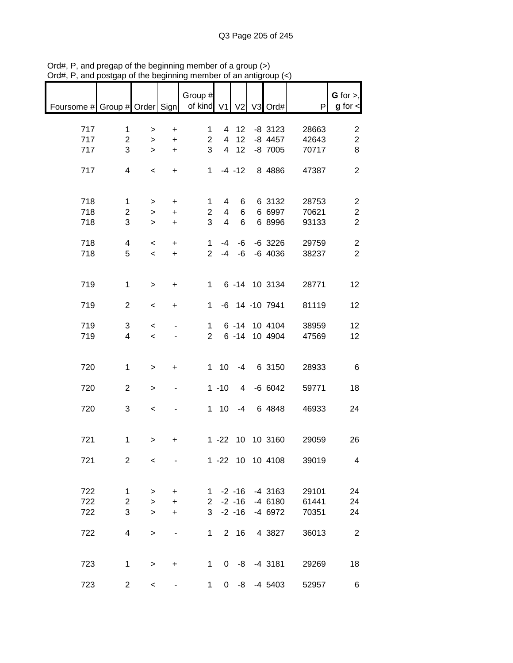| Foursome # Group # Order Sign   of kind V1   V2   V3 Ord# |                                     |                                                      |                               | Group #                                    |                                       |                        |                                            | P                       | G for $>$ ,<br>$g$ for $\lt$                                  |
|-----------------------------------------------------------|-------------------------------------|------------------------------------------------------|-------------------------------|--------------------------------------------|---------------------------------------|------------------------|--------------------------------------------|-------------------------|---------------------------------------------------------------|
| 717<br>717<br>717                                         | $\mathbf{1}$<br>$\overline{2}$<br>3 | $\, >$<br>$\geq$<br>$\geq$                           | $\ddot{}$<br>$\ddot{}$<br>$+$ | $\mathbf 1$<br>$\overline{2}$<br>3         |                                       | 4 12<br>4 12<br>4 12   | $-8$ 3123<br>-8 4457<br>$-8$ 7005          | 28663<br>42643<br>70717 | $\overline{c}$<br>$\overline{c}$<br>8                         |
| 717                                                       | 4                                   | $\,<$                                                | $+$                           |                                            |                                       |                        | 1 -4 -12 8 4886                            | 47387                   | $\overline{2}$                                                |
| 718<br>718<br>718                                         | $\mathbf{1}$<br>$\overline{a}$<br>3 | $\geq$<br>$\,$<br>$\geq$                             | $+$<br>$+$<br>$+$             | 1<br>$\overline{2}$<br>3                   | 4<br>$\overline{4}$<br>$\overline{4}$ | 6<br>6<br>$\,6\,$      | 6 3132<br>6 6997<br>6 8996                 | 28753<br>70621<br>93133 | $\overline{\mathbf{c}}$<br>$\boldsymbol{2}$<br>$\overline{2}$ |
| 718<br>718                                                | $\overline{4}$<br>5                 | $\overline{\phantom{a}}$<br>$\overline{\phantom{a}}$ | $+$<br>$+$                    |                                            |                                       |                        | 1 -4 -6 -6 3226<br>2 -4 -6 -6 4036         | 29759<br>38237          | $\overline{c}$<br>$\overline{2}$                              |
| 719                                                       | $\mathbf{1}$                        | $\,>$                                                | $+$                           |                                            |                                       |                        | 1 6 -14 10 3134                            | 28771                   | 12                                                            |
| 719                                                       | $\overline{2}$                      | $\,<$                                                | $\ddot{}$                     |                                            |                                       |                        | 1 -6 14 -10 7941                           | 81119                   | 12                                                            |
| 719<br>719                                                | 3<br>$\overline{4}$                 | $\overline{\phantom{0}}$<br>$\prec$                  |                               | $2^{\circ}$                                | $1 \quad$                             |                        | 6 -14 10 4104<br>6 -14 10 4904             | 38959<br>47569          | 12<br>12                                                      |
| 720                                                       | $\mathbf 1$                         | $\, >$                                               | $+$                           |                                            |                                       |                        | 1 10 -4 6 3150                             | 28933                   | 6                                                             |
| 720                                                       | $\overline{2}$                      | $\,$                                                 | ٠                             |                                            | $1 - 10$                              |                        | 4 -6 6042                                  | 59771                   | 18                                                            |
| 720                                                       | 3                                   | $\,<$                                                |                               |                                            |                                       |                        | 1 10 -4 6 4848                             | 46933                   | 24                                                            |
| 721                                                       | $\mathbf 1$                         | >                                                    | +                             |                                            |                                       |                        | 1 -22 10 10 3160                           | 29059                   | 26                                                            |
| 721                                                       | $\overline{2}$                      | $\,<\,$                                              |                               |                                            |                                       |                        | 1 -22 10 10 4108                           | 39019                   | 4                                                             |
| 722<br>722<br>722                                         | 1<br>$\overline{c}$<br>3            | ><br>$\mathbf{I}$<br>$\geq$                          | $\ddot{}$<br>+<br>$\ddot{}$   | $1 \quad$<br>$2^{\circ}$<br>3 <sup>1</sup> |                                       | $-2 - 16$<br>$-2 - 16$ | $-2$ $-16$ $-4$ 3163<br>-4 6180<br>-4 6972 | 29101<br>61441<br>70351 | 24<br>24<br>24                                                |
| 722                                                       | 4                                   | $\geq$                                               | $\qquad \qquad \blacksquare$  | 1                                          |                                       | 2 16                   | 4 3827                                     | 36013                   | $\overline{2}$                                                |
| 723                                                       | $\mathbf{1}$                        | $\,$                                                 | +                             | 1                                          |                                       |                        | $0 -8 -43181$                              | 29269                   | 18                                                            |
| 723                                                       | $\overline{c}$                      | $\overline{\phantom{a}}$                             |                               | $\mathbf{1}$                               |                                       |                        | $0 -8 -45403$                              | 52957                   | 6                                                             |

Ord#, P, and pregap of the beginning member of a group (>) Ord#, P, and postgap of the beginning member of an antigroup (<)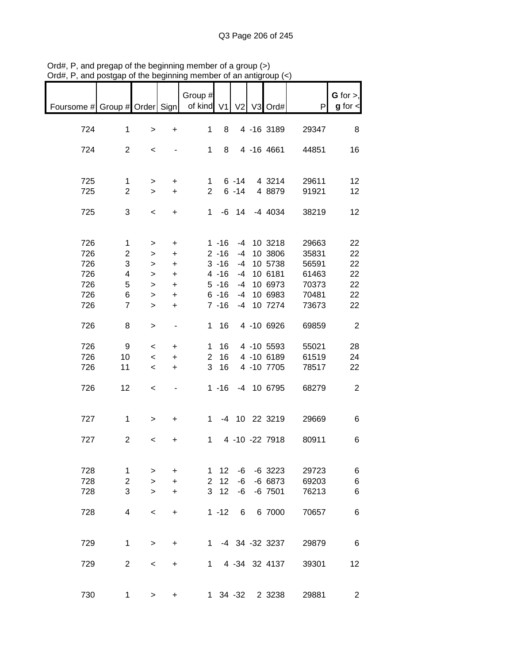| Foursome # Group # Order Sign   of kind V1 V2 V3 Ord# |                                   |                                                |                               | Group #                  |                                  |                |                                             | P                       | $G$ for $>$ ,<br>$g$ for $\lt$ |
|-------------------------------------------------------|-----------------------------------|------------------------------------------------|-------------------------------|--------------------------|----------------------------------|----------------|---------------------------------------------|-------------------------|--------------------------------|
| 724                                                   | $\mathbf 1$                       | $\,$                                           | $+$                           | 1                        | 8                                |                | 4 -16 3189                                  | 29347                   | 8                              |
| 724                                                   | $\overline{2}$                    | $\overline{\phantom{a}}$                       |                               |                          |                                  |                | 1 8 4 -16 4661                              | 44851                   | 16                             |
| 725<br>725                                            | $\mathbf 1$<br>$\overline{2}$     | $\geq$<br>$\geq$                               | $\ddot{}$<br>$+$              |                          |                                  |                | 1 6 -14 4 3214<br>2 6 -14 4 8879            | 29611<br>91921          | 12<br>12                       |
| 725                                                   | 3                                 | $\overline{\phantom{a}}$                       | $+$                           |                          |                                  |                | 1 -6 14 -4 4034                             | 38219                   | 12                             |
| 726<br>726                                            | $\mathbf{1}$<br>$\overline{2}$    | ><br>$\geq$                                    | $\ddot{}$<br>$+$              |                          | $2 - 16$                         |                | 1 -16 -4 10 3218<br>-4 10 3806              | 29663<br>35831          | 22<br>22                       |
| 726<br>726<br>726                                     | 3<br>$\overline{\mathbf{4}}$<br>5 | $\geq$<br>$\geq$<br>$\geq$                     | $+$<br>$+$<br>$+$             |                          | $3 - 16$<br>$4 - 16$<br>$5 - 16$ |                | -4 10 5738<br>-4 10 6181<br>-4 10 6973      | 56591<br>61463<br>70373 | 22<br>22<br>22                 |
| 726<br>726                                            | 6<br>$\overline{7}$               | $\geq$<br>$\geq$                               | $+$<br>$+$                    |                          | $6 - 16$<br>$7 - 16$             |                | -4 10 6983<br>-4 10 7274                    | 70481<br>73673          | 22<br>22                       |
| 726                                                   | 8                                 | $\geq$                                         | $\blacksquare$                |                          | 1 16                             |                | 4 -10 6926                                  | 69859                   | $\overline{\phantom{a}}$       |
| 726<br>726<br>726                                     | 9<br>10 <sup>°</sup><br>11        | $\,<\,$<br>$\,<\,$<br>$\overline{\phantom{a}}$ | $\ddot{}$<br>$\ddot{}$<br>$+$ |                          | 1 16<br>3 16                     |                | 4 -10 5593<br>2 16 4 -10 6189<br>4 -10 7705 | 55021<br>61519<br>78517 | 28<br>24<br>22                 |
| 726                                                   | 12                                | $\,<$                                          | $\sim 100$                    |                          |                                  |                | 1 -16 -4 10 6795                            | 68279                   | $\overline{2}$                 |
| 727                                                   | $\mathbf{1}$                      | $\geq$                                         | $+$                           |                          |                                  |                | 1 -4 10 22 3219                             | 29669                   | 6                              |
| 727                                                   | $\overline{2}$                    | $\overline{\phantom{a}}$                       | +                             |                          |                                  |                | 1 4 -10 -22 7918                            | 80911                   | 6                              |
| 728<br>728<br>728                                     | 1<br>$\overline{2}$<br>3          | ><br>$\geq$<br>$\geq$                          | $\ddot{}$<br>+<br>$\ddot{}$   | 1<br>$\overline{2}$<br>3 | 12<br>12<br>12                   | -6<br>-6<br>-6 | $-6$ 3223<br>$-66673$<br>$-6$ 7501          | 29723<br>69203<br>76213 | 6<br>6<br>6                    |
| 728                                                   | 4                                 | $\,<\,$                                        | $\ddot{}$                     |                          | $1 - 12$                         | 6              | 6 7000                                      | 70657                   | 6                              |
| 729                                                   | 1                                 | $\, > \,$                                      | $\ddot{}$                     | $1 \quad$                |                                  |                | -4 34 -32 3237                              | 29879                   | 6                              |
| 729                                                   | $\overline{2}$                    | $\,<\,$                                        | $\ddot{}$                     | 1                        |                                  |                | 4 -34 32 4137                               | 39301                   | 12                             |
| 730                                                   | 1                                 | $\geq$                                         | +                             |                          |                                  |                | 1 34 -32 2 3238                             | 29881                   | $\overline{2}$                 |

Ord#, P, and pregap of the beginning member of a group (>) Ord#, P, and postgap of the beginning member of an antigroup (<)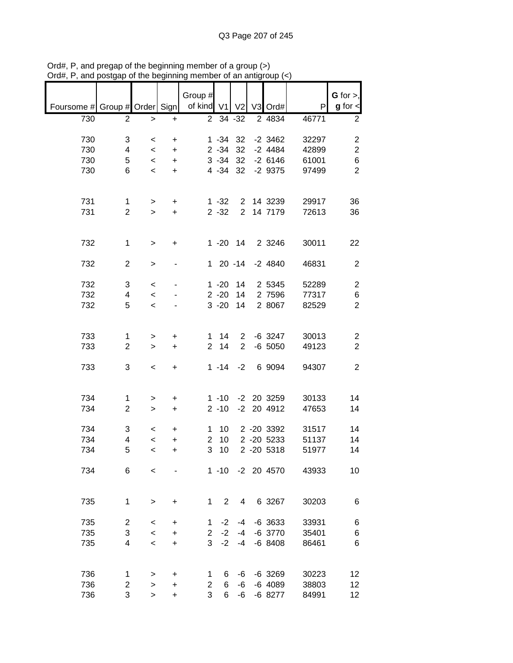|                               |                |                          |           | Group #<br>of kind V1 |                      | V <sub>2</sub>                 | V3 Ord#          | P              | $G$ for $>$ ,<br>$g$ for $\lt$ |
|-------------------------------|----------------|--------------------------|-----------|-----------------------|----------------------|--------------------------------|------------------|----------------|--------------------------------|
| Foursome # Group # Order Sign |                |                          |           |                       |                      |                                |                  |                |                                |
| 730                           | $\overline{2}$ | $\, >$                   | +         | $\overline{2}$        |                      | 34 - 32                        | 2 4834           | 46771          | $\overline{2}$                 |
| 730                           | 3              | $\,<\,$                  | +         |                       | $1 - 34$             | 32                             | $-2$ 3462        | 32297          | $\overline{\mathbf{c}}$        |
| 730                           | 4              | $\overline{\phantom{a}}$ | $\ddot{}$ |                       | $2 - 34$             | 32                             | $-2$ 4484        | 42899          | $\overline{2}$                 |
| 730                           | 5              | $\,<$                    | $\ddot{}$ |                       | $3 - 34$             | 32                             | $-26146$         | 61001          | 6                              |
| 730                           | 6              | $\,<$                    | $\ddot{}$ |                       | $4 - 34$             | 32                             | $-2$ 9375        | 97499          | $\overline{2}$                 |
|                               |                |                          |           |                       |                      |                                |                  |                |                                |
|                               |                |                          |           |                       |                      |                                |                  |                |                                |
| 731<br>731                    | 1              | >                        | +         |                       | $1 - 32$<br>$2 - 32$ | $\mathbf{2}$<br>$\overline{2}$ | 14 3239          | 29917          | 36                             |
|                               | $\overline{2}$ | $\geq$                   | $\ddot{}$ |                       |                      |                                | 14 7179          | 72613          | 36                             |
|                               |                |                          |           |                       |                      |                                |                  |                |                                |
| 732                           | 1              | $\,>$                    | +         |                       | $1 - 20$             | 14                             | 2 3 2 4 6        | 30011          | 22                             |
|                               |                |                          |           |                       |                      |                                |                  |                |                                |
| 732                           | $\overline{2}$ | >                        |           | $\mathbf{1}$          |                      | $20 - 14$                      | $-2$ 4840        | 46831          | $\overline{2}$                 |
| 732                           |                |                          |           |                       | $1 - 20$             | 14                             | 2 5345           |                |                                |
| 732                           | 3<br>4         | $\,<\,$<br>$\,<\,$       |           |                       | $2 - 20$             | 14                             | 2 7596           | 52289<br>77317 | $\overline{c}$<br>$\,6$        |
| 732                           | 5              | $\,<$                    |           |                       | $3 - 20$             | 14                             | 2 8067           | 82529          | $\overline{2}$                 |
|                               |                |                          |           |                       |                      |                                |                  |                |                                |
|                               |                |                          |           |                       |                      |                                |                  |                |                                |
| 733                           | 1              | >                        | $\ddot{}$ | 1                     | 14                   | $\overline{2}$                 | $-6$ 3247        | 30013          | $\overline{\mathbf{c}}$        |
| 733                           | $\overline{2}$ | $\, > \,$                | $\ddot{}$ | $\overline{2}$        | 14                   | $\overline{2}$                 | $-6$ 5050        | 49123          | $\overline{c}$                 |
|                               | 3              |                          |           |                       |                      | $-2$                           |                  |                | $\overline{2}$                 |
| 733                           |                | $\,<$                    | +         |                       | $1 - 14$             |                                | 6 9094           | 94307          |                                |
|                               |                |                          |           |                       |                      |                                |                  |                |                                |
| 734                           | 1              | >                        | +         |                       | $1 - 10$             |                                | -2 20 3259       | 30133          | 14                             |
| 734                           | $\overline{2}$ | $\, > \,$                | $\ddot{}$ |                       | $2 - 10$             | $-2$                           | 20 4912          | 47653          | 14                             |
|                               |                |                          |           |                       |                      |                                |                  |                |                                |
| 734                           | 3              | $\,<\,$                  | +         | 1                     | 10                   |                                | 2 -20 3392       | 31517          | 14                             |
| 734                           | 4              | $\,<\,$                  | $\ddot{}$ | $\overline{2}$        | 10                   |                                | 2 -20 5233       | 51137          | 14                             |
| 734                           | 5              | $\overline{\phantom{a}}$ | $\ddot{}$ | 3                     | 10                   |                                | 2 -20 5318       | 51977          | 14                             |
| 734                           | 6              | $\prec$                  |           |                       |                      |                                | 1 -10 -2 20 4570 | 43933          | 10                             |
|                               |                |                          |           |                       |                      |                                |                  |                |                                |
|                               |                |                          |           |                       |                      |                                |                  |                |                                |
| 735                           | 1              | $\, >$                   | $\ddot{}$ | 1                     | $\overline{2}$       | 4                              | 6 3267           | 30203          | 6                              |
|                               |                |                          |           |                       |                      |                                |                  |                |                                |
| 735                           | $\overline{c}$ | $\,<$                    | +         | 1                     | $-2$                 | -4                             | $-6$ 3633        | 33931          | 6                              |
| 735                           | 3              | $\,<\,$                  | +         | $\overline{2}$        | $-2$                 | $-4$                           | $-6$ 3770        | 35401          | 6                              |
| 735                           | 4              | $\,<\,$                  | +         | 3                     | $-2$                 | -4                             | $-68408$         | 86461          | 6                              |
|                               |                |                          |           |                       |                      |                                |                  |                |                                |
| 736                           | 1              | >                        | $\ddot{}$ | 1                     | 6                    | -6                             | $-6$ 3269        | 30223          | 12                             |
| 736                           | 2              | $\,>$                    | +         | $\overline{2}$        | 6                    | -6                             | $-6$ 4089        | 38803          | 12                             |
| 736                           | 3              | $\,$                     | +         | 3                     | 6                    | -6                             | $-6$ 8277        | 84991          | $12 \,$                        |

Ord#, P, and pregap of the beginning member of a group (>) Ord#, P, and postgap of the beginning member of an antigroup (<)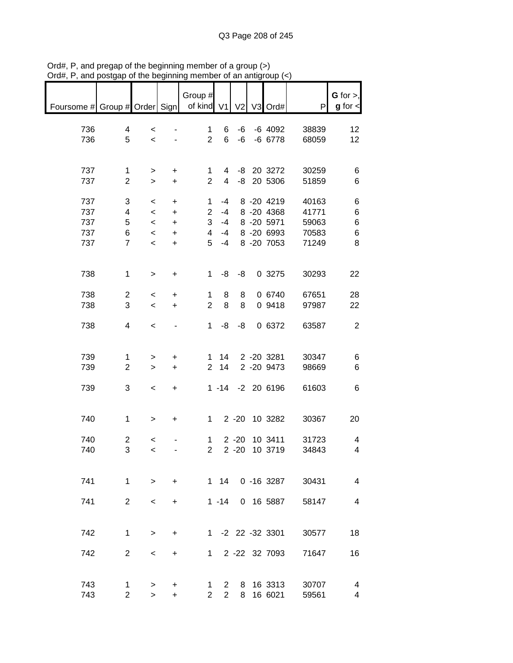| $max$ , $max$ , and posigap or the beginning member |                         |                          |                          |                       |                |          | or am annyroup (1 |       |                          |
|-----------------------------------------------------|-------------------------|--------------------------|--------------------------|-----------------------|----------------|----------|-------------------|-------|--------------------------|
|                                                     |                         |                          |                          | Group #               |                |          |                   |       | $G$ for $>$ ,            |
| Foursome # Group # Order Sign                       |                         |                          |                          | of kind V1 V2 V3 Ord# |                |          |                   | P     | $g$ for $\lt$            |
|                                                     |                         |                          |                          |                       |                |          |                   |       |                          |
| 736                                                 | 4                       | $\,<\,$                  |                          | 1                     | 6              | -6       | -6 4092           | 38839 | 12                       |
| 736                                                 | 5                       | $\prec$                  |                          | $\overline{2}$        | 6              | -6       | -6 6778           | 68059 | 12                       |
|                                                     |                         |                          |                          |                       |                |          |                   |       |                          |
| 737                                                 | 1                       | $\geq$                   | $\ddot{}$                | 1                     | 4              |          | -8 20 3272        | 30259 | 6                        |
| 737                                                 | $\mathbf{2}$            | $\geq$                   | $+$                      | $\overline{2}$        | $\overline{4}$ |          | -8 20 5306        | 51859 | 6                        |
|                                                     |                         |                          |                          |                       |                |          |                   |       |                          |
| 737                                                 | 3                       | $\,<\,$                  | $\ddot{}$                | $\mathbf{1}$          | -4             |          | 8 -20 4219        | 40163 | 6                        |
| 737                                                 | 4                       | $\prec$                  | $\ddot{}$                | $\overline{2}$        | $-4$           |          | 8 -20 4368        | 41771 | 6                        |
| 737                                                 | 5                       | $\overline{\phantom{a}}$ | $+$                      | 3                     | $-4$           |          | 8 -20 5971        | 59063 | 6                        |
| 737                                                 | 6                       | $\overline{\phantom{a}}$ | $\ddot{}$                | $\overline{4}$        | -4             |          | 8 -20 6993        | 70583 | 6                        |
| 737                                                 | $\overline{7}$          | $\,<$                    | $\ddot{}$                | 5                     | $-4$           |          | 8 -20 7053        | 71249 | 8                        |
|                                                     |                         |                          |                          |                       |                |          |                   |       |                          |
|                                                     |                         |                          |                          |                       |                |          |                   |       |                          |
| 738                                                 | $\mathbf 1$             | $\,>$                    | $\ddot{}$                | $\mathbf{1}$          | -8             | -8       | 0 3275            | 30293 | 22                       |
| 738                                                 | $\overline{c}$          | $\,<$                    | +                        | 1                     | 8              | 8        | 0 6740            | 67651 | 28                       |
| 738                                                 | 3                       | $\,<$                    | $\ddot{}$                | $\overline{2}$        | 8              | 8        | 0 9418            | 97987 | 22                       |
|                                                     |                         |                          |                          |                       |                |          |                   |       |                          |
| 738                                                 | 4                       | $\,<$                    | $\overline{\phantom{a}}$ | $\mathbf{1}$          | -8             | -8       | 0 6372            | 63587 | $\sqrt{2}$               |
|                                                     |                         |                          |                          |                       |                |          |                   |       |                          |
|                                                     |                         |                          |                          |                       |                |          |                   |       |                          |
| 739                                                 | 1                       | $\geq$                   | +                        | 1                     | 14             |          | 2 -20 3281        | 30347 | 6                        |
| 739                                                 | $\overline{2}$          | $\geq$                   | $\ddot{}$                | $\overline{2}$        | 14             |          | 2 -20 9473        | 98669 | 6                        |
|                                                     |                         |                          |                          |                       |                |          |                   |       |                          |
| 739                                                 | 3                       | $\overline{\phantom{a}}$ | $+$                      |                       |                |          | 1 -14 -2 20 6196  | 61603 | 6                        |
|                                                     |                         |                          |                          |                       |                |          |                   |       |                          |
|                                                     |                         |                          |                          |                       |                |          |                   |       |                          |
| 740                                                 | $\mathbf 1$             | $\geq$                   | $\ddot{}$                | $1 \quad$             |                |          | 2 -20 10 3282     | 30367 | 20                       |
| 740                                                 | $\overline{\mathbf{c}}$ | $\,<$                    |                          | 1                     |                | $2 - 20$ | 10 3411           | 31723 | 4                        |
| 740                                                 | 3                       | $\prec$                  |                          | $\overline{2}$        |                |          | 2 -20 10 3719     | 34843 | $\overline{\mathcal{A}}$ |
|                                                     |                         |                          |                          |                       |                |          |                   |       |                          |
|                                                     |                         |                          |                          |                       |                |          |                   |       |                          |
| 741                                                 | 1                       | $\geq$                   | $\ddot{}$                |                       | 1 14           |          | 0 -16 3287        | 30431 | 4                        |
|                                                     |                         |                          |                          |                       |                |          |                   |       |                          |
| 741                                                 | $\overline{2}$          | $\,<\,$                  | $\ddot{}$                |                       | $1 - 14$       |          | 0 16 5887         | 58147 | 4                        |
|                                                     |                         |                          |                          |                       |                |          |                   |       |                          |
|                                                     |                         |                          |                          |                       |                |          |                   |       |                          |
| 742                                                 | 1                       | $\,>$                    | +                        |                       |                |          | 1 -2 22 -32 3301  | 30577 | 18                       |
|                                                     |                         |                          |                          |                       |                |          |                   |       |                          |
| 742                                                 | $\overline{2}$          | $\,<\,$                  | +                        | 1                     |                |          | 2 -22 32 7093     | 71647 | 16                       |
|                                                     |                         |                          |                          |                       |                |          |                   |       |                          |
| 743                                                 | 1                       | >                        | +                        | 1                     | $\overline{2}$ | 8        | 16 3313           | 30707 | 4                        |
| 743                                                 | $\overline{2}$          | $\geq$                   | $\ddot{}$                | $\overline{2}$        | $\overline{2}$ | 8        | 16 6021           | 59561 | 4                        |

Ord#, P, and pregap of the beginning member of a group (>) Ord#, P, and postgap of the beginning member of an antigroup (<)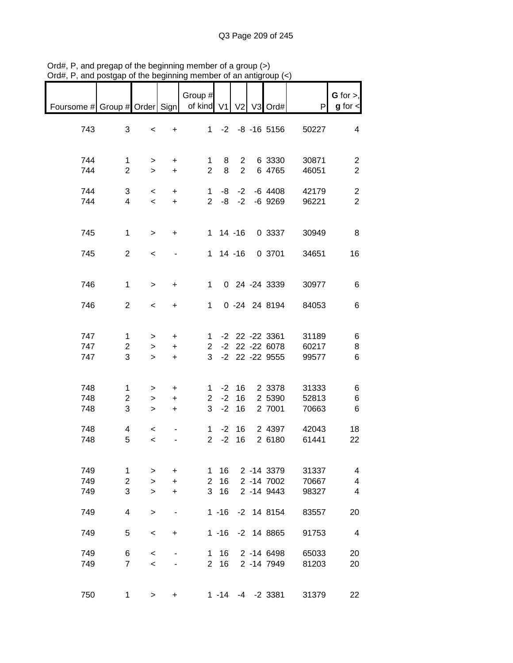| $max$ , $max$ , and posigap of the beginning |                                     |                                     |                             | ,,,,,,,                               |                |                          | n an anigroup (1                       |                                          |                                           |
|----------------------------------------------|-------------------------------------|-------------------------------------|-----------------------------|---------------------------------------|----------------|--------------------------|----------------------------------------|------------------------------------------|-------------------------------------------|
| Foursome # Group # Order Sign   of kind V1   |                                     |                                     |                             | Group $#$                             |                |                          | V2 V3 Ord#                             | P                                        | G for $>$ ,<br>$g$ for $\lt$              |
| 743                                          | 3                                   | $\,<$                               | $+$                         |                                       |                |                          | $1 - 2 - 8 - 165156$                   | 50227                                    | 4                                         |
| 744<br>744                                   | $\mathbf{1}$<br>$\overline{2}$      | $\geq$<br>$\geq$                    | $+$<br>$+$                  | $\overline{2}$                        | 8              | $2^{\circ}$              | 1 8 2 6 3330<br>6 4765                 | 30871<br>46051                           | $\overline{c}$<br>$\overline{2}$          |
| 744<br>744                                   | 3<br>$\overline{4}$                 | $\overline{\phantom{0}}$<br>$\prec$ | $+$<br>$+$                  |                                       |                |                          | $1 - 8 - 2 - 64408$<br>2 -8 -2 -6 9269 | 42179<br>96221                           | $\overline{\mathbf{c}}$<br>$\overline{2}$ |
| 745                                          | $\mathbf{1}$                        | $\geq$                              | $+$                         |                                       |                |                          | 1 14 -16 0 3337                        | 30949                                    | 8                                         |
| 745                                          | $\overline{2}$                      | $\overline{\phantom{a}}$            |                             |                                       |                |                          | 1 14 -16 0 3701                        | 34651                                    | 16                                        |
| 746                                          | $\mathbf 1$                         | $\geq$                              | $+$                         | $1 \quad$                             |                |                          | 0 24 -24 3339                          | 30977                                    | $\,6$                                     |
| 746                                          | $\overline{2}$                      | $\overline{\phantom{0}}$            | $+$                         | $1 \quad$                             |                |                          | 0 -24 24 8194                          | 84053                                    | $\,6$                                     |
| 747<br>747<br>747                            | $\mathbf 1$<br>$\overline{2}$<br>3  | $\geq$<br>$\geq$<br>$\geq$          | $+$<br>$+$<br>$+$           | 3 <sup>7</sup>                        |                |                          | 1 -2 22 -22 3361<br>-2 22 -22 9555     | 31189<br>2 -2 22 -22 6078 60217<br>99577 | 6<br>8<br>6                               |
| 748<br>748<br>748                            | $\mathbf{1}$<br>$\overline{c}$<br>3 | $\geq$<br>$\geq$<br>$\geq$          | $+$<br>$+$<br>$+$           |                                       |                | $2 - 2 16$<br>$3 - 2 16$ | 1 -2 16 2 3378<br>2 5390<br>2 7001     | 31333<br>52813<br>70663                  | 6<br>6<br>$\,6$                           |
| 748<br>748                                   | 4<br>5                              | $\overline{\phantom{a}}$<br>$\,<$   |                             | $\mathbf{1}$<br>$\overline{2}$        | $-2$           | $-2$ 16<br>16            | 2 4397<br>2 6180                       | 42043<br>61441                           | 18<br>22                                  |
| 749<br>749<br>749                            | 1<br>$\overline{2}$<br>3            | ><br>$\geq$<br>$\geq$               | +<br>$\ddot{}$<br>$\ddot{}$ | 1<br>$\overline{2}$<br>3 <sup>1</sup> | 16<br>16<br>16 |                          | 2 -14 3379<br>2 -14 7002<br>2 -14 9443 | 31337<br>70667<br>98327                  | 4<br>4<br>4                               |
| 749                                          | 4                                   | $\, > \,$                           |                             |                                       | $1 - 16$       |                          | $-2$ 14 8154                           | 83557                                    | 20                                        |
| 749                                          | 5                                   | $\,<\,$                             | +                           |                                       | $1 - 16$       |                          | $-2$ 14 8865                           | 91753                                    | 4                                         |
| 749<br>749                                   | 6<br>$\overline{7}$                 | $\,<$<br>$\,<$                      |                             | 1.<br>$\overline{2}$                  | 16<br>16       |                          | 2 -14 6498<br>2 -14 7949               | 65033<br>81203                           | 20<br>20                                  |
| 750                                          | 1                                   | $\geq$                              | +                           |                                       |                |                          | $1 - 14 - 4 - 23381$                   | 31379                                    | 22                                        |

Ord#, P, and pregap of the beginning member of a group (>) Ord#, P, and postgap of the beginning member of an antigroup (<)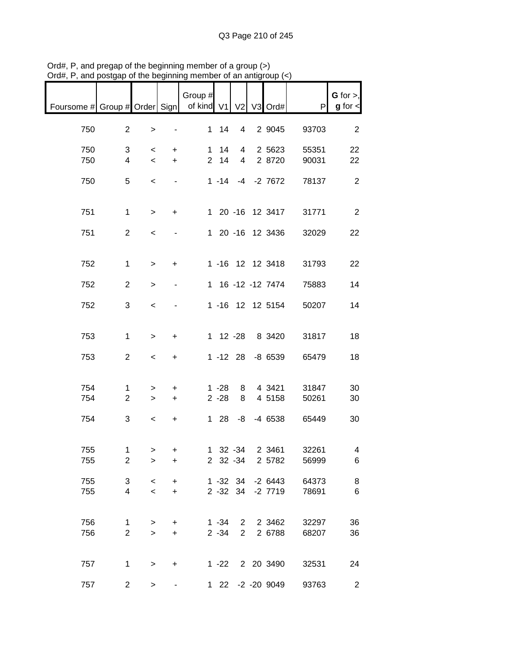| $m, n$ , and postgap or the beginning memb            |                               |                          |                        |         |                              |                                  | $\mu$ an annyroup $\left\langle \nu\right\rangle$ |                |                                |
|-------------------------------------------------------|-------------------------------|--------------------------|------------------------|---------|------------------------------|----------------------------------|---------------------------------------------------|----------------|--------------------------------|
| Foursome # Group # Order Sign   of kind V1 V2 V3 Ord# |                               |                          |                        | Group # |                              |                                  |                                                   | P              | $G$ for $>$ ,<br>$g$ for $\lt$ |
| 750                                                   | $\overline{2}$                | $\,$                     |                        |         | $1 \quad 14$                 | $\overline{4}$                   | 2 9045                                            | 93703          | $\overline{2}$                 |
| 750<br>750                                            | 3<br>$\overline{4}$           | $\prec$<br>$\prec$       | $+$<br>$+$             |         | $1 \quad 14$<br>$2 \quad 14$ | $\overline{4}$<br>$\overline{4}$ | 2 5623<br>2 8720                                  | 55351<br>90031 | 22<br>22                       |
| 750                                                   | 5                             | $\,<$                    | $\blacksquare$         |         |                              |                                  | 1 -14 -4 -2 7672                                  | 78137          | $\sqrt{2}$                     |
| 751                                                   | $\mathbf 1$                   | $\geq$                   | $+$                    |         |                              |                                  | 1 20 -16 12 3417                                  | 31771          | $\overline{2}$                 |
| 751                                                   | $\overline{2}$                | $\,<$                    |                        |         |                              |                                  | 1 20 -16 12 3436                                  | 32029          | 22                             |
| 752                                                   | $\mathbf{1}$                  | $\geq$                   | $+$                    |         |                              |                                  | 1 -16 12 12 3418                                  | 31793          | 22                             |
| 752                                                   | $\overline{2}$                | $\geq$                   | $\blacksquare$         |         |                              |                                  | 1 16 -12 -12 7474                                 | 75883          | 14                             |
| 752                                                   | 3                             | $\,<$                    |                        |         |                              |                                  | 1 -16 12 12 5154                                  | 50207          | 14                             |
| 753                                                   | $\mathbf{1}$                  | $\,$                     | $\ddot{}$              |         |                              |                                  | 1 12 -28 8 3420                                   | 31817          | 18                             |
| 753                                                   | $\overline{2}$                | $\prec$                  | $+$                    |         |                              |                                  | 1 -12 28 -8 6539                                  | 65479          | 18                             |
| 754                                                   | $\mathbf 1$                   | >                        | $+$                    |         | $1 - 28$                     | 8                                | 4 3421                                            | 31847          | 30                             |
| 754                                                   | $\overline{2}$                | $\geq$                   | $+$                    |         | $2 - 28$                     | 8                                | 4 5158                                            | 50261          | 30                             |
| 754                                                   | 3                             | $\overline{\phantom{a}}$ | $+$                    |         |                              |                                  | 1 28 -8 -4 6538                                   | 65449          | 30                             |
| 755<br>755                                            | 1<br>$\overline{2}$           | $\geq$<br>$\,>$          | ÷<br>$\ddot{}$         |         |                              | 1 32 -34<br>2 32 -34             | 2 3461<br>2 5782                                  | 32261<br>56999 | 4<br>6                         |
| 755<br>755                                            | 3<br>$\overline{4}$           | $\,<\,$<br>$\,<$         | $\ddot{}$<br>$\ddot{}$ |         |                              | 1 -32 34                         | $-26443$<br>2 -32 34 -2 7719                      | 64373<br>78691 | 8<br>$\,6$                     |
| 756<br>756                                            | $\mathbf 1$<br>$\overline{2}$ | $\, > \,$<br>$\geq$      | +<br>$\ddot{}$         |         | $1 - 34$<br>$2 - 34$         | $2^{\circ}$<br>$\overline{2}$    | 2 3462<br>2 6788                                  | 32297<br>68207 | 36<br>36                       |
| 757                                                   | $\mathbf{1}$                  | $\,>$                    | +                      |         | $1 - 22$                     |                                  | 2 20 3490                                         | 32531          | 24                             |
| 757                                                   | $\overline{c}$                | $\, > \,$                |                        |         |                              |                                  | 1 22 -2 -20 9049                                  | 93763          | $\overline{2}$                 |

Ord#, P, and pregap of the beginning member of a group (>) Ord#, P, and postgap of the beginning member of an antigroup (<)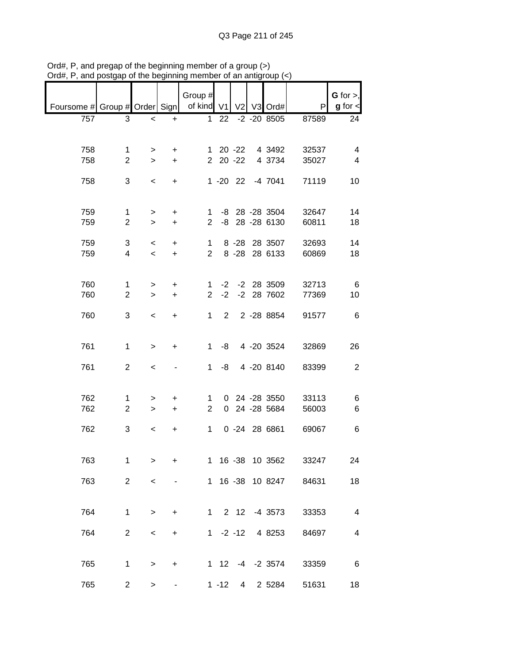|                                                       |                |                          |                   | Group #     |             |  |                  |       | $G$ for $>$ ,  |
|-------------------------------------------------------|----------------|--------------------------|-------------------|-------------|-------------|--|------------------|-------|----------------|
| Foursome # Group # Order Sign   of kind V1 V2 V3 Ord# |                |                          |                   |             |             |  |                  | P     | $g$ for $\lt$  |
| 757                                                   | 3              | $\overline{\phantom{0}}$ | $\ddot{}$         |             |             |  | 1 22 -2 -20 8505 | 87589 | 24             |
|                                                       |                |                          |                   |             |             |  |                  |       |                |
| 758                                                   | 1              | >                        | $\ddot{}$         |             |             |  | 1 20 -22 4 3492  | 32537 | 4              |
| 758                                                   | $\overline{2}$ | $\geq$                   | $+$               |             |             |  | 2 20 -22 4 3734  | 35027 | 4              |
| 758                                                   | 3              | $\overline{\phantom{0}}$ | $+$               |             |             |  | 1 -20 22 -4 7041 | 71119 | 10             |
|                                                       |                |                          |                   |             |             |  |                  |       |                |
| 759                                                   | 1              | $\geq$                   | $+$               |             |             |  | 1 -8 28 -28 3504 | 32647 | 14             |
| 759                                                   | $\overline{2}$ | $\geq$                   | $+$               |             |             |  | 2 -8 28 -28 6130 | 60811 | 18             |
| 759                                                   | 3              | $\prec$                  | $+$               |             | $1 \quad$   |  | 8 -28 28 3507    | 32693 | 14             |
| 759                                                   | $\overline{4}$ | $\prec$                  | $+$               |             | $2^{\circ}$ |  | 8 -28 28 6133    | 60869 | 18             |
|                                                       |                |                          |                   |             |             |  |                  |       |                |
| 760                                                   | $\mathbf{1}$   | >                        | $+$               | 1.          |             |  | -2 -2 28 3509    | 32713 | - 6            |
| 760                                                   | $\overline{2}$ |                          | $+$<br>$>$ $\sim$ |             |             |  | 2 -2 -2 28 7602  | 77369 | 10             |
| 760                                                   | 3              | $\overline{\phantom{0}}$ | $+$               |             |             |  | 1 2 2 -28 8854   | 91577 | - 6            |
|                                                       |                |                          |                   |             |             |  |                  |       |                |
| 761                                                   | $\mathbf{1}$   | $\geq$                   | $+$               |             |             |  | 1 -8 4 -20 3524  | 32869 | 26             |
|                                                       |                |                          |                   |             |             |  |                  |       |                |
| 761                                                   | $\overline{2}$ | $\prec$                  | $\blacksquare$    |             | $1 - 8$     |  | 4 -20 8140       | 83399 | $\overline{2}$ |
|                                                       |                |                          |                   |             |             |  |                  |       |                |
| 762                                                   | $\mathbf{1}$   | $\geq$                   | $+$               |             | $1 \quad$   |  | 0 24 -28 3550    | 33113 | 6              |
| 762                                                   | $\overline{2}$ | $\geq$                   | $+$               | $2^{\circ}$ |             |  | 0 24 -28 5684    | 56003 | 6              |
| 762                                                   | 3              | $\overline{\phantom{0}}$ | $+$               |             | $1 \quad$   |  | 0 -24 28 6861    | 69067 | 6              |
|                                                       |                |                          |                   |             |             |  |                  |       |                |
| 763                                                   | $\mathbf 1$    | >                        | +                 |             |             |  | 1 16 -38 10 3562 | 33247 | 24             |
|                                                       | $\overline{2}$ |                          |                   |             |             |  | 1 16 -38 10 8247 |       |                |
| 763                                                   |                | $\,<\,$                  |                   |             |             |  |                  | 84631 | 18             |
|                                                       |                |                          |                   |             |             |  |                  |       |                |
| 764                                                   | $\mathbf 1$    | $\geq$                   | $\ddot{}$         |             |             |  | 1 2 12 -4 3573   | 33353 | $\overline{4}$ |
| 764                                                   | $\overline{2}$ | $\,<\,$                  | +                 |             | $1 -2 -12$  |  | 4 8253           | 84697 | $\overline{4}$ |
|                                                       |                |                          |                   |             |             |  |                  |       |                |
| 765                                                   | 1              | $\mathbf{I}$             | +                 |             |             |  | 1 12 -4 -2 3574  | 33359 | 6              |
| 765                                                   |                |                          |                   |             |             |  | 1 -12 4 2 5284   | 51631 | 18             |
|                                                       | $\overline{2}$ | $\, > \,$                |                   |             |             |  |                  |       |                |

Ord#, P, and pregap of the beginning member of a group (>) Ord#, P, and postgap of the beginning member of an antigroup (<)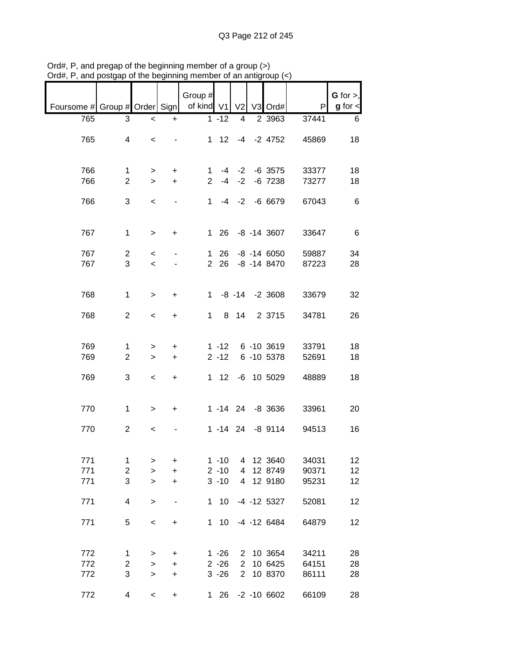|                               |                              |                          |                                       | Group #              |                      |                                  |                          |                | $G$ for $>$ , |
|-------------------------------|------------------------------|--------------------------|---------------------------------------|----------------------|----------------------|----------------------------------|--------------------------|----------------|---------------|
| Foursome # Group # Order Sign |                              |                          |                                       | of kind V1           |                      | V <sub>2</sub>                   | V3 Ord#                  | P              | $g$ for $\lt$ |
| 765                           | 3                            | $\,<$                    | +                                     |                      | $1 - 12$             | 4                                | 2 3963                   | 37441          | 6             |
| 765                           | 4                            | $\overline{\phantom{0}}$ |                                       |                      | $1 \quad 12$         |                                  | $-4$ $-2$ 4752           | 45869          | 18            |
| 766<br>766                    | 1<br>$\overline{2}$          | $\geq$<br>$\geq$         | $\ddot{}$<br>$+$                      | 1.<br>$\overline{2}$ | -4                   | $-4$ $-2$<br>$-2$                | $-6$ 3575<br>$-6$ $7238$ | 33377<br>73277 | 18<br>18      |
| 766                           | 3                            | $\,<\,$                  |                                       | 1                    |                      |                                  | $-4$ $-2$ $-6$ 6679      | 67043          | 6             |
| 767                           | $\mathbf{1}$                 | $\, > \,$                | $\ddot{}$                             | $\mathbf{1}$         |                      |                                  | 26 -8 -14 3607           | 33647          | 6             |
| 767                           | $\overline{2}$               | $\,<\,$                  |                                       | 1                    | 26                   |                                  | $-8$ $-14$ 6050          | 59887          | 34            |
| 767                           | 3                            | $\overline{\phantom{a}}$ |                                       | $\overline{2}$       | 26                   |                                  | $-8$ $-14$ $8470$        | 87223          | 28            |
| 768                           | $\mathbf 1$                  | $\geq$                   | $\ddot{}$                             | $1 \quad$            |                      |                                  | $-8$ $-14$ $-2$ 3608     | 33679          | 32            |
| 768                           | $\overline{2}$               | $\overline{\phantom{0}}$ | $\ddot{}$                             | 1                    |                      | 8 14                             | 2 3715                   | 34781          | 26            |
| 769                           | 1                            | >                        | +                                     |                      | $1 - 12$             |                                  | 6 -10 3619               | 33791          | 18            |
| 769                           | $\overline{2}$               | $\geq$                   | $\ddot{}$                             |                      | $2 - 12$             |                                  | 6 -10 5378               | 52691          | 18            |
| 769                           | 3                            | $\,<\,$                  | $\ddot{}$                             | 1                    | 12                   |                                  | -6 10 5029               | 48889          | 18            |
| 770                           | $\mathbf{1}$                 | $\geq$                   | $\ddot{}$                             |                      |                      |                                  | 1 -14 24 -8 3636         | 33961          | 20            |
| 770                           | $\overline{2}$               | $\,<\,$                  |                                       |                      |                      |                                  | 1 -14 24 -8 9114         | 94513          | 16            |
| 771                           | 1                            | >                        | +                                     |                      | $1 - 10$             | 4                                | 12 3640                  | 34031          | 12            |
| 771                           | $\overline{c}$               | $\geq$                   | $\ddot{}$                             |                      | $2 - 10$             | 4                                | 12 8749                  | 90371          | 12            |
| 771                           | 3                            | $\geq$                   | $\ddot{}$                             |                      | $3 - 10$             |                                  | 4 12 9180                | 95231          | 12            |
| 771                           | 4                            | $\geq$                   | -                                     |                      | $1 10$               |                                  | $-4$ $-12$ 5327          | 52081          | 12            |
| 771                           | 5                            | $\,<$                    | +                                     | 1                    | 10 <sup>°</sup>      |                                  | -4 -12 6484              | 64879          | 12            |
| 772                           | 1                            | >                        | +                                     |                      | $1 - 26$             |                                  | 2 10 3654                | 34211          | 28            |
| 772<br>772                    | $\overline{\mathbf{c}}$<br>3 | $\,$<br>$\mathbf{I}$     | +<br>$\begin{array}{c} + \end{array}$ |                      | $2 - 26$<br>$3 - 26$ | $\overline{2}$<br>$\overline{2}$ | 10 6425<br>10 8370       | 64151<br>86111 | 28<br>28      |
| 772                           | 4                            | $\,<$                    | +                                     | 1.                   |                      |                                  | 26 -2 -10 6602           | 66109          | 28            |

Ord#, P, and pregap of the beginning member of a group (>) Ord#, P, and postgap of the beginning member of an antigroup (<)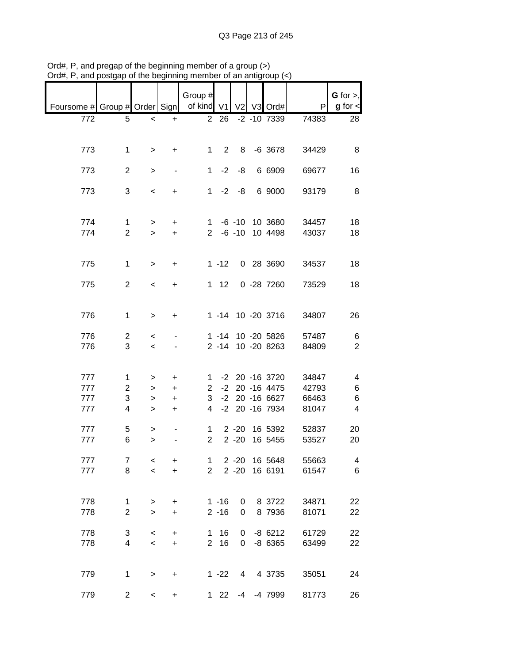| Foursome # Group # Order Sign   of kind V1 V2 V3 Ord# |                                |                                                      |                                  | Group #                     |                   |                 |                                        | P              | G for $>$ ,<br>$g$ for $\lt$ |
|-------------------------------------------------------|--------------------------------|------------------------------------------------------|----------------------------------|-----------------------------|-------------------|-----------------|----------------------------------------|----------------|------------------------------|
| 772                                                   |                                |                                                      |                                  |                             | $\overline{2}$ 26 |                 | $-2$ $-10$ 7339                        | 74383          | 28                           |
|                                                       | 5                              | $\overline{\phantom{0}}$                             | $\ddot{}$                        |                             |                   |                 |                                        |                |                              |
| 773                                                   | $\mathbf 1$                    | $\geq$                                               | $+$                              |                             |                   |                 | 1 2 8 -6 3678                          | 34429          | 8                            |
| 773                                                   | $\overline{2}$                 | $\,$                                                 | $\blacksquare$                   |                             | $1 -2 -8$         |                 | 6 6909                                 | 69677          | 16                           |
| 773                                                   | 3                              | $\,<$                                                | $+$                              |                             | $1 -2 -8$         |                 | 6 9000                                 | 93179          | 8                            |
| 774<br>774                                            | $\mathbf{1}$<br>$\overline{2}$ | $\geq$<br>$\geq$                                     | $+$<br>$+$                       |                             |                   |                 | 1 -6 -10 10 3680<br>2 -6 -10 10 4498   | 34457<br>43037 | 18<br>18                     |
| 775                                                   | $\mathbf 1$                    | $\geq$                                               | $+$                              |                             |                   |                 | 1 -12 0 28 3690                        | 34537          | 18                           |
| 775                                                   | $\overline{2}$                 | $\prec$                                              | $+$                              |                             |                   |                 | 1 12 0 -28 7260                        | 73529          | 18                           |
| 776                                                   | $\mathbf{1}$                   | $\geq$                                               | $+$                              |                             |                   |                 | 1 -14 10 -20 3716                      | 34807          | 26                           |
| 776<br>776                                            | $\overline{2}$<br>3            | $\overline{\phantom{0}}$<br>$\overline{\phantom{a}}$ |                                  |                             |                   |                 | 1 -14 10 -20 5826<br>2 -14 10 -20 8263 | 57487<br>84809 | 6<br>$\overline{2}$          |
| 777                                                   | $\mathbf{1}$                   | $\, > \,$                                            | $\ddot{}$                        |                             |                   |                 | 1 -2 20 -16 3720                       | 34847          | 4                            |
| 777                                                   | $\overline{c}$                 | $\geq$                                               | $+$                              |                             |                   |                 | 2 -2 20 -16 4475                       | 42793          | 6                            |
| 777                                                   | 3                              | $\,>$                                                | $+$                              |                             |                   |                 | 3 -2 20 -16 6627                       | 66463          | 6                            |
| 777                                                   | 4                              | $\mathbf{L}$                                         | $+$                              | $\overline{4}$              |                   |                 | -2 20 -16 7934                         | 81047          | $\overline{4}$               |
| 777<br>777                                            | 5<br>6                         | $\geq$<br>$\geq$                                     |                                  | $1 \quad$<br>2 <sup>7</sup> |                   | $2 - 20$        | 2 -20 16 5392<br>16 5455               | 52837<br>53527 | 20<br>20                     |
| 777                                                   | 7                              | $\,<$                                                | +                                | 1                           |                   | $2 - 20$        | 16 5648                                | 55663          | 4                            |
| 777                                                   | 8                              | $\prec$                                              | $\ddot{}$                        | $\overline{2}$              |                   | $2 - 20$        | 16 6191                                | 61547          | $\,6$                        |
| 778                                                   | $\mathbf{1}$                   | $\, > \,$                                            | +                                |                             | $1 - 16$          | 0               | 8 3722                                 | 34871          | 22                           |
| 778                                                   | $\overline{c}$                 | $\mathbf{I}$                                         | $\ddot{}$                        |                             | $2 - 16$          | 0               | 8 7936                                 | 81071          | 22                           |
| 778                                                   | 3                              | $\,<$                                                | +                                |                             | 1 16              | 0               | $-86212$                               | 61729          | 22                           |
| 778                                                   | 4                              | $\overline{\phantom{0}}$                             | $\begin{array}{c} + \end{array}$ | 2 <sup>1</sup>              | 16                |                 | $0 - 86365$                            | 63499          | 22                           |
| 779                                                   | $\mathbf{1}$                   | $\, > \,$                                            | +                                |                             | $1 - 22$          | $4\overline{ }$ | 4 3735                                 | 35051          | 24                           |
| 779                                                   | $\overline{c}$                 | $\overline{\phantom{a}}$                             | $\ddot{}$                        | 1.                          | 22                |                 | -4 -4 7999                             | 81773          | 26                           |

Ord#, P, and pregap of the beginning member of a group (>) Ord#, P, and postgap of the beginning member of an antigroup (<)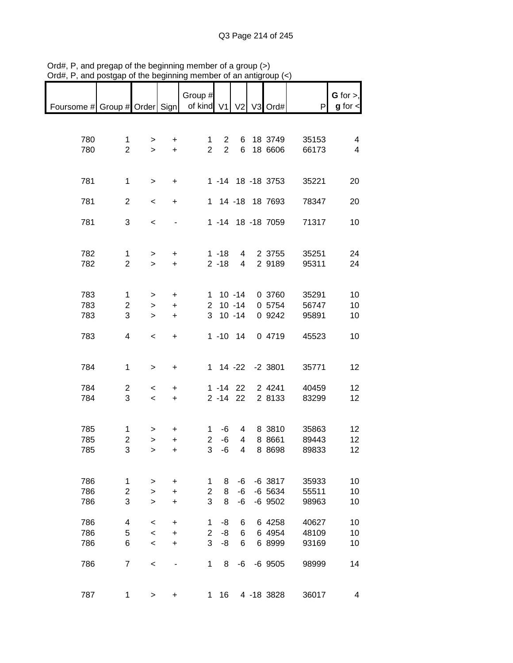|                                                       |                                |                          |                                  | Group #             |                      |                         |                    |                | $G$ for $>$ , |
|-------------------------------------------------------|--------------------------------|--------------------------|----------------------------------|---------------------|----------------------|-------------------------|--------------------|----------------|---------------|
| Foursome # Group # Order Sign   of kind V1 V2 V3 Ord# |                                |                          |                                  |                     |                      |                         |                    | P              | $g$ for $\lt$ |
|                                                       |                                |                          |                                  |                     |                      |                         |                    |                |               |
| 780                                                   | $\mathbf 1$                    | $\geq$                   | $\ddot{}$                        | $\mathbf{1}$        | $\mathbf{2}$         |                         | 6 18 3749          | 35153          | 4             |
| 780                                                   | $\overline{2}$                 | $\geq$                   | $+$                              | $\overline{2}$      | $\overline{2}$       |                         | 6 18 6606          | 66173          | 4             |
|                                                       |                                |                          |                                  |                     |                      |                         |                    |                |               |
|                                                       |                                |                          |                                  |                     |                      |                         |                    |                |               |
| 781                                                   | $\mathbf{1}$                   | $\geq$                   | $+$                              |                     |                      |                         | 1 -14 18 -18 3753  | 35221          | 20            |
| 781                                                   | $\overline{2}$                 | $\overline{\phantom{a}}$ | $\ddot{}$                        |                     |                      |                         | 1 14 -18 18 7693   | 78347          | 20            |
|                                                       |                                |                          |                                  |                     |                      |                         |                    |                |               |
| 781                                                   | 3                              | $\overline{\phantom{0}}$ |                                  |                     |                      |                         | 1 -14 18 -18 7059  | 71317          | 10            |
|                                                       |                                |                          |                                  |                     |                      |                         |                    |                |               |
|                                                       |                                |                          |                                  |                     |                      |                         |                    |                |               |
| 782<br>782                                            | $\mathbf{1}$<br>$\overline{2}$ | $\geq$                   | $\ddot{}$<br>$+$                 |                     | $1 - 18$<br>$2 - 18$ | $\overline{4}$          | 4 2 3755<br>2 9189 | 35251<br>95311 | 24<br>24      |
|                                                       |                                | $\mathbf{I}$             |                                  |                     |                      |                         |                    |                |               |
|                                                       |                                |                          |                                  |                     |                      |                         |                    |                |               |
| 783                                                   | $\mathbf 1$                    | $\geq$                   | $\ddot{}$                        |                     |                      | $1 10 - 14$             | 0 3760             | 35291          | 10            |
| 783                                                   | $\overline{c}$                 | $\mathbf{1}$             | $\ddot{}$                        |                     |                      | $2 10 - 14$             | 0 5754             | 56747          | 10            |
| 783                                                   | 3                              | $\mathbf{1}$             | $\ddot{}$                        |                     | $3 10 - 14$          |                         | 0 9242             | 95891          | 10            |
|                                                       |                                |                          |                                  |                     |                      |                         |                    |                |               |
| 783                                                   | $\overline{\mathbf{4}}$        | $\,<$                    | $+$                              |                     |                      | $1 - 10$ 14             | 0 4719             | 45523          | 10            |
|                                                       |                                |                          |                                  |                     |                      |                         |                    |                |               |
| 784                                                   | $\mathbf{1}$                   | $\,$                     | $\begin{array}{c} + \end{array}$ |                     |                      |                         | 1 14 -22 -2 3801   | 35771          | 12            |
|                                                       |                                |                          |                                  |                     |                      |                         |                    |                |               |
| 784                                                   | $\overline{c}$                 | $\,<$                    | $\ddot{}$                        |                     | $1 - 14$ 22          |                         | 2 4241             | 40459          | 12            |
| 784                                                   | 3                              | $\,<$                    | $+$                              |                     |                      | $2 - 14$ 22             | 2 8133             | 83299          | 12            |
|                                                       |                                |                          |                                  |                     |                      |                         |                    |                |               |
| 785                                                   | $\mathbf{1}$                   | >                        | +                                | 1                   | $-6$                 | 4                       | 8 3810             | 35863          | 12            |
| 785                                                   | $\overline{2}$                 | $\mathbf{1}$             | $\ddot{}$                        | $\overline{2}$      | $-6$                 | $\overline{\mathbf{4}}$ | 8 8 6 6 1          | 89443          | 12            |
| 785                                                   | 3                              | $\mathbf{I}$             | $\ddot{}$                        | 3                   | $-6$                 | $\overline{4}$          | 8 8 6 9 8          | 89833          | 12            |
|                                                       |                                |                          |                                  |                     |                      |                         |                    |                |               |
|                                                       |                                |                          |                                  |                     |                      |                         |                    |                |               |
| 786                                                   | 1                              | >                        | $\ddot{}$                        | 1                   | 8                    | -6                      | $-6.3817$          | 35933          | 10            |
| 786                                                   | $\overline{c}$                 | $\, > \,$                | $\ddot{}$                        | $\overline{c}$      | 8                    | -6                      | $-6$ 5634          | 55511          | 10            |
| 786                                                   | 3                              | $\, > \,$                | $\ddot{}$                        | 3                   | 8                    | -6                      | $-6$ 9502          | 98963          | 10            |
|                                                       |                                |                          |                                  |                     |                      |                         | 6 4258             |                |               |
| 786<br>786                                            | 4                              | $\,<$                    | $\ddot{}$                        | 1<br>$\overline{2}$ | -8<br>-8             | 6<br>6                  | 6 4954             | 40627<br>48109 | 10            |
|                                                       | 5                              | $\,<$                    | $\ddot{}$                        |                     |                      |                         |                    |                | 10            |
| 786                                                   | 6                              | $\,<$                    | +                                | 3                   | -8                   | 6                       | 6 8999             | 93169          | 10            |
| 786                                                   | $\overline{7}$                 | $\,<\,$                  | $\qquad \qquad \blacksquare$     | 1                   | 8                    | -6                      | $-6$ 9505          | 98999          | 14            |
|                                                       |                                |                          |                                  |                     |                      |                         |                    |                |               |
|                                                       |                                |                          |                                  |                     |                      |                         |                    |                |               |
| 787                                                   | $\mathbf{1}$                   | >                        | +                                | 1.                  | 16                   |                         | 4 -18 3828         | 36017          | 4             |

Ord#, P, and pregap of the beginning member of a group (>) Ord#, P, and postgap of the beginning member of an antigroup (<)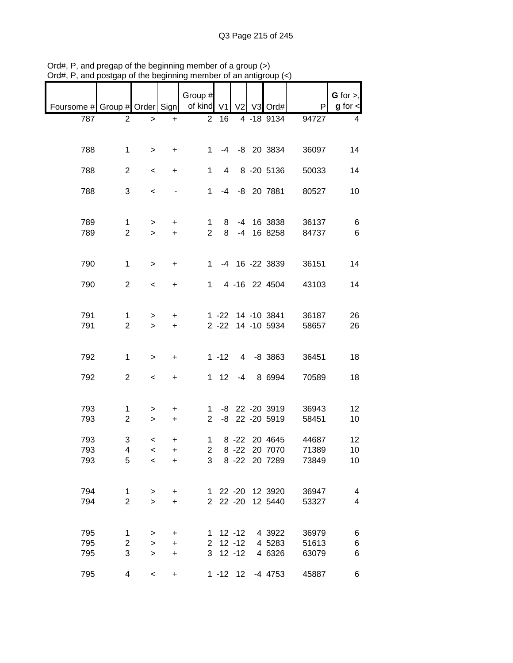|                                                       |                                |                          |                  | Group #        |                |  |                                        |                | G for $>$ ,   |
|-------------------------------------------------------|--------------------------------|--------------------------|------------------|----------------|----------------|--|----------------------------------------|----------------|---------------|
| Foursome # Group # Order Sign   of kind V1 V2 V3 Ord# |                                |                          |                  |                |                |  |                                        | P              | $g$ for $\lt$ |
| 787                                                   | $\overline{2}$                 | $\geq$                   | $+$              | $\overline{2}$ | 16             |  | 4 -18 9134                             | 94727          | 4             |
| 788                                                   | $\mathbf 1$                    | $\geq$                   | $+$              | $1 \quad$      |                |  | -4 -8 20 3834                          | 36097          | 14            |
| 788                                                   | $\overline{2}$                 | $\overline{\phantom{a}}$ | $+$              | $\mathbf 1$    | $\overline{4}$ |  | 8 -20 5136                             | 50033          | 14            |
| 788                                                   | 3                              | $\,<$                    |                  |                |                |  | 1 -4 -8 20 7881                        | 80527          | 10            |
| 789                                                   | $\mathbf{1}$                   | $\geq$                   | $+$              |                |                |  | 1 8 -4 16 3838                         | 36137          | $\,6$         |
| 789                                                   | $\overline{2}$                 | $\geq$                   | $+$              | $2^{\circ}$    |                |  | 8 -4 16 8258                           | 84737          | 6             |
| 790                                                   | $\mathbf{1}$                   | $\geq$                   | $+$              |                |                |  | 1 -4 16 -22 3839                       | 36151          | 14            |
| 790                                                   | $\overline{2}$                 | $\overline{\phantom{a}}$ | $+$              |                |                |  | 1 4 -16 22 4504                        | 43103          | 14            |
| 791<br>791                                            | $\mathbf{1}$<br>$\overline{2}$ | $\geq$<br>$\geq$         | $\ddot{}$<br>$+$ |                |                |  | 1 -22 14 -10 3841<br>2 -22 14 -10 5934 | 36187<br>58657 | 26<br>26      |
| 792                                                   | $\mathbf{1}$                   | $\mathbf{1}$             | $+$              |                |                |  | $1 - 12$ 4 -8 3863                     | 36451          | 18            |
| 792                                                   | $\overline{2}$                 | $\overline{\phantom{a}}$ | $+$              |                |                |  | 1 12 -4 8 6994                         | 70589          | 18            |
| 793<br>793                                            | $\mathbf{1}$<br>$\overline{2}$ | ><br>$\,>$               | $+$<br>$+$       |                |                |  | 1 -8 22 -20 3919<br>2 -8 22 -20 5919   | 36943<br>58451 | 12<br>10      |
| 793                                                   | 3<br>4                         | $\,<$                    | $\ddot{}$        | $1 \quad$      |                |  | 8 -22 20 4645                          | 44687          | 12            |
| 793<br>793                                            | 5                              | $\,<$<br>$\,<\,$         | $+$<br>$\ddot{}$ | 3              | $2^{\circ}$    |  | 8 -22 20 7070<br>8 -22 20 7289         | 71389<br>73849 | 10<br>10      |
| 794<br>794                                            | 1<br>$\overline{2}$            | ><br>$\geq$              | +<br>$\ddot{}$   |                |                |  | 1 22 -20 12 3920<br>2 22 -20 12 5440   | 36947<br>53327 | 4<br>4        |
| 795                                                   | $\mathbf 1$                    | $\, > \,$                | +                |                | $1 12 - 12$    |  | 4 3922                                 | 36979          | 6             |
| 795                                                   | $\overline{c}$                 | $\,>$                    | +                |                | $2$ 12 -12     |  | 4 5283                                 | 51613          | 6             |
| 795                                                   | 3                              | $\,>$                    | +                |                | $3$ 12 -12     |  | 4 6326                                 | 63079          | 6             |
| 795                                                   | 4                              | $\overline{\phantom{a}}$ | +                |                |                |  | 1 -12 12 -4 4753                       | 45887          | 6             |

Ord#, P, and pregap of the beginning member of a group (>) Ord#, P, and postgap of the beginning member of an antigroup (<)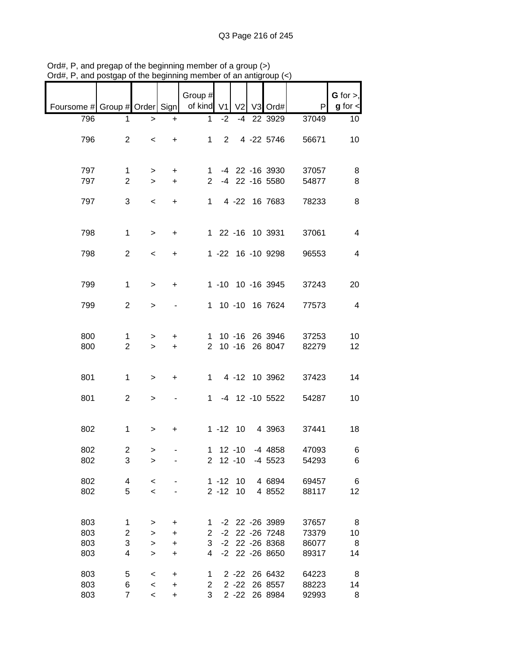|                               |                     |                          |             | Group #        |                         |                |                    |                | G for $>$ ,             |
|-------------------------------|---------------------|--------------------------|-------------|----------------|-------------------------|----------------|--------------------|----------------|-------------------------|
| Foursome # Group # Order Sign |                     |                          |             | of kind V1     |                         | V <sub>2</sub> | V3 Ord#            | P              | $g$ for $\lt$           |
| 796                           | 1                   | $\,>$                    | $\ddot{}$   | 1              | $-2$                    |                | -4 22 3929         | 37049          | 10                      |
| 796                           | $\overline{2}$      | $\,<\,$                  | +           | 1              | $2^{\circ}$             |                | 4 -22 5746         | 56671          | 10                      |
| 797                           | $\mathbf 1$         | >                        | +           | 1.             |                         |                | -4 22 -16 3930     | 37057          | 8                       |
| 797                           | $\mathbf{2}$        | $\geq$                   | $\ddot{}$   | $\overline{2}$ |                         |                | -4 22 -16 5580     | 54877          | 8                       |
| 797                           | 3                   | $\,<\,$                  | $\ddot{}$   | 1              |                         |                | 4 -22 16 7683      | 78233          | 8                       |
| 798                           | $\mathbf{1}$        | $\, >$                   | $\ddot{}$   |                |                         |                | 1 22 -16 10 3931   | 37061          | $\overline{4}$          |
| 798                           | $\overline{2}$      | $\overline{\phantom{a}}$ | $\ddot{}$   |                |                         |                | 1 -22 16 -10 9298  | 96553          | $\overline{4}$          |
| 799                           | $\mathbf{1}$        | $\geq$                   | $\ddot{}$   |                |                         |                | 1 -10 10 -16 3945  | 37243          | 20                      |
| 799                           | 2                   | $\geq$                   |             |                |                         |                | 1 10 -10 16 7624   | 77573          | $\overline{\mathbf{4}}$ |
| 800                           | 1                   | >                        | +           | 1              |                         | $10 - 16$      | 26 3946            | 37253          | 10                      |
| 800                           | $\overline{2}$      | $\geq$                   | $\ddot{}$   | 2              |                         |                | 10 -16 26 8047     | 82279          | 12                      |
| 801                           | 1                   | $\geq$                   | +           | $\mathbf 1$    |                         |                | 4 -12 10 3962      | 37423          | 14                      |
| 801                           | $\overline{2}$      | $\,$                     |             | $1 \quad$      |                         |                | -4 12 -10 5522     | 54287          | 10                      |
| 802                           | $\mathbf{1}$        | $\, > \,$                | +           |                | $1 - 12$ 10             |                | 4 3963             | 37441          | 18                      |
| 802<br>802                    | $\overline{c}$<br>3 | ><br>>                   |             |                | 1 12 -10<br>$2$ 12 -10  |                | -4 4858<br>-4 5523 | 47093<br>54293 | 6<br>6                  |
|                               |                     |                          |             |                |                         |                |                    |                |                         |
| 802<br>802                    | 4<br>5              | $\,<$<br>$\prec$         |             |                | $1 - 12$ 10<br>$2 - 12$ | 10             | 4 6894<br>4 8552   | 69457<br>88117 | 6<br>12                 |
|                               |                     |                          |             |                |                         |                |                    |                |                         |
| 803                           | 1                   | >                        | +           | 1              |                         |                | -2 22 -26 3989     | 37657          | 8                       |
| 803                           | 2                   | >                        | $\mathbf +$ | $\overline{2}$ | $-2$                    |                | 22 - 26 7 248      | 73379          | 10                      |
| 803                           | 3                   | $\,$                     | $\ddot{}$   | 3              |                         |                | -2 22 -26 8368     | 86077          | 8                       |
| 803                           | 4                   | $\geq$                   | $\ddot{}$   | 4              |                         |                | -2 22 -26 8650     | 89317          | 14                      |
| 803                           | 5                   | $\,<$                    | $\mathbf +$ | 1              |                         | $2 - 22$       | 26 6432            | 64223          | 8                       |
| 803                           | 6                   | $\,<$                    | $\ddot{}$   | 2              |                         | $2 - 22$       | 26 8557            | 88223          | 14                      |
| 803                           | $\overline{7}$      | $\overline{\phantom{a}}$ | +           | 3              |                         |                | 2 -22 26 8984      | 92993          | 8                       |

Ord#, P, and pregap of the beginning member of a group (>) Ord#, P, and postgap of the beginning member of an antigroup (<)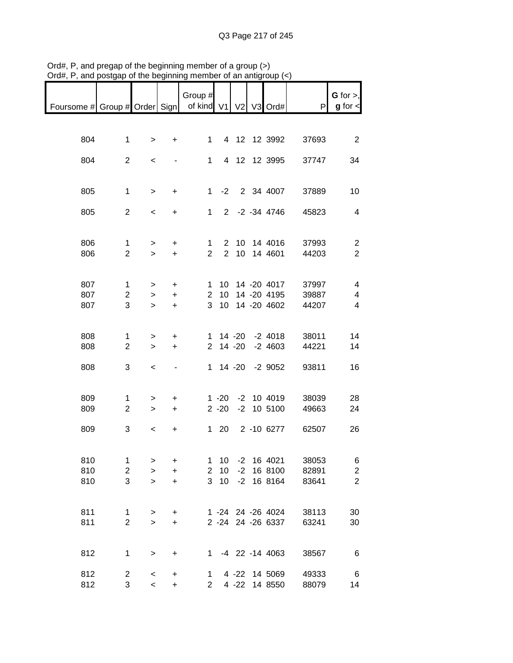|                                                           |                               |                          |                | Group #        |                 |      |                                 |                | $G$ for $>$ ,    |
|-----------------------------------------------------------|-------------------------------|--------------------------|----------------|----------------|-----------------|------|---------------------------------|----------------|------------------|
| Foursome # Group # Order Sign   of kind V1   V2   V3 Ord# |                               |                          |                |                |                 |      |                                 | P              | $g$ for $\lt$    |
|                                                           |                               |                          |                |                |                 |      |                                 |                |                  |
| 804                                                       | $\mathbf{1}$                  | $\geq$                   | $+$            |                | $1 \quad$       |      | 4 12 12 3992                    | 37693          | 2                |
| 804                                                       | $\overline{2}$                | $\overline{\phantom{a}}$ |                |                | $1 \quad$       |      | 4 12 12 3995                    | 37747          | 34               |
|                                                           |                               |                          |                |                |                 |      |                                 |                |                  |
| 805                                                       | $\mathbf 1$                   | $\geq$                   | $+$            |                |                 |      | 1 -2 2 34 4007                  | 37889          | 10               |
| 805                                                       | $\overline{2}$                | $\,<\,$                  | $+$            |                |                 |      | 1 2 -2 -34 4746                 | 45823          | $\overline{4}$   |
|                                                           |                               |                          |                |                |                 |      |                                 |                |                  |
| 806                                                       | $\mathbf{1}$                  | $\geq$                   | $+$            | $1 \quad$      |                 |      | 2 10 14 4016                    | 37993          | $\overline{2}$   |
| 806                                                       | $\overline{2}$                | $\geq$                   | $+$            | $\overline{2}$ |                 |      | 2 10 14 4601                    | 44203          | $\overline{2}$   |
|                                                           |                               |                          |                |                |                 |      |                                 |                |                  |
| 807<br>807                                                | $\mathbf 1$<br>$\overline{2}$ | $\geq$<br>$\geq$         | $+$<br>$+$     | $\mathbf{2}$   | 10              |      | 1 10 14 -20 4017<br>14 -20 4195 | 37997<br>39887 | 4<br>4           |
| 807                                                       | 3                             | $\geq$                   | $+$            | $\mathbf{3}$   | 10 <sup>°</sup> |      | 14 -20 4602                     | 44207          | $\overline{4}$   |
|                                                           |                               |                          |                |                |                 |      |                                 |                |                  |
| 808                                                       | 1                             | $\geq$                   | $\ddot{}$      |                |                 |      | 1 14 -20 -2 4018                | 38011          | 14               |
| 808                                                       | $\overline{2}$                | $\geq$                   | $+$            |                |                 |      | 2 14 -20 -2 4603                | 44221          | 14               |
| 808                                                       | 3                             | $\overline{\phantom{a}}$ | $\blacksquare$ |                |                 |      | 1 14 -20 -2 9052                | 93811          | 16               |
|                                                           |                               |                          |                |                |                 |      |                                 |                |                  |
| 809                                                       | $\mathbf 1$                   | >                        | $\ddot{}$      |                |                 |      | 1 -20 -2 10 4019                | 38039          | 28               |
| 809                                                       | $\overline{2}$                | $\geq$                   | $+$            |                |                 |      | 2 -20 -2 10 5100                | 49663          | 24               |
| 809                                                       | 3                             | $\overline{\phantom{a}}$ | $+$            |                |                 |      | 1 20 2 -10 6277                 | 62507          | 26               |
|                                                           |                               |                          |                |                |                 |      |                                 |                |                  |
| 810                                                       | $\mathbf{1}$                  | >                        | +              | 1              | 10              | $-2$ | 16 4021                         | 38053          | 6                |
| 810                                                       | $\boldsymbol{2}$              | $\geq$                   | $\ddot{}$      | $\overline{c}$ | 10              | $-2$ | 16 8100                         | 82891          | $\boldsymbol{2}$ |
| 810                                                       | 3                             | $\geq$                   | $\ddot{}$      | 3              | 10              | $-2$ | 16 8164                         | 83641          | $\overline{2}$   |
|                                                           |                               |                          |                |                |                 |      |                                 |                |                  |
| 811                                                       | 1                             | $\, > \,$                | +              |                |                 |      | 1 -24 24 -26 4024               | 38113          | 30               |
| 811                                                       | $\overline{2}$                | $\mathbf{I}$             | $\ddot{}$      |                |                 |      | 2 -24 24 -26 6337               | 63241          | 30               |
| 812                                                       | $\mathbf{1}$                  | $\,$                     | +              |                |                 |      | 1 -4 22 -14 4063                | 38567          | 6                |
|                                                           |                               |                          |                |                |                 |      |                                 |                |                  |
| 812                                                       | $\overline{c}$                | $\,<$                    | +              | $\mathbf 1$    |                 |      | 4 -22 14 5069                   | 49333          | 6                |
| 812                                                       | 3                             | $\,<$                    | $\ddot{}$      | $\mathbf{2}$   |                 |      | 4 -22 14 8550                   | 88079          | 14               |

Ord#, P, and pregap of the beginning member of a group (>) Ord#, P, and postgap of the beginning member of an antigroup (<)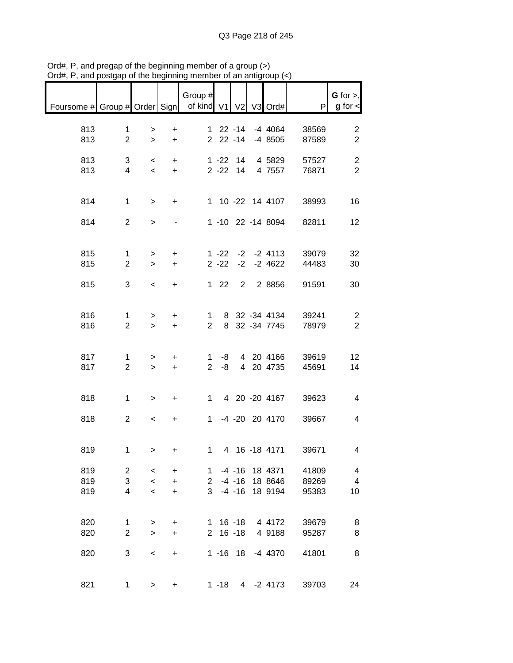| $max$ , $max$ , and posigap or the beginning |                                |                                                      |                                     | monibor or an anigroup             |                    |                                     |                                      |                         |                                    |
|----------------------------------------------|--------------------------------|------------------------------------------------------|-------------------------------------|------------------------------------|--------------------|-------------------------------------|--------------------------------------|-------------------------|------------------------------------|
| Foursome # Group # Order Sign                |                                |                                                      |                                     | Group $#$<br>of kind V1 V2 V3 Ord# |                    |                                     |                                      | P                       | G for $>$ ,<br>$g$ for $\lt$       |
| 813<br>813                                   | $\mathbf 1$<br>$\overline{2}$  | $\geq$<br>$\geq$                                     | $\ddot{}$<br>$+$                    |                                    |                    |                                     | 1 22 -14 -4 4064<br>2 22 -14 -4 8505 | 38569<br>87589          | $\overline{2}$<br>$\overline{2}$   |
| 813<br>813                                   | 3<br>$\overline{4}$            | $\overline{\phantom{0}}$<br>$\overline{\phantom{a}}$ | $+$<br>$+$                          |                                    |                    |                                     | 1 -22 14 4 5829<br>2 -22 14 4 7557   | 57527<br>76871          | $\overline{c}$<br>$\overline{2}$   |
| 814                                          | $\mathbf{1}$                   | $\geq$                                               | $+$                                 |                                    |                    |                                     | 1 10 -22 14 4107                     | 38993                   | 16                                 |
| 814                                          | $\overline{2}$                 | $\mathbf{I}$                                         |                                     |                                    |                    |                                     | 1 -10 22 -14 8094                    | 82811                   | 12                                 |
| 815<br>815                                   | $\mathbf{1}$<br>$\overline{2}$ | $\geq$<br>$\geq$                                     | $+$<br>$+$                          |                                    | $2 - 22$           |                                     | 1 -22 -2 -2 4113<br>$-2$ $-2$ 4622   | 39079<br>44483          | 32<br>30                           |
| 815                                          | 3                              | $\overline{\phantom{a}}$                             | $+$                                 |                                    | $122$              |                                     | 2 2 8 8 5 6                          | 91591                   | 30                                 |
| 816<br>816                                   | $\mathbf{1}$<br>$\overline{2}$ | $\geq$<br>$\geq$                                     | $+$<br>$+$                          | $\overline{2}$                     | $1 \quad$          |                                     | 8 32 -34 4134<br>8 32 -34 7745       | 39241<br>78979          | $\overline{2}$<br>$\overline{2}$   |
| 817<br>817                                   | $\mathbf{1}$<br>$\overline{2}$ | $\geq$<br>$\geq$                                     | $+$<br>$+$                          |                                    | $1 - 8$<br>$2 - 8$ |                                     | 4 20 4166<br>4 20 4735               | 39619<br>45691          | 12<br>14                           |
| 818                                          | $\mathbf 1$                    | $\,>$                                                | $+$                                 |                                    |                    |                                     | 1 4 20 -20 4167                      | 39623                   | $\overline{4}$                     |
| 818                                          | $\overline{2}$                 | $\,<$                                                | $+$                                 |                                    |                    |                                     | 1 -4 -20 20 4170                     | 39667                   | 4                                  |
| 819                                          | $\mathbf{1}$                   | $>$ $>$                                              | $+$                                 |                                    | $1 \quad$          |                                     | 4 16 -18 4171                        | 39671                   | 4                                  |
| 819<br>819<br>819                            | $\overline{2}$<br>3<br>4       | $\,<\,$<br>$\,<$<br>$\,<$                            | $\ddot{}$<br>$\ddot{}$<br>$\ddot{}$ | 1.<br>$\mathbf{2}^{\prime}$<br>3   |                    | $-4 - 16$<br>$-4 - 16$<br>$-4 - 16$ | 18 4371<br>18 8646<br>18 9194        | 41809<br>89269<br>95383 | 4<br>$\overline{\mathbf{4}}$<br>10 |
| 820<br>820                                   | 1<br>$\overline{2}$            | ><br>$\, > \,$                                       | $\ddot{}$<br>+                      |                                    |                    | $1 \t16 - 18$<br>$2 16 - 18$        | 4 4172<br>4 9188                     | 39679<br>95287          | 8<br>8                             |
| 820                                          | 3                              | $\,<\,$                                              | $\ddot{}$                           |                                    |                    |                                     | 1 -16 18 -4 4370                     | 41801                   | 8                                  |
| 821                                          | 1                              | $\, > \,$                                            | $\ddot{}$                           |                                    | $1 - 18$           |                                     | 4 -2 4173                            | 39703                   | 24                                 |

Ord#, P, and pregap of the beginning member of a group (>) Ord#, P, and postgap of the beginning member of an antigroup (<)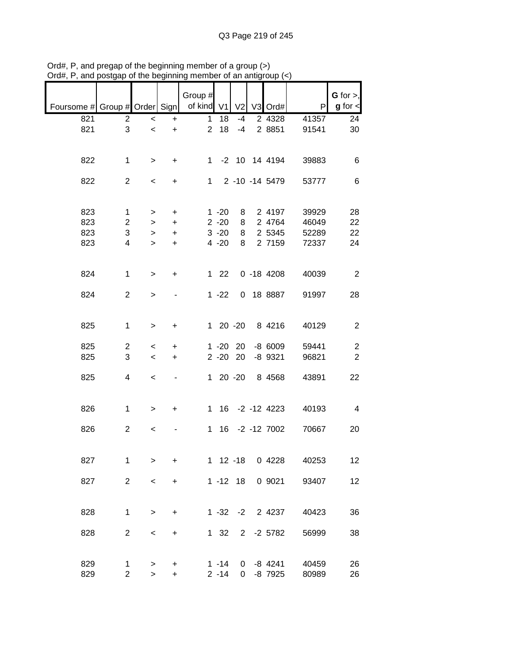|                                            |                |           |           | Group #        |              |                |                |       | $G$ for $>$ ,  |
|--------------------------------------------|----------------|-----------|-----------|----------------|--------------|----------------|----------------|-------|----------------|
| Foursome # Group # Order Sign   of kind V1 |                |           |           |                |              | V <sub>2</sub> | V3 Ord#        | P     | $g$ for $\lt$  |
|                                            |                |           |           |                |              |                |                |       |                |
| 821                                        | $\overline{2}$ | $\,<$     | +         | 1              | 18           | $-4$           | 2 4328         | 41357 | 24             |
| 821                                        | 3              | $\prec$   | $\ddot{}$ | $\overline{2}$ | 18           | $-4$           | 2 8851         | 91541 | 30             |
|                                            |                |           |           |                |              |                |                |       |                |
|                                            |                |           |           |                |              |                |                |       |                |
| 822                                        | 1              | $\, > \,$ | $\ddot{}$ | $1 \quad$      |              |                | -2 10 14 4194  | 39883 | 6              |
|                                            |                |           |           |                |              |                |                |       |                |
| 822                                        | $\overline{2}$ | $\,<\,$   | $\ddot{}$ |                | $1 \quad$    |                | 2 -10 -14 5479 | 53777 | 6              |
|                                            |                |           |           |                |              |                |                |       |                |
|                                            |                |           |           |                |              |                |                |       |                |
| 823                                        | 1              | $\, > \,$ | +         |                | $1 - 20$     | 8              | 2 4197         | 39929 | 28             |
| 823                                        | $\overline{c}$ | >         | $\ddot{}$ |                | $2 - 20$     | 8              | 2 4764         | 46049 | 22             |
| 823                                        | 3              | >         | $\ddot{}$ |                | $3 - 20$     | 8              | 2 5345         | 52289 | 22             |
| 823                                        | 4              | >         | $\ddot{}$ |                | $4 - 20$     | 8              | 2 7159         | 72337 | 24             |
|                                            |                |           |           |                |              |                |                |       |                |
|                                            |                |           |           |                |              |                |                |       |                |
| 824                                        | 1              | $\geq$    | $\ddot{}$ |                | $122$        |                | $0 - 184208$   | 40039 | 2              |
|                                            |                |           |           |                |              |                |                |       |                |
| 824                                        | 2              | $\geq$    |           |                | $1 - 22$     |                | 0 18 8887      | 91997 | 28             |
|                                            |                |           |           |                |              |                |                |       |                |
|                                            |                |           |           |                |              |                |                |       |                |
| 825                                        | 1              | $\, > \,$ | $\ddot{}$ |                | $120 -20$    |                | 8 4216         | 40129 | $\overline{2}$ |
|                                            |                |           |           |                |              |                |                |       |                |
| 825                                        | $\overline{2}$ | $\,<\,$   | +         |                | $1 - 20$     | 20             | $-86009$       | 59441 | $\overline{c}$ |
| 825                                        | 3              | $\,<\,$   | +         |                | $2 - 20$     | 20             | $-8$ 9321      | 96821 | $\overline{c}$ |
|                                            |                |           |           |                |              |                |                |       |                |
| 825                                        | 4              | $\,<\,$   | ٠         | 1              |              | $20 - 20$      | 8 4 5 6 8      | 43891 | 22             |
|                                            |                |           |           |                |              |                |                |       |                |
|                                            |                |           |           |                |              |                |                |       |                |
| 826                                        | 1              | $\, > \,$ | +         | 1              |              |                | 16 -2 -12 4223 | 40193 | 4              |
|                                            |                |           |           |                |              |                |                |       |                |
| 826                                        | $\overline{2}$ | $\,<\,$   |           | $\mathbf 1$    |              |                | 16 -2 -12 7002 | 70667 | 20             |
|                                            |                |           |           |                |              |                |                |       |                |
|                                            |                |           |           |                |              |                |                |       |                |
| 827                                        | 1              | $\, > \,$ | +         |                | $1 12 - 18$  |                | 0 4228         | 40253 | 12             |
|                                            |                |           |           |                |              |                |                |       |                |
| 827                                        | $\overline{2}$ | $\,<\,$   | +         |                | $1 - 12$ 18  |                | 0 9021         | 93407 | 12             |
|                                            |                |           |           |                |              |                |                |       |                |
|                                            |                |           |           |                |              |                |                |       |                |
| 828                                        | 1              | $\, > \,$ | +         |                | $1 - 32 - 2$ |                | 2 4237         | 40423 | 36             |
|                                            |                |           |           |                |              |                |                |       |                |
| 828                                        | $\overline{2}$ | $\,<$     | $\ddot{}$ |                | $1 \quad 32$ |                | 2 -2 5782      | 56999 | 38             |
|                                            |                |           |           |                |              |                |                |       |                |
|                                            |                |           |           |                |              |                |                |       |                |
| 829                                        | 1              | $\, > \,$ | +         |                | $1 - 14$     | $\mathbf{0}$   | -8 4241        | 40459 | 26             |
| 829                                        | $\overline{c}$ | $\,$      | $\ddot{}$ |                | $2 - 14$     | $\overline{0}$ | -8 7925        | 80989 | 26             |
|                                            |                |           |           |                |              |                |                |       |                |

Ord#, P, and pregap of the beginning member of a group (>) Ord#, P, and postgap of the beginning member of an antigroup (<)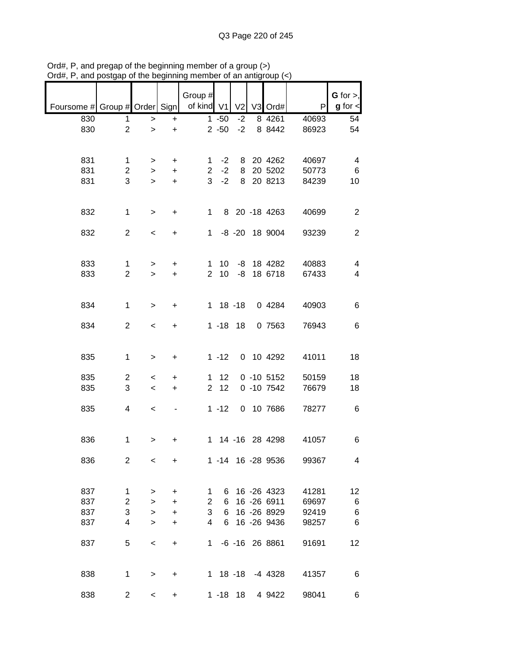|                               |                |                          |           | Group #        |             |                |                    |       | $G$ for $>$ ,  |
|-------------------------------|----------------|--------------------------|-----------|----------------|-------------|----------------|--------------------|-------|----------------|
| Foursome # Group # Order Sign |                |                          |           | of kind V1     |             | V <sub>2</sub> | V3 Ord#            | P     | $g$ for $\lt$  |
| 830                           | 1              | $\geq$                   | +         |                | $1 - 50$    | $-2$           | 8 4 2 6 1          | 40693 | 54             |
| 830                           | $\overline{c}$ | $\geq$                   | $\ddot{}$ |                | $2 - 50$    | $-2$           | 8 8442             | 86923 | 54             |
|                               |                |                          |           |                |             |                |                    |       |                |
|                               |                |                          |           |                |             |                |                    |       |                |
| 831                           | $\mathbf 1$    | >                        | +         | 1.             | $-2$        | 8              | 20 4262            | 40697 | 4              |
| 831                           | $\overline{2}$ | $\geq$                   | $\ddot{}$ | $\overline{2}$ | $-2$        | 8              | 20 5202            | 50773 | 6              |
| 831                           | 3              | $\geq$                   | $\ddot{}$ | 3              | $-2$        | 8              | 20 8213            | 84239 | 10             |
|                               |                |                          |           |                |             |                |                    |       |                |
|                               |                |                          |           |                |             |                |                    |       |                |
| 832                           | $\mathbf{1}$   | $\, > \,$                | $\ddot{}$ | 1              |             |                | 8 20 -18 4263      | 40699 | $\overline{2}$ |
|                               |                |                          |           |                |             |                |                    |       |                |
| 832                           | $\overline{2}$ | $\overline{\phantom{a}}$ | $\ddot{}$ | $1 \quad$      |             |                | -8 -20 18 9004     | 93239 | $\overline{2}$ |
|                               |                |                          |           |                |             |                |                    |       |                |
|                               |                |                          |           |                |             |                |                    |       |                |
| 833                           | 1              | $\,>$                    | +         | $\mathbf 1$    | 10          |                | -8 18 4282         | 40883 | 4              |
| 833                           | $\overline{2}$ | $\geq$                   | $+$       | $\overline{2}$ | 10          | -8             | 18 6718            | 67433 | 4              |
|                               |                |                          |           |                |             |                |                    |       |                |
|                               |                |                          |           |                |             |                |                    |       |                |
| 834                           | 1              | $\geq$                   | +         |                | $1 18 - 18$ |                | 0 4284             | 40903 | 6              |
|                               |                |                          |           |                |             |                |                    |       |                |
| 834                           | $\overline{2}$ | $\prec$                  | +         |                | $1 - 18$ 18 |                | 0 7563             | 76943 | 6              |
|                               |                |                          |           |                |             |                |                    |       |                |
|                               |                |                          |           |                |             |                |                    |       |                |
|                               |                |                          |           |                |             |                |                    |       |                |
| 835                           | $\mathbf 1$    | >                        | +         |                | $1 - 12$    |                | 0 10 4292          | 41011 | 18             |
| 835                           |                |                          |           | $\mathbf 1$    | 12          |                | $0 - 10 5152$      | 50159 | 18             |
|                               | 2<br>3         | $\,<\,$                  | +         | $\overline{2}$ | 12          |                |                    |       |                |
| 835                           |                | $\,<$                    | $\ddot{}$ |                |             |                | $0 - 107542$       | 76679 | 18             |
|                               |                |                          |           |                |             |                |                    |       |                |
| 835                           | 4              | $\,<$                    |           |                | $1 - 12$    |                | 0 10 7686          | 78277 | 6              |
|                               |                |                          |           |                |             |                |                    |       |                |
|                               |                |                          |           |                |             |                |                    |       |                |
| 836                           | $\mathbf{1}$   | >                        | +         |                |             |                | 1 14 -16 28 4298   | 41057 | 6              |
|                               |                |                          |           |                |             |                |                    |       |                |
| 836                           | 2              | $\,<$                    | $\ddot{}$ |                |             |                | 1 -14 16 -28 9536  | 99367 | 4              |
|                               |                |                          |           |                |             |                |                    |       |                |
|                               |                |                          |           |                |             |                |                    |       |                |
| 837                           | $\mathbf 1$    | >                        | $\ddot{}$ | 1              | 6           |                | 16 -26 4323        | 41281 | 12             |
| 837                           | $\overline{c}$ | >                        | +         | $\overline{c}$ | 6           |                | 16 -26 6911        | 69697 | 6              |
| 837                           | 3              | $\mathbf{I}$             | +         | 3              | 6           |                | 16 -26 8929        | 92419 | 6              |
| 837                           | 4              | $\geq$                   | +         | 4              | 6           |                | 16 - 26 9436       | 98257 | 6              |
|                               |                |                          |           |                |             |                |                    |       |                |
| 837                           | 5              | $\,<$                    | $\ddot{}$ | 1              |             |                | $-6$ $-16$ 26 8861 | 91691 | 12             |
|                               |                |                          |           |                |             |                |                    |       |                |
|                               |                |                          |           |                |             |                |                    |       |                |
| 838                           | 1              | >                        | +         |                |             |                | 1 18 -18 -4 4328   | 41357 | 6              |
|                               |                |                          |           |                |             |                |                    |       |                |
| 838                           | $\overline{c}$ | $\,<$                    | +         |                | $1 - 18$ 18 |                | 4 9422             | 98041 | 6              |

Ord#, P, and pregap of the beginning member of a group (>) Ord#, P, and postgap of the beginning member of an antigroup (<)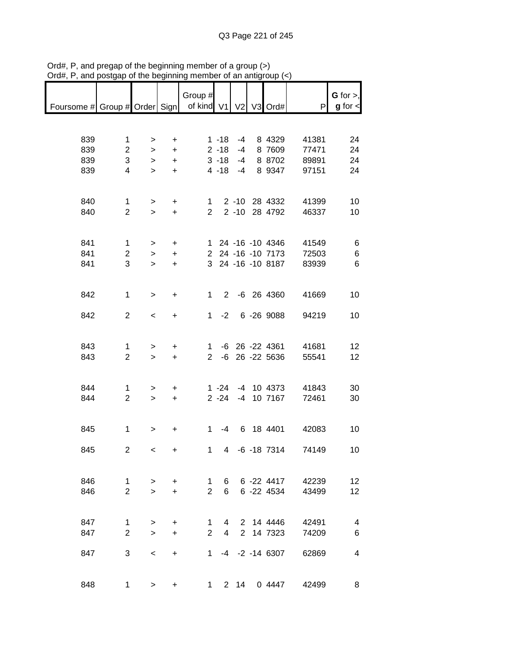| ana                                                       | oorgap or uro boginning |                          |           |                |                          | vi an aniyi |                   |       |                                |
|-----------------------------------------------------------|-------------------------|--------------------------|-----------|----------------|--------------------------|-------------|-------------------|-------|--------------------------------|
| Foursome # Group # Order Sign   of kind V1   V2   V3 Ord# |                         |                          |           | Group #        |                          |             |                   | P     | $G$ for $>$ ,<br>$g$ for $\lt$ |
|                                                           |                         |                          |           |                |                          |             |                   |       |                                |
|                                                           |                         |                          |           |                |                          |             |                   |       |                                |
| 839                                                       | $\mathbf 1$             |                          |           |                | $1 - 18$                 | $-4$        | 8 4329            | 41381 | 24                             |
| 839                                                       | $\overline{c}$          | $\geq$                   | $\ddot{}$ |                | $2 - 18$                 | $-4$        | 8 7609            | 77471 | 24                             |
|                                                           |                         | $\geq$                   | $\ddot{}$ |                |                          |             |                   |       |                                |
| 839                                                       | 3                       | $\,$                     | $\ddot{}$ |                |                          |             | 3 -18 -4 8 8702   | 89891 | 24                             |
| 839                                                       | 4                       | $\mathbf{L}$             | $\pm$     |                |                          |             | 4 -18 -4 8 9347   | 97151 | 24                             |
|                                                           |                         |                          |           |                |                          |             |                   |       |                                |
|                                                           |                         |                          |           |                |                          |             |                   |       |                                |
| 840                                                       | $\mathbf 1$             | $\geq$                   | $+$       |                | $1 -$                    |             | 2 -10 28 4332     | 41399 | 10                             |
| 840                                                       | $\overline{2}$          | $\geq$                   | $+$       | $2^{\circ}$    |                          |             | 2 -10 28 4792     | 46337 | 10                             |
|                                                           |                         |                          |           |                |                          |             |                   |       |                                |
|                                                           |                         |                          |           |                |                          |             |                   |       |                                |
| 841                                                       | $\mathbf{1}$            | $\geq$                   | $+$       |                |                          |             | 1 24 -16 -10 4346 | 41549 | 6                              |
| 841                                                       | $\overline{2}$          | $\geq$                   | $+$       |                |                          |             | 2 24 -16 -10 7173 | 72503 | $\,6$                          |
| 841                                                       | 3                       | $\geq$                   | $+$       |                |                          |             | 3 24 -16 -10 8187 | 83939 | $\,6$                          |
|                                                           |                         |                          |           |                |                          |             |                   |       |                                |
|                                                           |                         |                          |           |                |                          |             |                   |       |                                |
| 842                                                       | $\mathbf{1}$            | $\, >$                   | $\ddot{}$ |                | $1 \quad$<br>$2^{\circ}$ |             | -6 26 4360        | 41669 | 10                             |
|                                                           |                         |                          |           |                |                          |             |                   |       |                                |
| 842                                                       | $\overline{2}$          | $\,<$                    | $\ddot{}$ |                | $1 -2$                   |             | 6 -26 9088        | 94219 | 10                             |
|                                                           |                         |                          |           |                |                          |             |                   |       |                                |
|                                                           |                         |                          |           |                |                          |             |                   |       |                                |
| 843                                                       | 1                       |                          | $\ddot{}$ |                |                          |             | 1 -6 26 -22 4361  | 41681 | 12                             |
| 843                                                       | $\overline{2}$          | $\, > \,$                |           |                |                          |             | 2 -6 26 -22 5636  | 55541 | 12                             |
|                                                           |                         | $\geq$                   | $+$       |                |                          |             |                   |       |                                |
|                                                           |                         |                          |           |                |                          |             |                   |       |                                |
|                                                           |                         |                          |           |                |                          |             |                   |       |                                |
| 844                                                       | $\mathbf 1$             | $\geq$                   | $\ddot{}$ |                |                          |             | 1 -24 -4 10 4373  | 41843 | 30                             |
| 844                                                       | $\overline{2}$          | $\geq$                   | $+$       |                |                          |             | 2 -24 -4 10 7167  | 72461 | 30                             |
|                                                           |                         |                          |           |                |                          |             |                   |       |                                |
|                                                           |                         |                          |           |                |                          |             |                   |       |                                |
| 845                                                       | $\mathbf 1$             | $\geq$                   | $\ddot{}$ | 1              | -4                       |             | 6 18 4401         | 42083 | 10                             |
|                                                           |                         |                          |           |                |                          |             |                   |       |                                |
| 845                                                       | $\overline{2}$          | $\overline{\phantom{a}}$ | +         |                | $1 \quad$<br>4           |             | $-6 - 18$ 7314    | 74149 | 10                             |
|                                                           |                         |                          |           |                |                          |             |                   |       |                                |
|                                                           |                         |                          |           |                |                          |             |                   |       |                                |
| 846                                                       | 1                       | $\, > \,$                | $\ddot{}$ |                | $1 \quad$                | 6           | 6 -22 4417        | 42239 | 12                             |
| 846                                                       | $\overline{2}$          | $\geq$                   | $+$       | $\overline{2}$ | 6                        |             | 6 -22 4534        | 43499 | 12                             |
|                                                           |                         |                          |           |                |                          |             |                   |       |                                |
|                                                           |                         |                          |           |                |                          |             |                   |       |                                |
| 847                                                       | $\mathbf{1}$            | $\,>$                    | $\ddot{}$ | 1.             |                          | 4           | 2 14 4446         | 42491 | 4                              |
| 847                                                       | $\overline{2}$          | $\geq$                   | $\ddot{}$ | $\overline{2}$ | $\overline{4}$           |             | 2 14 7323         | 74209 | 6                              |
|                                                           |                         |                          |           |                |                          |             |                   |       |                                |
| 847                                                       | 3                       | $\overline{\phantom{0}}$ | $\ddot{}$ |                |                          |             | 1 -4 -2 -14 6307  | 62869 | 4                              |
|                                                           |                         |                          |           |                |                          |             |                   |       |                                |
|                                                           |                         |                          |           |                |                          |             |                   |       |                                |
| 848                                                       | 1.                      | $\geq$                   | $\ddot{}$ |                | $1 \quad$                |             | 2 14 0 4447       | 42499 | 8                              |
|                                                           |                         |                          |           |                |                          |             |                   |       |                                |

Ord#, P, and pregap of the beginning member of a group (>) Ord#, P, and postgap of the beginning member of an antigroup (<)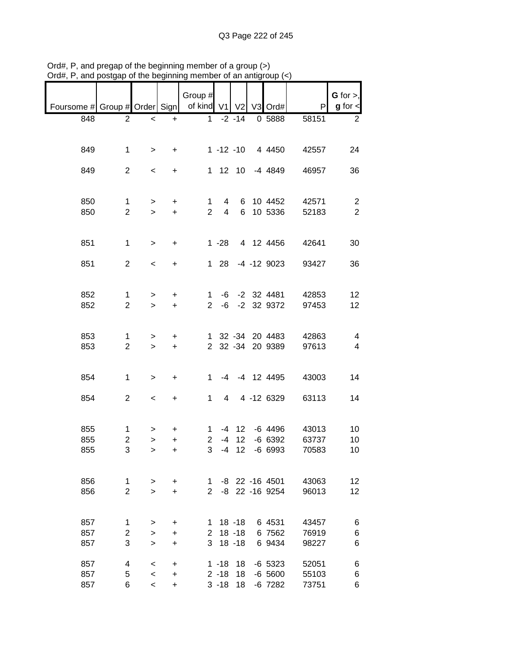|                                                       |                     |                          |                | Group #             |                               |                        |                       |                | $G$ for $>$ ,                             |
|-------------------------------------------------------|---------------------|--------------------------|----------------|---------------------|-------------------------------|------------------------|-----------------------|----------------|-------------------------------------------|
| Foursome # Group # Order Sign   of kind V1 V2 V3 Ord# |                     |                          |                |                     |                               |                        |                       | P              | $g$ for $\lt$                             |
| 848                                                   | $\overline{2}$      | $\prec$                  | $+$            |                     |                               | $1 -2 -14$             | 0 5888                | 58151          | $\overline{2}$                            |
|                                                       |                     |                          |                |                     |                               |                        |                       |                |                                           |
|                                                       |                     |                          |                |                     |                               |                        |                       |                |                                           |
| 849                                                   | $\mathbf{1}$        | $\geq$                   | $+$            |                     |                               |                        | 1 -12 -10 4 4450      | 42557          | 24                                        |
|                                                       |                     |                          |                |                     |                               |                        |                       |                |                                           |
| 849                                                   | $\overline{2}$      | $\,<$                    | $\ddot{}$      |                     |                               |                        | 1 12 10 -4 4849       | 46957          | 36                                        |
|                                                       |                     |                          |                |                     |                               |                        |                       |                |                                           |
| 850                                                   | $\mathbf{1}$        | $\geq$                   | $+$            |                     | $1 \quad 4$                   |                        | 6 10 4452             | 42571          |                                           |
| 850                                                   | $\overline{2}$      | $\geq$                   | $+$            |                     | $2^{\circ}$<br>$\overline{4}$ |                        | 6 10 5336             | 52183          | $\overline{\mathbf{c}}$<br>$\overline{2}$ |
|                                                       |                     |                          |                |                     |                               |                        |                       |                |                                           |
|                                                       |                     |                          |                |                     |                               |                        |                       |                |                                           |
| 851                                                   | $\mathbf 1$         | $\geq$                   | $+$            |                     |                               |                        | 1 -28 4 12 4456       | 42641          | 30                                        |
|                                                       |                     |                          |                |                     |                               |                        |                       |                |                                           |
| 851                                                   | $\overline{2}$      | $\,<$                    | $+$            |                     |                               |                        | 1 28 -4 -12 9023      | 93427          | 36                                        |
|                                                       |                     |                          |                |                     |                               |                        |                       |                |                                           |
| 852                                                   | $\mathbf{1}$        | $\, > \,$                | $\ddot{}$      |                     |                               |                        | 1 -6 -2 32 4481       | 42853          | 12                                        |
| 852                                                   | $\overline{2}$      | $\geq$                   | $+$            |                     |                               |                        | 2 -6 -2 32 9372       | 97453          | 12                                        |
|                                                       |                     |                          |                |                     |                               |                        |                       |                |                                           |
|                                                       |                     |                          |                |                     |                               |                        |                       |                |                                           |
| 853                                                   | 1                   | $\geq$                   | $\ddot{}$      |                     |                               |                        | 1 32 -34 20 4483      | 42863          | $\overline{\mathbf{4}}$                   |
| 853                                                   | $\overline{2}$      | $\, >$                   | $+$            |                     |                               |                        | 2 32 -34 20 9389      | 97613          | $\overline{4}$                            |
|                                                       |                     |                          |                |                     |                               |                        |                       |                |                                           |
| 854                                                   | $\mathbf{1}$        | $\geq$                   | $+$            | $1 \quad$           |                               |                        | -4 -4 12 4495         | 43003          | 14                                        |
|                                                       |                     |                          |                |                     |                               |                        |                       |                |                                           |
| 854                                                   | $\overline{2}$      | $\,<$                    | $+$            |                     | $1 \quad$                     |                        | 4 4 -12 6329          | 63113          | 14                                        |
|                                                       |                     |                          |                |                     |                               |                        |                       |                |                                           |
|                                                       |                     |                          |                |                     |                               |                        |                       |                |                                           |
| 855                                                   | $\mathbf{1}$        | >                        | $\ddot{}$      |                     |                               |                        | 1 -4 12 -6 4496       | 43013          | 10                                        |
| 855<br>855                                            | $\overline{c}$<br>3 | $\,$<br>$\geq$           | $\ddot{}$<br>+ | $\overline{2}$<br>3 | -4                            | $-4$ 12<br>12          | $-6$ 6392<br>$-66993$ | 63737<br>70583 | 10<br>10                                  |
|                                                       |                     |                          |                |                     |                               |                        |                       |                |                                           |
|                                                       |                     |                          |                |                     |                               |                        |                       |                |                                           |
| 856                                                   | 1                   | >                        | $\ddot{}$      | 1.                  |                               |                        | -8 22 -16 4501        | 43063          | 12                                        |
| 856                                                   | $\overline{2}$      | $\geq$                   | $\ddot{}$      | $\overline{2}$      |                               |                        | -8 22 -16 9254        | 96013          | 12                                        |
|                                                       |                     |                          |                |                     |                               |                        |                       |                |                                           |
|                                                       |                     |                          |                |                     |                               |                        |                       |                |                                           |
| 857<br>857                                            | 1<br>2              | ><br>>                   | +<br>+         | 1.<br>$\mathbf{2}$  |                               | $18 - 18$<br>$18 - 18$ | 6 4531<br>6 7562      | 43457<br>76919 | 6<br>6                                    |
| 857                                                   | 3                   | $\geq$                   | +              | 3                   |                               | $18 - 18$              | 6 9434                | 98227          | 6                                         |
|                                                       |                     |                          |                |                     |                               |                        |                       |                |                                           |
| 857                                                   | 4                   | $\,<\,$                  | +              |                     | $1 - 18$                      | 18                     | $-6$ 5323             | 52051          | 6                                         |
| 857                                                   | 5                   | $\overline{\phantom{a}}$ | +              |                     | $2 - 18$                      | 18                     | $-6,5600$             | 55103          | 6                                         |
| 857                                                   | 6                   | $\overline{\phantom{a}}$ | +              |                     | $3 - 18$                      | 18                     | $-6$ 7282             | 73751          | 6                                         |

Ord#, P, and pregap of the beginning member of a group (>) Ord#, P, and postgap of the beginning member of an antigroup (<)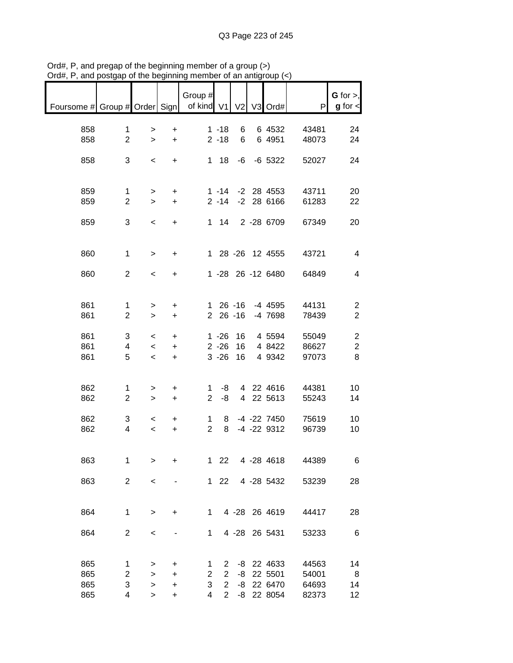|                               |                               |                           |                                  | Group #                       |                                                                           |                |                                                |                                  | $G$ for $>$ ,                         |
|-------------------------------|-------------------------------|---------------------------|----------------------------------|-------------------------------|---------------------------------------------------------------------------|----------------|------------------------------------------------|----------------------------------|---------------------------------------|
| Foursome # Group # Order Sign |                               |                           |                                  | of kind V1                    |                                                                           | V <sub>2</sub> | V3 Ord#                                        | P                                | $g$ for $\lt$                         |
| 858<br>858                    | $\mathbf 1$<br>$\overline{2}$ | ><br>$\geq$               | +<br>$\ddot{}$                   |                               | $1 - 18$<br>$2 - 18$                                                      | 6<br>6         | 6 4532<br>6 4951                               | 43481<br>48073                   | 24<br>24                              |
| 858                           | 3                             | $\,<$                     | $\ddot{}$                        |                               | $1 18$                                                                    | -6             | $-6$ 5322                                      | 52027                            | 24                                    |
| 859<br>859                    | $\mathbf 1$<br>$\overline{2}$ | $\, > \,$<br>$\geq$       | +<br>$\ddot{}$                   |                               | $1 - 14$<br>$2 - 14$                                                      |                | $-2$ 28 4553<br>$-2$ 28 6166                   | 43711<br>61283                   | 20<br>22                              |
| 859                           | 3                             | $\prec$                   | +                                |                               | $1 \quad 14$                                                              |                | 2 - 28 6709                                    | 67349                            | 20                                    |
| 860                           | $\mathbf{1}$                  | $\,>$                     | +                                |                               |                                                                           |                | 1 28 -26 12 4555                               | 43721                            | 4                                     |
| 860                           | $\overline{2}$                | $\,<\,$                   | $\ddot{}$                        |                               |                                                                           |                | 1 -28 26 -12 6480                              | 64849                            | 4                                     |
| 861<br>861                    | 1<br>$\overline{2}$           | ><br>$\, > \,$            | +<br>$\ddot{}$                   | $\overline{2}$                | 1 26 -16                                                                  | $26 - 16$      | -4 4595<br>-4 7698                             | 44131<br>78439                   | $\overline{2}$<br>$\overline{2}$      |
| 861<br>861<br>861             | 3<br>4<br>5                   | $\,<\,$<br>$\,<$<br>$\,<$ | +<br>+<br>+                      |                               | $1 - 26$<br>$2 - 26$<br>$3 - 26$                                          | 16<br>16<br>16 | 4 5594<br>4 8422<br>4 9 3 4 2                  | 55049<br>86627<br>97073          | $\overline{c}$<br>$\overline{c}$<br>8 |
| 862<br>862                    | 1<br>$\overline{2}$           | $\, > \,$<br>$\,>$        | +<br>$\ddot{}$                   | 1<br>$\overline{2}$           | -8<br>-8                                                                  |                | 4 22 4616<br>4 22 5613                         | 44381<br>55243                   | 10<br>14                              |
| 862<br>862                    | 3<br>4                        | $\,<\,$<br>$\,<$          | +<br>$\ddot{}$                   | 1<br>$\overline{2}$           | 8<br>8                                                                    |                | -4 -22 7450<br>$-4$ $-22$ $9312$               | 75619<br>96739                   | 10<br>10                              |
| 863                           | 1                             | >                         | $\ddot{}$                        |                               | $122$                                                                     |                | 4 -28 4618                                     | 44389                            | 6                                     |
| 863                           | $\overline{2}$                | $\,<\,$                   |                                  |                               | $122$                                                                     |                | 4 -28 5432                                     | 53239                            | 28                                    |
| 864                           | $\mathbf{1}$                  | $\, > \,$                 | +                                | 1                             |                                                                           |                | 4 -28 26 4619                                  | 44417                            | 28                                    |
| 864                           | $\overline{c}$                | $\,<$                     |                                  | 1                             |                                                                           |                | 4 -28 26 5431                                  | 53233                            | 6                                     |
| 865<br>865<br>865<br>865      | 1<br>2<br>3<br>4              | ><br>><br>><br>>          | +<br>$\ddot{}$<br>$\ddot{}$<br>+ | 1<br>$\overline{2}$<br>3<br>4 | $\mathbf{2}^{\prime}$<br>$\mathbf{2}$<br>$\overline{2}$<br>$\overline{2}$ | -8<br>-8       | -8 22 4633<br>22 5501<br>22 6470<br>-8 22 8054 | 44563<br>54001<br>64693<br>82373 | 14<br>8<br>14<br>12                   |

Ord#, P, and pregap of the beginning member of a group (>) Ord#, P, and postgap of the beginning member of an antigroup (<)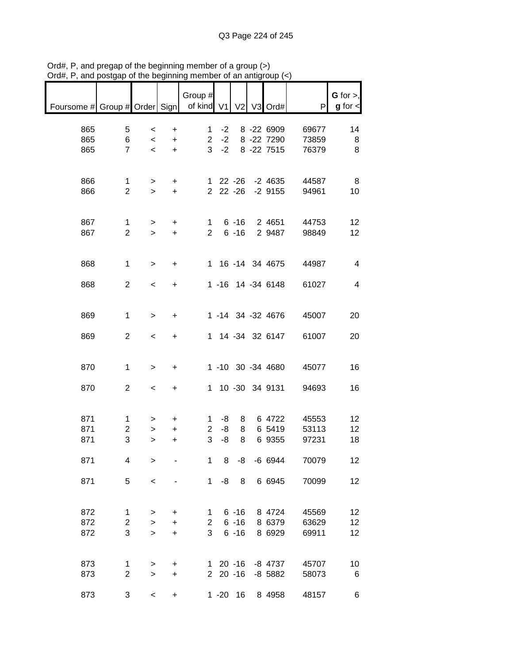| $max$ , $max$ , and postgap or the beginning member or an antigroup $\langle \cdot \rangle$ |                                   |                                              |                             |                                 |                         |                                  |                                         |                         |                                |
|---------------------------------------------------------------------------------------------|-----------------------------------|----------------------------------------------|-----------------------------|---------------------------------|-------------------------|----------------------------------|-----------------------------------------|-------------------------|--------------------------------|
| Foursome # Group # Order Sign                                                               |                                   |                                              |                             | Group #<br>of kind V1           |                         |                                  | V2 V3 Ord#                              | P                       | $G$ for $>$ ,<br>$g$ for $\lt$ |
| 865<br>865<br>865                                                                           | 5<br>6<br>$\overline{7}$          | $\,<\,$<br>$\overline{\phantom{a}}$<br>$\,<$ | +<br>$\ddot{}$<br>$\ddot{}$ | 1.<br>2 <sup>7</sup>            | $-2$<br>$-2$<br>$3 - 2$ |                                  | 8 -22 6909<br>8 -22 7290<br>8 - 22 7515 | 69677<br>73859<br>76379 | 14<br>8<br>8                   |
| 866<br>866                                                                                  | $\mathbf{1}$<br>$\overline{2}$    | $\geq$<br>$\mathbf{I}$                       | $+$<br>$\ddot{}$            |                                 |                         |                                  | 1 22 -26 -2 4635<br>2 22 -26 -2 9155    | 44587<br>94961          | 8<br>10                        |
| 867<br>867                                                                                  | $\mathbf{1}$<br>$\overline{2}$    | $\, > \,$<br>$\geq$                          | $\ddot{}$<br>$\ddot{}$      | 1<br>$\overline{2}$             |                         | $6 - 16$                         | 6 -16 2 4651<br>2 9487                  | 44753<br>98849          | 12<br>12                       |
| 868                                                                                         | $\mathbf 1$                       | $\, > \,$                                    | $\ddot{}$                   |                                 |                         |                                  | 1 16 -14 34 4675                        | 44987                   | 4                              |
| 868                                                                                         | $\overline{2}$                    | $\,<\,$                                      | $\ddot{}$                   |                                 |                         |                                  | 1 -16 14 -34 6148                       | 61027                   | 4                              |
| 869                                                                                         | $\mathbf{1}$                      | $\,$                                         | +                           |                                 |                         |                                  | 1 -14 34 -32 4676                       | 45007                   | 20                             |
| 869                                                                                         | $\overline{2}$                    | $\,<$                                        | $\ddot{}$                   |                                 |                         |                                  | 1 14 -34 32 6147                        | 61007                   | 20                             |
| 870                                                                                         | $\mathbf{1}$                      | $\, > \,$                                    | $\ddot{}$                   |                                 |                         |                                  | 1 -10 30 -34 4680                       | 45077                   | 16                             |
| 870                                                                                         | $\overline{2}$                    | $\,<$                                        | $\ddot{}$                   |                                 |                         |                                  | 1 10 -30 34 9131                        | 94693                   | 16                             |
| 871<br>871<br>871                                                                           | 1<br>$\overline{\mathbf{c}}$<br>3 | ><br>><br>$\geq$                             | +<br>$\ddot{}$<br>+         | 1<br>$\overline{c}$<br>3        | -8<br>-8<br>-8          | 8<br>8<br>8                      | 6 4722<br>6 5419<br>6 9355              | 45553<br>53113<br>97231 | 12<br>12<br>18                 |
| 871                                                                                         | 4                                 | $\, > \,$                                    |                             | 1                               | 8                       | -8                               | $-666944$                               | 70079                   | 12                             |
| 871                                                                                         | 5                                 | $\,<$                                        |                             | 1                               | -8                      | 8                                | 6 6945                                  | 70099                   | 12                             |
| 872<br>872<br>872                                                                           | 1<br>$\overline{2}$<br>3          | $\, > \,$<br>$\,$<br>$\geq$                  | +<br>$\ddot{}$<br>$\ddot{}$ | $\mathbf 1$<br>$2^{\circ}$<br>3 |                         | $6 - 16$<br>$6 - 16$<br>$6 - 16$ | 8 4724<br>8 6379<br>8 6929              | 45569<br>63629<br>69911 | 12<br>12<br>12                 |
| 873<br>873                                                                                  | 1<br>$\overline{2}$               | ><br>$\geq$                                  | +<br>$\ddot{}$              |                                 |                         | 1 20 -16<br>$220 - 16$           | -8 4737<br>$-8$ 5882                    | 45707<br>58073          | 10<br>6                        |
| 873                                                                                         | 3                                 | $\overline{\phantom{a}}$                     | $\ddot{}$                   |                                 |                         | $1 - 20$ 16                      | 8 4958                                  | 48157                   | 6                              |

Ord#, P, and pregap of the beginning member of a group (>) Ord#, P, and postgap of the beginning member of an antigroup (<)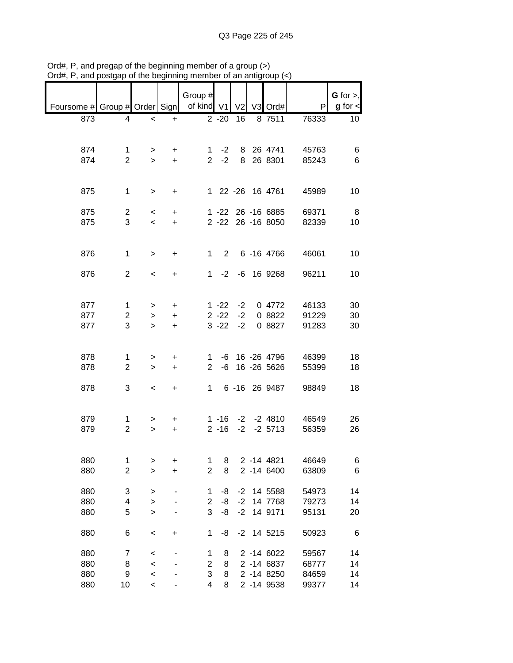|                                            |                |                          |           | Group #        |              |                |                      |       | G for $>$ ,   |
|--------------------------------------------|----------------|--------------------------|-----------|----------------|--------------|----------------|----------------------|-------|---------------|
|                                            |                |                          |           |                |              |                |                      |       |               |
| Foursome # Group # Order Sign   of kind V1 |                |                          |           |                |              | V <sub>2</sub> | V3 Ord#              | P     | $g$ for $\lt$ |
| 873                                        | 4              | $\,<$                    | +         |                | $2 - 20$     | 16             | 8 7511               | 76333 | 10            |
|                                            |                |                          |           |                |              |                |                      |       |               |
|                                            |                |                          |           |                |              |                |                      |       |               |
| 874                                        | $\mathbf 1$    | $\geq$                   | $\ddot{}$ |                | 1 $-2$       |                | 8 26 4741            | 45763 | 6             |
| 874                                        | $\overline{2}$ | $\geq$                   | $+$       |                | $2 -2$       |                | 8 26 8301            | 85243 | 6             |
|                                            |                |                          |           |                |              |                |                      |       |               |
|                                            |                |                          |           |                |              |                |                      |       |               |
| 875                                        | $\mathbf{1}$   | $\, >$                   | $\ddot{}$ |                |              |                | 1 22 -26 16 4761     | 45989 | 10            |
|                                            |                |                          |           |                |              |                |                      |       |               |
| 875                                        | $\overline{a}$ | $\prec$                  | $\ddot{}$ |                |              |                | 1 -22 26 -16 6885    | 69371 | - 8           |
| 875                                        | 3              | $\,<\,$                  | $+$       |                |              |                | 2 -22 26 -16 8050    | 82339 | 10            |
|                                            |                |                          |           |                |              |                |                      |       |               |
|                                            |                |                          |           |                |              |                |                      |       |               |
| 876                                        | $\mathbf{1}$   | $\,>$                    | $\ddot{}$ |                |              |                | 1 2 6 -16 4766       | 46061 | 10            |
|                                            |                |                          |           |                |              |                |                      |       |               |
| 876                                        | $\overline{2}$ | $\overline{\phantom{0}}$ | $\ddot{}$ |                |              |                | 1 -2 -6 16 9268      | 96211 | 10            |
|                                            |                |                          |           |                |              |                |                      |       |               |
|                                            |                |                          |           |                |              |                |                      |       |               |
| 877                                        | 1              | >                        | $\ddot{}$ |                | $1 - 22 - 2$ |                | 0 4772               | 46133 | 30            |
| 877                                        | $\overline{c}$ | $\,$                     | +         |                | $2 - 22$     | $-2$           | 0 8822               | 91229 | 30            |
| 877                                        | 3              | $\geq$                   | $\ddot{}$ |                | $3 - 22$     | $-2$           | 0 8827               | 91283 | 30            |
|                                            |                |                          |           |                |              |                |                      |       |               |
|                                            |                |                          |           |                |              |                |                      |       |               |
| 878                                        | 1              | >                        | $\ddot{}$ |                |              |                | 1 -6 16 -26 4796     | 46399 | 18            |
| 878                                        | $\overline{2}$ | $\geq$                   | $\ddot{}$ | $\overline{2}$ |              |                | $-6$ 16 $-26$ 5626   | 55399 | 18            |
|                                            |                |                          |           |                |              |                |                      |       |               |
| 878                                        | 3              | $\overline{\phantom{a}}$ | $+$       |                | $1 \quad$    |                | 6 -16 26 9487        | 98849 | 18            |
|                                            |                |                          |           |                |              |                |                      |       |               |
|                                            |                |                          |           |                |              |                |                      |       |               |
| 879                                        | 1              | >                        | +         |                |              |                | $1 - 16 - 2 - 24810$ | 46549 | 26            |
| 879                                        | $\overline{2}$ | $\geq$                   | $+$       |                | $2 - 16$     |                | $-2$ $-2$ 5713       | 56359 | 26            |
|                                            |                |                          |           |                |              |                |                      |       |               |
|                                            |                |                          |           |                |              |                |                      |       |               |
| 880                                        | $\mathbf 1$    | >                        | +         | 1              | 8            |                | 2 -14 4821           | 46649 | 6             |
| 880                                        | $\overline{c}$ | >                        | $\ddot{}$ | $\overline{2}$ | 8            |                | 2 -14 6400           | 63809 | 6             |
|                                            |                |                          |           |                |              |                |                      |       |               |
| 880                                        | 3              | >                        |           | 1              | -8           | $-2$           | 14 5588              | 54973 | 14            |
| 880                                        | 4              | >                        |           | $\overline{2}$ | -8           | $-2$           | 14 7768              | 79273 | 14            |
| 880                                        | 5              | >                        |           | 3              | -8           | $-2$           | 14 9171              | 95131 | 20            |
|                                            |                |                          |           |                |              |                |                      |       |               |
| 880                                        | 6              | $\,<$                    | $\ddot{}$ | 1              | -8           | $-2$           | 14 5215              | 50923 | 6             |
|                                            |                |                          |           |                |              |                |                      |       |               |
| 880                                        | 7              | $\,<$                    |           | 1              | 8            |                | 2 -14 6022           | 59567 | 14            |
| 880                                        | 8              | $\prec$                  |           | $\overline{c}$ | 8            |                | 2 -14 6837           | 68777 | 14            |
| 880                                        | 9              | $\prec$                  |           | 3              | 8            |                | 2 -14 8250           | 84659 | 14            |
| 880                                        | 10             | $\prec$                  |           | 4              | 8            |                | 2 -14 9538           | 99377 | 14            |

Ord#, P, and pregap of the beginning member of a group (>) Ord#, P, and postgap of the beginning member of an antigroup (<)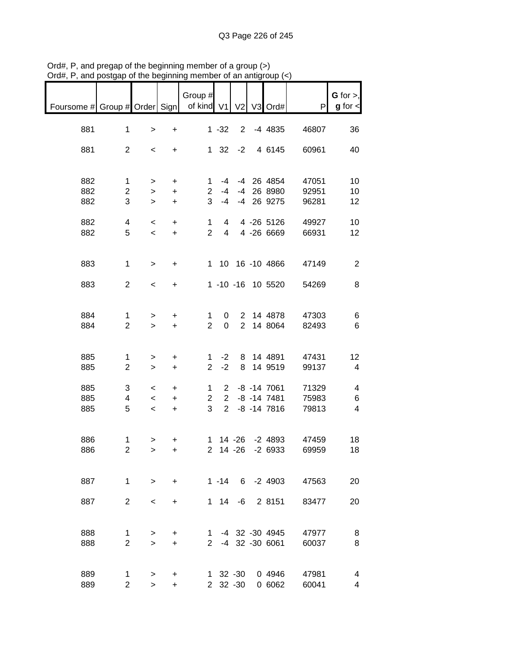|                                            | and postyap i                    | אָווווווואָטט טווע וט                                           |                         | $\frac{1}{2}$                         |                                  |                |                                                 |                         |                                                         |
|--------------------------------------------|----------------------------------|-----------------------------------------------------------------|-------------------------|---------------------------------------|----------------------------------|----------------|-------------------------------------------------|-------------------------|---------------------------------------------------------|
| Foursome # Group # Order Sign   of kind V1 |                                  |                                                                 |                         | Group #                               |                                  | V <sub>2</sub> | V3 Ord#                                         | $\mathsf{P}$            | $G$ for $>$ ,<br>$g$ for $\lt$                          |
| 881                                        | $\mathbf 1$                      | $\,$                                                            | $\ddot{}$               |                                       | $1 - 32$                         | 2 <sup>7</sup> | -4 4835                                         | 46807                   | 36                                                      |
| 881                                        | $\overline{2}$                   | $\,<\,$                                                         | $\ddot{}$               |                                       | $1 \t32 \t-2$                    |                | 4 6145                                          | 60961                   | 40                                                      |
| 882<br>882<br>882                          | $\mathbf 1$<br>$\mathbf{2}$<br>3 | $\,$<br>$\mathbf{I}$                                            | $\ddot{}$<br>$+$        | 1.<br>2 <sup>1</sup><br>3             | -4<br>$-4$<br>$-4$               |                | -4 26 4854<br>-4 26 8980<br>-4 26 9275          | 47051<br>92951          | 10<br>10                                                |
|                                            |                                  | $\mathbf{I}$                                                    | $+$                     |                                       |                                  |                |                                                 | 96281                   | 12                                                      |
| 882<br>882                                 | 4<br>5                           | $\overline{\phantom{a}}$<br>$\overline{\phantom{a}}$            | $+$<br>$+$              | 1<br>$\overline{2}$                   | $\overline{4}$<br>$\overline{4}$ |                | 4 -26 5126<br>4 -26 6669                        | 49927<br>66931          | 10<br>12 <sub>2</sub>                                   |
| 883                                        | $\mathbf{1}$                     | $\, >$                                                          | $\ddot{}$               |                                       |                                  |                | 1 10 16 -10 4866                                | 47149                   | $\overline{c}$                                          |
| 883                                        | $\overline{c}$                   | $\,<\,$                                                         | $+$                     |                                       |                                  |                | 1 -10 -16 10 5520                               | 54269                   | 8                                                       |
| 884<br>884                                 | 1<br>$\overline{2}$              | $\,>$<br>$\geq$                                                 | $\pm$<br>$+$            | $\mathbf{1}$<br>$\overline{2}$        | $\overline{0}$                   |                | 0 2 14 4878<br>2 14 8064                        | 47303<br>82493          | 6<br>6                                                  |
| 885<br>885                                 | 1<br>$\overline{2}$              | $\,$<br>$\,$                                                    | $\ddot{}$<br>$+$        | $\mathbf{1}$<br>$\overline{2}$        | $-2$<br>$-2$                     |                | 8 14 4891<br>8 14 9 519                         | 47431<br>99137          | 12<br>$\overline{\mathbf{4}}$                           |
| 885<br>885<br>885                          | 3<br>$\overline{4}$<br>5         | $\,<\,$<br>$\overline{\phantom{0}}$<br>$\overline{\phantom{0}}$ | $\ddot{}$<br>$+$<br>$+$ | 1<br>$\overline{2}$<br>3 <sup>1</sup> |                                  |                | 2 -8 -14 7061<br>2 -8 -14 7481<br>2 -8 -14 7816 | 71329<br>75983<br>79813 | $\overline{\mathbf{4}}$<br>6<br>$\overline{\mathbf{4}}$ |
| 886<br>886                                 | 1<br>$\overline{2}$              | $\, >$<br>$\geq$                                                | +<br>+                  | $2^{\circ}$                           |                                  |                | 1 14 -26 -2 4893<br>14 -26 -2 6933              | 47459<br>69959          | 18<br>18                                                |
| 887                                        | $\mathbf{1}$                     | $\geq$                                                          | $+$                     |                                       |                                  |                | 1 -14 6 -2 4903                                 | 47563                   | 20                                                      |
| 887                                        | $\overline{2}$                   | $\overline{\phantom{0}}$                                        | +                       |                                       | $1 \t14 \t-6$                    |                | 2 8151                                          | 83477                   | 20                                                      |
| 888<br>888                                 | 1<br>$\overline{2}$              | ><br>$\geq$                                                     | +<br>$\ddot{}$          | 1.<br>$\mathbf{2}$                    |                                  |                | -4 32 -30 4945<br>-4 32 -30 6061                | 47977<br>60037          | 8<br>8                                                  |
| 889<br>889                                 | 1<br>$\overline{2}$              | ><br>$\geq$                                                     | +<br>$\ddot{}$          |                                       | 1 32 -30<br>2 32 -30             |                | 0 4946<br>0 6062                                | 47981<br>60041          | 4<br>4                                                  |

Ord#, P, and pregap of the beginning member of a group (>) Ord#, P, and postgap of the beginning member of an antigroup (<)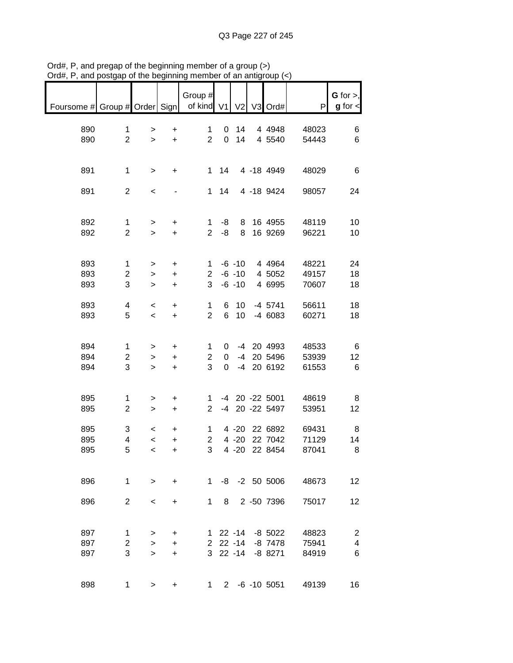| $max$ , $max$ , and postgap or the beginning member or an antigroup $(\leq)$ |                     |                          |           |                |             |                          |                    |       |                                  |
|------------------------------------------------------------------------------|---------------------|--------------------------|-----------|----------------|-------------|--------------------------|--------------------|-------|----------------------------------|
|                                                                              |                     |                          |           | Group #        |             |                          |                    |       | $G$ for $>$ ,                    |
| Foursome # Group # Order Sign                                                |                     |                          |           | of kind V1     |             |                          | V2 V3 Ord#         | Ρ     | $g$ for $\lt$                    |
|                                                                              |                     |                          |           |                |             |                          |                    |       |                                  |
| 890                                                                          | 1                   | $\, > \,$                | $\ddot{}$ | 1              | 0           | 14                       | 4 4 9 4 8          | 48023 | 6                                |
| 890                                                                          | $\overline{2}$      | $\geq$                   | $+$       | $\overline{2}$ | $\mathbf 0$ | 14                       | 4 5540             | 54443 | 6                                |
|                                                                              |                     |                          |           |                |             |                          |                    |       |                                  |
|                                                                              |                     |                          |           |                |             |                          |                    |       |                                  |
| 891                                                                          | $\mathbf 1$         | $\, >$                   | +         | $\mathbf{1}$   | 14          |                          | 4 -18 4949         | 48029 | 6                                |
|                                                                              |                     |                          |           |                |             |                          |                    |       |                                  |
| 891                                                                          | $\overline{2}$      | $\,<$                    |           | $\mathbf{1}$   | 14          |                          | 4 -18 9424         | 98057 | 24                               |
|                                                                              |                     |                          |           |                |             |                          |                    |       |                                  |
| 892                                                                          | $\mathbf{1}$        | $\,>$                    | +         | 1              | -8          | 8                        | 16 4955            | 48119 | 10                               |
| 892                                                                          | $\overline{2}$      | $\geq$                   | $\ddot{}$ | $\overline{2}$ | -8          | 8                        | 16 9269            | 96221 | 10                               |
|                                                                              |                     |                          |           |                |             |                          |                    |       |                                  |
|                                                                              |                     |                          |           |                |             |                          |                    |       |                                  |
| 893                                                                          | $\mathbf 1$         | $\, > \,$                | +         | 1              |             | $-6 - 10$                | 4 4 9 6 4          | 48221 | 24                               |
| 893                                                                          | 2                   | >                        | $\ddot{}$ | 2              |             | $-6 - 10$                | 4 5052             | 49157 | 18                               |
| 893                                                                          | 3                   | $\, > \,$                | $\ddot{}$ | 3              |             | $-6 - 10$                | 4 6995             | 70607 | 18                               |
|                                                                              |                     |                          |           |                |             |                          |                    |       |                                  |
| 893                                                                          | 4                   | $\,<\,$                  | $\ddot{}$ | 1              | 6           | 10                       | $-4$ 5741          | 56611 | 18                               |
| 893                                                                          | 5                   | $\,<$                    | $\ddot{}$ | $\overline{2}$ | 6           | 10                       | $-46083$           | 60271 | 18                               |
|                                                                              |                     |                          |           |                |             |                          |                    |       |                                  |
|                                                                              |                     |                          |           |                |             |                          |                    |       |                                  |
| 894                                                                          | 1                   | $\, > \,$                | +         | 1              | 0           |                          | -4 20 4993         | 48533 | 6                                |
| 894                                                                          | 2                   | $\,$                     | $\ddot{}$ | $\mathbf 2$    | 0           | $-4$                     | 20 5496            | 53939 | 12                               |
| 894                                                                          | 3                   | $\, > \,$                | $\ddot{}$ | 3              | 0           | $-4$                     | 20 6192            | 61553 | 6                                |
|                                                                              |                     |                          |           |                |             |                          |                    |       |                                  |
|                                                                              |                     |                          |           |                |             |                          |                    |       |                                  |
| 895                                                                          | 1                   | $\, > \,$                | +         | 1.             |             |                          | -4 20 -22 5001     | 48619 | 8                                |
| 895                                                                          | $\overline{2}$      | $\geq$                   | $\ddot{}$ | $\overline{2}$ |             |                          | -4 20 -22 5497     | 53951 | 12                               |
|                                                                              |                     |                          |           |                |             |                          |                    |       |                                  |
| 895                                                                          | 3                   | $\,<$                    | +         | 1              |             | $4 - 20$                 | 22 6892            | 69431 | 8                                |
| 895                                                                          | 4                   | $\,<$                    | $\ddot{}$ | $\overline{2}$ |             | $4 - 20$                 | 22 7042            | 71129 | 14                               |
| 895                                                                          | 5                   | $\overline{\phantom{0}}$ | +         | 3              |             |                          | 4 -20 22 8454      | 87041 | 8                                |
|                                                                              |                     |                          |           |                |             |                          |                    |       |                                  |
|                                                                              |                     |                          |           |                |             |                          |                    |       |                                  |
| 896                                                                          | $\mathbf 1$         | $\geq$                   | $\ddot{}$ | $1 \quad$      |             |                          | -8 -2 50 5006      | 48673 | 12                               |
|                                                                              |                     |                          |           |                |             |                          |                    |       |                                  |
| 896                                                                          | $\overline{2}$      | $\,<\,$                  | +         | 1              | 8           |                          | 2 -50 7396         | 75017 | 12                               |
|                                                                              |                     |                          |           |                |             |                          |                    |       |                                  |
|                                                                              |                     |                          |           |                |             |                          |                    |       |                                  |
| 897                                                                          | 1                   | >                        | +         |                |             |                          | 1 22 -14 -8 5022   | 48823 | $\overline{2}$                   |
| 897<br>897                                                                   | $\overline{2}$<br>3 | $\geq$                   | $\ddot{}$ |                |             | $2$ 22 -14<br>$3$ 22 -14 | -8 7478<br>-8 8271 | 75941 | $\overline{\mathbf{4}}$<br>$\,6$ |
|                                                                              |                     | $\geq$                   | $\ddot{}$ |                |             |                          |                    | 84919 |                                  |
|                                                                              |                     |                          |           |                |             |                          |                    |       |                                  |
| 898                                                                          | 1                   | >                        | +         | 1              | $2^{\circ}$ |                          | $-6 - 10$ 5051     | 49139 | 16                               |
|                                                                              |                     |                          |           |                |             |                          |                    |       |                                  |

Ord#, P, and pregap of the beginning member of a group (>) Ord#, P, and postgap of the beginning member of an antigroup (<)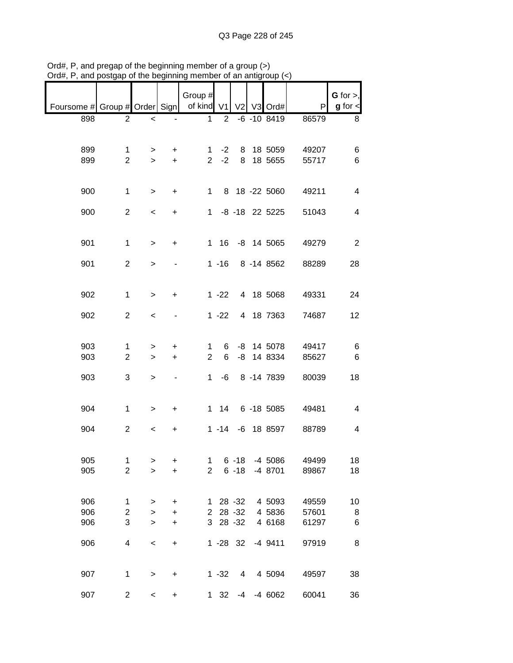| unu                                        | poolyup        | אָו ייי יישט טריט יכ     |                                  |                |                |                 | ununuyrow(2)     |       |                                |
|--------------------------------------------|----------------|--------------------------|----------------------------------|----------------|----------------|-----------------|------------------|-------|--------------------------------|
| Foursome # Group # Order Sign   of kind V1 |                |                          |                                  | Group #        |                |                 | V2 V3 Ord#       | P     | $G$ for $>$ ,<br>$g$ for $\lt$ |
| 898                                        | $\overline{2}$ | $\overline{\phantom{a}}$ |                                  | 1              | $\overline{2}$ |                 | $-6 - 108419$    | 86579 | 8                              |
|                                            |                |                          |                                  |                |                |                 |                  |       |                                |
| 899                                        | 1              | $\geq$                   | $\ddot{}$                        |                | 1 $-2$         |                 | 8 18 5059        | 49207 | 6                              |
| 899                                        | $\overline{2}$ | $\geq$                   | $+$                              |                | $2 -2$         |                 | 8 18 5655        | 55717 | 6                              |
|                                            |                |                          |                                  |                |                |                 |                  |       |                                |
| 900                                        | $\mathbf 1$    | $\,>$                    | $+$                              |                |                |                 | 1 8 18 -22 5060  | 49211 | $\overline{\mathbf{4}}$        |
|                                            |                |                          |                                  |                |                |                 |                  |       |                                |
| 900                                        | $\overline{2}$ | $\,<$                    | $\ddot{}$                        |                |                |                 | 1 -8 -18 22 5225 | 51043 | $\overline{\mathcal{A}}$       |
| 901                                        | $\mathbf{1}$   | $\geq$                   | $\ddot{}$                        |                |                |                 | 1 16 -8 14 5065  | 49279 | $\overline{2}$                 |
|                                            |                |                          |                                  |                |                |                 |                  |       |                                |
| 901                                        | $\overline{2}$ | $\geq$                   |                                  |                |                |                 | 1 -16 8 -14 8562 | 88289 | 28                             |
|                                            |                |                          |                                  |                |                |                 |                  |       |                                |
|                                            |                |                          |                                  |                |                |                 |                  |       |                                |
| 902                                        | $\mathbf{1}$   | $\geq$                   | $\ddot{}$                        |                | $1 - 22$       |                 | 4 18 5068        | 49331 | 24                             |
| 902                                        | $\overline{2}$ | $\,<$                    |                                  |                | $1 - 22$       |                 | 4 18 7363        | 74687 | 12                             |
|                                            |                |                          |                                  |                |                |                 |                  |       |                                |
|                                            |                |                          |                                  |                |                |                 |                  |       |                                |
| 903                                        | 1              | >                        | $\ddot{}$                        | 1.             | 6              |                 | -8 14 5078       | 49417 | 6                              |
| 903                                        | $\overline{2}$ | $\mathbf{1}$             | $+$                              | $\overline{2}$ | 6              |                 | -8 14 8334       | 85627 | $\,6$                          |
|                                            |                |                          |                                  |                |                |                 |                  |       |                                |
| 903                                        | 3              | $\mathbf{1}$             | $\sim$                           |                |                |                 | 1 -6 8 -14 7839  | 80039 | 18                             |
|                                            |                |                          |                                  |                |                |                 |                  |       |                                |
|                                            |                |                          |                                  |                |                |                 |                  |       |                                |
| 904                                        | $\mathbf 1$    | $\,>$                    | $+$                              |                |                |                 | 1 14 6 -18 5085  | 49481 | $\overline{\mathcal{A}}$       |
| 904                                        | $\overline{c}$ | $\,<$                    | $\ddot{}$                        |                |                |                 | 1 -14 -6 18 8597 | 88789 | $\overline{\mathbf{4}}$        |
|                                            |                |                          |                                  |                |                |                 |                  |       |                                |
|                                            |                |                          |                                  |                |                |                 |                  |       |                                |
| 905                                        | 1              | $\, > \,$                | +                                | 1              |                | $6 - 18$        | $-4$ 5086        | 49499 | 18                             |
| 905                                        | $\overline{2}$ | $\geq$                   | $\ddot{}$                        | $\overline{2}$ |                | $6 - 18$        | -4 8701          | 89867 | 18                             |
|                                            |                |                          |                                  |                |                |                 |                  |       |                                |
|                                            |                |                          |                                  |                |                |                 |                  |       |                                |
| 906                                        | 1              | $\, > \,$                | $\ddot{}$                        |                |                | 1 28 -32        | 4 5093           | 49559 | 10                             |
| 906                                        | $\overline{c}$ | $\,$                     | $\begin{array}{c} + \end{array}$ |                |                | 2 28 -32        | 4 5836           | 57601 | 8                              |
| 906                                        | 3              | $\geq$                   | $\begin{array}{c} + \end{array}$ |                | 3 28 - 32      |                 | 4 6168           | 61297 | 6                              |
| 906                                        | 4              |                          |                                  |                |                | $1 - 28$ 32     | $-4$ 9411        | 97919 | 8                              |
|                                            |                | $\prec$                  | $\begin{array}{c} + \end{array}$ |                |                |                 |                  |       |                                |
|                                            |                |                          |                                  |                |                |                 |                  |       |                                |
| 907                                        | $\mathbf{1}$   | $\, > \,$                | +                                |                | $1 - 32$       | $4\overline{ }$ | 4 5094           | 49597 | 38                             |
|                                            |                |                          |                                  |                |                |                 |                  |       |                                |
| 907                                        | $\overline{c}$ | $\overline{\phantom{a}}$ | $\ddot{}$                        |                | $1 \quad 32$   |                 | $-4$ $-4$ 6062   | 60041 | 36                             |

Ord#, P, and pregap of the beginning member of a group (>) Ord#, P, and postgap of the beginning member of an antigroup (<)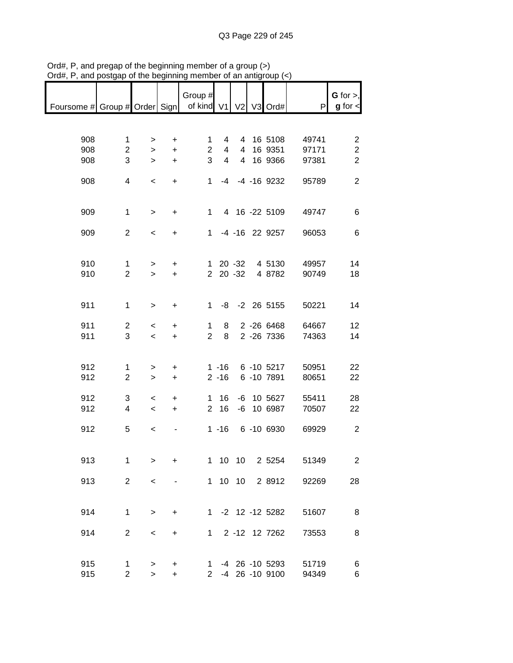| Foursome # Group # Order Sign   of kind V1   V2   V3 Ord# |                               |                                                      |                        | Group #             |                                  |         |                                    | P              | $G$ for $>$ ,<br>$g$ for $\lt$            |
|-----------------------------------------------------------|-------------------------------|------------------------------------------------------|------------------------|---------------------|----------------------------------|---------|------------------------------------|----------------|-------------------------------------------|
|                                                           |                               |                                                      |                        |                     |                                  |         |                                    |                |                                           |
| 908<br>908                                                | $\mathbf 1$<br>$\overline{c}$ | $\geq$<br>$\geq$                                     | $\ddot{}$<br>$\ddot{}$ | 1<br>$\overline{2}$ | $\overline{4}$<br>$\overline{4}$ |         | 4 16 5108<br>4 16 9351             | 49741<br>97171 | $\overline{\mathbf{c}}$<br>$\overline{c}$ |
| 908                                                       | 3                             | $\geq$                                               | $\pm$                  | 3                   | $\overline{4}$                   |         | 4 16 9366                          | 97381          | $\overline{2}$                            |
| 908                                                       | $\overline{4}$                | $\,<$                                                | $+$                    |                     |                                  |         | 1 -4 -4 -16 9232                   | 95789          | $\overline{2}$                            |
| 909                                                       | $\mathbf 1$                   | $\,$                                                 | $+$                    |                     |                                  |         | 1 4 16 -22 5109                    | 49747          | 6                                         |
| 909                                                       | $\overline{2}$                | $\,<$                                                | $+$                    |                     |                                  |         | 1 -4 -16 22 9257                   | 96053          | 6                                         |
| 910                                                       | $\mathbf{1}$                  | $\geq$                                               | $+$                    |                     |                                  |         | 1 20 -32 4 5130                    | 49957          | 14                                        |
| 910                                                       | $\overline{2}$                | $\geq$                                               | $\pm$                  |                     |                                  |         | 2 20 -32 4 8782                    | 90749          | 18                                        |
| 911                                                       | $\mathbf 1$                   | $\,$                                                 | $+$                    |                     |                                  |         | 1 -8 -2 26 5155                    | 50221          | 14                                        |
| 911                                                       | $\overline{2}$                |                                                      |                        | $1 \quad$           | 8                                |         | 2 -26 6468                         | 64667          | 12                                        |
| 911                                                       | 3                             | $\prec$<br>$\leq$                                    | $\ddot{}$<br>$+$       |                     | $2 \quad 8$                      |         | 2 -26 7336                         | 74363          | 14                                        |
|                                                           |                               |                                                      |                        |                     |                                  |         |                                    |                |                                           |
| 912                                                       | 1                             | $\, > \,$                                            | $\ddot{}$              |                     |                                  |         | 1 -16 6 -10 5217                   | 50951          | 22                                        |
| 912                                                       | $\overline{2}$                | $\mathbf{I}$                                         | $+$                    |                     |                                  |         | 2 -16 6 -10 7891                   | 80651          | 22                                        |
| 912<br>912                                                | 3<br>$\overline{4}$           | $\overline{\phantom{a}}$<br>$\overline{\phantom{a}}$ | $+$<br>$+$             |                     | $1 \t16$<br>$2 \quad 16$         |         | -6 10 5627<br>-6 10 6987           | 55411<br>70507 | 28<br>22                                  |
|                                                           |                               |                                                      |                        |                     |                                  |         |                                    |                |                                           |
| 912                                                       | 5                             | $\prec$                                              | ÷.                     |                     |                                  |         | 1 -16 6 -10 6930                   | 69929          | $\overline{2}$                            |
| 913                                                       | 1                             | $\geq$                                               | +                      | 1                   |                                  | 10 10   | 2 5254                             | 51349          | $\overline{2}$                            |
| 913                                                       | $\overline{2}$                | $\,<$                                                |                        |                     |                                  | 1 10 10 | 2 8912                             | 92269          | 28                                        |
|                                                           |                               |                                                      |                        |                     |                                  |         |                                    |                |                                           |
| 914                                                       | 1                             | $\, > \,$                                            | +                      |                     |                                  |         | 1 -2 12 -12 5282                   | 51607          | 8                                         |
| 914                                                       | $\overline{2}$                | $\,<\,$                                              | +                      | 1                   |                                  |         | 2 -12 12 7262                      | 73553          | 8                                         |
|                                                           |                               |                                                      |                        |                     |                                  |         |                                    |                |                                           |
| 915<br>915                                                | 1<br>$\overline{2}$           | $\, > \,$<br>$\geq$                                  | +<br>+                 | $1 \quad$           |                                  |         | -4 26 -10 5293<br>2 -4 26 -10 9100 | 51719<br>94349 | 6<br>6                                    |

Ord#, P, and pregap of the beginning member of a group (>) Ord#, P, and postgap of the beginning member of an antigroup (<)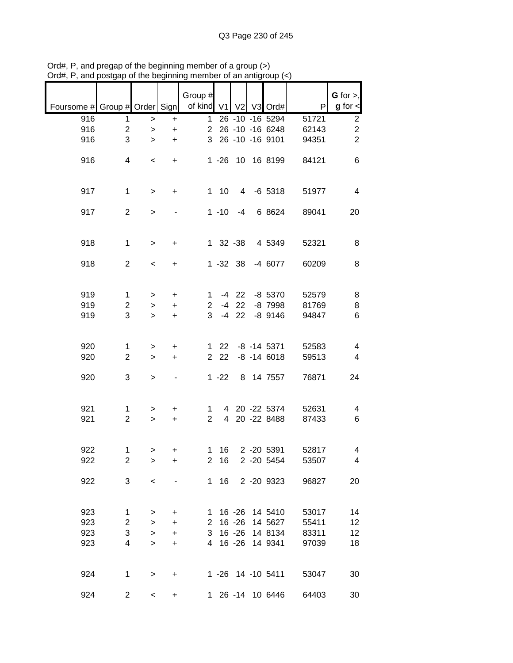|                               |                     |                          |                          | Group #             |                |                        |                               |                | G for $>$ ,             |
|-------------------------------|---------------------|--------------------------|--------------------------|---------------------|----------------|------------------------|-------------------------------|----------------|-------------------------|
| Foursome # Group # Order Sign |                     |                          |                          | of kind V1          |                |                        | V2 V3 Ord#                    | P              | $g$ for $\lt$           |
| 916                           | 1                   | $\, >$                   | +                        | 1                   |                |                        | 26 -10 -16 5294               | 51721          | $\overline{\mathbf{c}}$ |
| 916                           | $\overline{c}$      | $\,$                     | $\ddot{}$                | $\overline{2}$      |                |                        | 26 -10 -16 6248               | 62143          | $\overline{c}$          |
| 916                           | 3                   | >                        | $\ddot{}$                | 3                   |                |                        | 26 -10 -16 9101               | 94351          | $\overline{2}$          |
| 916                           | 4                   | $\,<\,$                  | +                        |                     | $1 - 26$       | 10                     | 16 8199                       | 84121          | 6                       |
| 917                           | $\mathbf{1}$        | $\, > \,$                | +                        |                     | 110            | 4                      | $-6$ 5318                     | 51977          | 4                       |
| 917                           | $\overline{2}$      | $\, > \,$                |                          |                     | $1 - 10$       | $-4$                   | 6 8624                        | 89041          | 20                      |
| 918                           | $\mathbf{1}$        | $\, > \,$                | +                        |                     | $1 \t32 \t-38$ |                        | 4 5349                        | 52321          | 8                       |
| 918                           | $\overline{2}$      | $\overline{\phantom{a}}$ | +                        |                     | $1 - 32$ 38    |                        | -4 6077                       | 60209          | 8                       |
| 919                           | 1                   |                          | $\ddot{}$                | 1                   | $-4$           | 22                     | $-8$ 5370                     | 52579          | 8                       |
| 919                           | $\overline{c}$      | ><br>>                   | $\ddot{}$                | $\overline{2}$      | $-4$           | 22                     | -8 7998                       | 81769          | 8                       |
| 919                           | 3                   | $\geq$                   | $\ddot{}$                | 3                   | $-4$           | 22                     | $-8$ 9146                     | 94847          | 6                       |
|                               |                     |                          |                          |                     |                |                        |                               |                |                         |
| 920                           | 1                   | >                        | $\ddot{}$                | 1                   | 22             |                        | $-8$ $-14$ 5371               | 52583          | 4                       |
| 920                           | $\overline{2}$      | >                        | +                        | $\overline{2}$      | 22             |                        | $-8 - 14 6018$                | 59513          | 4                       |
| 920                           | 3                   | $\, > \,$                | $\overline{\phantom{a}}$ |                     | $1 - 22$       |                        | 8 14 7557                     | 76871          | 24                      |
| 921                           |                     |                          |                          |                     |                |                        |                               |                |                         |
| 921                           | 1<br>$\overline{2}$ | ><br>$\, > \,$           | +<br>$\ddot{}$           | 1<br>$\overline{2}$ | $\overline{4}$ |                        | 4 20 -22 5374<br>20 - 22 8488 | 52631<br>87433 | 4<br>6                  |
|                               |                     |                          |                          |                     |                |                        |                               |                |                         |
| 922                           | 1                   | >                        | +                        | 1                   | 16             |                        | 2 -20 5391                    | 52817          | 4                       |
| 922                           | $\overline{c}$      | >                        | +                        | $\overline{2}$      | 16             |                        | 2 -20 5454                    | 53507          | 4                       |
|                               |                     |                          |                          |                     |                |                        |                               |                |                         |
| 922                           | 3                   | $\,<$                    |                          |                     | 1 16           |                        | 2 -20 9323                    | 96827          | 20                      |
|                               |                     |                          |                          |                     |                |                        |                               |                |                         |
| 923<br>923                    | 1<br>$\overline{c}$ | >                        | +                        | 1                   |                | $16 - 26$<br>$16 - 26$ | 14 5410<br>14 5627            | 53017<br>55411 | 14<br>12                |
| 923                           | 3                   | ><br>$\mathbf{I}$        | +<br>+                   | $\mathbf{2}$<br>3   |                | $16 - 26$              | 14 8134                       | 83311          | 12                      |
| 923                           | 4                   | $\geq$                   | +                        | 4                   |                | $16 - 26$              | 14 9341                       | 97039          | 18                      |
|                               |                     |                          |                          |                     |                |                        |                               |                |                         |
| 924                           | $\mathbf 1$         | $\,$                     | +                        |                     |                |                        | 1 -26 14 -10 5411             | 53047          | 30                      |
| 924                           | $\overline{c}$      | $\,<\,$                  | +                        |                     |                |                        | 1 26 -14 10 6446              | 64403          | 30                      |

Ord#, P, and pregap of the beginning member of a group (>) Ord#, P, and postgap of the beginning member of an antigroup (<)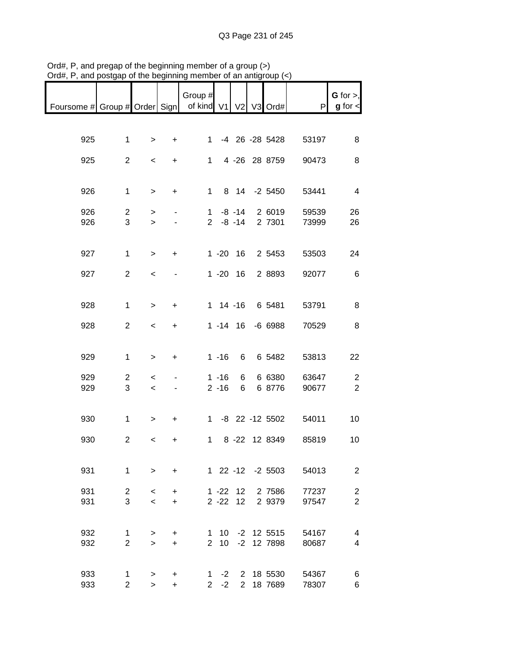| nam, r., and poolgap                                      |                     | אָו יווי וועט טו זו וכ   |                              | ,,,,,,,        |                |              | $m_1$ anny $\sigma$       |                |                                |
|-----------------------------------------------------------|---------------------|--------------------------|------------------------------|----------------|----------------|--------------|---------------------------|----------------|--------------------------------|
| Foursome # Group # Order Sign   of kind V1   V2   V3 Ord# |                     |                          |                              | Group #        |                |              |                           | P              | $G$ for $>$ ,<br>$g$ for $\lt$ |
|                                                           |                     |                          |                              |                |                |              |                           |                |                                |
| 925                                                       | $\mathbf{1}$        | $\geq$                   | $+$                          | $1 \quad$      |                |              | -4 26 -28 5428            | 53197          | 8                              |
| 925                                                       | $\overline{c}$      | $\,<\,$                  | $+$                          |                |                |              | 1 4 -26 28 8759           | 90473          | 8                              |
| 926                                                       | $\mathbf{1}$        | $\,$                     | $+$                          |                | $1 -$          |              | 8 14 -2 5450              | 53441          | $\overline{4}$                 |
|                                                           |                     |                          |                              |                |                |              |                           |                |                                |
| 926<br>926                                                | $\overline{c}$<br>3 | $\,>$<br>$\mathbf{I}$    |                              |                |                | $1 - 8 - 14$ | 2 6019<br>2 -8 -14 2 7301 | 59539<br>73999 | 26<br>26                       |
|                                                           |                     |                          |                              |                |                |              |                           |                |                                |
| 927                                                       | $\mathbf 1$         | $\geq$                   | $\ddot{}$                    |                |                |              | 1 -20 16 2 5453           | 53503          | 24                             |
| 927                                                       | $\overline{2}$      | $\,<$                    | $\qquad \qquad \blacksquare$ |                |                |              | 1 -20 16 2 8893           | 92077          | 6                              |
|                                                           |                     |                          |                              |                |                |              |                           |                |                                |
| 928                                                       | $\mathbf 1$         | $\geq$                   | $\ddot{}$                    |                |                |              | 1 14 -16 6 5481           | 53791          | 8                              |
| 928                                                       | $\overline{c}$      | $\,<$                    | $+$                          |                |                |              | 1 -14 16 -6 6988          | 70529          | 8                              |
|                                                           |                     |                          |                              |                |                |              |                           |                |                                |
| 929                                                       | $\mathbf{1}$        | $\,$                     | $\ddot{}$                    |                | $1 - 16$       | 6            | 6 5482                    | 53813          | 22                             |
| 929                                                       | $\overline{c}$      | $\overline{\phantom{a}}$ |                              |                | $1 - 16$       | 6            | 6 6380                    | 63647          | $\overline{c}$                 |
| 929                                                       | 3                   | $\,<\,$                  |                              |                | $2 - 16$       | 6            | 6 8776                    | 90677          | $\overline{2}$                 |
|                                                           |                     |                          |                              |                |                |              |                           |                |                                |
| 930                                                       | $\mathbf{1}$        | $\, > \,$                | $+$                          |                |                |              | 1 -8 22 -12 5502          | 54011          | 10                             |
| 930                                                       | $\overline{2}$      | $\,<\,$                  | +                            |                | $1 \quad$      |              | 8 -22 12 8349             | 85819          | 10                             |
|                                                           |                     |                          |                              |                |                |              |                           |                |                                |
| 931                                                       | $\mathbf 1$         | $\mathbf{I}$             | $\ddot{}$                    |                |                |              | 1 22 -12 -2 5503          | 54013          | $\overline{2}$                 |
| 931                                                       | $\overline{a}$      | $\,<\,$                  | $\ddot{}$                    |                |                | $1 - 22$ 12  | 2 7586                    | 77237          | $\overline{\mathbf{c}}$        |
| 931                                                       | 3                   | $\,<$                    | $\ddot{}$                    |                | $2 - 22$       | 12           | 2 9379                    | 97547          | $\overline{2}$                 |
|                                                           |                     |                          |                              |                |                |              |                           |                |                                |
| 932                                                       | 1                   | >                        | $\ddot{}$                    | 1              |                |              | 10 -2 12 5515             | 54167          | 4                              |
| 932                                                       | $\overline{2}$      | $\geq$                   | $\ddot{}$                    | $\overline{2}$ | 10             |              | -2 12 7898                | 80687          | 4                              |
|                                                           |                     |                          |                              |                |                |              |                           |                |                                |
| 933<br>933                                                | 1<br>$\overline{2}$ | $\,$<br>$\geq$           | +<br>$\ddot{}$               | $\overline{2}$ | 1 $-2$<br>$-2$ |              | 2 18 5530<br>2 18 7689    | 54367<br>78307 | 6<br>6                         |

Ord#, P, and pregap of the beginning member of a group (>) Ord#, P, and postgap of the beginning member of an antigroup (<)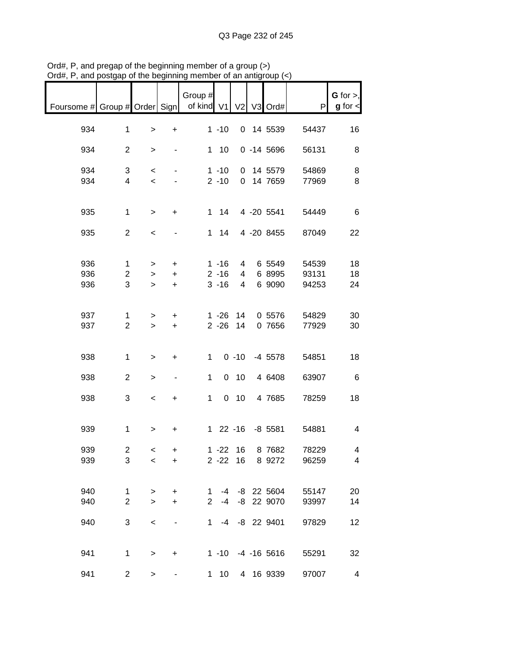| nam, i , and poolgap i                     |                | 가 ㅠ!♡ DUY!!!!!!!!!       |                          |                |                 |                | $\sim$ and annual order ( $\sim$ ) |       |                              |
|--------------------------------------------|----------------|--------------------------|--------------------------|----------------|-----------------|----------------|------------------------------------|-------|------------------------------|
| Foursome # Group # Order Sign   of kind V1 |                |                          |                          | Group #        |                 |                | V2 V3 Ord#                         | P     | G for $>$ ,<br>$g$ for $\lt$ |
|                                            |                |                          |                          |                |                 |                |                                    |       |                              |
| 934                                        | $\mathbf 1$    | $\,$                     | $+$                      |                | $1 - 10$        |                | 0 14 5539                          | 54437 | 16                           |
| 934                                        | $\overline{c}$ | $\, > \,$                | $\blacksquare$           |                | $1 \quad 10$    |                | $0 - 14 5696$                      | 56131 | 8                            |
| 934                                        |                |                          |                          |                |                 |                |                                    |       |                              |
|                                            | 3              | $\,<\,$                  | $\sim$                   |                | $1 - 10$        |                | 0 14 5579                          | 54869 | 8                            |
| 934                                        | 4              | $\,<\,$                  |                          |                | $2 - 10$        |                | 0 14 7659                          | 77969 | 8                            |
|                                            |                |                          |                          |                |                 |                |                                    |       |                              |
| 935                                        | $\mathbf{1}$   | $\,$                     | $+$                      |                | $1 \quad 14$    |                | 4 -20 5541                         | 54449 | 6                            |
|                                            |                |                          |                          |                |                 |                |                                    |       |                              |
| 935                                        | $\overline{2}$ | $\,<\,$                  |                          |                | $1 \quad 14$    |                | 4 -20 8455                         | 87049 | 22                           |
|                                            |                |                          |                          |                |                 |                |                                    |       |                              |
|                                            |                |                          |                          |                |                 |                |                                    |       |                              |
|                                            |                |                          |                          |                |                 |                |                                    |       |                              |
| 936                                        | $\mathbf{1}$   | $\geq$                   | $+$                      |                | $1 - 16$        | $\overline{4}$ | 6 5549                             | 54539 | 18                           |
| 936                                        | $\overline{c}$ | $\geq$                   | $+$                      |                | $2 - 16$        | $\overline{4}$ | 6 8995                             | 93131 | 18                           |
| 936                                        | $\overline{3}$ | $\geq$                   | $+$                      |                | $3 - 16$        | $\overline{4}$ | 6 9090                             | 94253 | 24                           |
|                                            |                |                          |                          |                |                 |                |                                    |       |                              |
|                                            |                |                          |                          |                |                 |                |                                    |       |                              |
| 937                                        |                |                          |                          |                | 1 -26 14        |                | 0 5576                             |       |                              |
|                                            | 1              | $\geq$                   | $\ddot{}$                |                |                 |                |                                    | 54829 | 30                           |
| 937                                        | $\overline{2}$ | $\geq$                   | $+$                      |                | $2 - 26$        | 14             | 0 7656                             | 77929 | 30                           |
|                                            |                |                          |                          |                |                 |                |                                    |       |                              |
|                                            |                |                          |                          |                |                 |                |                                    |       |                              |
| 938                                        | $\mathbf{1}$   | $\, >$                   | $\ddot{}$                | 1              |                 |                | $0 -10 -45578$                     | 54851 | 18                           |
|                                            |                |                          |                          |                |                 |                |                                    |       |                              |
| 938                                        | $\overline{2}$ | $\,$                     | $\overline{\phantom{a}}$ | $\mathbf 1$    |                 | $0$ 10         | 4 6408                             | 63907 | 6                            |
|                                            |                |                          |                          |                |                 |                |                                    |       |                              |
|                                            |                |                          |                          |                |                 |                |                                    |       |                              |
| 938                                        | 3              | $\overline{\phantom{a}}$ | $+$                      | 1 <sup>1</sup> |                 | $0$ 10         | 4 7685                             | 78259 | 18                           |
|                                            |                |                          |                          |                |                 |                |                                    |       |                              |
|                                            |                |                          |                          |                |                 |                |                                    |       |                              |
| 939                                        | $\mathbf{1}$   | $\geq$                   | $\ddot{}$                |                |                 |                | 1 22 -16 -8 5581                   | 54881 | $\overline{4}$               |
|                                            |                |                          |                          |                |                 |                |                                    |       |                              |
| 939                                        | $\overline{a}$ | $\overline{\phantom{0}}$ | +                        |                | 1 -22 16        |                | 8 7682                             | 78229 | 4                            |
| 939                                        | 3              | $\,<\,$                  | $\ddot{}$                |                |                 |                | 2 -22 16 8 9272                    | 96259 | $\overline{4}$               |
|                                            |                |                          |                          |                |                 |                |                                    |       |                              |
|                                            |                |                          |                          |                |                 |                |                                    |       |                              |
|                                            |                |                          |                          |                |                 |                |                                    |       |                              |
| 940                                        | 1              | $\, >$                   | $\ddot{}$                | $1 \quad$      |                 |                | -4 -8 22 5604                      | 55147 | 20                           |
| 940                                        | $\overline{2}$ | $\geq$                   | $\ddot{}$                | $2^{\circ}$    |                 |                | -4 -8 22 9070                      | 93997 | 14                           |
|                                            |                |                          |                          |                |                 |                |                                    |       |                              |
| 940                                        | 3              | $\,<\,$                  |                          |                |                 |                | 1 -4 -8 22 9401                    | 97829 | 12                           |
|                                            |                |                          |                          |                |                 |                |                                    |       |                              |
|                                            |                |                          |                          |                |                 |                |                                    |       |                              |
| 941                                        | $\mathbf{1}$   |                          |                          |                |                 |                | 1 -10 -4 -16 5616                  |       |                              |
|                                            |                | $\,>$                    | $\ddot{}$                |                |                 |                |                                    | 55291 | 32                           |
|                                            |                |                          |                          |                |                 |                |                                    |       |                              |
| 941                                        | $\overline{c}$ | $\, > \,$                |                          | $1 \quad$      | 10 <sup>1</sup> |                | 4 16 9339                          | 97007 | 4                            |

Ord#, P, and pregap of the beginning member of a group (>) Ord#, P, and postgap of the beginning member of an antigroup (<)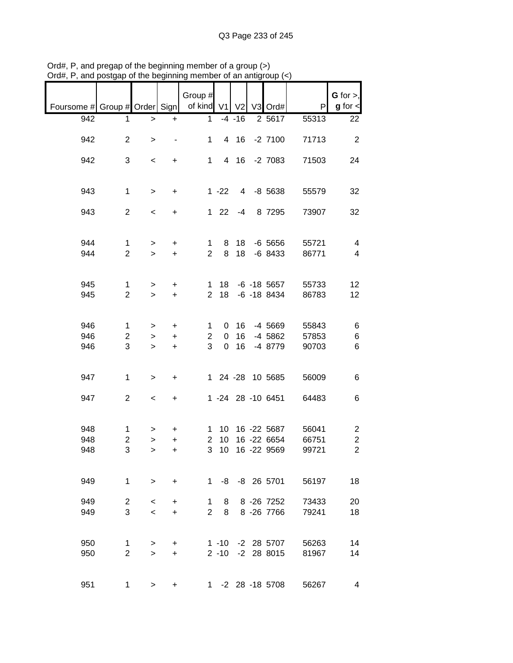|                                                       |                |                          |                | Group #        |                 |                 |                   |       | $G$ for $>$ ,           |
|-------------------------------------------------------|----------------|--------------------------|----------------|----------------|-----------------|-----------------|-------------------|-------|-------------------------|
| Foursome # Group # Order Sign   of kind V1 V2 V3 Ord# |                |                          |                |                |                 |                 |                   | P     | $g$ for $\lt$           |
|                                                       |                |                          |                |                |                 |                 |                   |       |                         |
| 942                                                   | 1              | $\,$                     | $\ddot{}$      | $\mathbf{1}$   |                 | $-4 - 16$       | 2 5617            | 55313 | 22                      |
| 942                                                   | $\overline{2}$ |                          | $\blacksquare$ | 1              |                 |                 | 4 16 -2 7100      | 71713 | $\overline{2}$          |
|                                                       |                | $\geq$                   |                |                |                 |                 |                   |       |                         |
| 942                                                   | 3              | $\overline{\phantom{a}}$ | $+$            |                | $1 \quad$       |                 | 4 16 -2 7083      | 71503 | 24                      |
|                                                       |                |                          |                |                |                 |                 |                   |       |                         |
|                                                       |                |                          |                |                |                 |                 |                   |       |                         |
| 943                                                   | $\mathbf{1}$   | $\geq$                   | $+$            |                | $1 - 22$        |                 | 4 -8 5638         | 55579 | 32                      |
|                                                       |                |                          |                |                |                 |                 |                   |       |                         |
| 943                                                   | $\overline{2}$ | $\overline{\phantom{a}}$ | $\ddot{}$      |                | $1 \t22 \t-4$   |                 | 8 7295            | 73907 | 32                      |
|                                                       |                |                          |                |                |                 |                 |                   |       |                         |
|                                                       |                |                          |                |                |                 |                 |                   |       |                         |
| 944                                                   | $\mathbf{1}$   | $\geq$                   | $+$            | 1              | 8               | 18              | $-6$ 5656         | 55721 | $\overline{4}$          |
| 944                                                   | $\overline{2}$ | $\geq$                   | $+$            | $2^{\circ}$    | 8               | 18              | -6 8433           | 86771 | $\overline{\mathbf{4}}$ |
|                                                       |                |                          |                |                |                 |                 |                   |       |                         |
|                                                       |                |                          |                |                |                 |                 |                   |       |                         |
| 945                                                   | $\mathbf{1}$   | $\geq$                   | $\ddot{}$      |                |                 |                 | 1 18 -6 -18 5657  | 55733 | 12                      |
| 945                                                   | $\overline{2}$ | $\geq$                   | $+$            |                | 2 18            |                 | -6 -18 8434       | 86783 | 12                      |
|                                                       |                |                          |                |                |                 |                 |                   |       |                         |
| 946                                                   | $\mathbf 1$    | >                        | $+$            | $\mathbf{1}$   |                 | 0 <sub>16</sub> | -4 5669           | 55843 | 6                       |
| 946                                                   | $\overline{2}$ | $\geq$                   | $\ddot{}$      | $\overline{2}$ | $\mathbf 0$     | 16              | -4 5862           | 57853 | 6                       |
| 946                                                   | 3              | $\geq$                   | $+$            | 3              | $\overline{0}$  | 16              | -4 8779           | 90703 | 6                       |
|                                                       |                |                          |                |                |                 |                 |                   |       |                         |
|                                                       |                |                          |                |                |                 |                 |                   |       |                         |
| 947                                                   | $\mathbf{1}$   | $\,$                     | +              |                |                 |                 | 1 24 -28 10 5685  | 56009 | 6                       |
|                                                       |                |                          |                |                |                 |                 |                   |       |                         |
| 947                                                   | $\overline{2}$ | $\,<$                    | $\ddot{}$      |                |                 |                 | 1 -24 28 -10 6451 | 64483 | 6                       |
|                                                       |                |                          |                |                |                 |                 |                   |       |                         |
|                                                       |                |                          |                |                |                 |                 |                   |       |                         |
| 948                                                   | $\mathbf{1}$   | >                        | +              |                |                 |                 | 1 10 16 -22 5687  | 56041 | $\overline{c}$          |
| 948                                                   | $\overline{2}$ | $\mathbf{I}$             | $\ddot{}$      | $\overline{2}$ | 10 <sup>°</sup> |                 | 16 -22 6654       | 66751 | $\mathbf 2$             |
| 948                                                   | 3              | $\geq$                   | $\ddot{}$      | 3              | 10              |                 | 16 -22 9569       | 99721 | $\overline{c}$          |
|                                                       |                |                          |                |                |                 |                 |                   |       |                         |
|                                                       |                |                          |                |                |                 |                 |                   |       |                         |
| 949                                                   | $\mathbf{1}$   | $\geq$                   | $\ddot{}$      |                |                 |                 | 1 -8 -8 26 5701   | 56197 | 18                      |
| 949                                                   | $2^{\circ}$    |                          |                | $\mathbf{1}$   | 8               |                 | 8 -26 7252        | 73433 | 20                      |
| 949                                                   | 3              | $\,<\,$<br>$\prec$       | +<br>$\ddot{}$ | 2 <sup>7</sup> | 8               |                 | 8 -26 7766        | 79241 | 18                      |
|                                                       |                |                          |                |                |                 |                 |                   |       |                         |
|                                                       |                |                          |                |                |                 |                 |                   |       |                         |
| 950                                                   | $\mathbf{1}$   | $\, > \,$                | +              |                |                 |                 | 1 -10 -2 28 5707  | 56263 | 14                      |
| 950                                                   | $\overline{2}$ | $\geq$                   | +              |                |                 |                 | 2 -10 -2 28 8015  | 81967 | 14                      |
|                                                       |                |                          |                |                |                 |                 |                   |       |                         |
|                                                       |                |                          |                |                |                 |                 |                   |       |                         |
| 951                                                   |                | $1 \quad$<br>$\geq$      | $+$            |                |                 |                 | 1 -2 28 -18 5708  | 56267 | $\overline{\mathbf{4}}$ |

Ord#, P, and pregap of the beginning member of a group (>) Ord#, P, and postgap of the beginning member of an antigroup (<)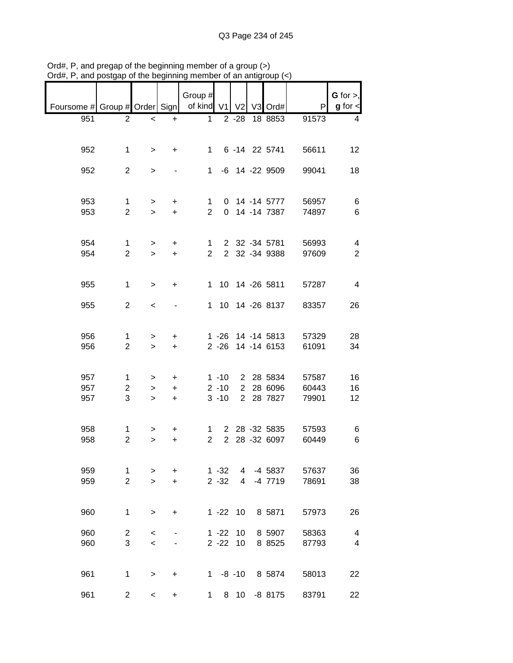| Foursome # Group # Order Sign   of kind V1 V2 V3 Ord# |                |              |           | Group #        |              |          |                   | P     | $G$ for $>$ ,<br>$g$ for $\lt$ |
|-------------------------------------------------------|----------------|--------------|-----------|----------------|--------------|----------|-------------------|-------|--------------------------------|
| 951                                                   | $\overline{2}$ | $\,<$        | $\ddot{}$ | $\mathbf{1}$   |              | $2 - 28$ | 18 8853           | 91573 | 4                              |
|                                                       |                |              |           |                |              |          |                   |       |                                |
| 952                                                   | $\mathbf 1$    | $\geq$       | $+$       |                | $1 \quad$    |          | 6 -14 22 5741     | 56611 | 12                             |
| 952                                                   | $\overline{2}$ | $\mathbf{I}$ |           |                |              |          | 1 -6 14 -22 9509  | 99041 | 18                             |
| 953                                                   | $\mathbf 1$    | $\geq$       | $\ddot{}$ | $\mathbf{1}$   |              |          | 0 14 -14 5777     | 56957 | 6                              |
| 953                                                   | $\overline{2}$ | $\mathbf{I}$ | $+$       | $\overline{2}$ |              |          | 0 14 -14 7387     | 74897 | 6                              |
|                                                       |                |              |           |                |              |          |                   |       |                                |
| 954                                                   | $\mathbf{1}$   | $\geq$       | $\ddot{}$ | $1 \quad$      |              |          | 2 32 -34 5781     | 56993 | 4                              |
| 954                                                   | $\overline{2}$ | $\geq$       | $+$       | $\overline{2}$ |              |          | 2 32 -34 9388     | 97609 | $\overline{2}$                 |
| 955                                                   | $\mathbf 1$    | $\,>$        | $\ddot{}$ |                |              |          | 1 10 14 -26 5811  | 57287 | $\overline{\mathbf{4}}$        |
| 955                                                   | $\overline{2}$ | $\prec$      |           |                |              |          | 1 10 14 -26 8137  | 83357 | 26                             |
|                                                       |                |              |           |                |              |          |                   |       |                                |
| 956                                                   | 1              | >            | +         |                |              |          | 1 -26 14 -14 5813 | 57329 | 28                             |
| 956                                                   | $\overline{2}$ | $\geq$       | $+$       |                |              |          | 2 -26 14 -14 6153 | 61091 | 34                             |
|                                                       |                |              |           |                |              |          |                   |       |                                |
| 957                                                   | $\mathbf{1}$   | $\, > \,$    | +         |                | $1 - 10$     |          | 2 28 5834         | 57587 | 16                             |
| 957                                                   | $\overline{2}$ | $\, > \,$    | $\ddot{}$ |                | $2 - 10$     |          | 2 28 6096         | 60443 | 16                             |
| 957                                                   | 3              | $\geq$       | $+$       |                | $3 - 10$     |          | 2 28 7827         | 79901 | 12                             |
|                                                       |                |              |           |                |              |          |                   |       |                                |
| 958                                                   | 1              | >            | +         | 1              |              |          | 2 28 -32 5835     | 57593 | 6                              |
| 958                                                   | $\overline{2}$ | $\geq$       | $\ddot{}$ | $\overline{2}$ | $2^{\circ}$  |          | 28 -32 6097       | 60449 | $\,6$                          |
|                                                       |                |              |           |                |              |          |                   |       |                                |
| 959                                                   | 1              | >            | $\ddot{}$ |                | $1 - 32$     | 4        | -4 5837           | 57637 | 36                             |
| 959                                                   | $\overline{2}$ | $\geq$       | $\ddot{}$ |                | $2 - 32$     | 4        | -4 7719           | 78691 | 38                             |
|                                                       |                |              |           |                |              |          |                   |       |                                |
| 960                                                   | 1              | $\,$         | +         |                | $1 - 22$ 10  |          | 8 5871            | 57973 | 26                             |
| 960                                                   | $\overline{c}$ | $\,<\,$      |           |                | $1 - 22$     | 10       | 8 5907            | 58363 | 4                              |
| 960                                                   | 3              | $\prec$      |           |                | $2 - 22$     | 10       | 8 8 5 2 5         | 87793 | $\overline{4}$                 |
|                                                       |                |              |           |                |              |          |                   |       |                                |
| 961                                                   | 1              | $\, > \,$    | $\ddot{}$ |                | $1 - 8 - 10$ |          | 8 5874            | 58013 | 22                             |
| 961                                                   | $\overline{2}$ | $\,<\,$      | +         | 1              | 8            | 10       | $-8$ 8175         | 83791 | 22                             |

Ord#, P, and pregap of the beginning member of a group (>) Ord#, P, and postgap of the beginning member of an antigroup (<)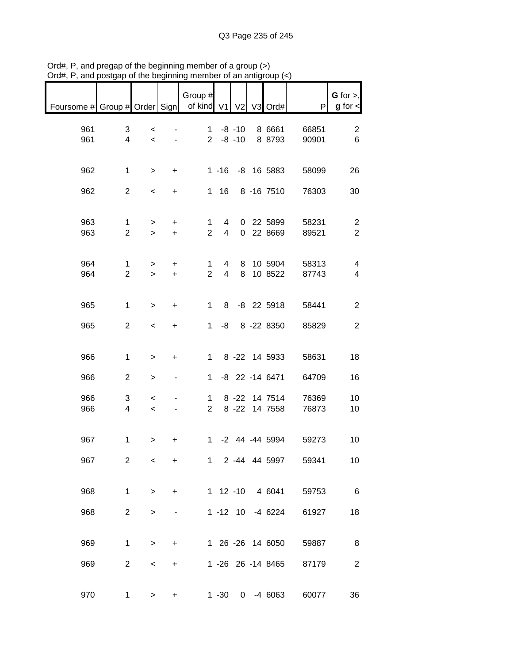| $O(n\pi)$ , $\Gamma$ , and posigap or the beginning inember or an antigroup $(\zeta)$ |                     |                                   |                  |                       |                              |           |                          |                |                                  |
|---------------------------------------------------------------------------------------|---------------------|-----------------------------------|------------------|-----------------------|------------------------------|-----------|--------------------------|----------------|----------------------------------|
| Foursome # Group # Order Sign                                                         |                     |                                   |                  | Group #<br>of kind V1 |                              |           | V2 V3 Ord#               | P              | G for $>$ ,<br>$g$ for $\lt$     |
| 961<br>961                                                                            | 3<br>4              | $\,<$<br>$\prec$                  |                  | $1 \quad$             | $2 - 8 - 10$                 | $-8 - 10$ | 8 6661<br>8 8793         | 66851<br>90901 | 2<br>6                           |
| 962                                                                                   | $\mathbf{1}$        | $\,>$                             | $\ddot{}$        |                       |                              |           | 1 -16 -8 16 5883         | 58099          | 26                               |
| 962                                                                                   | $\overline{2}$      | $\,<\,$                           | $\ddot{}$        | 1                     | 16                           |           | 8 -16 7510               | 76303          | 30                               |
| 963<br>963                                                                            | 1<br>$\overline{2}$ | $\, > \,$<br>$\geq$               | +<br>$+$         | 1<br>$\overline{2}$   | 4<br>$\overline{\mathbf{4}}$ |           | 0 22 5899<br>0 22 8669   | 58231<br>89521 | $\overline{c}$<br>$\overline{2}$ |
| 964<br>964                                                                            | 1<br>$\overline{2}$ | ><br>$\geq$                       | $\ddot{}$<br>$+$ | 1<br>$\overline{2}$   | 4<br>4                       | 8<br>8    | 10 5904<br>10 8522       | 58313<br>87743 | $\overline{\mathcal{A}}$<br>4    |
| 965                                                                                   | 1                   | $\, > \,$                         | $\ddot{}$        | 1                     | 8                            |           | -8 22 5918               | 58441          | $\mathbf{2}$                     |
| 965                                                                                   | $\overline{2}$      | $\,<\,$                           | $\ddot{}$        | 1                     | -8                           |           | 8 -22 8350               | 85829          | $\mathbf{2}$                     |
| 966                                                                                   | $\mathbf 1$         | $\, > \,$                         | +                | $\mathbf{1}$          |                              |           | 8 -22 14 5933            | 58631          | 18                               |
| 966                                                                                   | $\overline{c}$      | >                                 |                  | $\mathbf 1$           |                              |           | -8 22 -14 6471           | 64709          | 16                               |
| 966<br>966                                                                            | 3<br>4              | $\,<$<br>$\overline{\phantom{0}}$ |                  | 1<br>$\overline{2}$   |                              | $8 - 22$  | 8 -22 14 7514<br>14 7558 | 76369<br>76873 | 10<br>10                         |
| 967                                                                                   | 1                   | >                                 | +                | 1                     |                              |           | -2 44 -44 5994           | 59273          | 10                               |
| 967                                                                                   | $\overline{2}$      | $\,<$                             | $\ddot{}$        |                       |                              |           | 1 2 -44 44 5997          | 59341          | 10                               |
| 968                                                                                   | 1                   | $\,>$                             | $\ddot{}$        |                       |                              |           | 1 12 -10 4 6041          | 59753          | 6                                |
| 968                                                                                   | $\overline{2}$      | $\, > \,$                         |                  |                       |                              |           | 1 -12 10 -4 6224         | 61927          | 18                               |
| 969                                                                                   | $\mathbf{1}$        | $\, > \,$                         | $\ddot{}$        |                       |                              |           | 1 26 -26 14 6050         | 59887          | 8                                |
| 969                                                                                   | $\overline{2}$      | $\overline{\phantom{0}}$          | $\ddot{}$        |                       |                              |           | 1 -26 26 -14 8465        | 87179          | 2                                |
| 970                                                                                   | $\mathbf 1$         | >                                 | +                |                       |                              |           | 1 -30 0 -4 6063          | 60077          | 36                               |

Ord#, P, and pregap of the beginning member of a group (>) Ord#, P, and postgap of the beginning member of an antigroup (<)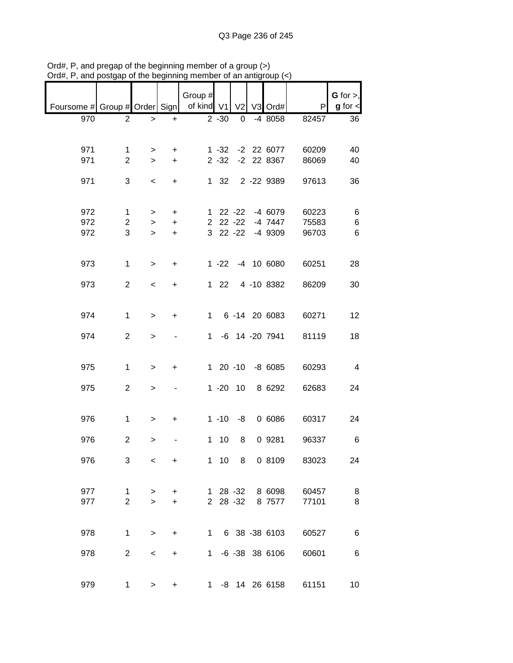| $^{\prime}$ ı u $\pi,$ ı      | oolyap         | or are pogmaning         |           | <b>TUCHING</b> |              | vi ali anu     |                  |       |                |
|-------------------------------|----------------|--------------------------|-----------|----------------|--------------|----------------|------------------|-------|----------------|
|                               |                |                          |           |                |              |                |                  |       |                |
|                               |                |                          |           | Group #        |              |                |                  |       | $G$ for $>$ ,  |
| Foursome # Group # Order Sign |                |                          |           | of kind V1     |              | V <sub>2</sub> | V3 Ord#          | P     | $g$ for $\lt$  |
| 970                           | $\overline{2}$ | $\, > \,$                | $\ddot{}$ |                | $2 - 30$     | 0              | -4 8058          | 82457 | 36             |
|                               |                |                          |           |                |              |                |                  |       |                |
|                               |                |                          |           |                |              |                |                  |       |                |
| 971                           | 1              | $\geq$                   | $\ddot{}$ |                |              |                | 1 -32 -2 22 6077 | 60209 | 40             |
| 971                           | $\overline{2}$ | $\geq$                   | $+$       |                | $2 - 32$     |                | -2 22 8367       | 86069 | 40             |
| 971                           | 3              | $\overline{\phantom{a}}$ | $+$       |                | $1 \quad 32$ |                | 2 -22 9389       | 97613 | 36             |
|                               |                |                          |           |                |              |                |                  |       |                |
|                               |                |                          |           |                |              |                |                  |       |                |
| 972                           | $\mathbf{1}$   | $\geq$                   | $\ddot{}$ |                |              |                | 1 22 -22 -4 6079 | 60223 | 6              |
| 972                           | $\overline{a}$ | $\geq$                   | $\ddot{}$ |                |              |                | 2 22 -22 -4 7447 | 75583 | 6              |
| 972                           | 3              | $\, > \,$                | $\ddot{}$ |                |              |                | 3 22 -22 -4 9309 | 96703 | 6              |
|                               |                |                          |           |                |              |                |                  |       |                |
|                               |                |                          |           |                |              |                |                  |       |                |
| 973                           | $\mathbf{1}$   | $\, > \,$                | $\ddot{}$ |                |              |                | 1 -22 -4 10 6080 | 60251 | 28             |
|                               |                |                          |           |                |              |                |                  |       |                |
| 973                           | $\overline{2}$ | $\,<$                    | $\ddot{}$ |                |              |                | 1 22 4 -10 8382  | 86209 | 30             |
|                               |                |                          |           |                |              |                |                  |       |                |
|                               |                |                          |           |                |              |                |                  |       |                |
| 974                           | $\mathbf{1}$   | $\, > \,$                | $\ddot{}$ |                |              |                | 1 6 -14 20 6083  | 60271 | 12             |
|                               |                |                          |           |                |              |                |                  |       |                |
| 974                           | $\overline{2}$ | $\,$                     |           |                |              |                | 1 -6 14 -20 7941 | 81119 | 18             |
|                               |                |                          |           |                |              |                |                  |       |                |
| 975                           | $\mathbf{1}$   | $\,$                     | $\ddot{}$ |                |              |                | 1 20 -10 -8 6085 | 60293 | $\overline{4}$ |
|                               |                |                          |           |                |              |                |                  |       |                |
| 975                           | $\overline{2}$ | $\,>$                    |           |                |              | $1 - 20$ 10    | 8 6292           | 62683 | 24             |
|                               |                |                          |           |                |              |                |                  |       |                |
|                               |                |                          |           |                |              |                |                  |       |                |
| 976                           | $\mathbf 1$    | $\,>$                    | $\ddot{}$ |                |              | $1 - 10 - 8$   | 0 6086           | 60317 | 24             |
|                               |                |                          |           |                |              |                |                  |       |                |
| 976                           | $\overline{2}$ | >                        |           |                | $1 10$       | 8              | 0 9281           | 96337 | 6              |
|                               |                |                          |           |                |              |                |                  |       |                |
| 976                           | 3              | $\,<\,$                  | $\ddot{}$ |                | $1 10$       | 8              | 0 8109           | 83023 | 24             |
|                               |                |                          |           |                |              |                |                  |       |                |
|                               |                |                          |           |                |              |                |                  |       |                |
| 977                           | $\mathbf 1$    | $\, > \,$                | +         |                |              | $128 - 32$     | 8 6098           | 60457 | 8              |
| 977                           | $\overline{2}$ | $\geq$                   | $\ddot{}$ |                |              | 2 28 -32       | 8 7577           | 77101 | 8              |
|                               |                |                          |           |                |              |                |                  |       |                |
| 978                           | $\mathbf{1}$   | $\, >$                   | $\ddot{}$ |                |              |                | 1 6 38 -38 6103  | 60527 | $\,6$          |
|                               |                |                          |           |                |              |                |                  |       |                |
| 978                           | $\overline{2}$ | $\,<\,$                  | $\ddot{}$ |                |              |                | 1 -6 -38 38 6106 | 60601 | 6              |
|                               |                |                          |           |                |              |                |                  |       |                |
|                               |                |                          |           |                |              |                |                  |       |                |
| 979                           | $\mathbf 1$    | $\, > \,$                | +         | $1 \quad$      |              |                | -8 14 26 6158    | 61151 | 10             |

Ord#, P, and pregap of the beginning member of a group (>) Ord#, P, and postgap of the beginning member of an antigroup (<)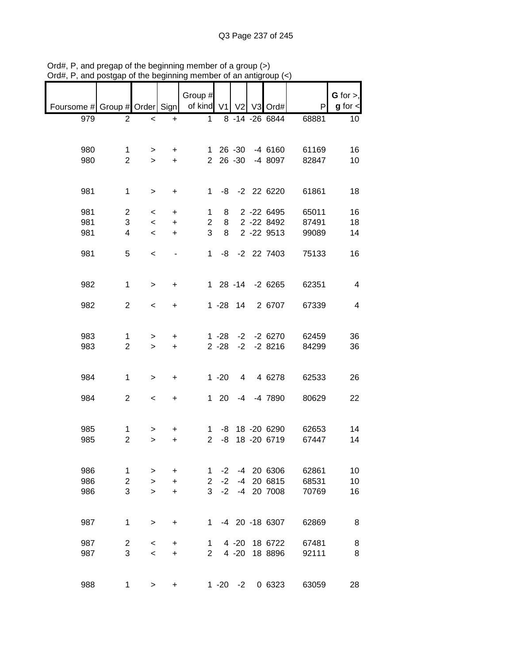| unu                           | oolyup         |                          |           |                                  |              |              |                |                  |                        |                                |
|-------------------------------|----------------|--------------------------|-----------|----------------------------------|--------------|--------------|----------------|------------------|------------------------|--------------------------------|
| Foursome # Group # Order Sign |                |                          |           | Group #<br>of kind V1 V2 V3 Ord# |              |              |                |                  | P                      | $G$ for $>$ ,<br>$g$ for $\lt$ |
|                               |                |                          |           |                                  |              |              |                |                  |                        |                                |
| 979                           | $\overline{2}$ | $\,<$                    | $\ddot{}$ | $\mathbf{1}$                     |              |              |                | 8 -14 -26 6844   | 68881                  | 10 <sub>1</sub>                |
| 980                           | $\mathbf 1$    | $\geq$                   | $\ddot{}$ |                                  |              |              |                |                  | 1 26 -30 -4 6160 61169 | 16                             |
| 980                           | $\overline{2}$ | $\geq$                   | $+$       |                                  |              |              |                | 2 26 -30 -4 8097 | 82847                  | 10                             |
|                               |                |                          |           |                                  |              |              |                |                  |                        |                                |
| 981                           | $\mathbf{1}$   | $\,$                     | $+$       |                                  |              |              |                | 1 -8 -2 22 6220  | 61861                  | 18                             |
| 981                           | $\overline{a}$ | $\overline{\phantom{0}}$ | $\ddot{}$ | $\mathbf{1}$                     | 8            |              |                | 2 -22 6495       | 65011                  | 16                             |
| 981                           | 3              | $\prec$                  | $+$       | $2^{\circ}$                      | 8            |              |                | 2 -22 8492       | 87491                  | 18                             |
| 981                           | 4              | $\,<$                    | $+$       | 3                                | 8            |              |                | 2 -22 9513       | 99089                  | 14                             |
| 981                           | 5              | $\,<$                    |           |                                  |              |              |                | 1 -8 -2 22 7403  | 75133                  | 16                             |
| 982                           | $\mathbf{1}$   | $\mathbf{I}$             | $\ddot{}$ |                                  |              |              |                | 1 28 -14 -2 6265 | 62351                  | $\overline{\mathbf{4}}$        |
| 982                           | $\overline{2}$ | $\,<$                    | $\ddot{}$ |                                  |              |              |                | 1 -28 14 2 6707  | 67339                  | $\overline{\mathcal{A}}$       |
| 983                           | 1              | >                        | $\ddot{}$ |                                  |              |              |                | 1 -28 -2 -2 6270 | 62459                  | 36                             |
| 983                           | $\overline{2}$ | $\geq$                   | $+$       |                                  | $2 - 28$     |              |                | $-2$ $-2$ 8216   | 84299                  | 36                             |
| 984                           | $\mathbf{1}$   | $\mathbf{I}$             | $\ddot{}$ |                                  | $1 - 20$     |              | $\overline{4}$ | 4 6278           | 62533                  | 26                             |
| 984                           | $\overline{2}$ | $\,<$                    | $\ddot{}$ |                                  | $1 \quad 20$ |              |                | -4 -4 7890       | 80629                  | 22                             |
| 985                           | 1              | >                        | $\ddot{}$ |                                  |              |              |                | 1 -8 18 -20 6290 | 62653                  | 14                             |
| 985                           | $\overline{2}$ | $\geq$                   | $\ddot{}$ | $\overline{2}$                   | -8           |              |                | 18 -20 6719      | 67447                  | 14                             |
| 986                           | 1              | >                        | $\ddot{}$ | 1                                | $-2$         |              |                | -4 20 6306       | 62861                  | 10                             |
| 986                           | 2              | $\, > \,$                | $\ddot{}$ | $\overline{2}$                   | $-2$         | -4           |                | 20 6815          | 68531                  | 10                             |
| 986                           | 3              | $\geq$                   | $\ddot{}$ | 3                                | $-2$         |              |                | -4 20 7008       | 70769                  | 16                             |
| 987                           | $\mathbf{1}$   | >                        | $\ddot{}$ | 1.                               |              |              |                | -4 20 -18 6307   | 62869                  | 8                              |
| 987                           | $\overline{2}$ | $\,<$                    | $\ddot{}$ | 1                                |              | $4 - 20$     |                | 18 6722          | 67481                  | 8                              |
| 987                           | 3              | $\,<$                    | $\ddot{}$ | $\overline{2}$                   |              | $4 - 20$     |                | 18 8896          | 92111                  | 8                              |
| 988                           | $\mathbf{1}$   | $\,>$                    | $\ddot{}$ |                                  |              | $1 - 20 - 2$ |                | 0 6323           | 63059                  | 28                             |

Ord#, P, and pregap of the beginning member of a group (>) Ord#, P, and postgap of the beginning member of an antigroup (<)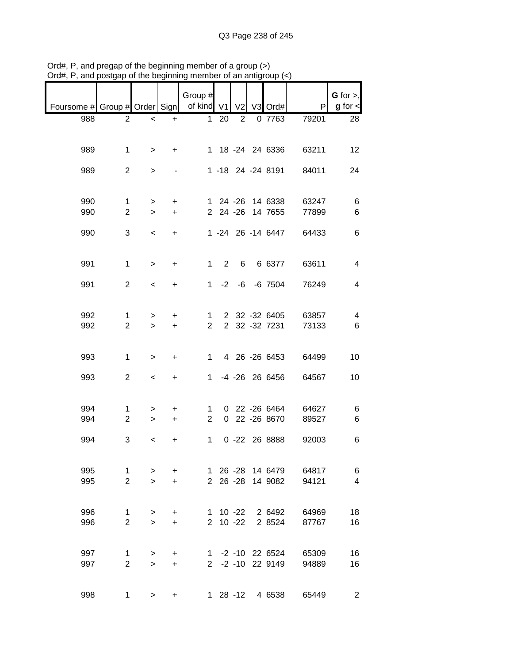| Foursome # Group # Order Sign   of kind V1 V2 V3 Ord# |                                |                          |                        | Group #                        |                     |                |                                      | P              | $G$ for $>$ ,<br>$g$ for $\lt$ |
|-------------------------------------------------------|--------------------------------|--------------------------|------------------------|--------------------------------|---------------------|----------------|--------------------------------------|----------------|--------------------------------|
|                                                       |                                |                          |                        |                                |                     |                |                                      |                |                                |
| 988                                                   | $\mathbf{2}^{\prime}$          | $\overline{\phantom{a}}$ | $\ddot{}$              | 1                              | 20                  | $\overline{2}$ | 0 7763                               | 79201          | 28                             |
| 989                                                   | 1                              | $\geq$                   | $+$                    |                                |                     |                | 1 18 -24 24 6336                     | 63211          | 12                             |
| 989                                                   | $\overline{2}$                 | $\geq$                   |                        |                                |                     |                | 1 -18 24 -24 8191                    | 84011          | 24                             |
| 990<br>990                                            | $\mathbf{1}$<br>$\overline{2}$ | $\geq$<br>$\geq$         | $\ddot{}$<br>$+$       |                                |                     |                | 1 24 -26 14 6338<br>2 24 -26 14 7655 | 63247<br>77899 | 6<br>6                         |
| 990                                                   | 3                              | $\overline{\phantom{a}}$ | $+$                    |                                |                     |                | 1 -24 26 -14 6447                    | 64433          | 6                              |
| 991                                                   | $\mathbf 1$                    | $\geq$                   | $+$                    |                                | $1 \quad 2 \quad 6$ |                | 6 6377                               | 63611          | 4                              |
| 991                                                   | $\overline{2}$                 | $\overline{\phantom{0}}$ | $\ddot{}$              |                                |                     |                | 1 -2 -6 -6 7504                      | 76249          | $\overline{4}$                 |
| 992                                                   | $\mathbf{1}$                   | $\, > \,$                | $\ddot{}$              |                                | $1 \quad$           |                | 2 32 -32 6405                        | 63857          | 4                              |
| 992                                                   | $\overline{2}$                 | $\geq$                   | $+$                    | $2^{\circ}$                    |                     |                | 2 32 -32 7231                        | 73133          | 6                              |
| 993                                                   | $\mathbf 1$                    | $\, > \,$                | $+$                    |                                |                     |                | 1 4 26 -26 6453                      | 64499          | 10                             |
| 993                                                   | $\overline{2}$                 | $\,<$                    | $+$                    |                                |                     |                | 1 -4 -26 26 6456                     | 64567          | 10                             |
| 994<br>994                                            | 1<br>$\overline{2}$            | ><br>$\,>$               | $+$<br>$+$             | $\mathbf{1}$<br>$\overline{2}$ |                     |                | 0 22 -26 6464<br>0 22 -26 8670       | 64627<br>89527 | 6<br>6                         |
| 994                                                   | 3                              | $\,<\,$                  | $\ddot{}$              |                                | $1 \quad$           |                | 0 -22 26 8888                        | 92003          | 6                              |
| 995<br>995                                            | $\mathbf 1$<br>$\overline{2}$  | $\, > \,$<br>$\geq$      | $\ddot{}$<br>$\ddot{}$ |                                |                     |                | 1 26 -28 14 6479<br>2 26 -28 14 9082 | 64817<br>94121 | 6<br>$\overline{4}$            |
| 996<br>996                                            | $\mathbf 1$<br>$\overline{2}$  | $\geq$<br>$\geq$         | $\ddot{}$<br>$\ddot{}$ |                                | 2 10 -22            |                | 1 10 -22 2 6492<br>2 8524            | 64969<br>87767 | 18<br>16                       |
| 997<br>997                                            | 1<br>$\overline{2}$            | $\, > \,$<br>$\geq$      | $\ddot{}$<br>$+$       |                                |                     |                | 1 -2 -10 22 6524<br>2 -2 -10 22 9149 | 65309<br>94889 | 16<br>16                       |
| 998                                                   | 1.                             | $\, > \,$                |                        |                                |                     |                | 1 28 -12 4 6538                      | 65449          | $\overline{2}$                 |

Ord#, P, and pregap of the beginning member of a group (>) Ord#, P, and postgap of the beginning member of an antigroup (<)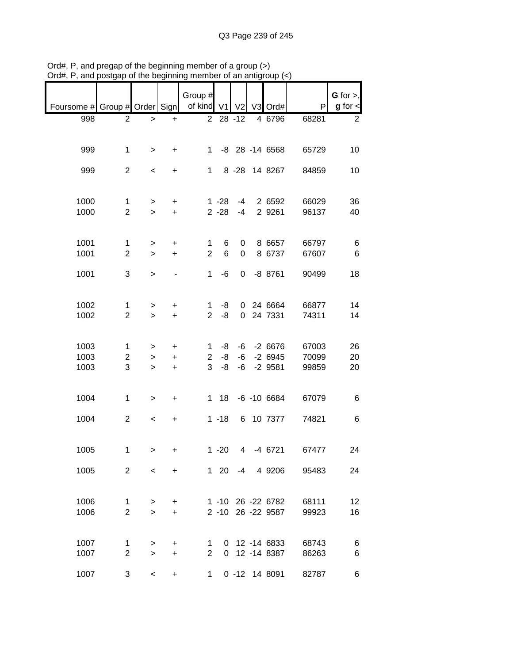| $1$ u $\pi,$ 1                | anu posiyap    | u uu voguumg             |                        | 110111001             |            | vi an aniy     |                   |       |                              |
|-------------------------------|----------------|--------------------------|------------------------|-----------------------|------------|----------------|-------------------|-------|------------------------------|
|                               |                |                          |                        |                       |            |                |                   |       |                              |
|                               |                |                          |                        | Group #<br>of kind V1 |            |                |                   | P     | G for $>$ ,<br>$g$ for $\lt$ |
| Foursome # Group # Order Sign |                |                          |                        |                       |            | V <sub>2</sub> | V3 Ord#           |       |                              |
| 998                           | $\overline{2}$ | $\, > \,$                | $\ddot{}$              |                       | $228 - 12$ |                | 4 6796            | 68281 | $\overline{2}$               |
|                               |                |                          |                        |                       |            |                |                   |       |                              |
| 999                           | $\mathbf{1}$   | $\geq$                   | $+$                    | $1 \quad$             |            |                | -8 28 -14 6568    | 65729 | 10                           |
|                               |                |                          |                        |                       |            |                |                   |       |                              |
| 999                           | $\overline{2}$ | $\,<\,$                  | +                      | $\mathbf{1}$          |            |                | 8 -28 14 8267     | 84859 | 10                           |
|                               |                |                          |                        |                       |            |                |                   |       |                              |
|                               |                |                          |                        |                       |            |                |                   |       |                              |
| 1000                          | 1              | $\geq$                   | $\ddot{}$              |                       | $1 - 28$   | -4             | 2 6592            | 66029 | 36                           |
| 1000                          | $\overline{2}$ | $\geq$                   | $\ddot{}$              |                       | $2 - 28$   | $-4$           | 2 9261            | 96137 | 40                           |
|                               |                |                          |                        |                       |            |                |                   |       |                              |
|                               |                |                          |                        |                       |            |                |                   |       |                              |
| 1001                          | $\mathbf 1$    | $\, > \,$                | $\ddot{}$              | 1                     | 6          | 0              | 8 6657            | 66797 | 6                            |
| 1001                          | $\overline{2}$ | $\geq$                   | $\ddot{}$              | $\overline{2}$        | $\,6$      | 0              | 8 6737            | 67607 | $\,6$                        |
| 1001                          | 3              | $\geq$                   |                        | 1                     | $-6$       | 0              | $-8$ 8761         | 90499 | 18                           |
|                               |                |                          |                        |                       |            |                |                   |       |                              |
|                               |                |                          |                        |                       |            |                |                   |       |                              |
| 1002                          | 1              | >                        | +                      | 1                     | -8         |                | 0 24 6664         | 66877 | 14                           |
| 1002                          | $\overline{c}$ | $\,>$                    | $+$                    | $\overline{2}$        | -8         |                | 0 24 7331         | 74311 | 14                           |
|                               |                |                          |                        |                       |            |                |                   |       |                              |
|                               |                |                          |                        |                       |            |                |                   |       |                              |
| 1003                          | 1              | $\, > \,$                | +                      | 1                     | -8         |                | $-6 - 26676$      | 67003 | 26                           |
| 1003                          | 2              | $\, > \,$                | $\ddot{}$              | $\overline{c}$        | -8         |                | $-6$ $-2$ 6945    | 70099 | 20                           |
| 1003                          | 3              | $\,$                     | $+$                    | 3                     | $-8$       | -6             | $-2$ 9581         | 99859 | 20                           |
|                               |                |                          |                        |                       |            |                |                   |       |                              |
| 1004                          | 1              | >                        | $\ddot{}$              |                       |            |                | 1 18 -6 -10 6684  | 67079 | 6                            |
|                               |                |                          |                        |                       |            |                |                   |       |                              |
| 1004                          | $\overline{2}$ | $\overline{\phantom{a}}$ | $\ddot{}$              |                       | $1 - 18$   |                | 6 10 7377         | 74821 | 6                            |
|                               |                |                          |                        |                       |            |                |                   |       |                              |
|                               |                |                          |                        |                       |            |                |                   |       |                              |
| 1005                          | 1              | $\geq$                   | +                      |                       | $1 - 20$   |                | 4 -4 6721         | 67477 | 24                           |
|                               |                |                          |                        |                       |            |                |                   |       |                              |
| 1005                          | $2^{\circ}$    | $\prec$                  | $+$                    |                       |            |                | 1 20 -4 4 9206    | 95483 | 24                           |
|                               |                |                          |                        |                       |            |                |                   |       |                              |
| 1006                          | 1              |                          |                        |                       |            |                | 1 -10 26 -22 6782 | 68111 | 12                           |
| 1006                          | $\overline{2}$ | $\geq$<br>$\geq$         | $\ddot{}$<br>$\ddot{}$ |                       |            |                | 2 -10 26 -22 9587 | 99923 | 16                           |
|                               |                |                          |                        |                       |            |                |                   |       |                              |
|                               |                |                          |                        |                       |            |                |                   |       |                              |
| 1007                          | 1              | $\geq$                   | +                      | 1                     |            |                | 0 12 -14 6833     | 68743 | 6                            |
| 1007                          | $\overline{2}$ | $\geq$                   | $\ddot{}$              | $\overline{2}$        |            |                | 0 12 -14 8387     | 86263 | 6                            |
|                               |                |                          |                        |                       |            |                |                   |       |                              |
| 1007                          | 3              | $\prec$                  | $\ddot{}$              | 1                     |            |                | 0 -12 14 8091     | 82787 | 6                            |

Ord#, P, and pregap of the beginning member of a group (>) Ord#, P, and postgap of the beginning member of an antigroup (<)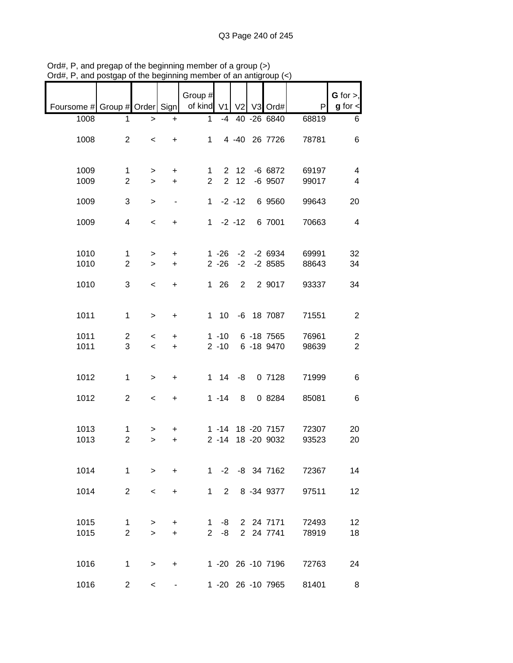| $100, 1, 0.10$ poolgap        |                | איייייישע סייזי יכ       |                          | ,,,,,,,               |              |                | n an amgroup (*   |       |                                |
|-------------------------------|----------------|--------------------------|--------------------------|-----------------------|--------------|----------------|-------------------|-------|--------------------------------|
| Foursome # Group # Order Sign |                |                          |                          | Group #<br>of kind V1 |              | V <sub>2</sub> | V3 Ord#           | P     | $G$ for $>$ ,<br>$g$ for $\lt$ |
|                               |                |                          |                          |                       |              |                |                   |       |                                |
| 1008                          | $\mathbf 1$    | $\geq$                   | $\ddot{}$                | $\mathbf 1$           | $-4$         |                | 40 - 26 6840      | 68819 | 6                              |
| 1008                          | $\overline{2}$ | $\,<$                    | $+$                      |                       | $1 \quad$    |                | 4 -40 26 7726     | 78781 | 6                              |
| 1009                          | 1              | $\geq$                   | $\ddot{}$                | $\mathbf 1$           |              | $2 \quad 12$   | -6 6872           | 69197 | 4                              |
| 1009                          | $\overline{2}$ | $\geq$                   | $+$                      | $\overline{2}$        | $2^{\circ}$  | 12             | -6 9507           | 99017 | $\overline{4}$                 |
|                               |                |                          |                          |                       |              |                |                   |       |                                |
| 1009                          | 3              | $\geq$                   | $\overline{\phantom{a}}$ |                       |              | $1 -2 -12$     | 6 9560            | 99643 | 20                             |
| 1009                          | $\overline{4}$ | $\overline{\phantom{a}}$ | $+$                      |                       |              |                | 1 -2 -12 6 7001   | 70663 | $\overline{4}$                 |
|                               |                |                          |                          |                       |              |                |                   |       |                                |
| 1010                          | $\mathbf{1}$   | $\geq$                   | $\ddot{}$                |                       |              |                | 1 -26 -2 -2 6934  | 69991 | 32                             |
| 1010                          | $\overline{2}$ | $\geq$                   | $+$                      |                       | $2 - 26$     |                | $-2$ $-2$ 8585    | 88643 | 34                             |
|                               |                |                          |                          |                       |              |                |                   |       |                                |
| 1010                          | 3              | $\overline{\phantom{a}}$ | $+$                      |                       | 1 26         |                | 2 2 9017          | 93337 | 34                             |
|                               |                |                          |                          |                       |              |                |                   |       |                                |
| 1011                          | $\mathbf 1$    | $\geq$                   | $+$                      |                       | $1 \quad 10$ |                | -6 18 7087        | 71551 | $\overline{2}$                 |
| 1011                          | $\overline{2}$ | $\,<\,$                  | $\ddot{}$                |                       |              |                | 1 -10 6 -18 7565  | 76961 | $\overline{c}$                 |
| 1011                          | 3              | $\overline{\phantom{a}}$ | $+$                      |                       | $2 - 10$     |                | 6 -18 9470        | 98639 | $\overline{2}$                 |
|                               |                |                          |                          |                       |              |                |                   |       |                                |
| 1012                          | $\mathbf{1}$   | $\geq$                   | $+$                      |                       |              | $1 \t14 \t-8$  | 0 7128            | 71999 | 6                              |
|                               |                |                          |                          |                       |              |                |                   |       |                                |
| 1012                          | $\overline{2}$ | $\overline{\phantom{a}}$ | $+$                      |                       | $1 - 14$     | 8              | 0 8284            | 85081 | 6                              |
|                               |                |                          |                          |                       |              |                |                   |       |                                |
| 1013                          | $\mathbf 1$    | >                        | +                        |                       |              |                | 1 -14 18 -20 7157 | 72307 | 20                             |
| 1013                          | $\overline{2}$ | $\geq$                   | $\ddot{}$                |                       | $2 - 14$     |                | 18 -20 9032       | 93523 | 20                             |
|                               |                |                          |                          |                       |              |                |                   |       |                                |
| 1014                          | $\mathbf{1}$   | $\geq$                   | $\ddot{}$                |                       |              |                | 1 -2 -8 34 7162   | 72367 | 14                             |
|                               |                |                          |                          |                       |              |                |                   |       |                                |
| 1014                          | $\overline{2}$ | $\overline{\phantom{0}}$ | $+$                      | $\mathbf{1}$          | $2^{\circ}$  |                | 8 - 34 9377       | 97511 | 12 <sub>2</sub>                |
|                               |                |                          |                          |                       |              |                |                   |       |                                |
| 1015                          | 1              | $\geq$                   | $\ddot{}$                | 1                     | -8           |                | 2 24 7171         | 72493 | 12                             |
| 1015                          | $\overline{2}$ | $\geq$                   | $\ddot{}$                | $\overline{2}$        | -8           |                | 2 24 7741         | 78919 | 18                             |
|                               |                |                          |                          |                       |              |                |                   |       |                                |
|                               |                |                          |                          |                       |              |                |                   |       |                                |
| 1016                          | 1              | $\geq$                   | +                        |                       |              |                | 1 -20 26 -10 7196 | 72763 | 24                             |
| 1016                          | $\overline{2}$ | $\overline{\phantom{0}}$ |                          |                       |              |                | 1 -20 26 -10 7965 | 81401 | 8                              |

Ord#, P, and pregap of the beginning member of a group (>) Ord#, P, and postgap of the beginning member of an antigroup (<)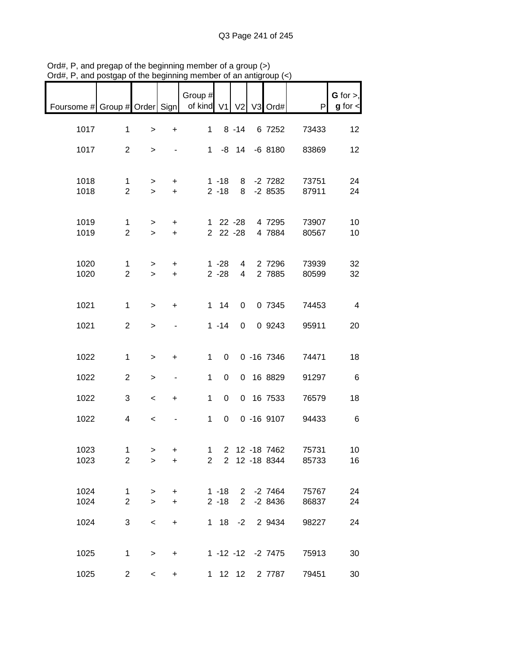|                                                       | and postgap or the beginning  |                          |                        | mombor or an antigroup |                      |                     |                                  |                |                                |
|-------------------------------------------------------|-------------------------------|--------------------------|------------------------|------------------------|----------------------|---------------------|----------------------------------|----------------|--------------------------------|
| Foursome # Group # Order Sign   of kind V1 V2 V3 Ord# |                               |                          |                        | Group #                |                      |                     |                                  | P              | $G$ for $>$ ,<br>$g$ for $\lt$ |
| 1017                                                  | $\mathbf 1$                   | $\geq$                   | $\ddot{}$              | $\mathbf 1$            |                      | $8 - 14$            | 6 7252                           | 73433          | 12                             |
| 1017                                                  | $\overline{2}$                | $\geq$                   |                        |                        |                      |                     | 1 -8 14 -6 8180                  | 83869          | 12                             |
| 1018                                                  | $\mathbf{1}$                  | $\geq$                   | $+$                    |                        | $1 - 18$             |                     | 8 -2 7282                        | 73751          | 24                             |
| 1018                                                  | $\overline{2}$                | $\geq$                   | $+$                    |                        | $2 - 18$             |                     | 8 -2 8535                        | 87911          | 24                             |
| 1019<br>1019                                          | $\mathbf 1$<br>$\overline{2}$ | $\geq$<br>$\geq$         | $+$<br>$+$             |                        |                      | 2 22 -28            | 1 22 -28 4 7295<br>4 7884        | 73907<br>80567 | 10<br>10                       |
| 1020<br>1020                                          | $\mathbf 1$<br>$\overline{2}$ | $\geq$<br>$\geq$         | $\ddot{}$<br>$+$       |                        | $1 - 28$<br>$2 - 28$ | $\overline{4}$<br>4 | 2 7296<br>2 7885                 | 73939<br>80599 | 32<br>32                       |
|                                                       |                               |                          |                        |                        |                      |                     |                                  |                |                                |
| 1021                                                  | $\mathbf 1$                   | $\geq$                   | $\ddot{}$              |                        | $1 \quad 14$         | 0                   | 0 7345                           | 74453          | $\overline{4}$                 |
| 1021                                                  | $\overline{2}$                | $\,$                     |                        |                        | $1 - 14$             | $\overline{0}$      | 0 9243                           | 95911          | 20                             |
| 1022                                                  | $\mathbf{1}$                  | $\,>$                    | $\ddot{}$              | $\mathbf{1}$           | $\overline{0}$       |                     | $0 - 167346$                     | 74471          | 18                             |
| 1022                                                  | $\overline{2}$                | >                        | $\blacksquare$         | $\mathbf{1}$           | 0                    |                     | 0 16 8829                        | 91297          | 6                              |
| 1022                                                  | 3                             | $\,<\,$                  | $\ddot{}$              | $\mathbf 1$            | $\mathbf 0$          |                     | 0 16 7533                        | 76579          | 18                             |
| 1022                                                  | 4                             | $\overline{\phantom{a}}$ |                        | $\mathbf{1}$           | $\overline{0}$       |                     | $0 - 169107$                     | 94433          | 6                              |
| 1023<br>1023                                          | 1<br>$\overline{2}$           | ><br>>                   | $+$<br>+               | $2^{\circ}$            |                      |                     | 1 2 12 -18 7462<br>2 12 -18 8344 | 75731<br>85733 | 10<br>16                       |
| 1024<br>1024                                          | 1<br>$\overline{2}$           | $\geq$<br>$\geq$         | $\ddot{}$<br>$\ddot{}$ |                        | $1 - 18$<br>$2 - 18$ | $2^{\circ}$         | 2 -2 7464<br>$-28436$            | 75767<br>86837 | 24<br>24                       |
| 1024                                                  | 3                             | $\,<\,$                  | +                      |                        |                      | $1 \t18 \t-2$       | 2 9434                           | 98227          | 24                             |
| 1025                                                  | $\mathbf{1}$                  | $\, > \,$                | +                      |                        |                      |                     | 1 -12 -12 -2 7475                | 75913          | 30                             |
| 1025                                                  | $\overline{2}$                | $\lt$                    | +                      |                        |                      | 1 12 12             | 2 7787                           | 79451          | 30                             |

Ord#, P, and pregap of the beginning member of a group (>) Ord#, P, and postgap of the beginning member of an antigroup (<)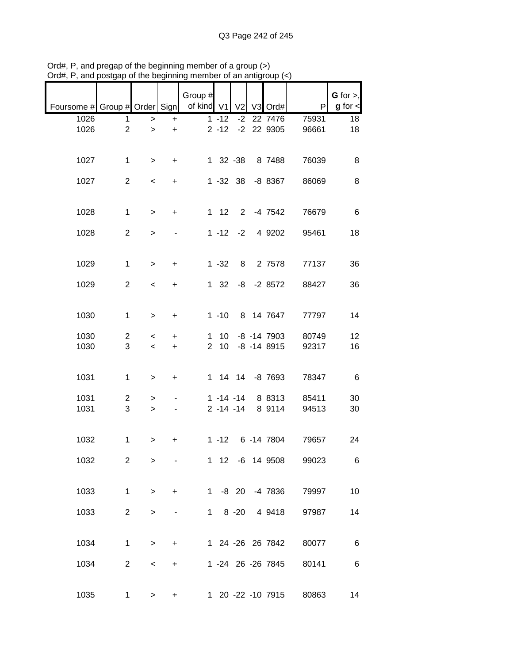| Foursome # Group # Order Sign |                     |                          |                        | Group #<br>of kind V1         |                                | V <sub>2</sub> | V3 Ord#                            | P                       | $G$ for $>$ ,<br>$g$ for $\lt$ |
|-------------------------------|---------------------|--------------------------|------------------------|-------------------------------|--------------------------------|----------------|------------------------------------|-------------------------|--------------------------------|
|                               |                     |                          |                        |                               |                                |                |                                    |                         |                                |
| 1026<br>1026                  | 1<br>$\overline{2}$ | $\,>$<br>$\geq$          | $\ddot{}$<br>$\ddot{}$ |                               | $1 - 12$<br>$2 - 12$           | $-2$           | 22 7476<br>-2 22 9305              | 75931<br>96661          | 18<br>18                       |
| 1027                          | $\mathbf{1}$        | $\geq$                   | $\ddot{}$              |                               | 1 32 -38                       |                | 8 7488                             | 76039                   | 8                              |
| 1027                          | $\overline{2}$      | $\,<\,$                  | $+$                    |                               | $1 - 32$ 38                    |                | $-88367$                           | 86069                   | 8                              |
| 1028                          | $\mathbf 1$         | $\,>$                    | $\ddot{}$              |                               | $1 \quad 12$                   |                | 2 -4 7542                          | 76679                   | $\,6$                          |
| 1028                          | $\overline{2}$      | $\,>$                    |                        |                               | $1 - 12 - 2$                   |                | 4 9202                             | 95461                   | 18                             |
| 1029                          | $\mathbf{1}$        | $\geq$                   | $\ddot{}$              |                               | $1 - 32$                       | 8              | 2 7578                             | 77137                   | 36                             |
| 1029                          | $\overline{2}$      | $\overline{\phantom{a}}$ | $\ddot{}$              |                               | $1 \quad 32$                   |                | $-8$ $-2$ 8572                     | 88427                   | 36                             |
| 1030                          | 1                   | $\geq$                   | $\ddot{}$              |                               | $1 - 10$                       |                | 8 14 7647                          | 77797                   | 14                             |
| 1030<br>1030                  | $\overline{c}$<br>3 | $\,<\,$<br>$\prec$       | $\ddot{}$<br>$\ddot{}$ | $\mathbf 1$<br>$\overline{2}$ | 10<br>10 <sup>1</sup>          |                | $-8$ $-14$ 7903<br>$-8$ $-14$ 8915 | 80749<br>92317          | 12<br>16                       |
| 1031                          | $\mathbf 1$         | $\, > \,$                | $\ddot{}$              |                               |                                |                | 1 14 14 -8 7693                    | 78347                   | 6                              |
| 1031<br>1031                  | $\overline{2}$<br>3 | ><br>$\geq$              |                        |                               | $1 - 14 - 14$<br>$2 - 14 - 14$ |                | 8 8313<br>8 9114                   | 85411<br>94513          | 30<br>30                       |
| 1032                          | $\mathbf{1}$        | >                        | +                      |                               |                                |                | 1 -12 6 -14 7804                   | 79657                   | 24                             |
| 1032                          | $\overline{2}$      | $\,>$                    |                        |                               |                                |                |                                    | 1 12 -6 14 9508 99023   | 6                              |
| 1033                          | $\mathbf{1}$        | $\geq$                   | $+$                    |                               |                                |                |                                    | 1 -8 20 -4 7836 79997   | 10                             |
| 1033                          | $\overline{2}$      | $\geq$                   |                        |                               |                                |                | 1 8 -20 4 9418                     | 97987                   | 14                             |
| 1034                          | $\mathbf 1$         | $\geq$                   | $\ddot{}$              |                               |                                |                |                                    | 1 24 -26 26 7842 80077  | $6\overline{6}$                |
| 1034                          | $\overline{2}$      | $\lt$                    | $\ddot{}$              |                               |                                |                | 1 -24 26 -26 7845                  | 80141                   | $6\overline{6}$                |
| 1035                          | 1                   | $\geq$                   | $\pm$                  |                               |                                |                |                                    | 1 20 -22 -10 7915 80863 | 14                             |

Ord#, P, and pregap of the beginning member of a group (>) Ord#, P, and postgap of the beginning member of an antigroup (<)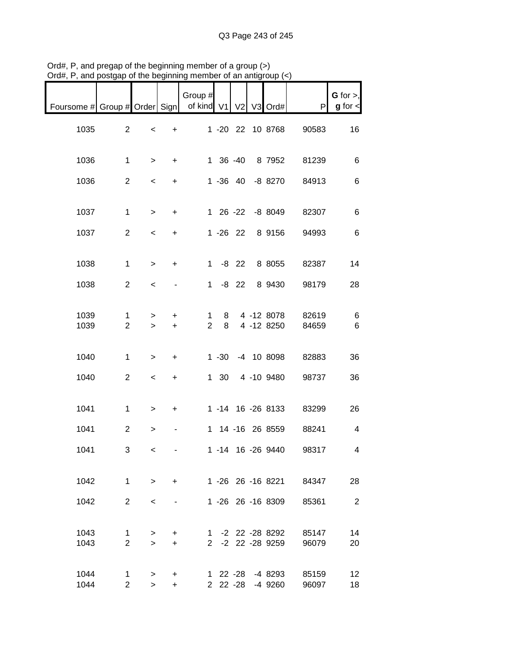| $U$ iu#, r , and postyap or the beginning member or an antigroup (<) |                                |                          |                |                          |                      |         |                                      |                |                              |
|----------------------------------------------------------------------|--------------------------------|--------------------------|----------------|--------------------------|----------------------|---------|--------------------------------------|----------------|------------------------------|
| Foursome # Group # Order Sign                                        |                                |                          |                | Group #<br>of kind V1 V2 |                      |         | V3 Ord#                              | P              | G for $>$ ,<br>$g$ for $\lt$ |
| 1035                                                                 | $\overline{2}$                 | $\,<\,$                  | $\ddot{}$      |                          |                      |         | 1 -20 22 10 8768                     | 90583          | 16                           |
| 1036                                                                 | 1                              | $\geq$                   | $+$            |                          | 1 36 -40             |         | 8 7952                               | 81239          | 6                            |
| 1036                                                                 | $\overline{2}$                 | $\overline{\phantom{a}}$ | $\ddot{}$      |                          |                      |         | 1 -36 40 -8 8270                     | 84913          | 6                            |
| 1037                                                                 | $\mathbf{1}$                   | $\geq$                   | $\ddot{}$      |                          |                      |         | 1 26 -22 -8 8049                     | 82307          | 6                            |
| 1037                                                                 | $\overline{2}$                 | $\overline{\phantom{a}}$ | $\ddot{}$      |                          | $1 - 26$ 22          |         | 8 9156                               | 94993          | 6                            |
| 1038                                                                 | 1                              | $\geq$                   | $\ddot{}$      |                          | $1 - 8$ 22           |         | 8 8055                               | 82387          | 14                           |
| 1038                                                                 | $\overline{2}$                 | $\,<\,$                  |                | 1                        |                      | $-8$ 22 | 8 9430                               | 98179          | 28                           |
| 1039<br>1039                                                         | 1<br>$\overline{2}$            | ><br>$\geq$              | +<br>$\ddot{}$ | 1<br>$\overline{2}$      | 8<br>8               |         | 4 -12 8078<br>4 -12 8250             | 82619<br>84659 | 6<br>$\,6$                   |
| 1040                                                                 | 1                              | $\geq$                   | $+$            |                          | $1 - 30$             |         | -4 10 8098                           | 82883          | 36                           |
| 1040                                                                 | $\overline{2}$                 | $\,<\,$                  | +              |                          |                      |         | 1 30 4 -10 9480                      | 98737          | 36                           |
| 1041                                                                 | $\mathbf{1}$                   | $\geq$                   | $\ddot{}$      |                          |                      |         | 1 -14 16 -26 8133                    | 83299          | 26                           |
| 1041                                                                 | $\overline{2}$                 | $\, > \,$                |                |                          |                      |         | 1 14 -16 26 8559                     | 88241          | 4                            |
| 1041                                                                 | 3                              | $\lt$                    |                |                          |                      |         | 1 -14 16 -26 9440                    | 98317          | 4                            |
| 1042                                                                 | $\mathbf{1}$                   | $\geq$                   | $\ddot{}$      |                          |                      |         | 1 -26 26 -16 8221                    | 84347          | 28                           |
| 1042                                                                 | $\overline{2}$                 | $\,<\,$                  |                |                          |                      |         | 1 -26 26 -16 8309                    | 85361          | $\overline{2}$               |
| 1043<br>1043                                                         | $\mathbf{1}$<br>$\overline{2}$ | $\geq$<br>$\geq$         | $\pm$<br>$+$   |                          |                      |         | 1 -2 22 -28 8292<br>2 -2 22 -28 9259 | 85147<br>96079 | 14<br>20                     |
| 1044<br>1044                                                         | 1<br>$\overline{2}$            | ><br>$\geq$              | +<br>$+$       |                          | 1 22 -28<br>2 22 -28 |         | -4 8293<br>-4 9260                   | 85159<br>96097 | 12<br>18                     |

Ord#, P, and pregap of the beginning member of a group (>) Ord#, P, and postgap of the beginning member of an antigroup (<)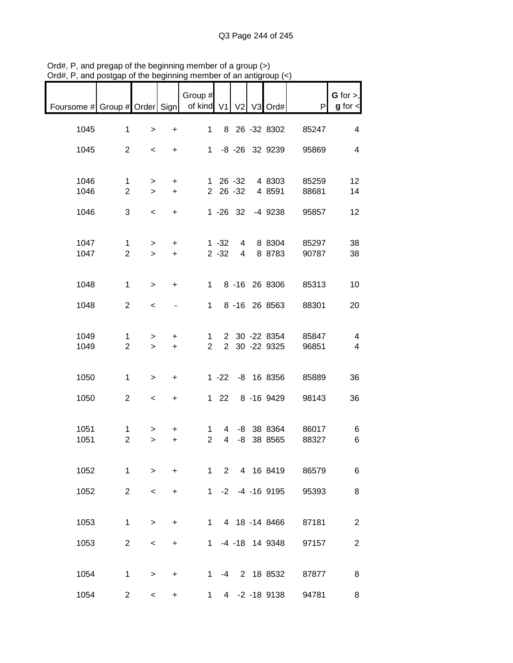| $D($ u $\pi$ , $\tau$ , and postgap or the beginning member or an antigroup $(\sim)$ |                               |                          |                              |                                  |                      |                     |                                |                |                              |
|--------------------------------------------------------------------------------------|-------------------------------|--------------------------|------------------------------|----------------------------------|----------------------|---------------------|--------------------------------|----------------|------------------------------|
| Foursome # Group # Order Sign                                                        |                               |                          |                              | Group #<br>of kind V1 V2 V3 Ord# |                      |                     |                                | P              | G for $>$ ,<br>$g$ for $\lt$ |
| 1045                                                                                 | $\mathbf{1}$                  | $\, > \,$                | +                            | 1                                |                      |                     | 8 26 -32 8302                  | 85247          | 4                            |
| 1045                                                                                 | $\overline{2}$                | $\,<\,$                  | $+$                          | $\mathbf 1$                      |                      |                     | -8 -26 32 9239                 | 95869          | 4                            |
| 1046<br>1046                                                                         | $\mathbf 1$<br>$\overline{2}$ | $\geq$<br>$\geq$         | $\ddot{}$<br>$\ddot{}$       |                                  |                      | 2 26 -32            | 1 26 -32 4 8303<br>4 8 5 9 1   | 85259<br>88681 | 12<br>14                     |
| 1046                                                                                 | 3                             | $\,<\,$                  | $\ddot{}$                    |                                  |                      | $1 - 26$ 32         | -4 9238                        | 95857          | 12                           |
| 1047<br>1047                                                                         | $\mathbf 1$<br>$\overline{2}$ | $\, > \,$<br>$\geq$      | +<br>$\ddot{}$               |                                  | $1 - 32$<br>$2 - 32$ | 4<br>$\overline{4}$ | 8 8 3 0 4<br>8 8783            | 85297<br>90787 | 38<br>38                     |
| 1048                                                                                 | $\mathbf{1}$                  | $\geq$                   | +                            | 1.                               |                      |                     | 8 -16 26 8306                  | 85313          | 10                           |
| 1048                                                                                 | $\overline{2}$                | $\prec$                  | $\qquad \qquad \blacksquare$ | $\mathbf 1$                      |                      |                     | 8 -16 26 8563                  | 88301          | 20                           |
| 1049<br>1049                                                                         | 1<br>$\overline{2}$           | $\, > \,$<br>$\geq$      | $\ddot{}$<br>$+$             | 1.<br>$\overline{2}$             |                      |                     | 2 30 -22 8354<br>2 30 -22 9325 | 85847<br>96851 | 4<br>4                       |
| 1050                                                                                 | $\mathbf 1$                   | $\, > \,$                | $\ddot{}$                    |                                  |                      |                     | 1 -22 -8 16 8356               | 85889          | 36                           |
| 1050                                                                                 | $\overline{2}$                | $\,<\,$                  | $\ddot{}$                    |                                  |                      |                     | 1 22 8 -16 9429                | 98143          | 36                           |
| 1051<br>1051                                                                         | 1<br>$\overline{2}$           | ><br>$\geq$              | +<br>+                       | 1<br>$\overline{2}$              | 4<br>$\overline{4}$  |                     | -8 38 8364<br>-8 38 8565       | 86017<br>88327 | 6<br>6                       |
| 1052                                                                                 | $\mathbf 1$                   | $\geq$                   | $\ddot{}$                    | $\mathbf 1$                      |                      |                     | 2 4 16 8419                    | 86579          | 6                            |
| 1052                                                                                 | $\overline{2}$                | $\,<\,$                  | $\ddot{}$                    |                                  |                      |                     | 1 -2 -4 -16 9195               | 95393          | 8                            |
| 1053                                                                                 | $\mathbf 1$                   | $\, >$                   | $\ddot{}$                    | 1                                |                      |                     | 4 18 -14 8466                  | 87181          | $\overline{2}$               |
| 1053                                                                                 | $\overline{2}$                | $\,<\,$                  | $\ddot{}$                    | 1                                |                      |                     | -4 -18 14 9348                 | 97157          | $\overline{2}$               |
| 1054                                                                                 | $\mathbf{1}$                  | $\geq$                   | $+$                          | 1                                |                      |                     | -4 2 18 8532                   | 87877          | 8                            |
| 1054                                                                                 | $\overline{2}$                | $\overline{\phantom{0}}$ | +                            | $\mathbf 1$                      |                      |                     | 4 -2 -18 9138                  | 94781          | 8                            |

Ord#, P, and pregap of the beginning member of a group (>) Ord#, P, and postgap of the beginning member of an antigroup (<)